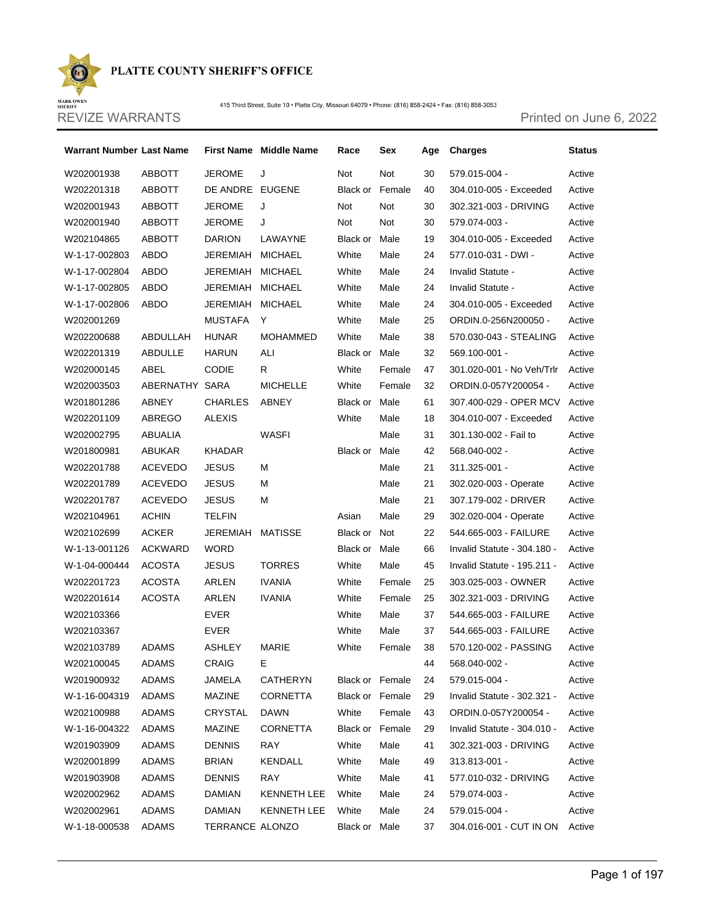

415 Third Street, Suite 10 · Platte City, Missouri 64079 · Phone: (816) 858-2424 · Fax: (816) 858-3053

MARK OWEN<br>SHERIFF REVIZE WARRANTS **Printed on June 6, 2022** 

 $\odot$ 

| Warrant Number Last Name |                |                  | First Name Middle Name | Race     | Sex                    | Age | Charges                       | <b>Status</b> |
|--------------------------|----------------|------------------|------------------------|----------|------------------------|-----|-------------------------------|---------------|
| W202001938               | <b>ABBOTT</b>  | <b>JEROME</b>    | J                      | Not      | Not                    | 30  | 579.015-004 -                 | Active        |
| W202201318               | ABBOTT         | DE ANDRE EUGENE  |                        |          | <b>Black or Female</b> | 40  | 304.010-005 - Exceeded        | Active        |
| W202001943               | ABBOTT         | <b>JEROME</b>    | J                      | Not      | Not                    | 30  | 302.321-003 - DRIVING         | Active        |
| W202001940               | ABBOTT         | <b>JEROME</b>    | J                      | Not      | Not                    | 30  | 579.074-003 -                 | Active        |
| W202104865               | <b>ABBOTT</b>  | <b>DARION</b>    | LAWAYNE                | Black or | Male                   | 19  | 304.010-005 - Exceeded        | Active        |
| W-1-17-002803            | ABDO           | JEREMIAH MICHAEL |                        | White    | Male                   | 24  | 577.010-031 - DWI -           | Active        |
| W-1-17-002804            | ABDO           | JEREMIAH         | MICHAEL                | White    | Male                   | 24  | Invalid Statute -             | Active        |
| W-1-17-002805            | ABDO           | JEREMIAH MICHAEL |                        | White    | Male                   | 24  | Invalid Statute -             | Active        |
| W-1-17-002806            | ABDO           | JEREMIAH MICHAEL |                        | White    | Male                   | 24  | 304.010-005 - Exceeded        | Active        |
| W202001269               |                | MUSTAFA          | Y                      | White    | Male                   | 25  | ORDIN.0-256N200050 -          | Active        |
| W202200688               | ABDULLAH       | <b>HUNAR</b>     | MOHAMMED               | White    | Male                   | 38  | 570.030-043 - STEALING        | Active        |
| W202201319               | <b>ABDULLE</b> | <b>HARUN</b>     | ALI                    | Black or | Male                   | 32  | 569.100-001 -                 | Active        |
| W202000145               | ABEL           | <b>CODIE</b>     | R.                     | White    | Female                 | 47  | 301.020-001 - No Veh/Trlr     | Active        |
| W202003503               | ABERNATHY SARA |                  | <b>MICHELLE</b>        | White    | Female                 | 32  | ORDIN.0-057Y200054 -          | Active        |
| W201801286               | ABNEY          | <b>CHARLES</b>   | ABNEY                  | Black or | Male                   | 61  | 307.400-029 - OPER MCV Active |               |
| W202201109               | ABREGO         | <b>ALEXIS</b>    |                        | White    | Male                   | 18  | 304.010-007 - Exceeded        | Active        |
| W202002795               | ABUALIA        |                  | WASFI                  |          | Male                   | 31  | 301.130-002 - Fail to         | Active        |
| W201800981               | ABUKAR         | KHADAR           |                        | Black or | Male                   | 42  | 568.040-002 -                 | Active        |
| W202201788               | <b>ACEVEDO</b> | <b>JESUS</b>     | м                      |          | Male                   | 21  | $311.325 - 001 -$             | Active        |
| W202201789               | <b>ACEVEDO</b> | <b>JESUS</b>     | м                      |          | Male                   | 21  | 302.020-003 - Operate         | Active        |
| W202201787               | <b>ACEVEDO</b> | <b>JESUS</b>     | м                      |          | Male                   | 21  | 307.179-002 - DRIVER          | Active        |
| W202104961               | <b>ACHIN</b>   | <b>TELFIN</b>    |                        | Asian    | Male                   | 29  | 302.020-004 - Operate         | Active        |
| W202102699               | <b>ACKER</b>   | JEREMIAH         | MATISSE                | Black or | Not                    | 22  | 544.665-003 - FAILURE         | Active        |
| W-1-13-001126            | ACKWARD        | <b>WORD</b>      |                        | Black or | Male                   | 66  | Invalid Statute - 304.180 -   | Active        |
| W-1-04-000444            | <b>ACOSTA</b>  | <b>JESUS</b>     | <b>TORRES</b>          | White    | Male                   | 45  | Invalid Statute - 195.211 -   | Active        |
| W202201723               | ACOSTA         | ARLEN            | <b>IVANIA</b>          | White    | Female                 | 25  | 303.025-003 - OWNER           | Active        |
| W202201614               | ACOSTA         | ARLEN            | <b>IVANIA</b>          | White    | Female                 | 25  | 302.321-003 - DRIVING         | Active        |
| W202103366               |                | EVER             |                        | White    | Male                   | 37  | 544.665-003 - FAILURE         | Active        |
| W202103367               |                | EVER             |                        | White    | Male                   | 37  | 544.665-003 - FAILURE         | Active        |
| W202103789               | <b>ADAMS</b>   | ASHLEY           | MARIE                  | White    | Female                 | 38  | 570.120-002 - PASSING         | Active        |
| W202100045               | <b>ADAMS</b>   | CRAIG            | Е                      |          |                        | 44  | 568.040-002 -                 | Active        |
| W201900932               | ADAMS          | JAMELA           | CATHERYN               |          | Black or Female        | 24  | 579.015-004 -                 | Active        |
| W-1-16-004319            | <b>ADAMS</b>   | <b>MAZINE</b>    | CORNETTA               |          | <b>Black or Female</b> | 29  | Invalid Statute - 302.321 -   | Active        |
| W202100988               | <b>ADAMS</b>   | CRYSTAL          | DAWN                   | White    | Female                 | 43  | ORDIN.0-057Y200054 -          | Active        |
| W-1-16-004322            | ADAMS          | MAZINE           | CORNETTA               |          | Black or Female        | 29  | Invalid Statute - 304.010 -   | Active        |
| W201903909               | <b>ADAMS</b>   | <b>DENNIS</b>    | RAY                    | White    | Male                   | 41  | 302.321-003 - DRIVING         | Active        |
| W202001899               | <b>ADAMS</b>   | <b>BRIAN</b>     | KENDALL                | White    | Male                   | 49  | 313.813-001 -                 | Active        |
| W201903908               | <b>ADAMS</b>   | <b>DENNIS</b>    | RAY                    | White    | Male                   | 41  | 577.010-032 - DRIVING         | Active        |
| W202002962               | <b>ADAMS</b>   | DAMIAN           | <b>KENNETH LEE</b>     | White    | Male                   | 24  | 579.074-003 -                 | Active        |
| W202002961               | <b>ADAMS</b>   | DAMIAN           | KENNETH LEE            | White    | Male                   | 24  | 579.015-004 -                 | Active        |
| W-1-18-000538            | ADAMS          | TERRANCE ALONZO  |                        | Black or | Male                   | 37  | 304.016-001 - CUT IN ON       | Active        |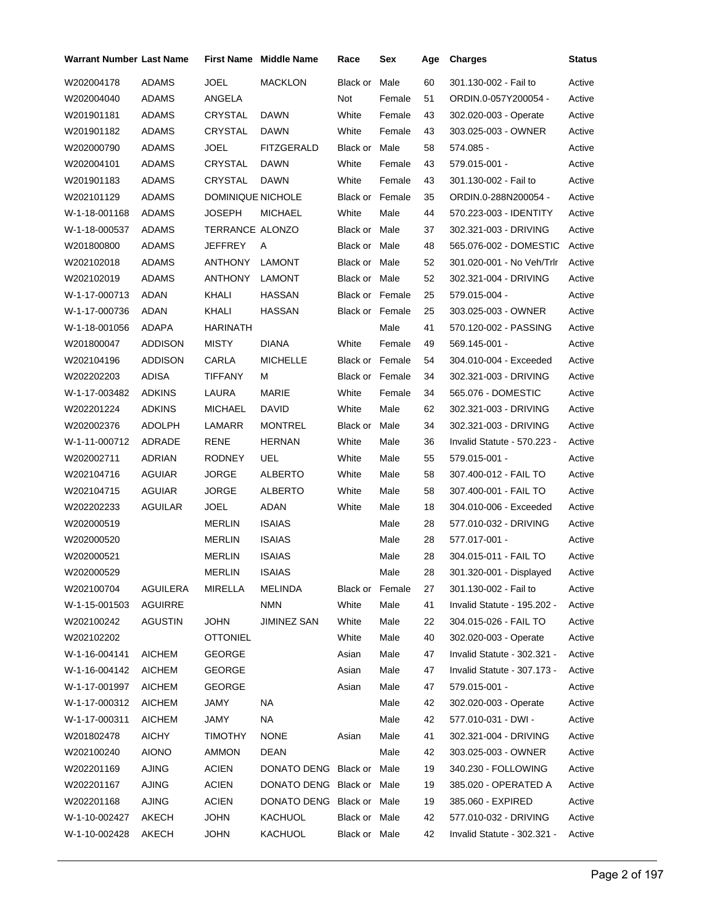| <b>Warrant Number Last Name</b> |                |                          | <b>First Name Middle Name</b> | Race                   | Sex    | Age | <b>Charges</b>              | Status |
|---------------------------------|----------------|--------------------------|-------------------------------|------------------------|--------|-----|-----------------------------|--------|
| W202004178                      | <b>ADAMS</b>   | JOEL                     | <b>MACKLON</b>                | Black or               | Male   | 60  | 301.130-002 - Fail to       | Active |
| W202004040                      | ADAMS          | ANGELA                   |                               | Not                    | Female | 51  | ORDIN.0-057Y200054 -        | Active |
| W201901181                      | ADAMS          | CRYSTAL                  | <b>DAWN</b>                   | White                  | Female | 43  | 302.020-003 - Operate       | Active |
| W201901182                      | ADAMS          | CRYSTAL                  | DAWN                          | White                  | Female | 43  | 303.025-003 - OWNER         | Active |
| W202000790                      | ADAMS          | <b>JOEL</b>              | <b>FITZGERALD</b>             | Black or               | Male   | 58  | 574.085 -                   | Active |
| W202004101                      | ADAMS          | CRYSTAL                  | DAWN                          | White                  | Female | 43  | 579.015-001 -               | Active |
| W201901183                      | <b>ADAMS</b>   | CRYSTAL                  | DAWN                          | White                  | Female | 43  | 301.130-002 - Fail to       | Active |
| W202101129                      | ADAMS          | <b>DOMINIQUE NICHOLE</b> |                               | Black or Female        |        | 35  | ORDIN.0-288N200054 -        | Active |
| W-1-18-001168                   | ADAMS          | <b>JOSEPH</b>            | <b>MICHAEL</b>                | White                  | Male   | 44  | 570.223-003 - IDENTITY      | Active |
| W-1-18-000537                   | ADAMS          | TERRANCE ALONZO          |                               | Black or Male          |        | 37  | 302.321-003 - DRIVING       | Active |
| W201800800                      | ADAMS          | JEFFREY                  | Α                             | Black or Male          |        | 48  | 565.076-002 - DOMESTIC      | Active |
| W202102018                      | ADAMS          | <b>ANTHONY</b>           | <b>LAMONT</b>                 | Black or Male          |        | 52  | 301.020-001 - No Veh/Trlr   | Active |
| W202102019                      | <b>ADAMS</b>   | <b>ANTHONY</b>           | LAMONT                        | Black or Male          |        | 52  | 302.321-004 - DRIVING       | Active |
| W-1-17-000713                   | ADAN           | KHALI                    | <b>HASSAN</b>                 | <b>Black or Female</b> |        | 25  | 579.015-004 -               | Active |
| W-1-17-000736                   | ADAN           | KHALI                    | HASSAN                        | Black or Female        |        | 25  | 303.025-003 - OWNER         | Active |
| W-1-18-001056                   | ADAPA          | <b>HARINATH</b>          |                               |                        | Male   | 41  | 570.120-002 - PASSING       | Active |
| W201800047                      | <b>ADDISON</b> | <b>MISTY</b>             | <b>DIANA</b>                  | White                  | Female | 49  | 569.145-001 -               | Active |
| W202104196                      | ADDISON        | CARLA                    | <b>MICHELLE</b>               | <b>Black or Female</b> |        | 54  | 304.010-004 - Exceeded      | Active |
| W202202203                      | <b>ADISA</b>   | TIFFANY                  | М                             | <b>Black or Female</b> |        | 34  | 302.321-003 - DRIVING       | Active |
| W-1-17-003482                   | <b>ADKINS</b>  | LAURA                    | <b>MARIE</b>                  | White                  | Female | 34  | 565.076 - DOMESTIC          | Active |
| W202201224                      | <b>ADKINS</b>  | <b>MICHAEL</b>           | DAVID                         | White                  | Male   | 62  | 302.321-003 - DRIVING       | Active |
| W202002376                      | ADOLPH         | LAMARR                   | <b>MONTREL</b>                | Black or               | Male   | 34  | 302.321-003 - DRIVING       | Active |
| W-1-11-000712                   | ADRADE         | <b>RENE</b>              | <b>HERNAN</b>                 | White                  | Male   | 36  | Invalid Statute - 570.223 - | Active |
| W202002711                      | <b>ADRIAN</b>  | <b>RODNEY</b>            | UEL                           | White                  | Male   | 55  | 579.015-001 -               | Active |
| W202104716                      | AGUIAR         | <b>JORGE</b>             | ALBERTO                       | White                  | Male   | 58  | 307.400-012 - FAIL TO       | Active |
| W202104715                      | AGUIAR         | <b>JORGE</b>             | <b>ALBERTO</b>                | White                  | Male   | 58  | 307.400-001 - FAIL TO       | Active |
| W202202233                      | AGUILAR        | <b>JOEL</b>              | ADAN                          | White                  | Male   | 18  | 304.010-006 - Exceeded      | Active |
| W202000519                      |                | <b>MERLIN</b>            | <b>ISAIAS</b>                 |                        | Male   | 28  | 577.010-032 - DRIVING       | Active |
| W202000520                      |                | <b>MERLIN</b>            | <b>ISAIAS</b>                 |                        | Male   | 28  | 577.017-001 -               | Active |
| W202000521                      |                | <b>MERLIN</b>            | <b>ISAIAS</b>                 |                        | Male   | 28  | 304.015-011 - FAIL TO       | Active |
| W202000529                      |                | MERLIN                   | <b>ISAIAS</b>                 |                        | Male   | 28  | 301.320-001 - Displayed     | Active |
| W202100704                      | AGUILERA       | MIRELLA                  | MELINDA                       | Black or Female        |        | 27  | 301.130-002 - Fail to       | Active |
| W-1-15-001503                   | <b>AGUIRRE</b> |                          | <b>NMN</b>                    | White                  | Male   | 41  | Invalid Statute - 195.202 - | Active |
| W202100242                      | AGUSTIN        | <b>JOHN</b>              | JIMINEZ SAN                   | White                  | Male   | 22  | 304.015-026 - FAIL TO       | Active |
| W202102202                      |                | <b>OTTONIEL</b>          |                               | White                  | Male   | 40  | 302.020-003 - Operate       | Active |
| W-1-16-004141                   | AICHEM         | <b>GEORGE</b>            |                               | Asian                  | Male   | 47  | Invalid Statute - 302.321 - | Active |
| W-1-16-004142                   | <b>AICHEM</b>  | <b>GEORGE</b>            |                               | Asian                  | Male   | 47  | Invalid Statute - 307.173 - | Active |
| W-1-17-001997                   | <b>AICHEM</b>  | <b>GEORGE</b>            |                               | Asian                  | Male   | 47  | 579.015-001 -               | Active |
| W-1-17-000312                   | <b>AICHEM</b>  | JAMY                     | NA                            |                        | Male   | 42  | 302.020-003 - Operate       | Active |
| W-1-17-000311                   | <b>AICHEM</b>  | JAMY                     | NA                            |                        | Male   | 42  | 577.010-031 - DWI -         | Active |
| W201802478                      | <b>AICHY</b>   | TIMOTHY                  | <b>NONE</b>                   | Asian                  | Male   | 41  | 302.321-004 - DRIVING       | Active |
| W202100240                      | <b>AIONO</b>   | AMMON                    | <b>DEAN</b>                   |                        | Male   | 42  | 303.025-003 - OWNER         | Active |
| W202201169                      | AJING          | <b>ACIEN</b>             | DONATO DENG Black or Male     |                        |        | 19  | 340.230 - FOLLOWING         | Active |
| W202201167                      | <b>AJING</b>   | <b>ACIEN</b>             | DONATO DENG Black or Male     |                        |        | 19  | 385.020 - OPERATED A        | Active |
| W202201168                      | AJING          | <b>ACIEN</b>             | DONATO DENG Black or Male     |                        |        | 19  | 385.060 - EXPIRED           | Active |
| W-1-10-002427                   | AKECH          | JOHN                     | KACHUOL                       | Black or Male          |        | 42  | 577.010-032 - DRIVING       | Active |
| W-1-10-002428                   | AKECH          | <b>JOHN</b>              | KACHUOL                       | Black or Male          |        | 42  | Invalid Statute - 302.321 - | Active |
|                                 |                |                          |                               |                        |        |     |                             |        |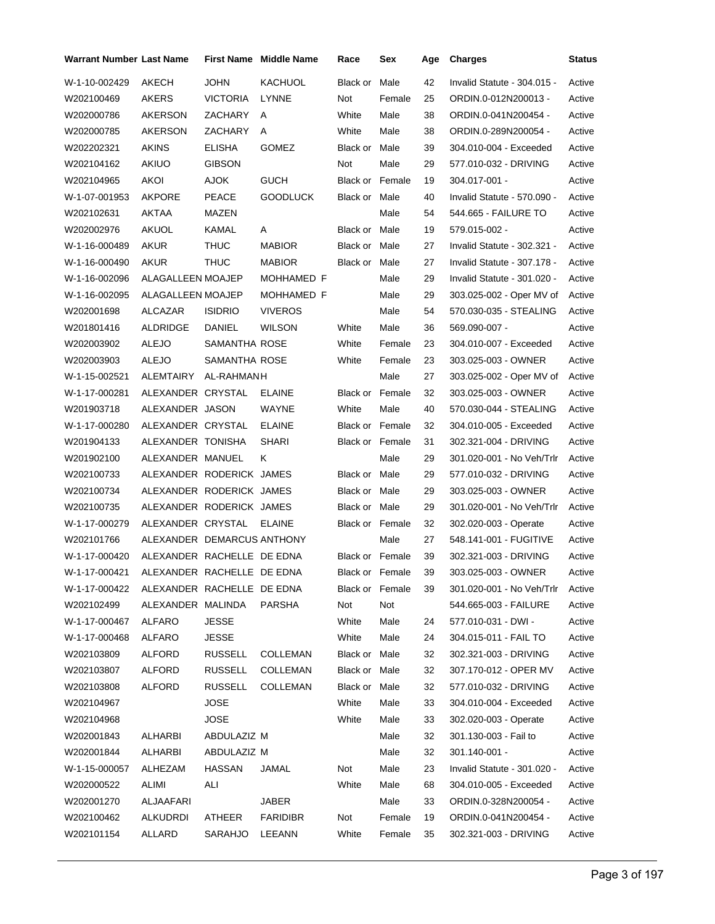| <b>Warrant Number Last Name</b> |                            |                 | <b>First Name</b> Middle Name | Race                   | Sex             | Age | <b>Charges</b>              | <b>Status</b> |
|---------------------------------|----------------------------|-----------------|-------------------------------|------------------------|-----------------|-----|-----------------------------|---------------|
| W-1-10-002429                   | AKECH                      | <b>JOHN</b>     | <b>KACHUOL</b>                | Black or               | Male            | 42  | Invalid Statute - 304.015 - | Active        |
| W202100469                      | AKERS                      | <b>VICTORIA</b> | <b>LYNNE</b>                  | Not                    | Female          | 25  | ORDIN.0-012N200013 -        | Active        |
| W202000786                      | AKERSON                    | ZACHARY         | Α                             | White                  | Male            | 38  | ORDIN.0-041N200454 -        | Active        |
| W202000785                      | AKERSON                    | ZACHARY         | A                             | White                  | Male            | 38  | ORDIN.0-289N200054 -        | Active        |
| W202202321                      | AKINS                      | <b>ELISHA</b>   | <b>GOMEZ</b>                  | Black or Male          |                 | 39  | 304.010-004 - Exceeded      | Active        |
| W202104162                      | AKIUO                      | <b>GIBSON</b>   |                               | Not                    | Male            | 29  | 577.010-032 - DRIVING       | Active        |
| W202104965                      | AKOI                       | AJOK            | <b>GUCH</b>                   | <b>Black or Female</b> |                 | 19  | 304.017-001 -               | Active        |
| W-1-07-001953                   | <b>AKPORE</b>              | PEACE           | <b>GOODLUCK</b>               | Black or Male          |                 | 40  | Invalid Statute - 570.090 - | Active        |
| W202102631                      | AKTAA                      | MAZEN           |                               |                        | Male            | 54  | 544.665 - FAILURE TO        | Active        |
| W202002976                      | AKUOL                      | KAMAL           | A                             | Black or Male          |                 | 19  | 579.015-002 -               | Active        |
| W-1-16-000489                   | AKUR                       | THUC            | <b>MABIOR</b>                 | Black or Male          |                 | 27  | Invalid Statute - 302.321 - | Active        |
| W-1-16-000490                   | AKUR                       | THUC            | <b>MABIOR</b>                 | Black or Male          |                 | 27  | Invalid Statute - 307.178 - | Active        |
| W-1-16-002096                   | ALAGALLEEN MOAJEP          |                 | MOHHAMED F                    |                        | Male            | 29  | Invalid Statute - 301.020 - | Active        |
| W-1-16-002095                   | ALAGALLEEN MOAJEP          |                 | MOHHAMED F                    |                        | Male            | 29  | 303.025-002 - Oper MV of    | Active        |
| W202001698                      | ALCAZAR                    | <b>ISIDRIO</b>  | <b>VIVEROS</b>                |                        | Male            | 54  | 570.030-035 - STEALING      | Active        |
| W201801416                      | ALDRIDGE                   | DANIEL          | <b>WILSON</b>                 | White                  | Male            | 36  | 569.090-007 -               | Active        |
| W202003902                      | <b>ALEJO</b>               | SAMANTHA ROSE   |                               | White                  | Female          | 23  | 304.010-007 - Exceeded      | Active        |
| W202003903                      | <b>ALEJO</b>               | SAMANTHA ROSE   |                               | White                  | Female          | 23  | 303.025-003 - OWNER         | Active        |
| W-1-15-002521                   | ALEMTAIRY                  | AL-RAHMANH      |                               |                        | Male            | 27  | 303.025-002 - Oper MV of    | Active        |
| W-1-17-000281                   | ALEXANDER CRYSTAL          |                 | <b>ELAINE</b>                 | <b>Black or Female</b> |                 | 32  | 303.025-003 - OWNER         | Active        |
| W201903718                      | ALEXANDER JASON            |                 | WAYNE                         | White                  | Male            | 40  | 570.030-044 - STEALING      | Active        |
| W-1-17-000280                   | ALEXANDER CRYSTAL          |                 | <b>ELAINE</b>                 | <b>Black or Female</b> |                 | 32  | 304.010-005 - Exceeded      | Active        |
| W201904133                      | ALEXANDER TONISHA          |                 | SHARI                         | <b>Black or Female</b> |                 | 31  | 302.321-004 - DRIVING       | Active        |
| W201902100                      | ALEXANDER MANUEL           |                 | Κ                             |                        | Male            | 29  | 301.020-001 - No Veh/Trlr   | Active        |
| W202100733                      | ALEXANDER RODERICK JAMES   |                 |                               | Black or Male          |                 | 29  | 577.010-032 - DRIVING       | Active        |
| W202100734                      | ALEXANDER RODERICK JAMES   |                 |                               | Black or Male          |                 | 29  | 303.025-003 - OWNER         | Active        |
| W202100735                      | ALEXANDER RODERICK JAMES   |                 |                               | Black or Male          |                 | 29  | 301.020-001 - No Veh/Trlr   | Active        |
| W-1-17-000279                   | ALEXANDER CRYSTAL          |                 | <b>ELAINE</b>                 | <b>Black or Female</b> |                 | 32  | 302.020-003 - Operate       | Active        |
| W202101766                      | ALEXANDER DEMARCUS ANTHONY |                 |                               |                        | Male            | 27  | 548.141-001 - FUGITIVE      | Active        |
| W-1-17-000420                   | ALEXANDER RACHELLE DE EDNA |                 |                               | Black or Female        |                 | 39  | 302.321-003 - DRIVING       | Active        |
| W-1-17-000421                   | ALEXANDER RACHELLE DE EDNA |                 |                               |                        | Black or Female | 39  | 303.025-003 - OWNER         | Active        |
| W-1-17-000422                   | ALEXANDER RACHELLE DE EDNA |                 |                               | Black or Female        |                 | 39  | 301.020-001 - No Veh/Trlr   | Active        |
| W202102499                      | ALEXANDER MALINDA          |                 | PARSHA                        | Not                    | Not             |     | 544.665-003 - FAILURE       | Active        |
| W-1-17-000467                   | ALFARO                     | JESSE           |                               | White                  | Male            | 24  | 577.010-031 - DWI -         | Active        |
| W-1-17-000468                   | ALFARO                     | JESSE           |                               | White                  | Male            | 24  | 304.015-011 - FAIL TO       | Active        |
| W202103809                      | ALFORD                     | <b>RUSSELL</b>  | <b>COLLEMAN</b>               | Black or Male          |                 | 32  | 302.321-003 - DRIVING       | Active        |
| W202103807                      | ALFORD                     | <b>RUSSELL</b>  | <b>COLLEMAN</b>               | Black or Male          |                 | 32  | 307.170-012 - OPER MV       | Active        |
| W202103808                      | ALFORD                     | <b>RUSSELL</b>  | <b>COLLEMAN</b>               | Black or Male          |                 | 32  | 577.010-032 - DRIVING       | Active        |
| W202104967                      |                            | JOSE            |                               | White                  | Male            | 33  | 304.010-004 - Exceeded      | Active        |
| W202104968                      |                            | <b>JOSE</b>     |                               | White                  | Male            | 33  | 302.020-003 - Operate       | Active        |
| W202001843                      | ALHARBI                    | ABDULAZIZ M     |                               |                        | Male            | 32  | 301.130-003 - Fail to       | Active        |
| W202001844                      | ALHARBI                    | ABDULAZIZ M     |                               |                        | Male            | 32  | 301.140-001 -               | Active        |
| W-1-15-000057                   | ALHEZAM                    | <b>HASSAN</b>   | JAMAL                         | Not                    | Male            | 23  | Invalid Statute - 301.020 - | Active        |
| W202000522                      | ALIMI                      | ALI             |                               | White                  | Male            | 68  | 304.010-005 - Exceeded      | Active        |
| W202001270                      | ALJAAFARI                  |                 | JABER                         |                        | Male            | 33  | ORDIN.0-328N200054 -        | Active        |
| W202100462                      | <b>ALKUDRDI</b>            | ATHEER          | <b>FARIDIBR</b>               | Not                    | Female          | 19  | ORDIN.0-041N200454 -        | Active        |
| W202101154                      | ALLARD                     | SARAHJO         | LEEANN                        | White                  | Female          | 35  | 302.321-003 - DRIVING       | Active        |
|                                 |                            |                 |                               |                        |                 |     |                             |               |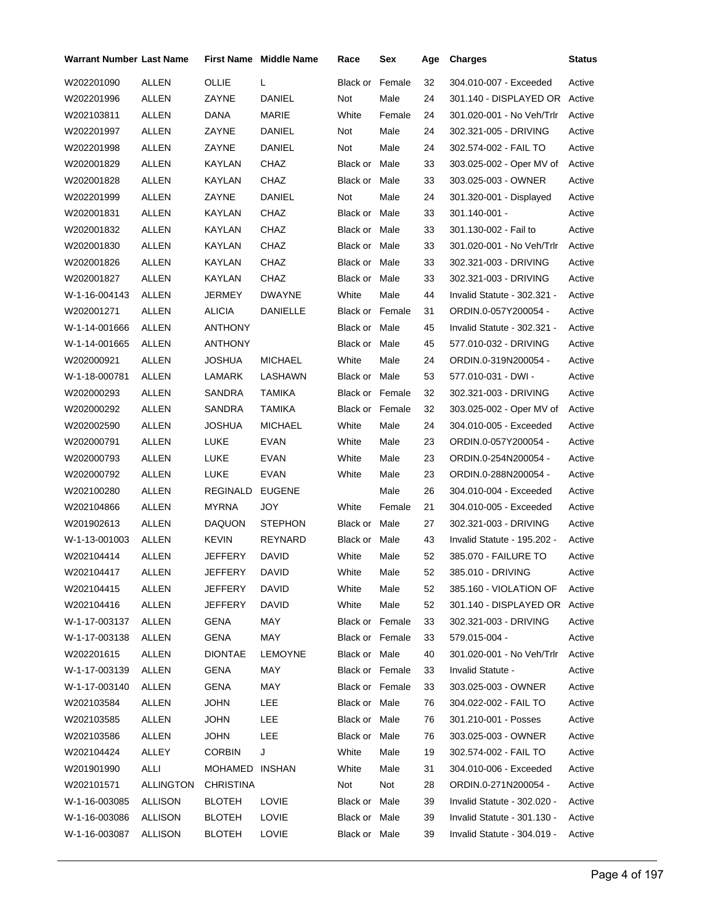| Warrant Number Last Name |                  |                  | <b>First Name Middle Name</b> | Race                   | Sex    | Age | <b>Charges</b>                | <b>Status</b> |
|--------------------------|------------------|------------------|-------------------------------|------------------------|--------|-----|-------------------------------|---------------|
| W202201090               | ALLEN            | OLLIE            | L                             | Black or               | Female | 32  | 304.010-007 - Exceeded        | Active        |
| W202201996               | <b>ALLEN</b>     | ZAYNE            | DANIEL                        | Not                    | Male   | 24  | 301.140 - DISPLAYED OR        | Active        |
| W202103811               | ALLEN            | DANA             | MARIE                         | White                  | Female | 24  | 301.020-001 - No Veh/Trlr     | Active        |
| W202201997               | ALLEN            | ZAYNE            | DANIEL                        | Not                    | Male   | 24  | 302.321-005 - DRIVING         | Active        |
| W202201998               | <b>ALLEN</b>     | ZAYNE            | DANIEL                        | Not                    | Male   | 24  | 302.574-002 - FAIL TO         | Active        |
| W202001829               | ALLEN            | KAYLAN           | CHAZ                          | Black or Male          |        | 33  | 303.025-002 - Oper MV of      | Active        |
| W202001828               | <b>ALLEN</b>     | <b>KAYLAN</b>    | CHAZ                          | Black or Male          |        | 33  | 303.025-003 - OWNER           | Active        |
| W202201999               | <b>ALLEN</b>     | ZAYNE            | DANIEL                        | Not                    | Male   | 24  | 301.320-001 - Displayed       | Active        |
| W202001831               | <b>ALLEN</b>     | KAYLAN           | CHAZ                          | Black or Male          |        | 33  | 301.140-001 -                 | Active        |
| W202001832               | ALLEN            | KAYLAN           | CHAZ                          | Black or Male          |        | 33  | 301.130-002 - Fail to         | Active        |
| W202001830               | <b>ALLEN</b>     | KAYLAN           | CHAZ                          | Black or Male          |        | 33  | 301.020-001 - No Veh/Trlr     | Active        |
| W202001826               | <b>ALLEN</b>     | KAYLAN           | CHAZ                          | Black or Male          |        | 33  | 302.321-003 - DRIVING         | Active        |
| W202001827               | ALLEN            | KAYLAN           | CHAZ                          | Black or Male          |        | 33  | 302.321-003 - DRIVING         | Active        |
| W-1-16-004143            | <b>ALLEN</b>     | JERMEY           | <b>DWAYNE</b>                 | White                  | Male   | 44  | Invalid Statute - 302.321 -   | Active        |
| W202001271               | ALLEN            | <b>ALICIA</b>    | DANIELLE                      | Black or Female        |        | 31  | ORDIN.0-057Y200054 -          | Active        |
| W-1-14-001666            | ALLEN            | ANTHONY          |                               | Black or Male          |        | 45  | Invalid Statute - 302.321 -   | Active        |
| W-1-14-001665            | <b>ALLEN</b>     | ANTHONY          |                               | Black or Male          |        | 45  | 577.010-032 - DRIVING         | Active        |
| W202000921               | ALLEN            | JOSHUA           | <b>MICHAEL</b>                | White                  | Male   | 24  | ORDIN.0-319N200054 -          | Active        |
| W-1-18-000781            | ALLEN            | LAMARK           | LASHAWN                       | Black or Male          |        | 53  | 577.010-031 - DWI -           | Active        |
| W202000293               | <b>ALLEN</b>     | SANDRA           | <b>TAMIKA</b>                 | <b>Black or Female</b> |        | 32  | 302.321-003 - DRIVING         | Active        |
| W202000292               | ALLEN            | SANDRA           | <b>TAMIKA</b>                 | Black or Female        |        | 32  | 303.025-002 - Oper MV of      | Active        |
| W202002590               | ALLEN            | JOSHUA           | <b>MICHAEL</b>                | White                  | Male   | 24  | 304.010-005 - Exceeded        | Active        |
| W202000791               | <b>ALLEN</b>     | <b>LUKE</b>      | <b>EVAN</b>                   | White                  | Male   | 23  | ORDIN.0-057Y200054 -          | Active        |
| W202000793               | ALLEN            | LUKE             | <b>EVAN</b>                   | White                  | Male   | 23  | ORDIN.0-254N200054 -          | Active        |
| W202000792               | ALLEN            | LUKE             | EVAN                          | White                  | Male   | 23  | ORDIN.0-288N200054 -          | Active        |
| W202100280               | <b>ALLEN</b>     | REGINALD         | <b>EUGENE</b>                 |                        | Male   | 26  | 304.010-004 - Exceeded        | Active        |
| W202104866               | ALLEN            | <b>MYRNA</b>     | <b>JOY</b>                    | White                  | Female | 21  | 304.010-005 - Exceeded        | Active        |
| W201902613               | ALLEN            | <b>DAQUON</b>    | <b>STEPHON</b>                | Black or Male          |        | 27  | 302.321-003 - DRIVING         | Active        |
| W-1-13-001003            | <b>ALLEN</b>     | <b>KEVIN</b>     | REYNARD                       | Black or Male          |        | 43  | Invalid Statute - 195.202 -   | Active        |
| W202104414               | ALLEN            | JEFFERY          | DAVID                         | White                  | Male   | 52  | 385.070 - FAILURE TO          | Active        |
| W202104417               | ALLEN            | JEFFERY          | DAVID                         | White                  | Male   | 52  | 385.010 - DRIVING             | Active        |
| W202104415               | ALLEN            | <b>JEFFERY</b>   | DAVID                         | White                  | Male   | 52  | 385.160 - VIOLATION OF        | Active        |
| W202104416               | ALLEN            | JEFFERY          | DAVID                         | White                  | Male   | 52  | 301.140 - DISPLAYED OR Active |               |
| W-1-17-003137            | ALLEN            | GENA             | MAY                           | Black or Female        |        | 33  | 302.321-003 - DRIVING         | Active        |
| W-1-17-003138            | ALLEN            | <b>GENA</b>      | MAY                           | Black or Female        |        | 33  | 579.015-004 -                 | Active        |
| W202201615               | ALLEN            | <b>DIONTAE</b>   | LEMOYNE                       | Black or Male          |        | 40  | 301.020-001 - No Veh/Trlr     | Active        |
| W-1-17-003139            | ALLEN            | GENA             | MAY                           | Black or Female        |        | 33  | Invalid Statute -             | Active        |
| W-1-17-003140            | ALLEN            | GENA             | MAY                           | Black or Female        |        | 33  | 303.025-003 - OWNER           | Active        |
| W202103584               | ALLEN            | JOHN             | LEE                           | Black or Male          |        | 76  | 304.022-002 - FAIL TO         | Active        |
| W202103585               | ALLEN            | JOHN             | LEE                           | Black or Male          |        | 76  | 301.210-001 - Posses          | Active        |
| W202103586               | ALLEN            | <b>JOHN</b>      | <b>LEE</b>                    | Black or Male          |        | 76  | 303.025-003 - OWNER           | Active        |
| W202104424               | ALLEY            | <b>CORBIN</b>    | J                             | White                  | Male   | 19  | 302.574-002 - FAIL TO         | Active        |
| W201901990               | ALLI             | MOHAMED INSHAN   |                               | White                  | Male   | 31  | 304.010-006 - Exceeded        | Active        |
| W202101571               | <b>ALLINGTON</b> | <b>CHRISTINA</b> |                               | Not                    | Not    | 28  | ORDIN.0-271N200054 -          | Active        |
| W-1-16-003085            | ALLISON          | <b>BLOTEH</b>    | LOVIE                         | Black or Male          |        | 39  | Invalid Statute - 302.020 -   | Active        |
| W-1-16-003086            | ALLISON          | <b>BLOTEH</b>    | LOVIE                         | Black or Male          |        | 39  | Invalid Statute - 301.130 -   | Active        |
| W-1-16-003087            | ALLISON          | <b>BLOTEH</b>    | LOVIE                         | Black or Male          |        | 39  | Invalid Statute - 304.019 -   | Active        |
|                          |                  |                  |                               |                        |        |     |                               |               |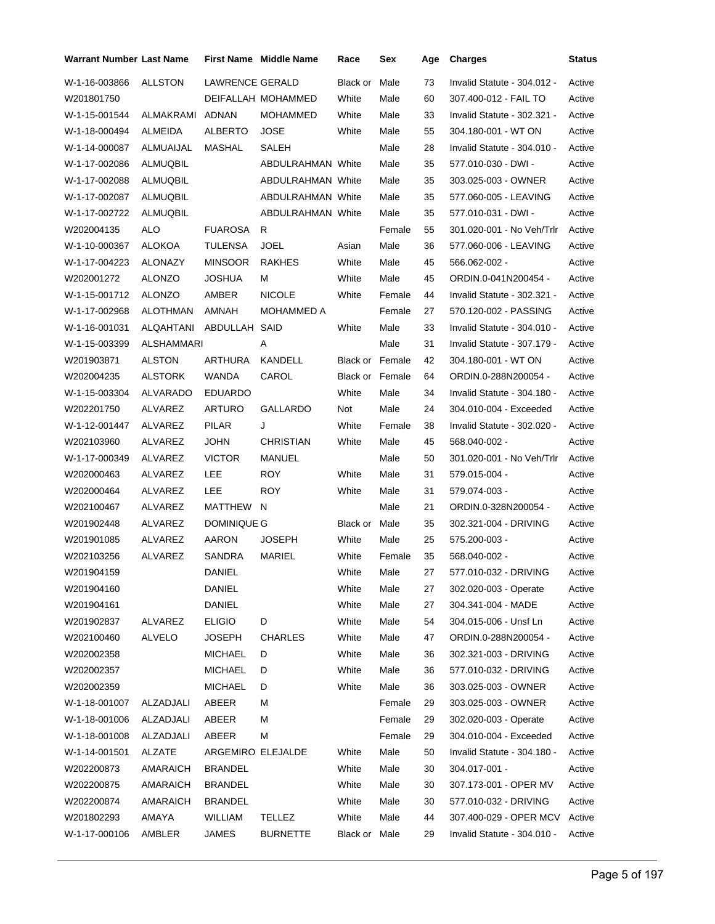| <b>Warrant Number Last Name</b> |                   |                   | <b>First Name Middle Name</b> | Race                   | Sex    | Age | <b>Charges</b>              | Status |
|---------------------------------|-------------------|-------------------|-------------------------------|------------------------|--------|-----|-----------------------------|--------|
| W-1-16-003866                   | <b>ALLSTON</b>    | LAWRENCE GERALD   |                               | Black or               | Male   | 73  | Invalid Statute - 304.012 - | Active |
| W201801750                      |                   |                   | DEIFALLAH MOHAMMED            | White                  | Male   | 60  | 307.400-012 - FAIL TO       | Active |
| W-1-15-001544                   | ALMAKRAMI         | ADNAN             | MOHAMMED                      | White                  | Male   | 33  | Invalid Statute - 302.321 - | Active |
| W-1-18-000494                   | ALMEIDA           | <b>ALBERTO</b>    | <b>JOSE</b>                   | White                  | Male   | 55  | 304.180-001 - WT ON         | Active |
| W-1-14-000087                   | ALMUAIJAL         | MASHAL            | SALEH                         |                        | Male   | 28  | Invalid Statute - 304.010 - | Active |
| W-1-17-002086                   | ALMUQBIL          |                   | ABDULRAHMAN White             |                        | Male   | 35  | 577.010-030 - DWI -         | Active |
| W-1-17-002088                   | ALMUQBIL          |                   | <b>ABDULRAHMAN White</b>      |                        | Male   | 35  | 303.025-003 - OWNER         | Active |
| W-1-17-002087                   | ALMUQBIL          |                   | ABDULRAHMAN White             |                        | Male   | 35  | 577.060-005 - LEAVING       | Active |
| W-1-17-002722                   | ALMUQBIL          |                   | <b>ABDULRAHMAN White</b>      |                        | Male   | 35  | 577.010-031 - DWI -         | Active |
| W202004135                      | ALO               | <b>FUAROSA</b>    | R                             |                        | Female | 55  | 301.020-001 - No Veh/Trlr   | Active |
| W-1-10-000367                   | ALOKOA            | <b>TULENSA</b>    | <b>JOEL</b>                   | Asian                  | Male   | 36  | 577.060-006 - LEAVING       | Active |
| W-1-17-004223                   | ALONAZY           | <b>MINSOOR</b>    | <b>RAKHES</b>                 | White                  | Male   | 45  | 566.062-002 -               | Active |
| W202001272                      | <b>ALONZO</b>     | <b>JOSHUA</b>     | м                             | White                  | Male   | 45  | ORDIN.0-041N200454 -        | Active |
| W-1-15-001712                   | <b>ALONZO</b>     | AMBER             | <b>NICOLE</b>                 | White                  | Female | 44  | Invalid Statute - 302.321 - | Active |
| W-1-17-002968                   | <b>ALOTHMAN</b>   | AMNAH             | <b>MOHAMMED A</b>             |                        | Female | 27  | 570.120-002 - PASSING       | Active |
| W-1-16-001031                   | ALQAHTANI         | ABDULLAH          | SAID                          | White                  | Male   | 33  | Invalid Statute - 304.010 - | Active |
| W-1-15-003399                   | <b>ALSHAMMARI</b> |                   | Α                             |                        | Male   | 31  | Invalid Statute - 307.179 - | Active |
| W201903871                      | <b>ALSTON</b>     | ARTHURA           | KANDELL                       | <b>Black or Female</b> |        | 42  | 304.180-001 - WT ON         | Active |
| W202004235                      | <b>ALSTORK</b>    | WANDA             | CAROL                         | Black or Female        |        | 64  | ORDIN.0-288N200054 -        | Active |
| W-1-15-003304                   | ALVARADO          | <b>EDUARDO</b>    |                               | White                  | Male   | 34  | Invalid Statute - 304.180 - | Active |
| W202201750                      | ALVAREZ           | ARTURO            | GALLARDO                      | Not                    | Male   | 24  | 304.010-004 - Exceeded      | Active |
| W-1-12-001447                   | ALVAREZ           | PILAR             | J                             | White                  | Female | 38  | Invalid Statute - 302.020 - | Active |
| W202103960                      | ALVAREZ           | <b>JOHN</b>       | CHRISTIAN                     | White                  | Male   | 45  | 568.040-002 -               | Active |
| W-1-17-000349                   | ALVAREZ           | <b>VICTOR</b>     | MANUEL                        |                        | Male   | 50  | 301.020-001 - No Veh/Trlr   | Active |
| W202000463                      | ALVAREZ           | LEE               | <b>ROY</b>                    | White                  | Male   | 31  | 579.015-004 -               | Active |
| W202000464                      | ALVAREZ           | LEE               | <b>ROY</b>                    | White                  | Male   | 31  | 579.074-003 -               | Active |
| W202100467                      | ALVAREZ           | MATTHEW N         |                               |                        | Male   | 21  | ORDIN.0-328N200054 -        | Active |
| W201902448                      | ALVAREZ           | DOMINIQUE G       |                               | Black or               | Male   | 35  | 302.321-004 - DRIVING       | Active |
| W201901085                      | ALVAREZ           | AARON             | <b>JOSEPH</b>                 | White                  | Male   | 25  | 575.200-003 -               | Active |
| W202103256                      | ALVAREZ           | SANDRA            | <b>MARIEL</b>                 | White                  | Female | 35  | 568.040-002 -               | Active |
| W201904159                      |                   | DANIEL            |                               | White                  | Male   | 27  | 577.010-032 - DRIVING       | Active |
| W201904160                      |                   | DANIEL            |                               | White                  | Male   | 27  | 302.020-003 - Operate       | Active |
| W201904161                      |                   | <b>DANIEL</b>     |                               | White                  | Male   | 27  | 304.341-004 - MADE          | Active |
| W201902837                      | ALVAREZ           | <b>ELIGIO</b>     | D                             | White                  | Male   | 54  | 304.015-006 - Unsf Ln       | Active |
| W202100460                      | <b>ALVELO</b>     | JOSEPH            | <b>CHARLES</b>                | White                  | Male   | 47  | ORDIN.0-288N200054 -        | Active |
| W202002358                      |                   | <b>MICHAEL</b>    | D                             | White                  | Male   | 36  | 302.321-003 - DRIVING       | Active |
| W202002357                      |                   | <b>MICHAEL</b>    | D                             | White                  | Male   | 36  | 577.010-032 - DRIVING       | Active |
| W202002359                      |                   | <b>MICHAEL</b>    | D                             | White                  | Male   | 36  | 303.025-003 - OWNER         | Active |
| W-1-18-001007                   | ALZADJALI         | ABEER             | М                             |                        | Female | 29  | 303.025-003 - OWNER         | Active |
| W-1-18-001006                   | ALZADJALI         | ABEER             | М                             |                        | Female | 29  | 302.020-003 - Operate       | Active |
| W-1-18-001008                   | ALZADJALI         | ABEER             | M                             |                        | Female | 29  | 304.010-004 - Exceeded      | Active |
| W-1-14-001501                   | ALZATE            | ARGEMIRO ELEJALDE |                               | White                  | Male   | 50  | Invalid Statute - 304.180 - | Active |
| W202200873                      | AMARAICH          | <b>BRANDEL</b>    |                               | White                  | Male   | 30  | 304.017-001 -               | Active |
| W202200875                      | AMARAICH          | <b>BRANDEL</b>    |                               | White                  | Male   | 30  | 307.173-001 - OPER MV       | Active |
| W202200874                      | AMARAICH          | <b>BRANDEL</b>    |                               | White                  | Male   | 30  | 577.010-032 - DRIVING       | Active |
| W201802293                      | AMAYA             | <b>WILLIAM</b>    | <b>TELLEZ</b>                 | White                  | Male   | 44  | 307.400-029 - OPER MCV      | Active |
| W-1-17-000106                   | AMBLER            | JAMES             | <b>BURNETTE</b>               | Black or Male          |        | 29  | Invalid Statute - 304.010 - | Active |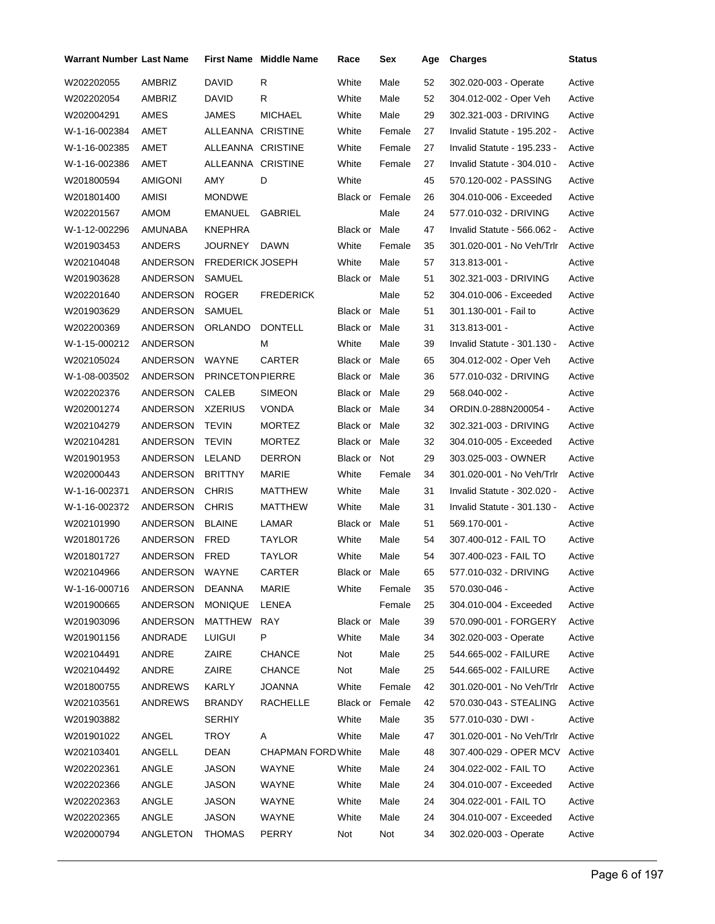| <b>Warrant Number Last Name</b> |                |                         | <b>First Name Middle Name</b> | Race                   | Sex    | Age | <b>Charges</b>              | Status |
|---------------------------------|----------------|-------------------------|-------------------------------|------------------------|--------|-----|-----------------------------|--------|
| W202202055                      | AMBRIZ         | DAVID                   | R                             | White                  | Male   | 52  | 302.020-003 - Operate       | Active |
| W202202054                      | AMBRIZ         | DAVID                   | R                             | White                  | Male   | 52  | 304.012-002 - Oper Veh      | Active |
| W202004291                      | AMES           | JAMES                   | <b>MICHAEL</b>                | White                  | Male   | 29  | 302.321-003 - DRIVING       | Active |
| W-1-16-002384                   | AMET           | ALLEANNA CRISTINE       |                               | White                  | Female | 27  | Invalid Statute - 195.202 - | Active |
| W-1-16-002385                   | AMET           | ALLEANNA CRISTINE       |                               | White                  | Female | 27  | Invalid Statute - 195.233 - | Active |
| W-1-16-002386                   | AMET           | ALLEANNA CRISTINE       |                               | White                  | Female | 27  | Invalid Statute - 304.010 - | Active |
| W201800594                      | AMIGONI        | AMY                     | D                             | White                  |        | 45  | 570.120-002 - PASSING       | Active |
| W201801400                      | AMISI          | <b>MONDWE</b>           |                               | <b>Black or Female</b> |        | 26  | 304.010-006 - Exceeded      | Active |
| W202201567                      | AMOM           | EMANUEL                 | GABRIEL                       |                        | Male   | 24  | 577.010-032 - DRIVING       | Active |
| W-1-12-002296                   | AMUNABA        | <b>KNEPHRA</b>          |                               | Black or Male          |        | 47  | Invalid Statute - 566.062 - | Active |
| W201903453                      | ANDERS         | JOURNEY                 | DAWN                          | White                  | Female | 35  | 301.020-001 - No Veh/Trlr   | Active |
| W202104048                      | ANDERSON       | <b>FREDERICK JOSEPH</b> |                               | White                  | Male   | 57  | 313.813-001 -               | Active |
| W201903628                      | ANDERSON       | SAMUEL                  |                               | <b>Black or Male</b>   |        | 51  | 302.321-003 - DRIVING       | Active |
| W202201640                      | ANDERSON       | <b>ROGER</b>            | <b>FREDERICK</b>              |                        | Male   | 52  | 304.010-006 - Exceeded      | Active |
| W201903629                      | ANDERSON       | <b>SAMUEL</b>           |                               | <b>Black or Male</b>   |        | 51  | 301.130-001 - Fail to       | Active |
| W202200369                      | ANDERSON       | ORLANDO                 | <b>DONTELL</b>                | <b>Black or Male</b>   |        | 31  | 313.813-001 -               | Active |
| W-1-15-000212                   | ANDERSON       |                         | м                             | White                  | Male   | 39  | Invalid Statute - 301.130 - | Active |
| W202105024                      | ANDERSON       | WAYNE                   | <b>CARTER</b>                 | Black or Male          |        | 65  | 304.012-002 - Oper Veh      | Active |
| W-1-08-003502                   | ANDERSON       | <b>PRINCETON PIERRE</b> |                               | Black or Male          |        | 36  | 577.010-032 - DRIVING       | Active |
| W202202376                      | ANDERSON       | <b>CALEB</b>            | <b>SIMEON</b>                 | Black or Male          |        | 29  | 568.040-002 -               | Active |
| W202001274                      | ANDERSON       | <b>XZERIUS</b>          | <b>VONDA</b>                  | Black or Male          |        | 34  | ORDIN.0-288N200054 -        | Active |
| W202104279                      | ANDERSON       | TEVIN                   | <b>MORTEZ</b>                 | Black or Male          |        | 32  | 302.321-003 - DRIVING       | Active |
| W202104281                      | ANDERSON       | <b>TEVIN</b>            | <b>MORTEZ</b>                 | Black or Male          |        | 32  | 304.010-005 - Exceeded      | Active |
| W201901953                      | ANDERSON       | LELAND                  | <b>DERRON</b>                 | Black or Not           |        | 29  | 303.025-003 - OWNER         | Active |
| W202000443                      | ANDERSON       | <b>BRITTNY</b>          | MARIE                         | White                  | Female | 34  | 301.020-001 - No Veh/Trlr   | Active |
| W-1-16-002371                   | ANDERSON       | <b>CHRIS</b>            | MATTHEW                       | White                  | Male   | 31  | Invalid Statute - 302.020 - | Active |
| W-1-16-002372                   | ANDERSON       | <b>CHRIS</b>            | MATTHEW                       | White                  | Male   | 31  | Invalid Statute - 301.130 - | Active |
| W202101990                      | ANDERSON       | <b>BLAINE</b>           | LAMAR                         | Black or Male          |        | 51  | 569.170-001 -               | Active |
| W201801726                      | ANDERSON       | <b>FRED</b>             | <b>TAYLOR</b>                 | White                  | Male   | 54  | 307.400-012 - FAIL TO       | Active |
| W201801727                      | ANDERSON       | <b>FRED</b>             | TAYLOR                        | White                  | Male   | 54  | 307.400-023 - FAIL TO       | Active |
| W202104966                      | ANDERSON WAYNE |                         | CARTER                        | Black or Male          |        | 65  | 577.010-032 - DRIVING       | Active |
| W-1-16-000716                   | ANDERSON       | DEANNA                  | MARIE                         | White                  | Female | 35  | 570.030-046 -               | Active |
| W201900665                      | ANDERSON       | <b>MONIQUE</b>          | LENEA                         |                        | Female | 25  | 304.010-004 - Exceeded      | Active |
| W201903096                      | ANDERSON       | MATTHEW                 | RAY                           | Black or Male          |        | 39  | 570.090-001 - FORGERY       | Active |
| W201901156                      | ANDRADE        | <b>LUIGUI</b>           | P                             | White                  | Male   | 34  | 302.020-003 - Operate       | Active |
| W202104491                      | ANDRE          | ZAIRE                   | <b>CHANCE</b>                 | Not                    | Male   | 25  | 544.665-002 - FAILURE       | Active |
| W202104492                      | ANDRE          | ZAIRE                   | <b>CHANCE</b>                 | Not                    | Male   | 25  | 544.665-002 - FAILURE       | Active |
| W201800755                      | ANDREWS        | KARLY                   | <b>JOANNA</b>                 | White                  | Female | 42  | 301.020-001 - No Veh/Trlr   | Active |
| W202103561                      | ANDREWS        | <b>BRANDY</b>           | RACHELLE                      | Black or Female        |        | 42  | 570.030-043 - STEALING      | Active |
| W201903882                      |                | <b>SERHIY</b>           |                               | White                  | Male   | 35  | 577.010-030 - DWI -         | Active |
| W201901022                      | ANGEL          | <b>TROY</b>             | A                             | White                  | Male   | 47  | 301.020-001 - No Veh/Trlr   | Active |
| W202103401                      | ANGELL         | DEAN                    | <b>CHAPMAN FORD White</b>     |                        | Male   | 48  | 307.400-029 - OPER MCV      | Active |
| W202202361                      | ANGLE          | <b>JASON</b>            | WAYNE                         | White                  | Male   | 24  | 304.022-002 - FAIL TO       | Active |
| W202202366                      | ANGLE          | <b>JASON</b>            | WAYNE                         | White                  | Male   | 24  | 304.010-007 - Exceeded      | Active |
| W202202363                      | ANGLE          | JASON                   | WAYNE                         | White                  | Male   | 24  | 304.022-001 - FAIL TO       | Active |
| W202202365                      | ANGLE          | JASON                   | WAYNE                         | White                  | Male   | 24  | 304.010-007 - Exceeded      | Active |
| W202000794                      | ANGLETON       | <b>THOMAS</b>           | PERRY                         | Not                    | Not    | 34  | 302.020-003 - Operate       | Active |
|                                 |                |                         |                               |                        |        |     |                             |        |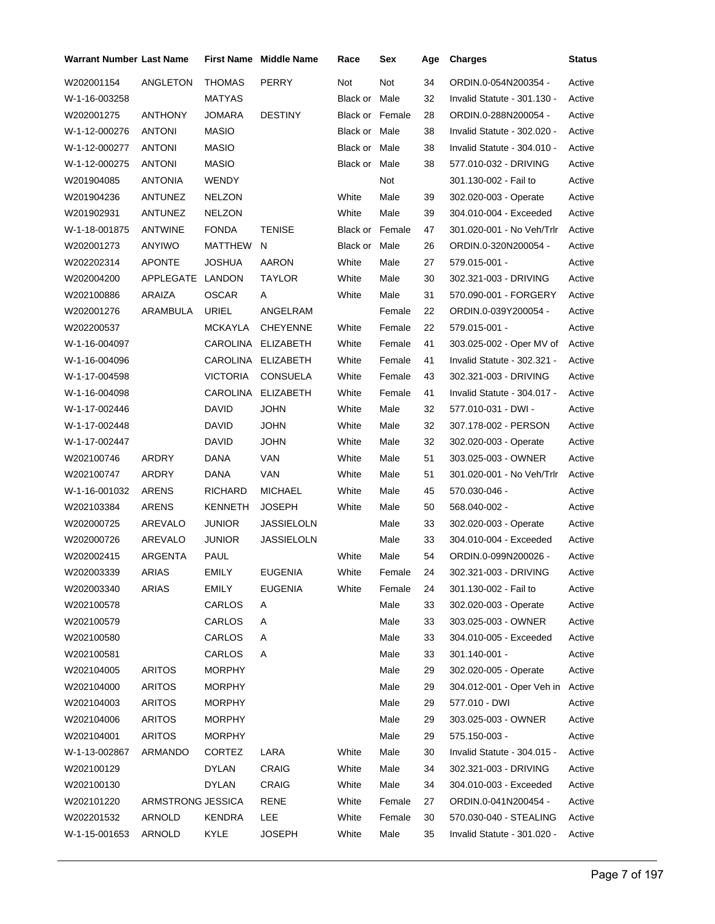| Warrant Number Last Name |                   |                 | <b>First Name Middle Name</b> | Race                   | Sex    | Age | <b>Charges</b>                   | Status |
|--------------------------|-------------------|-----------------|-------------------------------|------------------------|--------|-----|----------------------------------|--------|
| W202001154               | ANGLETON          | <b>THOMAS</b>   | <b>PERRY</b>                  | Not                    | Not    | 34  | ORDIN.0-054N200354 -             | Active |
| W-1-16-003258            |                   | <b>MATYAS</b>   |                               | Black or               | Male   | 32  | Invalid Statute - 301.130 -      | Active |
| W202001275               | <b>ANTHONY</b>    | JOMARA          | <b>DESTINY</b>                | <b>Black or Female</b> |        | 28  | ORDIN.0-288N200054 -             | Active |
| W-1-12-000276            | <b>ANTONI</b>     | <b>MASIO</b>    |                               | Black or Male          |        | 38  | Invalid Statute - 302.020 -      | Active |
| W-1-12-000277            | <b>ANTONI</b>     | <b>MASIO</b>    |                               | Black or Male          |        | 38  | Invalid Statute - 304.010 -      | Active |
| W-1-12-000275            | <b>ANTONI</b>     | <b>MASIO</b>    |                               | Black or Male          |        | 38  | 577.010-032 - DRIVING            | Active |
| W201904085               | <b>ANTONIA</b>    | <b>WENDY</b>    |                               |                        | Not    |     | 301.130-002 - Fail to            | Active |
| W201904236               | ANTUNEZ           | <b>NELZON</b>   |                               | White                  | Male   | 39  | 302.020-003 - Operate            | Active |
| W201902931               | ANTUNEZ           | <b>NELZON</b>   |                               | White                  | Male   | 39  | 304.010-004 - Exceeded           | Active |
| W-1-18-001875            | <b>ANTWINE</b>    | <b>FONDA</b>    | <b>TENISE</b>                 | <b>Black or Female</b> |        | 47  | 301.020-001 - No Veh/Trlr        | Active |
| W202001273               | ANYIWO            | MATTHEW         | N                             | Black or Male          |        | 26  | ORDIN.0-320N200054 -             | Active |
| W202202314               | <b>APONTE</b>     | JOSHUA          | AARON                         | White                  | Male   | 27  | 579.015-001 -                    | Active |
| W202004200               | APPLEGATE LANDON  |                 | TAYLOR                        | White                  | Male   | 30  | 302.321-003 - DRIVING            | Active |
| W202100886               | ARAIZA            | <b>OSCAR</b>    | Α                             | White                  | Male   | 31  | 570.090-001 - FORGERY            | Active |
| W202001276               | ARAMBULA          | URIEL           | ANGELRAM                      |                        | Female | 22  | ORDIN.0-039Y200054 -             | Active |
| W202200537               |                   | MCKAYLA         | <b>CHEYENNE</b>               | White                  | Female | 22  | 579.015-001 -                    | Active |
| W-1-16-004097            |                   | CAROLINA        | <b>ELIZABETH</b>              | White                  | Female | 41  | 303.025-002 - Oper MV of         | Active |
| W-1-16-004096            |                   | CAROLINA        | <b>ELIZABETH</b>              | White                  | Female | 41  | Invalid Statute - 302.321 -      | Active |
| W-1-17-004598            |                   | <b>VICTORIA</b> | <b>CONSUELA</b>               | White                  | Female | 43  | 302.321-003 - DRIVING            | Active |
| W-1-16-004098            |                   | CAROLINA        | <b>ELIZABETH</b>              | White                  | Female | 41  | Invalid Statute - 304.017 -      | Active |
| W-1-17-002446            |                   | DAVID           | <b>JOHN</b>                   | White                  | Male   | 32  | 577.010-031 - DWI -              | Active |
| W-1-17-002448            |                   | DAVID           | <b>JOHN</b>                   | White                  | Male   | 32  | 307.178-002 - PERSON             | Active |
| W-1-17-002447            |                   | DAVID           | <b>JOHN</b>                   | White                  | Male   | 32  | 302.020-003 - Operate            | Active |
| W202100746               | ARDRY             | DANA            | VAN                           | White                  | Male   | 51  | 303.025-003 - OWNER              | Active |
| W202100747               | ARDRY             | DANA            | VAN                           | White                  | Male   | 51  | 301.020-001 - No Veh/Trlr        | Active |
| W-1-16-001032            | ARENS             | <b>RICHARD</b>  | <b>MICHAEL</b>                | White                  | Male   | 45  | 570.030-046 -                    | Active |
| W202103384               | ARENS             | KENNETH         | <b>JOSEPH</b>                 | White                  | Male   | 50  | 568.040-002 -                    | Active |
| W202000725               | AREVALO           | <b>JUNIOR</b>   | <b>JASSIELOLN</b>             |                        | Male   | 33  | 302.020-003 - Operate            | Active |
| W202000726               | AREVALO           | <b>JUNIOR</b>   | <b>JASSIELOLN</b>             |                        | Male   | 33  | 304.010-004 - Exceeded           | Active |
| W202002415               | ARGENTA           | PAUL            |                               | White                  | Male   | 54  | ORDIN.0-099N200026 -             | Active |
| W202003339               | ARIAS             | EMILY           | <b>EUGENIA</b>                | White                  | Female | 24  | 302.321-003 - DRIVING            | Active |
| W202003340               | ARIAS             | EMILY           | <b>EUGENIA</b>                | White                  | Female | 24  | 301.130-002 - Fail to            | Active |
| W202100578               |                   | CARLOS          | A                             |                        | Male   | 33  | 302.020-003 - Operate            | Active |
| W202100579               |                   | CARLOS          | Α                             |                        | Male   | 33  | 303.025-003 - OWNER              | Active |
| W202100580               |                   | <b>CARLOS</b>   | Α                             |                        | Male   | 33  | 304.010-005 - Exceeded           | Active |
| W202100581               |                   | CARLOS          | Α                             |                        | Male   | 33  | 301.140-001 -                    | Active |
| W202104005               | <b>ARITOS</b>     | <b>MORPHY</b>   |                               |                        | Male   | 29  | 302.020-005 - Operate            | Active |
| W202104000               | <b>ARITOS</b>     | <b>MORPHY</b>   |                               |                        | Male   | 29  | 304.012-001 - Oper Veh in Active |        |
| W202104003               | <b>ARITOS</b>     | <b>MORPHY</b>   |                               |                        | Male   | 29  | 577.010 - DWI                    | Active |
| W202104006               | <b>ARITOS</b>     | <b>MORPHY</b>   |                               |                        | Male   | 29  | 303.025-003 - OWNER              | Active |
| W202104001               | <b>ARITOS</b>     | <b>MORPHY</b>   |                               |                        | Male   | 29  | 575.150-003 -                    | Active |
| W-1-13-002867            | ARMANDO           | <b>CORTEZ</b>   | LARA                          | White                  | Male   | 30  | Invalid Statute - 304.015 -      | Active |
| W202100129               |                   | DYLAN           | CRAIG                         | White                  | Male   | 34  | 302.321-003 - DRIVING            | Active |
| W202100130               |                   | <b>DYLAN</b>    | CRAIG                         | White                  | Male   | 34  | 304.010-003 - Exceeded           | Active |
| W202101220               | ARMSTRONG JESSICA |                 | RENE                          | White                  | Female | 27  | ORDIN.0-041N200454 -             | Active |
| W202201532               | ARNOLD            | KENDRA          | LEE                           | White                  | Female | 30  | 570.030-040 - STEALING           | Active |
| W-1-15-001653            | ARNOLD            | KYLE            | <b>JOSEPH</b>                 | White                  | Male   | 35  | Invalid Statute - 301.020 -      | Active |
|                          |                   |                 |                               |                        |        |     |                                  |        |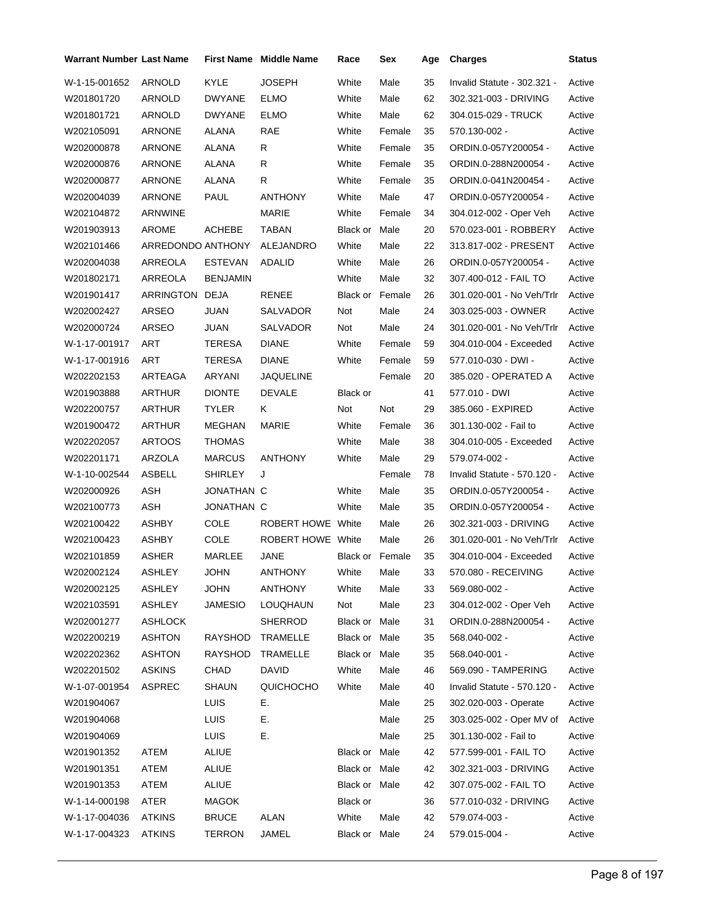| <b>Warrant Number Last Name</b> |                   |                 | <b>First Name</b> Middle Name | Race                   | Sex    | Age | <b>Charges</b>              | <b>Status</b> |
|---------------------------------|-------------------|-----------------|-------------------------------|------------------------|--------|-----|-----------------------------|---------------|
| W-1-15-001652                   | ARNOLD            | <b>KYLE</b>     | <b>JOSEPH</b>                 | White                  | Male   | 35  | Invalid Statute - 302.321 - | Active        |
| W201801720                      | <b>ARNOLD</b>     | <b>DWYANE</b>   | <b>ELMO</b>                   | White                  | Male   | 62  | 302.321-003 - DRIVING       | Active        |
| W201801721                      | ARNOLD            | <b>DWYANE</b>   | ELMO                          | White                  | Male   | 62  | 304.015-029 - TRUCK         | Active        |
| W202105091                      | ARNONE            | ALANA           | RAE                           | White                  | Female | 35  | 570.130-002 -               | Active        |
| W202000878                      | ARNONE            | ALANA           | R                             | White                  | Female | 35  | ORDIN.0-057Y200054 -        | Active        |
| W202000876                      | ARNONE            | ALANA           | R                             | White                  | Female | 35  | ORDIN.0-288N200054 -        | Active        |
| W202000877                      | ARNONE            | ALANA           | R.                            | White                  | Female | 35  | ORDIN.0-041N200454 -        | Active        |
| W202004039                      | ARNONE            | PAUL            | <b>ANTHONY</b>                | White                  | Male   | 47  | ORDIN.0-057Y200054 -        | Active        |
| W202104872                      | ARNWINE           |                 | <b>MARIE</b>                  | White                  | Female | 34  | 304.012-002 - Oper Veh      | Active        |
| W201903913                      | AROME             | ACHEBE          | TABAN                         | Black or               | Male   | 20  | 570.023-001 - ROBBERY       | Active        |
| W202101466                      | ARREDONDO ANTHONY |                 | ALEJANDRO                     | White                  | Male   | 22  | 313.817-002 - PRESENT       | Active        |
| W202004038                      | ARREOLA           | <b>ESTEVAN</b>  | ADALID                        | White                  | Male   | 26  | ORDIN.0-057Y200054 -        | Active        |
| W201802171                      | ARREOLA           | <b>BENJAMIN</b> |                               | White                  | Male   | 32  | 307.400-012 - FAIL TO       | Active        |
| W201901417                      | ARRINGTON         | DEJA            | RENEE                         | <b>Black or Female</b> |        | 26  | 301.020-001 - No Veh/Trlr   | Active        |
| W202002427                      | ARSEO             | JUAN            | <b>SALVADOR</b>               | Not                    | Male   | 24  | 303.025-003 - OWNER         | Active        |
| W202000724                      | ARSEO             | JUAN            | <b>SALVADOR</b>               | Not                    | Male   | 24  | 301.020-001 - No Veh/Trlr   | Active        |
| W-1-17-001917                   | <b>ART</b>        | TERESA          | <b>DIANE</b>                  | White                  | Female | 59  | 304.010-004 - Exceeded      | Active        |
| W-1-17-001916                   | ART               | TERESA          | <b>DIANE</b>                  | White                  | Female | 59  | 577.010-030 - DWI -         | Active        |
| W202202153                      | ARTEAGA           | ARYANI          | <b>JAQUELINE</b>              |                        | Female | 20  | 385.020 - OPERATED A        | Active        |
| W201903888                      | ARTHUR            | <b>DIONTE</b>   | <b>DEVALE</b>                 | Black or               |        | 41  | 577.010 - DWI               | Active        |
| W202200757                      | ARTHUR            | <b>TYLER</b>    | Κ                             | Not                    | Not    | 29  | 385.060 - EXPIRED           | Active        |
| W201900472                      | ARTHUR            | MEGHAN          | MARIE                         | White                  | Female | 36  | 301.130-002 - Fail to       | Active        |
| W202202057                      | <b>ARTOOS</b>     | THOMAS          |                               | White                  | Male   | 38  | 304.010-005 - Exceeded      | Active        |
| W202201171                      | ARZOLA            | <b>MARCUS</b>   | <b>ANTHONY</b>                | White                  | Male   | 29  | 579.074-002 -               | Active        |
| W-1-10-002544                   | <b>ASBELL</b>     | <b>SHIRLEY</b>  | J                             |                        | Female | 78  | Invalid Statute - 570.120 - | Active        |
| W202000926                      | <b>ASH</b>        | JONATHAN C      |                               | White                  | Male   | 35  | ORDIN.0-057Y200054 -        | Active        |
| W202100773                      | <b>ASH</b>        | JONATHAN C      |                               | White                  | Male   | 35  | ORDIN.0-057Y200054 -        | Active        |
| W202100422                      | ASHBY             | <b>COLE</b>     | ROBERT HOWE White             |                        | Male   | 26  | 302.321-003 - DRIVING       | Active        |
| W202100423                      | ASHBY             | <b>COLE</b>     | ROBERT HOWE White             |                        | Male   | 26  | 301.020-001 - No Veh/Trlr   | Active        |
| W202101859                      | ASHER             | <b>MARLEE</b>   | JANE                          | <b>Black or Female</b> |        | 35  | 304.010-004 - Exceeded      | Active        |
| W202002124                      | ASHLEY            | JOHN            | ANTHONY                       | White                  | Male   | 33  | 570.080 - RECEIVING         | Active        |
| W202002125                      | <b>ASHLEY</b>     | <b>JOHN</b>     | <b>ANTHONY</b>                | White                  | Male   | 33  | 569.080-002 -               | Active        |
| W202103591                      | ASHLEY            | JAMESIO         | LOUQHAUN                      | Not                    | Male   | 23  | 304.012-002 - Oper Veh      | Active        |
| W202001277                      | <b>ASHLOCK</b>    |                 | <b>SHERROD</b>                | Black or Male          |        | 31  | ORDIN.0-288N200054 -        | Active        |
| W202200219                      | <b>ASHTON</b>     | <b>RAYSHOD</b>  | TRAMELLE                      | Black or Male          |        | 35  | 568.040-002 -               | Active        |
| W202202362                      | <b>ASHTON</b>     | RAYSHOD         | TRAMELLE                      | Black or Male          |        | 35  | 568.040-001 -               | Active        |
| W202201502                      | <b>ASKINS</b>     | CHAD            | DAVID                         | White                  | Male   | 46  | 569.090 - TAMPERING         | Active        |
| W-1-07-001954                   | <b>ASPREC</b>     | SHAUN           | QUICHOCHO                     | White                  | Male   | 40  | Invalid Statute - 570.120 - | Active        |
| W201904067                      |                   | LUIS            | Е.                            |                        | Male   | 25  | 302.020-003 - Operate       | Active        |
| W201904068                      |                   | LUIS            | Е.                            |                        | Male   | 25  | 303.025-002 - Oper MV of    | Active        |
| W201904069                      |                   | LUIS            | Е.                            |                        | Male   | 25  | 301.130-002 - Fail to       | Active        |
| W201901352                      | ATEM              | ALIUE           |                               | Black or Male          |        | 42  | 577.599-001 - FAIL TO       | Active        |
| W201901351                      | ATEM              | ALIUE           |                               | Black or Male          |        | 42  | 302.321-003 - DRIVING       | Active        |
| W201901353                      | ATEM              | ALIUE           |                               | Black or Male          |        | 42  | 307.075-002 - FAIL TO       | Active        |
| W-1-14-000198                   | ATER              | <b>MAGOK</b>    |                               | Black or               |        | 36  | 577.010-032 - DRIVING       | Active        |
| W-1-17-004036                   | <b>ATKINS</b>     | <b>BRUCE</b>    | <b>ALAN</b>                   | White                  | Male   | 42  | 579.074-003 -               | Active        |
| W-1-17-004323                   | <b>ATKINS</b>     | <b>TERRON</b>   | JAMEL                         | Black or Male          |        | 24  | 579.015-004 -               | Active        |
|                                 |                   |                 |                               |                        |        |     |                             |               |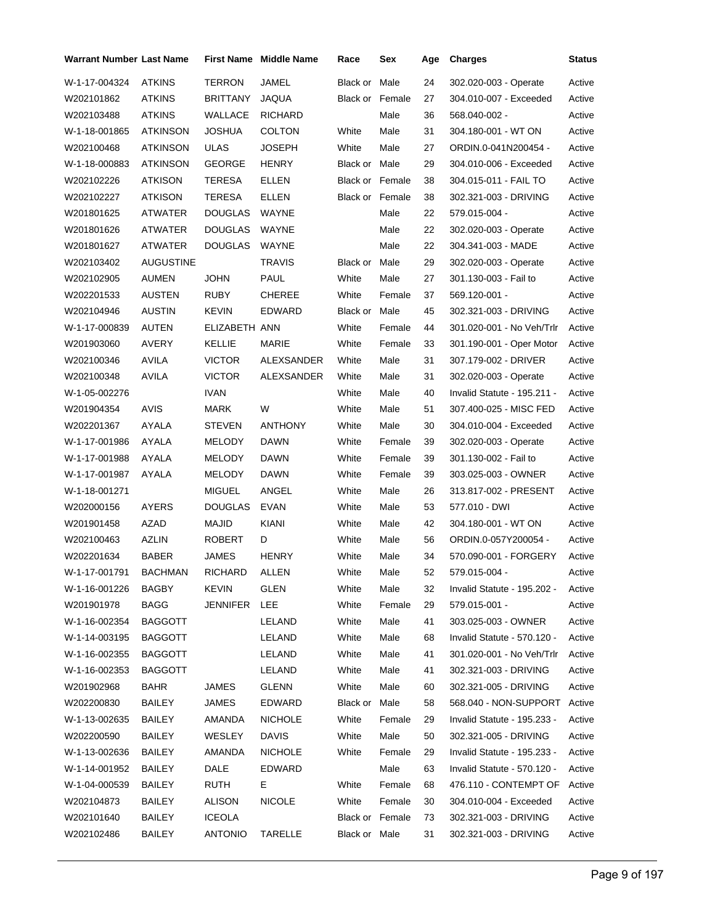| Warrant Number Last Name |                  |                 | <b>First Name Middle Name</b> | Race                   | Sex    | Age | <b>Charges</b>               | <b>Status</b> |
|--------------------------|------------------|-----------------|-------------------------------|------------------------|--------|-----|------------------------------|---------------|
| W-1-17-004324            | <b>ATKINS</b>    | <b>TERRON</b>   | JAMEL                         | Black or               | Male   | 24  | 302.020-003 - Operate        | Active        |
| W202101862               | <b>ATKINS</b>    | <b>BRITTANY</b> | <b>JAQUA</b>                  | <b>Black or Female</b> |        | 27  | 304.010-007 - Exceeded       | Active        |
| W202103488               | <b>ATKINS</b>    | WALLACE         | <b>RICHARD</b>                |                        | Male   | 36  | 568.040-002 -                | Active        |
| W-1-18-001865            | <b>ATKINSON</b>  | JOSHUA          | <b>COLTON</b>                 | White                  | Male   | 31  | 304.180-001 - WT ON          | Active        |
| W202100468               | ATKINSON         | <b>ULAS</b>     | <b>JOSEPH</b>                 | White                  | Male   | 27  | ORDIN.0-041N200454 -         | Active        |
| W-1-18-000883            | <b>ATKINSON</b>  | <b>GEORGE</b>   | <b>HENRY</b>                  | Black or Male          |        | 29  | 304.010-006 - Exceeded       | Active        |
| W202102226               | <b>ATKISON</b>   | TERESA          | ELLEN                         | <b>Black or Female</b> |        | 38  | 304.015-011 - FAIL TO        | Active        |
| W202102227               | <b>ATKISON</b>   | <b>TERESA</b>   | ELLEN                         | <b>Black or Female</b> |        | 38  | 302.321-003 - DRIVING        | Active        |
| W201801625               | ATWATER          | <b>DOUGLAS</b>  | WAYNE                         |                        | Male   | 22  | 579.015-004 -                | Active        |
| W201801626               | ATWATER          | <b>DOUGLAS</b>  | WAYNE                         |                        | Male   | 22  | 302.020-003 - Operate        | Active        |
| W201801627               | ATWATER          | <b>DOUGLAS</b>  | <b>WAYNE</b>                  |                        | Male   | 22  | 304.341-003 - MADE           | Active        |
| W202103402               | <b>AUGUSTINE</b> |                 | <b>TRAVIS</b>                 | Black or Male          |        | 29  | 302.020-003 - Operate        | Active        |
| W202102905               | <b>AUMEN</b>     | JOHN            | <b>PAUL</b>                   | White                  | Male   | 27  | 301.130-003 - Fail to        | Active        |
| W202201533               | AUSTEN           | RUBY            | <b>CHEREE</b>                 | White                  | Female | 37  | 569.120-001 -                | Active        |
| W202104946               | <b>AUSTIN</b>    | <b>KEVIN</b>    | EDWARD                        | Black or Male          |        | 45  | 302.321-003 - DRIVING        | Active        |
| W-1-17-000839            | AUTEN            | ELIZABETH ANN   |                               | White                  | Female | 44  | 301.020-001 - No Veh/Trlr    | Active        |
| W201903060               | AVERY            | <b>KELLIE</b>   | MARIE                         | White                  | Female | 33  | 301.190-001 - Oper Motor     | Active        |
| W202100346               | <b>AVILA</b>     | <b>VICTOR</b>   | ALEXSANDER                    | White                  | Male   | 31  | 307.179-002 - DRIVER         | Active        |
| W202100348               | AVILA            | <b>VICTOR</b>   | ALEXSANDER                    | White                  | Male   | 31  | 302.020-003 - Operate        | Active        |
| W-1-05-002276            |                  | <b>IVAN</b>     |                               | White                  | Male   | 40  | Invalid Statute - 195.211 -  | Active        |
| W201904354               | <b>AVIS</b>      | MARK            | W                             | White                  | Male   | 51  | 307.400-025 - MISC FED       | Active        |
| W202201367               | AYALA            | <b>STEVEN</b>   | <b>ANTHONY</b>                | White                  | Male   | 30  | 304.010-004 - Exceeded       | Active        |
| W-1-17-001986            | AYALA            | MELODY          | <b>DAWN</b>                   | White                  | Female | 39  | 302.020-003 - Operate        | Active        |
| W-1-17-001988            | AYALA            | MELODY          | <b>DAWN</b>                   | White                  | Female | 39  | 301.130-002 - Fail to        | Active        |
| W-1-17-001987            | AYALA            | <b>MELODY</b>   | <b>DAWN</b>                   | White                  | Female | 39  | 303.025-003 - OWNER          | Active        |
| W-1-18-001271            |                  | <b>MIGUEL</b>   | ANGEL                         | White                  | Male   | 26  | 313.817-002 - PRESENT        | Active        |
| W202000156               | AYERS            | <b>DOUGLAS</b>  | EVAN                          | White                  | Male   | 53  | 577.010 - DWI                | Active        |
| W201901458               | AZAD             | MAJID           | <b>KIANI</b>                  | White                  | Male   | 42  | 304.180-001 - WT ON          | Active        |
| W202100463               | <b>AZLIN</b>     | ROBERT          | D                             | White                  | Male   | 56  | ORDIN.0-057Y200054 -         | Active        |
| W202201634               | <b>BABER</b>     | JAMES           | <b>HENRY</b>                  | White                  | Male   | 34  | 570.090-001 - FORGERY        | Active        |
| W-1-17-001791            | BACHMAN          | RICHARD         | ALLEN                         | White                  | Male   | 52  | 579.015-004 -                | Active        |
| W-1-16-001226            | BAGBY            | <b>KEVIN</b>    | GLEN                          | White                  | Male   | 32  | Invalid Statute - 195.202 -  | Active        |
| W201901978               | <b>BAGG</b>      | JENNIFER LEE    |                               | White                  | Female | 29  | 579.015-001 -                | Active        |
| W-1-16-002354            | <b>BAGGOTT</b>   |                 | LELAND                        | White                  | Male   | 41  | 303.025-003 - OWNER          | Active        |
| W-1-14-003195            | <b>BAGGOTT</b>   |                 | LELAND                        | White                  | Male   | 68  | Invalid Statute - 570.120 -  | Active        |
| W-1-16-002355            | <b>BAGGOTT</b>   |                 | LELAND                        | White                  | Male   | 41  | 301.020-001 - No Veh/Trlr    | Active        |
| W-1-16-002353            | <b>BAGGOTT</b>   |                 | LELAND                        | White                  | Male   | 41  | 302.321-003 - DRIVING        | Active        |
| W201902968               | <b>BAHR</b>      | JAMES           | <b>GLENN</b>                  | White                  | Male   | 60  | 302.321-005 - DRIVING        | Active        |
| W202200830               | BAILEY           | JAMES           | EDWARD                        | Black or Male          |        | 58  | 568.040 - NON-SUPPORT Active |               |
| W-1-13-002635            | <b>BAILEY</b>    | AMANDA          | <b>NICHOLE</b>                | White                  | Female | 29  | Invalid Statute - 195.233 -  | Active        |
| W202200590               | <b>BAILEY</b>    | WESLEY          | <b>DAVIS</b>                  | White                  | Male   | 50  | 302.321-005 - DRIVING        | Active        |
| W-1-13-002636            | <b>BAILEY</b>    | AMANDA          | <b>NICHOLE</b>                | White                  | Female | 29  | Invalid Statute - 195.233 -  | Active        |
| W-1-14-001952            | <b>BAILEY</b>    | DALE            | EDWARD                        |                        | Male   | 63  | Invalid Statute - 570.120 -  | Active        |
| W-1-04-000539            | <b>BAILEY</b>    | RUTH            | Е.                            | White                  | Female | 68  | 476.110 - CONTEMPT OF        | Active        |
| W202104873               | <b>BAILEY</b>    | ALISON          | <b>NICOLE</b>                 | White                  | Female | 30  | 304.010-004 - Exceeded       | Active        |
| W202101640               | <b>BAILEY</b>    | <b>ICEOLA</b>   |                               | Black or Female        |        | 73  | 302.321-003 - DRIVING        | Active        |
| W202102486               | <b>BAILEY</b>    | <b>ANTONIO</b>  | <b>TARELLE</b>                | Black or Male          |        | 31  | 302.321-003 - DRIVING        | Active        |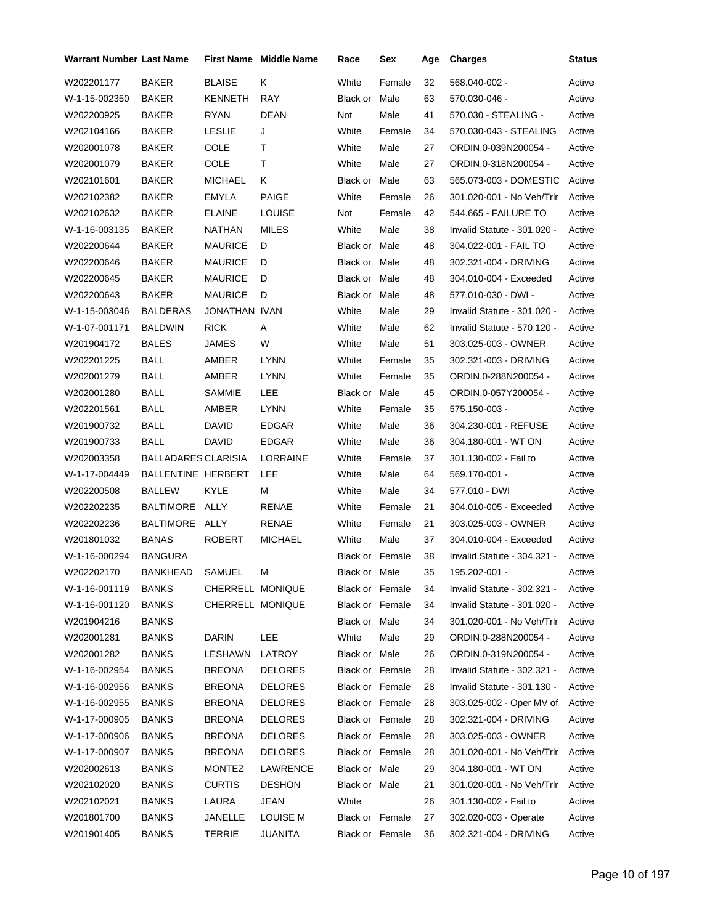| <b>Warrant Number Last Name</b> |                            |                  | <b>First Name Middle Name</b> | Race                   | Sex    | Age | <b>Charges</b>              | <b>Status</b> |
|---------------------------------|----------------------------|------------------|-------------------------------|------------------------|--------|-----|-----------------------------|---------------|
| W202201177                      | <b>BAKER</b>               | <b>BLAISE</b>    | Κ                             | White                  | Female | 32  | 568.040-002 -               | Active        |
| W-1-15-002350                   | BAKER                      | <b>KENNETH</b>   | <b>RAY</b>                    | Black or               | Male   | 63  | 570.030-046 -               | Active        |
| W202200925                      | BAKER                      | <b>RYAN</b>      | DEAN                          | Not                    | Male   | 41  | 570.030 - STEALING -        | Active        |
| W202104166                      | BAKER                      | LESLIE           | J                             | White                  | Female | 34  | 570.030-043 - STEALING      | Active        |
| W202001078                      | BAKER                      | COLE             | т                             | White                  | Male   | 27  | ORDIN.0-039N200054 -        | Active        |
| W202001079                      | BAKER                      | <b>COLE</b>      | т                             | White                  | Male   | 27  | ORDIN.0-318N200054 -        | Active        |
| W202101601                      | BAKER                      | <b>MICHAEL</b>   | Κ                             | Black or               | Male   | 63  | 565.073-003 - DOMESTIC      | Active        |
| W202102382                      | BAKER                      | <b>EMYLA</b>     | <b>PAIGE</b>                  | White                  | Female | 26  | 301.020-001 - No Veh/Trlr   | Active        |
| W202102632                      | BAKER                      | <b>ELAINE</b>    | <b>LOUISE</b>                 | Not                    | Female | 42  | 544.665 - FAILURE TO        | Active        |
| W-1-16-003135                   | BAKER                      | NATHAN           | <b>MILES</b>                  | White                  | Male   | 38  | Invalid Statute - 301.020 - | Active        |
| W202200644                      | BAKER                      | <b>MAURICE</b>   | D                             | Black or Male          |        | 48  | 304.022-001 - FAIL TO       | Active        |
| W202200646                      | BAKER                      | <b>MAURICE</b>   | D                             | Black or Male          |        | 48  | 302.321-004 - DRIVING       | Active        |
| W202200645                      | BAKER                      | <b>MAURICE</b>   | D                             | Black or               | Male   | 48  | 304.010-004 - Exceeded      | Active        |
| W202200643                      | <b>BAKER</b>               | <b>MAURICE</b>   | D                             | Black or               | Male   | 48  | 577.010-030 - DWI -         | Active        |
| W-1-15-003046                   | <b>BALDERAS</b>            | JONATHAN IVAN    |                               | White                  | Male   | 29  | Invalid Statute - 301.020 - | Active        |
| W-1-07-001171                   | <b>BALDWIN</b>             | <b>RICK</b>      | Α                             | White                  | Male   | 62  | Invalid Statute - 570.120 - | Active        |
| W201904172                      | <b>BALES</b>               | <b>JAMES</b>     | W                             | White                  | Male   | 51  | 303.025-003 - OWNER         | Active        |
| W202201225                      | <b>BALL</b>                | AMBER            | <b>LYNN</b>                   | White                  | Female | 35  | 302.321-003 - DRIVING       | Active        |
| W202001279                      | BALL                       | AMBER            | <b>LYNN</b>                   | White                  | Female | 35  | ORDIN.0-288N200054 -        | Active        |
| W202001280                      | <b>BALL</b>                | <b>SAMMIE</b>    | LEE                           | Black or               | Male   | 45  | ORDIN.0-057Y200054 -        | Active        |
| W202201561                      | <b>BALL</b>                | AMBER            | <b>LYNN</b>                   | White                  | Female | 35  | 575.150-003 -               | Active        |
| W201900732                      | <b>BALL</b>                | <b>DAVID</b>     | <b>EDGAR</b>                  | White                  | Male   | 36  | 304.230-001 - REFUSE        | Active        |
| W201900733                      | BALL                       | <b>DAVID</b>     | <b>EDGAR</b>                  | White                  | Male   | 36  | 304.180-001 - WT ON         | Active        |
| W202003358                      | <b>BALLADARES CLARISIA</b> |                  | LORRAINE                      | White                  | Female | 37  | 301.130-002 - Fail to       | Active        |
| W-1-17-004449                   | BALLENTINE HERBERT         |                  | LEE                           | White                  | Male   | 64  | 569.170-001 -               | Active        |
| W202200508                      | <b>BALLEW</b>              | KYLE             | М                             | White                  | Male   | 34  | 577.010 - DWI               | Active        |
| W202202235                      | BALTIMORE ALLY             |                  | RENAE                         | White                  | Female | 21  | 304.010-005 - Exceeded      | Active        |
| W202202236                      | BALTIMORE ALLY             |                  | RENAE                         | White                  | Female | 21  | 303.025-003 - OWNER         | Active        |
| W201801032                      | <b>BANAS</b>               | ROBERT           | <b>MICHAEL</b>                | White                  | Male   | 37  | 304.010-004 - Exceeded      | Active        |
| W-1-16-000294                   | <b>BANGURA</b>             |                  |                               | Black or Female        |        | 38  | Invalid Statute - 304.321 - | Active        |
| W202202170                      | BANKHEAD                   | SAMUEL           | M                             | Black or Male          |        | 35  | 195.202-001 -               | Active        |
| W-1-16-001119                   | <b>BANKS</b>               | CHERRELL MONIQUE |                               | <b>Black or Female</b> |        | 34  | Invalid Statute - 302.321 - | Active        |
| W-1-16-001120                   | <b>BANKS</b>               | CHERRELL MONIQUE |                               | Black or Female        |        | 34  | Invalid Statute - 301.020 - | Active        |
| W201904216                      | <b>BANKS</b>               |                  |                               | Black or Male          |        | 34  | 301.020-001 - No Veh/Trlr   | Active        |
| W202001281                      | <b>BANKS</b>               | <b>DARIN</b>     | LEE                           | White                  | Male   | 29  | ORDIN.0-288N200054 -        | Active        |
| W202001282                      | <b>BANKS</b>               | LESHAWN          | LATROY                        | Black or Male          |        | 26  | ORDIN.0-319N200054 -        | Active        |
| W-1-16-002954                   | <b>BANKS</b>               | <b>BREONA</b>    | <b>DELORES</b>                | <b>Black or Female</b> |        | 28  | Invalid Statute - 302.321 - | Active        |
| W-1-16-002956                   | <b>BANKS</b>               | <b>BREONA</b>    | <b>DELORES</b>                | Black or Female        |        | 28  | Invalid Statute - 301.130 - | Active        |
| W-1-16-002955                   | <b>BANKS</b>               | <b>BREONA</b>    | <b>DELORES</b>                | Black or Female        |        | 28  | 303.025-002 - Oper MV of    | Active        |
| W-1-17-000905                   | <b>BANKS</b>               | <b>BREONA</b>    | <b>DELORES</b>                | Black or Female        |        | 28  | 302.321-004 - DRIVING       | Active        |
| W-1-17-000906                   | <b>BANKS</b>               | <b>BREONA</b>    | <b>DELORES</b>                | Black or Female        |        | 28  | 303.025-003 - OWNER         | Active        |
| W-1-17-000907                   | <b>BANKS</b>               | <b>BREONA</b>    | <b>DELORES</b>                | Black or Female        |        | 28  | 301.020-001 - No Veh/Trlr   | Active        |
| W202002613                      | <b>BANKS</b>               | <b>MONTEZ</b>    | LAWRENCE                      | Black or Male          |        | 29  | 304.180-001 WT ON           | Active        |
| W202102020                      | <b>BANKS</b>               | <b>CURTIS</b>    | <b>DESHON</b>                 | Black or Male          |        | 21  | 301.020-001 - No Veh/Trlr   | Active        |
| W202102021                      | <b>BANKS</b>               | LAURA            | <b>JEAN</b>                   | White                  |        | 26  | 301.130-002 - Fail to       | Active        |
| W201801700                      | <b>BANKS</b>               | JANELLE          | LOUISE M                      | Black or Female        |        | 27  | 302.020-003 - Operate       | Active        |
| W201901405                      | <b>BANKS</b>               | <b>TERRIE</b>    | <b>JUANITA</b>                | Black or Female        |        | 36  | 302.321-004 - DRIVING       | Active        |
|                                 |                            |                  |                               |                        |        |     |                             |               |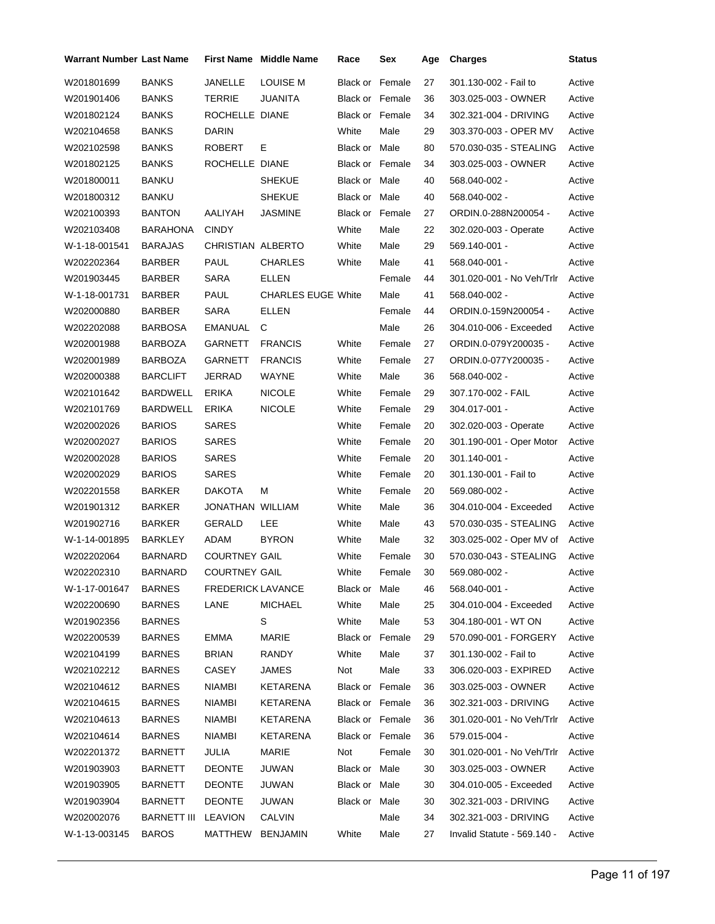| <b>Warrant Number Last Name</b> |                 |                          | <b>First Name Middle Name</b> | Race                   | Sex    | Age | <b>Charges</b>              | Status |
|---------------------------------|-----------------|--------------------------|-------------------------------|------------------------|--------|-----|-----------------------------|--------|
| W201801699                      | <b>BANKS</b>    | JANELLE                  | <b>LOUISE M</b>               | Black or               | Female | 27  | 301.130-002 - Fail to       | Active |
| W201901406                      | <b>BANKS</b>    | <b>TERRIE</b>            | JUANITA                       | Black or Female        |        | 36  | 303.025-003 - OWNER         | Active |
| W201802124                      | <b>BANKS</b>    | ROCHELLE DIANE           |                               | Black or Female        |        | 34  | 302.321-004 - DRIVING       | Active |
| W202104658                      | <b>BANKS</b>    | <b>DARIN</b>             |                               | White                  | Male   | 29  | 303.370-003 - OPER MV       | Active |
| W202102598                      | <b>BANKS</b>    | <b>ROBERT</b>            | Е                             | Black or Male          |        | 80  | 570.030-035 - STEALING      | Active |
| W201802125                      | <b>BANKS</b>    | ROCHELLE DIANE           |                               | Black or Female        |        | 34  | 303.025-003 - OWNER         | Active |
| W201800011                      | <b>BANKU</b>    |                          | <b>SHEKUE</b>                 | Black or Male          |        | 40  | 568.040-002 -               | Active |
| W201800312                      | <b>BANKU</b>    |                          | <b>SHEKUE</b>                 | Black or Male          |        | 40  | 568.040-002 -               | Active |
| W202100393                      | <b>BANTON</b>   | AALIYAH                  | JASMINE                       | <b>Black or Female</b> |        | 27  | ORDIN.0-288N200054 -        | Active |
| W202103408                      | BARAHONA        | <b>CINDY</b>             |                               | White                  | Male   | 22  | 302.020-003 - Operate       | Active |
| W-1-18-001541                   | <b>BARAJAS</b>  | CHRISTIAN ALBERTO        |                               | White                  | Male   | 29  | 569.140-001 -               | Active |
| W202202364                      | <b>BARBER</b>   | PAUL                     | <b>CHARLES</b>                | White                  | Male   | 41  | 568.040-001 -               | Active |
| W201903445                      | BARBER          | SARA                     | ELLEN                         |                        | Female | 44  | 301.020-001 - No Veh/Trlr   | Active |
| W-1-18-001731                   | <b>BARBER</b>   | <b>PAUL</b>              | <b>CHARLES EUGE White</b>     |                        | Male   | 41  | 568.040-002 -               | Active |
| W202000880                      | <b>BARBER</b>   | <b>SARA</b>              | ELLEN                         |                        | Female | 44  | ORDIN.0-159N200054 -        | Active |
| W202202088                      | <b>BARBOSA</b>  | EMANUAL                  | С                             |                        | Male   | 26  | 304.010-006 - Exceeded      | Active |
| W202001988                      | <b>BARBOZA</b>  | GARNETT                  | <b>FRANCIS</b>                | White                  | Female | 27  | ORDIN.0-079Y200035 -        | Active |
| W202001989                      | <b>BARBOZA</b>  | <b>GARNETT</b>           | <b>FRANCIS</b>                | White                  | Female | 27  | ORDIN.0-077Y200035 -        | Active |
| W202000388                      | <b>BARCLIFT</b> | JERRAD                   | <b>WAYNE</b>                  | White                  | Male   | 36  | 568.040-002 -               | Active |
| W202101642                      | <b>BARDWELL</b> | <b>ERIKA</b>             | <b>NICOLE</b>                 | White                  | Female | 29  | 307.170-002 - FAIL          | Active |
| W202101769                      | <b>BARDWELL</b> | <b>ERIKA</b>             | <b>NICOLE</b>                 | White                  | Female | 29  | 304.017-001 -               | Active |
| W202002026                      | <b>BARIOS</b>   | <b>SARES</b>             |                               | White                  | Female | 20  | 302.020-003 - Operate       | Active |
| W202002027                      | <b>BARIOS</b>   | <b>SARES</b>             |                               | White                  | Female | 20  | 301.190-001 - Oper Motor    | Active |
| W202002028                      | <b>BARIOS</b>   | <b>SARES</b>             |                               | White                  | Female | 20  | 301.140-001 -               | Active |
| W202002029                      | <b>BARIOS</b>   | <b>SARES</b>             |                               | White                  | Female | 20  | 301.130-001 - Fail to       | Active |
| W202201558                      | <b>BARKER</b>   | <b>DAKOTA</b>            | м                             | White                  | Female | 20  | 569.080-002 -               | Active |
| W201901312                      | <b>BARKER</b>   | JONATHAN WILLIAM         |                               | White                  | Male   | 36  | 304.010-004 - Exceeded      | Active |
| W201902716                      | <b>BARKER</b>   | GERALD                   | LEE                           | White                  | Male   | 43  | 570.030-035 - STEALING      | Active |
| W-1-14-001895                   | <b>BARKLEY</b>  | ADAM                     | <b>BYRON</b>                  | White                  | Male   | 32  | 303.025-002 - Oper MV of    | Active |
| W202202064                      | <b>BARNARD</b>  | <b>COURTNEY GAIL</b>     |                               | White                  | Female | 30  | 570.030-043 - STEALING      | Active |
| W202202310                      | BARNARD         | <b>COURTNEY GAIL</b>     |                               | White                  | Female | 30  | 569.080-002 -               | Active |
| W-1-17-001647                   | <b>BARNES</b>   | <b>FREDERICK LAVANCE</b> |                               | Black or Male          |        | 46  | 568.040-001 -               | Active |
| W202200690                      | <b>BARNES</b>   | LANE                     | <b>MICHAEL</b>                | White                  | Male   | 25  | 304.010-004 - Exceeded      | Active |
| W201902356                      | <b>BARNES</b>   |                          | S                             | White                  | Male   | 53  | 304.180-001 - WT ON         | Active |
| W202200539                      | <b>BARNES</b>   | <b>EMMA</b>              | MARIE                         | Black or Female        |        | 29  | 570.090-001 - FORGERY       | Active |
| W202104199                      | <b>BARNES</b>   | <b>BRIAN</b>             | RANDY                         | White                  | Male   | 37  | 301.130-002 - Fail to       | Active |
| W202102212                      | <b>BARNES</b>   | CASEY                    | JAMES                         | Not                    | Male   | 33  | 306.020-003 - EXPIRED       | Active |
| W202104612                      | <b>BARNES</b>   | NIAMBI                   | KETARENA                      | Black or Female        |        | 36  | 303.025-003 - OWNER         | Active |
| W202104615                      | <b>BARNES</b>   | NIAMBI                   | KETARENA                      | Black or Female        |        | 36  | 302.321-003 - DRIVING       | Active |
| W202104613                      | <b>BARNES</b>   | <b>NIAMBI</b>            | KETARENA                      | Black or Female        |        | 36  | 301.020-001 - No Veh/Trlr   | Active |
| W202104614                      | <b>BARNES</b>   | <b>NIAMBI</b>            | KETARENA                      | Black or Female        |        | 36  | 579.015-004 -               | Active |
| W202201372                      | <b>BARNETT</b>  | <b>JULIA</b>             | MARIE                         | Not                    | Female | 30  | 301.020-001 - No Veh/Trlr   | Active |
| W201903903                      | <b>BARNETT</b>  | <b>DEONTE</b>            | JUWAN                         | Black or Male          |        | 30  | 303.025-003 - OWNER         | Active |
| W201903905                      | <b>BARNETT</b>  | <b>DEONTE</b>            | JUWAN                         | Black or Male          |        | 30  | 304.010-005 - Exceeded      | Active |
| W201903904                      | BARNETT         | <b>DEONTE</b>            | JUWAN                         | Black or Male          |        | 30  | 302.321-003 - DRIVING       | Active |
| W202002076                      | BARNETT III     | LEAVION                  | CALVIN                        |                        | Male   | 34  | 302.321-003 - DRIVING       | Active |
| W-1-13-003145                   | <b>BAROS</b>    | MATTHEW                  | <b>BENJAMIN</b>               | White                  | Male   | 27  | Invalid Statute - 569.140 - | Active |
|                                 |                 |                          |                               |                        |        |     |                             |        |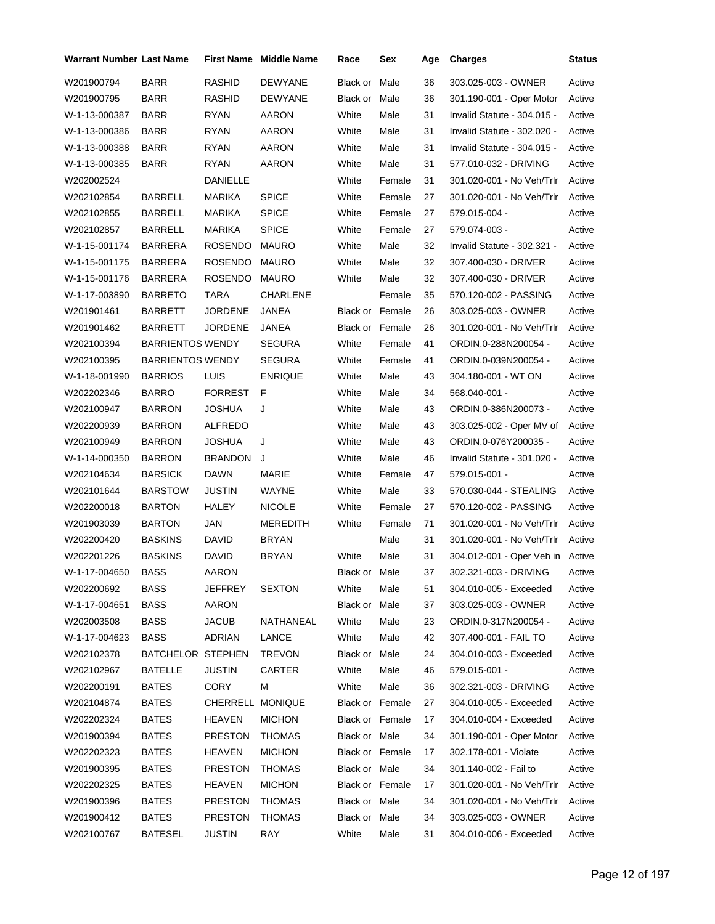| <b>Warrant Number Last Name</b> |                         |                  | <b>First Name Middle Name</b> | Race            | Sex    | Age | <b>Charges</b>                   | Status |
|---------------------------------|-------------------------|------------------|-------------------------------|-----------------|--------|-----|----------------------------------|--------|
| W201900794                      | <b>BARR</b>             | RASHID           | <b>DEWYANE</b>                | Black or        | Male   | 36  | 303.025-003 - OWNER              | Active |
| W201900795                      | BARR                    | RASHID           | DEWYANE                       | Black or Male   |        | 36  | 301.190-001 - Oper Motor         | Active |
| W-1-13-000387                   | <b>BARR</b>             | <b>RYAN</b>      | AARON                         | White           | Male   | 31  | Invalid Statute - 304.015 -      | Active |
| W-1-13-000386                   | <b>BARR</b>             | <b>RYAN</b>      | AARON                         | White           | Male   | 31  | Invalid Statute - 302.020 -      | Active |
| W-1-13-000388                   | <b>BARR</b>             | <b>RYAN</b>      | AARON                         | White           | Male   | 31  | Invalid Statute - 304.015 -      | Active |
| W-1-13-000385                   | <b>BARR</b>             | <b>RYAN</b>      | AARON                         | White           | Male   | 31  | 577.010-032 - DRIVING            | Active |
| W202002524                      |                         | DANIELLE         |                               | White           | Female | 31  | 301.020-001 - No Veh/Trlr        | Active |
| W202102854                      | <b>BARRELL</b>          | <b>MARIKA</b>    | <b>SPICE</b>                  | White           | Female | 27  | 301.020-001 - No Veh/Trlr        | Active |
| W202102855                      | <b>BARRELL</b>          | MARIKA           | <b>SPICE</b>                  | White           | Female | 27  | 579.015-004 -                    | Active |
| W202102857                      | <b>BARRELL</b>          | MARIKA           | <b>SPICE</b>                  | White           | Female | 27  | 579.074-003 -                    | Active |
| W-1-15-001174                   | <b>BARRERA</b>          | <b>ROSENDO</b>   | MAURO                         | White           | Male   | 32  | Invalid Statute - 302.321 -      | Active |
| W-1-15-001175                   | BARRERA                 | <b>ROSENDO</b>   | <b>MAURO</b>                  | White           | Male   | 32  | 307.400-030 - DRIVER             | Active |
| W-1-15-001176                   | BARRERA                 | <b>ROSENDO</b>   | <b>MAURO</b>                  | White           | Male   | 32  | 307.400-030 - DRIVER             | Active |
| W-1-17-003890                   | <b>BARRETO</b>          | <b>TARA</b>      | CHARLENE                      |                 | Female | 35  | 570.120-002 - PASSING            | Active |
| W201901461                      | <b>BARRETT</b>          | <b>JORDENE</b>   | <b>JANEA</b>                  | Black or Female |        | 26  | 303.025-003 - OWNER              | Active |
| W201901462                      | <b>BARRETT</b>          | <b>JORDENE</b>   | JANEA                         | Black or Female |        | 26  | 301.020-001 - No Veh/Trlr        | Active |
| W202100394                      | <b>BARRIENTOS WENDY</b> |                  | <b>SEGURA</b>                 | White           | Female | 41  | ORDIN.0-288N200054 -             | Active |
| W202100395                      | <b>BARRIENTOS WENDY</b> |                  | <b>SEGURA</b>                 | White           | Female | 41  | ORDIN.0-039N200054 -             | Active |
| W-1-18-001990                   | <b>BARRIOS</b>          | LUIS             | <b>ENRIQUE</b>                | White           | Male   | 43  | 304.180-001 - WT ON              | Active |
| W202202346                      | <b>BARRO</b>            | <b>FORREST</b>   | F                             | White           | Male   | 34  | 568.040-001 -                    | Active |
| W202100947                      | <b>BARRON</b>           | JOSHUA           | J                             | White           | Male   | 43  | ORDIN.0-386N200073 -             | Active |
| W202200939                      | <b>BARRON</b>           | ALFREDO          |                               | White           | Male   | 43  | 303.025-002 - Oper MV of         | Active |
| W202100949                      | <b>BARRON</b>           | JOSHUA           | J                             | White           | Male   | 43  | ORDIN.0-076Y200035 -             | Active |
| W-1-14-000350                   | <b>BARRON</b>           | <b>BRANDON</b>   | J                             | White           | Male   | 46  | Invalid Statute - 301.020 -      | Active |
| W202104634                      | <b>BARSICK</b>          | <b>DAWN</b>      | MARIE                         | White           | Female | 47  | 579.015-001 -                    | Active |
| W202101644                      | <b>BARSTOW</b>          | JUSTIN           | WAYNE                         | White           | Male   | 33  | 570.030-044 - STEALING           | Active |
| W202200018                      | <b>BARTON</b>           | HALEY            | <b>NICOLE</b>                 | White           | Female | 27  | 570.120-002 - PASSING            | Active |
| W201903039                      | <b>BARTON</b>           | <b>JAN</b>       | MEREDITH                      | White           | Female | 71  | 301.020-001 - No Veh/Trlr        | Active |
| W202200420                      | <b>BASKINS</b>          | <b>DAVID</b>     | <b>BRYAN</b>                  |                 | Male   | 31  | 301.020-001 - No Veh/Trlr        | Active |
| W202201226                      | <b>BASKINS</b>          | DAVID            | <b>BRYAN</b>                  | White           | Male   | 31  | 304.012-001 - Oper Veh in Active |        |
| W-1-17-004650                   | <b>BASS</b>             | AARON            |                               | Black or Male   |        | 37  | 302.321-003 - DRIVING            | Active |
| W202200692                      | <b>BASS</b>             | JEFFREY          | <b>SEXTON</b>                 | White           | Male   | 51  | 304.010-005 - Exceeded           | Active |
| W-1-17-004651                   | <b>BASS</b>             | <b>AARON</b>     |                               | Black or Male   |        | 37  | 303.025-003 - OWNER              | Active |
| W202003508                      | <b>BASS</b>             | <b>JACUB</b>     | NATHANEAL                     | White           | Male   | 23  | ORDIN.0-317N200054 -             | Active |
| W-1-17-004623                   | <b>BASS</b>             | ADRIAN           | LANCE                         | White           | Male   | 42  | 307.400-001 - FAIL TO            | Active |
| W202102378                      | BATCHELOR STEPHEN       |                  | <b>TREVON</b>                 | Black or Male   |        | 24  | 304.010-003 - Exceeded           | Active |
| W202102967                      | <b>BATELLE</b>          | <b>JUSTIN</b>    | CARTER                        | White           | Male   | 46  | 579.015-001 -                    | Active |
| W202200191                      | <b>BATES</b>            | CORY             | м                             | White           | Male   | 36  | 302.321-003 - DRIVING            | Active |
| W202104874                      | <b>BATES</b>            | CHERRELL MONIQUE |                               | Black or Female |        | 27  | 304.010-005 - Exceeded           | Active |
| W202202324                      | <b>BATES</b>            | <b>HEAVEN</b>    | <b>MICHON</b>                 | Black or Female |        | 17  | 304.010-004 - Exceeded           | Active |
| W201900394                      | <b>BATES</b>            | <b>PRESTON</b>   | <b>THOMAS</b>                 | Black or Male   |        | 34  | 301.190-001 - Oper Motor         | Active |
| W202202323                      | <b>BATES</b>            | HEAVEN           | <b>MICHON</b>                 | Black or Female |        | 17  | 302.178-001 - Violate            | Active |
| W201900395                      | <b>BATES</b>            | <b>PRESTON</b>   | <b>THOMAS</b>                 | Black or Male   |        | 34  | 301.140-002 - Fail to            | Active |
| W202202325                      | <b>BATES</b>            | HEAVEN           | <b>MICHON</b>                 | Black or Female |        | 17  | 301.020-001 - No Veh/Trlr Active |        |
| W201900396                      | <b>BATES</b>            | <b>PRESTON</b>   | <b>THOMAS</b>                 | Black or Male   |        | 34  | 301.020-001 - No Veh/Trlr        | Active |
| W201900412                      | <b>BATES</b>            | <b>PRESTON</b>   | <b>THOMAS</b>                 | Black or Male   |        | 34  | 303.025-003 - OWNER              | Active |
| W202100767                      | <b>BATESEL</b>          | <b>JUSTIN</b>    | RAY                           | White           | Male   | 31  | 304.010-006 - Exceeded           | Active |
|                                 |                         |                  |                               |                 |        |     |                                  |        |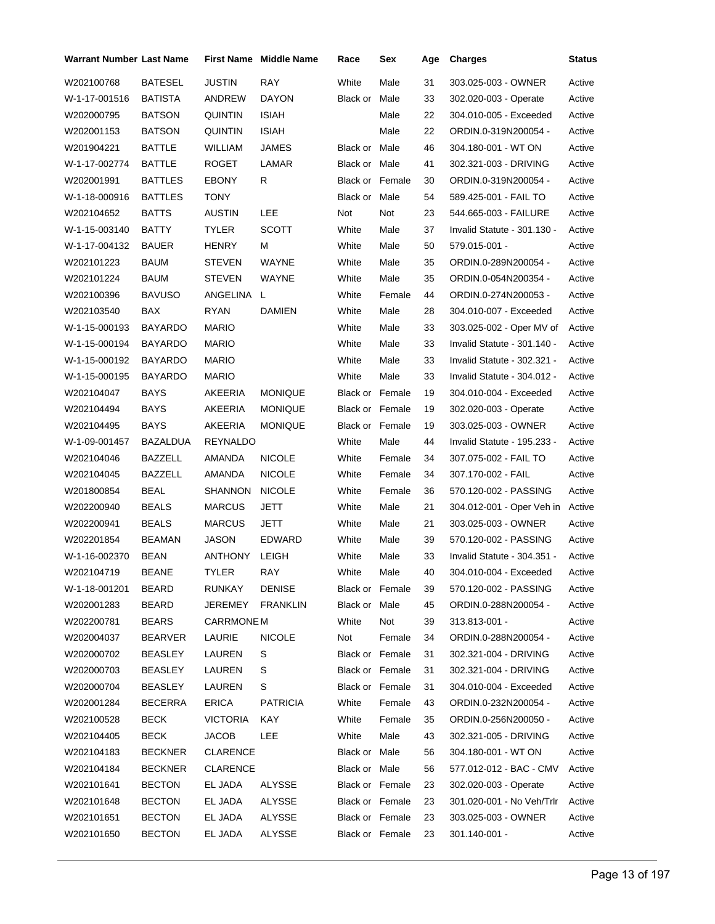| <b>Warrant Number Last Name</b> |                |                   | <b>First Name Middle Name</b> | Race                   | Sex    | Age | <b>Charges</b>              | <b>Status</b> |
|---------------------------------|----------------|-------------------|-------------------------------|------------------------|--------|-----|-----------------------------|---------------|
| W202100768                      | <b>BATESEL</b> | <b>JUSTIN</b>     | RAY                           | White                  | Male   | 31  | 303.025-003 - OWNER         | Active        |
| W-1-17-001516                   | <b>BATISTA</b> | ANDREW            | <b>DAYON</b>                  | Black or Male          |        | 33  | 302.020-003 - Operate       | Active        |
| W202000795                      | BATSON         | QUINTIN           | <b>ISIAH</b>                  |                        | Male   | 22  | 304.010-005 - Exceeded      | Active        |
| W202001153                      | <b>BATSON</b>  | QUINTIN           | <b>ISIAH</b>                  |                        | Male   | 22  | ORDIN.0-319N200054 -        | Active        |
| W201904221                      | BATTLE         | WILLIAM           | JAMES                         | Black or Male          |        | 46  | 304.180-001 - WT ON         | Active        |
| W-1-17-002774                   | <b>BATTLE</b>  | <b>ROGET</b>      | LAMAR                         | Black or Male          |        | 41  | 302.321-003 - DRIVING       | Active        |
| W202001991                      | <b>BATTLES</b> | <b>EBONY</b>      | R                             | <b>Black or Female</b> |        | 30  | ORDIN.0-319N200054 -        | Active        |
| W-1-18-000916                   | <b>BATTLES</b> | TONY              |                               | Black or Male          |        | 54  | 589.425-001 - FAIL TO       | Active        |
| W202104652                      | <b>BATTS</b>   | AUSTIN            | LEE                           | Not                    | Not    | 23  | 544.665-003 - FAILURE       | Active        |
| W-1-15-003140                   | BATTY          | <b>TYLER</b>      | <b>SCOTT</b>                  | White                  | Male   | 37  | Invalid Statute - 301.130 - | Active        |
| W-1-17-004132                   | <b>BAUER</b>   | <b>HENRY</b>      | м                             | White                  | Male   | 50  | 579.015-001 -               | Active        |
| W202101223                      | <b>BAUM</b>    | <b>STEVEN</b>     | WAYNE                         | White                  | Male   | 35  | ORDIN.0-289N200054 -        | Active        |
| W202101224                      | BAUM           | <b>STEVEN</b>     | WAYNE                         | White                  | Male   | 35  | ORDIN.0-054N200354 -        | Active        |
| W202100396                      | <b>BAVUSO</b>  | ANGELINA L        |                               | White                  | Female | 44  | ORDIN.0-274N200053 -        | Active        |
| W202103540                      | <b>BAX</b>     | <b>RYAN</b>       | <b>DAMIEN</b>                 | White                  | Male   | 28  | 304.010-007 - Exceeded      | Active        |
| W-1-15-000193                   | BAYARDO        | <b>MARIO</b>      |                               | White                  | Male   | 33  | 303.025-002 - Oper MV of    | Active        |
| W-1-15-000194                   | BAYARDO        | <b>MARIO</b>      |                               | White                  | Male   | 33  | Invalid Statute - 301.140 - | Active        |
| W-1-15-000192                   | <b>BAYARDO</b> | <b>MARIO</b>      |                               | White                  | Male   | 33  | Invalid Statute - 302.321 - | Active        |
| W-1-15-000195                   | BAYARDO        | <b>MARIO</b>      |                               | White                  | Male   | 33  | Invalid Statute - 304.012 - | Active        |
| W202104047                      | BAYS           | AKEERIA           | <b>MONIQUE</b>                | <b>Black or Female</b> |        | 19  | 304.010-004 - Exceeded      | Active        |
| W202104494                      | BAYS           | AKEERIA           | <b>MONIQUE</b>                | Black or Female        |        | 19  | 302.020-003 - Operate       | Active        |
| W202104495                      | BAYS           | AKEERIA           | <b>MONIQUE</b>                | Black or Female        |        | 19  | 303.025-003 - OWNER         | Active        |
| W-1-09-001457                   | BAZALDUA       | REYNALDO          |                               | White                  | Male   | 44  | Invalid Statute - 195.233 - | Active        |
| W202104046                      | BAZZELL        | AMANDA            | <b>NICOLE</b>                 | White                  | Female | 34  | 307.075-002 - FAIL TO       | Active        |
| W202104045                      | BAZZELL        | AMANDA            | <b>NICOLE</b>                 | White                  | Female | 34  | 307.170-002 - FAIL          | Active        |
| W201800854                      | <b>BEAL</b>    | SHANNON           | <b>NICOLE</b>                 | White                  | Female | 36  | 570.120-002 - PASSING       | Active        |
| W202200940                      | <b>BEALS</b>   | <b>MARCUS</b>     | JETT                          | White                  | Male   | 21  | 304.012-001 - Oper Veh in   | Active        |
| W202200941                      | <b>BEALS</b>   | <b>MARCUS</b>     | JETT                          | White                  | Male   | 21  | 303.025-003 - OWNER         | Active        |
| W202201854                      | <b>BEAMAN</b>  | JASON             | EDWARD                        | White                  | Male   | 39  | 570.120-002 - PASSING       | Active        |
| W-1-16-002370                   | <b>BEAN</b>    | <b>ANTHONY</b>    | LEIGH                         | White                  | Male   | 33  | Invalid Statute - 304.351 - | Active        |
| W202104719                      | <b>BEANE</b>   | <b>TYLER</b>      | RAY                           | White                  | Male   | 40  | 304.010-004 - Exceeded      | Active        |
| W-1-18-001201                   | <b>BEARD</b>   | RUNKAY            | <b>DENISE</b>                 | Black or Female        |        | 39  | 570.120-002 - PASSING       | Active        |
| W202001283                      | <b>BEARD</b>   | JEREMEY           | <b>FRANKLIN</b>               | Black or Male          |        | 45  | ORDIN.0-288N200054 -        | Active        |
| W202200781                      | <b>BEARS</b>   | <b>CARRMONE M</b> |                               | White                  | Not    | 39  | 313.813-001 -               | Active        |
| W202004037                      | <b>BEARVER</b> | LAURIE            | <b>NICOLE</b>                 | Not                    | Female | 34  | ORDIN.0-288N200054 -        | Active        |
| W202000702                      | <b>BEASLEY</b> | LAUREN            | S                             | Black or Female        |        | 31  | 302.321-004 - DRIVING       | Active        |
| W202000703                      | <b>BEASLEY</b> | LAUREN            | S                             | Black or Female        |        | 31  | 302.321-004 - DRIVING       | Active        |
| W202000704                      | <b>BEASLEY</b> | LAUREN            | S                             | Black or Female        |        | 31  | 304.010-004 - Exceeded      | Active        |
| W202001284                      | <b>BECERRA</b> | <b>ERICA</b>      | <b>PATRICIA</b>               | White                  | Female | 43  | ORDIN.0-232N200054 -        | Active        |
| W202100528                      | <b>BECK</b>    | <b>VICTORIA</b>   | KAY                           | White                  | Female | 35  | ORDIN.0-256N200050 -        | Active        |
| W202104405                      | <b>BECK</b>    | JACOB             | <b>LEE</b>                    | White                  | Male   | 43  | 302.321-005 - DRIVING       | Active        |
| W202104183                      | <b>BECKNER</b> | <b>CLARENCE</b>   |                               | Black or Male          |        | 56  | 304.180-001 - WT ON         | Active        |
| W202104184                      | <b>BECKNER</b> | <b>CLARENCE</b>   |                               | Black or Male          |        | 56  | 577.012-012 - BAC - CMV     | Active        |
| W202101641                      | <b>BECTON</b>  | EL JADA           | ALYSSE                        | Black or Female        |        | 23  | 302.020-003 - Operate       | Active        |
| W202101648                      | <b>BECTON</b>  | EL JADA           | ALYSSE                        | Black or Female        |        | 23  | 301.020-001 - No Veh/Trlr   | Active        |
| W202101651                      | <b>BECTON</b>  | EL JADA           | ALYSSE                        | Black or Female        |        | 23  | 303.025-003 - OWNER         | Active        |
| W202101650                      | <b>BECTON</b>  | EL JADA           | ALYSSE                        | Black or Female        |        | 23  | 301.140-001 -               | Active        |
|                                 |                |                   |                               |                        |        |     |                             |               |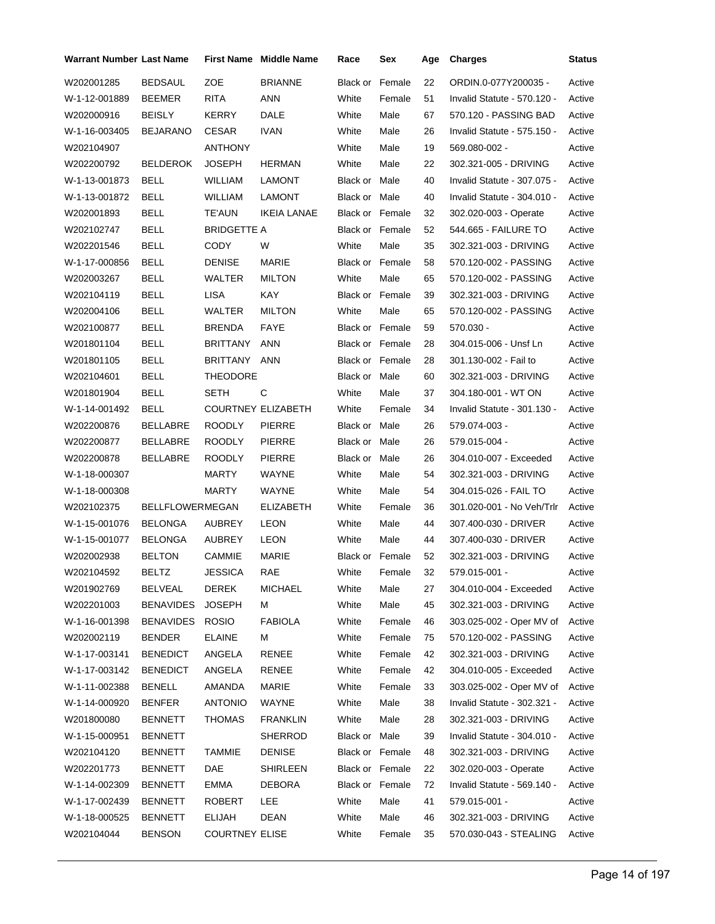| Warrant Number Last Name |                        |                       | <b>First Name</b> Middle Name | Race                   | Sex    | Age | <b>Charges</b>              | <b>Status</b> |
|--------------------------|------------------------|-----------------------|-------------------------------|------------------------|--------|-----|-----------------------------|---------------|
| W202001285               | <b>BEDSAUL</b>         | ZOE                   | <b>BRIANNE</b>                | Black or               | Female | 22  | ORDIN.0-077Y200035 -        | Active        |
| W-1-12-001889            | <b>BEEMER</b>          | <b>RITA</b>           | ANN                           | White                  | Female | 51  | Invalid Statute - 570.120 - | Active        |
| W202000916               | <b>BEISLY</b>          | <b>KERRY</b>          | DALE                          | White                  | Male   | 67  | 570.120 - PASSING BAD       | Active        |
| W-1-16-003405            | <b>BEJARANO</b>        | <b>CESAR</b>          | <b>IVAN</b>                   | White                  | Male   | 26  | Invalid Statute - 575.150 - | Active        |
| W202104907               |                        | <b>ANTHONY</b>        |                               | White                  | Male   | 19  | 569.080-002 -               | Active        |
| W202200792               | <b>BELDEROK</b>        | <b>JOSEPH</b>         | <b>HERMAN</b>                 | White                  | Male   | 22  | 302.321-005 - DRIVING       | Active        |
| W-1-13-001873            | <b>BELL</b>            | <b>WILLIAM</b>        | <b>LAMONT</b>                 | Black or Male          |        | 40  | Invalid Statute - 307.075 - | Active        |
| W-1-13-001872            | <b>BELL</b>            | <b>WILLIAM</b>        | <b>LAMONT</b>                 | Black or Male          |        | 40  | Invalid Statute - 304.010 - | Active        |
| W202001893               | <b>BELL</b>            | <b>TE'AUN</b>         | IKEIA LANAE                   | <b>Black or Female</b> |        | 32  | 302.020-003 - Operate       | Active        |
| W202102747               | BELL                   | BRIDGETTE A           |                               | <b>Black or Female</b> |        | 52  | 544.665 - FAILURE TO        | Active        |
| W202201546               | <b>BELL</b>            | CODY                  | W                             | White                  | Male   | 35  | 302.321-003 - DRIVING       | Active        |
| W-1-17-000856            | <b>BELL</b>            | <b>DENISE</b>         | MARIE                         | <b>Black or Female</b> |        | 58  | 570.120-002 - PASSING       | Active        |
| W202003267               | <b>BELL</b>            | WALTER                | <b>MILTON</b>                 | White                  | Male   | 65  | 570.120-002 - PASSING       | Active        |
| W202104119               | <b>BELL</b>            | <b>LISA</b>           | KAY                           | <b>Black or Female</b> |        | 39  | 302.321-003 - DRIVING       | Active        |
| W202004106               | <b>BELL</b>            | <b>WALTER</b>         | <b>MILTON</b>                 | White                  | Male   | 65  | 570.120-002 - PASSING       | Active        |
| W202100877               | <b>BELL</b>            | <b>BRENDA</b>         | FAYE                          | <b>Black or Female</b> |        | 59  | 570.030 -                   | Active        |
| W201801104               | <b>BELL</b>            | <b>BRITTANY</b>       | <b>ANN</b>                    | <b>Black or Female</b> |        | 28  | 304.015-006 - Unsf Ln       | Active        |
| W201801105               | <b>BELL</b>            | <b>BRITTANY</b>       | ANN                           | <b>Black or Female</b> |        | 28  | 301.130-002 - Fail to       | Active        |
| W202104601               | <b>BELL</b>            | <b>THEODORE</b>       |                               | Black or Male          |        | 60  | 302.321-003 - DRIVING       | Active        |
| W201801904               | <b>BELL</b>            | SETH                  | С                             | White                  | Male   | 37  | 304.180-001 - WT ON         | Active        |
| W-1-14-001492            | <b>BELL</b>            |                       | <b>COURTNEY ELIZABETH</b>     | White                  | Female | 34  | Invalid Statute - 301.130 - | Active        |
| W202200876               | BELLABRE               | <b>ROODLY</b>         | <b>PIERRE</b>                 | Black or Male          |        | 26  | 579.074-003 -               | Active        |
| W202200877               | BELLABRE               | ROODLY                | <b>PIERRE</b>                 | Black or Male          |        | 26  | 579.015-004 -               | Active        |
| W202200878               | <b>BELLABRE</b>        | ROODLY                | <b>PIERRE</b>                 | Black or Male          |        | 26  | 304.010-007 - Exceeded      | Active        |
| W-1-18-000307            |                        | MARTY                 | WAYNE                         | White                  | Male   | 54  | 302.321-003 - DRIVING       | Active        |
| W-1-18-000308            |                        | MARTY                 | <b>WAYNE</b>                  | White                  | Male   | 54  | 304.015-026 - FAIL TO       | Active        |
| W202102375               | <b>BELLFLOWERMEGAN</b> |                       | <b>ELIZABETH</b>              | White                  | Female | 36  | 301.020-001 - No Veh/Trlr   | Active        |
| W-1-15-001076            | <b>BELONGA</b>         | AUBREY                | <b>LEON</b>                   | White                  | Male   | 44  | 307.400-030 - DRIVER        | Active        |
| W-1-15-001077            | <b>BELONGA</b>         | AUBREY                | <b>LEON</b>                   | White                  | Male   | 44  | 307.400-030 - DRIVER        | Active        |
| W202002938               | <b>BELTON</b>          | <b>CAMMIE</b>         | <b>MARIE</b>                  | <b>Black or Female</b> |        | 52  | 302.321-003 - DRIVING       | Active        |
| W202104592               | <b>BELTZ</b>           | <b>JESSICA</b>        | RAE                           | White Female           |        | 32  | 579.015-001 -               | Active        |
| W201902769               | BELVEAL                | <b>DEREK</b>          | <b>MICHAEL</b>                | White                  | Male   | 27  | 304.010-004 - Exceeded      | Active        |
| W202201003               | <b>BENAVIDES</b>       | <b>JOSEPH</b>         | м                             | White                  | Male   | 45  | 302.321-003 - DRIVING       | Active        |
| W-1-16-001398            | <b>BENAVIDES</b>       | <b>ROSIO</b>          | <b>FABIOLA</b>                | White                  | Female | 46  | 303.025-002 - Oper MV of    | Active        |
| W202002119               | <b>BENDER</b>          | <b>ELAINE</b>         | м                             | White                  | Female | 75  | 570.120-002 - PASSING       | Active        |
| W-1-17-003141            | <b>BENEDICT</b>        | ANGELA                | <b>RENEE</b>                  | White                  | Female | 42  | 302.321-003 - DRIVING       | Active        |
| W-1-17-003142            | <b>BENEDICT</b>        | ANGELA                | RENEE                         | White                  | Female | 42  | 304.010-005 - Exceeded      | Active        |
| W-1-11-002388            | <b>BENELL</b>          | AMANDA                | MARIE                         | White                  | Female | 33  | 303.025-002 - Oper MV of    | Active        |
| W-1-14-000920            | <b>BENFER</b>          | <b>ANTONIO</b>        | WAYNE                         | White                  | Male   | 38  | Invalid Statute - 302.321 - | Active        |
| W201800080               | <b>BENNETT</b>         | <b>THOMAS</b>         | <b>FRANKLIN</b>               | White                  | Male   | 28  | 302.321-003 - DRIVING       | Active        |
| W-1-15-000951            | <b>BENNETT</b>         |                       | <b>SHERROD</b>                | Black or Male          |        | 39  | Invalid Statute - 304.010 - | Active        |
| W202104120               | <b>BENNETT</b>         | <b>TAMMIE</b>         | <b>DENISE</b>                 | Black or Female        |        | 48  | 302.321-003 - DRIVING       | Active        |
| W202201773               | <b>BENNETT</b>         | DAE                   | <b>SHIRLEEN</b>               | Black or Female        |        | 22  | 302.020-003 - Operate       | Active        |
| W-1-14-002309            | <b>BENNETT</b>         | EMMA                  | DEBORA                        | Black or Female        |        | 72  | Invalid Statute - 569.140 - | Active        |
| W-1-17-002439            | <b>BENNETT</b>         | ROBERT                | LEE                           | White                  | Male   | 41  | 579.015-001 -               | Active        |
| W-1-18-000525            | <b>BENNETT</b>         | ELIJAH                | <b>DEAN</b>                   | White                  | Male   | 46  | 302.321-003 - DRIVING       | Active        |
| W202104044               | <b>BENSON</b>          | <b>COURTNEY ELISE</b> |                               | White                  | Female | 35  | 570.030-043 - STEALING      | Active        |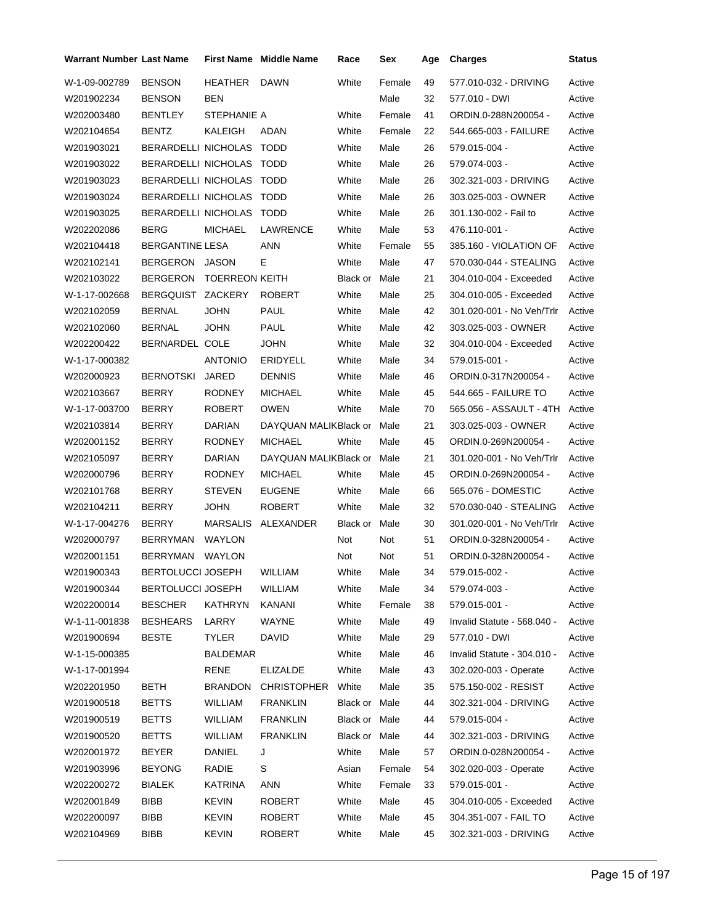| <b>Warrant Number Last Name</b> |                            |                       | <b>First Name</b> Middle Name | Race          | Sex    | Age | <b>Charges</b>              | Status |
|---------------------------------|----------------------------|-----------------------|-------------------------------|---------------|--------|-----|-----------------------------|--------|
| W-1-09-002789                   | <b>BENSON</b>              | HEATHER               | <b>DAWN</b>                   | White         | Female | 49  | 577.010-032 - DRIVING       | Active |
| W201902234                      | <b>BENSON</b>              | <b>BEN</b>            |                               |               | Male   | 32  | 577.010 - DWI               | Active |
| W202003480                      | <b>BENTLEY</b>             | STEPHANIE A           |                               | White         | Female | 41  | ORDIN.0-288N200054 -        | Active |
| W202104654                      | <b>BENTZ</b>               | KALEIGH               | ADAN                          | White         | Female | 22  | 544.665-003 - FAILURE       | Active |
| W201903021                      | BERARDELLI NICHOLAS TODD   |                       |                               | White         | Male   | 26  | 579.015-004 -               | Active |
| W201903022                      | BERARDELLI NICHOLAS TODD   |                       |                               | White         | Male   | 26  | 579.074-003 -               | Active |
| W201903023                      | <b>BERARDELLI NICHOLAS</b> |                       | TODD                          | White         | Male   | 26  | 302.321-003 - DRIVING       | Active |
| W201903024                      | BERARDELLI NICHOLAS TODD   |                       |                               | White         | Male   | 26  | 303.025-003 - OWNER         | Active |
| W201903025                      | <b>BERARDELLI NICHOLAS</b> |                       | <b>TODD</b>                   | White         | Male   | 26  | 301.130-002 - Fail to       | Active |
| W202202086                      | <b>BERG</b>                | <b>MICHAEL</b>        | LAWRENCE                      | White         | Male   | 53  | 476.110-001 -               | Active |
| W202104418                      | <b>BERGANTINE LESA</b>     |                       | <b>ANN</b>                    | White         | Female | 55  | 385.160 - VIOLATION OF      | Active |
| W202102141                      | BERGERON                   | JASON                 | Е                             | White         | Male   | 47  | 570.030-044 - STEALING      | Active |
| W202103022                      | <b>BERGERON</b>            | <b>TOERREON KEITH</b> |                               | Black or      | Male   | 21  | 304.010-004 - Exceeded      | Active |
| W-1-17-002668                   | <b>BERGQUIST</b>           | ZACKERY               | <b>ROBERT</b>                 | White         | Male   | 25  | 304.010-005 - Exceeded      | Active |
| W202102059                      | <b>BERNAL</b>              | <b>JOHN</b>           | PAUL                          | White         | Male   | 42  | 301.020-001 - No Veh/Trlr   | Active |
| W202102060                      | <b>BERNAL</b>              | <b>JOHN</b>           | <b>PAUL</b>                   | White         | Male   | 42  | 303.025-003 - OWNER         | Active |
| W202200422                      | BERNARDEL COLE             |                       | <b>JOHN</b>                   | White         | Male   | 32  | 304.010-004 - Exceeded      | Active |
| W-1-17-000382                   |                            | <b>ANTONIO</b>        | <b>ERIDYELL</b>               | White         | Male   | 34  | 579.015-001 -               | Active |
| W202000923                      | <b>BERNOTSKI</b>           | <b>JARED</b>          | <b>DENNIS</b>                 | White         | Male   | 46  | ORDIN.0-317N200054 -        | Active |
| W202103667                      | <b>BERRY</b>               | <b>RODNEY</b>         | <b>MICHAEL</b>                | White         | Male   | 45  | 544.665 - FAILURE TO        | Active |
| W-1-17-003700                   | <b>BERRY</b>               | <b>ROBERT</b>         | <b>OWEN</b>                   | White         | Male   | 70  | 565.056 - ASSAULT - 4TH     | Active |
| W202103814                      | <b>BERRY</b>               | DARIAN                | DAYQUAN MALIKBlack or         |               | Male   | 21  | 303.025-003 - OWNER         | Active |
| W202001152                      | <b>BERRY</b>               | <b>RODNEY</b>         | <b>MICHAEL</b>                | White         | Male   | 45  | ORDIN.0-269N200054 -        | Active |
| W202105097                      | BERRY                      | DARIAN                | DAYQUAN MALIKBlack or         |               | Male   | 21  | 301.020-001 - No Veh/Trlr   | Active |
| W202000796                      | <b>BERRY</b>               | <b>RODNEY</b>         | <b>MICHAEL</b>                | White         | Male   | 45  | ORDIN.0-269N200054 -        | Active |
| W202101768                      | BERRY                      | <b>STEVEN</b>         | <b>EUGENE</b>                 | White         | Male   | 66  | 565.076 - DOMESTIC          | Active |
| W202104211                      | BERRY                      | JOHN                  | <b>ROBERT</b>                 | White         | Male   | 32  | 570.030-040 - STEALING      | Active |
| W-1-17-004276                   | <b>BERRY</b>               | MARSALIS              | ALEXANDER                     | Black or      | Male   | 30  | 301.020-001 - No Veh/Trlr   | Active |
| W202000797                      | <b>BERRYMAN</b>            | <b>WAYLON</b>         |                               | Not           | Not    | 51  | ORDIN.0-328N200054 -        | Active |
| W202001151                      | <b>BERRYMAN</b>            | <b>WAYLON</b>         |                               | Not           | Not    | 51  | ORDIN.0-328N200054 -        | Active |
| W201900343                      | BERTOLUCCI JOSEPH          |                       | <b>WILLIAM</b>                | White         | Male   | 34  | 579.015-002 -               | Active |
| W201900344                      | <b>BERTOLUCCI JOSEPH</b>   |                       | <b>WILLIAM</b>                | White         | Male   | 34  | 579.074-003 -               | Active |
| W202200014                      | BESCHER                    | KATHRYN               | KANANI                        | White         | Female | 38  | 579.015-001 -               | Active |
| W-1-11-001838                   | <b>BESHEARS</b>            | LARRY                 | WAYNE                         | White         | Male   | 49  | Invalid Statute - 568.040 - | Active |
| W201900694                      | <b>BESTE</b>               | <b>TYLER</b>          | <b>DAVID</b>                  | White         | Male   | 29  | 577.010 - DWI               | Active |
| W-1-15-000385                   |                            | <b>BALDEMAR</b>       |                               | White         | Male   | 46  | Invalid Statute - 304.010 - | Active |
| W-1-17-001994                   |                            | <b>RENE</b>           | <b>ELIZALDE</b>               | White         | Male   | 43  | 302.020-003 - Operate       | Active |
| W202201950                      | BETH                       | <b>BRANDON</b>        | <b>CHRISTOPHER</b>            | White         | Male   | 35  | 575.150-002 - RESIST        | Active |
| W201900518                      | <b>BETTS</b>               | WILLIAM               | <b>FRANKLIN</b>               | Black or Male |        | 44  | 302.321-004 - DRIVING       | Active |
| W201900519                      | <b>BETTS</b>               | WILLIAM               | <b>FRANKLIN</b>               | Black or Male |        | 44  | 579.015-004 -               | Active |
| W201900520                      | <b>BETTS</b>               | WILLIAM               | <b>FRANKLIN</b>               | Black or Male |        | 44  | 302.321-003 - DRIVING       | Active |
| W202001972                      | <b>BEYER</b>               | DANIEL                | J                             | White         | Male   | 57  | ORDIN.0-028N200054 -        | Active |
| W201903996                      | <b>BEYONG</b>              | RADIE                 | S                             | Asian         | Female | 54  | 302.020-003 - Operate       | Active |
| W202200272                      | <b>BIALEK</b>              | KATRINA               | ANN                           | White         | Female | 33  | 579.015-001 -               | Active |
| W202001849                      | <b>BIBB</b>                | <b>KEVIN</b>          | <b>ROBERT</b>                 | White         | Male   | 45  | 304.010-005 - Exceeded      | Active |
| W202200097                      | <b>BIBB</b>                | <b>KEVIN</b>          | ROBERT                        | White         | Male   | 45  | 304.351-007 - FAIL TO       | Active |
| W202104969                      | <b>BIBB</b>                | <b>KEVIN</b>          | <b>ROBERT</b>                 | White         | Male   | 45  | 302.321-003 - DRIVING       | Active |
|                                 |                            |                       |                               |               |        |     |                             |        |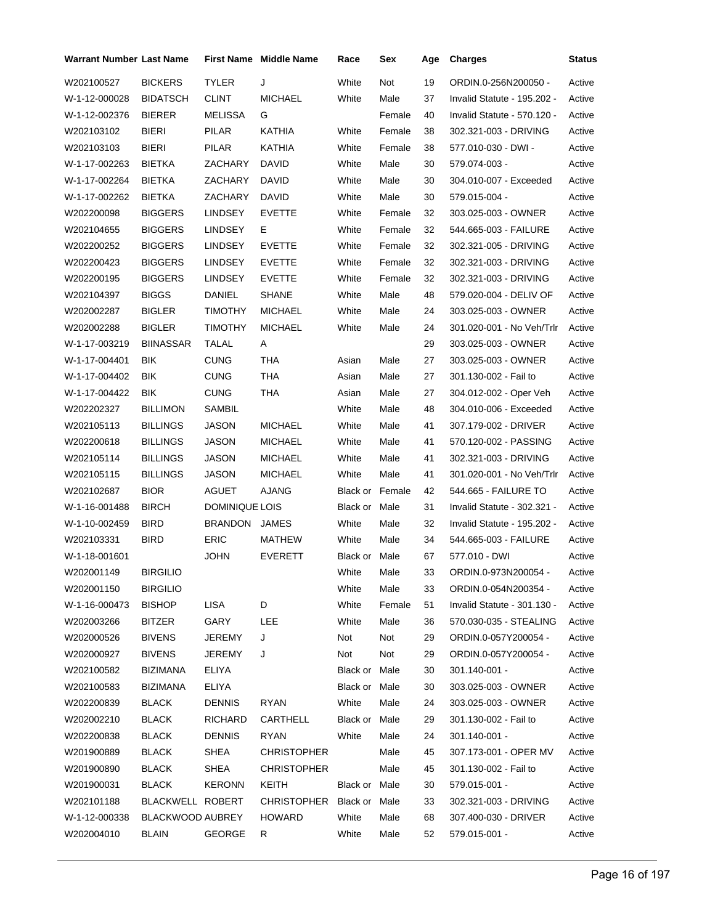| <b>Warrant Number Last Name</b> |                  |                | <b>First Name Middle Name</b> | Race                   | Sex    | Age | <b>Charges</b>              | Status |
|---------------------------------|------------------|----------------|-------------------------------|------------------------|--------|-----|-----------------------------|--------|
| W202100527                      | <b>BICKERS</b>   | <b>TYLER</b>   | J                             | White                  | Not    | 19  | ORDIN.0-256N200050 -        | Active |
| W-1-12-000028                   | <b>BIDATSCH</b>  | <b>CLINT</b>   | <b>MICHAEL</b>                | White                  | Male   | 37  | Invalid Statute - 195.202 - | Active |
| W-1-12-002376                   | <b>BIERER</b>    | MELISSA        | G                             |                        | Female | 40  | Invalid Statute - 570.120 - | Active |
| W202103102                      | <b>BIERI</b>     | PILAR          | <b>KATHIA</b>                 | White                  | Female | 38  | 302.321-003 - DRIVING       | Active |
| W202103103                      | <b>BIERI</b>     | PILAR          | KATHIA                        | White                  | Female | 38  | 577.010-030 - DWI -         | Active |
| W-1-17-002263                   | <b>BIETKA</b>    | ZACHARY        | <b>DAVID</b>                  | White                  | Male   | 30  | 579.074-003 -               | Active |
| W-1-17-002264                   | <b>BIETKA</b>    | ZACHARY        | <b>DAVID</b>                  | White                  | Male   | 30  | 304.010-007 - Exceeded      | Active |
| W-1-17-002262                   | <b>BIETKA</b>    | ZACHARY        | DAVID                         | White                  | Male   | 30  | 579.015-004 -               | Active |
| W202200098                      | <b>BIGGERS</b>   | <b>LINDSEY</b> | <b>EVETTE</b>                 | White                  | Female | 32  | 303.025-003 - OWNER         | Active |
| W202104655                      | <b>BIGGERS</b>   | LINDSEY        | Е                             | White                  | Female | 32  | 544.665-003 - FAILURE       | Active |
| W202200252                      | <b>BIGGERS</b>   | <b>LINDSEY</b> | <b>EVETTE</b>                 | White                  | Female | 32  | 302.321-005 - DRIVING       | Active |
| W202200423                      | <b>BIGGERS</b>   | <b>LINDSEY</b> | <b>EVETTE</b>                 | White                  | Female | 32  | 302.321-003 - DRIVING       | Active |
| W202200195                      | <b>BIGGERS</b>   | <b>LINDSEY</b> | <b>EVETTE</b>                 | White                  | Female | 32  | 302.321-003 - DRIVING       | Active |
| W202104397                      | <b>BIGGS</b>     | DANIEL         | <b>SHANE</b>                  | White                  | Male   | 48  | 579.020-004 - DELIV OF      | Active |
| W202002287                      | <b>BIGLER</b>    | <b>TIMOTHY</b> | <b>MICHAEL</b>                | White                  | Male   | 24  | 303.025-003 - OWNER         | Active |
| W202002288                      | <b>BIGLER</b>    | <b>TIMOTHY</b> | <b>MICHAEL</b>                | White                  | Male   | 24  | 301.020-001 - No Veh/Trlr   | Active |
| W-1-17-003219                   | <b>BIINASSAR</b> | TALAL          | A                             |                        |        | 29  | 303.025-003 - OWNER         | Active |
| W-1-17-004401                   | <b>BIK</b>       | <b>CUNG</b>    | THA                           | Asian                  | Male   | 27  | 303.025-003 - OWNER         | Active |
| W-1-17-004402                   | <b>BIK</b>       | <b>CUNG</b>    | <b>THA</b>                    | Asian                  | Male   | 27  | 301.130-002 - Fail to       | Active |
| W-1-17-004422                   | BIK              | <b>CUNG</b>    | <b>THA</b>                    | Asian                  | Male   | 27  | 304.012-002 - Oper Veh      | Active |
| W202202327                      | <b>BILLIMON</b>  | SAMBIL         |                               | White                  | Male   | 48  | 304.010-006 - Exceeded      | Active |
| W202105113                      | <b>BILLINGS</b>  | JASON          | <b>MICHAEL</b>                | White                  | Male   | 41  | 307.179-002 - DRIVER        | Active |
| W202200618                      | <b>BILLINGS</b>  | JASON          | <b>MICHAEL</b>                | White                  | Male   | 41  | 570.120-002 - PASSING       | Active |
| W202105114                      | <b>BILLINGS</b>  | JASON          | <b>MICHAEL</b>                | White                  | Male   | 41  | 302.321-003 - DRIVING       | Active |
| W202105115                      | <b>BILLINGS</b>  | JASON          | <b>MICHAEL</b>                | White                  | Male   | 41  | 301.020-001 - No Veh/Trlr   | Active |
| W202102687                      | <b>BIOR</b>      | AGUET          | <b>AJANG</b>                  | <b>Black or Female</b> |        | 42  | 544.665 - FAILURE TO        | Active |
| W-1-16-001488                   | <b>BIRCH</b>     | DOMINIQUE LOIS |                               | Black or Male          |        | 31  | Invalid Statute - 302.321 - | Active |
| W-1-10-002459                   | <b>BIRD</b>      | <b>BRANDON</b> | JAMES                         | White                  | Male   | 32  | Invalid Statute - 195.202 - | Active |
| W202103331                      | <b>BIRD</b>      | <b>ERIC</b>    | MATHEW                        | White                  | Male   | 34  | 544.665-003 - FAILURE       | Active |
| W-1-18-001601                   |                  | <b>JOHN</b>    | <b>EVERETT</b>                | Black or Male          |        | 67  | 577.010 - DWI               | Active |
| W202001149                      | <b>BIRGILIO</b>  |                |                               | White                  | Male   | 33  | ORDIN.0-973N200054 -        | Active |
| W202001150                      | <b>BIRGILIO</b>  |                |                               | White                  | Male   | 33  | ORDIN.0-054N200354 -        | Active |
| W-1-16-000473                   | <b>BISHOP</b>    | LISA           | D                             | White                  | Female | 51  | Invalid Statute - 301.130 - | Active |
| W202003266                      | BITZER           | GARY           | LEE                           | White                  | Male   | 36  | 570.030-035 - STEALING      | Active |
| W202000526                      | <b>BIVENS</b>    | JEREMY         | J                             | Not                    | Not    | 29  | ORDIN.0-057Y200054 -        | Active |
| W202000927                      | <b>BIVENS</b>    | JEREMY         | J                             | Not                    | Not    | 29  | ORDIN.0-057Y200054 -        | Active |
| W202100582                      | BIZIMANA         | ELIYA          |                               | Black or Male          |        | 30  | 301.140-001 -               | Active |
| W202100583                      | <b>BIZIMANA</b>  | ELIYA          |                               | Black or Male          |        | 30  | 303.025-003 - OWNER         | Active |
| W202200839                      | BLACK            | <b>DENNIS</b>  | RYAN                          | White                  | Male   | 24  | 303.025-003 - OWNER         | Active |
| W202002210                      | BLACK            | RICHARD        | CARTHELL                      | Black or Male          |        | 29  | 301.130-002 - Fail to       | Active |
| W202200838                      | <b>BLACK</b>     | <b>DENNIS</b>  | <b>RYAN</b>                   | White                  | Male   | 24  | 301.140-001 -               | Active |
| W201900889                      | <b>BLACK</b>     | SHEA           | <b>CHRISTOPHER</b>            |                        | Male   | 45  | 307.173-001 - OPER MV       | Active |
| W201900890                      | <b>BLACK</b>     | SHEA           | <b>CHRISTOPHER</b>            |                        | Male   | 45  | 301.130-002 - Fail to       | Active |
| W201900031                      | <b>BLACK</b>     | <b>KERONN</b>  | KEITH                         | Black or Male          |        | 30  | 579.015-001 -               | Active |
| W202101188                      | BLACKWELL ROBERT |                | CHRISTOPHER Black or Male     |                        |        | 33  | 302.321-003 - DRIVING       | Active |
| W-1-12-000338                   | BLACKWOOD AUBREY |                | HOWARD                        | White                  | Male   | 68  | 307.400-030 - DRIVER        | Active |
| W202004010                      | <b>BLAIN</b>     | <b>GEORGE</b>  | R                             | White                  | Male   | 52  | 579.015-001 -               | Active |
|                                 |                  |                |                               |                        |        |     |                             |        |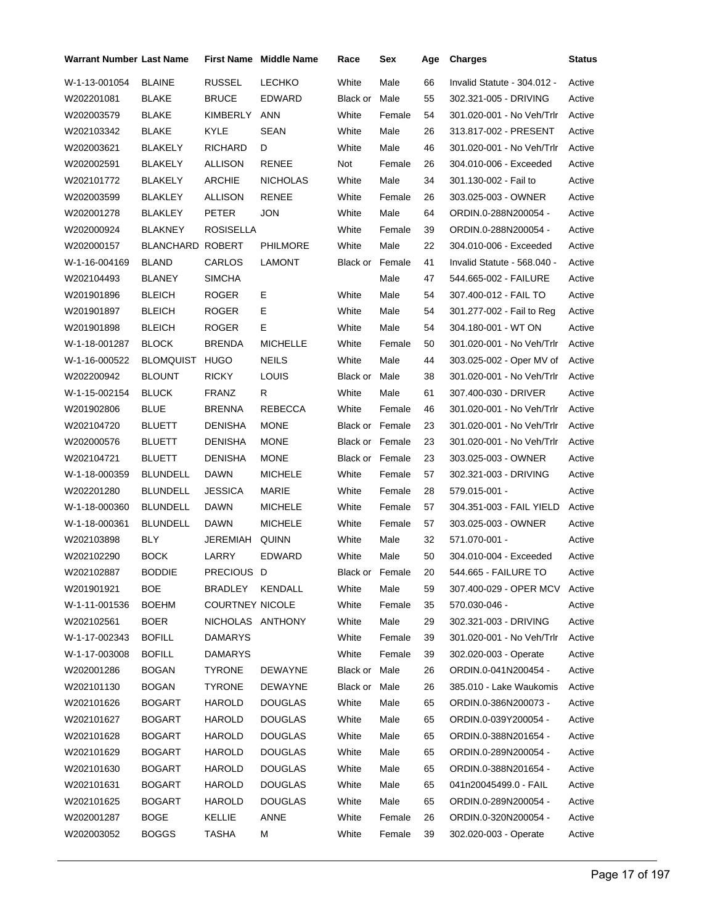| Warrant Number Last Name |                         |                        | <b>First Name</b> Middle Name | Race                   | Sex             | Age | <b>Charges</b>              | <b>Status</b> |
|--------------------------|-------------------------|------------------------|-------------------------------|------------------------|-----------------|-----|-----------------------------|---------------|
| W-1-13-001054            | <b>BLAINE</b>           | <b>RUSSEL</b>          | <b>LECHKO</b>                 | White                  | Male            | 66  | Invalid Statute - 304.012 - | Active        |
| W202201081               | <b>BLAKE</b>            | <b>BRUCE</b>           | EDWARD                        | Black or               | Male            | 55  | 302.321-005 - DRIVING       | Active        |
| W202003579               | <b>BLAKE</b>            | KIMBERLY               | <b>ANN</b>                    | White                  | Female          | 54  | 301.020-001 - No Veh/Trlr   | Active        |
| W202103342               | <b>BLAKE</b>            | KYLE                   | <b>SEAN</b>                   | White                  | Male            | 26  | 313.817-002 - PRESENT       | Active        |
| W202003621               | <b>BLAKELY</b>          | <b>RICHARD</b>         | D                             | White                  | Male            | 46  | 301.020-001 - No Veh/Trlr   | Active        |
| W202002591               | <b>BLAKELY</b>          | <b>ALLISON</b>         | <b>RENEE</b>                  | Not                    | Female          | 26  | 304.010-006 - Exceeded      | Active        |
| W202101772               | <b>BLAKELY</b>          | <b>ARCHIE</b>          | <b>NICHOLAS</b>               | White                  | Male            | 34  | 301.130-002 - Fail to       | Active        |
| W202003599               | <b>BLAKLEY</b>          | <b>ALLISON</b>         | <b>RENEE</b>                  | White                  | Female          | 26  | 303.025-003 - OWNER         | Active        |
| W202001278               | <b>BLAKLEY</b>          | <b>PETER</b>           | <b>JON</b>                    | White                  | Male            | 64  | ORDIN.0-288N200054 -        | Active        |
| W202000924               | <b>BLAKNEY</b>          | ROSISELLA              |                               | White                  | Female          | 39  | ORDIN.0-288N200054 -        | Active        |
| W202000157               | <b>BLANCHARD ROBERT</b> |                        | <b>PHILMORE</b>               | White                  | Male            | 22  | 304.010-006 - Exceeded      | Active        |
| W-1-16-004169            | <b>BLAND</b>            | CARLOS                 | <b>LAMONT</b>                 | <b>Black or Female</b> |                 | 41  | Invalid Statute - 568.040 - | Active        |
| W202104493               | <b>BLANEY</b>           | <b>SIMCHA</b>          |                               |                        | Male            | 47  | 544.665-002 - FAILURE       | Active        |
| W201901896               | <b>BLEICH</b>           | ROGER                  | Е                             | White                  | Male            | 54  | 307.400-012 - FAIL TO       | Active        |
| W201901897               | <b>BLEICH</b>           | ROGER                  | E                             | White                  | Male            | 54  | 301.277-002 - Fail to Reg   | Active        |
| W201901898               | <b>BLEICH</b>           | ROGER                  | E                             | White                  | Male            | 54  | 304.180-001 - WT ON         | Active        |
| W-1-18-001287            | <b>BLOCK</b>            | <b>BRENDA</b>          | <b>MICHELLE</b>               | White                  | Female          | 50  | 301.020-001 - No Veh/Trlr   | Active        |
| W-1-16-000522            | <b>BLOMQUIST</b>        | <b>HUGO</b>            | <b>NEILS</b>                  | White                  | Male            | 44  | 303.025-002 - Oper MV of    | Active        |
| W202200942               | <b>BLOUNT</b>           | RICKY                  | LOUIS                         | Black or Male          |                 | 38  | 301.020-001 - No Veh/Trlr   | Active        |
| W-1-15-002154            | <b>BLUCK</b>            | <b>FRANZ</b>           | R                             | White                  | Male            | 61  | 307.400-030 - DRIVER        | Active        |
| W201902806               | <b>BLUE</b>             | BRENNA                 | <b>REBECCA</b>                | White                  | Female          | 46  | 301.020-001 - No Veh/Trlr   | Active        |
| W202104720               | <b>BLUETT</b>           | <b>DENISHA</b>         | <b>MONE</b>                   | Black or Female        |                 | 23  | 301.020-001 - No Veh/Trlr   | Active        |
| W202000576               | <b>BLUETT</b>           | <b>DENISHA</b>         | <b>MONE</b>                   | Black or Female        |                 | 23  | 301.020-001 - No Veh/Trlr   | Active        |
| W202104721               | <b>BLUETT</b>           | DENISHA                | <b>MONE</b>                   | Black or Female        |                 | 23  | 303.025-003 - OWNER         | Active        |
| W-1-18-000359            | <b>BLUNDELL</b>         | <b>DAWN</b>            | <b>MICHELE</b>                | White                  | Female          | 57  | 302.321-003 - DRIVING       | Active        |
| W202201280               | <b>BLUNDELL</b>         | <b>JESSICA</b>         | MARIE                         | White                  | Female          | 28  | 579.015-001 -               | Active        |
| W-1-18-000360            | <b>BLUNDELL</b>         | DAWN                   | <b>MICHELE</b>                | White                  | Female          | 57  | 304.351-003 - FAIL YIELD    | Active        |
| W-1-18-000361            | <b>BLUNDELL</b>         | DAWN                   | <b>MICHELE</b>                | White                  | Female          | 57  | 303.025-003 - OWNER         | Active        |
| W202103898               | <b>BLY</b>              | JEREMIAH               | QUINN                         | White                  | Male            | 32  | 571.070-001 -               | Active        |
| W202102290               | <b>BOCK</b>             | LARRY                  | <b>EDWARD</b>                 | White                  | Male            | 50  | 304.010-004 - Exceeded      | Active        |
| W202102887               | <b>BODDIE</b>           | PRECIOUS D             |                               |                        | Black or Female | 20  | 544.665 - FAILURE TO        | Active        |
| W201901921               | <b>BOE</b>              | BRADLEY                | KENDALL                       | White                  | Male            | 59  | 307.400-029 - OPER MCV      | Active        |
| W-1-11-001536            | <b>BOEHM</b>            | <b>COURTNEY NICOLE</b> |                               | White                  | Female          | 35  | 570.030-046 -               | Active        |
| W202102561               | <b>BOER</b>             | NICHOLAS ANTHONY       |                               | White                  | Male            | 29  | 302.321-003 - DRIVING       | Active        |
| W-1-17-002343            | <b>BOFILL</b>           | <b>DAMARYS</b>         |                               | White                  | Female          | 39  | 301.020-001 - No Veh/Trlr   | Active        |
| W-1-17-003008            | <b>BOFILL</b>           | <b>DAMARYS</b>         |                               | White                  | Female          | 39  | 302.020-003 - Operate       | Active        |
| W202001286               | <b>BOGAN</b>            | <b>TYRONE</b>          | DEWAYNE                       | Black or Male          |                 | 26  | ORDIN.0-041N200454 -        | Active        |
| W202101130               | <b>BOGAN</b>            | <b>TYRONE</b>          | <b>DEWAYNE</b>                | Black or Male          |                 | 26  | 385.010 - Lake Waukomis     | Active        |
| W202101626               | <b>BOGART</b>           | <b>HAROLD</b>          | <b>DOUGLAS</b>                | White                  | Male            | 65  | ORDIN.0-386N200073 -        | Active        |
| W202101627               | <b>BOGART</b>           | HAROLD                 | <b>DOUGLAS</b>                | White                  | Male            | 65  | ORDIN.0-039Y200054 -        | Active        |
| W202101628               | <b>BOGART</b>           | HAROLD                 | <b>DOUGLAS</b>                | White                  | Male            | 65  | ORDIN.0-388N201654 -        | Active        |
| W202101629               | BOGART                  | HAROLD                 | <b>DOUGLAS</b>                | White                  | Male            | 65  | ORDIN.0-289N200054 -        | Active        |
| W202101630               | <b>BOGART</b>           | <b>HAROLD</b>          | <b>DOUGLAS</b>                | White                  | Male            | 65  | ORDIN.0-388N201654 -        | Active        |
| W202101631               | <b>BOGART</b>           | <b>HAROLD</b>          | <b>DOUGLAS</b>                | White                  | Male            | 65  | 041n20045499.0 - FAIL       | Active        |
| W202101625               | BOGART                  | HAROLD                 | <b>DOUGLAS</b>                | White                  | Male            | 65  | ORDIN.0-289N200054 -        | Active        |
| W202001287               | BOGE                    | KELLIE                 | ANNE                          | White                  | Female          | 26  | ORDIN.0-320N200054 -        | Active        |
| W202003052               | <b>BOGGS</b>            | <b>TASHA</b>           | М                             | White                  | Female          | 39  | 302.020-003 - Operate       | Active        |
|                          |                         |                        |                               |                        |                 |     |                             |               |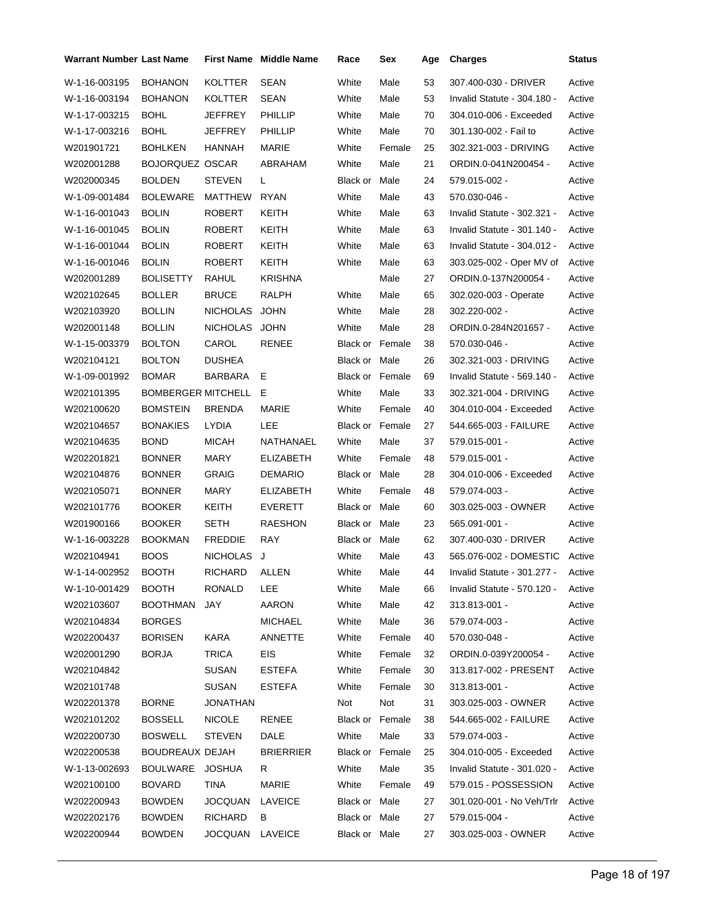| Warrant Number Last Name |                        |                 | <b>First Name</b> Middle Name | Race                   | Sex    | Age | <b>Charges</b>                     | <b>Status</b> |
|--------------------------|------------------------|-----------------|-------------------------------|------------------------|--------|-----|------------------------------------|---------------|
| W-1-16-003195            | <b>BOHANON</b>         | <b>KOLTTER</b>  | <b>SEAN</b>                   | White                  | Male   | 53  | 307.400-030 - DRIVER               | Active        |
| W-1-16-003194            | <b>BOHANON</b>         | KOLTTER         | SEAN                          | White                  | Male   | 53  | Invalid Statute - 304.180 -        | Active        |
| W-1-17-003215            | <b>BOHL</b>            | JEFFREY         | <b>PHILLIP</b>                | White                  | Male   | 70  | 304.010-006 - Exceeded             | Active        |
| W-1-17-003216            | <b>BOHL</b>            | JEFFREY         | PHILLIP                       | White                  | Male   | 70  | 301.130-002 - Fail to              | Active        |
| W201901721               | <b>BOHLKEN</b>         | HANNAH          | MARIE                         | White                  | Female | 25  | 302.321-003 - DRIVING              | Active        |
| W202001288               | <b>BOJORQUEZ OSCAR</b> |                 | ABRAHAM                       | White                  | Male   | 21  | ORDIN.0-041N200454 -               | Active        |
| W202000345               | <b>BOLDEN</b>          | STEVEN          | L.                            | Black or               | Male   | 24  | 579.015-002 -                      | Active        |
| W-1-09-001484            | <b>BOLEWARE</b>        | <b>MATTHEW</b>  | <b>RYAN</b>                   | White                  | Male   | 43  | 570.030-046 -                      | Active        |
| W-1-16-001043            | <b>BOLIN</b>           | ROBERT          | KEITH                         | White                  | Male   | 63  | Invalid Statute - 302.321 -        | Active        |
| W-1-16-001045            | <b>BOLIN</b>           | ROBERT          | KEITH                         | White                  | Male   | 63  | Invalid Statute - 301.140 -        | Active        |
| W-1-16-001044            | <b>BOLIN</b>           | ROBERT          | KEITH                         | White                  | Male   | 63  | Invalid Statute - 304.012 -        | Active        |
| W-1-16-001046            | <b>BOLIN</b>           | ROBERT          | KEITH                         | White                  | Male   | 63  | 303.025-002 - Oper MV of           | Active        |
| W202001289               | BOLISETTY              | RAHUL           | <b>KRISHNA</b>                |                        | Male   | 27  | ORDIN.0-137N200054 -               | Active        |
| W202102645               | <b>BOLLER</b>          | <b>BRUCE</b>    | <b>RALPH</b>                  | White                  | Male   | 65  | 302.020-003 - Operate              | Active        |
| W202103920               | BOLLIN                 | <b>NICHOLAS</b> | <b>JOHN</b>                   | White                  | Male   | 28  | 302.220-002 -                      | Active        |
| W202001148               | <b>BOLLIN</b>          | NICHOLAS JOHN   |                               | White                  | Male   | 28  | ORDIN.0-284N201657 -               | Active        |
| W-1-15-003379            | <b>BOLTON</b>          | CAROL           | RENEE                         | <b>Black or Female</b> |        | 38  | 570.030-046 -                      | Active        |
| W202104121               | <b>BOLTON</b>          | <b>DUSHEA</b>   |                               | Black or Male          |        | 26  | 302.321-003 - DRIVING              | Active        |
| W-1-09-001992            | <b>BOMAR</b>           | BARBARA         | Е                             | Black or Female        |        | 69  | Invalid Statute - 569.140 -        | Active        |
| W202101395               | BOMBERGER MITCHELL E   |                 |                               | White                  | Male   | 33  | 302.321-004 - DRIVING              | Active        |
| W202100620               | <b>BOMSTEIN</b>        | <b>BRENDA</b>   | MARIE                         | White                  | Female | 40  | 304.010-004 - Exceeded             | Active        |
| W202104657               | <b>BONAKIES</b>        | <b>LYDIA</b>    | LEE                           | Black or Female        |        | 27  | 544.665-003 - FAILURE              | Active        |
| W202104635               | <b>BOND</b>            | MICAH           | NATHANAEL                     | White                  | Male   | 37  | 579.015-001 -                      | Active        |
| W202201821               | <b>BONNER</b>          | MARY            | <b>ELIZABETH</b>              | White                  | Female | 48  | 579.015-001 -                      | Active        |
| W202104876               | <b>BONNER</b>          | <b>GRAIG</b>    | <b>DEMARIO</b>                | Black or Male          |        | 28  | 304.010-006 - Exceeded             | Active        |
| W202105071               | <b>BONNER</b>          | MARY            | <b>ELIZABETH</b>              | White                  | Female | 48  | 579.074-003 -                      | Active        |
| W202101776               | <b>BOOKER</b>          | KEITH           | <b>EVERETT</b>                | Black or Male          |        | 60  | 303.025-003 - OWNER                | Active        |
| W201900166               | <b>BOOKER</b>          | <b>SETH</b>     | <b>RAESHON</b>                | Black or Male          |        | 23  | 565.091-001 -                      | Active        |
| W-1-16-003228            | <b>BOOKMAN</b>         | <b>FREDDIE</b>  | RAY                           | Black or Male          |        | 62  | 307.400-030 - DRIVER               | Active        |
| W202104941               | <b>BOOS</b>            | <b>NICHOLAS</b> | J                             | White                  | Male   | 43  | 565.076-002 - DOMESTIC             | Active        |
| W-1-14-002952            | <b>BOOTH</b>           | RICHARD ALLEN   |                               | White                  | Male   | 44  | Invalid Statute - 301.277 - Active |               |
| W-1-10-001429            | <b>BOOTH</b>           | RONALD          | LEE                           | White                  | Male   | 66  | Invalid Statute - 570.120 -        | Active        |
| W202103607               | BOOTHMAN               | JAY             | AARON                         | White                  | Male   | 42  | 313.813-001 -                      | Active        |
| W202104834               | <b>BORGES</b>          |                 | <b>MICHAEL</b>                | White                  | Male   | 36  | 579.074-003 -                      | Active        |
| W202200437               | <b>BORISEN</b>         | <b>KARA</b>     | ANNETTE                       | White                  | Female | 40  | 570.030-048 -                      | Active        |
| W202001290               | <b>BORJA</b>           | TRICA           | <b>EIS</b>                    | White                  | Female | 32  | ORDIN.0-039Y200054 -               | Active        |
| W202104842               |                        | <b>SUSAN</b>    | <b>ESTEFA</b>                 | White                  | Female | 30  | 313.817-002 - PRESENT              | Active        |
| W202101748               |                        | SUSAN           | <b>ESTEFA</b>                 | White                  | Female | 30  | 313.813-001 -                      | Active        |
| W202201378               | <b>BORNE</b>           | JONATHAN        |                               | Not                    | Not    | 31  | 303.025-003 - OWNER                | Active        |
| W202101202               | <b>BOSSELL</b>         | <b>NICOLE</b>   | RENEE                         | Black or Female        |        | 38  | 544.665-002 - FAILURE              | Active        |
| W202200730               | <b>BOSWELL</b>         | <b>STEVEN</b>   | DALE                          | White                  | Male   | 33  | 579.074-003 -                      | Active        |
| W202200538               | BOUDREAUX DEJAH        |                 | <b>BRIERRIER</b>              | Black or Female        |        | 25  | 304.010-005 - Exceeded             | Active        |
| W-1-13-002693            | BOULWARE JOSHUA        |                 | R                             | White                  | Male   | 35  | Invalid Statute - 301.020 -        | Active        |
| W202100100               | <b>BOVARD</b>          | TINA            | MARIE                         | White                  | Female | 49  | 579.015 - POSSESSION               | Active        |
| W202200943               | <b>BOWDEN</b>          | JOCQUAN         | LAVEICE                       | Black or Male          |        | 27  | 301.020-001 - No Veh/Trlr          | Active        |
| W202202176               | <b>BOWDEN</b>          | <b>RICHARD</b>  | B                             | Black or Male          |        | 27  | 579.015-004 -                      | Active        |
| W202200944               | <b>BOWDEN</b>          | JOCQUAN LAVEICE |                               | Black or Male          |        | 27  | 303.025-003 - OWNER                | Active        |
|                          |                        |                 |                               |                        |        |     |                                    |               |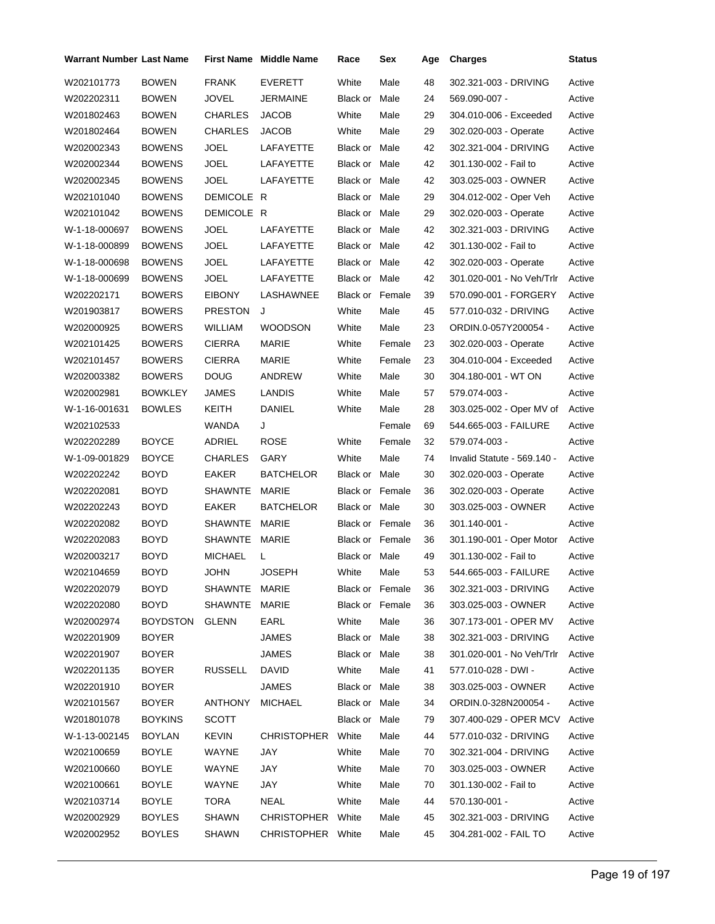| Warrant Number Last Name |                |                | <b>First Name</b> Middle Name | Race                   | Sex    | Age | <b>Charges</b>                | <b>Status</b> |
|--------------------------|----------------|----------------|-------------------------------|------------------------|--------|-----|-------------------------------|---------------|
| W202101773               | <b>BOWEN</b>   | <b>FRANK</b>   | <b>EVERETT</b>                | White                  | Male   | 48  | 302.321-003 - DRIVING         | Active        |
| W202202311               | <b>BOWEN</b>   | JOVEL          | <b>JERMAINE</b>               | Black or               | Male   | 24  | 569.090-007 -                 | Active        |
| W201802463               | <b>BOWEN</b>   | <b>CHARLES</b> | <b>JACOB</b>                  | White                  | Male   | 29  | 304.010-006 - Exceeded        | Active        |
| W201802464               | <b>BOWEN</b>   | <b>CHARLES</b> | <b>JACOB</b>                  | White                  | Male   | 29  | 302.020-003 - Operate         | Active        |
| W202002343               | <b>BOWENS</b>  | <b>JOEL</b>    | LAFAYETTE                     | Black or Male          |        | 42  | 302.321-004 - DRIVING         | Active        |
| W202002344               | <b>BOWENS</b>  | JOEL           | LAFAYETTE                     | Black or Male          |        | 42  | 301.130-002 - Fail to         | Active        |
| W202002345               | <b>BOWENS</b>  | JOEL           | LAFAYETTE                     | Black or Male          |        | 42  | 303.025-003 - OWNER           | Active        |
| W202101040               | <b>BOWENS</b>  | DEMICOLE R     |                               | Black or Male          |        | 29  | 304.012-002 - Oper Veh        | Active        |
| W202101042               | <b>BOWENS</b>  | DEMICOLE R     |                               | Black or Male          |        | 29  | 302.020-003 - Operate         | Active        |
| W-1-18-000697            | <b>BOWENS</b>  | JOEL           | LAFAYETTE                     | Black or Male          |        | 42  | 302.321-003 - DRIVING         | Active        |
| W-1-18-000899            | <b>BOWENS</b>  | <b>JOEL</b>    | LAFAYETTE                     | Black or Male          |        | 42  | 301.130-002 - Fail to         | Active        |
| W-1-18-000698            | <b>BOWENS</b>  | JOEL           | LAFAYETTE                     | Black or Male          |        | 42  | 302.020-003 - Operate         | Active        |
| W-1-18-000699            | <b>BOWENS</b>  | JOEL           | LAFAYETTE                     | Black or Male          |        | 42  | 301.020-001 - No Veh/Trlr     | Active        |
| W202202171               | <b>BOWERS</b>  | <b>EIBONY</b>  | LASHAWNEE                     | <b>Black or Female</b> |        | 39  | 570.090-001 - FORGERY         | Active        |
| W201903817               | <b>BOWERS</b>  | <b>PRESTON</b> | J                             | White                  | Male   | 45  | 577.010-032 - DRIVING         | Active        |
| W202000925               | <b>BOWERS</b>  | <b>WILLIAM</b> | <b>WOODSON</b>                | White                  | Male   | 23  | ORDIN.0-057Y200054 -          | Active        |
| W202101425               | <b>BOWERS</b>  | <b>CIERRA</b>  | MARIE                         | White                  | Female | 23  | 302.020-003 - Operate         | Active        |
| W202101457               | <b>BOWERS</b>  | <b>CIERRA</b>  | MARIE                         | White                  | Female | 23  | 304.010-004 - Exceeded        | Active        |
| W202003382               | <b>BOWERS</b>  | <b>DOUG</b>    | ANDREW                        | White                  | Male   | 30  | 304.180-001 - WT ON           | Active        |
| W202002981               | <b>BOWKLEY</b> | JAMES          | LANDIS                        | White                  | Male   | 57  | 579.074-003 -                 | Active        |
| W-1-16-001631            | <b>BOWLES</b>  | KEITH          | DANIEL                        | White                  | Male   | 28  | 303.025-002 - Oper MV of      | Active        |
| W202102533               |                | WANDA          | J                             |                        | Female | 69  | 544.665-003 - FAILURE         | Active        |
| W202202289               | <b>BOYCE</b>   | ADRIEL         | <b>ROSE</b>                   | White                  | Female | 32  | 579.074-003 -                 | Active        |
| W-1-09-001829            | <b>BOYCE</b>   | <b>CHARLES</b> | GARY                          | White                  | Male   | 74  | Invalid Statute - 569.140 -   | Active        |
| W202202242               | <b>BOYD</b>    | EAKER          | <b>BATCHELOR</b>              | Black or Male          |        | 30  | 302.020-003 - Operate         | Active        |
| W202202081               | <b>BOYD</b>    | SHAWNTE        | MARIE                         | <b>Black or Female</b> |        | 36  | 302.020-003 - Operate         | Active        |
| W202202243               | <b>BOYD</b>    | EAKER          | <b>BATCHELOR</b>              | Black or Male          |        | 30  | 303.025-003 - OWNER           | Active        |
| W202202082               | <b>BOYD</b>    | SHAWNTE        | MARIE                         | Black or Female        |        | 36  | 301.140-001 -                 | Active        |
| W202202083               | <b>BOYD</b>    | SHAWNTE MARIE  |                               | <b>Black or Female</b> |        | 36  | 301.190-001 - Oper Motor      | Active        |
| W202003217               | <b>BOYD</b>    | <b>MICHAEL</b> | L                             | Black or Male          |        | 49  | 301.130-002 - Fail to         | Active        |
| W202104659               | <b>BOYD</b>    | JOHN           | <b>JOSEPH</b>                 | White Male             |        | 53  | 544.665-003 - FAILURE         | Active        |
| W202202079               | <b>BOYD</b>    | SHAWNTE MARIE  |                               | Black or Female        |        | 36  | 302.321-003 - DRIVING         | Active        |
| W202202080               | <b>BOYD</b>    | SHAWNTE MARIE  |                               | <b>Black or Female</b> |        | 36  | 303.025-003 - OWNER           | Active        |
| W202002974               | BOYDSTON       | <b>GLENN</b>   | EARL                          | White                  | Male   | 36  | 307.173-001 - OPER MV         | Active        |
| W202201909               | <b>BOYER</b>   |                | JAMES                         | Black or Male          |        | 38  | 302.321-003 - DRIVING         | Active        |
| W202201907               | <b>BOYER</b>   |                | <b>JAMES</b>                  | Black or Male          |        | 38  | 301.020-001 - No Veh/Trlr     | Active        |
| W202201135               | <b>BOYER</b>   | RUSSELL        | DAVID                         | White                  | Male   | 41  | 577.010-028 - DWI -           | Active        |
| W202201910               | <b>BOYER</b>   |                | JAMES                         | Black or Male          |        | 38  | 303.025-003 - OWNER           | Active        |
| W202101567               | <b>BOYER</b>   | <b>ANTHONY</b> | MICHAEL                       | Black or Male          |        | 34  | ORDIN.0-328N200054 -          | Active        |
| W201801078               | <b>BOYKINS</b> | SCOTT          |                               | Black or Male          |        | 79  | 307.400-029 - OPER MCV Active |               |
| W-1-13-002145            | <b>BOYLAN</b>  | KEVIN          | CHRISTOPHER White             |                        | Male   | 44  | 577.010-032 - DRIVING         | Active        |
| W202100659               | <b>BOYLE</b>   | WAYNE          | JAY                           | White                  | Male   | 70  | 302.321-004 - DRIVING         | Active        |
| W202100660               | <b>BOYLE</b>   | WAYNE          | JAY                           | White                  | Male   | 70  | 303.025-003 - OWNER           | Active        |
| W202100661               | <b>BOYLE</b>   | WAYNE          | JAY                           | White                  | Male   | 70  | 301.130-002 - Fail to         | Active        |
| W202103714               | <b>BOYLE</b>   | TORA           | <b>NEAL</b>                   | White                  | Male   | 44  | 570.130-001 -                 | Active        |
| W202002929               | <b>BOYLES</b>  | SHAWN          | CHRISTOPHER White             |                        | Male   | 45  | 302.321-003 - DRIVING         | Active        |
| W202002952               | <b>BOYLES</b>  | SHAWN          | CHRISTOPHER White             |                        | Male   | 45  | 304.281-002 - FAIL TO         | Active        |
|                          |                |                |                               |                        |        |     |                               |               |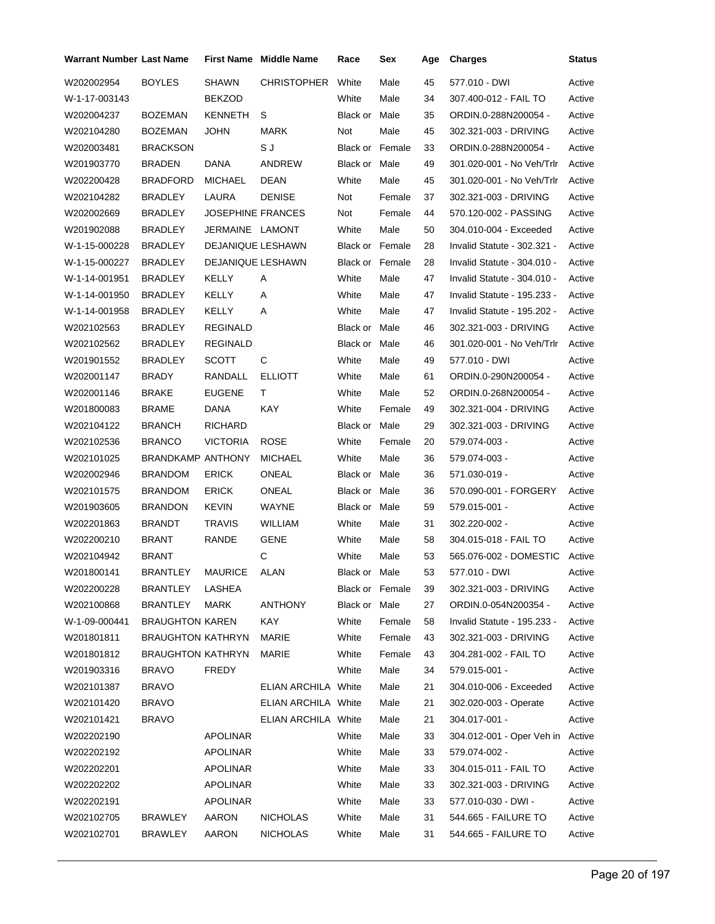| <b>Warrant Number Last Name</b> |                          |                          | <b>First Name</b> Middle Name | Race                   | Sex    | Age | <b>Charges</b>                   | <b>Status</b> |
|---------------------------------|--------------------------|--------------------------|-------------------------------|------------------------|--------|-----|----------------------------------|---------------|
| W202002954                      | <b>BOYLES</b>            | <b>SHAWN</b>             | <b>CHRISTOPHER</b>            | White                  | Male   | 45  | 577.010 - DWI                    | Active        |
| W-1-17-003143                   |                          | <b>BEKZOD</b>            |                               | White                  | Male   | 34  | 307.400-012 - FAIL TO            | Active        |
| W202004237                      | <b>BOZEMAN</b>           | <b>KENNETH</b>           | S                             | Black or               | Male   | 35  | ORDIN.0-288N200054 -             | Active        |
| W202104280                      | <b>BOZEMAN</b>           | JOHN                     | MARK                          | Not                    | Male   | 45  | 302.321-003 - DRIVING            | Active        |
| W202003481                      | <b>BRACKSON</b>          |                          | S J                           | Black or Female        |        | 33  | ORDIN.0-288N200054 -             | Active        |
| W201903770                      | <b>BRADEN</b>            | DANA                     | ANDREW                        | <b>Black or Male</b>   |        | 49  | 301.020-001 - No Veh/Trlr        | Active        |
| W202200428                      | <b>BRADFORD</b>          | <b>MICHAEL</b>           | DEAN                          | White                  | Male   | 45  | 301.020-001 - No Veh/Trlr        | Active        |
| W202104282                      | <b>BRADLEY</b>           | LAURA                    | <b>DENISE</b>                 | Not                    | Female | 37  | 302.321-003 - DRIVING            | Active        |
| W202002669                      | <b>BRADLEY</b>           | <b>JOSEPHINE FRANCES</b> |                               | Not                    | Female | 44  | 570.120-002 - PASSING            | Active        |
| W201902088                      | <b>BRADLEY</b>           | JERMAINE LAMONT          |                               | White                  | Male   | 50  | 304.010-004 - Exceeded           | Active        |
| W-1-15-000228                   | <b>BRADLEY</b>           | DEJANIQUE LESHAWN        |                               | <b>Black or Female</b> |        | 28  | Invalid Statute - 302.321 -      | Active        |
| W-1-15-000227                   | <b>BRADLEY</b>           | <b>DEJANIQUE LESHAWN</b> |                               | <b>Black or Female</b> |        | 28  | Invalid Statute - 304.010 -      | Active        |
| W-1-14-001951                   | <b>BRADLEY</b>           | <b>KELLY</b>             | Α                             | White                  | Male   | 47  | Invalid Statute - 304.010 -      | Active        |
| W-1-14-001950                   | <b>BRADLEY</b>           | KELLY                    | Α                             | White                  | Male   | 47  | Invalid Statute - 195.233 -      | Active        |
| W-1-14-001958                   | <b>BRADLEY</b>           | <b>KELLY</b>             | Α                             | White                  | Male   | 47  | Invalid Statute - 195.202 -      | Active        |
| W202102563                      | <b>BRADLEY</b>           | <b>REGINALD</b>          |                               | Black or               | Male   | 46  | 302.321-003 - DRIVING            | Active        |
| W202102562                      | <b>BRADLEY</b>           | <b>REGINALD</b>          |                               | Black or Male          |        | 46  | 301.020-001 - No Veh/Trlr        | Active        |
| W201901552                      | <b>BRADLEY</b>           | <b>SCOTT</b>             | С                             | White                  | Male   | 49  | 577.010 - DWI                    | Active        |
| W202001147                      | <b>BRADY</b>             | RANDALL                  | <b>ELLIOTT</b>                | White                  | Male   | 61  | ORDIN.0-290N200054 -             | Active        |
| W202001146                      | <b>BRAKE</b>             | <b>EUGENE</b>            | т                             | White                  | Male   | 52  | ORDIN.0-268N200054 -             | Active        |
| W201800083                      | <b>BRAME</b>             | DANA                     | KAY                           | White                  | Female | 49  | 302.321-004 - DRIVING            | Active        |
| W202104122                      | <b>BRANCH</b>            | <b>RICHARD</b>           |                               | Black or               | Male   | 29  | 302.321-003 - DRIVING            | Active        |
| W202102536                      | <b>BRANCO</b>            | <b>VICTORIA</b>          | <b>ROSE</b>                   | White                  | Female | 20  | 579.074-003 -                    | Active        |
| W202101025                      | <b>BRANDKAMP ANTHONY</b> |                          | <b>MICHAEL</b>                | White                  | Male   | 36  | 579.074-003 -                    | Active        |
| W202002946                      | <b>BRANDOM</b>           | <b>ERICK</b>             | <b>ONEAL</b>                  | Black or Male          |        | 36  | 571.030-019 -                    | Active        |
| W202101575                      | <b>BRANDOM</b>           | <b>ERICK</b>             | ONEAL                         | Black or Male          |        | 36  | 570.090-001 - FORGERY            | Active        |
| W201903605                      | <b>BRANDON</b>           | <b>KEVIN</b>             | WAYNE                         | Black or Male          |        | 59  | 579.015-001 -                    | Active        |
| W202201863                      | <b>BRANDT</b>            | <b>TRAVIS</b>            | <b>WILLIAM</b>                | White                  | Male   | 31  | 302.220-002 -                    | Active        |
| W202200210                      | <b>BRANT</b>             | RANDE                    | <b>GENE</b>                   | White                  | Male   | 58  | 304.015-018 - FAIL TO            | Active        |
| W202104942                      | <b>BRANT</b>             |                          | C                             | White                  | Male   | 53  | 565.076-002 - DOMESTIC           | Active        |
| W201800141                      | BRANTLEY MAURICE ALAN    |                          |                               | Black or Male          |        | 53  | 577.010 - DWI                    | Active        |
| W202200228                      | BRANTLEY                 | LASHEA                   |                               | Black or Female        |        | 39  | 302.321-003 - DRIVING            | Active        |
| W202100868                      | BRANTLEY                 | <b>MARK</b>              | <b>ANTHONY</b>                | Black or Male          |        | 27  | ORDIN.0-054N200354 -             | Active        |
| W-1-09-000441                   | <b>BRAUGHTON KAREN</b>   |                          | KAY                           | White                  | Female | 58  | Invalid Statute - 195.233 -      | Active        |
| W201801811                      | <b>BRAUGHTON KATHRYN</b> |                          | MARIE                         | White                  | Female | 43  | 302.321-003 - DRIVING            | Active        |
| W201801812                      | <b>BRAUGHTON KATHRYN</b> |                          | MARIE                         | White                  | Female | 43  | 304.281-002 - FAIL TO            | Active        |
| W201903316                      | <b>BRAVO</b>             | <b>FREDY</b>             |                               | White                  | Male   | 34  | 579.015-001 -                    | Active        |
| W202101387                      | <b>BRAVO</b>             |                          | ELIAN ARCHILA White           |                        | Male   | 21  | 304.010-006 - Exceeded           | Active        |
| W202101420                      | <b>BRAVO</b>             |                          | <b>ELIAN ARCHILA White</b>    |                        | Male   | 21  | 302.020-003 - Operate            | Active        |
| W202101421                      | <b>BRAVO</b>             |                          | <b>ELIAN ARCHILA White</b>    |                        | Male   | 21  | 304.017-001 -                    | Active        |
| W202202190                      |                          | APOLINAR                 |                               | White                  | Male   | 33  | 304.012-001 - Oper Veh in Active |               |
| W202202192                      |                          | APOLINAR                 |                               | White                  | Male   | 33  | 579.074-002 -                    | Active        |
| W202202201                      |                          | APOLINAR                 |                               | White                  | Male   | 33  | 304.015-011 - FAIL TO            | Active        |
| W202202202                      |                          | <b>APOLINAR</b>          |                               | White                  | Male   | 33  | 302.321-003 - DRIVING            | Active        |
| W202202191                      |                          | APOLINAR                 |                               | White                  | Male   | 33  | 577.010-030 - DWI -              | Active        |
| W202102705                      | <b>BRAWLEY</b>           | AARON                    | <b>NICHOLAS</b>               | White                  | Male   | 31  | 544.665 - FAILURE TO             | Active        |
| W202102701                      | <b>BRAWLEY</b>           | AARON                    | <b>NICHOLAS</b>               | White                  | Male   | 31  | 544.665 - FAILURE TO             | Active        |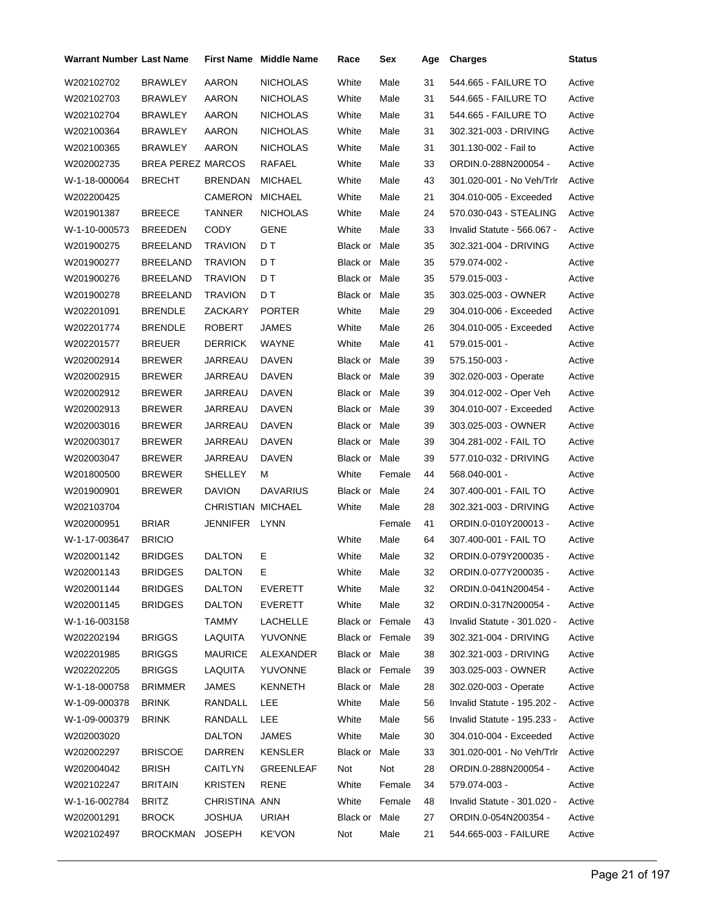| Warrant Number Last Name |                   |                   | <b>First Name Middle Name</b> | Race            | Sex    | Age | <b>Charges</b>              | Status |
|--------------------------|-------------------|-------------------|-------------------------------|-----------------|--------|-----|-----------------------------|--------|
| W202102702               | BRAWLEY           | AARON             | <b>NICHOLAS</b>               | White           | Male   | 31  | 544.665 - FAILURE TO        | Active |
| W202102703               | <b>BRAWLEY</b>    | AARON             | <b>NICHOLAS</b>               | White           | Male   | 31  | 544.665 - FAILURE TO        | Active |
| W202102704               | <b>BRAWLEY</b>    | AARON             | <b>NICHOLAS</b>               | White           | Male   | 31  | 544.665 - FAILURE TO        | Active |
| W202100364               | <b>BRAWLEY</b>    | AARON             | <b>NICHOLAS</b>               | White           | Male   | 31  | 302.321-003 - DRIVING       | Active |
| W202100365               | <b>BRAWLEY</b>    | AARON             | <b>NICHOLAS</b>               | White           | Male   | 31  | 301.130-002 - Fail to       | Active |
| W202002735               | BREA PEREZ MARCOS |                   | RAFAEL                        | White           | Male   | 33  | ORDIN.0-288N200054 -        | Active |
| W-1-18-000064            | <b>BRECHT</b>     | <b>BRENDAN</b>    | MICHAEL                       | White           | Male   | 43  | 301.020-001 - No Veh/Trlr   | Active |
| W202200425               |                   | CAMERON           | <b>MICHAEL</b>                | White           | Male   | 21  | 304.010-005 - Exceeded      | Active |
| W201901387               | <b>BREECE</b>     | <b>TANNER</b>     | NICHOLAS                      | White           | Male   | 24  | 570.030-043 - STEALING      | Active |
| W-1-10-000573            | <b>BREEDEN</b>    | CODY              | <b>GENE</b>                   | White           | Male   | 33  | Invalid Statute - 566.067 - | Active |
| W201900275               | <b>BREELAND</b>   | <b>TRAVION</b>    | D T                           | Black or Male   |        | 35  | 302.321-004 - DRIVING       | Active |
| W201900277               | <b>BREELAND</b>   | <b>TRAVION</b>    | D T                           | Black or Male   |        | 35  | 579.074-002 -               | Active |
| W201900276               | <b>BREELAND</b>   | <b>TRAVION</b>    | D T                           | Black or Male   |        | 35  | 579.015-003 -               | Active |
| W201900278               | <b>BREELAND</b>   | <b>TRAVION</b>    | D T                           | Black or Male   |        | 35  | 303.025-003 - OWNER         | Active |
| W202201091               | <b>BRENDLE</b>    | ZACKARY           | <b>PORTER</b>                 | White           | Male   | 29  | 304.010-006 - Exceeded      | Active |
| W202201774               | <b>BRENDLE</b>    | ROBERT            | JAMES                         | White           | Male   | 26  | 304.010-005 - Exceeded      | Active |
| W202201577               | <b>BREUER</b>     | <b>DERRICK</b>    | WAYNE                         | White           | Male   | 41  | 579.015-001 -               | Active |
| W202002914               | <b>BREWER</b>     | JARREAU           | DAVEN                         | Black or Male   |        | 39  | 575.150-003 -               | Active |
| W202002915               | <b>BREWER</b>     | JARREAU           | DAVEN                         | Black or Male   |        | 39  | 302.020-003 - Operate       | Active |
| W202002912               | <b>BREWER</b>     | JARREAU           | DAVEN                         | Black or Male   |        | 39  | 304.012-002 - Oper Veh      | Active |
| W202002913               | <b>BREWER</b>     | JARREAU           | DAVEN                         | Black or Male   |        | 39  | 304.010-007 - Exceeded      | Active |
| W202003016               | <b>BREWER</b>     | JARREAU           | DAVEN                         | Black or Male   |        | 39  | 303.025-003 - OWNER         | Active |
| W202003017               | <b>BREWER</b>     | JARREAU           | DAVEN                         | Black or Male   |        | 39  | 304.281-002 - FAIL TO       | Active |
| W202003047               | <b>BREWER</b>     | JARREAU           | DAVEN                         | Black or Male   |        | 39  | 577.010-032 - DRIVING       | Active |
| W201800500               | <b>BREWER</b>     | SHELLEY           | м                             | White           | Female | 44  | 568.040-001 -               | Active |
| W201900901               | <b>BREWER</b>     | <b>DAVION</b>     | <b>DAVARIUS</b>               | Black or Male   |        | 24  | 307.400-001 - FAIL TO       | Active |
| W202103704               |                   | CHRISTIAN MICHAEL |                               | White           | Male   | 28  | 302.321-003 - DRIVING       | Active |
| W202000951               | <b>BRIAR</b>      | JENNIFER LYNN     |                               |                 | Female | 41  | ORDIN.0-010Y200013 -        | Active |
| W-1-17-003647            | <b>BRICIO</b>     |                   |                               | White           | Male   | 64  | 307.400-001 - FAIL TO       | Active |
| W202001142               | <b>BRIDGES</b>    | <b>DALTON</b>     | Е                             | White           | Male   | 32  | ORDIN.0-079Y200035 -        | Active |
| W202001143               | <b>BRIDGES</b>    | <b>DALTON</b>     | E.                            | White           | Male   | 32  | ORDIN.0-077Y200035 -        | Active |
| W202001144               | <b>BRIDGES</b>    | DALTON            | EVERETT                       | White           | Male   | 32  | ORDIN.0-041N200454 -        | Active |
| W202001145               | <b>BRIDGES</b>    | <b>DALTON</b>     | EVERETT                       | White           | Male   | 32  | ORDIN.0-317N200054 -        | Active |
| W-1-16-003158            |                   | TAMMY             | LACHELLE                      | Black or Female |        | 43  | Invalid Statute - 301.020 - | Active |
| W202202194               | <b>BRIGGS</b>     | LAQUITA           | YUVONNE                       | Black or Female |        | 39  | 302.321-004 - DRIVING       | Active |
| W202201985               | <b>BRIGGS</b>     | <b>MAURICE</b>    | ALEXANDER                     | Black or Male   |        | 38  | 302.321-003 - DRIVING       | Active |
| W202202205               | <b>BRIGGS</b>     | LAQUITA           | YUVONNE                       | Black or Female |        | 39  | 303.025-003 - OWNER         | Active |
| W-1-18-000758            | <b>BRIMMER</b>    | JAMES             | <b>KENNETH</b>                | Black or Male   |        | 28  | 302.020-003 - Operate       | Active |
| W-1-09-000378            | <b>BRINK</b>      | RANDALL           | LEE                           | White           | Male   | 56  | Invalid Statute - 195.202 - | Active |
| W-1-09-000379            | <b>BRINK</b>      | RANDALL           | LEE                           | White           | Male   | 56  | Invalid Statute - 195.233 - | Active |
| W202003020               |                   | DALTON            | JAMES                         | White           | Male   | 30  | 304.010-004 - Exceeded      | Active |
| W202002297               | <b>BRISCOE</b>    | DARREN            | KENSLER                       | Black or Male   |        | 33  | 301.020-001 - No Veh/Trlr   | Active |
| W202004042               | BRISH             | CAITLYN           | GREENLEAF                     | Not             | Not    | 28  | ORDIN.0-288N200054 -        | Active |
| W202102247               | <b>BRITAIN</b>    | <b>KRISTEN</b>    | RENE                          | White           | Female | 34  | 579.074-003 -               | Active |
| W-1-16-002784            | <b>BRITZ</b>      | CHRISTINA ANN     |                               | White           | Female | 48  | Invalid Statute - 301.020 - | Active |
| W202001291               | <b>BROCK</b>      | JOSHUA            | URIAH                         | Black or Male   |        | 27  | ORDIN.0-054N200354 -        | Active |
| W202102497               | BROCKMAN          | JOSEPH            | <b>KE'VON</b>                 | Not             | Male   | 21  | 544.665-003 - FAILURE       | Active |
|                          |                   |                   |                               |                 |        |     |                             |        |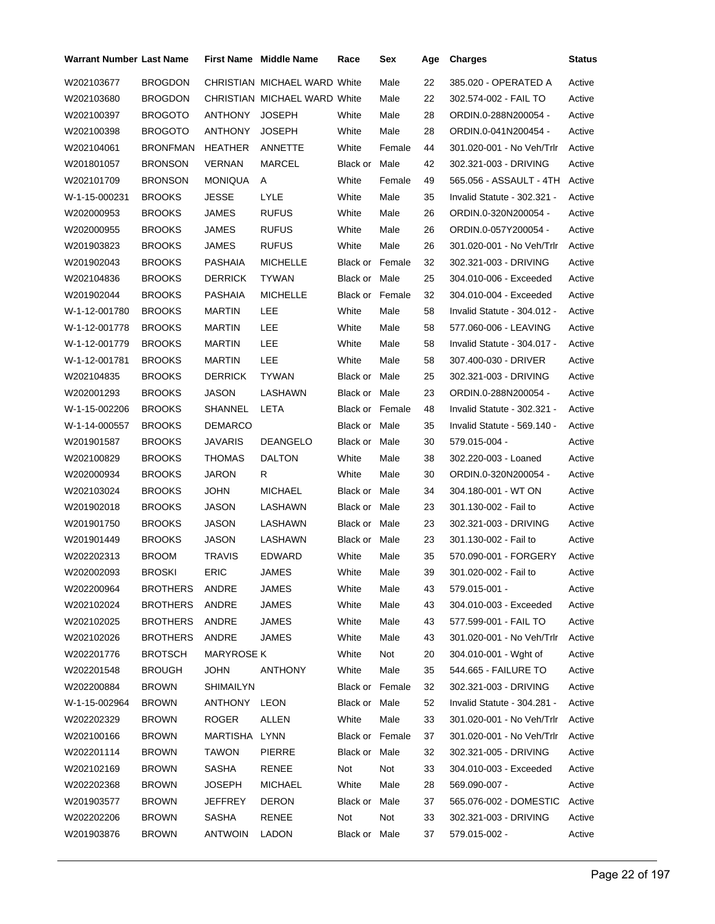| Warrant Number Last Name |                 |                | <b>First Name</b> Middle Name | Race                   | Sex    | Age | <b>Charges</b>              | <b>Status</b> |
|--------------------------|-----------------|----------------|-------------------------------|------------------------|--------|-----|-----------------------------|---------------|
| W202103677               | <b>BROGDON</b>  |                | CHRISTIAN MICHAEL WARD White  |                        | Male   | 22  | 385.020 - OPERATED A        | Active        |
| W202103680               | <b>BROGDON</b>  |                | CHRISTIAN MICHAEL WARD White  |                        | Male   | 22  | 302.574-002 - FAIL TO       | Active        |
| W202100397               | <b>BROGOTO</b>  | <b>ANTHONY</b> | <b>JOSEPH</b>                 | White                  | Male   | 28  | ORDIN.0-288N200054 -        | Active        |
| W202100398               | <b>BROGOTO</b>  | ANTHONY        | <b>JOSEPH</b>                 | White                  | Male   | 28  | ORDIN.0-041N200454 -        | Active        |
| W202104061               | <b>BRONFMAN</b> | HEATHER        | ANNETTE                       | White                  | Female | 44  | 301.020-001 - No Veh/Trlr   | Active        |
| W201801057               | <b>BRONSON</b>  | VERNAN         | MARCEL                        | Black or Male          |        | 42  | 302.321-003 - DRIVING       | Active        |
| W202101709               | <b>BRONSON</b>  | MONIQUA        | A                             | White                  | Female | 49  | 565.056 - ASSAULT - 4TH     | Active        |
| W-1-15-000231            | <b>BROOKS</b>   | JESSE          | LYLE                          | White                  | Male   | 35  | Invalid Statute - 302.321 - | Active        |
| W202000953               | <b>BROOKS</b>   | JAMES          | <b>RUFUS</b>                  | White                  | Male   | 26  | ORDIN.0-320N200054 -        | Active        |
| W202000955               | <b>BROOKS</b>   | JAMES          | <b>RUFUS</b>                  | White                  | Male   | 26  | ORDIN.0-057Y200054 -        | Active        |
| W201903823               | <b>BROOKS</b>   | JAMES          | <b>RUFUS</b>                  | White                  | Male   | 26  | 301.020-001 - No Veh/Trlr   | Active        |
| W201902043               | <b>BROOKS</b>   | PASHAIA        | <b>MICHELLE</b>               | <b>Black or Female</b> |        | 32  | 302.321-003 - DRIVING       | Active        |
| W202104836               | <b>BROOKS</b>   | <b>DERRICK</b> | <b>TYWAN</b>                  | Black or Male          |        | 25  | 304.010-006 - Exceeded      | Active        |
| W201902044               | <b>BROOKS</b>   | PASHAIA        | <b>MICHELLE</b>               | <b>Black or Female</b> |        | 32  | 304.010-004 - Exceeded      | Active        |
| W-1-12-001780            | <b>BROOKS</b>   | <b>MARTIN</b>  | LEE                           | White                  | Male   | 58  | Invalid Statute - 304.012 - | Active        |
| W-1-12-001778            | <b>BROOKS</b>   | <b>MARTIN</b>  | LEE                           | White                  | Male   | 58  | 577.060-006 - LEAVING       | Active        |
| W-1-12-001779            | <b>BROOKS</b>   | MARTIN         | LEE                           | White                  | Male   | 58  | Invalid Statute - 304.017 - | Active        |
| W-1-12-001781            | <b>BROOKS</b>   | <b>MARTIN</b>  | LEE                           | White                  | Male   | 58  | 307.400-030 - DRIVER        | Active        |
| W202104835               | <b>BROOKS</b>   | <b>DERRICK</b> | <b>TYWAN</b>                  | Black or Male          |        | 25  | 302.321-003 - DRIVING       | Active        |
| W202001293               | <b>BROOKS</b>   | JASON          | LASHAWN                       | Black or Male          |        | 23  | ORDIN.0-288N200054 -        | Active        |
| W-1-15-002206            | <b>BROOKS</b>   | SHANNEL        | LETA                          | <b>Black or Female</b> |        | 48  | Invalid Statute - 302.321 - | Active        |
| W-1-14-000557            | <b>BROOKS</b>   | DEMARCO        |                               | Black or Male          |        | 35  | Invalid Statute - 569.140 - | Active        |
| W201901587               | <b>BROOKS</b>   | JAVARIS        | <b>DEANGELO</b>               | Black or Male          |        | 30  | 579.015-004 -               | Active        |
| W202100829               | <b>BROOKS</b>   | THOMAS         | <b>DALTON</b>                 | White                  | Male   | 38  | 302.220-003 - Loaned        | Active        |
| W202000934               | <b>BROOKS</b>   | JARON          | R                             | White                  | Male   | 30  | ORDIN.0-320N200054 -        | Active        |
| W202103024               | <b>BROOKS</b>   | <b>JOHN</b>    | <b>MICHAEL</b>                | Black or Male          |        | 34  | 304.180-001 - WT ON         | Active        |
| W201902018               | <b>BROOKS</b>   | JASON          | LASHAWN                       | Black or Male          |        | 23  | 301.130-002 - Fail to       | Active        |
| W201901750               | <b>BROOKS</b>   | JASON          | LASHAWN                       | Black or Male          |        | 23  | 302.321-003 - DRIVING       | Active        |
| W201901449               | <b>BROOKS</b>   | JASON          | LASHAWN                       | Black or Male          |        | 23  | 301.130-002 - Fail to       | Active        |
| W202202313               | <b>BROOM</b>    | <b>TRAVIS</b>  | <b>EDWARD</b>                 | White                  | Male   | 35  | 570.090-001 - FORGERY       | Active        |
| W202002093               | <b>BROSKI</b>   | ERIC           | JAMES                         | White                  | Male   | 39  | 301.020-002 - Fail to       | Active        |
| W202200964               | BROTHERS ANDRE  |                | JAMES                         | White                  | Male   | 43  | 579.015-001 -               | Active        |
| W202102024               | <b>BROTHERS</b> | ANDRE          | <b>JAMES</b>                  | White                  | Male   | 43  | 304.010-003 - Exceeded      | Active        |
| W202102025               | <b>BROTHERS</b> | ANDRE          | JAMES                         | White                  | Male   | 43  | 577.599-001 - FAIL TO       | Active        |
| W202102026               | <b>BROTHERS</b> | ANDRE          | JAMES                         | White                  | Male   | 43  | 301.020-001 - No Veh/Trlr   | Active        |
| W202201776               | <b>BROTSCH</b>  | MARYROSE K     |                               | White                  | Not    | 20  | 304.010-001 - Wght of       | Active        |
| W202201548               | <b>BROUGH</b>   | JOHN           | ANTHONY                       | White                  | Male   | 35  | 544.665 - FAILURE TO        | Active        |
| W202200884               | <b>BROWN</b>    | SHIMAILYN      |                               | Black or Female        |        | 32  | 302.321-003 - DRIVING       | Active        |
| W-1-15-002964            | <b>BROWN</b>    | ANTHONY LEON   |                               | Black or Male          |        | 52  | Invalid Statute - 304.281 - | Active        |
| W202202329               | <b>BROWN</b>    | ROGER          | ALLEN                         | White                  | Male   | 33  | 301.020-001 - No Veh/Trlr   | Active        |
| W202100166               | <b>BROWN</b>    | MARTISHA LYNN  |                               | Black or Female        |        | 37  | 301.020-001 - No Veh/Trlr   | Active        |
| W202201114               | <b>BROWN</b>    | TAWON          | <b>PIERRE</b>                 | Black or Male          |        | 32  | 302.321-005 - DRIVING       | Active        |
| W202102169               | <b>BROWN</b>    | SASHA          | RENEE                         | Not                    | Not    | 33  | 304.010-003 - Exceeded      | Active        |
| W202202368               | <b>BROWN</b>    | JOSEPH         | MICHAEL                       | White                  | Male   | 28  | 569.090-007 -               | Active        |
| W201903577               | <b>BROWN</b>    | JEFFREY        | <b>DERON</b>                  | Black or Male          |        | 37  | 565.076-002 - DOMESTIC      | Active        |
| W202202206               | <b>BROWN</b>    | <b>SASHA</b>   | RENEE                         | Not                    | Not    | 33  | 302.321-003 - DRIVING       | Active        |
| W201903876               | <b>BROWN</b>    | <b>ANTWOIN</b> | LADON                         | Black or Male          |        | 37  | 579.015-002 -               | Active        |
|                          |                 |                |                               |                        |        |     |                             |               |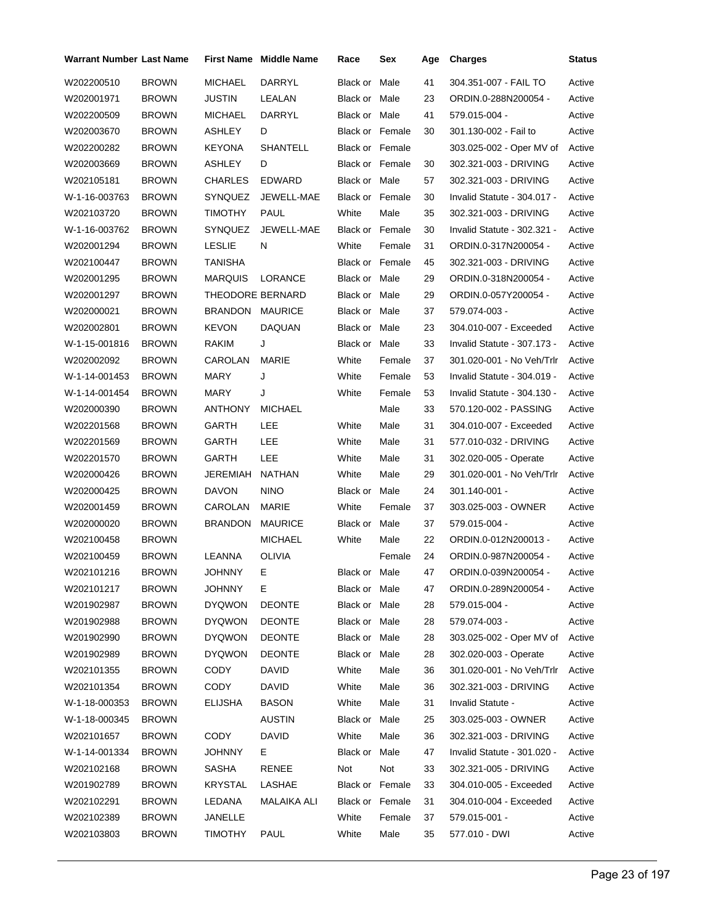| Warrant Number Last Name |              |                  | <b>First Name</b> Middle Name | Race                   | Sex           | Age | <b>Charges</b>              | <b>Status</b> |
|--------------------------|--------------|------------------|-------------------------------|------------------------|---------------|-----|-----------------------------|---------------|
| W202200510               | <b>BROWN</b> | <b>MICHAEL</b>   | DARRYL                        | Black or               | Male          | 41  | 304.351-007 - FAIL TO       | Active        |
| W202001971               | <b>BROWN</b> | <b>JUSTIN</b>    | LEALAN                        | Black or Male          |               | 23  | ORDIN.0-288N200054 -        | Active        |
| W202200509               | <b>BROWN</b> | <b>MICHAEL</b>   | <b>DARRYL</b>                 | Black or Male          |               | 41  | 579.015-004 -               | Active        |
| W202003670               | <b>BROWN</b> | ASHLEY           | D                             | Black or Female        |               | 30  | 301.130-002 - Fail to       | Active        |
| W202200282               | <b>BROWN</b> | <b>KEYONA</b>    | <b>SHANTELL</b>               | Black or Female        |               |     | 303.025-002 - Oper MV of    | Active        |
| W202003669               | <b>BROWN</b> | ASHLEY           | D                             | <b>Black or Female</b> |               | 30  | 302.321-003 - DRIVING       | Active        |
| W202105181               | <b>BROWN</b> | <b>CHARLES</b>   | <b>EDWARD</b>                 | Black or Male          |               | 57  | 302.321-003 - DRIVING       | Active        |
| W-1-16-003763            | <b>BROWN</b> | <b>SYNQUEZ</b>   | JEWELL-MAE                    | Black or Female        |               | 30  | Invalid Statute - 304.017 - | Active        |
| W202103720               | <b>BROWN</b> | <b>TIMOTHY</b>   | PAUL                          | White                  | Male          | 35  | 302.321-003 - DRIVING       | Active        |
| W-1-16-003762            | <b>BROWN</b> | SYNQUEZ          | JEWELL-MAE                    | Black or Female        |               | 30  | Invalid Statute - 302.321 - | Active        |
| W202001294               | <b>BROWN</b> | <b>LESLIE</b>    | N                             | White                  | Female        | 31  | ORDIN.0-317N200054 -        | Active        |
| W202100447               | <b>BROWN</b> | TANISHA          |                               | <b>Black or Female</b> |               | 45  | 302.321-003 - DRIVING       | Active        |
| W202001295               | <b>BROWN</b> | <b>MARQUIS</b>   | LORANCE                       | Black or Male          |               | 29  | ORDIN.0-318N200054 -        | Active        |
| W202001297               | <b>BROWN</b> | THEODORE BERNARD |                               | Black or Male          |               | 29  | ORDIN.0-057Y200054 -        | Active        |
| W202000021               | <b>BROWN</b> | BRANDON          | <b>MAURICE</b>                | Black or Male          |               | 37  | 579.074-003 -               | Active        |
| W202002801               | <b>BROWN</b> | <b>KEVON</b>     | <b>DAQUAN</b>                 | Black or               | Male          | 23  | 304.010-007 - Exceeded      | Active        |
| W-1-15-001816            | <b>BROWN</b> | RAKIM            | J                             | Black or               | Male          | 33  | Invalid Statute - 307.173 - | Active        |
| W202002092               | <b>BROWN</b> | CAROLAN          | MARIE                         | White                  | Female        | 37  | 301.020-001 - No Veh/Trlr   | Active        |
| W-1-14-001453            | <b>BROWN</b> | MARY             | J                             | White                  | Female        | 53  | Invalid Statute - 304.019 - | Active        |
| W-1-14-001454            | <b>BROWN</b> | MARY             | J                             | White                  | Female        | 53  | Invalid Statute - 304.130 - | Active        |
| W202000390               | <b>BROWN</b> | ANTHONY          | <b>MICHAEL</b>                |                        | Male          | 33  | 570.120-002 - PASSING       | Active        |
| W202201568               | <b>BROWN</b> | GARTH            | LEE                           | White                  | Male          | 31  | 304.010-007 - Exceeded      | Active        |
| W202201569               | <b>BROWN</b> | GARTH            | LEE                           | White                  | Male          | 31  | 577.010-032 - DRIVING       | Active        |
| W202201570               | <b>BROWN</b> | GARTH            | LEE                           | White                  | Male          | 31  | 302.020-005 - Operate       | Active        |
| W202000426               | <b>BROWN</b> | JEREMIAH         | <b>NATHAN</b>                 | White                  | Male          | 29  | 301.020-001 - No Veh/Trlr   | Active        |
| W202000425               | <b>BROWN</b> | <b>DAVON</b>     | <b>NINO</b>                   | Black or               | Male          | 24  | 301.140-001 -               | Active        |
| W202001459               | <b>BROWN</b> | CAROLAN          | MARIE                         | White                  | Female        | 37  | 303.025-003 - OWNER         | Active        |
| W202000020               | <b>BROWN</b> | <b>BRANDON</b>   | <b>MAURICE</b>                | Black or               | Male          | 37  | 579.015-004 -               | Active        |
| W202100458               | <b>BROWN</b> |                  | <b>MICHAEL</b>                | White                  | Male          | 22  | ORDIN.0-012N200013 -        | Active        |
| W202100459               | <b>BROWN</b> | LEANNA           | <b>OLIVIA</b>                 |                        | Female        | 24  | ORDIN.0-987N200054 -        | Active        |
| W202101216               | <b>BROWN</b> | JOHNNY           | Е.                            |                        | Black or Male | 47  | ORDIN.0-039N200054 -        | Active        |
| W202101217               | <b>BROWN</b> | <b>JOHNNY</b>    | Е                             | Black or Male          |               | 47  | ORDIN.0-289N200054 -        | Active        |
| W201902987               | <b>BROWN</b> | <b>DYQWON</b>    | DEONTE                        | Black or Male          |               | 28  | 579.015-004 -               | Active        |
| W201902988               | <b>BROWN</b> | <b>DYQWON</b>    | <b>DEONTE</b>                 | Black or Male          |               | 28  | 579.074-003 -               | Active        |
| W201902990               | <b>BROWN</b> | <b>DYQWON</b>    | <b>DEONTE</b>                 | Black or Male          |               | 28  | 303.025-002 - Oper MV of    | Active        |
| W201902989               | <b>BROWN</b> | <b>DYQWON</b>    | DEONTE                        | Black or Male          |               | 28  | 302.020-003 - Operate       | Active        |
| W202101355               | <b>BROWN</b> | CODY             | DAVID                         | White                  | Male          | 36  | 301.020-001 - No Veh/Trlr   | Active        |
| W202101354               | <b>BROWN</b> | <b>CODY</b>      | DAVID                         | White                  | Male          | 36  | 302.321-003 - DRIVING       | Active        |
| W-1-18-000353            | <b>BROWN</b> | ELIJSHA          | BASON                         | White                  | Male          | 31  | Invalid Statute -           | Active        |
| W-1-18-000345            | <b>BROWN</b> |                  | AUSTIN                        | Black or               | Male          | 25  | 303.025-003 - OWNER         | Active        |
| W202101657               | <b>BROWN</b> | <b>CODY</b>      | <b>DAVID</b>                  | White                  | Male          | 36  | 302.321-003 - DRIVING       | Active        |
| W-1-14-001334            | <b>BROWN</b> | JOHNNY           | E.                            | Black or Male          |               | 47  | Invalid Statute - 301.020 - | Active        |
| W202102168               | <b>BROWN</b> | SASHA            | RENEE                         | Not                    | Not           | 33  | 302.321-005 - DRIVING       | Active        |
| W201902789               | <b>BROWN</b> | <b>KRYSTAL</b>   | LASHAE                        | Black or Female        |               | 33  | 304.010-005 - Exceeded      | Active        |
| W202102291               | <b>BROWN</b> | LEDANA           | MALAIKA ALI                   | Black or Female        |               | 31  | 304.010-004 - Exceeded      | Active        |
| W202102389               | <b>BROWN</b> | JANELLE          |                               | White                  | Female        | 37  | 579.015-001 -               | Active        |
| W202103803               | <b>BROWN</b> | <b>TIMOTHY</b>   | PAUL                          | White                  | Male          | 35  | 577.010 - DWI               | Active        |
|                          |              |                  |                               |                        |               |     |                             |               |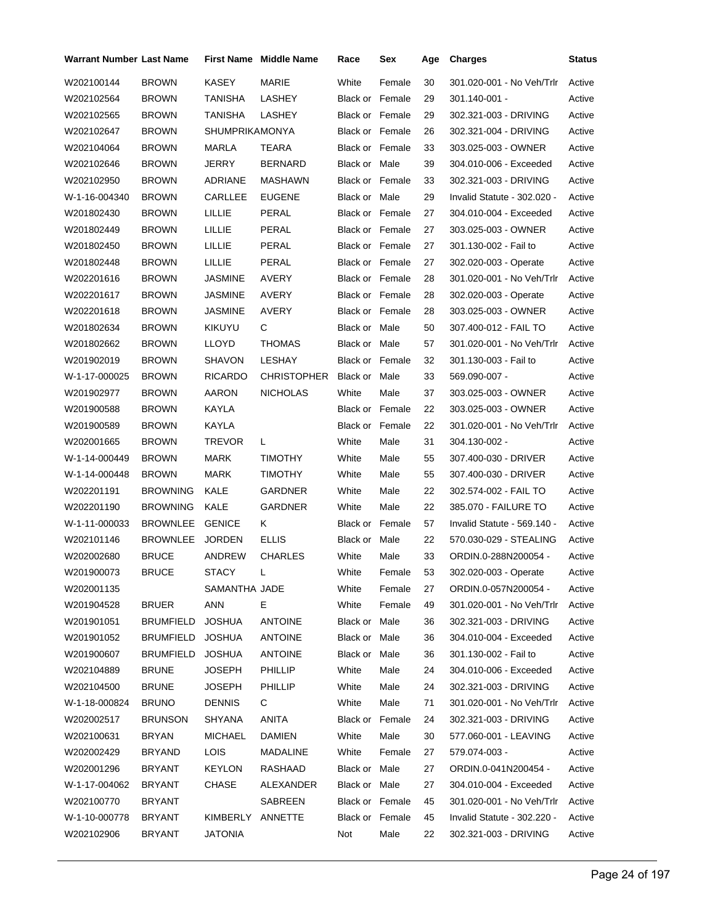| Warrant Number Last Name |                  |                  | <b>First Name</b> Middle Name | Race                   | Sex    | Age | <b>Charges</b>              | Status |
|--------------------------|------------------|------------------|-------------------------------|------------------------|--------|-----|-----------------------------|--------|
| W202100144               | <b>BROWN</b>     | <b>KASEY</b>     | MARIE                         | White                  | Female | 30  | 301.020-001 - No Veh/Trlr   | Active |
| W202102564               | <b>BROWN</b>     | TANISHA          | LASHEY                        | <b>Black or Female</b> |        | 29  | 301.140-001 -               | Active |
| W202102565               | <b>BROWN</b>     | TANISHA          | LASHEY                        | <b>Black or Female</b> |        | 29  | 302.321-003 - DRIVING       | Active |
| W202102647               | <b>BROWN</b>     | SHUMPRIKAMONYA   |                               | <b>Black or Female</b> |        | 26  | 302.321-004 - DRIVING       | Active |
| W202104064               | <b>BROWN</b>     | <b>MARLA</b>     | TEARA                         | <b>Black or Female</b> |        | 33  | 303.025-003 - OWNER         | Active |
| W202102646               | <b>BROWN</b>     | <b>JERRY</b>     | <b>BERNARD</b>                | Black or Male          |        | 39  | 304.010-006 - Exceeded      | Active |
| W202102950               | <b>BROWN</b>     | ADRIANE          | MASHAWN                       | <b>Black or Female</b> |        | 33  | 302.321-003 - DRIVING       | Active |
| W-1-16-004340            | <b>BROWN</b>     | CARLLEE          | <b>EUGENE</b>                 | Black or Male          |        | 29  | Invalid Statute - 302.020 - | Active |
| W201802430               | <b>BROWN</b>     | LILLIE           | PERAL                         | Black or Female        |        | 27  | 304.010-004 - Exceeded      | Active |
| W201802449               | <b>BROWN</b>     | LILLIE           | PERAL                         | Black or Female        |        | 27  | 303.025-003 - OWNER         | Active |
| W201802450               | <b>BROWN</b>     | LILLIE           | PERAL                         | <b>Black or Female</b> |        | 27  | 301.130-002 - Fail to       | Active |
| W201802448               | <b>BROWN</b>     | LILLIE           | PERAL                         | Black or Female        |        | 27  | 302.020-003 - Operate       | Active |
| W202201616               | <b>BROWN</b>     | JASMINE          | AVERY                         | <b>Black or Female</b> |        | 28  | 301.020-001 - No Veh/Trlr   | Active |
| W202201617               | <b>BROWN</b>     | <b>JASMINE</b>   | AVERY                         | <b>Black or Female</b> |        | 28  | 302.020-003 - Operate       | Active |
| W202201618               | <b>BROWN</b>     | JASMINE          | AVERY                         | Black or Female        |        | 28  | 303.025-003 - OWNER         | Active |
| W201802634               | <b>BROWN</b>     | KIKUYU           | С                             | Black or Male          |        | 50  | 307.400-012 - FAIL TO       | Active |
| W201802662               | <b>BROWN</b>     | <b>LLOYD</b>     | <b>THOMAS</b>                 | Black or Male          |        | 57  | 301.020-001 - No Veh/Trlr   | Active |
| W201902019               | <b>BROWN</b>     | SHAVON           | LESHAY                        | <b>Black or Female</b> |        | 32  | 301.130-003 - Fail to       | Active |
| W-1-17-000025            | <b>BROWN</b>     | <b>RICARDO</b>   | CHRISTOPHER                   | Black or Male          |        | 33  | 569.090-007 -               | Active |
| W201902977               | <b>BROWN</b>     | AARON            | <b>NICHOLAS</b>               | White                  | Male   | 37  | 303.025-003 - OWNER         | Active |
| W201900588               | <b>BROWN</b>     | KAYLA            |                               | <b>Black or Female</b> |        | 22  | 303.025-003 - OWNER         | Active |
| W201900589               | <b>BROWN</b>     | KAYLA            |                               | Black or Female        |        | 22  | 301.020-001 - No Veh/Trlr   | Active |
| W202001665               | <b>BROWN</b>     | TREVOR           | L                             | White                  | Male   | 31  | 304.130-002 -               | Active |
| W-1-14-000449            | <b>BROWN</b>     | MARK             | <b>TIMOTHY</b>                | White                  | Male   | 55  | 307.400-030 - DRIVER        | Active |
| W-1-14-000448            | <b>BROWN</b>     | MARK             | <b>TIMOTHY</b>                | White                  | Male   | 55  | 307.400-030 - DRIVER        | Active |
| W202201191               | <b>BROWNING</b>  | KALE             | GARDNER                       | White                  | Male   | 22  | 302.574-002 - FAIL TO       | Active |
| W202201190               | <b>BROWNING</b>  | KALE             | GARDNER                       | White                  | Male   | 22  | 385.070 - FAILURE TO        | Active |
| W-1-11-000033            | <b>BROWNLEE</b>  | <b>GENICE</b>    | K.                            | Black or               | Female | 57  | Invalid Statute - 569.140 - | Active |
| W202101146               | <b>BROWNLEE</b>  | <b>JORDEN</b>    | <b>ELLIS</b>                  | Black or               | Male   | 22  | 570.030-029 - STEALING      | Active |
| W202002680               | <b>BRUCE</b>     | <b>ANDREW</b>    | <b>CHARLES</b>                | White                  | Male   | 33  | ORDIN.0-288N200054 -        | Active |
| W201900073               | <b>BRUCE</b>     | STACY            | L.                            | White                  | Female | 53  | 302.020-003 - Operate       | Active |
| W202001135               |                  | SAMANTHA JADE    |                               | White                  | Female | 27  | ORDIN.0-057N200054 -        | Active |
| W201904528               | <b>BRUER</b>     | ANN              | E.                            | White                  | Female | 49  | 301.020-001 - No Veh/Trlr   | Active |
| W201901051               | <b>BRUMFIELD</b> | <b>JOSHUA</b>    | <b>ANTOINE</b>                | Black or Male          |        | 36  | 302.321-003 - DRIVING       | Active |
| W201901052               | <b>BRUMFIELD</b> | <b>JOSHUA</b>    | <b>ANTOINE</b>                | Black or Male          |        | 36  | 304.010-004 - Exceeded      | Active |
| W201900607               | <b>BRUMFIELD</b> | <b>JOSHUA</b>    | <b>ANTOINE</b>                | Black or Male          |        | 36  | 301.130-002 - Fail to       | Active |
| W202104889               | <b>BRUNE</b>     | <b>JOSEPH</b>    | <b>PHILLIP</b>                | White                  | Male   | 24  | 304.010-006 - Exceeded      | Active |
| W202104500               | <b>BRUNE</b>     | <b>JOSEPH</b>    | PHILLIP                       | White                  | Male   | 24  | 302.321-003 - DRIVING       | Active |
| W-1-18-000824            | <b>BRUNO</b>     | <b>DENNIS</b>    | C.                            | White                  | Male   | 71  | 301.020-001 - No Veh/Trlr   | Active |
| W202002517               | <b>BRUNSON</b>   | SHYANA           | ANITA                         | Black or Female        |        | 24  | 302.321-003 - DRIVING       | Active |
| W202100631               | <b>BRYAN</b>     | <b>MICHAEL</b>   | <b>DAMIEN</b>                 | White                  | Male   | 30  | 577.060-001 - LEAVING       | Active |
| W202002429               | BRYAND           | LOIS.            | MADALINE                      | White                  | Female | 27  | 579.074-003 -               | Active |
| W202001296               | BRYANT           | <b>KEYLON</b>    | RASHAAD                       | Black or Male          |        | 27  | ORDIN.0-041N200454 -        | Active |
| W-1-17-004062            | BRYANT           | CHASE            | ALEXANDER                     | Black or Male          |        | 27  | 304.010-004 - Exceeded      | Active |
| W202100770               | BRYANT           |                  | SABREEN                       | Black or Female        |        | 45  | 301.020-001 - No Veh/Trlr   | Active |
| W-1-10-000778            | BRYANT           | KIMBERLY ANNETTE |                               | Black or Female        |        | 45  | Invalid Statute - 302.220 - | Active |
| W202102906               | BRYANT           | <b>JATONIA</b>   |                               | Not                    | Male   | 22  | 302.321-003 - DRIVING       | Active |
|                          |                  |                  |                               |                        |        |     |                             |        |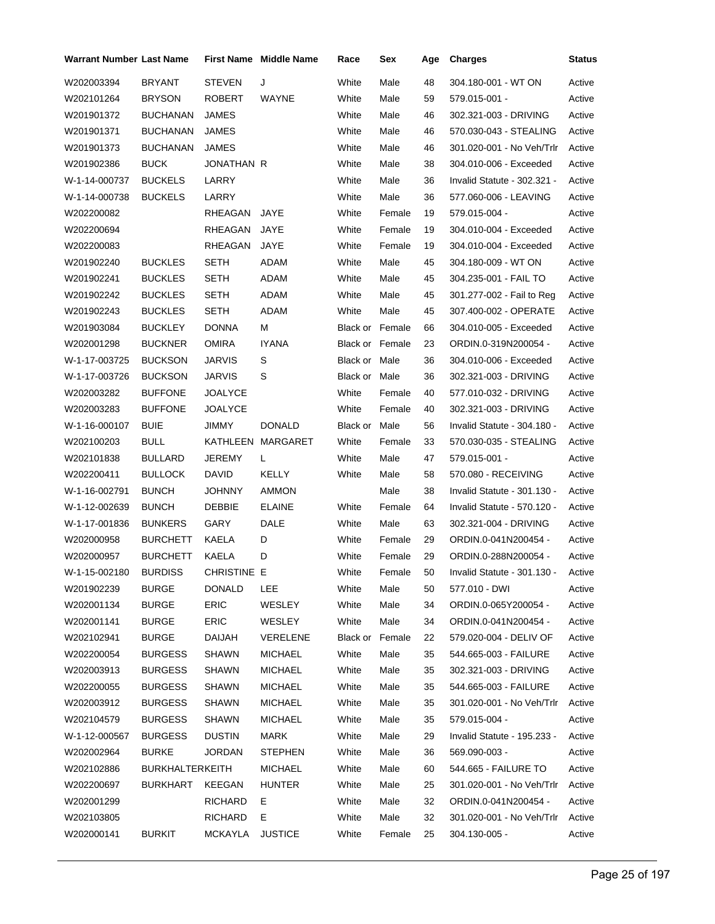| Warrant Number Last Name |                        |               | <b>First Name</b> Middle Name | Race                   | Sex    | Age | <b>Charges</b>              | <b>Status</b> |
|--------------------------|------------------------|---------------|-------------------------------|------------------------|--------|-----|-----------------------------|---------------|
| W202003394               | BRYANT                 | <b>STEVEN</b> | J                             | White                  | Male   | 48  | 304.180-001 - WT ON         | Active        |
| W202101264               | <b>BRYSON</b>          | ROBERT        | WAYNE                         | White                  | Male   | 59  | 579.015-001 -               | Active        |
| W201901372               | <b>BUCHANAN</b>        | JAMES         |                               | White                  | Male   | 46  | 302.321-003 - DRIVING       | Active        |
| W201901371               | <b>BUCHANAN</b>        | <b>JAMES</b>  |                               | White                  | Male   | 46  | 570.030-043 - STEALING      | Active        |
| W201901373               | <b>BUCHANAN</b>        | JAMES         |                               | White                  | Male   | 46  | 301.020-001 - No Veh/Trlr   | Active        |
| W201902386               | <b>BUCK</b>            | JONATHAN R    |                               | White                  | Male   | 38  | 304.010-006 - Exceeded      | Active        |
| W-1-14-000737            | <b>BUCKELS</b>         | LARRY         |                               | White                  | Male   | 36  | Invalid Statute - 302.321 - | Active        |
| W-1-14-000738            | <b>BUCKELS</b>         | LARRY         |                               | White                  | Male   | 36  | 577.060-006 - LEAVING       | Active        |
| W202200082               |                        | RHEAGAN       | JAYE                          | White                  | Female | 19  | 579.015-004 -               | Active        |
| W202200694               |                        | RHEAGAN       | JAYE                          | White                  | Female | 19  | 304.010-004 - Exceeded      | Active        |
| W202200083               |                        | RHEAGAN       | JAYE                          | White                  | Female | 19  | 304.010-004 - Exceeded      | Active        |
| W201902240               | <b>BUCKLES</b>         | SETH          | ADAM                          | White                  | Male   | 45  | 304.180-009 - WT ON         | Active        |
| W201902241               | <b>BUCKLES</b>         | SETH          | ADAM                          | White                  | Male   | 45  | 304.235-001 - FAIL TO       | Active        |
| W201902242               | <b>BUCKLES</b>         | SETH          | ADAM                          | White                  | Male   | 45  | 301.277-002 - Fail to Reg   | Active        |
| W201902243               | <b>BUCKLES</b>         | SETH          | ADAM                          | White                  | Male   | 45  | 307.400-002 - OPERATE       | Active        |
| W201903084               | <b>BUCKLEY</b>         | <b>DONNA</b>  | М                             | <b>Black or Female</b> |        | 66  | 304.010-005 - Exceeded      | Active        |
| W202001298               | <b>BUCKNER</b>         | OMIRA         | <b>IYANA</b>                  | Black or Female        |        | 23  | ORDIN.0-319N200054 -        | Active        |
| W-1-17-003725            | <b>BUCKSON</b>         | JARVIS        | S                             | Black or Male          |        | 36  | 304.010-006 - Exceeded      | Active        |
| W-1-17-003726            | <b>BUCKSON</b>         | <b>JARVIS</b> | S                             | Black or Male          |        | 36  | 302.321-003 - DRIVING       | Active        |
| W202003282               | <b>BUFFONE</b>         | JOALYCE       |                               | White                  | Female | 40  | 577.010-032 - DRIVING       | Active        |
| W202003283               | <b>BUFFONE</b>         | JOALYCE       |                               | White                  | Female | 40  | 302.321-003 - DRIVING       | Active        |
| W-1-16-000107            | <b>BUIE</b>            | JIMMY         | <b>DONALD</b>                 | Black or Male          |        | 56  | Invalid Statute - 304.180 - | Active        |
| W202100203               | BULL                   |               | KATHLEEN MARGARET             | White                  | Female | 33  | 570.030-035 - STEALING      | Active        |
| W202101838               | <b>BULLARD</b>         | JEREMY        | L                             | White                  | Male   | 47  | 579.015-001 -               | Active        |
| W202200411               | <b>BULLOCK</b>         | <b>DAVID</b>  | KELLY                         | White                  | Male   | 58  | 570.080 - RECEIVING         | Active        |
| W-1-16-002791            | <b>BUNCH</b>           | JOHNNY        | <b>AMMON</b>                  |                        | Male   | 38  | Invalid Statute - 301.130 - | Active        |
| W-1-12-002639            | <b>BUNCH</b>           | DEBBIE        | <b>ELAINE</b>                 | White                  | Female | 64  | Invalid Statute - 570.120 - | Active        |
| W-1-17-001836            | <b>BUNKERS</b>         | GARY          | DALE                          | White                  | Male   | 63  | 302.321-004 - DRIVING       | Active        |
| W202000958               | <b>BURCHETT</b>        | KAELA         | D                             | White                  | Female | 29  | ORDIN.0-041N200454 -        | Active        |
| W202000957               | <b>BURCHETT</b>        | KAELA         | D                             | White                  | Female | 29  | ORDIN.0-288N200054 -        | Active        |
| W-1-15-002180            | <b>BURDISS</b>         | CHRISTINE E   |                               | White                  | Female | 50  | Invalid Statute - 301.130 - | Active        |
| W201902239               | <b>BURGE</b>           | <b>DONALD</b> | LEE.                          | White                  | Male   | 50  | 577.010 - DWI               | Active        |
| W202001134               | <b>BURGE</b>           | <b>ERIC</b>   | WESLEY                        | White                  | Male   | 34  | ORDIN.0-065Y200054 -        | Active        |
| W202001141               | <b>BURGE</b>           | <b>ERIC</b>   | WESLEY                        | White                  | Male   | 34  | ORDIN.0-041N200454 -        | Active        |
| W202102941               | <b>BURGE</b>           | DAIJAH        | VERELENE                      | Black or Female        |        | 22  | 579.020-004 - DELIV OF      | Active        |
| W202200054               | <b>BURGESS</b>         | SHAWN         | <b>MICHAEL</b>                | White                  | Male   | 35  | 544.665-003 - FAILURE       | Active        |
| W202003913               | <b>BURGESS</b>         | SHAWN         | <b>MICHAEL</b>                | White                  | Male   | 35  | 302.321-003 - DRIVING       | Active        |
| W202200055               | <b>BURGESS</b>         | <b>SHAWN</b>  | MICHAEL                       | White                  | Male   | 35  | 544.665-003 - FAILURE       | Active        |
| W202003912               | <b>BURGESS</b>         | SHAWN         | MICHAEL                       | White                  | Male   | 35  | 301.020-001 - No Veh/Trlr   | Active        |
| W202104579               | <b>BURGESS</b>         | SHAWN         | <b>MICHAEL</b>                | White                  | Male   | 35  | 579.015-004 -               | Active        |
| W-1-12-000567            | <b>BURGESS</b>         | <b>DUSTIN</b> | MARK                          | White                  | Male   | 29  | Invalid Statute - 195.233 - | Active        |
| W202002964               | BURKE                  | JORDAN        | <b>STEPHEN</b>                | White                  | Male   | 36  | 569.090-003 -               | Active        |
| W202102886               | <b>BURKHALTERKEITH</b> |               | <b>MICHAEL</b>                | White                  | Male   | 60  | 544.665 - FAILURE TO        | Active        |
| W202200697               | BURKHART               | KEEGAN        | <b>HUNTER</b>                 | White                  | Male   | 25  | 301.020-001 - No Veh/Trlr   | Active        |
| W202001299               |                        | RICHARD       | Е.                            | White                  | Male   | 32  | ORDIN.0-041N200454 -        | Active        |
| W202103805               |                        | RICHARD       | Е.                            | White                  | Male   | 32  | 301.020-001 - No Veh/Trlr   | Active        |
| W202000141               | <b>BURKIT</b>          | MCKAYLA       | <b>JUSTICE</b>                | White                  | Female | 25  | 304.130-005 -               | Active        |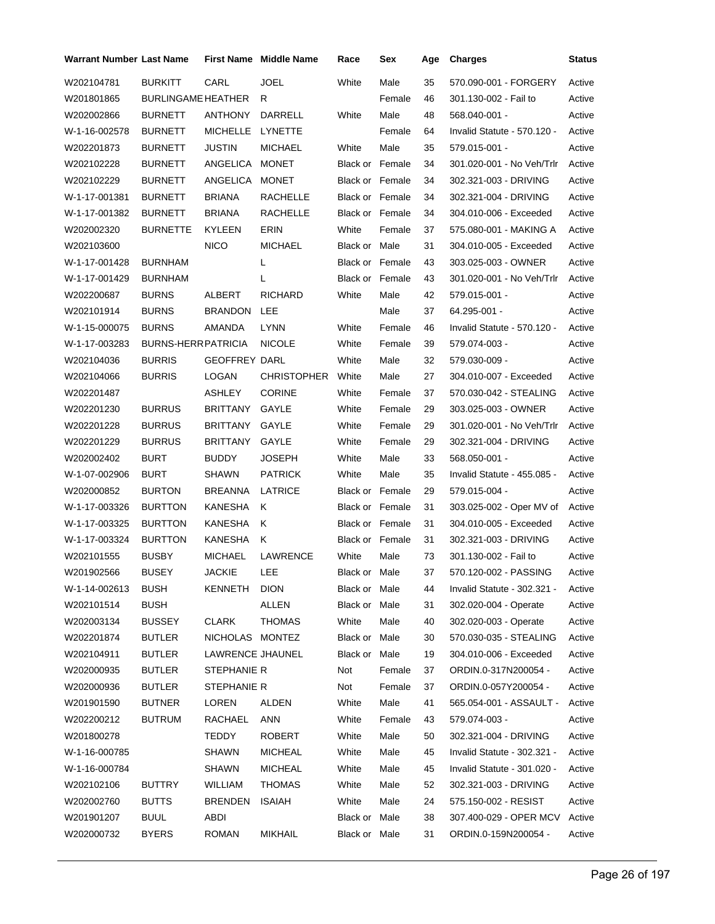| Warrant Number Last Name |                           |                      | <b>First Name Middle Name</b> | Race                   | Sex    | Age | <b>Charges</b>              | Status |
|--------------------------|---------------------------|----------------------|-------------------------------|------------------------|--------|-----|-----------------------------|--------|
| W202104781               | <b>BURKITT</b>            | CARL                 | <b>JOEL</b>                   | White                  | Male   | 35  | 570.090-001 - FORGERY       | Active |
| W201801865               | <b>BURLINGAME HEATHER</b> |                      | R                             |                        | Female | 46  | 301.130-002 - Fail to       | Active |
| W202002866               | <b>BURNETT</b>            | <b>ANTHONY</b>       | DARRELL                       | White                  | Male   | 48  | 568.040-001 -               | Active |
| W-1-16-002578            | <b>BURNETT</b>            | MICHELLE             | LYNETTE                       |                        | Female | 64  | Invalid Statute - 570.120 - | Active |
| W202201873               | <b>BURNETT</b>            | JUSTIN               | <b>MICHAEL</b>                | White                  | Male   | 35  | 579.015-001 -               | Active |
| W202102228               | <b>BURNETT</b>            | ANGELICA             | <b>MONET</b>                  | <b>Black or Female</b> |        | 34  | 301.020-001 - No Veh/Trlr   | Active |
| W202102229               | <b>BURNETT</b>            | ANGELICA             | <b>MONET</b>                  | <b>Black or Female</b> |        | 34  | 302.321-003 - DRIVING       | Active |
| W-1-17-001381            | <b>BURNETT</b>            | <b>BRIANA</b>        | RACHELLE                      | <b>Black or Female</b> |        | 34  | 302.321-004 - DRIVING       | Active |
| W-1-17-001382            | <b>BURNETT</b>            | <b>BRIANA</b>        | RACHELLE                      | Black or Female        |        | 34  | 304.010-006 - Exceeded      | Active |
| W202002320               | <b>BURNETTE</b>           | KYLEEN               | ERIN                          | White                  | Female | 37  | 575.080-001 - MAKING A      | Active |
| W202103600               |                           | <b>NICO</b>          | <b>MICHAEL</b>                | Black or Male          |        | 31  | 304.010-005 - Exceeded      | Active |
| W-1-17-001428            | <b>BURNHAM</b>            |                      | L                             | Black or Female        |        | 43  | 303.025-003 - OWNER         | Active |
| W-1-17-001429            | <b>BURNHAM</b>            |                      | L                             | <b>Black or Female</b> |        | 43  | 301.020-001 - No Veh/Trlr   | Active |
| W202200687               | <b>BURNS</b>              | ALBERT               | <b>RICHARD</b>                | White                  | Male   | 42  | 579.015-001 -               | Active |
| W202101914               | <b>BURNS</b>              | <b>BRANDON</b>       | LEE                           |                        | Male   | 37  | 64.295-001 -                | Active |
| W-1-15-000075            | <b>BURNS</b>              | AMANDA               | <b>LYNN</b>                   | White                  | Female | 46  | Invalid Statute - 570.120 - | Active |
| W-1-17-003283            | <b>BURNS-HERRPATRICIA</b> |                      | <b>NICOLE</b>                 | White                  | Female | 39  | 579.074-003 -               | Active |
| W202104036               | <b>BURRIS</b>             | <b>GEOFFREY DARL</b> |                               | White                  | Male   | 32  | 579.030-009 -               | Active |
| W202104066               | <b>BURRIS</b>             | LOGAN                | <b>CHRISTOPHER</b>            | White                  | Male   | 27  | 304.010-007 - Exceeded      | Active |
| W202201487               |                           | ASHLEY               | <b>CORINE</b>                 | White                  | Female | 37  | 570.030-042 - STEALING      | Active |
| W202201230               | <b>BURRUS</b>             | BRITTANY             | GAYLE                         | White                  | Female | 29  | 303.025-003 - OWNER         | Active |
| W202201228               | <b>BURRUS</b>             | BRITTANY             | GAYLE                         | White                  | Female | 29  | 301.020-001 - No Veh/Trlr   | Active |
| W202201229               | <b>BURRUS</b>             | <b>BRITTANY</b>      | GAYLE                         | White                  | Female | 29  | 302.321-004 - DRIVING       | Active |
| W202002402               | <b>BURT</b>               | <b>BUDDY</b>         | <b>JOSEPH</b>                 | White                  | Male   | 33  | 568.050-001 -               | Active |
| W-1-07-002906            | <b>BURT</b>               | <b>SHAWN</b>         | <b>PATRICK</b>                | White                  | Male   | 35  | Invalid Statute - 455.085 - | Active |
| W202000852               | <b>BURTON</b>             | <b>BREANNA</b>       | LATRICE                       | <b>Black or Female</b> |        | 29  | 579.015-004 -               | Active |
| W-1-17-003326            | <b>BURTTON</b>            | KANESHA              | Κ                             | <b>Black or Female</b> |        | 31  | 303.025-002 - Oper MV of    | Active |
| W-1-17-003325            | <b>BURTTON</b>            | KANESHA              | Κ                             | Black or Female        |        | 31  | 304.010-005 - Exceeded      | Active |
| W-1-17-003324            | <b>BURTTON</b>            | KANESHA              | Κ                             | Black or Female        |        | 31  | 302.321-003 - DRIVING       | Active |
| W202101555               | <b>BUSBY</b>              | <b>MICHAEL</b>       | LAWRENCE                      | White                  | Male   | 73  | 301.130-002 - Fail to       | Active |
| W201902566               | <b>BUSEY</b>              | JACKIE LEE           |                               | Black or Male          |        | 37  | 570.120-002 - PASSING       | Active |
| W-1-14-002613            | <b>BUSH</b>               | KENNETH              | <b>DION</b>                   | Black or Male          |        | 44  | Invalid Statute - 302.321 - | Active |
| W202101514               | <b>BUSH</b>               |                      | <b>ALLEN</b>                  | Black or Male          |        | 31  | 302.020-004 - Operate       | Active |
| W202003134               | BUSSEY                    | <b>CLARK</b>         | <b>THOMAS</b>                 | White                  | Male   | 40  | 302.020-003 - Operate       | Active |
| W202201874               | <b>BUTLER</b>             | NICHOLAS MONTEZ      |                               | Black or Male          |        | 30  | 570.030-035 - STEALING      | Active |
| W202104911               | <b>BUTLER</b>             | LAWRENCE JHAUNEL     |                               | Black or Male          |        | 19  | 304.010-006 - Exceeded      | Active |
| W202000935               | <b>BUTLER</b>             | STEPHANIE R          |                               | Not                    | Female | 37  | ORDIN.0-317N200054 -        | Active |
| W202000936               | <b>BUTLER</b>             | STEPHANIE R          |                               | Not                    | Female | 37  | ORDIN.0-057Y200054 -        | Active |
| W201901590               | <b>BUTNER</b>             | LOREN                | ALDEN                         | White                  | Male   | 41  | 565.054-001 - ASSAULT -     | Active |
| W202200212               | <b>BUTRUM</b>             | RACHAEL              | ANN                           | White                  | Female | 43  | 579.074-003 -               | Active |
| W201800278               |                           | <b>TEDDY</b>         | <b>ROBERT</b>                 | White                  | Male   | 50  | 302.321-004 - DRIVING       | Active |
| W-1-16-000785            |                           | SHAWN                | <b>MICHEAL</b>                | White                  | Male   | 45  | Invalid Statute - 302.321 - | Active |
| W-1-16-000784            |                           | SHAWN                | <b>MICHEAL</b>                | White                  | Male   | 45  | Invalid Statute - 301.020 - | Active |
| W202102106               | BUTTRY                    | WILLIAM              | <b>THOMAS</b>                 | White                  | Male   | 52  | 302.321-003 - DRIVING       | Active |
| W202002760               | <b>BUTTS</b>              | <b>BRENDEN</b>       | ISAIAH                        | White                  | Male   | 24  | 575.150-002 - RESIST        | Active |
| W201901207               | <b>BUUL</b>               | <b>ABDI</b>          |                               | Black or Male          |        | 38  | 307.400-029 - OPER MCV      | Active |
| W202000732               | <b>BYERS</b>              | <b>ROMAN</b>         | <b>MIKHAIL</b>                | Black or Male          |        | 31  | ORDIN.0-159N200054 -        | Active |
|                          |                           |                      |                               |                        |        |     |                             |        |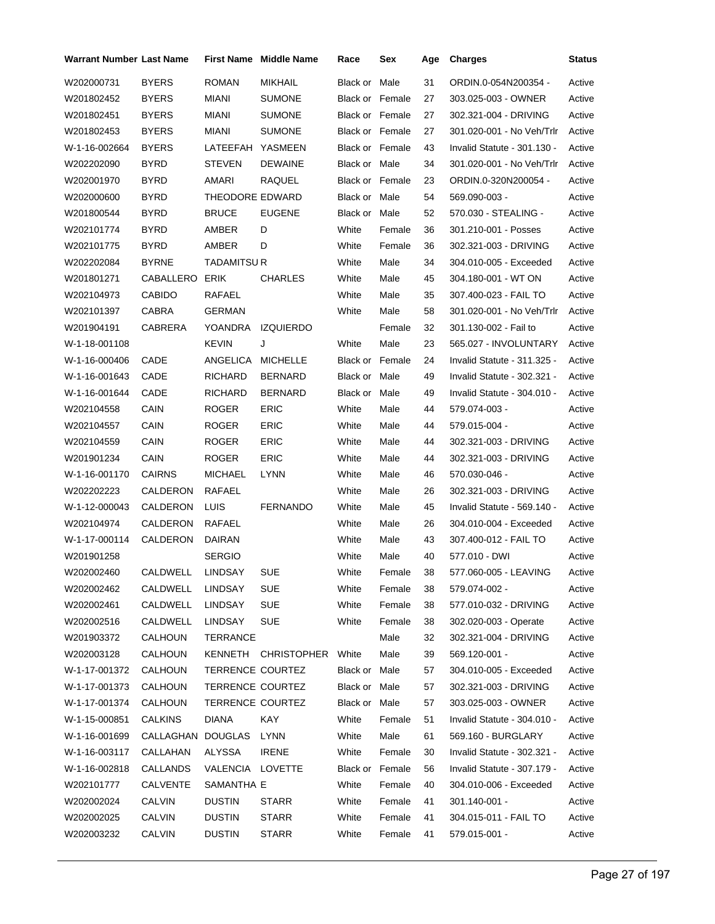| Warrant Number Last Name |                |                        | <b>First Name Middle Name</b> | Race                   | Sex    | Age | <b>Charges</b>              | <b>Status</b> |
|--------------------------|----------------|------------------------|-------------------------------|------------------------|--------|-----|-----------------------------|---------------|
| W202000731               | <b>BYERS</b>   | <b>ROMAN</b>           | <b>MIKHAIL</b>                | Black or               | Male   | 31  | ORDIN.0-054N200354 -        | Active        |
| W201802452               | <b>BYERS</b>   | MIANI                  | <b>SUMONE</b>                 | <b>Black or Female</b> |        | 27  | 303.025-003 - OWNER         | Active        |
| W201802451               | <b>BYERS</b>   | MIANI                  | <b>SUMONE</b>                 | Black or Female        |        | 27  | 302.321-004 - DRIVING       | Active        |
| W201802453               | <b>BYERS</b>   | MIANI                  | <b>SUMONE</b>                 | Black or Female        |        | 27  | 301.020-001 - No Veh/Trlr   | Active        |
| W-1-16-002664            | <b>BYERS</b>   | LATEEFAH               | YASMEEN                       | Black or Female        |        | 43  | Invalid Statute - 301.130 - | Active        |
| W202202090               | <b>BYRD</b>    | <b>STEVEN</b>          | <b>DEWAINE</b>                | Black or Male          |        | 34  | 301.020-001 - No Veh/Trlr   | Active        |
| W202001970               | BYRD           | AMARI                  | RAQUEL                        | <b>Black or Female</b> |        | 23  | ORDIN.0-320N200054 -        | Active        |
| W202000600               | <b>BYRD</b>    | <b>THEODORE EDWARD</b> |                               | Black or Male          |        | 54  | 569.090-003 -               | Active        |
| W201800544               | BYRD           | <b>BRUCE</b>           | <b>EUGENE</b>                 | Black or Male          |        | 52  | 570.030 - STEALING -        | Active        |
| W202101774               | BYRD           | AMBER                  | D                             | White                  | Female | 36  | 301.210-001 - Posses        | Active        |
| W202101775               | BYRD           | AMBER                  | D                             | White                  | Female | 36  | 302.321-003 - DRIVING       | Active        |
| W202202084               | <b>BYRNE</b>   | TADAMITSU R            |                               | White                  | Male   | 34  | 304.010-005 - Exceeded      | Active        |
| W201801271               | CABALLERO      | ERIK                   | <b>CHARLES</b>                | White                  | Male   | 45  | 304.180-001 - WT ON         | Active        |
| W202104973               | <b>CABIDO</b>  | RAFAEL                 |                               | White                  | Male   | 35  | 307.400-023 - FAIL TO       | Active        |
| W202101397               | CABRA          | <b>GERMAN</b>          |                               | White                  | Male   | 58  | 301.020-001 - No Veh/Trlr   | Active        |
| W201904191               | CABRERA        | YOANDRA                | <b>IZQUIERDO</b>              |                        | Female | 32  | 301.130-002 - Fail to       | Active        |
| W-1-18-001108            |                | KEVIN                  | J                             | White                  | Male   | 23  | 565.027 - INVOLUNTARY       | Active        |
| W-1-16-000406            | CADE           | ANGELICA               | <b>MICHELLE</b>               | <b>Black or Female</b> |        | 24  | Invalid Statute - 311.325 - | Active        |
| W-1-16-001643            | CADE           | RICHARD                | <b>BERNARD</b>                | Black or Male          |        | 49  | Invalid Statute - 302.321 - | Active        |
| W-1-16-001644            | CADE           | RICHARD                | <b>BERNARD</b>                | Black or Male          |        | 49  | Invalid Statute - 304.010 - | Active        |
| W202104558               | CAIN           | <b>ROGER</b>           | <b>ERIC</b>                   | White                  | Male   | 44  | 579.074-003 -               | Active        |
| W202104557               | CAIN           | <b>ROGER</b>           | <b>ERIC</b>                   | White                  | Male   | 44  | 579.015-004 -               | Active        |
| W202104559               | CAIN           | <b>ROGER</b>           | <b>ERIC</b>                   | White                  | Male   | 44  | 302.321-003 - DRIVING       | Active        |
| W201901234               | CAIN           | <b>ROGER</b>           | <b>ERIC</b>                   | White                  | Male   | 44  | 302.321-003 - DRIVING       | Active        |
| W-1-16-001170            | <b>CAIRNS</b>  | <b>MICHAEL</b>         | <b>LYNN</b>                   | White                  | Male   | 46  | 570.030-046 -               | Active        |
| W202202223               | CALDERON       | RAFAEL                 |                               | White                  | Male   | 26  | 302.321-003 - DRIVING       | Active        |
| W-1-12-000043            | CALDERON       | LUIS                   | <b>FERNANDO</b>               | White                  | Male   | 45  | Invalid Statute - 569.140 - | Active        |
| W202104974               | CALDERON       | RAFAEL                 |                               | White                  | Male   | 26  | 304.010-004 - Exceeded      | Active        |
| W-1-17-000114            | CALDERON       | <b>DAIRAN</b>          |                               | White                  | Male   | 43  | 307.400-012 - FAIL TO       | Active        |
| W201901258               |                | <b>SERGIO</b>          |                               | White                  | Male   | 40  | 577.010 - DWI               | Active        |
| W202002460               | CALDWELL       | LINDSAY                | <b>SUE</b>                    | White                  | Female | 38  | 577.060-005 - LEAVING       | Active        |
| W202002462               | CALDWELL       | LINDSAY                | <b>SUE</b>                    | White                  | Female | 38  | 579.074-002 -               | Active        |
| W202002461               | CALDWELL       | LINDSAY                | <b>SUE</b>                    | White                  | Female | 38  | 577.010-032 - DRIVING       | Active        |
| W202002516               | CALDWELL       | LINDSAY                | <b>SUE</b>                    | White                  | Female | 38  | 302.020-003 - Operate       | Active        |
| W201903372               | CALHOUN        | <b>TERRANCE</b>        |                               |                        | Male   | 32  | 302.321-004 - DRIVING       | Active        |
| W202003128               | CALHOUN        |                        | KENNETH CHRISTOPHER           | White                  | Male   | 39  | 569.120-001 -               | Active        |
| W-1-17-001372            | CALHOUN        | TERRENCE COURTEZ       |                               | Black or Male          |        | 57  | 304.010-005 - Exceeded      | Active        |
| W-1-17-001373            | CALHOUN        | TERRENCE COURTEZ       |                               | Black or Male          |        | 57  | 302.321-003 - DRIVING       | Active        |
| W-1-17-001374            | CALHOUN        | TERRENCE COURTEZ       |                               | Black or Male          |        | 57  | 303.025-003 - OWNER         | Active        |
| W-1-15-000851            | <b>CALKINS</b> | DIANA                  | <b>KAY</b>                    | White                  | Female | 51  | Invalid Statute - 304.010 - | Active        |
| W-1-16-001699            | CALLAGHAN      | <b>DOUGLAS</b>         | LYNN                          | White                  | Male   | 61  | 569.160 - BURGLARY          | Active        |
| W-1-16-003117            | CALLAHAN       | ALYSSA                 | <b>IRENE</b>                  | White                  | Female | 30  | Invalid Statute - 302.321 - | Active        |
| W-1-16-002818            | CALLANDS       | VALENCIA LOVETTE       |                               | Black or Female        |        | 56  | Invalid Statute - 307.179 - | Active        |
| W202101777               | CALVENTE       | SAMANTHA E             |                               | White                  | Female | 40  | 304.010-006 - Exceeded      | Active        |
| W202002024               | <b>CALVIN</b>  | <b>DUSTIN</b>          | <b>STARR</b>                  | White                  | Female | 41  | 301.140-001 -               | Active        |
| W202002025               | CALVIN         | <b>DUSTIN</b>          | <b>STARR</b>                  | White                  | Female | 41  | 304.015-011 - FAIL TO       | Active        |
| W202003232               | <b>CALVIN</b>  | <b>DUSTIN</b>          | <b>STARR</b>                  | White                  | Female | 41  | 579.015-001 -               | Active        |
|                          |                |                        |                               |                        |        |     |                             |               |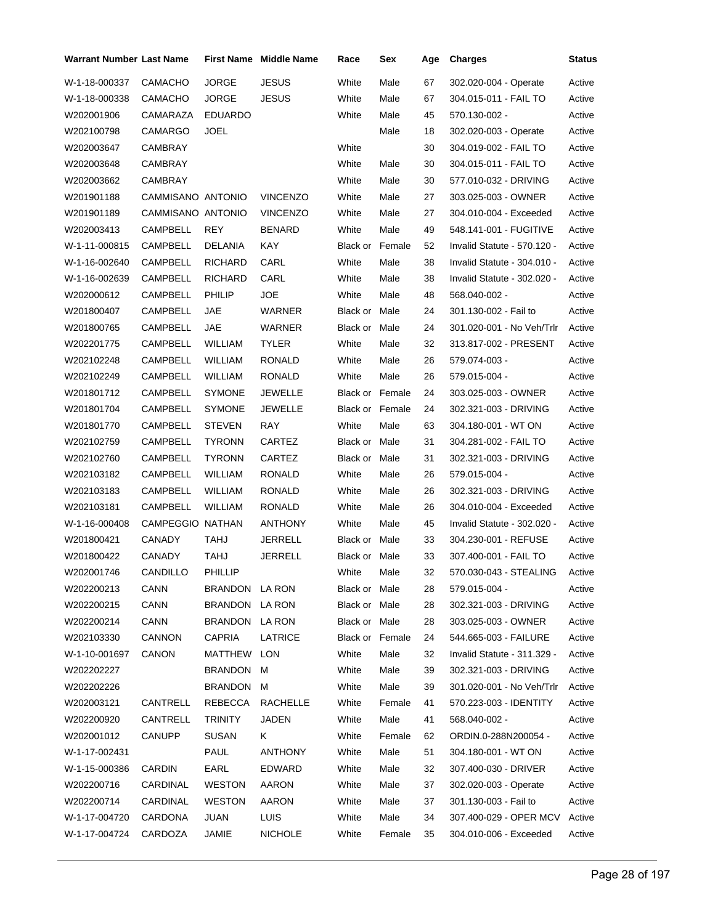| Warrant Number Last Name |                   |                | <b>First Name</b> Middle Name | Race                   | Sex    | Age | <b>Charges</b>              | <b>Status</b> |
|--------------------------|-------------------|----------------|-------------------------------|------------------------|--------|-----|-----------------------------|---------------|
| W-1-18-000337            | CAMACHO           | <b>JORGE</b>   | <b>JESUS</b>                  | White                  | Male   | 67  | 302.020-004 - Operate       | Active        |
| W-1-18-000338            | CAMACHO           | <b>JORGE</b>   | <b>JESUS</b>                  | White                  | Male   | 67  | 304.015-011 - FAIL TO       | Active        |
| W202001906               | CAMARAZA          | <b>EDUARDO</b> |                               | White                  | Male   | 45  | 570.130-002 -               | Active        |
| W202100798               | CAMARGO           | <b>JOEL</b>    |                               |                        | Male   | 18  | 302.020-003 - Operate       | Active        |
| W202003647               | CAMBRAY           |                |                               | White                  |        | 30  | 304.019-002 - FAIL TO       | Active        |
| W202003648               | CAMBRAY           |                |                               | White                  | Male   | 30  | 304.015-011 - FAIL TO       | Active        |
| W202003662               | CAMBRAY           |                |                               | White                  | Male   | 30  | 577.010-032 - DRIVING       | Active        |
| W201901188               | CAMMISANO ANTONIO |                | <b>VINCENZO</b>               | White                  | Male   | 27  | 303.025-003 - OWNER         | Active        |
| W201901189               | CAMMISANO ANTONIO |                | <b>VINCENZO</b>               | White                  | Male   | 27  | 304.010-004 - Exceeded      | Active        |
| W202003413               | CAMPBELL          | <b>REY</b>     | <b>BENARD</b>                 | White                  | Male   | 49  | 548.141-001 - FUGITIVE      | Active        |
| W-1-11-000815            | CAMPBELL          | DELANIA        | KAY                           | <b>Black or Female</b> |        | 52  | Invalid Statute - 570.120 - | Active        |
| W-1-16-002640            | CAMPBELL          | <b>RICHARD</b> | CARL                          | White                  | Male   | 38  | Invalid Statute - 304.010 - | Active        |
| W-1-16-002639            | CAMPBELL          | <b>RICHARD</b> | CARL                          | White                  | Male   | 38  | Invalid Statute - 302.020 - | Active        |
| W202000612               | CAMPBELL          | PHILIP         | JOE                           | White                  | Male   | 48  | 568.040-002 -               | Active        |
| W201800407               | CAMPBELL          | JAE            | <b>WARNER</b>                 | Black or Male          |        | 24  | 301.130-002 - Fail to       | Active        |
| W201800765               | CAMPBELL          | <b>JAE</b>     | WARNER                        | Black or               | Male   | 24  | 301.020-001 - No Veh/Trlr   | Active        |
| W202201775               | CAMPBELL          | WILLIAM        | TYLER                         | White                  | Male   | 32  | 313.817-002 - PRESENT       | Active        |
| W202102248               | CAMPBELL          | WILLIAM        | <b>RONALD</b>                 | White                  | Male   | 26  | 579.074-003 -               | Active        |
| W202102249               | CAMPBELL          | WILLIAM        | <b>RONALD</b>                 | White                  | Male   | 26  | 579.015-004 -               | Active        |
| W201801712               | CAMPBELL          | <b>SYMONE</b>  | JEWELLE                       | <b>Black or Female</b> |        | 24  | 303.025-003 - OWNER         | Active        |
| W201801704               | CAMPBELL          | <b>SYMONE</b>  | JEWELLE                       | <b>Black or Female</b> |        | 24  | 302.321-003 - DRIVING       | Active        |
| W201801770               | <b>CAMPBELL</b>   | <b>STEVEN</b>  | <b>RAY</b>                    | White                  | Male   | 63  | 304.180-001 - WT ON         | Active        |
| W202102759               | CAMPBELL          | <b>TYRONN</b>  | CARTEZ                        | Black or Male          |        | 31  | 304.281-002 - FAIL TO       | Active        |
| W202102760               | CAMPBELL          | <b>TYRONN</b>  | CARTEZ                        | <b>Black or Male</b>   |        | 31  | 302.321-003 - DRIVING       | Active        |
| W202103182               | CAMPBELL          | WILLIAM        | <b>RONALD</b>                 | White                  | Male   | 26  | 579.015-004 -               | Active        |
| W202103183               | CAMPBELL          | WILLIAM        | RONALD                        | White                  | Male   | 26  | 302.321-003 - DRIVING       | Active        |
| W202103181               | CAMPBELL          | WILLIAM        | RONALD                        | White                  | Male   | 26  | 304.010-004 - Exceeded      | Active        |
| W-1-16-000408            | CAMPEGGIO NATHAN  |                | ANTHONY                       | White                  | Male   | 45  | Invalid Statute - 302.020 - | Active        |
| W201800421               | CANADY            | TAHJ           | JERRELL                       | Black or               | Male   | 33  | 304.230-001 - REFUSE        | Active        |
| W201800422               | CANADY            | TAHJ           | JERRELL                       | Black or Male          |        | 33  | 307.400-001 - FAIL TO       | Active        |
| W202001746               | CANDILLO          | PHILLIP        |                               | White                  | Male   | 32  | 570.030-043 - STEALING      | Active        |
| W202200213               | CANN              | BRANDON LA RON |                               | Black or Male          |        | 28  | 579.015-004 -               | Active        |
| W202200215               | CANN              | BRANDON        | LA RON                        | Black or Male          |        | 28  | 302.321-003 - DRIVING       | Active        |
| W202200214               | CANN              | <b>BRANDON</b> | LA RON                        | Black or Male          |        | 28  | 303.025-003 - OWNER         | Active        |
| W202103330               | <b>CANNON</b>     | <b>CAPRIA</b>  | LATRICE                       | Black or Female        |        | 24  | 544.665-003 - FAILURE       | Active        |
| W-1-10-001697            | CANON             | MATTHEW        | LON                           | White                  | Male   | 32  | Invalid Statute - 311.329 - | Active        |
| W202202227               |                   | BRANDON        | M                             | White                  | Male   | 39  | 302.321-003 - DRIVING       | Active        |
| W202202226               |                   | BRANDON M      |                               | White                  | Male   | 39  | 301.020-001 - No Veh/Trlr   | Active        |
| W202003121               | CANTRELL          | REBECCA        | <b>RACHELLE</b>               | White                  | Female | 41  | 570.223-003 - IDENTITY      | Active        |
| W202200920               | CANTRELL          | <b>TRINITY</b> | <b>JADEN</b>                  | White                  | Male   | 41  | 568.040-002 -               | Active        |
| W202001012               | CANUPP            | <b>SUSAN</b>   | K.                            | White                  | Female | 62  | ORDIN.0-288N200054 -        | Active        |
| W-1-17-002431            |                   | <b>PAUL</b>    | <b>ANTHONY</b>                | White                  | Male   | 51  | 304.180-001 - WT ON         | Active        |
| W-1-15-000386            | CARDIN            | EARL           | EDWARD                        | White                  | Male   | 32  | 307.400-030 - DRIVER        | Active        |
| W202200716               | CARDINAL          | <b>WESTON</b>  | AARON                         | White                  | Male   | 37  | 302.020-003 - Operate       | Active        |
| W202200714               | CARDINAL          | <b>WESTON</b>  | <b>AARON</b>                  | White                  | Male   | 37  | 301.130-003 - Fail to       | Active        |
| W-1-17-004720            | CARDONA           | <b>JUAN</b>    | <b>LUIS</b>                   | White                  | Male   | 34  | 307.400-029 - OPER MCV      | Active        |
| W-1-17-004724            | CARDOZA           | JAMIE          | <b>NICHOLE</b>                | White                  | Female | 35  | 304.010-006 - Exceeded      | Active        |
|                          |                   |                |                               |                        |        |     |                             |               |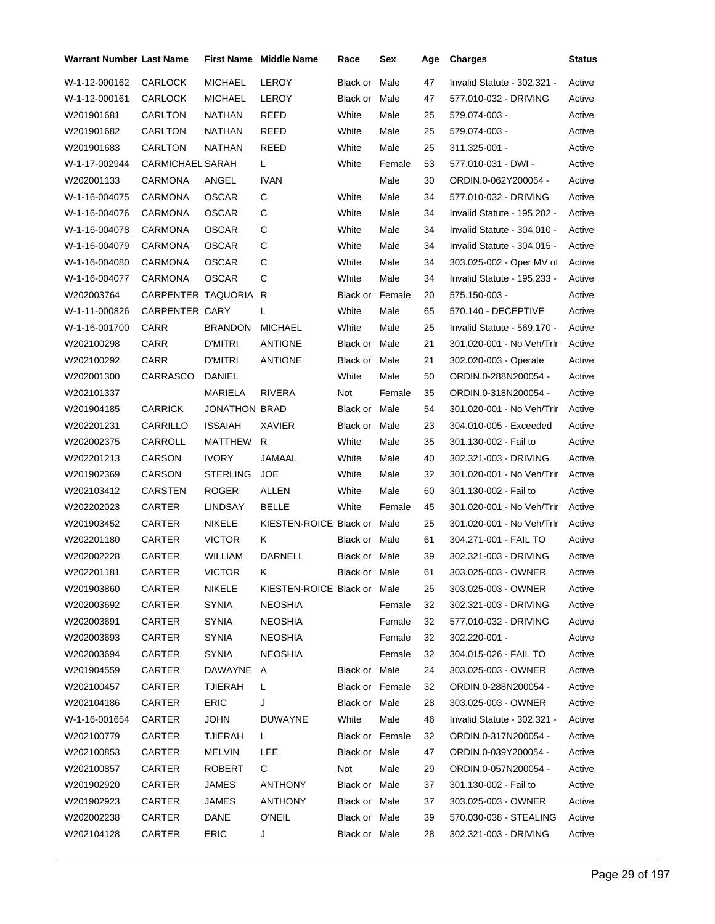| <b>Warrant Number Last Name</b> |                         |                      | <b>First Name</b> Middle Name | Race                 | Sex    | Age | <b>Charges</b>              | Status |
|---------------------------------|-------------------------|----------------------|-------------------------------|----------------------|--------|-----|-----------------------------|--------|
| W-1-12-000162                   | <b>CARLOCK</b>          | <b>MICHAEL</b>       | LEROY                         | Black or             | Male   | 47  | Invalid Statute - 302.321 - | Active |
| W-1-12-000161                   | <b>CARLOCK</b>          | <b>MICHAEL</b>       | LEROY                         | Black or             | Male   | 47  | 577.010-032 - DRIVING       | Active |
| W201901681                      | CARLTON                 | NATHAN               | REED                          | White                | Male   | 25  | 579.074-003 -               | Active |
| W201901682                      | CARLTON                 | <b>NATHAN</b>        | REED                          | White                | Male   | 25  | 579.074-003 -               | Active |
| W201901683                      | CARLTON                 | NATHAN               | REED                          | White                | Male   | 25  | 311.325-001 -               | Active |
| W-1-17-002944                   | <b>CARMICHAEL SARAH</b> |                      | L                             | White                | Female | 53  | 577.010-031 - DWI -         | Active |
| W202001133                      | CARMONA                 | ANGEL                | <b>IVAN</b>                   |                      | Male   | 30  | ORDIN.0-062Y200054 -        | Active |
| W-1-16-004075                   | CARMONA                 | <b>OSCAR</b>         | С                             | White                | Male   | 34  | 577.010-032 - DRIVING       | Active |
| W-1-16-004076                   | CARMONA                 | <b>OSCAR</b>         | С                             | White                | Male   | 34  | Invalid Statute - 195.202 - | Active |
| W-1-16-004078                   | CARMONA                 | <b>OSCAR</b>         | C                             | White                | Male   | 34  | Invalid Statute - 304.010 - | Active |
| W-1-16-004079                   | CARMONA                 | <b>OSCAR</b>         | С                             | White                | Male   | 34  | Invalid Statute - 304.015 - | Active |
| W-1-16-004080                   | CARMONA                 | <b>OSCAR</b>         | C                             | White                | Male   | 34  | 303.025-002 - Oper MV of    | Active |
| W-1-16-004077                   | CARMONA                 | <b>OSCAR</b>         | С                             | White                | Male   | 34  | Invalid Statute - 195.233 - | Active |
| W202003764                      | CARPENTER TAQUORIA      |                      | R                             | Black or Female      |        | 20  | 575.150-003 -               | Active |
| W-1-11-000826                   | CARPENTER CARY          |                      | L                             | White                | Male   | 65  | 570.140 - DECEPTIVE         | Active |
| W-1-16-001700                   | CARR                    | <b>BRANDON</b>       | <b>MICHAEL</b>                | White                | Male   | 25  | Invalid Statute - 569.170 - | Active |
| W202100298                      | CARR                    | D'MITRI              | <b>ANTIONE</b>                | <b>Black or Male</b> |        | 21  | 301.020-001 - No Veh/Trlr   | Active |
| W202100292                      | CARR                    | <b>D'MITRI</b>       | <b>ANTIONE</b>                | Black or Male        |        | 21  | 302.020-003 - Operate       | Active |
| W202001300                      | CARRASCO                | <b>DANIEL</b>        |                               | White                | Male   | 50  | ORDIN.0-288N200054 -        | Active |
| W202101337                      |                         | MARIELA              | <b>RIVERA</b>                 | Not                  | Female | 35  | ORDIN.0-318N200054 -        | Active |
| W201904185                      | <b>CARRICK</b>          | <b>JONATHON BRAD</b> |                               | Black or Male        |        | 54  | 301.020-001 - No Veh/Trlr   | Active |
| W202201231                      | CARRILLO                | <b>ISSAIAH</b>       | XAVIER                        | Black or Male        |        | 23  | 304.010-005 - Exceeded      | Active |
| W202002375                      | CARROLL                 | MATTHEW              | R                             | White                | Male   | 35  | 301.130-002 - Fail to       | Active |
| W202201213                      | CARSON                  | <b>IVORY</b>         | JAMAAL                        | White                | Male   | 40  | 302.321-003 - DRIVING       | Active |
| W201902369                      | CARSON                  | STERLING             | <b>JOE</b>                    | White                | Male   | 32  | 301.020-001 - No Veh/Trlr   | Active |
| W202103412                      | CARSTEN                 | <b>ROGER</b>         | <b>ALLEN</b>                  | White                | Male   | 60  | 301.130-002 - Fail to       | Active |
| W202202023                      | CARTER                  | LINDSAY              | <b>BELLE</b>                  | White                | Female | 45  | 301.020-001 - No Veh/Trlr   | Active |
| W201903452                      | CARTER                  | NIKELE               | KIESTEN-ROICE Black or Male   |                      |        | 25  | 301.020-001 - No Veh/Trlr   | Active |
| W202201180                      | CARTER                  | <b>VICTOR</b>        | Κ                             | Black or Male        |        | 61  | 304.271-001 - FAIL TO       | Active |
| W202002228                      | CARTER                  | <b>WILLIAM</b>       | DARNELL                       | Black or Male        |        | 39  | 302.321-003 - DRIVING       | Active |
| W202201181                      | CARTER                  | <b>VICTOR</b>        | K.                            | Black or Male        |        | 61  | 303.025-003 - OWNER         | Active |
| W201903860                      | CARTER                  | NIKELE               | KIESTEN-ROICE Black or Male   |                      |        | 25  | 303.025-003 - OWNER         | Active |
| W202003692                      | CARTER                  | <b>SYNIA</b>         | <b>NEOSHIA</b>                |                      | Female | 32  | 302.321-003 - DRIVING       | Active |
| W202003691                      | CARTER                  | <b>SYNIA</b>         | <b>NEOSHIA</b>                |                      | Female | 32  | 577.010-032 - DRIVING       | Active |
| W202003693                      | CARTER                  | <b>SYNIA</b>         | <b>NEOSHIA</b>                |                      | Female | 32  | 302.220-001 -               | Active |
| W202003694                      | CARTER                  | <b>SYNIA</b>         | NEOSHIA                       |                      | Female | 32  | 304.015-026 - FAIL TO       | Active |
| W201904559                      | CARTER                  | DAWAYNE A            |                               | Black or Male        |        | 24  | 303.025-003 - OWNER         | Active |
| W202100457                      | CARTER                  | TJIERAH              | L                             | Black or Female      |        | 32  | ORDIN.0-288N200054 -        | Active |
| W202104186                      | CARTER                  | <b>ERIC</b>          | J                             | <b>Black or Male</b> |        | 28  | 303.025-003 - OWNER         | Active |
| W-1-16-001654                   | <b>CARTER</b>           | <b>JOHN</b>          | <b>DUWAYNE</b>                | White                | Male   | 46  | Invalid Statute - 302.321 - | Active |
| W202100779                      | CARTER                  | <b>TJIERAH</b>       | L.                            | Black or Female      |        | 32  | ORDIN.0-317N200054 -        | Active |
| W202100853                      | CARTER                  | MELVIN               | LEE                           | Black or Male        |        | 47  | ORDIN.0-039Y200054 -        | Active |
| W202100857                      | CARTER                  | ROBERT               | С                             | Not                  | Male   | 29  | ORDIN.0-057N200054 -        | Active |
| W201902920                      | CARTER                  | <b>JAMES</b>         | <b>ANTHONY</b>                | Black or Male        |        | 37  | 301.130-002 - Fail to       | Active |
| W201902923                      | CARTER                  | JAMES                | ANTHONY                       | Black or Male        |        | 37  | 303.025-003 - OWNER         | Active |
| W202002238                      | CARTER                  | DANE                 | <b>O'NEIL</b>                 | Black or Male        |        | 39  | 570.030-038 - STEALING      | Active |
| W202104128                      | CARTER                  | ERIC                 | J                             | Black or Male        |        | 28  | 302.321-003 - DRIVING       | Active |
|                                 |                         |                      |                               |                      |        |     |                             |        |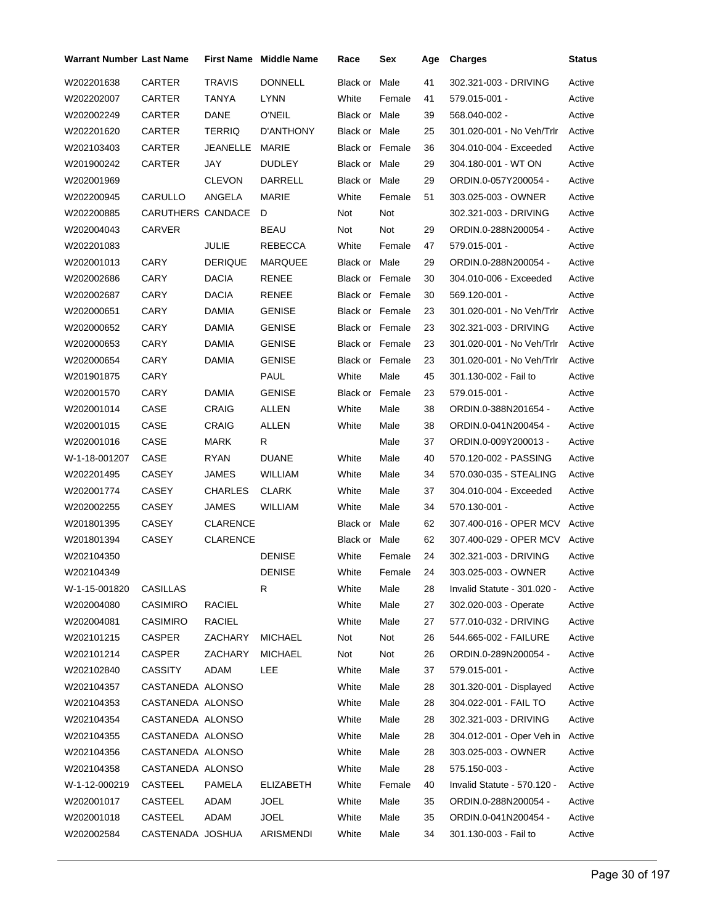| Warrant Number Last Name |                   |                 | <b>First Name Middle Name</b> | Race                   | Sex    | Age | <b>Charges</b>              | <b>Status</b> |
|--------------------------|-------------------|-----------------|-------------------------------|------------------------|--------|-----|-----------------------------|---------------|
| W202201638               | <b>CARTER</b>     | <b>TRAVIS</b>   | <b>DONNELL</b>                | Black or Male          |        | 41  | 302.321-003 - DRIVING       | Active        |
| W202202007               | CARTER            | <b>TANYA</b>    | <b>LYNN</b>                   | White                  | Female | 41  | 579.015-001 -               | Active        |
| W202002249               | CARTER            | DANE            | <b>O'NEIL</b>                 | Black or Male          |        | 39  | 568.040-002 -               | Active        |
| W202201620               | <b>CARTER</b>     | <b>TERRIQ</b>   | D'ANTHONY                     | Black or Male          |        | 25  | 301.020-001 - No Veh/Trlr   | Active        |
| W202103403               | CARTER            | JEANELLE        | MARIE                         | <b>Black or Female</b> |        | 36  | 304.010-004 - Exceeded      | Active        |
| W201900242               | CARTER            | JAY             | <b>DUDLEY</b>                 | Black or Male          |        | 29  | 304.180-001 - WT ON         | Active        |
| W202001969               |                   | <b>CLEVON</b>   | DARRELL                       | Black or Male          |        | 29  | ORDIN.0-057Y200054 -        | Active        |
| W202200945               | CARULLO           | ANGELA          | MARIE                         | White                  | Female | 51  | 303.025-003 - OWNER         | Active        |
| W202200885               | CARUTHERS CANDACE |                 | D                             | Not                    | Not    |     | 302.321-003 - DRIVING       | Active        |
| W202004043               | CARVER            |                 | BEAU                          | Not                    | Not    | 29  | ORDIN.0-288N200054 -        | Active        |
| W202201083               |                   | JULIE           | REBECCA                       | White                  | Female | 47  | 579.015-001 -               | Active        |
| W202001013               | CARY              | <b>DERIQUE</b>  | MARQUEE                       | Black or Male          |        | 29  | ORDIN.0-288N200054 -        | Active        |
| W202002686               | CARY              | <b>DACIA</b>    | <b>RENEE</b>                  | <b>Black or Female</b> |        | 30  | 304.010-006 - Exceeded      | Active        |
| W202002687               | <b>CARY</b>       | <b>DACIA</b>    | <b>RENEE</b>                  | <b>Black or Female</b> |        | 30  | 569.120-001 -               | Active        |
| W202000651               | <b>CARY</b>       | <b>DAMIA</b>    | <b>GENISE</b>                 | <b>Black or Female</b> |        | 23  | 301.020-001 - No Veh/Trlr   | Active        |
| W202000652               | CARY              | DAMIA           | <b>GENISE</b>                 | Black or Female        |        | 23  | 302.321-003 - DRIVING       | Active        |
| W202000653               | CARY              | DAMIA           | <b>GENISE</b>                 | Black or Female        |        | 23  | 301.020-001 - No Veh/Trlr   | Active        |
| W202000654               | CARY              | DAMIA           | <b>GENISE</b>                 | Black or Female        |        | 23  | 301.020-001 - No Veh/Trlr   | Active        |
| W201901875               | CARY              |                 | <b>PAUL</b>                   | White                  | Male   | 45  | 301.130-002 - Fail to       | Active        |
| W202001570               | CARY              | <b>DAMIA</b>    | <b>GENISE</b>                 | Black or Female        |        | 23  | 579.015-001 -               | Active        |
| W202001014               | CASE              | <b>CRAIG</b>    | ALLEN                         | White                  | Male   | 38  | ORDIN.0-388N201654 -        | Active        |
| W202001015               | CASE              | CRAIG           | <b>ALLEN</b>                  | White                  | Male   | 38  | ORDIN.0-041N200454 -        | Active        |
| W202001016               | CASE              | MARK            | R                             |                        | Male   | 37  | ORDIN.0-009Y200013 -        | Active        |
| W-1-18-001207            | CASE              | RYAN            | <b>DUANE</b>                  | White                  | Male   | 40  | 570.120-002 - PASSING       | Active        |
| W202201495               | CASEY             | JAMES           | WILLIAM                       | White                  | Male   | 34  | 570.030-035 - STEALING      | Active        |
| W202001774               | CASEY             | CHARLES         | <b>CLARK</b>                  | White                  | Male   | 37  | 304.010-004 - Exceeded      | Active        |
| W202002255               | <b>CASEY</b>      | <b>JAMES</b>    | <b>WILLIAM</b>                | White                  | Male   | 34  | 570.130-001 -               | Active        |
| W201801395               | CASEY             | <b>CLARENCE</b> |                               | Black or Male          |        | 62  | 307.400-016 - OPER MCV      | Active        |
| W201801394               | CASEY             | <b>CLARENCE</b> |                               | Black or Male          |        | 62  | 307.400-029 - OPER MCV      | Active        |
| W202104350               |                   |                 | <b>DENISE</b>                 | White                  | Female | 24  | 302.321-003 - DRIVING       | Active        |
| W202104349               |                   |                 | DENISE                        | White                  | Female | 24  | 303.025-003 - OWNER         | Active        |
| W-1-15-001820            | CASILLAS          |                 | R                             | White                  | Male   | 28  | Invalid Statute - 301.020 - | Active        |
| W202004080               | <b>CASIMIRO</b>   | <b>RACIEL</b>   |                               | White                  | Male   | 27  | 302.020-003 - Operate       | Active        |
| W202004081               | <b>CASIMIRO</b>   | <b>RACIEL</b>   |                               | White                  | Male   | 27  | 577.010-032 - DRIVING       | Active        |
| W202101215               | CASPER            | ZACHARY         | <b>MICHAEL</b>                | Not                    | Not    | 26  | 544.665-002 - FAILURE       | Active        |
| W202101214               | CASPER            | ZACHARY         | <b>MICHAEL</b>                | Not                    | Not    | 26  | ORDIN.0-289N200054 -        | Active        |
| W202102840               | <b>CASSITY</b>    | ADAM            | LEE                           | White                  | Male   | 37  | 579.015-001 -               | Active        |
| W202104357               | CASTANEDA ALONSO  |                 |                               | White                  | Male   | 28  | 301.320-001 - Displayed     | Active        |
| W202104353               | CASTANEDA ALONSO  |                 |                               | White                  | Male   | 28  | 304.022-001 - FAIL TO       | Active        |
| W202104354               | CASTANEDA ALONSO  |                 |                               | White                  | Male   | 28  | 302.321-003 - DRIVING       | Active        |
| W202104355               | CASTANEDA ALONSO  |                 |                               | White                  | Male   | 28  | 304.012-001 - Oper Veh in   | Active        |
| W202104356               | CASTANEDA ALONSO  |                 |                               | White                  | Male   | 28  | 303.025-003 - OWNER         | Active        |
| W202104358               | CASTANEDA ALONSO  |                 |                               | White                  | Male   | 28  | 575.150-003 -               | Active        |
| W-1-12-000219            | CASTEEL           | <b>PAMELA</b>   | <b>ELIZABETH</b>              | White                  | Female | 40  | Invalid Statute - 570.120 - | Active        |
| W202001017               | CASTEEL           | ADAM            | <b>JOEL</b>                   | White                  | Male   | 35  | ORDIN.0-288N200054 -        | Active        |
| W202001018               | CASTEEL           | ADAM            | <b>JOEL</b>                   | White                  | Male   | 35  | ORDIN.0-041N200454 -        | Active        |
| W202002584               | CASTENADA JOSHUA  |                 | ARISMENDI                     | White                  | Male   | 34  | 301.130-003 - Fail to       | Active        |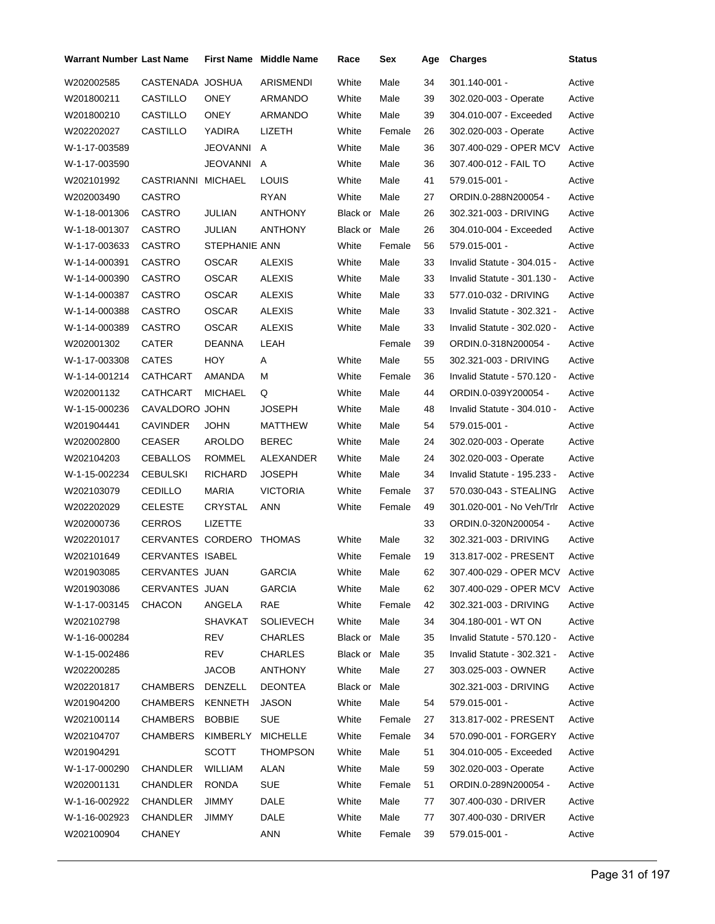| <b>Warrant Number Last Name</b> |                    |                | <b>First Name</b> Middle Name | Race          | Sex    | Age | <b>Charges</b>                | Status |
|---------------------------------|--------------------|----------------|-------------------------------|---------------|--------|-----|-------------------------------|--------|
| W202002585                      | CASTENADA JOSHUA   |                | ARISMENDI                     | White         | Male   | 34  | $301.140 - 001 -$             | Active |
| W201800211                      | CASTILLO           | <b>ONEY</b>    | ARMANDO                       | White         | Male   | 39  | 302.020-003 - Operate         | Active |
| W201800210                      | CASTILLO           | <b>ONEY</b>    | ARMANDO                       | White         | Male   | 39  | 304.010-007 - Exceeded        | Active |
| W202202027                      | CASTILLO           | YADIRA         | LIZETH                        | White         | Female | 26  | 302.020-003 - Operate         | Active |
| W-1-17-003589                   |                    | JEOVANNI A     |                               | White         | Male   | 36  | 307.400-029 - OPER MCV        | Active |
| W-1-17-003590                   |                    | JEOVANNI A     |                               | White         | Male   | 36  | 307.400-012 - FAIL TO         | Active |
| W202101992                      | CASTRIANNI MICHAEL |                | LOUIS                         | White         | Male   | 41  | 579.015-001 -                 | Active |
| W202003490                      | CASTRO             |                | <b>RYAN</b>                   | White         | Male   | 27  | ORDIN.0-288N200054 -          | Active |
| W-1-18-001306                   | <b>CASTRO</b>      | JULIAN         | <b>ANTHONY</b>                | Black or Male |        | 26  | 302.321-003 - DRIVING         | Active |
| W-1-18-001307                   | CASTRO             | JULIAN         | ANTHONY                       | Black or Male |        | 26  | 304.010-004 - Exceeded        | Active |
| W-1-17-003633                   | <b>CASTRO</b>      | STEPHANIE ANN  |                               | White         | Female | 56  | 579.015-001 -                 | Active |
| W-1-14-000391                   | CASTRO             | <b>OSCAR</b>   | ALEXIS                        | White         | Male   | 33  | Invalid Statute - 304.015 -   | Active |
| W-1-14-000390                   | <b>CASTRO</b>      | <b>OSCAR</b>   | <b>ALEXIS</b>                 | White         | Male   | 33  | Invalid Statute - 301.130 -   | Active |
| W-1-14-000387                   | <b>CASTRO</b>      | <b>OSCAR</b>   | <b>ALEXIS</b>                 | White         | Male   | 33  | 577.010-032 - DRIVING         | Active |
| W-1-14-000388                   | CASTRO             | <b>OSCAR</b>   | <b>ALEXIS</b>                 | White         | Male   | 33  | Invalid Statute - 302.321 -   | Active |
| W-1-14-000389                   | CASTRO             | <b>OSCAR</b>   | <b>ALEXIS</b>                 | White         | Male   | 33  | Invalid Statute - 302.020 -   | Active |
| W202001302                      | <b>CATER</b>       | <b>DEANNA</b>  | LEAH                          |               | Female | 39  | ORDIN.0-318N200054 -          | Active |
| W-1-17-003308                   | CATES              | HOY            | A                             | White         | Male   | 55  | 302.321-003 - DRIVING         | Active |
| W-1-14-001214                   | CATHCART           | AMANDA         | М                             | White         | Female | 36  | Invalid Statute - 570.120 -   | Active |
| W202001132                      | CATHCART           | MICHAEL        | Q                             | White         | Male   | 44  | ORDIN.0-039Y200054 -          | Active |
| W-1-15-000236                   | CAVALDORO JOHN     |                | <b>JOSEPH</b>                 | White         | Male   | 48  | Invalid Statute - 304.010 -   | Active |
| W201904441                      | <b>CAVINDER</b>    | JOHN           | MATTHEW                       | White         | Male   | 54  | 579.015-001 -                 | Active |
| W202002800                      | <b>CEASER</b>      | AROLDO         | <b>BEREC</b>                  | White         | Male   | 24  | 302.020-003 - Operate         | Active |
| W202104203                      | CEBALLOS           | <b>ROMMEL</b>  | ALEXANDER                     | White         | Male   | 24  | 302.020-003 - Operate         | Active |
| W-1-15-002234                   | <b>CEBULSKI</b>    | <b>RICHARD</b> | <b>JOSEPH</b>                 | White         | Male   | 34  | Invalid Statute - 195.233 -   | Active |
| W202103079                      | <b>CEDILLO</b>     | <b>MARIA</b>   | <b>VICTORIA</b>               | White         | Female | 37  | 570.030-043 - STEALING        | Active |
| W202202029                      | <b>CELESTE</b>     | CRYSTAL        | ANN                           | White         | Female | 49  | 301.020-001 - No Veh/Trlr     | Active |
| W202000736                      | <b>CERROS</b>      | <b>LIZETTE</b> |                               |               |        | 33  | ORDIN.0-320N200054 -          | Active |
| W202201017                      | CERVANTES CORDERO  |                | THOMAS                        | White         | Male   | 32  | 302.321-003 - DRIVING         | Active |
| W202101649                      | CERVANTES ISABEL   |                |                               | White         | Female | 19  | 313.817-002 - PRESENT         | Active |
| W201903085                      | CERVANTES JUAN     |                | <b>GARCIA</b>                 | White         | Male   | 62  | 307.400-029 - OPER MCV Active |        |
| W201903086                      | CERVANTES JUAN     |                | <b>GARCIA</b>                 | White         | Male   | 62  | 307.400-029 - OPER MCV        | Active |
| W-1-17-003145                   | <b>CHACON</b>      | ANGELA         | RAE                           | White         | Female | 42  | 302.321-003 - DRIVING         | Active |
| W202102798                      |                    | SHAVKAT        | <b>SOLIEVECH</b>              | White         | Male   | 34  | 304.180-001 WT ON             | Active |
| W-1-16-000284                   |                    | <b>REV</b>     | <b>CHARLES</b>                | Black or Male |        | 35  | Invalid Statute - 570.120 -   | Active |
| W-1-15-002486                   |                    | REV            | CHARLES                       | Black or Male |        | 35  | Invalid Statute - 302.321 -   | Active |
| W202200285                      |                    | JACOB          | <b>ANTHONY</b>                | White         | Male   | 27  | 303.025-003 - OWNER           | Active |
| W202201817                      | <b>CHAMBERS</b>    | DENZELL        | <b>DEONTEA</b>                | Black or Male |        |     | 302.321-003 - DRIVING         | Active |
| W201904200                      | CHAMBERS           | <b>KENNETH</b> | <b>JASON</b>                  | White         | Male   | 54  | 579.015-001 -                 | Active |
| W202100114                      | <b>CHAMBERS</b>    | <b>BOBBIE</b>  | <b>SUE</b>                    | White         | Female | 27  | 313.817-002 - PRESENT         | Active |
| W202104707                      | CHAMBERS           | KIMBERLY       | <b>MICHELLE</b>               | White         | Female | 34  | 570.090-001 - FORGERY         | Active |
| W201904291                      |                    | <b>SCOTT</b>   | THOMPSON                      | White         | Male   | 51  | 304.010-005 - Exceeded        | Active |
| W-1-17-000290                   | CHANDLER           | WILLIAM        | ALAN                          | White         | Male   | 59  | 302.020-003 - Operate         | Active |
| W202001131                      | CHANDLER           | <b>RONDA</b>   | SUE                           | White         | Female | 51  | ORDIN.0-289N200054 -          | Active |
| W-1-16-002922                   | CHANDLER           | JIMMY          | DALE                          | White         | Male   | 77  | 307.400-030 - DRIVER          | Active |
| W-1-16-002923                   | CHANDLER           | JIMMY          | DALE                          | White         | Male   | 77  | 307.400-030 - DRIVER          | Active |
| W202100904                      | <b>CHANEY</b>      |                | ANN                           | White         | Female | 39  | 579.015-001 -                 | Active |
|                                 |                    |                |                               |               |        |     |                               |        |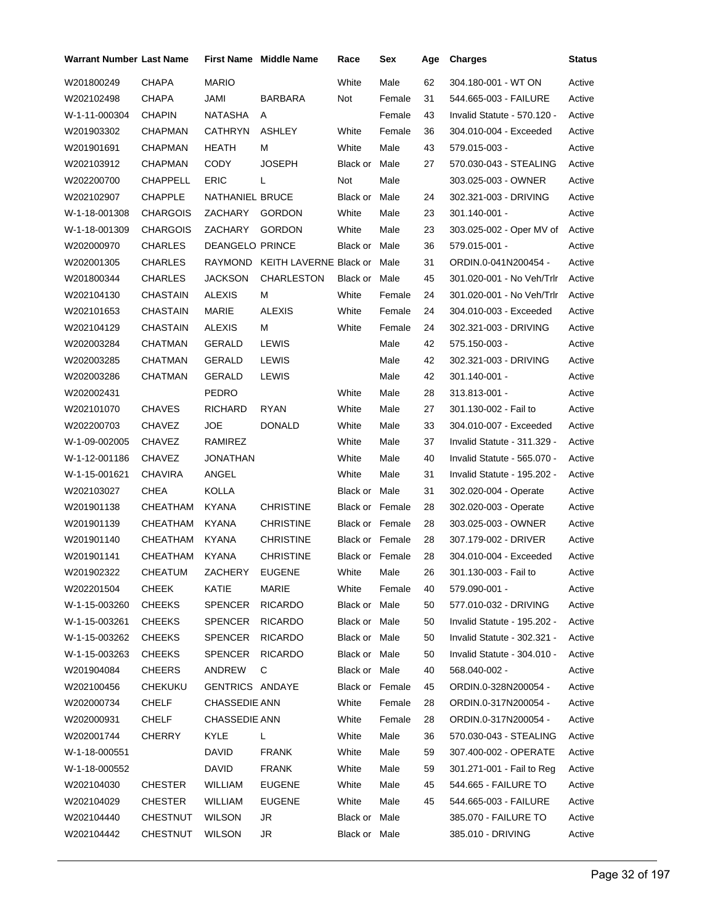| <b>Warrant Number Last Name</b> |                 |                        | <b>First Name</b> Middle Name       | Race            | Sex    | Age | <b>Charges</b>              | <b>Status</b> |
|---------------------------------|-----------------|------------------------|-------------------------------------|-----------------|--------|-----|-----------------------------|---------------|
| W201800249                      | <b>CHAPA</b>    | <b>MARIO</b>           |                                     | White           | Male   | 62  | 304.180-001 - WT ON         | Active        |
| W202102498                      | CHAPA           | JAMI                   | BARBARA                             | Not             | Female | 31  | 544.665-003 - FAILURE       | Active        |
| W-1-11-000304                   | <b>CHAPIN</b>   | NATASHA                | A                                   |                 | Female | 43  | Invalid Statute - 570.120 - | Active        |
| W201903302                      | <b>CHAPMAN</b>  | <b>CATHRYN</b>         | <b>ASHLEY</b>                       | White           | Female | 36  | 304.010-004 - Exceeded      | Active        |
| W201901691                      | <b>CHAPMAN</b>  | HEATH                  | м                                   | White           | Male   | 43  | 579.015-003 -               | Active        |
| W202103912                      | CHAPMAN         | CODY                   | <b>JOSEPH</b>                       | Black or Male   |        | 27  | 570.030-043 - STEALING      | Active        |
| W202200700                      | <b>CHAPPELL</b> | <b>ERIC</b>            | L                                   | Not             | Male   |     | 303.025-003 - OWNER         | Active        |
| W202102907                      | <b>CHAPPLE</b>  | NATHANIEL BRUCE        |                                     | Black or Male   |        | 24  | 302.321-003 - DRIVING       | Active        |
| W-1-18-001308                   | <b>CHARGOIS</b> | ZACHARY                | <b>GORDON</b>                       | White           | Male   | 23  | 301.140-001 -               | Active        |
| W-1-18-001309                   | <b>CHARGOIS</b> | ZACHARY                | <b>GORDON</b>                       | White           | Male   | 23  | 303.025-002 - Oper MV of    | Active        |
| W202000970                      | CHARLES         | <b>DEANGELO PRINCE</b> |                                     | Black or Male   |        | 36  | 579.015-001 -               | Active        |
| W202001305                      | CHARLES         |                        | RAYMOND KEITH LAVERNE Black or Male |                 |        | 31  | ORDIN.0-041N200454 -        | Active        |
| W201800344                      | <b>CHARLES</b>  | <b>JACKSON</b>         | <b>CHARLESTON</b>                   | Black or Male   |        | 45  | 301.020-001 - No Veh/Trlr   | Active        |
| W202104130                      | <b>CHASTAIN</b> | <b>ALEXIS</b>          | М                                   | White           | Female | 24  | 301.020-001 - No Veh/Trlr   | Active        |
| W202101653                      | CHASTAIN        | <b>MARIE</b>           | <b>ALEXIS</b>                       | White           | Female | 24  | 304.010-003 - Exceeded      | Active        |
| W202104129                      | <b>CHASTAIN</b> | <b>ALEXIS</b>          | М                                   | White           | Female | 24  | 302.321-003 - DRIVING       | Active        |
| W202003284                      | CHATMAN         | <b>GERALD</b>          | <b>LEWIS</b>                        |                 | Male   | 42  | 575.150-003 -               | Active        |
| W202003285                      | CHATMAN         | GERALD                 | LEWIS                               |                 | Male   | 42  | 302.321-003 - DRIVING       | Active        |
| W202003286                      | CHATMAN         | GERALD                 | <b>LEWIS</b>                        |                 | Male   | 42  | 301.140-001 -               | Active        |
| W202002431                      |                 | <b>PEDRO</b>           |                                     | White           | Male   | 28  | 313.813-001 -               | Active        |
| W202101070                      | <b>CHAVES</b>   | <b>RICHARD</b>         | <b>RYAN</b>                         | White           | Male   | 27  | 301.130-002 - Fail to       | Active        |
| W202200703                      | <b>CHAVEZ</b>   | <b>JOE</b>             | <b>DONALD</b>                       | White           | Male   | 33  | 304.010-007 - Exceeded      | Active        |
| W-1-09-002005                   | <b>CHAVEZ</b>   | RAMIREZ                |                                     | White           | Male   | 37  | Invalid Statute - 311.329 - | Active        |
| W-1-12-001186                   | <b>CHAVEZ</b>   | JONATHAN               |                                     | White           | Male   | 40  | Invalid Statute - 565.070 - | Active        |
| W-1-15-001621                   | <b>CHAVIRA</b>  | ANGEL                  |                                     | White           | Male   | 31  | Invalid Statute - 195.202 - | Active        |
| W202103027                      | CHEA            | <b>KOLLA</b>           |                                     | Black or Male   |        | 31  | 302.020-004 - Operate       | Active        |
| W201901138                      | CHEATHAM        | <b>KYANA</b>           | <b>CHRISTINE</b>                    | Black or Female |        | 28  | 302.020-003 - Operate       | Active        |
| W201901139                      | CHEATHAM        | KYANA                  | <b>CHRISTINE</b>                    | Black or Female |        | 28  | 303.025-003 - OWNER         | Active        |
| W201901140                      | CHEATHAM        | <b>KYANA</b>           | <b>CHRISTINE</b>                    | Black or Female |        | 28  | 307.179-002 - DRIVER        | Active        |
| W201901141                      | CHEATHAM        | <b>KYANA</b>           | <b>CHRISTINE</b>                    | Black or Female |        | 28  | 304.010-004 - Exceeded      | Active        |
| W201902322                      | CHEATUM         | ZACHERY                | <b>EUGENE</b>                       | White Male      |        | 26  | 301.130-003 - Fail to       | Active        |
| W202201504                      | CHEEK           | KATIE                  | MARIE                               | White           | Female | 40  | 579.090-001 -               | Active        |
| W-1-15-003260                   | <b>CHEEKS</b>   | <b>SPENCER</b>         | <b>RICARDO</b>                      | Black or Male   |        | 50  | 577.010-032 - DRIVING       | Active        |
| W-1-15-003261                   | <b>CHEEKS</b>   | <b>SPENCER</b>         | <b>RICARDO</b>                      | Black or Male   |        | 50  | Invalid Statute - 195.202 - | Active        |
| W-1-15-003262                   | <b>CHEEKS</b>   | <b>SPENCER</b>         | <b>RICARDO</b>                      | Black or Male   |        | 50  | Invalid Statute - 302.321 - | Active        |
| W-1-15-003263                   | <b>CHEEKS</b>   | <b>SPENCER</b>         | <b>RICARDO</b>                      | Black or Male   |        | 50  | Invalid Statute - 304.010 - | Active        |
| W201904084                      | <b>CHEERS</b>   | ANDREW                 | С                                   | Black or Male   |        | 40  | 568.040-002 -               | Active        |
| W202100456                      | <b>CHEKUKU</b>  | <b>GENTRICS ANDAYE</b> |                                     | Black or Female |        | 45  | ORDIN.0-328N200054 -        | Active        |
| W202000734                      | <b>CHELF</b>    | <b>CHASSEDIE ANN</b>   |                                     | White           | Female | 28  | ORDIN.0-317N200054 -        | Active        |
| W202000931                      | CHELF           | <b>CHASSEDIE ANN</b>   |                                     | White           | Female | 28  | ORDIN.0-317N200054 -        | Active        |
| W202001744                      | <b>CHERRY</b>   | <b>KYLE</b>            | L.                                  | White           | Male   | 36  | 570.030-043 - STEALING      | Active        |
| W-1-18-000551                   |                 | <b>DAVID</b>           | <b>FRANK</b>                        | White           | Male   | 59  | 307.400-002 - OPERATE       | Active        |
| W-1-18-000552                   |                 | DAVID                  | FRANK                               | White           | Male   | 59  | 301.271-001 - Fail to Reg   | Active        |
| W202104030                      | <b>CHESTER</b>  | WILLIAM                | <b>EUGENE</b>                       | White           | Male   | 45  | 544.665 - FAILURE TO        | Active        |
| W202104029                      | CHESTER         | WILLIAM                | <b>EUGENE</b>                       | White           | Male   | 45  | 544.665-003 - FAILURE       | Active        |
| W202104440                      | <b>CHESTNUT</b> | <b>WILSON</b>          | JR                                  | Black or Male   |        |     | 385.070 - FAILURE TO        | Active        |
| W202104442                      | <b>CHESTNUT</b> | <b>WILSON</b>          | JR                                  | Black or Male   |        |     | 385.010 - DRIVING           | Active        |
|                                 |                 |                        |                                     |                 |        |     |                             |               |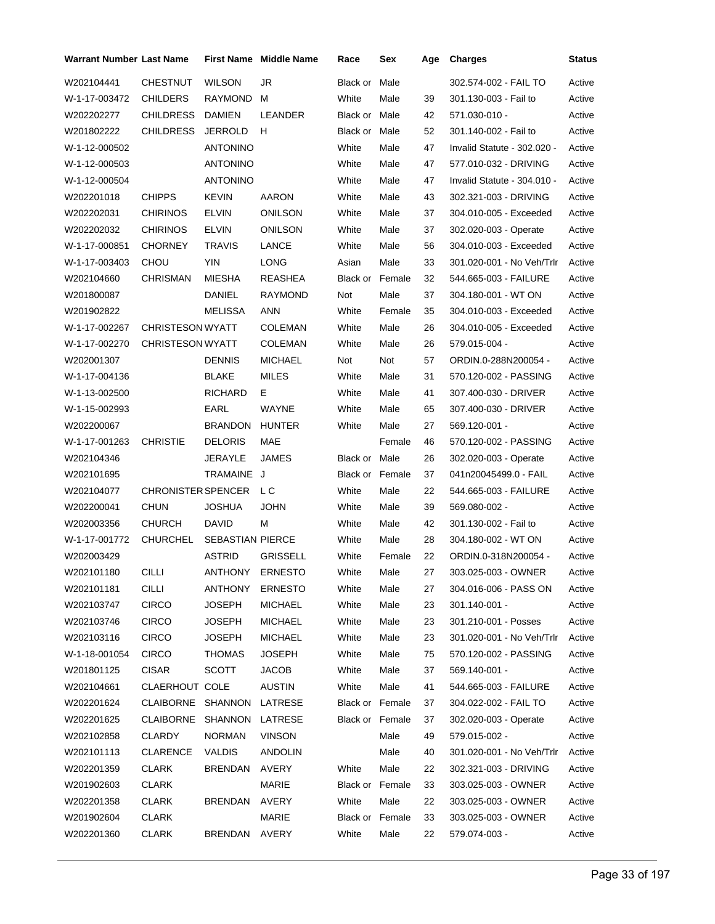| <b>Warrant Number Last Name</b> |                         |                  | <b>First Name</b> Middle Name | Race                   | Sex    | Age | <b>Charges</b>              | <b>Status</b> |
|---------------------------------|-------------------------|------------------|-------------------------------|------------------------|--------|-----|-----------------------------|---------------|
| W202104441                      | <b>CHESTNUT</b>         | <b>WILSON</b>    | JR                            | Black or               | Male   |     | 302.574-002 - FAIL TO       | Active        |
| W-1-17-003472                   | <b>CHILDERS</b>         | RAYMOND          | м                             | White                  | Male   | 39  | 301.130-003 - Fail to       | Active        |
| W202202277                      | <b>CHILDRESS</b>        | <b>DAMIEN</b>    | LEANDER                       | Black or Male          |        | 42  | 571.030-010 -               | Active        |
| W201802222                      | <b>CHILDRESS</b>        | <b>JERROLD</b>   | H                             | Black or               | Male   | 52  | 301.140-002 - Fail to       | Active        |
| W-1-12-000502                   |                         | <b>ANTONINO</b>  |                               | White                  | Male   | 47  | Invalid Statute - 302.020 - | Active        |
| W-1-12-000503                   |                         | <b>ANTONINO</b>  |                               | White                  | Male   | 47  | 577.010-032 - DRIVING       | Active        |
| W-1-12-000504                   |                         | <b>ANTONINO</b>  |                               | White                  | Male   | 47  | Invalid Statute - 304.010 - | Active        |
| W202201018                      | <b>CHIPPS</b>           | <b>KEVIN</b>     | AARON                         | White                  | Male   | 43  | 302.321-003 - DRIVING       | Active        |
| W202202031                      | <b>CHIRINOS</b>         | <b>ELVIN</b>     | ONILSON                       | White                  | Male   | 37  | 304.010-005 - Exceeded      | Active        |
| W202202032                      | <b>CHIRINOS</b>         | <b>ELVIN</b>     | ONILSON                       | White                  | Male   | 37  | 302.020-003 - Operate       | Active        |
| W-1-17-000851                   | <b>CHORNEY</b>          | TRAVIS           | LANCE                         | White                  | Male   | 56  | 304.010-003 - Exceeded      | Active        |
| W-1-17-003403                   | CHOU                    | YIN              | LONG                          | Asian                  | Male   | 33  | 301.020-001 - No Veh/Trlr   | Active        |
| W202104660                      | CHRISMAN                | MIESHA           | REASHEA                       | Black or               | Female | 32  | 544.665-003 - FAILURE       | Active        |
| W201800087                      |                         | <b>DANIEL</b>    | <b>RAYMOND</b>                | Not                    | Male   | 37  | 304.180-001 - WT ON         | Active        |
| W201902822                      |                         | <b>MELISSA</b>   | ANN                           | White                  | Female | 35  | 304.010-003 - Exceeded      | Active        |
| W-1-17-002267                   | <b>CHRISTESON WYATT</b> |                  | <b>COLEMAN</b>                | White                  | Male   | 26  | 304.010-005 - Exceeded      | Active        |
| W-1-17-002270                   | <b>CHRISTESON WYATT</b> |                  | <b>COLEMAN</b>                | White                  | Male   | 26  | 579.015-004 -               | Active        |
| W202001307                      |                         | <b>DENNIS</b>    | MICHAEL                       | Not                    | Not    | 57  | ORDIN.0-288N200054 -        | Active        |
| W-1-17-004136                   |                         | BLAKE            | <b>MILES</b>                  | White                  | Male   | 31  | 570.120-002 - PASSING       | Active        |
| W-1-13-002500                   |                         | <b>RICHARD</b>   | Е.                            | White                  | Male   | 41  | 307.400-030 - DRIVER        | Active        |
| W-1-15-002993                   |                         | EARL             | WAYNE                         | White                  | Male   | 65  | 307.400-030 - DRIVER        | Active        |
| W202200067                      |                         | <b>BRANDON</b>   | <b>HUNTER</b>                 | White                  | Male   | 27  | 569.120-001 -               | Active        |
| W-1-17-001263                   | <b>CHRISTIE</b>         | <b>DELORIS</b>   | MAE                           |                        | Female | 46  | 570.120-002 - PASSING       | Active        |
| W202104346                      |                         | JERAYLE          | <b>JAMES</b>                  | Black or Male          |        | 26  | 302.020-003 - Operate       | Active        |
| W202101695                      |                         | TRAMAINE J       |                               | <b>Black or Female</b> |        | 37  | 041n20045499.0 - FAIL       | Active        |
| W202104077                      | CHRONISTER SPENCER LC   |                  |                               | White                  | Male   | 22  | 544.665-003 - FAILURE       | Active        |
| W202200041                      | <b>CHUN</b>             | <b>JOSHUA</b>    | <b>JOHN</b>                   | White                  | Male   | 39  | 569.080-002 -               | Active        |
| W202003356                      | <b>CHURCH</b>           | DAVID            | М                             | White                  | Male   | 42  | 301.130-002 - Fail to       | Active        |
| W-1-17-001772                   | CHURCHEL                | SEBASTIAN PIERCE |                               | White                  | Male   | 28  | 304.180-002 - WT ON         | Active        |
| W202003429                      |                         | <b>ASTRID</b>    | <b>GRISSELL</b>               | White                  | Female | 22  | ORDIN.0-318N200054 -        | Active        |
| W202101180                      | CILLI                   | ANTHONY          | <b>ERNESTO</b>                | White                  | Male   | 27  | 303.025-003 - OWNER         | Active        |
| W202101181                      | <b>CILLI</b>            | ANTHONY          | <b>ERNESTO</b>                | White                  | Male   | 27  | 304.016-006 - PASS ON       | Active        |
| W202103747                      | <b>CIRCO</b>            | JOSEPH           | <b>MICHAEL</b>                | White                  | Male   | 23  | 301.140-001 -               | Active        |
| W202103746                      | <b>CIRCO</b>            | JOSEPH           | <b>MICHAEL</b>                | White                  | Male   | 23  | 301.210-001 - Posses        | Active        |
| W202103116                      | <b>CIRCO</b>            | JOSEPH           | <b>MICHAEL</b>                | White                  | Male   | 23  | 301.020-001 - No Veh/Trlr   | Active        |
| W-1-18-001054                   | <b>CIRCO</b>            | <b>THOMAS</b>    | <b>JOSEPH</b>                 | White                  | Male   | 75  | 570.120-002 - PASSING       | Active        |
| W201801125                      | <b>CISAR</b>            | <b>SCOTT</b>     | <b>JACOB</b>                  | White                  | Male   | 37  | 569.140-001 -               | Active        |
| W202104661                      | CLAERHOUT COLE          |                  | <b>AUSTIN</b>                 | White                  | Male   | 41  | 544.665-003 - FAILURE       | Active        |
| W202201624                      | CLAIBORNE SHANNON       |                  | LATRESE                       | <b>Black or Female</b> |        | 37  | 304.022-002 - FAIL TO       | Active        |
| W202201625                      | <b>CLAIBORNE</b>        | SHANNON          | LATRESE                       | Black or Female        |        | 37  | 302.020-003 - Operate       | Active        |
| W202102858                      | CLARDY                  | <b>NORMAN</b>    | <b>VINSON</b>                 |                        | Male   | 49  | 579.015-002 -               | Active        |
| W202101113                      | CLARENCE                | <b>VALDIS</b>    | <b>ANDOLIN</b>                |                        | Male   | 40  | 301.020-001 - No Veh/Trlr   | Active        |
| W202201359                      | CLARK                   | <b>BRENDAN</b>   | AVERY                         | White                  | Male   | 22  | 302.321-003 - DRIVING       | Active        |
| W201902603                      | CLARK                   |                  | MARIE                         | Black or Female        |        | 33  | 303.025-003 - OWNER         | Active        |
| W202201358                      | <b>CLARK</b>            | BRENDAN          | AVERY                         | White                  | Male   | 22  | 303.025-003 - OWNER         | Active        |
| W201902604                      | CLARK                   |                  | MARIE                         | Black or Female        |        | 33  | 303.025-003 - OWNER         | Active        |
| W202201360                      | CLARK                   | BRENDAN AVERY    |                               | White                  | Male   | 22  | 579.074-003 -               | Active        |
|                                 |                         |                  |                               |                        |        |     |                             |               |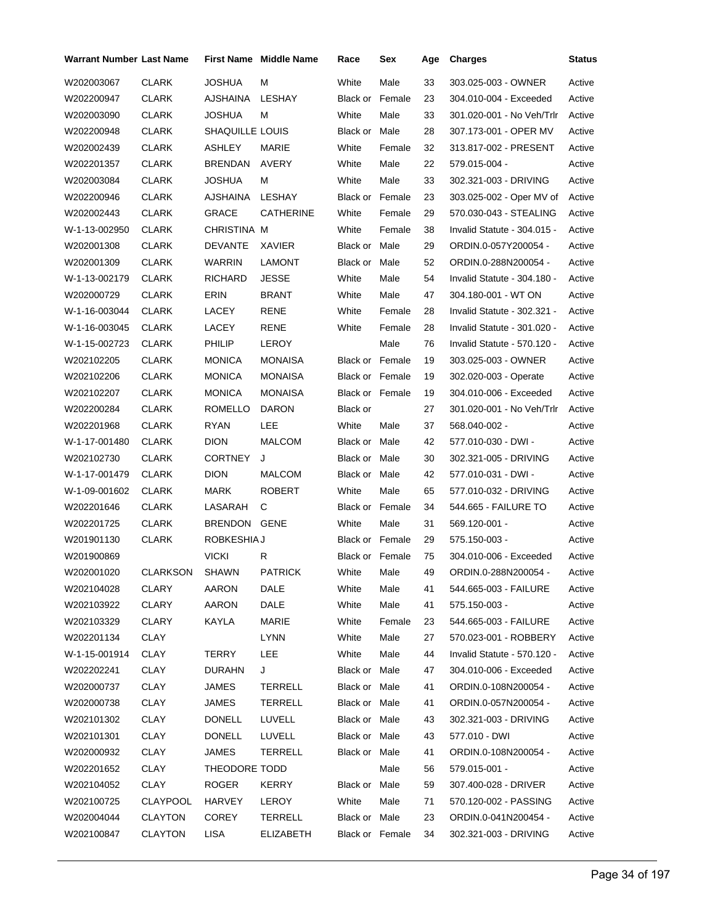| Warrant Number Last Name |                 |                 | First Name Middle Name | Race                   | Sex    | Age | <b>Charges</b>              | <b>Status</b> |
|--------------------------|-----------------|-----------------|------------------------|------------------------|--------|-----|-----------------------------|---------------|
| W202003067               | <b>CLARK</b>    | JOSHUA          | М                      | White                  | Male   | 33  | 303.025-003 - OWNER         | Active        |
| W202200947               | <b>CLARK</b>    | AJSHAINA        | LESHAY                 | <b>Black or Female</b> |        | 23  | 304.010-004 - Exceeded      | Active        |
| W202003090               | CLARK           | JOSHUA          | м                      | White                  | Male   | 33  | 301.020-001 - No Veh/Trlr   | Active        |
| W202200948               | <b>CLARK</b>    | SHAQUILLE LOUIS |                        | Black or Male          |        | 28  | 307.173-001 - OPER MV       | Active        |
| W202002439               | <b>CLARK</b>    | ASHLEY          | MARIE                  | White                  | Female | 32  | 313.817-002 - PRESENT       | Active        |
| W202201357               | <b>CLARK</b>    | BRENDAN         | AVERY                  | White                  | Male   | 22  | 579.015-004 -               | Active        |
| W202003084               | <b>CLARK</b>    | JOSHUA          | м                      | White                  | Male   | 33  | 302.321-003 - DRIVING       | Active        |
| W202200946               | <b>CLARK</b>    | AJSHAINA        | LESHAY                 | <b>Black or Female</b> |        | 23  | 303.025-002 - Oper MV of    | Active        |
| W202002443               | CLARK           | GRACE           | <b>CATHERINE</b>       | White                  | Female | 29  | 570.030-043 - STEALING      | Active        |
| W-1-13-002950            | <b>CLARK</b>    | CHRISTINA M     |                        | White                  | Female | 38  | Invalid Statute - 304.015 - | Active        |
| W202001308               | <b>CLARK</b>    | DEVANTE         | XAVIER                 | Black or Male          |        | 29  | ORDIN.0-057Y200054 -        | Active        |
| W202001309               | CLARK           | WARRIN          | LAMONT                 | Black or Male          |        | 52  | ORDIN.0-288N200054 -        | Active        |
| W-1-13-002179            | <b>CLARK</b>    | RICHARD         | JESSE                  | White                  | Male   | 54  | Invalid Statute - 304.180 - | Active        |
| W202000729               | <b>CLARK</b>    | ERIN            | <b>BRANT</b>           | White                  | Male   | 47  | 304.180-001 - WT ON         | Active        |
| W-1-16-003044            | <b>CLARK</b>    | <b>LACEY</b>    | RENE                   | White                  | Female | 28  | Invalid Statute - 302.321 - | Active        |
| W-1-16-003045            | <b>CLARK</b>    | <b>LACEY</b>    | RENE                   | White                  | Female | 28  | Invalid Statute - 301.020 - | Active        |
| W-1-15-002723            | <b>CLARK</b>    | <b>PHILIP</b>   | <b>LEROY</b>           |                        | Male   | 76  | Invalid Statute - 570.120 - | Active        |
| W202102205               | CLARK           | MONICA          | MONAISA                | <b>Black or Female</b> |        | 19  | 303.025-003 - OWNER         | Active        |
| W202102206               | <b>CLARK</b>    | MONICA          | <b>MONAISA</b>         | Black or Female        |        | 19  | 302.020-003 - Operate       | Active        |
| W202102207               | <b>CLARK</b>    | MONICA          | <b>MONAISA</b>         | Black or Female        |        | 19  | 304.010-006 - Exceeded      | Active        |
| W202200284               | CLARK           | ROMELLO         | <b>DARON</b>           | Black or               |        | 27  | 301.020-001 - No Veh/Trlr   | Active        |
| W202201968               | <b>CLARK</b>    | RYAN            | LEE                    | White                  | Male   | 37  | 568.040-002 -               | Active        |
| W-1-17-001480            | <b>CLARK</b>    | DION            | <b>MALCOM</b>          | Black or Male          |        | 42  | 577.010-030 - DWI -         | Active        |
| W202102730               | CLARK           | CORTNEY         | J                      | Black or Male          |        | 30  | 302.321-005 - DRIVING       | Active        |
| W-1-17-001479            | <b>CLARK</b>    | <b>DION</b>     | <b>MALCOM</b>          | Black or Male          |        | 42  | 577.010-031 - DWI -         | Active        |
| W-1-09-001602            | <b>CLARK</b>    | MARK            | <b>ROBERT</b>          | White                  | Male   | 65  | 577.010-032 - DRIVING       | Active        |
| W202201646               | CLARK           | LASARAH         | С                      | <b>Black or Female</b> |        | 34  | 544.665 - FAILURE TO        | Active        |
| W202201725               | <b>CLARK</b>    | BRENDON GENE    |                        | White                  | Male   | 31  | 569.120-001 -               | Active        |
| W201901130               | CLARK           | ROBKESHIA J     |                        | Black or Female        |        | 29  | 575.150-003 -               | Active        |
| W201900869               |                 | VICKI           | R                      | Black or Female        |        | 75  | 304.010-006 - Exceeded      | Active        |
| W202001020               | <b>CLARKSON</b> | SHAWN           | <b>PATRICK</b>         | White Male             |        | 49  | ORDIN.0-288N200054 -        | Active        |
| W202104028               | <b>CLARY</b>    | AARON           | DALE                   | White                  | Male   | 41  | 544.665-003 - FAILURE       | Active        |
| W202103922               | <b>CLARY</b>    | AARON           | DALE                   | White                  | Male   | 41  | 575.150-003 -               | Active        |
| W202103329               | <b>CLARY</b>    | KAYLA           | <b>MARIE</b>           | White                  | Female | 23  | 544.665-003 - FAILURE       | Active        |
| W202201134               | <b>CLAY</b>     |                 | <b>LYNN</b>            | White                  | Male   | 27  | 570.023-001 - ROBBERY       | Active        |
| W-1-15-001914            | <b>CLAY</b>     | <b>TERRY</b>    | LEE                    | White                  | Male   | 44  | Invalid Statute - 570.120 - | Active        |
| W202202241               | <b>CLAY</b>     | <b>DURAHN</b>   | J                      | Black or Male          |        | 47  | 304.010-006 - Exceeded      | Active        |
| W202000737               | <b>CLAY</b>     | JAMES           | TERRELL                | Black or Male          |        | 41  | ORDIN.0-108N200054 -        | Active        |
| W202000738               | CLAY            | JAMES           | <b>TERRELL</b>         | Black or Male          |        | 41  | ORDIN.0-057N200054 -        | Active        |
| W202101302               | <b>CLAY</b>     | <b>DONELL</b>   | LUVELL                 | Black or Male          |        | 43  | 302.321-003 - DRIVING       | Active        |
| W202101301               | <b>CLAY</b>     | <b>DONELL</b>   | LUVELL                 | Black or Male          |        | 43  | 577.010 - DWI               | Active        |
| W202000932               | CLAY            | JAMES           | TERRELL                | Black or Male          |        | 41  | ORDIN.0-108N200054 -        | Active        |
| W202201652               | <b>CLAY</b>     | THEODORE TODD   |                        |                        | Male   | 56  | 579.015-001 -               | Active        |
| W202104052               | CLAY            | ROGER           | KERRY                  | Black or Male          |        | 59  | 307.400-028 - DRIVER        | Active        |
| W202100725               | CLAYPOOL        | <b>HARVEY</b>   | LEROY                  | White                  | Male   | 71  | 570.120-002 - PASSING       | Active        |
| W202004044               | <b>CLAYTON</b>  | <b>COREY</b>    | TERRELL                | Black or Male          |        | 23  | ORDIN.0-041N200454 -        | Active        |
| W202100847               | <b>CLAYTON</b>  | LISA            | <b>ELIZABETH</b>       | Black or Female        |        | 34  | 302.321-003 - DRIVING       | Active        |
|                          |                 |                 |                        |                        |        |     |                             |               |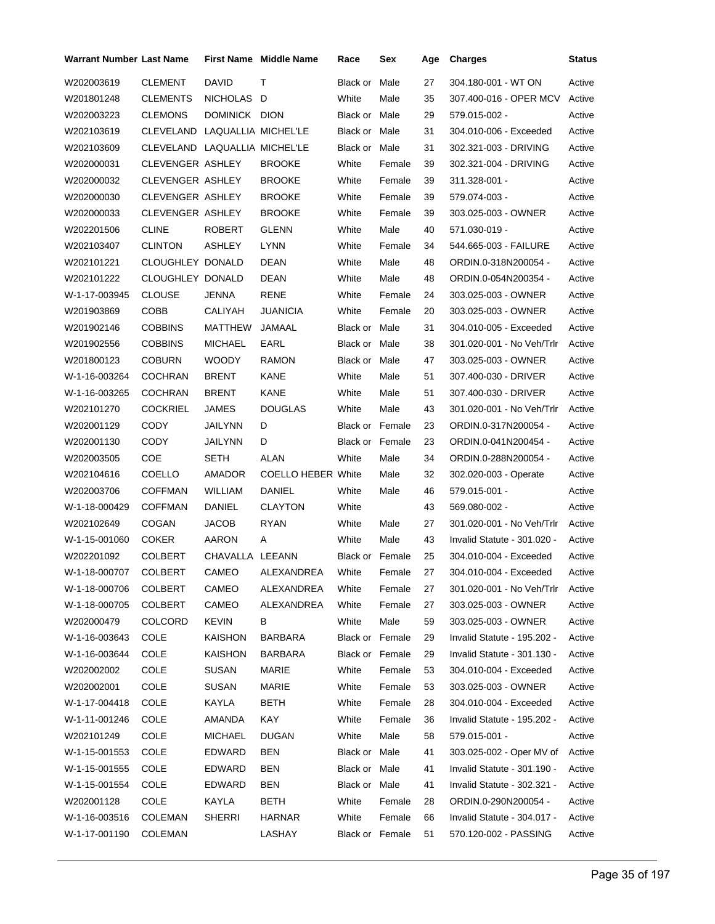| Warrant Number Last Name |                               |                     | <b>First Name Middle Name</b> | Race                   | Sex    | Age | <b>Charges</b>              | <b>Status</b> |
|--------------------------|-------------------------------|---------------------|-------------------------------|------------------------|--------|-----|-----------------------------|---------------|
| W202003619               | <b>CLEMENT</b>                | DAVID               | т                             | Black or               | Male   | 27  | 304.180-001 - WT ON         | Active        |
| W201801248               | <b>CLEMENTS</b>               | NICHOLAS D          |                               | White                  | Male   | 35  | 307.400-016 - OPER MCV      | Active        |
| W202003223               | <b>CLEMONS</b>                | DOMINICK DION       |                               | Black or Male          |        | 29  | 579.015-002 -               | Active        |
| W202103619               | CLEVELAND                     | LAQUALLIA MICHEL'LE |                               | Black or               | Male   | 31  | 304.010-006 - Exceeded      | Active        |
| W202103609               | CLEVELAND LAQUALLIA MICHEL'LE |                     |                               | Black or               | Male   | 31  | 302.321-003 - DRIVING       | Active        |
| W202000031               | CLEVENGER ASHLEY              |                     | <b>BROOKE</b>                 | White                  | Female | 39  | 302.321-004 - DRIVING       | Active        |
| W202000032               | <b>CLEVENGER ASHLEY</b>       |                     | <b>BROOKE</b>                 | White                  | Female | 39  | 311.328-001 -               | Active        |
| W202000030               | <b>CLEVENGER ASHLEY</b>       |                     | <b>BROOKE</b>                 | White                  | Female | 39  | 579.074-003 -               | Active        |
| W202000033               | <b>CLEVENGER ASHLEY</b>       |                     | <b>BROOKE</b>                 | White                  | Female | 39  | 303.025-003 - OWNER         | Active        |
| W202201506               | <b>CLINE</b>                  | <b>ROBERT</b>       | <b>GLENN</b>                  | White                  | Male   | 40  | 571.030-019 -               | Active        |
| W202103407               | <b>CLINTON</b>                | ASHLEY              | LYNN                          | White                  | Female | 34  | 544.665-003 - FAILURE       | Active        |
| W202101221               | CLOUGHLEY DONALD              |                     | DEAN                          | White                  | Male   | 48  | ORDIN.0-318N200054 -        | Active        |
| W202101222               | CLOUGHLEY DONALD              |                     | DEAN                          | White                  | Male   | 48  | ORDIN.0-054N200354 -        | Active        |
| W-1-17-003945            | <b>CLOUSE</b>                 | <b>JENNA</b>        | RENE                          | White                  | Female | 24  | 303.025-003 - OWNER         | Active        |
| W201903869               | COBB                          | CALIYAH             | <b>JUANICIA</b>               | White                  | Female | 20  | 303.025-003 - OWNER         | Active        |
| W201902146               | <b>COBBINS</b>                | MATTHEW             | JAMAAL                        | Black or Male          |        | 31  | 304.010-005 - Exceeded      | Active        |
| W201902556               | <b>COBBINS</b>                | <b>MICHAEL</b>      | EARL                          | <b>Black or Male</b>   |        | 38  | 301.020-001 - No Veh/Trlr   | Active        |
| W201800123               | <b>COBURN</b>                 | <b>WOODY</b>        | <b>RAMON</b>                  | Black or Male          |        | 47  | 303.025-003 - OWNER         | Active        |
| W-1-16-003264            | <b>COCHRAN</b>                | <b>BRENT</b>        | KANE                          | White                  | Male   | 51  | 307.400-030 - DRIVER        | Active        |
| W-1-16-003265            | <b>COCHRAN</b>                | <b>BRENT</b>        | KANE                          | White                  | Male   | 51  | 307.400-030 - DRIVER        | Active        |
| W202101270               | <b>COCKRIEL</b>               | JAMES               | <b>DOUGLAS</b>                | White                  | Male   | 43  | 301.020-001 - No Veh/Trlr   | Active        |
| W202001129               | CODY                          | JAILYNN             | D                             | <b>Black or Female</b> |        | 23  | ORDIN.0-317N200054 -        | Active        |
| W202001130               | CODY                          | JAILYNN             | D                             | Black or Female        |        | 23  | ORDIN.0-041N200454 -        | Active        |
| W202003505               | COE                           | SETH                | ALAN                          | White                  | Male   | 34  | ORDIN.0-288N200054 -        | Active        |
| W202104616               | COELLO                        | AMADOR              | <b>COELLO HEBER White</b>     |                        | Male   | 32  | 302.020-003 - Operate       | Active        |
| W202003706               | <b>COFFMAN</b>                | WILLIAM             | DANIEL                        | White                  | Male   | 46  | 579.015-001 -               | Active        |
| W-1-18-000429            | <b>COFFMAN</b>                | DANIEL              | <b>CLAYTON</b>                | White                  |        | 43  | 569.080-002 -               | Active        |
| W202102649               | <b>COGAN</b>                  | JACOB               | <b>RYAN</b>                   | White                  | Male   | 27  | 301.020-001 - No Veh/Trlr   | Active        |
| W-1-15-001060            | <b>COKER</b>                  | AARON               | A                             | White                  | Male   | 43  | Invalid Statute - 301.020 - | Active        |
| W202201092               | <b>COLBERT</b>                | CHAVALLA LEEANN     |                               | Black or Female        |        | 25  | 304.010-004 - Exceeded      | Active        |
| W-1-18-000707 COLBERT    |                               |                     | CAMEO ALEXANDREA              | White Female           |        | 27  | 304.010-004 - Exceeded      | Active        |
| W-1-18-000706            | <b>COLBERT</b>                | CAMEO               | ALEXANDREA                    | White                  | Female | 27  | 301.020-001 - No Veh/Trlr   | Active        |
| W-1-18-000705            | <b>COLBERT</b>                | CAMEO               | ALEXANDREA                    | White                  | Female | 27  | 303.025-003 - OWNER         | Active        |
| W202000479               | COLCORD                       | <b>KEVIN</b>        | В                             | White                  | Male   | 59  | 303.025-003 - OWNER         | Active        |
| W-1-16-003643            | <b>COLE</b>                   | <b>KAISHON</b>      | <b>BARBARA</b>                | Black or Female        |        | 29  | Invalid Statute - 195.202 - | Active        |
| W-1-16-003644            | <b>COLE</b>                   | KAISHON             | BARBARA                       | Black or Female        |        | 29  | Invalid Statute - 301.130 - | Active        |
| W202002002               | <b>COLE</b>                   | <b>SUSAN</b>        | MARIE                         | White                  | Female | 53  | 304.010-004 - Exceeded      | Active        |
| W202002001               | <b>COLE</b>                   | <b>SUSAN</b>        | <b>MARIE</b>                  | White                  | Female | 53  | 303.025-003 - OWNER         | Active        |
| W-1-17-004418            | <b>COLE</b>                   | KAYLA               | <b>BETH</b>                   | White                  | Female | 28  | 304.010-004 - Exceeded      | Active        |
| W-1-11-001246            | COLE                          | AMANDA              | KAY                           | White                  | Female | 36  | Invalid Statute - 195.202 - | Active        |
| W202101249               | <b>COLE</b>                   | <b>MICHAEL</b>      | <b>DUGAN</b>                  | White                  | Male   | 58  | 579.015-001 -               | Active        |
| W-1-15-001553            | <b>COLE</b>                   | EDWARD              | <b>BEN</b>                    | Black or Male          |        | 41  | 303.025-002 - Oper MV of    | Active        |
| W-1-15-001555            | COLE                          | <b>EDWARD</b>       | <b>BEN</b>                    | Black or Male          |        | 41  | Invalid Statute - 301.190 - | Active        |
| W-1-15-001554            | COLE                          | EDWARD              | <b>BEN</b>                    | Black or Male          |        | 41  | Invalid Statute - 302.321 - | Active        |
| W202001128               | <b>COLE</b>                   | KAYLA               | BETH                          | White                  | Female | 28  | ORDIN.0-290N200054 -        | Active        |
| W-1-16-003516            | <b>COLEMAN</b>                | <b>SHERRI</b>       | <b>HARNAR</b>                 | White                  | Female | 66  | Invalid Statute - 304.017 - | Active        |
| W-1-17-001190            | <b>COLEMAN</b>                |                     | LASHAY                        | Black or Female        |        | 51  | 570.120-002 - PASSING       | Active        |
|                          |                               |                     |                               |                        |        |     |                             |               |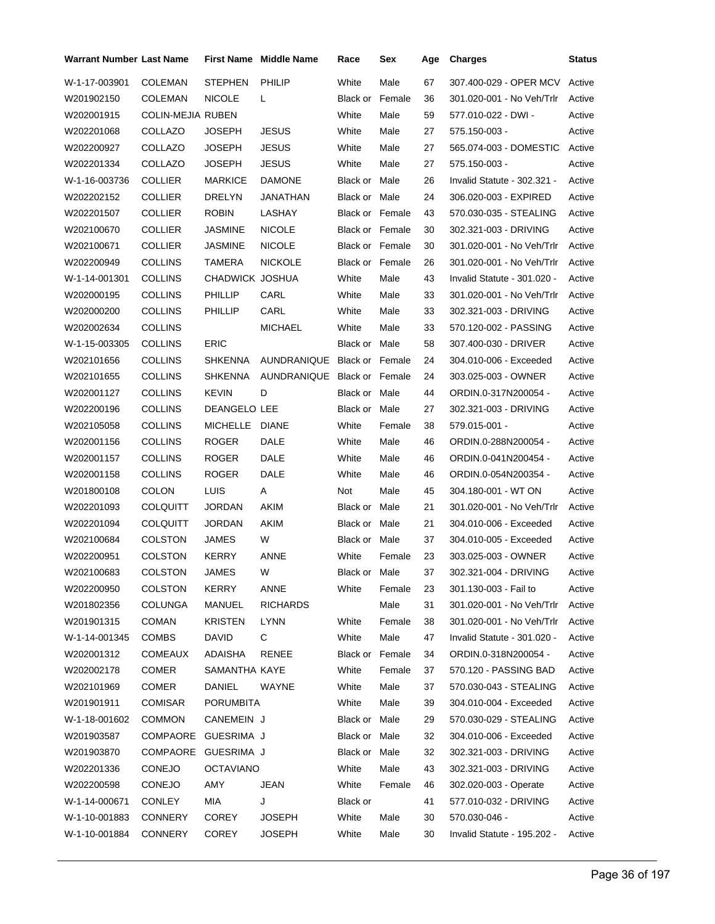| <b>Warrant Number Last Name</b> |                   |                  | <b>First Name</b> Middle Name | Race                   | Sex    | Age | <b>Charges</b>              | <b>Status</b> |
|---------------------------------|-------------------|------------------|-------------------------------|------------------------|--------|-----|-----------------------------|---------------|
| W-1-17-003901                   | <b>COLEMAN</b>    | <b>STEPHEN</b>   | PHILIP                        | White                  | Male   | 67  | 307.400-029 - OPER MCV      | Active        |
| W201902150                      | <b>COLEMAN</b>    | <b>NICOLE</b>    | L                             | Black or               | Female | 36  | 301.020-001 - No Veh/Trlr   | Active        |
| W202001915                      | COLIN-MEJIA RUBEN |                  |                               | White                  | Male   | 59  | 577.010-022 - DWI -         | Active        |
| W202201068                      | COLLAZO           | JOSEPH           | <b>JESUS</b>                  | White                  | Male   | 27  | 575.150-003 -               | Active        |
| W202200927                      | COLLAZO           | JOSEPH           | <b>JESUS</b>                  | White                  | Male   | 27  | 565.074-003 - DOMESTIC      | Active        |
| W202201334                      | COLLAZO           | JOSEPH           | <b>JESUS</b>                  | White                  | Male   | 27  | 575.150-003 -               | Active        |
| W-1-16-003736                   | <b>COLLIER</b>    | <b>MARKICE</b>   | <b>DAMONE</b>                 | <b>Black or Male</b>   |        | 26  | Invalid Statute - 302.321 - | Active        |
| W202202152                      | <b>COLLIER</b>    | DRELYN           | JANATHAN                      | Black or Male          |        | 24  | 306.020-003 - EXPIRED       | Active        |
| W202201507                      | COLLIER           | <b>ROBIN</b>     | LASHAY                        | <b>Black or Female</b> |        | 43  | 570.030-035 - STEALING      | Active        |
| W202100670                      | <b>COLLIER</b>    | JASMINE          | <b>NICOLE</b>                 | Black or Female        |        | 30  | 302.321-003 - DRIVING       | Active        |
| W202100671                      | <b>COLLIER</b>    | <b>JASMINE</b>   | <b>NICOLE</b>                 | Black or Female        |        | 30  | 301.020-001 - No Veh/Trlr   | Active        |
| W202200949                      | <b>COLLINS</b>    | TAMERA           | <b>NICKOLE</b>                | <b>Black or Female</b> |        | 26  | 301.020-001 - No Veh/Trlr   | Active        |
| W-1-14-001301                   | <b>COLLINS</b>    | CHADWICK JOSHUA  |                               | White                  | Male   | 43  | Invalid Statute - 301.020 - | Active        |
| W202000195                      | <b>COLLINS</b>    | <b>PHILLIP</b>   | CARL                          | White                  | Male   | 33  | 301.020-001 - No Veh/Trlr   | Active        |
| W202000200                      | <b>COLLINS</b>    | <b>PHILLIP</b>   | CARL                          | White                  | Male   | 33  | 302.321-003 - DRIVING       | Active        |
| W202002634                      | <b>COLLINS</b>    |                  | <b>MICHAEL</b>                | White                  | Male   | 33  | 570.120-002 - PASSING       | Active        |
| W-1-15-003305                   | <b>COLLINS</b>    | <b>ERIC</b>      |                               | Black or Male          |        | 58  | 307.400-030 - DRIVER        | Active        |
| W202101656                      | <b>COLLINS</b>    | SHKENNA          | <b>AUNDRANIQUE</b>            | Black or Female        |        | 24  | 304.010-006 - Exceeded      | Active        |
| W202101655                      | COLLINS           | <b>SHKENNA</b>   | AUNDRANIQUE Black or Female   |                        |        | 24  | 303.025-003 - OWNER         | Active        |
| W202001127                      | <b>COLLINS</b>    | <b>KEVIN</b>     | D                             | Black or Male          |        | 44  | ORDIN.0-317N200054 -        | Active        |
| W202200196                      | <b>COLLINS</b>    | DEANGELO LEE     |                               | Black or Male          |        | 27  | 302.321-003 - DRIVING       | Active        |
| W202105058                      | <b>COLLINS</b>    | MICHELLE         | <b>DIANE</b>                  | White                  | Female | 38  | 579.015-001 -               | Active        |
| W202001156                      | <b>COLLINS</b>    | <b>ROGER</b>     | <b>DALE</b>                   | White                  | Male   | 46  | ORDIN.0-288N200054 -        | Active        |
| W202001157                      | <b>COLLINS</b>    | <b>ROGER</b>     | DALE                          | White                  | Male   | 46  | ORDIN.0-041N200454 -        | Active        |
| W202001158                      | COLLINS           | <b>ROGER</b>     | DALE                          | White                  | Male   | 46  | ORDIN.0-054N200354 -        | Active        |
| W201800108                      | <b>COLON</b>      | LUIS             | Α                             | Not                    | Male   | 45  | 304.180-001 - WT ON         | Active        |
| W202201093                      | <b>COLQUITT</b>   | <b>JORDAN</b>    | AKIM                          | Black or               | Male   | 21  | 301.020-001 - No Veh/Trlr   | Active        |
| W202201094                      | <b>COLQUITT</b>   | JORDAN           | <b>AKIM</b>                   | Black or Male          |        | 21  | 304.010-006 - Exceeded      | Active        |
| W202100684                      | <b>COLSTON</b>    | JAMES            | W                             | Black or Male          |        | 37  | 304.010-005 - Exceeded      | Active        |
| W202200951                      | COLSTON           | <b>KERRY</b>     | ANNE                          | White                  | Female | 23  | 303.025-003 - OWNER         | Active        |
| W202100683                      | COLSTON           | <b>JAMES</b>     | W                             | Black or Male          |        | 37  | 302.321-004 - DRIVING       | Active        |
| W202200950                      | <b>COLSTON</b>    | <b>KERRY</b>     | ANNE                          | White                  | Female | 23  | 301.130-003 - Fail to       | Active        |
| W201802356                      | <b>COLUNGA</b>    | MANUEL           | <b>RICHARDS</b>               |                        | Male   | 31  | 301.020-001 - No Veh/Trlr   | Active        |
| W201901315                      | <b>COMAN</b>      | <b>KRISTEN</b>   | <b>LYNN</b>                   | White                  | Female | 38  | 301.020-001 - No Veh/Trlr   | Active        |
| W-1-14-001345                   | <b>COMBS</b>      | DAVID            | C                             | White                  | Male   | 47  | Invalid Statute - 301.020 - | Active        |
| W202001312                      | <b>COMEAUX</b>    | ADAISHA          | <b>RENEE</b>                  | Black or Female        |        | 34  | ORDIN.0-318N200054 -        | Active        |
| W202002178                      | <b>COMER</b>      | SAMANTHA KAYE    |                               | White                  | Female | 37  | 570.120 - PASSING BAD       | Active        |
| W202101969                      | <b>COMER</b>      | DANIEL           | WAYNE                         | White                  | Male   | 37  | 570.030-043 - STEALING      | Active        |
| W201901911                      | COMISAR           | <b>PORUMBITA</b> |                               | White                  | Male   | 39  | 304.010-004 - Exceeded      | Active        |
| W-1-18-001602                   | <b>COMMON</b>     | CANEMEIN J       |                               | Black or Male          |        | 29  | 570.030-029 - STEALING      | Active        |
| W201903587                      | COMPAORE          | GUESRIMA J       |                               | Black or Male          |        | 32  | 304.010-006 - Exceeded      | Active        |
| W201903870                      | COMPAORE          | GUESRIMA J       |                               | Black or Male          |        | 32  | 302.321-003 - DRIVING       | Active        |
| W202201336                      | <b>CONEJO</b>     | <b>OCTAVIANO</b> |                               | White                  | Male   | 43  | 302.321-003 - DRIVING       | Active        |
| W202200598                      | <b>CONEJO</b>     | AMY              | <b>JEAN</b>                   | White                  | Female | 46  | 302.020-003 - Operate       | Active        |
| W-1-14-000671                   | <b>CONLEY</b>     | MIA              | J                             | Black or               |        | 41  | 577.010-032 - DRIVING       | Active        |
| W-1-10-001883                   | <b>CONNERY</b>    | <b>COREY</b>     | <b>JOSEPH</b>                 | White                  | Male   | 30  | 570.030-046 -               | Active        |
| W-1-10-001884                   | <b>CONNERY</b>    | <b>COREY</b>     | <b>JOSEPH</b>                 | White                  | Male   | 30  | Invalid Statute - 195.202 - | Active        |
|                                 |                   |                  |                               |                        |        |     |                             |               |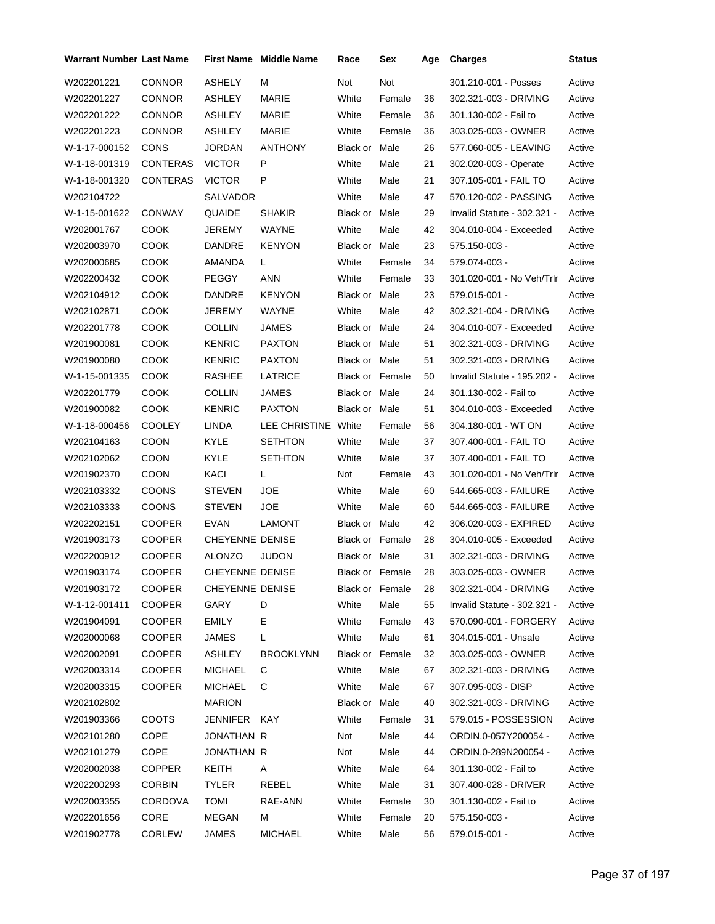| Warrant Number Last Name |                 |                        | <b>First Name</b> Middle Name | Race                   | Sex             | Age | <b>Charges</b>              | <b>Status</b> |
|--------------------------|-----------------|------------------------|-------------------------------|------------------------|-----------------|-----|-----------------------------|---------------|
| W202201221               | <b>CONNOR</b>   | <b>ASHELY</b>          | м                             | Not                    | Not             |     | 301.210-001 - Posses        | Active        |
| W202201227               | <b>CONNOR</b>   | ASHLEY                 | MARIE                         | White                  | Female          | 36  | 302.321-003 - DRIVING       | Active        |
| W202201222               | <b>CONNOR</b>   | <b>ASHLEY</b>          | MARIE                         | White                  | Female          | 36  | 301.130-002 - Fail to       | Active        |
| W202201223               | <b>CONNOR</b>   | ASHLEY                 | <b>MARIE</b>                  | White                  | Female          | 36  | 303.025-003 - OWNER         | Active        |
| W-1-17-000152            | <b>CONS</b>     | JORDAN                 | <b>ANTHONY</b>                | Black or Male          |                 | 26  | 577.060-005 - LEAVING       | Active        |
| W-1-18-001319            | CONTERAS        | <b>VICTOR</b>          | P                             | White                  | Male            | 21  | 302.020-003 - Operate       | Active        |
| W-1-18-001320            | <b>CONTERAS</b> | <b>VICTOR</b>          | P                             | White                  | Male            | 21  | 307.105-001 - FAIL TO       | Active        |
| W202104722               |                 | SALVADOR               |                               | White                  | Male            | 47  | 570.120-002 - PASSING       | Active        |
| W-1-15-001622            | <b>CONWAY</b>   | <b>QUAIDE</b>          | <b>SHAKIR</b>                 | Black or Male          |                 | 29  | Invalid Statute - 302.321 - | Active        |
| W202001767               | <b>COOK</b>     | JEREMY                 | WAYNE                         | White                  | Male            | 42  | 304.010-004 - Exceeded      | Active        |
| W202003970               | COOK            | DANDRE                 | <b>KENYON</b>                 | Black or Male          |                 | 23  | 575.150-003 -               | Active        |
| W202000685               | <b>COOK</b>     | AMANDA                 | L.                            | White                  | Female          | 34  | 579.074-003 -               | Active        |
| W202200432               | <b>COOK</b>     | <b>PEGGY</b>           | <b>ANN</b>                    | White                  | Female          | 33  | 301.020-001 - No Veh/Trlr   | Active        |
| W202104912               | <b>COOK</b>     | DANDRE                 | <b>KENYON</b>                 | Black or Male          |                 | 23  | 579.015-001 -               | Active        |
| W202102871               | <b>COOK</b>     | JEREMY                 | <b>WAYNE</b>                  | White                  | Male            | 42  | 302.321-004 - DRIVING       | Active        |
| W202201778               | <b>COOK</b>     | <b>COLLIN</b>          | <b>JAMES</b>                  | Black or Male          |                 | 24  | 304.010-007 - Exceeded      | Active        |
| W201900081               | <b>COOK</b>     | <b>KENRIC</b>          | <b>PAXTON</b>                 | Black or Male          |                 | 51  | 302.321-003 - DRIVING       | Active        |
| W201900080               | соок            | KENRIC                 | <b>PAXTON</b>                 | Black or Male          |                 | 51  | 302.321-003 - DRIVING       | Active        |
| W-1-15-001335            | <b>COOK</b>     | <b>RASHEE</b>          | LATRICE                       | <b>Black or Female</b> |                 | 50  | Invalid Statute - 195.202 - | Active        |
| W202201779               | COOK            | <b>COLLIN</b>          | JAMES                         | Black or Male          |                 | 24  | 301.130-002 - Fail to       | Active        |
| W201900082               | соок            | <b>KENRIC</b>          | <b>PAXTON</b>                 | Black or Male          |                 | 51  | 304.010-003 - Exceeded      | Active        |
| W-1-18-000456            | <b>COOLEY</b>   | LINDA                  | LEE CHRISTINE White           |                        | Female          | 56  | 304.180-001 - WT ON         | Active        |
| W202104163               | <b>COON</b>     | KYLE                   | <b>SETHTON</b>                | White                  | Male            | 37  | 307.400-001 - FAIL TO       | Active        |
| W202102062               | <b>COON</b>     | KYLE                   | <b>SETHTON</b>                | White                  | Male            | 37  | 307.400-001 - FAIL TO       | Active        |
| W201902370               | <b>COON</b>     | KACI                   | L                             | Not                    | Female          | 43  | 301.020-001 - No Veh/Trlr   | Active        |
| W202103332               | <b>COONS</b>    | <b>STEVEN</b>          | <b>JOE</b>                    | White                  | Male            | 60  | 544.665-003 - FAILURE       | Active        |
| W202103333               | <b>COONS</b>    | <b>STEVEN</b>          | JOE                           | White                  | Male            | 60  | 544.665-003 - FAILURE       | Active        |
| W202202151               | <b>COOPER</b>   | EVAN                   | LAMONT                        | Black or Male          |                 | 42  | 306.020-003 - EXPIRED       | Active        |
| W201903173               | <b>COOPER</b>   | <b>CHEYENNE DENISE</b> |                               | <b>Black or Female</b> |                 | 28  | 304.010-005 - Exceeded      | Active        |
| W202200912               | COOPER          | <b>ALONZO</b>          | <b>JUDON</b>                  | Black or Male          |                 | 31  | 302.321-003 - DRIVING       | Active        |
| W201903174               | COOPER          | CHEYENNE DENISE        |                               |                        | Black or Female | 28  | 303.025-003 - OWNER         | Active        |
| W201903172               | <b>COOPER</b>   | CHEYENNE DENISE        |                               | Black or Female        |                 | 28  | 302.321-004 - DRIVING       | Active        |
| W-1-12-001411            | <b>COOPER</b>   | GARY                   | D                             | White                  | Male            | 55  | Invalid Statute - 302.321 - | Active        |
| W201904091               | <b>COOPER</b>   | <b>EMILY</b>           | Ε                             | White                  | Female          | 43  | 570.090-001 - FORGERY       | Active        |
| W202000068               | <b>COOPER</b>   | JAMES                  | L                             | White                  | Male            | 61  | 304.015-001 - Unsafe        | Active        |
| W202002091               | COOPER          | <b>ASHLEY</b>          | <b>BROOKLYNN</b>              | Black or Female        |                 | 32  | 303.025-003 - OWNER         | Active        |
| W202003314               | <b>COOPER</b>   | <b>MICHAEL</b>         | С                             | White                  | Male            | 67  | 302.321-003 - DRIVING       | Active        |
| W202003315               | <b>COOPER</b>   | <b>MICHAEL</b>         | C                             | White                  | Male            | 67  | 307.095-003 - DISP          | Active        |
| W202102802               |                 | <b>MARION</b>          |                               | Black or Male          |                 | 40  | 302.321-003 - DRIVING       | Active        |
| W201903366               | <b>COOTS</b>    | JENNIFER KAY           |                               | White                  | Female          | 31  | 579.015 - POSSESSION        | Active        |
| W202101280               | COPE            | JONATHAN R             |                               | Not                    | Male            | 44  | ORDIN.0-057Y200054 -        | Active        |
| W202101279               | COPE            | JONATHAN R             |                               | Not                    | Male            | 44  | ORDIN.0-289N200054 -        | Active        |
| W202002038               | <b>COPPER</b>   | KEITH                  | A                             | White                  | Male            | 64  | 301.130-002 - Fail to       | Active        |
| W202200293               | <b>CORBIN</b>   | <b>TYLER</b>           | REBEL                         | White                  | Male            | 31  | 307.400-028 - DRIVER        | Active        |
| W202003355               | <b>CORDOVA</b>  | TOMI                   | RAE-ANN                       | White                  | Female          | 30  | 301.130-002 - Fail to       | Active        |
| W202201656               | CORE            | MEGAN                  | М                             | White                  | Female          | 20  | 575.150-003 -               | Active        |
| W201902778               | <b>CORLEW</b>   | JAMES                  | MICHAEL                       | White                  | Male            | 56  | 579.015-001 -               | Active        |
|                          |                 |                        |                               |                        |                 |     |                             |               |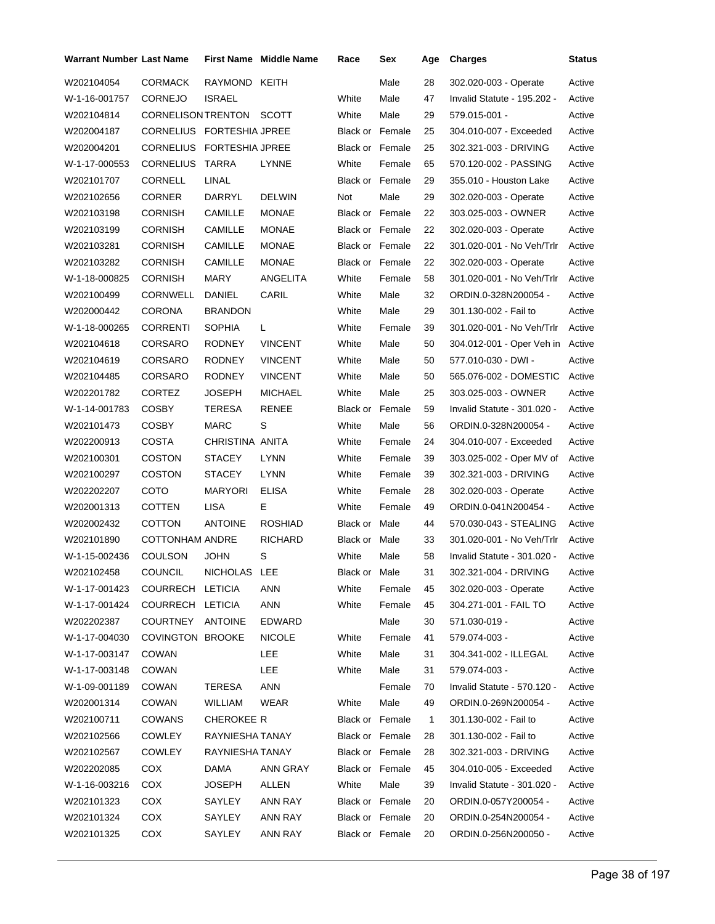| Warrant Number Last Name |                           |                 | <b>First Name</b> Middle Name | Race                   | Sex    | Age            | <b>Charges</b>              | Status |
|--------------------------|---------------------------|-----------------|-------------------------------|------------------------|--------|----------------|-----------------------------|--------|
| W202104054               | <b>CORMACK</b>            | RAYMOND KEITH   |                               |                        | Male   | 28             | 302.020-003 - Operate       | Active |
| W-1-16-001757            | <b>CORNEJO</b>            | <b>ISRAEL</b>   |                               | White                  | Male   | 47             | Invalid Statute - 195.202 - | Active |
| W202104814               | CORNELISON TRENTON SCOTT  |                 |                               | White                  | Male   | 29             | 579.015-001 -               | Active |
| W202004187               | CORNELIUS FORTESHIA JPREE |                 |                               | Black or Female        |        | 25             | 304.010-007 - Exceeded      | Active |
| W202004201               | CORNELIUS FORTESHIA JPREE |                 |                               | <b>Black or Female</b> |        | 25             | 302.321-003 - DRIVING       | Active |
| W-1-17-000553            | <b>CORNELIUS</b>          | TARRA           | LYNNE                         | White                  | Female | 65             | 570.120-002 - PASSING       | Active |
| W202101707               | <b>CORNELL</b>            | <b>LINAL</b>    |                               | Black or Female        |        | 29             | 355.010 - Houston Lake      | Active |
| W202102656               | <b>CORNER</b>             | DARRYL          | <b>DELWIN</b>                 | Not                    | Male   | 29             | 302.020-003 - Operate       | Active |
| W202103198               | <b>CORNISH</b>            | CAMILLE         | <b>MONAE</b>                  | Black or Female        |        | 22             | 303.025-003 - OWNER         | Active |
| W202103199               | <b>CORNISH</b>            | CAMILLE         | <b>MONAE</b>                  | Black or Female        |        | 22             | 302.020-003 - Operate       | Active |
| W202103281               | <b>CORNISH</b>            | <b>CAMILLE</b>  | <b>MONAE</b>                  | Black or Female        |        | 22             | 301.020-001 - No Veh/Trlr   | Active |
| W202103282               | <b>CORNISH</b>            | <b>CAMILLE</b>  | <b>MONAE</b>                  | Black or Female        |        | 22             | 302.020-003 - Operate       | Active |
| W-1-18-000825            | <b>CORNISH</b>            | MARY            | ANGELITA                      | White                  | Female | 58             | 301.020-001 - No Veh/Trlr   | Active |
| W202100499               | <b>CORNWELL</b>           | DANIEL          | CARIL                         | White                  | Male   | 32             | ORDIN.0-328N200054 -        | Active |
| W202000442               | <b>CORONA</b>             | <b>BRANDON</b>  |                               | White                  | Male   | 29             | 301.130-002 - Fail to       | Active |
| W-1-18-000265            | <b>CORRENTI</b>           | <b>SOPHIA</b>   | L                             | White                  | Female | 39             | 301.020-001 - No Veh/Trlr   | Active |
| W202104618               | CORSARO                   | <b>RODNEY</b>   | <b>VINCENT</b>                | White                  | Male   | 50             | 304.012-001 - Oper Veh in   | Active |
| W202104619               | CORSARO                   | <b>RODNEY</b>   | <b>VINCENT</b>                | White                  | Male   | 50             | 577.010-030 - DWI -         | Active |
| W202104485               | <b>CORSARO</b>            | RODNEY          | <b>VINCENT</b>                | White                  | Male   | 50             | 565.076-002 - DOMESTIC      | Active |
| W202201782               | <b>CORTEZ</b>             | JOSEPH          | <b>MICHAEL</b>                | White                  | Male   | 25             | 303.025-003 - OWNER         | Active |
| W-1-14-001783            | <b>COSBY</b>              | <b>TERESA</b>   | <b>RENEE</b>                  | Black or Female        |        | 59             | Invalid Statute - 301.020 - | Active |
| W202101473               | <b>COSBY</b>              | MARC            | S                             | White                  | Male   | 56             | ORDIN.0-328N200054 -        | Active |
| W202200913               | COSTA                     | CHRISTINA ANITA |                               | White                  | Female | 24             | 304.010-007 - Exceeded      | Active |
| W202100301               | <b>COSTON</b>             | <b>STACEY</b>   | LYNN                          | White                  | Female | 39             | 303.025-002 - Oper MV of    | Active |
| W202100297               | <b>COSTON</b>             | <b>STACEY</b>   | LYNN                          | White                  | Female | 39             | 302.321-003 - DRIVING       | Active |
| W202202207               | COTO                      | <b>MARYORI</b>  | <b>ELISA</b>                  | White                  | Female | 28             | 302.020-003 - Operate       | Active |
| W202001313               | COTTEN                    | <b>LISA</b>     | Е                             | White                  | Female | 49             | ORDIN.0-041N200454 -        | Active |
| W202002432               | <b>COTTON</b>             | <b>ANTOINE</b>  | <b>ROSHIAD</b>                | Black or Male          |        | 44             | 570.030-043 - STEALING      | Active |
| W202101890               | COTTONHAM ANDRE           |                 | <b>RICHARD</b>                | Black or Male          |        | 33             | 301.020-001 - No Veh/Trlr   | Active |
| W-1-15-002436            | COULSON                   | <b>JOHN</b>     | S                             | White                  | Male   | 58             | Invalid Statute - 301.020 - | Active |
| W202102458               | COUNCIL                   | NICHOLAS LEE    |                               | Black or Male          |        | 31             | 302.321-004 - DRIVING       | Active |
| W-1-17-001423            | COURRECH LETICIA          |                 | ANN                           | White                  | Female | 45             | 302.020-003 - Operate       | Active |
| W-1-17-001424            | COURRECH LETICIA          |                 | <b>ANN</b>                    | White                  | Female | 45             | 304.271-001 - FAIL TO       | Active |
| W202202387               | COURTNEY ANTOINE          |                 | EDWARD                        |                        | Male   | 30             | 571.030-019 -               | Active |
| W-1-17-004030            | COVINGTON BROOKE          |                 | <b>NICOLE</b>                 | White                  | Female | 41             | 579.074-003 -               | Active |
| W-1-17-003147            | COWAN                     |                 | <b>LEE</b>                    | White                  | Male   | 31             | 304.341-002 - ILLEGAL       | Active |
| W-1-17-003148            | COWAN                     |                 | LEE                           | White                  | Male   | 31             | 579.074-003 -               | Active |
| W-1-09-001189            | COWAN                     | TERESA          | ANN                           |                        | Female | 70             | Invalid Statute - 570.120 - | Active |
| W202001314               | COWAN                     | WILLIAM         | <b>WEAR</b>                   | White                  | Male   | 49             | ORDIN.0-269N200054 -        | Active |
| W202100711               | <b>COWANS</b>             | CHEROKEE R      |                               | Black or Female        |        | $\overline{1}$ | 301.130-002 - Fail to       | Active |
| W202102566               | <b>COWLEY</b>             | RAYNIESHA TANAY |                               | Black or Female        |        | 28             | 301.130-002 - Fail to       | Active |
| W202102567               | COWLEY                    | RAYNIESHA TANAY |                               | Black or Female        |        | 28             | 302.321-003 - DRIVING       | Active |
| W202202085               | COX                       | DAMA            | ANN GRAY                      | Black or Female        |        | 45             | 304.010-005 - Exceeded      | Active |
| W-1-16-003216            | COX                       | JOSEPH          | ALLEN                         | White                  | Male   | 39             | Invalid Statute - 301.020 - | Active |
| W202101323               | COX                       | SAYLEY          | ANN RAY                       | Black or Female        |        | 20             | ORDIN.0-057Y200054 -        | Active |
| W202101324               | COX                       | SAYLEY          | ANN RAY                       | Black or Female        |        | 20             | ORDIN.0-254N200054 -        | Active |
| W202101325               | COX                       | SAYLEY          | ANN RAY                       | Black or Female        |        | 20             | ORDIN.0-256N200050 -        | Active |
|                          |                           |                 |                               |                        |        |                |                             |        |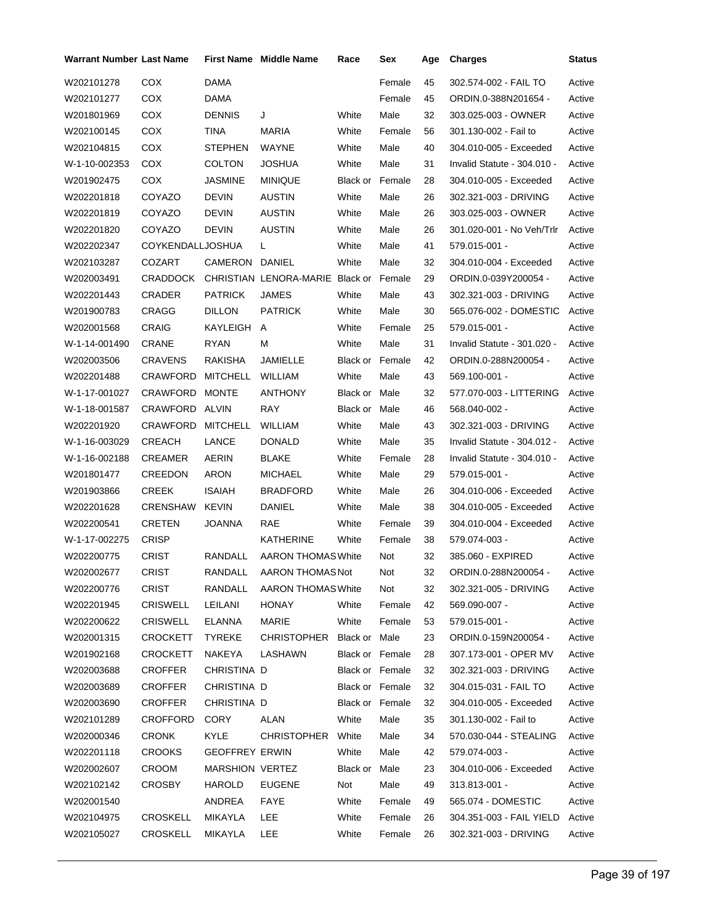| <b>Warrant Number Last Name</b> |                  |                       | <b>First Name</b> Middle Name          | Race                   | Sex    | Age | <b>Charges</b>                  | Status |
|---------------------------------|------------------|-----------------------|----------------------------------------|------------------------|--------|-----|---------------------------------|--------|
| W202101278                      | <b>COX</b>       | DAMA                  |                                        |                        | Female | 45  | 302.574-002 - FAIL TO           | Active |
| W202101277                      | <b>COX</b>       | DAMA                  |                                        |                        | Female | 45  | ORDIN.0-388N201654 -            | Active |
| W201801969                      | <b>COX</b>       | <b>DENNIS</b>         | J                                      | White                  | Male   | 32  | 303.025-003 - OWNER             | Active |
| W202100145                      | <b>COX</b>       | TINA                  | <b>MARIA</b>                           | White                  | Female | 56  | 301.130-002 - Fail to           | Active |
| W202104815                      | COX              | <b>STEPHEN</b>        | WAYNE                                  | White                  | Male   | 40  | 304.010-005 - Exceeded          | Active |
| W-1-10-002353                   | COX              | <b>COLTON</b>         | <b>JOSHUA</b>                          | White                  | Male   | 31  | Invalid Statute - 304.010 -     | Active |
| W201902475                      | <b>COX</b>       | <b>JASMINE</b>        | <b>MINIQUE</b>                         | <b>Black or Female</b> |        | 28  | 304.010-005 - Exceeded          | Active |
| W202201818                      | COYAZO           | <b>DEVIN</b>          | <b>AUSTIN</b>                          | White                  | Male   | 26  | 302.321-003 - DRIVING           | Active |
| W202201819                      | COYAZO           | <b>DEVIN</b>          | <b>AUSTIN</b>                          | White                  | Male   | 26  | 303.025-003 - OWNER             | Active |
| W202201820                      | COYAZO           | <b>DEVIN</b>          | <b>AUSTIN</b>                          | White                  | Male   | 26  | 301.020-001 - No Veh/Trlr       | Active |
| W202202347                      | COYKENDALLJOSHUA |                       | L                                      | White                  | Male   | 41  | 579.015-001 -                   | Active |
| W202103287                      | COZART           | CAMERON               | DANIEL                                 | White                  | Male   | 32  | 304.010-004 - Exceeded          | Active |
| W202003491                      | <b>CRADDOCK</b>  |                       | CHRISTIAN LENORA-MARIE Black or Female |                        |        | 29  | ORDIN.0-039Y200054 -            | Active |
| W202201443                      | CRADER           | <b>PATRICK</b>        | <b>JAMES</b>                           | White                  | Male   | 43  | 302.321-003 - DRIVING           | Active |
| W201900783                      | CRAGG            | <b>DILLON</b>         | <b>PATRICK</b>                         | White                  | Male   | 30  | 565.076-002 - DOMESTIC          | Active |
| W202001568                      | <b>CRAIG</b>     | KAYLEIGH              | A                                      | White                  | Female | 25  | 579.015-001 -                   | Active |
| W-1-14-001490                   | <b>CRANE</b>     | <b>RYAN</b>           | м                                      | White                  | Male   | 31  | Invalid Statute - 301.020 -     | Active |
| W202003506                      | <b>CRAVENS</b>   | <b>RAKISHA</b>        | JAMIELLE                               | <b>Black or Female</b> |        | 42  | ORDIN.0-288N200054 -            | Active |
| W202201488                      | CRAWFORD         | <b>MITCHELL</b>       | <b>WILLIAM</b>                         | White                  | Male   | 43  | 569.100-001 -                   | Active |
| W-1-17-001027                   | <b>CRAWFORD</b>  | <b>MONTE</b>          | <b>ANTHONY</b>                         | Black or Male          |        | 32  | 577.070-003 - LITTERING         | Active |
| W-1-18-001587                   | <b>CRAWFORD</b>  | ALVIN                 | RAY                                    | Black or               | Male   | 46  | 568.040-002 -                   | Active |
| W202201920                      | CRAWFORD         | <b>MITCHELL</b>       | WILLIAM                                | White                  | Male   | 43  | 302.321-003 - DRIVING           | Active |
| W-1-16-003029                   | CREACH           | LANCE                 | <b>DONALD</b>                          | White                  | Male   | 35  | Invalid Statute - 304.012 -     | Active |
| W-1-16-002188                   | CREAMER          | AERIN                 | <b>BLAKE</b>                           | White                  | Female | 28  | Invalid Statute - 304.010 -     | Active |
| W201801477                      | CREEDON          | ARON                  | <b>MICHAEL</b>                         | White                  | Male   | 29  | 579.015-001 -                   | Active |
| W201903866                      | CREEK            | ISAIAH                | <b>BRADFORD</b>                        | White                  | Male   | 26  | 304.010-006 - Exceeded          | Active |
| W202201628                      | CRENSHAW         | <b>KEVIN</b>          | DANIEL                                 | White                  | Male   | 38  | 304.010-005 - Exceeded          | Active |
| W202200541                      | CRETEN           | <b>JOANNA</b>         | <b>RAE</b>                             | White                  | Female | 39  | 304.010-004 - Exceeded          | Active |
| W-1-17-002275                   | <b>CRISP</b>     |                       | KATHERINE                              | White                  | Female | 38  | 579.074-003 -                   | Active |
| W202200775                      | <b>CRIST</b>     | RANDALL               | <b>AARON THOMAS White</b>              |                        | Not    | 32  | 385.060 - EXPIRED               | Active |
| W202002677                      | <b>CRIST</b>     | RANDALL               | AARON THOMAS Not                       |                        | Not    | 32  | ORDIN.0-288N200054 -            | Active |
| W202200776                      | <b>CRIST</b>     | RANDALL               | AARON THOMAS White                     |                        | Not    | 32  | 302.321-005 - DRIVING           | Active |
| W202201945                      | <b>CRISWELL</b>  | LEILANI               | HONAY                                  | White                  | Female | 42  | 569.090-007 -                   | Active |
| W202200622                      | <b>CRISWELL</b>  | <b>ELANNA</b>         | MARIE                                  | White                  | Female | 53  | 579.015-001 -                   | Active |
| W202001315                      | <b>CROCKETT</b>  | <b>TYREKE</b>         | CHRISTOPHER Black or Male              |                        |        | 23  | ORDIN.0-159N200054 -            | Active |
| W201902168                      | <b>CROCKETT</b>  | NAKEYA                | LASHAWN                                | Black or Female        |        | 28  | 307.173-001 - OPER MV           | Active |
| W202003688                      | <b>CROFFER</b>   | CHRISTINA D           |                                        | Black or Female        |        | 32  | 302.321-003 - DRIVING           | Active |
| W202003689                      | <b>CROFFER</b>   | CHRISTINA D           |                                        | <b>Black or Female</b> |        | 32  | 304.015-031 - FAIL TO           | Active |
| W202003690                      | <b>CROFFER</b>   | CHRISTINA D           |                                        | Black or Female        |        | 32  | 304.010-005 - Exceeded          | Active |
| W202101289                      | CROFFORD         | CORY                  | ALAN                                   | White                  | Male   | 35  | 301.130-002 - Fail to           | Active |
| W202000346                      | <b>CRONK</b>     | KYLE                  | CHRISTOPHER White                      |                        | Male   | 34  | 570.030-044 - STEALING          | Active |
| W202201118                      | <b>CROOKS</b>    | <b>GEOFFREY ERWIN</b> |                                        | White                  | Male   | 42  | 579.074-003 -                   | Active |
| W202002607                      | CROOM            | MARSHION VERTEZ       |                                        | Black or Male          |        | 23  | 304.010-006 - Exceeded          | Active |
| W202102142                      | <b>CROSBY</b>    | HAROLD                | <b>EUGENE</b>                          | Not                    | Male   | 49  | 313.813-001 -                   | Active |
| W202001540                      |                  | ANDREA                | FAYE                                   | White                  | Female | 49  | 565.074 - DOMESTIC              | Active |
| W202104975                      | <b>CROSKELL</b>  | MIKAYLA               | LEE                                    | White                  | Female | 26  | 304.351-003 - FAIL YIELD Active |        |
| W202105027                      | <b>CROSKELL</b>  | MIKAYLA               | <b>LEE</b>                             | White                  | Female | 26  | 302.321-003 - DRIVING           | Active |
|                                 |                  |                       |                                        |                        |        |     |                                 |        |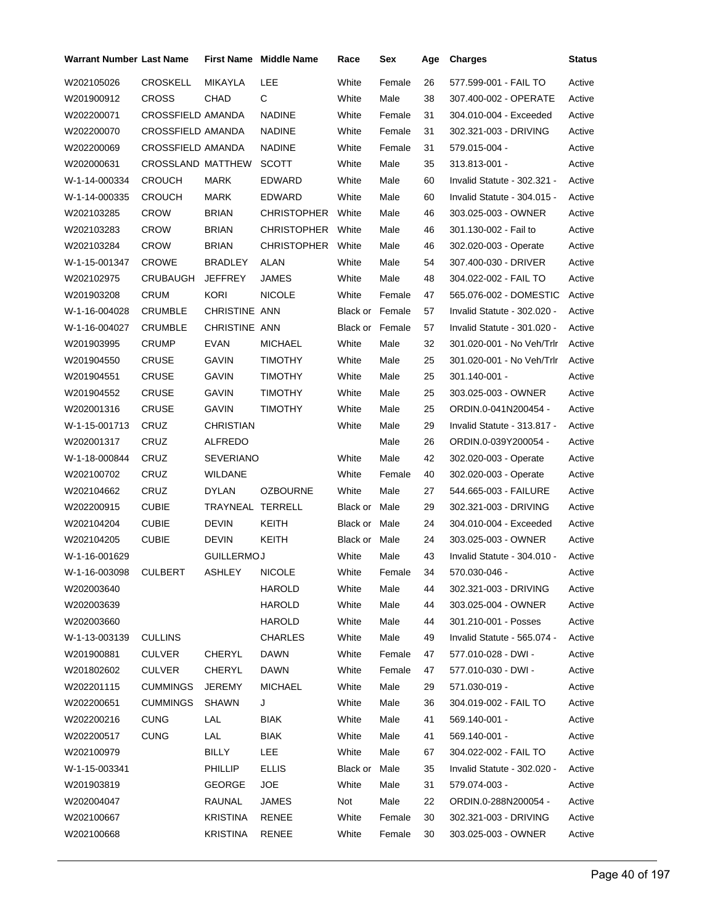| <b>Warrant Number Last Name</b> |                          |                   | <b>First Name</b> Middle Name | Race                   | Sex    | Age | <b>Charges</b>              | Status |
|---------------------------------|--------------------------|-------------------|-------------------------------|------------------------|--------|-----|-----------------------------|--------|
| W202105026                      | <b>CROSKELL</b>          | MIKAYLA           | LEE                           | White                  | Female | 26  | 577.599-001 - FAIL TO       | Active |
| W201900912                      | <b>CROSS</b>             | CHAD              | C                             | White                  | Male   | 38  | 307.400-002 - OPERATE       | Active |
| W202200071                      | <b>CROSSFIELD AMANDA</b> |                   | <b>NADINE</b>                 | White                  | Female | 31  | 304.010-004 - Exceeded      | Active |
| W202200070                      | <b>CROSSFIELD AMANDA</b> |                   | <b>NADINE</b>                 | White                  | Female | 31  | 302.321-003 - DRIVING       | Active |
| W202200069                      | CROSSFIELD AMANDA        |                   | <b>NADINE</b>                 | White                  | Female | 31  | 579.015-004 -               | Active |
| W202000631                      | <b>CROSSLAND MATTHEW</b> |                   | <b>SCOTT</b>                  | White                  | Male   | 35  | 313.813-001 -               | Active |
| W-1-14-000334                   | <b>CROUCH</b>            | MARK              | EDWARD                        | White                  | Male   | 60  | Invalid Statute - 302.321 - | Active |
| W-1-14-000335                   | <b>CROUCH</b>            | MARK              | EDWARD                        | White                  | Male   | 60  | Invalid Statute - 304.015 - | Active |
| W202103285                      | <b>CROW</b>              | <b>BRIAN</b>      | <b>CHRISTOPHER</b>            | White                  | Male   | 46  | 303.025-003 - OWNER         | Active |
| W202103283                      | <b>CROW</b>              | <b>BRIAN</b>      | CHRISTOPHER White             |                        | Male   | 46  | 301.130-002 - Fail to       | Active |
| W202103284                      | <b>CROW</b>              | <b>BRIAN</b>      | CHRISTOPHER White             |                        | Male   | 46  | 302.020-003 - Operate       | Active |
| W-1-15-001347                   | <b>CROWE</b>             | BRADLEY           | ALAN                          | White                  | Male   | 54  | 307.400-030 - DRIVER        | Active |
| W202102975                      | CRUBAUGH                 | <b>JEFFREY</b>    | <b>JAMES</b>                  | White                  | Male   | 48  | 304.022-002 - FAIL TO       | Active |
| W201903208                      | <b>CRUM</b>              | <b>KORI</b>       | <b>NICOLE</b>                 | White                  | Female | 47  | 565.076-002 - DOMESTIC      | Active |
| W-1-16-004028                   | CRUMBLE                  | CHRISTINE ANN     |                               | <b>Black or Female</b> |        | 57  | Invalid Statute - 302.020 - | Active |
| W-1-16-004027                   | <b>CRUMBLE</b>           | CHRISTINE ANN     |                               | <b>Black or Female</b> |        | 57  | Invalid Statute - 301.020 - | Active |
| W201903995                      | <b>CRUMP</b>             | EVAN              | <b>MICHAEL</b>                | White                  | Male   | 32  | 301.020-001 - No Veh/Trlr   | Active |
| W201904550                      | CRUSE                    | GAVIN             | <b>TIMOTHY</b>                | White                  | Male   | 25  | 301.020-001 - No Veh/Trlr   | Active |
| W201904551                      | CRUSE                    | GAVIN             | <b>TIMOTHY</b>                | White                  | Male   | 25  | 301.140-001 -               | Active |
| W201904552                      | <b>CRUSE</b>             | GAVIN             | <b>TIMOTHY</b>                | White                  | Male   | 25  | 303.025-003 - OWNER         | Active |
| W202001316                      | CRUSE                    | GAVIN             | <b>TIMOTHY</b>                | White                  | Male   | 25  | ORDIN.0-041N200454 -        | Active |
| W-1-15-001713                   | CRUZ                     | <b>CHRISTIAN</b>  |                               | White                  | Male   | 29  | Invalid Statute - 313.817 - | Active |
| W202001317                      | CRUZ                     | ALFREDO           |                               |                        | Male   | 26  | ORDIN.0-039Y200054 -        | Active |
| W-1-18-000844                   | CRUZ                     | <b>SEVERIANO</b>  |                               | White                  | Male   | 42  | 302.020-003 - Operate       | Active |
| W202100702                      | CRUZ                     | WILDANE           |                               | White                  | Female | 40  | 302.020-003 - Operate       | Active |
| W202104662                      | CRUZ                     | <b>DYLAN</b>      | <b>OZBOURNE</b>               | White                  | Male   | 27  | 544.665-003 - FAILURE       | Active |
| W202200915                      | <b>CUBIE</b>             | TRAYNEAL TERRELL  |                               | Black or               | Male   | 29  | 302.321-003 - DRIVING       | Active |
| W202104204                      | <b>CUBIE</b>             | DEVIN             | KEITH                         | Black or Male          |        | 24  | 304.010-004 - Exceeded      | Active |
| W202104205                      | <b>CUBIE</b>             | DEVIN             | KEITH                         | Black or Male          |        | 24  | 303.025-003 - OWNER         | Active |
| W-1-16-001629                   |                          | <b>GUILLERMOJ</b> |                               | White                  | Male   | 43  | Invalid Statute - 304.010 - | Active |
| W-1-16-003098                   | <b>CULBERT</b>           | <b>ASHLEY</b>     | NICOLE                        | White                  | Female | 34  | 570.030-046 -               | Active |
| W202003640                      |                          |                   | HAROLD                        | White                  | Male   | 44  | 302.321-003 - DRIVING       | Active |
| W202003639                      |                          |                   | HAROLD                        | White                  | Male   | 44  | 303.025-004 - OWNER         | Active |
| W202003660                      |                          |                   | HAROLD                        | White                  | Male   | 44  | 301.210-001 - Posses        | Active |
| W-1-13-003139                   | <b>CULLINS</b>           |                   | <b>CHARLES</b>                | White                  | Male   | 49  | Invalid Statute - 565.074 - | Active |
| W201900881                      | <b>CULVER</b>            | <b>CHERYL</b>     | <b>DAWN</b>                   | White                  | Female | 47  | 577.010-028 - DWI -         | Active |
| W201802602                      | CULVER                   | CHERYL            | DAWN                          | White                  | Female | 47  | 577.010-030 - DWI -         | Active |
| W202201115                      | <b>CUMMINGS</b>          | JEREMY            | <b>MICHAEL</b>                | White                  | Male   | 29  | 571.030-019 -               | Active |
| W202200651                      | <b>CUMMINGS</b>          | <b>SHAWN</b>      | J                             | White                  | Male   | 36  | 304.019-002 - FAIL TO       | Active |
| W202200216                      | <b>CUNG</b>              | LAL               | <b>BIAK</b>                   | White                  | Male   | 41  | 569.140-001 -               | Active |
| W202200517                      | <b>CUNG</b>              | LAL               | <b>BIAK</b>                   | White                  | Male   | 41  | 569.140-001 -               | Active |
| W202100979                      |                          | BILLY             | LEE                           | White                  | Male   | 67  | 304.022-002 - FAIL TO       | Active |
| W-1-15-003341                   |                          | <b>PHILLIP</b>    | <b>ELLIS</b>                  | Black or Male          |        | 35  | Invalid Statute - 302.020 - | Active |
| W201903819                      |                          | <b>GEORGE</b>     | JOE.                          | White                  | Male   | 31  | 579.074-003 -               | Active |
| W202004047                      |                          | RAUNAL            | JAMES                         | Not                    | Male   | 22  | ORDIN.0-288N200054 -        | Active |
| W202100667                      |                          | <b>KRISTINA</b>   | RENEE                         | White                  | Female | 30  | 302.321-003 - DRIVING       | Active |
| W202100668                      |                          | KRISTINA          | RENEE                         | White                  | Female | 30  | 303.025-003 - OWNER         | Active |
|                                 |                          |                   |                               |                        |        |     |                             |        |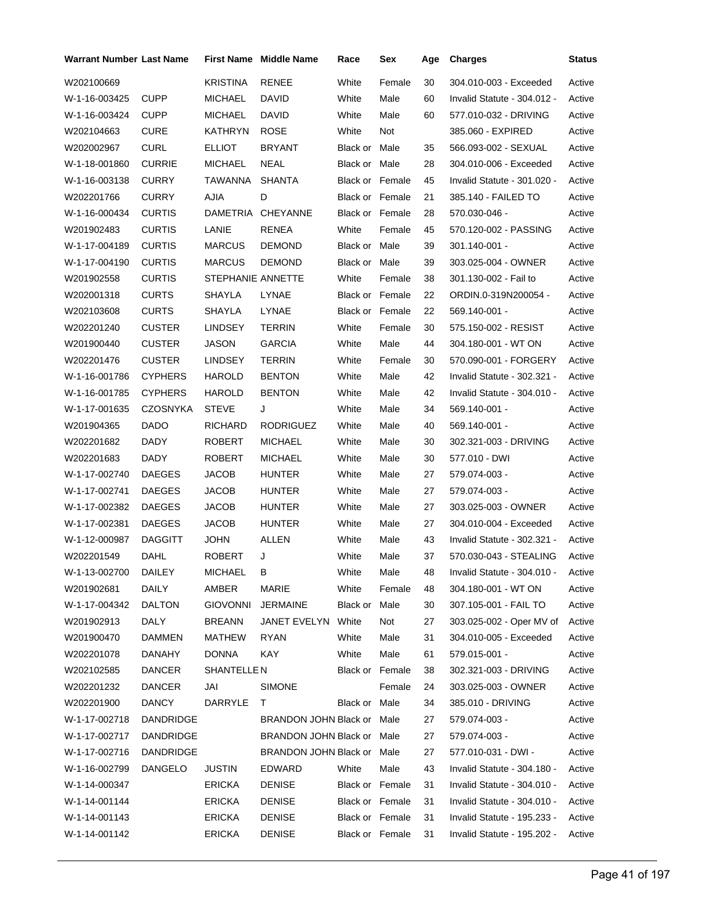| <b>Warrant Number Last Name</b> |                |                   | <b>First Name Middle Name</b> | Race                   | Sex    | Age | <b>Charges</b>              | <b>Status</b> |
|---------------------------------|----------------|-------------------|-------------------------------|------------------------|--------|-----|-----------------------------|---------------|
| W202100669                      |                | <b>KRISTINA</b>   | <b>RENEE</b>                  | White                  | Female | 30  | 304.010-003 - Exceeded      | Active        |
| W-1-16-003425                   | <b>CUPP</b>    | <b>MICHAEL</b>    | <b>DAVID</b>                  | White                  | Male   | 60  | Invalid Statute - 304.012 - | Active        |
| W-1-16-003424                   | CUPP           | <b>MICHAEL</b>    | DAVID                         | White                  | Male   | 60  | 577.010-032 - DRIVING       | Active        |
| W202104663                      | CURE           | KATHRYN           | <b>ROSE</b>                   | White                  | Not    |     | 385.060 - EXPIRED           | Active        |
| W202002967                      | <b>CURL</b>    | <b>ELLIOT</b>     | <b>BRYANT</b>                 | Black or Male          |        | 35  | 566.093-002 - SEXUAL        | Active        |
| W-1-18-001860                   | <b>CURRIE</b>  | <b>MICHAEL</b>    | NEAL                          | Black or Male          |        | 28  | 304.010-006 - Exceeded      | Active        |
| W-1-16-003138                   | <b>CURRY</b>   | TAWANNA           | <b>SHANTA</b>                 | Black or Female        |        | 45  | Invalid Statute - 301.020 - | Active        |
| W202201766                      | <b>CURRY</b>   | <b>AJIA</b>       | D                             | <b>Black or Female</b> |        | 21  | 385.140 - FAILED TO         | Active        |
| W-1-16-000434                   | <b>CURTIS</b>  | DAMETRIA          | <b>CHEYANNE</b>               | Black or Female        |        | 28  | 570.030-046 -               | Active        |
| W201902483                      | <b>CURTIS</b>  | LANIE             | RENEA                         | White                  | Female | 45  | 570.120-002 - PASSING       | Active        |
| W-1-17-004189                   | <b>CURTIS</b>  | <b>MARCUS</b>     | <b>DEMOND</b>                 | Black or Male          |        | 39  | 301.140-001 -               | Active        |
| W-1-17-004190                   | <b>CURTIS</b>  | <b>MARCUS</b>     | <b>DEMOND</b>                 | Black or Male          |        | 39  | 303.025-004 - OWNER         | Active        |
| W201902558                      | <b>CURTIS</b>  | STEPHANIE ANNETTE |                               | White                  | Female | 38  | 301.130-002 - Fail to       | Active        |
| W202001318                      | <b>CURTS</b>   | SHAYLA            | <b>LYNAE</b>                  | <b>Black or Female</b> |        | 22  | ORDIN.0-319N200054 -        | Active        |
| W202103608                      | <b>CURTS</b>   | SHAYLA            | LYNAE                         | Black or Female        |        | 22  | 569.140-001 -               | Active        |
| W202201240                      | <b>CUSTER</b>  | LINDSEY           | <b>TERRIN</b>                 | White                  | Female | 30  | 575.150-002 - RESIST        | Active        |
| W201900440                      | <b>CUSTER</b>  | JASON             | <b>GARCIA</b>                 | White                  | Male   | 44  | 304.180-001 - WT ON         | Active        |
| W202201476                      | <b>CUSTER</b>  | <b>LINDSEY</b>    | <b>TERRIN</b>                 | White                  | Female | 30  | 570.090-001 - FORGERY       | Active        |
| W-1-16-001786                   | <b>CYPHERS</b> | <b>HAROLD</b>     | <b>BENTON</b>                 | White                  | Male   | 42  | Invalid Statute - 302.321 - | Active        |
| W-1-16-001785                   | <b>CYPHERS</b> | HAROLD            | <b>BENTON</b>                 | White                  | Male   | 42  | Invalid Statute - 304.010 - | Active        |
| W-1-17-001635                   | CZOSNYKA       | <b>STEVE</b>      | J                             | White                  | Male   | 34  | 569.140-001 -               | Active        |
| W201904365                      | DADO           | <b>RICHARD</b>    | <b>RODRIGUEZ</b>              | White                  | Male   | 40  | 569.140-001 -               | Active        |
| W202201682                      | <b>DADY</b>    | ROBERT            | <b>MICHAEL</b>                | White                  | Male   | 30  | 302.321-003 - DRIVING       | Active        |
| W202201683                      | DADY           | <b>ROBERT</b>     | <b>MICHAEL</b>                | White                  | Male   | 30  | 577.010 - DWI               | Active        |
| W-1-17-002740                   | <b>DAEGES</b>  | JACOB             | <b>HUNTER</b>                 | White                  | Male   | 27  | 579.074-003 -               | Active        |
| W-1-17-002741                   | <b>DAEGES</b>  | JACOB             | <b>HUNTER</b>                 | White                  | Male   | 27  | 579.074-003 -               | Active        |
| W-1-17-002382                   | <b>DAEGES</b>  | JACOB             | <b>HUNTER</b>                 | White                  | Male   | 27  | 303.025-003 - OWNER         | Active        |
| W-1-17-002381                   | <b>DAEGES</b>  | <b>JACOB</b>      | <b>HUNTER</b>                 | White                  | Male   | 27  | 304.010-004 - Exceeded      | Active        |
| W-1-12-000987                   | <b>DAGGITT</b> | <b>JOHN</b>       | <b>ALLEN</b>                  | White                  | Male   | 43  | Invalid Statute - 302.321 - | Active        |
| W202201549                      | DAHL           | <b>ROBERT</b>     | J                             | White                  | Male   | 37  | 570.030-043 - STEALING      | Active        |
| W-1-13-002700                   | DAILEY         | <b>MICHAEL</b>    | в                             | White                  | Male   | 48  | Invalid Statute - 304.010 - | Active        |
| W201902681                      | DAILY          | AMBER             | MARIE                         | White                  | Female | 48  | 304.180-001 WT ON           | Active        |
| W-1-17-004342                   | <b>DALTON</b>  | <b>GIOVONNI</b>   | JERMAINE                      | Black or Male          |        | 30  | 307.105-001 - FAIL TO       | Active        |
| W201902913                      | DALY           | <b>BREANN</b>     | JANET EVELYN White            |                        | Not    | 27  | 303.025-002 - Oper MV of    | Active        |
| W201900470                      | <b>DAMMEN</b>  | MATHEW            | <b>RYAN</b>                   | White                  | Male   | 31  | 304.010-005 - Exceeded      | Active        |
| W202201078                      | DANAHY         | <b>DONNA</b>      | <b>KAY</b>                    | White                  | Male   | 61  | 579.015-001 -               | Active        |
| W202102585                      | <b>DANCER</b>  | SHANTELLE N       |                               | <b>Black or Female</b> |        | 38  | 302.321-003 - DRIVING       | Active        |
| W202201232                      | DANCER         | JAI               | <b>SIMONE</b>                 |                        | Female | 24  | 303.025-003 - OWNER         | Active        |
| W202201900                      | <b>DANCY</b>   | DARRYLE           | T.                            | Black or Male          |        | 34  | 385.010 - DRIVING           | Active        |
| W-1-17-002718                   | DANDRIDGE      |                   | BRANDON JOHN Black or Male    |                        |        | 27  | 579.074-003 -               | Active        |
| W-1-17-002717                   | DANDRIDGE      |                   | BRANDON JOHN Black or Male    |                        |        | 27  | 579.074-003 -               | Active        |
| W-1-17-002716                   | DANDRIDGE      |                   | BRANDON JOHN Black or Male    |                        |        | 27  | 577.010-031 - DWI -         | Active        |
| W-1-16-002799                   | DANGELO        | <b>JUSTIN</b>     | EDWARD                        | White                  | Male   | 43  | Invalid Statute - 304.180 - | Active        |
| W-1-14-000347                   |                | <b>ERICKA</b>     | <b>DENISE</b>                 | <b>Black or Female</b> |        | 31  | Invalid Statute - 304.010 - | Active        |
| W-1-14-001144                   |                | <b>ERICKA</b>     | <b>DENISE</b>                 | Black or Female        |        | 31  | Invalid Statute - 304.010 - | Active        |
| W-1-14-001143                   |                | <b>ERICKA</b>     | <b>DENISE</b>                 | Black or Female        |        | 31  | Invalid Statute - 195.233 - | Active        |
| W-1-14-001142                   |                | <b>ERICKA</b>     | <b>DENISE</b>                 | Black or Female        |        | 31  | Invalid Statute - 195.202 - | Active        |
|                                 |                |                   |                               |                        |        |     |                             |               |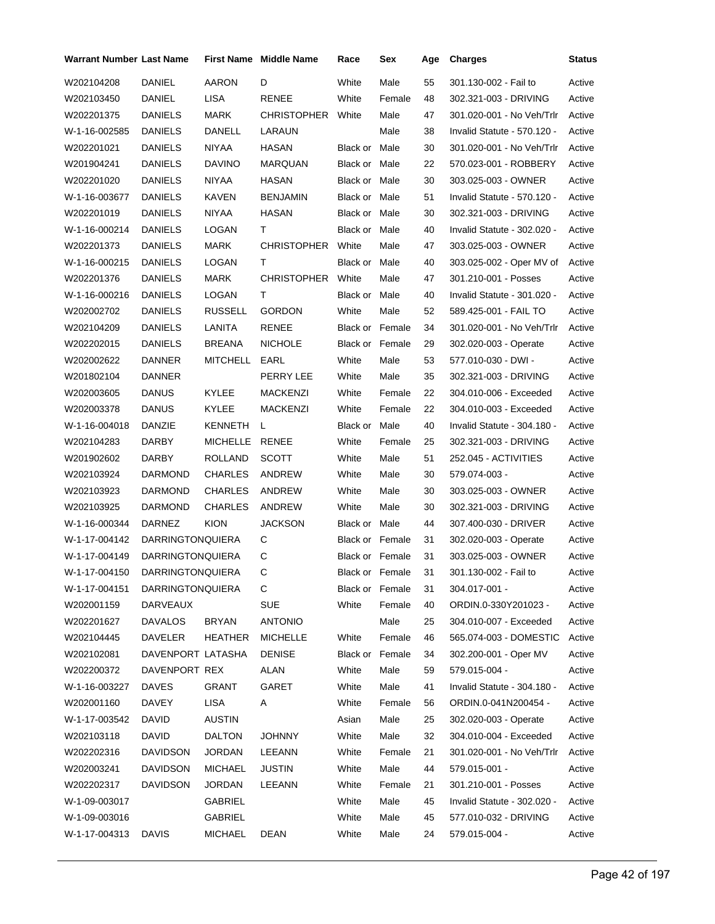| Warrant Number Last Name       |                         |                | <b>First Name</b> Middle Name | Race            | Sex             | Age | <b>Charges</b>              | <b>Status</b> |
|--------------------------------|-------------------------|----------------|-------------------------------|-----------------|-----------------|-----|-----------------------------|---------------|
| W202104208                     | <b>DANIEL</b>           | AARON          | D                             | White           | Male            | 55  | 301.130-002 - Fail to       | Active        |
| W202103450                     | DANIEL                  | <b>LISA</b>    | RENEE                         | White           | Female          | 48  | 302.321-003 - DRIVING       | Active        |
| W202201375                     | DANIELS                 | MARK           | CHRISTOPHER White             |                 | Male            | 47  | 301.020-001 - No Veh/Trlr   | Active        |
| W-1-16-002585                  | DANIELS                 | DANELL         | LARAUN                        |                 | Male            | 38  | Invalid Statute - 570.120 - | Active        |
| W202201021                     | DANIELS                 | NIYAA          | HASAN                         | Black or Male   |                 | 30  | 301.020-001 - No Veh/Trlr   | Active        |
| W201904241                     | DANIELS                 | <b>DAVINO</b>  | <b>MARQUAN</b>                | Black or Male   |                 | 22  | 570.023-001 - ROBBERY       | Active        |
| W202201020                     | <b>DANIELS</b>          | NIYAA          | HASAN                         | Black or Male   |                 | 30  | 303.025-003 - OWNER         | Active        |
| W-1-16-003677                  | <b>DANIELS</b>          | KAVEN          | <b>BENJAMIN</b>               | Black or Male   |                 | 51  | Invalid Statute - 570.120 - | Active        |
| W202201019                     | <b>DANIELS</b>          | NIYAA          | <b>HASAN</b>                  | Black or Male   |                 | 30  | 302.321-003 - DRIVING       | Active        |
| W-1-16-000214                  | <b>DANIELS</b>          | LOGAN          | Τ                             | Black or Male   |                 | 40  | Invalid Statute - 302.020 - | Active        |
| W202201373                     | <b>DANIELS</b>          | MARK           | CHRISTOPHER White             |                 | Male            | 47  | 303.025-003 - OWNER         | Active        |
| W-1-16-000215                  | <b>DANIELS</b>          | LOGAN          | т                             | Black or Male   |                 | 40  | 303.025-002 - Oper MV of    | Active        |
| W202201376                     | <b>DANIELS</b>          | MARK           | CHRISTOPHER White             |                 | Male            | 47  | 301.210-001 - Posses        | Active        |
| W-1-16-000216                  | <b>DANIELS</b>          | LOGAN          | Τ                             | Black or Male   |                 | 40  | Invalid Statute - 301.020 - | Active        |
| W202002702                     | DANIELS                 | RUSSELL        | <b>GORDON</b>                 | White           | Male            | 52  | 589.425-001 - FAIL TO       | Active        |
| W202104209                     | <b>DANIELS</b>          | LANITA         | <b>RENEE</b>                  | Black or Female |                 | 34  | 301.020-001 - No Veh/Trlr   | Active        |
| W202202015                     | DANIELS                 | <b>BREANA</b>  | <b>NICHOLE</b>                | Black or Female |                 | 29  | 302.020-003 - Operate       | Active        |
| W202002622                     | DANNER                  | MITCHELL       | EARL                          | White           | Male            | 53  | 577.010-030 - DWI -         | Active        |
| W201802104                     | <b>DANNER</b>           |                | PERRY LEE                     | White           | Male            | 35  | 302.321-003 - DRIVING       | Active        |
| W202003605                     | <b>DANUS</b>            | KYLEE          | MACKENZI                      | White           | Female          | 22  | 304.010-006 - Exceeded      | Active        |
| W202003378                     | <b>DANUS</b>            | KYLEE          | MACKENZI                      | White           | Female          | 22  | 304.010-003 - Exceeded      | Active        |
| W-1-16-004018                  | DANZIE                  | KENNETH        | L                             | Black or Male   |                 | 40  | Invalid Statute - 304.180 - | Active        |
| W202104283                     | DARBY                   | MICHELLE RENEE |                               | White           | Female          | 25  | 302.321-003 - DRIVING       | Active        |
| W201902602                     | DARBY                   | ROLLAND        | <b>SCOTT</b>                  | White           | Male            | 51  | 252.045 - ACTIVITIES        | Active        |
| W202103924                     | <b>DARMOND</b>          | <b>CHARLES</b> | ANDREW                        | White           | Male            | 30  | 579.074-003 -               | Active        |
| W202103923                     | <b>DARMOND</b>          | <b>CHARLES</b> | ANDREW                        | White           | Male            | 30  | 303.025-003 - OWNER         | Active        |
| W202103925                     | DARMOND                 | <b>CHARLES</b> | ANDREW                        | White           | Male            | 30  | 302.321-003 - DRIVING       | Active        |
| W-1-16-000344                  | DARNEZ                  | <b>KION</b>    | <b>JACKSON</b>                | Black or Male   |                 | 44  | 307.400-030 - DRIVER        | Active        |
| W-1-17-004142                  | <b>DARRINGTONQUIERA</b> |                | С                             | Black or Female |                 | 31  | 302.020-003 - Operate       | Active        |
| W-1-17-004149                  | <b>DARRINGTONQUIERA</b> |                | С                             | Black or Female |                 | 31  | 303.025-003 - OWNER         | Active        |
| W-1-17-004150 DARRINGTONQUIERA |                         |                | C.                            |                 | Black or Female | 31  | 301.130-002 - Fail to       | Active        |
| W-1-17-004151                  | DARRINGTONQUIERA        |                | С                             | Black or Female |                 | 31  | 304.017-001 -               | Active        |
| W202001159                     | DARVEAUX                |                | <b>SUE</b>                    | White           | Female          | 40  | ORDIN.0-330Y201023 -        | Active        |
| W202201627                     | <b>DAVALOS</b>          | <b>BRYAN</b>   | <b>ANTONIO</b>                |                 | Male            | 25  | 304.010-007 - Exceeded      | Active        |
| W202104445                     | DAVELER                 | <b>HEATHER</b> | <b>MICHELLE</b>               | White           | Female          | 46  | 565.074-003 - DOMESTIC      | Active        |
| W202102081                     | DAVENPORT LATASHA       |                | <b>DENISE</b>                 | Black or Female |                 | 34  | 302.200-001 - Oper MV       | Active        |
| W202200372                     | DAVENPORT REX           |                | ALAN                          | White           | Male            | 59  | 579.015-004 -               | Active        |
| W-1-16-003227                  | <b>DAVES</b>            | GRANT          | GARET                         | White           | Male            | 41  | Invalid Statute - 304.180 - | Active        |
| W202001160                     | DAVEY                   | <b>LISA</b>    | A                             | White           | Female          | 56  | ORDIN.0-041N200454 -        | Active        |
| W-1-17-003542                  | DAVID                   | <b>AUSTIN</b>  |                               | Asian           | Male            | 25  | 302.020-003 - Operate       | Active        |
| W202103118                     | DAVID.                  | <b>DALTON</b>  | <b>JOHNNY</b>                 | White           | Male            | 32  | 304.010-004 - Exceeded      | Active        |
| W202202316                     | DAVIDSON                | JORDAN         | LEEANN                        | White           | Female          | 21  | 301.020-001 - No Veh/Trlr   | Active        |
| W202003241                     | DAVIDSON                | MICHAEL        | JUSTIN                        | White           | Male            | 44  | 579.015-001 -               | Active        |
| W202202317                     | DAVIDSON                | JORDAN         | LEEANN                        | White           | Female          | 21  | 301.210-001 - Posses        | Active        |
| W-1-09-003017                  |                         | GABRIEL        |                               | White           | Male            | 45  | Invalid Statute - 302.020 - | Active        |
| W-1-09-003016                  |                         | GABRIEL        |                               | White           | Male            | 45  | 577.010-032 - DRIVING       | Active        |
| W-1-17-004313 DAVIS            |                         | MICHAEL        | DEAN                          | White           | Male            | 24  | 579.015-004 -               | Active        |
|                                |                         |                |                               |                 |                 |     |                             |               |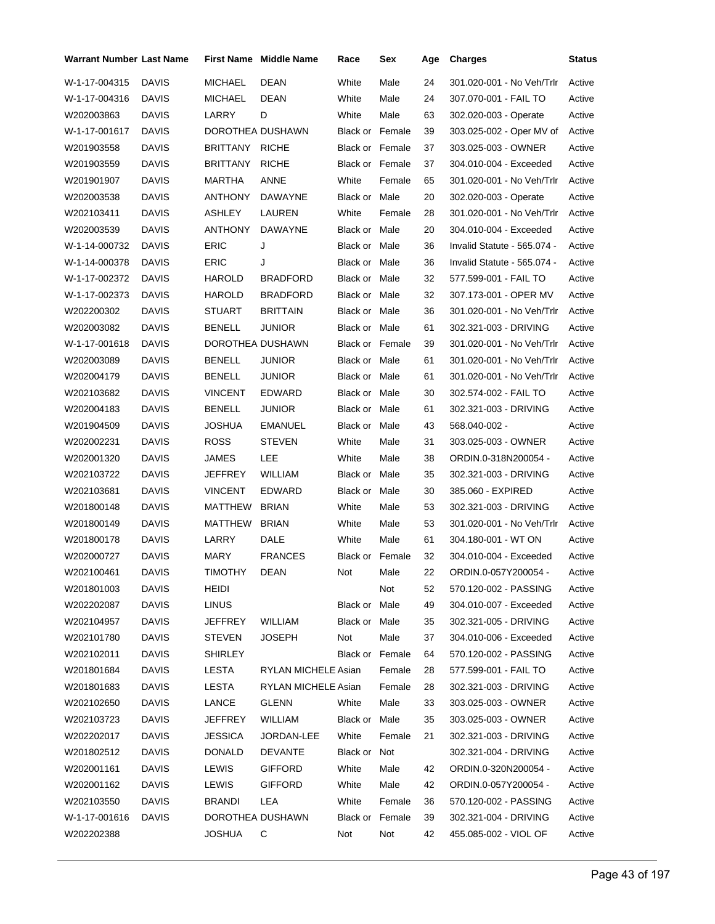| <b>Warrant Number Last Name</b> |              |                  | First Name Middle Name | Race                   | Sex    | Age | <b>Charges</b>              | <b>Status</b> |
|---------------------------------|--------------|------------------|------------------------|------------------------|--------|-----|-----------------------------|---------------|
| W-1-17-004315                   | <b>DAVIS</b> | <b>MICHAEL</b>   | <b>DEAN</b>            | White                  | Male   | 24  | 301.020-001 - No Veh/Trlr   | Active        |
| W-1-17-004316                   | <b>DAVIS</b> | MICHAEL          | DEAN                   | White                  | Male   | 24  | 307.070-001 - FAIL TO       | Active        |
| W202003863                      | DAVIS        | LARRY            | D                      | White                  | Male   | 63  | 302.020-003 - Operate       | Active        |
| W-1-17-001617                   | <b>DAVIS</b> | DOROTHEA DUSHAWN |                        | <b>Black or Female</b> |        | 39  | 303.025-002 - Oper MV of    | Active        |
| W201903558                      | DAVIS        | BRITTANY         | <b>RICHE</b>           | <b>Black or Female</b> |        | 37  | 303.025-003 - OWNER         | Active        |
| W201903559                      | DAVIS        | <b>BRITTANY</b>  | <b>RICHE</b>           | <b>Black or Female</b> |        | 37  | 304.010-004 - Exceeded      | Active        |
| W201901907                      | <b>DAVIS</b> | MARTHA           | ANNE                   | White                  | Female | 65  | 301.020-001 - No Veh/Trlr   | Active        |
| W202003538                      | DAVIS        | ANTHONY          | DAWAYNE                | Black or Male          |        | 20  | 302.020-003 - Operate       | Active        |
| W202103411                      | DAVIS        | ASHLEY           | LAUREN                 | White                  | Female | 28  | 301.020-001 - No Veh/Trlr   | Active        |
| W202003539                      | <b>DAVIS</b> | ANTHONY          | DAWAYNE                | Black or Male          |        | 20  | 304.010-004 - Exceeded      | Active        |
| W-1-14-000732                   | <b>DAVIS</b> | <b>ERIC</b>      | J                      | Black or Male          |        | 36  | Invalid Statute - 565.074 - | Active        |
| W-1-14-000378                   | DAVIS        | ERIC             | J                      | Black or Male          |        | 36  | Invalid Statute - 565.074 - | Active        |
| W-1-17-002372                   | <b>DAVIS</b> | HAROLD           | <b>BRADFORD</b>        | Black or Male          |        | 32  | 577.599-001 - FAIL TO       | Active        |
| W-1-17-002373                   | <b>DAVIS</b> | HAROLD           | <b>BRADFORD</b>        | Black or Male          |        | 32  | 307.173-001 - OPER MV       | Active        |
| W202200302                      | DAVIS        | STUART           | <b>BRITTAIN</b>        | Black or Male          |        | 36  | 301.020-001 - No Veh/Trlr   | Active        |
| W202003082                      | <b>DAVIS</b> | BENELL           | JUNIOR                 | Black or Male          |        | 61  | 302.321-003 - DRIVING       | Active        |
| W-1-17-001618                   | <b>DAVIS</b> | DOROTHEA DUSHAWN |                        | <b>Black or Female</b> |        | 39  | 301.020-001 - No Veh/Trlr   | Active        |
| W202003089                      | DAVIS        | BENELL           | <b>JUNIOR</b>          | Black or Male          |        | 61  | 301.020-001 - No Veh/Trlr   | Active        |
| W202004179                      | <b>DAVIS</b> | BENELL           | <b>JUNIOR</b>          | Black or Male          |        | 61  | 301.020-001 - No Veh/Trlr   | Active        |
| W202103682                      | <b>DAVIS</b> | <b>VINCENT</b>   | <b>EDWARD</b>          | Black or Male          |        | 30  | 302.574-002 - FAIL TO       | Active        |
| W202004183                      | DAVIS        | BENELL           | <b>JUNIOR</b>          | Black or Male          |        | 61  | 302.321-003 - DRIVING       | Active        |
| W201904509                      | <b>DAVIS</b> | JOSHUA           | <b>EMANUEL</b>         | Black or Male          |        | 43  | 568.040-002 -               | Active        |
| W202002231                      | <b>DAVIS</b> | <b>ROSS</b>      | <b>STEVEN</b>          | White                  | Male   | 31  | 303.025-003 - OWNER         | Active        |
| W202001320                      | <b>DAVIS</b> | JAMES            | LEE                    | White                  | Male   | 38  | ORDIN.0-318N200054 -        | Active        |
| W202103722                      | <b>DAVIS</b> | JEFFREY          | WILLIAM                | Black or Male          |        | 35  | 302.321-003 - DRIVING       | Active        |
| W202103681                      | <b>DAVIS</b> | <b>VINCENT</b>   | <b>EDWARD</b>          | Black or Male          |        | 30  | 385.060 - EXPIRED           | Active        |
| W201800148                      | DAVIS        | MATTHEW          | <b>BRIAN</b>           | White                  | Male   | 53  | 302.321-003 - DRIVING       | Active        |
| W201800149                      | <b>DAVIS</b> | MATTHEW          | <b>BRIAN</b>           | White                  | Male   | 53  | 301.020-001 - No Veh/Trlr   | Active        |
| W201800178                      | <b>DAVIS</b> | LARRY            | DALE                   | White                  | Male   | 61  | 304.180-001 - WT ON         | Active        |
| W202000727                      | <b>DAVIS</b> | MARY             | <b>FRANCES</b>         | Black or Female        |        | 32  | 304.010-004 - Exceeded      | Active        |
| W202100461                      | <b>DAVIS</b> | TIMOTHY          | DEAN                   | Not Male               |        | 22  | ORDIN.0-057Y200054 -        | Active        |
| W201801003                      | DAVIS        | HEIDI            |                        |                        | Not    | 52  | 570.120-002 - PASSING       | Active        |
| W202202087                      | <b>DAVIS</b> | <b>LINUS</b>     |                        | Black or Male          |        | 49  | 304.010-007 - Exceeded      | Active        |
| W202104957                      | DAVIS        | JEFFREY          | WILLIAM                | Black or Male          |        | 35  | 302.321-005 - DRIVING       | Active        |
| W202101780                      | <b>DAVIS</b> | <b>STEVEN</b>    | <b>JOSEPH</b>          | Not                    | Male   | 37  | 304.010-006 - Exceeded      | Active        |
| W202102011                      | DAVIS        | SHIRLEY          |                        | Black or Female        |        | 64  | 570.120-002 - PASSING       | Active        |
| W201801684                      | <b>DAVIS</b> | LESTA            | RYLAN MICHELE Asian    |                        | Female | 28  | 577.599-001 - FAIL TO       | Active        |
| W201801683                      | <b>DAVIS</b> | <b>LESTA</b>     | RYLAN MICHELE Asian    |                        | Female | 28  | 302.321-003 - DRIVING       | Active        |
| W202102650                      | DAVIS        | LANCE            | GLENN                  | White                  | Male   | 33  | 303.025-003 - OWNER         | Active        |
| W202103723                      | DAVIS        | JEFFREY          | WILLIAM                | Black or Male          |        | 35  | 303.025-003 - OWNER         | Active        |
| W202202017                      | <b>DAVIS</b> | JESSICA          | JORDAN-LEE             | White                  | Female | 21  | 302.321-003 - DRIVING       | Active        |
| W201802512                      | DAVIS        | DONALD           | <b>DEVANTE</b>         | Black or Not           |        |     | 302.321-004 - DRIVING       | Active        |
| W202001161                      | <b>DAVIS</b> | <b>LEWIS</b>     | <b>GIFFORD</b>         | White                  | Male   | 42  | ORDIN.0-320N200054 -        | Active        |
| W202001162                      | <b>DAVIS</b> | <b>LEWIS</b>     | <b>GIFFORD</b>         | White                  | Male   | 42  | ORDIN.0-057Y200054 -        | Active        |
| W202103550                      | <b>DAVIS</b> | BRANDI           | LEA                    | White                  | Female | 36  | 570.120-002 - PASSING       | Active        |
| W-1-17-001616                   | DAVIS        | DOROTHEA DUSHAWN |                        | Black or Female        |        | 39  | 302.321-004 - DRIVING       | Active        |
| W202202388                      |              | <b>JOSHUA</b>    | С                      | Not                    | Not    | 42  | 455.085-002 - VIOL OF       | Active        |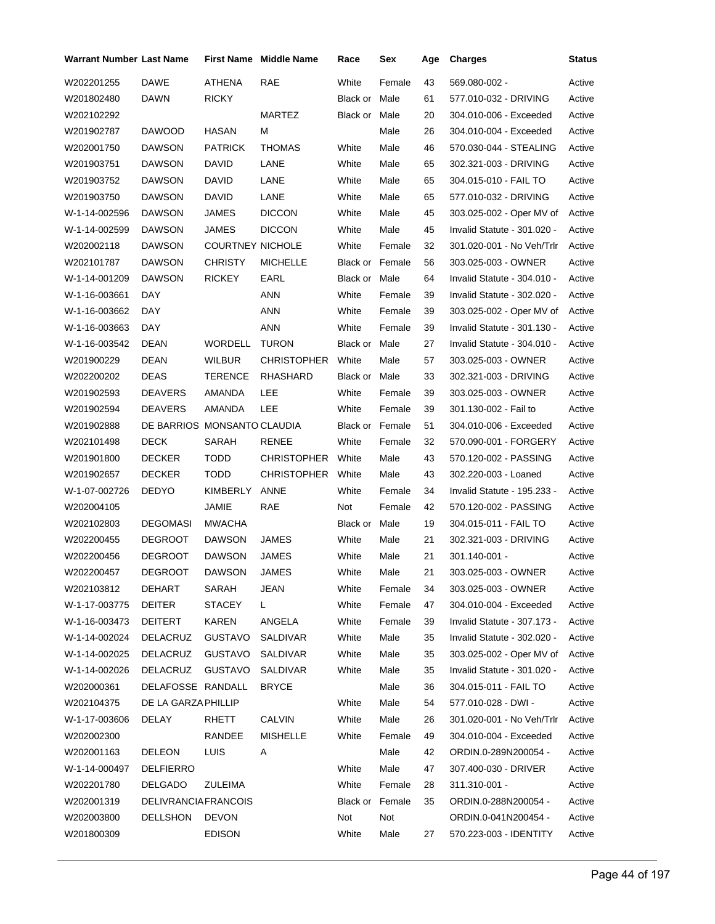| <b>Warrant Number Last Name</b> |                             |                         | First Name Middle Name | Race                   | Sex    | Age | <b>Charges</b>              | <b>Status</b> |
|---------------------------------|-----------------------------|-------------------------|------------------------|------------------------|--------|-----|-----------------------------|---------------|
| W202201255                      | <b>DAWE</b>                 | ATHENA                  | <b>RAE</b>             | White                  | Female | 43  | 569.080-002 -               | Active        |
| W201802480                      | DAWN                        | <b>RICKY</b>            |                        | Black or Male          |        | 61  | 577.010-032 - DRIVING       | Active        |
| W202102292                      |                             |                         | <b>MARTEZ</b>          | Black or Male          |        | 20  | 304.010-006 - Exceeded      | Active        |
| W201902787                      | <b>DAWOOD</b>               | <b>HASAN</b>            | м                      |                        | Male   | 26  | 304.010-004 - Exceeded      | Active        |
| W202001750                      | DAWSON                      | PATRICK                 | <b>THOMAS</b>          | White                  | Male   | 46  | 570.030-044 - STEALING      | Active        |
| W201903751                      | DAWSON                      | David                   | LANE                   | White                  | Male   | 65  | 302.321-003 - DRIVING       | Active        |
| W201903752                      | DAWSON                      | David                   | LANE                   | White                  | Male   | 65  | 304.015-010 - FAIL TO       | Active        |
| W201903750                      | DAWSON                      | DAVID                   | LANE                   | White                  | Male   | 65  | 577.010-032 - DRIVING       | Active        |
| W-1-14-002596                   | DAWSON                      | JAMES                   | <b>DICCON</b>          | White                  | Male   | 45  | 303.025-002 - Oper MV of    | Active        |
| W-1-14-002599                   | DAWSON                      | JAMES                   | <b>DICCON</b>          | White                  | Male   | 45  | Invalid Statute - 301.020 - | Active        |
| W202002118                      | DAWSON                      | <b>COURTNEY NICHOLE</b> |                        | White                  | Female | 32  | 301.020-001 - No Veh/Trlr   | Active        |
| W202101787                      | DAWSON                      | CHRISTY                 | <b>MICHELLE</b>        | <b>Black or Female</b> |        | 56  | 303.025-003 - OWNER         | Active        |
| W-1-14-001209                   | DAWSON                      | RICKEY                  | EARL                   | Black or Male          |        | 64  | Invalid Statute - 304.010 - | Active        |
| W-1-16-003661                   | DAY                         |                         | ANN                    | White                  | Female | 39  | Invalid Statute - 302.020 - | Active        |
| W-1-16-003662                   | DAY                         |                         | ANN                    | White                  | Female | 39  | 303.025-002 - Oper MV of    | Active        |
| W-1-16-003663                   | DAY                         |                         | <b>ANN</b>             | White                  | Female | 39  | Invalid Statute - 301.130 - | Active        |
| W-1-16-003542                   | DEAN                        | <b>WORDELL</b>          | <b>TURON</b>           | Black or Male          |        | 27  | Invalid Statute - 304.010 - | Active        |
| W201900229                      | DEAN                        | <b>WILBUR</b>           | <b>CHRISTOPHER</b>     | White                  | Male   | 57  | 303.025-003 - OWNER         | Active        |
| W202200202                      | <b>DEAS</b>                 | TERENCE                 | <b>RHASHARD</b>        | Black or Male          |        | 33  | 302.321-003 - DRIVING       | Active        |
| W201902593                      | <b>DEAVERS</b>              | AMANDA                  | LEE                    | White                  | Female | 39  | 303.025-003 - OWNER         | Active        |
| W201902594                      | DEAVERS                     | AMANDA                  | LEE                    | White                  | Female | 39  | 301.130-002 - Fail to       | Active        |
| W201902888                      | DE BARRIOS MONSANTO CLAUDIA |                         |                        | Black or Female        |        | 51  | 304.010-006 - Exceeded      | Active        |
| W202101498                      | <b>DECK</b>                 | SARAH                   | RENEE                  | White                  | Female | 32  | 570.090-001 - FORGERY       | Active        |
| W201901800                      | DECKER                      | <b>TODD</b>             | <b>CHRISTOPHER</b>     | White                  | Male   | 43  | 570.120-002 - PASSING       | Active        |
| W201902657                      | <b>DECKER</b>               | TODD                    | CHRISTOPHER            | White                  | Male   | 43  | 302.220-003 - Loaned        | Active        |
| W-1-07-002726                   | DEDYO                       | KIMBERLY                | ANNE                   | White                  | Female | 34  | Invalid Statute - 195.233 - | Active        |
| W202004105                      |                             | JAMIE                   | RAE                    | Not                    | Female | 42  | 570.120-002 - PASSING       | Active        |
| W202102803                      | <b>DEGOMASI</b>             | <b>MWACHA</b>           |                        | Black or Male          |        | 19  | 304.015-011 - FAIL TO       | Active        |
| W202200455                      | <b>DEGROOT</b>              | <b>DAWSON</b>           | JAMES                  | White                  | Male   | 21  | 302.321-003 - DRIVING       | Active        |
| W202200456                      | <b>DEGROOT</b>              | <b>DAWSON</b>           | <b>JAMES</b>           | White                  | Male   | 21  | 301.140-001 -               | Active        |
| W202200457                      | DEGROOT                     | <b>DAWSON</b>           | <b>JAMES</b>           | White                  | Male   | 21  | 303.025-003 - OWNER         | Active        |
| W202103812                      | DEHART                      | SARAH                   | JEAN                   | White                  | Female | 34  | 303.025-003 - OWNER         | Active        |
| W-1-17-003775                   | DEITER                      | <b>STACEY</b>           | L.                     | White                  | Female | 47  | 304.010-004 - Exceeded      | Active        |
| W-1-16-003473                   | DEITERT                     | <b>KAREN</b>            | ANGELA                 | White                  | Female | 39  | Invalid Statute - 307.173 - | Active        |
| W-1-14-002024                   | DELACRUZ                    | <b>GUSTAVO</b>          | SALDIVAR               | White                  | Male   | 35  | Invalid Statute - 302.020 - | Active        |
| W-1-14-002025                   | DELACRUZ                    | <b>GUSTAVO</b>          | SALDIVAR               | White                  | Male   | 35  | 303.025-002 - Oper MV of    | Active        |
| W-1-14-002026                   | DELACRUZ                    | GUSTAVO                 | SALDIVAR               | White                  | Male   | 35  | Invalid Statute - 301.020 - | Active        |
| W202000361                      | DELAFOSSE RANDALL           |                         | <b>BRYCE</b>           |                        | Male   | 36  | 304.015-011 - FAIL TO       | Active        |
| W202104375                      | DE LA GARZA PHILLIP         |                         |                        | White                  | Male   | 54  | 577.010-028 - DWI -         | Active        |
| W-1-17-003606                   | DELAY                       | RHETT                   | <b>CALVIN</b>          | White                  | Male   | 26  | 301.020-001 - No Veh/Trlr   | Active        |
| W202002300                      |                             | RANDEE                  | <b>MISHELLE</b>        | White                  | Female | 49  | 304.010-004 - Exceeded      | Active        |
| W202001163                      | <b>DELEON</b>               | LUIS                    | A                      |                        | Male   | 42  | ORDIN.0-289N200054 -        | Active        |
| W-1-14-000497                   | <b>DELFIERRO</b>            |                         |                        | White                  | Male   | 47  | 307.400-030 - DRIVER        | Active        |
| W202201780                      | DELGADO                     | ZULEIMA                 |                        | White                  | Female | 28  | 311.310-001 -               | Active        |
| W202001319                      | <b>DELIVRANCIAFRANCOIS</b>  |                         |                        | Black or Female        |        | 35  | ORDIN.0-288N200054 -        | Active        |
| W202003800                      | DELLSHON                    | <b>DEVON</b>            |                        | Not                    | Not    |     | ORDIN.0-041N200454 -        | Active        |
| W201800309                      |                             | <b>EDISON</b>           |                        | White                  | Male   | 27  | 570.223-003 - IDENTITY      | Active        |
|                                 |                             |                         |                        |                        |        |     |                             |               |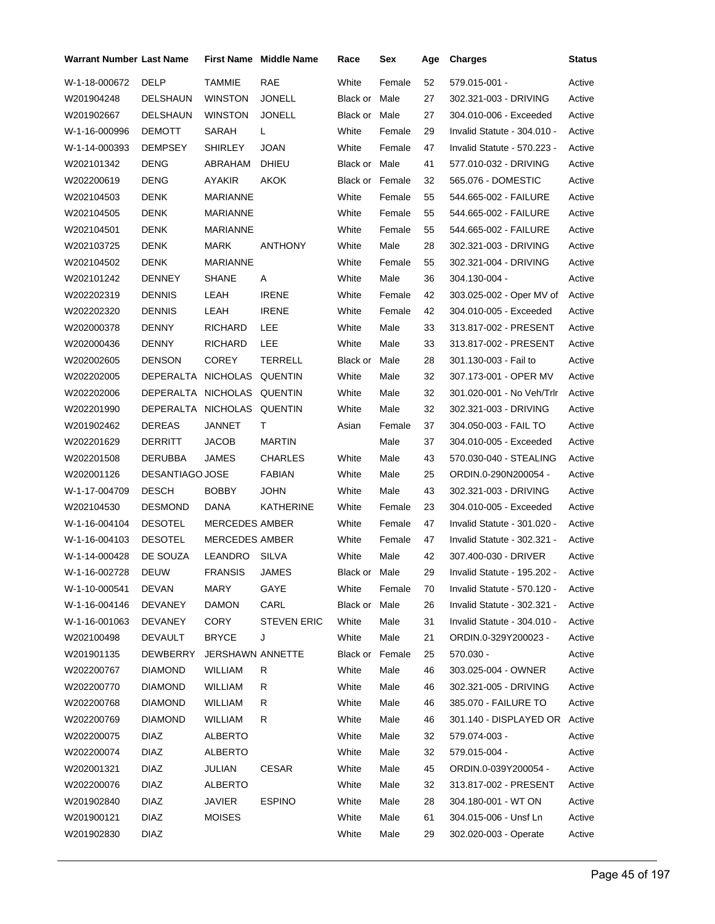| <b>Warrant Number Last Name</b> |                            |                         | <b>First Name Middle Name</b> | Race                   | Sex    | Age | <b>Charges</b>                | <b>Status</b> |
|---------------------------------|----------------------------|-------------------------|-------------------------------|------------------------|--------|-----|-------------------------------|---------------|
| W-1-18-000672                   | <b>DELP</b>                | <b>TAMMIE</b>           | RAE                           | White                  | Female | 52  | 579.015-001 -                 | Active        |
| W201904248                      | DELSHAUN                   | <b>WINSTON</b>          | <b>JONELL</b>                 | Black or Male          |        | 27  | 302.321-003 - DRIVING         | Active        |
| W201902667                      | DELSHAUN                   | WINSTON                 | JONELL                        | Black or Male          |        | 27  | 304.010-006 - Exceeded        | Active        |
| W-1-16-000996                   | <b>DEMOTT</b>              | SARAH                   | L                             | White                  | Female | 29  | Invalid Statute - 304.010 -   | Active        |
| W-1-14-000393                   | <b>DEMPSEY</b>             | SHIRLEY                 | JOAN                          | White                  | Female | 47  | Invalid Statute - 570.223 -   | Active        |
| W202101342                      | DENG                       | ABRAHAM                 | DHIEU                         | Black or Male          |        | 41  | 577.010-032 - DRIVING         | Active        |
| W202200619                      | <b>DENG</b>                | AYAKIR                  | AKOK                          | <b>Black or Female</b> |        | 32  | 565.076 - DOMESTIC            | Active        |
| W202104503                      | <b>DENK</b>                | <b>MARIANNE</b>         |                               | White                  | Female | 55  | 544.665-002 - FAILURE         | Active        |
| W202104505                      | <b>DENK</b>                | MARIANNE                |                               | White                  | Female | 55  | 544.665-002 - FAILURE         | Active        |
| W202104501                      | <b>DENK</b>                | MARIANNE                |                               | White                  | Female | 55  | 544.665-002 - FAILURE         | Active        |
| W202103725                      | <b>DENK</b>                | MARK                    | <b>ANTHONY</b>                | White                  | Male   | 28  | 302.321-003 - DRIVING         | Active        |
| W202104502                      | <b>DENK</b>                | MARIANNE                |                               | White                  | Female | 55  | 302.321-004 - DRIVING         | Active        |
| W202101242                      | <b>DENNEY</b>              | <b>SHANE</b>            | Α                             | White                  | Male   | 36  | 304.130-004 -                 | Active        |
| W202202319                      | <b>DENNIS</b>              | LEAH                    | <b>IRENE</b>                  | White                  | Female | 42  | 303.025-002 - Oper MV of      | Active        |
| W202202320                      | <b>DENNIS</b>              | LEAH                    | <b>IRENE</b>                  | White                  | Female | 42  | 304.010-005 - Exceeded        | Active        |
| W202000378                      | <b>DENNY</b>               | <b>RICHARD</b>          | LEE                           | White                  | Male   | 33  | 313.817-002 - PRESENT         | Active        |
| W202000436                      | <b>DENNY</b>               | <b>RICHARD</b>          | LEE                           | White                  | Male   | 33  | 313.817-002 - PRESENT         | Active        |
| W202002605                      | <b>DENSON</b>              | <b>COREY</b>            | <b>TERRELL</b>                | Black or               | Male   | 28  | 301.130-003 - Fail to         | Active        |
| W202202005                      | DEPERALTA NICHOLAS         |                         | QUENTIN                       | White                  | Male   | 32  | 307.173-001 - OPER MV         | Active        |
| W202202006                      | DEPERALTA NICHOLAS QUENTIN |                         |                               | White                  | Male   | 32  | 301.020-001 - No Veh/Trlr     | Active        |
| W202201990                      | DEPERALTA NICHOLAS QUENTIN |                         |                               | White                  | Male   | 32  | 302.321-003 - DRIVING         | Active        |
| W201902462                      | DEREAS                     | JANNET                  | Τ                             | Asian                  | Female | 37  | 304.050-003 - FAIL TO         | Active        |
| W202201629                      | <b>DERRITT</b>             | <b>JACOB</b>            | <b>MARTIN</b>                 |                        | Male   | 37  | 304.010-005 - Exceeded        | Active        |
| W202201508                      | DERUBBA                    | JAMES                   | <b>CHARLES</b>                | White                  | Male   | 43  | 570.030-040 - STEALING        | Active        |
| W202001126                      | DESANTIAGO JOSE            |                         | <b>FABIAN</b>                 | White                  | Male   | 25  | ORDIN.0-290N200054 -          | Active        |
| W-1-17-004709                   | <b>DESCH</b>               | <b>BOBBY</b>            | <b>JOHN</b>                   | White                  | Male   | 43  | 302.321-003 - DRIVING         | Active        |
| W202104530                      | <b>DESMOND</b>             | DANA                    | KATHERINE                     | White                  | Female | 23  | 304.010-005 - Exceeded        | Active        |
| W-1-16-004104                   | <b>DESOTEL</b>             | MERCEDES AMBER          |                               | White                  | Female | 47  | Invalid Statute - 301.020 -   | Active        |
| W-1-16-004103                   | <b>DESOTEL</b>             | <b>MERCEDES AMBER</b>   |                               | White                  | Female | 47  | Invalid Statute - 302.321 -   | Active        |
| W-1-14-000428                   | DE SOUZA                   | LEANDRO                 | SILVA                         | White                  | Male   | 42  | 307.400-030 - DRIVER          | Active        |
| W-1-16-002728                   | DEUW                       | FRANSIS JAMES           |                               | Black or Male          |        | 29  | Invalid Statute - 195.202 -   | Active        |
| W-1-10-000541                   | <b>DEVAN</b>               | MARY                    | GAYE                          | White                  | Female | 70  | Invalid Statute - 570.120 -   | Active        |
| W-1-16-004146                   | <b>DEVANEY</b>             | <b>DAMON</b>            | CARL                          | Black or Male          |        | 26  | Invalid Statute - 302.321 -   | Active        |
| W-1-16-001063                   | <b>DEVANEY</b>             | <b>CORY</b>             | <b>STEVEN ERIC</b>            | White                  | Male   | 31  | Invalid Statute - 304.010 -   | Active        |
| W202100498                      | <b>DEVAULT</b>             | <b>BRYCE</b>            | J                             | White                  | Male   | 21  | ORDIN.0-329Y200023 -          | Active        |
| W201901135                      | <b>DEWBERRY</b>            | <b>JERSHAWN ANNETTE</b> |                               | Black or Female        |        | 25  | 570.030 -                     | Active        |
| W202200767                      | <b>DIAMOND</b>             | WILLIAM                 | R                             | White                  | Male   | 46  | 303.025-004 - OWNER           | Active        |
| W202200770                      | <b>DIAMOND</b>             | <b>WILLIAM</b>          | R                             | White                  | Male   | 46  | 302.321-005 - DRIVING         | Active        |
| W202200768                      | <b>DIAMOND</b>             | WILLIAM                 | R                             | White                  | Male   | 46  | 385.070 - FAILURE TO          | Active        |
| W202200769                      | <b>DIAMOND</b>             | WILLIAM                 | R                             | White                  | Male   | 46  | 301.140 - DISPLAYED OR Active |               |
| W202200075                      | <b>DIAZ</b>                | <b>ALBERTO</b>          |                               | White                  | Male   | 32  | 579.074-003 -                 | Active        |
| W202200074                      | <b>DIAZ</b>                | ALBERTO                 |                               | White                  | Male   | 32  | 579.015-004 -                 | Active        |
| W202001321                      | DIAZ                       | JULIAN                  | <b>CESAR</b>                  | White                  | Male   | 45  | ORDIN.0-039Y200054 -          | Active        |
| W202200076                      | <b>DIAZ</b>                | <b>ALBERTO</b>          |                               | White                  | Male   | 32  | 313.817-002 - PRESENT         | Active        |
| W201902840                      | <b>DIAZ</b>                | <b>JAVIER</b>           | <b>ESPINO</b>                 | White                  | Male   | 28  | 304.180-001 - WT ON           | Active        |
| W201900121                      | <b>DIAZ</b>                | <b>MOISES</b>           |                               | White                  | Male   | 61  | 304.015-006 - Unsf Ln         | Active        |
| W201902830                      | <b>DIAZ</b>                |                         |                               | White                  | Male   | 29  | 302.020-003 - Operate         | Active        |
|                                 |                            |                         |                               |                        |        |     |                               |               |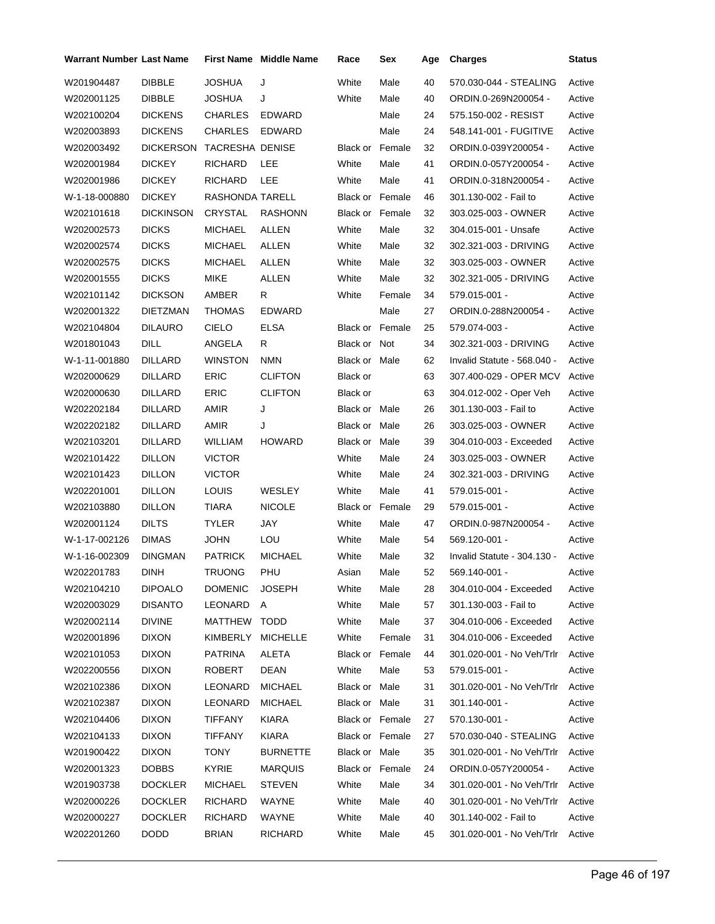| Warrant Number Last Name |                  |                   | <b>First Name</b> Middle Name | Race                   | Sex    | Age | <b>Charges</b>                   | Status |
|--------------------------|------------------|-------------------|-------------------------------|------------------------|--------|-----|----------------------------------|--------|
| W201904487               | <b>DIBBLE</b>    | <b>JOSHUA</b>     | J                             | White                  | Male   | 40  | 570.030-044 - STEALING           | Active |
| W202001125               | <b>DIBBLE</b>    | JOSHUA            | J                             | White                  | Male   | 40  | ORDIN.0-269N200054 -             | Active |
| W202100204               | <b>DICKENS</b>   | <b>CHARLES</b>    | <b>EDWARD</b>                 |                        | Male   | 24  | 575.150-002 - RESIST             | Active |
| W202003893               | <b>DICKENS</b>   | <b>CHARLES</b>    | <b>EDWARD</b>                 |                        | Male   | 24  | 548.141-001 - FUGITIVE           | Active |
| W202003492               | <b>DICKERSON</b> | TACRESHA DENISE   |                               | <b>Black or Female</b> |        | 32  | ORDIN.0-039Y200054 -             | Active |
| W202001984               | <b>DICKEY</b>    | RICHARD           | <b>LEE</b>                    | White                  | Male   | 41  | ORDIN.0-057Y200054 -             | Active |
| W202001986               | <b>DICKEY</b>    | RICHARD           | LEE                           | White                  | Male   | 41  | ORDIN.0-318N200054 -             | Active |
| W-1-18-000880            | <b>DICKEY</b>    | RASHONDA TARELL   |                               | <b>Black or Female</b> |        | 46  | 301.130-002 - Fail to            | Active |
| W202101618               | <b>DICKINSON</b> | CRYSTAL           | <b>RASHONN</b>                | <b>Black or Female</b> |        | 32  | 303.025-003 - OWNER              | Active |
| W202002573               | <b>DICKS</b>     | <b>MICHAEL</b>    | <b>ALLEN</b>                  | White                  | Male   | 32  | 304.015-001 - Unsafe             | Active |
| W202002574               | <b>DICKS</b>     | MICHAEL           | ALLEN                         | White                  | Male   | 32  | 302.321-003 - DRIVING            | Active |
| W202002575               | <b>DICKS</b>     | MICHAEL           | <b>ALLEN</b>                  | White                  | Male   | 32  | 303.025-003 - OWNER              | Active |
| W202001555               | <b>DICKS</b>     | MIKE              | <b>ALLEN</b>                  | White                  | Male   | 32  | 302.321-005 - DRIVING            | Active |
| W202101142               | <b>DICKSON</b>   | AMBER             | R                             | White                  | Female | 34  | 579.015-001 -                    | Active |
| W202001322               | <b>DIETZMAN</b>  | THOMAS            | <b>EDWARD</b>                 |                        | Male   | 27  | ORDIN.0-288N200054 -             | Active |
| W202104804               | <b>DILAURO</b>   | <b>CIELO</b>      | <b>ELSA</b>                   | <b>Black or Female</b> |        | 25  | 579.074-003 -                    | Active |
| W201801043               | <b>DILL</b>      | ANGELA            | R                             | Black or Not           |        | 34  | 302.321-003 - DRIVING            | Active |
| W-1-11-001880            | <b>DILLARD</b>   | WINSTON           | NMN                           | Black or Male          |        | 62  | Invalid Statute - 568.040 -      | Active |
| W202000629               | DILLARD          | <b>ERIC</b>       | <b>CLIFTON</b>                | Black or               |        | 63  | 307.400-029 - OPER MCV           | Active |
| W202000630               | DILLARD          | ERIC              | <b>CLIFTON</b>                | Black or               |        | 63  | 304.012-002 - Oper Veh           | Active |
| W202202184               | DILLARD          | AMIR              | J                             | Black or Male          |        | 26  | 301.130-003 - Fail to            | Active |
| W202202182               | DILLARD          | <b>AMIR</b>       | J                             | Black or Male          |        | 26  | 303.025-003 - OWNER              | Active |
| W202103201               | DILLARD          | <b>WILLIAM</b>    | <b>HOWARD</b>                 | Black or Male          |        | 39  | 304.010-003 - Exceeded           | Active |
| W202101422               | <b>DILLON</b>    | <b>VICTOR</b>     |                               | White                  | Male   | 24  | 303.025-003 - OWNER              | Active |
| W202101423               | <b>DILLON</b>    | <b>VICTOR</b>     |                               | White                  | Male   | 24  | 302.321-003 - DRIVING            | Active |
| W202201001               | <b>DILLON</b>    | <b>LOUIS</b>      | WESLEY                        | White                  | Male   | 41  | 579.015-001 -                    | Active |
| W202103880               | <b>DILLON</b>    | <b>TIARA</b>      | <b>NICOLE</b>                 | <b>Black or Female</b> |        | 29  | 579.015-001 -                    | Active |
| W202001124               | <b>DILTS</b>     | TYLER             | <b>JAY</b>                    | White                  | Male   | 47  | ORDIN.0-987N200054 -             | Active |
| W-1-17-002126            | <b>DIMAS</b>     | <b>JOHN</b>       | LOU                           | White                  | Male   | 54  | 569.120-001 -                    | Active |
| W-1-16-002309            | <b>DINGMAN</b>   | <b>PATRICK</b>    | <b>MICHAEL</b>                | White                  | Male   | 32  | Invalid Statute - 304.130 -      | Active |
| W202201783               | DINH             | TRUONG            | PHU                           | Asian                  | Male   | 52  | 569.140-001 -                    | Active |
| W202104210               | <b>DIPOALO</b>   | DOMENIC           | <b>JOSEPH</b>                 | White                  | Male   | 28  | 304.010-004 - Exceeded           | Active |
| W202003029               | <b>DISANTO</b>   | LEONARD A         |                               | White                  | Male   | 57  | 301.130-003 - Fail to            | Active |
| W202002114               | <b>DIVINE</b>    | MATTHEW TODD      |                               | White                  | Male   | 37  | 304.010-006 - Exceeded           | Active |
| W202001896               | <b>DIXON</b>     | KIMBERLY MICHELLE |                               | White                  | Female | 31  | 304.010-006 - Exceeded           | Active |
| W202101053               | <b>DIXON</b>     | <b>PATRINA</b>    | ALETA                         | Black or Female        |        | 44  | 301.020-001 - No Veh/Trlr Active |        |
| W202200556               | <b>DIXON</b>     | ROBERT            | DEAN                          | White                  | Male   | 53  | 579.015-001 -                    | Active |
| W202102386               | <b>DIXON</b>     | LEONARD           | MICHAEL                       | Black or Male          |        | 31  | 301.020-001 - No Veh/Trlr Active |        |
| W202102387               | <b>DIXON</b>     | LEONARD           | <b>MICHAEL</b>                | Black or Male          |        | 31  | 301.140-001 -                    | Active |
| W202104406               | <b>DIXON</b>     | <b>TIFFANY</b>    | <b>KIARA</b>                  | Black or Female        |        | 27  | 570.130-001 -                    | Active |
| W202104133               | <b>DIXON</b>     | <b>TIFFANY</b>    | KIARA                         | Black or Female        |        | 27  | 570.030-040 - STEALING Active    |        |
| W201900422               | <b>DIXON</b>     | <b>TONY</b>       | <b>BURNETTE</b>               | Black or Male          |        | 35  | 301.020-001 - No Veh/Trlr        | Active |
| W202001323               | <b>DOBBS</b>     | <b>KYRIE</b>      | <b>MARQUIS</b>                | Black or Female        |        | 24  | ORDIN.0-057Y200054 -             | Active |
| W201903738               | <b>DOCKLER</b>   | <b>MICHAEL</b>    | <b>STEVEN</b>                 | White                  | Male   | 34  | 301.020-001 - No Veh/Trlr Active |        |
| W202000226               | <b>DOCKLER</b>   | RICHARD           | WAYNE                         | White                  | Male   | 40  | 301.020-001 - No Veh/Trlr        | Active |
| W202000227               | <b>DOCKLER</b>   | RICHARD           | WAYNE                         | White                  | Male   | 40  | 301.140-002 - Fail to            | Active |
| W202201260               | DODD             | <b>BRIAN</b>      | RICHARD                       | White                  | Male   | 45  | 301.020-001 - No Veh/Trlr Active |        |
|                          |                  |                   |                               |                        |        |     |                                  |        |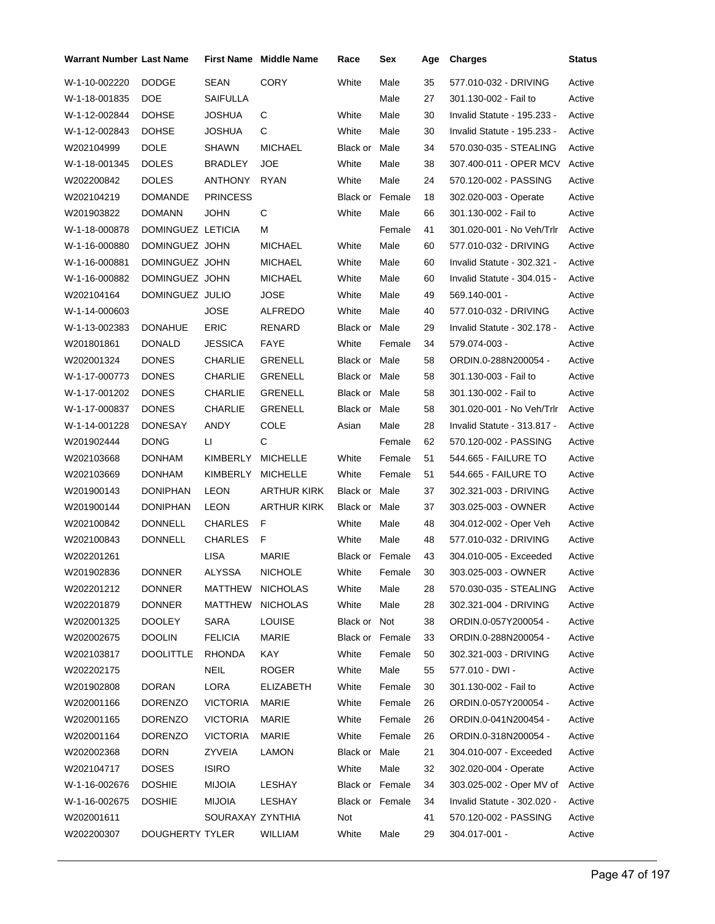| <b>Warrant Number Last Name</b> |                   |                  | <b>First Name</b> Middle Name | Race                   | Sex          | Age | <b>Charges</b>                  | <b>Status</b> |
|---------------------------------|-------------------|------------------|-------------------------------|------------------------|--------------|-----|---------------------------------|---------------|
| W-1-10-002220                   | <b>DODGE</b>      | <b>SEAN</b>      | <b>CORY</b>                   | White                  | Male         | 35  | 577.010-032 - DRIVING           | Active        |
| W-1-18-001835                   | <b>DOE</b>        | SAIFULLA         |                               |                        | Male         | 27  | 301.130-002 - Fail to           | Active        |
| W-1-12-002844                   | <b>DOHSE</b>      | JOSHUA           | С                             | White                  | Male         | 30  | Invalid Statute - 195.233 -     | Active        |
| W-1-12-002843                   | <b>DOHSE</b>      | JOSHUA           | C                             | White                  | Male         | 30  | Invalid Statute - 195.233 -     | Active        |
| W202104999                      | DOLE              | SHAWN            | <b>MICHAEL</b>                | Black or               | Male         | 34  | 570.030-035 - STEALING          | Active        |
| W-1-18-001345                   | <b>DOLES</b>      | <b>BRADLEY</b>   | <b>JOE</b>                    | White                  | Male         | 38  | 307.400-011 - OPER MCV          | Active        |
| W202200842                      | <b>DOLES</b>      | <b>ANTHONY</b>   | <b>RYAN</b>                   | White                  | Male         | 24  | 570.120-002 - PASSING           | Active        |
| W202104219                      | <b>DOMANDE</b>    | <b>PRINCESS</b>  |                               | Black or               | Female       | 18  | 302.020-003 - Operate           | Active        |
| W201903822                      | <b>DOMANN</b>     | <b>JOHN</b>      | C                             | White                  | Male         | 66  | 301.130-002 - Fail to           | Active        |
| W-1-18-000878                   | DOMINGUEZ LETICIA |                  | М                             |                        | Female       | 41  | 301.020-001 - No Veh/Trlr       | Active        |
| W-1-16-000880                   | DOMINGUEZ JOHN    |                  | <b>MICHAEL</b>                | White                  | Male         | 60  | 577.010-032 - DRIVING           | Active        |
| W-1-16-000881                   | DOMINGUEZ JOHN    |                  | <b>MICHAEL</b>                | White                  | Male         | 60  | Invalid Statute - 302.321 -     | Active        |
| W-1-16-000882                   | DOMINGUEZ JOHN    |                  | <b>MICHAEL</b>                | White                  | Male         | 60  | Invalid Statute - 304.015 -     | Active        |
| W202104164                      | DOMINGUEZ JULIO   |                  | JOSE                          | White                  | Male         | 49  | 569.140-001 -                   | Active        |
| W-1-14-000603                   |                   | <b>JOSE</b>      | <b>ALFREDO</b>                | White                  | Male         | 40  | 577.010-032 - DRIVING           | Active        |
| W-1-13-002383                   | <b>DONAHUE</b>    | <b>ERIC</b>      | RENARD                        | Black or Male          |              | 29  | Invalid Statute - 302.178 -     | Active        |
| W201801861                      | <b>DONALD</b>     | <b>JESSICA</b>   | FAYE                          | White                  | Female       | 34  | 579.074-003 -                   | Active        |
| W202001324                      | <b>DONES</b>      | <b>CHARLIE</b>   | <b>GRENELL</b>                | <b>Black or Male</b>   |              | 58  | ORDIN.0-288N200054 -            | Active        |
| W-1-17-000773                   | <b>DONES</b>      | <b>CHARLIE</b>   | <b>GRENELL</b>                | Black or Male          |              | 58  | 301.130-003 - Fail to           | Active        |
| W-1-17-001202                   | <b>DONES</b>      | <b>CHARLIE</b>   | GRENELL                       | Black or Male          |              | 58  | 301.130-002 - Fail to           | Active        |
| W-1-17-000837                   | <b>DONES</b>      | <b>CHARLIE</b>   | <b>GRENELL</b>                | Black or Male          |              | 58  | 301.020-001 - No Veh/Trlr       | Active        |
| W-1-14-001228                   | <b>DONESAY</b>    | ANDY             | <b>COLE</b>                   | Asian                  | Male         | 28  | Invalid Statute - 313.817 -     | Active        |
| W201902444                      | <b>DONG</b>       | П                | С                             |                        | Female       | 62  | 570.120-002 - PASSING           | Active        |
| W202103668                      | <b>DONHAM</b>     | KIMBERLY         | <b>MICHELLE</b>               | White                  | Female       | 51  | 544.665 - FAILURE TO            | Active        |
| W202103669                      | <b>DONHAM</b>     | KIMBERLY         | <b>MICHELLE</b>               | White                  | Female       | 51  | 544.665 - FAILURE TO            | Active        |
| W201900143                      | <b>DONIPHAN</b>   | <b>LEON</b>      | ARTHUR KIRK                   | Black or Male          |              | 37  | 302.321-003 - DRIVING           | Active        |
| W201900144                      | <b>DONIPHAN</b>   | LEON             | <b>ARTHUR KIRK</b>            | Black or Male          |              | 37  | 303.025-003 - OWNER             | Active        |
| W202100842                      | <b>DONNELL</b>    | <b>CHARLES</b>   | F                             | White                  | Male         | 48  | 304.012-002 - Oper Veh          | Active        |
| W202100843                      | <b>DONNELL</b>    | <b>CHARLES</b>   | F                             | White                  | Male         | 48  | 577.010-032 - DRIVING           | Active        |
| W202201261                      |                   | <b>LISA</b>      | <b>MARIE</b>                  | Black or Female        |              | 43  | 304.010-005 - Exceeded          | Active        |
| W201902836                      | <b>DONNER</b>     | <b>ALYSSA</b>    | <b>NICHOLE</b>                |                        | White Female | 30  | 303.025-003 - OWNER             | Active        |
| W202201212                      | <b>DONNER</b>     | MATTHEW NICHOLAS |                               | White                  | Male         | 28  | 570.030-035 - STEALING          | Active        |
| W202201879                      | <b>DONNER</b>     | <b>MATTHEW</b>   | <b>NICHOLAS</b>               | White                  | Male         | 28  | 302.321-004 - DRIVING           | Active        |
| W202001325                      | <b>DOOLEY</b>     | <b>SARA</b>      | <b>LOUISE</b>                 | Black or Not           |              | 38  | ORDIN.0-057Y200054 -            | Active        |
| W202002675                      | <b>DOOLIN</b>     | <b>FELICIA</b>   | <b>MARIE</b>                  | Black or Female        |              | 33  | ORDIN.0-288N200054 -            | Active        |
| W202103817                      | <b>DOOLITTLE</b>  | <b>RHONDA</b>    | KAY                           | White                  | Female       | 50  | 302.321-003 - DRIVING           | Active        |
| W202202175                      |                   | <b>NEIL</b>      | <b>ROGER</b>                  | White                  | Male         | 55  | 577.010 - DWI -                 | Active        |
| W201902808                      | <b>DORAN</b>      | LORA             | <b>ELIZABETH</b>              | White                  | Female       | 30  | 301.130-002 - Fail to           | Active        |
| W202001166                      | <b>DORENZO</b>    | <b>VICTORIA</b>  | <b>MARIE</b>                  | White                  | Female       | 26  | ORDIN.0-057Y200054 -            | Active        |
| W202001165                      | <b>DORENZO</b>    | <b>VICTORIA</b>  | <b>MARIE</b>                  | White                  | Female       | 26  | ORDIN.0-041N200454 -            | Active        |
| W202001164                      | <b>DORENZO</b>    | <b>VICTORIA</b>  | MARIE                         | White                  | Female       | 26  | ORDIN.0-318N200054 -            | Active        |
| W202002368                      | <b>DORN</b>       | ZYVEIA           | LAMON                         | Black or Male          |              | 21  | 304.010-007 - Exceeded          | Active        |
| W202104717                      | <b>DOSES</b>      | <b>ISIRO</b>     |                               | White                  | Male         | 32  | 302.020-004 - Operate           | Active        |
| W-1-16-002676                   | <b>DOSHIE</b>     | <b>MIJOIA</b>    | LESHAY                        | Black or Female        |              | 34  | 303.025-002 - Oper MV of Active |               |
| W-1-16-002675                   | <b>DOSHIE</b>     | <b>MIJOIA</b>    | LESHAY                        | <b>Black or Female</b> |              | 34  | Invalid Statute - 302.020 -     | Active        |
| W202001611                      |                   | SOURAXAY ZYNTHIA |                               | Not                    |              | 41  | 570.120-002 - PASSING           | Active        |
| W202200307                      | DOUGHERTY TYLER   |                  | WILLIAM                       | White                  | Male         | 29  | 304.017-001 -                   | Active        |
|                                 |                   |                  |                               |                        |              |     |                                 |               |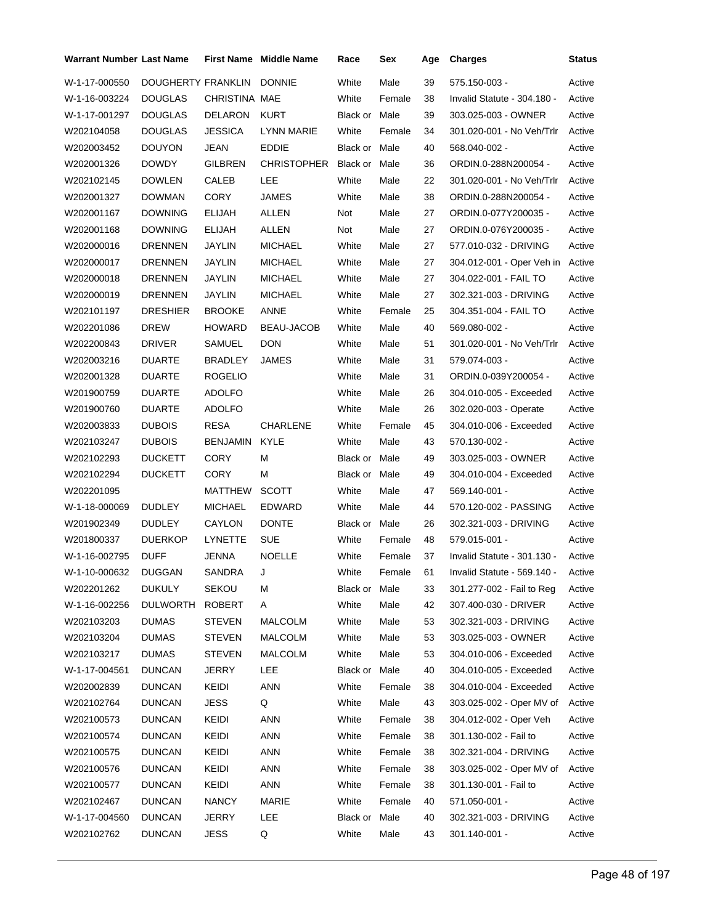| <b>Warrant Number Last Name</b> |                    |               | <b>First Name</b> Middle Name | Race          | Sex    | Age | <b>Charges</b>              | <b>Status</b> |
|---------------------------------|--------------------|---------------|-------------------------------|---------------|--------|-----|-----------------------------|---------------|
| W-1-17-000550                   | DOUGHERTY FRANKLIN |               | <b>DONNIE</b>                 | White         | Male   | 39  | 575.150-003 -               | Active        |
| W-1-16-003224                   | DOUGLAS            | CHRISTINA MAE |                               | White         | Female | 38  | Invalid Statute - 304.180 - | Active        |
| W-1-17-001297                   | DOUGLAS            | DELARON       | <b>KURT</b>                   | Black or Male |        | 39  | 303.025-003 - OWNER         | Active        |
| W202104058                      | DOUGLAS            | JESSICA       | LYNN MARIE                    | White         | Female | 34  | 301.020-001 - No Veh/Trlr   | Active        |
| W202003452                      | DOUYON             | JEAN          | <b>EDDIE</b>                  | Black or Male |        | 40  | 568.040-002 -               | Active        |
| W202001326                      | <b>DOWDY</b>       | GILBREN       | CHRISTOPHER                   | Black or Male |        | 36  | ORDIN.0-288N200054 -        | Active        |
| W202102145                      | <b>DOWLEN</b>      | CALEB         | LEE                           | White         | Male   | 22  | 301.020-001 - No Veh/Trlr   | Active        |
| W202001327                      | DOWMAN             | <b>CORY</b>   | <b>JAMES</b>                  | White         | Male   | 38  | ORDIN.0-288N200054 -        | Active        |
| W202001167                      | <b>DOWNING</b>     | ELIJAH        | ALLEN                         | Not           | Male   | 27  | ORDIN.0-077Y200035 -        | Active        |
| W202001168                      | DOWNING            | ELIJAH        | ALLEN                         | Not           | Male   | 27  | ORDIN.0-076Y200035 -        | Active        |
| W202000016                      | DRENNEN            | JAYLIN        | <b>MICHAEL</b>                | White         | Male   | 27  | 577.010-032 - DRIVING       | Active        |
| W202000017                      | DRENNEN            | JAYLIN        | <b>MICHAEL</b>                | White         | Male   | 27  | 304.012-001 - Oper Veh in   | Active        |
| W202000018                      | DRENNEN            | JAYLIN        | <b>MICHAEL</b>                | White         | Male   | 27  | 304.022-001 - FAIL TO       | Active        |
| W202000019                      | DRENNEN            | JAYLIN        | <b>MICHAEL</b>                | White         | Male   | 27  | 302.321-003 - DRIVING       | Active        |
| W202101197                      | DRESHIER           | <b>BROOKE</b> | ANNE                          | White         | Female | 25  | 304.351-004 - FAIL TO       | Active        |
| W202201086                      | <b>DREW</b>        | <b>HOWARD</b> | BEAU-JACOB                    | White         | Male   | 40  | 569.080-002 -               | Active        |
| W202200843                      | <b>DRIVER</b>      | SAMUEL        | <b>DON</b>                    | White         | Male   | 51  | 301.020-001 - No Veh/Trlr   | Active        |
| W202003216                      | DUARTE             | BRADLEY       | JAMES                         | White         | Male   | 31  | 579.074-003 -               | Active        |
| W202001328                      | <b>DUARTE</b>      | ROGELIO       |                               | White         | Male   | 31  | ORDIN.0-039Y200054 -        | Active        |
| W201900759                      | <b>DUARTE</b>      | ADOLFO        |                               | White         | Male   | 26  | 304.010-005 - Exceeded      | Active        |
| W201900760                      | DUARTE             | ADOLFO        |                               | White         | Male   | 26  | 302.020-003 - Operate       | Active        |
| W202003833                      | <b>DUBOIS</b>      | RESA          | <b>CHARLENE</b>               | White         | Female | 45  | 304.010-006 - Exceeded      | Active        |
| W202103247                      | <b>DUBOIS</b>      | BENJAMIN      | <b>KYLE</b>                   | White         | Male   | 43  | 570.130-002 -               | Active        |
| W202102293                      | <b>DUCKETT</b>     | <b>CORY</b>   | М                             | Black or Male |        | 49  | 303.025-003 - OWNER         | Active        |
| W202102294                      | <b>DUCKETT</b>     | CORY          | м                             | Black or Male |        | 49  | 304.010-004 - Exceeded      | Active        |
| W202201095                      |                    | MATTHEW       | <b>SCOTT</b>                  | White         | Male   | 47  | 569.140-001 -               | Active        |
| W-1-18-000069                   | <b>DUDLEY</b>      | MICHAEL       | EDWARD                        | White         | Male   | 44  | 570.120-002 - PASSING       | Active        |
| W201902349                      | <b>DUDLEY</b>      | CAYLON        | <b>DONTE</b>                  | Black or Male |        | 26  | 302.321-003 - DRIVING       | Active        |
| W201800337                      | <b>DUERKOP</b>     | LYNETTE       | <b>SUE</b>                    | White         | Female | 48  | 579.015-001 -               | Active        |
| W-1-16-002795                   | <b>DUFF</b>        | <b>JENNA</b>  | <b>NOELLE</b>                 | White         | Female | 37  | Invalid Statute - 301.130 - | Active        |
| W-1-10-000632 DUGGAN            |                    | SANDRA        | J                             | White         | Female | 61  | Invalid Statute - 569.140 - | Active        |
| W202201262                      | <b>DUKULY</b>      | SEKOU         | М                             | Black or Male |        | 33  | 301.277-002 - Fail to Reg   | Active        |
| W-1-16-002256                   | <b>DULWORTH</b>    | <b>ROBERT</b> | Α                             | White         | Male   | 42  | 307.400-030 - DRIVER        | Active        |
| W202103203                      | <b>DUMAS</b>       | STEVEN        | <b>MALCOLM</b>                | White         | Male   | 53  | 302.321-003 - DRIVING       | Active        |
| W202103204                      | <b>DUMAS</b>       | <b>STEVEN</b> | <b>MALCOLM</b>                | White         | Male   | 53  | 303.025-003 - OWNER         | Active        |
| W202103217                      | <b>DUMAS</b>       | STEVEN        | MALCOLM                       | White         | Male   | 53  | 304.010-006 - Exceeded      | Active        |
| W-1-17-004561                   | <b>DUNCAN</b>      | <b>JERRY</b>  | LEE                           | Black or      | Male   | 40  | 304.010-005 - Exceeded      | Active        |
| W202002839                      | <b>DUNCAN</b>      | KEIDI         | <b>ANN</b>                    | White         | Female | 38  | 304.010-004 - Exceeded      | Active        |
| W202102764                      | DUNCAN             | <b>JESS</b>   | Q                             | White         | Male   | 43  | 303.025-002 - Oper MV of    | Active        |
| W202100573                      | DUNCAN             | KEIDI         | <b>ANN</b>                    | White         | Female | 38  | 304.012-002 - Oper Veh      | Active        |
| W202100574                      | DUNCAN             | KEIDI         | <b>ANN</b>                    | White         | Female | 38  | 301.130-002 - Fail to       | Active        |
| W202100575                      | DUNCAN             | KEIDI         | <b>ANN</b>                    | White         | Female | 38  | 302.321-004 - DRIVING       | Active        |
| W202100576                      | DUNCAN             | KEIDI         | ANN                           | White         | Female | 38  | 303.025-002 - Oper MV of    | Active        |
| W202100577                      | DUNCAN             | KEIDI         | ANN                           | White         | Female | 38  | 301.130-001 - Fail to       | Active        |
| W202102467                      | DUNCAN             | <b>NANCY</b>  | MARIE                         | White         | Female | 40  | 571.050-001 -               | Active        |
| W-1-17-004560                   | <b>DUNCAN</b>      | JERRY         | LEE                           | Black or      | Male   | 40  | 302.321-003 - DRIVING       | Active        |
| W202102762                      | DUNCAN             | <b>JESS</b>   | Q                             | White         | Male   | 43  | 301.140-001 -               | Active        |
|                                 |                    |               |                               |               |        |     |                             |               |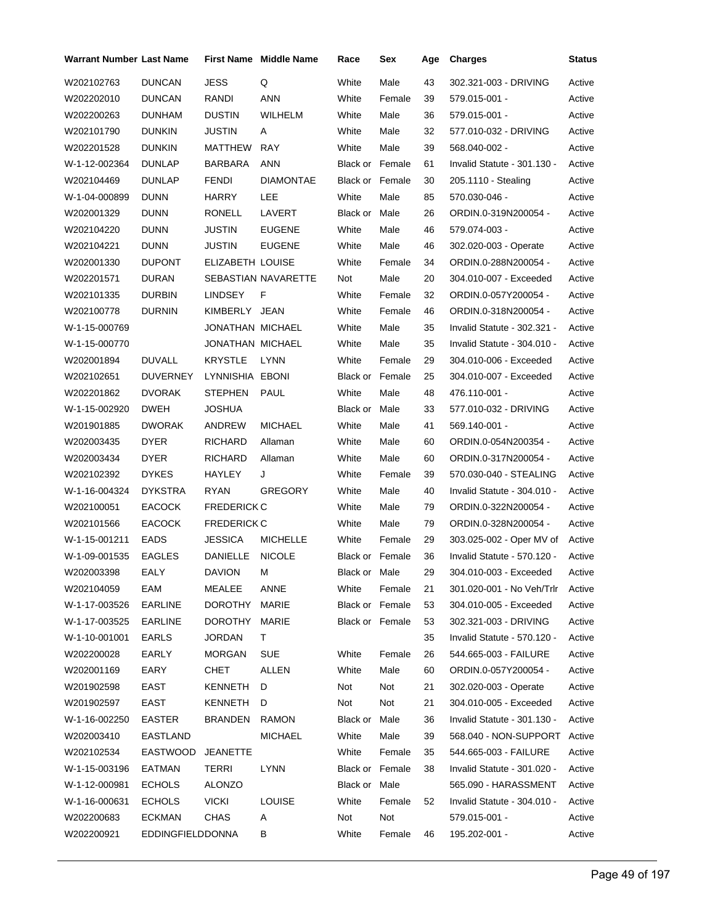| <b>Warrant Number Last Name</b> |                         |                    | <b>First Name</b> Middle Name | Race                   | Sex    | Age | <b>Charges</b>               | <b>Status</b> |
|---------------------------------|-------------------------|--------------------|-------------------------------|------------------------|--------|-----|------------------------------|---------------|
| W202102763                      | <b>DUNCAN</b>           | <b>JESS</b>        | Q                             | White                  | Male   | 43  | 302.321-003 - DRIVING        | Active        |
| W202202010                      | <b>DUNCAN</b>           | RANDI              | <b>ANN</b>                    | White                  | Female | 39  | 579.015-001 -                | Active        |
| W202200263                      | <b>DUNHAM</b>           | <b>DUSTIN</b>      | WILHELM                       | White                  | Male   | 36  | 579.015-001 -                | Active        |
| W202101790                      | <b>DUNKIN</b>           | JUSTIN             | Α                             | White                  | Male   | 32  | 577.010-032 - DRIVING        | Active        |
| W202201528                      | <b>DUNKIN</b>           | MATTHEW            | <b>RAY</b>                    | White                  | Male   | 39  | 568.040-002 -                | Active        |
| W-1-12-002364                   | <b>DUNLAP</b>           | BARBARA            | ANN                           | <b>Black or Female</b> |        | 61  | Invalid Statute - 301.130 -  | Active        |
| W202104469                      | DUNLAP                  | <b>FENDI</b>       | <b>DIAMONTAE</b>              | Black or Female        |        | 30  | 205.1110 - Stealing          | Active        |
| W-1-04-000899                   | <b>DUNN</b>             | HARRY              | LEE                           | White                  | Male   | 85  | 570.030-046 -                | Active        |
| W202001329                      | <b>DUNN</b>             | RONELL             | LAVERT                        | Black or               | Male   | 26  | ORDIN.0-319N200054 -         | Active        |
| W202104220                      | <b>DUNN</b>             | <b>JUSTIN</b>      | <b>EUGENE</b>                 | White                  | Male   | 46  | 579.074-003 -                | Active        |
| W202104221                      | <b>DUNN</b>             | JUSTIN             | <b>EUGENE</b>                 | White                  | Male   | 46  | 302.020-003 - Operate        | Active        |
| W202001330                      | <b>DUPONT</b>           | ELIZABETH LOUISE   |                               | White                  | Female | 34  | ORDIN.0-288N200054 -         | Active        |
| W202201571                      | <b>DURAN</b>            |                    | SEBASTIAN NAVARETTE           | Not                    | Male   | 20  | 304.010-007 - Exceeded       | Active        |
| W202101335                      | <b>DURBIN</b>           | <b>LINDSEY</b>     | F                             | White                  | Female | 32  | ORDIN.0-057Y200054 -         | Active        |
| W202100778                      | DURNIN                  | KIMBERLY JEAN      |                               | White                  | Female | 46  | ORDIN.0-318N200054 -         | Active        |
| W-1-15-000769                   |                         | JONATHAN MICHAEL   |                               | White                  | Male   | 35  | Invalid Statute - 302.321 -  | Active        |
| W-1-15-000770                   |                         | JONATHAN MICHAEL   |                               | White                  | Male   | 35  | Invalid Statute - 304.010 -  | Active        |
| W202001894                      | <b>DUVALL</b>           | <b>KRYSTLE</b>     | <b>LYNN</b>                   | White                  | Female | 29  | 304.010-006 - Exceeded       | Active        |
| W202102651                      | <b>DUVERNEY</b>         | LYNNISHIA EBONI    |                               | <b>Black or Female</b> |        | 25  | 304.010-007 - Exceeded       | Active        |
| W202201862                      | <b>DVORAK</b>           | STEPHEN            | <b>PAUL</b>                   | White                  | Male   | 48  | 476.110-001 -                | Active        |
| W-1-15-002920                   | <b>DWEH</b>             | <b>JOSHUA</b>      |                               | Black or               | Male   | 33  | 577.010-032 - DRIVING        | Active        |
| W201901885                      | <b>DWORAK</b>           | ANDREW             | <b>MICHAEL</b>                | White                  | Male   | 41  | 569.140-001 -                | Active        |
| W202003435                      | <b>DYER</b>             | <b>RICHARD</b>     | Allaman                       | White                  | Male   | 60  | ORDIN.0-054N200354 -         | Active        |
| W202003434                      | <b>DYER</b>             | <b>RICHARD</b>     | Allaman                       | White                  | Male   | 60  | ORDIN.0-317N200054 -         | Active        |
| W202102392                      | <b>DYKES</b>            | HAYLEY             | J                             | White                  | Female | 39  | 570.030-040 - STEALING       | Active        |
| W-1-16-004324                   | <b>DYKSTRA</b>          | <b>RYAN</b>        | <b>GREGORY</b>                | White                  | Male   | 40  | Invalid Statute - 304.010 -  | Active        |
| W202100051                      | <b>EACOCK</b>           | <b>FREDERICK C</b> |                               | White                  | Male   | 79  | ORDIN.0-322N200054 -         | Active        |
| W202101566                      | <b>EACOCK</b>           | <b>FREDERICK C</b> |                               | White                  | Male   | 79  | ORDIN.0-328N200054 -         | Active        |
| W-1-15-001211                   | <b>EADS</b>             | <b>JESSICA</b>     | <b>MICHELLE</b>               | White                  | Female | 29  | 303.025-002 - Oper MV of     | Active        |
| W-1-09-001535                   | <b>EAGLES</b>           | DANIELLE           | <b>NICOLE</b>                 | Black or Female        |        | 36  | Invalid Statute - 570.120 -  | Active        |
| W202003398                      | EALY                    | DAVION             | M                             | Black or Male          |        | 29  | 304.010-003 - Exceeded       | Active        |
| W202104059                      | EAM                     | MEALEE             | ANNE                          | White                  | Female | 21  | 301.020-001 - No Veh/Trlr    | Active        |
| W-1-17-003526                   | <b>EARLINE</b>          | DOROTHY            | <b>MARIE</b>                  | Black or Female        |        | 53  | 304.010-005 - Exceeded       | Active        |
| W-1-17-003525                   | <b>EARLINE</b>          | DOROTHY            | MARIE                         | Black or Female        |        | 53  | 302.321-003 - DRIVING        | Active        |
| W-1-10-001001                   | <b>EARLS</b>            | JORDAN             | T.                            |                        |        | 35  | Invalid Statute - 570.120 -  | Active        |
| W202200028                      | EARLY                   | <b>MORGAN</b>      | <b>SUE</b>                    | White                  | Female | 26  | 544.665-003 - FAILURE        | Active        |
| W202001169                      | EARY                    | CHET               | <b>ALLEN</b>                  | White                  | Male   | 60  | ORDIN.0-057Y200054 -         | Active        |
| W201902598                      | EAST                    | KENNETH            | D                             | Not                    | Not    | 21  | 302.020-003 - Operate        | Active        |
| W201902597                      | EAST                    | KENNETH            | D                             | Not                    | Not    | 21  | 304.010-005 - Exceeded       | Active        |
| W-1-16-002250                   | <b>EASTER</b>           | <b>BRANDEN</b>     | <b>RAMON</b>                  | Black or               | Male   | 36  | Invalid Statute - 301.130 -  | Active        |
| W202003410                      | EASTLAND                |                    | <b>MICHAEL</b>                | White                  | Male   | 39  | 568.040 - NON-SUPPORT Active |               |
| W202102534                      | EASTWOOD                | <b>JEANETTE</b>    |                               | White                  | Female | 35  | 544.665-003 - FAILURE        | Active        |
| W-1-15-003196                   | EATMAN                  | TERRI              | LYNN                          | Black or Female        |        | 38  | Invalid Statute - 301.020 -  | Active        |
| W-1-12-000981                   | <b>ECHOLS</b>           | <b>ALONZO</b>      |                               | Black or Male          |        |     | 565.090 - HARASSMENT         | Active        |
| W-1-16-000631                   | <b>ECHOLS</b>           | <b>VICKI</b>       | <b>LOUISE</b>                 | White                  | Female | 52  | Invalid Statute - 304.010 -  | Active        |
| W202200683                      | <b>ECKMAN</b>           | <b>CHAS</b>        | Α                             | Not                    | Not    |     | 579.015-001 -                | Active        |
| W202200921                      | <b>EDDINGFIELDDONNA</b> |                    | В                             | White                  | Female | 46  | 195.202-001 -                | Active        |
|                                 |                         |                    |                               |                        |        |     |                              |               |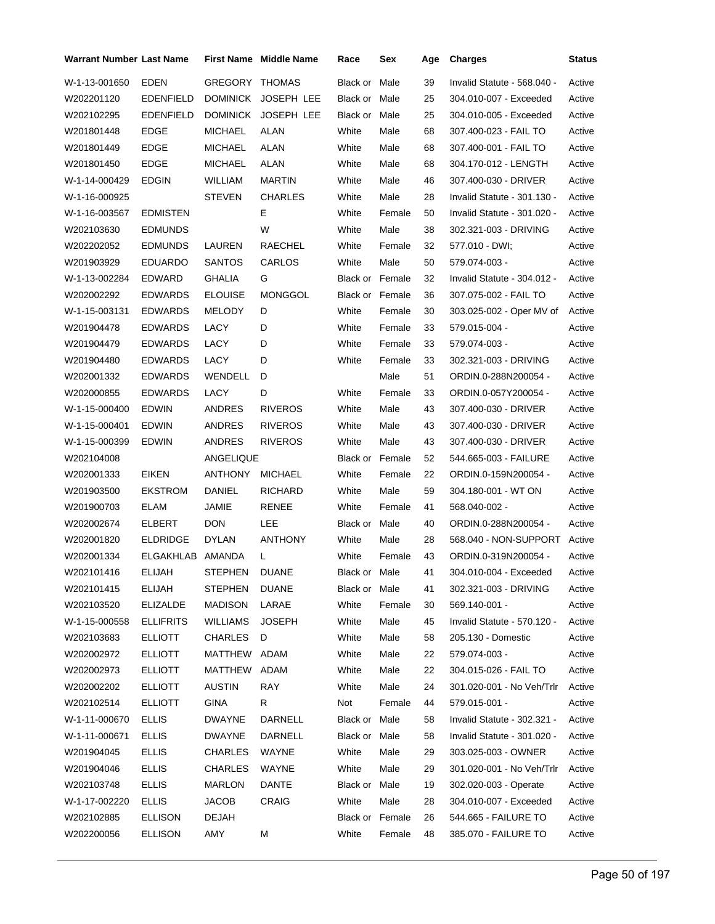| <b>Warrant Number Last Name</b> |                  |                 | <b>First Name</b> Middle Name | Race                   | Sex    | Age | <b>Charges</b>              | Status |
|---------------------------------|------------------|-----------------|-------------------------------|------------------------|--------|-----|-----------------------------|--------|
| W-1-13-001650                   | EDEN             | GREGORY THOMAS  |                               | Black or               | Male   | 39  | Invalid Statute - 568.040 - | Active |
| W202201120                      | <b>EDENFIELD</b> | <b>DOMINICK</b> | <b>JOSEPH LEE</b>             | Black or Male          |        | 25  | 304.010-007 - Exceeded      | Active |
| W202102295                      | <b>EDENFIELD</b> | <b>DOMINICK</b> | <b>JOSEPH LEE</b>             | Black or               | Male   | 25  | 304.010-005 - Exceeded      | Active |
| W201801448                      | <b>EDGE</b>      | <b>MICHAEL</b>  | <b>ALAN</b>                   | White                  | Male   | 68  | 307.400-023 - FAIL TO       | Active |
| W201801449                      | <b>EDGE</b>      | <b>MICHAEL</b>  | ALAN                          | White                  | Male   | 68  | 307.400-001 - FAIL TO       | Active |
| W201801450                      | <b>EDGE</b>      | <b>MICHAEL</b>  | ALAN                          | White                  | Male   | 68  | 304.170-012 - LENGTH        | Active |
| W-1-14-000429                   | <b>EDGIN</b>     | WILLIAM         | <b>MARTIN</b>                 | White                  | Male   | 46  | 307.400-030 - DRIVER        | Active |
| W-1-16-000925                   |                  | <b>STEVEN</b>   | <b>CHARLES</b>                | White                  | Male   | 28  | Invalid Statute - 301.130 - | Active |
| W-1-16-003567                   | <b>EDMISTEN</b>  |                 | Е                             | White                  | Female | 50  | Invalid Statute - 301.020 - | Active |
| W202103630                      | <b>EDMUNDS</b>   |                 | W                             | White                  | Male   | 38  | 302.321-003 - DRIVING       | Active |
| W202202052                      | <b>EDMUNDS</b>   | LAUREN          | RAECHEL                       | White                  | Female | 32  | 577.010 - DWI;              | Active |
| W201903929                      | <b>EDUARDO</b>   | <b>SANTOS</b>   | CARLOS                        | White                  | Male   | 50  | 579.074-003 -               | Active |
| W-1-13-002284                   | EDWARD           | <b>GHALIA</b>   | G                             | <b>Black or Female</b> |        | 32  | Invalid Statute - 304.012 - | Active |
| W202002292                      | <b>EDWARDS</b>   | <b>ELOUISE</b>  | <b>MONGGOL</b>                | <b>Black or Female</b> |        | 36  | 307.075-002 - FAIL TO       | Active |
| W-1-15-003131                   | <b>EDWARDS</b>   | MELODY          | D                             | White                  | Female | 30  | 303.025-002 - Oper MV of    | Active |
| W201904478                      | <b>EDWARDS</b>   | LACY            | D                             | White                  | Female | 33  | 579.015-004 -               | Active |
| W201904479                      | <b>EDWARDS</b>   | LACY            | D                             | White                  | Female | 33  | 579.074-003 -               | Active |
| W201904480                      | <b>EDWARDS</b>   | LACY            | D                             | White                  | Female | 33  | 302.321-003 - DRIVING       | Active |
| W202001332                      | <b>EDWARDS</b>   | <b>WENDELL</b>  | D                             |                        | Male   | 51  | ORDIN.0-288N200054 -        | Active |
| W202000855                      | <b>EDWARDS</b>   | LACY            | D                             | White                  | Female | 33  | ORDIN.0-057Y200054 -        | Active |
| W-1-15-000400                   | EDWIN            | ANDRES          | <b>RIVEROS</b>                | White                  | Male   | 43  | 307.400-030 - DRIVER        | Active |
| W-1-15-000401                   | <b>EDWIN</b>     | ANDRES          | <b>RIVEROS</b>                | White                  | Male   | 43  | 307.400-030 - DRIVER        | Active |
| W-1-15-000399                   | <b>EDWIN</b>     | ANDRES          | <b>RIVEROS</b>                | White                  | Male   | 43  | 307.400-030 - DRIVER        | Active |
| W202104008                      |                  | ANGELIQUE       |                               | <b>Black or Female</b> |        | 52  | 544.665-003 - FAILURE       | Active |
| W202001333                      | <b>EIKEN</b>     | ANTHONY         | <b>MICHAEL</b>                | White                  | Female | 22  | ORDIN.0-159N200054 -        | Active |
| W201903500                      | <b>EKSTROM</b>   | DANIEL          | <b>RICHARD</b>                | White                  | Male   | 59  | 304.180-001 - WT ON         | Active |
| W201900703                      | ELAM             | JAMIE           | <b>RENEE</b>                  | White                  | Female | 41  | 568.040-002 -               | Active |
| W202002674                      | ELBERT           | <b>DON</b>      | LEE                           | Black or               | Male   | 40  | ORDIN.0-288N200054 -        | Active |
| W202001820                      | <b>ELDRIDGE</b>  | <b>DYLAN</b>    | ANTHONY                       | White                  | Male   | 28  | 568.040 - NON-SUPPORT       | Active |
| W202001334                      | ELGAKHLAB        | AMANDA          | L                             | White                  | Female | 43  | ORDIN.0-319N200054 -        | Active |
| W202101416                      | ELIJAH           | STEPHEN         | <b>DUANE</b>                  | Black or Male          |        | 41  | 304.010-004 - Exceeded      | Active |
| W202101415                      | ELIJAH           | <b>STEPHEN</b>  | <b>DUANE</b>                  | Black or Male          |        | 41  | 302.321-003 - DRIVING       | Active |
| W202103520                      | <b>ELIZALDE</b>  | <b>MADISON</b>  | LARAE                         | White                  | Female | 30  | 569.140-001 -               | Active |
| W-1-15-000558                   | <b>ELLIFRITS</b> | WILLIAMS        | <b>JOSEPH</b>                 | White                  | Male   | 45  | Invalid Statute - 570.120 - | Active |
| W202103683                      | <b>ELLIOTT</b>   | CHARLES         | D                             | White                  | Male   | 58  | 205.130 - Domestic          | Active |
| W202002972                      | <b>ELLIOTT</b>   | MATTHEW ADAM    |                               | White                  | Male   | 22  | 579.074-003 -               | Active |
| W202002973                      | <b>ELLIOTT</b>   | MATTHEW         | ADAM                          | White                  | Male   | 22  | 304.015-026 - FAIL TO       | Active |
| W202002202                      | <b>ELLIOTT</b>   | <b>AUSTIN</b>   | <b>RAY</b>                    | White                  | Male   | 24  | 301.020-001 - No Veh/Trlr   | Active |
| W202102514                      | <b>ELLIOTT</b>   | <b>GINA</b>     | R                             | Not                    | Female | 44  | 579.015-001 -               | Active |
| W-1-11-000670                   | <b>ELLIS</b>     | <b>DWAYNE</b>   | DARNELL                       | Black or Male          |        | 58  | Invalid Statute - 302.321 - | Active |
| W-1-11-000671                   | <b>ELLIS</b>     | <b>DWAYNE</b>   | DARNELL                       | Black or Male          |        | 58  | Invalid Statute - 301.020 - | Active |
| W201904045                      | <b>ELLIS</b>     | CHARLES         | WAYNE                         | White                  | Male   | 29  | 303.025-003 - OWNER         | Active |
| W201904046                      | <b>ELLIS</b>     | CHARLES         | WAYNE                         | White                  | Male   | 29  | 301.020-001 - No Veh/Trlr   | Active |
| W202103748                      | <b>ELLIS</b>     | <b>MARLON</b>   | DANTE                         | Black or Male          |        | 19  | 302.020-003 - Operate       | Active |
| W-1-17-002220                   | <b>ELLIS</b>     | <b>JACOB</b>    | CRAIG                         | White                  | Male   | 28  | 304.010-007 - Exceeded      | Active |
| W202102885                      | <b>ELLISON</b>   | DEJAH           |                               | Black or Female        |        | 26  | 544.665 - FAILURE TO        | Active |
| W202200056                      | <b>ELLISON</b>   | AMY             | М                             | White                  | Female | 48  | 385.070 - FAILURE TO        | Active |
|                                 |                  |                 |                               |                        |        |     |                             |        |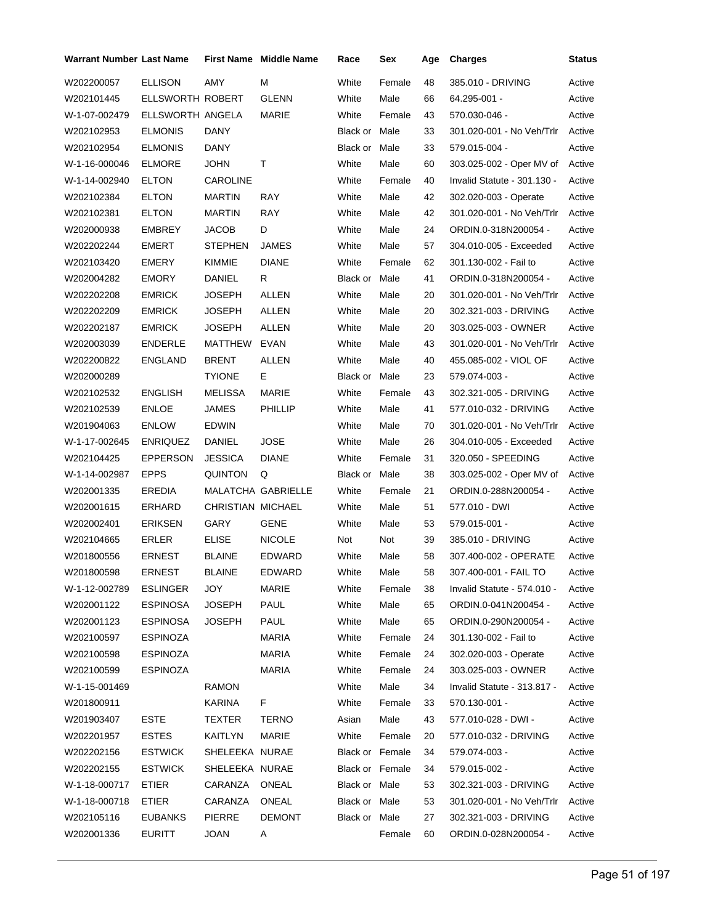| Warrant Number Last Name |                  |                   | <b>First Name</b> Middle Name | Race            | Sex    | Age | <b>Charges</b>              | Status |
|--------------------------|------------------|-------------------|-------------------------------|-----------------|--------|-----|-----------------------------|--------|
| W202200057               | <b>ELLISON</b>   | AMY               | М                             | White           | Female | 48  | 385.010 - DRIVING           | Active |
| W202101445               | ELLSWORTH ROBERT |                   | <b>GLENN</b>                  | White           | Male   | 66  | 64.295-001 -                | Active |
| W-1-07-002479            | ELLSWORTH ANGELA |                   | MARIE                         | White           | Female | 43  | 570.030-046 -               | Active |
| W202102953               | <b>ELMONIS</b>   | DANY              |                               | Black or Male   |        | 33  | 301.020-001 - No Veh/Trlr   | Active |
| W202102954               | <b>ELMONIS</b>   | DANY              |                               | Black or Male   |        | 33  | 579.015-004 -               | Active |
| W-1-16-000046            | <b>ELMORE</b>    | <b>JOHN</b>       | т                             | White           | Male   | 60  | 303.025-002 - Oper MV of    | Active |
| W-1-14-002940            | <b>ELTON</b>     | CAROLINE          |                               | White           | Female | 40  | Invalid Statute - 301.130 - | Active |
| W202102384               | <b>ELTON</b>     | <b>MARTIN</b>     | RAY                           | White           | Male   | 42  | 302.020-003 - Operate       | Active |
| W202102381               | ELTON            | MARTIN            | RAY                           | White           | Male   | 42  | 301.020-001 - No Veh/Trlr   | Active |
| W202000938               | EMBREY           | JACOB             | D                             | White           | Male   | 24  | ORDIN.0-318N200054 -        | Active |
| W202202244               | EMERT            | <b>STEPHEN</b>    | JAMES                         | White           | Male   | 57  | 304.010-005 - Exceeded      | Active |
| W202103420               | EMERY            | KIMMIE            | <b>DIANE</b>                  | White           | Female | 62  | 301.130-002 - Fail to       | Active |
| W202004282               | <b>EMORY</b>     | <b>DANIEL</b>     | R                             | Black or Male   |        | 41  | ORDIN.0-318N200054 -        | Active |
| W202202208               | <b>EMRICK</b>    | JOSEPH            | <b>ALLEN</b>                  | White           | Male   | 20  | 301.020-001 - No Veh/Trlr   | Active |
| W202202209               | <b>EMRICK</b>    | JOSEPH            | ALLEN                         | White           | Male   | 20  | 302.321-003 - DRIVING       | Active |
| W202202187               | <b>EMRICK</b>    | JOSEPH            | <b>ALLEN</b>                  | White           | Male   | 20  | 303.025-003 - OWNER         | Active |
| W202003039               | <b>ENDERLE</b>   | MATTHEW           | EVAN                          | White           | Male   | 43  | 301.020-001 - No Veh/Trlr   | Active |
| W202200822               | ENGLAND          | <b>BRENT</b>      | <b>ALLEN</b>                  | White           | Male   | 40  | 455.085-002 - VIOL OF       | Active |
| W202000289               |                  | <b>TYIONE</b>     | Е                             | Black or Male   |        | 23  | 579.074-003 -               | Active |
| W202102532               | <b>ENGLISH</b>   | MELISSA           | MARIE                         | White           | Female | 43  | 302.321-005 - DRIVING       | Active |
| W202102539               | ENLOE            | JAMES             | PHILLIP                       | White           | Male   | 41  | 577.010-032 - DRIVING       | Active |
| W201904063               | <b>ENLOW</b>     | EDWIN             |                               | White           | Male   | 70  | 301.020-001 - No Veh/Trlr   | Active |
| W-1-17-002645            | <b>ENRIQUEZ</b>  | DANIEL            | JOSE                          | White           | Male   | 26  | 304.010-005 - Exceeded      | Active |
| W202104425               | <b>EPPERSON</b>  | JESSICA           | <b>DIANE</b>                  | White           | Female | 31  | 320.050 - SPEEDING          | Active |
| W-1-14-002987            | <b>EPPS</b>      | QUINTON           | Q                             | Black or Male   |        | 38  | 303.025-002 - Oper MV of    | Active |
| W202001335               | EREDIA           |                   | MALATCHA GABRIELLE            | White           | Female | 21  | ORDIN.0-288N200054 -        | Active |
| W202001615               | ERHARD           | CHRISTIAN MICHAEL |                               | White           | Male   | 51  | 577.010 - DWI               | Active |
| W202002401               | <b>ERIKSEN</b>   | GARY              | <b>GENE</b>                   | White           | Male   | 53  | 579.015-001 -               | Active |
| W202104665               | <b>ERLER</b>     | ELISE             | <b>NICOLE</b>                 | Not             | Not    | 39  | 385.010 - DRIVING           | Active |
| W201800556               | <b>ERNEST</b>    | <b>BLAINE</b>     | <b>EDWARD</b>                 | White           | Male   | 58  | 307.400-002 - OPERATE       | Active |
| W201800598               | <b>ERNEST</b>    | <b>BLAINE</b>     | <b>EDWARD</b>                 | White           | Male   | 58  | 307.400-001 - FAIL TO       | Active |
| W-1-12-002789            | <b>ESLINGER</b>  | JOY               | MARIE                         | White           | Female | 38  | Invalid Statute - 574.010 - | Active |
| W202001122               | ESPINOSA         | <b>JOSEPH</b>     | PAUL                          | White           | Male   | 65  | ORDIN.0-041N200454 -        | Active |
| W202001123               | <b>ESPINOSA</b>  | <b>JOSEPH</b>     | PAUL                          | White           | Male   | 65  | ORDIN.0-290N200054 -        | Active |
| W202100597               | <b>ESPINOZA</b>  |                   | MARIA                         | White           | Female | 24  | 301.130-002 - Fail to       | Active |
| W202100598               | <b>ESPINOZA</b>  |                   | MARIA                         | White           | Female | 24  | 302.020-003 - Operate       | Active |
| W202100599               | ESPINOZA         |                   | <b>MARIA</b>                  | White           | Female | 24  | 303.025-003 - OWNER         | Active |
| W-1-15-001469            |                  | RAMON             |                               | White           | Male   | 34  | Invalid Statute - 313.817 - | Active |
| W201800911               |                  | KARINA            | F                             | White           | Female | 33  | 570.130-001 -               | Active |
| W201903407               | <b>ESTE</b>      | TEXTER            | <b>TERNO</b>                  | Asian           | Male   | 43  | 577.010-028 - DWI -         | Active |
| W202201957               | <b>ESTES</b>     | KAITLYN           | MARIE                         | White           | Female | 20  | 577.010-032 - DRIVING       | Active |
| W202202156               | <b>ESTWICK</b>   | SHELEEKA NURAE    |                               | Black or Female |        | 34  | 579.074-003 -               | Active |
| W202202155               | <b>ESTWICK</b>   | SHELEEKA NURAE    |                               | Black or Female |        | 34  | 579.015-002 -               | Active |
| W-1-18-000717            | ETIER            | CARANZA           | ONEAL                         | Black or Male   |        | 53  | 302.321-003 - DRIVING       | Active |
| W-1-18-000718            | ETIER            | CARANZA           | ONEAL                         | Black or Male   |        | 53  | 301.020-001 - No Veh/Trlr   | Active |
| W202105116               | <b>EUBANKS</b>   | PIERRE            | <b>DEMONT</b>                 | Black or Male   |        | 27  | 302.321-003 - DRIVING       | Active |
| W202001336               | <b>EURITT</b>    | JOAN              | A                             |                 | Female | 60  | ORDIN.0-028N200054 -        | Active |
|                          |                  |                   |                               |                 |        |     |                             |        |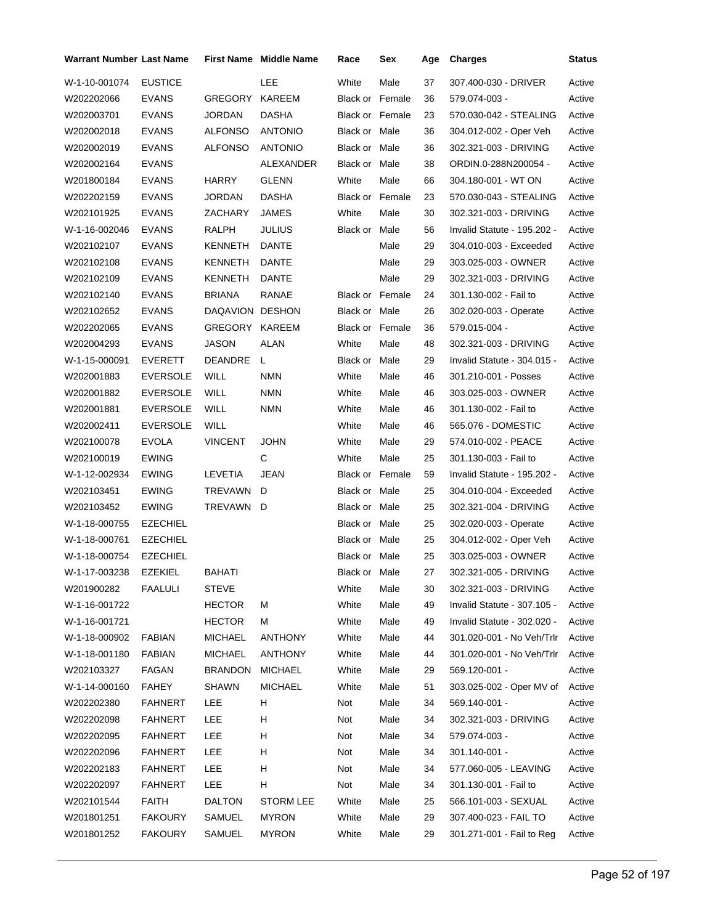| <b>Warrant Number Last Name</b> |                 |                 | <b>First Name</b> Middle Name | Race                   | Sex  | Age | <b>Charges</b>              | <b>Status</b> |
|---------------------------------|-----------------|-----------------|-------------------------------|------------------------|------|-----|-----------------------------|---------------|
| W-1-10-001074                   | <b>EUSTICE</b>  |                 | LEE                           | White                  | Male | 37  | 307.400-030 - DRIVER        | Active        |
| W202202066                      | <b>EVANS</b>    | GREGORY         | KAREEM                        | <b>Black or Female</b> |      | 36  | 579.074-003 -               | Active        |
| W202003701                      | <b>EVANS</b>    | JORDAN          | DASHA                         | <b>Black or Female</b> |      | 23  | 570.030-042 - STEALING      | Active        |
| W202002018                      | <b>EVANS</b>    | ALFONSO         | <b>ANTONIO</b>                | <b>Black or Male</b>   |      | 36  | 304.012-002 - Oper Veh      | Active        |
| W202002019                      | <b>EVANS</b>    | ALFONSO         | <b>ANTONIO</b>                | Black or Male          |      | 36  | 302.321-003 - DRIVING       | Active        |
| W202002164                      | <b>EVANS</b>    |                 | ALEXANDER                     | Black or Male          |      | 38  | ORDIN.0-288N200054 -        | Active        |
| W201800184                      | <b>EVANS</b>    | <b>HARRY</b>    | <b>GLENN</b>                  | White                  | Male | 66  | 304.180-001 - WT ON         | Active        |
| W202202159                      | EVANS           | JORDAN          | <b>DASHA</b>                  | Black or Female        |      | 23  | 570.030-043 - STEALING      | Active        |
| W202101925                      | <b>EVANS</b>    | ZACHARY         | JAMES                         | White                  | Male | 30  | 302.321-003 - DRIVING       | Active        |
| W-1-16-002046                   | <b>EVANS</b>    | RALPH           | <b>JULIUS</b>                 | Black or               | Male | 56  | Invalid Statute - 195.202 - | Active        |
| W202102107                      | EVANS           | KENNETH         | DANTE                         |                        | Male | 29  | 304.010-003 - Exceeded      | Active        |
| W202102108                      | <b>EVANS</b>    | KENNETH         | DANTE                         |                        | Male | 29  | 303.025-003 - OWNER         | Active        |
| W202102109                      | <b>EVANS</b>    | <b>KENNETH</b>  | DANTE                         |                        | Male | 29  | 302.321-003 - DRIVING       | Active        |
| W202102140                      | <b>EVANS</b>    | <b>BRIANA</b>   | RANAE                         | <b>Black or Female</b> |      | 24  | 301.130-002 - Fail to       | Active        |
| W202102652                      | <b>EVANS</b>    | DAQAVION DESHON |                               | Black or Male          |      | 26  | 302.020-003 - Operate       | Active        |
| W202202065                      | <b>EVANS</b>    | GREGORY KAREEM  |                               | <b>Black or Female</b> |      | 36  | 579.015-004 -               | Active        |
| W202004293                      | <b>EVANS</b>    | <b>JASON</b>    | ALAN                          | White                  | Male | 48  | 302.321-003 - DRIVING       | Active        |
| W-1-15-000091                   | EVERETT         | DEANDRE         | L.                            | Black or Male          |      | 29  | Invalid Statute - 304.015 - | Active        |
| W202001883                      | <b>EVERSOLE</b> | WILL            | <b>NMN</b>                    | White                  | Male | 46  | 301.210-001 - Posses        | Active        |
| W202001882                      | <b>EVERSOLE</b> | WILL            | <b>NMN</b>                    | White                  | Male | 46  | 303.025-003 - OWNER         | Active        |
| W202001881                      | <b>EVERSOLE</b> | WILL            | <b>NMN</b>                    | White                  | Male | 46  | 301.130-002 - Fail to       | Active        |
| W202002411                      | <b>EVERSOLE</b> | WILL            |                               | White                  | Male | 46  | 565.076 - DOMESTIC          | Active        |
| W202100078                      | <b>EVOLA</b>    | <b>VINCENT</b>  | <b>JOHN</b>                   | White                  | Male | 29  | 574.010-002 - PEACE         | Active        |
| W202100019                      | <b>EWING</b>    |                 | C                             | White                  | Male | 25  | 301.130-003 - Fail to       | Active        |
| W-1-12-002934                   | <b>EWING</b>    | LEVETIA         | <b>JEAN</b>                   | <b>Black or Female</b> |      | 59  | Invalid Statute - 195.202 - | Active        |
| W202103451                      | <b>EWING</b>    | TREVAWN         | D                             | Black or Male          |      | 25  | 304.010-004 - Exceeded      | Active        |
| W202103452                      | <b>EWING</b>    | TREVAWN D       |                               | Black or Male          |      | 25  | 302.321-004 - DRIVING       | Active        |
| W-1-18-000755                   | <b>EZECHIEL</b> |                 |                               | Black or Male          |      | 25  | 302.020-003 - Operate       | Active        |
| W-1-18-000761                   | <b>EZECHIEL</b> |                 |                               | Black or Male          |      | 25  | 304.012-002 - Oper Veh      | Active        |
| W-1-18-000754                   | <b>EZECHIEL</b> |                 |                               | Black or Male          |      | 25  | 303.025-003 - OWNER         | Active        |
| W-1-17-003238                   | EZEKIEL         | <b>BAHATI</b>   |                               | Black or Male          |      | 27  | 302.321-005 - DRIVING       | Active        |
| W201900282                      | <b>FAALULI</b>  | STEVE           |                               | White                  | Male | 30  | 302.321-003 - DRIVING       | Active        |
| W-1-16-001722                   |                 | <b>HECTOR</b>   | м                             | White                  | Male | 49  | Invalid Statute - 307.105 - | Active        |
| W-1-16-001721                   |                 | <b>HECTOR</b>   | м                             | White                  | Male | 49  | Invalid Statute - 302.020 - | Active        |
| W-1-18-000902                   | <b>FABIAN</b>   | <b>MICHAEL</b>  | <b>ANTHONY</b>                | White                  | Male | 44  | 301.020-001 - No Veh/Trlr   | Active        |
| W-1-18-001180                   | <b>FABIAN</b>   | <b>MICHAEL</b>  | <b>ANTHONY</b>                | White                  | Male | 44  | 301.020-001 - No Veh/Trlr   | Active        |
| W202103327                      | FAGAN           | <b>BRANDON</b>  | <b>MICHAEL</b>                | White                  | Male | 29  | 569.120-001 -               | Active        |
| W-1-14-000160                   | FAHEY           | SHAWN           | <b>MICHAEL</b>                | White                  | Male | 51  | 303.025-002 - Oper MV of    | Active        |
| W202202380                      | <b>FAHNERT</b>  | LEE             | H.                            | Not                    | Male | 34  | 569.140-001 -               | Active        |
| W202202098                      | <b>FAHNERT</b>  | LEE             | н                             | Not                    | Male | 34  | 302.321-003 - DRIVING       | Active        |
| W202202095                      | <b>FAHNERT</b>  | LEE             | н                             | Not                    | Male | 34  | 579.074-003 -               | Active        |
| W202202096                      | <b>FAHNERT</b>  | LEE             | н                             | Not                    | Male | 34  | 301.140-001 -               | Active        |
| W202202183                      | <b>FAHNERT</b>  | LEE             | н                             | Not                    | Male | 34  | 577.060-005 - LEAVING       | Active        |
| W202202097                      | <b>FAHNERT</b>  | <b>LEE</b>      | H                             | Not                    | Male | 34  | 301.130-001 - Fail to       | Active        |
| W202101544                      | <b>FAITH</b>    | <b>DALTON</b>   | <b>STORM LEE</b>              | White                  | Male | 25  | 566.101-003 - SEXUAL        | Active        |
| W201801251                      | <b>FAKOURY</b>  | SAMUEL          | <b>MYRON</b>                  | White                  | Male | 29  | 307.400-023 - FAIL TO       | Active        |
| W201801252                      | <b>FAKOURY</b>  | SAMUEL          | <b>MYRON</b>                  | White                  | Male | 29  | 301.271-001 - Fail to Reg   | Active        |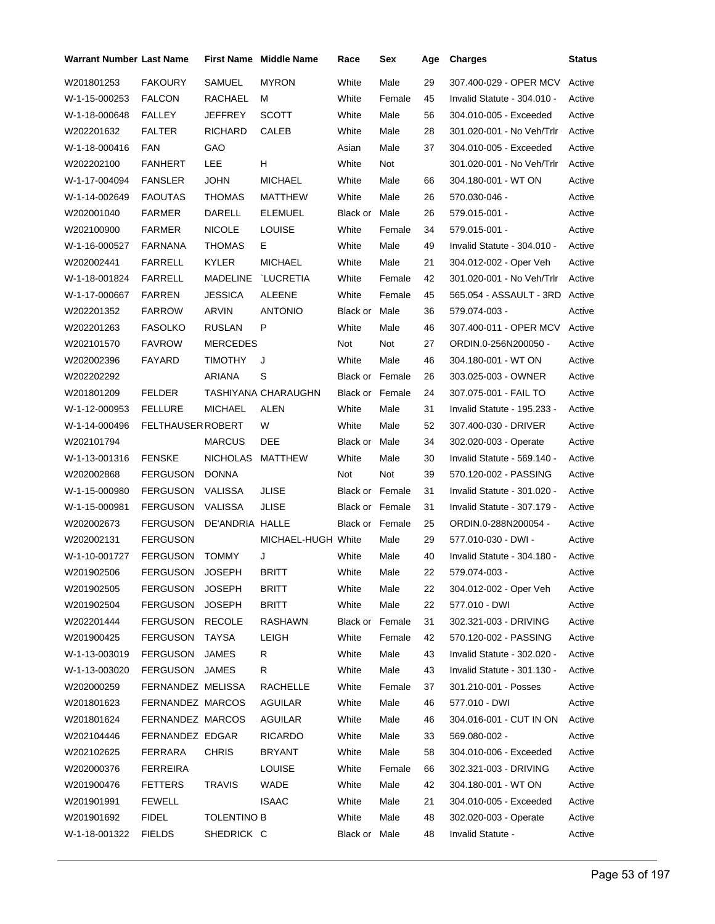| <b>Warrant Number Last Name</b> |                   |                    | <b>First Name Middle Name</b> | Race                   | Sex    | Age | <b>Charges</b>              | <b>Status</b> |
|---------------------------------|-------------------|--------------------|-------------------------------|------------------------|--------|-----|-----------------------------|---------------|
| W201801253                      | <b>FAKOURY</b>    | SAMUEL             | <b>MYRON</b>                  | White                  | Male   | 29  | 307.400-029 - OPER MCV      | Active        |
| W-1-15-000253                   | <b>FALCON</b>     | RACHAEL            | М                             | White                  | Female | 45  | Invalid Statute - 304.010 - | Active        |
| W-1-18-000648                   | FALLEY            | JEFFREY            | <b>SCOTT</b>                  | White                  | Male   | 56  | 304.010-005 - Exceeded      | Active        |
| W202201632                      | <b>FALTER</b>     | <b>RICHARD</b>     | CALEB                         | White                  | Male   | 28  | 301.020-001 - No Veh/Trlr   | Active        |
| W-1-18-000416                   | FAN               | GAO                |                               | Asian                  | Male   | 37  | 304.010-005 - Exceeded      | Active        |
| W202202100                      | <b>FANHERT</b>    | LEE                | H                             | White                  | Not    |     | 301.020-001 - No Veh/Trlr   | Active        |
| W-1-17-004094                   | <b>FANSLER</b>    | JOHN               | <b>MICHAEL</b>                | White                  | Male   | 66  | 304.180-001 - WT ON         | Active        |
| W-1-14-002649                   | <b>FAOUTAS</b>    | <b>THOMAS</b>      | MATTHEW                       | White                  | Male   | 26  | 570.030-046 -               | Active        |
| W202001040                      | FARMER            | DARELL             | ELEMUEL                       | Black or Male          |        | 26  | 579.015-001 -               | Active        |
| W202100900                      | <b>FARMER</b>     | <b>NICOLE</b>      | <b>LOUISE</b>                 | White                  | Female | 34  | 579.015-001 -               | Active        |
| W-1-16-000527                   | FARNANA           | <b>THOMAS</b>      | Е                             | White                  | Male   | 49  | Invalid Statute - 304.010 - | Active        |
| W202002441                      | <b>FARRELL</b>    | <b>KYLER</b>       | <b>MICHAEL</b>                | White                  | Male   | 21  | 304.012-002 - Oper Veh      | Active        |
| W-1-18-001824                   | <b>FARRELL</b>    | MADELINE           | `LUCRETIA                     | White                  | Female | 42  | 301.020-001 - No Veh/Trlr   | Active        |
| W-1-17-000667                   | <b>FARREN</b>     | <b>JESSICA</b>     | <b>ALEENE</b>                 | White                  | Female | 45  | 565.054 - ASSAULT - 3RD     | Active        |
| W202201352                      | <b>FARROW</b>     | ARVIN              | <b>ANTONIO</b>                | Black or Male          |        | 36  | 579.074-003 -               | Active        |
| W202201263                      | <b>FASOLKO</b>    | RUSLAN             | P                             | White                  | Male   | 46  | 307.400-011 - OPER MCV      | Active        |
| W202101570                      | <b>FAVROW</b>     | <b>MERCEDES</b>    |                               | Not                    | Not    | 27  | ORDIN.0-256N200050 -        | Active        |
| W202002396                      | <b>FAYARD</b>     | <b>TIMOTHY</b>     | J                             | White                  | Male   | 46  | 304.180-001 - WT ON         | Active        |
| W202202292                      |                   | ARIANA             | S                             | <b>Black or Female</b> |        | 26  | 303.025-003 - OWNER         | Active        |
| W201801209                      | <b>FELDER</b>     |                    | TASHIYANA CHARAUGHN           | Black or Female        |        | 24  | 307.075-001 - FAIL TO       | Active        |
| W-1-12-000953                   | <b>FELLURE</b>    | <b>MICHAEL</b>     | ALEN                          | White                  | Male   | 31  | Invalid Statute - 195.233 - | Active        |
| W-1-14-000496                   | FELTHAUSER ROBERT |                    | W                             | White                  | Male   | 52  | 307.400-030 - DRIVER        | Active        |
| W202101794                      |                   | <b>MARCUS</b>      | DEE                           | Black or               | Male   | 34  | 302.020-003 - Operate       | Active        |
| W-1-13-001316                   | <b>FENSKE</b>     | <b>NICHOLAS</b>    | MATTHEW                       | White                  | Male   | 30  | Invalid Statute - 569.140 - | Active        |
| W202002868                      | <b>FERGUSON</b>   | <b>DONNA</b>       |                               | Not                    | Not    | 39  | 570.120-002 - PASSING       | Active        |
| W-1-15-000980                   | <b>FERGUSON</b>   | VALISSA            | <b>JLISE</b>                  | <b>Black or Female</b> |        | 31  | Invalid Statute - 301.020 - | Active        |
| W-1-15-000981                   | <b>FERGUSON</b>   | <b>VALISSA</b>     | JLISE                         | Black or Female        |        | 31  | Invalid Statute - 307.179 - | Active        |
| W202002673                      | <b>FERGUSON</b>   | DE'ANDRIA HALLE    |                               | <b>Black or Female</b> |        | 25  | ORDIN.0-288N200054 -        | Active        |
| W202002131                      | <b>FERGUSON</b>   |                    | MICHAEL-HUGH White            |                        | Male   | 29  | 577.010-030 - DWI -         | Active        |
| W-1-10-001727                   | <b>FERGUSON</b>   | <b>TOMMY</b>       | J                             | White                  | Male   | 40  | Invalid Statute - 304.180 - | Active        |
| W201902506                      | FERGUSON JOSEPH   |                    | <b>BRITT</b>                  | White                  | Male   | 22  | 579.074-003 -               | Active        |
| W201902505                      | FERGUSON          | <b>JOSEPH</b>      | <b>BRITT</b>                  | White                  | Male   | 22  | 304.012-002 - Oper Veh      | Active        |
| W201902504                      | FERGUSON          | <b>JOSEPH</b>      | BRITT                         | White                  | Male   | 22  | 577.010 - DWI               | Active        |
| W202201444                      | FERGUSON          | <b>RECOLE</b>      | RASHAWN                       | Black or Female        |        | 31  | 302.321-003 - DRIVING       | Active        |
| W201900425                      | <b>FERGUSON</b>   | <b>TAYSA</b>       | <b>LEIGH</b>                  | White                  | Female | 42  | 570.120-002 - PASSING       | Active        |
| W-1-13-003019                   | FERGUSON          | <b>JAMES</b>       | R                             | White                  | Male   | 43  | Invalid Statute - 302.020 - | Active        |
| W-1-13-003020                   | FERGUSON          | JAMES              | R                             | White                  | Male   | 43  | Invalid Statute - 301.130 - | Active        |
| W202000259                      | FERNANDEZ MELISSA |                    | RACHELLE                      | White                  | Female | 37  | 301.210-001 - Posses        | Active        |
| W201801623                      | FERNANDEZ MARCOS  |                    | AGUILAR                       | White                  | Male   | 46  | 577.010 - DWI               | Active        |
| W201801624                      | FERNANDEZ MARCOS  |                    | AGUILAR                       | White                  | Male   | 46  | 304.016-001 - CUT IN ON     | Active        |
| W202104446                      | FERNANDEZ EDGAR   |                    | <b>RICARDO</b>                | White                  | Male   | 33  | 569.080-002 -               | Active        |
| W202102625                      | FERRARA           | <b>CHRIS</b>       | BRYANT                        | White                  | Male   | 58  | 304.010-006 - Exceeded      | Active        |
| W202000376                      | <b>FERREIRA</b>   |                    | <b>LOUISE</b>                 | White                  | Female | 66  | 302.321-003 - DRIVING       | Active        |
| W201900476                      | <b>FETTERS</b>    | TRAVIS             | WADE                          | White                  | Male   | 42  | 304.180-001 WT ON           | Active        |
| W201901991                      | <b>FEWELL</b>     |                    | <b>ISAAC</b>                  | White                  | Male   | 21  | 304.010-005 - Exceeded      | Active        |
| W201901692                      | <b>FIDEL</b>      | <b>TOLENTINO B</b> |                               | White                  | Male   | 48  | 302.020-003 - Operate       | Active        |
| W-1-18-001322                   | <b>FIELDS</b>     | SHEDRICK C         |                               | Black or Male          |        | 48  | Invalid Statute -           | Active        |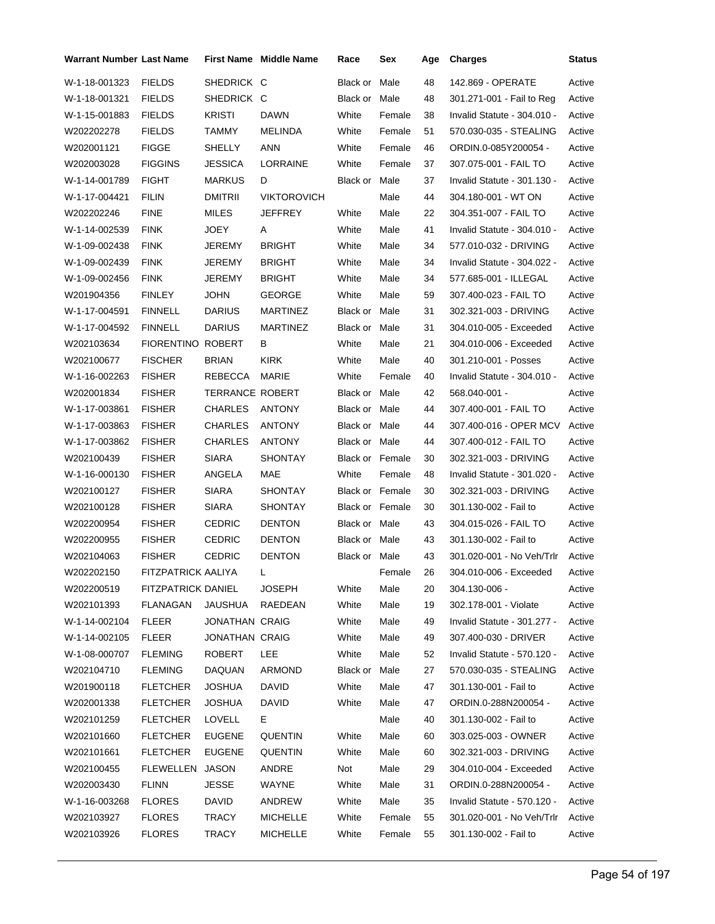| Warrant Number Last Name |                           |                        | First Name Middle Name | Race                   | Sex    | Age | <b>Charges</b>              | <b>Status</b> |
|--------------------------|---------------------------|------------------------|------------------------|------------------------|--------|-----|-----------------------------|---------------|
| W-1-18-001323            | <b>FIELDS</b>             | SHEDRICK C             |                        | Black or               | Male   | 48  | 142.869 - OPERATE           | Active        |
| W-1-18-001321            | <b>FIELDS</b>             | SHEDRICK C             |                        | Black or Male          |        | 48  | 301.271-001 - Fail to Reg   | Active        |
| W-1-15-001883            | <b>FIELDS</b>             | <b>KRISTI</b>          | <b>DAWN</b>            | White                  | Female | 38  | Invalid Statute - 304.010 - | Active        |
| W202202278               | <b>FIELDS</b>             | TAMMY                  | MELINDA                | White                  | Female | 51  | 570.030-035 - STEALING      | Active        |
| W202001121               | <b>FIGGE</b>              | SHELLY                 | ANN                    | White                  | Female | 46  | ORDIN.0-085Y200054 -        | Active        |
| W202003028               | <b>FIGGINS</b>            | JESSICA                | LORRAINE               | White                  | Female | 37  | 307.075-001 - FAIL TO       | Active        |
| W-1-14-001789            | <b>FIGHT</b>              | <b>MARKUS</b>          | D                      | Black or Male          |        | 37  | Invalid Statute - 301.130 - | Active        |
| W-1-17-004421            | <b>FILIN</b>              | <b>DMITRIL</b>         | <b>VIKTOROVICH</b>     |                        | Male   | 44  | 304.180-001 - WT ON         | Active        |
| W202202246               | <b>FINE</b>               | MILES                  | JEFFREY                | White                  | Male   | 22  | 304.351-007 - FAIL TO       | Active        |
| W-1-14-002539            | <b>FINK</b>               | JOEY                   | A                      | White                  | Male   | 41  | Invalid Statute - 304.010 - | Active        |
| W-1-09-002438            | <b>FINK</b>               | JEREMY                 | <b>BRIGHT</b>          | White                  | Male   | 34  | 577.010-032 - DRIVING       | Active        |
| W-1-09-002439            | <b>FINK</b>               | JEREMY                 | <b>BRIGHT</b>          | White                  | Male   | 34  | Invalid Statute - 304.022 - | Active        |
| W-1-09-002456            | <b>FINK</b>               | JEREMY                 | <b>BRIGHT</b>          | White                  | Male   | 34  | 577.685-001 - ILLEGAL       | Active        |
| W201904356               | FINLEY                    | JOHN                   | <b>GEORGE</b>          | White                  | Male   | 59  | 307.400-023 - FAIL TO       | Active        |
| W-1-17-004591            | <b>FINNELL</b>            | <b>DARIUS</b>          | <b>MARTINEZ</b>        | Black or Male          |        | 31  | 302.321-003 - DRIVING       | Active        |
| W-1-17-004592            | <b>FINNELL</b>            | <b>DARIUS</b>          | <b>MARTINEZ</b>        | Black or Male          |        | 31  | 304.010-005 - Exceeded      | Active        |
| W202103634               | FIORENTINO ROBERT         |                        | В                      | White                  | Male   | 21  | 304.010-006 - Exceeded      | Active        |
| W202100677               | <b>FISCHER</b>            | <b>BRIAN</b>           | <b>KIRK</b>            | White                  | Male   | 40  | 301.210-001 - Posses        | Active        |
| W-1-16-002263            | <b>FISHER</b>             | REBECCA                | <b>MARIE</b>           | White                  | Female | 40  | Invalid Statute - 304.010 - | Active        |
| W202001834               | <b>FISHER</b>             | <b>TERRANCE ROBERT</b> |                        | Black or Male          |        | 42  | 568.040-001 -               | Active        |
| W-1-17-003861            | <b>FISHER</b>             | CHARLES                | <b>ANTONY</b>          | Black or Male          |        | 44  | 307.400-001 - FAIL TO       | Active        |
| W-1-17-003863            | <b>FISHER</b>             | CHARLES                | <b>ANTONY</b>          | Black or Male          |        | 44  | 307.400-016 - OPER MCV      | Active        |
| W-1-17-003862            | <b>FISHER</b>             | <b>CHARLES</b>         | <b>ANTONY</b>          | Black or Male          |        | 44  | 307.400-012 - FAIL TO       | Active        |
| W202100439               | <b>FISHER</b>             | SIARA                  | <b>SHONTAY</b>         | Black or Female        |        | 30  | 302.321-003 - DRIVING       | Active        |
| W-1-16-000130            | <b>FISHER</b>             | ANGELA                 | MAE                    | White                  | Female | 48  | Invalid Statute - 301.020 - | Active        |
| W202100127               | <b>FISHER</b>             | SIARA                  | <b>SHONTAY</b>         | <b>Black or Female</b> |        | 30  | 302.321-003 - DRIVING       | Active        |
| W202100128               | <b>FISHER</b>             | SIARA                  | <b>SHONTAY</b>         | <b>Black or Female</b> |        | 30  | 301.130-002 - Fail to       | Active        |
| W202200954               | <b>FISHER</b>             | <b>CEDRIC</b>          | <b>DENTON</b>          | Black or Male          |        | 43  | 304.015-026 - FAIL TO       | Active        |
| W202200955               | <b>FISHER</b>             | <b>CEDRIC</b>          | <b>DENTON</b>          | Black or Male          |        | 43  | 301.130-002 - Fail to       | Active        |
| W202104063               | <b>FISHER</b>             | <b>CEDRIC</b>          | <b>DENTON</b>          | Black or Male          |        | 43  | 301.020-001 - No Veh/Trlr   | Active        |
| W202202150               | FITZPATRICK AALIYA        |                        |                        |                        | Female | 26  | 304.010-006 - Exceeded      | Active        |
| W202200519               | <b>FITZPATRICK DANIEL</b> |                        | <b>JOSEPH</b>          | White                  | Male   | 20  | 304.130-006 -               | Active        |
| W202101393               | <b>FLANAGAN</b>           | JAUSHUA                | RAEDEAN                | White                  | Male   | 19  | 302.178-001 - Violate       | Active        |
| W-1-14-002104            | <b>FLEER</b>              | JONATHAN CRAIG         |                        | White                  | Male   | 49  | Invalid Statute - 301.277 - | Active        |
| W-1-14-002105            | <b>FLEER</b>              | JONATHAN CRAIG         |                        | White                  | Male   | 49  | 307.400-030 - DRIVER        | Active        |
| W-1-08-000707            | <b>FLEMING</b>            | <b>ROBERT</b>          | LEE                    | White                  | Male   | 52  | Invalid Statute - 570.120 - | Active        |
| W202104710               | <b>FLEMING</b>            | DAQUAN                 | <b>ARMOND</b>          | Black or Male          |        | 27  | 570.030-035 - STEALING      | Active        |
| W201900118               | <b>FLETCHER</b>           | JOSHUA                 | <b>DAVID</b>           | White                  | Male   | 47  | 301.130-001 - Fail to       | Active        |
| W202001338               | <b>FLETCHER</b>           | <b>JOSHUA</b>          | DAVID                  | White                  | Male   | 47  | ORDIN.0-288N200054 -        | Active        |
| W202101259               | <b>FLETCHER</b>           | LOVELL                 | Е.                     |                        | Male   | 40  | 301.130-002 - Fail to       | Active        |
| W202101660               | <b>FLETCHER</b>           | <b>EUGENE</b>          | <b>QUENTIN</b>         | White                  | Male   | 60  | 303.025-003 - OWNER         | Active        |
| W202101661               | <b>FLETCHER</b>           | <b>EUGENE</b>          | QUENTIN                | White                  | Male   | 60  | 302.321-003 - DRIVING       | Active        |
| W202100455               | FLEWELLEN                 | JASON                  | ANDRE                  | Not                    | Male   | 29  | 304.010-004 - Exceeded      | Active        |
| W202003430               | <b>FLINN</b>              | <b>JESSE</b>           | WAYNE                  | White                  | Male   | 31  | ORDIN.0-288N200054 -        | Active        |
| W-1-16-003268            | <b>FLORES</b>             | <b>DAVID</b>           | ANDREW                 | White                  | Male   | 35  | Invalid Statute - 570.120 - | Active        |
| W202103927               | <b>FLORES</b>             | TRACY                  | <b>MICHELLE</b>        | White                  | Female | 55  | 301.020-001 - No Veh/Trlr   | Active        |
| W202103926               | <b>FLORES</b>             | <b>TRACY</b>           | <b>MICHELLE</b>        | White                  | Female | 55  | 301.130-002 - Fail to       | Active        |
|                          |                           |                        |                        |                        |        |     |                             |               |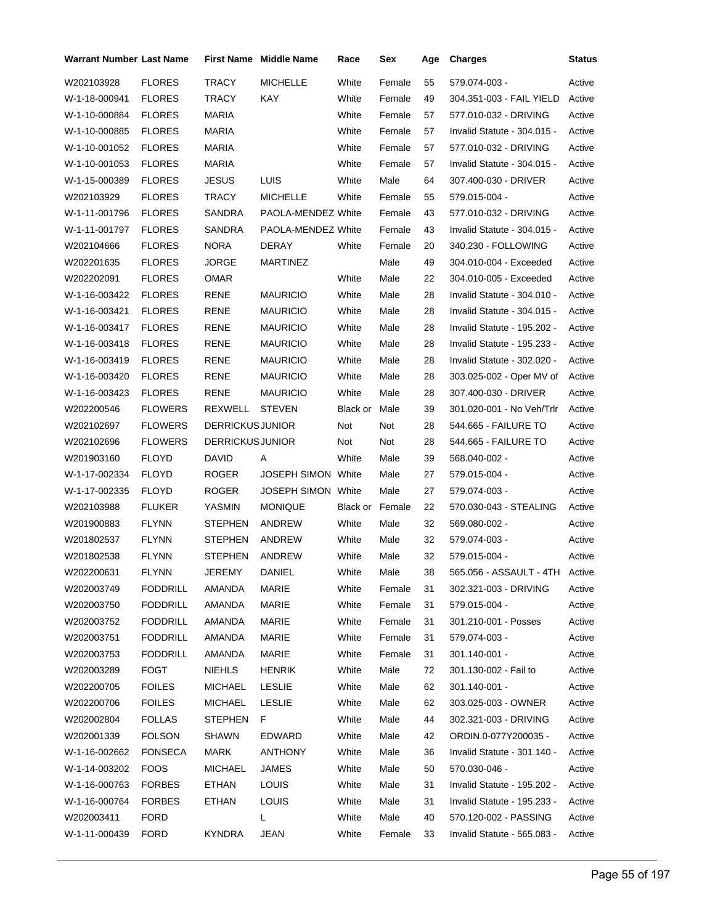| <b>Warrant Number Last Name</b> |                 |                        | <b>First Name</b> Middle Name | Race     | Sex    | Age | <b>Charges</b>                 | Status |
|---------------------------------|-----------------|------------------------|-------------------------------|----------|--------|-----|--------------------------------|--------|
| W202103928                      | <b>FLORES</b>   | <b>TRACY</b>           | <b>MICHELLE</b>               | White    | Female | 55  | 579.074-003 -                  | Active |
| W-1-18-000941                   | <b>FLORES</b>   | TRACY                  | KAY                           | White    | Female | 49  | 304.351-003 - FAIL YIELD       | Active |
| W-1-10-000884                   | <b>FLORES</b>   | MARIA                  |                               | White    | Female | 57  | 577.010-032 - DRIVING          | Active |
| W-1-10-000885                   | <b>FLORES</b>   | <b>MARIA</b>           |                               | White    | Female | 57  | Invalid Statute - 304.015 -    | Active |
| W-1-10-001052                   | <b>FLORES</b>   | <b>MARIA</b>           |                               | White    | Female | 57  | 577.010-032 - DRIVING          | Active |
| W-1-10-001053                   | <b>FLORES</b>   | <b>MARIA</b>           |                               | White    | Female | 57  | Invalid Statute - 304.015 -    | Active |
| W-1-15-000389                   | <b>FLORES</b>   | <b>JESUS</b>           | LUIS                          | White    | Male   | 64  | 307.400-030 - DRIVER           | Active |
| W202103929                      | <b>FLORES</b>   | TRACY                  | <b>MICHELLE</b>               | White    | Female | 55  | 579.015-004 -                  | Active |
| W-1-11-001796                   | <b>FLORES</b>   | SANDRA                 | PAOLA-MENDEZ White            |          | Female | 43  | 577.010-032 - DRIVING          | Active |
| W-1-11-001797                   | <b>FLORES</b>   | SANDRA                 | PAOLA-MENDEZ White            |          | Female | 43  | Invalid Statute - 304.015 -    | Active |
| W202104666                      | <b>FLORES</b>   | <b>NORA</b>            | DERAY                         | White    | Female | 20  | 340.230 - FOLLOWING            | Active |
| W202201635                      | <b>FLORES</b>   | <b>JORGE</b>           | MARTINEZ                      |          | Male   | 49  | 304.010-004 - Exceeded         | Active |
| W202202091                      | <b>FLORES</b>   | <b>OMAR</b>            |                               | White    | Male   | 22  | 304.010-005 - Exceeded         | Active |
| W-1-16-003422                   | <b>FLORES</b>   | RENE                   | <b>MAURICIO</b>               | White    | Male   | 28  | Invalid Statute - 304.010 -    | Active |
| W-1-16-003421                   | <b>FLORES</b>   | RENE                   | <b>MAURICIO</b>               | White    | Male   | 28  | Invalid Statute - 304.015 -    | Active |
| W-1-16-003417                   | <b>FLORES</b>   | <b>RENE</b>            | <b>MAURICIO</b>               | White    | Male   | 28  | Invalid Statute - 195.202 -    | Active |
| W-1-16-003418                   | <b>FLORES</b>   | RENE                   | <b>MAURICIO</b>               | White    | Male   | 28  | Invalid Statute - 195.233 -    | Active |
| W-1-16-003419                   | <b>FLORES</b>   | RENE                   | <b>MAURICIO</b>               | White    | Male   | 28  | Invalid Statute - 302.020 -    | Active |
| W-1-16-003420                   | <b>FLORES</b>   | RENE                   | <b>MAURICIO</b>               | White    | Male   | 28  | 303.025-002 - Oper MV of       | Active |
| W-1-16-003423                   | <b>FLORES</b>   | RENE                   | <b>MAURICIO</b>               | White    | Male   | 28  | 307.400-030 - DRIVER           | Active |
| W202200546                      | <b>FLOWERS</b>  | REXWELL                | <b>STEVEN</b>                 | Black or | Male   | 39  | 301.020-001 - No Veh/Trlr      | Active |
| W202102697                      | <b>FLOWERS</b>  | <b>DERRICKUSJUNIOR</b> |                               | Not      | Not    | 28  | 544.665 - FAILURE TO           | Active |
| W202102696                      | <b>FLOWERS</b>  | <b>DERRICKUSJUNIOR</b> |                               | Not      | Not    | 28  | 544.665 - FAILURE TO           | Active |
| W201903160                      | <b>FLOYD</b>    | DAVID                  | Α                             | White    | Male   | 39  | 568.040-002 -                  | Active |
| W-1-17-002334                   | <b>FLOYD</b>    | <b>ROGER</b>           | <b>JOSEPH SIMON White</b>     |          | Male   | 27  | 579.015-004 -                  | Active |
| W-1-17-002335                   | <b>FLOYD</b>    | <b>ROGER</b>           | <b>JOSEPH SIMON White</b>     |          | Male   | 27  | 579.074-003 -                  | Active |
| W202103988                      | <b>FLUKER</b>   | YASMIN                 | <b>MONIQUE</b>                | Black or | Female | 22  | 570.030-043 - STEALING         | Active |
| W201900883                      | <b>FLYNN</b>    | <b>STEPHEN</b>         | ANDREW                        | White    | Male   | 32  | 569.080-002 -                  | Active |
| W201802537                      | <b>FLYNN</b>    | <b>STEPHEN</b>         | ANDREW                        | White    | Male   | 32  | 579.074-003 -                  | Active |
| W201802538                      | <b>FLYNN</b>    | <b>STEPHEN</b>         | <b>ANDREW</b>                 | White    | Male   | 32  | 579.015-004 -                  | Active |
| W202200631                      | <b>FLYNN</b>    | JEREMY                 | DANIEL                        | White    | Male   | 38  | 565.056 - ASSAULT - 4TH Active |        |
| W202003749                      | <b>FODDRILL</b> | AMANDA                 | MARIE                         | White    | Female | 31  | 302.321-003 - DRIVING          | Active |
| W202003750                      | <b>FODDRILL</b> | AMANDA                 | MARIE                         | White    | Female | 31  | 579.015-004 -                  | Active |
| W202003752                      | <b>FODDRILL</b> | AMANDA                 | MARIE                         | White    | Female | 31  | 301.210-001 - Posses           | Active |
| W202003751                      | <b>FODDRILL</b> | AMANDA                 | MARIE                         | White    | Female | 31  | 579.074-003 -                  | Active |
| W202003753                      | <b>FODDRILL</b> | AMANDA                 | MARIE                         | White    | Female | 31  | 301.140-001 -                  | Active |
| W202003289                      | FOGT            | <b>NIEHLS</b>          | <b>HENRIK</b>                 | White    | Male   | 72  | 301.130-002 - Fail to          | Active |
| W202200705                      | <b>FOILES</b>   | <b>MICHAEL</b>         | <b>LESLIE</b>                 | White    | Male   | 62  | 301.140-001 -                  | Active |
| W202200706                      | <b>FOILES</b>   | <b>MICHAEL</b>         | LESLIE                        | White    | Male   | 62  | 303.025-003 - OWNER            | Active |
| W202002804                      | <b>FOLLAS</b>   | <b>STEPHEN</b>         | F.                            | White    | Male   | 44  | 302.321-003 - DRIVING          | Active |
| W202001339                      | <b>FOLSON</b>   | SHAWN                  | EDWARD                        | White    | Male   | 42  | ORDIN.0-077Y200035 -           | Active |
| W-1-16-002662                   | <b>FONSECA</b>  | MARK                   | ANTHONY                       | White    | Male   | 36  | Invalid Statute - 301.140 -    | Active |
| W-1-14-003202                   | <b>FOOS</b>     | <b>MICHAEL</b>         | JAMES                         | White    | Male   | 50  | 570.030-046 -                  | Active |
| W-1-16-000763                   | <b>FORBES</b>   | ETHAN                  | <b>LOUIS</b>                  | White    | Male   | 31  | Invalid Statute - 195.202 -    | Active |
| W-1-16-000764                   | <b>FORBES</b>   | ETHAN                  | <b>LOUIS</b>                  | White    | Male   | 31  | Invalid Statute - 195.233 -    | Active |
| W202003411                      | <b>FORD</b>     |                        | L.                            | White    | Male   | 40  | 570.120-002 - PASSING          | Active |
| W-1-11-000439                   | FORD            | KYNDRA                 | <b>JEAN</b>                   | White    | Female | 33  | Invalid Statute - 565.083 -    | Active |
|                                 |                 |                        |                               |          |        |     |                                |        |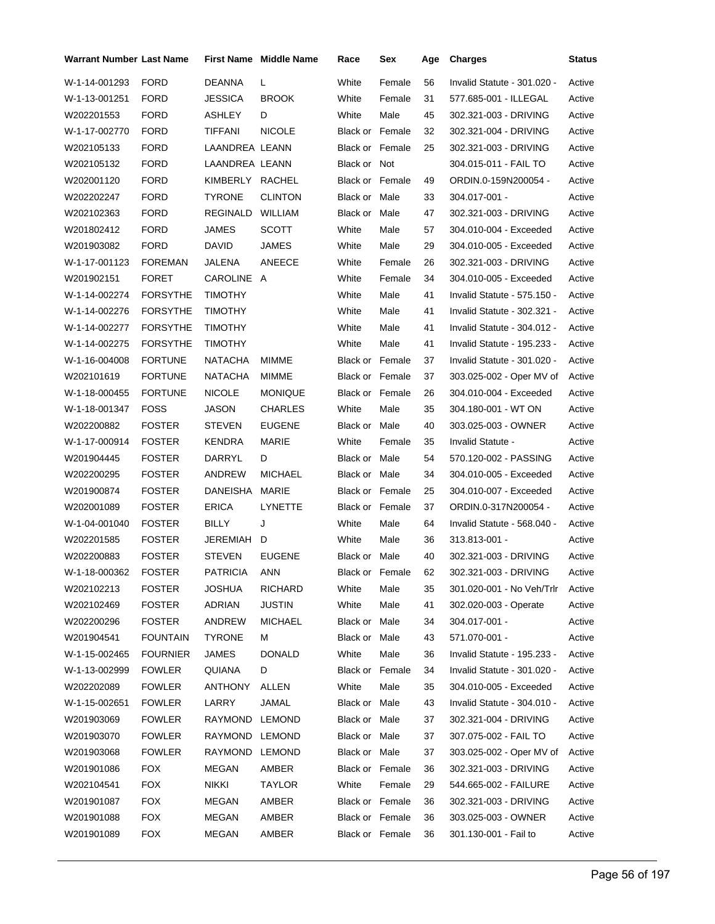| <b>Warrant Number Last Name</b> |                 |                 | First Name Middle Name | Race                   | Sex    | Age | <b>Charges</b>              | <b>Status</b> |
|---------------------------------|-----------------|-----------------|------------------------|------------------------|--------|-----|-----------------------------|---------------|
| W-1-14-001293                   | <b>FORD</b>     | DEANNA          | L                      | White                  | Female | 56  | Invalid Statute - 301.020 - | Active        |
| W-1-13-001251                   | <b>FORD</b>     | JESSICA         | <b>BROOK</b>           | White                  | Female | 31  | 577.685-001 - ILLEGAL       | Active        |
| W202201553                      | FORD            | ASHLEY          | D                      | White                  | Male   | 45  | 302.321-003 - DRIVING       | Active        |
| W-1-17-002770                   | FORD            | TIFFANI         | <b>NICOLE</b>          | <b>Black or Female</b> |        | 32  | 302.321-004 - DRIVING       | Active        |
| W202105133                      | <b>FORD</b>     | LAANDREA LEANN  |                        | <b>Black or Female</b> |        | 25  | 302.321-003 - DRIVING       | Active        |
| W202105132                      | <b>FORD</b>     | LAANDREA LEANN  |                        | Black or Not           |        |     | 304.015-011 - FAIL TO       | Active        |
| W202001120                      | FORD            | KIMBERLY RACHEL |                        | <b>Black or Female</b> |        | 49  | ORDIN.0-159N200054 -        | Active        |
| W202202247                      | <b>FORD</b>     | TYRONE          | <b>CLINTON</b>         | Black or Male          |        | 33  | 304.017-001 -               | Active        |
| W202102363                      | FORD            | REGINALD        | <b>WILLIAM</b>         | Black or Male          |        | 47  | 302.321-003 - DRIVING       | Active        |
| W201802412                      | FORD            | JAMES           | <b>SCOTT</b>           | White                  | Male   | 57  | 304.010-004 - Exceeded      | Active        |
| W201903082                      | <b>FORD</b>     | David           | JAMES                  | White                  | Male   | 29  | 304.010-005 - Exceeded      | Active        |
| W-1-17-001123                   | FOREMAN         | JALENA          | ANEECE                 | White                  | Female | 26  | 302.321-003 - DRIVING       | Active        |
| W201902151                      | <b>FORET</b>    | CAROLINE A      |                        | White                  | Female | 34  | 304.010-005 - Exceeded      | Active        |
| W-1-14-002274                   | <b>FORSYTHE</b> | TIMOTHY         |                        | White                  | Male   | 41  | Invalid Statute - 575.150 - | Active        |
| W-1-14-002276                   | FORSYTHE        | TIMOTHY         |                        | White                  | Male   | 41  | Invalid Statute - 302.321 - | Active        |
| W-1-14-002277                   | <b>FORSYTHE</b> | <b>TIMOTHY</b>  |                        | White                  | Male   | 41  | Invalid Statute - 304.012 - | Active        |
| W-1-14-002275                   | <b>FORSYTHE</b> | TIMOTHY         |                        | White                  | Male   | 41  | Invalid Statute - 195.233 - | Active        |
| W-1-16-004008                   | <b>FORTUNE</b>  | NATACHA         | MIMME                  | <b>Black or Female</b> |        | 37  | Invalid Statute - 301.020 - | Active        |
| W202101619                      | <b>FORTUNE</b>  | <b>NATACHA</b>  | MIMME                  | <b>Black or Female</b> |        | 37  | 303.025-002 - Oper MV of    | Active        |
| W-1-18-000455                   | <b>FORTUNE</b>  | <b>NICOLE</b>   | <b>MONIQUE</b>         | <b>Black or Female</b> |        | 26  | 304.010-004 - Exceeded      | Active        |
| W-1-18-001347                   | FOSS            | JASON           | <b>CHARLES</b>         | White                  | Male   | 35  | 304.180-001 - WT ON         | Active        |
| W202200882                      | <b>FOSTER</b>   | STEVEN          | <b>EUGENE</b>          | Black or Male          |        | 40  | 303.025-003 - OWNER         | Active        |
| W-1-17-000914                   | <b>FOSTER</b>   | KENDRA          | MARIE                  | White                  | Female | 35  | Invalid Statute -           | Active        |
| W201904445                      | <b>FOSTER</b>   | DARRYL          | D                      | Black or Male          |        | 54  | 570.120-002 - PASSING       | Active        |
| W202200295                      | <b>FOSTER</b>   | ANDREW          | <b>MICHAEL</b>         | Black or Male          |        | 34  | 304.010-005 - Exceeded      | Active        |
| W201900874                      | <b>FOSTER</b>   | DANEISHA        | MARIE                  | <b>Black or Female</b> |        | 25  | 304.010-007 - Exceeded      | Active        |
| W202001089                      | FOSTER          | ERICA           | LYNETTE                | <b>Black or Female</b> |        | 37  | ORDIN.0-317N200054 -        | Active        |
| W-1-04-001040                   | <b>FOSTER</b>   | BILLY           | J                      | White                  | Male   | 64  | Invalid Statute - 568.040 - | Active        |
| W202201585                      | <b>FOSTER</b>   | JEREMIAH        | D                      | White                  | Male   | 36  | 313.813-001 -               | Active        |
| W202200883                      | <b>FOSTER</b>   | <b>STEVEN</b>   | <b>EUGENE</b>          | Black or Male          |        | 40  | 302.321-003 - DRIVING       | Active        |
| W-1-18-000362 FOSTER            |                 | PATRICIA        | ANN                    | Black or Female        |        | 62  | 302.321-003 - DRIVING       | Active        |
| W202102213                      | <b>FOSTER</b>   | JOSHUA          | <b>RICHARD</b>         | White                  | Male   | 35  | 301.020-001 - No Veh/Trlr   | Active        |
| W202102469                      | <b>FOSTER</b>   | ADRIAN          | <b>JUSTIN</b>          | White                  | Male   | 41  | 302.020-003 - Operate       | Active        |
| W202200296                      | <b>FOSTER</b>   | ANDREW          | <b>MICHAEL</b>         | Black or Male          |        | 34  | 304.017-001 -               | Active        |
| W201904541                      | <b>FOUNTAIN</b> | <b>TYRONE</b>   | м                      | Black or Male          |        | 43  | 571.070-001 -               | Active        |
| W-1-15-002465                   | <b>FOURNIER</b> | JAMES           | <b>DONALD</b>          | White                  | Male   | 36  | Invalid Statute - 195.233 - | Active        |
| W-1-13-002999                   | <b>FOWLER</b>   | QUIANA          | D                      | Black or Female        |        | 34  | Invalid Statute - 301.020 - | Active        |
| W202202089                      | FOWLER          | ANTHONY         | ALLEN                  | White                  | Male   | 35  | 304.010-005 - Exceeded      | Active        |
| W-1-15-002651                   | <b>FOWLER</b>   | LARRY           | JAMAL                  | Black or Male          |        | 43  | Invalid Statute - 304.010 - | Active        |
| W201903069                      | <b>FOWLER</b>   | RAYMOND LEMOND  |                        | Black or Male          |        | 37  | 302.321-004 - DRIVING       | Active        |
| W201903070                      | FOWLER          | RAYMOND LEMOND  |                        | Black or Male          |        | 37  | 307.075-002 - FAIL TO       | Active        |
| W201903068                      | FOWLER          | RAYMOND LEMOND  |                        | Black or Male          |        | 37  | 303.025-002 - Oper MV of    | Active        |
| W201901086                      | <b>FOX</b>      | MEGAN           | AMBER                  | Black or Female        |        | 36  | 302.321-003 - DRIVING       | Active        |
| W202104541                      | <b>FOX</b>      | <b>NIKKI</b>    | <b>TAYLOR</b>          | White                  | Female | 29  | 544.665-002 - FAILURE       | Active        |
| W201901087                      | <b>FOX</b>      | MEGAN           | AMBER                  | Black or Female        |        | 36  | 302.321-003 - DRIVING       | Active        |
| W201901088                      | <b>FOX</b>      | MEGAN           | AMBER                  | Black or Female        |        | 36  | 303.025-003 - OWNER         | Active        |
| W201901089                      | <b>FOX</b>      | MEGAN           | AMBER                  | Black or Female        |        | 36  | 301.130-001 - Fail to       | Active        |
|                                 |                 |                 |                        |                        |        |     |                             |               |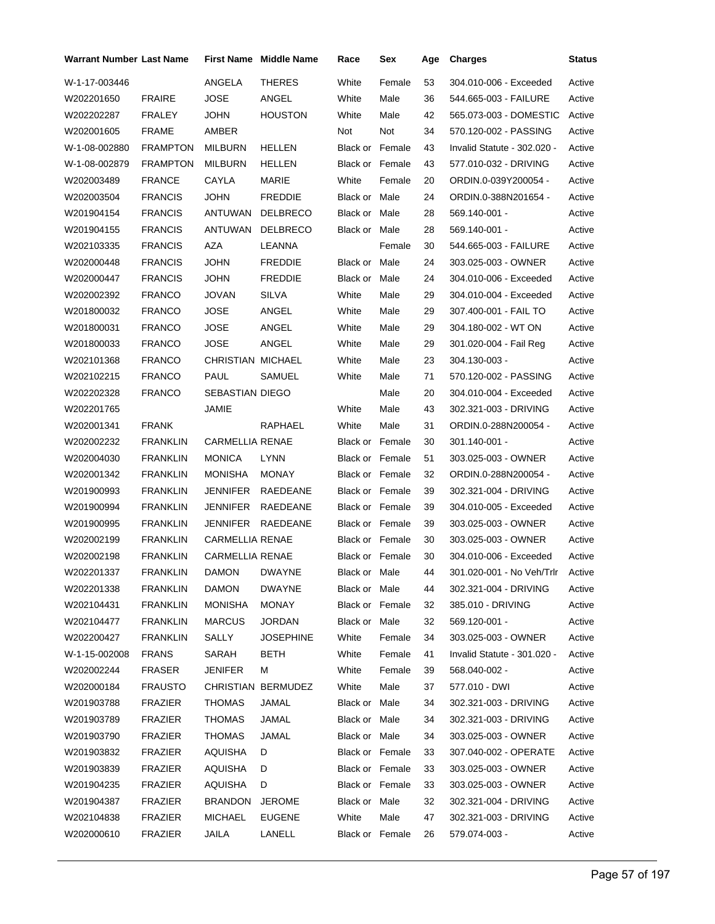| <b>Warrant Number Last Name</b> |                 |                          | <b>First Name</b> Middle Name | Race                   | Sex    | Age | <b>Charges</b>              | Status |
|---------------------------------|-----------------|--------------------------|-------------------------------|------------------------|--------|-----|-----------------------------|--------|
| W-1-17-003446                   |                 | ANGELA                   | <b>THERES</b>                 | White                  | Female | 53  | 304.010-006 - Exceeded      | Active |
| W202201650                      | <b>FRAIRE</b>   | JOSE                     | ANGEL                         | White                  | Male   | 36  | 544.665-003 - FAILURE       | Active |
| W202202287                      | <b>FRALEY</b>   | <b>JOHN</b>              | <b>HOUSTON</b>                | White                  | Male   | 42  | 565.073-003 - DOMESTIC      | Active |
| W202001605                      | <b>FRAME</b>    | AMBER                    |                               | Not                    | Not    | 34  | 570.120-002 - PASSING       | Active |
| W-1-08-002880                   | <b>FRAMPTON</b> | <b>MILBURN</b>           | HELLEN                        | <b>Black or Female</b> |        | 43  | Invalid Statute - 302.020 - | Active |
| W-1-08-002879                   | <b>FRAMPTON</b> | <b>MILBURN</b>           | HELLEN                        | <b>Black or Female</b> |        | 43  | 577.010-032 - DRIVING       | Active |
| W202003489                      | <b>FRANCE</b>   | CAYLA                    | <b>MARIE</b>                  | White                  | Female | 20  | ORDIN.0-039Y200054 -        | Active |
| W202003504                      | <b>FRANCIS</b>  | <b>JOHN</b>              | <b>FREDDIE</b>                | Black or Male          |        | 24  | ORDIN.0-388N201654 -        | Active |
| W201904154                      | <b>FRANCIS</b>  | ANTUWAN                  | <b>DELBRECO</b>               | Black or Male          |        | 28  | 569.140-001 -               | Active |
| W201904155                      | <b>FRANCIS</b>  | <b>ANTUWAN</b>           | <b>DELBRECO</b>               | Black or Male          |        | 28  | 569.140-001 -               | Active |
| W202103335                      | <b>FRANCIS</b>  | AZA                      | LEANNA                        |                        | Female | 30  | 544.665-003 - FAILURE       | Active |
| W202000448                      | <b>FRANCIS</b>  | <b>JOHN</b>              | <b>FREDDIE</b>                | Black or Male          |        | 24  | 303.025-003 - OWNER         | Active |
| W202000447                      | <b>FRANCIS</b>  | JOHN                     | <b>FREDDIE</b>                | Black or Male          |        | 24  | 304.010-006 - Exceeded      | Active |
| W202002392                      | <b>FRANCO</b>   | JOVAN                    | SILVA                         | White                  | Male   | 29  | 304.010-004 - Exceeded      | Active |
| W201800032                      | <b>FRANCO</b>   | JOSE                     | ANGEL                         | White                  | Male   | 29  | 307.400-001 - FAIL TO       | Active |
| W201800031                      | <b>FRANCO</b>   | <b>JOSE</b>              | ANGEL                         | White                  | Male   | 29  | 304.180-002 - WT ON         | Active |
| W201800033                      | <b>FRANCO</b>   | <b>JOSE</b>              | ANGEL                         | White                  | Male   | 29  | 301.020-004 - Fail Reg      | Active |
| W202101368                      | <b>FRANCO</b>   | <b>CHRISTIAN MICHAEL</b> |                               | White                  | Male   | 23  | 304.130-003 -               | Active |
| W202102215                      | <b>FRANCO</b>   | PAUL                     | SAMUEL                        | White                  | Male   | 71  | 570.120-002 - PASSING       | Active |
| W202202328                      | <b>FRANCO</b>   | SEBASTIAN DIEGO          |                               |                        | Male   | 20  | 304.010-004 - Exceeded      | Active |
| W202201765                      |                 | JAMIE                    |                               | White                  | Male   | 43  | 302.321-003 - DRIVING       | Active |
| W202001341                      | <b>FRANK</b>    |                          | RAPHAEL                       | White                  | Male   | 31  | ORDIN.0-288N200054 -        | Active |
| W202002232                      | <b>FRANKLIN</b> | <b>CARMELLIA RENAE</b>   |                               | <b>Black or Female</b> |        | 30  | 301.140-001 -               | Active |
| W202004030                      | <b>FRANKLIN</b> | <b>MONICA</b>            | <b>LYNN</b>                   | <b>Black or Female</b> |        | 51  | 303.025-003 - OWNER         | Active |
| W202001342                      | <b>FRANKLIN</b> | <b>MONISHA</b>           | <b>MONAY</b>                  | Black or Female        |        | 32  | ORDIN.0-288N200054 -        | Active |
| W201900993                      | <b>FRANKLIN</b> | JENNIFER                 | RAEDEANE                      | <b>Black or Female</b> |        | 39  | 302.321-004 - DRIVING       | Active |
| W201900994                      | <b>FRANKLIN</b> | JENNIFER                 | <b>RAEDEANE</b>               | Black or Female        |        | 39  | 304.010-005 - Exceeded      | Active |
| W201900995                      | <b>FRANKLIN</b> | JENNIFER                 | RAEDEANE                      | Black or Female        |        | 39  | 303.025-003 - OWNER         | Active |
| W202002199                      | <b>FRANKLIN</b> | <b>CARMELLIA RENAE</b>   |                               | Black or Female        |        | 30  | 303.025-003 - OWNER         | Active |
| W202002198                      | <b>FRANKLIN</b> | <b>CARMELLIA RENAE</b>   |                               | Black or Female        |        | 30  | 304.010-006 - Exceeded      | Active |
| W202201337                      | FRANKLIN        | DAMON DWAYNE             |                               | Black or Male          |        | 44  | 301.020-001 - No Veh/Trlr   | Active |
| W202201338                      | <b>FRANKLIN</b> | DAMON                    | <b>DWAYNE</b>                 | Black or Male          |        | 44  | 302.321-004 - DRIVING       | Active |
| W202104431                      | <b>FRANKLIN</b> | MONISHA                  | MONAY                         | Black or Female        |        | 32  | 385.010 - DRIVING           | Active |
| W202104477                      | <b>FRANKLIN</b> | <b>MARCUS</b>            | <b>JORDAN</b>                 | Black or Male          |        | 32  | 569.120-001 -               | Active |
| W202200427                      | <b>FRANKLIN</b> | SALLY                    | JOSEPHINE                     | White                  | Female | 34  | 303.025-003 - OWNER         | Active |
| W-1-15-002008                   | <b>FRANS</b>    | SARAH                    | BETH                          | White                  | Female | 41  | Invalid Statute - 301.020 - | Active |
| W202002244                      | FRASER          | <b>JENIFER</b>           | М                             | White                  | Female | 39  | 568.040-002 -               | Active |
| W202000184                      | <b>FRAUSTO</b>  |                          | CHRISTIAN BERMUDEZ            | White                  | Male   | 37  | 577.010 - DWI               | Active |
| W201903788                      | FRAZIER         | THOMAS                   | JAMAL                         | Black or Male          |        | 34  | 302.321-003 - DRIVING       | Active |
| W201903789                      | FRAZIER         | <b>THOMAS</b>            | JAMAL                         | Black or Male          |        | 34  | 302.321-003 - DRIVING       | Active |
| W201903790                      | FRAZIER         | <b>THOMAS</b>            | JAMAL                         | Black or Male          |        | 34  | 303.025-003 - OWNER         | Active |
| W201903832                      | FRAZIER         | AQUISHA                  | D                             | Black or Female        |        | 33  | 307.040-002 - OPERATE       | Active |
| W201903839                      | <b>FRAZIER</b>  | AQUISHA                  | D                             | Black or Female        |        | 33  | 303.025-003 - OWNER         | Active |
| W201904235                      | <b>FRAZIER</b>  | AQUISHA                  | D                             | Black or Female        |        | 33  | 303.025-003 - OWNER         | Active |
| W201904387                      | FRAZIER         | <b>BRANDON</b>           | <b>JEROME</b>                 | Black or Male          |        | 32  | 302.321-004 - DRIVING       | Active |
| W202104838                      | <b>FRAZIER</b>  | <b>MICHAEL</b>           | <b>EUGENE</b>                 | White                  | Male   | 47  | 302.321-003 - DRIVING       | Active |
| W202000610                      | FRAZIER         | JAILA                    | LANELL                        | Black or Female        |        | 26  | 579.074-003 -               | Active |
|                                 |                 |                          |                               |                        |        |     |                             |        |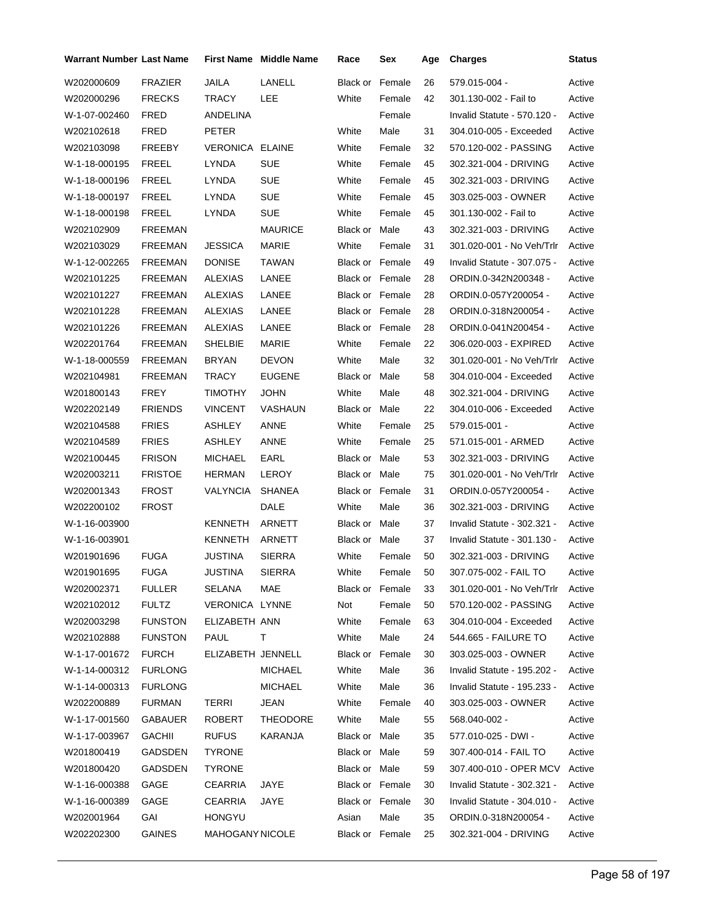| Warrant Number Last Name |                | <b>First Name</b> | <b>Middle Name</b> | Race                   | Sex    | Age | <b>Charges</b>              | <b>Status</b> |
|--------------------------|----------------|-------------------|--------------------|------------------------|--------|-----|-----------------------------|---------------|
| W202000609               | <b>FRAZIER</b> | <b>JAILA</b>      | LANELL             | Black or               | Female | 26  | 579.015-004 -               | Active        |
| W202000296               | <b>FRECKS</b>  | <b>TRACY</b>      | LEE                | White                  | Female | 42  | 301.130-002 - Fail to       | Active        |
| W-1-07-002460            | <b>FRED</b>    | ANDELINA          |                    |                        | Female |     | Invalid Statute - 570.120 - | Active        |
| W202102618               | FRED           | <b>PETER</b>      |                    | White                  | Male   | 31  | 304.010-005 - Exceeded      | Active        |
| W202103098               | FREEBY         | VERONICA ELAINE   |                    | White                  | Female | 32  | 570.120-002 - PASSING       | Active        |
| W-1-18-000195            | <b>FREEL</b>   | LYNDA             | <b>SUE</b>         | White                  | Female | 45  | 302.321-004 - DRIVING       | Active        |
| W-1-18-000196            | <b>FREEL</b>   | LYNDA             | <b>SUE</b>         | White                  | Female | 45  | 302.321-003 - DRIVING       | Active        |
| W-1-18-000197            | <b>FREEL</b>   | LYNDA             | <b>SUE</b>         | White                  | Female | 45  | 303.025-003 - OWNER         | Active        |
| W-1-18-000198            | <b>FREEL</b>   | LYNDA             | <b>SUE</b>         | White                  | Female | 45  | 301.130-002 - Fail to       | Active        |
| W202102909               | <b>FREEMAN</b> |                   | <b>MAURICE</b>     | Black or Male          |        | 43  | 302.321-003 - DRIVING       | Active        |
| W202103029               | <b>FREEMAN</b> | <b>JESSICA</b>    | MARIE              | White                  | Female | 31  | 301.020-001 - No Veh/Trlr   | Active        |
| W-1-12-002265            | <b>FREEMAN</b> | <b>DONISE</b>     | <b>TAWAN</b>       | <b>Black or Female</b> |        | 49  | Invalid Statute - 307.075 - | Active        |
| W202101225               | <b>FREEMAN</b> | <b>ALEXIAS</b>    | LANEE              | <b>Black or Female</b> |        | 28  | ORDIN.0-342N200348 -        | Active        |
| W202101227               | <b>FREEMAN</b> | <b>ALEXIAS</b>    | LANEE              | Black or Female        |        | 28  | ORDIN.0-057Y200054 -        | Active        |
| W202101228               | <b>FREEMAN</b> | <b>ALEXIAS</b>    | LANEE              | Black or Female        |        | 28  | ORDIN.0-318N200054 -        | Active        |
| W202101226               | <b>FREEMAN</b> | ALEXIAS           | LANEE              | Black or Female        |        | 28  | ORDIN.0-041N200454 -        | Active        |
| W202201764               | <b>FREEMAN</b> | <b>SHELBIE</b>    | <b>MARIE</b>       | White                  | Female | 22  | 306.020-003 - EXPIRED       | Active        |
| W-1-18-000559            | <b>FREEMAN</b> | <b>BRYAN</b>      | <b>DEVON</b>       | White                  | Male   | 32  | 301.020-001 - No Veh/Trlr   | Active        |
| W202104981               | <b>FREEMAN</b> | <b>TRACY</b>      | <b>EUGENE</b>      | Black or Male          |        | 58  | 304.010-004 - Exceeded      | Active        |
| W201800143               | FREY           | <b>TIMOTHY</b>    | <b>JOHN</b>        | White                  | Male   | 48  | 302.321-004 - DRIVING       | Active        |
| W202202149               | <b>FRIENDS</b> | <b>VINCENT</b>    | VASHAUN            | Black or Male          |        | 22  | 304.010-006 - Exceeded      | Active        |
| W202104588               | <b>FRIES</b>   | ASHLEY            | ANNE               | White                  | Female | 25  | 579.015-001 -               | Active        |
| W202104589               | <b>FRIES</b>   | ASHLEY            | ANNE               | White                  | Female | 25  | 571.015-001 - ARMED         | Active        |
| W202100445               | <b>FRISON</b>  | <b>MICHAEL</b>    | EARL               | Black or Male          |        | 53  | 302.321-003 - DRIVING       | Active        |
| W202003211               | <b>FRISTOE</b> | <b>HERMAN</b>     | LEROY              | Black or Male          |        | 75  | 301.020-001 - No Veh/Trlr   | Active        |
| W202001343               | <b>FROST</b>   | VALYNCIA          | <b>SHANEA</b>      | Black or Female        |        | 31  | ORDIN.0-057Y200054 -        | Active        |
| W202200102               | <b>FROST</b>   |                   | DALE               | White                  | Male   | 36  | 302.321-003 - DRIVING       | Active        |
| W-1-16-003900            |                | <b>KENNETH</b>    | ARNETT             | Black or Male          |        | 37  | Invalid Statute - 302.321 - | Active        |
| W-1-16-003901            |                | <b>KENNETH</b>    | ARNETT             | Black or Male          |        | 37  | Invalid Statute - 301.130 - | Active        |
| W201901696               | <b>FUGA</b>    | <b>JUSTINA</b>    | <b>SIERRA</b>      | White                  | Female | 50  | 302.321-003 - DRIVING       | Active        |
| W201901695               | <b>FUGA</b>    | <b>JUSTINA</b>    | <b>SIERRA</b>      | White                  | Female | 50  | 307.075-002 - FAIL TO       | Active        |
| W202002371               | <b>FULLER</b>  | SELANA            | MAE                | Black or Female        |        | 33  | 301.020-001 - No Veh/Trlr   | Active        |
| W202102012               | <b>FULTZ</b>   | VERONICA LYNNE    |                    | Not                    | Female | 50  | 570.120-002 - PASSING       | Active        |
| W202003298               | <b>FUNSTON</b> | ELIZABETH ANN     |                    | White                  | Female | 63  | 304.010-004 - Exceeded      | Active        |
| W202102888               | <b>FUNSTON</b> | PAUL              | T.                 | White                  | Male   | 24  | 544.665 - FAILURE TO        | Active        |
| W-1-17-001672            | <b>FURCH</b>   | ELIZABETH JENNELL |                    | Black or Female        |        | 30  | 303.025-003 - OWNER         | Active        |
| W-1-14-000312            | <b>FURLONG</b> |                   | <b>MICHAEL</b>     | White                  | Male   | 36  | Invalid Statute - 195.202 - | Active        |
| W-1-14-000313            | <b>FURLONG</b> |                   | <b>MICHAEL</b>     | White                  | Male   | 36  | Invalid Statute - 195.233 - | Active        |
| W202200889               | <b>FURMAN</b>  | <b>TERRI</b>      | JEAN               | White                  | Female | 40  | 303.025-003 - OWNER         | Active        |
| W-1-17-001560            | <b>GABAUER</b> | ROBERT            | <b>THEODORE</b>    | White                  | Male   | 55  | 568.040-002 -               | Active        |
| W-1-17-003967            | <b>GACHII</b>  | <b>RUFUS</b>      | KARANJA            | Black or Male          |        | 35  | 577.010-025 - DWI -         | Active        |
| W201800419               | GADSDEN        | <b>TYRONE</b>     |                    | Black or Male          |        | 59  | 307.400-014 - FAIL TO       | Active        |
| W201800420               | GADSDEN        | <b>TYRONE</b>     |                    | Black or Male          |        | 59  | 307.400-010 - OPER MCV      | Active        |
| W-1-16-000388            | GAGE           | CEARRIA           | JAYE               | Black or Female        |        | 30  | Invalid Statute - 302.321 - | Active        |
| W-1-16-000389            | GAGE           | <b>CEARRIA</b>    | JAYE               | Black or Female        |        | 30  | Invalid Statute - 304.010 - | Active        |
| W202001964               | GAI            | <b>HONGYU</b>     |                    | Asian                  | Male   | 35  | ORDIN.0-318N200054 -        | Active        |
| W202202300               | <b>GAINES</b>  | MAHOGANY NICOLE   |                    | Black or Female        |        | 25  | 302.321-004 - DRIVING       | Active        |
|                          |                |                   |                    |                        |        |     |                             |               |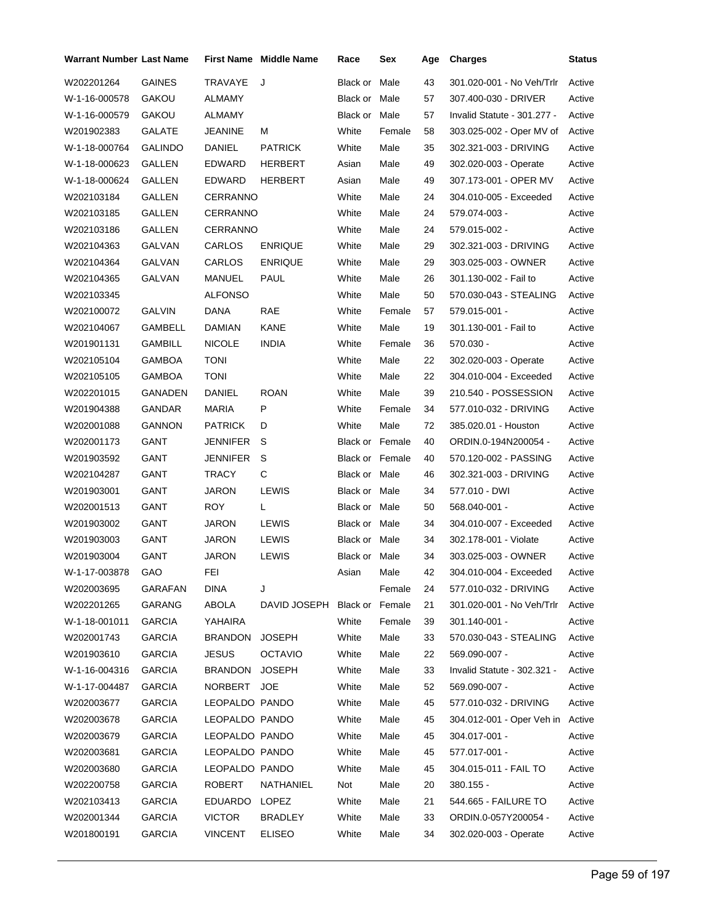| <b>Warrant Number Last Name</b> |                |                 | <b>First Name</b> Middle Name | Race                   | Sex    | Age | <b>Charges</b>                   | <b>Status</b> |
|---------------------------------|----------------|-----------------|-------------------------------|------------------------|--------|-----|----------------------------------|---------------|
| W202201264                      | <b>GAINES</b>  | <b>TRAVAYE</b>  | J                             | Black or               | Male   | 43  | 301.020-001 - No Veh/Trlr        | Active        |
| W-1-16-000578                   | GAKOU          | ALMAMY          |                               | Black or Male          |        | 57  | 307.400-030 - DRIVER             | Active        |
| W-1-16-000579                   | GAKOU          | ALMAMY          |                               | Black or               | Male   | 57  | Invalid Statute - 301.277 -      | Active        |
| W201902383                      | GALATE         | JEANINE         | М                             | White                  | Female | 58  | 303.025-002 - Oper MV of         | Active        |
| W-1-18-000764                   | <b>GALINDO</b> | DANIEL          | <b>PATRICK</b>                | White                  | Male   | 35  | 302.321-003 - DRIVING            | Active        |
| W-1-18-000623                   | GALLEN         | EDWARD          | HERBERT                       | Asian                  | Male   | 49  | 302.020-003 - Operate            | Active        |
| W-1-18-000624                   | GALLEN         | EDWARD          | HERBERT                       | Asian                  | Male   | 49  | 307.173-001 - OPER MV            | Active        |
| W202103184                      | GALLEN         | CERRANNO        |                               | White                  | Male   | 24  | 304.010-005 - Exceeded           | Active        |
| W202103185                      | GALLEN         | <b>CERRANNO</b> |                               | White                  | Male   | 24  | 579.074-003 -                    | Active        |
| W202103186                      | GALLEN         | CERRANNO        |                               | White                  | Male   | 24  | 579.015-002 -                    | Active        |
| W202104363                      | GALVAN         | CARLOS          | <b>ENRIQUE</b>                | White                  | Male   | 29  | 302.321-003 - DRIVING            | Active        |
| W202104364                      | GALVAN         | CARLOS          | <b>ENRIQUE</b>                | White                  | Male   | 29  | 303.025-003 - OWNER              | Active        |
| W202104365                      | GALVAN         | <b>MANUEL</b>   | PAUL                          | White                  | Male   | 26  | 301.130-002 - Fail to            | Active        |
| W202103345                      |                | ALFONSO         |                               | White                  | Male   | 50  | 570.030-043 - STEALING           | Active        |
| W202100072                      | <b>GALVIN</b>  | DANA            | <b>RAE</b>                    | White                  | Female | 57  | 579.015-001 -                    | Active        |
| W202104067                      | GAMBELL        | <b>DAMIAN</b>   | KANE                          | White                  | Male   | 19  | 301.130-001 - Fail to            | Active        |
| W201901131                      | GAMBILL        | <b>NICOLE</b>   | <b>INDIA</b>                  | White                  | Female | 36  | 570.030 -                        | Active        |
| W202105104                      | <b>GAMBOA</b>  | <b>TONI</b>     |                               | White                  | Male   | 22  | 302.020-003 - Operate            | Active        |
| W202105105                      | <b>GAMBOA</b>  | <b>TONI</b>     |                               | White                  | Male   | 22  | 304.010-004 - Exceeded           | Active        |
| W202201015                      | GANADEN        | DANIEL          | <b>ROAN</b>                   | White                  | Male   | 39  | 210.540 - POSSESSION             | Active        |
| W201904388                      | GANDAR         | <b>MARIA</b>    | P                             | White                  | Female | 34  | 577.010-032 - DRIVING            | Active        |
| W202001088                      | <b>GANNON</b>  | <b>PATRICK</b>  | D                             | White                  | Male   | 72  | 385.020.01 - Houston             | Active        |
| W202001173                      | GANT           | JENNIFER        | S                             | <b>Black or Female</b> |        | 40  | ORDIN.0-194N200054 -             | Active        |
| W201903592                      | GANT           | JENNIFER        | S                             | Black or Female        |        | 40  | 570.120-002 - PASSING            | Active        |
| W202104287                      | GANT           | <b>TRACY</b>    | С                             | Black or Male          |        | 46  | 302.321-003 - DRIVING            | Active        |
| W201903001                      | GANT           | JARON           | LEWIS                         | Black or Male          |        | 34  | 577.010 - DWI                    | Active        |
| W202001513                      | GANT           | <b>ROY</b>      | L                             | Black or Male          |        | 50  | 568.040-001 -                    | Active        |
| W201903002                      | GANT           | <b>JARON</b>    | <b>LEWIS</b>                  | Black or Male          |        | 34  | 304.010-007 - Exceeded           | Active        |
| W201903003                      | GANT           | JARON           | LEWIS                         | Black or Male          |        | 34  | 302.178-001 - Violate            | Active        |
| W201903004                      | GANT           | JARON           | LEWIS                         | Black or Male          |        | 34  | 303.025-003 - OWNER              | Active        |
| W-1-17-003878                   | <b>GAO</b>     | FEI             |                               | Asian                  | Male   | 42  | 304.010-004 - Exceeded           | Active        |
| W202003695                      | GARAFAN        | <b>DINA</b>     | J                             |                        | Female | 24  | 577.010-032 - DRIVING            | Active        |
| W202201265                      | <b>GARANG</b>  | ABOLA           | DAVID JOSEPH Black or Female  |                        |        | 21  | 301.020-001 - No Veh/Trlr        | Active        |
| W-1-18-001011                   | <b>GARCIA</b>  | YAHAIRA         |                               | White                  | Female | 39  | 301.140-001 -                    | Active        |
| W202001743                      | <b>GARCIA</b>  | BRANDON         | <b>JOSEPH</b>                 | White                  | Male   | 33  | 570.030-043 - STEALING           | Active        |
| W201903610                      | <b>GARCIA</b>  | <b>JESUS</b>    | <b>OCTAVIO</b>                | White                  | Male   | 22  | 569.090-007 -                    | Active        |
| W-1-16-004316                   | <b>GARCIA</b>  | BRANDON JOSEPH  |                               | White                  | Male   | 33  | Invalid Statute - 302.321 -      | Active        |
| W-1-17-004487                   | GARCIA         | NORBERT JOE     |                               | White                  | Male   | 52  | 569.090-007 -                    | Active        |
| W202003677                      | <b>GARCIA</b>  | LEOPALDO PANDO  |                               | White                  | Male   | 45  | 577.010-032 - DRIVING            | Active        |
| W202003678                      | <b>GARCIA</b>  | LEOPALDO PANDO  |                               | White                  | Male   | 45  | 304.012-001 - Oper Veh in Active |               |
| W202003679                      | GARCIA         | LEOPALDO PANDO  |                               | White                  | Male   | 45  | 304.017-001 -                    | Active        |
| W202003681                      | <b>GARCIA</b>  | LEOPALDO PANDO  |                               | White                  | Male   | 45  | 577.017-001 -                    | Active        |
| W202003680                      | <b>GARCIA</b>  | LEOPALDO PANDO  |                               | White                  | Male   | 45  | 304.015-011 - FAIL TO            | Active        |
| W202200758                      | GARCIA         | ROBERT          | NATHANIEL                     | Not                    | Male   | 20  | $380.155 -$                      | Active        |
| W202103413                      | <b>GARCIA</b>  | EDUARDO         | <b>LOPEZ</b>                  | White                  | Male   | 21  | 544.665 - FAILURE TO             | Active        |
| W202001344                      | <b>GARCIA</b>  | <b>VICTOR</b>   | <b>BRADLEY</b>                | White                  | Male   | 33  | ORDIN.0-057Y200054 -             | Active        |
| W201800191                      | GARCIA         | <b>VINCENT</b>  | <b>ELISEO</b>                 | White                  | Male   | 34  | 302.020-003 - Operate            | Active        |
|                                 |                |                 |                               |                        |        |     |                                  |               |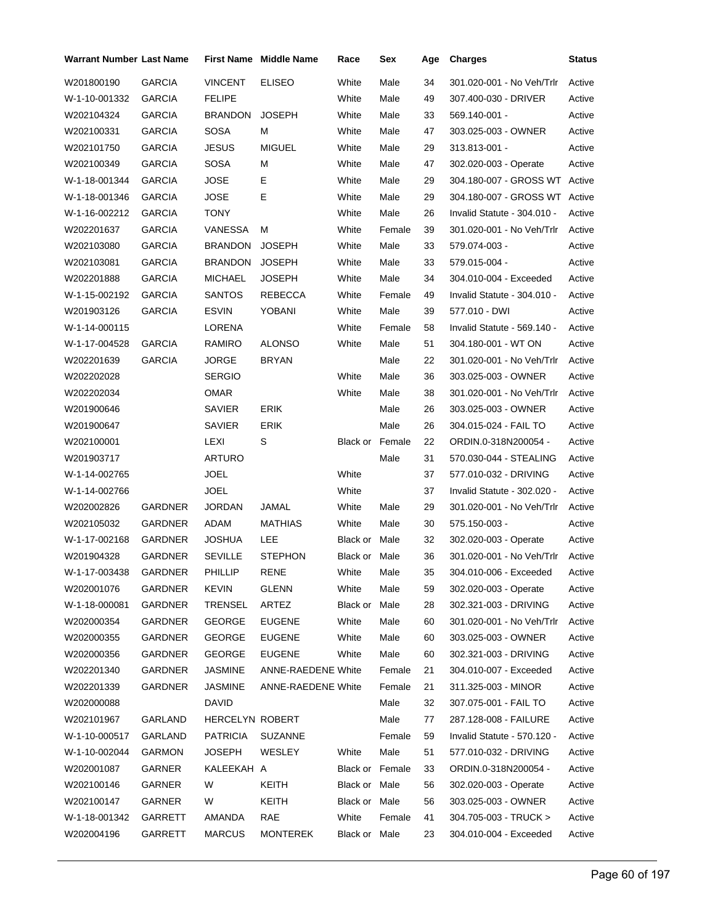| Warrant Number Last Name |                |                 | <b>First Name Middle Name</b> | Race            | Sex    | Age | <b>Charges</b>                | <b>Status</b> |
|--------------------------|----------------|-----------------|-------------------------------|-----------------|--------|-----|-------------------------------|---------------|
| W201800190               | <b>GARCIA</b>  | <b>VINCENT</b>  | <b>ELISEO</b>                 | White           | Male   | 34  | 301.020-001 - No Veh/Trlr     | Active        |
| W-1-10-001332            | <b>GARCIA</b>  | <b>FELIPE</b>   |                               | White           | Male   | 49  | 307.400-030 - DRIVER          | Active        |
| W202104324               | <b>GARCIA</b>  | BRANDON         | <b>JOSEPH</b>                 | White           | Male   | 33  | 569.140-001 -                 | Active        |
| W202100331               | <b>GARCIA</b>  | <b>SOSA</b>     | м                             | White           | Male   | 47  | 303.025-003 - OWNER           | Active        |
| W202101750               | <b>GARCIA</b>  | <b>JESUS</b>    | <b>MIGUEL</b>                 | White           | Male   | 29  | 313.813-001 -                 | Active        |
| W202100349               | <b>GARCIA</b>  | SOSA            | м                             | White           | Male   | 47  | 302.020-003 - Operate         | Active        |
| W-1-18-001344            | <b>GARCIA</b>  | <b>JOSE</b>     | Е                             | White           | Male   | 29  | 304.180-007 - GROSS WT Active |               |
| W-1-18-001346            | <b>GARCIA</b>  | <b>JOSE</b>     | Е                             | White           | Male   | 29  | 304.180-007 - GROSS WT Active |               |
| W-1-16-002212            | <b>GARCIA</b>  | TONY            |                               | White           | Male   | 26  | Invalid Statute - 304.010 -   | Active        |
| W202201637               | <b>GARCIA</b>  | VANESSA         | м                             | White           | Female | 39  | 301.020-001 - No Veh/Trlr     | Active        |
| W202103080               | GARCIA         | BRANDON         | <b>JOSEPH</b>                 | White           | Male   | 33  | 579.074-003 -                 | Active        |
| W202103081               | <b>GARCIA</b>  | <b>BRANDON</b>  | <b>JOSEPH</b>                 | White           | Male   | 33  | 579.015-004 -                 | Active        |
| W202201888               | <b>GARCIA</b>  | MICHAEL         | JOSEPH                        | White           | Male   | 34  | 304.010-004 - Exceeded        | Active        |
| W-1-15-002192            | <b>GARCIA</b>  | <b>SANTOS</b>   | REBECCA                       | White           | Female | 49  | Invalid Statute - 304.010 -   | Active        |
| W201903126               | <b>GARCIA</b>  | ESVIN           | YOBANI                        | White           | Male   | 39  | 577.010 - DWI                 | Active        |
| W-1-14-000115            |                | LORENA          |                               | White           | Female | 58  | Invalid Statute - 569.140 -   | Active        |
| W-1-17-004528            | <b>GARCIA</b>  | RAMIRO          | <b>ALONSO</b>                 | White           | Male   | 51  | 304.180-001 - WT ON           | Active        |
| W202201639               | <b>GARCIA</b>  | JORGE           | <b>BRYAN</b>                  |                 | Male   | 22  | 301.020-001 - No Veh/Trlr     | Active        |
| W202202028               |                | SERGIO          |                               | White           | Male   | 36  | 303.025-003 - OWNER           | Active        |
| W202202034               |                | <b>OMAR</b>     |                               | White           | Male   | 38  | 301.020-001 - No Veh/Trlr     | Active        |
| W201900646               |                | SAVIER          | <b>ERIK</b>                   |                 | Male   | 26  | 303.025-003 - OWNER           | Active        |
| W201900647               |                | SAVIER          | <b>ERIK</b>                   |                 | Male   | 26  | 304.015-024 - FAIL TO         | Active        |
| W202100001               |                | LEXI            | S                             | Black or Female |        | 22  | ORDIN.0-318N200054 -          | Active        |
| W201903717               |                | ARTURO          |                               |                 | Male   | 31  | 570.030-044 - STEALING        | Active        |
| W-1-14-002765            |                | <b>JOEL</b>     |                               | White           |        | 37  | 577.010-032 - DRIVING         | Active        |
| W-1-14-002766            |                | <b>JOEL</b>     |                               | White           |        | 37  | Invalid Statute - 302.020 -   | Active        |
| W202002826               | GARDNER        | <b>JORDAN</b>   | JAMAL                         | White           | Male   | 29  | 301.020-001 - No Veh/Trlr     | Active        |
| W202105032               | GARDNER        | ADAM            | MATHIAS                       | White           | Male   | 30  | 575.150-003 -                 | Active        |
| W-1-17-002168            | GARDNER        | JOSHUA          | LEE                           | Black or Male   |        | 32  | 302.020-003 - Operate         | Active        |
| W201904328               | <b>GARDNER</b> | <b>SEVILLE</b>  | <b>STEPHON</b>                | Black or Male   |        | 36  | 301.020-001 - No Veh/Trlr     | Active        |
| W-1-17-003438            | GARDNER        | PHILLIP         | RENE                          | White           | Male   | 35  | 304.010-006 - Exceeded        | Active        |
| W202001076               | GARDNER        | <b>KEVIN</b>    | GLENN                         | White           | Male   | 59  | 302.020-003 - Operate         | Active        |
| W-1-18-000081            | <b>GARDNER</b> | TRENSEL         | ARTEZ                         | Black or Male   |        | 28  | 302.321-003 - DRIVING         | Active        |
| W202000354               | <b>GARDNER</b> | <b>GEORGE</b>   | <b>EUGENE</b>                 | White           | Male   | 60  | 301.020-001 - No Veh/Trlr     | Active        |
| W202000355               | <b>GARDNER</b> | <b>GEORGE</b>   | <b>EUGENE</b>                 | White           | Male   | 60  | 303.025-003 - OWNER           | Active        |
| W202000356               | <b>GARDNER</b> | <b>GEORGE</b>   | <b>EUGENE</b>                 | White           | Male   | 60  | 302.321-003 - DRIVING         | Active        |
| W202201340               | <b>GARDNER</b> | JASMINE         | <b>ANNE-RAEDENE White</b>     |                 | Female | 21  | 304.010-007 - Exceeded        | Active        |
| W202201339               | GARDNER        | <b>JASMINE</b>  | <b>ANNE-RAEDENE White</b>     |                 | Female | 21  | 311.325-003 - MINOR           | Active        |
| W202000088               |                | DAVID           |                               |                 | Male   | 32  | 307.075-001 - FAIL TO         | Active        |
| W202101967               | GARLAND        | HERCELYN ROBERT |                               |                 | Male   | 77  | 287.128-008 - FAILURE         | Active        |
| W-1-10-000517            | GARLAND        | PATRICIA        | <b>SUZANNE</b>                |                 | Female | 59  | Invalid Statute - 570.120 -   | Active        |
| W-1-10-002044            | GARMON         | JOSEPH          | WESLEY                        | White           | Male   | 51  | 577.010-032 - DRIVING         | Active        |
| W202001087               | GARNER         | KALEEKAH A      |                               | Black or Female |        | 33  | ORDIN.0-318N200054 -          | Active        |
| W202100146               | GARNER         | W               | KEITH                         | Black or Male   |        | 56  | 302.020-003 - Operate         | Active        |
| W202100147               | GARNER         | W               | <b>KEITH</b>                  | Black or Male   |        | 56  | 303.025-003 - OWNER           | Active        |
| W-1-18-001342            | GARRETT        | AMANDA          | <b>RAE</b>                    | White           | Female | 41  | 304.705-003 - TRUCK >         | Active        |
| W202004196               | GARRETT        | <b>MARCUS</b>   | <b>MONTEREK</b>               | Black or Male   |        | 23  | 304.010-004 - Exceeded        | Active        |
|                          |                |                 |                               |                 |        |     |                               |               |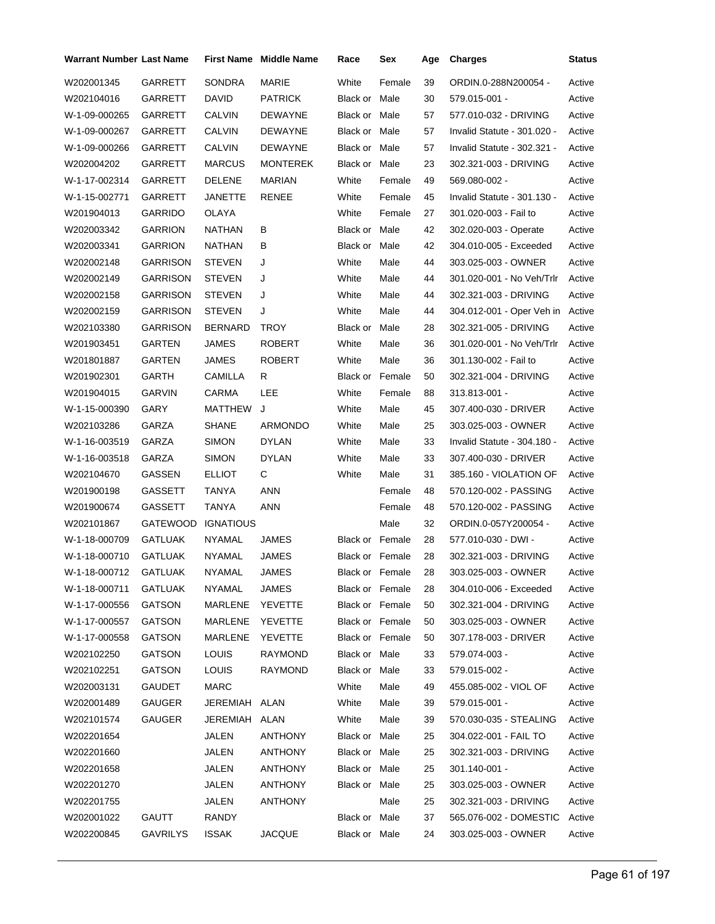| Warrant Number Last Name |                 |                  | <b>First Name Middle Name</b> | Race                   | Sex             | Age | <b>Charges</b>                | Status |
|--------------------------|-----------------|------------------|-------------------------------|------------------------|-----------------|-----|-------------------------------|--------|
| W202001345               | GARRETT         | <b>SONDRA</b>    | MARIE                         | White                  | Female          | 39  | ORDIN.0-288N200054 -          | Active |
| W202104016               | GARRETT         | DAVID            | <b>PATRICK</b>                | Black or Male          |                 | 30  | 579.015-001 -                 | Active |
| W-1-09-000265            | GARRETT         | <b>CALVIN</b>    | DEWAYNE                       | Black or Male          |                 | 57  | 577.010-032 - DRIVING         | Active |
| W-1-09-000267            | GARRETT         | CALVIN           | DEWAYNE                       | Black or Male          |                 | 57  | Invalid Statute - 301.020 -   | Active |
| W-1-09-000266            | GARRETT         | CALVIN           | DEWAYNE                       | Black or Male          |                 | 57  | Invalid Statute - 302.321 -   | Active |
| W202004202               | GARRETT         | <b>MARCUS</b>    | <b>MONTEREK</b>               | Black or Male          |                 | 23  | 302.321-003 - DRIVING         | Active |
| W-1-17-002314            | GARRETT         | <b>DELENE</b>    | <b>MARIAN</b>                 | White                  | Female          | 49  | 569.080-002 -                 | Active |
| W-1-15-002771            | GARRETT         | JANETTE          | RENEE                         | White                  | Female          | 45  | Invalid Statute - 301.130 -   | Active |
| W201904013               | <b>GARRIDO</b>  | <b>OLAYA</b>     |                               | White                  | Female          | 27  | 301.020-003 - Fail to         | Active |
| W202003342               | <b>GARRION</b>  | <b>NATHAN</b>    | В                             | Black or Male          |                 | 42  | 302.020-003 - Operate         | Active |
| W202003341               | <b>GARRION</b>  | NATHAN           | В                             | Black or Male          |                 | 42  | 304.010-005 - Exceeded        | Active |
| W202002148               | <b>GARRISON</b> | <b>STEVEN</b>    | J                             | White                  | Male            | 44  | 303.025-003 - OWNER           | Active |
| W202002149               | <b>GARRISON</b> | <b>STEVEN</b>    | J                             | White                  | Male            | 44  | 301.020-001 - No Veh/Trlr     | Active |
| W202002158               | <b>GARRISON</b> | <b>STEVEN</b>    | J                             | White                  | Male            | 44  | 302.321-003 - DRIVING         | Active |
| W202002159               | <b>GARRISON</b> | <b>STEVEN</b>    | J                             | White                  | Male            | 44  | 304.012-001 - Oper Veh in     | Active |
| W202103380               | <b>GARRISON</b> | <b>BERNARD</b>   | <b>TROY</b>                   | Black or               | Male            | 28  | 302.321-005 - DRIVING         | Active |
| W201903451               | GARTEN          | <b>JAMES</b>     | <b>ROBERT</b>                 | White                  | Male            | 36  | 301.020-001 - No Veh/Trlr     | Active |
| W201801887               | GARTEN          | <b>JAMES</b>     | <b>ROBERT</b>                 | White                  | Male            | 36  | 301.130-002 - Fail to         | Active |
| W201902301               | GARTH           | CAMILLA          | R                             | Black or Female        |                 | 50  | 302.321-004 - DRIVING         | Active |
| W201904015               | <b>GARVIN</b>   | CARMA            | LEE                           | White                  | Female          | 88  | 313.813-001 -                 | Active |
| W-1-15-000390            | GARY            | MATTHEW          | J                             | White                  | Male            | 45  | 307.400-030 - DRIVER          | Active |
| W202103286               | GARZA           | SHANE            | ARMONDO                       | White                  | Male            | 25  | 303.025-003 - OWNER           | Active |
| W-1-16-003519            | GARZA           | <b>SIMON</b>     | DYLAN                         | White                  | Male            | 33  | Invalid Statute - 304.180 -   | Active |
| W-1-16-003518            | GARZA           | <b>SIMON</b>     | <b>DYLAN</b>                  | White                  | Male            | 33  | 307.400-030 - DRIVER          | Active |
| W202104670               | GASSEN          | <b>ELLIOT</b>    | С                             | White                  | Male            | 31  | 385.160 - VIOLATION OF        | Active |
| W201900198               | GASSETT         | TANYA            | <b>ANN</b>                    |                        | Female          | 48  | 570.120-002 - PASSING         | Active |
| W201900674               | GASSETT         | TANYA            | <b>ANN</b>                    |                        | Female          | 48  | 570.120-002 - PASSING         | Active |
| W202101867               | <b>GATEWOOD</b> | <b>IGNATIOUS</b> |                               |                        | Male            | 32  | ORDIN.0-057Y200054 -          | Active |
| W-1-18-000709            | <b>GATLUAK</b>  | NYAMAL           | JAMES                         | <b>Black or Female</b> |                 | 28  | 577.010-030 - DWI -           | Active |
| W-1-18-000710            | <b>GATLUAK</b>  | <b>NYAMAL</b>    | <b>JAMES</b>                  | Black or Female        |                 | 28  | 302.321-003 - DRIVING         | Active |
| W-1-18-000712 GATLUAK    |                 | <b>NYAMAL</b>    | JAMES                         |                        | Black or Female | 28  | 303.025-003 - OWNER           | Active |
| W-1-18-000711            | <b>GATLUAK</b>  | <b>NYAMAL</b>    | JAMES                         | Black or Female        |                 | 28  | 304.010-006 - Exceeded        | Active |
| W-1-17-000556            | GATSON          | MARLENE          | YEVETTE                       | Black or Female        |                 | 50  | 302.321-004 - DRIVING         | Active |
| W-1-17-000557            | GATSON          | MARLENE          | YEVETTE                       | Black or Female        |                 | 50  | 303.025-003 - OWNER           | Active |
| W-1-17-000558            | <b>GATSON</b>   | MARLENE          | YEVETTE                       | <b>Black or Female</b> |                 | 50  | 307.178-003 - DRIVER          | Active |
| W202102250               | GATSON          | <b>LOUIS</b>     | RAYMOND                       | Black or Male          |                 | 33  | 579.074-003 -                 | Active |
| W202102251               | GATSON          | <b>LOUIS</b>     | <b>RAYMOND</b>                | Black or Male          |                 | 33  | 579.015-002 -                 | Active |
| W202003131               | GAUDET          | MARC             |                               | White                  | Male            | 49  | 455.085-002 - VIOL OF         | Active |
| W202001489               | <b>GAUGER</b>   | JEREMIAH ALAN    |                               | White                  | Male            | 39  | 579.015-001 -                 | Active |
| W202101574               | GAUGER          | JEREMIAH ALAN    |                               | White                  | Male            | 39  | 570.030-035 - STEALING        | Active |
| W202201654               |                 | JALEN            | <b>ANTHONY</b>                | Black or Male          |                 | 25  | 304.022-001 - FAIL TO         | Active |
| W202201660               |                 | JALEN            | ANTHONY                       | Black or Male          |                 | 25  | 302.321-003 - DRIVING         | Active |
| W202201658               |                 | JALEN            | ANTHONY                       | Black or Male          |                 | 25  | 301.140-001 -                 | Active |
| W202201270               |                 | JALEN            | <b>ANTHONY</b>                | Black or Male          |                 | 25  | 303.025-003 - OWNER           | Active |
| W202201755               |                 | JALEN            | ANTHONY                       |                        | Male            | 25  | 302.321-003 - DRIVING         | Active |
| W202001022               | GAUTT           | RANDY            |                               | Black or Male          |                 | 37  | 565.076-002 - DOMESTIC Active |        |
| W202200845               | <b>GAVRILYS</b> | <b>ISSAK</b>     | <b>JACQUE</b>                 | Black or Male          |                 | 24  | 303.025-003 - OWNER           | Active |
|                          |                 |                  |                               |                        |                 |     |                               |        |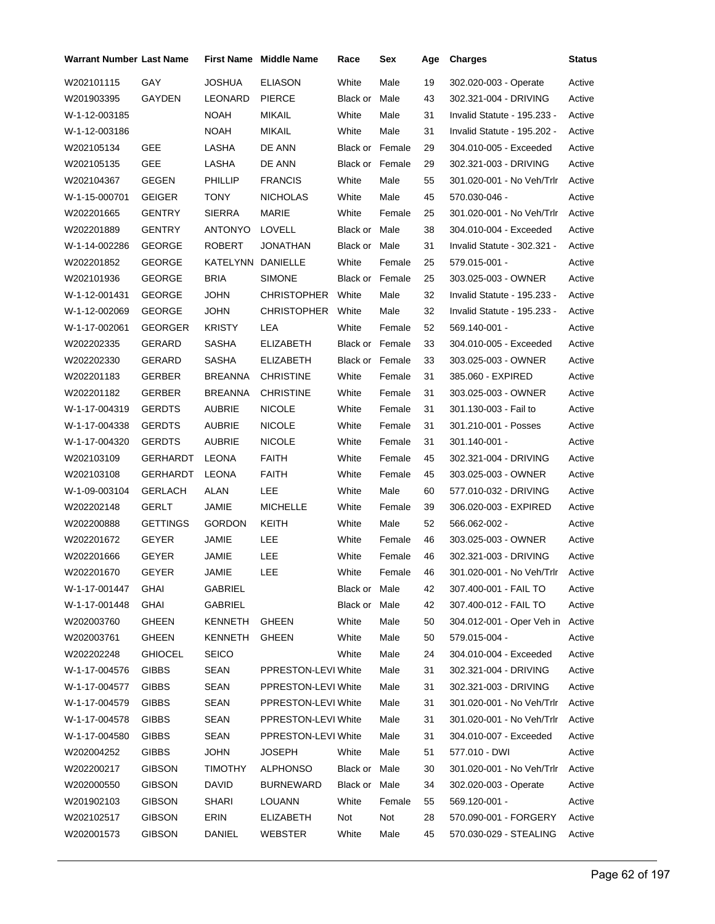| <b>Warrant Number Last Name</b> |                 |                | <b>First Name Middle Name</b> | Race                   | Sex    | Age | <b>Charges</b>                   | <b>Status</b> |
|---------------------------------|-----------------|----------------|-------------------------------|------------------------|--------|-----|----------------------------------|---------------|
| W202101115                      | GAY             | <b>JOSHUA</b>  | <b>ELIASON</b>                | White                  | Male   | 19  | 302.020-003 - Operate            | Active        |
| W201903395                      | GAYDEN          | LEONARD        | <b>PIERCE</b>                 | Black or               | Male   | 43  | 302.321-004 - DRIVING            | Active        |
| W-1-12-003185                   |                 | <b>NOAH</b>    | MIKAIL                        | White                  | Male   | 31  | Invalid Statute - 195.233 -      | Active        |
| W-1-12-003186                   |                 | <b>NOAH</b>    | <b>MIKAIL</b>                 | White                  | Male   | 31  | Invalid Statute - 195.202 -      | Active        |
| W202105134                      | GEE             | LASHA          | DE ANN                        | <b>Black or Female</b> |        | 29  | 304.010-005 - Exceeded           | Active        |
| W202105135                      | <b>GEE</b>      | LASHA          | DE ANN                        | <b>Black or Female</b> |        | 29  | 302.321-003 - DRIVING            | Active        |
| W202104367                      | <b>GEGEN</b>    | PHILLIP        | <b>FRANCIS</b>                | White                  | Male   | 55  | 301.020-001 - No Veh/Trlr        | Active        |
| W-1-15-000701                   | <b>GEIGER</b>   | TONY           | <b>NICHOLAS</b>               | White                  | Male   | 45  | 570.030-046 -                    | Active        |
| W202201665                      | <b>GENTRY</b>   | <b>SIERRA</b>  | <b>MARIE</b>                  | White                  | Female | 25  | 301.020-001 - No Veh/Trlr        | Active        |
| W202201889                      | GENTRY          | <b>ANTONYO</b> | LOVELL                        | Black or Male          |        | 38  | 304.010-004 - Exceeded           | Active        |
| W-1-14-002286                   | <b>GEORGE</b>   | ROBERT         | JONATHAN                      | Black or Male          |        | 31  | Invalid Statute - 302.321 -      | Active        |
| W202201852                      | <b>GEORGE</b>   | KATELYNN       | <b>DANIELLE</b>               | White                  | Female | 25  | 579.015-001 -                    | Active        |
| W202101936                      | <b>GEORGE</b>   | <b>BRIA</b>    | <b>SIMONE</b>                 | <b>Black or Female</b> |        | 25  | 303.025-003 - OWNER              | Active        |
| W-1-12-001431                   | <b>GEORGE</b>   | <b>JOHN</b>    | <b>CHRISTOPHER</b>            | White                  | Male   | 32  | Invalid Statute - 195.233 -      | Active        |
| W-1-12-002069                   | GEORGE          | <b>JOHN</b>    | <b>CHRISTOPHER</b>            | White                  | Male   | 32  | Invalid Statute - 195.233 -      | Active        |
| W-1-17-002061                   | <b>GEORGER</b>  | <b>KRISTY</b>  | LEA                           | White                  | Female | 52  | 569.140-001 -                    | Active        |
| W202202335                      | GERARD          | <b>SASHA</b>   | <b>ELIZABETH</b>              | <b>Black or Female</b> |        | 33  | 304.010-005 - Exceeded           | Active        |
| W202202330                      | GERARD          | <b>SASHA</b>   | <b>ELIZABETH</b>              | Black or Female        |        | 33  | 303.025-003 - OWNER              | Active        |
| W202201183                      | <b>GERBER</b>   | BREANNA        | <b>CHRISTINE</b>              | White                  | Female | 31  | 385.060 - EXPIRED                | Active        |
| W202201182                      | GERBER          | <b>BREANNA</b> | <b>CHRISTINE</b>              | White                  | Female | 31  | 303.025-003 - OWNER              | Active        |
| W-1-17-004319                   | <b>GERDTS</b>   | AUBRIE         | <b>NICOLE</b>                 | White                  | Female | 31  | 301.130-003 - Fail to            | Active        |
| W-1-17-004338                   | <b>GERDTS</b>   | AUBRIE         | <b>NICOLE</b>                 | White                  | Female | 31  | 301.210-001 - Posses             | Active        |
| W-1-17-004320                   | <b>GERDTS</b>   | <b>AUBRIE</b>  | <b>NICOLE</b>                 | White                  | Female | 31  | $301.140 - 001 -$                | Active        |
| W202103109                      | GERHARDT        | LEONA          | <b>FAITH</b>                  | White                  | Female | 45  | 302.321-004 - DRIVING            | Active        |
| W202103108                      | GERHARDT        | <b>LEONA</b>   | FAITH                         | White                  | Female | 45  | 303.025-003 - OWNER              | Active        |
| W-1-09-003104                   | <b>GERLACH</b>  | <b>ALAN</b>    | LEE                           | White                  | Male   | 60  | 577.010-032 - DRIVING            | Active        |
| W202202148                      | GERLT           | JAMIE          | <b>MICHELLE</b>               | White                  | Female | 39  | 306.020-003 - EXPIRED            | Active        |
| W202200888                      | <b>GETTINGS</b> | <b>GORDON</b>  | KEITH                         | White                  | Male   | 52  | 566.062-002 -                    | Active        |
| W202201672                      | <b>GEYER</b>    | JAMIE          | LEE                           | White                  | Female | 46  | 303.025-003 - OWNER              | Active        |
| W202201666                      | <b>GEYER</b>    | JAMIE          | LEE                           | White                  | Female | 46  | 302.321-003 - DRIVING            | Active        |
| W202201670                      | GEYER           | JAMIE          | LEE                           | White                  | Female | 46  | 301.020-001 - No Veh/Trlr        | Active        |
| W-1-17-001447                   | <b>GHAI</b>     | GABRIEL        |                               | Black or Male          |        | 42  | 307.400-001 - FAIL TO            | Active        |
| W-1-17-001448                   | GHAI            | GABRIEL        |                               | Black or Male          |        | 42  | 307.400-012 - FAIL TO            | Active        |
| W202003760                      | GHEEN           | KENNETH        | GHEEN                         | White                  | Male   | 50  | 304.012-001 - Oper Veh in Active |               |
| W202003761                      | <b>GHEEN</b>    | KENNETH        | <b>GHEEN</b>                  | White                  | Male   | 50  | 579.015-004 -                    | Active        |
| W202202248                      | <b>GHIOCEL</b>  | <b>SEICO</b>   |                               | White                  | Male   | 24  | 304.010-004 - Exceeded           | Active        |
| W-1-17-004576                   | <b>GIBBS</b>    | SEAN           | PPRESTON-LEVI White           |                        | Male   | 31  | 302.321-004 - DRIVING            | Active        |
| W-1-17-004577                   | <b>GIBBS</b>    | SEAN           | PPRESTON-LEVI White           |                        | Male   | 31  | 302.321-003 - DRIVING            | Active        |
| W-1-17-004579                   | <b>GIBBS</b>    | SEAN           | PPRESTON-LEVI White           |                        | Male   | 31  | 301.020-001 - No Veh/Trlr        | Active        |
| W-1-17-004578                   | <b>GIBBS</b>    | SEAN           | PPRESTON-LEVI White           |                        | Male   | 31  | 301.020-001 - No Veh/Trlr        | Active        |
| W-1-17-004580                   | <b>GIBBS</b>    | SEAN           | PPRESTON-LEVI White           |                        | Male   | 31  | 304.010-007 - Exceeded           | Active        |
| W202004252                      | <b>GIBBS</b>    | <b>JOHN</b>    | JOSEPH                        | White                  | Male   | 51  | 577.010 - DWI                    | Active        |
| W202200217                      | <b>GIBSON</b>   | <b>TIMOTHY</b> | ALPHONSO                      | Black or Male          |        | 30  | 301.020-001 - No Veh/Trlr        | Active        |
| W202000550                      | <b>GIBSON</b>   | <b>DAVID</b>   | BURNEWARD                     | Black or Male          |        | 34  | 302.020-003 - Operate            | Active        |
| W201902103                      | <b>GIBSON</b>   | SHARI          | LOUANN                        | White                  | Female | 55  | 569.120-001 -                    | Active        |
| W202102517                      | <b>GIBSON</b>   | ERIN           | ELIZABETH                     | Not                    | Not    | 28  | 570.090-001 - FORGERY            | Active        |
| W202001573                      | <b>GIBSON</b>   | DANIEL         | WEBSTER                       | White                  | Male   | 45  | 570.030-029 - STEALING           | Active        |
|                                 |                 |                |                               |                        |        |     |                                  |               |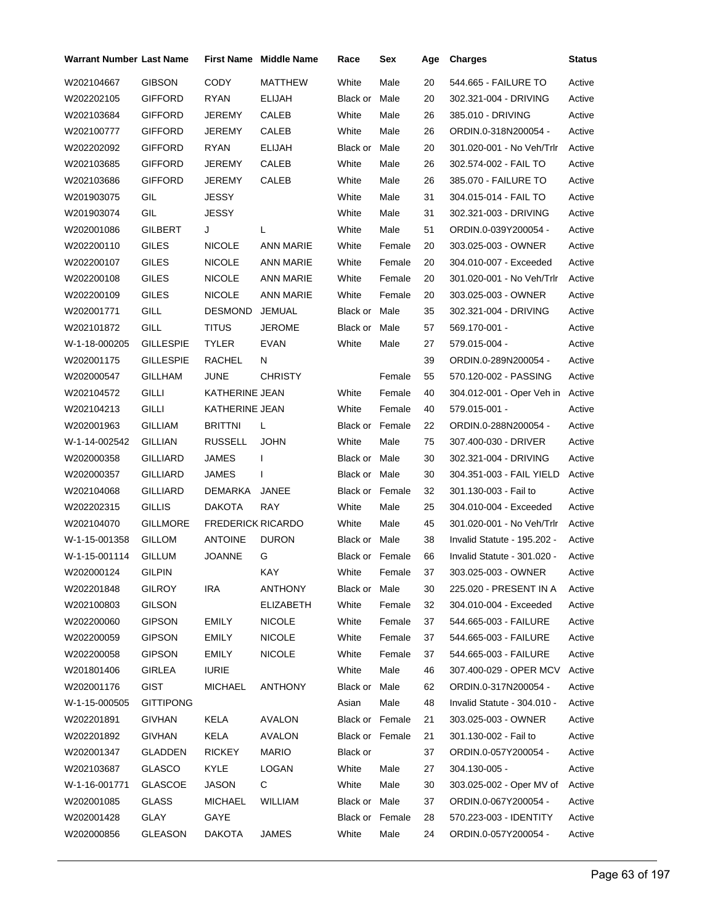| <b>Warrant Number Last Name</b> |                  |                          | First Name Middle Name | Race                   | Sex          | Age | <b>Charges</b>                  | <b>Status</b> |
|---------------------------------|------------------|--------------------------|------------------------|------------------------|--------------|-----|---------------------------------|---------------|
| W202104667                      | <b>GIBSON</b>    | <b>CODY</b>              | MATTHEW                | White                  | Male         | 20  | 544.665 - FAILURE TO            | Active        |
| W202202105                      | GIFFORD          | RYAN                     | ELIJAH                 | Black or               | Male         | 20  | 302.321-004 - DRIVING           | Active        |
| W202103684                      | GIFFORD          | JEREMY                   | CALEB                  | White                  | Male         | 26  | 385.010 - DRIVING               | Active        |
| W202100777                      | GIFFORD          | JEREMY                   | CALEB                  | White                  | Male         | 26  | ORDIN.0-318N200054 -            | Active        |
| W202202092                      | GIFFORD          | RYAN                     | <b>ELIJAH</b>          | Black or               | Male         | 20  | 301.020-001 - No Veh/Trlr       | Active        |
| W202103685                      | GIFFORD          | JEREMY                   | CALEB                  | White                  | Male         | 26  | 302.574-002 - FAIL TO           | Active        |
| W202103686                      | GIFFORD          | JEREMY                   | CALEB                  | White                  | Male         | 26  | 385.070 - FAILURE TO            | Active        |
| W201903075                      | GIL              | JESSY                    |                        | White                  | Male         | 31  | 304.015-014 - FAIL TO           | Active        |
| W201903074                      | GIL              | JESSY                    |                        | White                  | Male         | 31  | 302.321-003 - DRIVING           | Active        |
| W202001086                      | <b>GILBERT</b>   | J                        | L                      | White                  | Male         | 51  | ORDIN.0-039Y200054 -            | Active        |
| W202200110                      | GILES            | <b>NICOLE</b>            | ANN MARIE              | White                  | Female       | 20  | 303.025-003 - OWNER             | Active        |
| W202200107                      | <b>GILES</b>     | NICOLE                   | ANN MARIE              | White                  | Female       | 20  | 304.010-007 - Exceeded          | Active        |
| W202200108                      | GILES            | NICOLE                   | <b>ANN MARIE</b>       | White                  | Female       | 20  | 301.020-001 - No Veh/Trlr       | Active        |
| W202200109                      | <b>GILES</b>     | <b>NICOLE</b>            | ANN MARIE              | White                  | Female       | 20  | 303.025-003 - OWNER             | Active        |
| W202001771                      | GILL             | <b>DESMOND</b>           | JEMUAL                 | Black or Male          |              | 35  | 302.321-004 - DRIVING           | Active        |
| W202101872                      | GILL             | <b>TITUS</b>             | JEROME                 | Black or Male          |              | 57  | 569.170-001 -                   | Active        |
| W-1-18-000205                   | <b>GILLESPIE</b> | TYLER                    | EVAN                   | White                  | Male         | 27  | 579.015-004 -                   | Active        |
| W202001175                      | GILLESPIE        | RACHEL                   | N                      |                        |              | 39  | ORDIN.0-289N200054 -            | Active        |
| W202000547                      | <b>GILLHAM</b>   | JUNE                     | <b>CHRISTY</b>         |                        | Female       | 55  | 570.120-002 - PASSING           | Active        |
| W202104572                      | GILLI            | KATHERINE JEAN           |                        | White                  | Female       | 40  | 304.012-001 - Oper Veh in       | Active        |
| W202104213                      | <b>GILLI</b>     | KATHERINE JEAN           |                        | White                  | Female       | 40  | 579.015-001 -                   | Active        |
| W202001963                      | GILLIAM          | <b>BRITTNI</b>           | L                      | Black or Female        |              | 22  | ORDIN.0-288N200054 -            | Active        |
| W-1-14-002542                   | GILLIAN          | <b>RUSSELL</b>           | <b>JOHN</b>            | White                  | Male         | 75  | 307.400-030 - DRIVER            | Active        |
| W202000358                      | GILLIARD         | JAMES                    | $\mathbf{I}$           | Black or Male          |              | 30  | 302.321-004 - DRIVING           | Active        |
| W202000357                      | GILLIARD         | JAMES                    | I                      | Black or Male          |              | 30  | 304.351-003 - FAIL YIELD        | Active        |
| W202104068                      | <b>GILLIARD</b>  | DEMARKA                  | JANEE                  | <b>Black or Female</b> |              | 32  | 301.130-003 - Fail to           | Active        |
| W202202315                      | GILLIS           | DAKOTA                   | RAY                    | White                  | Male         | 25  | 304.010-004 - Exceeded          | Active        |
| W202104070                      | <b>GILLMORE</b>  | <b>FREDERICK RICARDO</b> |                        | White                  | Male         | 45  | 301.020-001 - No Veh/Trlr       | Active        |
| W-1-15-001358                   | <b>GILLOM</b>    | <b>ANTOINE</b>           | <b>DURON</b>           | Black or Male          |              | 38  | Invalid Statute - 195.202 -     | Active        |
| W-1-15-001114                   | <b>GILLUM</b>    | JOANNE                   | G                      | <b>Black or Female</b> |              | 66  | Invalid Statute - 301.020 -     | Active        |
| W202000124                      | <b>GILPIN</b>    |                          | KAY                    |                        | White Female | 37  | 303.025-003 - OWNER             | Active        |
| W202201848                      | GILROY           | IRA                      | ANTHONY                | Black or Male          |              | 30  | 225.020 - PRESENT IN A          | Active        |
| W202100803                      | <b>GILSON</b>    |                          | <b>ELIZABETH</b>       | White                  | Female       | 32  | 304.010-004 - Exceeded          | Active        |
| W202200060                      | <b>GIPSON</b>    | <b>EMILY</b>             | <b>NICOLE</b>          | White                  | Female       | 37  | 544.665-003 - FAILURE           | Active        |
| W202200059                      | <b>GIPSON</b>    | <b>EMILY</b>             | <b>NICOLE</b>          | White                  | Female       | 37  | 544.665-003 - FAILURE           | Active        |
| W202200058                      | <b>GIPSON</b>    | <b>EMILY</b>             | <b>NICOLE</b>          | White                  | Female       | 37  | 544.665-003 - FAILURE           | Active        |
| W201801406                      | <b>GIRLEA</b>    | <b>IURIE</b>             |                        | White                  | Male         | 46  | 307.400-029 - OPER MCV Active   |               |
| W202001176                      | <b>GIST</b>      | <b>MICHAEL</b>           | <b>ANTHONY</b>         | Black or Male          |              | 62  | ORDIN.0-317N200054 -            | Active        |
| W-1-15-000505                   | GITTIPONG        |                          |                        | Asian                  | Male         | 48  | Invalid Statute - 304.010 -     | Active        |
| W202201891                      | <b>GIVHAN</b>    | KELA                     | AVALON                 | Black or Female        |              | 21  | 303.025-003 - OWNER             | Active        |
| W202201892                      | <b>GIVHAN</b>    | <b>KELA</b>              | AVALON                 | Black or Female        |              | 21  | 301.130-002 - Fail to           | Active        |
| W202001347                      | GLADDEN          | RICKEY                   | <b>MARIO</b>           | Black or               |              | 37  | ORDIN.0-057Y200054 -            | Active        |
| W202103687                      | <b>GLASCO</b>    | KYLE                     | LOGAN                  | White                  | Male         | 27  | 304.130-005 -                   | Active        |
| W-1-16-001771                   | <b>GLASCOE</b>   | JASON                    | C                      | White                  | Male         | 30  | 303.025-002 - Oper MV of Active |               |
| W202001085                      | <b>GLASS</b>     | <b>MICHAEL</b>           | WILLIAM                | Black or Male          |              | 37  | ORDIN.0-067Y200054 -            | Active        |
| W202001428                      | GLAY             | GAYE                     |                        | Black or Female        |              | 28  | 570.223-003 - IDENTITY          | Active        |
| W202000856                      | <b>GLEASON</b>   | <b>DAKOTA</b>            | JAMES                  | White                  | Male         | 24  | ORDIN.0-057Y200054 -            | Active        |
|                                 |                  |                          |                        |                        |              |     |                                 |               |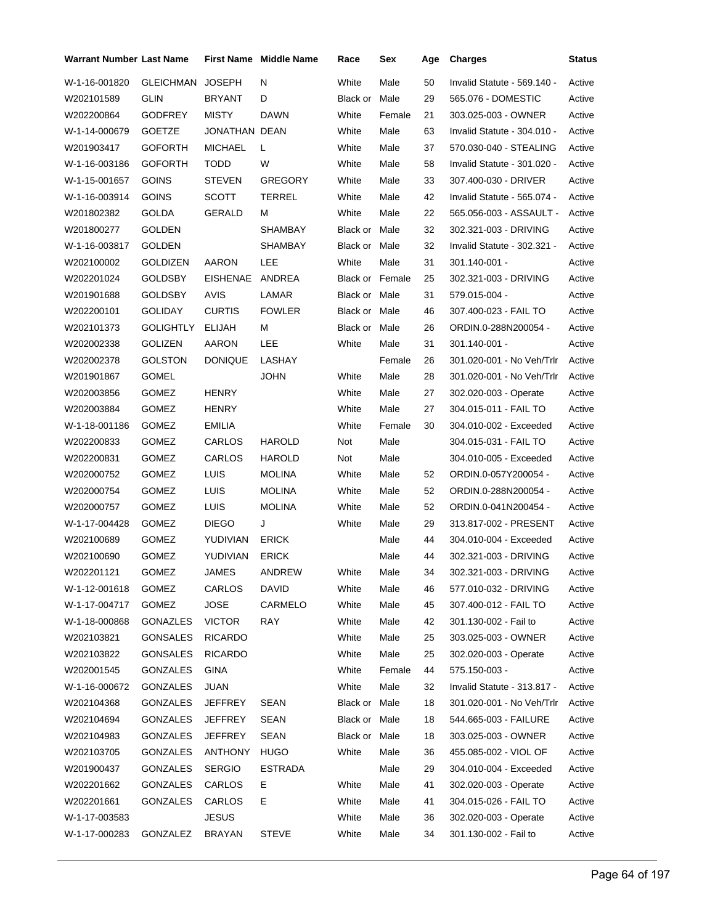| <b>Warrant Number Last Name</b> |                  |                 | <b>First Name Middle Name</b> | Race                   | Sex    | Age | <b>Charges</b>              | <b>Status</b> |
|---------------------------------|------------------|-----------------|-------------------------------|------------------------|--------|-----|-----------------------------|---------------|
| W-1-16-001820                   | <b>GLEICHMAN</b> | <b>JOSEPH</b>   | N                             | White                  | Male   | 50  | Invalid Statute - 569.140 - | Active        |
| W202101589                      | <b>GLIN</b>      | <b>BRYANT</b>   | D                             | Black or               | Male   | 29  | 565.076 - DOMESTIC          | Active        |
| W202200864                      | <b>GODFREY</b>   | <b>MISTY</b>    | <b>DAWN</b>                   | White                  | Female | 21  | 303.025-003 - OWNER         | Active        |
| W-1-14-000679                   | <b>GOETZE</b>    | JONATHAN DEAN   |                               | White                  | Male   | 63  | Invalid Statute - 304.010 - | Active        |
| W201903417                      | <b>GOFORTH</b>   | <b>MICHAEL</b>  | L                             | White                  | Male   | 37  | 570.030-040 - STEALING      | Active        |
| W-1-16-003186                   | <b>GOFORTH</b>   | TODD            | W                             | White                  | Male   | 58  | Invalid Statute - 301.020 - | Active        |
| W-1-15-001657                   | <b>GOINS</b>     | <b>STEVEN</b>   | <b>GREGORY</b>                | White                  | Male   | 33  | 307.400-030 - DRIVER        | Active        |
| W-1-16-003914                   | <b>GOINS</b>     | <b>SCOTT</b>    | <b>TERREL</b>                 | White                  | Male   | 42  | Invalid Statute - 565.074 - | Active        |
| W201802382                      | GOLDA            | GERALD          | м                             | White                  | Male   | 22  | 565.056-003 - ASSAULT -     | Active        |
| W201800277                      | <b>GOLDEN</b>    |                 | <b>SHAMBAY</b>                | Black or               | Male   | 32  | 302.321-003 - DRIVING       | Active        |
| W-1-16-003817                   | <b>GOLDEN</b>    |                 | SHAMBAY                       | Black or Male          |        | 32  | Invalid Statute - 302.321 - | Active        |
| W202100002                      | <b>GOLDIZEN</b>  | AARON           | LEE                           | White                  | Male   | 31  | 301.140-001 -               | Active        |
| W202201024                      | GOLDSBY          | <b>EISHENAE</b> | ANDREA                        | <b>Black or Female</b> |        | 25  | 302.321-003 - DRIVING       | Active        |
| W201901688                      | <b>GOLDSBY</b>   | <b>AVIS</b>     | LAMAR                         | Black or Male          |        | 31  | 579.015-004 -               | Active        |
| W202200101                      | <b>GOLIDAY</b>   | <b>CURTIS</b>   | <b>FOWLER</b>                 | Black or Male          |        | 46  | 307.400-023 - FAIL TO       | Active        |
| W202101373                      | <b>GOLIGHTLY</b> | ELIJAH          | М                             | Black or               | Male   | 26  | ORDIN.0-288N200054 -        | Active        |
| W202002338                      | <b>GOLIZEN</b>   | AARON           | LEE                           | White                  | Male   | 31  | 301.140-001 -               | Active        |
| W202002378                      | <b>GOLSTON</b>   | <b>DONIQUE</b>  | LASHAY                        |                        | Female | 26  | 301.020-001 - No Veh/Trlr   | Active        |
| W201901867                      | <b>GOMEL</b>     |                 | <b>JOHN</b>                   | White                  | Male   | 28  | 301.020-001 - No Veh/Trlr   | Active        |
| W202003856                      | GOMEZ            | <b>HENRY</b>    |                               | White                  | Male   | 27  | 302.020-003 - Operate       | Active        |
| W202003884                      | GOMEZ            | HENRY           |                               | White                  | Male   | 27  | 304.015-011 - FAIL TO       | Active        |
| W-1-18-001186                   | <b>GOMEZ</b>     | <b>EMILIA</b>   |                               | White                  | Female | 30  | 304.010-002 - Exceeded      | Active        |
| W202200833                      | GOMEZ            | CARLOS          | <b>HAROLD</b>                 | Not                    | Male   |     | 304.015-031 - FAIL TO       | Active        |
| W202200831                      | GOMEZ            | CARLOS          | <b>HAROLD</b>                 | Not                    | Male   |     | 304.010-005 - Exceeded      | Active        |
| W202000752                      | <b>GOMEZ</b>     | LUIS            | <b>MOLINA</b>                 | White                  | Male   | 52  | ORDIN.0-057Y200054 -        | Active        |
| W202000754                      | GOMEZ            | LUIS            | <b>MOLINA</b>                 | White                  | Male   | 52  | ORDIN.0-288N200054 -        | Active        |
| W202000757                      | <b>GOMEZ</b>     | LUIS            | <b>MOLINA</b>                 | White                  | Male   | 52  | ORDIN.0-041N200454 -        | Active        |
| W-1-17-004428                   | <b>GOMEZ</b>     | <b>DIEGO</b>    | J                             | White                  | Male   | 29  | 313.817-002 - PRESENT       | Active        |
| W202100689                      | <b>GOMEZ</b>     | YUDIVIAN        | <b>ERICK</b>                  |                        | Male   | 44  | 304.010-004 - Exceeded      | Active        |
| W202100690                      | <b>GOMEZ</b>     | YUDIVIAN        | <b>ERICK</b>                  |                        | Male   | 44  | 302.321-003 - DRIVING       | Active        |
| W202201121                      | GOMEZ            | <b>JAMES</b>    | ANDREW                        | White                  | Male   | 34  | 302.321-003 - DRIVING       | Active        |
| W-1-12-001618                   | <b>GOMEZ</b>     | CARLOS          | DAVID                         | White                  | Male   | 46  | 577.010-032 - DRIVING       | Active        |
| W-1-17-004717                   | GOMEZ            | <b>JOSE</b>     | CARMELO                       | White                  | Male   | 45  | 307.400-012 - FAIL TO       | Active        |
| W-1-18-000868                   | GONAZLES         | <b>VICTOR</b>   | <b>RAY</b>                    | White                  | Male   | 42  | 301.130-002 - Fail to       | Active        |
| W202103821                      | <b>GONSALES</b>  | <b>RICARDO</b>  |                               | White                  | Male   | 25  | 303.025-003 - OWNER         | Active        |
| W202103822                      | <b>GONSALES</b>  | <b>RICARDO</b>  |                               | White                  | Male   | 25  | 302.020-003 - Operate       | Active        |
| W202001545                      | GONZALES         | <b>GINA</b>     |                               | White                  | Female | 44  | 575.150-003 -               | Active        |
| W-1-16-000672                   | GONZALES         | <b>JUAN</b>     |                               | White                  | Male   | 32  | Invalid Statute - 313.817 - | Active        |
| W202104368                      | <b>GONZALES</b>  | <b>JEFFREY</b>  | <b>SEAN</b>                   | Black or Male          |        | 18  | 301.020-001 - No Veh/Trlr   | Active        |
| W202104694                      | GONZALES         | <b>JEFFREY</b>  | <b>SEAN</b>                   | Black or Male          |        | 18  | 544.665-003 - FAILURE       | Active        |
| W202104983                      | <b>GONZALES</b>  | <b>JEFFREY</b>  | <b>SEAN</b>                   | Black or Male          |        | 18  | 303.025-003 - OWNER         | Active        |
| W202103705                      | GONZALES         | ANTHONY         | <b>HUGO</b>                   | White                  | Male   | 36  | 455.085-002 - VIOL OF       | Active        |
| W201900437                      | GONZALES         | <b>SERGIO</b>   | <b>ESTRADA</b>                |                        | Male   | 29  | 304.010-004 - Exceeded      | Active        |
| W202201662                      | GONZALES         | CARLOS          | Е                             | White                  | Male   | 41  | 302.020-003 - Operate       | Active        |
| W202201661                      | GONZALES         | CARLOS          | Е                             | White                  | Male   | 41  | 304.015-026 - FAIL TO       | Active        |
| W-1-17-003583                   |                  | <b>JESUS</b>    |                               | White                  | Male   | 36  | 302.020-003 - Operate       | Active        |
| W-1-17-000283                   | GONZALEZ         | <b>BRAYAN</b>   | <b>STEVE</b>                  | White                  | Male   | 34  | 301.130-002 - Fail to       | Active        |
|                                 |                  |                 |                               |                        |        |     |                             |               |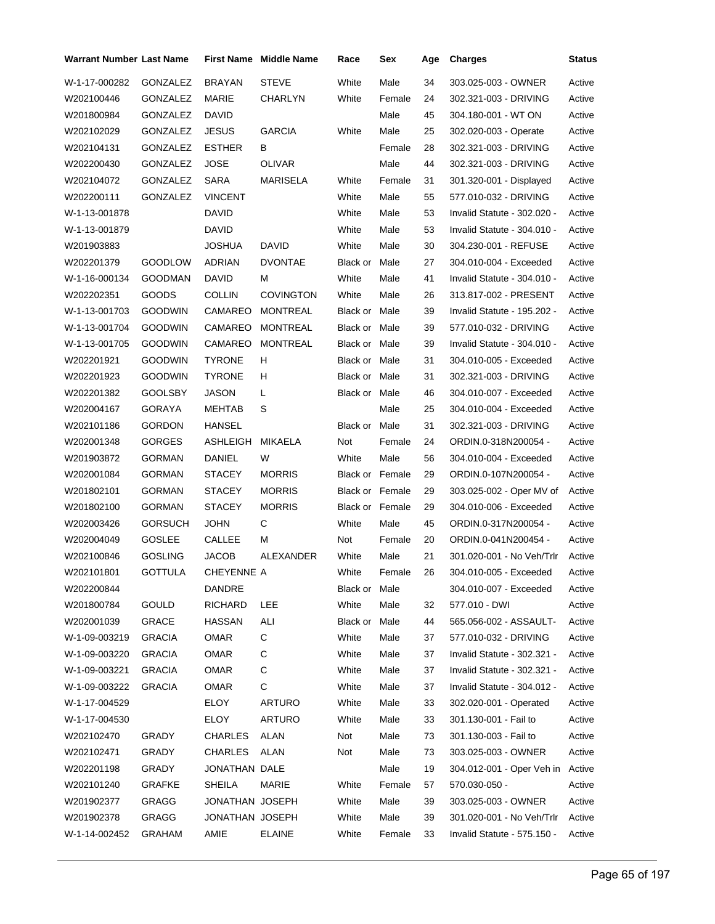| <b>Warrant Number Last Name</b> |                 |                 | <b>First Name Middle Name</b> | Race                   | Sex    | Age | <b>Charges</b>                   | Status |
|---------------------------------|-----------------|-----------------|-------------------------------|------------------------|--------|-----|----------------------------------|--------|
| W-1-17-000282                   | GONZALEZ        | <b>BRAYAN</b>   | <b>STEVE</b>                  | White                  | Male   | 34  | 303.025-003 - OWNER              | Active |
| W202100446                      | <b>GONZALEZ</b> | MARIE           | CHARLYN                       | White                  | Female | 24  | 302.321-003 - DRIVING            | Active |
| W201800984                      | GONZALEZ        | <b>DAVID</b>    |                               |                        | Male   | 45  | 304.180-001 - WT ON              | Active |
| W202102029                      | GONZALEZ        | <b>JESUS</b>    | <b>GARCIA</b>                 | White                  | Male   | 25  | 302.020-003 - Operate            | Active |
| W202104131                      | GONZALEZ        | <b>ESTHER</b>   | В                             |                        | Female | 28  | 302.321-003 - DRIVING            | Active |
| W202200430                      | GONZALEZ        | <b>JOSE</b>     | <b>OLIVAR</b>                 |                        | Male   | 44  | 302.321-003 - DRIVING            | Active |
| W202104072                      | GONZALEZ        | <b>SARA</b>     | <b>MARISELA</b>               | White                  | Female | 31  | 301.320-001 - Displayed          | Active |
| W202200111                      | GONZALEZ        | <b>VINCENT</b>  |                               | White                  | Male   | 55  | 577.010-032 - DRIVING            | Active |
| W-1-13-001878                   |                 | <b>DAVID</b>    |                               | White                  | Male   | 53  | Invalid Statute - 302.020 -      | Active |
| W-1-13-001879                   |                 | DAVID           |                               | White                  | Male   | 53  | Invalid Statute - 304.010 -      | Active |
| W201903883                      |                 | JOSHUA          | <b>DAVID</b>                  | White                  | Male   | 30  | 304.230-001 - REFUSE             | Active |
| W202201379                      | <b>GOODLOW</b>  | <b>ADRIAN</b>   | <b>DVONTAE</b>                | Black or               | Male   | 27  | 304.010-004 - Exceeded           | Active |
| W-1-16-000134                   | <b>GOODMAN</b>  | <b>DAVID</b>    | М                             | White                  | Male   | 41  | Invalid Statute - 304.010 -      | Active |
| W202202351                      | <b>GOODS</b>    | <b>COLLIN</b>   | <b>COVINGTON</b>              | White                  | Male   | 26  | 313.817-002 - PRESENT            | Active |
| W-1-13-001703                   | <b>GOODWIN</b>  | CAMAREO         | <b>MONTREAL</b>               | Black or Male          |        | 39  | Invalid Statute - 195.202 -      | Active |
| W-1-13-001704                   | <b>GOODWIN</b>  | CAMAREO         | <b>MONTREAL</b>               | Black or Male          |        | 39  | 577.010-032 - DRIVING            | Active |
| W-1-13-001705                   | <b>GOODWIN</b>  | CAMAREO         | <b>MONTREAL</b>               | <b>Black or Male</b>   |        | 39  | Invalid Statute - 304.010 -      | Active |
| W202201921                      | <b>GOODWIN</b>  | <b>TYRONE</b>   | H                             | Black or Male          |        | 31  | 304.010-005 - Exceeded           | Active |
| W202201923                      | <b>GOODWIN</b>  | <b>TYRONE</b>   | H                             | Black or Male          |        | 31  | 302.321-003 - DRIVING            | Active |
| W202201382                      | <b>GOOLSBY</b>  | JASON           | L                             | Black or Male          |        | 46  | 304.010-007 - Exceeded           | Active |
| W202004167                      | GORAYA          | MEHTAB          | S                             |                        | Male   | 25  | 304.010-004 - Exceeded           | Active |
| W202101186                      | <b>GORDON</b>   | HANSEL          |                               | Black or Male          |        | 31  | 302.321-003 - DRIVING            | Active |
| W202001348                      | <b>GORGES</b>   | ASHLEIGH        | <b>MIKAELA</b>                | Not                    | Female | 24  | ORDIN.0-318N200054 -             | Active |
| W201903872                      | <b>GORMAN</b>   | DANIEL          | W                             | White                  | Male   | 56  | 304.010-004 - Exceeded           | Active |
| W202001084                      | <b>GORMAN</b>   | <b>STACEY</b>   | <b>MORRIS</b>                 | <b>Black or Female</b> |        | 29  | ORDIN.0-107N200054 -             | Active |
| W201802101                      | <b>GORMAN</b>   | <b>STACEY</b>   | <b>MORRIS</b>                 | <b>Black or Female</b> |        | 29  | 303.025-002 - Oper MV of         | Active |
| W201802100                      | <b>GORMAN</b>   | <b>STACEY</b>   | <b>MORRIS</b>                 | Black or Female        |        | 29  | 304.010-006 - Exceeded           | Active |
| W202003426                      | <b>GORSUCH</b>  | <b>JOHN</b>     | С                             | White                  | Male   | 45  | ORDIN.0-317N200054 -             | Active |
| W202004049                      | GOSLEE          | <b>CALLEE</b>   | м                             | Not                    | Female | 20  | ORDIN.0-041N200454 -             | Active |
| W202100846                      | <b>GOSLING</b>  | <b>JACOB</b>    | ALEXANDER                     | White                  | Male   | 21  | 301.020-001 - No Veh/Trlr        | Active |
| W202101801                      | GOTTULA         | CHEYENNE A      |                               | White                  | Female | 26  | 304.010-005 - Exceeded           | Active |
| W202200844                      |                 | DANDRE          |                               | Black or Male          |        |     | 304.010-007 - Exceeded           | Active |
| W201800784                      | <b>GOULD</b>    | RICHARD         | LEE                           | White                  | Male   | 32  | 577.010 - DWI                    | Active |
| W202001039                      | <b>GRACE</b>    | <b>HASSAN</b>   | ALI                           | Black or Male          |        | 44  | 565.056-002 - ASSAULT-           | Active |
| W-1-09-003219                   | <b>GRACIA</b>   | <b>OMAR</b>     | С                             | White                  | Male   | 37  | 577.010-032 - DRIVING            | Active |
| W-1-09-003220                   | <b>GRACIA</b>   | OMAR            | С                             | White                  | Male   | 37  | Invalid Statute - 302.321 -      | Active |
| W-1-09-003221                   | <b>GRACIA</b>   | OMAR            | С                             | White                  | Male   | 37  | Invalid Statute - 302.321 -      | Active |
| W-1-09-003222                   | <b>GRACIA</b>   | OMAR            | С                             | White                  | Male   | 37  | Invalid Statute - 304.012 -      | Active |
| W-1-17-004529                   |                 | <b>ELOY</b>     | ARTURO                        | White                  | Male   | 33  | 302.020-001 - Operated           | Active |
| W-1-17-004530                   |                 | ELOY            | <b>ARTURO</b>                 | White                  | Male   | 33  | 301.130-001 - Fail to            | Active |
| W202102470                      | GRADY           | CHARLES         | <b>ALAN</b>                   | Not                    | Male   | 73  | 301.130-003 - Fail to            | Active |
| W202102471                      | GRADY           | CHARLES         | ALAN                          | Not                    | Male   | 73  | 303.025-003 - OWNER              | Active |
| W202201198                      | GRADY           | JONATHAN DALE   |                               |                        | Male   | 19  | 304.012-001 - Oper Veh in Active |        |
| W202101240                      | <b>GRAFKE</b>   | <b>SHEILA</b>   | MARIE                         | White                  | Female | 57  | 570.030-050 -                    | Active |
| W201902377                      | GRAGG           | JONATHAN JOSEPH |                               | White                  | Male   | 39  | 303.025-003 - OWNER              | Active |
| W201902378                      | GRAGG           | JONATHAN JOSEPH |                               | White                  | Male   | 39  | 301.020-001 - No Veh/Trlr        | Active |
| W-1-14-002452                   | GRAHAM          | AMIE            | <b>ELAINE</b>                 | White                  | Female | 33  | Invalid Statute - 575.150 -      | Active |
|                                 |                 |                 |                               |                        |        |     |                                  |        |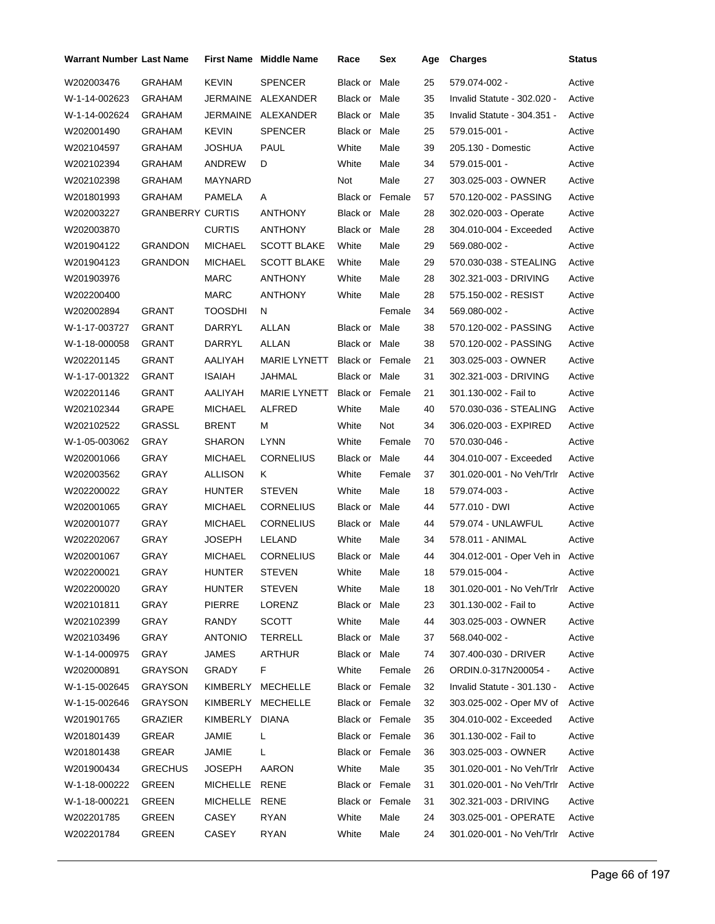| Warrant Number Last Name |                         |                | <b>First Name Middle Name</b> | Race                   | Sex    | Age | <b>Charges</b>                   | <b>Status</b> |
|--------------------------|-------------------------|----------------|-------------------------------|------------------------|--------|-----|----------------------------------|---------------|
| W202003476               | <b>GRAHAM</b>           | <b>KEVIN</b>   | <b>SPENCER</b>                | Black or Male          |        | 25  | 579.074-002 -                    | Active        |
| W-1-14-002623            | <b>GRAHAM</b>           |                | JERMAINE ALEXANDER            | Black or Male          |        | 35  | Invalid Statute - 302.020 -      | Active        |
| W-1-14-002624            | GRAHAM                  |                | JERMAINE ALEXANDER            | Black or Male          |        | 35  | Invalid Statute - 304.351 -      | Active        |
| W202001490               | GRAHAM                  | <b>KEVIN</b>   | <b>SPENCER</b>                | Black or Male          |        | 25  | 579.015-001 -                    | Active        |
| W202104597               | GRAHAM                  | <b>JOSHUA</b>  | <b>PAUL</b>                   | White                  | Male   | 39  | 205.130 - Domestic               | Active        |
| W202102394               | GRAHAM                  | ANDREW         | D                             | White                  | Male   | 34  | 579.015-001 -                    | Active        |
| W202102398               | <b>GRAHAM</b>           | MAYNARD        |                               | Not                    | Male   | 27  | 303.025-003 - OWNER              | Active        |
| W201801993               | <b>GRAHAM</b>           | PAMELA         | A                             | <b>Black or Female</b> |        | 57  | 570.120-002 - PASSING            | Active        |
| W202003227               | <b>GRANBERRY CURTIS</b> |                | <b>ANTHONY</b>                | Black or Male          |        | 28  | 302.020-003 - Operate            | Active        |
| W202003870               |                         | <b>CURTIS</b>  | <b>ANTHONY</b>                | Black or Male          |        | 28  | 304.010-004 - Exceeded           | Active        |
| W201904122               | <b>GRANDON</b>          | <b>MICHAEL</b> | <b>SCOTT BLAKE</b>            | White                  | Male   | 29  | 569.080-002 -                    | Active        |
| W201904123               | <b>GRANDON</b>          | <b>MICHAEL</b> | <b>SCOTT BLAKE</b>            | White                  | Male   | 29  | 570.030-038 - STEALING           | Active        |
| W201903976               |                         | <b>MARC</b>    | <b>ANTHONY</b>                | White                  | Male   | 28  | 302.321-003 - DRIVING            | Active        |
| W202200400               |                         | <b>MARC</b>    | <b>ANTHONY</b>                | White                  | Male   | 28  | 575.150-002 - RESIST             | Active        |
| W202002894               | <b>GRANT</b>            | <b>TOOSDHI</b> | N                             |                        | Female | 34  | 569.080-002 -                    | Active        |
| W-1-17-003727            | GRANT                   | DARRYL         | ALLAN                         | Black or Male          |        | 38  | 570.120-002 - PASSING            | Active        |
| W-1-18-000058            | <b>GRANT</b>            | DARRYL         | <b>ALLAN</b>                  | Black or Male          |        | 38  | 570.120-002 - PASSING            | Active        |
| W202201145               | GRANT                   | AALIYAH        | <b>MARIE LYNETT</b>           | <b>Black or Female</b> |        | 21  | 303.025-003 - OWNER              | Active        |
| W-1-17-001322            | GRANT                   | <b>ISAIAH</b>  | JAHMAL                        | Black or Male          |        | 31  | 302.321-003 - DRIVING            | Active        |
| W202201146               | <b>GRANT</b>            | AALIYAH        | <b>MARIE LYNETT</b>           | Black or Female        |        | 21  | 301.130-002 - Fail to            | Active        |
| W202102344               | GRAPE                   | MICHAEL        | ALFRED                        | White                  | Male   | 40  | 570.030-036 - STEALING           | Active        |
| W202102522               | <b>GRASSL</b>           | <b>BRENT</b>   | М                             | White                  | Not    | 34  | 306.020-003 - EXPIRED            | Active        |
| W-1-05-003062            | GRAY                    | <b>SHARON</b>  | <b>LYNN</b>                   | White                  | Female | 70  | 570.030-046 -                    | Active        |
| W202001066               | GRAY                    | MICHAEL        | <b>CORNELIUS</b>              | Black or Male          |        | 44  | 304.010-007 - Exceeded           | Active        |
| W202003562               | GRAY                    | ALLISON        | Κ                             | White                  | Female | 37  | 301.020-001 - No Veh/Trlr        | Active        |
| W202200022               | GRAY                    | <b>HUNTER</b>  | <b>STEVEN</b>                 | White                  | Male   | 18  | 579.074-003 -                    | Active        |
| W202001065               | <b>GRAY</b>             | MICHAEL        | <b>CORNELIUS</b>              | Black or Male          |        | 44  | 577.010 - DWI                    | Active        |
| W202001077               | GRAY                    | <b>MICHAEL</b> | <b>CORNELIUS</b>              | Black or Male          |        | 44  | 579.074 - UNLAWFUL               | Active        |
| W202202067               | GRAY                    | JOSEPH         | LELAND                        | White                  | Male   | 34  | 578.011 - ANIMAL                 | Active        |
| W202001067               | GRAY                    | <b>MICHAEL</b> | <b>CORNELIUS</b>              | Black or Male          |        | 44  | 304.012-001 - Oper Veh in Active |               |
| W202200021               | GRAY                    | <b>HUNTER</b>  | <b>STEVEN</b>                 | White                  | Male   | 18  | 579.015-004 -                    | Active        |
| W202200020               | GRAY                    | HUNTER         | <b>STEVEN</b>                 | White                  | Male   | 18  | 301.020-001 - No Veh/Trlr        | Active        |
| W202101811               | GRAY                    | <b>PIERRE</b>  | LORENZ                        | Black or Male          |        | 23  | 301.130-002 - Fail to            | Active        |
| W202102399               | GRAY                    | RANDY          | SCOTT                         | White                  | Male   | 44  | 303.025-003 - OWNER              | Active        |
| W202103496               | GRAY                    | <b>ANTONIO</b> | <b>TERRELL</b>                | Black or Male          |        | 37  | 568.040-002 -                    | Active        |
| W-1-14-000975            | GRAY                    | <b>JAMES</b>   | <b>ARTHUR</b>                 | Black or Male          |        | 74  | 307.400-030 - DRIVER             | Active        |
| W202000891               | <b>GRAYSON</b>          | GRADY          | F.                            | White                  | Female | 26  | ORDIN.0-317N200054 -             | Active        |
| W-1-15-002645            | <b>GRAYSON</b>          |                | KIMBERLY MECHELLE             | Black or Female        |        | 32  | Invalid Statute - 301.130 -      | Active        |
| W-1-15-002646            | <b>GRAYSON</b>          |                | KIMBERLY MECHELLE             | Black or Female        |        | 32  | 303.025-002 - Oper MV of         | Active        |
| W201901765               | <b>GRAZIER</b>          | KIMBERLY DIANA |                               | Black or Female        |        | 35  | 304.010-002 - Exceeded           | Active        |
| W201801439               | GREAR                   | JAMIE          | L                             | Black or Female        |        | 36  | 301.130-002 - Fail to            | Active        |
| W201801438               | GREAR                   | JAMIE          | L                             | Black or Female        |        | 36  | 303.025-003 - OWNER              | Active        |
| W201900434               | <b>GRECHUS</b>          | JOSEPH         | AARON                         | White                  | Male   | 35  | 301.020-001 - No Veh/Trlr        | Active        |
| W-1-18-000222            | GREEN                   | MICHELLE RENE  |                               | Black or Female        |        | 31  | 301.020-001 - No Veh/Trlr        | Active        |
| W-1-18-000221            | GREEN                   | MICHELLE RENE  |                               | Black or Female        |        | 31  | 302.321-003 - DRIVING            | Active        |
| W202201785               | GREEN                   | CASEY          | <b>RYAN</b>                   | White                  | Male   | 24  | 303.025-001 - OPERATE            | Active        |
| W202201784               | GREEN                   | CASEY          | <b>RYAN</b>                   | White                  | Male   | 24  | 301.020-001 - No Veh/Trlr        | Active        |
|                          |                         |                |                               |                        |        |     |                                  |               |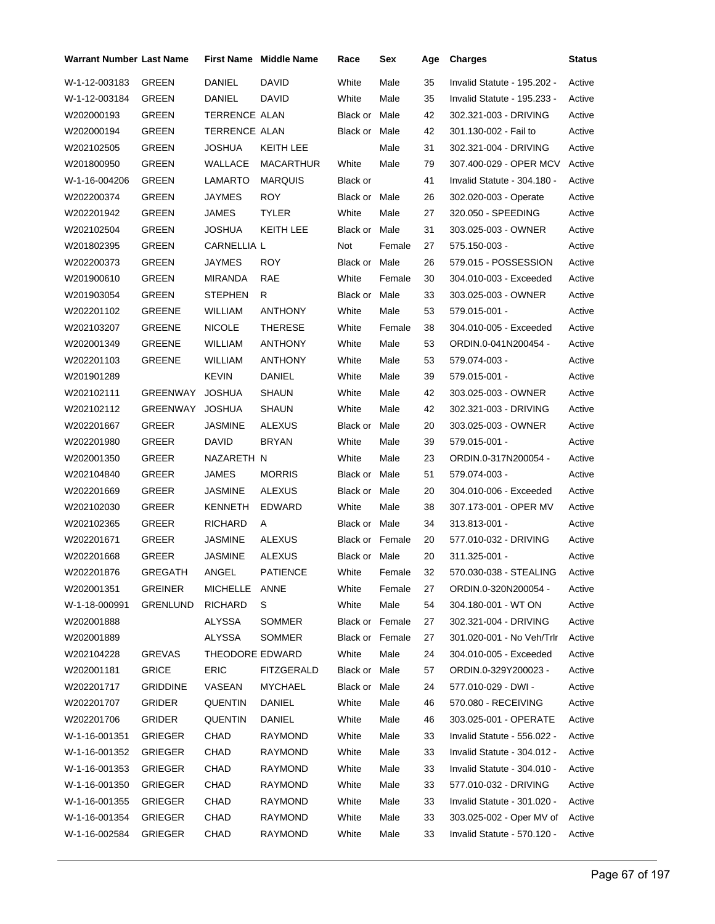| Warrant Number Last Name |                 |                      | <b>First Name Middle Name</b> | Race                 | Sex    | Age | <b>Charges</b>              | <b>Status</b> |
|--------------------------|-----------------|----------------------|-------------------------------|----------------------|--------|-----|-----------------------------|---------------|
| W-1-12-003183            | <b>GREEN</b>    | DANIEL               | DAVID                         | White                | Male   | 35  | Invalid Statute - 195.202 - | Active        |
| W-1-12-003184            | <b>GREEN</b>    | DANIEL               | DAVID                         | White                | Male   | 35  | Invalid Statute - 195.233 - | Active        |
| W202000193               | GREEN           | <b>TERRENCE ALAN</b> |                               | Black or Male        |        | 42  | 302.321-003 - DRIVING       | Active        |
| W202000194               | GREEN           | <b>TERRENCE ALAN</b> |                               | Black or Male        |        | 42  | 301.130-002 - Fail to       | Active        |
| W202102505               | GREEN           | JOSHUA               | KEITH LEE                     |                      | Male   | 31  | 302.321-004 - DRIVING       | Active        |
| W201800950               | GREEN           | WALLACE              | <b>MACARTHUR</b>              | White                | Male   | 79  | 307.400-029 - OPER MCV      | Active        |
| W-1-16-004206            | GREEN           | LAMARTO              | <b>MARQUIS</b>                | Black or             |        | 41  | Invalid Statute - 304.180 - | Active        |
| W202200374               | GREEN           | <b>JAYMES</b>        | <b>ROY</b>                    | <b>Black or Male</b> |        | 26  | 302.020-003 - Operate       | Active        |
| W202201942               | <b>GREEN</b>    | <b>JAMES</b>         | <b>TYLER</b>                  | White                | Male   | 27  | 320.050 - SPEEDING          | Active        |
| W202102504               | GREEN           | <b>JOSHUA</b>        | KEITH LEE                     | Black or Male        |        | 31  | 303.025-003 - OWNER         | Active        |
| W201802395               | GREEN           | CARNELLIA L          |                               | Not                  | Female | 27  | 575.150-003 -               | Active        |
| W202200373               | GREEN           | <b>JAYMES</b>        | <b>ROY</b>                    | Black or Male        |        | 26  | 579.015 - POSSESSION        | Active        |
| W201900610               | <b>GREEN</b>    | <b>MIRANDA</b>       | RAE                           | White                | Female | 30  | 304.010-003 - Exceeded      | Active        |
| W201903054               | GREEN           | <b>STEPHEN</b>       | R                             | Black or Male        |        | 33  | 303.025-003 - OWNER         | Active        |
| W202201102               | GREENE          | <b>WILLIAM</b>       | <b>ANTHONY</b>                | White                | Male   | 53  | 579.015-001 -               | Active        |
| W202103207               | <b>GREENE</b>   | <b>NICOLE</b>        | THERESE                       | White                | Female | 38  | 304.010-005 - Exceeded      | Active        |
| W202001349               | <b>GREENE</b>   | <b>WILLIAM</b>       | ANTHONY                       | White                | Male   | 53  | ORDIN.0-041N200454 -        | Active        |
| W202201103               | GREENE          | <b>WILLIAM</b>       | ANTHONY                       | White                | Male   | 53  | 579.074-003 -               | Active        |
| W201901289               |                 | <b>KEVIN</b>         | DANIEL                        | White                | Male   | 39  | 579.015-001 -               | Active        |
| W202102111               | GREENWAY        | <b>JOSHUA</b>        | <b>SHAUN</b>                  | White                | Male   | 42  | 303.025-003 - OWNER         | Active        |
| W202102112               | GREENWAY        | <b>JOSHUA</b>        | SHAUN                         | White                | Male   | 42  | 302.321-003 - DRIVING       | Active        |
| W202201667               | GREER           | JASMINE              | <b>ALEXUS</b>                 | Black or             | Male   | 20  | 303.025-003 - OWNER         | Active        |
| W202201980               | GREER           | DAVID                | <b>BRYAN</b>                  | White                | Male   | 39  | 579.015-001 -               | Active        |
| W202001350               | GREER           | NAZARETH N           |                               | White                | Male   | 23  | ORDIN.0-317N200054 -        | Active        |
| W202104840               | GREER           | <b>JAMES</b>         | <b>MORRIS</b>                 | Black or Male        |        | 51  | 579.074-003 -               | Active        |
| W202201669               | GREER           | <b>JASMINE</b>       | ALEXUS                        | Black or Male        |        | 20  | 304.010-006 - Exceeded      | Active        |
| W202102030               | GREER           | <b>KENNETH</b>       | <b>EDWARD</b>                 | White                | Male   | 38  | 307.173-001 - OPER MV       | Active        |
| W202102365               | <b>GREER</b>    | <b>RICHARD</b>       | A                             | Black or Male        |        | 34  | 313.813-001 -               | Active        |
| W202201671               | GREER           | <b>JASMINE</b>       | <b>ALEXUS</b>                 | Black or Female      |        | 20  | 577.010-032 - DRIVING       | Active        |
| W202201668               | <b>GREER</b>    | <b>JASMINE</b>       | <b>ALEXUS</b>                 | Black or Male        |        | 20  | 311.325-001 -               | Active        |
| W202201876               | GREGATH         | ANGEL                | <b>PATIENCE</b>               | White                | Female | 32  | 570.030-038 - STEALING      | Active        |
| W202001351               | <b>GREINER</b>  | MICHELLE ANNE        |                               | White                | Female | 27  | ORDIN.0-320N200054 -        | Active        |
| W-1-18-000991            | GRENLUND        | RICHARD              | S                             | White                | Male   | 54  | 304.180-001 - WT ON         | Active        |
| W202001888               |                 | ALYSSA               | SOMMER                        | Black or Female      |        | 27  | 302.321-004 - DRIVING       | Active        |
| W202001889               |                 | <b>ALYSSA</b>        | <b>SOMMER</b>                 | Black or Female      |        | 27  | 301.020-001 - No Veh/Trlr   | Active        |
| W202104228               | <b>GREVAS</b>   | THEODORE EDWARD      |                               | White                | Male   | 24  | 304.010-005 - Exceeded      | Active        |
| W202001181               | <b>GRICE</b>    | <b>ERIC</b>          | FITZGERALD                    | Black or Male        |        | 57  | ORDIN.0-329Y200023 -        | Active        |
| W202201717               | <b>GRIDDINE</b> | VASEAN               | MYCHAEL                       | Black or Male        |        | 24  | 577.010-029 - DWI -         | Active        |
| W202201707               | GRIDER          | QUENTIN              | DANIEL                        | White                | Male   | 46  | 570.080 - RECEIVING         | Active        |
| W202201706               | GRIDER          | QUENTIN              | DANIEL                        | White                | Male   | 46  | 303.025-001 - OPERATE       | Active        |
| W-1-16-001351            | <b>GRIEGER</b>  | CHAD                 | RAYMOND                       | White                | Male   | 33  | Invalid Statute - 556.022 - | Active        |
| W-1-16-001352            | <b>GRIEGER</b>  | CHAD                 | RAYMOND                       | White                | Male   | 33  | Invalid Statute - 304.012 - | Active        |
| W-1-16-001353            | <b>GRIEGER</b>  | CHAD                 | RAYMOND                       | White                | Male   | 33  | Invalid Statute - 304.010 - | Active        |
| W-1-16-001350            | <b>GRIEGER</b>  | CHAD                 | RAYMOND                       | White                | Male   | 33  | 577.010-032 - DRIVING       | Active        |
| W-1-16-001355            | <b>GRIEGER</b>  | CHAD                 | RAYMOND                       | White                | Male   | 33  | Invalid Statute - 301.020 - | Active        |
| W-1-16-001354            | <b>GRIEGER</b>  | CHAD                 | RAYMOND                       | White                | Male   | 33  | 303.025-002 - Oper MV of    | Active        |
| W-1-16-002584            | <b>GRIEGER</b>  | CHAD                 | RAYMOND                       | White                | Male   | 33  | Invalid Statute - 570.120 - | Active        |
|                          |                 |                      |                               |                      |        |     |                             |               |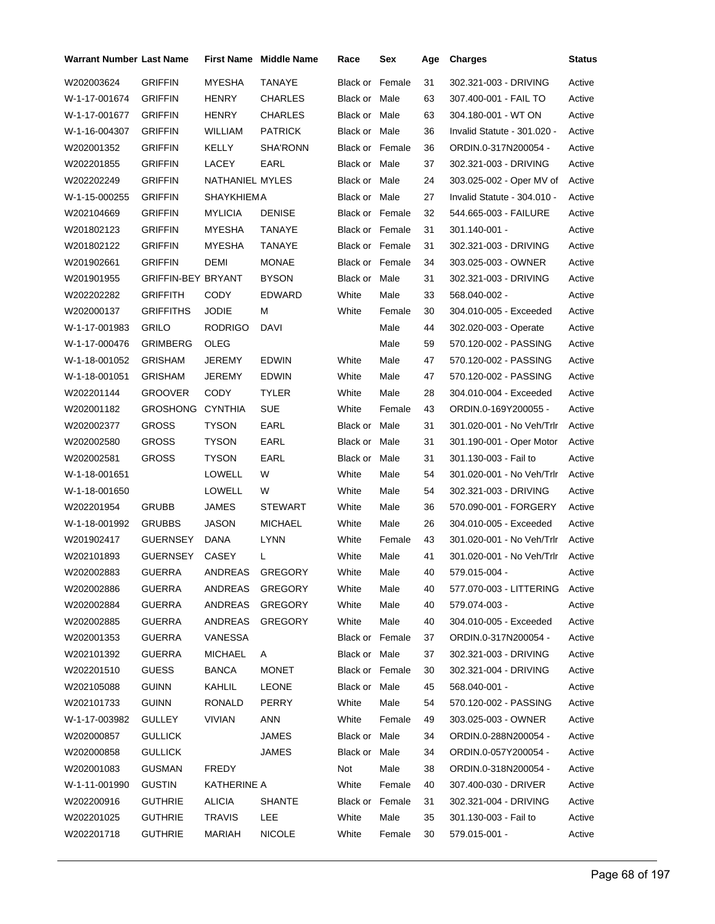| <b>Warrant Number Last Name</b> |                           |                 | First Name Middle Name | Race                   | Sex    | Age | <b>Charges</b>                 | <b>Status</b> |
|---------------------------------|---------------------------|-----------------|------------------------|------------------------|--------|-----|--------------------------------|---------------|
| W202003624                      | <b>GRIFFIN</b>            | MYESHA          | TANAYE                 | <b>Black or Female</b> |        | 31  | 302.321-003 - DRIVING          | Active        |
| W-1-17-001674                   | <b>GRIFFIN</b>            | HENRY           | <b>CHARLES</b>         | Black or Male          |        | 63  | 307.400-001 - FAIL TO          | Active        |
| W-1-17-001677                   | <b>GRIFFIN</b>            | HENRY           | <b>CHARLES</b>         | Black or Male          |        | 63  | 304.180-001 - WT ON            | Active        |
| W-1-16-004307                   | <b>GRIFFIN</b>            | WILLIAM         | <b>PATRICK</b>         | Black or Male          |        | 36  | Invalid Statute - 301.020 -    | Active        |
| W202001352                      | GRIFFIN                   | KELLY           | <b>SHA'RONN</b>        | <b>Black or Female</b> |        | 36  | ORDIN.0-317N200054 -           | Active        |
| W202201855                      | GRIFFIN                   | <b>LACEY</b>    | EARL                   | Black or Male          |        | 37  | 302.321-003 - DRIVING          | Active        |
| W202202249                      | GRIFFIN                   | NATHANIEL MYLES |                        | Black or Male          |        | 24  | 303.025-002 - Oper MV of       | Active        |
| W-1-15-000255                   | <b>GRIFFIN</b>            | SHAYKHIEMA      |                        | Black or Male          |        | 27  | Invalid Statute - 304.010 -    | Active        |
| W202104669                      | GRIFFIN                   | <b>MYLICIA</b>  | <b>DENISE</b>          | <b>Black or Female</b> |        | 32  | 544.665-003 - FAILURE          | Active        |
| W201802123                      | <b>GRIFFIN</b>            | MYESHA          | TANAYE                 | Black or Female        |        | 31  | 301.140-001 -                  | Active        |
| W201802122                      | <b>GRIFFIN</b>            | MYESHA          | TANAYE                 | Black or Female        |        | 31  | 302.321-003 - DRIVING          | Active        |
| W201902661                      | GRIFFIN                   | DEMI            | <b>MONAE</b>           | Black or Female        |        | 34  | 303.025-003 - OWNER            | Active        |
| W201901955                      | <b>GRIFFIN-BEY BRYANT</b> |                 | <b>BYSON</b>           | Black or Male          |        | 31  | 302.321-003 - DRIVING          | Active        |
| W202202282                      | <b>GRIFFITH</b>           | CODY            | EDWARD                 | White                  | Male   | 33  | 568.040-002 -                  | Active        |
| W202000137                      | GRIFFITHS                 | JODIE           | м                      | White                  | Female | 30  | 304.010-005 - Exceeded         | Active        |
| W-1-17-001983                   | <b>GRILO</b>              | <b>RODRIGO</b>  | DAVI                   |                        | Male   | 44  | 302.020-003 - Operate          | Active        |
| W-1-17-000476                   | GRIMBERG                  | OLEG            |                        |                        | Male   | 59  | 570.120-002 - PASSING          | Active        |
| W-1-18-001052                   | GRISHAM                   | JEREMY          | <b>EDWIN</b>           | White                  | Male   | 47  | 570.120-002 - PASSING          | Active        |
| W-1-18-001051                   | GRISHAM                   | JEREMY          | <b>EDWIN</b>           | White                  | Male   | 47  | 570.120-002 - PASSING          | Active        |
| W202201144                      | GROOVER                   | CODY            | <b>TYLER</b>           | White                  | Male   | 28  | 304.010-004 - Exceeded         | Active        |
| W202001182                      | GROSHONG                  | <b>CYNTHIA</b>  | <b>SUE</b>             | White                  | Female | 43  | ORDIN.0-169Y200055 -           | Active        |
| W202002377                      | <b>GROSS</b>              | TYSON           | EARL                   | Black or Male          |        | 31  | 301.020-001 - No Veh/Trlr      | Active        |
| W202002580                      | <b>GROSS</b>              | TYSON           | EARL                   | Black or Male          |        | 31  | 301.190-001 - Oper Motor       | Active        |
| W202002581                      | GROSS                     | TYSON           | EARL                   | Black or Male          |        | 31  | 301.130-003 - Fail to          | Active        |
| W-1-18-001651                   |                           | LOWELL          | W                      | White                  | Male   | 54  | 301.020-001 - No Veh/Trlr      | Active        |
| W-1-18-001650                   |                           | <b>LOWELL</b>   | W                      | White                  | Male   | 54  | 302.321-003 - DRIVING          | Active        |
| W202201954                      | <b>GRUBB</b>              | JAMES           | <b>STEWART</b>         | White                  | Male   | 36  | 570.090-001 - FORGERY          | Active        |
| W-1-18-001992                   | <b>GRUBBS</b>             | JASON           | <b>MICHAEL</b>         | White                  | Male   | 26  | 304.010-005 - Exceeded         | Active        |
| W201902417                      | <b>GUERNSEY</b>           | <b>DANA</b>     | LYNN                   | White                  | Female | 43  | 301.020-001 - No Veh/Trlr      | Active        |
| W202101893                      | <b>GUERNSEY</b>           | CASEY           | L                      | White                  | Male   | 41  | 301.020-001 - No Veh/Trlr      | Active        |
| W202002883                      | GUERRA                    | ANDREAS GREGORY |                        | White                  | Male   | 40  | 579.015-004 -                  | Active        |
| W202002886                      | GUERRA                    | ANDREAS         | <b>GREGORY</b>         | White                  | Male   | 40  | 577.070-003 - LITTERING Active |               |
| W202002884                      | GUERRA                    | ANDREAS         | <b>GREGORY</b>         | White                  | Male   | 40  | 579.074-003 -                  | Active        |
| W202002885                      | GUERRA                    | ANDREAS         | <b>GREGORY</b>         | White                  | Male   | 40  | 304.010-005 - Exceeded         | Active        |
| W202001353                      | GUERRA                    | VANESSA         |                        | <b>Black or Female</b> |        | 37  | ORDIN.0-317N200054 -           | Active        |
| W202101392                      | GUERRA                    | <b>MICHAEL</b>  | A                      | Black or Male          |        | 37  | 302.321-003 - DRIVING          | Active        |
| W202201510                      | <b>GUESS</b>              | <b>BANCA</b>    | <b>MONET</b>           | Black or Female        |        | 30  | 302.321-004 - DRIVING          | Active        |
| W202105088                      | <b>GUINN</b>              | KAHLIL          | LEONE                  | Black or Male          |        | 45  | 568.040-001 -                  | Active        |
| W202101733                      | <b>GUINN</b>              | RONALD          | PERRY                  | White                  | Male   | 54  | 570.120-002 - PASSING          | Active        |
| W-1-17-003982                   | <b>GULLEY</b>             | VIVIAN          | ANN                    | White                  | Female | 49  | 303.025-003 - OWNER            | Active        |
| W202000857                      | <b>GULLICK</b>            |                 | JAMES                  | Black or Male          |        | 34  | ORDIN.0-288N200054 -           | Active        |
| W202000858                      | <b>GULLICK</b>            |                 | JAMES                  | Black or Male          |        | 34  | ORDIN.0-057Y200054 -           | Active        |
| W202001083                      | <b>GUSMAN</b>             | <b>FREDY</b>    |                        | Not                    | Male   | 38  | ORDIN.0-318N200054 -           | Active        |
| W-1-11-001990                   | <b>GUSTIN</b>             | KATHERINE A     |                        | White                  | Female | 40  | 307.400-030 - DRIVER           | Active        |
| W202200916                      | <b>GUTHRIE</b>            | <b>ALICIA</b>   | <b>SHANTE</b>          | Black or Female        |        | 31  | 302.321-004 - DRIVING          | Active        |
| W202201025                      | <b>GUTHRIE</b>            | TRAVIS          | <b>LEE</b>             | White                  | Male   | 35  | 301.130-003 - Fail to          | Active        |
| W202201718                      | <b>GUTHRIE</b>            | MARIAH          | <b>NICOLE</b>          | White                  | Female | 30  | 579.015-001 -                  | Active        |
|                                 |                           |                 |                        |                        |        |     |                                |               |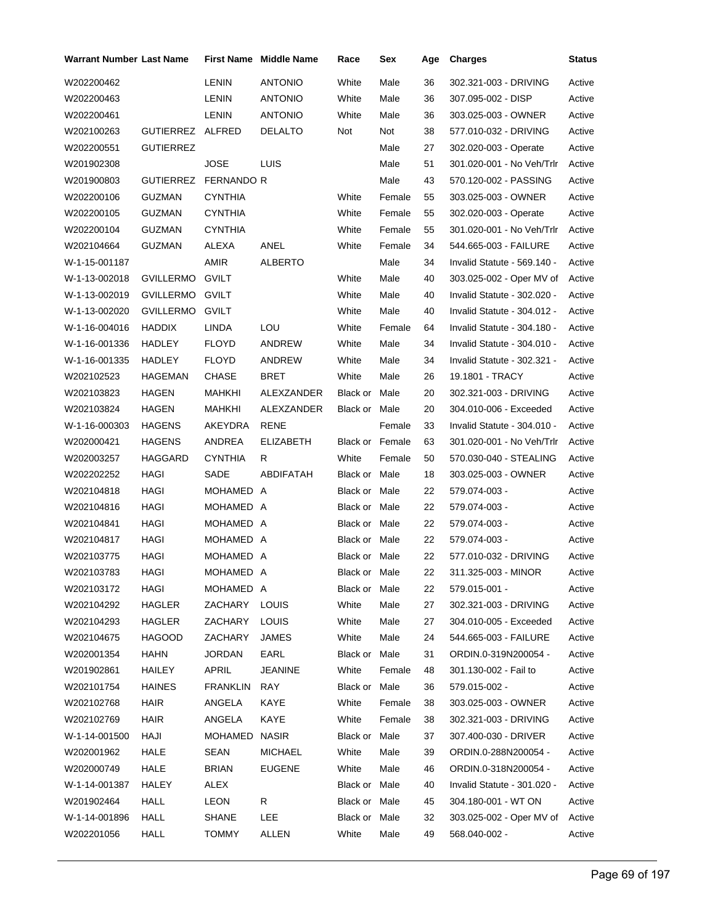| Warrant Number Last Name |                  |                   | First Name Middle Name | Race                   | Sex    | Age | <b>Charges</b>              | Status |
|--------------------------|------------------|-------------------|------------------------|------------------------|--------|-----|-----------------------------|--------|
| W202200462               |                  | LENIN             | <b>ANTONIO</b>         | White                  | Male   | 36  | 302.321-003 - DRIVING       | Active |
| W202200463               |                  | LENIN             | <b>ANTONIO</b>         | White                  | Male   | 36  | 307.095-002 - DISP          | Active |
| W202200461               |                  | LENIN             | <b>ANTONIO</b>         | White                  | Male   | 36  | 303.025-003 - OWNER         | Active |
| W202100263               | GUTIERREZ ALFRED |                   | <b>DELALTO</b>         | Not                    | Not    | 38  | 577.010-032 - DRIVING       | Active |
| W202200551               | <b>GUTIERREZ</b> |                   |                        |                        | Male   | 27  | 302.020-003 - Operate       | Active |
| W201902308               |                  | JOSE              | LUIS                   |                        | Male   | 51  | 301.020-001 - No Veh/Trlr   | Active |
| W201900803               | <b>GUTIERREZ</b> | <b>FERNANDO R</b> |                        |                        | Male   | 43  | 570.120-002 - PASSING       | Active |
| W202200106               | GUZMAN           | <b>CYNTHIA</b>    |                        | White                  | Female | 55  | 303.025-003 - OWNER         | Active |
| W202200105               | GUZMAN           | <b>CYNTHIA</b>    |                        | White                  | Female | 55  | 302.020-003 - Operate       | Active |
| W202200104               | GUZMAN           | <b>CYNTHIA</b>    |                        | White                  | Female | 55  | 301.020-001 - No Veh/Trlr   | Active |
| W202104664               | GUZMAN           | ALEXA             | ANEL                   | White                  | Female | 34  | 544.665-003 - FAILURE       | Active |
| W-1-15-001187            |                  | AMIR              | ALBERTO                |                        | Male   | 34  | Invalid Statute - 569.140 - | Active |
| W-1-13-002018            | GVILLERMO        | <b>GVILT</b>      |                        | White                  | Male   | 40  | 303.025-002 - Oper MV of    | Active |
| W-1-13-002019            | GVILLERMO GVILT  |                   |                        | White                  | Male   | 40  | Invalid Statute - 302.020 - | Active |
| W-1-13-002020            | <b>GVILLERMO</b> | <b>GVILT</b>      |                        | White                  | Male   | 40  | Invalid Statute - 304.012 - | Active |
| W-1-16-004016            | <b>HADDIX</b>    | <b>LINDA</b>      | LOU                    | White                  | Female | 64  | Invalid Statute - 304.180 - | Active |
| W-1-16-001336            | HADLEY           | <b>FLOYD</b>      | ANDREW                 | White                  | Male   | 34  | Invalid Statute - 304.010 - | Active |
| W-1-16-001335            | HADLEY           | <b>FLOYD</b>      | ANDREW                 | White                  | Male   | 34  | Invalid Statute - 302.321 - | Active |
| W202102523               | HAGEMAN          | CHASE             | BRET                   | White                  | Male   | 26  | 19.1801 - TRACY             | Active |
| W202103823               | HAGEN            | MAHKHI            | ALEXZANDER             | Black or Male          |        | 20  | 302.321-003 - DRIVING       | Active |
| W202103824               | HAGEN            | MAHKHI            | ALEXZANDER             | Black or Male          |        | 20  | 304.010-006 - Exceeded      | Active |
| W-1-16-000303            | <b>HAGENS</b>    | AKEYDRA           | <b>RENE</b>            |                        | Female | 33  | Invalid Statute - 304.010 - | Active |
| W202000421               | <b>HAGENS</b>    | ANDREA            | ELIZABETH              | <b>Black or Female</b> |        | 63  | 301.020-001 - No Veh/Trlr   | Active |
| W202003257               | HAGGARD          | CYNTHIA           | R                      | White                  | Female | 50  | 570.030-040 - STEALING      | Active |
| W202202252               | HAGI             | SADE              | ABDIFATAH              | Black or Male          |        | 18  | 303.025-003 - OWNER         | Active |
| W202104818               | HAGI             | MOHAMED A         |                        | Black or Male          |        | 22  | 579.074-003 -               | Active |
| W202104816               | HAGI             | MOHAMED A         |                        | Black or Male          |        | 22  | 579.074-003 -               | Active |
| W202104841               | HAGI             | MOHAMED A         |                        | Black or Male          |        | 22  | 579.074-003 -               | Active |
| W202104817               | HAGI             | MOHAMED A         |                        | Black or Male          |        | 22  | 579.074-003 -               | Active |
| W202103775               | HAGI             | MOHAMED A         |                        | Black or Male          |        | 22  | 577.010-032 - DRIVING       | Active |
| W202103783               | HAGI             | MOHAMED A         |                        | Black or Male          |        | 22  | 311.325-003 - MINOR         | Active |
| W202103172               | HAGI             | MOHAMED A         |                        | Black or Male          |        | 22  | 579.015-001 -               | Active |
| W202104292               | HAGLER           | ZACHARY           | <b>LOUIS</b>           | White                  | Male   | 27  | 302.321-003 - DRIVING       | Active |
| W202104293               | <b>HAGLER</b>    | ZACHARY           | <b>LOUIS</b>           | White                  | Male   | 27  | 304.010-005 - Exceeded      | Active |
| W202104675               | <b>HAGOOD</b>    | ZACHARY           | JAMES                  | White                  | Male   | 24  | 544.665-003 - FAILURE       | Active |
| W202001354               | <b>HAHN</b>      | JORDAN            | EARL                   | Black or Male          |        | 31  | ORDIN.0-319N200054 -        | Active |
| W201902861               | <b>HAILEY</b>    | APRIL             | <b>JEANINE</b>         | White                  | Female | 48  | 301.130-002 - Fail to       | Active |
| W202101754               | <b>HAINES</b>    | FRANKLIN          | RAY                    | Black or Male          |        | 36  | 579.015-002 -               | Active |
| W202102768               | HAIR             | ANGELA            | KAYE                   | White                  | Female | 38  | 303.025-003 - OWNER         | Active |
| W202102769               | HAIR             | ANGELA            | KAYE                   | White                  | Female | 38  | 302.321-003 - DRIVING       | Active |
| W-1-14-001500            | HAJI             | MOHAMED NASIR     |                        | Black or Male          |        | 37  | 307.400-030 - DRIVER        | Active |
| W202001962               | HALE             | SEAN              | <b>MICHAEL</b>         | White                  | Male   | 39  | ORDIN.0-288N200054 -        | Active |
| W202000749               | HALE             | <b>BRIAN</b>      | <b>EUGENE</b>          | White                  | Male   | 46  | ORDIN.0-318N200054 -        | Active |
| W-1-14-001387            | HALEY            | ALEX              |                        | Black or Male          |        | 40  | Invalid Statute - 301.020 - | Active |
| W201902464               | <b>HALL</b>      | LEON              | R                      | Black or Male          |        | 45  | 304.180-001 - WT ON         | Active |
| W-1-14-001896            | HALL             | SHANE             | LEE                    | Black or Male          |        | 32  | 303.025-002 - Oper MV of    | Active |
| W202201056               | HALL             | TOMMY             | ALLEN                  | White                  | Male   | 49  | 568.040-002 -               | Active |
|                          |                  |                   |                        |                        |        |     |                             |        |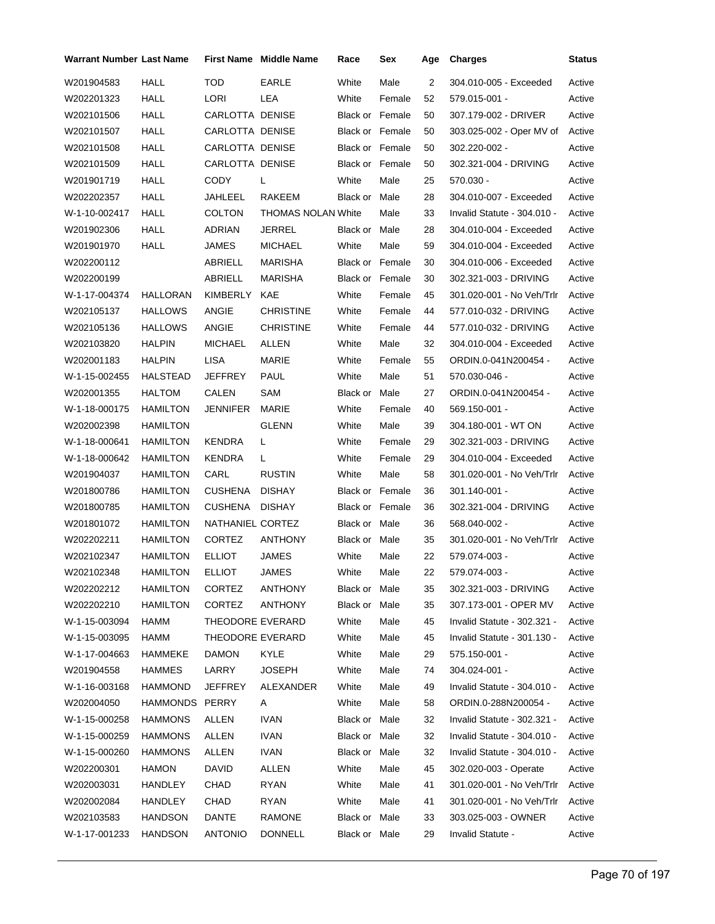| <b>Warrant Number Last Name</b> |                 |                  | <b>First Name Middle Name</b> | Race                   | Sex    | Age | <b>Charges</b>              | <b>Status</b> |
|---------------------------------|-----------------|------------------|-------------------------------|------------------------|--------|-----|-----------------------------|---------------|
| W201904583                      | HALL            | TOD              | EARLE                         | White                  | Male   | 2   | 304.010-005 - Exceeded      | Active        |
| W202201323                      | HALL            | LORI             | LEA                           | White                  | Female | 52  | 579.015-001 -               | Active        |
| W202101506                      | <b>HALL</b>     | CARLOTTA DENISE  |                               | <b>Black or Female</b> |        | 50  | 307.179-002 - DRIVER        | Active        |
| W202101507                      | <b>HALL</b>     | CARLOTTA DENISE  |                               | <b>Black or Female</b> |        | 50  | 303.025-002 - Oper MV of    | Active        |
| W202101508                      | <b>HALL</b>     | CARLOTTA DENISE  |                               | Black or Female        |        | 50  | 302.220-002 -               | Active        |
| W202101509                      | <b>HALL</b>     | CARLOTTA DENISE  |                               | <b>Black or Female</b> |        | 50  | 302.321-004 - DRIVING       | Active        |
| W201901719                      | <b>HALL</b>     | CODY             | L                             | White                  | Male   | 25  | $570.030 -$                 | Active        |
| W202202357                      | <b>HALL</b>     | JAHLEEL          | <b>RAKEEM</b>                 | Black or Male          |        | 28  | 304.010-007 - Exceeded      | Active        |
| W-1-10-002417                   | <b>HALL</b>     | <b>COLTON</b>    | <b>THOMAS NOLAN White</b>     |                        | Male   | 33  | Invalid Statute - 304.010 - | Active        |
| W201902306                      | <b>HALL</b>     | ADRIAN           | JERREL                        | Black or Male          |        | 28  | 304.010-004 - Exceeded      | Active        |
| W201901970                      | <b>HALL</b>     | JAMES            | <b>MICHAEL</b>                | White                  | Male   | 59  | 304.010-004 - Exceeded      | Active        |
| W202200112                      |                 | ABRIELL          | MARISHA                       | <b>Black or Female</b> |        | 30  | 304.010-006 - Exceeded      | Active        |
| W202200199                      |                 | ABRIELL          | MARISHA                       | <b>Black or Female</b> |        | 30  | 302.321-003 - DRIVING       | Active        |
| W-1-17-004374                   | <b>HALLORAN</b> | <b>KIMBERLY</b>  | KAE                           | White                  | Female | 45  | 301.020-001 - No Veh/Trlr   | Active        |
| W202105137                      | <b>HALLOWS</b>  | ANGIE            | <b>CHRISTINE</b>              | White                  | Female | 44  | 577.010-032 - DRIVING       | Active        |
| W202105136                      | <b>HALLOWS</b>  | ANGIE            | <b>CHRISTINE</b>              | White                  | Female | 44  | 577.010-032 - DRIVING       | Active        |
| W202103820                      | <b>HALPIN</b>   | <b>MICHAEL</b>   | ALLEN                         | White                  | Male   | 32  | 304.010-004 - Exceeded      | Active        |
| W202001183                      | <b>HALPIN</b>   | <b>LISA</b>      | <b>MARIE</b>                  | White                  | Female | 55  | ORDIN.0-041N200454 -        | Active        |
| W-1-15-002455                   | HALSTEAD        | JEFFREY          | PAUL                          | White                  | Male   | 51  | 570.030-046 -               | Active        |
| W202001355                      | <b>HALTOM</b>   | CALEN            | SAM                           | Black or               | Male   | 27  | ORDIN.0-041N200454 -        | Active        |
| W-1-18-000175                   | <b>HAMILTON</b> | JENNIFER         | MARIE                         | White                  | Female | 40  | 569.150-001 -               | Active        |
| W202002398                      | <b>HAMILTON</b> |                  | <b>GLENN</b>                  | White                  | Male   | 39  | 304.180-001 WT ON           | Active        |
| W-1-18-000641                   | <b>HAMILTON</b> | <b>KENDRA</b>    | L                             | White                  | Female | 29  | 302.321-003 - DRIVING       | Active        |
| W-1-18-000642                   | <b>HAMILTON</b> | <b>KENDRA</b>    | L                             | White                  | Female | 29  | 304.010-004 - Exceeded      | Active        |
| W201904037                      | <b>HAMILTON</b> | CARL             | <b>RUSTIN</b>                 | White                  | Male   | 58  | 301.020-001 - No Veh/Trlr   | Active        |
| W201800786                      | <b>HAMILTON</b> | <b>CUSHENA</b>   | <b>DISHAY</b>                 | <b>Black or Female</b> |        | 36  | 301.140-001 -               | Active        |
| W201800785                      | <b>HAMILTON</b> | <b>CUSHENA</b>   | <b>DISHAY</b>                 | <b>Black or Female</b> |        | 36  | 302.321-004 - DRIVING       | Active        |
| W201801072                      | <b>HAMILTON</b> | NATHANIEL CORTEZ |                               | Black or Male          |        | 36  | 568.040-002 -               | Active        |
| W202202211                      | <b>HAMILTON</b> | <b>CORTEZ</b>    | ANTHONY                       | Black or Male          |        | 35  | 301.020-001 - No Veh/Trlr   | Active        |
| W202102347                      | <b>HAMILTON</b> | <b>ELLIOT</b>    | <b>JAMES</b>                  | White                  | Male   | 22  | 579.074-003 -               | Active        |
| W202102348                      | HAMILTON        | <b>ELLIOT</b>    | JAMES                         | White                  | Male   | 22  | 579.074-003 -               | Active        |
| W202202212                      | <b>HAMILTON</b> | <b>CORTEZ</b>    | <b>ANTHONY</b>                | Black or Male          |        | 35  | 302.321-003 - DRIVING       | Active        |
| W202202210                      | <b>HAMILTON</b> | <b>CORTEZ</b>    | ANTHONY                       | Black or Male          |        | 35  | 307.173-001 - OPER MV       | Active        |
| W-1-15-003094                   | HAMM            | THEODORE EVERARD |                               | White                  | Male   | 45  | Invalid Statute - 302.321 - | Active        |
| W-1-15-003095                   | <b>HAMM</b>     | THEODORE EVERARD |                               | White                  | Male   | 45  | Invalid Statute - 301.130 - | Active        |
| W-1-17-004663                   | HAMMEKE         | <b>DAMON</b>     | <b>KYLE</b>                   | White                  | Male   | 29  | 575.150-001 -               | Active        |
| W201904558                      | HAMMES          | LARRY            | <b>JOSEPH</b>                 | White                  | Male   | 74  | 304.024-001 -               | Active        |
| W-1-16-003168                   | <b>HAMMOND</b>  | <b>JEFFREY</b>   | ALEXANDER                     | White                  | Male   | 49  | Invalid Statute - 304.010 - | Active        |
| W202004050                      | HAMMONDS PERRY  |                  | A                             | White                  | Male   | 58  | ORDIN.0-288N200054 -        | Active        |
| W-1-15-000258                   | <b>HAMMONS</b>  | ALLEN            | <b>IVAN</b>                   | Black or Male          |        | 32  | Invalid Statute - 302.321 - | Active        |
| W-1-15-000259                   | HAMMONS         | <b>ALLEN</b>     | <b>IVAN</b>                   | Black or Male          |        | 32  | Invalid Statute - 304.010 - | Active        |
| W-1-15-000260                   | HAMMONS         | ALLEN            | <b>IVAN</b>                   | Black or Male          |        | 32  | Invalid Statute - 304.010 - | Active        |
| W202200301                      | <b>HAMON</b>    | DAVID            | ALLEN                         | White                  | Male   | 45  | 302.020-003 - Operate       | Active        |
| W202003031                      | HANDLEY         | CHAD             | <b>RYAN</b>                   | White                  | Male   | 41  | 301.020-001 - No Veh/Trlr   | Active        |
| W202002084                      | HANDLEY         | CHAD             | RYAN                          | White                  | Male   | 41  | 301.020-001 - No Veh/Trlr   | Active        |
| W202103583                      | <b>HANDSON</b>  | DANTE            | RAMONE                        | Black or Male          |        | 33  | 303.025-003 - OWNER         | Active        |
| W-1-17-001233                   | <b>HANDSON</b>  | <b>ANTONIO</b>   | <b>DONNELL</b>                | Black or Male          |        | 29  | Invalid Statute -           | Active        |
|                                 |                 |                  |                               |                        |        |     |                             |               |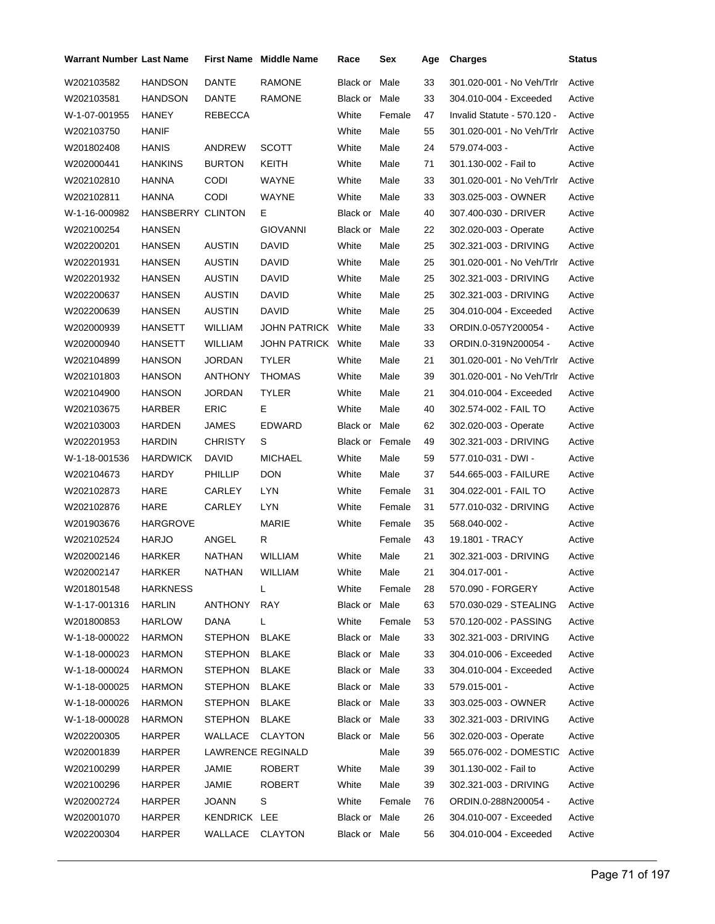| Warrant Number Last Name |                   |                   | <b>First Name</b> Middle Name | Race            | Sex    | Age | <b>Charges</b>              | <b>Status</b> |
|--------------------------|-------------------|-------------------|-------------------------------|-----------------|--------|-----|-----------------------------|---------------|
| W202103582               | HANDSON           | <b>DANTE</b>      | <b>RAMONE</b>                 | Black or        | Male   | 33  | 301.020-001 - No Veh/Trlr   | Active        |
| W202103581               | HANDSON           | DANTE             | <b>RAMONE</b>                 | Black or Male   |        | 33  | 304.010-004 - Exceeded      | Active        |
| W-1-07-001955            | HANEY             | REBECCA           |                               | White           | Female | 47  | Invalid Statute - 570.120 - | Active        |
| W202103750               | HANIF             |                   |                               | White           | Male   | 55  | 301.020-001 - No Veh/Trlr   | Active        |
| W201802408               | <b>HANIS</b>      | ANDREW            | <b>SCOTT</b>                  | White           | Male   | 24  | 579.074-003 -               | Active        |
| W202000441               | <b>HANKINS</b>    | <b>BURTON</b>     | KEITH                         | White           | Male   | 71  | 301.130-002 - Fail to       | Active        |
| W202102810               | HANNA             | <b>CODI</b>       | WAYNE                         | White           | Male   | 33  | 301.020-001 - No Veh/Trlr   | Active        |
| W202102811               | <b>HANNA</b>      | <b>CODI</b>       | WAYNE                         | White           | Male   | 33  | 303.025-003 - OWNER         | Active        |
| W-1-16-000982            | HANSBERRY CLINTON |                   | Е                             | Black or Male   |        | 40  | 307.400-030 - DRIVER        | Active        |
| W202100254               | <b>HANSEN</b>     |                   | <b>GIOVANNI</b>               | Black or        | Male   | 22  | 302.020-003 - Operate       | Active        |
| W202200201               | HANSEN            | <b>AUSTIN</b>     | DAVID                         | White           | Male   | 25  | 302.321-003 - DRIVING       | Active        |
| W202201931               | HANSEN            | <b>AUSTIN</b>     | DAVID                         | White           | Male   | 25  | 301.020-001 - No Veh/Trlr   | Active        |
| W202201932               | HANSEN            | <b>AUSTIN</b>     | <b>DAVID</b>                  | White           | Male   | 25  | 302.321-003 - DRIVING       | Active        |
| W202200637               | HANSEN            | <b>AUSTIN</b>     | <b>DAVID</b>                  | White           | Male   | 25  | 302.321-003 - DRIVING       | Active        |
| W202200639               | HANSEN            | <b>AUSTIN</b>     | DAVID                         | White           | Male   | 25  | 304.010-004 - Exceeded      | Active        |
| W202000939               | HANSETT           | WILLIAM           | JOHN PATRICK White            |                 | Male   | 33  | ORDIN.0-057Y200054 -        | Active        |
| W202000940               | HANSETT           | WILLIAM           | JOHN PATRICK White            |                 | Male   | 33  | ORDIN.0-319N200054 -        | Active        |
| W202104899               | HANSON            | JORDAN            | <b>TYLER</b>                  | White           | Male   | 21  | 301.020-001 - No Veh/Trlr   | Active        |
| W202101803               | HANSON            | ANTHONY           | <b>THOMAS</b>                 | White           | Male   | 39  | 301.020-001 - No Veh/Trlr   | Active        |
| W202104900               | HANSON            | <b>JORDAN</b>     | TYLER                         | White           | Male   | 21  | 304.010-004 - Exceeded      | Active        |
| W202103675               | HARBER            | <b>ERIC</b>       | Е                             | White           | Male   | 40  | 302.574-002 - FAIL TO       | Active        |
| W202103003               | HARDEN            | JAMES             | <b>EDWARD</b>                 | Black or Male   |        | 62  | 302.020-003 - Operate       | Active        |
| W202201953               | <b>HARDIN</b>     | <b>CHRISTY</b>    | S                             | Black or Female |        | 49  | 302.321-003 - DRIVING       | Active        |
| W-1-18-001536            | <b>HARDWICK</b>   | DAVID             | <b>MICHAEL</b>                | White           | Male   | 59  | 577.010-031 - DWI -         | Active        |
| W202104673               | <b>HARDY</b>      | PHILLIP           | <b>DON</b>                    | White           | Male   | 37  | 544.665-003 - FAILURE       | Active        |
| W202102873               | HARE              | CARLEY            | <b>LYN</b>                    | White           | Female | 31  | 304.022-001 - FAIL TO       | Active        |
| W202102876               | HARE              | CARLEY            | LYN                           | White           | Female | 31  | 577.010-032 - DRIVING       | Active        |
| W201903676               | <b>HARGROVE</b>   |                   | MARIE                         | White           | Female | 35  | 568.040-002 -               | Active        |
| W202102524               | <b>HARJO</b>      | ANGEL             | R                             |                 | Female | 43  | 19.1801 - TRACY             | Active        |
| W202002146               | HARKER            | <b>NATHAN</b>     | <b>WILLIAM</b>                | White           | Male   | 21  | 302.321-003 - DRIVING       | Active        |
| W202002147               | <b>HARKER</b>     | NATHAN            | WILLIAM                       | White           | Male   | 21  | 304.017-001 -               | Active        |
| W201801548               | <b>HARKNESS</b>   |                   | L                             | White           | Female | 28  | 570.090 - FORGERY           | Active        |
| W-1-17-001316            | HARLIN            | ANTHONY           | <b>RAY</b>                    | Black or Male   |        | 63  | 570.030-029 - STEALING      | Active        |
| W201800853               | <b>HARLOW</b>     | <b>DANA</b>       | L                             | White           | Female | 53  | 570.120-002 - PASSING       | Active        |
| W-1-18-000022            | <b>HARMON</b>     | <b>STEPHON</b>    | <b>BLAKE</b>                  | Black or Male   |        | 33  | 302.321-003 - DRIVING       | Active        |
| W-1-18-000023            | HARMON            | <b>STEPHON</b>    | <b>BLAKE</b>                  | Black or Male   |        | 33  | 304.010-006 - Exceeded      | Active        |
| W-1-18-000024            | <b>HARMON</b>     | <b>STEPHON</b>    | <b>BLAKE</b>                  | Black or Male   |        | 33  | 304.010-004 - Exceeded      | Active        |
| W-1-18-000025            | <b>HARMON</b>     | <b>STEPHON</b>    | <b>BLAKE</b>                  | Black or Male   |        | 33  | 579.015-001 -               | Active        |
| W-1-18-000026            | HARMON            | <b>STEPHON</b>    | <b>BLAKE</b>                  | Black or Male   |        | 33  | 303.025-003 - OWNER         | Active        |
| W-1-18-000028            | HARMON            | <b>STEPHON</b>    | <b>BLAKE</b>                  | Black or Male   |        | 33  | 302.321-003 - DRIVING       | Active        |
| W202200305               | HARPER            | WALLACE           | <b>CLAYTON</b>                | Black or Male   |        | 56  | 302.020-003 - Operate       | Active        |
| W202001839               | HARPER            | LAWRENCE REGINALD |                               |                 | Male   | 39  | 565.076-002 - DOMESTIC      | Active        |
| W202100299               | <b>HARPER</b>     | JAMIE             | <b>ROBERT</b>                 | White           | Male   | 39  | 301.130-002 - Fail to       | Active        |
| W202100296               | <b>HARPER</b>     | JAMIE             | ROBERT                        | White           | Male   | 39  | 302.321-003 - DRIVING       | Active        |
| W202002724               | HARPER            | JOANN             | S                             | White           | Female | 76  | ORDIN.0-288N200054 -        | Active        |
| W202001070               | <b>HARPER</b>     | KENDRICK LEE      |                               | Black or Male   |        | 26  | 304.010-007 - Exceeded      | Active        |
| W202200304               | <b>HARPER</b>     | WALLACE CLAYTON   |                               | Black or Male   |        | 56  | 304.010-004 - Exceeded      | Active        |
|                          |                   |                   |                               |                 |        |     |                             |               |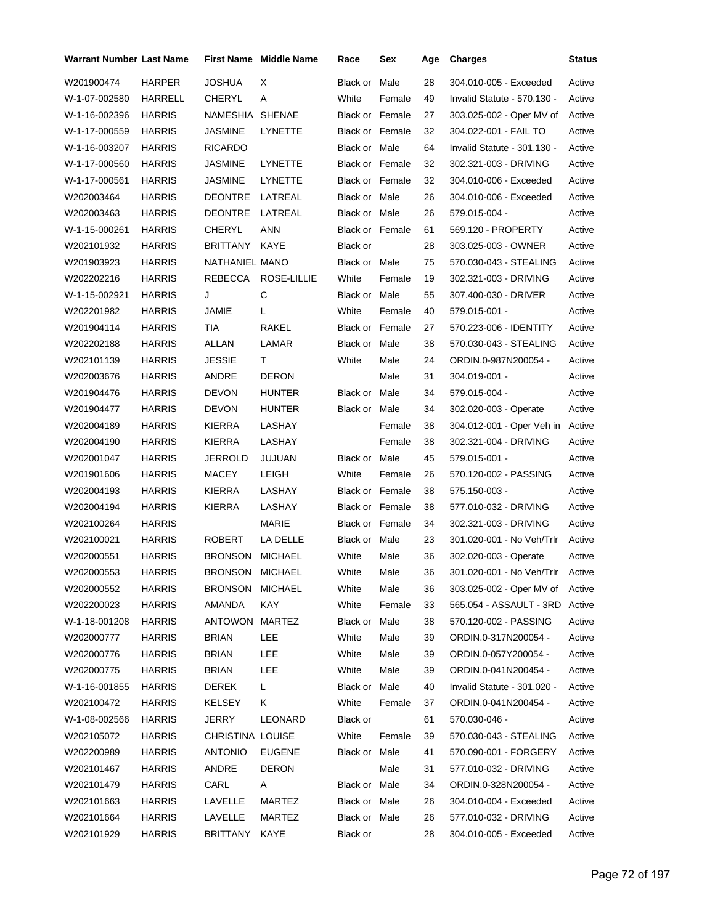| Warrant Number Last Name |               |                  | <b>First Name Middle Name</b> | Race                   | Sex    | Age | <b>Charges</b>                   | <b>Status</b> |
|--------------------------|---------------|------------------|-------------------------------|------------------------|--------|-----|----------------------------------|---------------|
| W201900474               | <b>HARPER</b> | JOSHUA           | Χ                             | Black or Male          |        | 28  | 304.010-005 - Exceeded           | Active        |
| W-1-07-002580            | HARRELL       | CHERYL           | Α                             | White                  | Female | 49  | Invalid Statute - 570.130 -      | Active        |
| W-1-16-002396            | <b>HARRIS</b> | NAMESHIA         | <b>SHENAE</b>                 | <b>Black or Female</b> |        | 27  | 303.025-002 - Oper MV of         | Active        |
| W-1-17-000559            | <b>HARRIS</b> | <b>JASMINE</b>   | LYNETTE                       | Black or Female        |        | 32  | 304.022-001 - FAIL TO            | Active        |
| W-1-16-003207            | <b>HARRIS</b> | <b>RICARDO</b>   |                               | Black or Male          |        | 64  | Invalid Statute - 301.130 -      | Active        |
| W-1-17-000560            | <b>HARRIS</b> | <b>JASMINE</b>   | <b>LYNETTE</b>                | <b>Black or Female</b> |        | 32  | 302.321-003 - DRIVING            | Active        |
| W-1-17-000561            | <b>HARRIS</b> | <b>JASMINE</b>   | LYNETTE                       | Black or Female        |        | 32  | 304.010-006 - Exceeded           | Active        |
| W202003464               | <b>HARRIS</b> | <b>DEONTRE</b>   | LATREAL                       | Black or Male          |        | 26  | 304.010-006 - Exceeded           | Active        |
| W202003463               | <b>HARRIS</b> | <b>DEONTRE</b>   | LATREAL                       | Black or Male          |        | 26  | 579.015-004 -                    | Active        |
| W-1-15-000261            | <b>HARRIS</b> | <b>CHERYL</b>    | <b>ANN</b>                    | Black or Female        |        | 61  | 569.120 - PROPERTY               | Active        |
| W202101932               | <b>HARRIS</b> | BRITTANY KAYE    |                               | Black or               |        | 28  | 303.025-003 - OWNER              | Active        |
| W201903923               | <b>HARRIS</b> | NATHANIEL MANO   |                               | Black or Male          |        | 75  | 570.030-043 - STEALING           | Active        |
| W202202216               | <b>HARRIS</b> |                  | REBECCA ROSE-LILLIE           | White                  | Female | 19  | 302.321-003 - DRIVING            | Active        |
| W-1-15-002921            | <b>HARRIS</b> | J                | С                             | Black or Male          |        | 55  | 307.400-030 - DRIVER             | Active        |
| W202201982               | <b>HARRIS</b> | JAMIE            | L                             | White                  | Female | 40  | 579.015-001 -                    | Active        |
| W201904114               | <b>HARRIS</b> | TIA              | RAKEL                         | Black or Female        |        | 27  | 570.223-006 - IDENTITY           | Active        |
| W202202188               | <b>HARRIS</b> | ALLAN            | LAMAR                         | Black or Male          |        | 38  | 570.030-043 - STEALING           | Active        |
| W202101139               | <b>HARRIS</b> | JESSIE           | T.                            | White                  | Male   | 24  | ORDIN.0-987N200054 -             | Active        |
| W202003676               | <b>HARRIS</b> | ANDRE            | <b>DERON</b>                  |                        | Male   | 31  | 304.019-001 -                    | Active        |
| W201904476               | <b>HARRIS</b> | <b>DEVON</b>     | <b>HUNTER</b>                 | Black or Male          |        | 34  | 579.015-004 -                    | Active        |
| W201904477               | <b>HARRIS</b> | <b>DEVON</b>     | <b>HUNTER</b>                 | Black or Male          |        | 34  | 302.020-003 - Operate            | Active        |
| W202004189               | <b>HARRIS</b> | KIERRA           | LASHAY                        |                        | Female | 38  | 304.012-001 - Oper Veh in Active |               |
| W202004190               | <b>HARRIS</b> | KIERRA           | LASHAY                        |                        | Female | 38  | 302.321-004 - DRIVING            | Active        |
| W202001047               | <b>HARRIS</b> | JERROLD          | JUJUAN                        | Black or Male          |        | 45  | 579.015-001 -                    | Active        |
| W201901606               | <b>HARRIS</b> | MACEY            | LEIGH                         | White                  | Female | 26  | 570.120-002 - PASSING            | Active        |
| W202004193               | <b>HARRIS</b> | KIERRA           | LASHAY                        | <b>Black or Female</b> |        | 38  | 575.150-003 -                    | Active        |
| W202004194               | <b>HARRIS</b> | KIERRA           | LASHAY                        | Black or Female        |        | 38  | 577.010-032 - DRIVING            | Active        |
| W202100264               | <b>HARRIS</b> |                  | <b>MARIE</b>                  | Black or Female        |        | 34  | 302.321-003 - DRIVING            | Active        |
| W202100021               | <b>HARRIS</b> | <b>ROBERT</b>    | LA DELLE                      | Black or Male          |        | 23  | 301.020-001 - No Veh/Trlr        | Active        |
| W202000551               | <b>HARRIS</b> | <b>BRONSON</b>   | <b>MICHAEL</b>                | White                  | Male   | 36  | 302.020-003 - Operate            | Active        |
| W202000553               | <b>HARRIS</b> | BRONSON MICHAEL  |                               | White                  | Male   | 36  | 301.020-001 - No Veh/Trlr        | Active        |
| W202000552               | <b>HARRIS</b> | BRONSON MICHAEL  |                               | White                  | Male   | 36  | 303.025-002 - Oper MV of Active  |               |
| W202200023               | <b>HARRIS</b> | AMANDA           | <b>KAY</b>                    | White                  | Female | 33  | 565.054 - ASSAULT - 3RD Active   |               |
| W-1-18-001208            | <b>HARRIS</b> | ANTOWON          | MARTEZ                        | Black or Male          |        | 38  | 570.120-002 - PASSING            | Active        |
| W202000777               | <b>HARRIS</b> | <b>BRIAN</b>     | <b>LEE</b>                    | White                  | Male   | 39  | ORDIN.0-317N200054 -             | Active        |
| W202000776               | <b>HARRIS</b> | <b>BRIAN</b>     | LEE                           | White                  | Male   | 39  | ORDIN.0-057Y200054 -             | Active        |
| W202000775               | <b>HARRIS</b> | <b>BRIAN</b>     | LEE                           | White                  | Male   | 39  | ORDIN.0-041N200454 -             | Active        |
| W-1-16-001855            | <b>HARRIS</b> | <b>DEREK</b>     | L.                            | Black or Male          |        | 40  | Invalid Statute - 301.020 -      | Active        |
| W202100472               | <b>HARRIS</b> | <b>KELSEY</b>    | K                             | White                  | Female | 37  | ORDIN.0-041N200454 -             | Active        |
| W-1-08-002566            | <b>HARRIS</b> | JERRY            | <b>LEONARD</b>                | Black or               |        | 61  | 570.030-046 -                    | Active        |
| W202105072               | <b>HARRIS</b> | CHRISTINA LOUISE |                               | White                  | Female | 39  | 570.030-043 - STEALING           | Active        |
| W202200989               | <b>HARRIS</b> | <b>ANTONIO</b>   | <b>EUGENE</b>                 | Black or Male          |        | 41  | 570.090-001 - FORGERY            | Active        |
| W202101467               | <b>HARRIS</b> | ANDRE            | <b>DERON</b>                  |                        | Male   | 31  | 577.010-032 - DRIVING            | Active        |
| W202101479               | <b>HARRIS</b> | CARL             | A                             | Black or Male          |        | 34  | ORDIN.0-328N200054 -             | Active        |
| W202101663               | <b>HARRIS</b> | LAVELLE          | <b>MARTEZ</b>                 | Black or Male          |        | 26  | 304.010-004 - Exceeded           | Active        |
| W202101664               | <b>HARRIS</b> | LAVELLE          | MARTEZ                        | Black or Male          |        | 26  | 577.010-032 - DRIVING            | Active        |
| W202101929               | <b>HARRIS</b> | BRITTANY         | KAYE                          | Black or               |        | 28  | 304.010-005 - Exceeded           | Active        |
|                          |               |                  |                               |                        |        |     |                                  |               |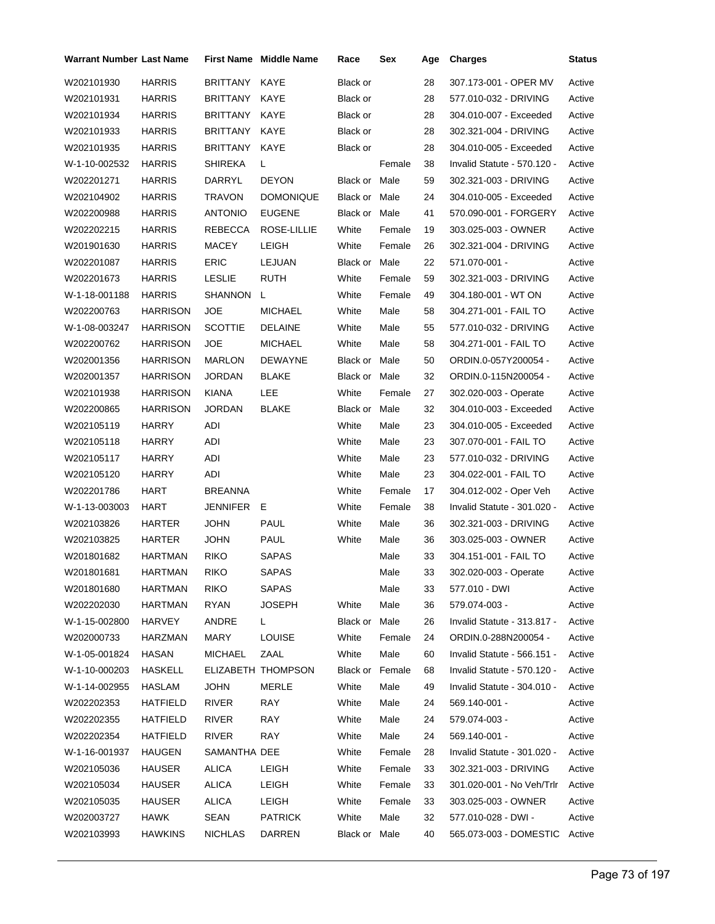| <b>Warrant Number Last Name</b> |                 |                | First Name Middle Name | Race            | Sex    | Age | <b>Charges</b>                | <b>Status</b> |
|---------------------------------|-----------------|----------------|------------------------|-----------------|--------|-----|-------------------------------|---------------|
| W202101930                      | <b>HARRIS</b>   | BRITTANY       | KAYE                   | Black or        |        | 28  | 307.173-001 - OPER MV         | Active        |
| W202101931                      | <b>HARRIS</b>   | BRITTANY       | KAYE                   | Black or        |        | 28  | 577.010-032 - DRIVING         | Active        |
| W202101934                      | HARRIS          | BRITTANY       | KAYE                   | Black or        |        | 28  | 304.010-007 - Exceeded        | Active        |
| W202101933                      | HARRIS          | BRITTANY       | KAYE                   | Black or        |        | 28  | 302.321-004 - DRIVING         | Active        |
| W202101935                      | <b>HARRIS</b>   | BRITTANY       | KAYE                   | Black or        |        | 28  | 304.010-005 - Exceeded        | Active        |
| W-1-10-002532                   | HARRIS          | SHIREKA        | L                      |                 | Female | 38  | Invalid Statute - 570.120 -   | Active        |
| W202201271                      | HARRIS          | DARRYL         | <b>DEYON</b>           | Black or Male   |        | 59  | 302.321-003 - DRIVING         | Active        |
| W202104902                      | <b>HARRIS</b>   | TRAVON         | <b>DOMONIQUE</b>       | Black or Male   |        | 24  | 304.010-005 - Exceeded        | Active        |
| W202200988                      | HARRIS          | ANTONIO        | <b>EUGENE</b>          | Black or Male   |        | 41  | 570.090-001 - FORGERY         | Active        |
| W202202215                      | HARRIS          | REBECCA        | ROSE-LILLIE            | White           | Female | 19  | 303.025-003 - OWNER           | Active        |
| W201901630                      | <b>HARRIS</b>   | MACEY          | <b>LEIGH</b>           | White           | Female | 26  | 302.321-004 - DRIVING         | Active        |
| W202201087                      | HARRIS          | ERIC           | LEJUAN                 | Black or Male   |        | 22  | 571.070-001 -                 | Active        |
| W202201673                      | HARRIS          | <b>LESLIE</b>  | <b>RUTH</b>            | White           | Female | 59  | 302.321-003 - DRIVING         | Active        |
| W-1-18-001188                   | <b>HARRIS</b>   | SHANNON        | L.                     | White           | Female | 49  | 304.180-001 - WT ON           | Active        |
| W202200763                      | HARRISON        | <b>JOE</b>     | <b>MICHAEL</b>         | White           | Male   | 58  | 304.271-001 - FAIL TO         | Active        |
| W-1-08-003247                   | <b>HARRISON</b> | <b>SCOTTIE</b> | <b>DELAINE</b>         | White           | Male   | 55  | 577.010-032 - DRIVING         | Active        |
| W202200762                      | HARRISON        | JOE            | <b>MICHAEL</b>         | White           | Male   | 58  | 304.271-001 - FAIL TO         | Active        |
| W202001356                      | HARRISON        | MARLON         | DEWAYNE                | Black or Male   |        | 50  | ORDIN.0-057Y200054 -          | Active        |
| W202001357                      | <b>HARRISON</b> | JORDAN         | <b>BLAKE</b>           | Black or Male   |        | 32  | ORDIN.0-115N200054 -          | Active        |
| W202101938                      | <b>HARRISON</b> | <b>KIANA</b>   | LEE                    | White           | Female | 27  | 302.020-003 - Operate         | Active        |
| W202200865                      | HARRISON        | JORDAN         | <b>BLAKE</b>           | Black or Male   |        | 32  | 304.010-003 - Exceeded        | Active        |
| W202105119                      | <b>HARRY</b>    | ADI            |                        | White           | Male   | 23  | 304.010-005 - Exceeded        | Active        |
| W202105118                      | HARRY           | ADI            |                        | White           | Male   | 23  | 307.070-001 - FAIL TO         | Active        |
| W202105117                      | HARRY           | adi            |                        | White           | Male   | 23  | 577.010-032 - DRIVING         | Active        |
| W202105120                      | <b>HARRY</b>    | ADI            |                        | White           | Male   | 23  | 304.022-001 - FAIL TO         | Active        |
| W202201786                      | HART            | BREANNA        |                        | White           | Female | 17  | 304.012-002 - Oper Veh        | Active        |
| W-1-13-003003                   | HART            | JENNIFER E     |                        | White           | Female | 38  | Invalid Statute - 301.020 -   | Active        |
| W202103826                      | HARTER          | JOHN           | <b>PAUL</b>            | White           | Male   | 36  | 302.321-003 - DRIVING         | Active        |
| W202103825                      | HARTER          | <b>JOHN</b>    | PAUL                   | White           | Male   | 36  | 303.025-003 - OWNER           | Active        |
| W201801682                      | HARTMAN         | <b>RIKO</b>    | <b>SAPAS</b>           |                 | Male   | 33  | 304.151-001 - FAIL TO         | Active        |
| W201801681                      | HARTMAN         | <b>RIKO</b>    | <b>SAPAS</b>           |                 | Male   | 33  | 302.020-003 - Operate         | Active        |
| W201801680                      | HARTMAN         | <b>RIKO</b>    | <b>SAPAS</b>           |                 | Male   | 33  | 577.010 - DWI                 | Active        |
| W202202030                      | HARTMAN         | RYAN           | <b>JOSEPH</b>          | White           | Male   | 36  | 579.074-003 -                 | Active        |
| W-1-15-002800                   | <b>HARVEY</b>   | ANDRE          | L.                     | Black or Male   |        | 26  | Invalid Statute - 313.817 -   | Active        |
| W202000733                      | HARZMAN         | <b>MARY</b>    | <b>LOUISE</b>          | White           | Female | 24  | ORDIN.0-288N200054 -          | Active        |
| W-1-05-001824                   | <b>HASAN</b>    | <b>MICHAEL</b> | ZAAL                   | White           | Male   | 60  | Invalid Statute - 566.151 -   | Active        |
| W-1-10-000203                   | <b>HASKELL</b>  |                | ELIZABETH THOMPSON     | Black or Female |        | 68  | Invalid Statute - 570.120 -   | Active        |
| W-1-14-002955                   | HASLAM          | JOHN           | MERLE                  | White           | Male   | 49  | Invalid Statute - 304.010 -   | Active        |
| W202202353                      | <b>HATFIELD</b> | <b>RIVER</b>   | RAY                    | White           | Male   | 24  | 569.140-001 -                 | Active        |
| W202202355                      | <b>HATFIELD</b> | <b>RIVER</b>   | RAY                    | White           | Male   | 24  | 579.074-003 -                 | Active        |
| W202202354                      | HATFIELD        | RIVER          | RAY                    | White           | Male   | 24  | 569.140-001 -                 | Active        |
| W-1-16-001937                   | HAUGEN          | SAMANTHA DEE   |                        | White           | Female | 28  | Invalid Statute - 301.020 -   | Active        |
| W202105036                      | HAUSER          | <b>ALICA</b>   | LEIGH                  | White           | Female | 33  | 302.321-003 - DRIVING         | Active        |
| W202105034                      | HAUSER          | <b>ALICA</b>   | LEIGH                  | White           | Female | 33  | 301.020-001 - No Veh/Trlr     | Active        |
| W202105035                      | <b>HAUSER</b>   | <b>ALICA</b>   | LEIGH                  | White           | Female | 33  | 303.025-003 - OWNER           | Active        |
| W202003727                      | <b>HAWK</b>     | <b>SEAN</b>    | <b>PATRICK</b>         | White           | Male   | 32  | 577.010-028 - DWI -           | Active        |
| W202103993                      | <b>HAWKINS</b>  | <b>NICHLAS</b> | DARREN                 | Black or Male   |        | 40  | 565.073-003 - DOMESTIC Active |               |
|                                 |                 |                |                        |                 |        |     |                               |               |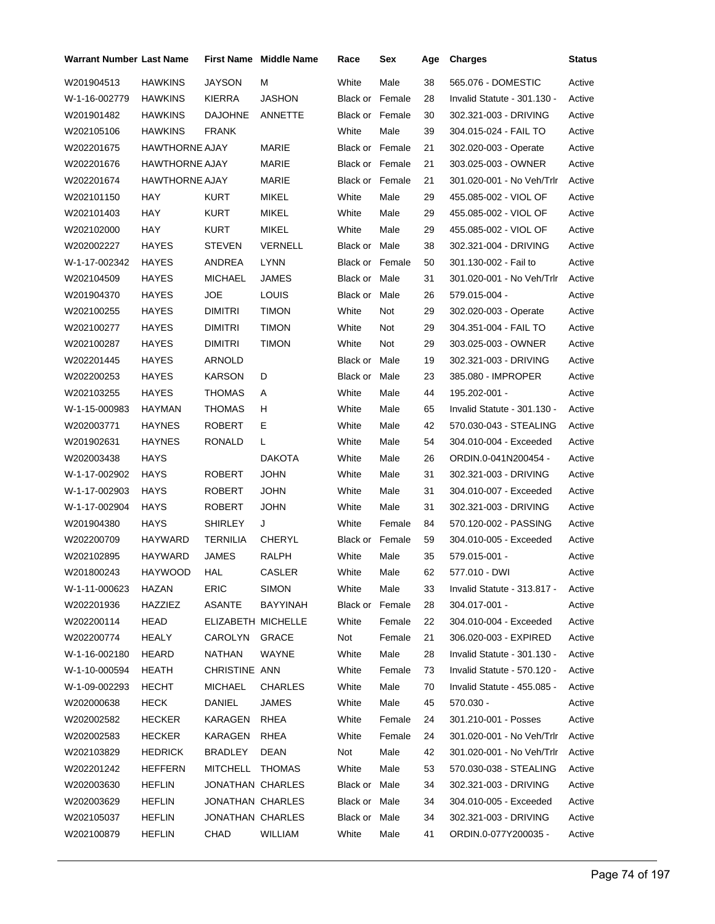| <b>Warrant Number Last Name</b> |                       |                    | First Name Middle Name | Race                   | Sex    | Age | <b>Charges</b>              | <b>Status</b> |
|---------------------------------|-----------------------|--------------------|------------------------|------------------------|--------|-----|-----------------------------|---------------|
| W201904513                      | HAWKINS               | <b>JAYSON</b>      | М                      | White                  | Male   | 38  | 565.076 - DOMESTIC          | Active        |
| W-1-16-002779                   | <b>HAWKINS</b>        | KIERRA             | JASHON                 | <b>Black or Female</b> |        | 28  | Invalid Statute - 301.130 - | Active        |
| W201901482                      | HAWKINS               | DAJOHNE            | ANNETTE                | <b>Black or Female</b> |        | 30  | 302.321-003 - DRIVING       | Active        |
| W202105106                      | HAWKINS               | <b>FRANK</b>       |                        | White                  | Male   | 39  | 304.015-024 - FAIL TO       | Active        |
| W202201675                      | <b>HAWTHORNE AJAY</b> |                    | MARIE                  | Black or Female        |        | 21  | 302.020-003 - Operate       | Active        |
| W202201676                      | <b>HAWTHORNE AJAY</b> |                    | MARIE                  | Black or Female        |        | 21  | 303.025-003 - OWNER         | Active        |
| W202201674                      | <b>HAWTHORNE AJAY</b> |                    | MARIE                  | Black or Female        |        | 21  | 301.020-001 - No Veh/Trlr   | Active        |
| W202101150                      | HAY                   | <b>KURT</b>        | <b>MIKEL</b>           | White                  | Male   | 29  | 455.085-002 - VIOL OF       | Active        |
| W202101403                      | HAY                   | KURT               | <b>MIKEL</b>           | White                  | Male   | 29  | 455.085-002 - VIOL OF       | Active        |
| W202102000                      | HAY                   | KURT               | MIKEL                  | White                  | Male   | 29  | 455.085-002 - VIOL OF       | Active        |
| W202002227                      | HAYES                 | STEVEN             | <b>VERNELL</b>         | Black or Male          |        | 38  | 302.321-004 - DRIVING       | Active        |
| W-1-17-002342                   | HAYES                 | ANDREA             | <b>LYNN</b>            | <b>Black or Female</b> |        | 50  | 301.130-002 - Fail to       | Active        |
| W202104509                      | HAYES                 | MICHAEL            | <b>JAMES</b>           | Black or Male          |        | 31  | 301.020-001 - No Veh/Trlr   | Active        |
| W201904370                      | <b>HAYES</b>          | <b>JOE</b>         | <b>LOUIS</b>           | Black or Male          |        | 26  | 579.015-004 -               | Active        |
| W202100255                      | HAYES                 | <b>DIMITRI</b>     | <b>TIMON</b>           | White                  | Not    | 29  | 302.020-003 - Operate       | Active        |
| W202100277                      | HAYES                 | <b>DIMITRI</b>     | <b>TIMON</b>           | White                  | Not    | 29  | 304.351-004 - FAIL TO       | Active        |
| W202100287                      | HAYES                 | DIMITRI            | <b>TIMON</b>           | White                  | Not    | 29  | 303.025-003 - OWNER         | Active        |
| W202201445                      | HAYES                 | ARNOLD             |                        | Black or Male          |        | 19  | 302.321-003 - DRIVING       | Active        |
| W202200253                      | HAYES                 | KARSON             | D                      | Black or Male          |        | 23  | 385.080 - IMPROPER          | Active        |
| W202103255                      | HAYES                 | THOMAS             | Α                      | White                  | Male   | 44  | 195.202-001 -               | Active        |
| W-1-15-000983                   | HAYMAN                | THOMAS             | H.                     | White                  | Male   | 65  | Invalid Statute - 301.130 - | Active        |
| W202003771                      | HAYNES                | ROBERT             | Е                      | White                  | Male   | 42  | 570.030-043 - STEALING      | Active        |
| W201902631                      | HAYNES                | RONALD             | L                      | White                  | Male   | 54  | 304.010-004 - Exceeded      | Active        |
| W202003438                      | <b>HAYS</b>           |                    | <b>DAKOTA</b>          | White                  | Male   | 26  | ORDIN.0-041N200454 -        | Active        |
| W-1-17-002902                   | <b>HAYS</b>           | ROBERT             | <b>JOHN</b>            | White                  | Male   | 31  | 302.321-003 - DRIVING       | Active        |
| W-1-17-002903                   | HAYS                  | ROBERT             | <b>JOHN</b>            | White                  | Male   | 31  | 304.010-007 - Exceeded      | Active        |
| W-1-17-002904                   | HAYS                  | <b>ROBERT</b>      | <b>JOHN</b>            | White                  | Male   | 31  | 302.321-003 - DRIVING       | Active        |
| W201904380                      | <b>HAYS</b>           | <b>SHIRLEY</b>     | J                      | White                  | Female | 84  | 570.120-002 - PASSING       | Active        |
| W202200709                      | HAYWARD               | TERNILIA           | <b>CHERYL</b>          | Black or Female        |        | 59  | 304.010-005 - Exceeded      | Active        |
| W202102895                      | <b>HAYWARD</b>        | JAMES              | <b>RALPH</b>           | White                  | Male   | 35  | 579.015-001 -               | Active        |
| W201800243                      | <b>HAYWOOD</b>        | HAL                | <b>CASLER</b>          | White                  | Male   | 62  | 577.010 - DWI               | Active        |
| W-1-11-000623                   | HAZAN                 | <b>ERIC</b>        | <b>SIMON</b>           | White                  | Male   | 33  | Invalid Statute - 313.817 - | Active        |
| W202201936                      | <b>HAZZIEZ</b>        | ASANTE             | <b>BAYYINAH</b>        | Black or Female        |        | 28  | 304.017-001 -               | Active        |
| W202200114                      | <b>HEAD</b>           | ELIZABETH MICHELLE |                        | White                  | Female | 22  | 304.010-004 - Exceeded      | Active        |
| W202200774                      | HEALY                 | CAROLYN            | GRACE                  | Not                    | Female | 21  | 306.020-003 - EXPIRED       | Active        |
| W-1-16-002180                   | <b>HEARD</b>          | <b>NATHAN</b>      | WAYNE                  | White                  | Male   | 28  | Invalid Statute - 301.130 - | Active        |
| W-1-10-000594                   | HEATH                 | CHRISTINE ANN      |                        | White                  | Female | 73  | Invalid Statute - 570.120 - | Active        |
| W-1-09-002293                   | <b>HECHT</b>          | MICHAEL            | <b>CHARLES</b>         | White                  | Male   | 70  | Invalid Statute - 455.085 - | Active        |
| W202000638                      | <b>HECK</b>           | <b>DANIEL</b>      | <b>JAMES</b>           | White                  | Male   | 45  | $570.030 -$                 | Active        |
| W202002582                      | HECKER                | KARAGEN            | <b>RHEA</b>            | White                  | Female | 24  | 301.210-001 - Posses        | Active        |
| W202002583                      | HECKER                | KARAGEN            | RHEA                   | White                  | Female | 24  | 301.020-001 - No Veh/Trlr   | Active        |
| W202103829                      | HEDRICK               | BRADLEY            | <b>DEAN</b>            | Not                    | Male   | 42  | 301.020-001 - No Veh/Trlr   | Active        |
| W202201242                      | HEFFERN               | MITCHELL THOMAS    |                        | White                  | Male   | 53  | 570.030-038 - STEALING      | Active        |
| W202003630                      | <b>HEFLIN</b>         | JONATHAN CHARLES   |                        | Black or Male          |        | 34  | 302.321-003 - DRIVING       | Active        |
| W202003629                      | <b>HEFLIN</b>         | JONATHAN CHARLES   |                        | Black or Male          |        | 34  | 304.010-005 - Exceeded      | Active        |
| W202105037                      | <b>HEFLIN</b>         | JONATHAN CHARLES   |                        | Black or Male          |        | 34  | 302.321-003 - DRIVING       | Active        |
| W202100879                      | <b>HEFLIN</b>         | CHAD               | WILLIAM                | White                  | Male   | 41  | ORDIN.0-077Y200035 -        | Active        |
|                                 |                       |                    |                        |                        |        |     |                             |               |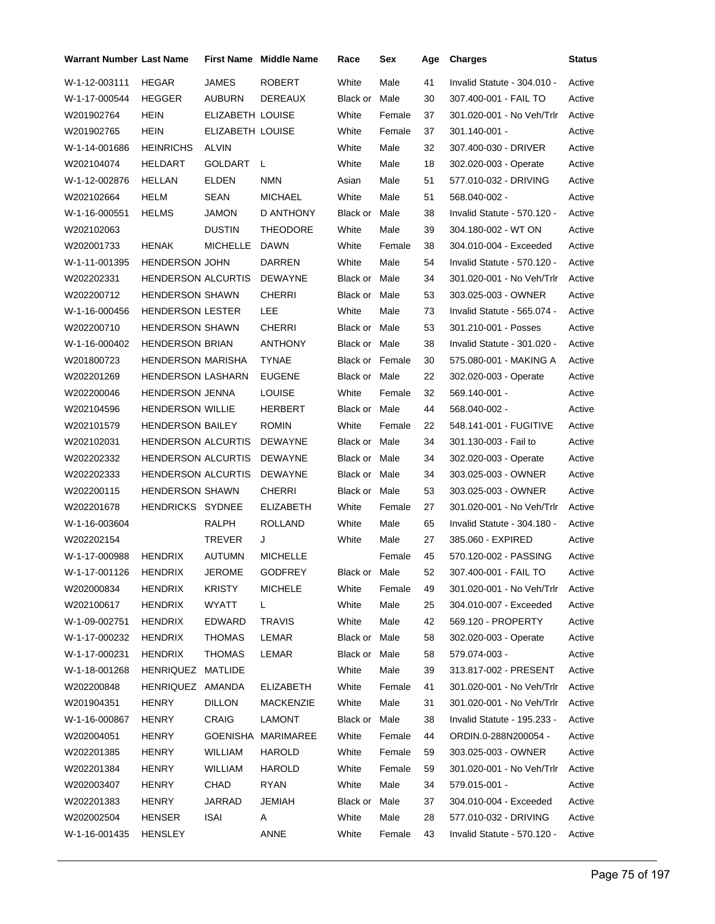| <b>Warrant Number Last Name</b> |                           |                  | <b>First Name Middle Name</b> | Race                   | Sex    | Age | <b>Charges</b>              | <b>Status</b> |
|---------------------------------|---------------------------|------------------|-------------------------------|------------------------|--------|-----|-----------------------------|---------------|
| W-1-12-003111                   | <b>HEGAR</b>              | <b>JAMES</b>     | <b>ROBERT</b>                 | White                  | Male   | 41  | Invalid Statute - 304.010 - | Active        |
| W-1-17-000544                   | <b>HEGGER</b>             | AUBURN           | <b>DEREAUX</b>                | Black or               | Male   | 30  | 307.400-001 - FAIL TO       | Active        |
| W201902764                      | HEIN                      | ELIZABETH LOUISE |                               | White                  | Female | 37  | 301.020-001 - No Veh/Trlr   | Active        |
| W201902765                      | <b>HEIN</b>               | ELIZABETH LOUISE |                               | White                  | Female | 37  | 301.140-001 -               | Active        |
| W-1-14-001686                   | <b>HEINRICHS</b>          | ALVIN            |                               | White                  | Male   | 32  | 307.400-030 - DRIVER        | Active        |
| W202104074                      | <b>HELDART</b>            | GOLDART          | L                             | White                  | Male   | 18  | 302.020-003 - Operate       | Active        |
| W-1-12-002876                   | <b>HELLAN</b>             | ELDEN            | <b>NMN</b>                    | Asian                  | Male   | 51  | 577.010-032 - DRIVING       | Active        |
| W202102664                      | HELM                      | SEAN             | <b>MICHAEL</b>                | White                  | Male   | 51  | 568.040-002 -               | Active        |
| W-1-16-000551                   | <b>HELMS</b>              | <b>JAMON</b>     | D ANTHONY                     | Black or Male          |        | 38  | Invalid Statute - 570.120 - | Active        |
| W202102063                      |                           | <b>DUSTIN</b>    | <b>THEODORE</b>               | White                  | Male   | 39  | 304.180-002 - WT ON         | Active        |
| W202001733                      | <b>HENAK</b>              | <b>MICHELLE</b>  | <b>DAWN</b>                   | White                  | Female | 38  | 304.010-004 - Exceeded      | Active        |
| W-1-11-001395                   | <b>HENDERSON JOHN</b>     |                  | DARREN                        | White                  | Male   | 54  | Invalid Statute - 570.120 - | Active        |
| W202202331                      | <b>HENDERSON ALCURTIS</b> |                  | DEWAYNE                       | Black or Male          |        | 34  | 301.020-001 - No Veh/Trlr   | Active        |
| W202200712                      | <b>HENDERSON SHAWN</b>    |                  | <b>CHERRI</b>                 | Black or Male          |        | 53  | 303.025-003 - OWNER         | Active        |
| W-1-16-000456                   | <b>HENDERSON LESTER</b>   |                  | LEE                           | White                  | Male   | 73  | Invalid Statute - 565.074 - | Active        |
| W202200710                      | <b>HENDERSON SHAWN</b>    |                  | <b>CHERRI</b>                 | Black or Male          |        | 53  | 301.210-001 - Posses        | Active        |
| W-1-16-000402                   | <b>HENDERSON BRIAN</b>    |                  | <b>ANTHONY</b>                | <b>Black or Male</b>   |        | 38  | Invalid Statute - 301.020 - | Active        |
| W201800723                      | <b>HENDERSON MARISHA</b>  |                  | <b>TYNAE</b>                  | <b>Black or Female</b> |        | 30  | 575.080-001 - MAKING A      | Active        |
| W202201269                      | <b>HENDERSON LASHARN</b>  |                  | <b>EUGENE</b>                 | Black or Male          |        | 22  | 302.020-003 - Operate       | Active        |
| W202200046                      | <b>HENDERSON JENNA</b>    |                  | <b>LOUISE</b>                 | White                  | Female | 32  | 569.140-001 -               | Active        |
| W202104596                      | <b>HENDERSON WILLIE</b>   |                  | HERBERT                       | Black or Male          |        | 44  | 568.040-002 -               | Active        |
| W202101579                      | <b>HENDERSON BAILEY</b>   |                  | <b>ROMIN</b>                  | White                  | Female | 22  | 548.141-001 - FUGITIVE      | Active        |
| W202102031                      | <b>HENDERSON ALCURTIS</b> |                  | <b>DEWAYNE</b>                | Black or Male          |        | 34  | 301.130-003 - Fail to       | Active        |
| W202202332                      | <b>HENDERSON ALCURTIS</b> |                  | <b>DEWAYNE</b>                | Black or Male          |        | 34  | 302.020-003 - Operate       | Active        |
| W202202333                      | <b>HENDERSON ALCURTIS</b> |                  | DEWAYNE                       | Black or Male          |        | 34  | 303.025-003 - OWNER         | Active        |
| W202200115                      | <b>HENDERSON SHAWN</b>    |                  | <b>CHERRI</b>                 | Black or Male          |        | 53  | 303.025-003 - OWNER         | Active        |
| W202201678                      | <b>HENDRICKS SYDNEE</b>   |                  | <b>ELIZABETH</b>              | White                  | Female | 27  | 301.020-001 - No Veh/Trlr   | Active        |
| W-1-16-003604                   |                           | RALPH            | <b>ROLLAND</b>                | White                  | Male   | 65  | Invalid Statute - 304.180 - | Active        |
| W202202154                      |                           | TREVER           | J                             | White                  | Male   | 27  | 385.060 - EXPIRED           | Active        |
| W-1-17-000988                   | <b>HENDRIX</b>            | <b>AUTUMN</b>    | <b>MICHELLE</b>               |                        | Female | 45  | 570.120-002 - PASSING       | Active        |
| W-1-17-001126 HENDRIX           |                           | JEROME           | GODFREY                       | Black or Male          |        | 52  | 307.400-001 - FAIL TO       | Active        |
| W202000834                      | <b>HENDRIX</b>            | <b>KRISTY</b>    | <b>MICHELE</b>                | White                  | Female | 49  | 301.020-001 - No Veh/Trlr   | Active        |
| W202100617                      | <b>HENDRIX</b>            | WYATT            | L                             | White                  | Male   | 25  | 304.010-007 - Exceeded      | Active        |
| W-1-09-002751                   | <b>HENDRIX</b>            | EDWARD           | TRAVIS                        | White                  | Male   | 42  | 569.120 - PROPERTY          | Active        |
| W-1-17-000232                   | <b>HENDRIX</b>            | <b>THOMAS</b>    | LEMAR                         | Black or Male          |        | 58  | 302.020-003 - Operate       | Active        |
| W-1-17-000231                   | <b>HENDRIX</b>            | THOMAS           | LEMAR                         | Black or Male          |        | 58  | 579.074-003 -               | Active        |
| W-1-18-001268                   | HENRIQUEZ MATLIDE         |                  |                               | White                  | Male   | 39  | 313.817-002 - PRESENT       | Active        |
| W202200848                      | <b>HENRIQUEZ</b>          | AMANDA           | <b>ELIZABETH</b>              | White                  | Female | 41  | 301.020-001 - No Veh/Trlr   | Active        |
| W201904351                      | <b>HENRY</b>              | <b>DILLON</b>    | <b>MACKENZIE</b>              | White                  | Male   | 31  | 301.020-001 - No Veh/Trlr   | Active        |
| W-1-16-000867                   | <b>HENRY</b>              | <b>CRAIG</b>     | LAMONT                        | Black or Male          |        | 38  | Invalid Statute - 195.233 - | Active        |
| W202004051                      | <b>HENRY</b>              | GOENISHA         | MARIMAREE                     | White                  | Female | 44  | ORDIN.0-288N200054 -        | Active        |
| W202201385                      | <b>HENRY</b>              | WILLIAM          | HAROLD                        | White                  | Female | 59  | 303.025-003 - OWNER         | Active        |
| W202201384                      | <b>HENRY</b>              | <b>WILLIAM</b>   | HAROLD                        | White                  | Female | 59  | 301.020-001 - No Veh/Trlr   | Active        |
| W202003407                      | <b>HENRY</b>              | CHAD             | RYAN                          | White                  | Male   | 34  | 579.015-001 -               | Active        |
| W202201383                      | <b>HENRY</b>              | JARRAD           | JEMIAH                        | Black or Male          |        | 37  | 304.010-004 - Exceeded      | Active        |
| W202002504                      | <b>HENSER</b>             | <b>ISAI</b>      | A                             | White                  | Male   | 28  | 577.010-032 - DRIVING       | Active        |
| W-1-16-001435                   | <b>HENSLEY</b>            |                  | ANNE                          | White                  | Female | 43  | Invalid Statute - 570.120 - | Active        |
|                                 |                           |                  |                               |                        |        |     |                             |               |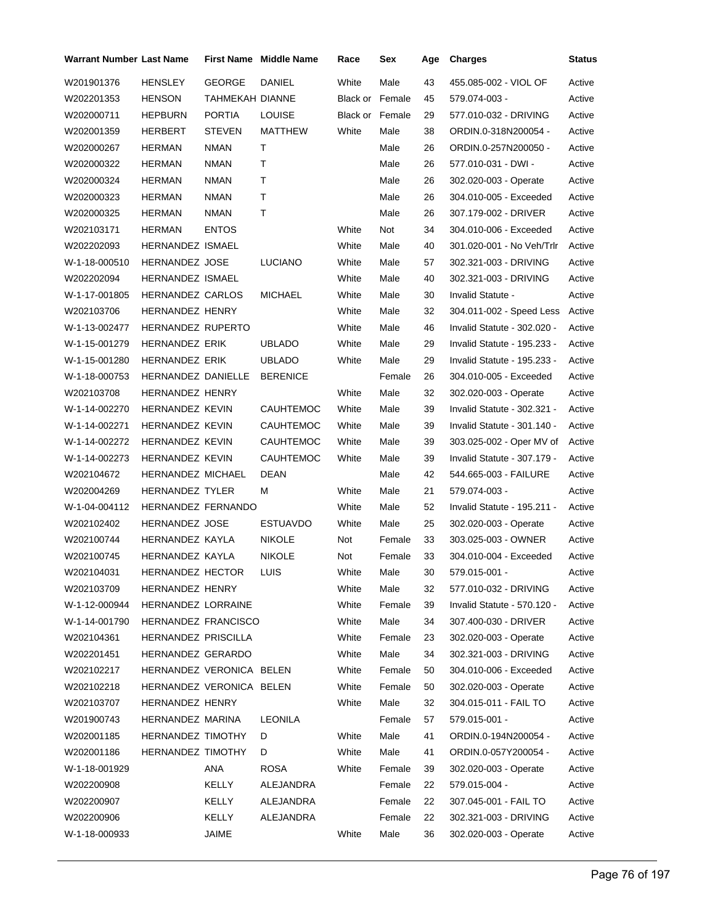| Warrant Number Last Name |                                       |                 | <b>First Name</b> Middle Name | Race            | Sex            | Age | <b>Charges</b>              | <b>Status</b> |
|--------------------------|---------------------------------------|-----------------|-------------------------------|-----------------|----------------|-----|-----------------------------|---------------|
| W201901376               | HENSLEY                               | <b>GEORGE</b>   | DANIEL                        | White           | Male           | 43  | 455.085-002 - VIOL OF       | Active        |
| W202201353               | <b>HENSON</b>                         | TAHMEKAH DIANNE |                               | Black or Female |                | 45  | 579.074-003 -               | Active        |
| W202000711               | <b>HEPBURN</b>                        | <b>PORTIA</b>   | <b>LOUISE</b>                 | Black or Female |                | 29  | 577.010-032 - DRIVING       | Active        |
| W202001359               | HERBERT                               | <b>STEVEN</b>   | MATTHEW                       | White           | Male           | 38  | ORDIN.0-318N200054 -        | Active        |
| W202000267               | <b>HERMAN</b>                         | <b>NMAN</b>     | т                             |                 | Male           | 26  | ORDIN.0-257N200050 -        | Active        |
| W202000322               | <b>HERMAN</b>                         | <b>NMAN</b>     | т                             |                 | Male           | 26  | 577.010-031 - DWI -         | Active        |
| W202000324               | <b>HERMAN</b>                         | <b>NMAN</b>     | т                             |                 | Male           | 26  | 302.020-003 - Operate       | Active        |
| W202000323               | <b>HERMAN</b>                         | <b>NMAN</b>     | т                             |                 | Male           | 26  | 304.010-005 - Exceeded      | Active        |
| W202000325               | <b>HERMAN</b>                         | <b>NMAN</b>     | T                             |                 | Male           | 26  | 307.179-002 - DRIVER        | Active        |
| W202103171               | HERMAN                                | <b>ENTOS</b>    |                               | White           | Not            | 34  | 304.010-006 - Exceeded      | Active        |
| W202202093               | HERNANDEZ ISMAEL                      |                 |                               | White           | Male           | 40  | 301.020-001 - No Veh/Trlr   | Active        |
| W-1-18-000510            | <b>HERNANDEZ JOSE</b>                 |                 | <b>LUCIANO</b>                | White           | Male           | 57  | 302.321-003 - DRIVING       | Active        |
| W202202094               | <b>HERNANDEZ ISMAEL</b>               |                 |                               | White           | Male           | 40  | 302.321-003 - DRIVING       | Active        |
| W-1-17-001805            | <b>HERNANDEZ CARLOS</b>               |                 | <b>MICHAEL</b>                | White           | Male           | 30  | Invalid Statute -           | Active        |
| W202103706               | <b>HERNANDEZ HENRY</b>                |                 |                               | White           | Male           | 32  | 304.011-002 - Speed Less    | Active        |
| W-1-13-002477            | <b>HERNANDEZ RUPERTO</b>              |                 |                               | White           | Male           | 46  | Invalid Statute - 302.020 - | Active        |
| W-1-15-001279            | HERNANDEZ ERIK                        |                 | <b>UBLADO</b>                 | White           | Male           | 29  | Invalid Statute - 195.233 - | Active        |
| W-1-15-001280            | <b>HERNANDEZ ERIK</b>                 |                 | <b>UBLADO</b>                 | White           | Male           | 29  | Invalid Statute - 195.233 - | Active        |
| W-1-18-000753            | HERNANDEZ DANIELLE                    |                 | <b>BERENICE</b>               |                 | Female         | 26  | 304.010-005 - Exceeded      | Active        |
| W202103708               | <b>HERNANDEZ HENRY</b>                |                 |                               | White           | Male           | 32  | 302.020-003 - Operate       | Active        |
| W-1-14-002270            | <b>HERNANDEZ KEVIN</b>                |                 | <b>CAUHTEMOC</b>              | White           | Male           | 39  | Invalid Statute - 302.321 - | Active        |
| W-1-14-002271            | HERNANDEZ KEVIN                       |                 | <b>CAUHTEMOC</b>              | White           | Male           | 39  | Invalid Statute - 301.140 - | Active        |
| W-1-14-002272            | <b>HERNANDEZ KEVIN</b>                |                 | CAUHTEMOC                     | White           | Male           | 39  | 303.025-002 - Oper MV of    | Active        |
| W-1-14-002273            | <b>HERNANDEZ KEVIN</b>                |                 | CAUHTEMOC                     | White           | Male           | 39  | Invalid Statute - 307.179 - | Active        |
| W202104672               | HERNANDEZ MICHAEL                     |                 | <b>DEAN</b>                   |                 | Male           | 42  | 544.665-003 - FAILURE       | Active        |
| W202004269               | <b>HERNANDEZ TYLER</b>                |                 | М                             | White           | Male           | 21  | 579.074-003 -               | Active        |
| W-1-04-004112            | HERNANDEZ FERNANDO                    |                 |                               | White           | Male           | 52  | Invalid Statute - 195.211 - | Active        |
| W202102402               | <b>HERNANDEZ JOSE</b>                 |                 | <b>ESTUAVDO</b>               | White           | Male           | 25  | 302.020-003 - Operate       | Active        |
| W202100744               | HERNANDEZ KAYLA                       |                 | <b>NIKOLE</b>                 | Not             | Female         | 33  | 303.025-003 - OWNER         | Active        |
| W202100745               | HERNANDEZ KAYLA                       |                 | <b>NIKOLE</b>                 | Not             | Female         | 33  | 304.010-004 - Exceeded      | Active        |
| W202104031               | HERNANDEZ HECTOR                      |                 | LUIS                          | White           | Male           | 30  | 579.015-001 -               |               |
|                          |                                       |                 |                               |                 |                |     |                             | Active        |
| W202103709               | HERNANDEZ HENRY<br>HERNANDEZ LORRAINE |                 |                               | White           | Male<br>Female | 32  | 577.010-032 - DRIVING       | Active        |
| W-1-12-000944            |                                       |                 |                               | White           |                | 39  | Invalid Statute - 570.120 - | Active        |
| W-1-14-001790            | HERNANDEZ FRANCISCO                   |                 |                               | White           | Male           | 34  | 307.400-030 - DRIVER        | Active        |
| W202104361               | HERNANDEZ PRISCILLA                   |                 |                               | White           | Female         | 23  | 302.020-003 - Operate       | Active        |
| W202201451               | HERNANDEZ GERARDO                     |                 |                               | White           | Male           | 34  | 302.321-003 - DRIVING       | Active        |
| W202102217               | HERNANDEZ VERONICA BELEN              |                 |                               | White           | Female         | 50  | 304.010-006 - Exceeded      | Active        |
| W202102218               | HERNANDEZ VERONICA BELEN              |                 |                               | White           | Female         | 50  | 302.020-003 - Operate       | Active        |
| W202103707               | HERNANDEZ HENRY                       |                 |                               | White           | Male           | 32  | 304.015-011 - FAIL TO       | Active        |
| W201900743               | HERNANDEZ MARINA                      |                 | LEONILA                       |                 | Female         | 57  | 579.015-001 -               | Active        |
| W202001185               | HERNANDEZ TIMOTHY                     |                 | D                             | White           | Male           | 41  | ORDIN.0-194N200054 -        | Active        |
| W202001186               | <b>HERNANDEZ TIMOTHY</b>              |                 | D                             | White           | Male           | 41  | ORDIN.0-057Y200054 -        | Active        |
| W-1-18-001929            |                                       | ANA             | <b>ROSA</b>                   | White           | Female         | 39  | 302.020-003 - Operate       | Active        |
| W202200908               |                                       | KELLY           | ALEJANDRA                     |                 | Female         | 22  | 579.015-004 -               | Active        |
| W202200907               |                                       | KELLY           | ALEJANDRA                     |                 | Female         | 22  | 307.045-001 - FAIL TO       | Active        |
| W202200906               |                                       | KELLY           | ALEJANDRA                     |                 | Female         | 22  | 302.321-003 - DRIVING       | Active        |
| W-1-18-000933            |                                       | JAIME           |                               | White           | Male           | 36  | 302.020-003 - Operate       | Active        |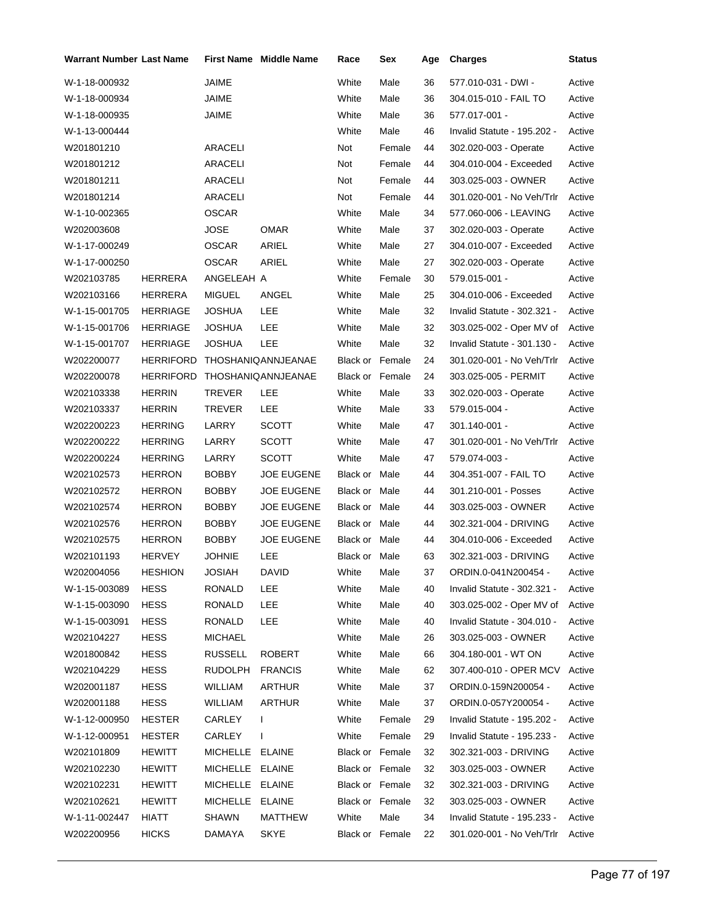| Warrant Number Last Name |                  |                 | First Name Middle Name | Race            | Sex    | Age | <b>Charges</b>              | Status |
|--------------------------|------------------|-----------------|------------------------|-----------------|--------|-----|-----------------------------|--------|
| W-1-18-000932            |                  | <b>JAIME</b>    |                        | White           | Male   | 36  | 577.010-031 - DWI -         | Active |
| W-1-18-000934            |                  | JAIME           |                        | White           | Male   | 36  | 304.015-010 - FAIL TO       | Active |
| W-1-18-000935            |                  | JAIME           |                        | White           | Male   | 36  | 577.017-001 -               | Active |
| W-1-13-000444            |                  |                 |                        | White           | Male   | 46  | Invalid Statute - 195.202 - | Active |
| W201801210               |                  | <b>ARACELI</b>  |                        | Not             | Female | 44  | 302.020-003 - Operate       | Active |
| W201801212               |                  | ARACELI         |                        | Not             | Female | 44  | 304.010-004 - Exceeded      | Active |
| W201801211               |                  | <b>ARACELI</b>  |                        | Not             | Female | 44  | 303.025-003 - OWNER         | Active |
| W201801214               |                  | ARACELI         |                        | Not             | Female | 44  | 301.020-001 - No Veh/Trlr   | Active |
| W-1-10-002365            |                  | <b>OSCAR</b>    |                        | White           | Male   | 34  | 577.060-006 - LEAVING       | Active |
| W202003608               |                  | <b>JOSE</b>     | OMAR                   | White           | Male   | 37  | 302.020-003 - Operate       | Active |
| W-1-17-000249            |                  | OSCAR           | ARIEL                  | White           | Male   | 27  | 304.010-007 - Exceeded      | Active |
| W-1-17-000250            |                  | <b>OSCAR</b>    | ARIEL                  | White           | Male   | 27  | 302.020-003 - Operate       | Active |
| W202103785               | <b>HERRERA</b>   | ANGELEAH A      |                        | White           | Female | 30  | 579.015-001 -               | Active |
| W202103166               | HERRERA          | <b>MIGUEL</b>   | ANGEL                  | White           | Male   | 25  | 304.010-006 - Exceeded      | Active |
| W-1-15-001705            | <b>HERRIAGE</b>  | <b>JOSHUA</b>   | LEE                    | White           | Male   | 32  | Invalid Statute - 302.321 - | Active |
| W-1-15-001706            | <b>HERRIAGE</b>  | JOSHUA          | LEE                    | White           | Male   | 32  | 303.025-002 - Oper MV of    | Active |
| W-1-15-001707            | <b>HERRIAGE</b>  | JOSHUA          | LEE                    | White           | Male   | 32  | Invalid Statute - 301.130 - | Active |
| W202200077               | <b>HERRIFORD</b> |                 | THOSHANIQANNJEANAE     | Black or Female |        | 24  | 301.020-001 - No Veh/Trlr   | Active |
| W202200078               | <b>HERRIFORD</b> |                 | THOSHANIQANNJEANAE     | Black or Female |        | 24  | 303.025-005 - PERMIT        | Active |
| W202103338               | <b>HERRIN</b>    | TREVER          | LEE                    | White           | Male   | 33  | 302.020-003 - Operate       | Active |
| W202103337               | <b>HERRIN</b>    | TREVER          | LEE                    | White           | Male   | 33  | 579.015-004 -               | Active |
| W202200223               | <b>HERRING</b>   | LARRY           | <b>SCOTT</b>           | White           | Male   | 47  | 301.140-001 -               | Active |
| W202200222               | <b>HERRING</b>   | LARRY           | <b>SCOTT</b>           | White           | Male   | 47  | 301.020-001 - No Veh/Trlr   | Active |
| W202200224               | <b>HERRING</b>   | LARRY           | <b>SCOTT</b>           | White           | Male   | 47  | 579.074-003 -               | Active |
| W202102573               | <b>HERRON</b>    | BOBBY           | <b>JOE EUGENE</b>      | Black or Male   |        | 44  | 304.351-007 - FAIL TO       | Active |
| W202102572               | <b>HERRON</b>    | BOBBY           | <b>JOE EUGENE</b>      | Black or Male   |        | 44  | 301.210-001 - Posses        | Active |
| W202102574               | <b>HERRON</b>    | BOBBY           | <b>JOE EUGENE</b>      | Black or Male   |        | 44  | 303.025-003 - OWNER         | Active |
| W202102576               | <b>HERRON</b>    | BOBBY           | <b>JOE EUGENE</b>      | Black or Male   |        | 44  | 302.321-004 - DRIVING       | Active |
| W202102575               | <b>HERRON</b>    | <b>BOBBY</b>    | <b>JOE EUGENE</b>      | Black or Male   |        | 44  | 304.010-006 - Exceeded      | Active |
| W202101193               | <b>HERVEY</b>    | JOHNIE          | LEE                    | Black or Male   |        | 63  | 302.321-003 - DRIVING       | Active |
| W202004056               | <b>HESHION</b>   | <b>JOSIAH</b>   | <b>DAVID</b>           | White           | Male   | 37  | ORDIN.0-041N200454 -        | Active |
| W-1-15-003089            | <b>HESS</b>      | RONALD          | LEE                    | White           | Male   | 40  | Invalid Statute - 302.321 - | Active |
| W-1-15-003090            | <b>HESS</b>      | RONALD          | LEE                    | White           | Male   | 40  | 303.025-002 - Oper MV of    | Active |
| W-1-15-003091            | <b>HESS</b>      | RONALD          | <b>LEE</b>             | White           | Male   | 40  | Invalid Statute - 304.010 - | Active |
| W202104227               | <b>HESS</b>      | MICHAEL         |                        | White           | Male   | 26  | 303.025-003 - OWNER         | Active |
| W201800842               | <b>HESS</b>      | <b>RUSSELL</b>  | <b>ROBERT</b>          | White           | Male   | 66  | 304.180-001 - WT ON         | Active |
| W202104229               | HESS             | RUDOLPH         | <b>FRANCIS</b>         | White           | Male   | 62  | 307.400-010 - OPER MCV      | Active |
| W202001187               | <b>HESS</b>      | WILLIAM         | <b>ARTHUR</b>          | White           | Male   | 37  | ORDIN.0-159N200054 -        | Active |
| W202001188               | <b>HESS</b>      | WILLIAM         | <b>ARTHUR</b>          | White           | Male   | 37  | ORDIN.0-057Y200054 -        | Active |
| W-1-12-000950            | <b>HESTER</b>    | CARLEY          | $\mathbf{I}$           | White           | Female | 29  | Invalid Statute - 195.202 - | Active |
| W-1-12-000951            | <b>HESTER</b>    | CARLEY          | $\mathbf{I}$           | White           | Female | 29  | Invalid Statute - 195.233 - | Active |
| W202101809               | <b>HEWITT</b>    | MICHELLE ELAINE |                        | Black or Female |        | 32  | 302.321-003 - DRIVING       | Active |
| W202102230               | <b>HEWITT</b>    | MICHELLE        | ELAINE                 | Black or Female |        | 32  | 303.025-003 - OWNER         | Active |
| W202102231               | <b>HEWITT</b>    | MICHELLE ELAINE |                        | Black or Female |        | 32  | 302.321-003 - DRIVING       | Active |
| W202102621               | <b>HEWITT</b>    | MICHELLE        | <b>ELAINE</b>          | Black or Female |        | 32  | 303.025-003 - OWNER         | Active |
| W-1-11-002447            | HIATT            | <b>SHAWN</b>    | <b>MATTHEW</b>         | White           | Male   | 34  | Invalid Statute - 195.233 - | Active |
| W202200956               | <b>HICKS</b>     | DAMAYA          | <b>SKYE</b>            | Black or Female |        | 22  | 301.020-001 - No Veh/Trlr   | Active |
|                          |                  |                 |                        |                 |        |     |                             |        |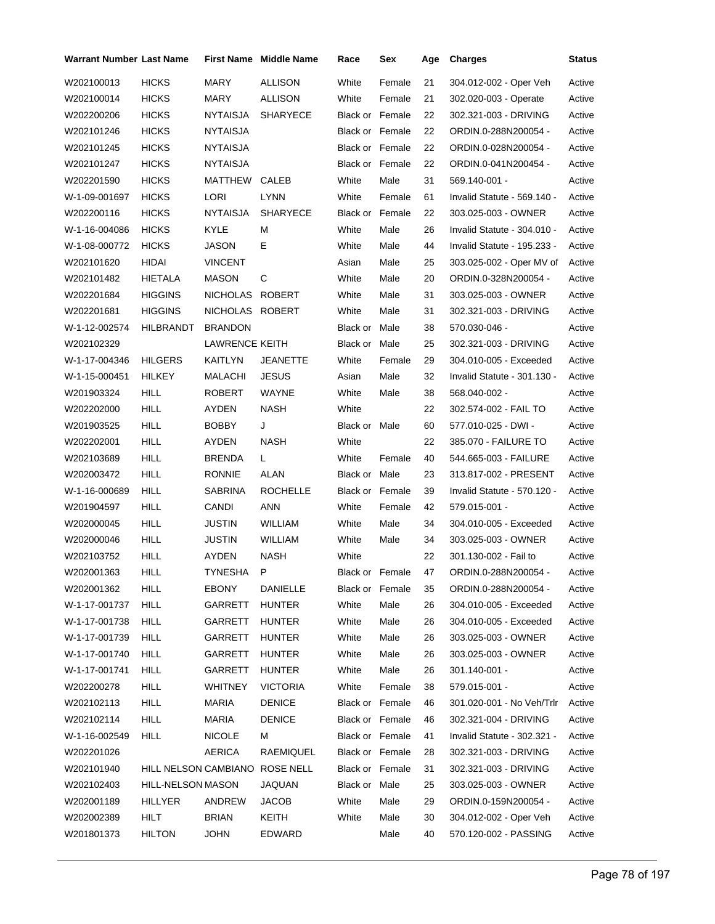| <b>Warrant Number Last Name</b> |                                |                       | <b>First Name Middle Name</b> | Race                   | Sex    | Age | <b>Charges</b>              | <b>Status</b> |
|---------------------------------|--------------------------------|-----------------------|-------------------------------|------------------------|--------|-----|-----------------------------|---------------|
| W202100013                      | <b>HICKS</b>                   | MARY                  | <b>ALLISON</b>                | White                  | Female | 21  | 304.012-002 - Oper Veh      | Active        |
| W202100014                      | <b>HICKS</b>                   | <b>MARY</b>           | ALLISON                       | White                  | Female | 21  | 302.020-003 - Operate       | Active        |
| W202200206                      | <b>HICKS</b>                   | <b>NYTAISJA</b>       | <b>SHARYECE</b>               | <b>Black or Female</b> |        | 22  | 302.321-003 - DRIVING       | Active        |
| W202101246                      | <b>HICKS</b>                   | <b>NYTAISJA</b>       |                               | Black or Female        |        | 22  | ORDIN.0-288N200054 -        | Active        |
| W202101245                      | <b>HICKS</b>                   | <b>NYTAISJA</b>       |                               | Black or Female        |        | 22  | ORDIN.0-028N200054 -        | Active        |
| W202101247                      | <b>HICKS</b>                   | <b>NYTAISJA</b>       |                               | <b>Black or Female</b> |        | 22  | ORDIN.0-041N200454 -        | Active        |
| W202201590                      | <b>HICKS</b>                   | MATTHEW CALEB         |                               | White                  | Male   | 31  | 569.140-001 -               | Active        |
| W-1-09-001697                   | <b>HICKS</b>                   | LORI                  | LYNN                          | White                  | Female | 61  | Invalid Statute - 569.140 - | Active        |
| W202200116                      | <b>HICKS</b>                   | <b>NYTAISJA</b>       | <b>SHARYECE</b>               | Black or Female        |        | 22  | 303.025-003 - OWNER         | Active        |
| W-1-16-004086                   | <b>HICKS</b>                   | <b>KYLE</b>           | М                             | White                  | Male   | 26  | Invalid Statute - 304.010 - | Active        |
| W-1-08-000772                   | <b>HICKS</b>                   | JASON                 | Е                             | White                  | Male   | 44  | Invalid Statute - 195.233 - | Active        |
| W202101620                      | <b>HIDAI</b>                   | <b>VINCENT</b>        |                               | Asian                  | Male   | 25  | 303.025-002 - Oper MV of    | Active        |
| W202101482                      | HIETALA                        | <b>MASON</b>          | C                             | White                  | Male   | 20  | ORDIN.0-328N200054 -        | Active        |
| W202201684                      | <b>HIGGINS</b>                 | NICHOLAS ROBERT       |                               | White                  | Male   | 31  | 303.025-003 - OWNER         | Active        |
| W202201681                      | <b>HIGGINS</b>                 | NICHOLAS ROBERT       |                               | White                  | Male   | 31  | 302.321-003 - DRIVING       | Active        |
| W-1-12-002574                   | HILBRANDT                      | <b>BRANDON</b>        |                               | Black or Male          |        | 38  | 570.030-046 -               | Active        |
| W202102329                      |                                | <b>LAWRENCE KEITH</b> |                               | Black or Male          |        | 25  | 302.321-003 - DRIVING       | Active        |
| W-1-17-004346                   | <b>HILGERS</b>                 | KAITLYN               | JEANETTE                      | White                  | Female | 29  | 304.010-005 - Exceeded      | Active        |
| W-1-15-000451                   | <b>HILKEY</b>                  | MALACHI               | <b>JESUS</b>                  | Asian                  | Male   | 32  | Invalid Statute - 301.130 - | Active        |
| W201903324                      | <b>HILL</b>                    | <b>ROBERT</b>         | WAYNE                         | White                  | Male   | 38  | 568.040-002 -               | Active        |
| W202202000                      | <b>HILL</b>                    | AYDEN                 | <b>NASH</b>                   | White                  |        | 22  | 302.574-002 - FAIL TO       | Active        |
| W201903525                      | <b>HILL</b>                    | <b>BOBBY</b>          | J                             | Black or Male          |        | 60  | 577.010-025 - DWI -         | Active        |
| W202202001                      | <b>HILL</b>                    | AYDEN                 | <b>NASH</b>                   | White                  |        | 22  | 385.070 - FAILURE TO        | Active        |
| W202103689                      | <b>HILL</b>                    | <b>BRENDA</b>         | L.                            | White                  | Female | 40  | 544.665-003 - FAILURE       | Active        |
| W202003472                      | <b>HILL</b>                    | <b>RONNIE</b>         | ALAN                          | Black or Male          |        | 23  | 313.817-002 - PRESENT       | Active        |
| W-1-16-000689                   | <b>HILL</b>                    | SABRINA               | <b>ROCHELLE</b>               | <b>Black or Female</b> |        | 39  | Invalid Statute - 570.120 - | Active        |
| W201904597                      | <b>HILL</b>                    | CANDI                 | ANN                           | White                  | Female | 42  | 579.015-001 -               | Active        |
| W202000045                      | <b>HILL</b>                    | JUSTIN                | <b>WILLIAM</b>                | White                  | Male   | 34  | 304.010-005 - Exceeded      | Active        |
| W202000046                      | <b>HILL</b>                    | JUSTIN                | <b>WILLIAM</b>                | White                  | Male   | 34  | 303.025-003 - OWNER         | Active        |
| W202103752                      | HILL                           | AYDEN                 | <b>NASH</b>                   | White                  |        | 22  | 301.130-002 - Fail to       | Active        |
| W202001363                      | <b>HILL</b>                    | <b>TYNESHA</b>        | P                             | Black or Female        |        | 47  | ORDIN.0-288N200054 -        | Active        |
| W202001362                      | HILL                           | <b>EBONY</b>          | <b>DANIELLE</b>               | Black or Female        |        | 35  | ORDIN.0-288N200054 -        | Active        |
| W-1-17-001737                   | <b>HILL</b>                    | GARRETT               | <b>HUNTER</b>                 | White                  | Male   | 26  | 304.010-005 - Exceeded      | Active        |
| W-1-17-001738                   | <b>HILL</b>                    | GARRETT               | HUNTER                        | White                  | Male   | 26  | 304.010-005 - Exceeded      | Active        |
| W-1-17-001739                   | <b>HILL</b>                    | GARRETT               | HUNTER                        | White                  | Male   | 26  | 303.025-003 - OWNER         | Active        |
| W-1-17-001740                   | <b>HILL</b>                    | GARRETT               | <b>HUNTER</b>                 | White                  | Male   | 26  | 303.025-003 - OWNER         | Active        |
| W-1-17-001741                   | <b>HILL</b>                    | GARRETT               | <b>HUNTER</b>                 | White                  | Male   | 26  | $301.140 - 001 -$           | Active        |
| W202200278                      | <b>HILL</b>                    | WHITNEY               | <b>VICTORIA</b>               | White                  | Female | 38  | 579.015-001 -               | Active        |
| W202102113                      | <b>HILL</b>                    | MARIA                 | <b>DENICE</b>                 | Black or Female        |        | 46  | 301.020-001 - No Veh/Trlr   | Active        |
| W202102114                      | <b>HILL</b>                    | <b>MARIA</b>          | <b>DENICE</b>                 | Black or Female        |        | 46  | 302.321-004 - DRIVING       | Active        |
| W-1-16-002549                   | <b>HILL</b>                    | <b>NICOLE</b>         | м                             | Black or Female        |        | 41  | Invalid Statute - 302.321 - | Active        |
| W202201026                      |                                | AERICA                | RAEMIQUEL                     | Black or Female        |        | 28  | 302.321-003 - DRIVING       | Active        |
| W202101940                      | HILL NELSON CAMBIANO ROSE NELL |                       |                               | Black or Female        |        | 31  | 302.321-003 - DRIVING       | Active        |
| W202102403                      | HILL-NELSON MASON              |                       | JAQUAN                        | Black or Male          |        | 25  | 303.025-003 - OWNER         | Active        |
| W202001189                      | HILLYER                        | ANDREW                | <b>JACOB</b>                  | White                  | Male   | 29  | ORDIN.0-159N200054 -        | Active        |
| W202002389                      | HILT                           | <b>BRIAN</b>          | KEITH                         | White                  | Male   | 30  | 304.012-002 - Oper Veh      | Active        |
| W201801373                      | <b>HILTON</b>                  | <b>JOHN</b>           | EDWARD                        |                        | Male   | 40  | 570.120-002 - PASSING       | Active        |
|                                 |                                |                       |                               |                        |        |     |                             |               |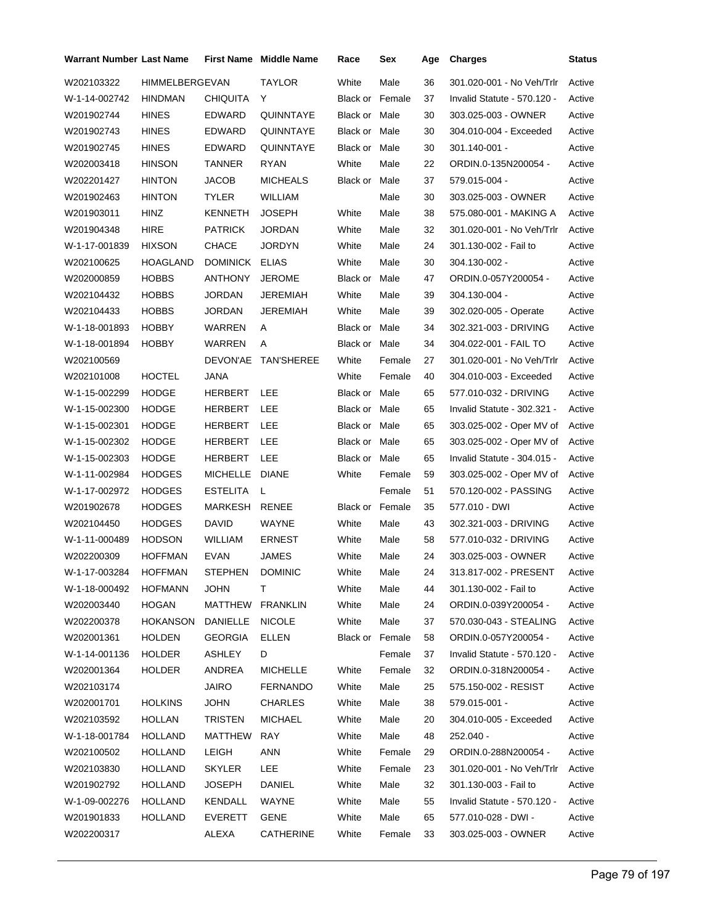| Warrant Number Last Name |                       |                 | <b>First Name</b> Middle Name | Race                   | Sex    | Age | <b>Charges</b>              | <b>Status</b> |
|--------------------------|-----------------------|-----------------|-------------------------------|------------------------|--------|-----|-----------------------------|---------------|
| W202103322               | <b>HIMMELBERGEVAN</b> |                 | TAYLOR                        | White                  | Male   | 36  | 301.020-001 - No Veh/Trlr   | Active        |
| W-1-14-002742            | <b>HINDMAN</b>        | CHIQUITA        | Y                             | <b>Black or Female</b> |        | 37  | Invalid Statute - 570.120 - | Active        |
| W201902744               | HINES                 | EDWARD          | QUINNTAYE                     | Black or Male          |        | 30  | 303.025-003 - OWNER         | Active        |
| W201902743               | <b>HINES</b>          | EDWARD          | QUINNTAYE                     | Black or Male          |        | 30  | 304.010-004 - Exceeded      | Active        |
| W201902745               | <b>HINES</b>          | EDWARD          | QUINNTAYE                     | Black or Male          |        | 30  | 301.140-001 -               | Active        |
| W202003418               | <b>HINSON</b>         | TANNER          | RYAN                          | White                  | Male   | 22  | ORDIN.0-135N200054 -        | Active        |
| W202201427               | <b>HINTON</b>         | JACOB           | <b>MICHEALS</b>               | Black or Male          |        | 37  | 579.015-004 -               | Active        |
| W201902463               | HINTON                | TYLER           | <b>WILLIAM</b>                |                        | Male   | 30  | 303.025-003 - OWNER         | Active        |
| W201903011               | HINZ                  | KENNETH         | <b>JOSEPH</b>                 | White                  | Male   | 38  | 575.080-001 - MAKING A      | Active        |
| W201904348               | HIRE                  | <b>PATRICK</b>  | JORDAN                        | White                  | Male   | 32  | 301.020-001 - No Veh/Trlr   | Active        |
| W-1-17-001839            | <b>HIXSON</b>         | CHACE           | JORDYN                        | White                  | Male   | 24  | 301.130-002 - Fail to       | Active        |
| W202100625               | HOAGLAND              | DOMINICK        | <b>ELIAS</b>                  | White                  | Male   | 30  | 304.130-002 -               | Active        |
| W202000859               | <b>HOBBS</b>          | ANTHONY         | <b>JEROME</b>                 | Black or               | Male   | 47  | ORDIN.0-057Y200054 -        | Active        |
| W202104432               | <b>HOBBS</b>          | JORDAN          | JEREMIAH                      | White                  | Male   | 39  | 304.130-004 -               | Active        |
| W202104433               | HOBBS                 | JORDAN          | JEREMIAH                      | White                  | Male   | 39  | 302.020-005 - Operate       | Active        |
| W-1-18-001893            | <b>HOBBY</b>          | WARREN          | Α                             | Black or Male          |        | 34  | 302.321-003 - DRIVING       | Active        |
| W-1-18-001894            | HOBBY                 | WARREN          | A                             | Black or Male          |        | 34  | 304.022-001 - FAIL TO       | Active        |
| W202100569               |                       |                 | DEVON'AE TAN'SHEREE           | White                  | Female | 27  | 301.020-001 - No Veh/Trlr   | Active        |
| W202101008               | HOCTEL                | JANA            |                               | White                  | Female | 40  | 304.010-003 - Exceeded      | Active        |
| W-1-15-002299            | <b>HODGE</b>          | HERBERT LEE     |                               | Black or Male          |        | 65  | 577.010-032 - DRIVING       | Active        |
| W-1-15-002300            | <b>HODGE</b>          | HERBERT         | <b>LEE</b>                    | Black or Male          |        | 65  | Invalid Statute - 302.321 - | Active        |
| W-1-15-002301            | <b>HODGE</b>          | HERBERT         | LEE                           | Black or Male          |        | 65  | 303.025-002 - Oper MV of    | Active        |
| W-1-15-002302            | HODGE                 | HERBERT LEE     |                               | Black or Male          |        | 65  | 303.025-002 - Oper MV of    | Active        |
| W-1-15-002303            | HODGE                 | HERBERT         | <b>LEE</b>                    | Black or Male          |        | 65  | Invalid Statute - 304.015 - | Active        |
| W-1-11-002984            | <b>HODGES</b>         | MICHELLE DIANE  |                               | White                  | Female | 59  | 303.025-002 - Oper MV of    | Active        |
| W-1-17-002972            | <b>HODGES</b>         | <b>ESTELITA</b> | L.                            |                        | Female | 51  | 570.120-002 - PASSING       | Active        |
| W201902678               | HODGES                | MARKESH         | RENEE                         | Black or Female        |        | 35  | 577.010 - DWI               | Active        |
| W202104450               | <b>HODGES</b>         | DAVID           | WAYNE                         | White                  | Male   | 43  | 302.321-003 - DRIVING       | Active        |
| W-1-11-000489            | <b>HODSON</b>         | WILLIAM         | ERNEST                        | White                  | Male   | 58  | 577.010-032 - DRIVING       | Active        |
| W202200309               | HOFFMAN               | EVAN            | JAMES                         | White                  | Male   | 24  | 303.025-003 - OWNER         | Active        |
| W-1-17-003284            | HOFFMAN               | STEPHEN         | <b>DOMINIC</b>                | White                  | Male   | 24  | 313.817-002 - PRESENT       | Active        |
| W-1-18-000492            | <b>HOFMANN</b>        | <b>JOHN</b>     | т                             | White                  | Male   | 44  | 301.130-002 - Fail to       | Active        |
| W202003440               | HOGAN                 | MATTHEW         | <b>FRANKLIN</b>               | White                  | Male   | 24  | ORDIN.0-039Y200054 -        | Active        |
| W202200378               | HOKANSON              | DANIELLE        | <b>NICOLE</b>                 | White                  | Male   | 37  | 570.030-043 - STEALING      | Active        |
| W202001361               | <b>HOLDEN</b>         | <b>GEORGIA</b>  | ELLEN                         | Black or Female        |        | 58  | ORDIN.0-057Y200054 -        | Active        |
| W-1-14-001136            | HOLDER                | ASHLEY          | D                             |                        | Female | 37  | Invalid Statute - 570.120 - | Active        |
| W202001364               | HOLDER                | ANDREA          | <b>MICHELLE</b>               | White                  | Female | 32  | ORDIN.0-318N200054 -        | Active        |
| W202103174               |                       | <b>JAIRO</b>    | <b>FERNANDO</b>               | White                  | Male   | 25  | 575.150-002 - RESIST        | Active        |
| W202001701               | <b>HOLKINS</b>        | JOHN            | <b>CHARLES</b>                | White                  | Male   | 38  | 579.015-001 -               | Active        |
| W202103592               | HOLLAN                | TRISTEN         | <b>MICHAEL</b>                | White                  | Male   | 20  | 304.010-005 - Exceeded      | Active        |
| W-1-18-001784            | HOLLAND               | MATTHEW         | <b>RAY</b>                    | White                  | Male   | 48  | 252.040 -                   | Active        |
| W202100502               | HOLLAND               | <b>LEIGH</b>    | <b>ANN</b>                    | White                  | Female | 29  | ORDIN.0-288N200054 -        | Active        |
| W202103830               | HOLLAND               | <b>SKYLER</b>   | LEE                           | White                  | Female | 23  | 301.020-001 - No Veh/Trlr   | Active        |
| W201902792               | <b>HOLLAND</b>        | JOSEPH          | DANIEL                        | White                  | Male   | 32  | 301.130-003 - Fail to       | Active        |
| W-1-09-002276            | HOLLAND               | KENDALL         | WAYNE                         | White                  | Male   | 55  | Invalid Statute - 570.120 - | Active        |
| W201901833               | HOLLAND               | EVERETT         | <b>GENE</b>                   | White                  | Male   | 65  | 577.010-028 - DWI -         | Active        |
| W202200317               |                       | ALEXA           | CATHERINE                     | White                  | Female | 33  | 303.025-003 - OWNER         | Active        |
|                          |                       |                 |                               |                        |        |     |                             |               |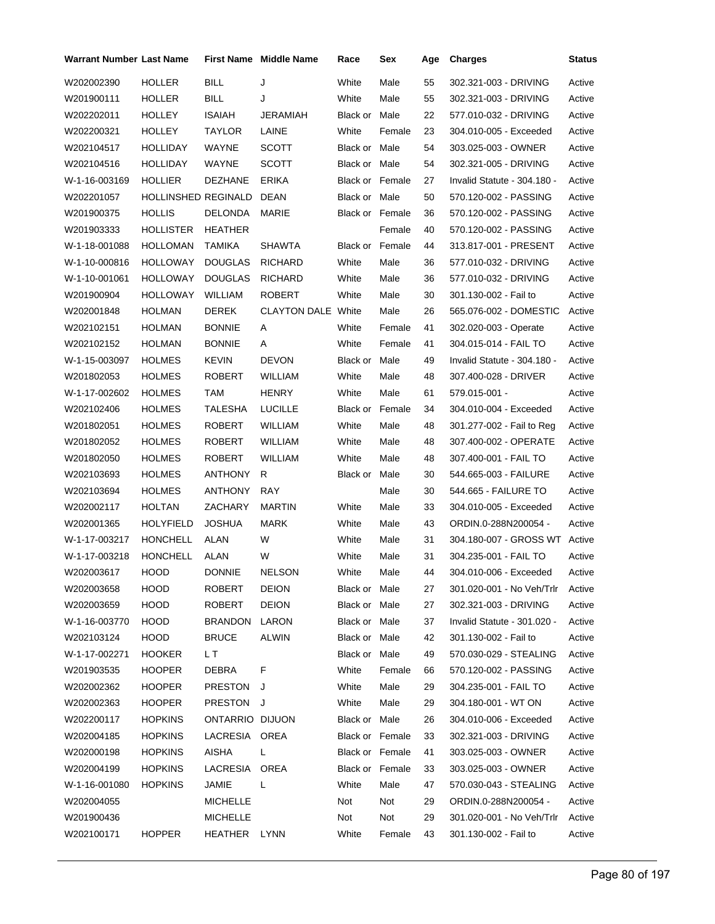| <b>Warrant Number Last Name</b> |                     |                 | <b>First Name</b> Middle Name | Race                   | Sex    | Age | <b>Charges</b>              | <b>Status</b> |
|---------------------------------|---------------------|-----------------|-------------------------------|------------------------|--------|-----|-----------------------------|---------------|
| W202002390                      | <b>HOLLER</b>       | <b>BILL</b>     | J                             | White                  | Male   | 55  | 302.321-003 - DRIVING       | Active        |
| W201900111                      | HOLLER              | BILL            | J                             | White                  | Male   | 55  | 302.321-003 - DRIVING       | Active        |
| W202202011                      | HOLLEY              | <b>ISAIAH</b>   | JERAMIAH                      | Black or Male          |        | 22  | 577.010-032 - DRIVING       | Active        |
| W202200321                      | HOLLEY              | TAYLOR          | LAINE                         | White                  | Female | 23  | 304.010-005 - Exceeded      | Active        |
| W202104517                      | HOLLIDAY            | WAYNE           | <b>SCOTT</b>                  | Black or Male          |        | 54  | 303.025-003 - OWNER         | Active        |
| W202104516                      | <b>HOLLIDAY</b>     | WAYNE           | <b>SCOTT</b>                  | Black or Male          |        | 54  | 302.321-005 - DRIVING       | Active        |
| W-1-16-003169                   | <b>HOLLIER</b>      | <b>DEZHANE</b>  | ERIKA                         | Black or Female        |        | 27  | Invalid Statute - 304.180 - | Active        |
| W202201057                      | HOLLINSHED REGINALD |                 | DEAN                          | Black or Male          |        | 50  | 570.120-002 - PASSING       | Active        |
| W201900375                      | <b>HOLLIS</b>       | <b>DELONDA</b>  | MARIE                         | Black or Female        |        | 36  | 570.120-002 - PASSING       | Active        |
| W201903333                      | <b>HOLLISTER</b>    | <b>HEATHER</b>  |                               |                        | Female | 40  | 570.120-002 - PASSING       | Active        |
| W-1-18-001088                   | HOLLOMAN            | TAMIKA          | <b>SHAWTA</b>                 | <b>Black or Female</b> |        | 44  | 313.817-001 - PRESENT       | Active        |
| W-1-10-000816                   | <b>HOLLOWAY</b>     | <b>DOUGLAS</b>  | <b>RICHARD</b>                | White                  | Male   | 36  | 577.010-032 - DRIVING       | Active        |
| W-1-10-001061                   | <b>HOLLOWAY</b>     | <b>DOUGLAS</b>  | <b>RICHARD</b>                | White                  | Male   | 36  | 577.010-032 - DRIVING       | Active        |
| W201900904                      | <b>HOLLOWAY</b>     | <b>WILLIAM</b>  | <b>ROBERT</b>                 | White                  | Male   | 30  | 301.130-002 - Fail to       | Active        |
| W202001848                      | <b>HOLMAN</b>       | <b>DEREK</b>    | <b>CLAYTON DALE White</b>     |                        | Male   | 26  | 565.076-002 - DOMESTIC      | Active        |
| W202102151                      | <b>HOLMAN</b>       | <b>BONNIE</b>   | A                             | White                  | Female | 41  | 302.020-003 - Operate       | Active        |
| W202102152                      | <b>HOLMAN</b>       | <b>BONNIE</b>   | A                             | White                  | Female | 41  | 304.015-014 - FAIL TO       | Active        |
| W-1-15-003097                   | <b>HOLMES</b>       | <b>KEVIN</b>    | <b>DEVON</b>                  | Black or               | Male   | 49  | Invalid Statute - 304.180 - | Active        |
| W201802053                      | <b>HOLMES</b>       | ROBERT          | <b>WILLIAM</b>                | White                  | Male   | 48  | 307.400-028 - DRIVER        | Active        |
| W-1-17-002602                   | <b>HOLMES</b>       | TAM             | <b>HENRY</b>                  | White                  | Male   | 61  | 579.015-001 -               | Active        |
| W202102406                      | <b>HOLMES</b>       | TALESHA         | <b>LUCILLE</b>                | <b>Black or Female</b> |        | 34  | 304.010-004 - Exceeded      | Active        |
| W201802051                      | <b>HOLMES</b>       | ROBERT          | <b>WILLIAM</b>                | White                  | Male   | 48  | 301.277-002 - Fail to Reg   | Active        |
| W201802052                      | <b>HOLMES</b>       | <b>ROBERT</b>   | <b>WILLIAM</b>                | White                  | Male   | 48  | 307.400-002 - OPERATE       | Active        |
| W201802050                      | <b>HOLMES</b>       | <b>ROBERT</b>   | <b>WILLIAM</b>                | White                  | Male   | 48  | 307.400-001 - FAIL TO       | Active        |
| W202103693                      | <b>HOLMES</b>       | <b>ANTHONY</b>  | R                             | Black or Male          |        | 30  | 544.665-003 - FAILURE       | Active        |
| W202103694                      | <b>HOLMES</b>       | <b>ANTHONY</b>  | <b>RAY</b>                    |                        | Male   | 30  | 544.665 - FAILURE TO        | Active        |
| W202002117                      | <b>HOLTAN</b>       | ZACHARY         | <b>MARTIN</b>                 | White                  | Male   | 33  | 304.010-005 - Exceeded      | Active        |
| W202001365                      | <b>HOLYFIELD</b>    | <b>JOSHUA</b>   | <b>MARK</b>                   | White                  | Male   | 43  | ORDIN.0-288N200054 -        | Active        |
| W-1-17-003217                   | <b>HONCHELL</b>     | ALAN            | W                             | White                  | Male   | 31  | 304.180-007 - GROSS WT      | Active        |
| W-1-17-003218                   | <b>HONCHELL</b>     | ALAN            | W                             | White                  | Male   | 31  | 304.235-001 - FAIL TO       | Active        |
| W202003617                      | HOOD                | <b>DONNIE</b>   | <b>NELSON</b>                 | White                  | Male   | 44  | 304.010-006 - Exceeded      | Active        |
| W202003658                      | <b>HOOD</b>         | ROBERT          | <b>DEION</b>                  | Black or Male          |        | 27  | 301.020-001 - No Veh/Trlr   | Active        |
| W202003659                      | <b>HOOD</b>         | ROBERT          | <b>DEION</b>                  | Black or Male          |        | 27  | 302.321-003 - DRIVING       | Active        |
| W-1-16-003770                   | HOOD                | <b>BRANDON</b>  | LARON                         | Black or Male          |        | 37  | Invalid Statute - 301.020 - | Active        |
| W202103124                      | HOOD                | <b>BRUCE</b>    | ALWIN                         | Black or Male          |        | 42  | 301.130-002 - Fail to       | Active        |
| W-1-17-002271                   | <b>HOOKER</b>       | L T             |                               | Black or Male          |        | 49  | 570.030-029 - STEALING      | Active        |
| W201903535                      | <b>HOOPER</b>       | <b>DEBRA</b>    | F                             | White                  | Female | 66  | 570.120-002 - PASSING       | Active        |
| W202002362                      | <b>HOOPER</b>       | PRESTON J       |                               | White                  | Male   | 29  | 304.235-001 - FAIL TO       | Active        |
| W202002363                      | <b>HOOPER</b>       | PRESTON J       |                               | White                  | Male   | 29  | 304.180-001 - WT ON         | Active        |
| W202200117                      | <b>HOPKINS</b>      | ONTARRIO DIJUON |                               | Black or Male          |        | 26  | 304.010-006 - Exceeded      | Active        |
| W202004185                      | <b>HOPKINS</b>      | LACRESIA OREA   |                               | Black or Female        |        | 33  | 302.321-003 - DRIVING       | Active        |
| W202000198                      | <b>HOPKINS</b>      | <b>AISHA</b>    | L                             | Black or Female        |        | 41  | 303.025-003 - OWNER         | Active        |
| W202004199                      | <b>HOPKINS</b>      | LACRESIA OREA   |                               | Black or Female        |        | 33  | 303.025-003 - OWNER         | Active        |
| W-1-16-001080                   | <b>HOPKINS</b>      | JAMIE           | $\mathbf{L}$                  | White                  | Male   | 47  | 570.030-043 - STEALING      | Active        |
| W202004055                      |                     | <b>MICHELLE</b> |                               | Not                    | Not    | 29  | ORDIN.0-288N200054 -        | Active        |
| W201900436                      |                     | <b>MICHELLE</b> |                               | Not                    | Not    | 29  | 301.020-001 - No Veh/Trlr   | Active        |
| W202100171                      | <b>HOPPER</b>       | HEATHER LYNN    |                               | White                  | Female | 43  | 301.130-002 - Fail to       | Active        |
|                                 |                     |                 |                               |                        |        |     |                             |               |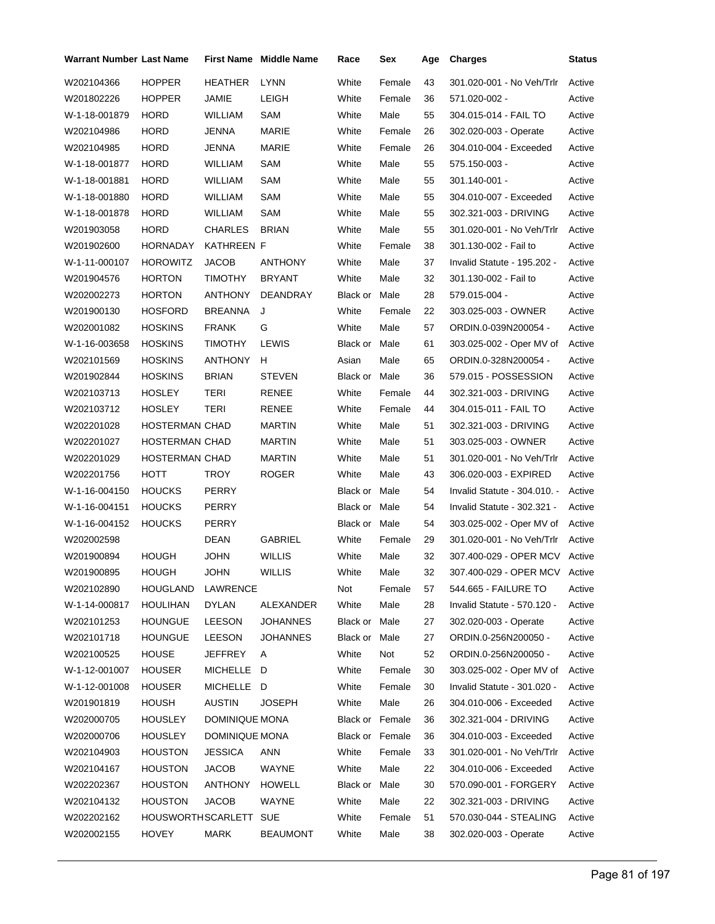| <b>Warrant Number Last Name</b> |                   |                | <b>First Name Middle Name</b> | Race                   | Sex    | Age | <b>Charges</b>                | Status |
|---------------------------------|-------------------|----------------|-------------------------------|------------------------|--------|-----|-------------------------------|--------|
| W202104366                      | <b>HOPPER</b>     | <b>HEATHER</b> | <b>LYNN</b>                   | White                  | Female | 43  | 301.020-001 - No Veh/Trlr     | Active |
| W201802226                      | <b>HOPPER</b>     | JAMIE          | LEIGH                         | White                  | Female | 36  | 571.020-002 -                 | Active |
| W-1-18-001879                   | <b>HORD</b>       | <b>WILLIAM</b> | SAM                           | White                  | Male   | 55  | 304.015-014 - FAIL TO         | Active |
| W202104986                      | <b>HORD</b>       | <b>JENNA</b>   | MARIE                         | White                  | Female | 26  | 302.020-003 - Operate         | Active |
| W202104985                      | <b>HORD</b>       | <b>JENNA</b>   | <b>MARIE</b>                  | White                  | Female | 26  | 304.010-004 - Exceeded        | Active |
| W-1-18-001877                   | <b>HORD</b>       | WILLIAM        | SAM                           | White                  | Male   | 55  | 575.150-003 -                 | Active |
| W-1-18-001881                   | <b>HORD</b>       | <b>WILLIAM</b> | SAM                           | White                  | Male   | 55  | 301.140-001 -                 | Active |
| W-1-18-001880                   | <b>HORD</b>       | WILLIAM        | SAM                           | White                  | Male   | 55  | 304.010-007 - Exceeded        | Active |
| W-1-18-001878                   | <b>HORD</b>       | <b>WILLIAM</b> | SAM                           | White                  | Male   | 55  | 302.321-003 - DRIVING         | Active |
| W201903058                      | <b>HORD</b>       | <b>CHARLES</b> | <b>BRIAN</b>                  | White                  | Male   | 55  | 301.020-001 - No Veh/Trlr     | Active |
| W201902600                      | <b>HORNADAY</b>   | KATHREEN F     |                               | White                  | Female | 38  | 301.130-002 - Fail to         | Active |
| W-1-11-000107                   | <b>HOROWITZ</b>   | <b>JACOB</b>   | <b>ANTHONY</b>                | White                  | Male   | 37  | Invalid Statute - 195.202 -   | Active |
| W201904576                      | <b>HORTON</b>     | <b>TIMOTHY</b> | <b>BRYANT</b>                 | White                  | Male   | 32  | 301.130-002 - Fail to         | Active |
| W202002273                      | <b>HORTON</b>     | <b>ANTHONY</b> | DEANDRAY                      | Black or               | Male   | 28  | 579.015-004 -                 | Active |
| W201900130                      | <b>HOSFORD</b>    | <b>BREANNA</b> | J                             | White                  | Female | 22  | 303.025-003 - OWNER           | Active |
| W202001082                      | <b>HOSKINS</b>    | <b>FRANK</b>   | G                             | White                  | Male   | 57  | ORDIN.0-039N200054 -          | Active |
| W-1-16-003658                   | <b>HOSKINS</b>    | <b>TIMOTHY</b> | LEWIS                         | Black or               | Male   | 61  | 303.025-002 - Oper MV of      | Active |
| W202101569                      | <b>HOSKINS</b>    | <b>ANTHONY</b> | н                             | Asian                  | Male   | 65  | ORDIN.0-328N200054 -          | Active |
| W201902844                      | <b>HOSKINS</b>    | <b>BRIAN</b>   | <b>STEVEN</b>                 | Black or Male          |        | 36  | 579.015 - POSSESSION          | Active |
| W202103713                      | HOSLEY            | <b>TERI</b>    | <b>RENEE</b>                  | White                  | Female | 44  | 302.321-003 - DRIVING         | Active |
| W202103712                      | <b>HOSLEY</b>     | TERI           | RENEE                         | White                  | Female | 44  | 304.015-011 - FAIL TO         | Active |
| W202201028                      | HOSTERMAN CHAD    |                | <b>MARTIN</b>                 | White                  | Male   | 51  | 302.321-003 - DRIVING         | Active |
| W202201027                      | HOSTERMAN CHAD    |                | <b>MARTIN</b>                 | White                  | Male   | 51  | 303.025-003 - OWNER           | Active |
| W202201029                      | HOSTERMAN CHAD    |                | <b>MARTIN</b>                 | White                  | Male   | 51  | 301.020-001 - No Veh/Trlr     | Active |
| W202201756                      | HOTT              | TROY           | <b>ROGER</b>                  | White                  | Male   | 43  | 306.020-003 - EXPIRED         | Active |
| W-1-16-004150                   | <b>HOUCKS</b>     | PERRY          |                               | Black or               | Male   | 54  | Invalid Statute - 304.010. -  | Active |
| W-1-16-004151                   | <b>HOUCKS</b>     | PERRY          |                               | Black or               | Male   | 54  | Invalid Statute - 302.321 -   | Active |
| W-1-16-004152                   | <b>HOUCKS</b>     | PERRY          |                               | Black or Male          |        | 54  | 303.025-002 - Oper MV of      | Active |
| W202002598                      |                   | DEAN           | <b>GABRIEL</b>                | White                  | Female | 29  | 301.020-001 - No Veh/Trlr     | Active |
| W201900894                      | <b>HOUGH</b>      | <b>JOHN</b>    | <b>WILLIS</b>                 | White                  | Male   | 32  | 307.400-029 - OPER MCV        | Active |
| W201900895                      | <b>HOUGH</b>      | <b>JOHN</b>    | <b>WILLIS</b>                 | White                  | Male   | 32  | 307.400-029 - OPER MCV Active |        |
| W202102890                      | <b>HOUGLAND</b>   | LAWRENCE       |                               | Not                    | Female | 57  | 544.665 - FAILURE TO          | Active |
| W-1-14-000817                   | <b>HOULIHAN</b>   | <b>DYLAN</b>   | ALEXANDER                     | White                  | Male   | 28  | Invalid Statute - 570.120 -   | Active |
| W202101253                      | <b>HOUNGUE</b>    | <b>LEESON</b>  | <b>JOHANNES</b>               | Black or Male          |        | 27  | 302.020-003 - Operate         | Active |
| W202101718                      | <b>HOUNGUE</b>    | <b>LEESON</b>  | <b>JOHANNES</b>               | Black or Male          |        | 27  | ORDIN.0-256N200050 -          | Active |
| W202100525                      | <b>HOUSE</b>      | JEFFREY        | A                             | White                  | Not    | 52  | ORDIN.0-256N200050 -          | Active |
| W-1-12-001007                   | <b>HOUSER</b>     | MICHELLE D     |                               | White                  | Female | 30  | 303.025-002 - Oper MV of      | Active |
| W-1-12-001008                   | <b>HOUSER</b>     | MICHELLE D     |                               | White                  | Female | 30  | Invalid Statute - 301.020 -   | Active |
| W201901819                      | <b>HOUSH</b>      | <b>AUSTIN</b>  | <b>JOSEPH</b>                 | White                  | Male   | 26  | 304.010-006 - Exceeded        | Active |
| W202000705                      | <b>HOUSLEY</b>    | DOMINIQUE MONA |                               | <b>Black or Female</b> |        | 36  | 302.321-004 - DRIVING         | Active |
| W202000706                      | <b>HOUSLEY</b>    | DOMINIQUE MONA |                               | Black or Female        |        | 36  | 304.010-003 - Exceeded        | Active |
| W202104903                      | <b>HOUSTON</b>    | JESSICA        | ANN                           | White                  | Female | 33  | 301.020-001 - No Veh/Trlr     | Active |
| W202104167                      | <b>HOUSTON</b>    | <b>JACOB</b>   | WAYNE                         | White                  | Male   | 22  | 304.010-006 - Exceeded        | Active |
| W202202367                      | <b>HOUSTON</b>    | ANTHONY        | <b>HOWELL</b>                 | Black or               | Male   | 30  | 570.090-001 - FORGERY         | Active |
| W202104132                      | <b>HOUSTON</b>    | JACOB          | WAYNE                         | White                  | Male   | 22  | 302.321-003 - DRIVING         | Active |
| W202202162                      | HOUSWORTHSCARLETT |                | <b>SUE</b>                    | White                  | Female | 51  | 570.030-044 - STEALING        | Active |
| W202002155                      | <b>HOVEY</b>      | MARK           | <b>BEAUMONT</b>               | White                  | Male   | 38  | 302.020-003 - Operate         | Active |
|                                 |                   |                |                               |                        |        |     |                               |        |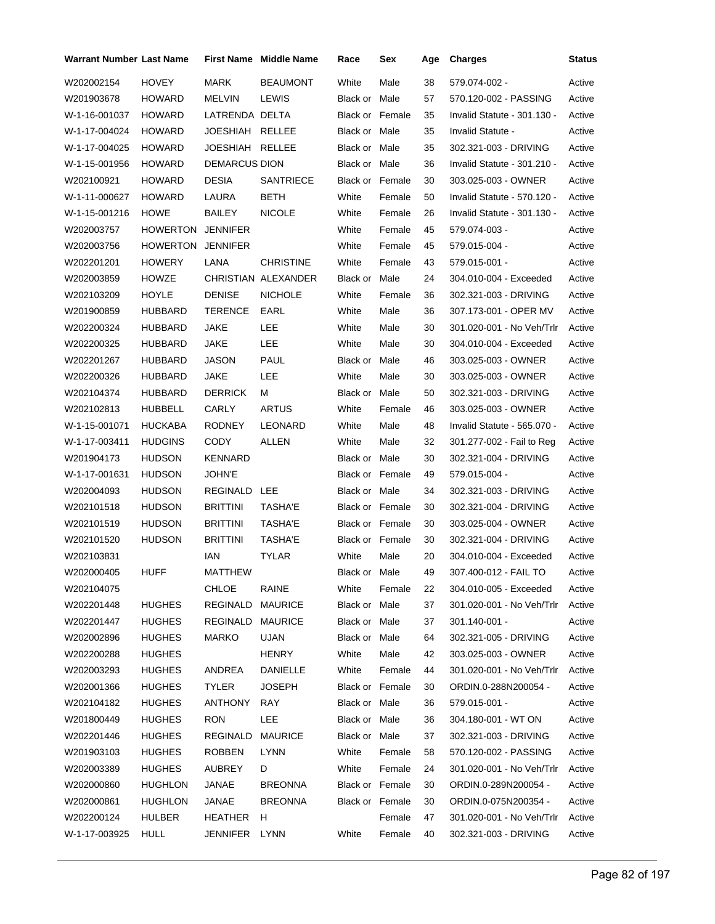| <b>Warrant Number Last Name</b> |                |                      | First Name Middle Name | Race                   | Sex    | Age | <b>Charges</b>              | <b>Status</b> |
|---------------------------------|----------------|----------------------|------------------------|------------------------|--------|-----|-----------------------------|---------------|
| W202002154                      | <b>HOVEY</b>   | <b>MARK</b>          | <b>BEAUMONT</b>        | White                  | Male   | 38  | 579.074-002 -               | Active        |
| W201903678                      | <b>HOWARD</b>  | MELVIN               | <b>LEWIS</b>           | Black or Male          |        | 57  | 570.120-002 - PASSING       | Active        |
| W-1-16-001037                   | HOWARD         | LATRENDA DELTA       |                        | <b>Black or Female</b> |        | 35  | Invalid Statute - 301.130 - | Active        |
| W-1-17-004024                   | <b>HOWARD</b>  | JOESHIAH             | RELLEE                 | Black or Male          |        | 35  | Invalid Statute -           | Active        |
| W-1-17-004025                   | <b>HOWARD</b>  | JOESHIAH RELLEE      |                        | Black or Male          |        | 35  | 302.321-003 - DRIVING       | Active        |
| W-1-15-001956                   | HOWARD         | <b>DEMARCUS DION</b> |                        | Black or Male          |        | 36  | Invalid Statute - 301.210 - | Active        |
| W202100921                      | HOWARD         | DESIA                | <b>SANTRIECE</b>       | Black or Female        |        | 30  | 303.025-003 - OWNER         | Active        |
| W-1-11-000627                   | <b>HOWARD</b>  | LAURA                | <b>BETH</b>            | White                  | Female | 50  | Invalid Statute - 570.120 - | Active        |
| W-1-15-001216                   | <b>HOWE</b>    | BAILEY               | <b>NICOLE</b>          | White                  | Female | 26  | Invalid Statute - 301.130 - | Active        |
| W202003757                      | HOWERTON       | <b>JENNIFER</b>      |                        | White                  | Female | 45  | 579.074-003 -               | Active        |
| W202003756                      | HOWERTON       | <b>JENNIFER</b>      |                        | White                  | Female | 45  | 579.015-004 -               | Active        |
| W202201201                      | HOWERY         | LANA                 | <b>CHRISTINE</b>       | White                  | Female | 43  | 579.015-001 -               | Active        |
| W202003859                      | HOWZE          |                      | CHRISTIAN ALEXANDER    | Black or Male          |        | 24  | 304.010-004 - Exceeded      | Active        |
| W202103209                      | HOYLE          | <b>DENISE</b>        | <b>NICHOLE</b>         | White                  | Female | 36  | 302.321-003 - DRIVING       | Active        |
| W201900859                      | HUBBARD        | TERENCE              | EARL                   | White                  | Male   | 36  | 307.173-001 - OPER MV       | Active        |
| W202200324                      | HUBBARD        | JAKE                 | LEE                    | White                  | Male   | 30  | 301.020-001 - No Veh/Trlr   | Active        |
| W202200325                      | HUBBARD        | JAKE                 | LEE                    | White                  | Male   | 30  | 304.010-004 - Exceeded      | Active        |
| W202201267                      | HUBBARD        | JASON                | <b>PAUL</b>            | Black or               | Male   | 46  | 303.025-003 - OWNER         | Active        |
| W202200326                      | HUBBARD        | JAKE                 | LEE                    | White                  | Male   | 30  | 303.025-003 - OWNER         | Active        |
| W202104374                      | HUBBARD        | <b>DERRICK</b>       | м                      | Black or Male          |        | 50  | 302.321-003 - DRIVING       | Active        |
| W202102813                      | HUBBELL        | CARLY                | <b>ARTUS</b>           | White                  | Female | 46  | 303.025-003 - OWNER         | Active        |
| W-1-15-001071                   | <b>HUCKABA</b> | RODNEY               | LEONARD                | White                  | Male   | 48  | Invalid Statute - 565.070 - | Active        |
| W-1-17-003411                   | <b>HUDGINS</b> | CODY                 | ALLEN                  | White                  | Male   | 32  | 301.277-002 - Fail to Reg   | Active        |
| W201904173                      | HUDSON         | KENNARD              |                        | Black or Male          |        | 30  | 302.321-004 - DRIVING       | Active        |
| W-1-17-001631                   | <b>HUDSON</b>  | JOHN'E               |                        | <b>Black or Female</b> |        | 49  | 579.015-004 -               | Active        |
| W202004093                      | <b>HUDSON</b>  | REGINALD LEE         |                        | Black or Male          |        | 34  | 302.321-003 - DRIVING       | Active        |
| W202101518                      | HUDSON         | <b>BRITTINI</b>      | <b>TASHA'E</b>         | Black or Female        |        | 30  | 302.321-004 - DRIVING       | Active        |
| W202101519                      | <b>HUDSON</b>  | <b>BRITTINI</b>      | <b>TASHA'E</b>         | Black or Female        |        | 30  | 303.025-004 - OWNER         | Active        |
| W202101520                      | <b>HUDSON</b>  | <b>BRITTINI</b>      | TASHA'E                | Black or Female        |        | 30  | 302.321-004 - DRIVING       | Active        |
| W202103831                      |                | IAN                  | <b>TYLAR</b>           | White                  | Male   | 20  | 304.010-004 - Exceeded      | Active        |
| W202000405                      | <b>HUFF</b>    | MATTHEW              |                        | Black or Male          |        | 49  | 307.400-012 - FAIL TO       | Active        |
| W202104075                      |                | <b>CHLOE</b>         | RAINE                  | White                  | Female | 22  | 304.010-005 - Exceeded      | Active        |
| W202201448                      | <b>HUGHES</b>  | REGINALD MAURICE     |                        | Black or Male          |        | 37  | 301.020-001 - No Veh/Trlr   | Active        |
| W202201447                      | <b>HUGHES</b>  | REGINALD             | <b>MAURICE</b>         | Black or Male          |        | 37  | 301.140-001 -               | Active        |
| W202002896                      | <b>HUGHES</b>  | MARKO                | <b>UJAN</b>            | Black or Male          |        | 64  | 302.321-005 - DRIVING       | Active        |
| W202200288                      | HUGHES         |                      | <b>HENRY</b>           | White                  | Male   | 42  | 303.025-003 - OWNER         | Active        |
| W202003293                      | <b>HUGHES</b>  | ANDREA               | DANIELLE               | White                  | Female | 44  | 301.020-001 - No Veh/Trlr   | Active        |
| W202001366                      | <b>HUGHES</b>  | <b>TYLER</b>         | <b>JOSEPH</b>          | Black or Female        |        | 30  | ORDIN.0-288N200054 -        | Active        |
| W202104182                      | <b>HUGHES</b>  | ANTHONY              | RAY                    | Black or Male          |        | 36  | 579.015-001 -               | Active        |
| W201800449                      | <b>HUGHES</b>  | <b>RON</b>           | LEE                    | Black or Male          |        | 36  | 304.180-001 - WT ON         | Active        |
| W202201446                      | <b>HUGHES</b>  | REGINALD             | MAURICE                | Black or Male          |        | 37  | 302.321-003 - DRIVING       | Active        |
| W201903103                      | HUGHES         | ROBBEN               | LYNN                   | White                  | Female | 58  | 570.120-002 - PASSING       | Active        |
| W202003389                      | <b>HUGHES</b>  | AUBREY               | D                      | White                  | Female | 24  | 301.020-001 - No Veh/Trlr   | Active        |
| W202000860                      | <b>HUGHLON</b> | JANAE                | <b>BREONNA</b>         | Black or Female        |        | 30  | ORDIN.0-289N200054 -        | Active        |
| W202000861                      | HUGHLON        | JANAE                | <b>BREONNA</b>         | Black or Female        |        | 30  | ORDIN.0-075N200354 -        | Active        |
| W202200124                      | HULBER         | HEATHER              | H                      |                        | Female | 47  | 301.020-001 - No Veh/Trlr   | Active        |
| W-1-17-003925                   | HULL           | JENNIFER LYNN        |                        | White                  | Female | 40  | 302.321-003 - DRIVING       | Active        |
|                                 |                |                      |                        |                        |        |     |                             |               |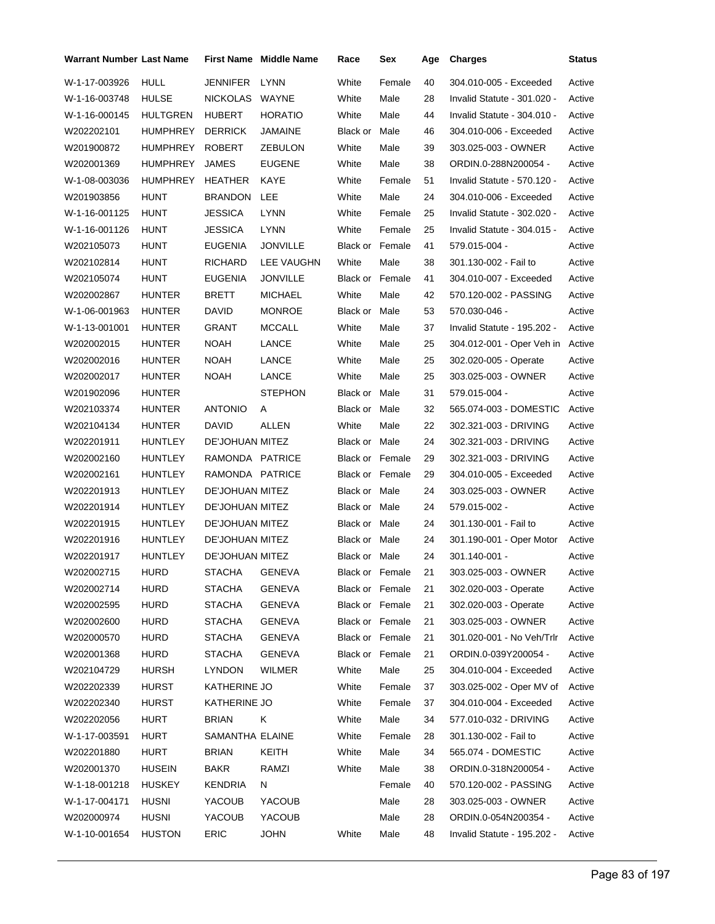| <b>Warrant Number Last Name</b> |                 |                        | <b>First Name</b> Middle Name | Race                   | Sex             | Age | <b>Charges</b>              | Status |
|---------------------------------|-----------------|------------------------|-------------------------------|------------------------|-----------------|-----|-----------------------------|--------|
| W-1-17-003926                   | <b>HULL</b>     | <b>JENNIFER</b>        | <b>LYNN</b>                   | White                  | Female          | 40  | 304.010-005 - Exceeded      | Active |
| W-1-16-003748                   | <b>HULSE</b>    | NICKOLAS               | WAYNE                         | White                  | Male            | 28  | Invalid Statute - 301.020 - | Active |
| W-1-16-000145                   | <b>HULTGREN</b> | <b>HUBERT</b>          | <b>HORATIO</b>                | White                  | Male            | 44  | Invalid Statute - 304.010 - | Active |
| W202202101                      | <b>HUMPHREY</b> | <b>DERRICK</b>         | <b>JAMAINE</b>                | Black or               | Male            | 46  | 304.010-006 - Exceeded      | Active |
| W201900872                      | <b>HUMPHREY</b> | ROBERT                 | ZEBULON                       | White                  | Male            | 39  | 303.025-003 - OWNER         | Active |
| W202001369                      | <b>HUMPHREY</b> | JAMES                  | <b>EUGENE</b>                 | White                  | Male            | 38  | ORDIN.0-288N200054 -        | Active |
| W-1-08-003036                   | <b>HUMPHREY</b> | <b>HEATHER</b>         | KAYE                          | White                  | Female          | 51  | Invalid Statute - 570.120 - | Active |
| W201903856                      | HUNT            | <b>BRANDON</b>         | LEE                           | White                  | Male            | 24  | 304.010-006 - Exceeded      | Active |
| W-1-16-001125                   | HUNT            | <b>JESSICA</b>         | <b>LYNN</b>                   | White                  | Female          | 25  | Invalid Statute - 302.020 - | Active |
| W-1-16-001126                   | <b>HUNT</b>     | <b>JESSICA</b>         | <b>LYNN</b>                   | White                  | Female          | 25  | Invalid Statute - 304.015 - | Active |
| W202105073                      | <b>HUNT</b>     | <b>EUGENIA</b>         | <b>JONVILLE</b>               | <b>Black or Female</b> |                 | 41  | 579.015-004 -               | Active |
| W202102814                      | <b>HUNT</b>     | <b>RICHARD</b>         | LEE VAUGHN                    | White                  | Male            | 38  | 301.130-002 - Fail to       | Active |
| W202105074                      | <b>HUNT</b>     | <b>EUGENIA</b>         | <b>JONVILLE</b>               | <b>Black or Female</b> |                 | 41  | 304.010-007 - Exceeded      | Active |
| W202002867                      | HUNTER          | <b>BRETT</b>           | <b>MICHAEL</b>                | White                  | Male            | 42  | 570.120-002 - PASSING       | Active |
| W-1-06-001963                   | <b>HUNTER</b>   | DAVID                  | <b>MONROE</b>                 | Black or Male          |                 | 53  | 570.030-046 -               | Active |
| W-1-13-001001                   | <b>HUNTER</b>   | <b>GRANT</b>           | MCCALL                        | White                  | Male            | 37  | Invalid Statute - 195.202 - | Active |
| W202002015                      | HUNTER          | <b>NOAH</b>            | LANCE                         | White                  | Male            | 25  | 304.012-001 - Oper Veh in   | Active |
| W202002016                      | <b>HUNTER</b>   | <b>NOAH</b>            | LANCE                         | White                  | Male            | 25  | 302.020-005 - Operate       | Active |
| W202002017                      | <b>HUNTER</b>   | <b>NOAH</b>            | LANCE                         | White                  | Male            | 25  | 303.025-003 - OWNER         | Active |
| W201902096                      | <b>HUNTER</b>   |                        | <b>STEPHON</b>                | Black or Male          |                 | 31  | 579.015-004 -               | Active |
| W202103374                      | <b>HUNTER</b>   | <b>ANTONIO</b>         | A                             | Black or Male          |                 | 32  | 565.074-003 - DOMESTIC      | Active |
| W202104134                      | <b>HUNTER</b>   | DAVID                  | ALLEN                         | White                  | Male            | 22  | 302.321-003 - DRIVING       | Active |
| W202201911                      | <b>HUNTLEY</b>  | DE'JOHUAN MITEZ        |                               | Black or Male          |                 | 24  | 302.321-003 - DRIVING       | Active |
| W202002160                      | <b>HUNTLEY</b>  | RAMONDA PATRICE        |                               | Black or Female        |                 | 29  | 302.321-003 - DRIVING       | Active |
| W202002161                      | <b>HUNTLEY</b>  | RAMONDA PATRICE        |                               | <b>Black or Female</b> |                 | 29  | 304.010-005 - Exceeded      | Active |
| W202201913                      | <b>HUNTLEY</b>  | DE'JOHUAN MITEZ        |                               | Black or Male          |                 | 24  | 303.025-003 - OWNER         | Active |
| W202201914                      | HUNTLEY         | DE'JOHUAN MITEZ        |                               | Black or Male          |                 | 24  | 579.015-002 -               | Active |
| W202201915                      | <b>HUNTLEY</b>  | <b>DE'JOHUAN MITEZ</b> |                               | Black or Male          |                 | 24  | 301.130-001 - Fail to       | Active |
| W202201916                      | <b>HUNTLEY</b>  | DE'JOHUAN MITEZ        |                               | Black or Male          |                 | 24  | 301.190-001 - Oper Motor    | Active |
| W202201917                      | HUNTLEY         | <b>DE'JOHUAN MITEZ</b> |                               | Black or Male          |                 | 24  | 301.140-001 -               | Active |
| W202002715                      | <b>HURD</b>     | STACHA GENEVA          |                               |                        | Black or Female | 21  | 303.025-003 - OWNER         | Active |
| W202002714                      | <b>HURD</b>     | <b>STACHA</b>          | GENEVA                        | Black or Female        |                 | 21  | 302.020-003 - Operate       | Active |
| W202002595                      | <b>HURD</b>     | <b>STACHA</b>          | <b>GENEVA</b>                 | Black or Female        |                 | 21  | 302.020-003 - Operate       | Active |
| W202002600                      | <b>HURD</b>     | <b>STACHA</b>          | <b>GENEVA</b>                 | Black or Female        |                 | 21  | 303.025-003 - OWNER         | Active |
| W202000570                      | <b>HURD</b>     | <b>STACHA</b>          | <b>GENEVA</b>                 | Black or Female        |                 | 21  | 301.020-001 - No Veh/Trlr   | Active |
| W202001368                      | <b>HURD</b>     | <b>STACHA</b>          | <b>GENEVA</b>                 | Black or Female        |                 | 21  | ORDIN.0-039Y200054 -        | Active |
| W202104729                      | <b>HURSH</b>    | <b>LYNDON</b>          | <b>WILMER</b>                 | White                  | Male            | 25  | 304.010-004 - Exceeded      | Active |
| W202202339                      | <b>HURST</b>    | KATHERINE JO           |                               | White                  | Female          | 37  | 303.025-002 - Oper MV of    | Active |
| W202202340                      | <b>HURST</b>    | KATHERINE JO           |                               | White                  | Female          | 37  | 304.010-004 - Exceeded      | Active |
| W202202056                      | HURT            | <b>BRIAN</b>           | K                             | White                  | Male            | 34  | 577.010-032 - DRIVING       | Active |
| W-1-17-003591                   | HURT            | SAMANTHA ELAINE        |                               | White                  | Female          | 28  | 301.130-002 - Fail to       | Active |
| W202201880                      | <b>HURT</b>     | <b>BRIAN</b>           | KEITH                         | White                  | Male            | 34  | 565.074 - DOMESTIC          | Active |
| W202001370                      | <b>HUSEIN</b>   | BAKR                   | RAMZI                         | White                  | Male            | 38  | ORDIN.0-318N200054 -        | Active |
| W-1-18-001218                   | HUSKEY          | KENDRIA                | N                             |                        | Female          | 40  | 570.120-002 - PASSING       | Active |
| W-1-17-004171                   | <b>HUSNI</b>    | YACOUB                 | YACOUB                        |                        | Male            | 28  | 303.025-003 - OWNER         | Active |
| W202000974                      | <b>HUSNI</b>    | YACOUB                 | YACOUB                        |                        | Male            | 28  | ORDIN.0-054N200354 -        | Active |
| W-1-10-001654                   | <b>HUSTON</b>   | <b>ERIC</b>            | <b>JOHN</b>                   | White                  | Male            | 48  | Invalid Statute - 195.202 - | Active |
|                                 |                 |                        |                               |                        |                 |     |                             |        |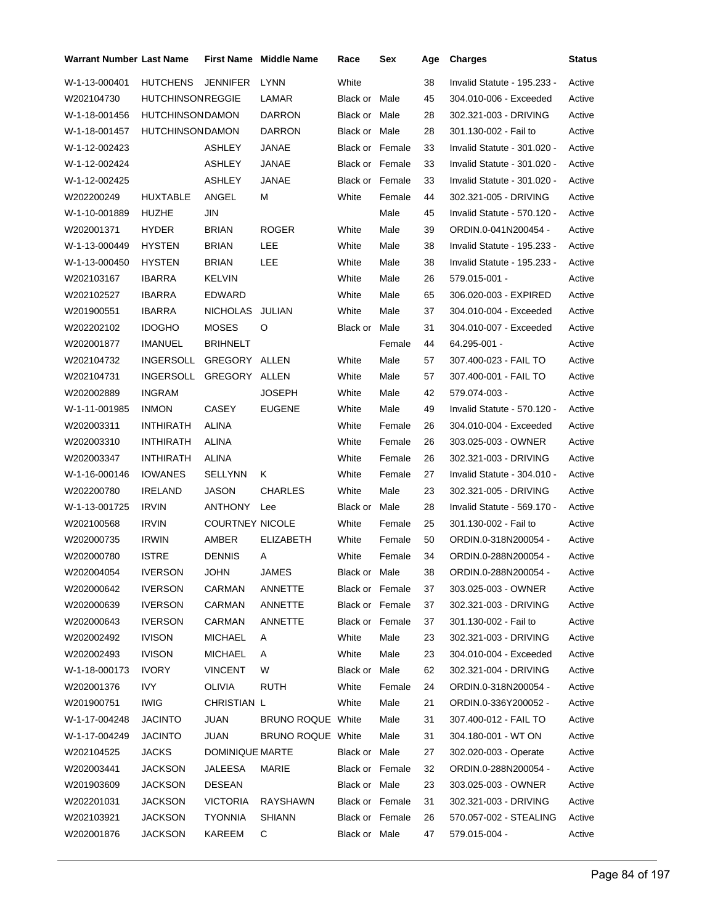| Warrant Number Last Name |                         |                        | <b>First Name</b> Middle Name | Race            | Sex    | Age | <b>Charges</b>              | <b>Status</b> |
|--------------------------|-------------------------|------------------------|-------------------------------|-----------------|--------|-----|-----------------------------|---------------|
| W-1-13-000401            | HUTCHENS                | <b>JENNIFER</b>        | <b>LYNN</b>                   | White           |        | 38  | Invalid Statute - 195.233 - | Active        |
| W202104730               | <b>HUTCHINSONREGGIE</b> |                        | LAMAR                         | Black or Male   |        | 45  | 304.010-006 - Exceeded      | Active        |
| W-1-18-001456            | <b>HUTCHINSONDAMON</b>  |                        | <b>DARRON</b>                 | Black or Male   |        | 28  | 302.321-003 - DRIVING       | Active        |
| W-1-18-001457            | <b>HUTCHINSONDAMON</b>  |                        | <b>DARRON</b>                 | Black or Male   |        | 28  | 301.130-002 - Fail to       | Active        |
| W-1-12-002423            |                         | ASHLEY                 | JANAE                         | Black or Female |        | 33  | Invalid Statute - 301.020 - | Active        |
| W-1-12-002424            |                         | ASHLEY                 | JANAE                         | Black or Female |        | 33  | Invalid Statute - 301.020 - | Active        |
| W-1-12-002425            |                         | ASHLEY                 | JANAE                         | Black or Female |        | 33  | Invalid Statute - 301.020 - | Active        |
| W202200249               | <b>HUXTABLE</b>         | ANGEL                  | м                             | White           | Female | 44  | 302.321-005 - DRIVING       | Active        |
| W-1-10-001889            | HUZHE                   | <b>JIN</b>             |                               |                 | Male   | 45  | Invalid Statute - 570.120 - | Active        |
| W202001371               | <b>HYDER</b>            | <b>BRIAN</b>           | <b>ROGER</b>                  | White           | Male   | 39  | ORDIN.0-041N200454 -        | Active        |
| W-1-13-000449            | <b>HYSTEN</b>           | <b>BRIAN</b>           | LEE                           | White           | Male   | 38  | Invalid Statute - 195.233 - | Active        |
| W-1-13-000450            | <b>HYSTEN</b>           | <b>BRIAN</b>           | LEE                           | White           | Male   | 38  | Invalid Statute - 195.233 - | Active        |
| W202103167               | <b>IBARRA</b>           | <b>KELVIN</b>          |                               | White           | Male   | 26  | 579.015-001 -               | Active        |
| W202102527               | <b>IBARRA</b>           | EDWARD                 |                               | White           | Male   | 65  | 306.020-003 - EXPIRED       | Active        |
| W201900551               | <b>IBARRA</b>           | <b>NICHOLAS</b>        | JULIAN                        | White           | Male   | 37  | 304.010-004 - Exceeded      | Active        |
| W202202102               | <b>IDOGHO</b>           | <b>MOSES</b>           | O                             | Black or        | Male   | 31  | 304.010-007 - Exceeded      | Active        |
| W202001877               | <b>IMANUEL</b>          | <b>BRIHNELT</b>        |                               |                 | Female | 44  | 64.295-001 -                | Active        |
| W202104732               | <b>INGERSOLL</b>        | GREGORY ALLEN          |                               | White           | Male   | 57  | 307.400-023 - FAIL TO       | Active        |
| W202104731               | <b>INGERSOLL</b>        | GREGORY ALLEN          |                               | White           | Male   | 57  | 307.400-001 - FAIL TO       | Active        |
| W202002889               | <b>INGRAM</b>           |                        | JOSEPH                        | White           | Male   | 42  | 579.074-003 -               | Active        |
| W-1-11-001985            | <b>INMON</b>            | CASEY                  | <b>EUGENE</b>                 | White           | Male   | 49  | Invalid Statute - 570.120 - | Active        |
| W202003311               | <b>INTHIRATH</b>        | ALINA                  |                               | White           | Female | 26  | 304.010-004 - Exceeded      | Active        |
| W202003310               | <b>INTHIRATH</b>        | ALINA                  |                               | White           | Female | 26  | 303.025-003 - OWNER         | Active        |
| W202003347               | <b>INTHIRATH</b>        | ALINA                  |                               | White           | Female | 26  | 302.321-003 - DRIVING       | Active        |
| W-1-16-000146            | <b>IOWANES</b>          | <b>SELLYNN</b>         | Κ                             | White           | Female | 27  | Invalid Statute - 304.010 - | Active        |
| W202200780               | <b>IRELAND</b>          | <b>JASON</b>           | <b>CHARLES</b>                | White           | Male   | 23  | 302.321-005 - DRIVING       | Active        |
| W-1-13-001725            | <b>IRVIN</b>            | <b>ANTHONY</b>         | Lee                           | Black or        | Male   | 28  | Invalid Statute - 569.170 - | Active        |
| W202100568               | <b>IRVIN</b>            | <b>COURTNEY NICOLE</b> |                               | White           | Female | 25  | 301.130-002 - Fail to       | Active        |
| W202000735               | <b>IRWIN</b>            | AMBER                  | <b>ELIZABETH</b>              | White           | Female | 50  | ORDIN.0-318N200054 -        | Active        |
| W202000780               | <b>ISTRE</b>            | <b>DENNIS</b>          | Α                             | White           | Female | 34  | ORDIN.0-288N200054 -        | Active        |
| W202004054               | <b>IVERSON</b>          | <b>JOHN</b>            | <b>JAMES</b>                  | Black or Male   |        | 38  | ORDIN.0-288N200054 -        | Active        |
| W202000642               | <b>IVERSON</b>          | CARMAN                 | ANNETTE                       | Black or Female |        | 37  | 303.025-003 - OWNER         | Active        |
| W202000639               | <b>IVERSON</b>          | CARMAN                 | ANNETTE                       | Black or Female |        | 37  | 302.321-003 - DRIVING       | Active        |
| W202000643               | <b>IVERSON</b>          | CARMAN                 | ANNETTE                       | Black or Female |        | 37  | 301.130-002 - Fail to       | Active        |
| W202002492               | <b>IVISON</b>           | <b>MICHAEL</b>         | A                             | White           | Male   | 23  | 302.321-003 - DRIVING       | Active        |
| W202002493               | <b>IVISON</b>           | <b>MICHAEL</b>         | A                             | White           | Male   | 23  | 304.010-004 - Exceeded      | Active        |
| W-1-18-000173            | <b>IVORY</b>            | VINCENT                | W                             | Black or Male   |        | 62  | 302.321-004 - DRIVING       | Active        |
| W202001376               | <b>IVY</b>              | OLIVIA                 | <b>RUTH</b>                   | White           | Female | 24  | ORDIN.0-318N200054 -        | Active        |
| W201900751               | <b>IWIG</b>             | CHRISTIAN L            |                               | White           | Male   | 21  | ORDIN.0-336Y200052 -        | Active        |
| W-1-17-004248            | <b>JACINTO</b>          | JUAN                   | BRUNO ROQUE White             |                 | Male   | 31  | 307.400-012 - FAIL TO       | Active        |
| W-1-17-004249            | <b>JACINTO</b>          | JUAN                   | BRUNO ROQUE White             |                 | Male   | 31  | 304.180-001 - WT ON         | Active        |
| W202104525               | JACKS                   | DOMINIQUE MARTE        |                               | Black or Male   |        | 27  | 302.020-003 - Operate       | Active        |
| W202003441               | JACKSON                 | JALEESA                | MARIE                         | Black or Female |        | 32  | ORDIN.0-288N200054 -        | Active        |
| W201903609               | JACKSON                 | DESEAN                 |                               | Black or Male   |        | 23  | 303.025-003 - OWNER         | Active        |
| W202201031               | <b>JACKSON</b>          | <b>VICTORIA</b>        | RAYSHAWN                      | Black or Female |        | 31  | 302.321-003 - DRIVING       | Active        |
| W202103921               | JACKSON                 | <b>TYONNIA</b>         | <b>SHIANN</b>                 | Black or Female |        | 26  | 570.057-002 - STEALING      | Active        |
| W202001876               | JACKSON                 | KAREEM                 | C                             | Black or Male   |        | 47  | 579.015-004 -               | Active        |
|                          |                         |                        |                               |                 |        |     |                             |               |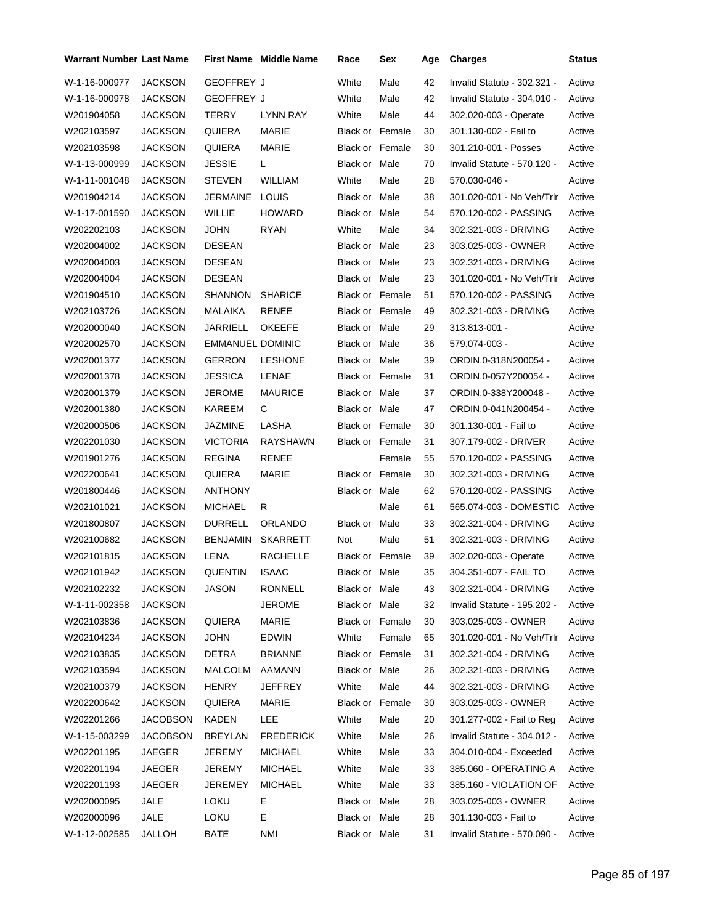| <b>Warrant Number Last Name</b> |                 |                         | <b>First Name Middle Name</b> | Race                   | Sex    | Age | <b>Charges</b>              | <b>Status</b> |
|---------------------------------|-----------------|-------------------------|-------------------------------|------------------------|--------|-----|-----------------------------|---------------|
| W-1-16-000977                   | <b>JACKSON</b>  | <b>GEOFFREY J</b>       |                               | White                  | Male   | 42  | Invalid Statute - 302.321 - | Active        |
| W-1-16-000978                   | <b>JACKSON</b>  | <b>GEOFFREY J</b>       |                               | White                  | Male   | 42  | Invalid Statute - 304.010 - | Active        |
| W201904058                      | <b>JACKSON</b>  | TERRY                   | <b>LYNN RAY</b>               | White                  | Male   | 44  | 302.020-003 - Operate       | Active        |
| W202103597                      | <b>JACKSON</b>  | QUIERA                  | <b>MARIE</b>                  | <b>Black or Female</b> |        | 30  | 301.130-002 - Fail to       | Active        |
| W202103598                      | <b>JACKSON</b>  | QUIERA                  | MARIE                         | <b>Black or Female</b> |        | 30  | 301.210-001 - Posses        | Active        |
| W-1-13-000999                   | <b>JACKSON</b>  | <b>JESSIE</b>           | L.                            | Black or Male          |        | 70  | Invalid Statute - 570.120 - | Active        |
| W-1-11-001048                   | <b>JACKSON</b>  | <b>STEVEN</b>           | WILLIAM                       | White                  | Male   | 28  | 570.030-046 -               | Active        |
| W201904214                      | JACKSON         | JERMAINE                | <b>LOUIS</b>                  | Black or Male          |        | 38  | 301.020-001 - No Veh/Trlr   | Active        |
| W-1-17-001590                   | <b>JACKSON</b>  | WILLIE                  | <b>HOWARD</b>                 | Black or Male          |        | 54  | 570.120-002 - PASSING       | Active        |
| W202202103                      | <b>JACKSON</b>  | JOHN                    | RYAN                          | White                  | Male   | 34  | 302.321-003 - DRIVING       | Active        |
| W202004002                      | <b>JACKSON</b>  | <b>DESEAN</b>           |                               | Black or Male          |        | 23  | 303.025-003 - OWNER         | Active        |
| W202004003                      | <b>JACKSON</b>  | <b>DESEAN</b>           |                               | Black or Male          |        | 23  | 302.321-003 - DRIVING       | Active        |
| W202004004                      | <b>JACKSON</b>  | <b>DESEAN</b>           |                               | Black or Male          |        | 23  | 301.020-001 - No Veh/Trlr   | Active        |
| W201904510                      | <b>JACKSON</b>  | <b>SHANNON</b>          | <b>SHARICE</b>                | <b>Black or Female</b> |        | 51  | 570.120-002 - PASSING       | Active        |
| W202103726                      | <b>JACKSON</b>  | MALAIKA                 | RENEE                         | Black or Female        |        | 49  | 302.321-003 - DRIVING       | Active        |
| W202000040                      | <b>JACKSON</b>  | JARRIELL                | <b>OKEEFE</b>                 | Black or Male          |        | 29  | 313.813-001 -               | Active        |
| W202002570                      | <b>JACKSON</b>  | <b>EMMANUEL DOMINIC</b> |                               | Black or Male          |        | 36  | 579.074-003 -               | Active        |
| W202001377                      | <b>JACKSON</b>  | <b>GERRON</b>           | <b>LESHONE</b>                | Black or Male          |        | 39  | ORDIN.0-318N200054 -        | Active        |
| W202001378                      | <b>JACKSON</b>  | <b>JESSICA</b>          | LENAE                         | <b>Black or Female</b> |        | 31  | ORDIN.0-057Y200054 -        | Active        |
| W202001379                      | <b>JACKSON</b>  | <b>JEROME</b>           | <b>MAURICE</b>                | Black or Male          |        | 37  | ORDIN.0-338Y200048 -        | Active        |
| W202001380                      | <b>JACKSON</b>  | KAREEM                  | С                             | Black or Male          |        | 47  | ORDIN.0-041N200454 -        | Active        |
| W202000506                      | <b>JACKSON</b>  | JAZMINE                 | LASHA                         | <b>Black or Female</b> |        | 30  | 301.130-001 - Fail to       | Active        |
| W202201030                      | <b>JACKSON</b>  | <b>VICTORIA</b>         | RAYSHAWN                      | <b>Black or Female</b> |        | 31  | 307.179-002 - DRIVER        | Active        |
| W201901276                      | <b>JACKSON</b>  | <b>REGINA</b>           | RENEE                         |                        | Female | 55  | 570.120-002 - PASSING       | Active        |
| W202200641                      | <b>JACKSON</b>  | QUIERA                  | MARIE                         | <b>Black or Female</b> |        | 30  | 302.321-003 - DRIVING       | Active        |
| W201800446                      | <b>JACKSON</b>  | <b>ANTHONY</b>          |                               | Black or Male          |        | 62  | 570.120-002 - PASSING       | Active        |
| W202101021                      | <b>JACKSON</b>  | <b>MICHAEL</b>          | R                             |                        | Male   | 61  | 565.074-003 - DOMESTIC      | Active        |
| W201800807                      | <b>JACKSON</b>  | <b>DURRELL</b>          | ORLANDO                       | Black or Male          |        | 33  | 302.321-004 - DRIVING       | Active        |
| W202100682                      | <b>JACKSON</b>  | <b>BENJAMIN</b>         | <b>SKARRETT</b>               | Not                    | Male   | 51  | 302.321-003 - DRIVING       | Active        |
| W202101815                      | <b>JACKSON</b>  | LENA                    | RACHELLE                      | <b>Black or Female</b> |        | 39  | 302.020-003 - Operate       | Active        |
| W202101942                      | <b>JACKSON</b>  | QUENTIN                 | <b>ISAAC</b>                  | Black or Male          |        | 35  | 304.351-007 - FAIL TO       | Active        |
| W202102232                      | <b>JACKSON</b>  | JASON                   | RONNELL                       | Black or Male          |        | 43  | 302.321-004 - DRIVING       | Active        |
| W-1-11-002358                   | <b>JACKSON</b>  |                         | <b>JEROME</b>                 | Black or Male          |        | 32  | Invalid Statute - 195.202 - | Active        |
| W202103836                      | <b>JACKSON</b>  | QUIERA                  | MARIE                         | Black or Female        |        | 30  | 303.025-003 - OWNER         | Active        |
| W202104234                      | <b>JACKSON</b>  | <b>JOHN</b>             | <b>EDWIN</b>                  | White                  | Female | 65  | 301.020-001 - No Veh/Trlr   | Active        |
| W202103835                      | <b>JACKSON</b>  | DETRA                   | <b>BRIANNE</b>                | Black or Female        |        | 31  | 302.321-004 - DRIVING       | Active        |
| W202103594                      | <b>JACKSON</b>  | MALCOLM                 | AAMANN                        | Black or Male          |        | 26  | 302.321-003 - DRIVING       | Active        |
| W202100379                      | <b>JACKSON</b>  | <b>HENRY</b>            | <b>JEFFREY</b>                | White                  | Male   | 44  | 302.321-003 - DRIVING       | Active        |
| W202200642                      | <b>JACKSON</b>  | QUIERA                  | MARIE                         | Black or Female        |        | 30  | 303.025-003 - OWNER         | Active        |
| W202201266                      | <b>JACOBSON</b> | KADEN                   | LEE                           | White                  | Male   | 20  | 301.277-002 - Fail to Reg   | Active        |
| W-1-15-003299                   | <b>JACOBSON</b> | <b>BREYLAN</b>          | <b>FREDERICK</b>              | White                  | Male   | 26  | Invalid Statute - 304.012 - | Active        |
| W202201195                      | JAEGER          | JEREMY                  | <b>MICHAEL</b>                | White                  | Male   | 33  | 304.010-004 - Exceeded      | Active        |
| W202201194                      | JAEGER          | JEREMY                  | <b>MICHAEL</b>                | White                  | Male   | 33  | 385.060 - OPERATING A       | Active        |
| W202201193                      | JAEGER          | JEREMEY                 | <b>MICHAEL</b>                | White                  | Male   | 33  | 385.160 - VIOLATION OF      | Active        |
| W202000095                      | JALE            | LOKU                    | E.                            | Black or Male          |        | 28  | 303.025-003 - OWNER         | Active        |
| W202000096                      | JALE            | <b>LOKU</b>             | Е                             | Black or Male          |        | 28  | 301.130-003 - Fail to       | Active        |
| W-1-12-002585                   | JALLOH          | BATE                    | <b>NMI</b>                    | Black or Male          |        | 31  | Invalid Statute - 570.090 - | Active        |
|                                 |                 |                         |                               |                        |        |     |                             |               |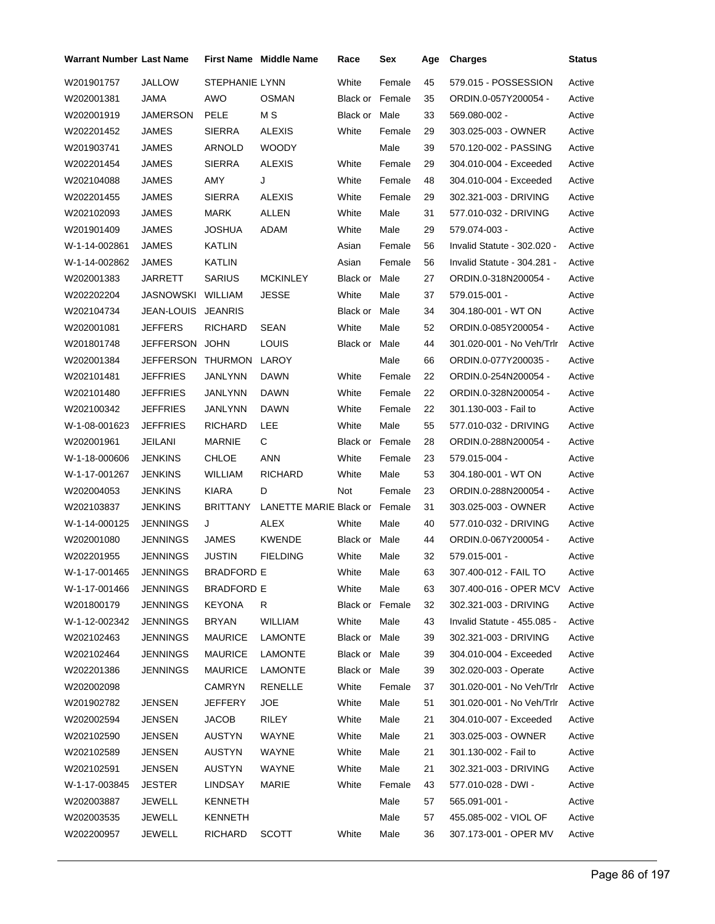| Warrant Number Last Name |                  |                       | <b>First Name</b> Middle Name | Race                   | Sex    | Age | <b>Charges</b>              | <b>Status</b> |
|--------------------------|------------------|-----------------------|-------------------------------|------------------------|--------|-----|-----------------------------|---------------|
| W201901757               | JALLOW           | <b>STEPHANIE LYNN</b> |                               | White                  | Female | 45  | 579.015 - POSSESSION        | Active        |
| W202001381               | JAMA             | AWO                   | <b>OSMAN</b>                  | <b>Black or Female</b> |        | 35  | ORDIN.0-057Y200054 -        | Active        |
| W202001919               | JAMERSON         | PELE                  | M S                           | Black or               | Male   | 33  | 569.080-002 -               | Active        |
| W202201452               | JAMES            | <b>SIERRA</b>         | <b>ALEXIS</b>                 | White                  | Female | 29  | 303.025-003 - OWNER         | Active        |
| W201903741               | JAMES            | ARNOLD                | <b>WOODY</b>                  |                        | Male   | 39  | 570.120-002 - PASSING       | Active        |
| W202201454               | JAMES            | <b>SIERRA</b>         | <b>ALEXIS</b>                 | White                  | Female | 29  | 304.010-004 - Exceeded      | Active        |
| W202104088               | JAMES            | AMY                   | J                             | White                  | Female | 48  | 304.010-004 - Exceeded      | Active        |
| W202201455               | JAMES            | <b>SIERRA</b>         | <b>ALEXIS</b>                 | White                  | Female | 29  | 302.321-003 - DRIVING       | Active        |
| W202102093               | JAMES            | <b>MARK</b>           | ALLEN                         | White                  | Male   | 31  | 577.010-032 - DRIVING       | Active        |
| W201901409               | JAMES            | JOSHUA                | ADAM                          | White                  | Male   | 29  | 579.074-003 -               | Active        |
| W-1-14-002861            | JAMES            | KATLIN                |                               | Asian                  | Female | 56  | Invalid Statute - 302.020 - | Active        |
| W-1-14-002862            | JAMES            | KATLIN                |                               | Asian                  | Female | 56  | Invalid Statute - 304.281 - | Active        |
| W202001383               | JARRETT          | <b>SARIUS</b>         | <b>MCKINLEY</b>               | Black or Male          |        | 27  | ORDIN.0-318N200054 -        | Active        |
| W202202204               | JASNOWSKI        | WILLIAM               | <b>JESSE</b>                  | White                  | Male   | 37  | 579.015-001 -               | Active        |
| W202104734               | JEAN-LOUIS       | <b>JEANRIS</b>        |                               | Black or Male          |        | 34  | 304.180-001 - WT ON         | Active        |
| W202001081               | JEFFERS          | <b>RICHARD</b>        | SEAN                          | White                  | Male   | 52  | ORDIN.0-085Y200054 -        | Active        |
| W201801748               | <b>JEFFERSON</b> | <b>JOHN</b>           | LOUIS                         | Black or               | Male   | 44  | 301.020-001 - No Veh/Trlr   | Active        |
| W202001384               | <b>JEFFERSON</b> | THURMON               | LAROY                         |                        | Male   | 66  | ORDIN.0-077Y200035 -        | Active        |
| W202101481               | <b>JEFFRIES</b>  | JANLYNN               | DAWN                          | White                  | Female | 22  | ORDIN.0-254N200054 -        | Active        |
| W202101480               | <b>JEFFRIES</b>  | JANLYNN               | <b>DAWN</b>                   | White                  | Female | 22  | ORDIN.0-328N200054 -        | Active        |
| W202100342               | <b>JEFFRIES</b>  | JANLYNN               | DAWN                          | White                  | Female | 22  | 301.130-003 - Fail to       | Active        |
| W-1-08-001623            | <b>JEFFRIES</b>  | <b>RICHARD</b>        | LEE                           | White                  | Male   | 55  | 577.010-032 - DRIVING       | Active        |
| W202001961               | <b>JEILANI</b>   | MARNIE                | C                             | Black or Female        |        | 28  | ORDIN.0-288N200054 -        | Active        |
| W-1-18-000606            | <b>JENKINS</b>   | CHLOE                 | ANN                           | White                  | Female | 23  | 579.015-004 -               | Active        |
| W-1-17-001267            | <b>JENKINS</b>   | WILLIAM               | <b>RICHARD</b>                | White                  | Male   | 53  | 304.180-001 - WT ON         | Active        |
| W202004053               | JENKINS          | <b>KIARA</b>          | D                             | Not                    | Female | 23  | ORDIN.0-288N200054 -        | Active        |
| W202103837               | <b>JENKINS</b>   | <b>BRITTANY</b>       | LANETTE MARIE Black or Female |                        |        | 31  | 303.025-003 - OWNER         | Active        |
| W-1-14-000125            | JENNINGS         | J                     | ALEX                          | White                  | Male   | 40  | 577.010-032 - DRIVING       | Active        |
| W202001080               | JENNINGS         | JAMES                 | <b>KWENDE</b>                 | Black or Male          |        | 44  | ORDIN.0-067Y200054 -        | Active        |
| W202201955               | JENNINGS         | <b>JUSTIN</b>         | <b>FIELDING</b>               | White                  | Male   | 32  | 579.015-001 -               | Active        |
| W-1-17-001465            | <b>JENNINGS</b>  | BRADFORD E            |                               | White                  | Male   | 63  | 307.400-012 - FAIL TO       | Active        |
| W-1-17-001466            | JENNINGS         | <b>BRADFORD E</b>     |                               | White                  | Male   | 63  | 307.400-016 - OPER MCV      | Active        |
| W201800179               | JENNINGS         | <b>KEYONA</b>         | R                             | Black or Female        |        | 32  | 302.321-003 - DRIVING       | Active        |
| W-1-12-002342            | JENNINGS         | <b>BRYAN</b>          | WILLIAM                       | White                  | Male   | 43  | Invalid Statute - 455.085 - | Active        |
| W202102463               | JENNINGS         | <b>MAURICE</b>        | <b>LAMONTE</b>                | Black or Male          |        | 39  | 302.321-003 - DRIVING       | Active        |
| W202102464               | JENNINGS         | <b>MAURICE</b>        | <b>LAMONTE</b>                | Black or Male          |        | 39  | 304.010-004 - Exceeded      | Active        |
| W202201386               | JENNINGS         | <b>MAURICE</b>        | LAMONTE                       | Black or Male          |        | 39  | 302.020-003 - Operate       | Active        |
| W202002098               |                  | <b>CAMRYN</b>         | RENELLE                       | White                  | Female | 37  | 301.020-001 - No Veh/Trlr   | Active        |
| W201902782               | <b>JENSEN</b>    | JEFFERY               | <b>JOE</b>                    | White                  | Male   | 51  | 301.020-001 - No Veh/Trlr   | Active        |
| W202002594               | JENSEN           | <b>JACOB</b>          | RILEY                         | White                  | Male   | 21  | 304.010-007 - Exceeded      | Active        |
| W202102590               | JENSEN           | AUSTYN                | WAYNE                         | White                  | Male   | 21  | 303.025-003 - OWNER         | Active        |
| W202102589               | JENSEN           | AUSTYN                | WAYNE                         | White                  | Male   | 21  | 301.130-002 - Fail to       | Active        |
| W202102591               | <b>JENSEN</b>    | AUSTYN                | WAYNE                         | White                  | Male   | 21  | 302.321-003 - DRIVING       | Active        |
| W-1-17-003845            | JESTER           | LINDSAY               | MARIE                         | White                  | Female | 43  | 577.010-028 - DWI -         | Active        |
| W202003887               | JEWELL           | <b>KENNETH</b>        |                               |                        | Male   | 57  | 565.091-001 -               | Active        |
| W202003535               | <b>JEWELL</b>    | KENNETH               |                               |                        | Male   | 57  | 455.085-002 - VIOL OF       | Active        |
| W202200957               | <b>JEWELL</b>    | <b>RICHARD</b>        | <b>SCOTT</b>                  | White                  | Male   | 36  | 307.173-001 - OPER MV       | Active        |
|                          |                  |                       |                               |                        |        |     |                             |               |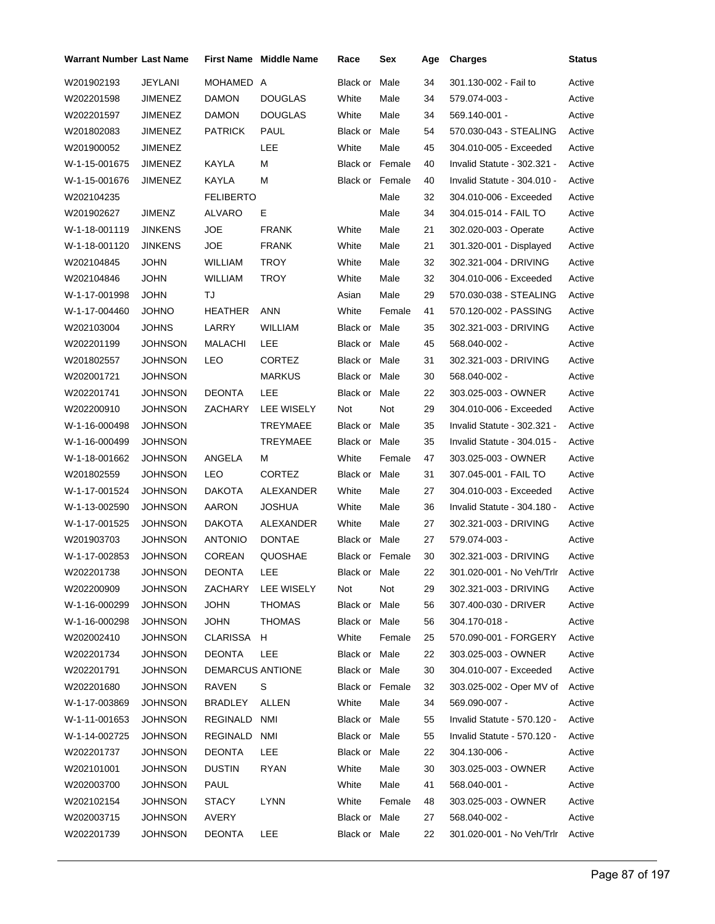| <b>Warrant Number Last Name</b> |                |                  | <b>First Name Middle Name</b> | Race            | Sex    | Age | <b>Charges</b>                   | Status |
|---------------------------------|----------------|------------------|-------------------------------|-----------------|--------|-----|----------------------------------|--------|
| W201902193                      | JEYLANI        | MOHAMED A        |                               | Black or        | Male   | 34  | 301.130-002 - Fail to            | Active |
| W202201598                      | JIMENEZ        | DAMON            | <b>DOUGLAS</b>                | White           | Male   | 34  | 579.074-003 -                    | Active |
| W202201597                      | <b>JIMENEZ</b> | DAMON            | DOUGLAS                       | White           | Male   | 34  | 569.140-001 -                    | Active |
| W201802083                      | JIMENEZ        | <b>PATRICK</b>   | <b>PAUL</b>                   | Black or Male   |        | 54  | 570.030-043 - STEALING           | Active |
| W201900052                      | JIMENEZ        |                  | LEE                           | White           | Male   | 45  | 304.010-005 - Exceeded           | Active |
| W-1-15-001675                   | JIMENEZ        | KAYLA            | М                             | Black or Female |        | 40  | Invalid Statute - 302.321 -      | Active |
| W-1-15-001676                   | JIMENEZ        | KAYLA            | М                             | Black or Female |        | 40  | Invalid Statute - 304.010 -      | Active |
| W202104235                      |                | <b>FELIBERTO</b> |                               |                 | Male   | 32  | 304.010-006 - Exceeded           | Active |
| W201902627                      | JIMENZ         | <b>ALVARO</b>    | E.                            |                 | Male   | 34  | 304.015-014 - FAIL TO            | Active |
| W-1-18-001119                   | <b>JINKENS</b> | <b>JOE</b>       | <b>FRANK</b>                  | White           | Male   | 21  | 302.020-003 - Operate            | Active |
| W-1-18-001120                   | <b>JINKENS</b> | JOE              | <b>FRANK</b>                  | White           | Male   | 21  | 301.320-001 - Displayed          | Active |
| W202104845                      | JOHN           | WILLIAM          | TROY                          | White           | Male   | 32  | 302.321-004 - DRIVING            | Active |
| W202104846                      | <b>JOHN</b>    | <b>WILLIAM</b>   | TROY                          | White           | Male   | 32  | 304.010-006 - Exceeded           | Active |
| W-1-17-001998                   | <b>JOHN</b>    | TJ               |                               | Asian           | Male   | 29  | 570.030-038 - STEALING           | Active |
| W-1-17-004460                   | <b>ONHOL</b>   | HEATHER          | ANN                           | White           | Female | 41  | 570.120-002 - PASSING            | Active |
| W202103004                      | <b>JOHNS</b>   | LARRY            | <b>WILLIAM</b>                | Black or Male   |        | 35  | 302.321-003 - DRIVING            | Active |
| W202201199                      | <b>JOHNSON</b> | MALACHI          | LEE                           | Black or Male   |        | 45  | 568.040-002 -                    | Active |
| W201802557                      | JOHNSON        | LEO              | CORTEZ                        | Black or Male   |        | 31  | 302.321-003 - DRIVING            | Active |
| W202001721                      | <b>JOHNSON</b> |                  | <b>MARKUS</b>                 | Black or Male   |        | 30  | 568.040-002 -                    | Active |
| W202201741                      | <b>JOHNSON</b> | <b>DEONTA</b>    | LEE                           | Black or Male   |        | 22  | 303.025-003 - OWNER              | Active |
| W202200910                      | JOHNSON        | ZACHARY          | LEE WISELY                    | Not             | Not    | 29  | 304.010-006 - Exceeded           | Active |
| W-1-16-000498                   | <b>JOHNSON</b> |                  | <b>TREYMAEE</b>               | Black or Male   |        | 35  | Invalid Statute - 302.321 -      | Active |
| W-1-16-000499                   | <b>JOHNSON</b> |                  | <b>TREYMAEE</b>               | Black or Male   |        | 35  | Invalid Statute - 304.015 -      | Active |
| W-1-18-001662                   | JOHNSON        | ANGELA           | м                             | White           | Female | 47  | 303.025-003 - OWNER              | Active |
| W201802559                      | JOHNSON        | LEO              | <b>CORTEZ</b>                 | Black or Male   |        | 31  | 307.045-001 - FAIL TO            | Active |
| W-1-17-001524                   | <b>JOHNSON</b> | <b>DAKOTA</b>    | ALEXANDER                     | White           | Male   | 27  | 304.010-003 - Exceeded           | Active |
| W-1-13-002590                   | JOHNSON        | <b>AARON</b>     | <b>JOSHUA</b>                 | White           | Male   | 36  | Invalid Statute - 304.180 -      | Active |
| W-1-17-001525                   | <b>JOHNSON</b> | <b>DAKOTA</b>    | ALEXANDER                     | White           | Male   | 27  | 302.321-003 - DRIVING            | Active |
| W201903703                      | <b>JOHNSON</b> | <b>ANTONIO</b>   | <b>DONTAE</b>                 | Black or Male   |        | 27  | 579.074-003 -                    | Active |
| W-1-17-002853                   | <b>JOHNSON</b> | <b>COREAN</b>    | <b>QUOSHAE</b>                | Black or Female |        | 30  | 302.321-003 - DRIVING            | Active |
| W202201738                      | <b>JOHNSON</b> | DEONTA           | LEE                           | Black or Male   |        | 22  | 301.020-001 - No Veh/Trlr Active |        |
| W202200909                      | <b>JOHNSON</b> |                  | ZACHARY LEE WISELY            | Not             | Not    | 29  | 302.321-003 - DRIVING            | Active |
| W-1-16-000299                   | <b>JOHNSON</b> | <b>JOHN</b>      | THOMAS                        | Black or Male   |        | 56  | 307.400-030 - DRIVER             | Active |
| W-1-16-000298                   | <b>JOHNSON</b> | <b>JOHN</b>      | <b>THOMAS</b>                 | Black or Male   |        | 56  | 304.170-018 -                    | Active |
| W202002410                      | JOHNSON        | CLARISSA H       |                               | White           | Female | 25  | 570.090-001 - FORGERY            | Active |
| W202201734                      | JOHNSON        | <b>DEONTA</b>    | LEE                           | Black or Male   |        | 22  | 303.025-003 - OWNER              | Active |
| W202201791                      | <b>JOHNSON</b> | DEMARCUS ANTIONE |                               | Black or Male   |        | 30  | 304.010-007 - Exceeded           | Active |
| W202201680                      | <b>JOHNSON</b> | RAVEN            | S                             | Black or Female |        | 32  | 303.025-002 - Oper MV of Active  |        |
| W-1-17-003869                   | <b>JOHNSON</b> | BRADLEY ALLEN    |                               | White           | Male   | 34  | 569.090-007 -                    | Active |
| W-1-11-001653                   | <b>JOHNSON</b> | REGINALD NMI     |                               | Black or Male   |        | 55  | Invalid Statute - 570.120 -      | Active |
| W-1-14-002725                   | <b>JOHNSON</b> | REGINALD NMI     |                               | Black or Male   |        | 55  | Invalid Statute - 570.120 -      | Active |
| W202201737                      | JOHNSON        | DEONTA           | LEE                           | Black or Male   |        | 22  | 304.130-006 -                    | Active |
| W202101001                      | <b>JOHNSON</b> | <b>DUSTIN</b>    | RYAN                          | White           | Male   | 30  | 303.025-003 - OWNER              | Active |
| W202003700                      | <b>JOHNSON</b> | PAUL             |                               | White           | Male   | 41  | 568.040-001 -                    | Active |
| W202102154                      | <b>JOHNSON</b> | <b>STACY</b>     | LYNN                          | White           | Female | 48  | 303.025-003 - OWNER              | Active |
| W202003715                      | <b>JOHNSON</b> | AVERY            |                               | Black or Male   |        | 27  | 568.040-002 -                    | Active |
| W202201739                      | <b>JOHNSON</b> | DEONTA           | LEE                           | Black or Male   |        | 22  | 301.020-001 - No Veh/Trlr Active |        |
|                                 |                |                  |                               |                 |        |     |                                  |        |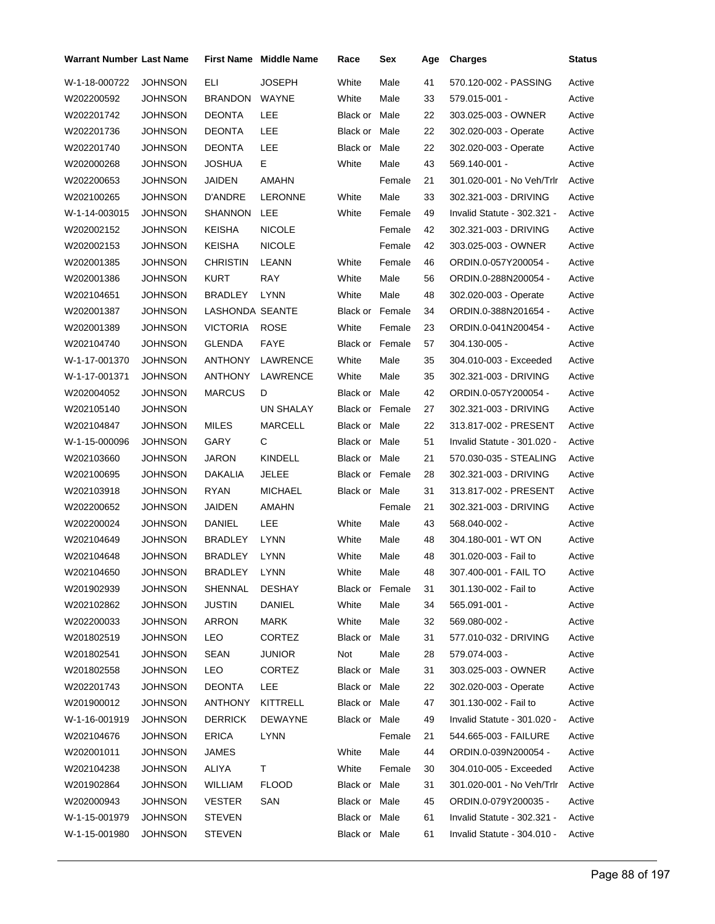| Warrant Number Last Name |                |                 | <b>First Name</b> Middle Name | Race                   | Sex    | Age | <b>Charges</b>              | Status |
|--------------------------|----------------|-----------------|-------------------------------|------------------------|--------|-----|-----------------------------|--------|
| W-1-18-000722            | <b>JOHNSON</b> | ELI             | <b>JOSEPH</b>                 | White                  | Male   | 41  | 570.120-002 - PASSING       | Active |
| W202200592               | JOHNSON        | BRANDON         | WAYNE                         | White                  | Male   | 33  | 579.015-001 -               | Active |
| W202201742               | JOHNSON        | <b>DEONTA</b>   | LEE                           | Black or Male          |        | 22  | 303.025-003 - OWNER         | Active |
| W202201736               | <b>JOHNSON</b> | <b>DEONTA</b>   | LEE                           | Black or Male          |        | 22  | 302.020-003 - Operate       | Active |
| W202201740               | <b>JOHNSON</b> | <b>DEONTA</b>   | LEE                           | Black or Male          |        | 22  | 302.020-003 - Operate       | Active |
| W202000268               | JOHNSON        | JOSHUA          | E.                            | White                  | Male   | 43  | 569.140-001 -               | Active |
| W202200653               | <b>JOHNSON</b> | JAIDEN          | AMAHN                         |                        | Female | 21  | 301.020-001 - No Veh/Trlr   | Active |
| W202100265               | JOHNSON        | D'ANDRE         | <b>LERONNE</b>                | White                  | Male   | 33  | 302.321-003 - DRIVING       | Active |
| W-1-14-003015            | JOHNSON        | SHANNON         | LEE                           | White                  | Female | 49  | Invalid Statute - 302.321 - | Active |
| W202002152               | <b>JOHNSON</b> | <b>KEISHA</b>   | <b>NICOLE</b>                 |                        | Female | 42  | 302.321-003 - DRIVING       | Active |
| W202002153               | <b>JOHNSON</b> | <b>KEISHA</b>   | <b>NICOLE</b>                 |                        | Female | 42  | 303.025-003 - OWNER         | Active |
| W202001385               | JOHNSON        | <b>CHRISTIN</b> | LEANN                         | White                  | Female | 46  | ORDIN.0-057Y200054 -        | Active |
| W202001386               | <b>JOHNSON</b> | KURT            | RAY                           | White                  | Male   | 56  | ORDIN.0-288N200054 -        | Active |
| W202104651               | <b>JOHNSON</b> | <b>BRADLEY</b>  | <b>LYNN</b>                   | White                  | Male   | 48  | 302.020-003 - Operate       | Active |
| W202001387               | JOHNSON        | LASHONDA SEANTE |                               | <b>Black or Female</b> |        | 34  | ORDIN.0-388N201654 -        | Active |
| W202001389               | <b>JOHNSON</b> | <b>VICTORIA</b> | <b>ROSE</b>                   | White                  | Female | 23  | ORDIN.0-041N200454 -        | Active |
| W202104740               | <b>JOHNSON</b> | GLENDA          | FAYE                          | <b>Black or Female</b> |        | 57  | 304.130-005 -               | Active |
| W-1-17-001370            | <b>JOHNSON</b> | ANTHONY         | LAWRENCE                      | White                  | Male   | 35  | 304.010-003 - Exceeded      | Active |
| W-1-17-001371            | <b>JOHNSON</b> | ANTHONY         | LAWRENCE                      | White                  | Male   | 35  | 302.321-003 - DRIVING       | Active |
| W202004052               | JOHNSON        | <b>MARCUS</b>   | D                             | Black or Male          |        | 42  | ORDIN.0-057Y200054 -        | Active |
| W202105140               | JOHNSON        |                 | UN SHALAY                     | <b>Black or Female</b> |        | 27  | 302.321-003 - DRIVING       | Active |
| W202104847               | JOHNSON        | <b>MILES</b>    | MARCELL                       | Black or Male          |        | 22  | 313.817-002 - PRESENT       | Active |
| W-1-15-000096            | <b>JOHNSON</b> | GARY            | С                             | Black or Male          |        | 51  | Invalid Statute - 301.020 - | Active |
| W202103660               | JOHNSON        | JARON           | <b>KINDELL</b>                | Black or Male          |        | 21  | 570.030-035 - STEALING      | Active |
| W202100695               | <b>JOHNSON</b> | DAKALIA         | JELEE                         | Black or Female        |        | 28  | 302.321-003 - DRIVING       | Active |
| W202103918               | JOHNSON        | RYAN            | <b>MICHAEL</b>                | Black or Male          |        | 31  | 313.817-002 - PRESENT       | Active |
| W202200652               | JOHNSON        | <b>JAIDEN</b>   | <b>AMAHN</b>                  |                        | Female | 21  | 302.321-003 - DRIVING       | Active |
| W202200024               | <b>JOHNSON</b> | DANIEL          | LEE                           | White                  | Male   | 43  | 568.040-002 -               | Active |
| W202104649               | <b>JOHNSON</b> | <b>BRADLEY</b>  | LYNN                          | White                  | Male   | 48  | 304.180-001 - WT ON         | Active |
| W202104648               | JOHNSON        | <b>BRADLEY</b>  | <b>LYNN</b>                   | White                  | Male   | 48  | 301.020-003 - Fail to       | Active |
| W202104650               | <b>JOHNSON</b> | BRADLEY LYNN    |                               | White                  | Male   | 48  | 307.400-001 - FAIL TO       | Active |
| W201902939               | <b>JOHNSON</b> | SHENNAL         | DESHAY                        | Black or Female        |        | 31  | 301.130-002 - Fail to       | Active |
| W202102862               | JOHNSON        | JUSTIN          | DANIEL                        | White                  | Male   | 34  | 565.091-001 -               | Active |
| W202200033               | <b>JOHNSON</b> | <b>ARRON</b>    | MARK                          | White                  | Male   | 32  | 569.080-002 -               | Active |
| W201802519               | <b>JOHNSON</b> | LEO             | <b>CORTEZ</b>                 | Black or Male          |        | 31  | 577.010-032 - DRIVING       | Active |
| W201802541               | JOHNSON        | <b>SEAN</b>     | JUNIOR                        | Not                    | Male   | 28  | 579.074-003 -               | Active |
| W201802558               | <b>JOHNSON</b> | LEO             | <b>CORTEZ</b>                 | Black or Male          |        | 31  | 303.025-003 - OWNER         | Active |
| W202201743               | <b>JOHNSON</b> | <b>DEONTA</b>   | LEE                           | Black or Male          |        | 22  | 302.020-003 - Operate       | Active |
| W201900012               | JOHNSON        | <b>ANTHONY</b>  | KITTRELL                      | Black or Male          |        | 47  | 301.130-002 - Fail to       | Active |
| W-1-16-001919            | <b>JOHNSON</b> | <b>DERRICK</b>  | DEWAYNE                       | Black or Male          |        | 49  | Invalid Statute - 301.020 - | Active |
| W202104676               | <b>JOHNSON</b> | <b>ERICA</b>    | LYNN                          |                        | Female | 21  | 544.665-003 - FAILURE       | Active |
| W202001011               | JOHNSON        | JAMES           |                               | White                  | Male   | 44  | ORDIN.0-039N200054 -        | Active |
| W202104238               | <b>JOHNSON</b> | ALIYA           | T.                            | White                  | Female | 30  | 304.010-005 - Exceeded      | Active |
| W201902864               | <b>JOHNSON</b> | WILLIAM         | <b>FLOOD</b>                  | Black or Male          |        | 31  | 301.020-001 - No Veh/Trlr   | Active |
| W202000943               | JOHNSON        | <b>VESTER</b>   | SAN                           | Black or Male          |        | 45  | ORDIN.0-079Y200035 -        | Active |
| W-1-15-001979            | <b>JOHNSON</b> | <b>STEVEN</b>   |                               | Black or Male          |        | 61  | Invalid Statute - 302.321 - | Active |
| W-1-15-001980            | <b>JOHNSON</b> | <b>STEVEN</b>   |                               | Black or Male          |        | 61  | Invalid Statute - 304.010 - | Active |
|                          |                |                 |                               |                        |        |     |                             |        |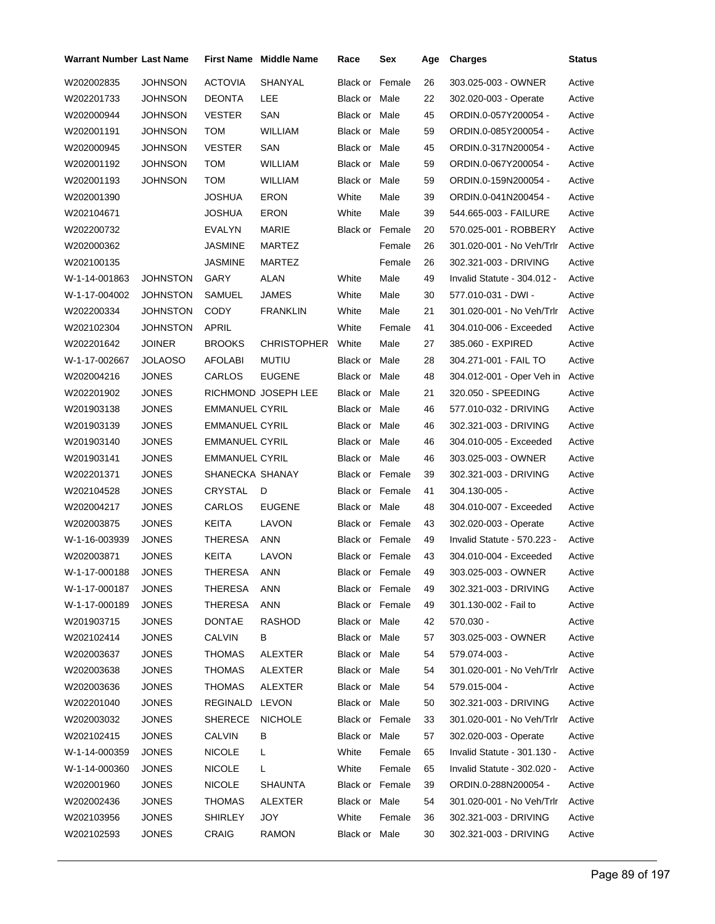| Warrant Number Last Name |                 |                       | <b>First Name Middle Name</b> | Race                   | Sex             | Age | <b>Charges</b>              | <b>Status</b> |
|--------------------------|-----------------|-----------------------|-------------------------------|------------------------|-----------------|-----|-----------------------------|---------------|
| W202002835               | <b>JOHNSON</b>  | <b>ACTOVIA</b>        | SHANYAL                       | <b>Black or Female</b> |                 | 26  | 303.025-003 - OWNER         | Active        |
| W202201733               | JOHNSON         | <b>DEONTA</b>         | <b>LEE</b>                    | Black or Male          |                 | 22  | 302.020-003 - Operate       | Active        |
| W202000944               | JOHNSON         | <b>VESTER</b>         | SAN                           | Black or Male          |                 | 45  | ORDIN.0-057Y200054 -        | Active        |
| W202001191               | <b>JOHNSON</b>  | <b>TOM</b>            | <b>WILLIAM</b>                | Black or Male          |                 | 59  | ORDIN.0-085Y200054 -        | Active        |
| W202000945               | <b>JOHNSON</b>  | <b>VESTER</b>         | SAN                           | Black or Male          |                 | 45  | ORDIN.0-317N200054 -        | Active        |
| W202001192               | JOHNSON         | TOM                   | <b>WILLIAM</b>                | Black or Male          |                 | 59  | ORDIN.0-067Y200054 -        | Active        |
| W202001193               | <b>JOHNSON</b>  | TOM                   | WILLIAM                       | Black or Male          |                 | 59  | ORDIN.0-159N200054 -        | Active        |
| W202001390               |                 | <b>JOSHUA</b>         | <b>ERON</b>                   | White                  | Male            | 39  | ORDIN.0-041N200454 -        | Active        |
| W202104671               |                 | JOSHUA                | ERON                          | White                  | Male            | 39  | 544.665-003 - FAILURE       | Active        |
| W202200732               |                 | EVALYN                | MARIE                         | <b>Black or Female</b> |                 | 20  | 570.025-001 - ROBBERY       | Active        |
| W202000362               |                 | <b>JASMINE</b>        | MARTEZ                        |                        | Female          | 26  | 301.020-001 - No Veh/Trlr   | Active        |
| W202100135               |                 | JASMINE               | MARTEZ                        |                        | Female          | 26  | 302.321-003 - DRIVING       | Active        |
| W-1-14-001863            | <b>JOHNSTON</b> | GARY                  | ALAN                          | White                  | Male            | 49  | Invalid Statute - 304.012 - | Active        |
| W-1-17-004002            | JOHNSTON        | <b>SAMUEL</b>         | <b>JAMES</b>                  | White                  | Male            | 30  | 577.010-031 - DWI -         | Active        |
| W202200334               | JOHNSTON        | <b>CODY</b>           | <b>FRANKLIN</b>               | White                  | Male            | 21  | 301.020-001 - No Veh/Trlr   | Active        |
| W202102304               | JOHNSTON        | APRIL                 |                               | White                  | Female          | 41  | 304.010-006 - Exceeded      | Active        |
| W202201642               | <b>JOINER</b>   | <b>BROOKS</b>         | <b>CHRISTOPHER</b>            | White                  | Male            | 27  | 385.060 - EXPIRED           | Active        |
| W-1-17-002667            | <b>JOLAOSO</b>  | AFOLABI               | MUTIU                         | Black or Male          |                 | 28  | 304.271-001 - FAIL TO       | Active        |
| W202004216               | <b>JONES</b>    | <b>CARLOS</b>         | <b>EUGENE</b>                 | Black or Male          |                 | 48  | 304.012-001 - Oper Veh in   | Active        |
| W202201902               | <b>JONES</b>    |                       | RICHMOND JOSEPH LEE           | Black or Male          |                 | 21  | 320.050 - SPEEDING          | Active        |
| W201903138               | <b>JONES</b>    | EMMANUEL CYRIL        |                               | Black or Male          |                 | 46  | 577.010-032 - DRIVING       | Active        |
| W201903139               | <b>JONES</b>    | <b>EMMANUEL CYRIL</b> |                               | Black or Male          |                 | 46  | 302.321-003 - DRIVING       | Active        |
| W201903140               | <b>JONES</b>    | <b>EMMANUEL CYRIL</b> |                               | Black or Male          |                 | 46  | 304.010-005 - Exceeded      | Active        |
| W201903141               | <b>JONES</b>    | EMMANUEL CYRIL        |                               | Black or Male          |                 | 46  | 303.025-003 - OWNER         | Active        |
| W202201371               | <b>JONES</b>    | SHANECKA SHANAY       |                               | Black or Female        |                 | 39  | 302.321-003 - DRIVING       | Active        |
| W202104528               | <b>JONES</b>    | CRYSTAL               | D                             | Black or Female        |                 | 41  | 304.130-005 -               | Active        |
| W202004217               | <b>JONES</b>    | CARLOS                | <b>EUGENE</b>                 | Black or Male          |                 | 48  | 304.010-007 - Exceeded      | Active        |
| W202003875               | <b>JONES</b>    | KEITA                 | LAVON                         | Black or Female        |                 | 43  | 302.020-003 - Operate       | Active        |
| W-1-16-003939            | <b>JONES</b>    | THERESA               | ANN                           | Black or Female        |                 | 49  | Invalid Statute - 570.223 - | Active        |
| W202003871               | JONES           | <b>KEITA</b>          | LAVON                         | Black or Female        |                 | 43  | 304.010-004 - Exceeded      | Active        |
| W-1-17-000188            | JONES           | THERESA               | ANN                           |                        | Black or Female | 49  | 303.025-003 - OWNER         | Active        |
| W-1-17-000187            | <b>JONES</b>    | <b>THERESA</b>        | <b>ANN</b>                    | Black or Female        |                 | 49  | 302.321-003 - DRIVING       | Active        |
| W-1-17-000189            | <b>JONES</b>    | <b>THERESA</b>        | <b>ANN</b>                    | Black or Female        |                 | 49  | 301.130-002 - Fail to       | Active        |
| W201903715               | <b>JONES</b>    | DONTAE                | RASHOD                        | Black or Male          |                 | 42  | 570.030 -                   | Active        |
| W202102414               | <b>JONES</b>    | <b>CALVIN</b>         | В                             | Black or Male          |                 | 57  | 303.025-003 - OWNER         | Active        |
| W202003637               | JONES           | <b>THOMAS</b>         | ALEXTER                       | Black or Male          |                 | 54  | 579.074-003 -               | Active        |
| W202003638               | <b>JONES</b>    | <b>THOMAS</b>         | ALEXTER                       | Black or Male          |                 | 54  | 301.020-001 - No Veh/Trlr   | Active        |
| W202003636               | <b>JONES</b>    | <b>THOMAS</b>         | ALEXTER                       | Black or Male          |                 | 54  | 579.015-004 -               | Active        |
| W202201040               | <b>JONES</b>    | REGINALD              | LEVON                         | Black or Male          |                 | 50  | 302.321-003 - DRIVING       | Active        |
| W202003032               | <b>JONES</b>    | SHERECE               | <b>NICHOLE</b>                | Black or Female        |                 | 33  | 301.020-001 - No Veh/Trlr   | Active        |
| W202102415               | <b>JONES</b>    | <b>CALVIN</b>         | В                             | Black or Male          |                 | 57  | 302.020-003 - Operate       | Active        |
| W-1-14-000359            | <b>JONES</b>    | <b>NICOLE</b>         | L                             | White                  | Female          | 65  | Invalid Statute - 301.130 - | Active        |
| W-1-14-000360            | <b>JONES</b>    | <b>NICOLE</b>         | L                             | White                  | Female          | 65  | Invalid Statute - 302.020 - | Active        |
| W202001960               | <b>JONES</b>    | <b>NICOLE</b>         | <b>SHAUNTA</b>                | Black or Female        |                 | 39  | ORDIN.0-288N200054 -        | Active        |
| W202002436               | JONES           | <b>THOMAS</b>         | ALEXTER                       | Black or Male          |                 | 54  | 301.020-001 - No Veh/Trlr   | Active        |
| W202103956               | <b>JONES</b>    | SHIRLEY               | JOY                           | White                  | Female          | 36  | 302.321-003 - DRIVING       | Active        |
| W202102593               | <b>JONES</b>    | CRAIG                 | <b>RAMON</b>                  | Black or Male          |                 | 30  | 302.321-003 - DRIVING       | Active        |
|                          |                 |                       |                               |                        |                 |     |                             |               |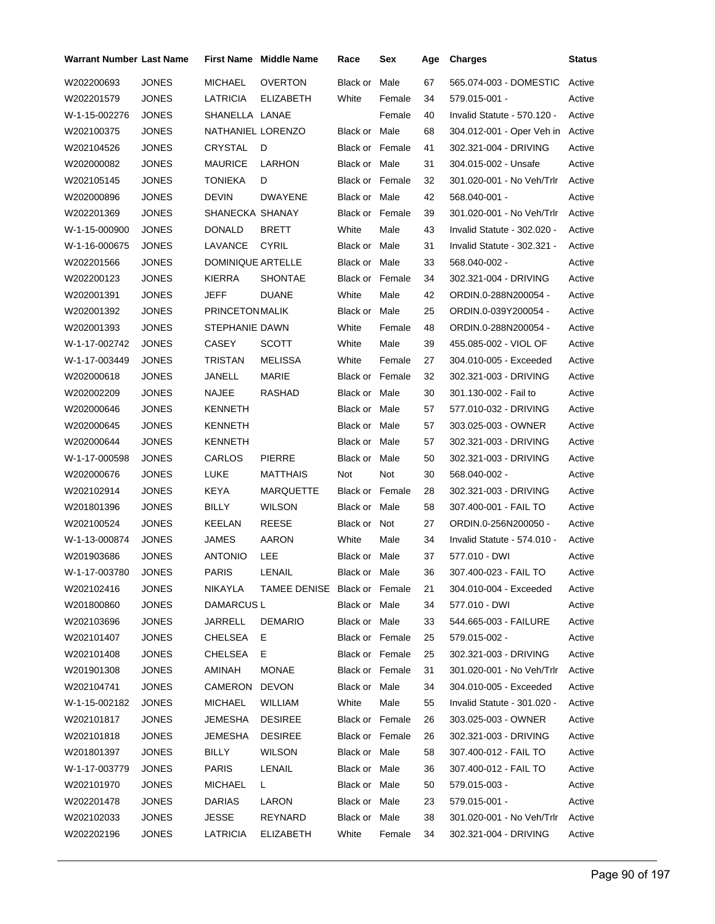| Warrant Number Last Name |              |                        | <b>First Name</b> Middle Name | Race                   | Sex    | Age | <b>Charges</b>                   | <b>Status</b> |
|--------------------------|--------------|------------------------|-------------------------------|------------------------|--------|-----|----------------------------------|---------------|
| W202200693               | <b>JONES</b> | MICHAEL                | <b>OVERTON</b>                | Black or               | Male   | 67  | 565.074-003 - DOMESTIC           | Active        |
| W202201579               | <b>JONES</b> | LATRICIA               | <b>ELIZABETH</b>              | White                  | Female | 34  | 579.015-001 -                    | Active        |
| W-1-15-002276            | <b>JONES</b> | SHANELLA LANAE         |                               |                        | Female | 40  | Invalid Statute - 570.120 -      | Active        |
| W202100375               | <b>JONES</b> | NATHANIEL LORENZO      |                               | Black or Male          |        | 68  | 304.012-001 - Oper Veh in Active |               |
| W202104526               | <b>JONES</b> | CRYSTAL                | D                             | <b>Black or Female</b> |        | 41  | 302.321-004 - DRIVING            | Active        |
| W202000082               | <b>JONES</b> | <b>MAURICE</b>         | LARHON                        | Black or Male          |        | 31  | 304.015-002 - Unsafe             | Active        |
| W202105145               | <b>JONES</b> | TONIEKA                | D                             | <b>Black or Female</b> |        | 32  | 301.020-001 - No Veh/Trlr        | Active        |
| W202000896               | <b>JONES</b> | <b>DEVIN</b>           | <b>DWAYENE</b>                | Black or Male          |        | 42  | 568.040-001 -                    | Active        |
| W202201369               | <b>JONES</b> | SHANECKA SHANAY        |                               | Black or Female        |        | 39  | 301.020-001 - No Veh/Trlr        | Active        |
| W-1-15-000900            | <b>JONES</b> | <b>DONALD</b>          | <b>BRETT</b>                  | White                  | Male   | 43  | Invalid Statute - 302.020 -      | Active        |
| W-1-16-000675            | <b>JONES</b> | LAVANCE                | <b>CYRIL</b>                  | Black or Male          |        | 31  | Invalid Statute - 302.321 -      | Active        |
| W202201566               | JONES        | DOMINIQUE ARTELLE      |                               | Black or Male          |        | 33  | 568.040-002 -                    | Active        |
| W202200123               | <b>JONES</b> | <b>KIERRA</b>          | <b>SHONTAE</b>                | <b>Black or Female</b> |        | 34  | 302.321-004 - DRIVING            | Active        |
| W202001391               | <b>JONES</b> | JEFF                   | <b>DUANE</b>                  | White                  | Male   | 42  | ORDIN.0-288N200054 -             | Active        |
| W202001392               | <b>JONES</b> | <b>PRINCETON MALIK</b> |                               | Black or Male          |        | 25  | ORDIN.0-039Y200054 -             | Active        |
| W202001393               | <b>JONES</b> | STEPHANIE DAWN         |                               | White                  | Female | 48  | ORDIN.0-288N200054 -             | Active        |
| W-1-17-002742            | <b>JONES</b> | CASEY                  | <b>SCOTT</b>                  | White                  | Male   | 39  | 455.085-002 - VIOL OF            | Active        |
| W-1-17-003449            | <b>JONES</b> | TRISTAN                | <b>MELISSA</b>                | White                  | Female | 27  | 304.010-005 - Exceeded           | Active        |
| W202000618               | <b>JONES</b> | JANELL                 | MARIE                         | <b>Black or Female</b> |        | 32  | 302.321-003 - DRIVING            | Active        |
| W202002209               | <b>JONES</b> | NAJEE                  | RASHAD                        | Black or Male          |        | 30  | 301.130-002 - Fail to            | Active        |
| W202000646               | <b>JONES</b> | KENNETH                |                               | Black or Male          |        | 57  | 577.010-032 - DRIVING            | Active        |
| W202000645               | <b>JONES</b> | <b>KENNETH</b>         |                               | Black or Male          |        | 57  | 303.025-003 - OWNER              | Active        |
| W202000644               | <b>JONES</b> | <b>KENNETH</b>         |                               | Black or Male          |        | 57  | 302.321-003 - DRIVING            | Active        |
| W-1-17-000598            | <b>JONES</b> | CARLOS                 | <b>PIERRE</b>                 | Black or Male          |        | 50  | 302.321-003 - DRIVING            | Active        |
| W202000676               | <b>JONES</b> | LUKE                   | MATTHAIS                      | Not                    | Not    | 30  | 568.040-002 -                    | Active        |
| W202102914               | <b>JONES</b> | KEYA                   | <b>MARQUETTE</b>              | <b>Black or Female</b> |        | 28  | 302.321-003 - DRIVING            | Active        |
| W201801396               | <b>JONES</b> | BILLY                  | <b>WILSON</b>                 | Black or Male          |        | 58  | 307.400-001 - FAIL TO            | Active        |
| W202100524               | <b>JONES</b> | KEELAN                 | <b>REESE</b>                  | Black or Not           |        | 27  | ORDIN.0-256N200050 -             | Active        |
| W-1-13-000874            | <b>JONES</b> | <b>JAMES</b>           | AARON                         | White                  | Male   | 34  | Invalid Statute - 574.010 -      | Active        |
| W201903686               | <b>JONES</b> | <b>ANTONIO</b>         | LEE                           | Black or Male          |        | 37  | 577.010 - DWI                    | Active        |
| W-1-17-003780            | <b>JONES</b> | PARIS                  | LENAIL                        | Black or Male          |        | 36  | 307.400-023 - FAIL TO            | Active        |
| W202102416               | <b>JONES</b> | NIKAYLA                | TAMEE DENISE Black or Female  |                        |        | 21  | 304.010-004 - Exceeded           | Active        |
| W201800860               | <b>JONES</b> | DAMARCUS L             |                               | Black or Male          |        | 34  | 577.010 - DWI                    | Active        |
| W202103696               | <b>JONES</b> | JARRELL                | <b>DEMARIO</b>                | Black or Male          |        | 33  | 544.665-003 - FAILURE            | Active        |
| W202101407               | <b>JONES</b> | CHELSEA                | Е.                            | Black or Female        |        | 25  | 579.015-002 -                    | Active        |
| W202101408               | <b>JONES</b> | CHELSEA                | E.                            | Black or Female        |        | 25  | 302.321-003 - DRIVING            | Active        |
| W201901308               | <b>JONES</b> | AMINAH                 | <b>MONAE</b>                  | Black or Female        |        | 31  | 301.020-001 - No Veh/Trlr        | Active        |
| W202104741               | <b>JONES</b> | CAMERON                | DEVON                         | Black or Male          |        | 34  | 304.010-005 - Exceeded           | Active        |
| W-1-15-002182            | <b>JONES</b> | MICHAEL                | WILLIAM                       | White                  | Male   | 55  | Invalid Statute - 301.020 -      | Active        |
| W202101817               | <b>JONES</b> | JEMESHA                | <b>DESIREE</b>                | Black or Female        |        | 26  | 303.025-003 - OWNER              | Active        |
| W202101818               | <b>JONES</b> | JEMESHA                | <b>DESIREE</b>                | Black or Female        |        | 26  | 302.321-003 - DRIVING            | Active        |
| W201801397               | <b>JONES</b> | BILLY                  | <b>WILSON</b>                 | Black or Male          |        | 58  | 307.400-012 - FAIL TO            | Active        |
| W-1-17-003779            | <b>JONES</b> | PARIS                  | LENAIL                        | Black or Male          |        | 36  | 307.400-012 - FAIL TO            | Active        |
| W202101970               | <b>JONES</b> | <b>MICHAEL</b>         | L.                            | Black or Male          |        | 50  | 579.015-003 -                    | Active        |
| W202201478               | <b>JONES</b> | DARIAS                 | LARON                         | Black or Male          |        | 23  | 579.015-001 -                    | Active        |
| W202102033               | <b>JONES</b> | JESSE                  | REYNARD                       | Black or Male          |        | 38  | 301.020-001 - No Veh/Trlr        | Active        |
| W202202196               | <b>JONES</b> | LATRICIA               | <b>ELIZABETH</b>              | White                  | Female | 34  | 302.321-004 - DRIVING            | Active        |
|                          |              |                        |                               |                        |        |     |                                  |               |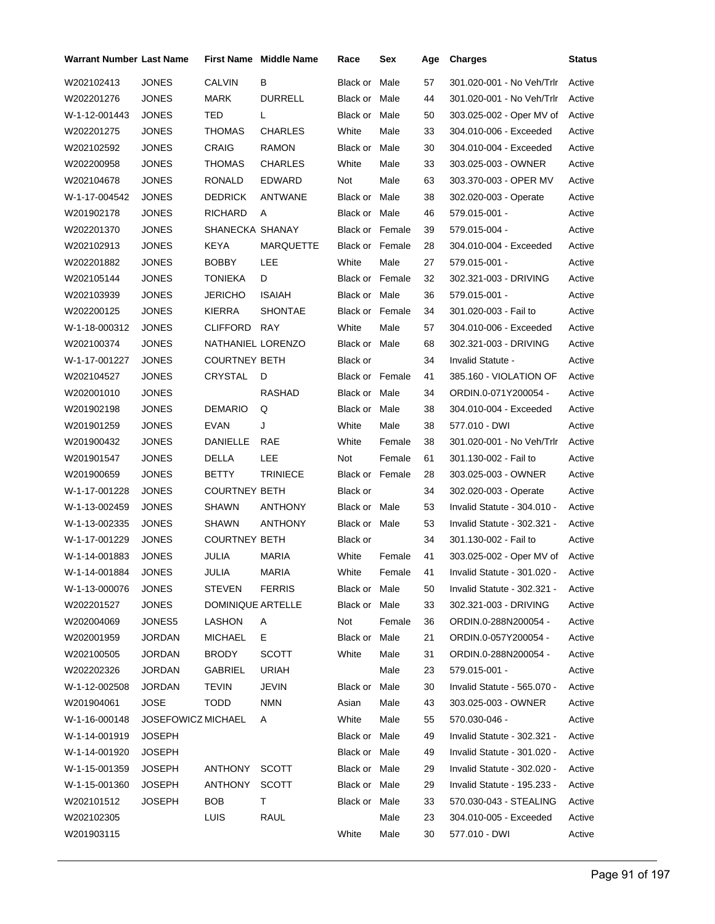| <b>Warrant Number Last Name</b> |                    |                      | <b>First Name</b> Middle Name | Race                   | Sex       | Age | <b>Charges</b>                     | <b>Status</b> |
|---------------------------------|--------------------|----------------------|-------------------------------|------------------------|-----------|-----|------------------------------------|---------------|
| W202102413                      | <b>JONES</b>       | <b>CALVIN</b>        | B                             | Black or               | Male      | 57  | 301.020-001 - No Veh/Trlr          | Active        |
| W202201276                      | <b>JONES</b>       | MARK                 | <b>DURRELL</b>                | Black or Male          |           | 44  | 301.020-001 - No Veh/Trlr          | Active        |
| W-1-12-001443                   | <b>JONES</b>       | TED                  | L                             | Black or Male          |           | 50  | 303.025-002 - Oper MV of           | Active        |
| W202201275                      | <b>JONES</b>       | THOMAS               | <b>CHARLES</b>                | White                  | Male      | 33  | 304.010-006 - Exceeded             | Active        |
| W202102592                      | <b>JONES</b>       | <b>CRAIG</b>         | RAMON                         | Black or Male          |           | 30  | 304.010-004 - Exceeded             | Active        |
| W202200958                      | <b>JONES</b>       | THOMAS               | <b>CHARLES</b>                | White                  | Male      | 33  | 303.025-003 - OWNER                | Active        |
| W202104678                      | <b>JONES</b>       | RONALD               | <b>EDWARD</b>                 | Not                    | Male      | 63  | 303.370-003 - OPER MV              | Active        |
| W-1-17-004542                   | <b>JONES</b>       | <b>DEDRICK</b>       | ANTWANE                       | Black or Male          |           | 38  | 302.020-003 - Operate              | Active        |
| W201902178                      | JONES              | <b>RICHARD</b>       | A                             | Black or Male          |           | 46  | 579.015-001 -                      | Active        |
| W202201370                      | <b>JONES</b>       | SHANECKA SHANAY      |                               | Black or Female        |           | 39  | 579.015-004 -                      | Active        |
| W202102913                      | <b>JONES</b>       | KEYA                 | MARQUETTE                     | <b>Black or Female</b> |           | 28  | 304.010-004 - Exceeded             | Active        |
| W202201882                      | <b>JONES</b>       | <b>BOBBY</b>         | LEE                           | White                  | Male      | 27  | 579.015-001 -                      | Active        |
| W202105144                      | <b>JONES</b>       | TONIEKA              | D                             | <b>Black or Female</b> |           | 32  | 302.321-003 - DRIVING              | Active        |
| W202103939                      | <b>JONES</b>       | <b>JERICHO</b>       | <b>ISAIAH</b>                 | Black or Male          |           | 36  | 579.015-001 -                      | Active        |
| W202200125                      | <b>JONES</b>       | <b>KIERRA</b>        | <b>SHONTAE</b>                | <b>Black or Female</b> |           | 34  | 301.020-003 - Fail to              | Active        |
| W-1-18-000312                   | <b>JONES</b>       | CLIFFORD             | <b>RAY</b>                    | White                  | Male      | 57  | 304.010-006 - Exceeded             | Active        |
| W202100374                      | <b>JONES</b>       | NATHANIEL LORENZO    |                               | Black or Male          |           | 68  | 302.321-003 - DRIVING              | Active        |
| W-1-17-001227                   | <b>JONES</b>       | <b>COURTNEY BETH</b> |                               | Black or               |           | 34  | Invalid Statute -                  | Active        |
| W202104527                      | <b>JONES</b>       | CRYSTAL              | D                             | <b>Black or Female</b> |           | 41  | 385.160 - VIOLATION OF             | Active        |
| W202001010                      | <b>JONES</b>       |                      | RASHAD                        | Black or Male          |           | 34  | ORDIN.0-071Y200054 -               | Active        |
| W201902198                      | <b>JONES</b>       | <b>DEMARIO</b>       | Q                             | Black or Male          |           | 38  | 304.010-004 - Exceeded             | Active        |
| W201901259                      | <b>JONES</b>       | <b>EVAN</b>          | J                             | White                  | Male      | 38  | 577.010 - DWI                      | Active        |
| W201900432                      | <b>JONES</b>       | DANIELLE             | RAE                           | White                  | Female    | 38  | 301.020-001 - No Veh/Trlr          | Active        |
| W201901547                      | <b>JONES</b>       | DELLA                | <b>LEE</b>                    | Not                    | Female    | 61  | 301.130-002 - Fail to              | Active        |
| W201900659                      | <b>JONES</b>       | BETTY                | <b>TRINIECE</b>               | <b>Black or Female</b> |           | 28  | 303.025-003 - OWNER                | Active        |
| W-1-17-001228                   | <b>JONES</b>       | <b>COURTNEY BETH</b> |                               | Black or               |           | 34  | 302.020-003 - Operate              | Active        |
| W-1-13-002459                   | <b>JONES</b>       | SHAWN                | <b>ANTHONY</b>                | Black or Male          |           | 53  | Invalid Statute - 304.010 -        | Active        |
| W-1-13-002335                   | <b>JONES</b>       | SHAWN                | <b>ANTHONY</b>                | Black or Male          |           | 53  | Invalid Statute - 302.321 -        | Active        |
| W-1-17-001229                   | <b>JONES</b>       | <b>COURTNEY BETH</b> |                               | Black or               |           | 34  | 301.130-002 - Fail to              | Active        |
| W-1-14-001883                   | <b>JONES</b>       | JULIA                | <b>MARIA</b>                  | White                  | Female    | 41  | 303.025-002 - Oper MV of           | Active        |
| W-1-14-001884                   | JONES              | JULIA                | MARIA                         | White                  | Female 41 |     | Invalid Statute - 301.020 - Active |               |
| W-1-13-000076                   | <b>JONES</b>       | <b>STEVEN</b>        | <b>FERRIS</b>                 | Black or Male          |           | 50  | Invalid Statute - 302.321 -        | Active        |
| W202201527                      | <b>JONES</b>       | DOMINIQUE ARTELLE    |                               | Black or Male          |           | 33  | 302.321-003 - DRIVING              | Active        |
| W202004069                      | JONES5             | <b>LASHON</b>        | A                             | Not                    | Female    | 36  | ORDIN.0-288N200054 -               | Active        |
| W202001959                      | JORDAN             | <b>MICHAEL</b>       | E.                            | Black or Male          |           | 21  | ORDIN.0-057Y200054 -               | Active        |
| W202100505                      | JORDAN             | <b>BRODY</b>         | <b>SCOTT</b>                  | White                  | Male      | 31  | ORDIN.0-288N200054 -               | Active        |
| W202202326                      | <b>JORDAN</b>      | GABRIEL              | URIAH                         |                        | Male      | 23  | 579.015-001 -                      | Active        |
| W-1-12-002508                   | JORDAN             | <b>TEVIN</b>         | JEVIN                         | Black or Male          |           | 30  | Invalid Statute - 565.070 -        | Active        |
| W201904061                      | <b>JOSE</b>        | <b>TODD</b>          | <b>NMN</b>                    | Asian                  | Male      | 43  | 303.025-003 - OWNER                | Active        |
| W-1-16-000148                   | JOSEFOWICZ MICHAEL |                      | A                             | White                  | Male      | 55  | 570.030-046 -                      | Active        |
| W-1-14-001919                   | JOSEPH             |                      |                               | Black or Male          |           | 49  | Invalid Statute - 302.321 -        | Active        |
| W-1-14-001920                   | JOSEPH             |                      |                               | Black or Male          |           | 49  | Invalid Statute - 301.020 -        | Active        |
| W-1-15-001359                   | <b>JOSEPH</b>      | ANTHONY              | <b>SCOTT</b>                  | Black or Male          |           | 29  | Invalid Statute - 302.020 -        | Active        |
| W-1-15-001360                   | <b>JOSEPH</b>      | ANTHONY              | <b>SCOTT</b>                  | Black or Male          |           | 29  | Invalid Statute - 195.233 -        | Active        |
| W202101512                      | JOSEPH             | <b>BOB</b>           | T.                            | Black or Male          |           | 33  | 570.030-043 - STEALING             | Active        |
| W202102305                      |                    | LUIS                 | <b>RAUL</b>                   |                        | Male      | 23  | 304.010-005 - Exceeded             | Active        |
| W201903115                      |                    |                      |                               | White                  | Male      | 30  | 577.010 - DWI                      | Active        |
|                                 |                    |                      |                               |                        |           |     |                                    |               |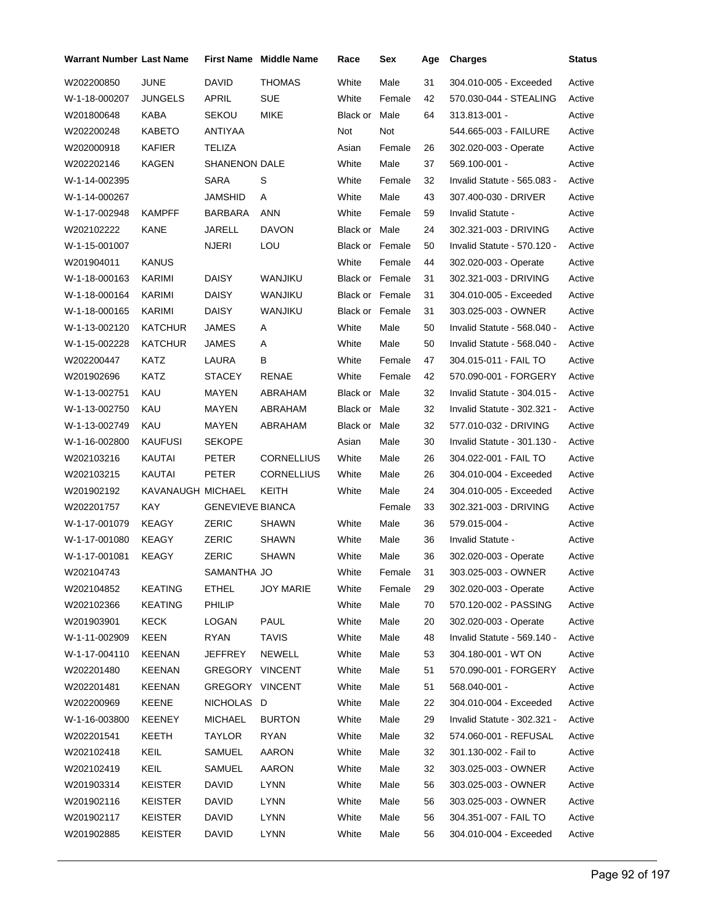| <b>Warrant Number Last Name</b> |                   |                         | <b>First Name Middle Name</b> | Race                   | Sex    | Age | <b>Charges</b>              | <b>Status</b> |
|---------------------------------|-------------------|-------------------------|-------------------------------|------------------------|--------|-----|-----------------------------|---------------|
| W202200850                      | <b>JUNE</b>       | DAVID                   | <b>THOMAS</b>                 | White                  | Male   | 31  | 304.010-005 - Exceeded      | Active        |
| W-1-18-000207                   | <b>JUNGELS</b>    | APRIL                   | <b>SUE</b>                    | White                  | Female | 42  | 570.030-044 - STEALING      | Active        |
| W201800648                      | KABA              | <b>SEKOU</b>            | <b>MIKE</b>                   | <b>Black or Male</b>   |        | 64  | 313.813-001 -               | Active        |
| W202200248                      | <b>KABETO</b>     | ANTIYAA                 |                               | Not                    | Not    |     | 544.665-003 - FAILURE       | Active        |
| W202000918                      | <b>KAFIER</b>     | <b>TELIZA</b>           |                               | Asian                  | Female | 26  | 302.020-003 - Operate       | Active        |
| W202202146                      | KAGEN             | <b>SHANENON DALE</b>    |                               | White                  | Male   | 37  | 569.100-001 -               | Active        |
| W-1-14-002395                   |                   | <b>SARA</b>             | S                             | White                  | Female | 32  | Invalid Statute - 565.083 - | Active        |
| W-1-14-000267                   |                   | <b>JAMSHID</b>          | Α                             | White                  | Male   | 43  | 307.400-030 - DRIVER        | Active        |
| W-1-17-002948                   | <b>KAMPFF</b>     | BARBARA                 | <b>ANN</b>                    | White                  | Female | 59  | Invalid Statute -           | Active        |
| W202102222                      | KANE              | JARELL                  | <b>DAVON</b>                  | Black or Male          |        | 24  | 302.321-003 - DRIVING       | Active        |
| W-1-15-001007                   |                   | <b>NJERI</b>            | LOU                           | <b>Black or Female</b> |        | 50  | Invalid Statute - 570.120 - | Active        |
| W201904011                      | <b>KANUS</b>      |                         |                               | White                  | Female | 44  | 302.020-003 - Operate       | Active        |
| W-1-18-000163                   | KARIMI            | <b>DAISY</b>            | WANJIKU                       | <b>Black or Female</b> |        | 31  | 302.321-003 - DRIVING       | Active        |
| W-1-18-000164                   | KARIMI            | DAISY                   | WANJIKU                       | Black or Female        |        | 31  | 304.010-005 - Exceeded      | Active        |
| W-1-18-000165                   | KARIMI            | <b>DAISY</b>            | WANJIKU                       | <b>Black or Female</b> |        | 31  | 303.025-003 - OWNER         | Active        |
| W-1-13-002120                   | <b>KATCHUR</b>    | JAMES                   | A                             | White                  | Male   | 50  | Invalid Statute - 568.040 - | Active        |
| W-1-15-002228                   | <b>KATCHUR</b>    | JAMES                   | Α                             | White                  | Male   | 50  | Invalid Statute - 568.040 - | Active        |
| W202200447                      | KATZ              | LAURA                   | В                             | White                  | Female | 47  | 304.015-011 - FAIL TO       | Active        |
| W201902696                      | KATZ              | <b>STACEY</b>           | RENAE                         | White                  | Female | 42  | 570.090-001 - FORGERY       | Active        |
| W-1-13-002751                   | KAU               | MAYEN                   | ABRAHAM                       | Black or Male          |        | 32  | Invalid Statute - 304.015 - | Active        |
| W-1-13-002750                   | KAU               | MAYEN                   | ABRAHAM                       | Black or Male          |        | 32  | Invalid Statute - 302.321 - | Active        |
| W-1-13-002749                   | KAU               | MAYEN                   | ABRAHAM                       | Black or Male          |        | 32  | 577.010-032 - DRIVING       | Active        |
| W-1-16-002800                   | <b>KAUFUSI</b>    | <b>SEKOPE</b>           |                               | Asian                  | Male   | 30  | Invalid Statute - 301.130 - | Active        |
| W202103216                      | KAUTAI            | <b>PETER</b>            | <b>CORNELLIUS</b>             | White                  | Male   | 26  | 304.022-001 - FAIL TO       | Active        |
| W202103215                      | KAUTAI            | <b>PETER</b>            | <b>CORNELLIUS</b>             | White                  | Male   | 26  | 304.010-004 - Exceeded      | Active        |
| W201902192                      | KAVANAUGH MICHAEL |                         | KEITH                         | White                  | Male   | 24  | 304.010-005 - Exceeded      | Active        |
| W202201757                      | KAY               | <b>GENEVIEVE BIANCA</b> |                               |                        | Female | 33  | 302.321-003 - DRIVING       | Active        |
| W-1-17-001079                   | <b>KEAGY</b>      | ZERIC                   | <b>SHAWN</b>                  | White                  | Male   | 36  | 579.015-004 -               | Active        |
| W-1-17-001080                   | <b>KEAGY</b>      | <b>ZERIC</b>            | <b>SHAWN</b>                  | White                  | Male   | 36  | Invalid Statute -           | Active        |
| W-1-17-001081                   | <b>KEAGY</b>      | ZERIC                   | <b>SHAWN</b>                  | White                  | Male   | 36  | 302.020-003 - Operate       | Active        |
| W202104743                      |                   | SAMANTHA JO             |                               | White                  | Female | 31  | 303.025-003 - OWNER         | Active        |
| W202104852                      | <b>KEATING</b>    | <b>ETHEL</b>            | <b>JOY MARIE</b>              | White                  | Female | 29  | 302.020-003 - Operate       | Active        |
| W202102366                      | <b>KEATING</b>    | PHILIP                  |                               | White                  | Male   | 70  | 570.120-002 - PASSING       | Active        |
| W201903901                      | <b>KECK</b>       | LOGAN                   | PAUL                          | White                  | Male   | 20  | 302.020-003 - Operate       | Active        |
| W-1-11-002909                   | <b>KEEN</b>       | <b>RYAN</b>             | <b>TAVIS</b>                  | White                  | Male   | 48  | Invalid Statute - 569.140 - | Active        |
| W-1-17-004110                   | <b>KEENAN</b>     | <b>JEFFREY</b>          | NEWELL                        | White                  | Male   | 53  | 304.180-001 - WT ON         | Active        |
| W202201480                      | <b>KEENAN</b>     | GREGORY VINCENT         |                               | White                  | Male   | 51  | 570.090-001 - FORGERY       | Active        |
| W202201481                      | <b>KEENAN</b>     | GREGORY VINCENT         |                               | White                  | Male   | 51  | 568.040-001 -               | Active        |
| W202200969                      | KEENE             | NICHOLAS D              |                               | White                  | Male   | 22  | 304.010-004 - Exceeded      | Active        |
| W-1-16-003800                   | KEENEY            | <b>MICHAEL</b>          | <b>BURTON</b>                 | White                  | Male   | 29  | Invalid Statute - 302.321 - | Active        |
| W202201541                      | KEETH             | <b>TAYLOR</b>           | <b>RYAN</b>                   | White                  | Male   | 32  | 574.060-001 - REFUSAL       | Active        |
| W202102418                      | KEIL              | SAMUEL                  | AARON                         | White                  | Male   | 32  | 301.130-002 - Fail to       | Active        |
| W202102419                      | KEIL              | SAMUEL                  | AARON                         | White                  | Male   | 32  | 303.025-003 - OWNER         | Active        |
| W201903314                      | <b>KEISTER</b>    | <b>DAVID</b>            | <b>LYNN</b>                   | White                  | Male   | 56  | 303.025-003 - OWNER         | Active        |
| W201902116                      | <b>KEISTER</b>    | <b>DAVID</b>            | <b>LYNN</b>                   | White                  | Male   | 56  | 303.025-003 - OWNER         | Active        |
| W201902117                      | <b>KEISTER</b>    | DAVID                   | <b>LYNN</b>                   | White                  | Male   | 56  | 304.351-007 - FAIL TO       | Active        |
| W201902885                      | <b>KEISTER</b>    | <b>DAVID</b>            | <b>LYNN</b>                   | White                  | Male   | 56  | 304.010-004 - Exceeded      | Active        |
|                                 |                   |                         |                               |                        |        |     |                             |               |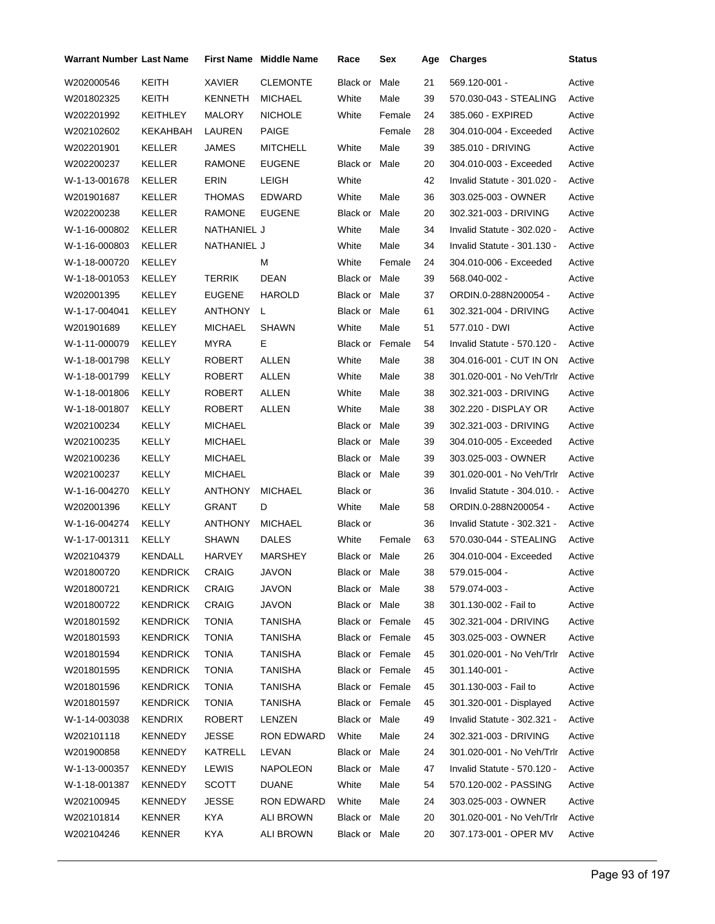| <b>Warrant Number Last Name</b> |                 |                | <b>First Name</b> Middle Name | Race                   | Sex    | Age | <b>Charges</b>               | <b>Status</b> |
|---------------------------------|-----------------|----------------|-------------------------------|------------------------|--------|-----|------------------------------|---------------|
| W202000546                      | KEITH           | XAVIER         | <b>CLEMONTE</b>               | Black or               | Male   | 21  | 569.120-001 -                | Active        |
| W201802325                      | <b>KEITH</b>    | KENNETH        | <b>MICHAEL</b>                | White                  | Male   | 39  | 570.030-043 - STEALING       | Active        |
| W202201992                      | KEITHLEY        | MALORY         | <b>NICHOLE</b>                | White                  | Female | 24  | 385.060 - EXPIRED            | Active        |
| W202102602                      | KEKAHBAH        | LAUREN         | PAIGE                         |                        | Female | 28  | 304.010-004 - Exceeded       | Active        |
| W202201901                      | KELLER          | JAMES          | <b>MITCHELL</b>               | White                  | Male   | 39  | 385.010 - DRIVING            | Active        |
| W202200237                      | KELLER          | RAMONE         | <b>EUGENE</b>                 | Black or Male          |        | 20  | 304.010-003 - Exceeded       | Active        |
| W-1-13-001678                   | KELLER          | ERIN           | LEIGH                         | White                  |        | 42  | Invalid Statute - 301.020 -  | Active        |
| W201901687                      | KELLER          | <b>THOMAS</b>  | EDWARD                        | White                  | Male   | 36  | 303.025-003 - OWNER          | Active        |
| W202200238                      | KELLER          | RAMONE         | <b>EUGENE</b>                 | Black or Male          |        | 20  | 302.321-003 - DRIVING        | Active        |
| W-1-16-000802                   | KELLER          | NATHANIEL J    |                               | White                  | Male   | 34  | Invalid Statute - 302.020 -  | Active        |
| W-1-16-000803                   | KELLER          | NATHANIEL J    |                               | White                  | Male   | 34  | Invalid Statute - 301.130 -  | Active        |
| W-1-18-000720                   | KELLEY          |                | м                             | White                  | Female | 24  | 304.010-006 - Exceeded       | Active        |
| W-1-18-001053                   | KELLEY          | TERRIK         | <b>DEAN</b>                   | Black or Male          |        | 39  | 568.040-002 -                | Active        |
| W202001395                      | KELLEY          | <b>EUGENE</b>  | <b>HAROLD</b>                 | Black or Male          |        | 37  | ORDIN.0-288N200054 -         | Active        |
| W-1-17-004041                   | KELLEY          | ANTHONY        | L                             | Black or Male          |        | 61  | 302.321-004 - DRIVING        | Active        |
| W201901689                      | KELLEY          | MICHAEL        | <b>SHAWN</b>                  | White                  | Male   | 51  | 577.010 - DWI                | Active        |
| W-1-11-000079                   | KELLEY          | <b>MYRA</b>    | Е                             | <b>Black or Female</b> |        | 54  | Invalid Statute - 570.120 -  | Active        |
| W-1-18-001798                   | KELLY           | ROBERT         | ALLEN                         | White                  | Male   | 38  | 304.016-001 - CUT IN ON      | Active        |
| W-1-18-001799                   | <b>KELLY</b>    | ROBERT         | ALLEN                         | White                  | Male   | 38  | 301.020-001 - No Veh/Trlr    | Active        |
| W-1-18-001806                   | KELLY           | ROBERT         | ALLEN                         | White                  | Male   | 38  | 302.321-003 - DRIVING        | Active        |
| W-1-18-001807                   | KELLY           | ROBERT         | ALLEN                         | White                  | Male   | 38  | 302.220 - DISPLAY OR         | Active        |
| W202100234                      | KELLY           | MICHAEL        |                               | Black or Male          |        | 39  | 302.321-003 - DRIVING        | Active        |
| W202100235                      | KELLY           | MICHAEL        |                               | Black or Male          |        | 39  | 304.010-005 - Exceeded       | Active        |
| W202100236                      | KELLY           | MICHAEL        |                               | Black or Male          |        | 39  | 303.025-003 - OWNER          | Active        |
| W202100237                      | <b>KELLY</b>    | <b>MICHAEL</b> |                               | Black or Male          |        | 39  | 301.020-001 - No Veh/Trlr    | Active        |
| W-1-16-004270                   | KELLY           | ANTHONY        | MICHAEL                       | Black or               |        | 36  | Invalid Statute - 304.010. - | Active        |
| W202001396                      | KELLY           | GRANT          | D                             | White                  | Male   | 58  | ORDIN.0-288N200054 -         | Active        |
| W-1-16-004274                   | KELLY           | ANTHONY        | <b>MICHAEL</b>                | Black or               |        | 36  | Invalid Statute - 302.321 -  | Active        |
| W-1-17-001311                   | KELLY           | SHAWN          | <b>DALES</b>                  | White                  | Female | 63  | 570.030-044 - STEALING       | Active        |
| W202104379                      | KENDALL         | HARVEY         | MARSHEY                       | Black or Male          |        | 26  | 304.010-004 - Exceeded       | Active        |
| W201800720                      | <b>KENDRICK</b> | CRAIG          | JAVON                         | Black or Male          |        | 38  | 579.015-004 -                | Active        |
| W201800721                      | <b>KENDRICK</b> | CRAIG          | JAVON                         | Black or Male          |        | 38  | 579.074-003 -                | Active        |
| W201800722                      | <b>KENDRICK</b> | <b>CRAIG</b>   | JAVON                         | Black or Male          |        | 38  | 301.130-002 - Fail to        | Active        |
| W201801592                      | <b>KENDRICK</b> | TONIA          | TANISHA                       | Black or Female        |        | 45  | 302.321-004 - DRIVING        | Active        |
| W201801593                      | KENDRICK        | <b>TONIA</b>   | <b>TANISHA</b>                | Black or Female        |        | 45  | 303.025-003 - OWNER          | Active        |
| W201801594                      | KENDRICK        | <b>TONIA</b>   | TANISHA                       | Black or Female        |        | 45  | 301.020-001 - No Veh/Trlr    | Active        |
| W201801595                      | <b>KENDRICK</b> | <b>TONIA</b>   | <b>TANISHA</b>                | Black or Female        |        | 45  | 301.140-001 -                | Active        |
| W201801596                      | <b>KENDRICK</b> | <b>TONIA</b>   | TANISHA                       | Black or Female        |        | 45  | 301.130-003 - Fail to        | Active        |
| W201801597                      | <b>KENDRICK</b> | <b>TONIA</b>   | <b>TANISHA</b>                | <b>Black or Female</b> |        | 45  | 301.320-001 - Displayed      | Active        |
| W-1-14-003038                   | KENDRIX         | ROBERT         | LENZEN                        | Black or Male          |        | 49  | Invalid Statute - 302.321 -  | Active        |
| W202101118                      | KENNEDY         | <b>JESSE</b>   | RON EDWARD                    | White                  | Male   | 24  | 302.321-003 - DRIVING        | Active        |
| W201900858                      | KENNEDY         | KATRELL        | LEVAN                         | Black or Male          |        | 24  | 301.020-001 - No Veh/Trlr    | Active        |
| W-1-13-000357                   | <b>KENNEDY</b>  | LEWIS          | <b>NAPOLEON</b>               | Black or Male          |        | 47  | Invalid Statute - 570.120 -  | Active        |
| W-1-18-001387                   | KENNEDY         | <b>SCOTT</b>   | <b>DUANE</b>                  | White                  | Male   | 54  | 570.120-002 - PASSING        | Active        |
| W202100945                      | KENNEDY         | JESSE          | RON EDWARD                    | White                  | Male   | 24  | 303.025-003 - OWNER          | Active        |
| W202101814                      | <b>KENNER</b>   | KYA            | ALI BROWN                     | Black or Male          |        | 20  | 301.020-001 - No Veh/Trlr    | Active        |
| W202104246                      | <b>KENNER</b>   | KYA            | <b>ALI BROWN</b>              | Black or Male          |        | 20  | 307.173-001 - OPER MV        | Active        |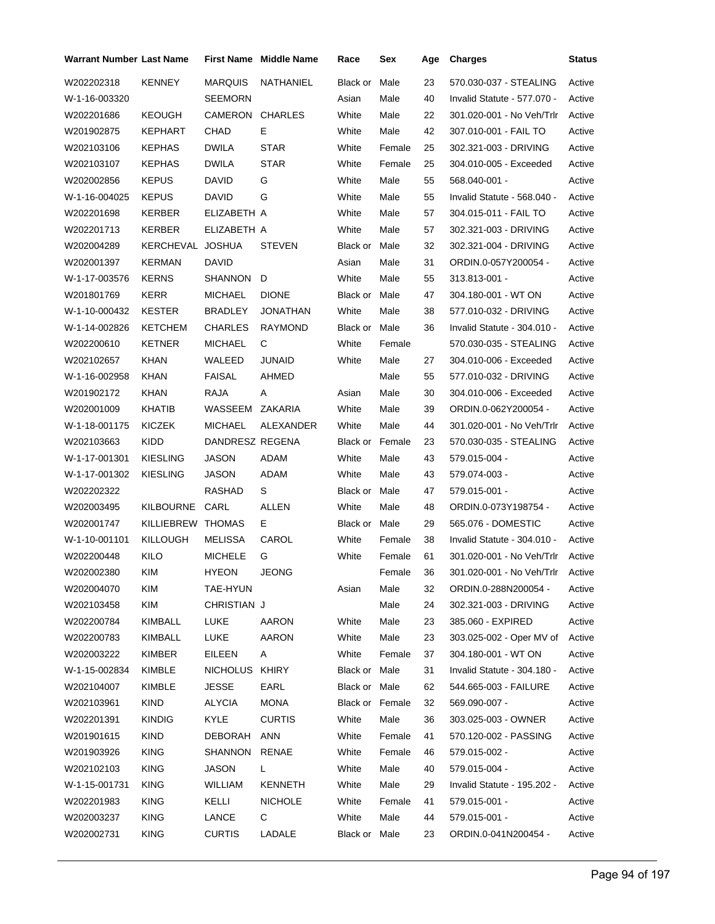| <b>Warrant Number Last Name</b> |                   |                 | First Name Middle Name | Race                   | Sex    | Age | <b>Charges</b>                   | <b>Status</b> |
|---------------------------------|-------------------|-----------------|------------------------|------------------------|--------|-----|----------------------------------|---------------|
| W202202318                      | KENNEY            | <b>MARQUIS</b>  | <b>NATHANIEL</b>       | Black or               | Male   | 23  | 570.030-037 - STEALING           | Active        |
| W-1-16-003320                   |                   | SEEMORN         |                        | Asian                  | Male   | 40  | Invalid Statute - 577.070 -      | Active        |
| W202201686                      | KEOUGH            | CAMERON         | <b>CHARLES</b>         | White                  | Male   | 22  | 301.020-001 - No Veh/Trlr        | Active        |
| W201902875                      | <b>KEPHART</b>    | CHAD            | E                      | White                  | Male   | 42  | 307.010-001 - FAIL TO            | Active        |
| W202103106                      | KEPHAS            | <b>DWILA</b>    | <b>STAR</b>            | White                  | Female | 25  | 302.321-003 - DRIVING            | Active        |
| W202103107                      | KEPHAS            | <b>DWILA</b>    | <b>STAR</b>            | White                  | Female | 25  | 304.010-005 - Exceeded           | Active        |
| W202002856                      | <b>KEPUS</b>      | David           | G                      | White                  | Male   | 55  | 568.040-001 -                    | Active        |
| W-1-16-004025                   | <b>KEPUS</b>      | DAVID           | G                      | White                  | Male   | 55  | Invalid Statute - 568.040 -      | Active        |
| W202201698                      | KERBER            | ELIZABETH A     |                        | White                  | Male   | 57  | 304.015-011 - FAIL TO            | Active        |
| W202201713                      | KERBER            | ELIZABETH A     |                        | White                  | Male   | 57  | 302.321-003 - DRIVING            | Active        |
| W202004289                      | KERCHEVAL JOSHUA  |                 | <b>STEVEN</b>          | Black or               | Male   | 32  | 302.321-004 - DRIVING            | Active        |
| W202001397                      | KERMAN            | DAVID           |                        | Asian                  | Male   | 31  | ORDIN.0-057Y200054 -             | Active        |
| W-1-17-003576                   | <b>KERNS</b>      | SHANNON         | D                      | White                  | Male   | 55  | 313.813-001 -                    | Active        |
| W201801769                      | <b>KERR</b>       | <b>MICHAEL</b>  | <b>DIONE</b>           | Black or Male          |        | 47  | 304.180-001 - WT ON              | Active        |
| W-1-10-000432                   | KESTER            | <b>BRADLEY</b>  | JONATHAN               | White                  | Male   | 38  | 577.010-032 - DRIVING            | Active        |
| W-1-14-002826                   | KETCHEM           | CHARLES         | <b>RAYMOND</b>         | Black or Male          |        | 36  | Invalid Statute - 304.010 -      | Active        |
| W202200610                      | KETNER            | MICHAEL         | C                      | White                  | Female |     | 570.030-035 - STEALING           | Active        |
| W202102657                      | KHAN              | WALEED          | <b>JUNAID</b>          | White                  | Male   | 27  | 304.010-006 - Exceeded           | Active        |
| W-1-16-002958                   | <b>KHAN</b>       | <b>FAISAL</b>   | AHMED                  |                        | Male   | 55  | 577.010-032 - DRIVING            | Active        |
| W201902172                      | KHAN              | RAJA            | A                      | Asian                  | Male   | 30  | 304.010-006 - Exceeded           | Active        |
| W202001009                      | KHATIB            | WASSEEM         | ZAKARIA                | White                  | Male   | 39  | ORDIN.0-062Y200054 -             | Active        |
| W-1-18-001175                   | KICZEK            | <b>MICHAEL</b>  | ALEXANDER              | White                  | Male   | 44  | 301.020-001 - No Veh/Trlr        | Active        |
| W202103663                      | KIDD              | DANDRESZ REGENA |                        | <b>Black or Female</b> |        | 23  | 570.030-035 - STEALING           | Active        |
| W-1-17-001301                   | KIESLING          | <b>JASON</b>    | ADAM                   | White                  | Male   | 43  | 579.015-004 -                    | Active        |
| W-1-17-001302                   | <b>KIESLING</b>   | JASON           | ADAM                   | White                  | Male   | 43  | 579.074-003 -                    | Active        |
| W202202322                      |                   | RASHAD          | S                      | Black or Male          |        | 47  | 579.015-001 -                    | Active        |
| W202003495                      | KILBOURNE         | CARL            | ALLEN                  | White                  | Male   | 48  | ORDIN.0-073Y198754 -             | Active        |
| W202001747                      | KILLIEBREW THOMAS |                 | Е.                     | Black or Male          |        | 29  | 565.076 - DOMESTIC               | Active        |
| W-1-10-001101                   | KILLOUGH          | <b>MELISSA</b>  | CAROL                  | White                  | Female | 38  | Invalid Statute - 304.010 -      | Active        |
| W202200448                      | <b>KILO</b>       | <b>MICHELE</b>  | G                      | White                  | Female | 61  | 301.020-001 - No Veh/Trlr        | Active        |
| W202002380                      | KIM               | HYEON           | <b>JEONG</b>           |                        | Female | 36  | 301.020-001 - No Veh/Trlr Active |               |
| W202004070                      | KIM               | TAE-HYUN        |                        | Asian                  | Male   | 32  | ORDIN.0-288N200054 -             | Active        |
| W202103458                      | KIM               | CHRISTIAN J     |                        |                        | Male   | 24  | 302.321-003 - DRIVING            | Active        |
| W202200784                      | KIMBALL           | LUKE            | AARON                  | White                  | Male   | 23  | 385.060 - EXPIRED                | Active        |
| W202200783                      | KIMBALL           | LUKE            | AARON                  | White                  | Male   | 23  | 303.025-002 - Oper MV of         | Active        |
| W202003222                      | KIMBER            | EILEEN          | A                      | White                  | Female | 37  | 304.180-001 - WT ON              | Active        |
| W-1-15-002834                   | KIMBLE            | NICHOLUS KHIRY  |                        | Black or Male          |        | 31  | Invalid Statute - 304.180 -      | Active        |
| W202104007                      | KIMBLE            | JESSE           | EARL                   | Black or Male          |        | 62  | 544.665-003 - FAILURE            | Active        |
| W202103961                      | <b>KIND</b>       | <b>ALYCIA</b>   | <b>MONA</b>            | Black or Female        |        | 32  | 569.090-007 -                    | Active        |
| W202201391                      | <b>KINDIG</b>     | <b>KYLE</b>     | <b>CURTIS</b>          | White                  | Male   | 36  | 303.025-003 - OWNER              | Active        |
| W201901615                      | KIND              | DEBORAH         | <b>ANN</b>             | White                  | Female | 41  | 570.120-002 - PASSING            | Active        |
| W201903926                      | <b>KING</b>       | SHANNON         | RENAE                  | White                  | Female | 46  | 579.015-002 -                    | Active        |
| W202102103                      | <b>KING</b>       | JASON           | L.                     | White                  | Male   | 40  | 579.015-004 -                    | Active        |
| W-1-15-001731                   | <b>KING</b>       | WILLIAM         | KENNETH                | White                  | Male   | 29  | Invalid Statute - 195.202 -      | Active        |
| W202201983                      | <b>KING</b>       | KELLI           | <b>NICHOLE</b>         | White                  | Female | 41  | 579.015-001 -                    | Active        |
| W202003237                      | <b>KING</b>       | LANCE           | С                      | White                  | Male   | 44  | 579.015-001 -                    | Active        |
| W202002731                      | <b>KING</b>       | <b>CURTIS</b>   | LADALE                 | Black or Male          |        | 23  | ORDIN.0-041N200454 -             | Active        |
|                                 |                   |                 |                        |                        |        |     |                                  |               |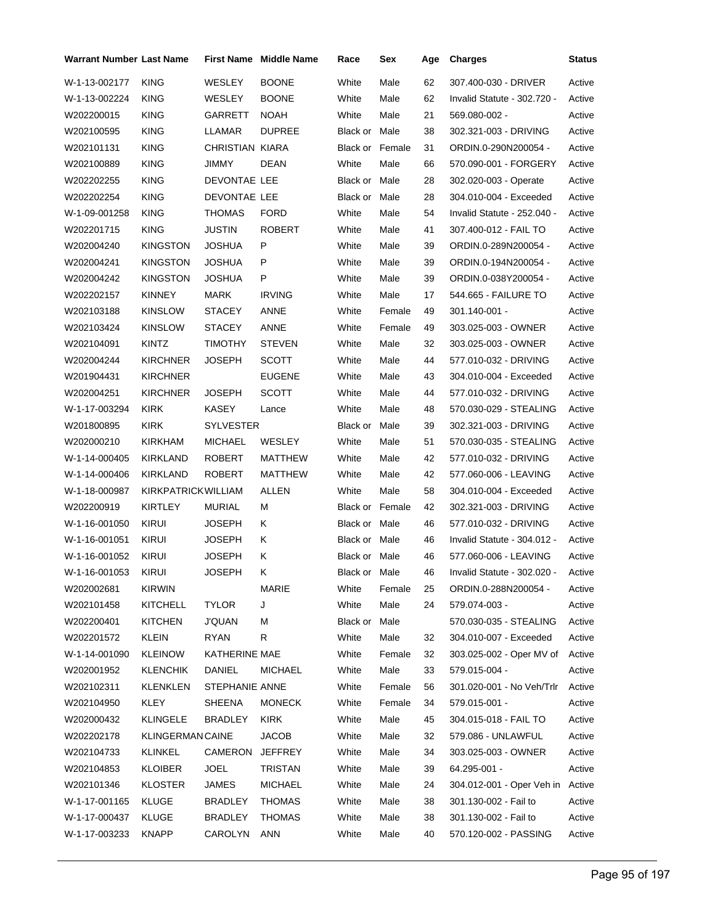| <b>Warrant Number Last Name</b> |                           |                  | <b>First Name</b> Middle Name | Race                   | Sex    | Age | <b>Charges</b>                   | <b>Status</b> |
|---------------------------------|---------------------------|------------------|-------------------------------|------------------------|--------|-----|----------------------------------|---------------|
| W-1-13-002177                   | <b>KING</b>               | WESLEY           | <b>BOONE</b>                  | White                  | Male   | 62  | 307.400-030 - DRIVER             | Active        |
| W-1-13-002224                   | <b>KING</b>               | WESLEY           | <b>BOONE</b>                  | White                  | Male   | 62  | Invalid Statute - 302.720 -      | Active        |
| W202200015                      | KING                      | GARRETT          | <b>NOAH</b>                   | White                  | Male   | 21  | 569.080-002 -                    | Active        |
| W202100595                      | KING                      | LLAMAR           | <b>DUPREE</b>                 | Black or Male          |        | 38  | 302.321-003 - DRIVING            | Active        |
| W202101131                      | <b>KING</b>               | CHRISTIAN KIARA  |                               | Black or Female        |        | 31  | ORDIN.0-290N200054 -             | Active        |
| W202100889                      | KING                      | JIMMY            | DEAN                          | White                  | Male   | 66  | 570.090-001 - FORGERY            | Active        |
| W202202255                      | <b>KING</b>               | DEVONTAE LEE     |                               | Black or Male          |        | 28  | 302.020-003 - Operate            | Active        |
| W202202254                      | <b>KING</b>               | DEVONTAE LEE     |                               | Black or Male          |        | 28  | 304.010-004 - Exceeded           | Active        |
| W-1-09-001258                   | KING                      | THOMAS           | FORD                          | White                  | Male   | 54  | Invalid Statute - 252.040 -      | Active        |
| W202201715                      | KING                      | <b>JUSTIN</b>    | <b>ROBERT</b>                 | White                  | Male   | 41  | 307.400-012 - FAIL TO            | Active        |
| W202004240                      | KINGSTON                  | JOSHUA           | P                             | White                  | Male   | 39  | ORDIN.0-289N200054 -             | Active        |
| W202004241                      | KINGSTON                  | JOSHUA           | P                             | White                  | Male   | 39  | ORDIN.0-194N200054 -             | Active        |
| W202004242                      | <b>KINGSTON</b>           | JOSHUA           | P                             | White                  | Male   | 39  | ORDIN.0-038Y200054 -             | Active        |
| W202202157                      | <b>KINNEY</b>             | <b>MARK</b>      | <b>IRVING</b>                 | White                  | Male   | 17  | 544.665 - FAILURE TO             | Active        |
| W202103188                      | KINSLOW                   | STACEY           | ANNE                          | White                  | Female | 49  | 301.140-001 -                    | Active        |
| W202103424                      | <b>KINSLOW</b>            | STACEY           | ANNE                          | White                  | Female | 49  | 303.025-003 - OWNER              | Active        |
| W202104091                      | KINTZ                     | TIMOTHY          | <b>STEVEN</b>                 | White                  | Male   | 32  | 303.025-003 - OWNER              | Active        |
| W202004244                      | KIRCHNER                  | JOSEPH           | <b>SCOTT</b>                  | White                  | Male   | 44  | 577.010-032 - DRIVING            | Active        |
| W201904431                      | <b>KIRCHNER</b>           |                  | <b>EUGENE</b>                 | White                  | Male   | 43  | 304.010-004 - Exceeded           | Active        |
| W202004251                      | <b>KIRCHNER</b>           | <b>JOSEPH</b>    | <b>SCOTT</b>                  | White                  | Male   | 44  | 577.010-032 - DRIVING            | Active        |
| W-1-17-003294                   | <b>KIRK</b>               | <b>KASEY</b>     | Lance                         | White                  | Male   | 48  | 570.030-029 - STEALING           | Active        |
| W201800895                      | <b>KIRK</b>               | <b>SYLVESTER</b> |                               | Black or               | Male   | 39  | 302.321-003 - DRIVING            | Active        |
| W202000210                      | KIRKHAM                   | <b>MICHAEL</b>   | WESLEY                        | White                  | Male   | 51  | 570.030-035 - STEALING           | Active        |
| W-1-14-000405                   | KIRKLAND                  | ROBERT           | MATTHEW                       | White                  | Male   | 42  | 577.010-032 - DRIVING            | Active        |
| W-1-14-000406                   | KIRKLAND                  | <b>ROBERT</b>    | MATTHEW                       | White                  | Male   | 42  | 577.060-006 - LEAVING            | Active        |
| W-1-18-000987                   | <b>KIRKPATRICKWILLIAM</b> |                  | <b>ALLEN</b>                  | White                  | Male   | 58  | 304.010-004 - Exceeded           | Active        |
| W202200919                      | KIRTLEY                   | MURIAL           | м                             | <b>Black or Female</b> |        | 42  | 302.321-003 - DRIVING            | Active        |
| W-1-16-001050                   | KIRUI                     | JOSEPH           | Κ                             | Black or Male          |        | 46  | 577.010-032 - DRIVING            | Active        |
| W-1-16-001051                   | <b>KIRUI</b>              | JOSEPH           | Κ                             | Black or Male          |        | 46  | Invalid Statute - 304.012 -      | Active        |
| W-1-16-001052                   | KIRUI                     | JOSEPH           | Κ                             | Black or Male          |        | 46  | 577.060-006 - LEAVING            | Active        |
| W-1-16-001053 KIRUI             |                           | JOSEPH           | K                             | Black or Male          |        | 46  | Invalid Statute - 302.020 -      | Active        |
| W202002681                      | KIRWIN                    |                  | MARIE                         | White                  | Female | 25  | ORDIN.0-288N200054 -             | Active        |
| W202101458                      | <b>KITCHELL</b>           | <b>TYLOR</b>     | J                             | White                  | Male   | 24  | 579.074-003 -                    | Active        |
| W202200401                      | <b>KITCHEN</b>            | <b>J'QUAN</b>    | м                             | Black or Male          |        |     | 570.030-035 - STEALING           | Active        |
| W202201572                      | <b>KLEIN</b>              | <b>RYAN</b>      | R                             | White                  | Male   | 32  | 304.010-007 - Exceeded           | Active        |
| W-1-14-001090                   | <b>KLEINOW</b>            | KATHERINE MAE    |                               | White                  | Female | 32  | 303.025-002 - Oper MV of Active  |               |
| W202001952                      | <b>KLENCHIK</b>           | DANIEL           | <b>MICHAEL</b>                | White                  | Male   | 33  | 579.015-004 -                    | Active        |
| W202102311                      | <b>KLENKLEN</b>           | STEPHANIE ANNE   |                               | White                  | Female | 56  | 301.020-001 - No Veh/Trlr        | Active        |
| W202104950                      | KLEY                      | SHEENA           | <b>MONECK</b>                 | White                  | Female | 34  | 579.015-001 -                    | Active        |
| W202000432                      | <b>KLINGELE</b>           | BRADLEY          | <b>KIRK</b>                   | White                  | Male   | 45  | 304.015-018 - FAIL TO            | Active        |
| W202202178                      | KLINGERMAN CAINE          |                  | <b>JACOB</b>                  | White                  | Male   | 32  | 579.086 - UNLAWFUL               | Active        |
| W202104733                      | KLINKEL                   | CAMERON          | JEFFREY                       | White                  | Male   | 34  | 303.025-003 - OWNER              | Active        |
| W202104853                      | KLOIBER                   | <b>JOEL</b>      | TRISTAN                       | White                  | Male   | 39  | 64.295-001 -                     | Active        |
| W202101346                      | <b>KLOSTER</b>            | <b>JAMES</b>     | <b>MICHAEL</b>                | White                  | Male   | 24  | 304.012-001 - Oper Veh in Active |               |
| W-1-17-001165                   | <b>KLUGE</b>              | BRADLEY          | THOMAS                        | White                  | Male   | 38  | 301.130-002 - Fail to            | Active        |
| W-1-17-000437                   | <b>KLUGE</b>              | BRADLEY          | <b>THOMAS</b>                 | White                  | Male   | 38  | 301.130-002 - Fail to            | Active        |
| W-1-17-003233                   | <b>KNAPP</b>              | CAROLYN          | <b>ANN</b>                    | White                  | Male   | 40  | 570.120-002 - PASSING            | Active        |
|                                 |                           |                  |                               |                        |        |     |                                  |               |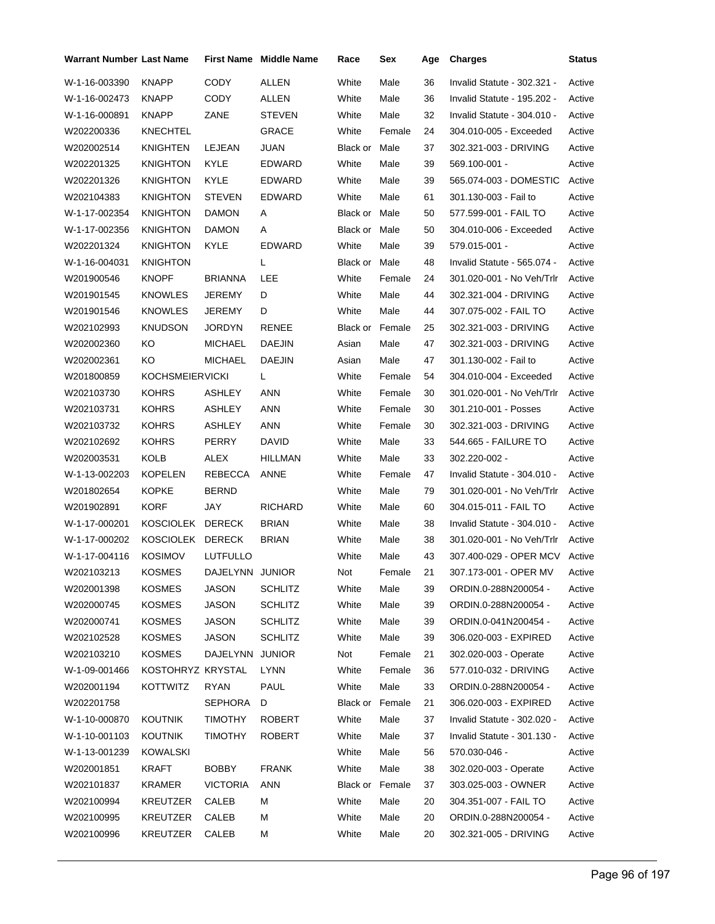| Warrant Number Last Name |                   |                 | <b>First Name</b> Middle Name | Race            | Sex    | Age | <b>Charges</b>              | <b>Status</b> |
|--------------------------|-------------------|-----------------|-------------------------------|-----------------|--------|-----|-----------------------------|---------------|
| W-1-16-003390            | <b>KNAPP</b>      | CODY            | <b>ALLEN</b>                  | White           | Male   | 36  | Invalid Statute - 302.321 - | Active        |
| W-1-16-002473            | KNAPP             | CODY            | ALLEN                         | White           | Male   | 36  | Invalid Statute - 195.202 - | Active        |
| W-1-16-000891            | KNAPP             | ZANE            | <b>STEVEN</b>                 | White           | Male   | 32  | Invalid Statute - 304.010 - | Active        |
| W202200336               | KNECHTEL          |                 | GRACE                         | White           | Female | 24  | 304.010-005 - Exceeded      | Active        |
| W202002514               | KNIGHTEN          | LEJEAN          | JUAN                          | Black or        | Male   | 37  | 302.321-003 - DRIVING       | Active        |
| W202201325               | KNIGHTON          | KYLE            | EDWARD                        | White           | Male   | 39  | 569.100-001 -               | Active        |
| W202201326               | KNIGHTON          | <b>KYLE</b>     | <b>EDWARD</b>                 | White           | Male   | 39  | 565.074-003 - DOMESTIC      | Active        |
| W202104383               | KNIGHTON          | <b>STEVEN</b>   | <b>EDWARD</b>                 | White           | Male   | 61  | 301.130-003 - Fail to       | Active        |
| W-1-17-002354            | KNIGHTON          | DAMON           | A                             | Black or Male   |        | 50  | 577.599-001 - FAIL TO       | Active        |
| W-1-17-002356            | KNIGHTON          | DAMON           | A                             | Black or Male   |        | 50  | 304.010-006 - Exceeded      | Active        |
| W202201324               | KNIGHTON          | KYLE            | EDWARD                        | White           | Male   | 39  | 579.015-001 -               | Active        |
| W-1-16-004031            | KNIGHTON          |                 | L                             | Black or Male   |        | 48  | Invalid Statute - 565.074 - | Active        |
| W201900546               | <b>KNOPF</b>      | BRIANNA         | LEE                           | White           | Female | 24  | 301.020-001 - No Veh/Trlr   | Active        |
| W201901545               | KNOWLES           | JEREMY          | D                             | White           | Male   | 44  | 302.321-004 - DRIVING       | Active        |
| W201901546               | KNOWLES           | JEREMY          | D                             | White           | Male   | 44  | 307.075-002 - FAIL TO       | Active        |
| W202102993               | KNUDSON           | JORDYN          | <b>RENEE</b>                  | Black or Female |        | 25  | 302.321-003 - DRIVING       | Active        |
| W202002360               | ΚO                | <b>MICHAEL</b>  | <b>DAEJIN</b>                 | Asian           | Male   | 47  | 302.321-003 - DRIVING       | Active        |
| W202002361               | ΚO                | MICHAEL         | <b>DAEJIN</b>                 | Asian           | Male   | 47  | 301.130-002 - Fail to       | Active        |
| W201800859               | KOCHSMEIERVICKI   |                 | L.                            | White           | Female | 54  | 304.010-004 - Exceeded      | Active        |
| W202103730               | <b>KOHRS</b>      | ASHLEY          | <b>ANN</b>                    | White           | Female | 30  | 301.020-001 - No Veh/Trlr   | Active        |
| W202103731               | KOHRS             | ASHLEY          | <b>ANN</b>                    | White           | Female | 30  | 301.210-001 - Posses        | Active        |
| W202103732               | KOHRS             | <b>ASHLEY</b>   | <b>ANN</b>                    | White           | Female | 30  | 302.321-003 - DRIVING       | Active        |
| W202102692               | <b>KOHRS</b>      | PERRY           | DAVID                         | White           | Male   | 33  | 544.665 - FAILURE TO        | Active        |
| W202003531               | KOLB              | ALEX            | HILLMAN                       | White           | Male   | 33  | 302.220-002 -               | Active        |
| W-1-13-002203            | <b>KOPELEN</b>    | REBECCA         | ANNE                          | White           | Female | 47  | Invalid Statute - 304.010 - | Active        |
| W201802654               | KOPKE             | BERND           |                               | White           | Male   | 79  | 301.020-001 - No Veh/Trlr   | Active        |
| W201902891               | KORF              | JAY             | <b>RICHARD</b>                | White           | Male   | 60  | 304.015-011 - FAIL TO       | Active        |
| W-1-17-000201            | KOSCIOLEK         | <b>DERECK</b>   | <b>BRIAN</b>                  | White           | Male   | 38  | Invalid Statute - 304.010 - | Active        |
| W-1-17-000202            | KOSCIOLEK DERECK  |                 | <b>BRIAN</b>                  | White           | Male   | 38  | 301.020-001 - No Veh/Trlr   | Active        |
| W-1-17-004116            | KOSIMOV           | LUTFULLO        |                               | White           | Male   | 43  | 307.400-029 - OPER MCV      | Active        |
| W202103213               | <b>KOSMES</b>     | DAJELYNN JUNIOR |                               | Not             | Female | 21  | 307.173-001 - OPER MV       | Active        |
| W202001398               | KOSMES            | JASON           | <b>SCHLITZ</b>                | White           | Male   | 39  | ORDIN.0-288N200054 -        | Active        |
| W202000745               | <b>KOSMES</b>     | <b>JASON</b>    | <b>SCHLITZ</b>                | White           | Male   | 39  | ORDIN.0-288N200054 -        | Active        |
| W202000741               | <b>KOSMES</b>     | <b>JASON</b>    | <b>SCHLITZ</b>                | White           | Male   | 39  | ORDIN.0-041N200454 -        | Active        |
| W202102528               | KOSMES            | <b>JASON</b>    | <b>SCHLITZ</b>                | White           | Male   | 39  | 306.020-003 - EXPIRED       | Active        |
| W202103210               | <b>KOSMES</b>     | DAJELYNN        | <b>JUNIOR</b>                 | Not             | Female | 21  | 302.020-003 - Operate       | Active        |
| W-1-09-001466            | KOSTOHRYZ KRYSTAL |                 | LYNN                          | White           | Female | 36  | 577.010-032 - DRIVING       | Active        |
| W202001194               | <b>KOTTWITZ</b>   | <b>RYAN</b>     | PAUL                          | White           | Male   | 33  | ORDIN.0-288N200054 -        | Active        |
| W202201758               |                   | <b>SEPHORA</b>  | D                             | Black or        | Female | 21  | 306.020-003 - EXPIRED       | Active        |
| W-1-10-000870            | <b>KOUTNIK</b>    | <b>TIMOTHY</b>  | <b>ROBERT</b>                 | White           | Male   | 37  | Invalid Statute - 302.020 - | Active        |
| W-1-10-001103            | <b>KOUTNIK</b>    | <b>TIMOTHY</b>  | ROBERT                        | White           | Male   | 37  | Invalid Statute - 301.130 - | Active        |
| W-1-13-001239            | KOWALSKI          |                 |                               | White           | Male   | 56  | 570.030-046 -               | Active        |
| W202001851               | KRAFT             | <b>BOBBY</b>    | <b>FRANK</b>                  | White           | Male   | 38  | 302.020-003 - Operate       | Active        |
| W202101837               | KRAMER            | <b>VICTORIA</b> | ANN                           | Black or        | Female | 37  | 303.025-003 - OWNER         | Active        |
| W202100994               | KREUTZER          | CALEB           | м                             | White           | Male   | 20  | 304.351-007 - FAIL TO       | Active        |
| W202100995               | KREUTZER          | CALEB           | М                             | White           | Male   | 20  | ORDIN.0-288N200054 -        | Active        |
| W202100996               | KREUTZER          | CALEB           | М                             | White           | Male   | 20  | 302.321-005 - DRIVING       | Active        |
|                          |                   |                 |                               |                 |        |     |                             |               |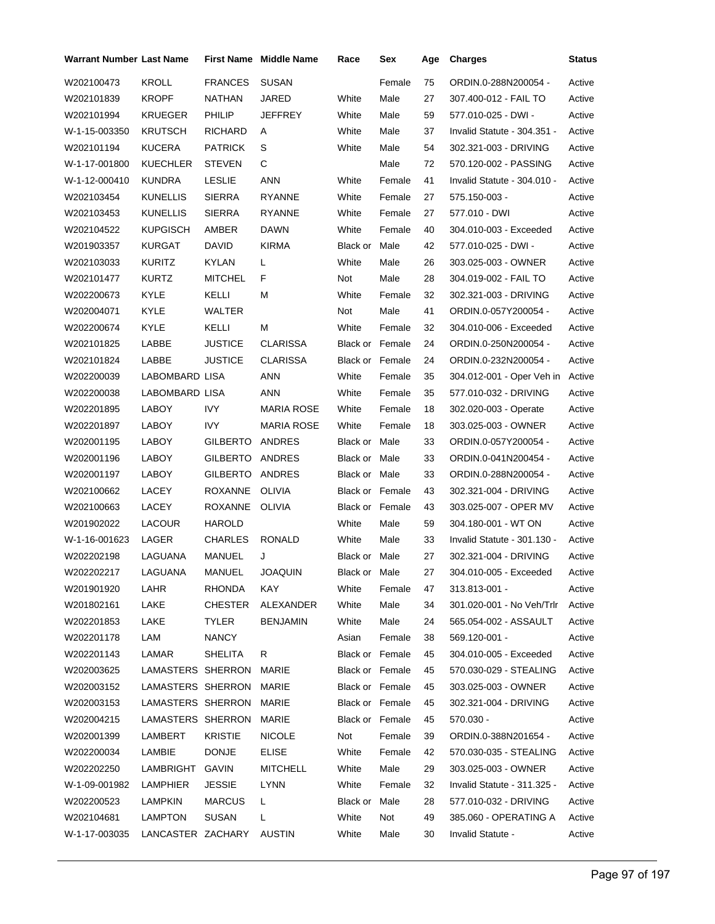| Warrant Number Last Name |                   |                 | <b>First Name Middle Name</b> | Race                   | Sex    | Age | <b>Charges</b>              | <b>Status</b> |
|--------------------------|-------------------|-----------------|-------------------------------|------------------------|--------|-----|-----------------------------|---------------|
| W202100473               | <b>KROLL</b>      | <b>FRANCES</b>  | <b>SUSAN</b>                  |                        | Female | 75  | ORDIN.0-288N200054 -        | Active        |
| W202101839               | <b>KROPF</b>      | NATHAN          | JARED                         | White                  | Male   | 27  | 307.400-012 - FAIL TO       | Active        |
| W202101994               | <b>KRUEGER</b>    | PHILIP          | JEFFREY                       | White                  | Male   | 59  | 577.010-025 - DWI -         | Active        |
| W-1-15-003350            | <b>KRUTSCH</b>    | <b>RICHARD</b>  | Α                             | White                  | Male   | 37  | Invalid Statute - 304.351 - | Active        |
| W202101194               | <b>KUCERA</b>     | <b>PATRICK</b>  | S                             | White                  | Male   | 54  | 302.321-003 - DRIVING       | Active        |
| W-1-17-001800            | <b>KUECHLER</b>   | <b>STEVEN</b>   | C                             |                        | Male   | 72  | 570.120-002 - PASSING       | Active        |
| W-1-12-000410            | <b>KUNDRA</b>     | <b>LESLIE</b>   | <b>ANN</b>                    | White                  | Female | 41  | Invalid Statute - 304.010 - | Active        |
| W202103454               | <b>KUNELLIS</b>   | <b>SIERRA</b>   | <b>RYANNE</b>                 | White                  | Female | 27  | 575.150-003 -               | Active        |
| W202103453               | <b>KUNELLIS</b>   | <b>SIERRA</b>   | <b>RYANNE</b>                 | White                  | Female | 27  | 577.010 - DWI               | Active        |
| W202104522               | <b>KUPGISCH</b>   | AMBER           | <b>DAWN</b>                   | White                  | Female | 40  | 304.010-003 - Exceeded      | Active        |
| W201903357               | <b>KURGAT</b>     | <b>DAVID</b>    | <b>KIRMA</b>                  | Black or               | Male   | 42  | 577.010-025 - DWI -         | Active        |
| W202103033               | <b>KURITZ</b>     | <b>KYLAN</b>    | L                             | White                  | Male   | 26  | 303.025-003 - OWNER         | Active        |
| W202101477               | <b>KURTZ</b>      | <b>MITCHEL</b>  | F                             | Not                    | Male   | 28  | 304.019-002 - FAIL TO       | Active        |
| W202200673               | KYLE              | KELLI           | М                             | White                  | Female | 32  | 302.321-003 - DRIVING       | Active        |
| W202004071               | KYLE              | WALTER          |                               | Not                    | Male   | 41  | ORDIN.0-057Y200054 -        | Active        |
| W202200674               | KYLE              | KELLI           | М                             | White                  | Female | 32  | 304.010-006 - Exceeded      | Active        |
| W202101825               | LABBE             | <b>JUSTICE</b>  | <b>CLARISSA</b>               | <b>Black or Female</b> |        | 24  | ORDIN.0-250N200054 -        | Active        |
| W202101824               | LABBE             | <b>JUSTICE</b>  | <b>CLARISSA</b>               | Black or Female        |        | 24  | ORDIN.0-232N200054 -        | Active        |
| W202200039               | LABOMBARD LISA    |                 | ANN                           | White                  | Female | 35  | 304.012-001 - Oper Veh in   | Active        |
| W202200038               | LABOMBARD LISA    |                 | ANN                           | White                  | Female | 35  | 577.010-032 - DRIVING       | Active        |
| W202201895               | LABOY             | <b>IVY</b>      | <b>MARIA ROSE</b>             | White                  | Female | 18  | 302.020-003 - Operate       | Active        |
| W202201897               | LABOY             | IVY             | <b>MARIA ROSE</b>             | White                  | Female | 18  | 303.025-003 - OWNER         | Active        |
| W202001195               | LABOY             | <b>GILBERTO</b> | ANDRES                        | Black or Male          |        | 33  | ORDIN.0-057Y200054 -        | Active        |
| W202001196               | LABOY             | <b>GILBERTO</b> | <b>ANDRES</b>                 | Black or Male          |        | 33  | ORDIN.0-041N200454 -        | Active        |
| W202001197               | LABOY             | GILBERTO ANDRES |                               | Black or Male          |        | 33  | ORDIN.0-288N200054 -        | Active        |
| W202100662               | LACEY             | <b>ROXANNE</b>  | <b>OLIVIA</b>                 | Black or Female        |        | 43  | 302.321-004 - DRIVING       | Active        |
| W202100663               | LACEY             | ROXANNE         | <b>OLIVIA</b>                 | <b>Black or Female</b> |        | 43  | 303.025-007 - OPER MV       | Active        |
| W201902022               | LACOUR            | <b>HAROLD</b>   |                               | White                  | Male   | 59  | 304.180-001 WT ON           | Active        |
| W-1-16-001623            | LAGER             | CHARLES         | <b>RONALD</b>                 | White                  | Male   | 33  | Invalid Statute - 301.130 - | Active        |
| W202202198               | LAGUANA           | MANUEL          | J                             | Black or Male          |        | 27  | 302.321-004 - DRIVING       | Active        |
| W202202217               | LAGUANA           | MANUEL          | <b>JOAQUIN</b>                | Black or Male          |        | 27  | 304.010-005 - Exceeded      | Active        |
| W201901920               | LAHR              | RHONDA          | KAY                           | White                  | Female | 47  | 313.813-001 -               | Active        |
| W201802161               | LAKE              | <b>CHESTER</b>  | ALEXANDER                     | White                  | Male   | 34  | 301.020-001 - No Veh/Trlr   | Active        |
| W202201853               | LAKE              | <b>TYLER</b>    | <b>BENJAMIN</b>               | White                  | Male   | 24  | 565.054-002 - ASSAULT       | Active        |
| W202201178               | LAM               | <b>NANCY</b>    |                               | Asian                  | Female | 38  | 569.120-001 -               | Active        |
| W202201143               | LAMAR             | SHELITA         | R                             | Black or Female        |        | 45  | 304.010-005 - Exceeded      | Active        |
| W202003625               | LAMASTERS SHERRON |                 | MARIE                         | <b>Black or Female</b> |        | 45  | 570.030-029 - STEALING      | Active        |
| W202003152               | LAMASTERS SHERRON |                 | MARIE                         | Black or Female        |        | 45  | 303.025-003 - OWNER         | Active        |
| W202003153               | LAMASTERS SHERRON |                 | MARIE                         | Black or Female        |        | 45  | 302.321-004 - DRIVING       | Active        |
| W202004215               | LAMASTERS SHERRON |                 | MARIE                         | Black or Female        |        | 45  | $570.030 -$                 | Active        |
| W202001399               | LAMBERT           | <b>KRISTIE</b>  | <b>NICOLE</b>                 | Not                    | Female | 39  | ORDIN.0-388N201654 -        | Active        |
| W202200034               | LAMBIE            | <b>DONJE</b>    | ELISE                         | White                  | Female | 42  | 570.030-035 - STEALING      | Active        |
| W202202250               | LAMBRIGHT GAVIN   |                 | <b>MITCHELL</b>               | White                  | Male   | 29  | 303.025-003 - OWNER         | Active        |
| W-1-09-001982            | LAMPHIER          | JESSIE          | LYNN                          | White                  | Female | 32  | Invalid Statute - 311.325 - | Active        |
| W202200523               | LAMPKIN           | <b>MARCUS</b>   | L.                            | Black or Male          |        | 28  | 577.010-032 - DRIVING       | Active        |
| W202104681               | LAMPTON           | <b>SUSAN</b>    | L.                            | White                  | Not    | 49  | 385.060 - OPERATING A       | Active        |
| W-1-17-003035            | LANCASTER ZACHARY |                 | <b>AUSTIN</b>                 | White                  | Male   | 30  | Invalid Statute -           | Active        |
|                          |                   |                 |                               |                        |        |     |                             |               |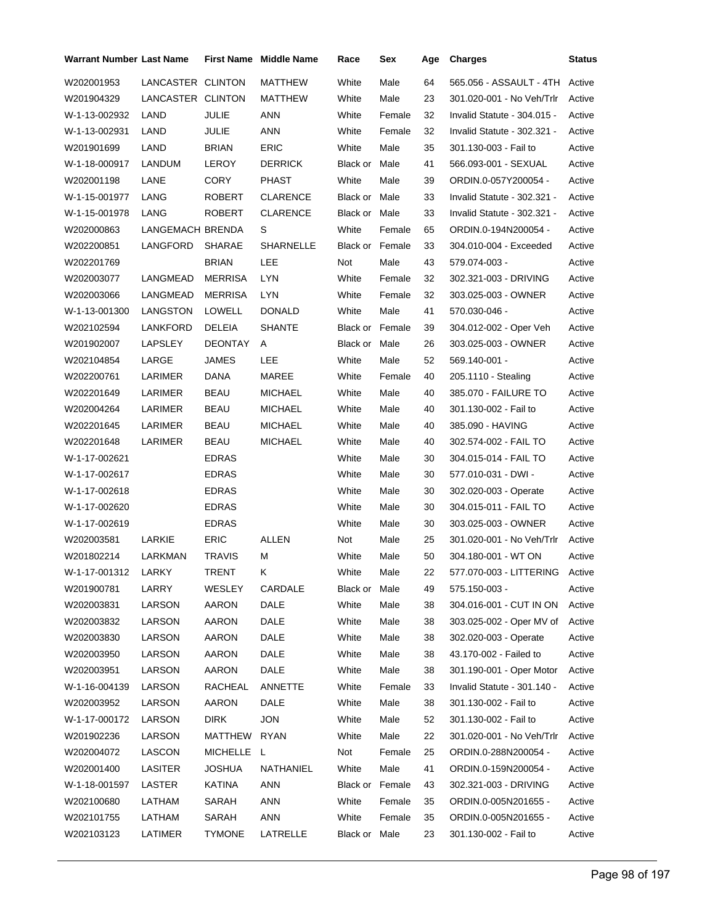| <b>Warrant Number Last Name</b> |                   |                | <b>First Name Middle Name</b> | Race                   | Sex    | Age | <b>Charges</b>              | Status |
|---------------------------------|-------------------|----------------|-------------------------------|------------------------|--------|-----|-----------------------------|--------|
| W202001953                      | LANCASTER CLINTON |                | MATTHEW                       | White                  | Male   | 64  | 565.056 - ASSAULT - 4TH     | Active |
| W201904329                      | LANCASTER CLINTON |                | MATTHEW                       | White                  | Male   | 23  | 301.020-001 - No Veh/Trlr   | Active |
| W-1-13-002932                   | LAND              | JULIE          | ANN                           | White                  | Female | 32  | Invalid Statute - 304.015 - | Active |
| W-1-13-002931                   | LAND              | <b>JULIE</b>   | ANN                           | White                  | Female | 32  | Invalid Statute - 302.321 - | Active |
| W201901699                      | LAND              | <b>BRIAN</b>   | <b>ERIC</b>                   | White                  | Male   | 35  | 301.130-003 - Fail to       | Active |
| W-1-18-000917                   | LANDUM            | LEROY          | <b>DERRICK</b>                | Black or Male          |        | 41  | 566.093-001 - SEXUAL        | Active |
| W202001198                      | LANE              | <b>CORY</b>    | <b>PHAST</b>                  | White                  | Male   | 39  | ORDIN.0-057Y200054 -        | Active |
| W-1-15-001977                   | LANG              | <b>ROBERT</b>  | <b>CLARENCE</b>               | <b>Black or Male</b>   |        | 33  | Invalid Statute - 302.321 - | Active |
| W-1-15-001978                   | LANG              | <b>ROBERT</b>  | <b>CLARENCE</b>               | Black or Male          |        | 33  | Invalid Statute - 302.321 - | Active |
| W202000863                      | LANGEMACH BRENDA  |                | S                             | White                  | Female | 65  | ORDIN.0-194N200054 -        | Active |
| W202200851                      | LANGFORD          | <b>SHARAE</b>  | <b>SHARNELLE</b>              | <b>Black or Female</b> |        | 33  | 304.010-004 - Exceeded      | Active |
| W202201769                      |                   | <b>BRIAN</b>   | <b>LEE</b>                    | Not                    | Male   | 43  | 579.074-003 -               | Active |
| W202003077                      | LANGMEAD          | <b>MERRISA</b> | LYN                           | White                  | Female | 32  | 302.321-003 - DRIVING       | Active |
| W202003066                      | LANGMEAD          | <b>MERRISA</b> | <b>LYN</b>                    | White                  | Female | 32  | 303.025-003 - OWNER         | Active |
| W-1-13-001300                   | LANGSTON          | LOWELL         | <b>DONALD</b>                 | White                  | Male   | 41  | 570.030-046 -               | Active |
| W202102594                      | LANKFORD          | DELEIA         | <b>SHANTE</b>                 | <b>Black or Female</b> |        | 39  | 304.012-002 - Oper Veh      | Active |
| W201902007                      | LAPSLEY           | DEONTAY        | A                             | Black or Male          |        | 26  | 303.025-003 - OWNER         | Active |
| W202104854                      | LARGE             | <b>JAMES</b>   | LEE                           | White                  | Male   | 52  | 569.140-001 -               | Active |
| W202200761                      | LARIMER           | DANA           | MAREE                         | White                  | Female | 40  | 205.1110 - Stealing         | Active |
| W202201649                      | LARIMER           | <b>BEAU</b>    | <b>MICHAEL</b>                | White                  | Male   | 40  | 385.070 - FAILURE TO        | Active |
| W202004264                      | LARIMER           | BEAU           | <b>MICHAEL</b>                | White                  | Male   | 40  | 301.130-002 - Fail to       | Active |
| W202201645                      | LARIMER           | BEAU           | <b>MICHAEL</b>                | White                  | Male   | 40  | 385.090 - HAVING            | Active |
| W202201648                      | LARIMER           | BEAU           | <b>MICHAEL</b>                | White                  | Male   | 40  | 302.574-002 - FAIL TO       | Active |
| W-1-17-002621                   |                   | <b>EDRAS</b>   |                               | White                  | Male   | 30  | 304.015-014 - FAIL TO       | Active |
| W-1-17-002617                   |                   | <b>EDRAS</b>   |                               | White                  | Male   | 30  | 577.010-031 - DWI -         | Active |
| W-1-17-002618                   |                   | <b>EDRAS</b>   |                               | White                  | Male   | 30  | 302.020-003 - Operate       | Active |
| W-1-17-002620                   |                   | <b>EDRAS</b>   |                               | White                  | Male   | 30  | 304.015-011 - FAIL TO       | Active |
| W-1-17-002619                   |                   | <b>EDRAS</b>   |                               | White                  | Male   | 30  | 303.025-003 - OWNER         | Active |
| W202003581                      | LARKIE            | <b>ERIC</b>    | <b>ALLEN</b>                  | Not                    | Male   | 25  | 301.020-001 - No Veh/Trlr   | Active |
| W201802214                      | LARKMAN           | <b>TRAVIS</b>  | М                             | White                  | Male   | 50  | 304.180-001 - WT ON         | Active |
| W-1-17-001312 LARKY             |                   | TRENT          | K.                            | White                  | Male   | 22  | 577.070-003 - LITTERING     | Active |
| W201900781                      | LARRY             | WESLEY         | CARDALE                       | Black or Male          |        | 49  | 575.150-003 -               | Active |
| W202003831                      | LARSON            | <b>AARON</b>   | DALE                          | White                  | Male   | 38  | 304.016-001 - CUT IN ON     | Active |
| W202003832                      | LARSON            | AARON          | DALE                          | White                  | Male   | 38  | 303.025-002 - Oper MV of    | Active |
| W202003830                      | LARSON            | <b>AARON</b>   | DALE                          | White                  | Male   | 38  | 302.020-003 - Operate       | Active |
| W202003950                      | LARSON            | <b>AARON</b>   | DALE                          | White                  | Male   | 38  | 43.170-002 - Failed to      | Active |
| W202003951                      | LARSON            | AARON          | DALE                          | White                  | Male   | 38  | 301.190-001 - Oper Motor    | Active |
| W-1-16-004139                   | LARSON            | RACHEAL        | ANNETTE                       | White                  | Female | 33  | Invalid Statute - 301.140 - | Active |
| W202003952                      | LARSON            | <b>AARON</b>   | DALE                          | White                  | Male   | 38  | 301.130-002 - Fail to       | Active |
| W-1-17-000172                   | LARSON            | <b>DIRK</b>    | <b>JON</b>                    | White                  | Male   | 52  | 301.130-002 - Fail to       | Active |
| W201902236                      | LARSON            | <b>MATTHEW</b> | <b>RYAN</b>                   | White                  | Male   | 22  | 301.020-001 - No Veh/Trlr   | Active |
| W202004072                      | LASCON            | MICHELLE L     |                               | Not                    | Female | 25  | ORDIN.0-288N200054 -        | Active |
| W202001400                      | LASITER           | JOSHUA         | NATHANIEL                     | White                  | Male   | 41  | ORDIN.0-159N200054 -        | Active |
| W-1-18-001597                   | LASTER            | <b>KATINA</b>  | <b>ANN</b>                    | Black or Female        |        | 43  | 302.321-003 - DRIVING       | Active |
| W202100680                      | LATHAM            | SARAH          | <b>ANN</b>                    | White                  | Female | 35  | ORDIN.0-005N201655 -        | Active |
| W202101755                      | LATHAM            | SARAH          | ANN                           | White                  | Female | 35  | ORDIN.0-005N201655 -        | Active |
| W202103123                      | LATIMER           | <b>TYMONE</b>  | LATRELLE                      | Black or Male          |        | 23  | 301.130-002 - Fail to       | Active |
|                                 |                   |                |                               |                        |        |     |                             |        |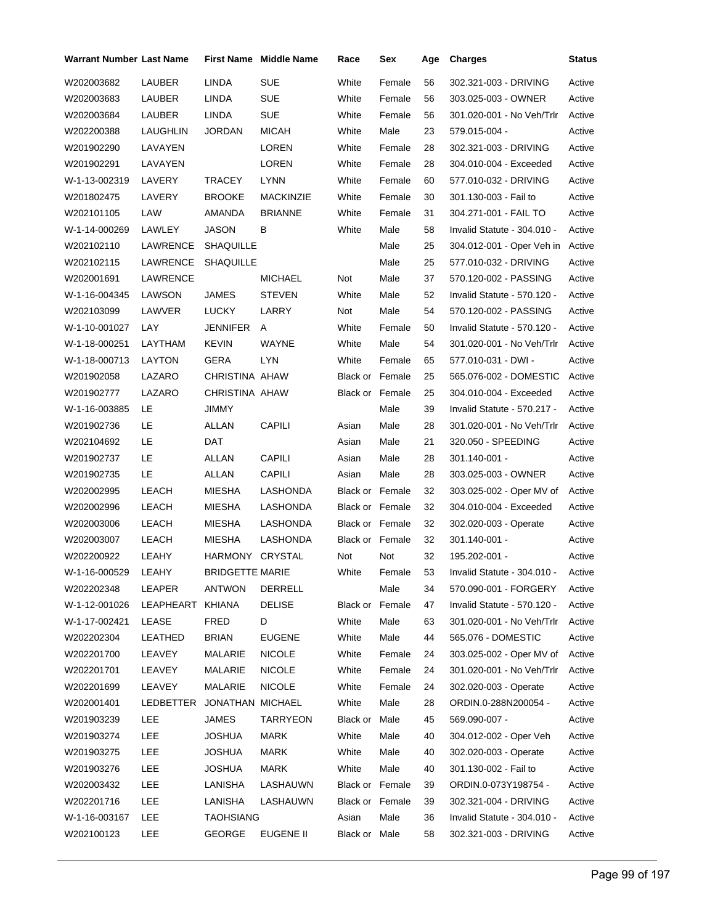| <b>Warrant Number Last Name</b> |                  |                        | <b>First Name Middle Name</b> | Race                   | Sex    | Age | <b>Charges</b>              | <b>Status</b> |
|---------------------------------|------------------|------------------------|-------------------------------|------------------------|--------|-----|-----------------------------|---------------|
| W202003682                      | <b>LAUBER</b>    | LINDA                  | <b>SUE</b>                    | White                  | Female | 56  | 302.321-003 - DRIVING       | Active        |
| W202003683                      | LAUBER           | LINDA                  | <b>SUE</b>                    | White                  | Female | 56  | 303.025-003 - OWNER         | Active        |
| W202003684                      | LAUBER           | LINDA                  | <b>SUE</b>                    | White                  | Female | 56  | 301.020-001 - No Veh/Trlr   | Active        |
| W202200388                      | LAUGHLIN         | JORDAN                 | <b>MICAH</b>                  | White                  | Male   | 23  | 579.015-004 -               | Active        |
| W201902290                      | LAVAYEN          |                        | LOREN                         | White                  | Female | 28  | 302.321-003 - DRIVING       | Active        |
| W201902291                      | LAVAYEN          |                        | LOREN                         | White                  | Female | 28  | 304.010-004 - Exceeded      | Active        |
| W-1-13-002319                   | LAVERY           | TRACEY                 | LYNN                          | White                  | Female | 60  | 577.010-032 - DRIVING       | Active        |
| W201802475                      | LAVERY           | <b>BROOKE</b>          | MACKINZIE                     | White                  | Female | 30  | 301.130-003 - Fail to       | Active        |
| W202101105                      | LAW              | AMANDA                 | <b>BRIANNE</b>                | White                  | Female | 31  | 304.271-001 - FAIL TO       | Active        |
| W-1-14-000269                   | LAWLEY           | <b>JASON</b>           | В                             | White                  | Male   | 58  | Invalid Statute - 304.010 - | Active        |
| W202102110                      | LAWRENCE         | <b>SHAQUILLE</b>       |                               |                        | Male   | 25  | 304.012-001 - Oper Veh in   | Active        |
| W202102115                      | LAWRENCE         | <b>SHAQUILLE</b>       |                               |                        | Male   | 25  | 577.010-032 - DRIVING       | Active        |
| W202001691                      | LAWRENCE         |                        | <b>MICHAEL</b>                | Not                    | Male   | 37  | 570.120-002 - PASSING       | Active        |
| W-1-16-004345                   | LAWSON           | JAMES                  | <b>STEVEN</b>                 | White                  | Male   | 52  | Invalid Statute - 570.120 - | Active        |
| W202103099                      | LAWVER           | <b>LUCKY</b>           | LARRY                         | Not                    | Male   | 54  | 570.120-002 - PASSING       | Active        |
| W-1-10-001027                   | LAY              | JENNIFER               | A                             | White                  | Female | 50  | Invalid Statute - 570.120 - | Active        |
| W-1-18-000251                   | LAYTHAM          | <b>KEVIN</b>           | <b>WAYNE</b>                  | White                  | Male   | 54  | 301.020-001 - No Veh/Trlr   | Active        |
| W-1-18-000713                   | LAYTON           | GERA                   | LYN                           | White                  | Female | 65  | 577.010-031 - DWI -         | Active        |
| W201902058                      | LAZARO           | CHRISTINA AHAW         |                               | <b>Black or Female</b> |        | 25  | 565.076-002 - DOMESTIC      | Active        |
| W201902777                      | LAZARO           | CHRISTINA AHAW         |                               | Black or Female        |        | 25  | 304.010-004 - Exceeded      | Active        |
| W-1-16-003885                   | LE               | JIMMY                  |                               |                        | Male   | 39  | Invalid Statute - 570.217 - | Active        |
| W201902736                      | LE               | ALLAN                  | <b>CAPILI</b>                 | Asian                  | Male   | 28  | 301.020-001 - No Veh/Trlr   | Active        |
| W202104692                      | LE               | DAT                    |                               | Asian                  | Male   | 21  | 320.050 - SPEEDING          | Active        |
| W201902737                      | LE               | ALLAN                  | <b>CAPILI</b>                 | Asian                  | Male   | 28  | 301.140-001 -               | Active        |
| W201902735                      | LE               | ALLAN                  | <b>CAPILI</b>                 | Asian                  | Male   | 28  | 303.025-003 - OWNER         | Active        |
| W202002995                      | LEACH            | MIESHA                 | LASHONDA                      | <b>Black or Female</b> |        | 32  | 303.025-002 - Oper MV of    | Active        |
| W202002996                      | LEACH            | MIESHA                 | LASHONDA                      | Black or Female        |        | 32  | 304.010-004 - Exceeded      | Active        |
| W202003006                      | LEACH            | MIESHA                 | LASHONDA                      | Black or Female        |        | 32  | 302.020-003 - Operate       | Active        |
| W202003007                      | LEACH            | MIESHA                 | <b>LASHONDA</b>               | Black or Female        |        | 32  | 301.140-001 -               | Active        |
| W202200922                      | LEAHY            | HARMONY CRYSTAL        |                               | Not                    | Not    | 32  | 195.202-001 -               | Active        |
| W-1-16-000529 LEAHY             |                  | <b>BRIDGETTE MARIE</b> |                               | White                  | Female | 53  | Invalid Statute - 304.010 - | Active        |
| W202202348                      | LEAPER           | ANTWON                 | DERRELL                       |                        | Male   | 34  | 570.090-001 - FORGERY       | Active        |
| W-1-12-001026                   | LEAPHEART KHIANA |                        | <b>DELISE</b>                 | Black or Female        |        | 47  | Invalid Statute - 570.120 - | Active        |
| W-1-17-002421                   | LEASE            | <b>FRED</b>            | D                             | White                  | Male   | 63  | 301.020-001 - No Veh/Trlr   | Active        |
| W202202304                      | LEATHED          | <b>BRIAN</b>           | <b>EUGENE</b>                 | White                  | Male   | 44  | 565.076 - DOMESTIC          | Active        |
| W202201700                      | LEAVEY           | MALARIE                | <b>NICOLE</b>                 | White                  | Female | 24  | 303.025-002 - Oper MV of    | Active        |
| W202201701                      | LEAVEY           | MALARIE                | <b>NICOLE</b>                 | White                  | Female | 24  | 301.020-001 - No Veh/Trlr   | Active        |
| W202201699                      | LEAVEY           | MALARIE                | <b>NICOLE</b>                 | White                  | Female | 24  | 302.020-003 - Operate       | Active        |
| W202001401                      | LEDBETTER        | JONATHAN MICHAEL       |                               | White                  | Male   | 28  | ORDIN.0-288N200054 -        | Active        |
| W201903239                      | <b>LEE</b>       | <b>JAMES</b>           | <b>TARRYEON</b>               | Black or Male          |        | 45  | 569.090-007 -               | Active        |
| W201903274                      | LEE              | JOSHUA                 | <b>MARK</b>                   | White                  | Male   | 40  | 304.012-002 - Oper Veh      | Active        |
| W201903275                      | <b>LEE</b>       | JOSHUA                 | <b>MARK</b>                   | White                  | Male   | 40  | 302.020-003 - Operate       | Active        |
| W201903276                      | LEE              | <b>JOSHUA</b>          | MARK                          | White                  | Male   | 40  | 301.130-002 - Fail to       | Active        |
| W202003432                      | LEE              | LANISHA                | LASHAUWN                      | Black or Female        |        | 39  | ORDIN.0-073Y198754 -        | Active        |
| W202201716                      | LEE              | LANISHA                | LASHAUWN                      | Black or Female        |        | 39  | 302.321-004 - DRIVING       | Active        |
| W-1-16-003167                   | LEE              | <b>TAOHSIANG</b>       |                               | Asian                  | Male   | 36  | Invalid Statute - 304.010 - | Active        |
| W202100123                      | <b>LEE</b>       | <b>GEORGE</b>          | EUGENE II                     | Black or Male          |        | 58  | 302.321-003 - DRIVING       | Active        |
|                                 |                  |                        |                               |                        |        |     |                             |               |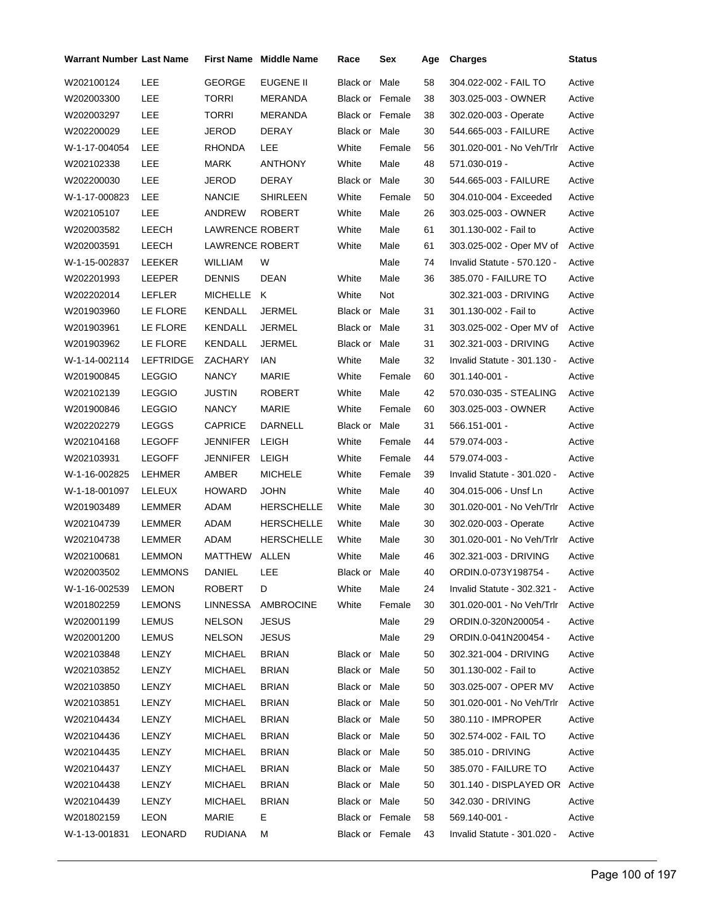| Warrant Number Last Name |                  |                 | First Name Middle Name | Race                   | Sex    | Age | <b>Charges</b>                | <b>Status</b> |
|--------------------------|------------------|-----------------|------------------------|------------------------|--------|-----|-------------------------------|---------------|
| W202100124               | LEE              | GEORGE          | EUGENE II              | Black or               | Male   | 58  | 304.022-002 - FAIL TO         | Active        |
| W202003300               | LEE              | TORRI           | MERANDA                | <b>Black or Female</b> |        | 38  | 303.025-003 - OWNER           | Active        |
| W202003297               | LEE              | TORRI           | <b>MERANDA</b>         | Black or Female        |        | 38  | 302.020-003 - Operate         | Active        |
| W202200029               | LEE              | JEROD           | DERAY                  | Black or Male          |        | 30  | 544.665-003 - FAILURE         | Active        |
| W-1-17-004054            | LEE              | RHONDA          | LEE                    | White                  | Female | 56  | 301.020-001 - No Veh/Trlr     | Active        |
| W202102338               | LEE              | MARK            | ANTHONY                | White                  | Male   | 48  | 571.030-019 -                 | Active        |
| W202200030               | LEE              | JEROD           | DERAY                  | Black or Male          |        | 30  | 544.665-003 - FAILURE         | Active        |
| W-1-17-000823            | LEE              | <b>NANCIE</b>   | SHIRLEEN               | White                  | Female | 50  | 304.010-004 - Exceeded        | Active        |
| W202105107               | <b>LEE</b>       | ANDREW          | <b>ROBERT</b>          | White                  | Male   | 26  | 303.025-003 - OWNER           | Active        |
| W202003582               | LEECH            | LAWRENCE ROBERT |                        | White                  | Male   | 61  | 301.130-002 - Fail to         | Active        |
| W202003591               | LEECH            | LAWRENCE ROBERT |                        | White                  | Male   | 61  | 303.025-002 - Oper MV of      | Active        |
| W-1-15-002837            | LEEKER           | WILLIAM         | W                      |                        | Male   | 74  | Invalid Statute - 570.120 -   | Active        |
| W202201993               | LEEPER           | <b>DENNIS</b>   | <b>DEAN</b>            | White                  | Male   | 36  | 385.070 - FAILURE TO          | Active        |
| W202202014               | LEFLER           | MICHELLE K      |                        | White                  | Not    |     | 302.321-003 - DRIVING         | Active        |
| W201903960               | LE FLORE         | KENDALL         | <b>JERMEL</b>          | Black or Male          |        | 31  | 301.130-002 - Fail to         | Active        |
| W201903961               | LE FLORE         | KENDALL         | <b>JERMEL</b>          | Black or Male          |        | 31  | 303.025-002 - Oper MV of      | Active        |
| W201903962               | LE FLORE         | <b>KENDALL</b>  | <b>JERMEL</b>          | Black or Male          |        | 31  | 302.321-003 - DRIVING         | Active        |
| W-1-14-002114            | <b>LEFTRIDGE</b> | ZACHARY         | IAN                    | White                  | Male   | 32  | Invalid Statute - 301.130 -   | Active        |
| W201900845               | <b>LEGGIO</b>    | <b>NANCY</b>    | MARIE                  | White                  | Female | 60  | 301.140-001 -                 | Active        |
| W202102139               | <b>LEGGIO</b>    | JUSTIN          | <b>ROBERT</b>          | White                  | Male   | 42  | 570.030-035 - STEALING        | Active        |
| W201900846               | <b>LEGGIO</b>    | <b>NANCY</b>    | MARIE                  | White                  | Female | 60  | 303.025-003 - OWNER           | Active        |
| W202202279               | <b>LEGGS</b>     | <b>CAPRICE</b>  | DARNELL                | Black or Male          |        | 31  | 566.151-001 -                 | Active        |
| W202104168               | <b>LEGOFF</b>    | JENNIFER        | LEIGH                  | White                  | Female | 44  | 579.074-003 -                 | Active        |
| W202103931               | <b>LEGOFF</b>    | JENNIFER        | LEIGH                  | White                  | Female | 44  | 579.074-003 -                 | Active        |
| W-1-16-002825            | LEHMER           | AMBER           | <b>MICHELE</b>         | White                  | Female | 39  | Invalid Statute - 301.020 -   | Active        |
| W-1-18-001097            | LELEUX           | <b>HOWARD</b>   | <b>JOHN</b>            | White                  | Male   | 40  | 304.015-006 - Unsf Ln         | Active        |
| W201903489               | LEMMER           | ADAM            | <b>HERSCHELLE</b>      | White                  | Male   | 30  | 301.020-001 - No Veh/Trlr     | Active        |
| W202104739               | LEMMER           | ADAM            | <b>HERSCHELLE</b>      | White                  | Male   | 30  | 302.020-003 - Operate         | Active        |
| W202104738               | LEMMER           | ADAM            | <b>HERSCHELLE</b>      | White                  | Male   | 30  | 301.020-001 - No Veh/Trlr     | Active        |
| W202100681               | <b>LEMMON</b>    | MATTHEW         | ALLEN                  | White                  | Male   | 46  | 302.321-003 - DRIVING         | Active        |
| W202003502               | LEMMONS          | DANIEL LEE      |                        | Black or Male          |        | 40  | ORDIN.0-073Y198754 -          | Active        |
| W-1-16-002539            | <b>LEMON</b>     | <b>ROBERT</b>   | D                      | White                  | Male   | 24  | Invalid Statute - 302.321 -   | Active        |
| W201802259               | LEMONS           | LINNESSA        | AMBROCINE              | White                  | Female | 30  | 301.020-001 - No Veh/Trlr     | Active        |
| W202001199               | <b>LEMUS</b>     | <b>NELSON</b>   | <b>JESUS</b>           |                        | Male   | 29  | ORDIN.0-320N200054 -          | Active        |
| W202001200               | <b>LEMUS</b>     | <b>NELSON</b>   | <b>JESUS</b>           |                        | Male   | 29  | ORDIN.0-041N200454 -          | Active        |
| W202103848               | LENZY            | MICHAEL         | <b>BRIAN</b>           | Black or Male          |        | 50  | 302.321-004 - DRIVING         | Active        |
| W202103852               | LENZY            | <b>MICHAEL</b>  | <b>BRIAN</b>           | Black or Male          |        | 50  | 301.130-002 - Fail to         | Active        |
| W202103850               | LENZY            | <b>MICHAEL</b>  | <b>BRIAN</b>           | Black or Male          |        | 50  | 303.025-007 - OPER MV         | Active        |
| W202103851               | LENZY            | MICHAEL         | <b>BRIAN</b>           | Black or Male          |        | 50  | 301.020-001 - No Veh/Trlr     | Active        |
| W202104434               | LENZY            | <b>MICHAEL</b>  | <b>BRIAN</b>           | Black or Male          |        | 50  | 380.110 - IMPROPER            | Active        |
| W202104436               | LENZY            | MICHAEL         | <b>BRIAN</b>           | Black or Male          |        | 50  | 302.574-002 - FAIL TO         | Active        |
| W202104435               | LENZY            | <b>MICHAEL</b>  | <b>BRIAN</b>           | Black or Male          |        | 50  | 385.010 - DRIVING             | Active        |
| W202104437               | LENZY            | <b>MICHAEL</b>  | <b>BRIAN</b>           | Black or Male          |        | 50  | 385.070 - FAILURE TO          | Active        |
| W202104438               | LENZY            | <b>MICHAEL</b>  | <b>BRIAN</b>           | Black or Male          |        | 50  | 301.140 - DISPLAYED OR Active |               |
| W202104439               | LENZY            | MICHAEL         | <b>BRIAN</b>           | Black or Male          |        | 50  | 342.030 - DRIVING             | Active        |
| W201802159               | LEON             | MARIE           | E.                     | Black or Female        |        | 58  | 569.140-001 -                 | Active        |
| W-1-13-001831            | LEONARD          | <b>RUDIANA</b>  | М                      | Black or Female        |        | 43  | Invalid Statute - 301.020 -   | Active        |
|                          |                  |                 |                        |                        |        |     |                               |               |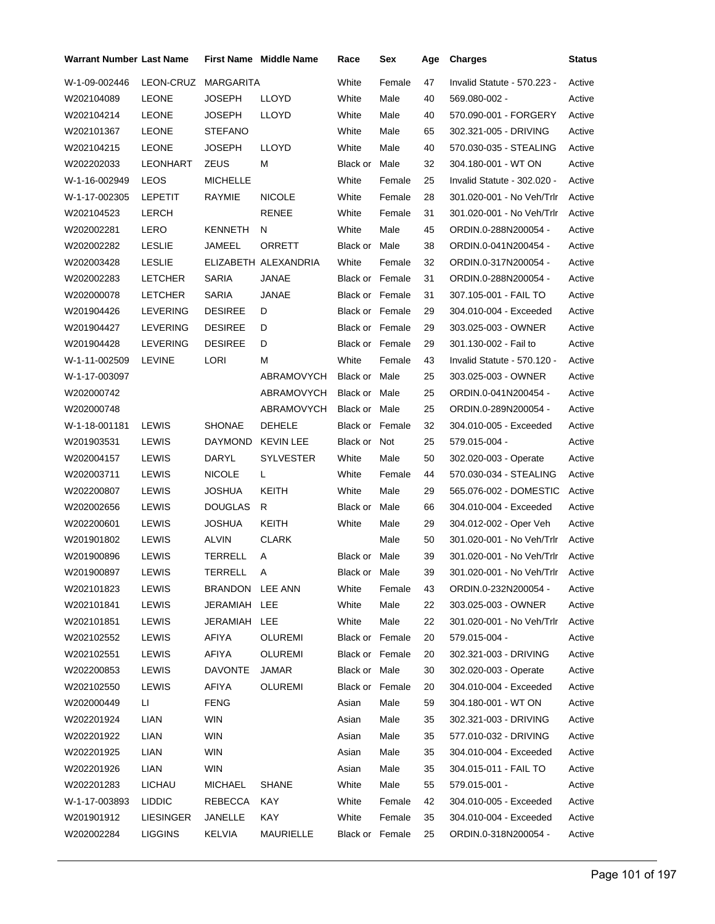| <b>Warrant Number Last Name</b> |                  |                  | <b>First Name</b> Middle Name | Race                   | Sex    | Age | <b>Charges</b>                   | Status |
|---------------------------------|------------------|------------------|-------------------------------|------------------------|--------|-----|----------------------------------|--------|
| W-1-09-002446                   | LEON-CRUZ        | <b>MARGARITA</b> |                               | White                  | Female | 47  | Invalid Statute - 570.223 -      | Active |
| W202104089                      | <b>LEONE</b>     | <b>JOSEPH</b>    | <b>LLOYD</b>                  | White                  | Male   | 40  | 569.080-002 -                    | Active |
| W202104214                      | <b>LEONE</b>     | <b>JOSEPH</b>    | LLOYD                         | White                  | Male   | 40  | 570.090-001 - FORGERY            | Active |
| W202101367                      | <b>LEONE</b>     | <b>STEFANO</b>   |                               | White                  | Male   | 65  | 302.321-005 - DRIVING            | Active |
| W202104215                      | <b>LEONE</b>     | <b>JOSEPH</b>    | <b>LLOYD</b>                  | White                  | Male   | 40  | 570.030-035 - STEALING           | Active |
| W202202033                      | LEONHART         | ZEUS             | м                             | Black or Male          |        | 32  | 304.180-001 - WT ON              | Active |
| W-1-16-002949                   | <b>LEOS</b>      | <b>MICHELLE</b>  |                               | White                  | Female | 25  | Invalid Statute - 302.020 -      | Active |
| W-1-17-002305                   | <b>LEPETIT</b>   | <b>RAYMIE</b>    | <b>NICOLE</b>                 | White                  | Female | 28  | 301.020-001 - No Veh/Trlr        | Active |
| W202104523                      | LERCH            |                  | <b>RENEE</b>                  | White                  | Female | 31  | 301.020-001 - No Veh/Trlr        | Active |
| W202002281                      | LERO             | KENNETH          | N                             | White                  | Male   | 45  | ORDIN.0-288N200054 -             | Active |
| W202002282                      | <b>LESLIE</b>    | JAMEEL           | ORRETT                        | Black or Male          |        | 38  | ORDIN.0-041N200454 -             | Active |
| W202003428                      | <b>LESLIE</b>    |                  | ELIZABETH ALEXANDRIA          | White                  | Female | 32  | ORDIN.0-317N200054 -             | Active |
| W202002283                      | <b>LETCHER</b>   | <b>SARIA</b>     | JANAE                         | <b>Black or Female</b> |        | 31  | ORDIN.0-288N200054 -             | Active |
| W202000078                      | <b>LETCHER</b>   | <b>SARIA</b>     | <b>JANAE</b>                  | <b>Black or Female</b> |        | 31  | 307.105-001 - FAIL TO            | Active |
| W201904426                      | <b>LEVERING</b>  | <b>DESIREE</b>   | D                             | Black or Female        |        | 29  | 304.010-004 - Exceeded           | Active |
| W201904427                      | <b>LEVERING</b>  | <b>DESIREE</b>   | D                             | Black or Female        |        | 29  | 303.025-003 - OWNER              | Active |
| W201904428                      | <b>LEVERING</b>  | <b>DESIREE</b>   | D                             | Black or Female        |        | 29  | 301.130-002 - Fail to            | Active |
| W-1-11-002509                   | <b>LEVINE</b>    | LORI             | М                             | White                  | Female | 43  | Invalid Statute - 570.120 -      | Active |
| W-1-17-003097                   |                  |                  | ABRAMOVYCH                    | Black or Male          |        | 25  | 303.025-003 - OWNER              | Active |
| W202000742                      |                  |                  | ABRAMOVYCH                    | Black or Male          |        | 25  | ORDIN.0-041N200454 -             | Active |
| W202000748                      |                  |                  | ABRAMOVYCH                    | Black or Male          |        | 25  | ORDIN.0-289N200054 -             | Active |
| W-1-18-001181                   | LEWIS            | <b>SHONAE</b>    | <b>DEHELE</b>                 | <b>Black or Female</b> |        | 32  | 304.010-005 - Exceeded           | Active |
| W201903531                      | LEWIS            | <b>DAYMOND</b>   | <b>KEVIN LEE</b>              | Black or Not           |        | 25  | 579.015-004 -                    | Active |
| W202004157                      | LEWIS            | DARYL            | <b>SYLVESTER</b>              | White                  | Male   | 50  | 302.020-003 - Operate            | Active |
| W202003711                      | LEWIS            | <b>NICOLE</b>    | L                             | White                  | Female | 44  | 570.030-034 - STEALING           | Active |
| W202200807                      | LEWIS            | JOSHUA           | KEITH                         | White                  | Male   | 29  | 565.076-002 - DOMESTIC           | Active |
| W202002656                      | <b>LEWIS</b>     | <b>DOUGLAS</b>   | R                             | Black or               | Male   | 66  | 304.010-004 - Exceeded           | Active |
| W202200601                      | LEWIS            | JOSHUA           | KEITH                         | White                  | Male   | 29  | 304.012-002 - Oper Veh           | Active |
| W201901802                      | LEWIS            | <b>ALVIN</b>     | <b>CLARK</b>                  |                        | Male   | 50  | 301.020-001 - No Veh/Trlr        | Active |
| W201900896                      | LEWIS            | TERRELL          | Α                             | <b>Black or Male</b>   |        | 39  | 301.020-001 - No Veh/Trlr        | Active |
| W201900897                      | LEWIS            | TERRELL          | <b>A</b>                      | Black or Male          |        | 39  | 301.020-001 - No Veh/Trlr Active |        |
| W202101823                      | <b>LEWIS</b>     | BRANDON LEE ANN  |                               | White                  | Female | 43  | ORDIN.0-232N200054 -             | Active |
| W202101841                      | <b>LEWIS</b>     | JERAMIAH LEE     |                               | White                  | Male   | 22  | 303.025-003 - OWNER              | Active |
| W202101851                      | <b>LEWIS</b>     | JERAMIAH LEE     |                               | White                  | Male   | 22  | 301.020-001 - No Veh/Trlr        | Active |
| W202102552                      | <b>LEWIS</b>     | <b>AFIYA</b>     | <b>OLUREMI</b>                | Black or Female        |        | 20  | 579.015-004 -                    | Active |
| W202102551                      | LEWIS            | AFIYA            | <b>OLUREMI</b>                | Black or Female        |        | 20  | 302.321-003 - DRIVING            | Active |
| W202200853                      | LEWIS            | <b>DAVONTE</b>   | JAMAR                         | Black or Male          |        | 30  | 302.020-003 - Operate            | Active |
| W202102550                      | <b>LEWIS</b>     | AFIYA            | <b>OLUREMI</b>                | Black or Female        |        | 20  | 304.010-004 - Exceeded           | Active |
| W202000449                      | Ш                | <b>FENG</b>      |                               | Asian                  | Male   | 59  | 304.180-001 - WT ON              | Active |
| W202201924                      | LIAN             | <b>WIN</b>       |                               | Asian                  | Male   | 35  | 302.321-003 - DRIVING            | Active |
| W202201922                      | <b>LIAN</b>      | <b>WIN</b>       |                               | Asian                  | Male   | 35  | 577.010-032 - DRIVING            | Active |
| W202201925                      | LIAN             | <b>WIN</b>       |                               | Asian                  | Male   | 35  | 304.010-004 - Exceeded           | Active |
| W202201926                      | LIAN             | <b>WIN</b>       |                               | Asian                  | Male   | 35  | 304.015-011 - FAIL TO            | Active |
| W202201283                      | <b>LICHAU</b>    | <b>MICHAEL</b>   | <b>SHANE</b>                  | White                  | Male   | 55  | 579.015-001 -                    | Active |
| W-1-17-003893                   | <b>LIDDIC</b>    | REBECCA          | KAY                           | White                  | Female | 42  | 304.010-005 - Exceeded           | Active |
| W201901912                      | <b>LIESINGER</b> | JANELLE          | <b>KAY</b>                    | White                  | Female | 35  | 304.010-004 - Exceeded           | Active |
| W202002284                      | <b>LIGGINS</b>   | <b>KELVIA</b>    | MAURIELLE                     | Black or Female        |        | 25  | ORDIN.0-318N200054 -             | Active |
|                                 |                  |                  |                               |                        |        |     |                                  |        |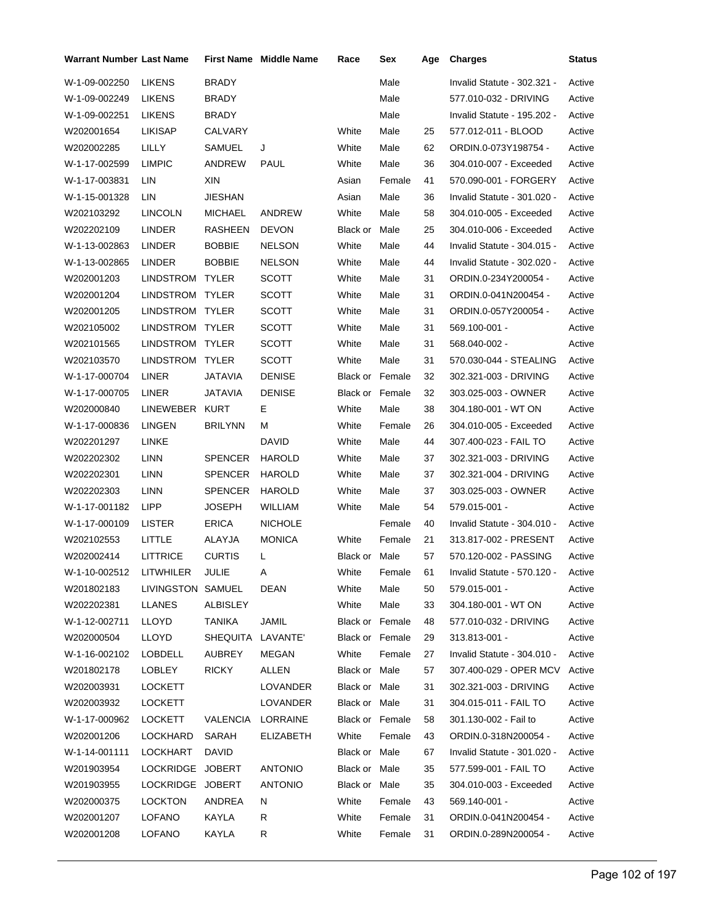| Warrant Number Last Name |                   |                   | First Name Middle Name | Race                   | Sex    | Age | <b>Charges</b>                | <b>Status</b> |
|--------------------------|-------------------|-------------------|------------------------|------------------------|--------|-----|-------------------------------|---------------|
| W-1-09-002250            | <b>LIKENS</b>     | BRADY             |                        |                        | Male   |     | Invalid Statute - 302.321 -   | Active        |
| W-1-09-002249            | <b>LIKENS</b>     | BRADY             |                        |                        | Male   |     | 577.010-032 - DRIVING         | Active        |
| W-1-09-002251            | LIKENS            | BRADY             |                        |                        | Male   |     | Invalid Statute - 195.202 -   | Active        |
| W202001654               | <b>LIKISAP</b>    | CALVARY           |                        | White                  | Male   | 25  | 577.012-011 - BLOOD           | Active        |
| W202002285               | LILLY             | SAMUEL            | J                      | White                  | Male   | 62  | ORDIN.0-073Y198754 -          | Active        |
| W-1-17-002599            | <b>LIMPIC</b>     | ANDREW            | <b>PAUL</b>            | White                  | Male   | 36  | 304.010-007 - Exceeded        | Active        |
| W-1-17-003831            | LIN               | XIN               |                        | Asian                  | Female | 41  | 570.090-001 - FORGERY         | Active        |
| W-1-15-001328            | LIN               | JIESHAN           |                        | Asian                  | Male   | 36  | Invalid Statute - 301.020 -   | Active        |
| W202103292               | LINCOLN           | MICHAEL           | ANDREW                 | White                  | Male   | 58  | 304.010-005 - Exceeded        | Active        |
| W202202109               | LINDER            | RASHEEN           | <b>DEVON</b>           | Black or               | Male   | 25  | 304.010-006 - Exceeded        | Active        |
| W-1-13-002863            | LINDER            | BOBBIE            | <b>NELSON</b>          | White                  | Male   | 44  | Invalid Statute - 304.015 -   | Active        |
| W-1-13-002865            | LINDER            | BOBBIE            | <b>NELSON</b>          | White                  | Male   | 44  | Invalid Statute - 302.020 -   | Active        |
| W202001203               | LINDSTROM TYLER   |                   | <b>SCOTT</b>           | White                  | Male   | 31  | ORDIN.0-234Y200054 -          | Active        |
| W202001204               | LINDSTROM TYLER   |                   | <b>SCOTT</b>           | White                  | Male   | 31  | ORDIN.0-041N200454 -          | Active        |
| W202001205               | LINDSTROM TYLER   |                   | <b>SCOTT</b>           | White                  | Male   | 31  | ORDIN.0-057Y200054 -          | Active        |
| W202105002               | LINDSTROM TYLER   |                   | <b>SCOTT</b>           | White                  | Male   | 31  | 569.100-001 -                 | Active        |
| W202101565               | LINDSTROM TYLER   |                   | <b>SCOTT</b>           | White                  | Male   | 31  | 568.040-002 -                 | Active        |
| W202103570               | LINDSTROM         | <b>TYLER</b>      | <b>SCOTT</b>           | White                  | Male   | 31  | 570.030-044 - STEALING        | Active        |
| W-1-17-000704            | LINER             | JATAVIA           | <b>DENISE</b>          | <b>Black or Female</b> |        | 32  | 302.321-003 - DRIVING         | Active        |
| W-1-17-000705            | LINER             | JATAVIA           | <b>DENISE</b>          | Black or Female        |        | 32  | 303.025-003 - OWNER           | Active        |
| W202000840               | LINEWEBER         | <b>KURT</b>       | Е                      | White                  | Male   | 38  | 304.180-001 - WT ON           | Active        |
| W-1-17-000836            | LINGEN            | <b>BRILYNN</b>    | м                      | White                  | Female | 26  | 304.010-005 - Exceeded        | Active        |
| W202201297               | LINKE             |                   | DAVID                  | White                  | Male   | 44  | 307.400-023 - FAIL TO         | Active        |
| W202202302               | <b>LINN</b>       | <b>SPENCER</b>    | <b>HAROLD</b>          | White                  | Male   | 37  | 302.321-003 - DRIVING         | Active        |
| W202202301               | LINN              | SPENCER           | HAROLD                 | White                  | Male   | 37  | 302.321-004 - DRIVING         | Active        |
| W202202303               | LINN              | SPENCER           | <b>HAROLD</b>          | White                  | Male   | 37  | 303.025-003 - OWNER           | Active        |
| W-1-17-001182            | <b>LIPP</b>       | <b>JOSEPH</b>     | WILLIAM                | White                  | Male   | 54  | 579.015-001 -                 | Active        |
| W-1-17-000109            | <b>LISTER</b>     | ERICA             | <b>NICHOLE</b>         |                        | Female | 40  | Invalid Statute - 304.010 -   | Active        |
| W202102553               | LITTLE            | ALAYJA            | <b>MONICA</b>          | White                  | Female | 21  | 313.817-002 - PRESENT         | Active        |
| W202002414               | LITTRICE          | <b>CURTIS</b>     | L                      | Black or Male          |        | 57  | 570.120-002 - PASSING         | Active        |
| W-1-10-002512            | LITWHILER         | JULIE             | A                      | White                  | Female | 61  | Invalid Statute - 570.120 -   | Active        |
| W201802183               | LIVINGSTON SAMUEL |                   | DEAN                   | White                  | Male   | 50  | 579.015-001 -                 | Active        |
| W202202381               | LLANES            | ALBISLEY          |                        | White                  | Male   | 33  | 304.180-001 - WT ON           | Active        |
| W-1-12-002711            | LLOYD             | TANIKA            | JAMIL                  | Black or Female        |        | 48  | 577.010-032 - DRIVING         | Active        |
| W202000504               | LLOYD             | SHEQUITA LAVANTE' |                        | Black or Female        |        | 29  | 313.813-001 -                 | Active        |
| W-1-16-002102            | <b>LOBDELL</b>    | AUBREY            | MEGAN                  | White                  | Female | 27  | Invalid Statute - 304.010 -   | Active        |
| W201802178               | LOBLEY            | <b>RICKY</b>      | ALLEN                  | Black or Male          |        | 57  | 307.400-029 - OPER MCV Active |               |
| W202003931               | <b>LOCKETT</b>    |                   | LOVANDER               | Black or Male          |        | 31  | 302.321-003 - DRIVING         | Active        |
| W202003932               | LOCKETT           |                   | LOVANDER               | Black or Male          |        | 31  | 304.015-011 - FAIL TO         | Active        |
| W-1-17-000962            | LOCKETT           |                   | VALENCIA LORRAINE      | Black or Female        |        | 58  | 301.130-002 - Fail to         | Active        |
| W202001206               | LOCKHARD          | SARAH             | <b>ELIZABETH</b>       | White                  | Female | 43  | ORDIN.0-318N200054 -          | Active        |
| W-1-14-001111            | <b>LOCKHART</b>   | <b>DAVID</b>      |                        | Black or Male          |        | 67  | Invalid Statute - 301.020 -   | Active        |
| W201903954               | LOCKRIDGE JOBERT  |                   | <b>ANTONIO</b>         | Black or Male          |        | 35  | 577.599-001 - FAIL TO         | Active        |
| W201903955               | LOCKRIDGE JOBERT  |                   | <b>ANTONIO</b>         | Black or Male          |        | 35  | 304.010-003 - Exceeded        | Active        |
| W202000375               | <b>LOCKTON</b>    | ANDREA            | N                      | White                  | Female | 43  | 569.140-001 -                 | Active        |
| W202001207               | LOFANO            | KAYLA             | R                      | White                  | Female | 31  | ORDIN.0-041N200454 -          | Active        |
| W202001208               | LOFANO            | KAYLA             | R                      | White                  | Female | 31  | ORDIN.0-289N200054 -          | Active        |
|                          |                   |                   |                        |                        |        |     |                               |               |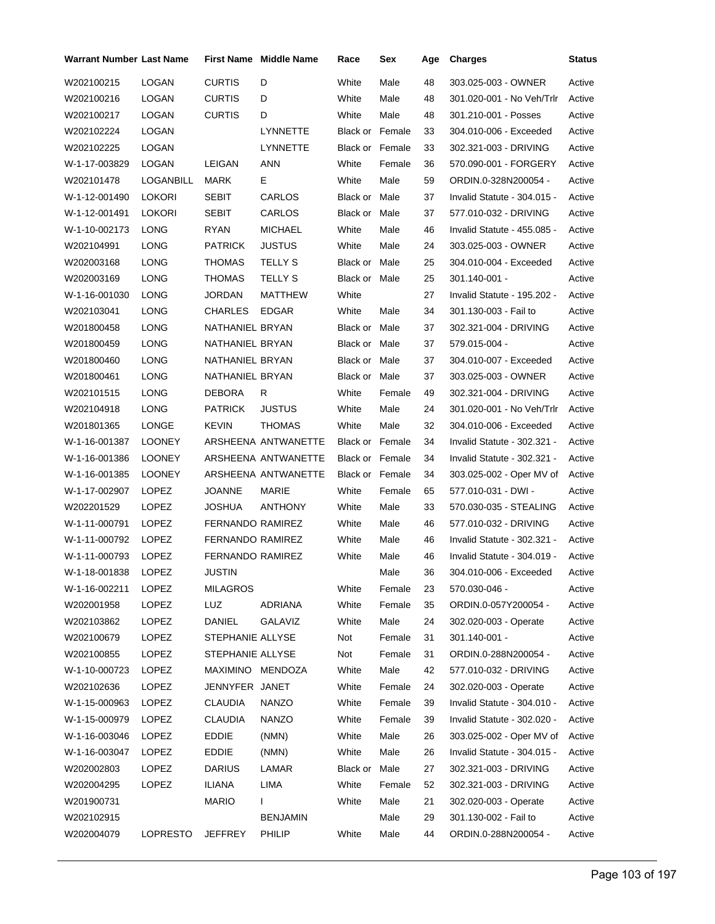| <b>Warrant Number Last Name</b> |               |                         | <b>First Name</b> Middle Name | Race                   | Sex    | Age | <b>Charges</b>              | <b>Status</b> |
|---------------------------------|---------------|-------------------------|-------------------------------|------------------------|--------|-----|-----------------------------|---------------|
| W202100215                      | LOGAN         | <b>CURTIS</b>           | D                             | White                  | Male   | 48  | 303.025-003 - OWNER         | Active        |
| W202100216                      | LOGAN         | <b>CURTIS</b>           | D                             | White                  | Male   | 48  | 301.020-001 - No Veh/Trlr   | Active        |
| W202100217                      | LOGAN         | <b>CURTIS</b>           | D                             | White                  | Male   | 48  | 301.210-001 - Posses        | Active        |
| W202102224                      | LOGAN         |                         | <b>LYNNETTE</b>               | <b>Black or Female</b> |        | 33  | 304.010-006 - Exceeded      | Active        |
| W202102225                      | LOGAN         |                         | LYNNETTE                      | <b>Black or Female</b> |        | 33  | 302.321-003 - DRIVING       | Active        |
| W-1-17-003829                   | <b>LOGAN</b>  | LEIGAN                  | <b>ANN</b>                    | White                  | Female | 36  | 570.090-001 - FORGERY       | Active        |
| W202101478                      | LOGANBILL     | MARK                    | E.                            | White                  | Male   | 59  | ORDIN.0-328N200054 -        | Active        |
| W-1-12-001490                   | <b>LOKORI</b> | SEBIT                   | CARLOS                        | Black or Male          |        | 37  | Invalid Statute - 304.015 - | Active        |
| W-1-12-001491                   | <b>LOKORI</b> | <b>SEBIT</b>            | CARLOS                        | Black or Male          |        | 37  | 577.010-032 - DRIVING       | Active        |
| W-1-10-002173                   | LONG          | RYAN                    | <b>MICHAEL</b>                | White                  | Male   | 46  | Invalid Statute - 455.085 - | Active        |
| W202104991                      | LONG          | <b>PATRICK</b>          | <b>JUSTUS</b>                 | White                  | Male   | 24  | 303.025-003 - OWNER         | Active        |
| W202003168                      | LONG          | THOMAS                  | TELLY S                       | Black or Male          |        | 25  | 304.010-004 - Exceeded      | Active        |
| W202003169                      | LONG          | THOMAS                  | <b>TELLY S</b>                | Black or Male          |        | 25  | 301.140-001 -               | Active        |
| W-1-16-001030                   | LONG          | <b>JORDAN</b>           | MATTHEW                       | White                  |        | 27  | Invalid Statute - 195.202 - | Active        |
| W202103041                      | LONG          | CHARLES                 | <b>EDGAR</b>                  | White                  | Male   | 34  | 301.130-003 - Fail to       | Active        |
| W201800458                      | LONG          | NATHANIEL BRYAN         |                               | Black or Male          |        | 37  | 302.321-004 - DRIVING       | Active        |
| W201800459                      | LONG          | NATHANIEL BRYAN         |                               | Black or Male          |        | 37  | 579.015-004 -               | Active        |
| W201800460                      | LONG          | NATHANIEL BRYAN         |                               | Black or Male          |        | 37  | 304.010-007 - Exceeded      | Active        |
| W201800461                      | LONG          | NATHANIEL BRYAN         |                               | Black or Male          |        | 37  | 303.025-003 - OWNER         | Active        |
| W202101515                      | LONG          | DEBORA                  | R                             | White                  | Female | 49  | 302.321-004 - DRIVING       | Active        |
| W202104918                      | LONG          | <b>PATRICK</b>          | <b>JUSTUS</b>                 | White                  | Male   | 24  | 301.020-001 - No Veh/Trlr   | Active        |
| W201801365                      | <b>LONGE</b>  | KEVIN                   | <b>THOMAS</b>                 | White                  | Male   | 32  | 304.010-006 - Exceeded      | Active        |
| W-1-16-001387                   | <b>LOONEY</b> |                         | ARSHEENA ANTWANETTE           | Black or Female        |        | 34  | Invalid Statute - 302.321 - | Active        |
| W-1-16-001386                   | <b>LOONEY</b> |                         | ARSHEENA ANTWANETTE           | <b>Black or Female</b> |        | 34  | Invalid Statute - 302.321 - | Active        |
| W-1-16-001385                   | <b>LOONEY</b> |                         | ARSHEENA ANTWANETTE           | Black or Female        |        | 34  | 303.025-002 - Oper MV of    | Active        |
| W-1-17-002907                   | <b>LOPEZ</b>  | <b>JOANNE</b>           | MARIE                         | White                  | Female | 65  | 577.010-031 - DWI -         | Active        |
| W202201529                      | <b>LOPEZ</b>  | JOSHUA                  | <b>ANTHONY</b>                | White                  | Male   | 33  | 570.030-035 - STEALING      | Active        |
| W-1-11-000791                   | <b>LOPEZ</b>  | FERNANDO RAMIREZ        |                               | White                  | Male   | 46  | 577.010-032 - DRIVING       | Active        |
| W-1-11-000792                   | LOPEZ         | <b>FERNANDO RAMIREZ</b> |                               | White                  | Male   | 46  | Invalid Statute - 302.321 - | Active        |
| W-1-11-000793                   | <b>LOPEZ</b>  | FERNANDO RAMIREZ        |                               | White                  | Male   | 46  | Invalid Statute - 304.019 - | Active        |
| W-1-18-001838 LOPEZ             |               | JUSTIN                  |                               |                        | Male   | 36  | 304.010-006 - Exceeded      | Active        |
| W-1-16-002211                   | <b>LOPEZ</b>  | <b>MILAGROS</b>         |                               | White                  | Female | 23  | 570.030-046 -               | Active        |
| W202001958                      | LOPEZ         | LUZ                     | ADRIANA                       | White                  | Female | 35  | ORDIN.0-057Y200054 -        | Active        |
| W202103862                      | <b>LOPEZ</b>  | DANIEL                  | <b>GALAVIZ</b>                | White                  | Male   | 24  | 302.020-003 - Operate       | Active        |
| W202100679                      | <b>LOPEZ</b>  | STEPHANIE ALLYSE        |                               | Not                    | Female | 31  | 301.140-001 -               | Active        |
| W202100855                      | LOPEZ         | STEPHANIE ALLYSE        |                               | Not                    | Female | 31  | ORDIN.0-288N200054 -        | Active        |
| W-1-10-000723                   | LOPEZ         | MAXIMINO MENDOZA        |                               | White                  | Male   | 42  | 577.010-032 - DRIVING       | Active        |
| W202102636                      | <b>LOPEZ</b>  | JENNYFER JANET          |                               | White                  | Female | 24  | 302.020-003 - Operate       | Active        |
| W-1-15-000963                   | LOPEZ         | CLAUDIA                 | <b>NANZO</b>                  | White                  | Female | 39  | Invalid Statute - 304.010 - | Active        |
| W-1-15-000979                   | <b>LOPEZ</b>  | <b>CLAUDIA</b>          | <b>NANZO</b>                  | White                  | Female | 39  | Invalid Statute - 302.020 - | Active        |
| W-1-16-003046                   | <b>LOPEZ</b>  | <b>EDDIE</b>            | (NMN)                         | White                  | Male   | 26  | 303.025-002 - Oper MV of    | Active        |
| W-1-16-003047                   | <b>LOPEZ</b>  | <b>EDDIE</b>            | (NMN)                         | White                  | Male   | 26  | Invalid Statute - 304.015 - | Active        |
| W202002803                      | LOPEZ         | <b>DARIUS</b>           | LAMAR                         | Black or Male          |        | 27  | 302.321-003 - DRIVING       | Active        |
| W202004295                      | <b>LOPEZ</b>  | ILIANA                  | LIMA                          | White                  | Female | 52  | 302.321-003 - DRIVING       | Active        |
| W201900731                      |               | <b>MARIO</b>            | $\mathbf{L}$                  | White                  | Male   | 21  | 302.020-003 - Operate       | Active        |
| W202102915                      |               |                         | <b>BENJAMIN</b>               |                        | Male   | 29  | 301.130-002 - Fail to       | Active        |
| W202004079                      | LOPRESTO      | <b>JEFFREY</b>          | <b>PHILIP</b>                 | White                  | Male   | 44  | ORDIN.0-288N200054 -        | Active        |
|                                 |               |                         |                               |                        |        |     |                             |               |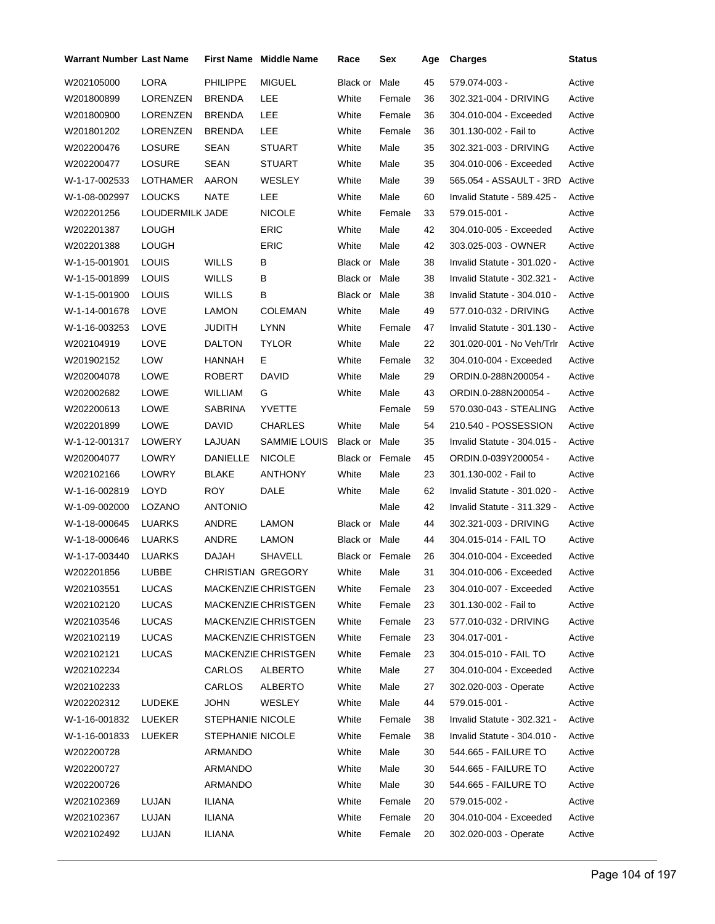| <b>Warrant Number Last Name</b> |                 |                  | <b>First Name Middle Name</b> | Race                   | Sex    | Age | <b>Charges</b>              | Status |
|---------------------------------|-----------------|------------------|-------------------------------|------------------------|--------|-----|-----------------------------|--------|
| W202105000                      | <b>LORA</b>     | <b>PHILIPPE</b>  | <b>MIGUEL</b>                 | Black or               | Male   | 45  | 579.074-003 -               | Active |
| W201800899                      | LORENZEN        | <b>BRENDA</b>    | LEE                           | White                  | Female | 36  | 302.321-004 - DRIVING       | Active |
| W201800900                      | LORENZEN        | <b>BRENDA</b>    | <b>LEE</b>                    | White                  | Female | 36  | 304.010-004 - Exceeded      | Active |
| W201801202                      | LORENZEN        | <b>BRENDA</b>    | LEE                           | White                  | Female | 36  | 301.130-002 - Fail to       | Active |
| W202200476                      | <b>LOSURE</b>   | SEAN             | <b>STUART</b>                 | White                  | Male   | 35  | 302.321-003 - DRIVING       | Active |
| W202200477                      | <b>LOSURE</b>   | SEAN             | <b>STUART</b>                 | White                  | Male   | 35  | 304.010-006 - Exceeded      | Active |
| W-1-17-002533                   | LOTHAMER        | AARON            | WESLEY                        | White                  | Male   | 39  | 565.054 - ASSAULT - 3RD     | Active |
| W-1-08-002997                   | <b>LOUCKS</b>   | NATE             | LEE                           | White                  | Male   | 60  | Invalid Statute - 589.425 - | Active |
| W202201256                      | LOUDERMILK JADE |                  | <b>NICOLE</b>                 | White                  | Female | 33  | 579.015-001 -               | Active |
| W202201387                      | <b>LOUGH</b>    |                  | <b>ERIC</b>                   | White                  | Male   | 42  | 304.010-005 - Exceeded      | Active |
| W202201388                      | <b>LOUGH</b>    |                  | <b>ERIC</b>                   | White                  | Male   | 42  | 303.025-003 - OWNER         | Active |
| W-1-15-001901                   | <b>LOUIS</b>    | WILLS            | B                             | Black or Male          |        | 38  | Invalid Statute - 301.020 - | Active |
| W-1-15-001899                   | LOUIS           | WILLS            | в                             | Black or Male          |        | 38  | Invalid Statute - 302.321 - | Active |
| W-1-15-001900                   | LOUIS           | WILLS            | В                             | Black or Male          |        | 38  | Invalid Statute - 304.010 - | Active |
| W-1-14-001678                   | LOVE            | <b>LAMON</b>     | <b>COLEMAN</b>                | White                  | Male   | 49  | 577.010-032 - DRIVING       | Active |
| W-1-16-003253                   | LOVE            | JUDITH           | <b>LYNN</b>                   | White                  | Female | 47  | Invalid Statute - 301.130 - | Active |
| W202104919                      | LOVE            | <b>DALTON</b>    | <b>TYLOR</b>                  | White                  | Male   | 22  | 301.020-001 - No Veh/Trlr   | Active |
| W201902152                      | LOW             | HANNAH           | Е                             | White                  | Female | 32  | 304.010-004 - Exceeded      | Active |
| W202004078                      | <b>LOWE</b>     | <b>ROBERT</b>    | DAVID                         | White                  | Male   | 29  | ORDIN.0-288N200054 -        | Active |
| W202002682                      | LOWE            | <b>WILLIAM</b>   | G                             | White                  | Male   | 43  | ORDIN.0-288N200054 -        | Active |
| W202200613                      | LOWE            | <b>SABRINA</b>   | <b>YVETTE</b>                 |                        | Female | 59  | 570.030-043 - STEALING      | Active |
| W202201899                      | LOWE            | <b>DAVID</b>     | <b>CHARLES</b>                | White                  | Male   | 54  | 210.540 - POSSESSION        | Active |
| W-1-12-001317                   | LOWERY          | LAJUAN           | SAMMIE LOUIS                  | Black or               | Male   | 35  | Invalid Statute - 304.015 - | Active |
| W202004077                      | LOWRY           | DANIELLE         | <b>NICOLE</b>                 | <b>Black or Female</b> |        | 45  | ORDIN.0-039Y200054 -        | Active |
| W202102166                      | LOWRY           | <b>BLAKE</b>     | <b>ANTHONY</b>                | White                  | Male   | 23  | 301.130-002 - Fail to       | Active |
| W-1-16-002819                   | LOYD            | <b>ROY</b>       | DALE                          | White                  | Male   | 62  | Invalid Statute - 301.020 - | Active |
| W-1-09-002000                   | LOZANO          | <b>ANTONIO</b>   |                               |                        | Male   | 42  | Invalid Statute - 311.329 - | Active |
| W-1-18-000645                   | LUARKS          | ANDRE            | <b>LAMON</b>                  | Black or Male          |        | 44  | 302.321-003 - DRIVING       | Active |
| W-1-18-000646                   | LUARKS          | ANDRE            | <b>LAMON</b>                  | Black or Male          |        | 44  | 304.015-014 - FAIL TO       | Active |
| W-1-17-003440                   | <b>LUARKS</b>   | <b>DAJAH</b>     | <b>SHAVELL</b>                | Black or Female        |        | 26  | 304.010-004 - Exceeded      | Active |
| W202201856                      | LUBBE           |                  | CHRISTIAN GREGORY             | White                  | Male   | 31  | 304.010-006 - Exceeded      | Active |
| W202103551                      | <b>LUCAS</b>    |                  | MACKENZIE CHRISTGEN           | White                  | Female | 23  | 304.010-007 - Exceeded      | Active |
| W202102120                      | LUCAS           |                  | MACKENZIE CHRISTGEN           | White                  | Female | 23  | 301.130-002 - Fail to       | Active |
| W202103546                      | LUCAS           |                  | MACKENZIE CHRISTGEN           | White                  | Female | 23  | 577.010-032 - DRIVING       | Active |
| W202102119                      | <b>LUCAS</b>    |                  | MACKENZIE CHRISTGEN           | White                  | Female | 23  | 304.017-001 -               | Active |
| W202102121                      | LUCAS           |                  | MACKENZIE CHRISTGEN           | White                  | Female | 23  | 304.015-010 - FAIL TO       | Active |
| W202102234                      |                 | CARLOS           | <b>ALBERTO</b>                | White                  | Male   | 27  | 304.010-004 - Exceeded      | Active |
| W202102233                      |                 | CARLOS           | ALBERTO                       | White                  | Male   | 27  | 302.020-003 - Operate       | Active |
| W202202312                      | LUDEKE          | <b>JOHN</b>      | WESLEY                        | White                  | Male   | 44  | 579.015-001 -               | Active |
| W-1-16-001832                   | LUEKER          | STEPHANIE NICOLE |                               | White                  | Female | 38  | Invalid Statute - 302.321 - | Active |
| W-1-16-001833                   | LUEKER          | STEPHANIE NICOLE |                               | White                  | Female | 38  | Invalid Statute - 304.010 - | Active |
| W202200728                      |                 | ARMANDO          |                               | White                  | Male   | 30  | 544.665 - FAILURE TO        | Active |
| W202200727                      |                 | ARMANDO          |                               | White                  | Male   | 30  | 544.665 - FAILURE TO        | Active |
| W202200726                      |                 | ARMANDO          |                               | White                  | Male   | 30  | 544.665 - FAILURE TO        | Active |
| W202102369                      | LUJAN           | ILIANA           |                               | White                  | Female | 20  | 579.015-002 -               | Active |
| W202102367                      | LUJAN           | <b>ILIANA</b>    |                               | White                  | Female | 20  | 304.010-004 - Exceeded      | Active |
| W202102492                      | LUJAN           | ILIANA           |                               | White                  | Female | 20  | 302.020-003 - Operate       | Active |
|                                 |                 |                  |                               |                        |        |     |                             |        |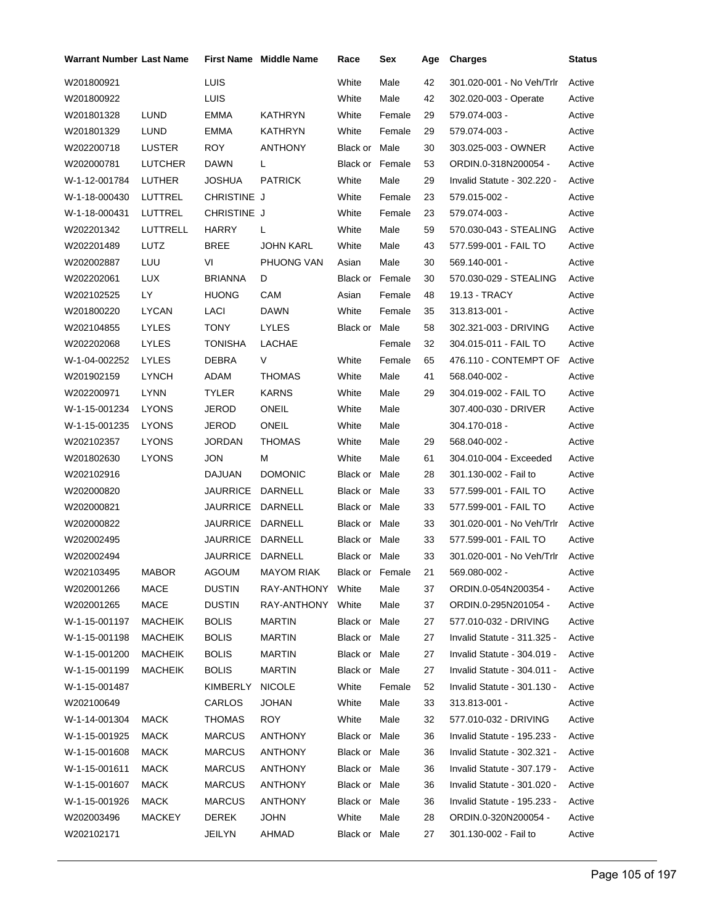| Warrant Number Last Name |                |                 | <b>First Name Middle Name</b> | Race                   | Sex    | Age | <b>Charges</b>              | <b>Status</b> |
|--------------------------|----------------|-----------------|-------------------------------|------------------------|--------|-----|-----------------------------|---------------|
| W201800921               |                | LUIS            |                               | White                  | Male   | 42  | 301.020-001 - No Veh/Trlr   | Active        |
| W201800922               |                | LUIS            |                               | White                  | Male   | 42  | 302.020-003 - Operate       | Active        |
| W201801328               | LUND           | EMMA            | <b>KATHRYN</b>                | White                  | Female | 29  | 579.074-003 -               | Active        |
| W201801329               | LUND           | <b>EMMA</b>     | <b>KATHRYN</b>                | White                  | Female | 29  | 579.074-003 -               | Active        |
| W202200718               | LUSTER         | <b>ROY</b>      | <b>ANTHONY</b>                | Black or Male          |        | 30  | 303.025-003 - OWNER         | Active        |
| W202000781               | <b>LUTCHER</b> | <b>DAWN</b>     | L                             | Black or Female        |        | 53  | ORDIN.0-318N200054 -        | Active        |
| W-1-12-001784            | LUTHER         | JOSHUA          | <b>PATRICK</b>                | White                  | Male   | 29  | Invalid Statute - 302.220 - | Active        |
| W-1-18-000430            | LUTTREL        | CHRISTINE J     |                               | White                  | Female | 23  | 579.015-002 -               | Active        |
| W-1-18-000431            | LUTTREL        | CHRISTINE J     |                               | White                  | Female | 23  | 579.074-003 -               | Active        |
| W202201342               | LUTTRELL       | <b>HARRY</b>    | L                             | White                  | Male   | 59  | 570.030-043 - STEALING      | Active        |
| W202201489               | LUTZ           | BREE            | <b>JOHN KARL</b>              | White                  | Male   | 43  | 577.599-001 - FAIL TO       | Active        |
| W202002887               | LUU            | VI              | PHUONG VAN                    | Asian                  | Male   | 30  | 569.140-001 -               | Active        |
| W202202061               | LUX            | <b>BRIANNA</b>  | D                             | <b>Black or Female</b> |        | 30  | 570.030-029 - STEALING      | Active        |
| W202102525               | LY             | <b>HUONG</b>    | CAM                           | Asian                  | Female | 48  | 19.13 - TRACY               | Active        |
| W201800220               | <b>LYCAN</b>   | LACI            | <b>DAWN</b>                   | White                  | Female | 35  | 313.813-001 -               | Active        |
| W202104855               | <b>LYLES</b>   | <b>TONY</b>     | <b>LYLES</b>                  | Black or Male          |        | 58  | 302.321-003 - DRIVING       | Active        |
| W202202068               | <b>LYLES</b>   | TONISHA         | LACHAE                        |                        | Female | 32  | 304.015-011 - FAIL TO       | Active        |
| W-1-04-002252            | <b>LYLES</b>   | DEBRA           | V                             | White                  | Female | 65  | 476.110 - CONTEMPT OF       | Active        |
| W201902159               | <b>LYNCH</b>   | ADAM            | <b>THOMAS</b>                 | White                  | Male   | 41  | 568.040-002 -               | Active        |
| W202200971               | <b>LYNN</b>    | <b>TYLER</b>    | <b>KARNS</b>                  | White                  | Male   | 29  | 304.019-002 - FAIL TO       | Active        |
| W-1-15-001234            | <b>LYONS</b>   | JEROD           | <b>ONEIL</b>                  | White                  | Male   |     | 307.400-030 - DRIVER        | Active        |
| W-1-15-001235            | <b>LYONS</b>   | JEROD           | ONEIL                         | White                  | Male   |     | 304.170-018 -               | Active        |
| W202102357               | <b>LYONS</b>   | JORDAN          | THOMAS                        | White                  | Male   | 29  | 568.040-002 -               | Active        |
| W201802630               | <b>LYONS</b>   | JON             | м                             | White                  | Male   | 61  | 304.010-004 - Exceeded      | Active        |
| W202102916               |                | DAJUAN          | <b>DOMONIC</b>                | Black or Male          |        | 28  | 301.130-002 - Fail to       | Active        |
| W202000820               |                | <b>JAURRICE</b> | DARNELL                       | Black or Male          |        | 33  | 577.599-001 - FAIL TO       | Active        |
| W202000821               |                | <b>JAURRICE</b> | DARNELL                       | Black or Male          |        | 33  | 577.599-001 - FAIL TO       | Active        |
| W202000822               |                | <b>JAURRICE</b> | DARNELL                       | Black or Male          |        | 33  | 301.020-001 - No Veh/Trlr   | Active        |
| W202002495               |                | <b>JAURRICE</b> | DARNELL                       | Black or Male          |        | 33  | 577.599-001 - FAIL TO       | Active        |
| W202002494               |                | JAURRICE        | DARNELL                       | Black or Male          |        | 33  | 301.020-001 - No Veh/Trlr   | Active        |
| W202103495               | <b>MABOR</b>   | AGOUM           | <b>MAYOM RIAK</b>             | Black or Female        |        | 21  | 569.080-002 -               | Active        |
| W202001266               | MACE           | <b>DUSTIN</b>   | RAY-ANTHONY White             |                        | Male   | 37  | ORDIN.0-054N200354 -        | Active        |
| W202001265               | <b>MACE</b>    | <b>DUSTIN</b>   | RAY-ANTHONY                   | White                  | Male   | 37  | ORDIN.0-295N201054 -        | Active        |
| W-1-15-001197            | <b>MACHEIK</b> | <b>BOLIS</b>    | MARTIN                        | Black or Male          |        | 27  | 577.010-032 - DRIVING       | Active        |
| W-1-15-001198            | <b>MACHEIK</b> | <b>BOLIS</b>    | <b>MARTIN</b>                 | Black or Male          |        | 27  | Invalid Statute - 311.325 - | Active        |
| W-1-15-001200            | MACHEIK        | <b>BOLIS</b>    | MARTIN                        | Black or Male          |        | 27  | Invalid Statute - 304.019 - | Active        |
| W-1-15-001199            | <b>MACHEIK</b> | <b>BOLIS</b>    | MARTIN                        | Black or Male          |        | 27  | Invalid Statute - 304.011 - | Active        |
| W-1-15-001487            |                | KIMBERLY        | <b>NICOLE</b>                 | White                  | Female | 52  | Invalid Statute - 301.130 - | Active        |
| W202100649               |                | CARLOS          | JOHAN                         | White                  | Male   | 33  | 313.813-001 -               | Active        |
| W-1-14-001304            | <b>MACK</b>    | <b>THOMAS</b>   | <b>ROY</b>                    | White                  | Male   | 32  | 577.010-032 - DRIVING       | Active        |
| W-1-15-001925            | MACK           | <b>MARCUS</b>   | <b>ANTHONY</b>                | Black or Male          |        | 36  | Invalid Statute - 195.233 - | Active        |
| W-1-15-001608            | MACK           | <b>MARCUS</b>   | <b>ANTHONY</b>                | Black or Male          |        | 36  | Invalid Statute - 302.321 - | Active        |
| W-1-15-001611            | MACK           | <b>MARCUS</b>   | <b>ANTHONY</b>                | Black or Male          |        | 36  | Invalid Statute - 307.179 - | Active        |
| W-1-15-001607            | MACK           | <b>MARCUS</b>   | ANTHONY                       | Black or Male          |        | 36  | Invalid Statute - 301.020 - | Active        |
| W-1-15-001926            | MACK           | <b>MARCUS</b>   | ANTHONY                       | Black or Male          |        | 36  | Invalid Statute - 195.233 - | Active        |
| W202003496               | MACKEY         | DEREK           | <b>JOHN</b>                   | White                  | Male   | 28  | ORDIN.0-320N200054 -        | Active        |
| W202102171               |                | JEILYN          | AHMAD                         | Black or Male          |        | 27  | 301.130-002 - Fail to       | Active        |
|                          |                |                 |                               |                        |        |     |                             |               |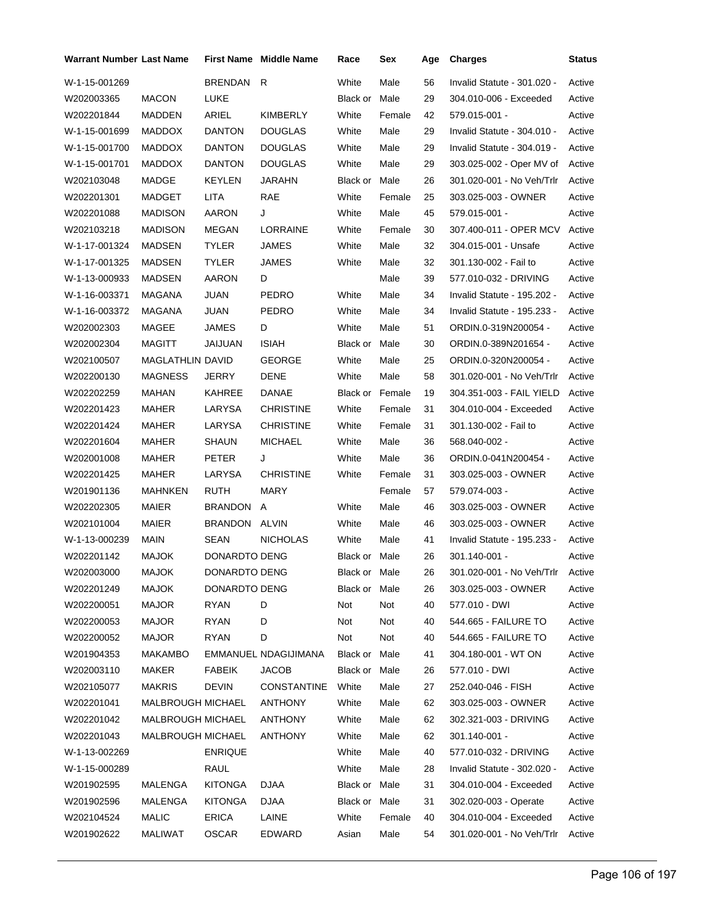| BRENDAN R<br>White<br>W-1-15-001269<br>Male<br>56<br>Invalid Statute - 301.020 -<br>W202003365<br><b>MACON</b><br>LUKE<br>Black or<br>Male<br>29<br>304.010-006 - Exceeded<br><b>ARIEL</b><br><b>KIMBERLY</b><br>42<br>W202201844<br>MADDEN<br>White<br>Female<br>579.015-001 -<br>White<br>29<br>W-1-15-001699<br><b>MADDOX</b><br><b>DANTON</b><br><b>DOUGLAS</b><br>Male<br>Invalid Statute - 304.010 -<br>W-1-15-001700<br><b>MADDOX</b><br><b>DANTON</b><br><b>DOUGLAS</b><br>White<br>Male<br>29<br>Invalid Statute - 304.019 -<br><b>DOUGLAS</b><br>White<br>29<br>W-1-15-001701<br><b>MADDOX</b><br><b>DANTON</b><br>Male<br>303.025-002 - Oper MV of<br>26<br>W202103048<br><b>MADGE</b><br><b>KEYLEN</b><br><b>JARAHN</b><br>Black or Male<br>301.020-001 - No Veh/Trlr<br><b>LITA</b><br>RAE<br>W202201301<br>MADGET<br>White<br>Female<br>25<br>303.025-003 - OWNER<br>White<br>Male<br>45<br>W202201088<br><b>MADISON</b><br>AARON<br>J<br>579.015-001 -<br>LORRAINE<br>307.400-011 - OPER MCV<br>W202103218<br><b>MADISON</b><br>MEGAN<br>White<br>Female<br>30<br>W-1-17-001324<br>MADSEN<br><b>TYLER</b><br>JAMES<br>White<br>Male<br>32<br>304.015-001 - Unsafe<br>32<br>W-1-17-001325<br>MADSEN<br>TYLER<br>JAMES<br>White<br>Male<br>301.130-002 - Fail to<br>AARON<br>39<br>W-1-13-000933<br><b>MADSEN</b><br>D<br>Male<br>577.010-032 - DRIVING<br>White<br>W-1-16-003371<br>MAGANA<br>JUAN<br>PEDRO<br>Male<br>34<br>Invalid Statute - 195.202 -<br>Invalid Statute - 195.233 - | Active<br>Active<br>Active<br>Active<br>Active |                           |    |        |       |               |              |                |               |
|-------------------------------------------------------------------------------------------------------------------------------------------------------------------------------------------------------------------------------------------------------------------------------------------------------------------------------------------------------------------------------------------------------------------------------------------------------------------------------------------------------------------------------------------------------------------------------------------------------------------------------------------------------------------------------------------------------------------------------------------------------------------------------------------------------------------------------------------------------------------------------------------------------------------------------------------------------------------------------------------------------------------------------------------------------------------------------------------------------------------------------------------------------------------------------------------------------------------------------------------------------------------------------------------------------------------------------------------------------------------------------------------------------------------------------------------------------------------------------------------------------|------------------------------------------------|---------------------------|----|--------|-------|---------------|--------------|----------------|---------------|
|                                                                                                                                                                                                                                                                                                                                                                                                                                                                                                                                                                                                                                                                                                                                                                                                                                                                                                                                                                                                                                                                                                                                                                                                                                                                                                                                                                                                                                                                                                       |                                                |                           |    |        |       |               |              |                |               |
|                                                                                                                                                                                                                                                                                                                                                                                                                                                                                                                                                                                                                                                                                                                                                                                                                                                                                                                                                                                                                                                                                                                                                                                                                                                                                                                                                                                                                                                                                                       |                                                |                           |    |        |       |               |              |                |               |
|                                                                                                                                                                                                                                                                                                                                                                                                                                                                                                                                                                                                                                                                                                                                                                                                                                                                                                                                                                                                                                                                                                                                                                                                                                                                                                                                                                                                                                                                                                       |                                                |                           |    |        |       |               |              |                |               |
|                                                                                                                                                                                                                                                                                                                                                                                                                                                                                                                                                                                                                                                                                                                                                                                                                                                                                                                                                                                                                                                                                                                                                                                                                                                                                                                                                                                                                                                                                                       |                                                |                           |    |        |       |               |              |                |               |
|                                                                                                                                                                                                                                                                                                                                                                                                                                                                                                                                                                                                                                                                                                                                                                                                                                                                                                                                                                                                                                                                                                                                                                                                                                                                                                                                                                                                                                                                                                       |                                                |                           |    |        |       |               |              |                |               |
|                                                                                                                                                                                                                                                                                                                                                                                                                                                                                                                                                                                                                                                                                                                                                                                                                                                                                                                                                                                                                                                                                                                                                                                                                                                                                                                                                                                                                                                                                                       | Active                                         |                           |    |        |       |               |              |                |               |
|                                                                                                                                                                                                                                                                                                                                                                                                                                                                                                                                                                                                                                                                                                                                                                                                                                                                                                                                                                                                                                                                                                                                                                                                                                                                                                                                                                                                                                                                                                       | Active                                         |                           |    |        |       |               |              |                |               |
|                                                                                                                                                                                                                                                                                                                                                                                                                                                                                                                                                                                                                                                                                                                                                                                                                                                                                                                                                                                                                                                                                                                                                                                                                                                                                                                                                                                                                                                                                                       | Active                                         |                           |    |        |       |               |              |                |               |
|                                                                                                                                                                                                                                                                                                                                                                                                                                                                                                                                                                                                                                                                                                                                                                                                                                                                                                                                                                                                                                                                                                                                                                                                                                                                                                                                                                                                                                                                                                       | Active                                         |                           |    |        |       |               |              |                |               |
|                                                                                                                                                                                                                                                                                                                                                                                                                                                                                                                                                                                                                                                                                                                                                                                                                                                                                                                                                                                                                                                                                                                                                                                                                                                                                                                                                                                                                                                                                                       | Active                                         |                           |    |        |       |               |              |                |               |
|                                                                                                                                                                                                                                                                                                                                                                                                                                                                                                                                                                                                                                                                                                                                                                                                                                                                                                                                                                                                                                                                                                                                                                                                                                                                                                                                                                                                                                                                                                       | Active                                         |                           |    |        |       |               |              |                |               |
|                                                                                                                                                                                                                                                                                                                                                                                                                                                                                                                                                                                                                                                                                                                                                                                                                                                                                                                                                                                                                                                                                                                                                                                                                                                                                                                                                                                                                                                                                                       | Active                                         |                           |    |        |       |               |              |                |               |
|                                                                                                                                                                                                                                                                                                                                                                                                                                                                                                                                                                                                                                                                                                                                                                                                                                                                                                                                                                                                                                                                                                                                                                                                                                                                                                                                                                                                                                                                                                       | Active                                         |                           |    |        |       |               |              |                |               |
|                                                                                                                                                                                                                                                                                                                                                                                                                                                                                                                                                                                                                                                                                                                                                                                                                                                                                                                                                                                                                                                                                                                                                                                                                                                                                                                                                                                                                                                                                                       | Active                                         |                           |    |        |       |               |              |                |               |
|                                                                                                                                                                                                                                                                                                                                                                                                                                                                                                                                                                                                                                                                                                                                                                                                                                                                                                                                                                                                                                                                                                                                                                                                                                                                                                                                                                                                                                                                                                       | Active                                         |                           | 34 | Male   | White | PEDRO         | JUAN         | MAGANA         | W-1-16-003372 |
| White<br>W202002303<br>MAGEE<br>JAMES<br>D<br>Male<br>51<br>ORDIN.0-319N200054 -                                                                                                                                                                                                                                                                                                                                                                                                                                                                                                                                                                                                                                                                                                                                                                                                                                                                                                                                                                                                                                                                                                                                                                                                                                                                                                                                                                                                                      | Active                                         |                           |    |        |       |               |              |                |               |
| W202002304<br>MAGITT<br>JAIJUAN<br><b>ISIAH</b><br>Black or<br>Male<br>30<br>ORDIN.0-389N201654 -                                                                                                                                                                                                                                                                                                                                                                                                                                                                                                                                                                                                                                                                                                                                                                                                                                                                                                                                                                                                                                                                                                                                                                                                                                                                                                                                                                                                     | Active                                         |                           |    |        |       |               |              |                |               |
| <b>MAGLATHLIN DAVID</b><br><b>GEORGE</b><br>W202100507<br>White<br>Male<br>25<br>ORDIN.0-320N200054 -                                                                                                                                                                                                                                                                                                                                                                                                                                                                                                                                                                                                                                                                                                                                                                                                                                                                                                                                                                                                                                                                                                                                                                                                                                                                                                                                                                                                 | Active                                         |                           |    |        |       |               |              |                |               |
| <b>MAGNESS</b><br>DENE<br>White<br>58<br>W202200130<br>JERRY<br>Male<br>301.020-001 - No Veh/Trlr                                                                                                                                                                                                                                                                                                                                                                                                                                                                                                                                                                                                                                                                                                                                                                                                                                                                                                                                                                                                                                                                                                                                                                                                                                                                                                                                                                                                     | Active                                         |                           |    |        |       |               |              |                |               |
| W202202259<br>MAHAN<br>KAHREE<br>DANAE<br><b>Black or Female</b><br>19<br>304.351-003 - FAIL YIELD                                                                                                                                                                                                                                                                                                                                                                                                                                                                                                                                                                                                                                                                                                                                                                                                                                                                                                                                                                                                                                                                                                                                                                                                                                                                                                                                                                                                    | Active                                         |                           |    |        |       |               |              |                |               |
| White<br>31<br>W202201423<br>MAHER<br>LARYSA<br><b>CHRISTINE</b><br>Female<br>304.010-004 - Exceeded                                                                                                                                                                                                                                                                                                                                                                                                                                                                                                                                                                                                                                                                                                                                                                                                                                                                                                                                                                                                                                                                                                                                                                                                                                                                                                                                                                                                  | Active                                         |                           |    |        |       |               |              |                |               |
| LARYSA<br><b>CHRISTINE</b><br>White<br>W202201424<br>MAHER<br>Female<br>31<br>301.130-002 - Fail to                                                                                                                                                                                                                                                                                                                                                                                                                                                                                                                                                                                                                                                                                                                                                                                                                                                                                                                                                                                                                                                                                                                                                                                                                                                                                                                                                                                                   | Active                                         |                           |    |        |       |               |              |                |               |
| W202201604<br>MAHER<br>SHAUN<br><b>MICHAEL</b><br>White<br>Male<br>36<br>568.040-002 -                                                                                                                                                                                                                                                                                                                                                                                                                                                                                                                                                                                                                                                                                                                                                                                                                                                                                                                                                                                                                                                                                                                                                                                                                                                                                                                                                                                                                | Active                                         |                           |    |        |       |               |              |                |               |
| White<br>W202001008<br>MAHER<br><b>PETER</b><br>J<br>Male<br>36<br>ORDIN.0-041N200454 -                                                                                                                                                                                                                                                                                                                                                                                                                                                                                                                                                                                                                                                                                                                                                                                                                                                                                                                                                                                                                                                                                                                                                                                                                                                                                                                                                                                                               | Active                                         |                           |    |        |       |               |              |                |               |
| <b>CHRISTINE</b><br>31<br>W202201425<br>MAHER<br>LARYSA<br>White<br>Female<br>303.025-003 - OWNER                                                                                                                                                                                                                                                                                                                                                                                                                                                                                                                                                                                                                                                                                                                                                                                                                                                                                                                                                                                                                                                                                                                                                                                                                                                                                                                                                                                                     | Active                                         |                           |    |        |       |               |              |                |               |
| W201901136<br>MAHNKEN<br>RUTH<br>MARY<br>Female<br>57<br>579.074-003 -                                                                                                                                                                                                                                                                                                                                                                                                                                                                                                                                                                                                                                                                                                                                                                                                                                                                                                                                                                                                                                                                                                                                                                                                                                                                                                                                                                                                                                | Active                                         |                           |    |        |       |               |              |                |               |
| White<br>Male<br>46<br>W202202305<br><b>MAIER</b><br>BRANDON<br>A<br>303.025-003 - OWNER                                                                                                                                                                                                                                                                                                                                                                                                                                                                                                                                                                                                                                                                                                                                                                                                                                                                                                                                                                                                                                                                                                                                                                                                                                                                                                                                                                                                              | Active                                         |                           |    |        |       |               |              |                |               |
| BRANDON ALVIN<br>W202101004<br>MAIER<br>White<br>Male<br>46<br>303.025-003 - OWNER                                                                                                                                                                                                                                                                                                                                                                                                                                                                                                                                                                                                                                                                                                                                                                                                                                                                                                                                                                                                                                                                                                                                                                                                                                                                                                                                                                                                                    | Active                                         |                           |    |        |       |               |              |                |               |
| W-1-13-000239<br>MAIN<br>SEAN<br><b>NICHOLAS</b><br>White<br>Male<br>41<br>Invalid Statute - 195.233 -                                                                                                                                                                                                                                                                                                                                                                                                                                                                                                                                                                                                                                                                                                                                                                                                                                                                                                                                                                                                                                                                                                                                                                                                                                                                                                                                                                                                | Active                                         |                           |    |        |       |               |              |                |               |
| DONARDTO DENG<br>Black or Male<br>26<br>301.140-001 -<br>W202201142<br><b>MAJOK</b>                                                                                                                                                                                                                                                                                                                                                                                                                                                                                                                                                                                                                                                                                                                                                                                                                                                                                                                                                                                                                                                                                                                                                                                                                                                                                                                                                                                                                   | Active                                         |                           |    |        |       |               |              |                |               |
| 26<br>W202003000<br>MAJOK<br>DONARDTO DENG<br>301.020-001 - No Veh/Trlr<br>Black or Male                                                                                                                                                                                                                                                                                                                                                                                                                                                                                                                                                                                                                                                                                                                                                                                                                                                                                                                                                                                                                                                                                                                                                                                                                                                                                                                                                                                                              | Active                                         |                           |    |        |       |               |              |                |               |
| W202201249<br>DONARDTO DENG<br>MAJOK<br>Black or Male<br>26<br>303.025-003 - OWNER                                                                                                                                                                                                                                                                                                                                                                                                                                                                                                                                                                                                                                                                                                                                                                                                                                                                                                                                                                                                                                                                                                                                                                                                                                                                                                                                                                                                                    | Active                                         |                           |    |        |       |               |              |                |               |
| W202200051<br><b>MAJOR</b><br>RYAN<br>D<br>Not<br>Not<br>40<br>577.010 - DWI                                                                                                                                                                                                                                                                                                                                                                                                                                                                                                                                                                                                                                                                                                                                                                                                                                                                                                                                                                                                                                                                                                                                                                                                                                                                                                                                                                                                                          | Active                                         |                           |    |        |       |               |              |                |               |
| W202200053<br><b>MAJOR</b><br><b>RYAN</b><br>D<br>Not<br>544.665 - FAILURE TO<br>Not<br>40                                                                                                                                                                                                                                                                                                                                                                                                                                                                                                                                                                                                                                                                                                                                                                                                                                                                                                                                                                                                                                                                                                                                                                                                                                                                                                                                                                                                            | Active                                         |                           |    |        |       |               |              |                |               |
| Not<br>Not<br>W202200052<br><b>MAJOR</b><br>RYAN<br>D<br>40<br>544.665 - FAILURE TO                                                                                                                                                                                                                                                                                                                                                                                                                                                                                                                                                                                                                                                                                                                                                                                                                                                                                                                                                                                                                                                                                                                                                                                                                                                                                                                                                                                                                   | Active                                         |                           |    |        |       |               |              |                |               |
| EMMANUEL NDAGIJIMANA<br>Black or Male<br>W201904353<br>MAKAMBO<br>41<br>304.180-001 - WT ON                                                                                                                                                                                                                                                                                                                                                                                                                                                                                                                                                                                                                                                                                                                                                                                                                                                                                                                                                                                                                                                                                                                                                                                                                                                                                                                                                                                                           | Active                                         |                           |    |        |       |               |              |                |               |
| <b>FABEIK</b><br><b>JACOB</b><br>W202003110<br>MAKER<br>Black or Male<br>577.010 - DWI<br>26                                                                                                                                                                                                                                                                                                                                                                                                                                                                                                                                                                                                                                                                                                                                                                                                                                                                                                                                                                                                                                                                                                                                                                                                                                                                                                                                                                                                          | Active                                         |                           |    |        |       |               |              |                |               |
| W202105077<br>MAKRIS<br><b>DEVIN</b><br>CONSTANTINE<br>White<br>Male<br>27<br>252.040-046 - FISH                                                                                                                                                                                                                                                                                                                                                                                                                                                                                                                                                                                                                                                                                                                                                                                                                                                                                                                                                                                                                                                                                                                                                                                                                                                                                                                                                                                                      | Active                                         |                           |    |        |       |               |              |                |               |
| W202201041<br><b>ANTHONY</b><br>White<br>Male<br><b>MALBROUGH MICHAEL</b><br>62<br>303.025-003 - OWNER                                                                                                                                                                                                                                                                                                                                                                                                                                                                                                                                                                                                                                                                                                                                                                                                                                                                                                                                                                                                                                                                                                                                                                                                                                                                                                                                                                                                | Active                                         |                           |    |        |       |               |              |                |               |
| MALBROUGH MICHAEL<br><b>ANTHONY</b><br>White<br>Male<br>302.321-003 - DRIVING<br>W202201042<br>62                                                                                                                                                                                                                                                                                                                                                                                                                                                                                                                                                                                                                                                                                                                                                                                                                                                                                                                                                                                                                                                                                                                                                                                                                                                                                                                                                                                                     | Active                                         |                           |    |        |       |               |              |                |               |
| White<br>Male<br>W202201043<br><b>MALBROUGH MICHAEL</b><br>ANTHONY<br>62<br>301.140-001 -                                                                                                                                                                                                                                                                                                                                                                                                                                                                                                                                                                                                                                                                                                                                                                                                                                                                                                                                                                                                                                                                                                                                                                                                                                                                                                                                                                                                             | Active                                         |                           |    |        |       |               |              |                |               |
| White<br>Male<br>W-1-13-002269<br><b>ENRIQUE</b><br>40<br>577.010-032 - DRIVING                                                                                                                                                                                                                                                                                                                                                                                                                                                                                                                                                                                                                                                                                                                                                                                                                                                                                                                                                                                                                                                                                                                                                                                                                                                                                                                                                                                                                       | Active                                         |                           |    |        |       |               |              |                |               |
| <b>RAUL</b><br>White<br>Male<br>W-1-15-000289<br>28<br>Invalid Statute - 302.020 -                                                                                                                                                                                                                                                                                                                                                                                                                                                                                                                                                                                                                                                                                                                                                                                                                                                                                                                                                                                                                                                                                                                                                                                                                                                                                                                                                                                                                    | Active                                         |                           |    |        |       |               |              |                |               |
| W201902595<br>MALENGA<br><b>KITONGA</b><br>DJAA<br>Black or Male<br>31<br>304.010-004 - Exceeded                                                                                                                                                                                                                                                                                                                                                                                                                                                                                                                                                                                                                                                                                                                                                                                                                                                                                                                                                                                                                                                                                                                                                                                                                                                                                                                                                                                                      | Active                                         |                           |    |        |       |               |              |                |               |
| <b>DJAA</b><br>W201902596<br>MALENGA<br><b>KITONGA</b><br>Black or Male<br>31<br>302.020-003 - Operate                                                                                                                                                                                                                                                                                                                                                                                                                                                                                                                                                                                                                                                                                                                                                                                                                                                                                                                                                                                                                                                                                                                                                                                                                                                                                                                                                                                                | Active                                         |                           |    |        |       |               |              |                |               |
| 304.010-004 - Exceeded                                                                                                                                                                                                                                                                                                                                                                                                                                                                                                                                                                                                                                                                                                                                                                                                                                                                                                                                                                                                                                                                                                                                                                                                                                                                                                                                                                                                                                                                                | Active                                         |                           | 40 | Female | White | LAINE         | <b>ERICA</b> | <b>MALIC</b>   | W202104524    |
|                                                                                                                                                                                                                                                                                                                                                                                                                                                                                                                                                                                                                                                                                                                                                                                                                                                                                                                                                                                                                                                                                                                                                                                                                                                                                                                                                                                                                                                                                                       | Active                                         | 301.020-001 - No Veh/Trlr | 54 | Male   | Asian | <b>EDWARD</b> | <b>OSCAR</b> | <b>MALIWAT</b> | W201902622    |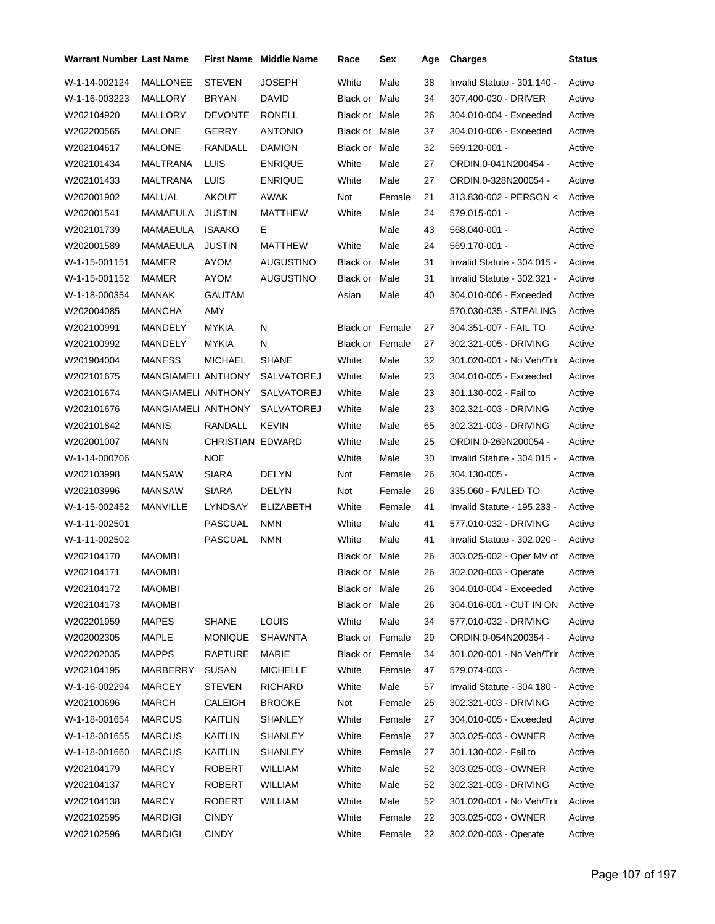| <b>Warrant Number Last Name</b> |                    |                         | <b>First Name</b> Middle Name | Race                   | Sex    | Age | <b>Charges</b>              | <b>Status</b> |
|---------------------------------|--------------------|-------------------------|-------------------------------|------------------------|--------|-----|-----------------------------|---------------|
| W-1-14-002124                   | <b>MALLONEE</b>    | <b>STEVEN</b>           | <b>JOSEPH</b>                 | White                  | Male   | 38  | Invalid Statute - 301.140 - | Active        |
| W-1-16-003223                   | MALLORY            | <b>BRYAN</b>            | <b>DAVID</b>                  | Black or               | Male   | 34  | 307.400-030 - DRIVER        | Active        |
| W202104920                      | MALLORY            | <b>DEVONTE</b>          | <b>RONELL</b>                 | Black or               | Male   | 26  | 304.010-004 - Exceeded      | Active        |
| W202200565                      | <b>MALONE</b>      | GERRY                   | <b>ANTONIO</b>                | Black or               | Male   | 37  | 304.010-006 - Exceeded      | Active        |
| W202104617                      | <b>MALONE</b>      | RANDALL                 | <b>DAMION</b>                 | Black or               | Male   | 32  | 569.120-001 -               | Active        |
| W202101434                      | MALTRANA           | LUIS                    | <b>ENRIQUE</b>                | White                  | Male   | 27  | ORDIN.0-041N200454 -        | Active        |
| W202101433                      | <b>MALTRANA</b>    | LUIS                    | <b>ENRIQUE</b>                | White                  | Male   | 27  | ORDIN.0-328N200054 -        | Active        |
| W202001902                      | MALUAL             | AKOUT                   | AWAK                          | Not                    | Female | 21  | 313.830-002 - PERSON <      | Active        |
| W202001541                      | MAMAEULA           | <b>JUSTIN</b>           | MATTHEW                       | White                  | Male   | 24  | 579.015-001 -               | Active        |
| W202101739                      | MAMAEULA           | <b>ISAAKO</b>           | Е                             |                        | Male   | 43  | 568.040-001 -               | Active        |
| W202001589                      | MAMAEULA           | <b>JUSTIN</b>           | MATTHEW                       | White                  | Male   | 24  | 569.170-001 -               | Active        |
| W-1-15-001151                   | MAMER              | AYOM                    | AUGUSTINO                     | Black or Male          |        | 31  | Invalid Statute - 304.015 - | Active        |
| W-1-15-001152                   | MAMER              | AYOM                    | AUGUSTINO                     | Black or Male          |        | 31  | Invalid Statute - 302.321 - | Active        |
| W-1-18-000354                   | MANAK              | <b>GAUTAM</b>           |                               | Asian                  | Male   | 40  | 304.010-006 - Exceeded      | Active        |
| W202004085                      | <b>MANCHA</b>      | AMY                     |                               |                        |        |     | 570.030-035 - STEALING      | Active        |
| W202100991                      | MANDELY            | MYKIA                   | N                             | <b>Black or Female</b> |        | 27  | 304.351-007 - FAIL TO       | Active        |
| W202100992                      | MANDELY            | <b>MYKIA</b>            | N                             | <b>Black or Female</b> |        | 27  | 302.321-005 - DRIVING       | Active        |
| W201904004                      | <b>MANESS</b>      | <b>MICHAEL</b>          | <b>SHANE</b>                  | White                  | Male   | 32  | 301.020-001 - No Veh/Trlr   | Active        |
| W202101675                      | MANGIAMELI ANTHONY |                         | SALVATOREJ                    | White                  | Male   | 23  | 304.010-005 - Exceeded      | Active        |
| W202101674                      | MANGIAMELI ANTHONY |                         | SALVATOREJ                    | White                  | Male   | 23  | 301.130-002 - Fail to       | Active        |
| W202101676                      | MANGIAMELI ANTHONY |                         | SALVATOREJ                    | White                  | Male   | 23  | 302.321-003 - DRIVING       | Active        |
| W202101842                      | <b>MANIS</b>       | RANDALL                 | <b>KEVIN</b>                  | White                  | Male   | 65  | 302.321-003 - DRIVING       | Active        |
| W202001007                      | <b>MANN</b>        | <b>CHRISTIAN EDWARD</b> |                               | White                  | Male   | 25  | ORDIN.0-269N200054 -        | Active        |
| W-1-14-000706                   |                    | <b>NOE</b>              |                               | White                  | Male   | 30  | Invalid Statute - 304.015 - | Active        |
| W202103998                      | <b>MANSAW</b>      | <b>SIARA</b>            | DELYN                         | Not                    | Female | 26  | 304.130-005 -               | Active        |
| W202103996                      | <b>MANSAW</b>      | <b>SIARA</b>            | <b>DELYN</b>                  | Not                    | Female | 26  | 335.060 - FAILED TO         | Active        |
| W-1-15-002452                   | MANVILLE           | LYNDSAY                 | <b>ELIZABETH</b>              | White                  | Female | 41  | Invalid Statute - 195.233 - | Active        |
| W-1-11-002501                   |                    | PASCUAL                 | <b>NMN</b>                    | White                  | Male   | 41  | 577.010-032 - DRIVING       | Active        |
| W-1-11-002502                   |                    | <b>PASCUAL</b>          | <b>NMN</b>                    | White                  | Male   | 41  | Invalid Statute - 302.020 - | Active        |
| W202104170                      | <b>MAOMBI</b>      |                         |                               | <b>Black or Male</b>   |        | 26  | 303.025-002 - Oper MV of    | Active        |
| W202104171                      | <b>MAOMBI</b>      |                         |                               | Black or Male          |        | 26  | 302.020-003 - Operate       | Active        |
| W202104172                      | MAOMBI             |                         |                               | Black or Male          |        | 26  | 304.010-004 - Exceeded      | Active        |
| W202104173                      | MAOMBI             |                         |                               | Black or Male          |        | 26  | 304.016-001 - CUT IN ON     | Active        |
| W202201959                      | <b>MAPES</b>       | SHANE                   | <b>LOUIS</b>                  | White                  | Male   | 34  | 577.010-032 - DRIVING       | Active        |
| W202002305                      | <b>MAPLE</b>       | <b>MONIQUE</b>          | <b>SHAWNTA</b>                | Black or Female        |        | 29  | ORDIN.0-054N200354 -        | Active        |
| W202202035                      | <b>MAPPS</b>       | <b>RAPTURE</b>          | MARIE                         | Black or Female        |        | 34  | 301.020-001 - No Veh/Trlr   | Active        |
| W202104195                      | MARBERRY           | <b>SUSAN</b>            | <b>MICHELLE</b>               | White                  | Female | 47  | 579.074-003 -               | Active        |
| W-1-16-002294                   | MARCEY             | <b>STEVEN</b>           | <b>RICHARD</b>                | White                  | Male   | 57  | Invalid Statute - 304.180 - | Active        |
| W202100696                      | <b>MARCH</b>       | CALEIGH                 | <b>BROOKE</b>                 | Not                    | Female | 25  | 302.321-003 - DRIVING       | Active        |
| W-1-18-001654                   | <b>MARCUS</b>      | KAITLIN                 | SHANLEY                       | White                  | Female | 27  | 304.010-005 - Exceeded      | Active        |
| W-1-18-001655                   | <b>MARCUS</b>      | <b>KAITLIN</b>          | <b>SHANLEY</b>                | White                  | Female | 27  | 303.025-003 - OWNER         | Active        |
| W-1-18-001660                   | <b>MARCUS</b>      | <b>KAITLIN</b>          | SHANLEY                       | White                  | Female | 27  | 301.130-002 - Fail to       | Active        |
| W202104179                      | <b>MARCY</b>       | ROBERT                  | WILLIAM                       | White                  | Male   | 52  | 303.025-003 - OWNER         | Active        |
| W202104137                      | <b>MARCY</b>       | <b>ROBERT</b>           | WILLIAM                       | White                  | Male   | 52  | 302.321-003 - DRIVING       | Active        |
| W202104138                      | <b>MARCY</b>       | <b>ROBERT</b>           | <b>WILLIAM</b>                | White                  | Male   | 52  | 301.020-001 - No Veh/Trlr   | Active        |
| W202102595                      | <b>MARDIGI</b>     | <b>CINDY</b>            |                               | White                  | Female | 22  | 303.025-003 - OWNER         | Active        |
| W202102596                      | MARDIGI            | <b>CINDY</b>            |                               | White                  | Female | 22  | 302.020-003 - Operate       | Active        |
|                                 |                    |                         |                               |                        |        |     |                             |               |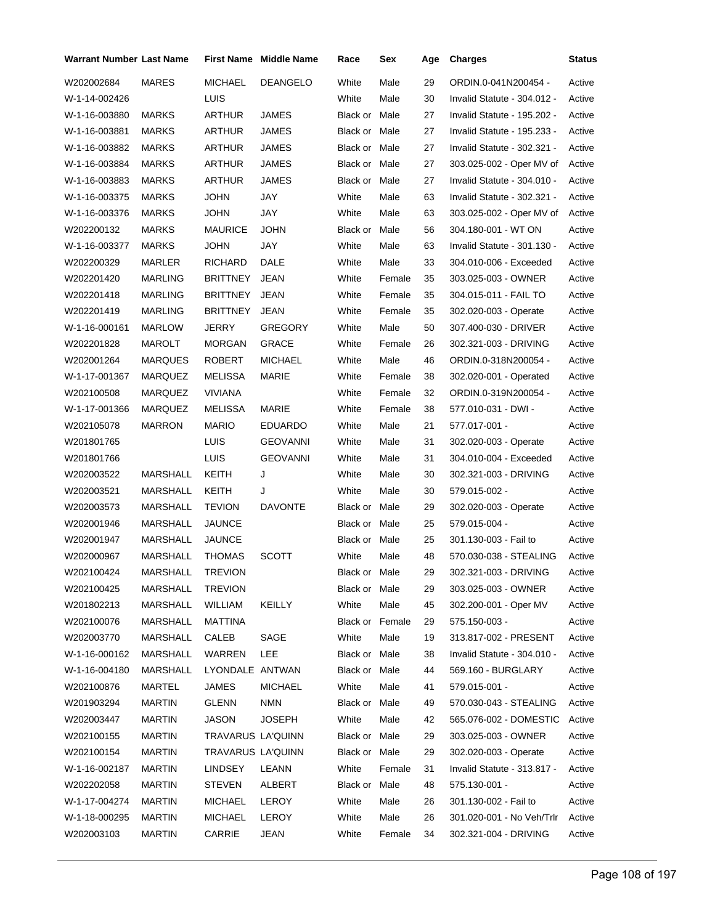| Warrant Number Last Name |                 |                   | First Name Middle Name | Race            | Sex    | Age | <b>Charges</b>              | <b>Status</b> |
|--------------------------|-----------------|-------------------|------------------------|-----------------|--------|-----|-----------------------------|---------------|
| W202002684               | <b>MARES</b>    | <b>MICHAEL</b>    | <b>DEANGELO</b>        | White           | Male   | 29  | ORDIN.0-041N200454 -        | Active        |
| W-1-14-002426            |                 | LUIS              |                        | White           | Male   | 30  | Invalid Statute - 304.012 - | Active        |
| W-1-16-003880            | <b>MARKS</b>    | ARTHUR            | <b>JAMES</b>           | Black or Male   |        | 27  | Invalid Statute - 195.202 - | Active        |
| W-1-16-003881            | MARKS           | ARTHUR            | JAMES                  | Black or Male   |        | 27  | Invalid Statute - 195.233 - | Active        |
| W-1-16-003882            | MARKS           | ARTHUR            | JAMES                  | Black or Male   |        | 27  | Invalid Statute - 302.321 - | Active        |
| W-1-16-003884            | MARKS           | ARTHUR            | JAMES                  | Black or Male   |        | 27  | 303.025-002 - Oper MV of    | Active        |
| W-1-16-003883            | MARKS           | ARTHUR            | JAMES                  | Black or Male   |        | 27  | Invalid Statute - 304.010 - | Active        |
| W-1-16-003375            | <b>MARKS</b>    | JOHN              | JAY                    | White           | Male   | 63  | Invalid Statute - 302.321 - | Active        |
| W-1-16-003376            | MARKS           | JOHN              | JAY                    | White           | Male   | 63  | 303.025-002 - Oper MV of    | Active        |
| W202200132               | MARKS           | <b>MAURICE</b>    | <b>JOHN</b>            | Black or        | Male   | 56  | 304.180-001 - WT ON         | Active        |
| W-1-16-003377            | <b>MARKS</b>    | <b>JOHN</b>       | JAY                    | White           | Male   | 63  | Invalid Statute - 301.130 - | Active        |
| W202200329               | MARLER          | RICHARD           | DALE                   | White           | Male   | 33  | 304.010-006 - Exceeded      | Active        |
| W202201420               | <b>MARLING</b>  | <b>BRITTNEY</b>   | <b>JEAN</b>            | White           | Female | 35  | 303.025-003 - OWNER         | Active        |
| W202201418               | <b>MARLING</b>  | <b>BRITTNEY</b>   | <b>JEAN</b>            | White           | Female | 35  | 304.015-011 - FAIL TO       | Active        |
| W202201419               | MARLING         | <b>BRITTNEY</b>   | <b>JEAN</b>            | White           | Female | 35  | 302.020-003 - Operate       | Active        |
| W-1-16-000161            | <b>MARLOW</b>   | <b>JERRY</b>      | <b>GREGORY</b>         | White           | Male   | 50  | 307.400-030 - DRIVER        | Active        |
| W202201828               | MAROLT          | <b>MORGAN</b>     | <b>GRACE</b>           | White           | Female | 26  | 302.321-003 - DRIVING       | Active        |
| W202001264               | MARQUES         | <b>ROBERT</b>     | <b>MICHAEL</b>         | White           | Male   | 46  | ORDIN.0-318N200054 -        | Active        |
| W-1-17-001367            | MARQUEZ         | MELISSA           | MARIE                  | White           | Female | 38  | 302.020-001 - Operated      | Active        |
| W202100508               | MARQUEZ         | <b>VIVIANA</b>    |                        | White           | Female | 32  | ORDIN.0-319N200054 -        | Active        |
| W-1-17-001366            | MARQUEZ         | MELISSA           | MARIE                  | White           | Female | 38  | 577.010-031 - DWI -         | Active        |
| W202105078               | <b>MARRON</b>   | <b>MARIO</b>      | <b>EDUARDO</b>         | White           | Male   | 21  | 577.017-001 -               | Active        |
| W201801765               |                 | <b>LUIS</b>       | <b>GEOVANNI</b>        | White           | Male   | 31  | 302.020-003 - Operate       | Active        |
| W201801766               |                 | LUIS              | <b>GEOVANNI</b>        | White           | Male   | 31  | 304.010-004 - Exceeded      | Active        |
| W202003522               | MARSHALL        | KEITH             | J                      | White           | Male   | 30  | 302.321-003 - DRIVING       | Active        |
| W202003521               | MARSHALL        | KEITH             | J                      | White           | Male   | 30  | 579.015-002 -               | Active        |
| W202003573               | MARSHALL        | <b>TEVION</b>     | <b>DAVONTE</b>         | Black or Male   |        | 29  | 302.020-003 - Operate       | Active        |
| W202001946               | <b>MARSHALL</b> | JAUNCE            |                        | Black or Male   |        | 25  | 579.015-004 -               | Active        |
| W202001947               | MARSHALL        | <b>JAUNCE</b>     |                        | Black or Male   |        | 25  | 301.130-003 - Fail to       | Active        |
| W202000967               | MARSHALL        | <b>THOMAS</b>     | <b>SCOTT</b>           | White           | Male   | 48  | 570.030-038 - STEALING      | Active        |
| W202100424               | MARSHALL        | <b>TREVION</b>    |                        | Black or Male   |        | 29  | 302.321-003 - DRIVING       | Active        |
| W202100425               | MARSHALL        | <b>TREVION</b>    |                        | Black or Male   |        | 29  | 303.025-003 - OWNER         | Active        |
| W201802213               | MARSHALL        | WILLIAM           | <b>KEILLY</b>          | White           | Male   | 45  | 302.200-001 - Oper MV       | Active        |
| W202100076               | MARSHALL        | <b>MATTINA</b>    |                        | Black or Female |        | 29  | 575.150-003 -               | Active        |
| W202003770               | MARSHALL        | CALEB             | SAGE                   | White           | Male   | 19  | 313.817-002 - PRESENT       | Active        |
| W-1-16-000162            | MARSHALL        | WARREN            | <b>LEE</b>             | Black or Male   |        | 38  | Invalid Statute - 304.010 - | Active        |
| W-1-16-004180            | MARSHALL        | LYONDALE ANTWAN   |                        | Black or Male   |        | 44  | 569.160 - BURGLARY          | Active        |
| W202100876               | MARTEL          | JAMES             | <b>MICHAEL</b>         | White           | Male   | 41  | 579.015-001 -               | Active        |
| W201903294               | MARTIN          | <b>GLENN</b>      | <b>NMN</b>             | Black or Male   |        | 49  | 570.030-043 - STEALING      | Active        |
| W202003447               | <b>MARTIN</b>   | JASON             | <b>JOSEPH</b>          | White           | Male   | 42  | 565.076-002 - DOMESTIC      | Active        |
| W202100155               | <b>MARTIN</b>   | TRAVARUS LA'QUINN |                        | Black or Male   |        | 29  | 303.025-003 - OWNER         | Active        |
| W202100154               | MARTIN          | TRAVARUS LA'QUINN |                        | Black or Male   |        | 29  | 302.020-003 - Operate       | Active        |
| W-1-16-002187            | <b>MARTIN</b>   | LINDSEY           | LEANN                  | White           | Female | 31  | Invalid Statute - 313.817 - | Active        |
| W202202058               | <b>MARTIN</b>   | <b>STEVEN</b>     | ALBERT                 | Black or Male   |        | 48  | 575.130-001 -               | Active        |
| W-1-17-004274            | <b>MARTIN</b>   | MICHAEL           | LEROY                  | White           | Male   | 26  | 301.130-002 - Fail to       | Active        |
| W-1-18-000295            | <b>MARTIN</b>   | <b>MICHAEL</b>    | LEROY                  | White           | Male   | 26  | 301.020-001 - No Veh/Trlr   | Active        |
| W202003103               | <b>MARTIN</b>   | CARRIE            | JEAN                   | White           | Female | 34  | 302.321-004 - DRIVING       | Active        |
|                          |                 |                   |                        |                 |        |     |                             |               |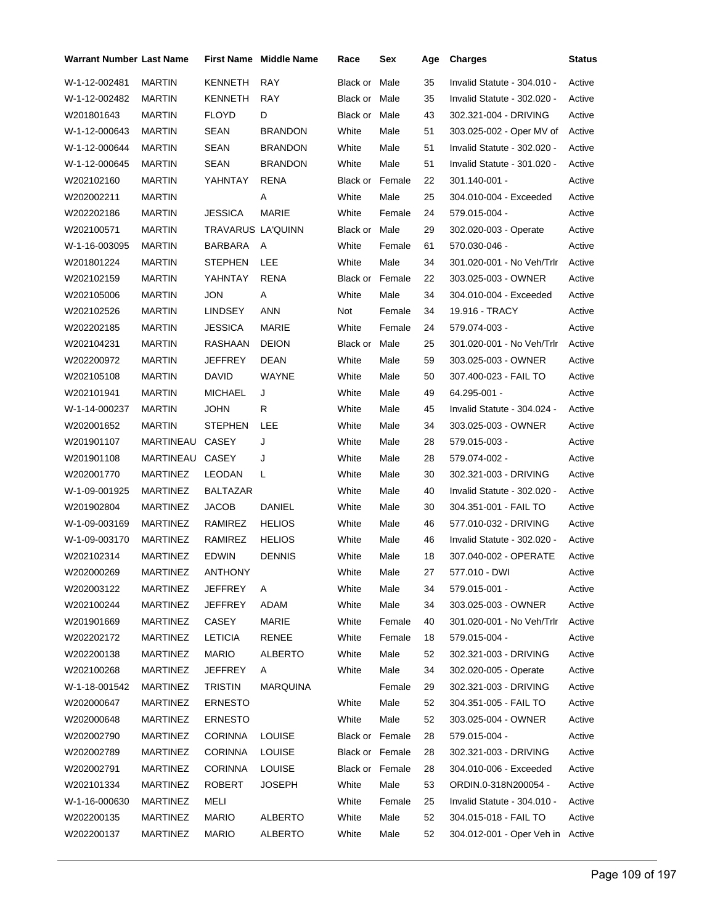| <b>Warrant Number Last Name</b> |                 |                   | <b>First Name</b> Middle Name | Race            | Sex    | Age | <b>Charges</b>                   | Status |
|---------------------------------|-----------------|-------------------|-------------------------------|-----------------|--------|-----|----------------------------------|--------|
| W-1-12-002481                   | <b>MARTIN</b>   | <b>KENNETH</b>    | <b>RAY</b>                    | Black or        | Male   | 35  | Invalid Statute - 304.010 -      | Active |
| W-1-12-002482                   | <b>MARTIN</b>   | KENNETH           | <b>RAY</b>                    | Black or Male   |        | 35  | Invalid Statute - 302.020 -      | Active |
| W201801643                      | <b>MARTIN</b>   | <b>FLOYD</b>      | D                             | Black or        | Male   | 43  | 302.321-004 - DRIVING            | Active |
| W-1-12-000643                   | <b>MARTIN</b>   | <b>SEAN</b>       | <b>BRANDON</b>                | White           | Male   | 51  | 303.025-002 - Oper MV of         | Active |
| W-1-12-000644                   | <b>MARTIN</b>   | SEAN              | <b>BRANDON</b>                | White           | Male   | 51  | Invalid Statute - 302.020 -      | Active |
| W-1-12-000645                   | <b>MARTIN</b>   | SEAN              | <b>BRANDON</b>                | White           | Male   | 51  | Invalid Statute - 301.020 -      | Active |
| W202102160                      | <b>MARTIN</b>   | YAHNTAY           | <b>RENA</b>                   | Black or Female |        | 22  | 301.140-001 -                    | Active |
| W202002211                      | <b>MARTIN</b>   |                   | Α                             | White           | Male   | 25  | 304.010-004 - Exceeded           | Active |
| W202202186                      | <b>MARTIN</b>   | <b>JESSICA</b>    | <b>MARIE</b>                  | White           | Female | 24  | 579.015-004 -                    | Active |
| W202100571                      | <b>MARTIN</b>   | TRAVARUS LA'QUINN |                               | Black or Male   |        | 29  | 302.020-003 - Operate            | Active |
| W-1-16-003095                   | <b>MARTIN</b>   | BARBARA           | A                             | White           | Female | 61  | 570.030-046 -                    | Active |
| W201801224                      | <b>MARTIN</b>   | <b>STEPHEN</b>    | LEE                           | White           | Male   | 34  | 301.020-001 - No Veh/Trlr        | Active |
| W202102159                      | <b>MARTIN</b>   | YAHNTAY           | <b>RENA</b>                   | Black or Female |        | 22  | 303.025-003 - OWNER              | Active |
| W202105006                      | <b>MARTIN</b>   | JON               | Α                             | White           | Male   | 34  | 304.010-004 - Exceeded           | Active |
| W202102526                      | <b>MARTIN</b>   | <b>LINDSEY</b>    | <b>ANN</b>                    | Not             | Female | 34  | 19.916 - TRACY                   | Active |
| W202202185                      | <b>MARTIN</b>   | <b>JESSICA</b>    | <b>MARIE</b>                  | White           | Female | 24  | 579.074-003 -                    | Active |
| W202104231                      | <b>MARTIN</b>   | RASHAAN           | <b>DEION</b>                  | Black or        | Male   | 25  | 301.020-001 - No Veh/Trlr        | Active |
| W202200972                      | <b>MARTIN</b>   | <b>JEFFREY</b>    | DEAN                          | White           | Male   | 59  | 303.025-003 - OWNER              | Active |
| W202105108                      | <b>MARTIN</b>   | DAVID             | <b>WAYNE</b>                  | White           | Male   | 50  | 307.400-023 - FAIL TO            | Active |
| W202101941                      | <b>MARTIN</b>   | <b>MICHAEL</b>    | J                             | White           | Male   | 49  | 64.295-001 -                     | Active |
| W-1-14-000237                   | <b>MARTIN</b>   | <b>JOHN</b>       | R                             | White           | Male   | 45  | Invalid Statute - 304.024 -      | Active |
| W202001652                      | <b>MARTIN</b>   | <b>STEPHEN</b>    | LEE                           | White           | Male   | 34  | 303.025-003 - OWNER              | Active |
| W201901107                      | MARTINEAU       | CASEY             | J                             | White           | Male   | 28  | 579.015-003 -                    | Active |
| W201901108                      | MARTINEAU CASEY |                   | J                             | White           | Male   | 28  | 579.074-002 -                    | Active |
| W202001770                      | <b>MARTINEZ</b> | LEODAN            | L                             | White           | Male   | 30  | 302.321-003 - DRIVING            | Active |
| W-1-09-001925                   | MARTINEZ        | <b>BALTAZAR</b>   |                               | White           | Male   | 40  | Invalid Statute - 302.020 -      | Active |
| W201902804                      | MARTINEZ        | <b>JACOB</b>      | DANIEL                        | White           | Male   | 30  | 304.351-001 - FAIL TO            | Active |
| W-1-09-003169                   | <b>MARTINEZ</b> | RAMIREZ           | <b>HELIOS</b>                 | White           | Male   | 46  | 577.010-032 - DRIVING            | Active |
| W-1-09-003170                   | <b>MARTINEZ</b> | RAMIREZ           | <b>HELIOS</b>                 | White           | Male   | 46  | Invalid Statute - 302.020 -      | Active |
| W202102314                      | <b>MARTINEZ</b> | <b>EDWIN</b>      | <b>DENNIS</b>                 | White           | Male   | 18  | 307.040-002 - OPERATE            | Active |
| W202000269                      | <b>MARTINEZ</b> | <b>ANTHONY</b>    |                               | White           | Male   | 27  | 577.010 - DWI                    | Active |
| W202003122                      | MARTINEZ        | <b>JEFFREY</b>    | A                             | White           | Male   | 34  | 579.015-001 -                    | Active |
| W202100244                      | MARTINEZ        | JEFFREY           | ADAM                          | White           | Male   | 34  | 303.025-003 - OWNER              | Active |
| W201901669                      | <b>MARTINEZ</b> | <b>CASEY</b>      | <b>MARIE</b>                  | White           | Female | 40  | 301.020-001 - No Veh/Trlr        | Active |
| W202202172                      | <b>MARTINEZ</b> | <b>LETICIA</b>    | RENEE                         | White           | Female | 18  | 579.015-004 -                    | Active |
| W202200138                      | <b>MARTINEZ</b> | <b>MARIO</b>      | <b>ALBERTO</b>                | White           | Male   | 52  | 302.321-003 - DRIVING            | Active |
| W202100268                      | <b>MARTINEZ</b> | <b>JEFFREY</b>    | A                             | White           | Male   | 34  | 302.020-005 - Operate            | Active |
| W-1-18-001542                   | <b>MARTINEZ</b> | <b>TRISTIN</b>    | <b>MARQUINA</b>               |                 | Female | 29  | 302.321-003 - DRIVING            | Active |
| W202000647                      | <b>MARTINEZ</b> | <b>ERNESTO</b>    |                               | White           | Male   | 52  | 304.351-005 - FAIL TO            | Active |
| W202000648                      | <b>MARTINEZ</b> | <b>ERNESTO</b>    |                               | White           | Male   | 52  | 303.025-004 - OWNER              | Active |
| W202002790                      | MARTINEZ        | <b>CORINNA</b>    | <b>LOUISE</b>                 | Black or Female |        | 28  | 579.015-004 -                    | Active |
| W202002789                      | <b>MARTINEZ</b> | <b>CORINNA</b>    | <b>LOUISE</b>                 | Black or Female |        | 28  | 302.321-003 - DRIVING            | Active |
| W202002791                      | <b>MARTINEZ</b> | <b>CORINNA</b>    | <b>LOUISE</b>                 | Black or Female |        | 28  | 304.010-006 - Exceeded           | Active |
| W202101334                      | <b>MARTINEZ</b> | ROBERT            | <b>JOSEPH</b>                 | White           | Male   | 53  | ORDIN.0-318N200054 -             | Active |
| W-1-16-000630                   | <b>MARTINEZ</b> | MELI              |                               | White           | Female | 25  | Invalid Statute - 304.010 -      | Active |
| W202200135                      | <b>MARTINEZ</b> | <b>MARIO</b>      | <b>ALBERTO</b>                | White           | Male   | 52  | 304.015-018 - FAIL TO            | Active |
| W202200137                      | <b>MARTINEZ</b> | <b>MARIO</b>      | <b>ALBERTO</b>                | White           | Male   | 52  | 304.012-001 - Oper Veh in Active |        |
|                                 |                 |                   |                               |                 |        |     |                                  |        |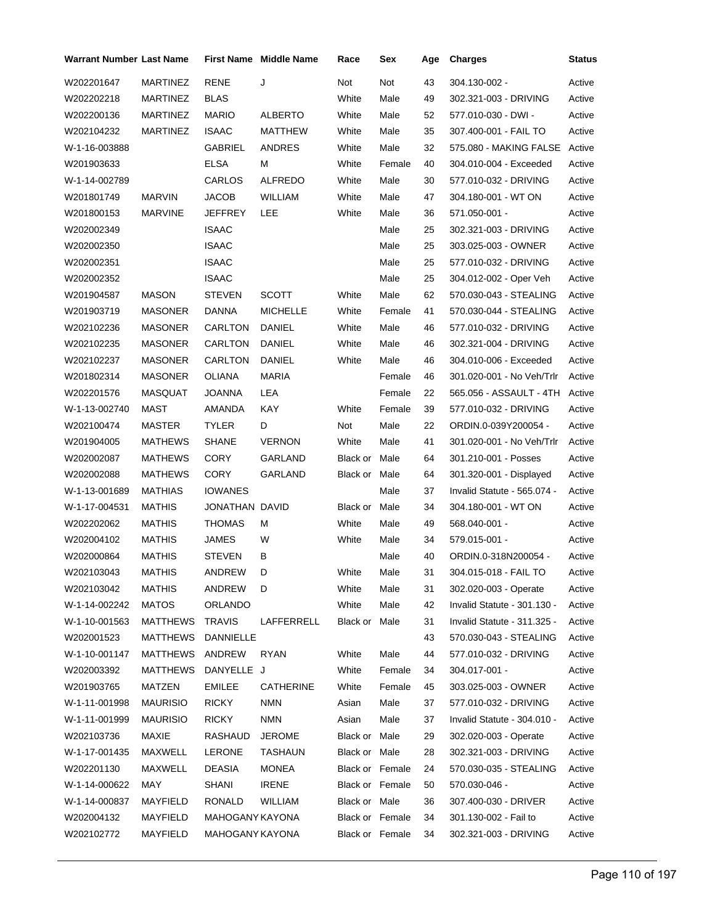| <b>Warrant Number Last Name</b> |                 |                 | <b>First Name</b> Middle Name | Race            | Sex    | Age | <b>Charges</b>              | Status |
|---------------------------------|-----------------|-----------------|-------------------------------|-----------------|--------|-----|-----------------------------|--------|
| W202201647                      | <b>MARTINEZ</b> | <b>RENE</b>     | J                             | Not             | Not    | 43  | 304.130-002 -               | Active |
| W202202218                      | <b>MARTINEZ</b> | <b>BLAS</b>     |                               | White           | Male   | 49  | 302.321-003 - DRIVING       | Active |
| W202200136                      | <b>MARTINEZ</b> | <b>MARIO</b>    | <b>ALBERTO</b>                | White           | Male   | 52  | 577.010-030 - DWI -         | Active |
| W202104232                      | <b>MARTINEZ</b> | <b>ISAAC</b>    | MATTHEW                       | White           | Male   | 35  | 307.400-001 - FAIL TO       | Active |
| W-1-16-003888                   |                 | GABRIEL         | ANDRES                        | White           | Male   | 32  | 575.080 - MAKING FALSE      | Active |
| W201903633                      |                 | <b>ELSA</b>     | М                             | White           | Female | 40  | 304.010-004 - Exceeded      | Active |
| W-1-14-002789                   |                 | CARLOS          | <b>ALFREDO</b>                | White           | Male   | 30  | 577.010-032 - DRIVING       | Active |
| W201801749                      | <b>MARVIN</b>   | <b>JACOB</b>    | WILLIAM                       | White           | Male   | 47  | 304.180-001 - WT ON         | Active |
| W201800153                      | <b>MARVINE</b>  | JEFFREY         | LEE                           | White           | Male   | 36  | 571.050-001 -               | Active |
| W202002349                      |                 | <b>ISAAC</b>    |                               |                 | Male   | 25  | 302.321-003 - DRIVING       | Active |
| W202002350                      |                 | <b>ISAAC</b>    |                               |                 | Male   | 25  | 303.025-003 - OWNER         | Active |
| W202002351                      |                 | <b>ISAAC</b>    |                               |                 | Male   | 25  | 577.010-032 - DRIVING       | Active |
| W202002352                      |                 | <b>ISAAC</b>    |                               |                 | Male   | 25  | 304.012-002 - Oper Veh      | Active |
| W201904587                      | <b>MASON</b>    | <b>STEVEN</b>   | <b>SCOTT</b>                  | White           | Male   | 62  | 570.030-043 - STEALING      | Active |
| W201903719                      | <b>MASONER</b>  | <b>DANNA</b>    | <b>MICHELLE</b>               | White           | Female | 41  | 570.030-044 - STEALING      | Active |
| W202102236                      | <b>MASONER</b>  | CARLTON         | DANIEL                        | White           | Male   | 46  | 577.010-032 - DRIVING       | Active |
| W202102235                      | <b>MASONER</b>  | CARLTON         | DANIEL                        | White           | Male   | 46  | 302.321-004 - DRIVING       | Active |
| W202102237                      | MASONER         | CARLTON         | DANIEL                        | White           | Male   | 46  | 304.010-006 - Exceeded      | Active |
| W201802314                      | <b>MASONER</b>  | <b>OLIANA</b>   | <b>MARIA</b>                  |                 | Female | 46  | 301.020-001 - No Veh/Trlr   | Active |
| W202201576                      | MASQUAT         | JOANNA          | LEA                           |                 | Female | 22  | 565.056 - ASSAULT - 4TH     | Active |
| W-1-13-002740                   | <b>MAST</b>     | AMANDA          | <b>KAY</b>                    | White           | Female | 39  | 577.010-032 - DRIVING       | Active |
| W202100474                      | MASTER          | <b>TYLER</b>    | D                             | Not             | Male   | 22  | ORDIN.0-039Y200054 -        | Active |
| W201904005                      | <b>MATHEWS</b>  | <b>SHANE</b>    | <b>VERNON</b>                 | White           | Male   | 41  | 301.020-001 - No Veh/Trlr   | Active |
| W202002087                      | <b>MATHEWS</b>  | <b>CORY</b>     | GARLAND                       | Black or Male   |        | 64  | 301.210-001 - Posses        | Active |
| W202002088                      | <b>MATHEWS</b>  | CORY            | GARLAND                       | Black or Male   |        | 64  | 301.320-001 - Displayed     | Active |
| W-1-13-001689                   | MATHIAS         | <b>IOWANES</b>  |                               |                 | Male   | 37  | Invalid Statute - 565.074 - | Active |
| W-1-17-004531                   | MATHIS          | JONATHAN DAVID  |                               | Black or        | Male   | 34  | 304.180-001 - WT ON         | Active |
| W202202062                      | MATHIS          | <b>THOMAS</b>   | М                             | White           | Male   | 49  | 568.040-001 -               | Active |
| W202004102                      | <b>MATHIS</b>   | JAMES           | W                             | White           | Male   | 34  | 579.015-001 -               | Active |
| W202000864                      | <b>MATHIS</b>   | <b>STEVEN</b>   | в                             |                 | Male   | 40  | ORDIN.0-318N200054 -        | Active |
| W202103043                      | <b>MATHIS</b>   | ANDREW          | D.                            | White           | Male   | 31  | 304.015-018 - FAIL TO       | Active |
| W202103042                      | MATHIS          | ANDREW          | D                             | White           | Male   | 31  | 302.020-003 - Operate       | Active |
| W-1-14-002242                   | <b>MATOS</b>    | <b>ORLANDO</b>  |                               | White           | Male   | 42  | Invalid Statute - 301.130 - | Active |
| W-1-10-001563                   | MATTHEWS        | <b>TRAVIS</b>   | LAFFERRELL                    | Black or Male   |        | 31  | Invalid Statute - 311.325 - | Active |
| W202001523                      | <b>MATTHEWS</b> | DANNIELLE       |                               |                 |        | 43  | 570.030-043 - STEALING      | Active |
| W-1-10-001147                   | MATTHEWS        | ANDREW          | <b>RYAN</b>                   | White           | Male   | 44  | 577.010-032 - DRIVING       | Active |
| W202003392                      | MATTHEWS        | DANYELLE J      |                               | White           | Female | 34  | 304.017-001 -               | Active |
| W201903765                      | <b>MATZEN</b>   | <b>EMILEE</b>   | CATHERINE                     | White           | Female | 45  | 303.025-003 - OWNER         | Active |
| W-1-11-001998                   | <b>MAURISIO</b> | <b>RICKY</b>    | <b>NMN</b>                    | Asian           | Male   | 37  | 577.010-032 - DRIVING       | Active |
| W-1-11-001999                   | <b>MAURISIO</b> | <b>RICKY</b>    | <b>NMN</b>                    | Asian           | Male   | 37  | Invalid Statute - 304.010 - | Active |
| W202103736                      | MAXIE           | RASHAUD         | <b>JEROME</b>                 | Black or Male   |        | 29  | 302.020-003 - Operate       | Active |
| W-1-17-001435                   | MAXWELL         | LERONE          | TASHAUN                       | Black or Male   |        | 28  | 302.321-003 - DRIVING       | Active |
| W202201130                      | MAXWELL         | DEASIA          | <b>MONEA</b>                  | Black or Female |        | 24  | 570.030-035 - STEALING      | Active |
| W-1-14-000622                   | MAY             | SHANI           | <b>IRENE</b>                  | Black or Female |        | 50  | 570.030-046 -               | Active |
| W-1-14-000837                   | MAYFIELD        | RONALD          | WILLIAM                       | Black or Male   |        | 36  | 307.400-030 - DRIVER        | Active |
| W202004132                      | MAYFIELD        | MAHOGANY KAYONA |                               | Black or Female |        | 34  | 301.130-002 - Fail to       | Active |
| W202102772                      | MAYFIELD        | MAHOGANY KAYONA |                               | Black or Female |        | 34  | 302.321-003 - DRIVING       | Active |
|                                 |                 |                 |                               |                 |        |     |                             |        |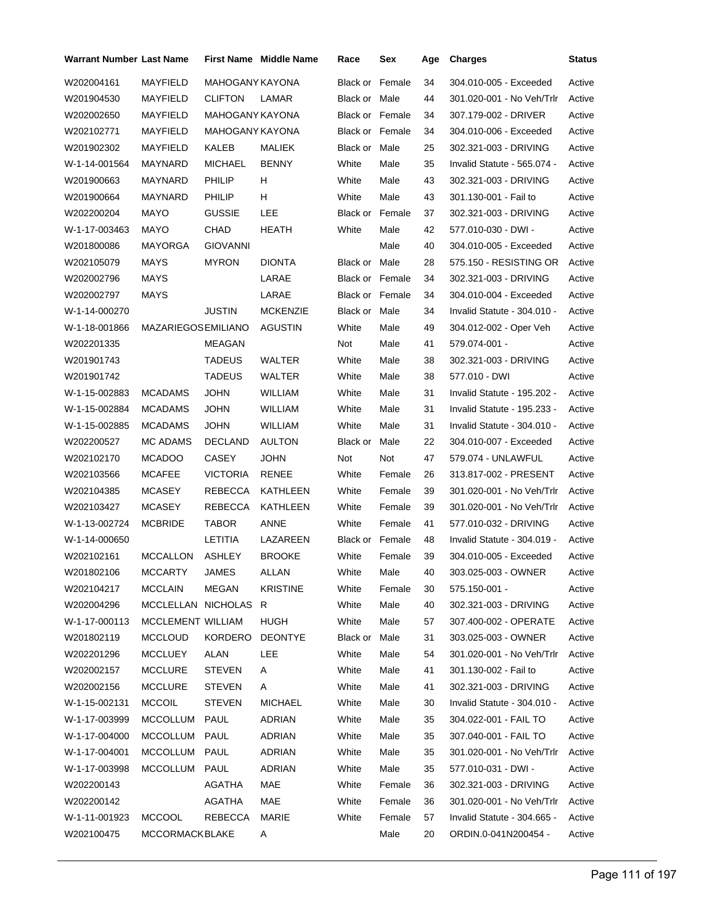| <b>Warrant Number Last Name</b> |                          |                        | <b>First Name Middle Name</b> | Race                   | Sex    | Age | <b>Charges</b>              | <b>Status</b> |
|---------------------------------|--------------------------|------------------------|-------------------------------|------------------------|--------|-----|-----------------------------|---------------|
| W202004161                      | <b>MAYFIELD</b>          | <b>MAHOGANY KAYONA</b> |                               | Black or               | Female | 34  | 304.010-005 - Exceeded      | Active        |
| W201904530                      | MAYFIELD                 | <b>CLIFTON</b>         | LAMAR                         | Black or Male          |        | 44  | 301.020-001 - No Veh/Trlr   | Active        |
| W202002650                      | MAYFIELD                 | <b>MAHOGANY KAYONA</b> |                               | Black or Female        |        | 34  | 307.179-002 - DRIVER        | Active        |
| W202102771                      | MAYFIELD                 | MAHOGANY KAYONA        |                               | <b>Black or Female</b> |        | 34  | 304.010-006 - Exceeded      | Active        |
| W201902302                      | MAYFIELD                 | KALEB                  | MALIEK                        | Black or Male          |        | 25  | 302.321-003 - DRIVING       | Active        |
| W-1-14-001564                   | MAYNARD                  | <b>MICHAEL</b>         | <b>BENNY</b>                  | White                  | Male   | 35  | Invalid Statute - 565.074 - | Active        |
| W201900663                      | MAYNARD                  | <b>PHILIP</b>          | H.                            | White                  | Male   | 43  | 302.321-003 - DRIVING       | Active        |
| W201900664                      | MAYNARD                  | <b>PHILIP</b>          | H.                            | White                  | Male   | 43  | 301.130-001 - Fail to       | Active        |
| W202200204                      | MAYO                     | <b>GUSSIE</b>          | LEE                           | <b>Black or Female</b> |        | 37  | 302.321-003 - DRIVING       | Active        |
| W-1-17-003463                   | MAYO                     | CHAD                   | HEATH                         | White                  | Male   | 42  | 577.010-030 - DWI -         | Active        |
| W201800086                      | MAYORGA                  | <b>GIOVANNI</b>        |                               |                        | Male   | 40  | 304.010-005 - Exceeded      | Active        |
| W202105079                      | MAYS                     | <b>MYRON</b>           | <b>DIONTA</b>                 | Black or Male          |        | 28  | 575.150 - RESISTING OR      | Active        |
| W202002796                      | MAYS                     |                        | LARAE                         | <b>Black or Female</b> |        | 34  | 302.321-003 - DRIVING       | Active        |
| W202002797                      | MAYS                     |                        | LARAE                         | <b>Black or Female</b> |        | 34  | 304.010-004 - Exceeded      | Active        |
| W-1-14-000270                   |                          | <b>JUSTIN</b>          | <b>MCKENZIE</b>               | Black or Male          |        | 34  | Invalid Statute - 304.010 - | Active        |
| W-1-18-001866                   | MAZARIEGOSEMILIANO       |                        | AGUSTIN                       | White                  | Male   | 49  | 304.012-002 - Oper Veh      | Active        |
| W202201335                      |                          | <b>MEAGAN</b>          |                               | Not                    | Male   | 41  | 579.074-001 -               | Active        |
| W201901743                      |                          | TADEUS                 | WALTER                        | White                  | Male   | 38  | 302.321-003 - DRIVING       | Active        |
| W201901742                      |                          | <b>TADEUS</b>          | WALTER                        | White                  | Male   | 38  | 577.010 - DWI               | Active        |
| W-1-15-002883                   | <b>MCADAMS</b>           | <b>JOHN</b>            | <b>WILLIAM</b>                | White                  | Male   | 31  | Invalid Statute - 195.202 - | Active        |
| W-1-15-002884                   | <b>MCADAMS</b>           | <b>JOHN</b>            | <b>WILLIAM</b>                | White                  | Male   | 31  | Invalid Statute - 195.233 - | Active        |
| W-1-15-002885                   | <b>MCADAMS</b>           | JOHN                   | <b>WILLIAM</b>                | White                  | Male   | 31  | Invalid Statute - 304.010 - | Active        |
| W202200527                      | <b>MC ADAMS</b>          | <b>DECLAND</b>         | <b>AULTON</b>                 | Black or               | Male   | 22  | 304.010-007 - Exceeded      | Active        |
| W202102170                      | <b>MCADOO</b>            | <b>CASEY</b>           | <b>JOHN</b>                   | Not                    | Not    | 47  | 579.074 - UNLAWFUL          | Active        |
| W202103566                      | <b>MCAFEE</b>            | <b>VICTORIA</b>        | RENEE                         | White                  | Female | 26  | 313.817-002 - PRESENT       | Active        |
| W202104385                      | <b>MCASEY</b>            | REBECCA                | KATHLEEN                      | White                  | Female | 39  | 301.020-001 - No Veh/Trlr   | Active        |
| W202103427                      | <b>MCASEY</b>            | REBECCA                | KATHLEEN                      | White                  | Female | 39  | 301.020-001 - No Veh/Trlr   | Active        |
| W-1-13-002724                   | <b>MCBRIDE</b>           | TABOR                  | ANNE                          | White                  | Female | 41  | 577.010-032 - DRIVING       | Active        |
| W-1-14-000650                   |                          | LETITIA                | LAZAREEN                      | Black or Female        |        | 48  | Invalid Statute - 304.019 - | Active        |
| W202102161                      | <b>MCCALLON</b>          | ASHLEY                 | <b>BROOKE</b>                 | White                  | Female | 39  | 304.010-005 - Exceeded      | Active        |
| W201802106                      | <b>MCCARTY</b>           | <b>JAMES</b>           | ALLAN                         | White                  | Male   | 40  | 303.025-003 - OWNER         | Active        |
| W202104217                      | <b>MCCLAIN</b>           | <b>MEGAN</b>           | <b>KRISTINE</b>               | White                  | Female | 30  | 575.150-001 -               | Active        |
| W202004296                      | MCCLELLAN NICHOLAS       |                        | R                             | White                  | Male   | 40  | 302.321-003 - DRIVING       | Active        |
| W-1-17-000113                   | <b>MCCLEMENT WILLIAM</b> |                        | HUGH                          | White                  | Male   | 57  | 307.400-002 - OPERATE       | Active        |
| W201802119                      | <b>MCCLOUD</b>           | <b>KORDERO</b>         | <b>DEONTYE</b>                | Black or               | Male   | 31  | 303.025-003 - OWNER         | Active        |
| W202201296                      | <b>MCCLUEY</b>           | ALAN                   | LEE                           | White                  | Male   | 54  | 301.020-001 - No Veh/Trlr   | Active        |
| W202002157                      | <b>MCCLURE</b>           | <b>STEVEN</b>          | A                             | White                  | Male   | 41  | 301.130-002 - Fail to       | Active        |
| W202002156                      | <b>MCCLURE</b>           | <b>STEVEN</b>          | A                             | White                  | Male   | 41  | 302.321-003 - DRIVING       | Active        |
| W-1-15-002131                   | <b>MCCOIL</b>            | <b>STEVEN</b>          | <b>MICHAEL</b>                | White                  | Male   | 30  | Invalid Statute - 304.010 - | Active        |
| W-1-17-003999                   | MCCOLLUM                 | PAUL                   | <b>ADRIAN</b>                 | White                  | Male   | 35  | 304.022-001 - FAIL TO       | Active        |
| W-1-17-004000                   | <b>MCCOLLUM</b>          | PAUL                   | <b>ADRIAN</b>                 | White                  | Male   | 35  | 307.040-001 - FAIL TO       | Active        |
| W-1-17-004001                   | MCCOLLUM                 | PAUL                   | <b>ADRIAN</b>                 | White                  | Male   | 35  | 301.020-001 - No Veh/Trlr   | Active        |
| W-1-17-003998                   | MCCOLLUM                 | PAUL                   | <b>ADRIAN</b>                 | White                  | Male   | 35  | 577.010-031 - DWI -         | Active        |
| W202200143                      |                          | AGATHA                 | MAE                           | White                  | Female | 36  | 302.321-003 - DRIVING       | Active        |
| W202200142                      |                          | AGATHA                 | MAE                           | White                  | Female | 36  | 301.020-001 - No Veh/Trlr   | Active        |
| W-1-11-001923                   | <b>MCCOOL</b>            | REBECCA                | MARIE                         | White                  | Female | 57  | Invalid Statute - 304.665 - | Active        |
| W202100475                      | MCCORMACKBLAKE           |                        | Α                             |                        | Male   | 20  | ORDIN.0-041N200454 -        | Active        |
|                                 |                          |                        |                               |                        |        |     |                             |               |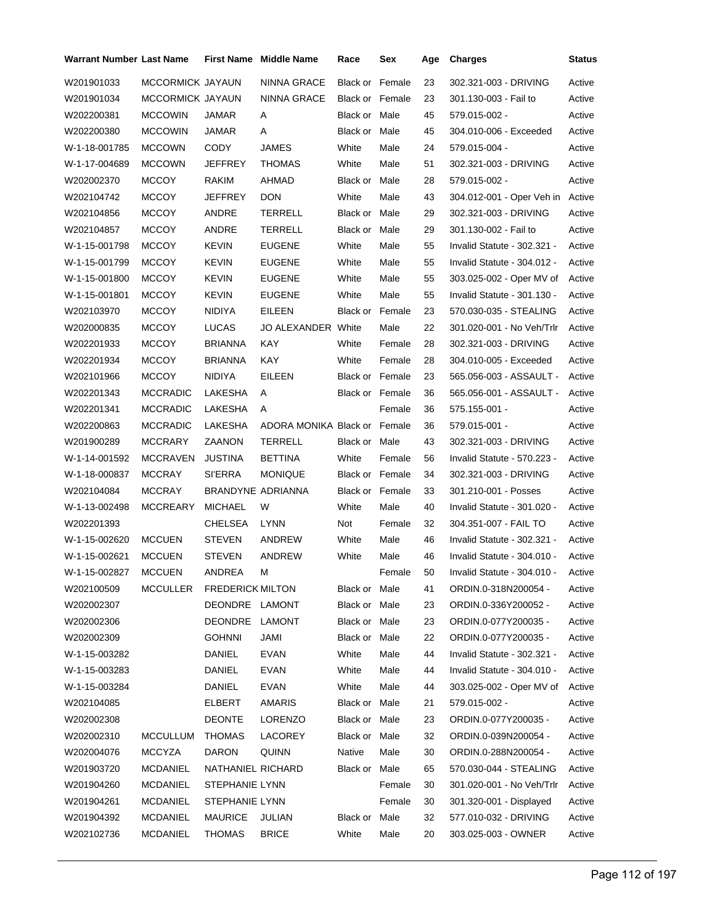| Warrant Number Last Name |                  |                         | <b>First Name</b> Middle Name | Race                   | Sex    | Age | <b>Charges</b>                     | <b>Status</b> |
|--------------------------|------------------|-------------------------|-------------------------------|------------------------|--------|-----|------------------------------------|---------------|
| W201901033               | MCCORMICK JAYAUN |                         | <b>NINNA GRACE</b>            | <b>Black or Female</b> |        | 23  | 302.321-003 - DRIVING              | Active        |
| W201901034               | MCCORMICK JAYAUN |                         | NINNA GRACE                   | <b>Black or Female</b> |        | 23  | 301.130-003 - Fail to              | Active        |
| W202200381               | <b>MCCOWIN</b>   | <b>JAMAR</b>            | A                             | Black or Male          |        | 45  | 579.015-002 -                      | Active        |
| W202200380               | <b>MCCOWIN</b>   | JAMAR                   | Α                             | Black or Male          |        | 45  | 304.010-006 - Exceeded             | Active        |
| W-1-18-001785            | <b>MCCOWN</b>    | <b>CODY</b>             | JAMES                         | White                  | Male   | 24  | 579.015-004 -                      | Active        |
| W-1-17-004689            | <b>MCCOWN</b>    | JEFFREY                 | THOMAS                        | White                  | Male   | 51  | 302.321-003 - DRIVING              | Active        |
| W202002370               | <b>MCCOY</b>     | <b>RAKIM</b>            | AHMAD                         | Black or Male          |        | 28  | 579.015-002 -                      | Active        |
| W202104742               | <b>MCCOY</b>     | JEFFREY                 | <b>DON</b>                    | White                  | Male   | 43  | 304.012-001 - Oper Veh in Active   |               |
| W202104856               | <b>MCCOY</b>     | ANDRE                   | <b>TERRELL</b>                | Black or Male          |        | 29  | 302.321-003 - DRIVING              | Active        |
| W202104857               | <b>MCCOY</b>     | ANDRE                   | TERRELL                       | Black or Male          |        | 29  | 301.130-002 - Fail to              | Active        |
| W-1-15-001798            | <b>MCCOY</b>     | KEVIN                   | <b>EUGENE</b>                 | White                  | Male   | 55  | Invalid Statute - 302.321 -        | Active        |
| W-1-15-001799            | <b>MCCOY</b>     | KEVIN                   | <b>EUGENE</b>                 | White                  | Male   | 55  | Invalid Statute - 304.012 -        | Active        |
| W-1-15-001800            | <b>MCCOY</b>     | KEVIN                   | <b>EUGENE</b>                 | White                  | Male   | 55  | 303.025-002 - Oper MV of           | Active        |
| W-1-15-001801            | <b>MCCOY</b>     | KEVIN                   | <b>EUGENE</b>                 | White                  | Male   | 55  | Invalid Statute - 301.130 -        | Active        |
| W202103970               | <b>MCCOY</b>     | NIDIYA                  | EILEEN                        | <b>Black or Female</b> |        | 23  | 570.030-035 - STEALING             | Active        |
| W202000835               | <b>MCCOY</b>     | LUCAS                   | JO ALEXANDER White            |                        | Male   | 22  | 301.020-001 - No Veh/Trlr          | Active        |
| W202201933               | <b>MCCOY</b>     | <b>BRIANNA</b>          | KAY                           | White                  | Female | 28  | 302.321-003 - DRIVING              | Active        |
| W202201934               | <b>MCCOY</b>     | BRIANNA                 | KAY                           | White                  | Female | 28  | 304.010-005 - Exceeded             | Active        |
| W202101966               | <b>MCCOY</b>     | <b>NIDIYA</b>           | EILEEN                        | <b>Black or Female</b> |        | 23  | 565.056-003 - ASSAULT -            | Active        |
| W202201343               | <b>MCCRADIC</b>  | LAKESHA                 | A                             | <b>Black or Female</b> |        | 36  | 565.056-001 - ASSAULT -            | Active        |
| W202201341               | <b>MCCRADIC</b>  | LAKESHA                 | A                             |                        | Female | 36  | 575.155-001 -                      | Active        |
| W202200863               | <b>MCCRADIC</b>  | LAKESHA                 | ADORA MONIKA Black or Female  |                        |        | 36  | 579.015-001 -                      | Active        |
| W201900289               | <b>MCCRARY</b>   | ZAANON                  | TERRELL                       | Black or Male          |        | 43  | 302.321-003 - DRIVING              | Active        |
| W-1-14-001592            | <b>MCCRAVEN</b>  | JUSTINA                 | <b>BETTINA</b>                | White                  | Female | 56  | Invalid Statute - 570.223 -        | Active        |
| W-1-18-000837            | <b>MCCRAY</b>    | <b>SI'ERRA</b>          | <b>MONIQUE</b>                | <b>Black or Female</b> |        | 34  | 302.321-003 - DRIVING              | Active        |
| W202104084               | <b>MCCRAY</b>    | BRANDYNE ADRIANNA       |                               | <b>Black or Female</b> |        | 33  | 301.210-001 - Posses               | Active        |
| W-1-13-002498            | <b>MCCREARY</b>  | <b>MICHAEL</b>          | W                             | White                  | Male   | 40  | Invalid Statute - 301.020 -        | Active        |
| W202201393               |                  | <b>CHELSEA</b>          | <b>LYNN</b>                   | Not                    | Female | 32  | 304.351-007 - FAIL TO              | Active        |
| W-1-15-002620            | <b>MCCUEN</b>    | <b>STEVEN</b>           | ANDREW                        | White                  | Male   | 46  | Invalid Statute - 302.321 -        | Active        |
| W-1-15-002621            | <b>MCCUEN</b>    | <b>STEVEN</b>           | ANDREW                        | White                  | Male   | 46  | Invalid Statute - 304.010 -        | Active        |
| W-1-15-002827            | <b>MCCUEN</b>    | ANDREA                  | M                             |                        | Female | 50  | Invalid Statute - 304.010 - Active |               |
| W202100509               | MCCULLER         | <b>FREDERICK MILTON</b> |                               | Black or Male          |        | 41  | ORDIN.0-318N200054 -               | Active        |
| W202002307               |                  | DEONDRE LAMONT          |                               | Black or Male          |        | 23  | ORDIN.0-336Y200052 -               | Active        |
| W202002306               |                  | DEONDRE                 | LAMONT                        | Black or Male          |        | 23  | ORDIN.0-077Y200035 -               | Active        |
| W202002309               |                  | <b>GOHNNI</b>           | JAMI                          | Black or Male          |        | 22  | ORDIN.0-077Y200035 -               | Active        |
| W-1-15-003282            |                  | <b>DANIEL</b>           | <b>EVAN</b>                   | White                  | Male   | 44  | Invalid Statute - 302.321 -        | Active        |
| W-1-15-003283            |                  | DANIEL                  | <b>EVAN</b>                   | White                  | Male   | 44  | Invalid Statute - 304.010 -        | Active        |
| W-1-15-003284            |                  | DANIEL                  | EVAN                          | White                  | Male   | 44  | 303.025-002 - Oper MV of           | Active        |
| W202104085               |                  | ELBERT                  | <b>AMARIS</b>                 | Black or Male          |        | 21  | 579.015-002 -                      | Active        |
| W202002308               |                  | DEONTE                  | LORENZO                       | Black or Male          |        | 23  | ORDIN.0-077Y200035 -               | Active        |
| W202002310               | MCCULLUM         | <b>THOMAS</b>           | LACOREY                       | Black or Male          |        | 32  | ORDIN.0-039N200054 -               | Active        |
| W202004076               | <b>MCCYZA</b>    | DARON                   | QUINN                         | Native                 | Male   | 30  | ORDIN.0-288N200054 -               | Active        |
| W201903720               | <b>MCDANIEL</b>  | NATHANIEL RICHARD       |                               | Black or Male          |        | 65  | 570.030-044 - STEALING             | Active        |
| W201904260               | <b>MCDANIEL</b>  | STEPHANIE LYNN          |                               |                        | Female | 30  | 301.020-001 - No Veh/Trlr          | Active        |
| W201904261               | <b>MCDANIEL</b>  | STEPHANIE LYNN          |                               |                        | Female | 30  | 301.320-001 - Displayed            | Active        |
| W201904392               | <b>MCDANIEL</b>  | <b>MAURICE</b>          | JULIAN                        | Black or Male          |        | 32  | 577.010-032 - DRIVING              | Active        |
| W202102736               | <b>MCDANIEL</b>  | THOMAS                  | <b>BRICE</b>                  | White                  | Male   | 20  | 303.025-003 - OWNER                | Active        |
|                          |                  |                         |                               |                        |        |     |                                    |               |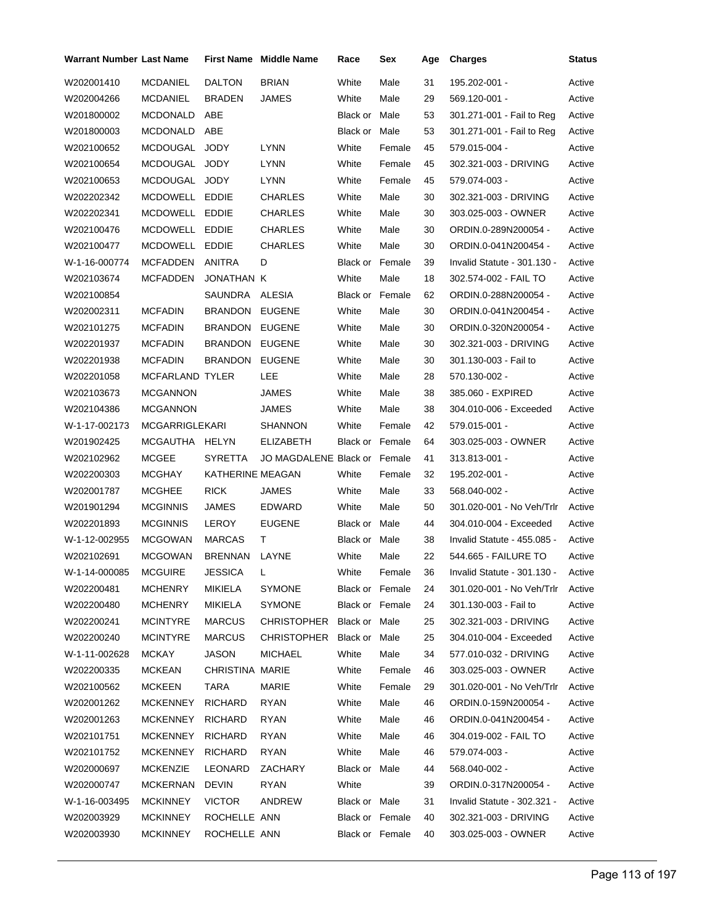| <b>Warrant Number Last Name</b> |                        |                  | <b>First Name Middle Name</b> | Race                   | Sex    | Age | <b>Charges</b>                   | Status |
|---------------------------------|------------------------|------------------|-------------------------------|------------------------|--------|-----|----------------------------------|--------|
| W202001410                      | <b>MCDANIEL</b>        | <b>DALTON</b>    | <b>BRIAN</b>                  | White                  | Male   | 31  | 195.202-001 -                    | Active |
| W202004266                      | <b>MCDANIEL</b>        | <b>BRADEN</b>    | JAMES                         | White                  | Male   | 29  | 569.120-001 -                    | Active |
| W201800002                      | <b>MCDONALD</b>        | ABE              |                               | Black or Male          |        | 53  | 301.271-001 - Fail to Reg        | Active |
| W201800003                      | <b>MCDONALD</b>        | ABE              |                               | Black or               | Male   | 53  | 301.271-001 - Fail to Reg        | Active |
| W202100652                      | MCDOUGAL JODY          |                  | <b>LYNN</b>                   | White                  | Female | 45  | 579.015-004 -                    | Active |
| W202100654                      | MCDOUGAL JODY          |                  | LYNN                          | White                  | Female | 45  | 302.321-003 - DRIVING            | Active |
| W202100653                      | MCDOUGAL JODY          |                  | LYNN                          | White                  | Female | 45  | 579.074-003 -                    | Active |
| W202202342                      | MCDOWELL EDDIE         |                  | <b>CHARLES</b>                | White                  | Male   | 30  | 302.321-003 - DRIVING            | Active |
| W202202341                      | MCDOWELL EDDIE         |                  | <b>CHARLES</b>                | White                  | Male   | 30  | 303.025-003 - OWNER              | Active |
| W202100476                      | MCDOWELL EDDIE         |                  | <b>CHARLES</b>                | White                  | Male   | 30  | ORDIN.0-289N200054 -             | Active |
| W202100477                      | MCDOWELL EDDIE         |                  | <b>CHARLES</b>                | White                  | Male   | 30  | ORDIN.0-041N200454 -             | Active |
| W-1-16-000774                   | MCFADDEN               | ANITRA           | D                             | <b>Black or Female</b> |        | 39  | Invalid Statute - 301.130 -      | Active |
| W202103674                      | <b>MCFADDEN</b>        | JONATHAN K       |                               | White                  | Male   | 18  | 302.574-002 - FAIL TO            | Active |
| W202100854                      |                        | SAUNDRA          | ALESIA                        | <b>Black or Female</b> |        | 62  | ORDIN.0-288N200054 -             | Active |
| W202002311                      | <b>MCFADIN</b>         | <b>BRANDON</b>   | <b>EUGENE</b>                 | White                  | Male   | 30  | ORDIN.0-041N200454 -             | Active |
| W202101275                      | <b>MCFADIN</b>         | <b>BRANDON</b>   | <b>EUGENE</b>                 | White                  | Male   | 30  | ORDIN.0-320N200054 -             | Active |
| W202201937                      | <b>MCFADIN</b>         | <b>BRANDON</b>   | <b>EUGENE</b>                 | White                  | Male   | 30  | 302.321-003 - DRIVING            | Active |
| W202201938                      | <b>MCFADIN</b>         | <b>BRANDON</b>   | <b>EUGENE</b>                 | White                  | Male   | 30  | 301.130-003 - Fail to            | Active |
| W202201058                      | <b>MCFARLAND TYLER</b> |                  | LEE                           | White                  | Male   | 28  | 570.130-002 -                    | Active |
| W202103673                      | <b>MCGANNON</b>        |                  | JAMES                         | White                  | Male   | 38  | 385.060 - EXPIRED                | Active |
| W202104386                      | <b>MCGANNON</b>        |                  | JAMES                         | White                  | Male   | 38  | 304.010-006 - Exceeded           | Active |
| W-1-17-002173                   | <b>MCGARRIGLEKARI</b>  |                  | SHANNON                       | White                  | Female | 42  | 579.015-001 -                    | Active |
| W201902425                      | MCGAUTHA HELYN         |                  | ELIZABETH                     | Black or Female        |        | 64  | 303.025-003 - OWNER              | Active |
| W202102962                      | <b>MCGEE</b>           | SYRETTA          | JO MAGDALENE Black or Female  |                        |        | 41  | 313.813-001 -                    | Active |
| W202200303                      | <b>MCGHAY</b>          | KATHERINE MEAGAN |                               | White                  | Female | 32  | 195.202-001 -                    | Active |
| W202001787                      | <b>MCGHEE</b>          | <b>RICK</b>      | JAMES                         | White                  | Male   | 33  | 568.040-002 -                    | Active |
| W201901294                      | <b>MCGINNIS</b>        | JAMES            | EDWARD                        | White                  | Male   | 50  | 301.020-001 - No Veh/Trlr        | Active |
| W202201893                      | <b>MCGINNIS</b>        | LEROY            | <b>EUGENE</b>                 | Black or Male          |        | 44  | 304.010-004 - Exceeded           | Active |
| W-1-12-002955                   | <b>MCGOWAN</b>         | <b>MARCAS</b>    | Τ                             | Black or Male          |        | 38  | Invalid Statute - 455.085 -      | Active |
| W202102691                      | <b>MCGOWAN</b>         | <b>BRENNAN</b>   | LAYNE                         | White                  | Male   | 22  | 544.665 - FAILURE TO             | Active |
| W-1-14-000085                   | <b>MCGUIRE</b>         | JESSICA          | L.                            | White                  | Female | 36  | Invalid Statute - 301.130 -      | Active |
| W202200481                      | <b>MCHENRY</b>         | MIKIELA          | SYMONE                        | Black or Female        |        | 24  | 301.020-001 - No Veh/Trlr Active |        |
| W202200480                      | <b>MCHENRY</b>         | <b>MIKIELA</b>   | SYMONE                        | Black or Female        |        | 24  | 301.130-003 - Fail to            | Active |
| W202200241                      | <b>MCINTYRE</b>        | <b>MARCUS</b>    | CHRISTOPHER Black or Male     |                        |        | 25  | 302.321-003 - DRIVING            | Active |
| W202200240                      | <b>MCINTYRE</b>        | <b>MARCUS</b>    | CHRISTOPHER Black or Male     |                        |        | 25  | 304.010-004 - Exceeded           | Active |
| W-1-11-002628                   | MCKAY                  | <b>JASON</b>     | <b>MICHAEL</b>                | White                  | Male   | 34  | 577.010-032 - DRIVING            | Active |
| W202200335                      | <b>MCKEAN</b>          | CHRISTINA MARIE  |                               | White                  | Female | 46  | 303.025-003 - OWNER              | Active |
| W202100562                      | <b>MCKEEN</b>          | TARA             | MARIE                         | White                  | Female | 29  | 301.020-001 - No Veh/Trlr Active |        |
| W202001262                      | <b>MCKENNEY</b>        | <b>RICHARD</b>   | <b>RYAN</b>                   | White                  | Male   | 46  | ORDIN.0-159N200054 -             | Active |
| W202001263                      | <b>MCKENNEY</b>        | <b>RICHARD</b>   | <b>RYAN</b>                   | White                  | Male   | 46  | ORDIN.0-041N200454 -             | Active |
| W202101751                      | <b>MCKENNEY</b>        | <b>RICHARD</b>   | <b>RYAN</b>                   | White                  | Male   | 46  | 304.019-002 - FAIL TO            | Active |
| W202101752                      | <b>MCKENNEY</b>        | <b>RICHARD</b>   | <b>RYAN</b>                   | White                  | Male   | 46  | 579.074-003 -                    | Active |
| W202000697                      | <b>MCKENZIE</b>        | LEONARD          | ZACHARY                       | Black or Male          |        | 44  | 568.040-002 -                    | Active |
| W202000747                      | MCKERNAN               | DEVIN            | RYAN                          | White                  |        | 39  | ORDIN.0-317N200054 -             | Active |
| W-1-16-003495                   | <b>MCKINNEY</b>        | <b>VICTOR</b>    | ANDREW                        | Black or Male          |        | 31  | Invalid Statute - 302.321 -      | Active |
| W202003929                      | <b>MCKINNEY</b>        | ROCHELLE ANN     |                               | Black or Female        |        | 40  | 302.321-003 - DRIVING            | Active |
| W202003930                      | <b>MCKINNEY</b>        | ROCHELLE ANN     |                               | Black or Female        |        | 40  | 303.025-003 - OWNER              | Active |
|                                 |                        |                  |                               |                        |        |     |                                  |        |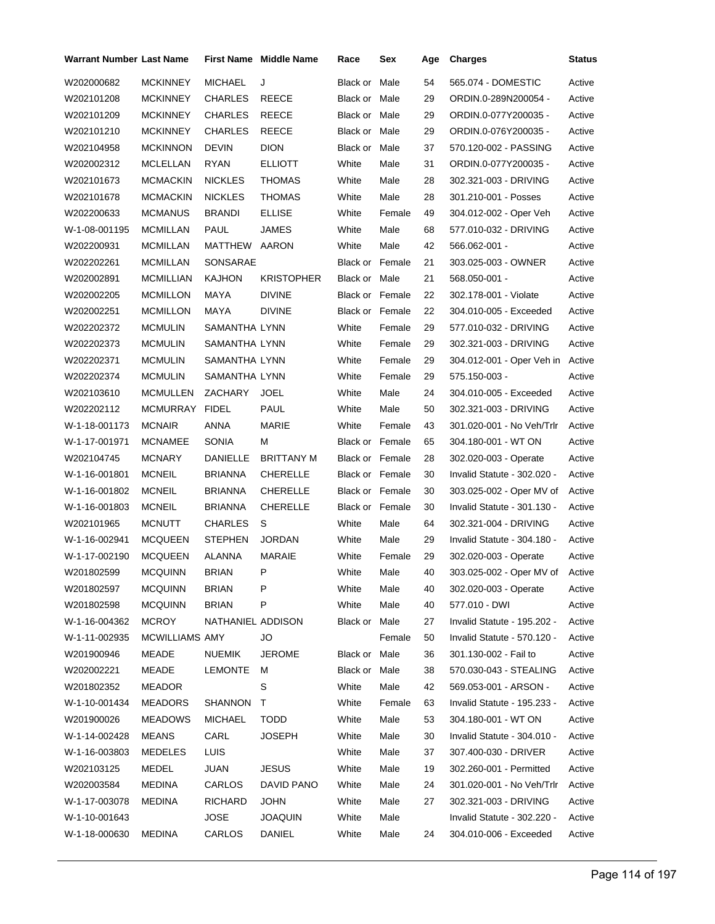| Warrant Number Last Name |                 |                   | First Name Middle Name | Race                   | Sex    | Age | <b>Charges</b>              | <b>Status</b> |
|--------------------------|-----------------|-------------------|------------------------|------------------------|--------|-----|-----------------------------|---------------|
| W202000682               | <b>MCKINNEY</b> | MICHAEL           | J                      | Black or Male          |        | 54  | 565.074 - DOMESTIC          | Active        |
| W202101208               | <b>MCKINNEY</b> | <b>CHARLES</b>    | <b>REECE</b>           | Black or Male          |        | 29  | ORDIN.0-289N200054 -        | Active        |
| W202101209               | MCKINNEY        | CHARLES           | REECE                  | Black or Male          |        | 29  | ORDIN.0-077Y200035 -        | Active        |
| W202101210               | MCKINNEY        | CHARLES           | REECE                  | Black or Male          |        | 29  | ORDIN.0-076Y200035 -        | Active        |
| W202104958               | <b>MCKINNON</b> | <b>DEVIN</b>      | <b>DION</b>            | Black or Male          |        | 37  | 570.120-002 - PASSING       | Active        |
| W202002312               | MCLELLAN        | RYAN              | <b>ELLIOTT</b>         | White                  | Male   | 31  | ORDIN.0-077Y200035 -        | Active        |
| W202101673               | MCMACKIN        | NICKLES           | THOMAS                 | White                  | Male   | 28  | 302.321-003 - DRIVING       | Active        |
| W202101678               | <b>MCMACKIN</b> | <b>NICKLES</b>    | <b>THOMAS</b>          | White                  | Male   | 28  | 301.210-001 - Posses        | Active        |
| W202200633               | MCMANUS         | BRANDI            | <b>ELLISE</b>          | White                  | Female | 49  | 304.012-002 - Oper Veh      | Active        |
| W-1-08-001195            | MCMILLAN        | PAUL              | JAMES                  | White                  | Male   | 68  | 577.010-032 - DRIVING       | Active        |
| W202200931               | MCMILLAN        | MATTHEW AARON     |                        | White                  | Male   | 42  | 566.062-001 -               | Active        |
| W202202261               | MCMILLAN        | SONSARAE          |                        | Black or Female        |        | 21  | 303.025-003 - OWNER         | Active        |
| W202002891               | MCMILLIAN       | KAJHON            | <b>KRISTOPHER</b>      | Black or Male          |        | 21  | 568.050-001 -               | Active        |
| W202002205               | <b>MCMILLON</b> | <b>MAYA</b>       | <b>DIVINE</b>          | Black or Female        |        | 22  | 302.178-001 - Violate       | Active        |
| W202002251               | MCMILLON        | <b>MAYA</b>       | <b>DIVINE</b>          | Black or Female        |        | 22  | 304.010-005 - Exceeded      | Active        |
| W202202372               | MCMULIN         | SAMANTHA LYNN     |                        | White                  | Female | 29  | 577.010-032 - DRIVING       | Active        |
| W202202373               | <b>MCMULIN</b>  | SAMANTHA LYNN     |                        | White                  | Female | 29  | 302.321-003 - DRIVING       | Active        |
| W202202371               | MCMULIN         | SAMANTHA LYNN     |                        | White                  | Female | 29  | 304.012-001 - Oper Veh in   | Active        |
| W202202374               | <b>MCMULIN</b>  | SAMANTHA LYNN     |                        | White                  | Female | 29  | 575.150-003 -               | Active        |
| W202103610               | MCMULLEN        | ZACHARY           | <b>JOEL</b>            | White                  | Male   | 24  | 304.010-005 - Exceeded      | Active        |
| W202202112               | MCMURRAY        | <b>FIDEL</b>      | <b>PAUL</b>            | White                  | Male   | 50  | 302.321-003 - DRIVING       | Active        |
| W-1-18-001173            | <b>MCNAIR</b>   | ANNA              | MARIE                  | White                  | Female | 43  | 301.020-001 - No Veh/Trlr   | Active        |
| W-1-17-001971            | <b>MCNAMEE</b>  | <b>SONIA</b>      | м                      | <b>Black or Female</b> |        | 65  | 304.180-001 - WT ON         | Active        |
| W202104745               | MCNARY          | DANIELLE          | <b>BRITTANY M</b>      | Black or Female        |        | 28  | 302.020-003 - Operate       | Active        |
| W-1-16-001801            | <b>MCNEIL</b>   | BRIANNA           | <b>CHERELLE</b>        | Black or Female        |        | 30  | Invalid Statute - 302.020 - | Active        |
| W-1-16-001802            | <b>MCNEIL</b>   | BRIANNA           | <b>CHERELLE</b>        | Black or Female        |        | 30  | 303.025-002 - Oper MV of    | Active        |
| W-1-16-001803            | <b>MCNEIL</b>   | BRIANNA           | <b>CHERELLE</b>        | <b>Black or Female</b> |        | 30  | Invalid Statute - 301.130 - | Active        |
| W202101965               | MCNUTT          | CHARLES           | S                      | White                  | Male   | 64  | 302.321-004 - DRIVING       | Active        |
| W-1-16-002941            | <b>MCQUEEN</b>  | <b>STEPHEN</b>    | <b>JORDAN</b>          | White                  | Male   | 29  | Invalid Statute - 304.180 - | Active        |
| W-1-17-002190            | <b>MCQUEEN</b>  | ALANNA            | <b>MARAIE</b>          | White                  | Female | 29  | 302.020-003 - Operate       | Active        |
| W201802599               | MCQUINN         | BRIAN             | P                      | White                  | Male   | 40  | 303.025-002 - Oper MV of    | Active        |
| W201802597               | <b>MCQUINN</b>  | <b>BRIAN</b>      | P                      | White                  | Male   | 40  | 302.020-003 - Operate       | Active        |
| W201802598               | MCQUINN         | <b>BRIAN</b>      | P                      | White                  | Male   | 40  | 577.010 - DWI               | Active        |
| W-1-16-004362            | MCROY           | NATHANIEL ADDISON |                        | Black or Male          |        | 27  | Invalid Statute - 195.202 - | Active        |
| W-1-11-002935            | MCWILLIAMS AMY  |                   | JO                     |                        | Female | 50  | Invalid Statute - 570.120 - | Active        |
| W201900946               | MEADE           | <b>NUEMIK</b>     | <b>JEROME</b>          | Black or Male          |        | 36  | 301.130-002 - Fail to       | Active        |
| W202002221               | MEADE           | LEMONTE           | М                      | Black or Male          |        | 38  | 570.030-043 - STEALING      | Active        |
| W201802352               | <b>MEADOR</b>   |                   | S                      | White                  | Male   | 42  | 569.053-001 - ARSON -       | Active        |
| W-1-10-001434            | <b>MEADORS</b>  | SHANNON           | T                      | White                  | Female | 63  | Invalid Statute - 195.233 - | Active        |
| W201900026               | MEADOWS         | MICHAEL           | <b>TODD</b>            | White                  | Male   | 53  | 304.180-001 - WT ON         | Active        |
| W-1-14-002428            | MEANS           | CARL              | <b>JOSEPH</b>          | White                  | Male   | 30  | Invalid Statute - 304.010 - | Active        |
| W-1-16-003803            | MEDELES         | <b>LUIS</b>       |                        | White                  | Male   | 37  | 307.400-030 - DRIVER        | Active        |
| W202103125               | MEDEL           | <b>JUAN</b>       | <b>JESUS</b>           | White                  | Male   | 19  | 302.260-001 - Permitted     | Active        |
| W202003584               | MEDINA          | CARLOS            | DAVID PANO             | White                  | Male   | 24  | 301.020-001 - No Veh/Trlr   | Active        |
| W-1-17-003078            | MEDINA          | RICHARD           | JOHN                   | White                  | Male   | 27  | 302.321-003 - DRIVING       | Active        |
| W-1-10-001643            |                 | <b>JOSE</b>       | <b>JOAQUIN</b>         | White                  | Male   |     | Invalid Statute - 302.220 - | Active        |
| W-1-18-000630            | MEDINA          | CARLOS            | DANIEL                 | White                  | Male   | 24  | 304.010-006 - Exceeded      | Active        |
|                          |                 |                   |                        |                        |        |     |                             |               |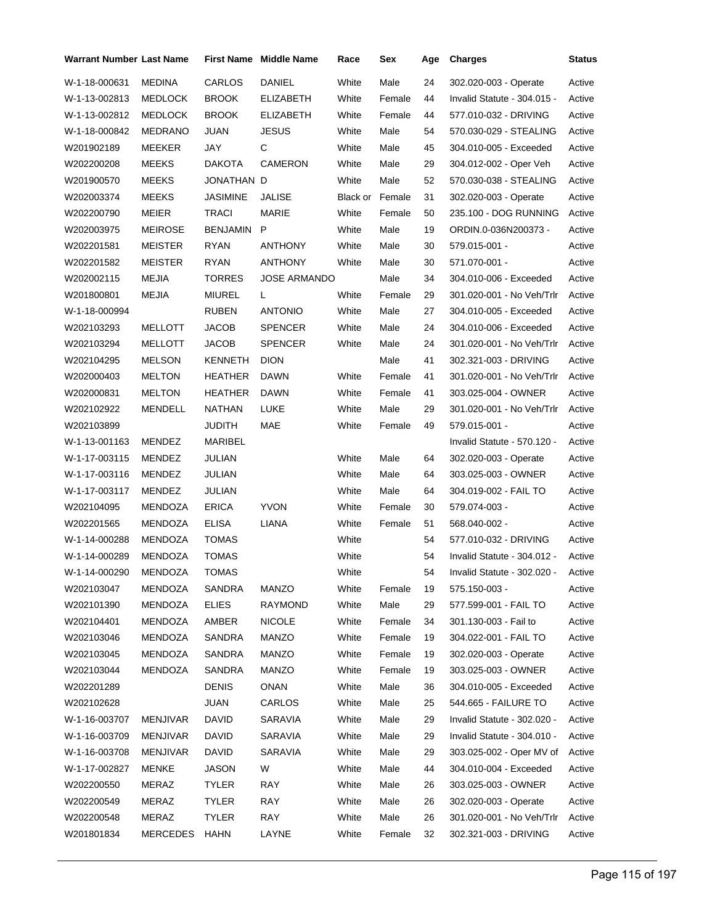| Warrant Number Last Name |                 |                | <b>First Name</b> Middle Name | Race                   | Sex    | Age | <b>Charges</b>                     | Status |
|--------------------------|-----------------|----------------|-------------------------------|------------------------|--------|-----|------------------------------------|--------|
| W-1-18-000631            | <b>MEDINA</b>   | CARLOS         | <b>DANIEL</b>                 | White                  | Male   | 24  | 302.020-003 - Operate              | Active |
| W-1-13-002813            | <b>MEDLOCK</b>  | <b>BROOK</b>   | ELIZABETH                     | White                  | Female | 44  | Invalid Statute - 304.015 -        | Active |
| W-1-13-002812            | MEDLOCK         | BROOK          | <b>ELIZABETH</b>              | White                  | Female | 44  | 577.010-032 - DRIVING              | Active |
| W-1-18-000842            | <b>MEDRANO</b>  | JUAN           | <b>JESUS</b>                  | White                  | Male   | 54  | 570.030-029 - STEALING             | Active |
| W201902189               | MEEKER          | JAY            | С                             | White                  | Male   | 45  | 304.010-005 - Exceeded             | Active |
| W202200208               | <b>MEEKS</b>    | DAKOTA         | <b>CAMERON</b>                | White                  | Male   | 29  | 304.012-002 - Oper Veh             | Active |
| W201900570               | MEEKS           | JONATHAN D     |                               | White                  | Male   | 52  | 570.030-038 - STEALING             | Active |
| W202003374               | <b>MEEKS</b>    | JASIMINE       | JALISE                        | <b>Black or Female</b> |        | 31  | 302.020-003 - Operate              | Active |
| W202200790               | MEIER           | <b>TRACI</b>   | MARIE                         | White                  | Female | 50  | 235.100 - DOG RUNNING              | Active |
| W202003975               | <b>MEIROSE</b>  | BENJAMIN       | P                             | White                  | Male   | 19  | ORDIN.0-036N200373 -               | Active |
| W202201581               | <b>MEISTER</b>  | RYAN           | ANTHONY                       | White                  | Male   | 30  | 579.015-001 -                      | Active |
| W202201582               | <b>MEISTER</b>  | RYAN           | ANTHONY                       | White                  | Male   | 30  | 571.070-001 -                      | Active |
| W202002115               | <b>MEJIA</b>    | TORRES         | <b>JOSE ARMANDO</b>           |                        | Male   | 34  | 304.010-006 - Exceeded             | Active |
| W201800801               | MEJIA           | MIUREL         | L                             | White                  | Female | 29  | 301.020-001 - No Veh/Trlr          | Active |
| W-1-18-000994            |                 | RUBEN          | <b>ANTONIO</b>                | White                  | Male   | 27  | 304.010-005 - Exceeded             | Active |
| W202103293               | <b>MELLOTT</b>  | <b>JACOB</b>   | <b>SPENCER</b>                | White                  | Male   | 24  | 304.010-006 - Exceeded             | Active |
| W202103294               | MELLOTT         | JACOB          | <b>SPENCER</b>                | White                  | Male   | 24  | 301.020-001 - No Veh/Trlr          | Active |
| W202104295               | <b>MELSON</b>   | KENNETH        | <b>DION</b>                   |                        | Male   | 41  | 302.321-003 - DRIVING              | Active |
| W202000403               | <b>MELTON</b>   | <b>HEATHER</b> | <b>DAWN</b>                   | White                  | Female | 41  | 301.020-001 - No Veh/Trlr          | Active |
| W202000831               | <b>MELTON</b>   | HEATHER        | DAWN                          | White                  | Female | 41  | 303.025-004 - OWNER                | Active |
| W202102922               | MENDELL         | NATHAN         | LUKE                          | White                  | Male   | 29  | 301.020-001 - No Veh/Trlr          | Active |
| W202103899               |                 | <b>JUDITH</b>  | MAE                           | White                  | Female | 49  | 579.015-001 -                      | Active |
| W-1-13-001163            | MENDEZ          | MARIBEL        |                               |                        |        |     | Invalid Statute - 570.120 -        | Active |
| W-1-17-003115            | MENDEZ          | JULIAN         |                               | White                  | Male   | 64  | 302.020-003 - Operate              | Active |
| W-1-17-003116            | MENDEZ          | JULIAN         |                               | White                  | Male   | 64  | 303.025-003 - OWNER                | Active |
| W-1-17-003117            | MENDEZ          | JULIAN         |                               | White                  | Male   | 64  | 304.019-002 - FAIL TO              | Active |
| W202104095               | MENDOZA         | <b>ERICA</b>   | <b>YVON</b>                   | White                  | Female | 30  | 579.074-003 -                      | Active |
| W202201565               | MENDOZA         | ELISA          | LIANA                         | White                  | Female | 51  | 568.040-002 -                      | Active |
| W-1-14-000288            | MENDOZA         | TOMAS          |                               | White                  |        | 54  | 577.010-032 - DRIVING              | Active |
| W-1-14-000289            | MENDOZA         | <b>TOMAS</b>   |                               | White                  |        | 54  | Invalid Statute - 304.012 -        | Active |
| W-1-14-000290            | MENDOZA         | TOMAS          |                               | White                  |        | 54  | Invalid Statute - 302.020 - Active |        |
| W202103047               | MENDOZA         | SANDRA         | MANZO                         | White                  | Female | 19  | 575.150-003 -                      | Active |
| W202101390               | MENDOZA         | <b>ELIES</b>   | <b>RAYMOND</b>                | White                  | Male   | 29  | 577.599-001 - FAIL TO              | Active |
| W202104401               | MENDOZA         | AMBER          | <b>NICOLE</b>                 | White                  | Female | 34  | 301.130-003 - Fail to              | Active |
| W202103046               | MENDOZA         | SANDRA         | <b>MANZO</b>                  | White                  | Female | 19  | 304.022-001 - FAIL TO              | Active |
| W202103045               | MENDOZA         | SANDRA         | MANZO                         | White                  | Female | 19  | 302.020-003 - Operate              | Active |
| W202103044               | MENDOZA         | SANDRA         | MANZO                         | White                  | Female | 19  | 303.025-003 - OWNER                | Active |
| W202201289               |                 | DENIS          | ONAN                          | White                  | Male   | 36  | 304.010-005 - Exceeded             | Active |
| W202102628               |                 | <b>JUAN</b>    | CARLOS                        | White                  | Male   | 25  | 544.665 - FAILURE TO               | Active |
| W-1-16-003707            | <b>MENJIVAR</b> | <b>DAVID</b>   | SARAVIA                       | White                  | Male   | 29  | Invalid Statute - 302.020 -        | Active |
| W-1-16-003709            | <b>MENJIVAR</b> | DAVID          | SARAVIA                       | White                  | Male   | 29  | Invalid Statute - 304.010 -        | Active |
| W-1-16-003708            | <b>MENJIVAR</b> | DAVID          | SARAVIA                       | White                  | Male   | 29  | 303.025-002 - Oper MV of           | Active |
| W-1-17-002827            | <b>MENKE</b>    | JASON          | W                             | White                  | Male   | 44  | 304.010-004 - Exceeded             | Active |
| W202200550               | MERAZ           | <b>TYLER</b>   | <b>RAY</b>                    | White                  | Male   | 26  | 303.025-003 - OWNER                | Active |
| W202200549               | MERAZ           | <b>TYLER</b>   | RAY                           | White                  | Male   | 26  | 302.020-003 - Operate              | Active |
| W202200548               | MERAZ           | <b>TYLER</b>   | RAY                           | White                  | Male   | 26  | 301.020-001 - No Veh/Trlr          | Active |
| W201801834               | <b>MERCEDES</b> | HAHN           | LAYNE                         | White                  | Female | 32  | 302.321-003 - DRIVING              | Active |
|                          |                 |                |                               |                        |        |     |                                    |        |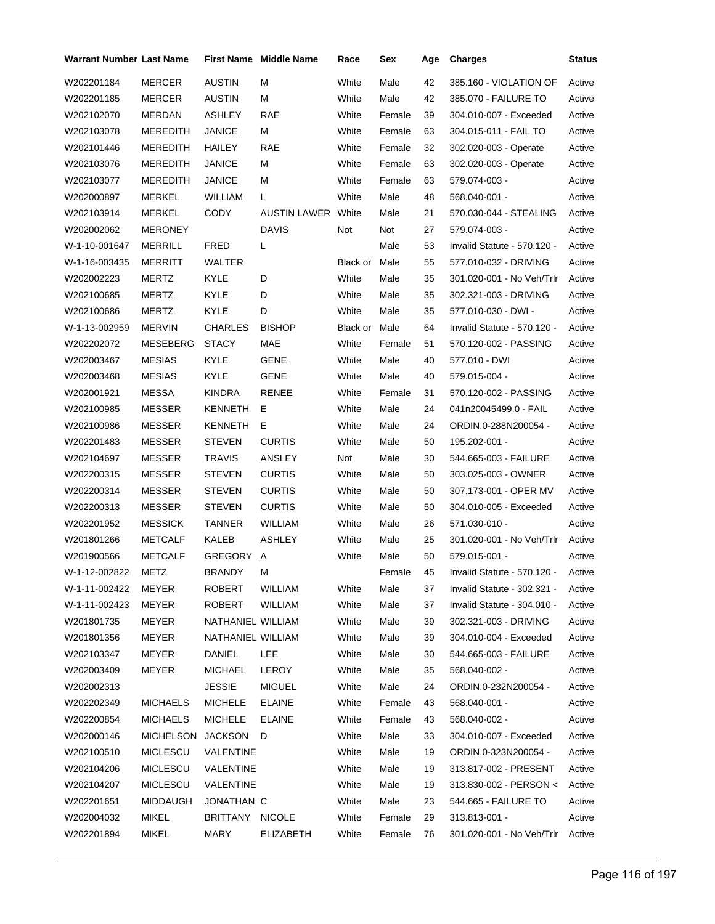| Warrant Number Last Name |                  |                   | <b>First Name Middle Name</b> | Race          | Sex    | Age | <b>Charges</b>                   | <b>Status</b> |
|--------------------------|------------------|-------------------|-------------------------------|---------------|--------|-----|----------------------------------|---------------|
| W202201184               | MERCER           | <b>AUSTIN</b>     | М                             | White         | Male   | 42  | 385.160 - VIOLATION OF           | Active        |
| W202201185               | MERCER           | <b>AUSTIN</b>     | М                             | White         | Male   | 42  | 385.070 - FAILURE TO             | Active        |
| W202102070               | MERDAN           | ASHLEY            | <b>RAE</b>                    | White         | Female | 39  | 304.010-007 - Exceeded           | Active        |
| W202103078               | <b>MEREDITH</b>  | JANICE            | М                             | White         | Female | 63  | 304.015-011 - FAIL TO            | Active        |
| W202101446               | <b>MEREDITH</b>  | <b>HAILEY</b>     | <b>RAE</b>                    | White         | Female | 32  | 302.020-003 - Operate            | Active        |
| W202103076               | <b>MEREDITH</b>  | JANICE            | м                             | White         | Female | 63  | 302.020-003 - Operate            | Active        |
| W202103077               | MEREDITH         | <b>JANICE</b>     | М                             | White         | Female | 63  | 579.074-003 -                    | Active        |
| W202000897               | MERKEL           | <b>WILLIAM</b>    | L                             | White         | Male   | 48  | 568.040-001 -                    | Active        |
| W202103914               | MERKEL           | <b>CODY</b>       | <b>AUSTIN LAWER White</b>     |               | Male   | 21  | 570.030-044 - STEALING           | Active        |
| W202002062               | <b>MERONEY</b>   |                   | <b>DAVIS</b>                  | Not           | Not    | 27  | 579.074-003 -                    | Active        |
| W-1-10-001647            | <b>MERRILL</b>   | <b>FRED</b>       | L                             |               | Male   | 53  | Invalid Statute - 570.120 -      | Active        |
| W-1-16-003435            | <b>MERRITT</b>   | WALTER            |                               | Black or      | Male   | 55  | 577.010-032 - DRIVING            | Active        |
| W202002223               | MERTZ            | KYLE              | D                             | White         | Male   | 35  | 301.020-001 - No Veh/Trlr        | Active        |
| W202100685               | <b>MERTZ</b>     | <b>KYLE</b>       | D                             | White         | Male   | 35  | 302.321-003 - DRIVING            | Active        |
| W202100686               | MERTZ            | <b>KYLE</b>       | D                             | White         | Male   | 35  | 577.010-030 - DWI -              | Active        |
| W-1-13-002959            | <b>MERVIN</b>    | CHARLES           | <b>BISHOP</b>                 | Black or Male |        | 64  | Invalid Statute - 570.120 -      | Active        |
| W202202072               | MESEBERG         | <b>STACY</b>      | MAE                           | White         | Female | 51  | 570.120-002 - PASSING            | Active        |
| W202003467               | <b>MESIAS</b>    | <b>KYLE</b>       | <b>GENE</b>                   | White         | Male   | 40  | 577.010 - DWI                    | Active        |
| W202003468               | <b>MESIAS</b>    | KYLE              | GENE                          | White         | Male   | 40  | 579.015-004 -                    | Active        |
| W202001921               | <b>MESSA</b>     | <b>KINDRA</b>     | <b>RENEE</b>                  | White         | Female | 31  | 570.120-002 - PASSING            | Active        |
| W202100985               | MESSER           | KENNETH           | E.                            | White         | Male   | 24  | 041n20045499.0 - FAIL            | Active        |
| W202100986               | MESSER           | KENNETH           | Е                             | White         | Male   | 24  | ORDIN.0-288N200054 -             | Active        |
| W202201483               | <b>MESSER</b>    | <b>STEVEN</b>     | <b>CURTIS</b>                 | White         | Male   | 50  | 195.202-001 -                    | Active        |
| W202104697               | MESSER           | TRAVIS            | ANSLEY                        | Not           | Male   | 30  | 544.665-003 - FAILURE            | Active        |
| W202200315               | MESSER           | <b>STEVEN</b>     | <b>CURTIS</b>                 | White         | Male   | 50  | 303.025-003 - OWNER              | Active        |
| W202200314               | <b>MESSER</b>    | <b>STEVEN</b>     | <b>CURTIS</b>                 | White         | Male   | 50  | 307.173-001 - OPER MV            | Active        |
| W202200313               | <b>MESSER</b>    | <b>STEVEN</b>     | <b>CURTIS</b>                 | White         | Male   | 50  | 304.010-005 - Exceeded           | Active        |
| W202201952               | <b>MESSICK</b>   | <b>TANNER</b>     | WILLIAM                       | White         | Male   | 26  | 571.030-010 -                    | Active        |
| W201801266               | <b>METCALF</b>   | KALEB             | <b>ASHLEY</b>                 | White         | Male   | 25  | 301.020-001 - No Veh/Trlr        | Active        |
| W201900566               | <b>METCALF</b>   | GREGORY A         |                               | White         | Male   | 50  | 579.015-001 -                    | Active        |
| W-1-12-002822            | METZ             | BRANDY            | M                             |               | Female | 45  | Invalid Statute - 570.120 -      | Active        |
| W-1-11-002422            | MEYER            | ROBERT            | WILLIAM                       | White         | Male   | 37  | Invalid Statute - 302.321 -      | Active        |
| W-1-11-002423            | MEYER            | ROBERT            | <b>WILLIAM</b>                | White         | Male   | 37  | Invalid Statute - 304.010 -      | Active        |
| W201801735               | <b>MEYER</b>     | NATHANIEL WILLIAM |                               | White         | Male   | 39  | 302.321-003 - DRIVING            | Active        |
| W201801356               | <b>MEYER</b>     | NATHANIEL WILLIAM |                               | White         | Male   | 39  | 304.010-004 - Exceeded           | Active        |
| W202103347               | MEYER            | DANIEL            | LEE                           | White         | Male   | 30  | 544.665-003 - FAILURE            | Active        |
| W202003409               | MEYER            | MICHAEL           | LEROY                         | White         | Male   | 35  | 568.040-002 -                    | Active        |
| W202002313               |                  | <b>JESSIE</b>     | <b>MIGUEL</b>                 | White         | Male   | 24  | ORDIN.0-232N200054 -             | Active        |
| W202202349               | <b>MICHAELS</b>  | MICHELE           | <b>ELAINE</b>                 | White         | Female | 43  | 568.040-001 -                    | Active        |
| W202200854               | <b>MICHAELS</b>  | MICHELE           | <b>ELAINE</b>                 | White         | Female | 43  | 568.040-002 -                    | Active        |
| W202000146               | <b>MICHELSON</b> | <b>JACKSON</b>    | D                             | White         | Male   | 33  | 304.010-007 - Exceeded           | Active        |
| W202100510               | <b>MICLESCU</b>  | VALENTINE         |                               | White         | Male   | 19  | ORDIN.0-323N200054 -             | Active        |
| W202104206               | MICLESCU         | VALENTINE         |                               | White         | Male   | 19  | 313.817-002 - PRESENT            | Active        |
| W202104207               | MICLESCU         | VALENTINE         |                               | White         | Male   | 19  | 313.830-002 - PERSON <           | Active        |
| W202201651               | MIDDAUGH         | JONATHAN C        |                               | White         | Male   | 23  | 544.665 - FAILURE TO             | Active        |
| W202004032               | MIKEL            | BRITTANY NICOLE   |                               | White         | Female | 29  | 313.813-001 -                    | Active        |
| W202201894               | MIKEL            | MARY              | <b>ELIZABETH</b>              | White         | Female | 76  | 301.020-001 - No Veh/Trlr Active |               |
|                          |                  |                   |                               |               |        |     |                                  |               |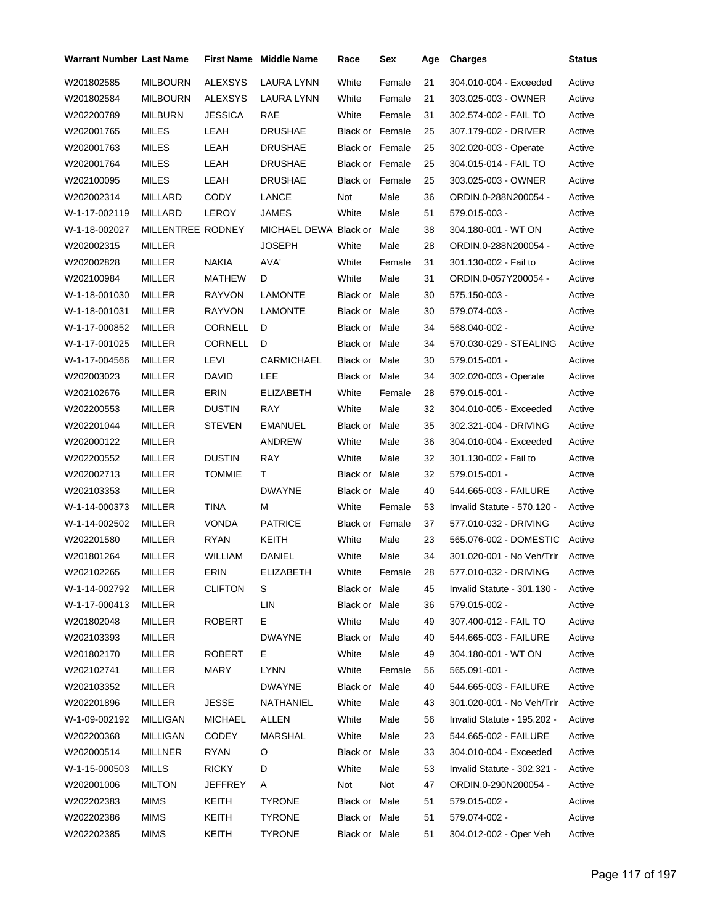| Warrant Number Last Name |                   |                | <b>First Name</b> Middle Name | Race                   | Sex    | Age | <b>Charges</b>              | <b>Status</b> |
|--------------------------|-------------------|----------------|-------------------------------|------------------------|--------|-----|-----------------------------|---------------|
| W201802585               | <b>MILBOURN</b>   | <b>ALEXSYS</b> | LAURA LYNN                    | White                  | Female | 21  | 304.010-004 - Exceeded      | Active        |
| W201802584               | <b>MILBOURN</b>   | <b>ALEXSYS</b> | LAURA LYNN                    | White                  | Female | 21  | 303.025-003 - OWNER         | Active        |
| W202200789               | <b>MILBURN</b>    | <b>JESSICA</b> | <b>RAE</b>                    | White                  | Female | 31  | 302.574-002 - FAIL TO       | Active        |
| W202001765               | <b>MILES</b>      | LEAH           | <b>DRUSHAE</b>                | <b>Black or Female</b> |        | 25  | 307.179-002 - DRIVER        | Active        |
| W202001763               | <b>MILES</b>      | LEAH           | <b>DRUSHAE</b>                | <b>Black or Female</b> |        | 25  | 302.020-003 - Operate       | Active        |
| W202001764               | <b>MILES</b>      | LEAH           | <b>DRUSHAE</b>                | <b>Black or Female</b> |        | 25  | 304.015-014 - FAIL TO       | Active        |
| W202100095               | <b>MILES</b>      | LEAH           | <b>DRUSHAE</b>                | <b>Black or Female</b> |        | 25  | 303.025-003 - OWNER         | Active        |
| W202002314               | MILLARD           | <b>CODY</b>    | LANCE                         | Not                    | Male   | 36  | ORDIN.0-288N200054 -        | Active        |
| W-1-17-002119            | MILLARD           | LEROY          | <b>JAMES</b>                  | White                  | Male   | 51  | 579.015-003 -               | Active        |
| W-1-18-002027            | MILLENTREE RODNEY |                | MICHAEL DEWA Black or Male    |                        |        | 38  | 304.180-001 - WT ON         | Active        |
| W202002315               | <b>MILLER</b>     |                | <b>JOSEPH</b>                 | White                  | Male   | 28  | ORDIN.0-288N200054 -        | Active        |
| W202002828               | <b>MILLER</b>     | NAKIA          | AVA'                          | White                  | Female | 31  | 301.130-002 - Fail to       | Active        |
| W202100984               | MILLER            | <b>MATHEW</b>  | D                             | White                  | Male   | 31  | ORDIN.0-057Y200054 -        | Active        |
| W-1-18-001030            | <b>MILLER</b>     | RAYVON         | <b>LAMONTE</b>                | Black or Male          |        | 30  | 575.150-003 -               | Active        |
| W-1-18-001031            | <b>MILLER</b>     | <b>RAYVON</b>  | <b>LAMONTE</b>                | Black or Male          |        | 30  | 579.074-003 -               | Active        |
| W-1-17-000852            | MILLER            | CORNELL        | D                             | Black or Male          |        | 34  | 568.040-002 -               | Active        |
| W-1-17-001025            | MILLER            | <b>CORNELL</b> | D                             | Black or Male          |        | 34  | 570.030-029 - STEALING      | Active        |
| W-1-17-004566            | MILLER            | LEVI           | <b>CARMICHAEL</b>             | Black or Male          |        | 30  | 579.015-001 -               | Active        |
| W202003023               | <b>MILLER</b>     | DAVID          | LEE                           | Black or Male          |        | 34  | 302.020-003 - Operate       | Active        |
| W202102676               | MILLER            | ERIN           | <b>ELIZABETH</b>              | White                  | Female | 28  | 579.015-001 -               | Active        |
| W202200553               | MILLER            | <b>DUSTIN</b>  | RAY                           | White                  | Male   | 32  | 304.010-005 - Exceeded      | Active        |
| W202201044               | MILLER            | <b>STEVEN</b>  | <b>EMANUEL</b>                | Black or Male          |        | 35  | 302.321-004 - DRIVING       | Active        |
| W202000122               | <b>MILLER</b>     |                | ANDREW                        | White                  | Male   | 36  | 304.010-004 - Exceeded      | Active        |
| W202200552               | MILLER            | <b>DUSTIN</b>  | RAY                           | White                  | Male   | 32  | 301.130-002 - Fail to       | Active        |
| W202002713               | MILLER            | <b>TOMMIE</b>  | Τ                             | Black or Male          |        | 32  | 579.015-001 -               | Active        |
| W202103353               | MILLER            |                | <b>DWAYNE</b>                 | Black or Male          |        | 40  | 544.665-003 - FAILURE       | Active        |
| W-1-14-000373            | <b>MILLER</b>     | TINA           | М                             | White                  | Female | 53  | Invalid Statute - 570.120 - | Active        |
| W-1-14-002502            | MILLER            | <b>VONDA</b>   | <b>PATRICE</b>                | Black or Female        |        | 37  | 577.010-032 - DRIVING       | Active        |
| W202201580               | MILLER            | <b>RYAN</b>    | KEITH                         | White                  | Male   | 23  | 565.076-002 - DOMESTIC      | Active        |
| W201801264               | <b>MILLER</b>     | <b>WILLIAM</b> | DANIEL                        | White                  | Male   | 34  | 301.020-001 - No Veh/Trlr   | Active        |
| W202102265               | MILLER            | ERIN           | ELIZABETH                     | White                  | Female | 28  | 577.010-032 - DRIVING       | Active        |
| W-1-14-002792            | MILLER            | <b>CLIFTON</b> | S                             | Black or Male          |        | 45  | Invalid Statute - 301.130 - | Active        |
| W-1-17-000413            | MILLER            |                | LIN                           | Black or Male          |        | 36  | 579.015-002 -               | Active        |
| W201802048               | <b>MILLER</b>     | ROBERT         | E.                            | White                  | Male   | 49  | 307.400-012 - FAIL TO       | Active        |
| W202103393               | MILLER            |                | <b>DWAYNE</b>                 | Black or Male          |        | 40  | 544.665-003 - FAILURE       | Active        |
| W201802170               | MILLER            | ROBERT         | Е.                            | White                  | Male   | 49  | 304.180-001 - WT ON         | Active        |
| W202102741               | MILLER            | MARY           | <b>LYNN</b>                   | White                  | Female | 56  | 565.091-001 -               | Active        |
| W202103352               | MILLER            |                | DWAYNE                        | Black or Male          |        | 40  | 544.665-003 - FAILURE       | Active        |
| W202201896               | <b>MILLER</b>     | JESSE          | NATHANIEL                     | White                  | Male   | 43  | 301.020-001 - No Veh/Trlr   | Active        |
| W-1-09-002192            | <b>MILLIGAN</b>   | MICHAEL        | <b>ALLEN</b>                  | White                  | Male   | 56  | Invalid Statute - 195.202 - | Active        |
| W202200368               | <b>MILLIGAN</b>   | <b>CODEY</b>   | MARSHAL                       | White                  | Male   | 23  | 544.665-002 - FAILURE       | Active        |
| W202000514               | <b>MILLNER</b>    | RYAN           | O                             | Black or Male          |        | 33  | 304.010-004 - Exceeded      | Active        |
| W-1-15-000503            | MILLS             | <b>RICKY</b>   | D                             | White                  | Male   | 53  | Invalid Statute - 302.321 - | Active        |
| W202001006               | <b>MILTON</b>     | <b>JEFFREY</b> | A                             | Not                    | Not    | 47  | ORDIN.0-290N200054 -        | Active        |
| W202202383               | <b>MIMS</b>       | KEITH          | <b>TYRONE</b>                 | Black or Male          |        | 51  | 579.015-002 -               | Active        |
| W202202386               | <b>MIMS</b>       | KEITH          | <b>TYRONE</b>                 | Black or Male          |        | 51  | 579.074-002 -               | Active        |
| W202202385               | <b>MIMS</b>       | KEITH          | <b>TYRONE</b>                 | Black or Male          |        | 51  | 304.012-002 - Oper Veh      | Active        |
|                          |                   |                |                               |                        |        |     |                             |               |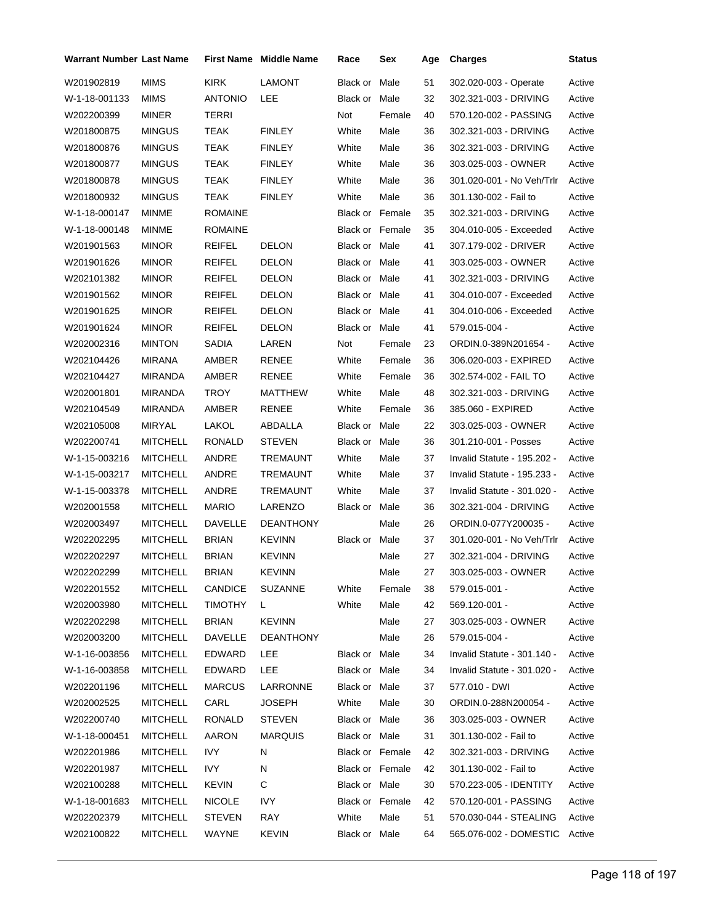| <b>Warrant Number Last Name</b> |                 | <b>First Name</b> | <b>Middle Name</b> | Race                   | Sex    | Age | <b>Charges</b>                | <b>Status</b> |
|---------------------------------|-----------------|-------------------|--------------------|------------------------|--------|-----|-------------------------------|---------------|
| W201902819                      | <b>MIMS</b>     | <b>KIRK</b>       | <b>LAMONT</b>      | Black or               | Male   | 51  | 302.020-003 - Operate         | Active        |
| W-1-18-001133                   | MIMS            | <b>ANTONIO</b>    | LEE                | Black or Male          |        | 32  | 302.321-003 - DRIVING         | Active        |
| W202200399                      | <b>MINER</b>    | <b>TERRI</b>      |                    | Not                    | Female | 40  | 570.120-002 - PASSING         | Active        |
| W201800875                      | <b>MINGUS</b>   | TEAK              | <b>FINLEY</b>      | White                  | Male   | 36  | 302.321-003 - DRIVING         | Active        |
| W201800876                      | <b>MINGUS</b>   | TEAK              | <b>FINLEY</b>      | White                  | Male   | 36  | 302.321-003 - DRIVING         | Active        |
| W201800877                      | <b>MINGUS</b>   | TEAK              | <b>FINLEY</b>      | White                  | Male   | 36  | 303.025-003 - OWNER           | Active        |
| W201800878                      | <b>MINGUS</b>   | TEAK              | <b>FINLEY</b>      | White                  | Male   | 36  | 301.020-001 - No Veh/Trlr     | Active        |
| W201800932                      | <b>MINGUS</b>   | TEAK              | <b>FINLEY</b>      | White                  | Male   | 36  | 301.130-002 - Fail to         | Active        |
| W-1-18-000147                   | <b>MINME</b>    | <b>ROMAINE</b>    |                    | <b>Black or Female</b> |        | 35  | 302.321-003 - DRIVING         | Active        |
| W-1-18-000148                   | MINME           | <b>ROMAINE</b>    |                    | <b>Black or Female</b> |        | 35  | 304.010-005 - Exceeded        | Active        |
| W201901563                      | <b>MINOR</b>    | REIFEL            | <b>DELON</b>       | Black or Male          |        | 41  | 307.179-002 - DRIVER          | Active        |
| W201901626                      | <b>MINOR</b>    | REIFEL            | <b>DELON</b>       | Black or Male          |        | 41  | 303.025-003 - OWNER           | Active        |
| W202101382                      | <b>MINOR</b>    | <b>REIFEL</b>     | <b>DELON</b>       | Black or Male          |        | 41  | 302.321-003 - DRIVING         | Active        |
| W201901562                      | <b>MINOR</b>    | REIFEL            | <b>DELON</b>       | Black or Male          |        | 41  | 304.010-007 - Exceeded        | Active        |
| W201901625                      | <b>MINOR</b>    | REIFEL            | <b>DELON</b>       | Black or Male          |        | 41  | 304.010-006 - Exceeded        | Active        |
| W201901624                      | <b>MINOR</b>    | REIFEL            | <b>DELON</b>       | Black or Male          |        | 41  | 579.015-004 -                 | Active        |
| W202002316                      | <b>MINTON</b>   | SADIA             | LAREN              | Not                    | Female | 23  | ORDIN.0-389N201654 -          | Active        |
| W202104426                      | <b>MIRANA</b>   | AMBER             | RENEE              | White                  | Female | 36  | 306.020-003 - EXPIRED         | Active        |
| W202104427                      | MIRANDA         | AMBER             | <b>RENEE</b>       | White                  | Female | 36  | 302.574-002 - FAIL TO         | Active        |
| W202001801                      | MIRANDA         | TROY              | MATTHEW            | White                  | Male   | 48  | 302.321-003 - DRIVING         | Active        |
| W202104549                      | MIRANDA         | AMBER             | RENEE              | White                  | Female | 36  | 385.060 - EXPIRED             | Active        |
| W202105008                      | <b>MIRYAL</b>   | LAKOL             | ABDALLA            | Black or Male          |        | 22  | 303.025-003 - OWNER           | Active        |
| W202200741                      | <b>MITCHELL</b> | RONALD            | <b>STEVEN</b>      | Black or Male          |        | 36  | 301.210-001 - Posses          | Active        |
| W-1-15-003216                   | <b>MITCHELL</b> | ANDRE             | TREMAUNT           | White                  | Male   | 37  | Invalid Statute - 195.202 -   | Active        |
| W-1-15-003217                   | <b>MITCHELL</b> | ANDRE             | TREMAUNT           | White                  | Male   | 37  | Invalid Statute - 195.233 -   | Active        |
| W-1-15-003378                   | <b>MITCHELL</b> | ANDRE             | <b>TREMAUNT</b>    | White                  | Male   | 37  | Invalid Statute - 301.020 -   | Active        |
| W202001558                      | <b>MITCHELL</b> | <b>MARIO</b>      | LARENZO            | Black or Male          |        | 36  | 302.321-004 - DRIVING         | Active        |
| W202003497                      | <b>MITCHELL</b> | <b>DAVELLE</b>    | <b>DEANTHONY</b>   |                        | Male   | 26  | ORDIN.0-077Y200035 -          | Active        |
| W202202295                      | <b>MITCHELL</b> | <b>BRIAN</b>      | <b>KEVINN</b>      | Black or Male          |        | 37  | 301.020-001 - No Veh/Trlr     | Active        |
| W202202297                      | <b>MITCHELL</b> | <b>BRIAN</b>      | <b>KEVINN</b>      |                        | Male   | 27  | 302.321-004 - DRIVING         | Active        |
| W202202299                      | <b>MITCHELL</b> | <b>BRIAN</b>      | <b>KEVINN</b>      |                        | Male   | 27  | 303.025-003 - OWNER           | Active        |
| W202201552                      | <b>MITCHELL</b> | CANDICE           | SUZANNE            | White                  | Female | 38  | 579.015-001 -                 | Active        |
| W202003980                      | <b>MITCHELL</b> | TIMOTHY           | L.                 | White                  | Male   | 42  | 569.120-001 -                 | Active        |
| W202202298                      | <b>MITCHELL</b> | <b>BRIAN</b>      | <b>KEVINN</b>      |                        | Male   | 27  | 303.025-003 - OWNER           | Active        |
| W202003200                      | <b>MITCHELL</b> | DAVELLE           | <b>DEANTHONY</b>   |                        | Male   | 26  | 579.015-004 -                 | Active        |
| W-1-16-003856                   | <b>MITCHELL</b> | EDWARD            | LEE                | Black or Male          |        | 34  | Invalid Statute - 301.140 -   | Active        |
| W-1-16-003858                   | <b>MITCHELL</b> | EDWARD            | LEE                | Black or Male          |        | 34  | Invalid Statute - 301.020 -   | Active        |
| W202201196                      | <b>MITCHELL</b> | <b>MARCUS</b>     | LARRONNE           | Black or Male          |        | 37  | 577.010 - DWI                 | Active        |
| W202002525                      | <b>MITCHELL</b> | CARL              | <b>JOSEPH</b>      | White                  | Male   | 30  | ORDIN.0-288N200054 -          | Active        |
| W202200740                      | <b>MITCHELL</b> | RONALD            | <b>STEVEN</b>      | Black or Male          |        | 36  | 303.025-003 - OWNER           | Active        |
| W-1-18-000451                   | <b>MITCHELL</b> | AARON             | <b>MARQUIS</b>     | Black or Male          |        | 31  | 301.130-002 - Fail to         | Active        |
| W202201986                      | <b>MITCHELL</b> | IVY.              | N                  | Black or Female        |        | 42  | 302.321-003 - DRIVING         | Active        |
| W202201987                      | <b>MITCHELL</b> | <b>IVY</b>        | N                  | Black or Female        |        | 42  | 301.130-002 - Fail to         | Active        |
| W202100288                      | <b>MITCHELL</b> | <b>KEVIN</b>      | C                  | Black or Male          |        | 30  | 570.223-005 - IDENTITY        | Active        |
| W-1-18-001683                   | <b>MITCHELL</b> | <b>NICOLE</b>     | IVY                | Black or Female        |        | 42  | 570.120-001 - PASSING         | Active        |
| W202202379                      | <b>MITCHELL</b> | <b>STEVEN</b>     | RAY                | White                  | Male   | 51  | 570.030-044 - STEALING        | Active        |
| W202100822                      | <b>MITCHELL</b> | WAYNE             | <b>KEVIN</b>       | Black or Male          |        | 64  | 565.076-002 - DOMESTIC Active |               |
|                                 |                 |                   |                    |                        |        |     |                               |               |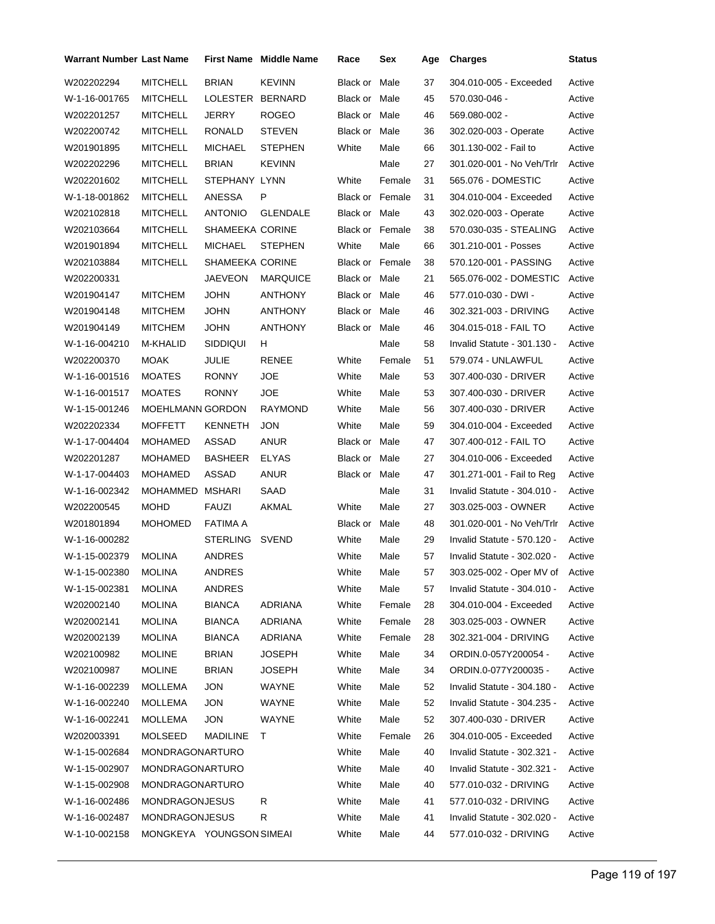| <b>Warrant Number Last Name</b> |                          |                        | <b>First Name</b> Middle Name | Race                   | Sex    | Age | <b>Charges</b>                  | <b>Status</b> |
|---------------------------------|--------------------------|------------------------|-------------------------------|------------------------|--------|-----|---------------------------------|---------------|
| W202202294                      | <b>MITCHELL</b>          | <b>BRIAN</b>           | <b>KEVINN</b>                 | Black or               | Male   | 37  | 304.010-005 - Exceeded          | Active        |
| W-1-16-001765                   | <b>MITCHELL</b>          | LOLESTER               | <b>BERNARD</b>                | Black or Male          |        | 45  | 570.030-046 -                   | Active        |
| W202201257                      | <b>MITCHELL</b>          | <b>JERRY</b>           | <b>ROGEO</b>                  | Black or Male          |        | 46  | 569.080-002 -                   | Active        |
| W202200742                      | <b>MITCHELL</b>          | RONALD                 | <b>STEVEN</b>                 | Black or Male          |        | 36  | 302.020-003 - Operate           | Active        |
| W201901895                      | <b>MITCHELL</b>          | <b>MICHAEL</b>         | <b>STEPHEN</b>                | White                  | Male   | 66  | 301.130-002 - Fail to           | Active        |
| W202202296                      | <b>MITCHELL</b>          | <b>BRIAN</b>           | <b>KEVINN</b>                 |                        | Male   | 27  | 301.020-001 - No Veh/Trlr       | Active        |
| W202201602                      | <b>MITCHELL</b>          | STEPHANY LYNN          |                               | White                  | Female | 31  | 565.076 - DOMESTIC              | Active        |
| W-1-18-001862                   | <b>MITCHELL</b>          | ANESSA                 | P                             | Black or Female        |        | 31  | 304.010-004 - Exceeded          | Active        |
| W202102818                      | <b>MITCHELL</b>          | <b>ANTONIO</b>         | <b>GLENDALE</b>               | Black or Male          |        | 43  | 302.020-003 - Operate           | Active        |
| W202103664                      | <b>MITCHELL</b>          | <b>SHAMEEKA CORINE</b> |                               | Black or Female        |        | 38  | 570.030-035 - STEALING          | Active        |
| W201901894                      | <b>MITCHELL</b>          | <b>MICHAEL</b>         | <b>STEPHEN</b>                | White                  | Male   | 66  | 301.210-001 - Posses            | Active        |
| W202103884                      | <b>MITCHELL</b>          | <b>SHAMEEKA CORINE</b> |                               | <b>Black or Female</b> |        | 38  | 570.120-001 - PASSING           | Active        |
| W202200331                      |                          | <b>JAEVEON</b>         | <b>MARQUICE</b>               | Black or Male          |        | 21  | 565.076-002 - DOMESTIC          | Active        |
| W201904147                      | <b>MITCHEM</b>           | <b>JOHN</b>            | ANTHONY                       | Black or Male          |        | 46  | 577.010-030 - DWI -             | Active        |
| W201904148                      | <b>MITCHEM</b>           | <b>JOHN</b>            | <b>ANTHONY</b>                | Black or Male          |        | 46  | 302.321-003 - DRIVING           | Active        |
| W201904149                      | <b>MITCHEM</b>           | <b>JOHN</b>            | ANTHONY                       | Black or Male          |        | 46  | 304.015-018 - FAIL TO           | Active        |
| W-1-16-004210                   | M-KHALID                 | <b>SIDDIQUI</b>        | H                             |                        | Male   | 58  | Invalid Statute - 301.130 -     | Active        |
| W202200370                      | <b>MOAK</b>              | JULIE                  | <b>RENEE</b>                  | White                  | Female | 51  | 579.074 - UNLAWFUL              | Active        |
| W-1-16-001516                   | <b>MOATES</b>            | <b>RONNY</b>           | <b>JOE</b>                    | White                  | Male   | 53  | 307.400-030 - DRIVER            | Active        |
| W-1-16-001517                   | <b>MOATES</b>            | <b>RONNY</b>           | <b>JOE</b>                    | White                  | Male   | 53  | 307.400-030 - DRIVER            | Active        |
| W-1-15-001246                   | <b>MOEHLMANN GORDON</b>  |                        | <b>RAYMOND</b>                | White                  | Male   | 56  | 307.400-030 - DRIVER            | Active        |
| W202202334                      | <b>MOFFETT</b>           | <b>KENNETH</b>         | <b>JON</b>                    | White                  | Male   | 59  | 304.010-004 - Exceeded          | Active        |
| W-1-17-004404                   | <b>MOHAMED</b>           | ASSAD                  | ANUR                          | Black or Male          |        | 47  | 307.400-012 - FAIL TO           | Active        |
| W202201287                      | <b>MOHAMED</b>           | <b>BASHEER</b>         | <b>ELYAS</b>                  | Black or Male          |        | 27  | 304.010-006 - Exceeded          | Active        |
| W-1-17-004403                   | <b>MOHAMED</b>           | ASSAD                  | <b>ANUR</b>                   | Black or Male          |        | 47  | 301.271-001 - Fail to Reg       | Active        |
| W-1-16-002342                   | MOHAMMED                 | MSHARI                 | SAAD                          |                        | Male   | 31  | Invalid Statute - 304.010 -     | Active        |
| W202200545                      | <b>MOHD</b>              | FAUZI                  | AKMAL                         | White                  | Male   | 27  | 303.025-003 - OWNER             | Active        |
| W201801894                      | <b>MOHOMED</b>           | FATIMA A               |                               | Black or Male          |        | 48  | 301.020-001 - No Veh/Trlr       | Active        |
| W-1-16-000282                   |                          | <b>STERLING</b>        | <b>SVEND</b>                  | White                  | Male   | 29  | Invalid Statute - 570.120 -     | Active        |
| W-1-15-002379                   | <b>MOLINA</b>            | <b>ANDRES</b>          |                               | White                  | Male   | 57  | Invalid Statute - 302.020 -     | Active        |
| W-1-15-002380                   | <b>MOLINA</b>            | ANDRES                 |                               | White                  | Male   | 57  | 303.025-002 - Oper MV of Active |               |
| W-1-15-002381                   | <b>MOLINA</b>            | ANDRES                 |                               | White                  | Male   | 57  | Invalid Statute - 304.010 -     | Active        |
| W202002140                      | <b>MOLINA</b>            | <b>BIANCA</b>          | ADRIANA                       | White                  | Female | 28  | 304.010-004 - Exceeded          | Active        |
| W202002141                      | <b>MOLINA</b>            | <b>BIANCA</b>          | ADRIANA                       | White                  | Female | 28  | 303.025-003 - OWNER             | Active        |
| W202002139                      | <b>MOLINA</b>            | <b>BIANCA</b>          | ADRIANA                       | White                  | Female | 28  | 302.321-004 - DRIVING           | Active        |
| W202100982                      | <b>MOLINE</b>            | <b>BRIAN</b>           | <b>JOSEPH</b>                 | White                  | Male   | 34  | ORDIN.0-057Y200054 -            | Active        |
| W202100987                      | <b>MOLINE</b>            | <b>BRIAN</b>           | <b>JOSEPH</b>                 | White                  | Male   | 34  | ORDIN.0-077Y200035 -            | Active        |
| W-1-16-002239                   | MOLLEMA                  | <b>JON</b>             | WAYNE                         | White                  | Male   | 52  | Invalid Statute - 304.180 -     | Active        |
| W-1-16-002240                   | MOLLEMA                  | <b>JON</b>             | WAYNE                         | White                  | Male   | 52  | Invalid Statute - 304.235 -     | Active        |
| W-1-16-002241                   | MOLLEMA                  | <b>JON</b>             | WAYNE                         | White                  | Male   | 52  | 307.400-030 - DRIVER            | Active        |
| W202003391                      | <b>MOLSEED</b>           | MADILINE               | T.                            | White                  | Female | 26  | 304.010-005 - Exceeded          | Active        |
| W-1-15-002684                   | MONDRAGONARTURO          |                        |                               | White                  | Male   | 40  | Invalid Statute - 302.321 -     | Active        |
| W-1-15-002907                   | MONDRAGONARTURO          |                        |                               | White                  | Male   | 40  | Invalid Statute - 302.321 -     | Active        |
| W-1-15-002908                   | MONDRAGONARTURO          |                        |                               | White                  | Male   | 40  | 577.010-032 - DRIVING           | Active        |
| W-1-16-002486                   | <b>MONDRAGONJESUS</b>    |                        | R                             | White                  | Male   | 41  | 577.010-032 - DRIVING           | Active        |
| W-1-16-002487                   | <b>MONDRAGONJESUS</b>    |                        | R                             | White                  | Male   | 41  | Invalid Statute - 302.020 -     | Active        |
| W-1-10-002158                   | MONGKEYA YOUNGSON SIMEAI |                        |                               | White                  | Male   | 44  | 577.010-032 - DRIVING           | Active        |
|                                 |                          |                        |                               |                        |        |     |                                 |               |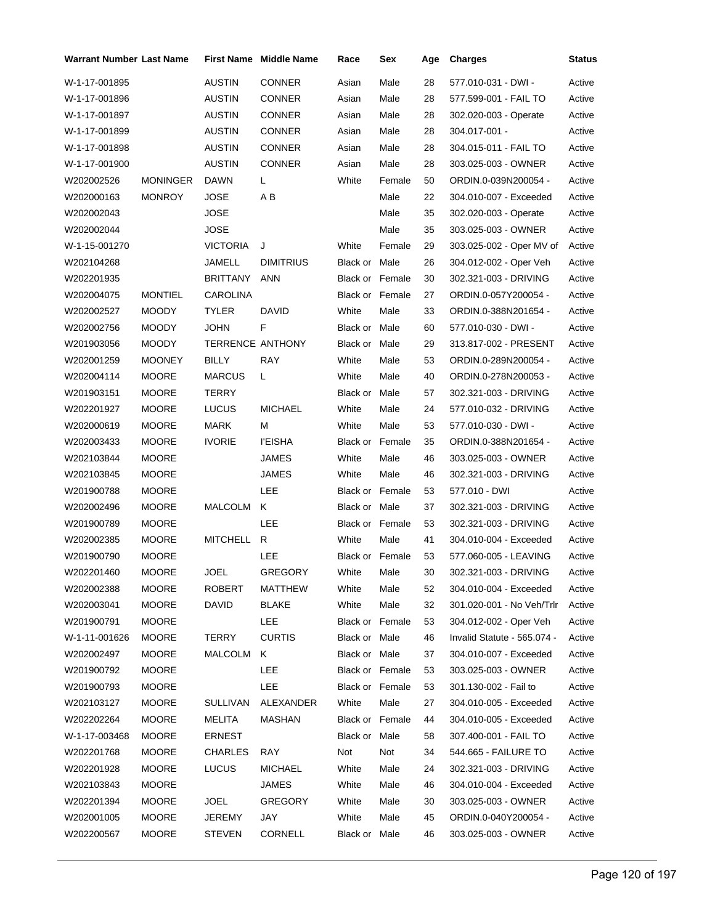| Warrant Number Last Name |                 |                  | <b>First Name</b> Middle Name | Race                   | Sex    | Age | <b>Charges</b>              | Status |
|--------------------------|-----------------|------------------|-------------------------------|------------------------|--------|-----|-----------------------------|--------|
| W-1-17-001895            |                 | <b>AUSTIN</b>    | <b>CONNER</b>                 | Asian                  | Male   | 28  | 577.010-031 - DWI -         | Active |
| W-1-17-001896            |                 | <b>AUSTIN</b>    | <b>CONNER</b>                 | Asian                  | Male   | 28  | 577.599-001 - FAIL TO       | Active |
| W-1-17-001897            |                 | <b>AUSTIN</b>    | <b>CONNER</b>                 | Asian                  | Male   | 28  | 302.020-003 - Operate       | Active |
| W-1-17-001899            |                 | <b>AUSTIN</b>    | CONNER                        | Asian                  | Male   | 28  | 304.017-001 -               | Active |
| W-1-17-001898            |                 | AUSTIN           | <b>CONNER</b>                 | Asian                  | Male   | 28  | 304.015-011 - FAIL TO       | Active |
| W-1-17-001900            |                 | <b>AUSTIN</b>    | <b>CONNER</b>                 | Asian                  | Male   | 28  | 303.025-003 - OWNER         | Active |
| W202002526               | <b>MONINGER</b> | <b>DAWN</b>      | L                             | White                  | Female | 50  | ORDIN.0-039N200054 -        | Active |
| W202000163               | <b>MONROY</b>   | JOSE             | ΑB                            |                        | Male   | 22  | 304.010-007 - Exceeded      | Active |
| W202002043               |                 | <b>JOSE</b>      |                               |                        | Male   | 35  | 302.020-003 - Operate       | Active |
| W202002044               |                 | JOSE             |                               |                        | Male   | 35  | 303.025-003 - OWNER         | Active |
| W-1-15-001270            |                 | <b>VICTORIA</b>  | J                             | White                  | Female | 29  | 303.025-002 - Oper MV of    | Active |
| W202104268               |                 | JAMELL           | <b>DIMITRIUS</b>              | Black or Male          |        | 26  | 304.012-002 - Oper Veh      | Active |
| W202201935               |                 | BRITTANY         | <b>ANN</b>                    | <b>Black or Female</b> |        | 30  | 302.321-003 - DRIVING       | Active |
| W202004075               | <b>MONTIEL</b>  | <b>CAROLINA</b>  |                               | <b>Black or Female</b> |        | 27  | ORDIN.0-057Y200054 -        | Active |
| W202002527               | <b>MOODY</b>    | <b>TYLER</b>     | DAVID                         | White                  | Male   | 33  | ORDIN.0-388N201654 -        | Active |
| W202002756               | <b>MOODY</b>    | <b>JOHN</b>      | F                             | Black or Male          |        | 60  | 577.010-030 - DWI -         | Active |
| W201903056               | <b>MOODY</b>    | TERRENCE ANTHONY |                               | Black or Male          |        | 29  | 313.817-002 - PRESENT       | Active |
| W202001259               | <b>MOONEY</b>   | <b>BILLY</b>     | RAY                           | White                  | Male   | 53  | ORDIN.0-289N200054 -        | Active |
| W202004114               | <b>MOORE</b>    | <b>MARCUS</b>    | L                             | White                  | Male   | 40  | ORDIN.0-278N200053 -        | Active |
| W201903151               | <b>MOORE</b>    | TERRY            |                               | Black or Male          |        | 57  | 302.321-003 - DRIVING       | Active |
| W202201927               | <b>MOORE</b>    | <b>LUCUS</b>     | <b>MICHAEL</b>                | White                  | Male   | 24  | 577.010-032 - DRIVING       | Active |
| W202000619               | <b>MOORE</b>    | MARK             | М                             | White                  | Male   | 53  | 577.010-030 - DWI -         | Active |
| W202003433               | <b>MOORE</b>    | <b>IVORIE</b>    | <b>I'EISHA</b>                | <b>Black or Female</b> |        | 35  | ORDIN.0-388N201654 -        | Active |
| W202103844               | <b>MOORE</b>    |                  | JAMES                         | White                  | Male   | 46  | 303.025-003 - OWNER         | Active |
| W202103845               | <b>MOORE</b>    |                  | <b>JAMES</b>                  | White                  | Male   | 46  | 302.321-003 - DRIVING       | Active |
| W201900788               | <b>MOORE</b>    |                  | LEE                           | <b>Black or Female</b> |        | 53  | 577.010 - DWI               | Active |
| W202002496               | <b>MOORE</b>    | MALCOLM          | Κ                             | Black or Male          |        | 37  | 302.321-003 - DRIVING       | Active |
| W201900789               | <b>MOORE</b>    |                  | LEE                           | Black or Female        |        | 53  | 302.321-003 - DRIVING       | Active |
| W202002385               | <b>MOORE</b>    | MITCHELL         | R                             | White                  | Male   | 41  | 304.010-004 - Exceeded      | Active |
| W201900790               | <b>MOORE</b>    |                  | LEE                           | <b>Black or Female</b> |        | 53  | 577.060-005 - LEAVING       | Active |
| W202201460               | <b>MOORE</b>    | <b>JOEL</b>      | <b>GREGORY</b>                | White Male             |        | 30  | 302.321-003 - DRIVING       | Active |
| W202002388               | <b>MOORE</b>    | ROBERT           | MATTHEW                       | White                  | Male   | 52  | 304.010-004 - Exceeded      | Active |
| W202003041               | <b>MOORE</b>    | DAVID            | <b>BLAKE</b>                  | White                  | Male   | 32  | 301.020-001 - No Veh/Trlr   | Active |
| W201900791               | <b>MOORE</b>    |                  | <b>LEE</b>                    | <b>Black or Female</b> |        | 53  | 304.012-002 - Oper Veh      | Active |
| W-1-11-001626            | <b>MOORE</b>    | <b>TERRY</b>     | <b>CURTIS</b>                 | Black or Male          |        | 46  | Invalid Statute - 565.074 - | Active |
| W202002497               | <b>MOORE</b>    | MALCOLM          | K                             | Black or Male          |        | 37  | 304.010-007 - Exceeded      | Active |
| W201900792               | <b>MOORE</b>    |                  | LEE                           | Black or Female        |        | 53  | 303.025-003 - OWNER         | Active |
| W201900793               | <b>MOORE</b>    |                  | LEE                           | Black or Female        |        | 53  | 301.130-002 - Fail to       | Active |
| W202103127               | <b>MOORE</b>    | <b>SULLIVAN</b>  | ALEXANDER                     | White                  | Male   | 27  | 304.010-005 - Exceeded      | Active |
| W202202264               | <b>MOORE</b>    | <b>MELITA</b>    | <b>MASHAN</b>                 | <b>Black or Female</b> |        | 44  | 304.010-005 - Exceeded      | Active |
| W-1-17-003468            | <b>MOORE</b>    | ERNEST           |                               | Black or Male          |        | 58  | 307.400-001 - FAIL TO       | Active |
| W202201768               | <b>MOORE</b>    | CHARLES          | RAY                           | Not                    | Not    | 34  | 544.665 - FAILURE TO        | Active |
| W202201928               | <b>MOORE</b>    | <b>LUCUS</b>     | <b>MICHAEL</b>                | White                  | Male   | 24  | 302.321-003 - DRIVING       | Active |
| W202103843               | <b>MOORE</b>    |                  | JAMES                         | White                  | Male   | 46  | 304.010-004 - Exceeded      | Active |
| W202201394               | <b>MOORE</b>    | <b>JOEL</b>      | GREGORY                       | White                  | Male   | 30  | 303.025-003 - OWNER         | Active |
| W202001005               | <b>MOORE</b>    | JEREMY           | JAY                           | White                  | Male   | 45  | ORDIN.0-040Y200054 -        | Active |
| W202200567               | <b>MOORE</b>    | <b>STEVEN</b>    | CORNELL                       | Black or Male          |        | 46  | 303.025-003 - OWNER         | Active |
|                          |                 |                  |                               |                        |        |     |                             |        |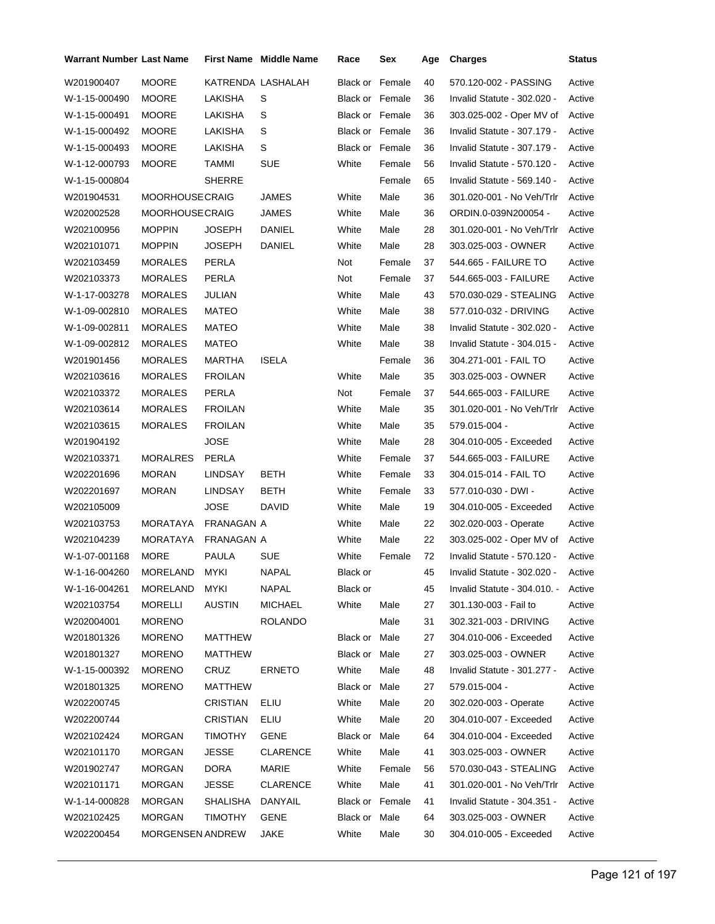| <b>Warrant Number Last Name</b> |                         |                   | <b>First Name</b> Middle Name | Race                   | Sex    | Age | <b>Charges</b>                      | <b>Status</b> |
|---------------------------------|-------------------------|-------------------|-------------------------------|------------------------|--------|-----|-------------------------------------|---------------|
| W201900407                      | <b>MOORE</b>            | KATRENDA LASHALAH |                               | <b>Black or Female</b> |        | 40  | 570.120-002 - PASSING               | Active        |
| W-1-15-000490                   | <b>MOORE</b>            | LAKISHA           | S                             | Black or Female        |        | 36  | Invalid Statute - 302.020 -         | Active        |
| W-1-15-000491                   | <b>MOORE</b>            | LAKISHA           | S                             | Black or Female        |        | 36  | 303.025-002 - Oper MV of            | Active        |
| W-1-15-000492                   | <b>MOORE</b>            | LAKISHA           | S                             | Black or Female        |        | 36  | Invalid Statute - 307.179 -         | Active        |
| W-1-15-000493                   | <b>MOORE</b>            | LAKISHA           | S                             | Black or Female        |        | 36  | Invalid Statute - 307.179 -         | Active        |
| W-1-12-000793                   | <b>MOORE</b>            | TAMMI             | <b>SUE</b>                    | White                  | Female | 56  | Invalid Statute - 570.120 -         | Active        |
| W-1-15-000804                   |                         | <b>SHERRE</b>     |                               |                        | Female | 65  | Invalid Statute - 569.140 -         | Active        |
| W201904531                      | <b>MOORHOUSECRAIG</b>   |                   | JAMES                         | White                  | Male   | 36  | 301.020-001 - No Veh/Trlr           | Active        |
| W202002528                      | <b>MOORHOUSECRAIG</b>   |                   | JAMES                         | White                  | Male   | 36  | ORDIN.0-039N200054 -                | Active        |
| W202100956                      | <b>MOPPIN</b>           | <b>JOSEPH</b>     | DANIEL                        | White                  | Male   | 28  | 301.020-001 - No Veh/Trlr           | Active        |
| W202101071                      | <b>MOPPIN</b>           | <b>JOSEPH</b>     | DANIEL                        | White                  | Male   | 28  | 303.025-003 - OWNER                 | Active        |
| W202103459                      | <b>MORALES</b>          | PERLA             |                               | Not                    | Female | 37  | 544.665 - FAILURE TO                | Active        |
| W202103373                      | <b>MORALES</b>          | PERLA             |                               | Not                    | Female | 37  | 544.665-003 - FAILURE               | Active        |
| W-1-17-003278                   | <b>MORALES</b>          | JULIAN            |                               | White                  | Male   | 43  | 570.030-029 - STEALING              | Active        |
| W-1-09-002810                   | <b>MORALES</b>          | MATEO             |                               | White                  | Male   | 38  | 577.010-032 - DRIVING               | Active        |
| W-1-09-002811                   | <b>MORALES</b>          | MATEO             |                               | White                  | Male   | 38  | Invalid Statute - 302.020 -         | Active        |
| W-1-09-002812                   | <b>MORALES</b>          | <b>MATEO</b>      |                               | White                  | Male   | 38  | Invalid Statute - 304.015 -         | Active        |
| W201901456                      | <b>MORALES</b>          | MARTHA            | <b>ISELA</b>                  |                        | Female | 36  | 304.271-001 - FAIL TO               | Active        |
| W202103616                      | <b>MORALES</b>          | <b>FROILAN</b>    |                               | White                  | Male   | 35  | 303.025-003 - OWNER                 | Active        |
| W202103372                      | <b>MORALES</b>          | PERLA             |                               | Not                    | Female | 37  | 544.665-003 - FAILURE               | Active        |
| W202103614                      | <b>MORALES</b>          | <b>FROILAN</b>    |                               | White                  | Male   | 35  | 301.020-001 - No Veh/Trlr           | Active        |
| W202103615                      | <b>MORALES</b>          | <b>FROILAN</b>    |                               | White                  | Male   | 35  | 579.015-004 -                       | Active        |
| W201904192                      |                         | JOSE              |                               | White                  | Male   | 28  | 304.010-005 - Exceeded              | Active        |
| W202103371                      | <b>MORALRES</b>         | PERLA             |                               | White                  | Female | 37  | 544.665-003 - FAILURE               | Active        |
| W202201696                      | <b>MORAN</b>            | LINDSAY           | BETH                          | White                  | Female | 33  | 304.015-014 - FAIL TO               | Active        |
| W202201697                      | <b>MORAN</b>            | LINDSAY           | BETH                          | White                  | Female | 33  | 577.010-030 - DWI -                 | Active        |
| W202105009                      |                         | <b>JOSE</b>       | DAVID                         | White                  | Male   | 19  | 304.010-005 - Exceeded              | Active        |
| W202103753                      | MORATAYA                | FRANAGAN A        |                               | White                  | Male   | 22  | 302.020-003 - Operate               | Active        |
| W202104239                      | MORATAYA                | FRANAGAN A        |                               | White                  | Male   | 22  | 303.025-002 - Oper MV of            | Active        |
| W-1-07-001168                   | <b>MORE</b>             | PAULA             | <b>SUE</b>                    | White                  | Female | 72  | Invalid Statute - 570.120 -         | Active        |
| W-1-16-004260                   | MORELAND MYKI           |                   | <b>NAPAL</b>                  | Black or               |        | 45  | Invalid Statute - 302.020 -         | Active        |
| W-1-16-004261                   | MORELAND MYKI           |                   | NAPAL                         | Black or               |        | 45  | Invalid Statute - 304.010. - Active |               |
| W202103754                      | MORELLI                 | AUSTIN            | MICHAEL                       | White                  | Male   | 27  | 301.130-003 - Fail to               | Active        |
| W202004001                      | <b>MORENO</b>           |                   | ROLANDO                       |                        | Male   | 31  | 302.321-003 - DRIVING               | Active        |
| W201801326                      | <b>MORENO</b>           | MATTHEW           |                               | Black or Male          |        | 27  | 304.010-006 - Exceeded              | Active        |
| W201801327                      | <b>MORENO</b>           | MATTHEW           |                               | Black or Male          |        | 27  | 303.025-003 - OWNER                 | Active        |
| W-1-15-000392                   | <b>MORENO</b>           | CRUZ              | <b>ERNETO</b>                 | White                  | Male   | 48  | Invalid Statute - 301.277 -         | Active        |
| W201801325                      | <b>MORENO</b>           | MATTHEW           |                               | Black or Male          |        | 27  | 579.015-004 -                       | Active        |
| W202200745                      |                         | CRISTIAN          | ELIU                          | White                  | Male   | 20  | 302.020-003 - Operate               | Active        |
| W202200744                      |                         | CRISTIAN          | ELIU                          | White                  | Male   | 20  | 304.010-007 - Exceeded              | Active        |
| W202102424                      | <b>MORGAN</b>           | TIMOTHY           | GENE                          | Black or Male          |        | 64  | 304.010-004 - Exceeded              | Active        |
| W202101170                      | <b>MORGAN</b>           | <b>JESSE</b>      | CLARENCE                      | White                  | Male   | 41  | 303.025-003 - OWNER                 | Active        |
| W201902747                      | <b>MORGAN</b>           | DORA              | MARIE                         | White                  | Female | 56  | 570.030-043 - STEALING              | Active        |
| W202101171                      | <b>MORGAN</b>           | JESSE             | <b>CLARENCE</b>               | White                  | Male   | 41  | 301.020-001 - No Veh/Trlr           | Active        |
| W-1-14-000828                   | <b>MORGAN</b>           | SHALISHA          | DANYAIL                       | Black or Female        |        | 41  | Invalid Statute - 304.351 -         | Active        |
| W202102425                      | <b>MORGAN</b>           | <b>TIMOTHY</b>    | GENE                          | Black or Male          |        | 64  | 303.025-003 - OWNER                 | Active        |
| W202200454                      | <b>MORGENSEN ANDREW</b> |                   | JAKE                          | White                  | Male   | 30  | 304.010-005 - Exceeded              | Active        |
|                                 |                         |                   |                               |                        |        |     |                                     |               |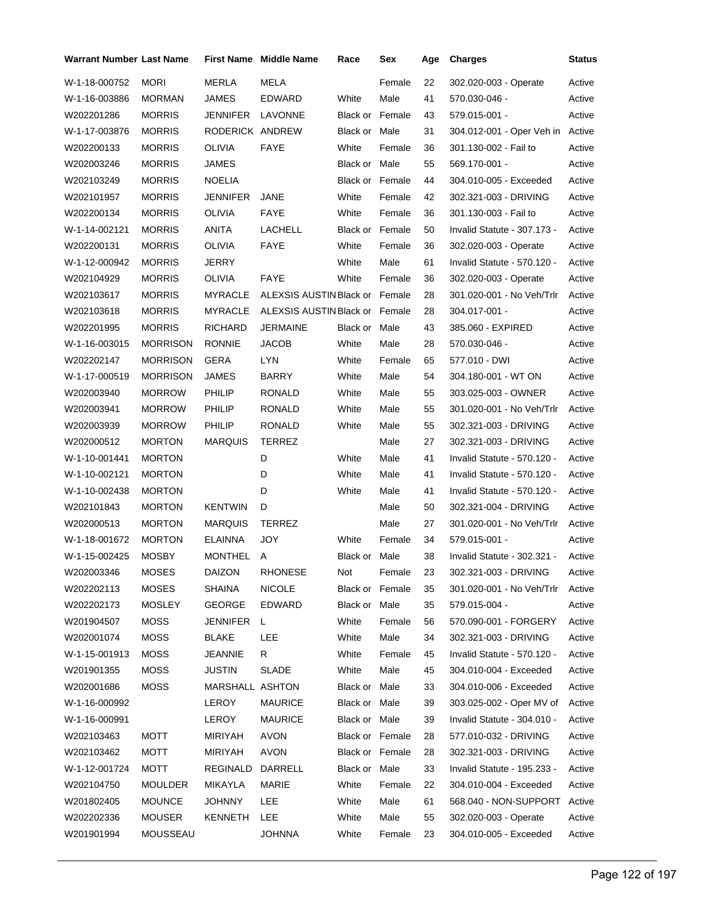| Warrant Number Last Name |                 |                 | <b>First Name</b> Middle Name  | Race                   | Sex    | Age | <b>Charges</b>                   | <b>Status</b> |
|--------------------------|-----------------|-----------------|--------------------------------|------------------------|--------|-----|----------------------------------|---------------|
| W-1-18-000752            | <b>MORI</b>     | MERLA           | MELA                           |                        | Female | 22  | 302.020-003 - Operate            | Active        |
| W-1-16-003886            | <b>MORMAN</b>   | <b>JAMES</b>    | EDWARD                         | White                  | Male   | 41  | 570.030-046 -                    | Active        |
| W202201286               | <b>MORRIS</b>   | JENNIFER        | LAVONNE                        | <b>Black or Female</b> |        | 43  | 579.015-001 -                    | Active        |
| W-1-17-003876            | <b>MORRIS</b>   | RODERICK ANDREW |                                | Black or Male          |        | 31  | 304.012-001 - Oper Veh in Active |               |
| W202200133               | <b>MORRIS</b>   | <b>OLIVIA</b>   | <b>FAYE</b>                    | White                  | Female | 36  | 301.130-002 - Fail to            | Active        |
| W202003246               | <b>MORRIS</b>   | JAMES           |                                | Black or Male          |        | 55  | 569.170-001 -                    | Active        |
| W202103249               | <b>MORRIS</b>   | <b>NOELIA</b>   |                                | <b>Black or Female</b> |        | 44  | 304.010-005 - Exceeded           | Active        |
| W202101957               | <b>MORRIS</b>   | JENNIFER        | <b>JANE</b>                    | White                  | Female | 42  | 302.321-003 - DRIVING            | Active        |
| W202200134               | <b>MORRIS</b>   | <b>OLIVIA</b>   | FAYE                           | White                  | Female | 36  | 301.130-003 - Fail to            | Active        |
| W-1-14-002121            | <b>MORRIS</b>   | ANITA           | LACHELL                        | <b>Black or Female</b> |        | 50  | Invalid Statute - 307.173 -      | Active        |
| W202200131               | <b>MORRIS</b>   | OLIVIA          | <b>FAYE</b>                    | White                  | Female | 36  | 302.020-003 - Operate            | Active        |
| W-1-12-000942            | <b>MORRIS</b>   | JERRY           |                                | White                  | Male   | 61  | Invalid Statute - 570.120 -      | Active        |
| W202104929               | <b>MORRIS</b>   | <b>OLIVIA</b>   | FAYE                           | White                  | Female | 36  | 302.020-003 - Operate            | Active        |
| W202103617               | <b>MORRIS</b>   | <b>MYRACLE</b>  | ALEXSIS AUSTIN Black or Female |                        |        | 28  | 301.020-001 - No Veh/Trlr        | Active        |
| W202103618               | <b>MORRIS</b>   | <b>MYRACLE</b>  | ALEXSIS AUSTIN Black or Female |                        |        | 28  | 304.017-001 -                    | Active        |
| W202201995               | <b>MORRIS</b>   | RICHARD         | <b>JERMAINE</b>                | Black or Male          |        | 43  | 385.060 - EXPIRED                | Active        |
| W-1-16-003015            | <b>MORRISON</b> | <b>RONNIE</b>   | JACOB                          | White                  | Male   | 28  | 570.030-046 -                    | Active        |
| W202202147               | <b>MORRISON</b> | GERA            | LYN                            | White                  | Female | 65  | 577.010 - DWI                    | Active        |
| W-1-17-000519            | <b>MORRISON</b> | JAMES           | <b>BARRY</b>                   | White                  | Male   | 54  | 304.180-001 - WT ON              | Active        |
| W202003940               | <b>MORROW</b>   | PHILIP          | RONALD                         | White                  | Male   | 55  | 303.025-003 - OWNER              | Active        |
| W202003941               | <b>MORROW</b>   | <b>PHILIP</b>   | RONALD                         | White                  | Male   | 55  | 301.020-001 - No Veh/Trlr        | Active        |
| W202003939               | <b>MORROW</b>   | <b>PHILIP</b>   | RONALD                         | White                  | Male   | 55  | 302.321-003 - DRIVING            | Active        |
| W202000512               | <b>MORTON</b>   | <b>MARQUIS</b>  | TERREZ                         |                        | Male   | 27  | 302.321-003 - DRIVING            | Active        |
| W-1-10-001441            | <b>MORTON</b>   |                 | D                              | White                  | Male   | 41  | Invalid Statute - 570.120 -      | Active        |
| W-1-10-002121            | <b>MORTON</b>   |                 | D                              | White                  | Male   | 41  | Invalid Statute - 570.120 -      | Active        |
| W-1-10-002438            | <b>MORTON</b>   |                 | D                              | White                  | Male   | 41  | Invalid Statute - 570.120 -      | Active        |
| W202101843               | <b>MORTON</b>   | <b>KENTWIN</b>  | D                              |                        | Male   | 50  | 302.321-004 - DRIVING            | Active        |
| W202000513               | <b>MORTON</b>   | <b>MARQUIS</b>  | <b>TERREZ</b>                  |                        | Male   | 27  | 301.020-001 - No Veh/Trlr        | Active        |
| W-1-18-001672            | <b>MORTON</b>   | <b>ELAINNA</b>  | JOY                            | White                  | Female | 34  | 579.015-001 -                    | Active        |
| W-1-15-002425            | <b>MOSBY</b>    | MONTHEL         | Α                              | Black or Male          |        | 38  | Invalid Statute - 302.321 -      | Active        |
| W202003346               | <b>MOSES</b>    | DAIZON          | <b>RHONESE</b>                 | Not                    | Female | 23  | 302.321-003 - DRIVING            | Active        |
| W202202113               | <b>MOSES</b>    | SHAINA          | <b>NICOLE</b>                  | Black or Female        |        | 35  | 301.020-001 - No Veh/Trlr        | Active        |
| W202202173               | MOSLEY          | GEORGE          | EDWARD                         | Black or Male          |        | 35  | 579.015-004 -                    | Active        |
| W201904507               | MOSS            | JENNIFER L      |                                | White                  | Female | 56  | 570.090-001 - FORGERY            | Active        |
| W202001074               | <b>MOSS</b>     | <b>BLAKE</b>    | LEE                            | White                  | Male   | 34  | 302.321-003 - DRIVING            | Active        |
| W-1-15-001913            | <b>MOSS</b>     | JEANNIE         | R                              | White                  | Female | 45  | Invalid Statute - 570.120 -      | Active        |
| W201901355               | <b>MOSS</b>     | <b>JUSTIN</b>   | <b>SLADE</b>                   | White                  | Male   | 45  | 304.010-004 - Exceeded           | Active        |
| W202001686               | <b>MOSS</b>     | MARSHALL ASHTON |                                | Black or Male          |        | 33  | 304.010-006 - Exceeded           | Active        |
| W-1-16-000992            |                 | LEROY           | <b>MAURICE</b>                 | Black or Male          |        | 39  | 303.025-002 - Oper MV of         | Active        |
| W-1-16-000991            |                 | LEROY           | <b>MAURICE</b>                 | Black or Male          |        | 39  | Invalid Statute - 304.010 -      | Active        |
| W202103463               | MOTT            | MIRIYAH         | <b>AVON</b>                    | Black or Female        |        | 28  | 577.010-032 - DRIVING            | Active        |
| W202103462               | MOTT            | MIRIYAH         | <b>AVON</b>                    | Black or Female        |        | 28  | 302.321-003 - DRIVING            | Active        |
| W-1-12-001724            | MOTT            | REGINALD        | DARRELL                        | Black or Male          |        | 33  | Invalid Statute - 195.233 -      | Active        |
| W202104750               | <b>MOULDER</b>  | MIKAYLA         | MARIE                          | White                  | Female | 22  | 304.010-004 - Exceeded           | Active        |
| W201802405               | <b>MOUNCE</b>   | JOHNNY          | LEE                            | White                  | Male   | 61  | 568.040 - NON-SUPPORT            | Active        |
| W202202336               | <b>MOUSER</b>   | KENNETH         | LEE                            | White                  | Male   | 55  | 302.020-003 - Operate            | Active        |
| W201901994               | MOUSSEAU        |                 | <b>JOHNNA</b>                  | White                  | Female | 23  | 304.010-005 - Exceeded           | Active        |
|                          |                 |                 |                                |                        |        |     |                                  |               |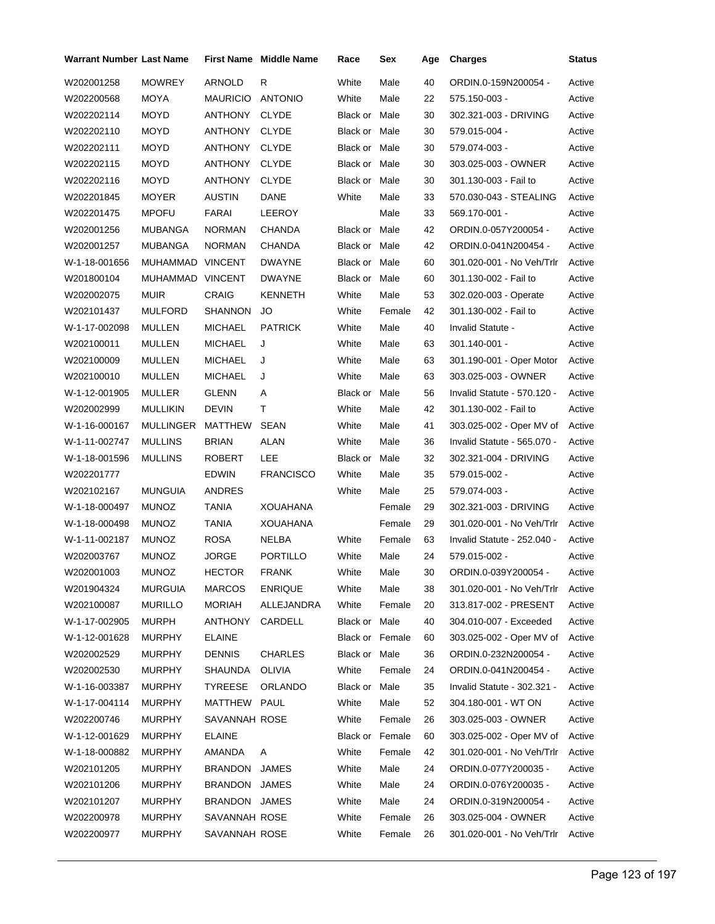| Warrant Number Last Name |                  |                 | <b>First Name</b> Middle Name | Race            | Sex    | Age | <b>Charges</b>              | <b>Status</b> |
|--------------------------|------------------|-----------------|-------------------------------|-----------------|--------|-----|-----------------------------|---------------|
| W202001258               | <b>MOWREY</b>    | <b>ARNOLD</b>   | R                             | White           | Male   | 40  | ORDIN.0-159N200054 -        | Active        |
| W202200568               | <b>MOYA</b>      | <b>MAURICIO</b> | <b>ANTONIO</b>                | White           | Male   | 22  | 575.150-003 -               | Active        |
| W202202114               | MOYD             | ANTHONY         | <b>CLYDE</b>                  | Black or Male   |        | 30  | 302.321-003 - DRIVING       | Active        |
| W202202110               | MOYD             | ANTHONY         | <b>CLYDE</b>                  | Black or Male   |        | 30  | 579.015-004 -               | Active        |
| W202202111               | MOYD             | ANTHONY         | <b>CLYDE</b>                  | Black or Male   |        | 30  | 579.074-003 -               | Active        |
| W202202115               | <b>MOYD</b>      | ANTHONY         | <b>CLYDE</b>                  | Black or Male   |        | 30  | 303.025-003 - OWNER         | Active        |
| W202202116               | <b>MOYD</b>      | ANTHONY         | <b>CLYDE</b>                  | Black or Male   |        | 30  | 301.130-003 - Fail to       | Active        |
| W202201845               | <b>MOYER</b>     | <b>AUSTIN</b>   | <b>DANE</b>                   | White           | Male   | 33  | 570.030-043 - STEALING      | Active        |
| W202201475               | <b>MPOFU</b>     | FARAI           | LEEROY                        |                 | Male   | 33  | 569.170-001 -               | Active        |
| W202001256               | MUBANGA          | <b>NORMAN</b>   | <b>CHANDA</b>                 | Black or Male   |        | 42  | ORDIN.0-057Y200054 -        | Active        |
| W202001257               | MUBANGA          | <b>NORMAN</b>   | CHANDA                        | Black or Male   |        | 42  | ORDIN.0-041N200454 -        | Active        |
| W-1-18-001656            | MUHAMMAD         | VINCENT         | <b>DWAYNE</b>                 | Black or Male   |        | 60  | 301.020-001 - No Veh/Trlr   | Active        |
| W201800104               | MUHAMMAD VINCENT |                 | <b>DWAYNE</b>                 | Black or Male   |        | 60  | 301.130-002 - Fail to       | Active        |
| W202002075               | <b>MUIR</b>      | <b>CRAIG</b>    | <b>KENNETH</b>                | White           | Male   | 53  | 302.020-003 - Operate       | Active        |
| W202101437               | <b>MULFORD</b>   | SHANNON         | JO                            | White           | Female | 42  | 301.130-002 - Fail to       | Active        |
| W-1-17-002098            | MULLEN           | <b>MICHAEL</b>  | <b>PATRICK</b>                | White           | Male   | 40  | Invalid Statute -           | Active        |
| W202100011               | MULLEN           | <b>MICHAEL</b>  | J                             | White           | Male   | 63  | 301.140-001 -               | Active        |
| W202100009               | <b>MULLEN</b>    | <b>MICHAEL</b>  | J                             | White           | Male   | 63  | 301.190-001 - Oper Motor    | Active        |
| W202100010               | MULLEN           | <b>MICHAEL</b>  | J                             | White           | Male   | 63  | 303.025-003 - OWNER         | Active        |
| W-1-12-001905            | MULLER           | <b>GLENN</b>    | Α                             | Black or        | Male   | 56  | Invalid Statute - 570.120 - | Active        |
| W202002999               | <b>MULLIKIN</b>  | <b>DEVIN</b>    | т                             | White           | Male   | 42  | 301.130-002 - Fail to       | Active        |
| W-1-16-000167            | <b>MULLINGER</b> | MATTHEW         | <b>SEAN</b>                   | White           | Male   | 41  | 303.025-002 - Oper MV of    | Active        |
| W-1-11-002747            | <b>MULLINS</b>   | <b>BRIAN</b>    | <b>ALAN</b>                   | White           | Male   | 36  | Invalid Statute - 565.070 - | Active        |
| W-1-18-001596            | <b>MULLINS</b>   | <b>ROBERT</b>   | LEE                           | Black or Male   |        | 32  | 302.321-004 - DRIVING       | Active        |
| W202201777               |                  | <b>EDWIN</b>    | <b>FRANCISCO</b>              | White           | Male   | 35  | 579.015-002 -               | Active        |
| W202102167               | <b>MUNGUIA</b>   | ANDRES          |                               | White           | Male   | 25  | 579.074-003 -               | Active        |
| W-1-18-000497            | <b>MUNOZ</b>     | TANIA           | <b>XOUAHANA</b>               |                 | Female | 29  | 302.321-003 - DRIVING       | Active        |
| W-1-18-000498            | <b>MUNOZ</b>     | TANIA           | <b>XOUAHANA</b>               |                 | Female | 29  | 301.020-001 - No Veh/Trlr   | Active        |
| W-1-11-002187            | <b>MUNOZ</b>     | <b>ROSA</b>     | NELBA                         | White           | Female | 63  | Invalid Statute - 252.040 - | Active        |
| W202003767               | <b>MUNOZ</b>     | <b>JORGE</b>    | <b>PORTILLO</b>               | White           | Male   | 24  | 579.015-002 -               | Active        |
| W202001003               | <b>MUNOZ</b>     | <b>HECTOR</b>   | <b>FRANK</b>                  | White           | Male   | 30  | ORDIN.0-039Y200054 -        | Active        |
| W201904324               | <b>MURGUIA</b>   | <b>MARCOS</b>   | <b>ENRIQUE</b>                | White           | Male   | 38  | 301.020-001 - No Veh/Trlr   | Active        |
| W202100087               | <b>MURILLO</b>   | MORIAH          | ALLEJANDRA                    | White           | Female | 20  | 313.817-002 - PRESENT       | Active        |
| W-1-17-002905            | MURPH            | ANTHONY         | CARDELL                       | Black or Male   |        | 40  | 304.010-007 - Exceeded      | Active        |
| W-1-12-001628            | <b>MURPHY</b>    | <b>ELAINE</b>   |                               | Black or Female |        | 60  | 303.025-002 - Oper MV of    | Active        |
| W202002529               | <b>MURPHY</b>    | <b>DENNIS</b>   | <b>CHARLES</b>                | Black or Male   |        | 36  | ORDIN.0-232N200054 -        | Active        |
| W202002530               | <b>MURPHY</b>    | SHAUNDA         | <b>OLIVIA</b>                 | White           | Female | 24  | ORDIN.0-041N200454 -        | Active        |
| W-1-16-003387            | <b>MURPHY</b>    | <b>TYREESE</b>  | ORLANDO                       | Black or Male   |        | 35  | Invalid Statute - 302.321 - | Active        |
| W-1-17-004114            | <b>MURPHY</b>    | MATTHEW         | PAUL                          | White           | Male   | 52  | 304.180-001 - WT ON         | Active        |
| W202200746               | <b>MURPHY</b>    | SAVANNAH ROSE   |                               | White           | Female | 26  | 303.025-003 - OWNER         | Active        |
| W-1-12-001629            | <b>MURPHY</b>    | <b>ELAINE</b>   |                               | Black or Female |        | 60  | 303.025-002 - Oper MV of    | Active        |
| W-1-18-000882            | <b>MURPHY</b>    | AMANDA          | A                             | White           | Female | 42  | 301.020-001 - No Veh/Trlr   | Active        |
| W202101205               | <b>MURPHY</b>    | BRANDON         | <b>JAMES</b>                  | White           | Male   | 24  | ORDIN.0-077Y200035 -        | Active        |
| W202101206               | <b>MURPHY</b>    | BRANDON         | <b>JAMES</b>                  | White           | Male   | 24  | ORDIN.0-076Y200035 -        | Active        |
| W202101207               | <b>MURPHY</b>    | BRANDON JAMES   |                               | White           | Male   | 24  | ORDIN.0-319N200054 -        | Active        |
| W202200978               | MURPHY           | SAVANNAH ROSE   |                               | White           | Female | 26  | 303.025-004 - OWNER         | Active        |
| W202200977               | <b>MURPHY</b>    | SAVANNAH ROSE   |                               | White           | Female | 26  | 301.020-001 - No Veh/Trlr   | Active        |
|                          |                  |                 |                               |                 |        |     |                             |               |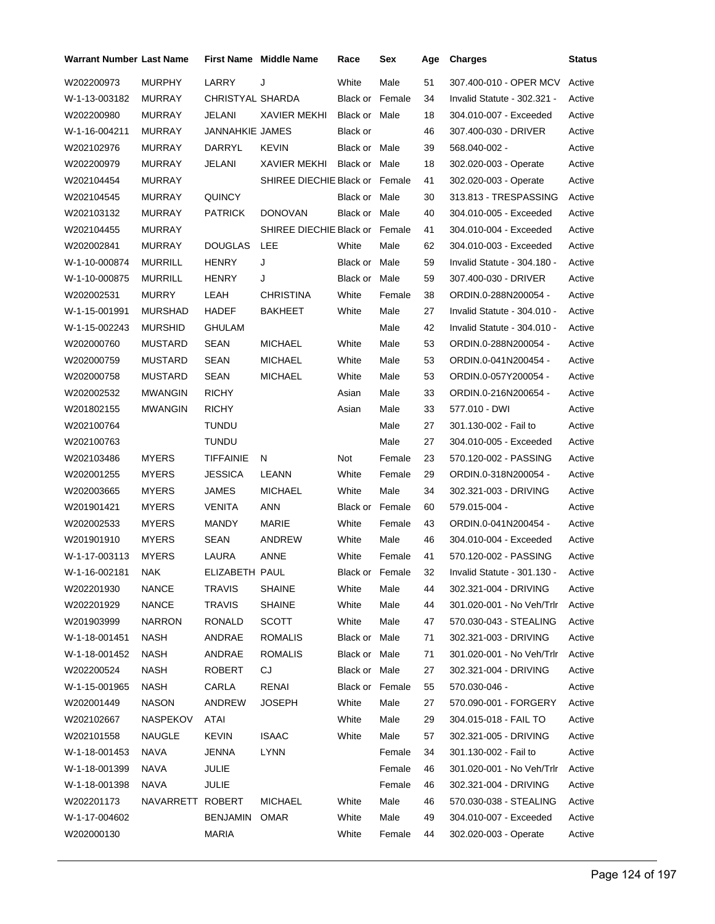| <b>Warrant Number Last Name</b> |                  |                  | First Name Middle Name         | Race                   | Sex             | Age | <b>Charges</b>              | <b>Status</b> |
|---------------------------------|------------------|------------------|--------------------------------|------------------------|-----------------|-----|-----------------------------|---------------|
| W202200973                      | <b>MURPHY</b>    | LARRY            | J                              | White                  | Male            | 51  | 307.400-010 - OPER MCV      | Active        |
| W-1-13-003182                   | <b>MURRAY</b>    | CHRISTYAL SHARDA |                                | <b>Black or Female</b> |                 | 34  | Invalid Statute - 302.321 - | Active        |
| W202200980                      | <b>MURRAY</b>    | JELANI           | <b>XAVIER MEKHI</b>            | Black or Male          |                 | 18  | 304.010-007 - Exceeded      | Active        |
| W-1-16-004211                   | MURRAY           | JANNAHKIE JAMES  |                                | Black or               |                 | 46  | 307.400-030 - DRIVER        | Active        |
| W202102976                      | MURRAY           | DARRYL           | <b>KEVIN</b>                   | Black or Male          |                 | 39  | 568.040-002 -               | Active        |
| W202200979                      | MURRAY           | JELANI           | XAVIER MEKHI                   | Black or Male          |                 | 18  | 302.020-003 - Operate       | Active        |
| W202104454                      | <b>MURRAY</b>    |                  | SHIREE DIECHIE Black or Female |                        |                 | 41  | 302.020-003 - Operate       | Active        |
| W202104545                      | MURRAY           | QUINCY           |                                | Black or Male          |                 | 30  | 313.813 - TRESPASSING       | Active        |
| W202103132                      | MURRAY           | PATRICK          | <b>DONOVAN</b>                 | Black or Male          |                 | 40  | 304.010-005 - Exceeded      | Active        |
| W202104455                      | MURRAY           |                  | SHIREE DIECHIE Black or Female |                        |                 | 41  | 304.010-004 - Exceeded      | Active        |
| W202002841                      | <b>MURRAY</b>    | DOUGLAS          | <b>LEE</b>                     | White                  | Male            | 62  | 304.010-003 - Exceeded      | Active        |
| W-1-10-000874                   | MURRILL          | HENRY            | J                              | Black or Male          |                 | 59  | Invalid Statute - 304.180 - | Active        |
| W-1-10-000875                   | MURRILL          | HENRY            | J                              | Black or Male          |                 | 59  | 307.400-030 - DRIVER        | Active        |
| W202002531                      | <b>MURRY</b>     | LEAH             | CHRISTINA                      | White                  | Female          | 38  | ORDIN.0-288N200054 -        | Active        |
| W-1-15-001991                   | MURSHAD          | HADEF            | BAKHEET                        | White                  | Male            | 27  | Invalid Statute - 304.010 - | Active        |
| W-1-15-002243                   | MURSHID          | GHULAM           |                                |                        | Male            | 42  | Invalid Statute - 304.010 - | Active        |
| W202000760                      | MUSTARD          | SEAN             | <b>MICHAEL</b>                 | White                  | Male            | 53  | ORDIN.0-288N200054 -        | Active        |
| W202000759                      | MUSTARD          | SEAN             | <b>MICHAEL</b>                 | White                  | Male            | 53  | ORDIN.0-041N200454 -        | Active        |
| W202000758                      | MUSTARD          | SEAN             | <b>MICHAEL</b>                 | White                  | Male            | 53  | ORDIN.0-057Y200054 -        | Active        |
| W202002532                      | <b>MWANGIN</b>   | <b>RICHY</b>     |                                | Asian                  | Male            | 33  | ORDIN.0-216N200654 -        | Active        |
| W201802155                      | MWANGIN          | <b>RICHY</b>     |                                | Asian                  | Male            | 33  | 577.010 - DWI               | Active        |
| W202100764                      |                  | <b>TUNDU</b>     |                                |                        | Male            | 27  | 301.130-002 - Fail to       | Active        |
| W202100763                      |                  | TUNDU            |                                |                        | Male            | 27  | 304.010-005 - Exceeded      | Active        |
| W202103486                      | <b>MYERS</b>     | TIFFAINIE        | N                              | Not                    | Female          | 23  | 570.120-002 - PASSING       | Active        |
| W202001255                      | <b>MYERS</b>     | JESSICA          | LEANN                          | White                  | Female          | 29  | ORDIN.0-318N200054 -        | Active        |
| W202003665                      | <b>MYERS</b>     | JAMES            | <b>MICHAEL</b>                 | White                  | Male            | 34  | 302.321-003 - DRIVING       | Active        |
| W201901421                      | <b>MYERS</b>     | VENITA           | <b>ANN</b>                     | <b>Black or Female</b> |                 | 60  | 579.015-004 -               | Active        |
| W202002533                      | <b>MYERS</b>     | <b>MANDY</b>     | MARIE                          | White                  | Female          | 43  | ORDIN.0-041N200454 -        | Active        |
| W201901910                      | <b>MYERS</b>     | SEAN             | <b>ANDREW</b>                  | White                  | Male            | 46  | 304.010-004 - Exceeded      | Active        |
| W-1-17-003113                   | <b>MYERS</b>     | LAURA            | ANNE                           | White                  | Female          | 41  | 570.120-002 - PASSING       | Active        |
| W-1-16-002181                   | NAK              | ELIZABETH PAUL   |                                |                        | Black or Female | 32  | Invalid Statute - 301.130 - | Active        |
| W202201930                      | <b>NANCE</b>     | TRAVIS           | <b>SHAINE</b>                  | White                  | Male            | 44  | 302.321-004 - DRIVING       | Active        |
| W202201929                      | <b>NANCE</b>     | <b>TRAVIS</b>    | <b>SHAINE</b>                  | White                  | Male            | 44  | 301.020-001 - No Veh/Trlr   | Active        |
| W201903999                      | <b>NARRON</b>    | <b>RONALD</b>    | <b>SCOTT</b>                   | White                  | Male            | 47  | 570.030-043 - STEALING      | Active        |
| W-1-18-001451                   | <b>NASH</b>      | ANDRAE           | <b>ROMALIS</b>                 | Black or Male          |                 | 71  | 302.321-003 - DRIVING       | Active        |
| W-1-18-001452                   | <b>NASH</b>      | ANDRAE           | <b>ROMALIS</b>                 | Black or Male          |                 | 71  | 301.020-001 - No Veh/Trlr   | Active        |
| W202200524                      | <b>NASH</b>      | ROBERT           | CJ                             | Black or Male          |                 | 27  | 302.321-004 - DRIVING       | Active        |
| W-1-15-001965                   | NASH             | CARLA            | RENAI                          | Black or Female        |                 | 55  | 570.030-046 -               | Active        |
| W202001449                      | <b>NASON</b>     | ANDREW           | JOSEPH                         | White                  | Male            | 27  | 570.090-001 - FORGERY       | Active        |
| W202102667                      | NASPEKOV         | ATAI             |                                | White                  | Male            | 29  | 304.015-018 - FAIL TO       | Active        |
| W202101558                      | NAUGLE           | <b>KEVIN</b>     | <b>ISAAC</b>                   | White                  | Male            | 57  | 302.321-005 - DRIVING       | Active        |
| W-1-18-001453                   | <b>NAVA</b>      | <b>JENNA</b>     | <b>LYNN</b>                    |                        | Female          | 34  | 301.130-002 - Fail to       | Active        |
| W-1-18-001399                   | NAVA             | <b>JULIE</b>     |                                |                        | Female          | 46  | 301.020-001 - No Veh/Trlr   | Active        |
| W-1-18-001398                   | NAVA             | JULIE            |                                |                        | Female          | 46  | 302.321-004 - DRIVING       | Active        |
| W202201173                      | NAVARRETT ROBERT |                  | <b>MICHAEL</b>                 | White                  | Male            | 46  | 570.030-038 - STEALING      | Active        |
| W-1-17-004602                   |                  | BENJAMIN         | <b>OMAR</b>                    | White                  | Male            | 49  | 304.010-007 - Exceeded      | Active        |
| W202000130                      |                  | MARIA            |                                | White                  | Female          | 44  | 302.020-003 - Operate       | Active        |
|                                 |                  |                  |                                |                        |                 |     |                             |               |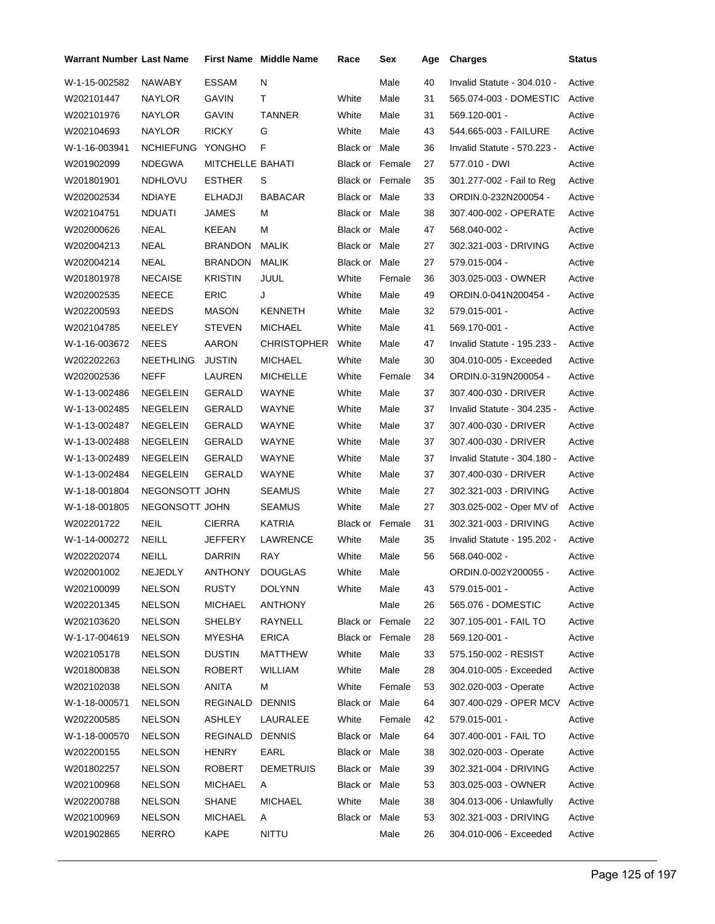| Warrant Number Last Name |                  |                  | First Name Middle Name | Race                   | Sex    | Age | <b>Charges</b>              | Status |
|--------------------------|------------------|------------------|------------------------|------------------------|--------|-----|-----------------------------|--------|
| W-1-15-002582            | NAWABY           | ESSAM            | N                      |                        | Male   | 40  | Invalid Statute - 304.010 - | Active |
| W202101447               | <b>NAYLOR</b>    | GAVIN            | т                      | White                  | Male   | 31  | 565.074-003 - DOMESTIC      | Active |
| W202101976               | <b>NAYLOR</b>    | <b>GAVIN</b>     | <b>TANNER</b>          | White                  | Male   | 31  | 569.120-001 -               | Active |
| W202104693               | NAYLOR           | <b>RICKY</b>     | G                      | White                  | Male   | 43  | 544.665-003 - FAILURE       | Active |
| W-1-16-003941            | <b>NCHIEFUNG</b> | YONGHO           | F                      | Black or Male          |        | 36  | Invalid Statute - 570.223 - | Active |
| W201902099               | <b>NDEGWA</b>    | MITCHELLE BAHATI |                        | <b>Black or Female</b> |        | 27  | 577.010 - DWI               | Active |
| W201801901               | <b>NDHLOVU</b>   | <b>ESTHER</b>    | S                      | <b>Black or Female</b> |        | 35  | 301.277-002 - Fail to Reg   | Active |
| W202002534               | <b>NDIAYE</b>    | ELHADJI          | <b>BABACAR</b>         | Black or Male          |        | 33  | ORDIN.0-232N200054 -        | Active |
| W202104751               | <b>NDUATI</b>    | JAMES            | м                      | Black or Male          |        | 38  | 307.400-002 - OPERATE       | Active |
| W202000626               | <b>NEAL</b>      | KEEAN            | м                      | Black or Male          |        | 47  | 568.040-002 -               | Active |
| W202004213               | NEAL             | BRANDON          | MALIK                  | Black or Male          |        | 27  | 302.321-003 - DRIVING       | Active |
| W202004214               | NEAL             | BRANDON          | <b>MALIK</b>           | Black or Male          |        | 27  | 579.015-004 -               | Active |
| W201801978               | <b>NECAISE</b>   | <b>KRISTIN</b>   | <b>JUUL</b>            | White                  | Female | 36  | 303.025-003 - OWNER         | Active |
| W202002535               | NEECE            | <b>ERIC</b>      | J                      | White                  | Male   | 49  | ORDIN.0-041N200454 -        | Active |
| W202200593               | <b>NEEDS</b>     | <b>MASON</b>     | <b>KENNETH</b>         | White                  | Male   | 32  | 579.015-001 -               | Active |
| W202104785               | NEELEY           | <b>STEVEN</b>    | <b>MICHAEL</b>         | White                  | Male   | 41  | 569.170-001 -               | Active |
| W-1-16-003672            | <b>NEES</b>      | AARON            | CHRISTOPHER            | White                  | Male   | 47  | Invalid Statute - 195.233 - | Active |
| W202202263               | NEETHLING        | <b>JUSTIN</b>    | MICHAEL                | White                  | Male   | 30  | 304.010-005 - Exceeded      | Active |
| W202002536               | <b>NEFF</b>      | LAUREN           | <b>MICHELLE</b>        | White                  | Female | 34  | ORDIN.0-319N200054 -        | Active |
| W-1-13-002486            | <b>NEGELEIN</b>  | GERALD           | WAYNE                  | White                  | Male   | 37  | 307.400-030 - DRIVER        | Active |
| W-1-13-002485            | <b>NEGELEIN</b>  | GERALD           | WAYNE                  | White                  | Male   | 37  | Invalid Statute - 304.235 - | Active |
| W-1-13-002487            | NEGELEIN         | GERALD           | WAYNE                  | White                  | Male   | 37  | 307.400-030 - DRIVER        | Active |
| W-1-13-002488            | <b>NEGELEIN</b>  | GERALD           | WAYNE                  | White                  | Male   | 37  | 307.400-030 - DRIVER        | Active |
| W-1-13-002489            | <b>NEGELEIN</b>  | GERALD           | WAYNE                  | White                  | Male   | 37  | Invalid Statute - 304.180 - | Active |
| W-1-13-002484            | <b>NEGELEIN</b>  | GERALD           | WAYNE                  | White                  | Male   | 37  | 307.400-030 - DRIVER        | Active |
| W-1-18-001804            | NEGONSOTT JOHN   |                  | <b>SEAMUS</b>          | White                  | Male   | 27  | 302.321-003 - DRIVING       | Active |
| W-1-18-001805            | NEGONSOTT JOHN   |                  | <b>SEAMUS</b>          | White                  | Male   | 27  | 303.025-002 - Oper MV of    | Active |
| W202201722               | <b>NEIL</b>      | CIERRA           | KATRIA                 | Black or Female        |        | 31  | 302.321-003 - DRIVING       | Active |
| W-1-14-000272            | <b>NEILL</b>     | JEFFERY          | LAWRENCE               | White                  | Male   | 35  | Invalid Statute - 195.202 - | Active |
| W202202074               | NEILL            | <b>DARRIN</b>    | <b>RAY</b>             | White                  | Male   | 56  | 568.040-002 -               | Active |
| W202001002               | NEJEDLY          | ANTHONY          | <b>DOUGLAS</b>         | White                  | Male   |     | ORDIN.0-002Y200055 -        | Active |
| W202100099               | <b>NELSON</b>    | RUSTY            | <b>DOLYNN</b>          | White                  | Male   | 43  | 579.015-001 -               | Active |
| W202201345               | <b>NELSON</b>    | MICHAEL          | ANTHONY                |                        | Male   | 26  | 565.076 - DOMESTIC          | Active |
| W202103620               | <b>NELSON</b>    | <b>SHELBY</b>    | RAYNELL                | <b>Black or Female</b> |        | 22  | 307.105-001 - FAIL TO       | Active |
| W-1-17-004619            | <b>NELSON</b>    | <b>MYESHA</b>    | <b>ERICA</b>           | Black or Female        |        | 28  | 569.120-001 -               | Active |
| W202105178               | <b>NELSON</b>    | <b>DUSTIN</b>    | <b>MATTHEW</b>         | White                  | Male   | 33  | 575.150-002 - RESIST        | Active |
| W201800838               | <b>NELSON</b>    | ROBERT           | <b>WILLIAM</b>         | White                  | Male   | 28  | 304.010-005 - Exceeded      | Active |
| W202102038               | <b>NELSON</b>    | ANITA            | м                      | White                  | Female | 53  | 302.020-003 - Operate       | Active |
| W-1-18-000571            | <b>NELSON</b>    | REGINALD         | <b>DENNIS</b>          | Black or Male          |        | 64  | 307.400-029 - OPER MCV      | Active |
| W202200585               | <b>NELSON</b>    | ASHLEY           | LAURALEE               | White                  | Female | 42  | 579.015-001 -               | Active |
| W-1-18-000570            | <b>NELSON</b>    | REGINALD         | <b>DENNIS</b>          | Black or Male          |        | 64  | 307.400-001 - FAIL TO       | Active |
| W202200155               | <b>NELSON</b>    | <b>HENRY</b>     | EARL                   | Black or Male          |        | 38  | 302.020-003 - Operate       | Active |
| W201802257               | <b>NELSON</b>    | ROBERT           | <b>DEMETRUIS</b>       | Black or Male          |        | 39  | 302.321-004 - DRIVING       | Active |
| W202100968               | <b>NELSON</b>    | <b>MICHAEL</b>   | A                      | Black or Male          |        | 53  | 303.025-003 - OWNER         | Active |
| W202200788               | <b>NELSON</b>    | <b>SHANE</b>     | MICHAEL                | White                  | Male   | 38  | 304.013-006 - Unlawfully    | Active |
| W202100969               | <b>NELSON</b>    | <b>MICHAEL</b>   | A                      | Black or Male          |        | 53  | 302.321-003 - DRIVING       | Active |
| W201902865               | <b>NERRO</b>     | KAPE             | <b>NITTU</b>           |                        | Male   | 26  | 304.010-006 - Exceeded      | Active |
|                          |                  |                  |                        |                        |        |     |                             |        |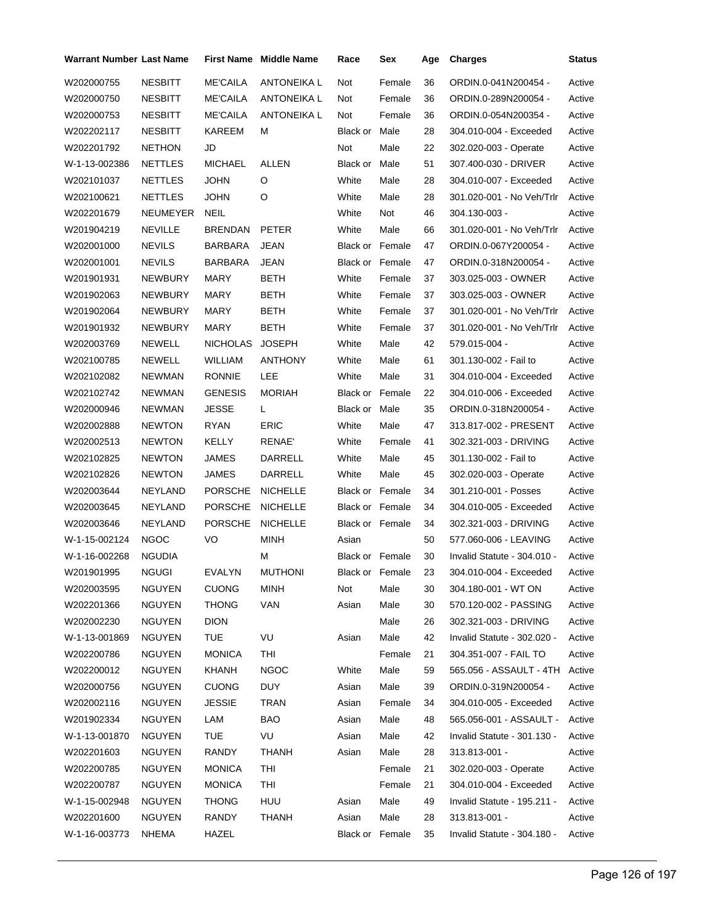| Warrant Number Last Name |                |                 | <b>First Name</b> Middle Name | Race                   | Sex             | Age | <b>Charges</b>                 | <b>Status</b> |
|--------------------------|----------------|-----------------|-------------------------------|------------------------|-----------------|-----|--------------------------------|---------------|
| W202000755               | <b>NESBITT</b> | <b>ME'CAILA</b> | <b>ANTONEIKA L</b>            | Not                    | Female          | 36  | ORDIN.0-041N200454 -           | Active        |
| W202000750               | <b>NESBITT</b> | <b>ME'CAILA</b> | <b>ANTONEIKA L</b>            | Not                    | Female          | 36  | ORDIN.0-289N200054 -           | Active        |
| W202000753               | <b>NESBITT</b> | <b>ME'CAILA</b> | ANTONEIKA L                   | Not                    | Female          | 36  | ORDIN.0-054N200354 -           | Active        |
| W202202117               | <b>NESBITT</b> | KAREEM          | М                             | Black or Male          |                 | 28  | 304.010-004 - Exceeded         | Active        |
| W202201792               | <b>NETHON</b>  | JD              |                               | Not                    | Male            | 22  | 302.020-003 - Operate          | Active        |
| W-1-13-002386            | <b>NETTLES</b> | <b>MICHAEL</b>  | ALLEN                         | Black or Male          |                 | 51  | 307.400-030 - DRIVER           | Active        |
| W202101037               | <b>NETTLES</b> | <b>JOHN</b>     | O                             | White                  | Male            | 28  | 304.010-007 - Exceeded         | Active        |
| W202100621               | <b>NETTLES</b> | <b>JOHN</b>     | O                             | White                  | Male            | 28  | 301.020-001 - No Veh/Trlr      | Active        |
| W202201679               | NEUMEYER       | <b>NEIL</b>     |                               | White                  | Not             | 46  | 304.130-003 -                  | Active        |
| W201904219               | <b>NEVILLE</b> | <b>BRENDAN</b>  | PETER                         | White                  | Male            | 66  | 301.020-001 - No Veh/Trlr      | Active        |
| W202001000               | <b>NEVILS</b>  | BARBARA         | JEAN                          | <b>Black or Female</b> |                 | 47  | ORDIN.0-067Y200054 -           | Active        |
| W202001001               | <b>NEVILS</b>  | <b>BARBARA</b>  | <b>JEAN</b>                   | <b>Black or Female</b> |                 | 47  | ORDIN.0-318N200054 -           | Active        |
| W201901931               | <b>NEWBURY</b> | <b>MARY</b>     | BETH                          | White                  | Female          | 37  | 303.025-003 - OWNER            | Active        |
| W201902063               | <b>NEWBURY</b> | <b>MARY</b>     | <b>BETH</b>                   | White                  | Female          | 37  | 303.025-003 - OWNER            | Active        |
| W201902064               | <b>NEWBURY</b> | MARY            | BETH                          | White                  | Female          | 37  | 301.020-001 - No Veh/Trlr      | Active        |
| W201901932               | <b>NEWBURY</b> | MARY            | BETH                          | White                  | Female          | 37  | 301.020-001 - No Veh/Trlr      | Active        |
| W202003769               | <b>NEWELL</b>  | <b>NICHOLAS</b> | <b>JOSEPH</b>                 | White                  | Male            | 42  | 579.015-004 -                  | Active        |
| W202100785               | <b>NEWELL</b>  | WILLIAM         | <b>ANTHONY</b>                | White                  | Male            | 61  | 301.130-002 - Fail to          | Active        |
| W202102082               | <b>NEWMAN</b>  | <b>RONNIE</b>   | LEE                           | White                  | Male            | 31  | 304.010-004 - Exceeded         | Active        |
| W202102742               | <b>NEWMAN</b>  | <b>GENESIS</b>  | <b>MORIAH</b>                 | <b>Black or Female</b> |                 | 22  | 304.010-006 - Exceeded         | Active        |
| W202000946               | <b>NEWMAN</b>  | <b>JESSE</b>    | L.                            | Black or Male          |                 | 35  | ORDIN.0-318N200054 -           | Active        |
| W202002888               | <b>NEWTON</b>  | RYAN            | <b>ERIC</b>                   | White                  | Male            | 47  | 313.817-002 - PRESENT          | Active        |
| W202002513               | <b>NEWTON</b>  | KELLY           | RENAE'                        | White                  | Female          | 41  | 302.321-003 - DRIVING          | Active        |
| W202102825               | <b>NEWTON</b>  | JAMES           | DARRELL                       | White                  | Male            | 45  | 301.130-002 - Fail to          | Active        |
| W202102826               | <b>NEWTON</b>  | JAMES           | DARRELL                       | White                  | Male            | 45  | 302.020-003 - Operate          | Active        |
| W202003644               | <b>NEYLAND</b> | <b>PORSCHE</b>  | <b>NICHELLE</b>               | <b>Black or Female</b> |                 | 34  | 301.210-001 - Posses           | Active        |
| W202003645               | NEYLAND        | <b>PORSCHE</b>  | <b>NICHELLE</b>               | <b>Black or Female</b> |                 | 34  | 304.010-005 - Exceeded         | Active        |
| W202003646               | <b>NEYLAND</b> | <b>PORSCHE</b>  | <b>NICHELLE</b>               | Black or Female        |                 | 34  | 302.321-003 - DRIVING          | Active        |
| W-1-15-002124            | <b>NGOC</b>    | VO              | <b>MINH</b>                   | Asian                  |                 | 50  | 577.060-006 - LEAVING          | Active        |
| W-1-16-002268            | <b>NGUDIA</b>  |                 | М                             | Black or Female        |                 | 30  | Invalid Statute - 304.010 -    | Active        |
| W201901995               | <b>NGUGI</b>   | EVALYN          | <b>MUTHONI</b>                |                        | Black or Female | 23  | 304.010-004 - Exceeded         | Active        |
| W202003595               | <b>NGUYEN</b>  | <b>CUONG</b>    | MINH                          | Not                    | Male            | 30  | 304.180-001 - WT ON            | Active        |
| W202201366               | <b>NGUYEN</b>  | THONG           | <b>VAN</b>                    | Asian                  | Male            | 30  | 570.120-002 - PASSING          | Active        |
| W202002230               | <b>NGUYEN</b>  | <b>DION</b>     |                               |                        | Male            | 26  | 302.321-003 - DRIVING          | Active        |
| W-1-13-001869            | <b>NGUYEN</b>  | <b>TUE</b>      | VU                            | Asian                  | Male            | 42  | Invalid Statute - 302.020 -    | Active        |
| W202200786               | <b>NGUYEN</b>  | <b>MONICA</b>   | THI                           |                        | Female          | 21  | 304.351-007 - FAIL TO          | Active        |
| W202200012               | <b>NGUYEN</b>  | KHANH           | <b>NGOC</b>                   | White                  | Male            | 59  | 565.056 - ASSAULT - 4TH Active |               |
| W202000756               | <b>NGUYEN</b>  | <b>CUONG</b>    | <b>DUY</b>                    | Asian                  | Male            | 39  | ORDIN.0-319N200054 -           | Active        |
| W202002116               | <b>NGUYEN</b>  | <b>JESSIE</b>   | <b>TRAN</b>                   | Asian                  | Female          | 34  | 304.010-005 - Exceeded         | Active        |
| W201902334               | <b>NGUYEN</b>  | LAM             | <b>BAO</b>                    | Asian                  | Male            | 48  | 565.056-001 - ASSAULT -        | Active        |
| W-1-13-001870            | <b>NGUYEN</b>  | <b>TUE</b>      | VU                            | Asian                  | Male            | 42  | Invalid Statute - 301.130 -    | Active        |
| W202201603               | <b>NGUYEN</b>  | <b>RANDY</b>    | <b>THANH</b>                  | Asian                  | Male            | 28  | 313.813-001 -                  | Active        |
| W202200785               | <b>NGUYEN</b>  | <b>MONICA</b>   | THI                           |                        | Female          | 21  | 302.020-003 - Operate          | Active        |
| W202200787               | <b>NGUYEN</b>  | <b>MONICA</b>   | THI                           |                        | Female          | 21  | 304.010-004 - Exceeded         | Active        |
| W-1-15-002948            | <b>NGUYEN</b>  | <b>THONG</b>    | HUU                           | Asian                  | Male            | 49  | Invalid Statute - 195.211 -    | Active        |
| W202201600               | <b>NGUYEN</b>  | RANDY           | <b>THANH</b>                  | Asian                  | Male            | 28  | 313.813-001 -                  | Active        |
| W-1-16-003773            | <b>NHEMA</b>   | HAZEL           |                               | Black or Female        |                 | 35  | Invalid Statute - 304.180 -    | Active        |
|                          |                |                 |                               |                        |                 |     |                                |               |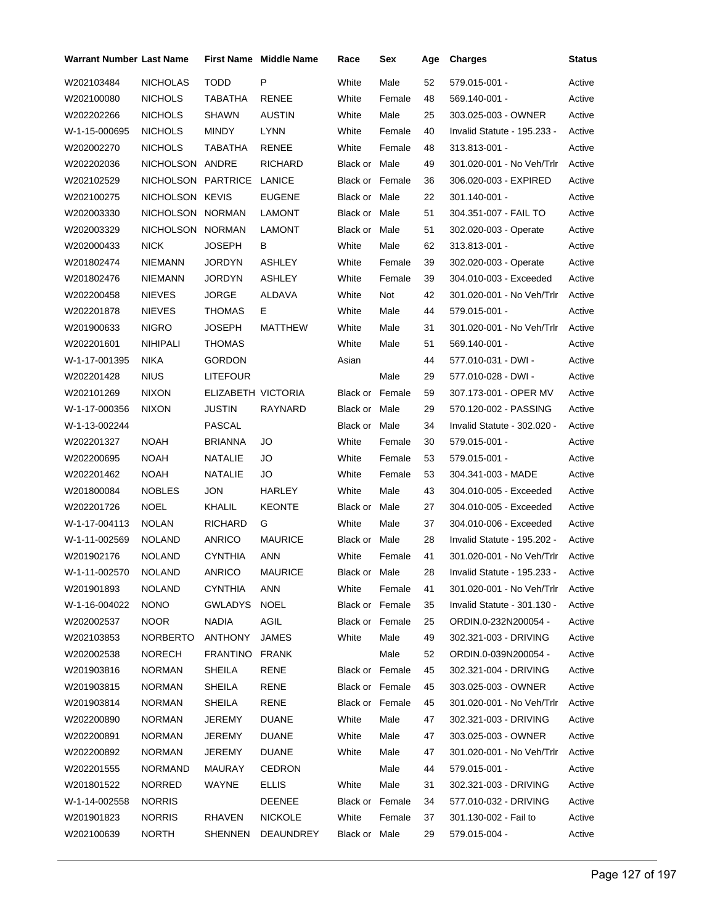| Warrant Number Last Name |                    |                    | <b>First Name</b> Middle Name | Race                   | Sex    | Age | <b>Charges</b>                     | Status |
|--------------------------|--------------------|--------------------|-------------------------------|------------------------|--------|-----|------------------------------------|--------|
| W202103484               | <b>NICHOLAS</b>    | <b>TODD</b>        | P                             | White                  | Male   | 52  | 579.015-001 -                      | Active |
| W202100080               | <b>NICHOLS</b>     | TABATHA            | RENEE                         | White                  | Female | 48  | 569.140-001 -                      | Active |
| W202202266               | <b>NICHOLS</b>     | <b>SHAWN</b>       | <b>AUSTIN</b>                 | White                  | Male   | 25  | 303.025-003 - OWNER                | Active |
| W-1-15-000695            | <b>NICHOLS</b>     | <b>MINDY</b>       | <b>LYNN</b>                   | White                  | Female | 40  | Invalid Statute - 195.233 -        | Active |
| W202002270               | <b>NICHOLS</b>     | TABATHA            | RENEE                         | White                  | Female | 48  | 313.813-001 -                      | Active |
| W202202036               | NICHOLSON ANDRE    |                    | RICHARD                       | Black or Male          |        | 49  | 301.020-001 - No Veh/Trlr          | Active |
| W202102529               | NICHOLSON PARTRICE |                    | LANICE                        | Black or Female        |        | 36  | 306.020-003 - EXPIRED              | Active |
| W202100275               | NICHOLSON KEVIS    |                    | <b>EUGENE</b>                 | Black or Male          |        | 22  | 301.140-001 -                      | Active |
| W202003330               | NICHOLSON NORMAN   |                    | <b>LAMONT</b>                 | Black or Male          |        | 51  | 304.351-007 - FAIL TO              | Active |
| W202003329               | NICHOLSON NORMAN   |                    | LAMONT                        | Black or Male          |        | 51  | 302.020-003 - Operate              | Active |
| W202000433               | <b>NICK</b>        | JOSEPH             | В                             | White                  | Male   | 62  | 313.813-001 -                      | Active |
| W201802474               | <b>NIEMANN</b>     | <b>JORDYN</b>      | ASHLEY                        | White                  | Female | 39  | 302.020-003 - Operate              | Active |
| W201802476               | <b>NIEMANN</b>     | <b>JORDYN</b>      | ASHLEY                        | White                  | Female | 39  | 304.010-003 - Exceeded             | Active |
| W202200458               | <b>NIEVES</b>      | JORGE              | ALDAVA                        | White                  | Not    | 42  | 301.020-001 - No Veh/Trlr          | Active |
| W202201878               | <b>NIEVES</b>      | THOMAS             | E.                            | White                  | Male   | 44  | 579.015-001 -                      | Active |
| W201900633               | <b>NIGRO</b>       | JOSEPH             | <b>MATTHEW</b>                | White                  | Male   | 31  | 301.020-001 - No Veh/Trlr          | Active |
| W202201601               | NIHIPALI           | <b>THOMAS</b>      |                               | White                  | Male   | 51  | 569.140-001 -                      | Active |
| W-1-17-001395            | <b>NIKA</b>        | <b>GORDON</b>      |                               | Asian                  |        | 44  | 577.010-031 - DWI -                | Active |
| W202201428               | <b>NIUS</b>        | <b>LITEFOUR</b>    |                               |                        | Male   | 29  | 577.010-028 - DWI -                | Active |
| W202101269               | <b>NIXON</b>       | ELIZABETH VICTORIA |                               | <b>Black or Female</b> |        | 59  | 307.173-001 - OPER MV              | Active |
| W-1-17-000356            | <b>NIXON</b>       | <b>JUSTIN</b>      | RAYNARD                       | Black or Male          |        | 29  | 570.120-002 - PASSING              | Active |
| W-1-13-002244            |                    | PASCAL             |                               | Black or Male          |        | 34  | Invalid Statute - 302.020 -        | Active |
| W202201327               | <b>NOAH</b>        | <b>BRIANNA</b>     | JO                            | White                  | Female | 30  | 579.015-001 -                      | Active |
| W202200695               | <b>NOAH</b>        | NATALIE            | JO                            | White                  | Female | 53  | 579.015-001 -                      | Active |
| W202201462               | <b>NOAH</b>        | <b>NATALIE</b>     | JO                            | White                  | Female | 53  | 304.341-003 - MADE                 | Active |
| W201800084               | <b>NOBLES</b>      | <b>JON</b>         | HARLEY                        | White                  | Male   | 43  | 304.010-005 - Exceeded             | Active |
| W202201726               | <b>NOEL</b>        | KHALIL             | <b>KEONTE</b>                 | Black or Male          |        | 27  | 304.010-005 - Exceeded             | Active |
| W-1-17-004113            | <b>NOLAN</b>       | RICHARD            | G                             | White                  | Male   | 37  | 304.010-006 - Exceeded             | Active |
| W-1-11-002569            | <b>NOLAND</b>      | <b>ANRICO</b>      | <b>MAURICE</b>                | Black or Male          |        | 28  | Invalid Statute - 195.202 -        | Active |
| W201902176               | <b>NOLAND</b>      | <b>CYNTHIA</b>     | ANN                           | White                  | Female | 41  | 301.020-001 - No Veh/Trlr          | Active |
| W-1-11-002570            | NOLAND             | ANRICO             | <b>MAURICE</b>                | Black or Male          |        | 28  | Invalid Statute - 195.233 - Active |        |
| W201901893               | <b>NOLAND</b>      | <b>CYNTHIA</b>     | ANN                           | White                  | Female | 41  | 301.020-001 - No Veh/Trlr          | Active |
| W-1-16-004022            | <b>NONO</b>        | GWLADYS            | <b>NOEL</b>                   | Black or Female        |        | 35  | Invalid Statute - 301.130 -        | Active |
| W202002537               | <b>NOOR</b>        | <b>NADIA</b>       | AGIL                          | Black or Female        |        | 25  | ORDIN.0-232N200054 -               | Active |
| W202103853               | NORBERTO           | <b>ANTHONY</b>     | <b>JAMES</b>                  | White                  | Male   | 49  | 302.321-003 - DRIVING              | Active |
| W202002538               | <b>NORECH</b>      | FRANTINO           | FRANK                         |                        | Male   | 52  | ORDIN.0-039N200054 -               | Active |
| W201903816               | <b>NORMAN</b>      | SHEILA             | RENE                          | Black or Female        |        | 45  | 302.321-004 - DRIVING              | Active |
| W201903815               | <b>NORMAN</b>      | <b>SHEILA</b>      | RENE                          | Black or Female        |        | 45  | 303.025-003 - OWNER                | Active |
| W201903814               | <b>NORMAN</b>      | SHEILA             | RENE                          | Black or Female        |        | 45  | 301.020-001 - No Veh/Trlr          | Active |
| W202200890               | <b>NORMAN</b>      | JEREMY             | <b>DUANE</b>                  | White                  | Male   | 47  | 302.321-003 - DRIVING              | Active |
| W202200891               | <b>NORMAN</b>      | JEREMY             | <b>DUANE</b>                  | White                  | Male   | 47  | 303.025-003 - OWNER                | Active |
| W202200892               | <b>NORMAN</b>      | JEREMY             | <b>DUANE</b>                  | White                  | Male   | 47  | 301.020-001 - No Veh/Trlr          | Active |
| W202201555               | <b>NORMAND</b>     | MAURAY             | <b>CEDRON</b>                 |                        | Male   | 44  | 579.015-001 -                      | Active |
| W201801522               | <b>NORRED</b>      | WAYNE              | ELLIS                         | White                  | Male   | 31  | 302.321-003 - DRIVING              | Active |
| W-1-14-002558            | <b>NORRIS</b>      |                    | DEENEE                        | Black or Female        |        | 34  | 577.010-032 - DRIVING              | Active |
| W201901823               | <b>NORRIS</b>      | RHAVEN             | <b>NICKOLE</b>                | White                  | Female | 37  | 301.130-002 - Fail to              | Active |
| W202100639               | NORTH              | SHENNEN            | DEAUNDREY                     | Black or Male          |        | 29  | 579.015-004 -                      | Active |
|                          |                    |                    |                               |                        |        |     |                                    |        |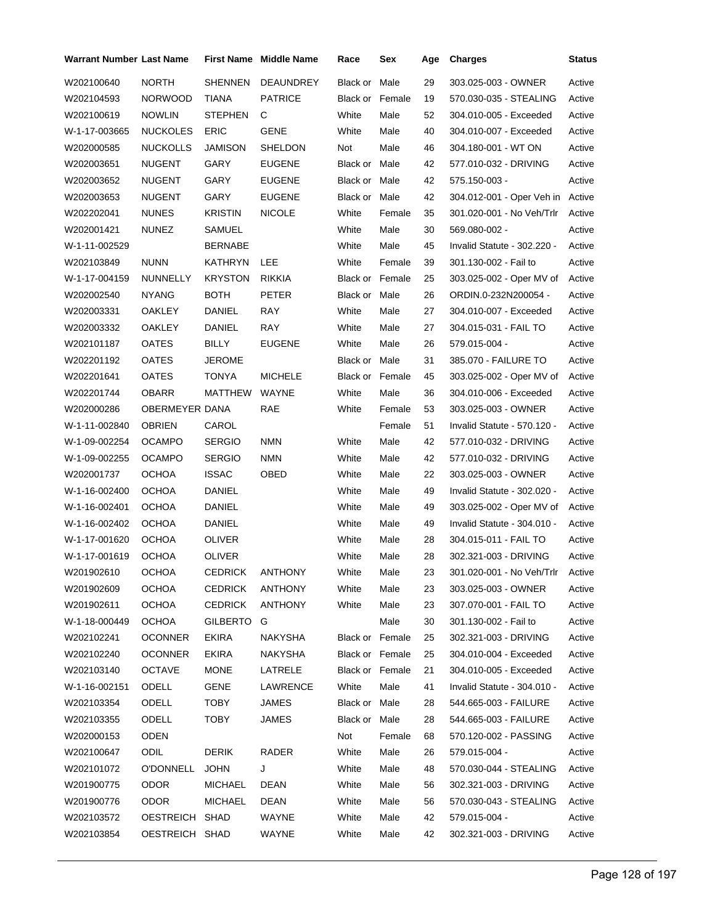| Warrant Number Last Name |                  |                | <b>First Name Middle Name</b> | Race                   | Sex    | Age | <b>Charges</b>                   | Status |
|--------------------------|------------------|----------------|-------------------------------|------------------------|--------|-----|----------------------------------|--------|
| W202100640               | <b>NORTH</b>     | <b>SHENNEN</b> | DEAUNDREY                     | Black or               | Male   | 29  | 303.025-003 - OWNER              | Active |
| W202104593               | <b>NORWOOD</b>   | <b>TIANA</b>   | <b>PATRICE</b>                | <b>Black or Female</b> |        | 19  | 570.030-035 - STEALING           | Active |
| W202100619               | <b>NOWLIN</b>    | <b>STEPHEN</b> | С                             | White                  | Male   | 52  | 304.010-005 - Exceeded           | Active |
| W-1-17-003665            | <b>NUCKOLES</b>  | <b>ERIC</b>    | <b>GENE</b>                   | White                  | Male   | 40  | 304.010-007 - Exceeded           | Active |
| W202000585               | <b>NUCKOLLS</b>  | JAMISON        | SHELDON                       | Not                    | Male   | 46  | 304.180-001 - WT ON              | Active |
| W202003651               | <b>NUGENT</b>    | GARY           | <b>EUGENE</b>                 | <b>Black or Male</b>   |        | 42  | 577.010-032 - DRIVING            | Active |
| W202003652               | <b>NUGENT</b>    | GARY           | <b>EUGENE</b>                 | Black or Male          |        | 42  | 575.150-003 -                    | Active |
| W202003653               | NUGENT           | GARY           | <b>EUGENE</b>                 | <b>Black or Male</b>   |        | 42  | 304.012-001 - Oper Veh in        | Active |
| W202202041               | <b>NUNES</b>     | <b>KRISTIN</b> | <b>NICOLE</b>                 | White                  | Female | 35  | 301.020-001 - No Veh/Trlr        | Active |
| W202001421               | <b>NUNEZ</b>     | SAMUEL         |                               | White                  | Male   | 30  | 569.080-002 -                    | Active |
| W-1-11-002529            |                  | <b>BERNABE</b> |                               | White                  | Male   | 45  | Invalid Statute - 302.220 -      | Active |
| W202103849               | <b>NUNN</b>      | <b>KATHRYN</b> | LEE.                          | White                  | Female | 39  | 301.130-002 - Fail to            | Active |
| W-1-17-004159            | <b>NUNNELLY</b>  | <b>KRYSTON</b> | RIKKIA                        | <b>Black or Female</b> |        | 25  | 303.025-002 - Oper MV of         | Active |
| W202002540               | <b>NYANG</b>     | <b>BOTH</b>    | <b>PETER</b>                  | Black or Male          |        | 26  | ORDIN.0-232N200054 -             | Active |
| W202003331               | OAKLEY           | DANIEL         | RAY                           | White                  | Male   | 27  | 304.010-007 - Exceeded           | Active |
| W202003332               | OAKLEY           | DANIEL         | RAY                           | White                  | Male   | 27  | 304.015-031 - FAIL TO            | Active |
| W202101187               | <b>OATES</b>     | <b>BILLY</b>   | <b>EUGENE</b>                 | White                  | Male   | 26  | 579.015-004 -                    | Active |
| W202201192               | <b>OATES</b>     | <b>JEROME</b>  |                               | Black or Male          |        | 31  | 385.070 - FAILURE TO             | Active |
| W202201641               | <b>OATES</b>     | <b>TONYA</b>   | <b>MICHELE</b>                | <b>Black or Female</b> |        | 45  | 303.025-002 - Oper MV of         | Active |
| W202201744               | <b>OBARR</b>     | <b>MATTHEW</b> | <b>WAYNE</b>                  | White                  | Male   | 36  | 304.010-006 - Exceeded           | Active |
| W202000286               | OBERMEYER DANA   |                | <b>RAE</b>                    | White                  | Female | 53  | 303.025-003 - OWNER              | Active |
| W-1-11-002840            | <b>OBRIEN</b>    | CAROL          |                               |                        | Female | 51  | Invalid Statute - 570.120 -      | Active |
| W-1-09-002254            | <b>OCAMPO</b>    | <b>SERGIO</b>  | <b>NMN</b>                    | White                  | Male   | 42  | 577.010-032 - DRIVING            | Active |
| W-1-09-002255            | <b>OCAMPO</b>    | <b>SERGIO</b>  | <b>NMN</b>                    | White                  | Male   | 42  | 577.010-032 - DRIVING            | Active |
| W202001737               | <b>OCHOA</b>     | <b>ISSAC</b>   | OBED                          | White                  | Male   | 22  | 303.025-003 - OWNER              | Active |
| W-1-16-002400            | <b>OCHOA</b>     | DANIEL         |                               | White                  | Male   | 49  | Invalid Statute - 302.020 -      | Active |
| W-1-16-002401            | OCHOA            | DANIEL         |                               | White                  | Male   | 49  | 303.025-002 - Oper MV of         | Active |
| W-1-16-002402            | <b>OCHOA</b>     | DANIEL         |                               | White                  | Male   | 49  | Invalid Statute - 304.010 -      | Active |
| W-1-17-001620            | <b>OCHOA</b>     | OLIVER         |                               | White                  | Male   | 28  | 304.015-011 - FAIL TO            | Active |
| W-1-17-001619            | <b>OCHOA</b>     | <b>OLIVER</b>  |                               | White                  | Male   | 28  | 302.321-003 - DRIVING            | Active |
| W201902610               | <b>OCHOA</b>     | CEDRICK        | ANTHONY                       | White                  | Male   | 23  | 301.020-001 - No Veh/Trlr Active |        |
| W201902609               | <b>OCHOA</b>     | <b>CEDRICK</b> | <b>ANTHONY</b>                | White                  | Male   | 23  | 303.025-003 - OWNER              | Active |
| W201902611               | <b>OCHOA</b>     | <b>CEDRICK</b> | <b>ANTHONY</b>                | White                  | Male   | 23  | 307.070-001 - FAIL TO            | Active |
| W-1-18-000449            | OCHOA            | GILBERTO       | G                             |                        | Male   | 30  | 301.130-002 - Fail to            | Active |
| W202102241               | <b>OCONNER</b>   | <b>EKIRA</b>   | NAKYSHA                       | Black or Female        |        | 25  | 302.321-003 - DRIVING            | Active |
| W202102240               | <b>OCONNER</b>   | EKIRA          | NAKYSHA                       | Black or Female        |        | 25  | 304.010-004 - Exceeded           | Active |
| W202103140               | <b>OCTAVE</b>    | <b>MONE</b>    | LATRELE                       | <b>Black or Female</b> |        | 21  | 304.010-005 - Exceeded           | Active |
| W-1-16-002151            | <b>ODELL</b>     | <b>GENE</b>    | LAWRENCE                      | White                  | Male   | 41  | Invalid Statute - 304.010 -      | Active |
| W202103354               | ODELL            | <b>TOBY</b>    | JAMES                         | Black or Male          |        | 28  | 544.665-003 - FAILURE            | Active |
| W202103355               | ODELL            | <b>TOBY</b>    | JAMES                         | Black or Male          |        | 28  | 544.665-003 - FAILURE            | Active |
| W202000153               | <b>ODEN</b>      |                |                               | Not                    | Female | 68  | 570.120-002 - PASSING            | Active |
| W202100647               | ODIL.            | <b>DERIK</b>   | RADER                         | White                  | Male   | 26  | 579.015-004 -                    | Active |
| W202101072               | <b>O'DONNELL</b> | JOHN           | J                             | White                  | Male   | 48  | 570.030-044 - STEALING           | Active |
| W201900775               | <b>ODOR</b>      | <b>MICHAEL</b> | DEAN                          | White                  | Male   | 56  | 302.321-003 - DRIVING            | Active |
| W201900776               | ODOR             | <b>MICHAEL</b> | DEAN                          | White                  | Male   | 56  | 570.030-043 - STEALING           | Active |
| W202103572               | OESTREICH SHAD   |                | WAYNE                         | White                  | Male   | 42  | 579.015-004 -                    | Active |
| W202103854               | OESTREICH SHAD   |                | WAYNE                         | White                  | Male   | 42  | 302.321-003 - DRIVING            | Active |
|                          |                  |                |                               |                        |        |     |                                  |        |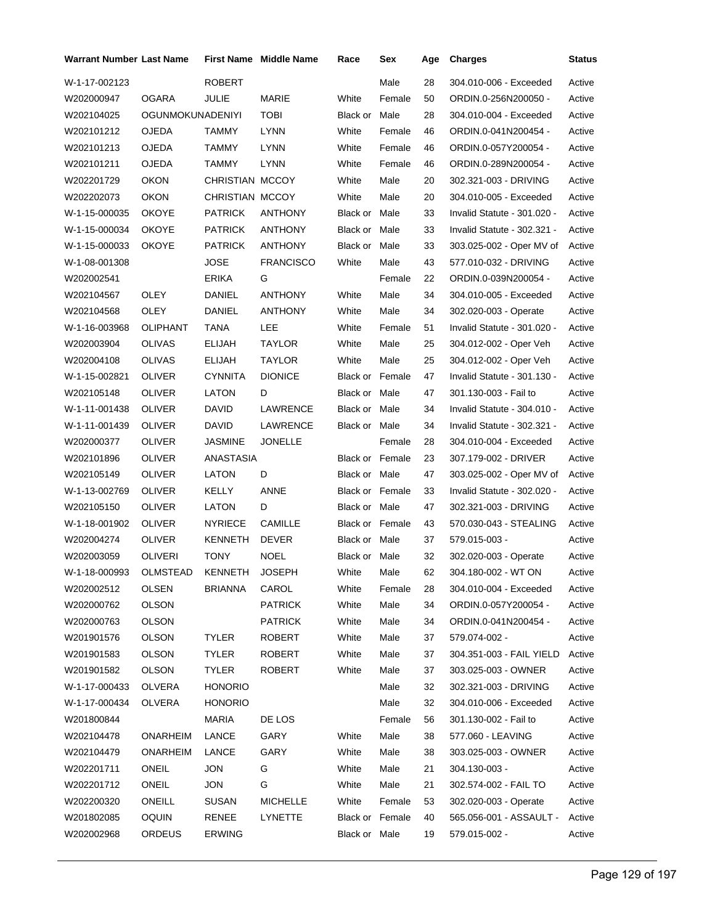| <b>Warrant Number Last Name</b> |                         |                 | <b>First Name</b> Middle Name | Race                   | Sex    | Age | <b>Charges</b>              | <b>Status</b> |
|---------------------------------|-------------------------|-----------------|-------------------------------|------------------------|--------|-----|-----------------------------|---------------|
| W-1-17-002123                   |                         | <b>ROBERT</b>   |                               |                        | Male   | 28  | 304.010-006 - Exceeded      | Active        |
| W202000947                      | <b>OGARA</b>            | JULIE           | MARIE                         | White                  | Female | 50  | ORDIN.0-256N200050 -        | Active        |
| W202104025                      | <b>OGUNMOKUNADENIYI</b> |                 | <b>TOBI</b>                   | Black or Male          |        | 28  | 304.010-004 - Exceeded      | Active        |
| W202101212                      | OJEDA                   | TAMMY           | <b>LYNN</b>                   | White                  | Female | 46  | ORDIN.0-041N200454 -        | Active        |
| W202101213                      | OJEDA                   | TAMMY           | LYNN                          | White                  | Female | 46  | ORDIN.0-057Y200054 -        | Active        |
| W202101211                      | OJEDA                   | TAMMY           | LYNN                          | White                  | Female | 46  | ORDIN.0-289N200054 -        | Active        |
| W202201729                      | <b>OKON</b>             | CHRISTIAN MCCOY |                               | White                  | Male   | 20  | 302.321-003 - DRIVING       | Active        |
| W202202073                      | <b>OKON</b>             | CHRISTIAN MCCOY |                               | White                  | Male   | 20  | 304.010-005 - Exceeded      | Active        |
| W-1-15-000035                   | <b>OKOYE</b>            | <b>PATRICK</b>  | ANTHONY                       | Black or Male          |        | 33  | Invalid Statute - 301.020 - | Active        |
| W-1-15-000034                   | <b>OKOYE</b>            | <b>PATRICK</b>  | ANTHONY                       | Black or Male          |        | 33  | Invalid Statute - 302.321 - | Active        |
| W-1-15-000033                   | OKOYE                   | <b>PATRICK</b>  | <b>ANTHONY</b>                | Black or Male          |        | 33  | 303.025-002 - Oper MV of    | Active        |
| W-1-08-001308                   |                         | <b>JOSE</b>     | <b>FRANCISCO</b>              | White                  | Male   | 43  | 577.010-032 - DRIVING       | Active        |
| W202002541                      |                         | ERIKA           | G                             |                        | Female | 22  | ORDIN.0-039N200054 -        | Active        |
| W202104567                      | <b>OLEY</b>             | DANIEL          | <b>ANTHONY</b>                | White                  | Male   | 34  | 304.010-005 - Exceeded      | Active        |
| W202104568                      | OLEY                    | DANIEL          | <b>ANTHONY</b>                | White                  | Male   | 34  | 302.020-003 - Operate       | Active        |
| W-1-16-003968                   | OLIPHANT                | TANA            | LEE                           | White                  | Female | 51  | Invalid Statute - 301.020 - | Active        |
| W202003904                      | <b>OLIVAS</b>           | ELIJAH          | TAYLOR                        | White                  | Male   | 25  | 304.012-002 - Oper Veh      | Active        |
| W202004108                      | OLIVAS                  | ELIJAH          | <b>TAYLOR</b>                 | White                  | Male   | 25  | 304.012-002 - Oper Veh      | Active        |
| W-1-15-002821                   | OLIVER                  | CYNNITA         | <b>DIONICE</b>                | <b>Black or Female</b> |        | 47  | Invalid Statute - 301.130 - | Active        |
| W202105148                      | OLIVER                  | LATON           | D                             | Black or Male          |        | 47  | 301.130-003 - Fail to       | Active        |
| W-1-11-001438                   | OLIVER                  | <b>DAVID</b>    | LAWRENCE                      | Black or Male          |        | 34  | Invalid Statute - 304.010 - | Active        |
| W-1-11-001439                   | <b>OLIVER</b>           | DAVID           | LAWRENCE                      | Black or Male          |        | 34  | Invalid Statute - 302.321 - | Active        |
| W202000377                      | OLIVER                  | JASMINE         | <b>JONELLE</b>                |                        | Female | 28  | 304.010-004 - Exceeded      | Active        |
| W202101896                      | <b>OLIVER</b>           | ANASTASIA       |                               | <b>Black or Female</b> |        | 23  | 307.179-002 - DRIVER        | Active        |
| W202105149                      | OLIVER                  | LATON           | D                             | Black or Male          |        | 47  | 303.025-002 - Oper MV of    | Active        |
| W-1-13-002769                   | OLIVER                  | <b>KELLY</b>    | ANNE                          | Black or Female        |        | 33  | Invalid Statute - 302.020 - | Active        |
| W202105150                      | OLIVER                  | LATON           | D                             | Black or Male          |        | 47  | 302.321-003 - DRIVING       | Active        |
| W-1-18-001902                   | <b>OLIVER</b>           | <b>NYRIECE</b>  | <b>CAMILLE</b>                | <b>Black or Female</b> |        | 43  | 570.030-043 - STEALING      | Active        |
| W202004274                      | OLIVER                  | <b>KENNETH</b>  | <b>DEVER</b>                  | Black or Male          |        | 37  | 579.015-003 -               | Active        |
| W202003059                      | <b>OLIVERI</b>          | TONY            | <b>NOEL</b>                   | Black or Male          |        | 32  | 302.020-003 - Operate       | Active        |
| W-1-18-000993 OLMSTEAD          |                         | KENNETH         | JOSEPH                        | White Male             |        | 62  | 304.180-002 - WT ON         | Active        |
| W202002512                      | OLSEN                   | <b>BRIANNA</b>  | CAROL                         | White                  | Female | 28  | 304.010-004 - Exceeded      | Active        |
| W202000762                      | <b>OLSON</b>            |                 | <b>PATRICK</b>                | White                  | Male   | 34  | ORDIN.0-057Y200054 -        | Active        |
| W202000763                      | OLSON                   |                 | <b>PATRICK</b>                | White                  | Male   | 34  | ORDIN.0-041N200454 -        | Active        |
| W201901576                      | <b>OLSON</b>            | <b>TYLER</b>    | ROBERT                        | White                  | Male   | 37  | 579.074-002 -               | Active        |
| W201901583                      | <b>OLSON</b>            | TYLER           | <b>ROBERT</b>                 | White                  | Male   | 37  | 304.351-003 - FAIL YIELD    | Active        |
| W201901582                      | OLSON                   | TYLER           | ROBERT                        | White                  | Male   | 37  | 303.025-003 - OWNER         | Active        |
| W-1-17-000433                   | OLVERA                  | <b>HONORIO</b>  |                               |                        | Male   | 32  | 302.321-003 - DRIVING       | Active        |
| W-1-17-000434                   | OLVERA                  | <b>HONORIO</b>  |                               |                        | Male   | 32  | 304.010-006 - Exceeded      | Active        |
| W201800844                      |                         | <b>MARIA</b>    | DE LOS                        |                        | Female | 56  | 301.130-002 - Fail to       | Active        |
| W202104478                      | <b>ONARHEIM</b>         | LANCE           | GARY                          | White                  | Male   | 38  | 577.060 - LEAVING           | Active        |
| W202104479                      | ONARHEIM                | LANCE           | GARY                          | White                  | Male   | 38  | 303.025-003 - OWNER         | Active        |
| W202201711                      | ONEIL                   | <b>JON</b>      | G                             | White                  | Male   | 21  | 304.130-003 -               | Active        |
| W202201712                      | <b>ONEIL</b>            | <b>JON</b>      | G                             | White                  | Male   | 21  | 302.574-002 - FAIL TO       | Active        |
| W202200320                      | ONEILL                  | SUSAN           | <b>MICHELLE</b>               | White                  | Female | 53  | 302.020-003 - Operate       | Active        |
| W201802085                      | <b>OQUIN</b>            | RENEE           | LYNETTE                       | Black or Female        |        | 40  | 565.056-001 - ASSAULT -     | Active        |
| W202002968                      | ORDEUS                  | <b>ERWING</b>   |                               | Black or Male          |        | 19  | 579.015-002 -               | Active        |
|                                 |                         |                 |                               |                        |        |     |                             |               |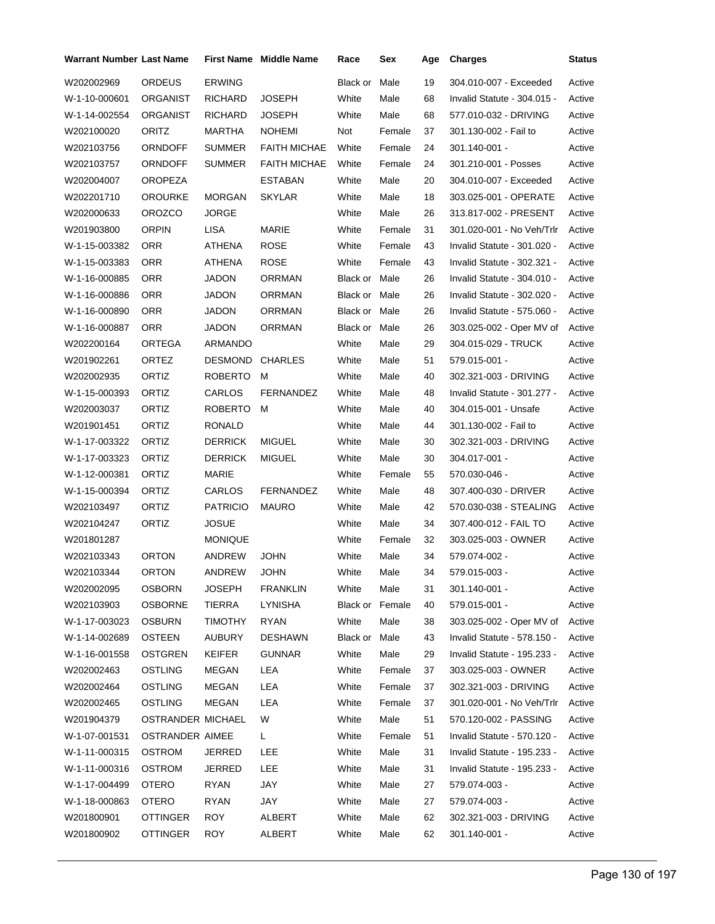| <b>Warrant Number Last Name</b> |                   |                 | <b>First Name</b> Middle Name | Race                 | Sex    | Age | <b>Charges</b>              | Status |
|---------------------------------|-------------------|-----------------|-------------------------------|----------------------|--------|-----|-----------------------------|--------|
| W202002969                      | <b>ORDEUS</b>     | <b>ERWING</b>   |                               | Black or             | Male   | 19  | 304.010-007 - Exceeded      | Active |
| W-1-10-000601                   | ORGANIST          | <b>RICHARD</b>  | <b>JOSEPH</b>                 | White                | Male   | 68  | Invalid Statute - 304.015 - | Active |
| W-1-14-002554                   | ORGANIST          | <b>RICHARD</b>  | <b>JOSEPH</b>                 | White                | Male   | 68  | 577.010-032 - DRIVING       | Active |
| W202100020                      | <b>ORITZ</b>      | MARTHA          | <b>NOHEMI</b>                 | Not                  | Female | 37  | 301.130-002 - Fail to       | Active |
| W202103756                      | ORNDOFF           | <b>SUMMER</b>   | <b>FAITH MICHAE</b>           | White                | Female | 24  | 301.140-001 -               | Active |
| W202103757                      | ORNDOFF           | <b>SUMMER</b>   | <b>FAITH MICHAE</b>           | White                | Female | 24  | 301.210-001 - Posses        | Active |
| W202004007                      | <b>OROPEZA</b>    |                 | <b>ESTABAN</b>                | White                | Male   | 20  | 304.010-007 - Exceeded      | Active |
| W202201710                      | OROURKE           | <b>MORGAN</b>   | <b>SKYLAR</b>                 | White                | Male   | 18  | 303.025-001 - OPERATE       | Active |
| W202000633                      | <b>OROZCO</b>     | <b>JORGE</b>    |                               | White                | Male   | 26  | 313.817-002 - PRESENT       | Active |
| W201903800                      | <b>ORPIN</b>      | LISA            | MARIE                         | White                | Female | 31  | 301.020-001 - No Veh/Trlr   | Active |
| W-1-15-003382                   | <b>ORR</b>        | ATHENA          | ROSE                          | White                | Female | 43  | Invalid Statute - 301.020 - | Active |
| W-1-15-003383                   | ORR               | ATHENA          | ROSE                          | White                | Female | 43  | Invalid Statute - 302.321 - | Active |
| W-1-16-000885                   | ORR               | JADON           | <b>ORRMAN</b>                 | <b>Black or Male</b> |        | 26  | Invalid Statute - 304.010 - | Active |
| W-1-16-000886                   | ORR               | <b>JADON</b>    | <b>ORRMAN</b>                 | <b>Black or Male</b> |        | 26  | Invalid Statute - 302.020 - | Active |
| W-1-16-000890                   | <b>ORR</b>        | <b>JADON</b>    | <b>ORRMAN</b>                 | <b>Black or Male</b> |        | 26  | Invalid Statute - 575.060 - | Active |
| W-1-16-000887                   | ORR               | <b>JADON</b>    | <b>ORRMAN</b>                 | <b>Black or Male</b> |        | 26  | 303.025-002 - Oper MV of    | Active |
| W202200164                      | ORTEGA            | ARMANDO         |                               | White                | Male   | 29  | 304.015-029 - TRUCK         | Active |
| W201902261                      | ORTEZ             | <b>DESMOND</b>  | <b>CHARLES</b>                | White                | Male   | 51  | 579.015-001 -               | Active |
| W202002935                      | ORTIZ             | <b>ROBERTO</b>  | м                             | White                | Male   | 40  | 302.321-003 - DRIVING       | Active |
| W-1-15-000393                   | ORTIZ             | CARLOS          | FERNANDEZ                     | White                | Male   | 48  | Invalid Statute - 301.277 - | Active |
| W202003037                      | ORTIZ             | ROBERTO         | м                             | White                | Male   | 40  | 304.015-001 - Unsafe        | Active |
| W201901451                      | ORTIZ             | <b>RONALD</b>   |                               | White                | Male   | 44  | 301.130-002 - Fail to       | Active |
| W-1-17-003322                   | ORTIZ             | <b>DERRICK</b>  | MIGUEL                        | White                | Male   | 30  | 302.321-003 - DRIVING       | Active |
| W-1-17-003323                   | ORTIZ             | <b>DERRICK</b>  | MIGUEL                        | White                | Male   | 30  | 304.017-001 -               | Active |
| W-1-12-000381                   | ORTIZ             | <b>MARIE</b>    |                               | White                | Female | 55  | 570.030-046 -               | Active |
| W-1-15-000394                   | ORTIZ             | CARLOS          | FERNANDEZ                     | White                | Male   | 48  | 307.400-030 - DRIVER        | Active |
| W202103497                      | ORTIZ             | <b>PATRICIO</b> | <b>MAURO</b>                  | White                | Male   | 42  | 570.030-038 - STEALING      | Active |
| W202104247                      | ORTIZ             | <b>JOSUE</b>    |                               | White                | Male   | 34  | 307.400-012 - FAIL TO       | Active |
| W201801287                      |                   | <b>MONIQUE</b>  |                               | White                | Female | 32  | 303.025-003 - OWNER         | Active |
| W202103343                      | <b>ORTON</b>      | <b>ANDREW</b>   | <b>JOHN</b>                   | White                | Male   | 34  | 579.074-002 -               | Active |
| W202103344                      | ORTON             | ANDREW          | <b>JOHN</b>                   | White                | Male   | 34  | 579.015-003 -               | Active |
| W202002095                      | <b>OSBORN</b>     | JOSEPH          | <b>FRANKLIN</b>               | White                | Male   | 31  | $301.140 - 001 -$           | Active |
| W202103903                      | <b>OSBORNE</b>    | TIERRA          | LYNISHA                       | Black or Female      |        | 40  | 579.015-001 -               | Active |
| W-1-17-003023                   | OSBURN            | <b>TIMOTHY</b>  | <b>RYAN</b>                   | White                | Male   | 38  | 303.025-002 - Oper MV of    | Active |
| W-1-14-002689                   | OSTEEN            | AUBURY          | <b>DESHAWN</b>                | Black or Male        |        | 43  | Invalid Statute - 578.150 - | Active |
| W-1-16-001558                   | OSTGREN           | <b>KEIFER</b>   | <b>GUNNAR</b>                 | White                | Male   | 29  | Invalid Statute - 195.233 - | Active |
| W202002463                      | <b>OSTLING</b>    | MEGAN           | LEA                           | White                | Female | 37  | 303.025-003 - OWNER         | Active |
| W202002464                      | OSTLING           | MEGAN           | LEA                           | White                | Female | 37  | 302.321-003 - DRIVING       | Active |
| W202002465                      | <b>OSTLING</b>    | MEGAN           | LEA                           | White                | Female | 37  | 301.020-001 - No Veh/Trlr   | Active |
| W201904379                      | OSTRANDER MICHAEL |                 | W                             | White                | Male   | 51  | 570.120-002 - PASSING       | Active |
| W-1-07-001531                   | OSTRANDER AIMEE   |                 | L.                            | White                | Female | 51  | Invalid Statute - 570.120 - | Active |
| W-1-11-000315                   | OSTROM            | JERRED          | LEE                           | White                | Male   | 31  | Invalid Statute - 195.233 - | Active |
| W-1-11-000316                   | OSTROM            | JERRED          | LEE                           | White                | Male   | 31  | Invalid Statute - 195.233 - | Active |
| W-1-17-004499                   | OTERO             | <b>RYAN</b>     | JAY                           | White                | Male   | 27  | 579.074-003 -               | Active |
| W-1-18-000863                   | OTERO             | <b>RYAN</b>     | JAY                           | White                | Male   | 27  | 579.074-003 -               | Active |
| W201800901                      | OTTINGER          | <b>ROY</b>      | ALBERT                        | White                | Male   | 62  | 302.321-003 - DRIVING       | Active |
| W201800902                      | OTTINGER          | <b>ROY</b>      | ALBERT                        | White                | Male   | 62  | 301.140-001 -               | Active |
|                                 |                   |                 |                               |                      |        |     |                             |        |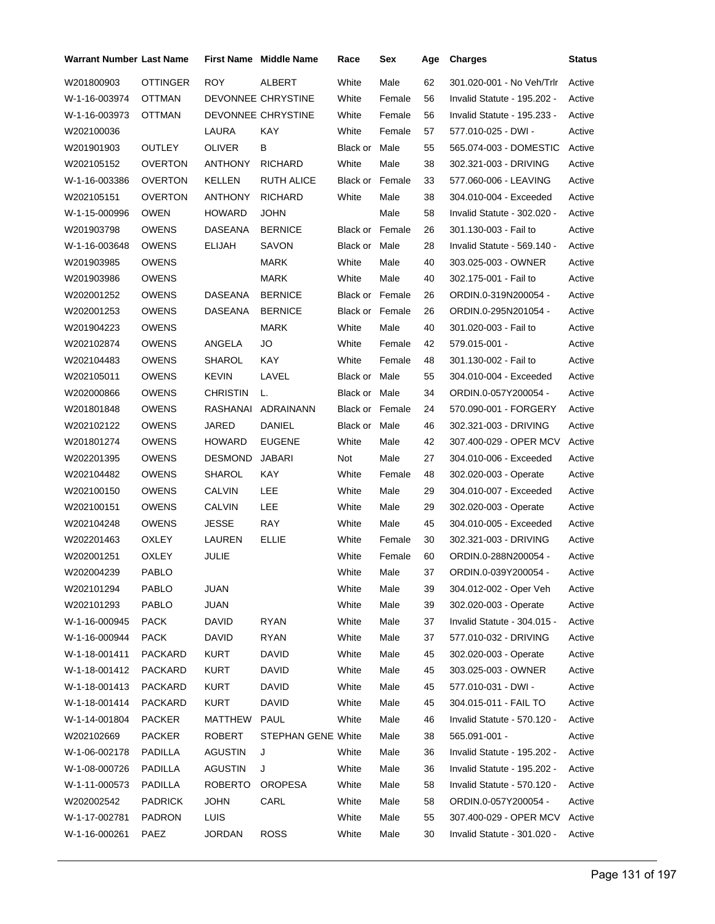| <b>ROY</b><br>ALBERT<br>W201800903<br>OTTINGER<br>White<br>Male<br>62<br>301.020-001 - No Veh/Trlr                  | Active<br>Active |
|---------------------------------------------------------------------------------------------------------------------|------------------|
|                                                                                                                     |                  |
| DEVONNEE CHRYSTINE<br>56<br>W-1-16-003974<br>OTTMAN<br>White<br>Female<br>Invalid Statute - 195.202 -               |                  |
| DEVONNEE CHRYSTINE<br>56<br>W-1-16-003973<br><b>OTTMAN</b><br>White<br>Female<br>Invalid Statute - 195.233 -        | Active           |
| LAURA<br>KAY<br>White<br>W202100036<br>Female<br>57<br>577.010-025 - DWI -                                          | Active           |
| <b>OUTLEY</b><br>55<br>W201901903<br>OLIVER<br>В<br>Black or<br>Male<br>565.074-003 - DOMESTIC                      | Active           |
| <b>RICHARD</b><br>White<br>Male<br>38<br>W202105152<br>OVERTON<br>ANTHONY<br>302.321-003 - DRIVING                  | Active           |
| <b>KELLEN</b><br>W-1-16-003386<br>OVERTON<br><b>RUTH ALICE</b><br>Black or<br>Female<br>33<br>577.060-006 - LEAVING | Active           |
| <b>RICHARD</b><br>Male<br>38<br>W202105151<br>OVERTON<br>ANTHONY<br>White<br>304.010-004 - Exceeded                 | Active           |
| <b>JOHN</b><br>Male<br>58<br>W-1-15-000996<br><b>OWEN</b><br><b>HOWARD</b><br>Invalid Statute - 302.020 -           | Active           |
| <b>BERNICE</b><br>W201903798<br>OWENS<br>DASEANA<br>Black or Female<br>26<br>301.130-003 - Fail to                  | Active           |
| <b>ELIJAH</b><br>28<br>W-1-16-003648<br>OWENS<br>SAVON<br>Black or<br>Male<br>Invalid Statute - 569.140 -           | Active           |
| <b>OWENS</b><br><b>MARK</b><br>40<br>W201903985<br>White<br>Male<br>303.025-003 - OWNER                             | Active           |
| <b>MARK</b><br>White<br>40<br>W201903986<br>OWENS<br>Male<br>302.175-001 - Fail to                                  | Active           |
| 26<br>W202001252<br>OWENS<br>DASEANA<br><b>BERNICE</b><br><b>Black or Female</b><br>ORDIN.0-319N200054 -            | Active           |
| <b>BERNICE</b><br>Black or Female<br>26<br>W202001253<br><b>OWENS</b><br>DASEANA<br>ORDIN.0-295N201054 -            | Active           |
| <b>MARK</b><br>White<br>40<br>W201904223<br>OWENS<br>Male<br>301.020-003 - Fail to                                  | Active           |
| ANGELA<br>Female<br>42<br>W202102874<br><b>OWENS</b><br>JO<br>White<br>579.015-001 -                                | Active           |
| <b>OWENS</b><br>SHAROL<br>KAY<br>White<br>48<br>W202104483<br>Female<br>301.130-002 - Fail to                       | Active           |
| <b>OWENS</b><br><b>KEVIN</b><br>LAVEL<br>55<br>W202105011<br><b>Black or Male</b><br>304.010-004 - Exceeded         | Active           |
| <b>CHRISTIN</b><br>34<br>W202000866<br>OWENS<br>L.<br>Black or Male<br>ORDIN.0-057Y200054 -                         | Active           |
| RASHANAI<br>ADRAINANN<br>Black or Female<br>24<br>W201801848<br>OWENS<br>570.090-001 - FORGERY                      | Active           |
| JARED<br><b>DANIEL</b><br>46<br>W202102122<br>OWENS<br>Black or Male<br>302.321-003 - DRIVING                       | Active           |
| <b>EUGENE</b><br>White<br>Male<br>42<br>W201801274<br>OWENS<br><b>HOWARD</b><br>307.400-029 - OPER MCV              | Active           |
| <b>OWENS</b><br><b>JABARI</b><br>Male<br>27<br>W202201395<br>DESMOND<br>Not<br>304.010-006 - Exceeded               | Active           |
| <b>OWENS</b><br>SHAROL<br>KAY<br>48<br>W202104482<br>White<br>Female<br>302.020-003 - Operate                       | Active           |
| CALVIN<br>LEE<br>White<br>Male<br>29<br>W202100150<br>OWENS<br>304.010-007 - Exceeded                               | Active           |
| <b>CALVIN</b><br>LEE<br>White<br>Male<br>29<br>W202100151<br>OWENS<br>302.020-003 - Operate                         | Active           |
| <b>RAY</b><br><b>JESSE</b><br>White<br>45<br>W202104248<br>OWENS<br>Male<br>304.010-005 - Exceeded                  | Active           |
| <b>ELLIE</b><br>30<br>W202201463<br>OXLEY<br>LAUREN<br>White<br>Female<br>302.321-003 - DRIVING                     | Active           |
| <b>OXLEY</b><br><b>JULIE</b><br>White<br>Female<br>60<br>ORDIN.0-288N200054 -<br>W202001251                         | Active           |
| W202004239<br>PABLO<br>37<br>White<br>Male<br>ORDIN.0-039Y200054 -                                                  | Active           |
| W202101294<br>PABLO<br>JUAN<br>White<br>Male<br>304.012-002 - Oper Veh<br>39                                        | Active           |
| PABLO<br><b>JUAN</b><br>White<br>Male<br>W202101293<br>39<br>302.020-003 - Operate                                  | Active           |
| <b>DAVID</b><br><b>RYAN</b><br>White<br>W-1-16-000945<br><b>PACK</b><br>Male<br>37<br>Invalid Statute - 304.015 -   | Active           |
| <b>PACK</b><br><b>DAVID</b><br><b>RYAN</b><br>White<br>Male<br>W-1-16-000944<br>37<br>577.010-032 - DRIVING         | Active           |
| <b>PACKARD</b><br><b>KURT</b><br><b>DAVID</b><br>White<br>Male<br>45<br>W-1-18-001411<br>302.020-003 - Operate      | Active           |
| <b>KURT</b><br>White<br>W-1-18-001412<br><b>PACKARD</b><br>DAVID<br>Male<br>45<br>303.025-003 - OWNER               | Active           |
| White<br>W-1-18-001413<br>PACKARD<br>KURT<br>DAVID<br>Male<br>45<br>577.010-031 - DWI -                             | Active           |
| <b>PACKARD</b><br><b>KURT</b><br><b>DAVID</b><br>White<br>Male<br>W-1-18-001414<br>45<br>304.015-011 - FAIL TO      | Active           |
| White<br>W-1-14-001804<br><b>PACKER</b><br>MATTHEW<br><b>PAUL</b><br>Male<br>46<br>Invalid Statute - 570.120 -      | Active           |
| Male<br>W202102669<br><b>PACKER</b><br>ROBERT<br><b>STEPHAN GENE White</b><br>38<br>565.091-001 -                   | Active           |
| <b>AGUSTIN</b><br>Male<br>W-1-06-002178<br>PADILLA<br>White<br>36<br>Invalid Statute - 195.202 -<br>J               | Active           |
| White<br>W-1-08-000726<br>PADILLA<br><b>AGUSTIN</b><br>J<br>Male<br>Invalid Statute - 195.202 -<br>36               | Active           |
| White<br>W-1-11-000573<br>PADILLA<br><b>ROBERTO</b><br><b>OROPESA</b><br>Male<br>58<br>Invalid Statute - 570.120 -  | Active           |
| CARL<br>White<br>Male<br>W202002542<br>PADRICK<br><b>JOHN</b><br>58<br>ORDIN.0-057Y200054 -                         | Active           |
| <b>LUIS</b><br>White<br>W-1-17-002781<br><b>PADRON</b><br>Male<br>55<br>307.400-029 - OPER MCV                      | Active           |
| White<br>Male<br>30<br>W-1-16-000261<br>PAEZ<br><b>JORDAN</b><br><b>ROSS</b><br>Invalid Statute - 301.020 -         | Active           |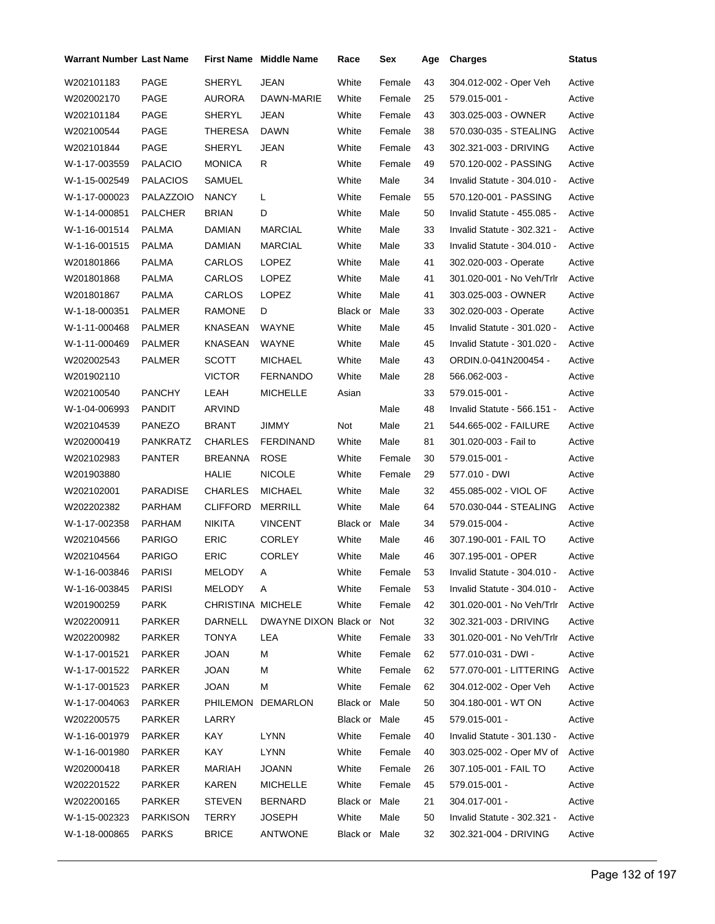| <b>Warrant Number Last Name</b> |                 |                   | <b>First Name Middle Name</b> | Race          | Sex    | Age | <b>Charges</b>              | Status |
|---------------------------------|-----------------|-------------------|-------------------------------|---------------|--------|-----|-----------------------------|--------|
| W202101183                      | PAGE            | <b>SHERYL</b>     | JEAN                          | White         | Female | 43  | 304.012-002 - Oper Veh      | Active |
| W202002170                      | PAGE            | AURORA            | DAWN-MARIE                    | White         | Female | 25  | 579.015-001 -               | Active |
| W202101184                      | PAGE            | <b>SHERYL</b>     | JEAN                          | White         | Female | 43  | 303.025-003 - OWNER         | Active |
| W202100544                      | PAGE            | THERESA           | <b>DAWN</b>                   | White         | Female | 38  | 570.030-035 - STEALING      | Active |
| W202101844                      | PAGE            | SHERYL            | <b>JEAN</b>                   | White         | Female | 43  | 302.321-003 - DRIVING       | Active |
| W-1-17-003559                   | <b>PALACIO</b>  | <b>MONICA</b>     | R                             | White         | Female | 49  | 570.120-002 - PASSING       | Active |
| W-1-15-002549                   | <b>PALACIOS</b> | SAMUEL            |                               | White         | Male   | 34  | Invalid Statute - 304.010 - | Active |
| W-1-17-000023                   | PALAZZOIO       | <b>NANCY</b>      | L                             | White         | Female | 55  | 570.120-001 - PASSING       | Active |
| W-1-14-000851                   | PALCHER         | <b>BRIAN</b>      | D                             | White         | Male   | 50  | Invalid Statute - 455.085 - | Active |
| W-1-16-001514                   | <b>PALMA</b>    | DAMIAN            | <b>MARCIAL</b>                | White         | Male   | 33  | Invalid Statute - 302.321 - | Active |
| W-1-16-001515                   | <b>PALMA</b>    | DAMIAN            | <b>MARCIAL</b>                | White         | Male   | 33  | Invalid Statute - 304.010 - | Active |
| W201801866                      | PALMA           | CARLOS            | LOPEZ                         | White         | Male   | 41  | 302.020-003 - Operate       | Active |
| W201801868                      | <b>PALMA</b>    | CARLOS            | <b>LOPEZ</b>                  | White         | Male   | 41  | 301.020-001 - No Veh/Trlr   | Active |
| W201801867                      | <b>PALMA</b>    | CARLOS            | LOPEZ                         | White         | Male   | 41  | 303.025-003 - OWNER         | Active |
| W-1-18-000351                   | PALMER          | RAMONE            | D                             | Black or      | Male   | 33  | 302.020-003 - Operate       | Active |
| W-1-11-000468                   | <b>PALMER</b>   | KNASEAN           | WAYNE                         | White         | Male   | 45  | Invalid Statute - 301.020 - | Active |
| W-1-11-000469                   | <b>PALMER</b>   | KNASEAN           | <b>WAYNE</b>                  | White         | Male   | 45  | Invalid Statute - 301.020 - | Active |
| W202002543                      | PALMER          | <b>SCOTT</b>      | <b>MICHAEL</b>                | White         | Male   | 43  | ORDIN.0-041N200454 -        | Active |
| W201902110                      |                 | <b>VICTOR</b>     | <b>FERNANDO</b>               | White         | Male   | 28  | 566.062-003 -               | Active |
| W202100540                      | <b>PANCHY</b>   | LEAH              | <b>MICHELLE</b>               | Asian         |        | 33  | 579.015-001 -               | Active |
| W-1-04-006993                   | PANDIT          | ARVIND            |                               |               | Male   | 48  | Invalid Statute - 566.151 - | Active |
| W202104539                      | <b>PANEZO</b>   | <b>BRANT</b>      | JIMMY                         | Not           | Male   | 21  | 544.665-002 - FAILURE       | Active |
| W202000419                      | PANKRATZ        | CHARLES           | <b>FERDINAND</b>              | White         | Male   | 81  | 301.020-003 - Fail to       | Active |
| W202102983                      | <b>PANTER</b>   | BREANNA           | <b>ROSE</b>                   | White         | Female | 30  | 579.015-001 -               | Active |
| W201903880                      |                 | HALIE             | <b>NICOLE</b>                 | White         | Female | 29  | 577.010 - DWI               | Active |
| W202102001                      | <b>PARADISE</b> | <b>CHARLES</b>    | <b>MICHAEL</b>                | White         | Male   | 32  | 455.085-002 - VIOL OF       | Active |
| W202202382                      | PARHAM          | <b>CLIFFORD</b>   | <b>MERRILL</b>                | White         | Male   | 64  | 570.030-044 - STEALING      | Active |
| W-1-17-002358                   | PARHAM          | <b>NIKITA</b>     | <b>VINCENT</b>                | Black or      | Male   | 34  | 579.015-004 -               | Active |
| W202104566                      | <b>PARIGO</b>   | <b>ERIC</b>       | <b>CORLEY</b>                 | White         | Male   | 46  | 307.190-001 - FAIL TO       | Active |
| W202104564                      | <b>PARIGO</b>   | <b>ERIC</b>       | <b>CORLEY</b>                 | White         | Male   | 46  | 307.195-001 - OPER          | Active |
| W-1-16-003846                   | PARISI          | MELODY            | A                             | White         | Female | 53  | Invalid Statute - 304.010 - | Active |
| W-1-16-003845                   | <b>PARISI</b>   | MELODY            | A                             | White         | Female | 53  | Invalid Statute - 304.010 - | Active |
| W201900259                      | <b>PARK</b>     | CHRISTINA MICHELE |                               | White         | Female | 42  | 301.020-001 - No Veh/Trlr   | Active |
| W202200911                      | PARKER          | DARNELL           | DWAYNE DIXON Black or         |               | Not    | 32  | 302.321-003 - DRIVING       | Active |
| W202200982                      | PARKER          | <b>TONYA</b>      | LEA                           | White         | Female | 33  | 301.020-001 - No Veh/Trlr   | Active |
| W-1-17-001521                   | PARKER          | <b>JOAN</b>       | М                             | White         | Female | 62  | 577.010-031 - DWI -         | Active |
| W-1-17-001522                   | PARKER          | <b>JOAN</b>       | М                             | White         | Female | 62  | 577.070-001 - LITTERING     | Active |
| W-1-17-001523                   | <b>PARKER</b>   | <b>JOAN</b>       | М                             | White         | Female | 62  | 304.012-002 - Oper Veh      | Active |
| W-1-17-004063                   | PARKER          | PHILEMON          | <b>DEMARLON</b>               | Black or Male |        | 50  | 304.180-001 - WT ON         | Active |
| W202200575                      | PARKER          | LARRY             |                               | Black or Male |        | 45  | 579.015-001 -               | Active |
| W-1-16-001979                   | PARKER          | KAY               | <b>LYNN</b>                   | White         | Female | 40  | Invalid Statute - 301.130 - | Active |
| W-1-16-001980                   | PARKER          | KAY               | <b>LYNN</b>                   | White         | Female | 40  | 303.025-002 - Oper MV of    | Active |
| W202000418                      | PARKER          | MARIAH            | JOANN                         | White         | Female | 26  | 307.105-001 - FAIL TO       | Active |
| W202201522                      | PARKER          | KAREN             | <b>MICHELLE</b>               | White         | Female | 45  | 579.015-001 -               | Active |
| W202200165                      | PARKER          | <b>STEVEN</b>     | BERNARD                       | Black or Male |        | 21  | 304.017-001 -               | Active |
| W-1-15-002323                   | <b>PARKISON</b> | TERRY             | JOSEPH                        | White         | Male   | 50  | Invalid Statute - 302.321 - | Active |
| W-1-18-000865                   | <b>PARKS</b>    | <b>BRICE</b>      | ANTWONE                       | Black or Male |        | 32  | 302.321-004 - DRIVING       | Active |
|                                 |                 |                   |                               |               |        |     |                             |        |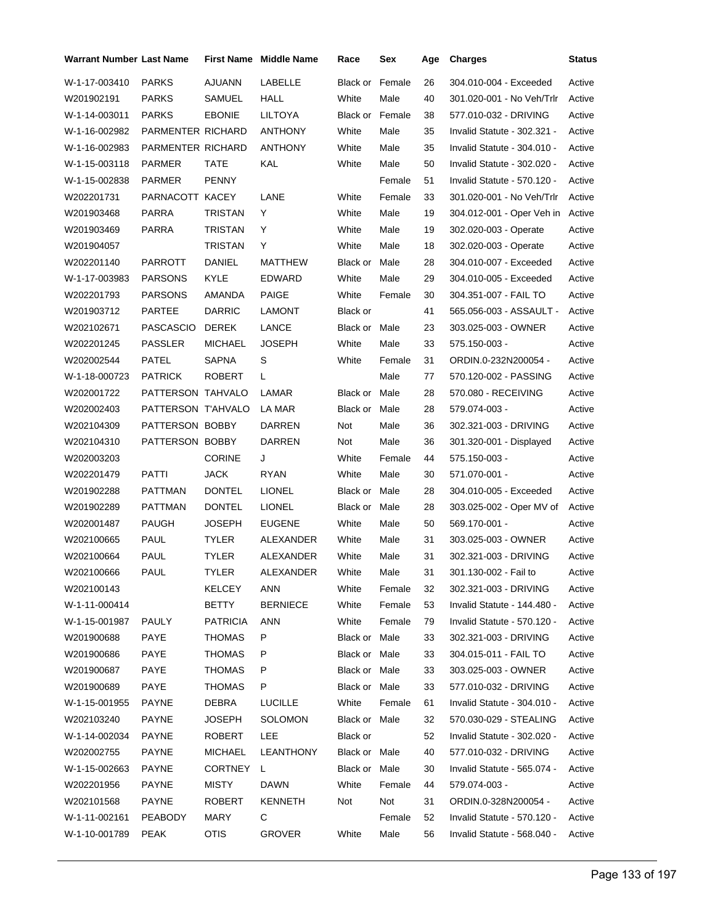| <b>Warrant Number Last Name</b> |                    |                 | <b>First Name</b> Middle Name | Race                   | Sex    | Age | <b>Charges</b>              | <b>Status</b> |
|---------------------------------|--------------------|-----------------|-------------------------------|------------------------|--------|-----|-----------------------------|---------------|
| W-1-17-003410                   | <b>PARKS</b>       | <b>AJUANN</b>   | LABELLE                       | <b>Black or Female</b> |        | 26  | 304.010-004 - Exceeded      | Active        |
| W201902191                      | <b>PARKS</b>       | SAMUEL          | HALL                          | White                  | Male   | 40  | 301.020-001 - No Veh/Trlr   | Active        |
| W-1-14-003011                   | <b>PARKS</b>       | <b>EBONIE</b>   | <b>LILTOYA</b>                | <b>Black or Female</b> |        | 38  | 577.010-032 - DRIVING       | Active        |
| W-1-16-002982                   | PARMENTER RICHARD  |                 | <b>ANTHONY</b>                | White                  | Male   | 35  | Invalid Statute - 302.321 - | Active        |
| W-1-16-002983                   | PARMENTER RICHARD  |                 | <b>ANTHONY</b>                | White                  | Male   | 35  | Invalid Statute - 304.010 - | Active        |
| W-1-15-003118                   | PARMER             | <b>TATE</b>     | KAL                           | White                  | Male   | 50  | Invalid Statute - 302.020 - | Active        |
| W-1-15-002838                   | PARMER             | <b>PENNY</b>    |                               |                        | Female | 51  | Invalid Statute - 570.120 - | Active        |
| W202201731                      | PARNACOTT KACEY    |                 | LANE                          | White                  | Female | 33  | 301.020-001 - No Veh/Trlr   | Active        |
| W201903468                      | PARRA              | TRISTAN         | Y                             | White                  | Male   | 19  | 304.012-001 - Oper Veh in   | Active        |
| W201903469                      | PARRA              | <b>TRISTAN</b>  | Y                             | White                  | Male   | 19  | 302.020-003 - Operate       | Active        |
| W201904057                      |                    | TRISTAN         | Y                             | White                  | Male   | 18  | 302.020-003 - Operate       | Active        |
| W202201140                      | PARROTT            | DANIEL          | MATTHEW                       | Black or               | Male   | 28  | 304.010-007 - Exceeded      | Active        |
| W-1-17-003983                   | <b>PARSONS</b>     | KYLE            | <b>EDWARD</b>                 | White                  | Male   | 29  | 304.010-005 - Exceeded      | Active        |
| W202201793                      | <b>PARSONS</b>     | AMANDA          | <b>PAIGE</b>                  | White                  | Female | 30  | 304.351-007 - FAIL TO       | Active        |
| W201903712                      | <b>PARTEE</b>      | <b>DARRIC</b>   | <b>LAMONT</b>                 | Black or               |        | 41  | 565.056-003 - ASSAULT -     | Active        |
| W202102671                      | <b>PASCASCIO</b>   | <b>DEREK</b>    | LANCE                         | <b>Black or Male</b>   |        | 23  | 303.025-003 - OWNER         | Active        |
| W202201245                      | <b>PASSLER</b>     | <b>MICHAEL</b>  | <b>JOSEPH</b>                 | White                  | Male   | 33  | 575.150-003 -               | Active        |
| W202002544                      | <b>PATEL</b>       | SAPNA           | S                             | White                  | Female | 31  | ORDIN.0-232N200054 -        | Active        |
| W-1-18-000723                   | <b>PATRICK</b>     | <b>ROBERT</b>   | L                             |                        | Male   | 77  | 570.120-002 - PASSING       | Active        |
| W202001722                      | PATTERSON TAHVALO  |                 | LAMAR                         | Black or Male          |        | 28  | 570.080 - RECEIVING         | Active        |
| W202002403                      | PATTERSON T'AHVALO |                 | LA MAR                        | <b>Black or Male</b>   |        | 28  | 579.074-003 -               | Active        |
| W202104309                      | PATTERSON BOBBY    |                 | <b>DARREN</b>                 | Not                    | Male   | 36  | 302.321-003 - DRIVING       | Active        |
| W202104310                      | PATTERSON BOBBY    |                 | DARREN                        | Not                    | Male   | 36  | 301.320-001 - Displayed     | Active        |
| W202003203                      |                    | <b>CORINE</b>   | J                             | White                  | Female | 44  | 575.150-003 -               | Active        |
| W202201479                      | PATTI              | <b>JACK</b>     | <b>RYAN</b>                   | White                  | Male   | 30  | 571.070-001 -               | Active        |
| W201902288                      | <b>PATTMAN</b>     | <b>DONTEL</b>   | <b>LIONEL</b>                 | Black or Male          |        | 28  | 304.010-005 - Exceeded      | Active        |
| W201902289                      | <b>PATTMAN</b>     | <b>DONTEL</b>   | <b>LIONEL</b>                 | <b>Black or Male</b>   |        | 28  | 303.025-002 - Oper MV of    | Active        |
| W202001487                      | <b>PAUGH</b>       | JOSEPH          | <b>EUGENE</b>                 | White                  | Male   | 50  | 569.170-001 -               | Active        |
| W202100665                      | PAUL               | TYLER           | ALEXANDER                     | White                  | Male   | 31  | 303.025-003 - OWNER         | Active        |
| W202100664                      | <b>PAUL</b>        | <b>TYLER</b>    | <b>ALEXANDER</b>              | White                  | Male   | 31  | 302.321-003 - DRIVING       | Active        |
| W202100666                      | PAUL               | <b>TYLER</b>    | ALEXANDER                     | White                  | Male   | 31  | 301.130-002 - Fail to       | Active        |
| W202100143                      |                    | KELCEY          | ANN                           | White                  | Female | 32  | 302.321-003 - DRIVING       | Active        |
| W-1-11-000414                   |                    | <b>BETTY</b>    | <b>BERNIECE</b>               | White                  | Female | 53  | Invalid Statute - 144.480 - | Active        |
| W-1-15-001987                   | <b>PAULY</b>       | <b>PATRICIA</b> | <b>ANN</b>                    | White                  | Female | 79  | Invalid Statute - 570.120 - | Active        |
| W201900688                      | PAYE               | THOMAS          | P                             | Black or Male          |        | 33  | 302.321-003 - DRIVING       | Active        |
| W201900686                      | PAYE               | <b>THOMAS</b>   | P                             | Black or Male          |        | 33  | 304.015-011 - FAIL TO       | Active        |
| W201900687                      | PAYE               | <b>THOMAS</b>   | P                             | Black or Male          |        | 33  | 303.025-003 - OWNER         | Active        |
| W201900689                      | PAYE               | THOMAS          | P                             | Black or Male          |        | 33  | 577.010-032 - DRIVING       | Active        |
| W-1-15-001955                   | PAYNE              | DEBRA           | <b>LUCILLE</b>                | White                  | Female | 61  | Invalid Statute - 304.010 - | Active        |
| W202103240                      | PAYNE              | <b>JOSEPH</b>   | <b>SOLOMON</b>                | Black or Male          |        | 32  | 570.030-029 - STEALING      | Active        |
| W-1-14-002034                   | <b>PAYNE</b>       | ROBERT          | LEE                           | Black or               |        | 52  | Invalid Statute - 302.020 - | Active        |
| W202002755                      | PAYNE              | <b>MICHAEL</b>  | LEANTHONY                     | Black or Male          |        | 40  | 577.010-032 - DRIVING       | Active        |
| W-1-15-002663                   | PAYNE              | <b>CORTNEY</b>  | L                             | Black or Male          |        | 30  | Invalid Statute - 565.074 - | Active        |
| W202201956                      | PAYNE              | MISTY           | DAWN                          | White                  | Female | 44  | 579.074-003 -               | Active        |
| W202101568                      | <b>PAYNE</b>       | ROBERT          | <b>KENNETH</b>                | Not                    | Not    | 31  | ORDIN.0-328N200054 -        | Active        |
| W-1-11-002161                   | <b>PEABODY</b>     | <b>MARY</b>     | C                             |                        | Female | 52  | Invalid Statute - 570.120 - | Active        |
| W-1-10-001789                   | PEAK               | <b>OTIS</b>     | <b>GROVER</b>                 | White                  | Male   | 56  | Invalid Statute - 568.040 - | Active        |
|                                 |                    |                 |                               |                        |        |     |                             |               |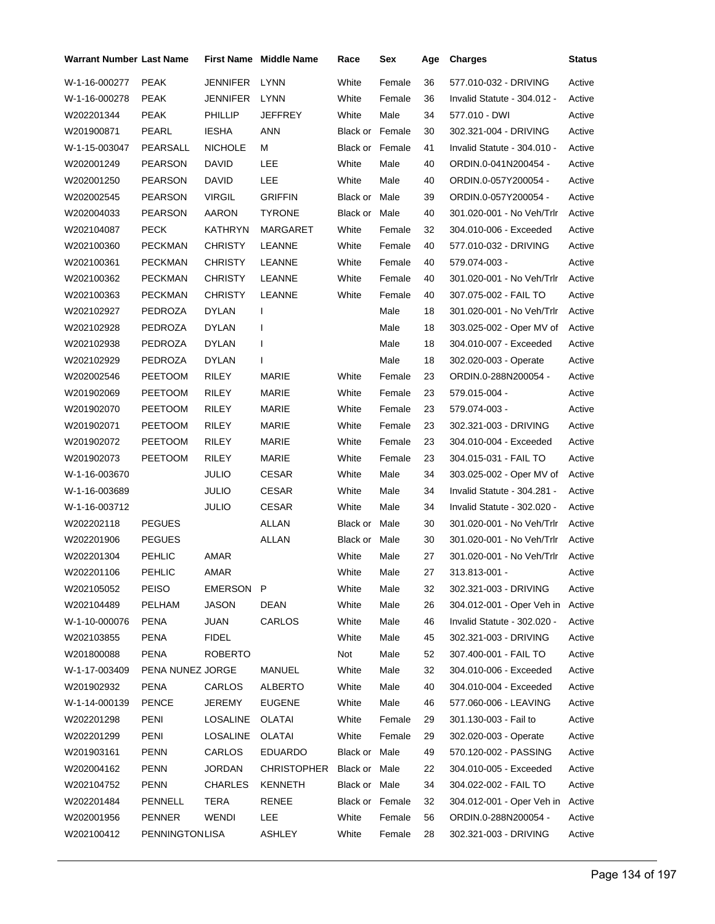| <b>Warrant Number Last Name</b> |                  |                 | <b>First Name</b> Middle Name | Race                   | Sex    | Age | <b>Charges</b>              | <b>Status</b> |
|---------------------------------|------------------|-----------------|-------------------------------|------------------------|--------|-----|-----------------------------|---------------|
| W-1-16-000277                   | <b>PEAK</b>      | <b>JENNIFER</b> | <b>LYNN</b>                   | White                  | Female | 36  | 577.010-032 - DRIVING       | Active        |
| W-1-16-000278                   | <b>PEAK</b>      | <b>JENNIFER</b> | LYNN                          | White                  | Female | 36  | Invalid Statute - 304.012 - | Active        |
| W202201344                      | <b>PEAK</b>      | <b>PHILLIP</b>  | JEFFREY                       | White                  | Male   | 34  | 577.010 - DWI               | Active        |
| W201900871                      | PEARL            | <b>IESHA</b>    | <b>ANN</b>                    | <b>Black or Female</b> |        | 30  | 302.321-004 - DRIVING       | Active        |
| W-1-15-003047                   | PEARSALL         | <b>NICHOLE</b>  | М                             | Black or Female        |        | 41  | Invalid Statute - 304.010 - | Active        |
| W202001249                      | <b>PEARSON</b>   | <b>DAVID</b>    | LEE                           | White                  | Male   | 40  | ORDIN.0-041N200454 -        | Active        |
| W202001250                      | <b>PEARSON</b>   | <b>DAVID</b>    | <b>LEE</b>                    | White                  | Male   | 40  | ORDIN.0-057Y200054 -        | Active        |
| W202002545                      | <b>PEARSON</b>   | <b>VIRGIL</b>   | <b>GRIFFIN</b>                | Black or Male          |        | 39  | ORDIN.0-057Y200054 -        | Active        |
| W202004033                      | <b>PEARSON</b>   | AARON           | <b>TYRONE</b>                 | Black or Male          |        | 40  | 301.020-001 - No Veh/Trlr   | Active        |
| W202104087                      | <b>PECK</b>      | KATHRYN         | MARGARET                      | White                  | Female | 32  | 304.010-006 - Exceeded      | Active        |
| W202100360                      | <b>PECKMAN</b>   | <b>CHRISTY</b>  | LEANNE                        | White                  | Female | 40  | 577.010-032 - DRIVING       | Active        |
| W202100361                      | <b>PECKMAN</b>   | <b>CHRISTY</b>  | LEANNE                        | White                  | Female | 40  | 579.074-003 -               | Active        |
| W202100362                      | <b>PECKMAN</b>   | <b>CHRISTY</b>  | LEANNE                        | White                  | Female | 40  | 301.020-001 - No Veh/Trlr   | Active        |
| W202100363                      | <b>PECKMAN</b>   | <b>CHRISTY</b>  | LEANNE                        | White                  | Female | 40  | 307.075-002 - FAIL TO       | Active        |
| W202102927                      | PEDROZA          | <b>DYLAN</b>    | $\mathsf{l}$                  |                        | Male   | 18  | 301.020-001 - No Veh/Trlr   | Active        |
| W202102928                      | PEDROZA          | <b>DYLAN</b>    | I                             |                        | Male   | 18  | 303.025-002 - Oper MV of    | Active        |
| W202102938                      | PEDROZA          | <b>DYLAN</b>    | I                             |                        | Male   | 18  | 304.010-007 - Exceeded      | Active        |
| W202102929                      | PEDROZA          | <b>DYLAN</b>    | I                             |                        | Male   | 18  | 302.020-003 - Operate       | Active        |
| W202002546                      | <b>PEETOOM</b>   | RILEY           | <b>MARIE</b>                  | White                  | Female | 23  | ORDIN.0-288N200054 -        | Active        |
| W201902069                      | <b>PEETOOM</b>   | <b>RILEY</b>    | <b>MARIE</b>                  | White                  | Female | 23  | 579.015-004 -               | Active        |
| W201902070                      | <b>PEETOOM</b>   | RILEY           | <b>MARIE</b>                  | White                  | Female | 23  | 579.074-003 -               | Active        |
| W201902071                      | <b>PEETOOM</b>   | RILEY           | MARIE                         | White                  | Female | 23  | 302.321-003 - DRIVING       | Active        |
| W201902072                      | <b>PEETOOM</b>   | RILEY           | <b>MARIE</b>                  | White                  | Female | 23  | 304.010-004 - Exceeded      | Active        |
| W201902073                      | <b>PEETOOM</b>   | RILEY           | MARIE                         | White                  | Female | 23  | 304.015-031 - FAIL TO       | Active        |
| W-1-16-003670                   |                  | JULIO           | <b>CESAR</b>                  | White                  | Male   | 34  | 303.025-002 - Oper MV of    | Active        |
| W-1-16-003689                   |                  | <b>JULIO</b>    | <b>CESAR</b>                  | White                  | Male   | 34  | Invalid Statute - 304.281 - | Active        |
| W-1-16-003712                   |                  | JULIO           | <b>CESAR</b>                  | White                  | Male   | 34  | Invalid Statute - 302.020 - | Active        |
| W202202118                      | <b>PEGUES</b>    |                 | <b>ALLAN</b>                  | Black or Male          |        | 30  | 301.020-001 - No Veh/Trlr   | Active        |
| W202201906                      | <b>PEGUES</b>    |                 | <b>ALLAN</b>                  | Black or Male          |        | 30  | 301.020-001 - No Veh/Trlr   | Active        |
| W202201304                      | PEHLIC           | AMAR            |                               | White                  | Male   | 27  | 301.020-001 - No Veh/Trlr   | Active        |
| W202201106                      | PEHLIC           | AMAR            |                               | White                  | Male   | 27  | 313.813-001 -               | Active        |
| W202105052                      | <b>PEISO</b>     | EMERSON P       |                               | White                  | Male   | 32  | 302.321-003 - DRIVING       | Active        |
| W202104489                      | PELHAM           | <b>JASON</b>    | DEAN                          | White                  | Male   | 26  | 304.012-001 - Oper Veh in   | Active        |
| W-1-10-000076                   | PENA             | JUAN            | CARLOS                        | White                  | Male   | 46  | Invalid Statute - 302.020 - | Active        |
| W202103855                      | <b>PENA</b>      | <b>FIDEL</b>    |                               | White                  | Male   | 45  | 302.321-003 - DRIVING       | Active        |
| W201800088                      | <b>PENA</b>      | <b>ROBERTO</b>  |                               | Not                    | Male   | 52  | 307.400-001 - FAIL TO       | Active        |
| W-1-17-003409                   | PENA NUNEZ JORGE |                 | MANUEL                        | White                  | Male   | 32  | 304.010-006 - Exceeded      | Active        |
| W201902932                      | <b>PENA</b>      | CARLOS          | <b>ALBERTO</b>                | White                  | Male   | 40  | 304.010-004 - Exceeded      | Active        |
| W-1-14-000139                   | <b>PENCE</b>     | <b>JEREMY</b>   | <b>EUGENE</b>                 | White                  | Male   | 46  | 577.060-006 - LEAVING       | Active        |
| W202201298                      | PENI             | <b>LOSALINE</b> | OLATAI                        | White                  | Female | 29  | 301.130-003 - Fail to       | Active        |
| W202201299                      | PENI             | <b>LOSALINE</b> | <b>OLATAI</b>                 | White                  | Female | 29  | 302.020-003 - Operate       | Active        |
| W201903161                      | PENN             | CARLOS          | <b>EDUARDO</b>                | Black or Male          |        | 49  | 570.120-002 - PASSING       | Active        |
| W202004162                      | PENN             | <b>JORDAN</b>   | CHRISTOPHER Black or Male     |                        |        | 22  | 304.010-005 - Exceeded      | Active        |
| W202104752                      | <b>PENN</b>      | <b>CHARLES</b>  | KENNETH                       | Black or Male          |        | 34  | 304.022-002 - FAIL TO       | Active        |
| W202201484                      | <b>PENNELL</b>   | <b>TERA</b>     | RENEE                         | Black or Female        |        | 32  | 304.012-001 - Oper Veh in   | Active        |
| W202001956                      | PENNER           | WENDI           | LEE                           | White                  | Female | 56  | ORDIN.0-288N200054 -        | Active        |
| W202100412                      | PENNINGTONLISA   |                 | <b>ASHLEY</b>                 | White                  | Female | 28  | 302.321-003 - DRIVING       | Active        |
|                                 |                  |                 |                               |                        |        |     |                             |               |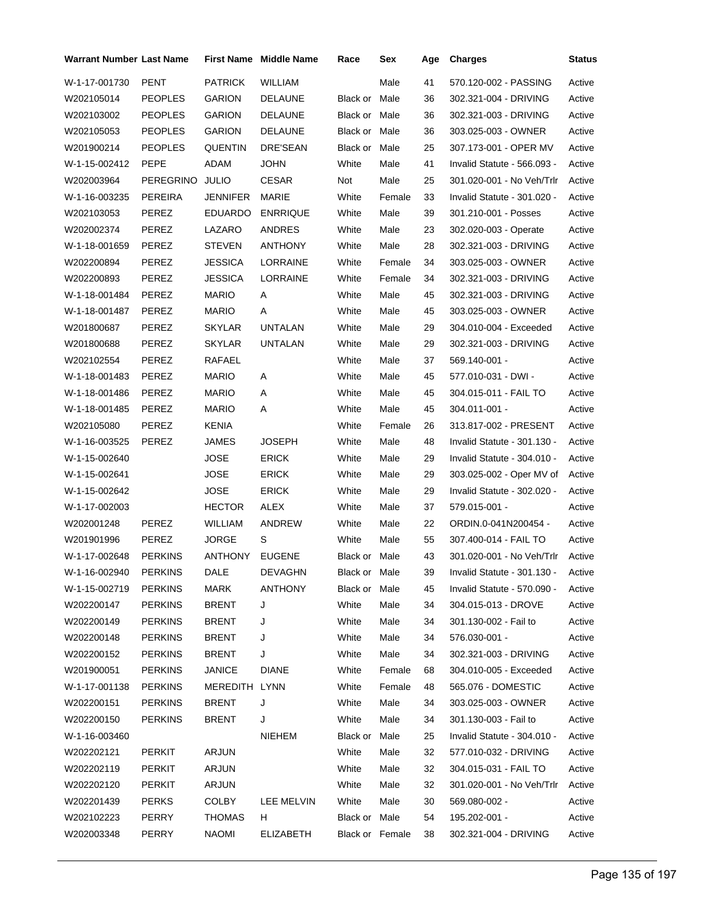| <b>Warrant Number Last Name</b> |                  |                | <b>First Name</b> Middle Name | Race            | Sex    | Age | <b>Charges</b>              | Status |
|---------------------------------|------------------|----------------|-------------------------------|-----------------|--------|-----|-----------------------------|--------|
| W-1-17-001730                   | <b>PENT</b>      | <b>PATRICK</b> | <b>WILLIAM</b>                |                 | Male   | 41  | 570.120-002 - PASSING       | Active |
| W202105014                      | <b>PEOPLES</b>   | <b>GARION</b>  | <b>DELAUNE</b>                | Black or Male   |        | 36  | 302.321-004 - DRIVING       | Active |
| W202103002                      | <b>PEOPLES</b>   | <b>GARION</b>  | <b>DELAUNE</b>                | Black or Male   |        | 36  | 302.321-003 - DRIVING       | Active |
| W202105053                      | <b>PEOPLES</b>   | <b>GARION</b>  | <b>DELAUNE</b>                | Black or Male   |        | 36  | 303.025-003 - OWNER         | Active |
| W201900214                      | <b>PEOPLES</b>   | QUENTIN        | DRE'SEAN                      | Black or Male   |        | 25  | 307.173-001 - OPER MV       | Active |
| W-1-15-002412                   | <b>PEPE</b>      | ADAM           | JOHN                          | White           | Male   | 41  | Invalid Statute - 566.093 - | Active |
| W202003964                      | <b>PEREGRINO</b> | <b>JULIO</b>   | <b>CESAR</b>                  | Not             | Male   | 25  | 301.020-001 - No Veh/Trlr   | Active |
| W-1-16-003235                   | PEREIRA          | JENNIFER       | <b>MARIE</b>                  | White           | Female | 33  | Invalid Statute - 301.020 - | Active |
| W202103053                      | PEREZ            | <b>EDUARDO</b> | <b>ENRRIQUE</b>               | White           | Male   | 39  | 301.210-001 - Posses        | Active |
| W202002374                      | PEREZ            | LAZARO         | ANDRES                        | White           | Male   | 23  | 302.020-003 - Operate       | Active |
| W-1-18-001659                   | PEREZ            | <b>STEVEN</b>  | <b>ANTHONY</b>                | White           | Male   | 28  | 302.321-003 - DRIVING       | Active |
| W202200894                      | PEREZ            | JESSICA        | LORRAINE                      | White           | Female | 34  | 303.025-003 - OWNER         | Active |
| W202200893                      | PEREZ            | <b>JESSICA</b> | <b>LORRAINE</b>               | White           | Female | 34  | 302.321-003 - DRIVING       | Active |
| W-1-18-001484                   | <b>PEREZ</b>     | <b>MARIO</b>   | Α                             | White           | Male   | 45  | 302.321-003 - DRIVING       | Active |
| W-1-18-001487                   | PEREZ            | <b>MARIO</b>   | Α                             | White           | Male   | 45  | 303.025-003 - OWNER         | Active |
| W201800687                      | PEREZ            | <b>SKYLAR</b>  | <b>UNTALAN</b>                | White           | Male   | 29  | 304.010-004 - Exceeded      | Active |
| W201800688                      | PEREZ            | <b>SKYLAR</b>  | <b>UNTALAN</b>                | White           | Male   | 29  | 302.321-003 - DRIVING       | Active |
| W202102554                      | PEREZ            | RAFAEL         |                               | White           | Male   | 37  | 569.140-001 -               | Active |
| W-1-18-001483                   | PEREZ            | <b>MARIO</b>   | Α                             | White           | Male   | 45  | 577.010-031 - DWI -         | Active |
| W-1-18-001486                   | PEREZ            | <b>MARIO</b>   | Α                             | White           | Male   | 45  | 304.015-011 - FAIL TO       | Active |
| W-1-18-001485                   | PEREZ            | <b>MARIO</b>   | Α                             | White           | Male   | 45  | 304.011-001 -               | Active |
| W202105080                      | PEREZ            | KENIA          |                               | White           | Female | 26  | 313.817-002 - PRESENT       | Active |
| W-1-16-003525                   | PEREZ            | JAMES          | JOSEPH                        | White           | Male   | 48  | Invalid Statute - 301.130 - | Active |
| W-1-15-002640                   |                  | JOSE           | <b>ERICK</b>                  | White           | Male   | 29  | Invalid Statute - 304.010 - | Active |
| W-1-15-002641                   |                  | <b>JOSE</b>    | <b>ERICK</b>                  | White           | Male   | 29  | 303.025-002 - Oper MV of    | Active |
| W-1-15-002642                   |                  | JOSE           | <b>ERICK</b>                  | White           | Male   | 29  | Invalid Statute - 302.020 - | Active |
| W-1-17-002003                   |                  | <b>HECTOR</b>  | <b>ALEX</b>                   | White           | Male   | 37  | 579.015-001 -               | Active |
| W202001248                      | PEREZ            | <b>WILLIAM</b> | ANDREW                        | White           | Male   | 22  | ORDIN.0-041N200454 -        | Active |
| W201901996                      | PEREZ            | JORGE          | S                             | White           | Male   | 55  | 307.400-014 - FAIL TO       | Active |
| W-1-17-002648                   | <b>PERKINS</b>   | ANTHONY        | <b>EUGENE</b>                 | Black or Male   |        | 43  | 301.020-001 - No Veh/Trlr   | Active |
| W-1-16-002940                   | <b>PERKINS</b>   | DALE           | DEVAGHN                       | Black or Male   |        | 39  | Invalid Statute - 301.130 - | Active |
| W-1-15-002719                   | <b>PERKINS</b>   | MARK           | ANTHONY                       | Black or Male   |        | 45  | Invalid Statute - 570.090 - | Active |
| W202200147                      | <b>PERKINS</b>   | <b>BRENT</b>   | J                             | White           | Male   | 34  | 304.015-013 - DROVE         | Active |
| W202200149                      | <b>PERKINS</b>   | <b>BRENT</b>   | J                             | White           | Male   | 34  | 301.130-002 - Fail to       | Active |
| W202200148                      | <b>PERKINS</b>   | <b>BRENT</b>   | J                             | White           | Male   | 34  | 576.030-001 -               | Active |
| W202200152                      | <b>PERKINS</b>   | <b>BRENT</b>   | J                             | White           | Male   | 34  | 302.321-003 - DRIVING       | Active |
| W201900051                      | <b>PERKINS</b>   | JANICE         | <b>DIANE</b>                  | White           | Female | 68  | 304.010-005 - Exceeded      | Active |
| W-1-17-001138                   | <b>PERKINS</b>   | MEREDITH LYNN  |                               | White           | Female | 48  | 565.076 - DOMESTIC          | Active |
| W202200151                      | <b>PERKINS</b>   | <b>BRENT</b>   | J                             | White           | Male   | 34  | 303.025-003 - OWNER         | Active |
| W202200150                      | <b>PERKINS</b>   | <b>BRENT</b>   | J                             | White           | Male   | 34  | 301.130-003 - Fail to       | Active |
| W-1-16-003460                   |                  |                | NIEHEM                        | Black or Male   |        | 25  | Invalid Statute - 304.010 - | Active |
| W202202121                      | <b>PERKIT</b>    | ARJUN          |                               | White           | Male   | 32  | 577.010-032 - DRIVING       | Active |
| W202202119                      | PERKIT           | ARJUN          |                               | White           | Male   | 32  | 304.015-031 - FAIL TO       | Active |
| W202202120                      | <b>PERKIT</b>    | ARJUN          |                               | White           | Male   | 32  | 301.020-001 - No Veh/Trlr   | Active |
| W202201439                      | <b>PERKS</b>     | <b>COLBY</b>   | LEE MELVIN                    | White           | Male   | 30  | 569.080-002 -               | Active |
| W202102223                      | PERRY            | THOMAS         | H.                            | Black or Male   |        | 54  | 195.202-001 -               | Active |
| W202003348                      | PERRY            | <b>NAOMI</b>   | ELIZABETH                     | Black or Female |        | 38  | 302.321-004 - DRIVING       | Active |
|                                 |                  |                |                               |                 |        |     |                             |        |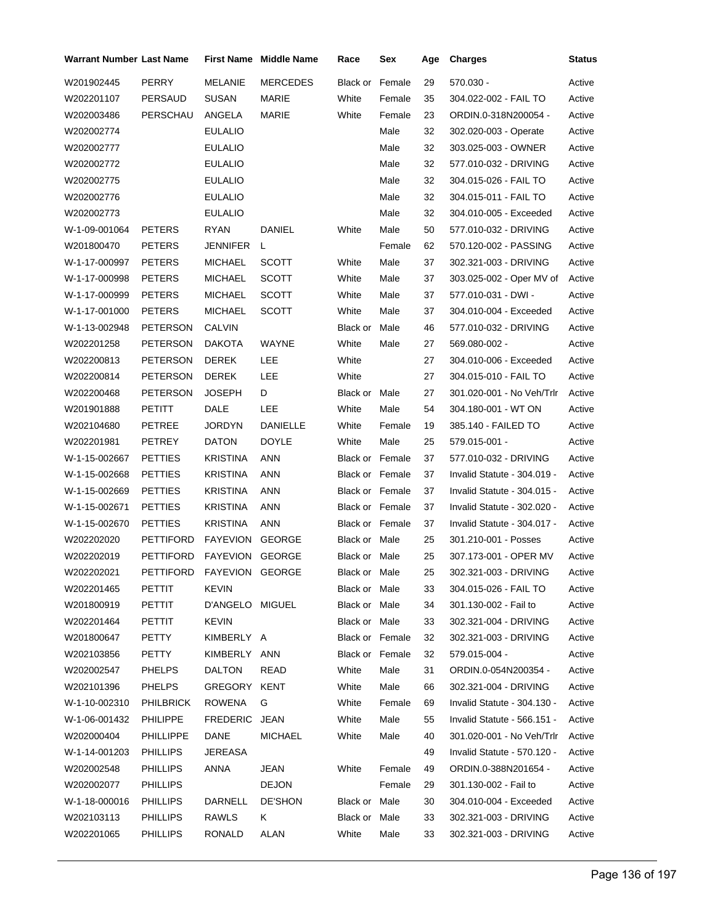| <b>Warrant Number Last Name</b> |                           |                 | <b>First Name</b> Middle Name | Race                   | Sex    | Age | <b>Charges</b>              | Status |
|---------------------------------|---------------------------|-----------------|-------------------------------|------------------------|--------|-----|-----------------------------|--------|
| W201902445                      | PERRY                     | <b>MELANIE</b>  | <b>MERCEDES</b>               | <b>Black or Female</b> |        | 29  | 570.030 -                   | Active |
| W202201107                      | PERSAUD                   | <b>SUSAN</b>    | MARIE                         | White                  | Female | 35  | 304.022-002 - FAIL TO       | Active |
| W202003486                      | PERSCHAU                  | ANGELA          | MARIE                         | White                  | Female | 23  | ORDIN.0-318N200054 -        | Active |
| W202002774                      |                           | <b>EULALIO</b>  |                               |                        | Male   | 32  | 302.020-003 - Operate       | Active |
| W202002777                      |                           | <b>EULALIO</b>  |                               |                        | Male   | 32  | 303.025-003 - OWNER         | Active |
| W202002772                      |                           | <b>EULALIO</b>  |                               |                        | Male   | 32  | 577.010-032 - DRIVING       | Active |
| W202002775                      |                           | <b>EULALIO</b>  |                               |                        | Male   | 32  | 304.015-026 - FAIL TO       | Active |
| W202002776                      |                           | <b>EULALIO</b>  |                               |                        | Male   | 32  | 304.015-011 - FAIL TO       | Active |
| W202002773                      |                           | <b>EULALIO</b>  |                               |                        | Male   | 32  | 304.010-005 - Exceeded      | Active |
| W-1-09-001064                   | <b>PETERS</b>             | <b>RYAN</b>     | DANIEL                        | White                  | Male   | 50  | 577.010-032 - DRIVING       | Active |
| W201800470                      | <b>PETERS</b>             | JENNIFER        | L                             |                        | Female | 62  | 570.120-002 - PASSING       | Active |
| W-1-17-000997                   | <b>PETERS</b>             | <b>MICHAEL</b>  | <b>SCOTT</b>                  | White                  | Male   | 37  | 302.321-003 - DRIVING       | Active |
| W-1-17-000998                   | <b>PETERS</b>             | <b>MICHAEL</b>  | <b>SCOTT</b>                  | White                  | Male   | 37  | 303.025-002 - Oper MV of    | Active |
| W-1-17-000999                   | <b>PETERS</b>             | <b>MICHAEL</b>  | <b>SCOTT</b>                  | White                  | Male   | 37  | 577.010-031 - DWI -         | Active |
| W-1-17-001000                   | <b>PETERS</b>             | <b>MICHAEL</b>  | <b>SCOTT</b>                  | White                  | Male   | 37  | 304.010-004 - Exceeded      | Active |
| W-1-13-002948                   | <b>PETERSON</b>           | <b>CALVIN</b>   |                               | Black or               | Male   | 46  | 577.010-032 - DRIVING       | Active |
| W202201258                      | <b>PETERSON</b>           | <b>DAKOTA</b>   | WAYNE                         | White                  | Male   | 27  | 569.080-002 -               | Active |
| W202200813                      | <b>PETERSON</b>           | <b>DEREK</b>    | LEE                           | White                  |        | 27  | 304.010-006 - Exceeded      | Active |
| W202200814                      | <b>PETERSON</b>           | <b>DEREK</b>    | LEE                           | White                  |        | 27  | 304.015-010 - FAIL TO       | Active |
| W202200468                      | <b>PETERSON</b>           | JOSEPH          | D                             | Black or Male          |        | 27  | 301.020-001 - No Veh/Trlr   | Active |
| W201901888                      | PETITT                    | DALE            | LEE                           | White                  | Male   | 54  | 304.180-001 - WT ON         | Active |
| W202104680                      | PETREE                    | <b>JORDYN</b>   | DANIELLE                      | White                  | Female | 19  | 385.140 - FAILED TO         | Active |
| W202201981                      | PETREY                    | <b>DATON</b>    | <b>DOYLE</b>                  | White                  | Male   | 25  | 579.015-001 -               | Active |
| W-1-15-002667                   | <b>PETTIES</b>            | <b>KRISTINA</b> | ANN                           | <b>Black or Female</b> |        | 37  | 577.010-032 - DRIVING       | Active |
| W-1-15-002668                   | <b>PETTIES</b>            | <b>KRISTINA</b> | ANN                           | Black or Female        |        | 37  | Invalid Statute - 304.019 - | Active |
| W-1-15-002669                   | <b>PETTIES</b>            | KRISTINA        | ANN                           | Black or Female        |        | 37  | Invalid Statute - 304.015 - | Active |
| W-1-15-002671                   | <b>PETTIES</b>            | KRISTINA        | ANN                           | Black or Female        |        | 37  | Invalid Statute - 302.020 - | Active |
| W-1-15-002670                   | <b>PETTIES</b>            | <b>KRISTINA</b> | ANN                           | Black or Female        |        | 37  | Invalid Statute - 304.017 - | Active |
| W202202020                      | <b>PETTIFORD</b>          | FAYEVION        | <b>GEORGE</b>                 | Black or Male          |        | 25  | 301.210-001 - Posses        | Active |
| W202202019                      | <b>PETTIFORD</b>          | FAYEVION        | <b>GEORGE</b>                 | Black or Male          |        | 25  | 307.173-001 - OPER MV       | Active |
| W202202021                      | PETTIFORD FAYEVION GEORGE |                 |                               | Black or Male          |        | 25  | 302.321-003 - DRIVING       | Active |
| W202201465                      | PETTIT                    | <b>KEVIN</b>    |                               | Black or Male          |        | 33  | 304.015-026 - FAIL TO       | Active |
| W201800919                      | PETTIT                    | D'ANGELO MIGUEL |                               | Black or Male          |        | 34  | 301.130-002 - Fail to       | Active |
| W202201464                      | PETTIT                    | <b>KEVIN</b>    |                               | Black or Male          |        | 33  | 302.321-004 - DRIVING       | Active |
| W201800647                      | PETTY                     | KIMBERLY A      |                               | Black or Female        |        | 32  | 302.321-003 - DRIVING       | Active |
| W202103856                      | PETTY                     | KIMBERLY ANN    |                               | Black or Female        |        | 32  | 579.015-004 -               | Active |
| W202002547                      | <b>PHELPS</b>             | <b>DALTON</b>   | READ                          | White                  | Male   | 31  | ORDIN.0-054N200354 -        | Active |
| W202101396                      | <b>PHELPS</b>             | GREGORY KENT    |                               | White                  | Male   | 66  | 302.321-004 - DRIVING       | Active |
| W-1-10-002310                   | <b>PHILBRICK</b>          | ROWENA          | G                             | White                  | Female | 69  | Invalid Statute - 304.130 - | Active |
| W-1-06-001432                   | <b>PHILIPPE</b>           | FREDERIC JEAN   |                               | White                  | Male   | 55  | Invalid Statute - 566.151 - | Active |
| W202000404                      | PHILLIPPE                 | DANE            | <b>MICHAEL</b>                | White                  | Male   | 40  | 301.020-001 - No Veh/Trlr   | Active |
| W-1-14-001203                   | <b>PHILLIPS</b>           | JEREASA         |                               |                        |        | 49  | Invalid Statute - 570.120 - | Active |
| W202002548                      | <b>PHILLIPS</b>           | ANNA            | JEAN                          | White                  | Female | 49  | ORDIN.0-388N201654 -        | Active |
| W202002077                      | <b>PHILLIPS</b>           |                 | <b>DEJON</b>                  |                        | Female | 29  | 301.130-002 - Fail to       | Active |
| W-1-18-000016                   | <b>PHILLIPS</b>           | DARNELL         | DE'SHON                       | Black or Male          |        | 30  | 304.010-004 - Exceeded      | Active |
| W202103113                      | <b>PHILLIPS</b>           | RAWLS           | K.                            | Black or Male          |        | 33  | 302.321-003 - DRIVING       | Active |
| W202201065                      | <b>PHILLIPS</b>           | RONALD          | ALAN                          | White                  | Male   | 33  | 302.321-003 - DRIVING       | Active |
|                                 |                           |                 |                               |                        |        |     |                             |        |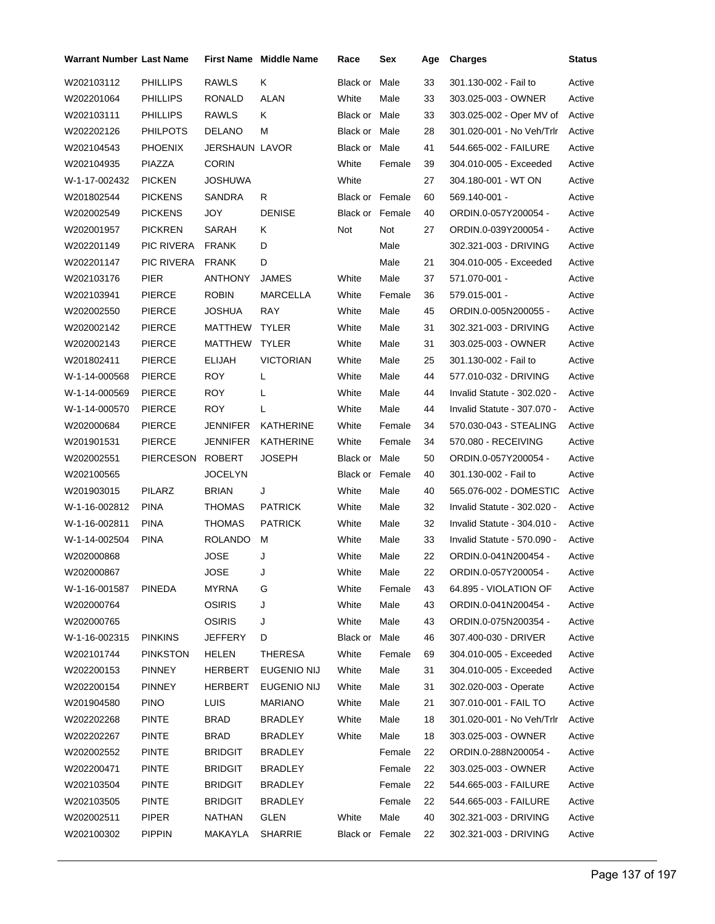| Warrant Number Last Name |                 |                | <b>First Name</b> Middle Name | Race                   | Sex    | Age | <b>Charges</b>              | Status |
|--------------------------|-----------------|----------------|-------------------------------|------------------------|--------|-----|-----------------------------|--------|
| W202103112               | <b>PHILLIPS</b> | <b>RAWLS</b>   | Κ                             | Black or               | Male   | 33  | 301.130-002 - Fail to       | Active |
| W202201064               | <b>PHILLIPS</b> | <b>RONALD</b>  | ALAN                          | White                  | Male   | 33  | 303.025-003 - OWNER         | Active |
| W202103111               | <b>PHILLIPS</b> | RAWLS          | Κ                             | Black or Male          |        | 33  | 303.025-002 - Oper MV of    | Active |
| W202202126               | <b>PHILPOTS</b> | <b>DELANO</b>  | М                             | Black or Male          |        | 28  | 301.020-001 - No Veh/Trlr   | Active |
| W202104543               | <b>PHOENIX</b>  | JERSHAUN LAVOR |                               | Black or Male          |        | 41  | 544.665-002 - FAILURE       | Active |
| W202104935               | PIAZZA          | <b>CORIN</b>   |                               | White                  | Female | 39  | 304.010-005 - Exceeded      | Active |
| W-1-17-002432            | <b>PICKEN</b>   | JOSHUWA        |                               | White                  |        | 27  | 304.180-001 - WT ON         | Active |
| W201802544               | <b>PICKENS</b>  | <b>SANDRA</b>  | R                             | <b>Black or Female</b> |        | 60  | 569.140-001 -               | Active |
| W202002549               | <b>PICKENS</b>  | JOY            | <b>DENISE</b>                 | <b>Black or Female</b> |        | 40  | ORDIN.0-057Y200054 -        | Active |
| W202001957               | <b>PICKREN</b>  | SARAH          | Κ                             | Not                    | Not    | 27  | ORDIN.0-039Y200054 -        | Active |
| W202201149               | PIC RIVERA      | <b>FRANK</b>   | D                             |                        | Male   |     | 302.321-003 - DRIVING       | Active |
| W202201147               | PIC RIVERA      | <b>FRANK</b>   | D                             |                        | Male   | 21  | 304.010-005 - Exceeded      | Active |
| W202103176               | <b>PIER</b>     | ANTHONY        | JAMES                         | White                  | Male   | 37  | 571.070-001 -               | Active |
| W202103941               | <b>PIERCE</b>   | <b>ROBIN</b>   | MARCELLA                      | White                  | Female | 36  | 579.015-001 -               | Active |
| W202002550               | <b>PIERCE</b>   | JOSHUA         | RAY                           | White                  | Male   | 45  | ORDIN.0-005N200055 -        | Active |
| W202002142               | <b>PIERCE</b>   | MATTHEW        | <b>TYLER</b>                  | White                  | Male   | 31  | 302.321-003 - DRIVING       | Active |
| W202002143               | <b>PIERCE</b>   | <b>MATTHEW</b> | <b>TYLER</b>                  | White                  | Male   | 31  | 303.025-003 - OWNER         | Active |
| W201802411               | <b>PIERCE</b>   | ELIJAH         | <b>VICTORIAN</b>              | White                  | Male   | 25  | 301.130-002 - Fail to       | Active |
| W-1-14-000568            | <b>PIERCE</b>   | ROY            | L                             | White                  | Male   | 44  | 577.010-032 - DRIVING       | Active |
| W-1-14-000569            | <b>PIERCE</b>   | <b>ROY</b>     | L                             | White                  | Male   | 44  | Invalid Statute - 302.020 - | Active |
| W-1-14-000570            | <b>PIERCE</b>   | ROY            | L                             | White                  | Male   | 44  | Invalid Statute - 307.070 - | Active |
| W202000684               | <b>PIERCE</b>   | JENNIFER       | KATHERINE                     | White                  | Female | 34  | 570.030-043 - STEALING      | Active |
| W201901531               | <b>PIERCE</b>   | JENNIFER       | <b>KATHERINE</b>              | White                  | Female | 34  | 570.080 - RECEIVING         | Active |
| W202002551               | PIERCESON       | <b>ROBERT</b>  | JOSEPH                        | Black or Male          |        | 50  | ORDIN.0-057Y200054 -        | Active |
| W202100565               |                 | JOCELYN        |                               | Black or Female        |        | 40  | 301.130-002 - Fail to       | Active |
| W201903015               | PILARZ          | <b>BRIAN</b>   | J                             | White                  | Male   | 40  | 565.076-002 - DOMESTIC      | Active |
| W-1-16-002812            | <b>PINA</b>     | THOMAS         | <b>PATRICK</b>                | White                  | Male   | 32  | Invalid Statute - 302.020 - | Active |
| W-1-16-002811            | <b>PINA</b>     | THOMAS         | <b>PATRICK</b>                | White                  | Male   | 32  | Invalid Statute - 304.010 - | Active |
| W-1-14-002504            | <b>PINA</b>     | ROLANDO        | М                             | White                  | Male   | 33  | Invalid Statute - 570.090 - | Active |
| W202000868               |                 | JOSE           | J                             | White                  | Male   | 22  | ORDIN.0-041N200454 -        | Active |
| W202000867               |                 | JOSE           | J                             | White                  | Male   | 22  | ORDIN.0-057Y200054 -        | Active |
| W-1-16-001587            | <b>PINEDA</b>   | MYRNA          | G                             | White                  | Female | 43  | 64.895 - VIOLATION OF       | Active |
| W202000764               |                 | <b>OSIRIS</b>  | J                             | White                  | Male   | 43  | ORDIN.0-041N200454 -        | Active |
| W202000765               |                 | <b>OSIRIS</b>  | J                             | White                  | Male   | 43  | ORDIN.0-075N200354 -        | Active |
| W-1-16-002315            | <b>PINKINS</b>  | JEFFERY        | D                             | Black or Male          |        | 46  | 307.400-030 - DRIVER        | Active |
| W202101744               | <b>PINKSTON</b> | HELEN          | <b>THERESA</b>                | White                  | Female | 69  | 304.010-005 - Exceeded      | Active |
| W202200153               | <b>PINNEY</b>   | HERBERT        | EUGENIO NIJ                   | White                  | Male   | 31  | 304.010-005 - Exceeded      | Active |
| W202200154               | <b>PINNEY</b>   | <b>HERBERT</b> | EUGENIO NIJ                   | White                  | Male   | 31  | 302.020-003 - Operate       | Active |
| W201904580               | <b>PINO</b>     | <b>LUIS</b>    | <b>MARIANO</b>                | White                  | Male   | 21  | 307.010-001 - FAIL TO       | Active |
| W202202268               | <b>PINTE</b>    | <b>BRAD</b>    | BRADLEY                       | White                  | Male   | 18  | 301.020-001 - No Veh/Trlr   | Active |
| W202202267               | <b>PINTE</b>    | <b>BRAD</b>    | <b>BRADLEY</b>                | White                  | Male   | 18  | 303.025-003 - OWNER         | Active |
| W202002552               | <b>PINTE</b>    | BRIDGIT        | <b>BRADLEY</b>                |                        | Female | 22  | ORDIN.0-288N200054 -        | Active |
| W202200471               | <b>PINTE</b>    | <b>BRIDGIT</b> | <b>BRADLEY</b>                |                        | Female | 22  | 303.025-003 - OWNER         | Active |
| W202103504               | <b>PINTE</b>    | <b>BRIDGIT</b> | <b>BRADLEY</b>                |                        | Female | 22  | 544.665-003 - FAILURE       | Active |
| W202103505               | <b>PINTE</b>    | BRIDGIT        | BRADLEY                       |                        | Female | 22  | 544.665-003 - FAILURE       | Active |
| W202002511               | PIPER           | NATHAN         | <b>GLEN</b>                   | White                  | Male   | 40  | 302.321-003 - DRIVING       | Active |
| W202100302               | <b>PIPPIN</b>   | MAKAYLA        | <b>SHARRIE</b>                | Black or Female        |        | 22  | 302.321-003 - DRIVING       | Active |
|                          |                 |                |                               |                        |        |     |                             |        |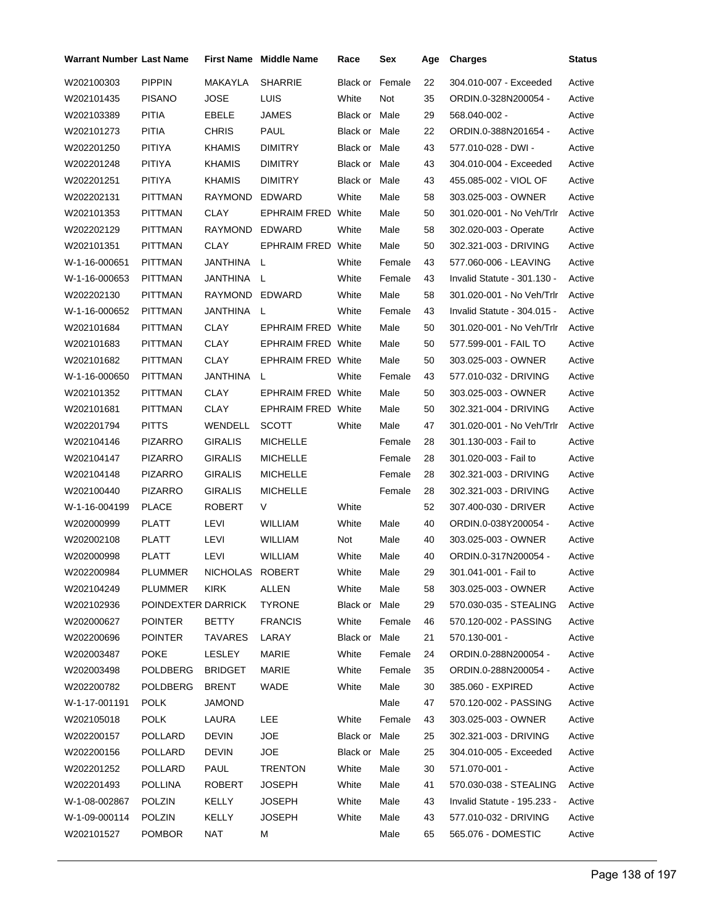| Warrant Number Last Name |                    |                 | First Name Middle Name    | Race          | Sex    | Age | <b>Charges</b>              | <b>Status</b> |
|--------------------------|--------------------|-----------------|---------------------------|---------------|--------|-----|-----------------------------|---------------|
| W202100303               | <b>PIPPIN</b>      | MAKAYLA         | <b>SHARRIE</b>            | Black or      | Female | 22  | 304.010-007 - Exceeded      | Active        |
| W202101435               | <b>PISANO</b>      | <b>JOSE</b>     | LUIS                      | White         | Not    | 35  | ORDIN.0-328N200054 -        | Active        |
| W202103389               | PITIA              | EBELE           | <b>JAMES</b>              | Black or Male |        | 29  | 568.040-002 -               | Active        |
| W202101273               | PITIA              | <b>CHRIS</b>    | <b>PAUL</b>               | Black or Male |        | 22  | ORDIN.0-388N201654 -        | Active        |
| W202201250               | PITIYA             | KHAMIS          | <b>DIMITRY</b>            | Black or Male |        | 43  | 577.010-028 - DWI -         | Active        |
| W202201248               | PITIYA             | KHAMIS          | <b>DIMITRY</b>            | Black or Male |        | 43  | 304.010-004 - Exceeded      | Active        |
| W202201251               | PITIYA             | KHAMIS          | <b>DIMITRY</b>            | Black or Male |        | 43  | 455.085-002 - VIOL OF       | Active        |
| W202202131               | PITTMAN            | RAYMOND         | <b>EDWARD</b>             | White         | Male   | 58  | 303.025-003 - OWNER         | Active        |
| W202101353               | PITTMAN            | CLAY            | <b>EPHRAIM FRED White</b> |               | Male   | 50  | 301.020-001 - No Veh/Trlr   | Active        |
| W202202129               | <b>PITTMAN</b>     | RAYMOND         | EDWARD                    | White         | Male   | 58  | 302.020-003 - Operate       | Active        |
| W202101351               | PITTMAN            | <b>CLAY</b>     | <b>EPHRAIM FRED White</b> |               | Male   | 50  | 302.321-003 - DRIVING       | Active        |
| W-1-16-000651            | PITTMAN            | JANTHINA L      |                           | White         | Female | 43  | 577.060-006 - LEAVING       | Active        |
| W-1-16-000653            | <b>PITTMAN</b>     | JANTHINA        | - L                       | White         | Female | 43  | Invalid Statute - 301.130 - | Active        |
| W202202130               | <b>PITTMAN</b>     | RAYMOND EDWARD  |                           | White         | Male   | 58  | 301.020-001 - No Veh/Trlr   | Active        |
| W-1-16-000652            | PITTMAN            | JANTHINA        | L                         | White         | Female | 43  | Invalid Statute - 304.015 - | Active        |
| W202101684               | <b>PITTMAN</b>     | CLAY            | <b>EPHRAIM FRED White</b> |               | Male   | 50  | 301.020-001 - No Veh/Trlr   | Active        |
| W202101683               | PITTMAN            | <b>CLAY</b>     | <b>EPHRAIM FRED White</b> |               | Male   | 50  | 577.599-001 - FAIL TO       | Active        |
| W202101682               | <b>PITTMAN</b>     | CLAY            | <b>EPHRAIM FRED White</b> |               | Male   | 50  | 303.025-003 - OWNER         | Active        |
| W-1-16-000650            | <b>PITTMAN</b>     | JANTHINA        | L                         | White         | Female | 43  | 577.010-032 - DRIVING       | Active        |
| W202101352               | PITTMAN            | CLAY            | <b>EPHRAIM FRED White</b> |               | Male   | 50  | 303.025-003 - OWNER         | Active        |
| W202101681               | PITTMAN            | CLAY            | <b>EPHRAIM FRED White</b> |               | Male   | 50  | 302.321-004 - DRIVING       | Active        |
| W202201794               | <b>PITTS</b>       | WENDELL         | <b>SCOTT</b>              | White         | Male   | 47  | 301.020-001 - No Veh/Trlr   | Active        |
| W202104146               | <b>PIZARRO</b>     | <b>GIRALIS</b>  | <b>MICHELLE</b>           |               | Female | 28  | 301.130-003 - Fail to       | Active        |
| W202104147               | <b>PIZARRO</b>     | GIRALIS         | <b>MICHELLE</b>           |               | Female | 28  | 301.020-003 - Fail to       | Active        |
| W202104148               | <b>PIZARRO</b>     | <b>GIRALIS</b>  | <b>MICHELLE</b>           |               | Female | 28  | 302.321-003 - DRIVING       | Active        |
| W202100440               | <b>PIZARRO</b>     | <b>GIRALIS</b>  | <b>MICHELLE</b>           |               | Female | 28  | 302.321-003 - DRIVING       | Active        |
| W-1-16-004199            | <b>PLACE</b>       | ROBERT          | V                         | White         |        | 52  | 307.400-030 - DRIVER        | Active        |
| W202000999               | PLATT              | LEVI            | <b>WILLIAM</b>            | White         | Male   | 40  | ORDIN.0-038Y200054 -        | Active        |
| W202002108               | PLATT              | LEVI            | <b>WILLIAM</b>            | Not           | Male   | 40  | 303.025-003 - OWNER         | Active        |
| W202000998               | <b>PLATT</b>       | LEVI            | WILLIAM                   | White         | Male   | 40  | ORDIN.0-317N200054 -        | Active        |
| W202200984               | PLUMMER            | NICHOLAS ROBERT |                           | White         | Male   | 29  | 301.041-001 - Fail to       | Active        |
| W202104249               | <b>PLUMMER</b>     | <b>KIRK</b>     | ALLEN                     | White         | Male   | 58  | 303.025-003 - OWNER         | Active        |
| W202102936               | POINDEXTER DARRICK |                 | <b>TYRONE</b>             | Black or Male |        | 29  | 570.030-035 - STEALING      | Active        |
| W202000627               | <b>POINTER</b>     | <b>BETTY</b>    | <b>FRANCIS</b>            | White         | Female | 46  | 570.120-002 - PASSING       | Active        |
| W202200696               | POINTER            | <b>TAVARES</b>  | LARAY                     | Black or Male |        | 21  | 570.130-001 -               | Active        |
| W202003487               | <b>POKE</b>        | <b>LESLEY</b>   | MARIE                     | White         | Female | 24  | ORDIN.0-288N200054 -        | Active        |
| W202003498               | POLDBERG           | <b>BRIDGET</b>  | MARIE                     | White         | Female | 35  | ORDIN.0-288N200054 -        | Active        |
| W202200782               | POLDBERG           | <b>BRENT</b>    | WADE                      | White         | Male   | 30  | 385.060 - EXPIRED           | Active        |
| W-1-17-001191            | <b>POLK</b>        | JAMOND          |                           |               | Male   | 47  | 570.120-002 - PASSING       | Active        |
| W202105018               | <b>POLK</b>        | LAURA           | LEE                       | White         | Female | 43  | 303.025-003 - OWNER         | Active        |
| W202200157               | POLLARD            | <b>DEVIN</b>    | <b>JOE</b>                | Black or Male |        | 25  | 302.321-003 - DRIVING       | Active        |
| W202200156               | POLLARD            | <b>DEVIN</b>    | <b>JOE</b>                | Black or Male |        | 25  | 304.010-005 - Exceeded      | Active        |
| W202201252               | POLLARD            | PAUL            | <b>TRENTON</b>            | White         | Male   | 30  | 571.070-001 -               | Active        |
| W202201493               | POLLINA            | ROBERT          | <b>JOSEPH</b>             | White         | Male   | 41  | 570.030-038 - STEALING      | Active        |
| W-1-08-002867            | POLZIN             | KELLY           | JOSEPH                    | White         | Male   | 43  | Invalid Statute - 195.233 - | Active        |
| W-1-09-000114            | <b>POLZIN</b>      | <b>KELLY</b>    | <b>JOSEPH</b>             | White         | Male   | 43  | 577.010-032 - DRIVING       | Active        |
| W202101527               | <b>POMBOR</b>      | NAT             | М                         |               | Male   | 65  | 565.076 - DOMESTIC          | Active        |
|                          |                    |                 |                           |               |        |     |                             |               |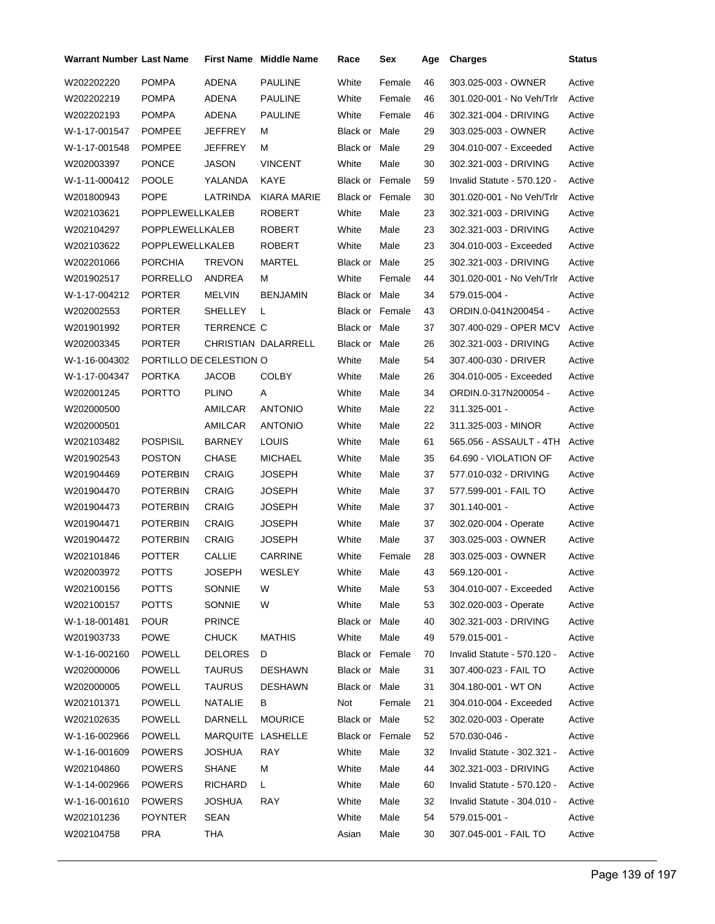| Warrant Number Last Name |                         |                   | <b>First Name</b> Middle Name | Race                   | Sex    | Age | <b>Charges</b>              | Status |
|--------------------------|-------------------------|-------------------|-------------------------------|------------------------|--------|-----|-----------------------------|--------|
| W202202220               | <b>POMPA</b>            | <b>ADENA</b>      | <b>PAULINE</b>                | White                  | Female | 46  | 303.025-003 - OWNER         | Active |
| W202202219               | <b>POMPA</b>            | ADENA             | <b>PAULINE</b>                | White                  | Female | 46  | 301.020-001 - No Veh/Trlr   | Active |
| W202202193               | <b>POMPA</b>            | ADENA             | <b>PAULINE</b>                | White                  | Female | 46  | 302.321-004 - DRIVING       | Active |
| W-1-17-001547            | <b>POMPEE</b>           | JEFFREY           | М                             | Black or Male          |        | 29  | 303.025-003 - OWNER         | Active |
| W-1-17-001548            | <b>POMPEE</b>           | JEFFREY           | м                             | Black or Male          |        | 29  | 304.010-007 - Exceeded      | Active |
| W202003397               | <b>PONCE</b>            | <b>JASON</b>      | <b>VINCENT</b>                | White                  | Male   | 30  | 302.321-003 - DRIVING       | Active |
| W-1-11-000412            | <b>POOLE</b>            | YALANDA           | KAYE                          | <b>Black or Female</b> |        | 59  | Invalid Statute - 570.120 - | Active |
| W201800943               | <b>POPE</b>             | LATRINDA          | <b>KIARA MARIE</b>            | <b>Black or Female</b> |        | 30  | 301.020-001 - No Veh/Trlr   | Active |
| W202103621               | <b>POPPLEWELLKALEB</b>  |                   | <b>ROBERT</b>                 | White                  | Male   | 23  | 302.321-003 - DRIVING       | Active |
| W202104297               | POPPLEWELLKALEB         |                   | <b>ROBERT</b>                 | White                  | Male   | 23  | 302.321-003 - DRIVING       | Active |
| W202103622               | POPPLEWELLKALEB         |                   | <b>ROBERT</b>                 | White                  | Male   | 23  | 304.010-003 - Exceeded      | Active |
| W202201066               | <b>PORCHIA</b>          | <b>TREVON</b>     | MARTEL                        | Black or Male          |        | 25  | 302.321-003 - DRIVING       | Active |
| W201902517               | <b>PORRELLO</b>         | ANDREA            | м                             | White                  | Female | 44  | 301.020-001 - No Veh/Trlr   | Active |
| W-1-17-004212            | <b>PORTER</b>           | <b>MELVIN</b>     | <b>BENJAMIN</b>               | Black or Male          |        | 34  | 579.015-004 -               | Active |
| W202002553               | <b>PORTER</b>           | SHELLEY           | L                             | <b>Black or Female</b> |        | 43  | ORDIN.0-041N200454 -        | Active |
| W201901992               | <b>PORTER</b>           | <b>TERRENCE C</b> |                               | Black or Male          |        | 37  | 307.400-029 - OPER MCV      | Active |
| W202003345               | <b>PORTER</b>           |                   | CHRISTIAN DALARRELL           | Black or Male          |        | 26  | 302.321-003 - DRIVING       | Active |
| W-1-16-004302            | PORTILLO DE CELESTION O |                   |                               | White                  | Male   | 54  | 307.400-030 - DRIVER        | Active |
| W-1-17-004347            | <b>PORTKA</b>           | JACOB             | <b>COLBY</b>                  | White                  | Male   | 26  | 304.010-005 - Exceeded      | Active |
| W202001245               | <b>PORTTO</b>           | <b>PLINO</b>      | Α                             | White                  | Male   | 34  | ORDIN.0-317N200054 -        | Active |
| W202000500               |                         | AMILCAR           | <b>ANTONIO</b>                | White                  | Male   | 22  | 311.325-001 -               | Active |
| W202000501               |                         | AMILCAR           | <b>ANTONIO</b>                | White                  | Male   | 22  | 311.325-003 - MINOR         | Active |
| W202103482               | <b>POSPISIL</b>         | <b>BARNEY</b>     | LOUIS                         | White                  | Male   | 61  | 565.056 - ASSAULT - 4TH     | Active |
| W201902543               | <b>POSTON</b>           | CHASE             | <b>MICHAEL</b>                | White                  | Male   | 35  | 64.690 - VIOLATION OF       | Active |
| W201904469               | <b>POTERBIN</b>         | <b>CRAIG</b>      | JOSEPH                        | White                  | Male   | 37  | 577.010-032 - DRIVING       | Active |
| W201904470               | <b>POTERBIN</b>         | <b>CRAIG</b>      | <b>JOSEPH</b>                 | White                  | Male   | 37  | 577.599-001 - FAIL TO       | Active |
| W201904473               | <b>POTERBIN</b>         | CRAIG             | JOSEPH                        | White                  | Male   | 37  | 301.140-001 -               | Active |
| W201904471               | <b>POTERBIN</b>         | <b>CRAIG</b>      | JOSEPH                        | White                  | Male   | 37  | 302.020-004 - Operate       | Active |
| W201904472               | <b>POTERBIN</b>         | <b>CRAIG</b>      | JOSEPH                        | White                  | Male   | 37  | 303.025-003 - OWNER         | Active |
| W202101846               | <b>POTTER</b>           | <b>CALLIE</b>     | <b>CARRINE</b>                | White                  | Female | 28  | 303.025-003 - OWNER         | Active |
| W202003972               | <b>POTTS</b>            | JOSEPH            | WESLEY                        | White                  | Male   | 43  | 569.120-001 -               | Active |
| W202100156               | <b>POTTS</b>            | SONNIE            | W                             | White                  | Male   | 53  | 304.010-007 - Exceeded      | Active |
| W202100157               | <b>POTTS</b>            | SONNIE            | W                             | White                  | Male   | 53  | 302.020-003 - Operate       | Active |
| W-1-18-001481            | <b>POUR</b>             | <b>PRINCE</b>     |                               | Black or Male          |        | 40  | 302.321-003 - DRIVING       | Active |
| W201903733               | <b>POWE</b>             | <b>CHUCK</b>      | <b>MATHIS</b>                 | White                  | Male   | 49  | 579.015-001 -               | Active |
| W-1-16-002160            | <b>POWELL</b>           | <b>DELORES</b>    | D                             | Black or Female        |        | 70  | Invalid Statute - 570.120 - | Active |
| W202000006               | <b>POWELL</b>           | <b>TAURUS</b>     | <b>DESHAWN</b>                | Black or Male          |        | 31  | 307.400-023 - FAIL TO       | Active |
| W202000005               | <b>POWELL</b>           | <b>TAURUS</b>     | <b>DESHAWN</b>                | Black or Male          |        | 31  | 304.180-001 - WT ON         | Active |
| W202101371               | <b>POWELL</b>           | NATALIE           | B                             | Not                    | Female | 21  | 304.010-004 - Exceeded      | Active |
| W202102635               | <b>POWELL</b>           | DARNELL           | <b>MOURICE</b>                | Black or Male          |        | 52  | 302.020-003 - Operate       | Active |
| W-1-16-002966            | <b>POWELL</b>           | MARQUITE LASHELLE |                               | Black or Female        |        | 52  | 570.030-046 -               | Active |
| W-1-16-001609            | POWERS                  | JOSHUA            | RAY                           | White                  | Male   | 32  | Invalid Statute - 302.321 - | Active |
| W202104860               | <b>POWERS</b>           | SHANE             | м                             | White                  | Male   | 44  | 302.321-003 - DRIVING       | Active |
| W-1-14-002966            | <b>POWERS</b>           | RICHARD           | L.                            | White                  | Male   | 60  | Invalid Statute - 570.120 - | Active |
| W-1-16-001610            | <b>POWERS</b>           | JOSHUA            | <b>RAY</b>                    | White                  | Male   | 32  | Invalid Statute - 304.010 - | Active |
| W202101236               | <b>POYNTER</b>          | SEAN              |                               | White                  | Male   | 54  | 579.015-001 -               | Active |
| W202104758               | PRA                     | <b>THA</b>        |                               | Asian                  | Male   | 30  | 307.045-001 - FAIL TO       | Active |
|                          |                         |                   |                               |                        |        |     |                             |        |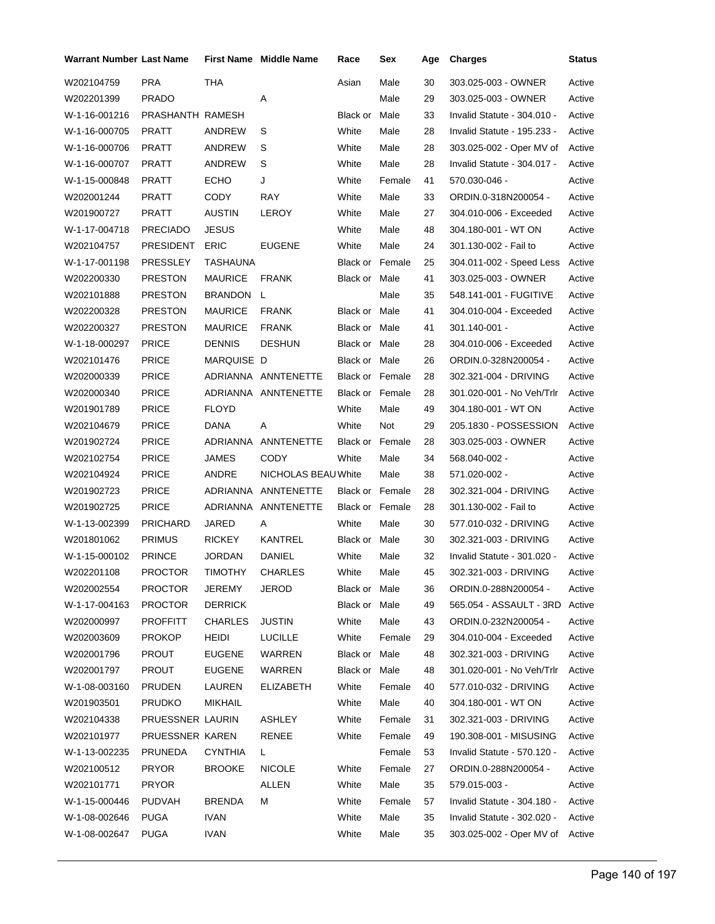| Warrant Number Last Name |                  |                | <b>First Name</b> Middle Name | Race                   | Sex    | Age | <b>Charges</b>                  | <b>Status</b> |
|--------------------------|------------------|----------------|-------------------------------|------------------------|--------|-----|---------------------------------|---------------|
| W202104759               | <b>PRA</b>       | <b>THA</b>     |                               | Asian                  | Male   | 30  | 303.025-003 - OWNER             | Active        |
| W202201399               | <b>PRADO</b>     |                | A                             |                        | Male   | 29  | 303.025-003 - OWNER             | Active        |
| W-1-16-001216            | PRASHANTH RAMESH |                |                               | Black or               | Male   | 33  | Invalid Statute - 304.010 -     | Active        |
| W-1-16-000705            | PRATT            | <b>ANDREW</b>  | S                             | White                  | Male   | 28  | Invalid Statute - 195.233 -     | Active        |
| W-1-16-000706            | PRATT            | ANDREW         | S                             | White                  | Male   | 28  | 303.025-002 - Oper MV of        | Active        |
| W-1-16-000707            | PRATT            | ANDREW         | S                             | White                  | Male   | 28  | Invalid Statute - 304.017 -     | Active        |
| W-1-15-000848            | PRATT            | <b>ECHO</b>    | J                             | White                  | Female | 41  | 570.030-046 -                   | Active        |
| W202001244               | <b>PRATT</b>     | CODY           | RAY                           | White                  | Male   | 33  | ORDIN.0-318N200054 -            | Active        |
| W201900727               | PRATT            | <b>AUSTIN</b>  | LEROY                         | White                  | Male   | 27  | 304.010-006 - Exceeded          | Active        |
| W-1-17-004718            | <b>PRECIADO</b>  | <b>JESUS</b>   |                               | White                  | Male   | 48  | 304.180-001 - WT ON             | Active        |
| W202104757               | <b>PRESIDENT</b> | <b>ERIC</b>    | <b>EUGENE</b>                 | White                  | Male   | 24  | 301.130-002 - Fail to           | Active        |
| W-1-17-001198            | PRESSLEY         | TASHAUNA       |                               | <b>Black or Female</b> |        | 25  | 304.011-002 - Speed Less        | Active        |
| W202200330               | <b>PRESTON</b>   | <b>MAURICE</b> | <b>FRANK</b>                  | Black or Male          |        | 41  | 303.025-003 - OWNER             | Active        |
| W202101888               | <b>PRESTON</b>   | BRANDON L      |                               |                        | Male   | 35  | 548.141-001 - FUGITIVE          | Active        |
| W202200328               | PRESTON          | <b>MAURICE</b> | <b>FRANK</b>                  | Black or Male          |        | 41  | 304.010-004 - Exceeded          | Active        |
| W202200327               | <b>PRESTON</b>   | <b>MAURICE</b> | <b>FRANK</b>                  | Black or Male          |        | 41  | 301.140-001 -                   | Active        |
| W-1-18-000297            | <b>PRICE</b>     | <b>DENNIS</b>  | <b>DESHUN</b>                 | Black or Male          |        | 28  | 304.010-006 - Exceeded          | Active        |
| W202101476               | <b>PRICE</b>     | MARQUISE D     |                               | Black or Male          |        | 26  | ORDIN.0-328N200054 -            | Active        |
| W202000339               | <b>PRICE</b>     |                | ADRIANNA ANNTENETTE           | Black or Female        |        | 28  | 302.321-004 - DRIVING           | Active        |
| W202000340               | <b>PRICE</b>     |                | ADRIANNA ANNTENETTE           | <b>Black or Female</b> |        | 28  | 301.020-001 - No Veh/Trlr       | Active        |
| W201901789               | <b>PRICE</b>     | <b>FLOYD</b>   |                               | White                  | Male   | 49  | 304.180-001 - WT ON             | Active        |
| W202104679               | <b>PRICE</b>     | DANA           | Α                             | White                  | Not    | 29  | 205.1830 - POSSESSION           | Active        |
| W201902724               | <b>PRICE</b>     |                | ADRIANNA ANNTENETTE           | Black or Female        |        | 28  | 303.025-003 - OWNER             | Active        |
| W202102754               | <b>PRICE</b>     | <b>JAMES</b>   | <b>CODY</b>                   | White                  | Male   | 34  | 568.040-002 -                   | Active        |
| W202104924               | <b>PRICE</b>     | ANDRE          | NICHOLAS BEAU White           |                        | Male   | 38  | 571.020-002 -                   | Active        |
| W201902723               | <b>PRICE</b>     |                | ADRIANNA ANNTENETTE           | Black or Female        |        | 28  | 302.321-004 - DRIVING           | Active        |
| W201902725               | <b>PRICE</b>     |                | ADRIANNA ANNTENETTE           | <b>Black or Female</b> |        | 28  | 301.130-002 - Fail to           | Active        |
| W-1-13-002399            | <b>PRICHARD</b>  | JARED          | Α                             | White                  | Male   | 30  | 577.010-032 - DRIVING           | Active        |
| W201801062               | <b>PRIMUS</b>    | <b>RICKEY</b>  | KANTREL                       | Black or Male          |        | 30  | 302.321-003 - DRIVING           | Active        |
| W-1-15-000102            | <b>PRINCE</b>    | <b>JORDAN</b>  | DANIEL                        | White                  | Male   | 32  | Invalid Statute - 301.020 -     | Active        |
| W202201108               | <b>PROCTOR</b>   | TIMOTHY        | <b>CHARLES</b>                | White                  | Male   | 45  | 302.321-003 - DRIVING           | Active        |
| W202002554               | <b>PROCTOR</b>   | <b>JEREMY</b>  | <b>JEROD</b>                  | Black or Male          |        | 36  | ORDIN.0-288N200054 -            | Active        |
| W-1-17-004163            | <b>PROCTOR</b>   | <b>DERRICK</b> |                               | Black or Male          |        | 49  | 565.054 - ASSAULT - 3RD         | Active        |
| W202000997               | <b>PROFFITT</b>  | <b>CHARLES</b> | <b>JUSTIN</b>                 | White                  | Male   | 43  | ORDIN.0-232N200054 -            | Active        |
| W202003609               | <b>PROKOP</b>    | <b>HEIDI</b>   | <b>LUCILLE</b>                | White                  | Female | 29  | 304.010-004 - Exceeded          | Active        |
| W202001796               | PROUT            | <b>EUGENE</b>  | <b>WARREN</b>                 | Black or Male          |        | 48  | 302.321-003 - DRIVING           | Active        |
| W202001797               | <b>PROUT</b>     | <b>EUGENE</b>  | WARREN                        | Black or Male          |        | 48  | 301.020-001 - No Veh/Trlr       | Active        |
| W-1-08-003160            | <b>PRUDEN</b>    | LAUREN         | <b>ELIZABETH</b>              | White                  | Female | 40  | 577.010-032 - DRIVING           | Active        |
| W201903501               | <b>PRUDKO</b>    | <b>MIKHAIL</b> |                               | White                  | Male   | 40  | 304.180-001 - WT ON             | Active        |
| W202104338               | PRUESSNER LAURIN |                | ASHLEY                        | White                  | Female | 31  | 302.321-003 - DRIVING           | Active        |
| W202101977               | PRUESSNER KAREN  |                | RENEE                         | White                  | Female | 49  | 190.308-001 - MISUSING          | Active        |
| W-1-13-002235            | PRUNEDA          | CYNTHIA        | L.                            |                        | Female | 53  | Invalid Statute - 570.120 -     | Active        |
| W202100512               | <b>PRYOR</b>     | <b>BROOKE</b>  | <b>NICOLE</b>                 | White                  | Female | 27  | ORDIN.0-288N200054 -            | Active        |
| W202101771               | <b>PRYOR</b>     |                | <b>ALLEN</b>                  | White                  | Male   | 35  | 579.015-003 -                   | Active        |
| W-1-15-000446            | <b>PUDVAH</b>    | <b>BRENDA</b>  | м                             | White                  | Female | 57  | Invalid Statute - 304.180 -     | Active        |
| W-1-08-002646            | PUGA             | <b>IVAN</b>    |                               | White                  | Male   | 35  | Invalid Statute - 302.020 -     | Active        |
| W-1-08-002647            | PUGA             | <b>IVAN</b>    |                               | White                  | Male   | 35  | 303.025-002 - Oper MV of Active |               |
|                          |                  |                |                               |                        |        |     |                                 |               |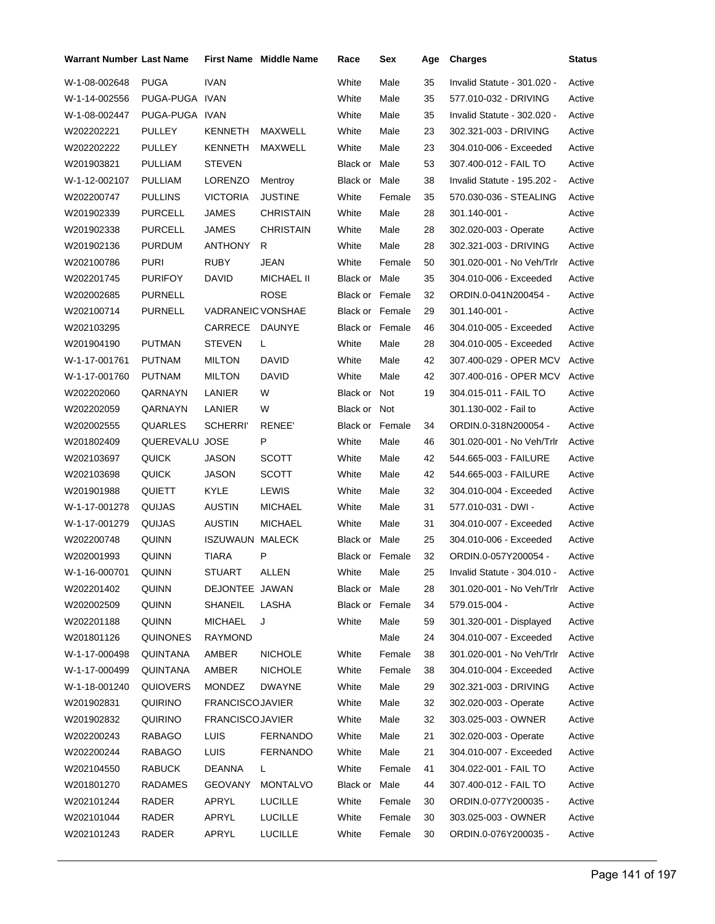| <b>Warrant Number Last Name</b> |                |                          | <b>First Name Middle Name</b> | Race                   | Sex    | Age | <b>Charges</b>              | Status |
|---------------------------------|----------------|--------------------------|-------------------------------|------------------------|--------|-----|-----------------------------|--------|
| W-1-08-002648                   | <b>PUGA</b>    | <b>IVAN</b>              |                               | White                  | Male   | 35  | Invalid Statute - 301.020 - | Active |
| W-1-14-002556                   | PUGA-PUGA IVAN |                          |                               | White                  | Male   | 35  | 577.010-032 - DRIVING       | Active |
| W-1-08-002447                   | PUGA-PUGA IVAN |                          |                               | White                  | Male   | 35  | Invalid Statute - 302.020 - | Active |
| W202202221                      | PULLEY         | <b>KENNETH</b>           | MAXWELL                       | White                  | Male   | 23  | 302.321-003 - DRIVING       | Active |
| W202202222                      | PULLEY         | <b>KENNETH</b>           | MAXWELL                       | White                  | Male   | 23  | 304.010-006 - Exceeded      | Active |
| W201903821                      | <b>PULLIAM</b> | <b>STEVEN</b>            |                               | <b>Black or Male</b>   |        | 53  | 307.400-012 - FAIL TO       | Active |
| W-1-12-002107                   | <b>PULLIAM</b> | LORENZO                  | Mentroy                       | <b>Black or Male</b>   |        | 38  | Invalid Statute - 195.202 - | Active |
| W202200747                      | <b>PULLINS</b> | <b>VICTORIA</b>          | JUSTINE                       | White                  | Female | 35  | 570.030-036 - STEALING      | Active |
| W201902339                      | <b>PURCELL</b> | <b>JAMES</b>             | CHRISTAIN                     | White                  | Male   | 28  | $301.140 - 001 -$           | Active |
| W201902338                      | <b>PURCELL</b> | <b>JAMES</b>             | <b>CHRISTAIN</b>              | White                  | Male   | 28  | 302.020-003 - Operate       | Active |
| W201902136                      | <b>PURDUM</b>  | <b>ANTHONY</b>           | R                             | White                  | Male   | 28  | 302.321-003 - DRIVING       | Active |
| W202100786                      | <b>PURI</b>    | <b>RUBY</b>              | JEAN                          | White                  | Female | 50  | 301.020-001 - No Veh/Trlr   | Active |
| W202201745                      | <b>PURIFOY</b> | DAVID                    | <b>MICHAEL II</b>             | Black or Male          |        | 35  | 304.010-006 - Exceeded      | Active |
| W202002685                      | <b>PURNELL</b> |                          | <b>ROSE</b>                   | <b>Black or Female</b> |        | 32  | ORDIN.0-041N200454 -        | Active |
| W202100714                      | <b>PURNELL</b> | <b>VADRANEIC VONSHAE</b> |                               | <b>Black or Female</b> |        | 29  | $301.140 - 001 -$           | Active |
| W202103295                      |                | CARRECE                  | <b>DAUNYE</b>                 | Black or Female        |        | 46  | 304.010-005 - Exceeded      | Active |
| W201904190                      | <b>PUTMAN</b>  | <b>STEVEN</b>            | L                             | White                  | Male   | 28  | 304.010-005 - Exceeded      | Active |
| W-1-17-001761                   | <b>PUTNAM</b>  | <b>MILTON</b>            | DAVID                         | White                  | Male   | 42  | 307.400-029 - OPER MCV      | Active |
| W-1-17-001760                   | <b>PUTNAM</b>  | <b>MILTON</b>            | <b>DAVID</b>                  | White                  | Male   | 42  | 307.400-016 - OPER MCV      | Active |
| W202202060                      | QARNAYN        | LANIER                   | W                             | Black or Not           |        | 19  | 304.015-011 - FAIL TO       | Active |
| W202202059                      | QARNAYN        | LANIER                   | W                             | Black or Not           |        |     | 301.130-002 - Fail to       | Active |
| W202002555                      | QUARLES        | <b>SCHERRI'</b>          | RENEE'                        | Black or Female        |        | 34  | ORDIN.0-318N200054 -        | Active |
| W201802409                      | QUEREVALU      | JOSE                     | P                             | White                  | Male   | 46  | 301.020-001 - No Veh/Trlr   | Active |
| W202103697                      | <b>QUICK</b>   | <b>JASON</b>             | <b>SCOTT</b>                  | White                  | Male   | 42  | 544.665-003 - FAILURE       | Active |
| W202103698                      | <b>QUICK</b>   | <b>JASON</b>             | <b>SCOTT</b>                  | White                  | Male   | 42  | 544.665-003 - FAILURE       | Active |
| W201901988                      | <b>QUIETT</b>  | <b>KYLE</b>              | <b>LEWIS</b>                  | White                  | Male   | 32  | 304.010-004 - Exceeded      | Active |
| W-1-17-001278                   | QUIJAS         | <b>AUSTIN</b>            | <b>MICHAEL</b>                | White                  | Male   | 31  | 577.010-031 - DWI -         | Active |
| W-1-17-001279                   | QUIJAS         | <b>AUSTIN</b>            | <b>MICHAEL</b>                | White                  | Male   | 31  | 304.010-007 - Exceeded      | Active |
| W202200748                      | QUINN          | ISZUWAUN                 | <b>MALECK</b>                 | <b>Black or Male</b>   |        | 25  | 304.010-006 - Exceeded      | Active |
| W202001993                      | <b>QUINN</b>   | <b>TIARA</b>             | P                             | <b>Black or Female</b> |        | 32  | ORDIN.0-057Y200054 -        | Active |
| W-1-16-000701                   | QUINN          | STUART                   | ALLEN                         | White                  | Male   | 25  | Invalid Statute - 304.010 - | Active |
| W202201402                      | QUINN          | DEJONTEE JAWAN           |                               | Black or Male          |        | 28  | 301.020-001 - No Veh/Trlr   | Active |
| W202002509                      | <b>QUINN</b>   | SHANEIL                  | LASHA                         | <b>Black or Female</b> |        | 34  | 579.015-004 -               | Active |
| W202201188                      | <b>QUINN</b>   | <b>MICHAEL</b>           | J                             | White                  | Male   | 59  | 301.320-001 - Displayed     | Active |
| W201801126                      | QUINONES       | <b>RAYMOND</b>           |                               |                        | Male   | 24  | 304.010-007 - Exceeded      | Active |
| W-1-17-000498                   | QUINTANA       | AMBER                    | <b>NICHOLE</b>                | White                  | Female | 38  | 301.020-001 - No Veh/Trlr   | Active |
| W-1-17-000499                   | QUINTANA       | AMBER                    | <b>NICHOLE</b>                | White                  | Female | 38  | 304.010-004 - Exceeded      | Active |
| W-1-18-001240                   | QUIOVERS       | <b>MONDEZ</b>            | <b>DWAYNE</b>                 | White                  | Male   | 29  | 302.321-003 - DRIVING       | Active |
| W201902831                      | <b>QUIRINO</b> | <b>FRANCISCOJAVIER</b>   |                               | White                  | Male   | 32  | 302.020-003 - Operate       | Active |
| W201902832                      | <b>QUIRINO</b> | <b>FRANCISCOJAVIER</b>   |                               | White                  | Male   | 32  | 303.025-003 - OWNER         | Active |
| W202200243                      | <b>RABAGO</b>  | <b>LUIS</b>              | <b>FERNANDO</b>               | White                  | Male   | 21  | 302.020-003 - Operate       | Active |
| W202200244                      | <b>RABAGO</b>  | <b>LUIS</b>              | <b>FERNANDO</b>               | White                  | Male   | 21  | 304.010-007 - Exceeded      | Active |
| W202104550                      | <b>RABUCK</b>  | <b>DEANNA</b>            | L                             | White                  | Female | 41  | 304.022-001 - FAIL TO       | Active |
| W201801270                      | RADAMES        | <b>GEOVANY</b>           | <b>MONTALVO</b>               | Black or               | Male   | 44  | 307.400-012 - FAIL TO       | Active |
| W202101244                      | RADER          | APRYL                    | <b>LUCILLE</b>                | White                  | Female | 30  | ORDIN.0-077Y200035 -        | Active |
| W202101044                      | RADER          | APRYL                    | <b>LUCILLE</b>                | White                  | Female | 30  | 303.025-003 - OWNER         | Active |
| W202101243                      | RADER          | APRYL                    | <b>LUCILLE</b>                | White                  | Female | 30  | ORDIN.0-076Y200035 -        | Active |
|                                 |                |                          |                               |                        |        |     |                             |        |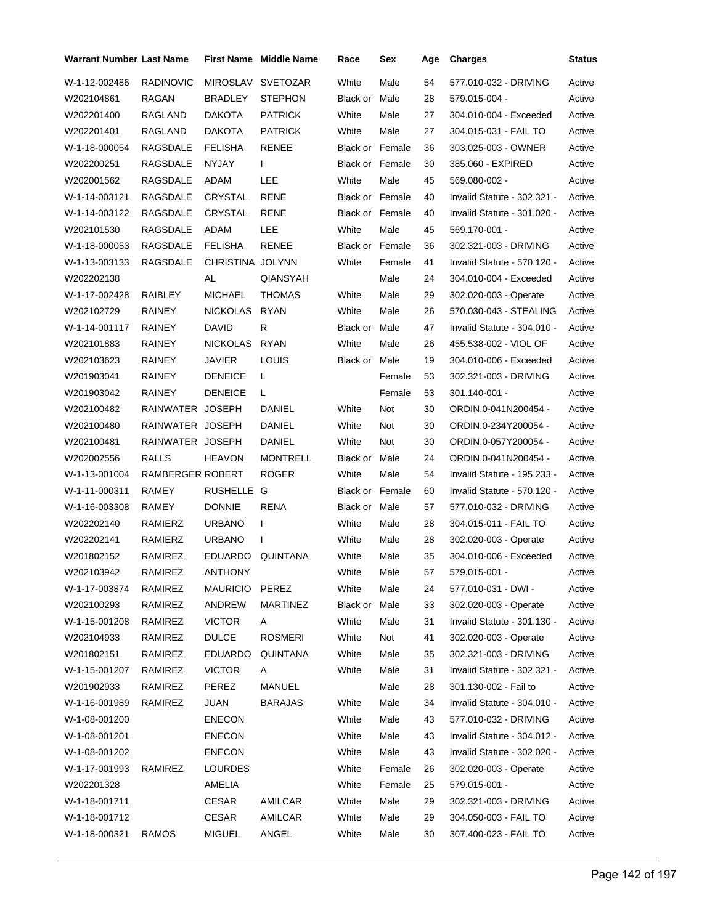| <b>Warrant Number Last Name</b> |                  |                  | <b>First Name Middle Name</b> | Race                   | Sex    | Age | <b>Charges</b>              | <b>Status</b> |
|---------------------------------|------------------|------------------|-------------------------------|------------------------|--------|-----|-----------------------------|---------------|
| W-1-12-002486                   | <b>RADINOVIC</b> | MIROSLAV         | <b>SVETOZAR</b>               | White                  | Male   | 54  | 577.010-032 - DRIVING       | Active        |
| W202104861                      | RAGAN            | <b>BRADLEY</b>   | <b>STEPHON</b>                | Black or               | Male   | 28  | 579.015-004 -               | Active        |
| W202201400                      | RAGLAND          | <b>DAKOTA</b>    | <b>PATRICK</b>                | White                  | Male   | 27  | 304.010-004 - Exceeded      | Active        |
| W202201401                      | <b>RAGLAND</b>   | <b>DAKOTA</b>    | <b>PATRICK</b>                | White                  | Male   | 27  | 304.015-031 - FAIL TO       | Active        |
| W-1-18-000054                   | RAGSDALE         | <b>FELISHA</b>   | RENEE                         | <b>Black or Female</b> |        | 36  | 303.025-003 - OWNER         | Active        |
| W202200251                      | RAGSDALE         | <b>NYJAY</b>     | L                             | <b>Black or Female</b> |        | 30  | 385.060 - EXPIRED           | Active        |
| W202001562                      | RAGSDALE         | ADAM             | LEE                           | White                  | Male   | 45  | 569.080-002 -               | Active        |
| W-1-14-003121                   | RAGSDALE         | CRYSTAL          | <b>RENE</b>                   | Black or Female        |        | 40  | Invalid Statute - 302.321 - | Active        |
| W-1-14-003122                   | RAGSDALE         | CRYSTAL          | <b>RENE</b>                   | Black or Female        |        | 40  | Invalid Statute - 301.020 - | Active        |
| W202101530                      | RAGSDALE         | ADAM             | LEE                           | White                  | Male   | 45  | 569.170-001 -               | Active        |
| W-1-18-000053                   | RAGSDALE         | <b>FELISHA</b>   | RENEE                         | <b>Black or Female</b> |        | 36  | 302.321-003 - DRIVING       | Active        |
| W-1-13-003133                   | RAGSDALE         | CHRISTINA JOLYNN |                               | White                  | Female | 41  | Invalid Statute - 570.120 - | Active        |
| W202202138                      |                  | AL               | QIANSYAH                      |                        | Male   | 24  | 304.010-004 - Exceeded      | Active        |
| W-1-17-002428                   | RAIBLEY          | <b>MICHAEL</b>   | <b>THOMAS</b>                 | White                  | Male   | 29  | 302.020-003 - Operate       | Active        |
| W202102729                      | <b>RAINEY</b>    | <b>NICKOLAS</b>  | <b>RYAN</b>                   | White                  | Male   | 26  | 570.030-043 - STEALING      | Active        |
| W-1-14-001117                   | RAINEY           | <b>DAVID</b>     | R                             | Black or Male          |        | 47  | Invalid Statute - 304.010 - | Active        |
| W202101883                      | RAINEY           | <b>NICKOLAS</b>  | <b>RYAN</b>                   | White                  | Male   | 26  | 455.538-002 - VIOL OF       | Active        |
| W202103623                      | <b>RAINEY</b>    | <b>JAVIER</b>    | LOUIS                         | <b>Black or Male</b>   |        | 19  | 304.010-006 - Exceeded      | Active        |
| W201903041                      | RAINEY           | <b>DENEICE</b>   | L                             |                        | Female | 53  | 302.321-003 - DRIVING       | Active        |
| W201903042                      | <b>RAINEY</b>    | <b>DENEICE</b>   | L                             |                        | Female | 53  | 301.140-001 -               | Active        |
| W202100482                      | RAINWATER JOSEPH |                  | DANIEL                        | White                  | Not    | 30  | ORDIN.0-041N200454 -        | Active        |
| W202100480                      | RAINWATER JOSEPH |                  | DANIEL                        | White                  | Not    | 30  | ORDIN.0-234Y200054 -        | Active        |
| W202100481                      | RAINWATER JOSEPH |                  | DANIEL                        | White                  | Not    | 30  | ORDIN.0-057Y200054 -        | Active        |
| W202002556                      | <b>RALLS</b>     | <b>HEAVON</b>    | <b>MONTRELL</b>               | Black or Male          |        | 24  | ORDIN.0-041N200454 -        | Active        |
| W-1-13-001004                   | RAMBERGER ROBERT |                  | <b>ROGER</b>                  | White                  | Male   | 54  | Invalid Statute - 195.233 - | Active        |
| W-1-11-000311                   | RAMEY            | RUSHELLE G       |                               | Black or Female        |        | 60  | Invalid Statute - 570.120 - | Active        |
| W-1-16-003308                   | RAMEY            | <b>DONNIE</b>    | RENA                          | <b>Black or Male</b>   |        | 57  | 577.010-032 - DRIVING       | Active        |
| W202202140                      | RAMIERZ          | <b>URBANO</b>    | L                             | White                  | Male   | 28  | 304.015-011 - FAIL TO       | Active        |
| W202202141                      | RAMIERZ          | <b>URBANO</b>    | $\mathbf{I}$                  | White                  | Male   | 28  | 302.020-003 - Operate       | Active        |
| W201802152                      | <b>RAMIREZ</b>   | <b>EDUARDO</b>   | <b>QUINTANA</b>               | White                  | Male   | 35  | 304.010-006 - Exceeded      | Active        |
| W202103942                      | RAMIREZ          | ANTHONY          |                               | White                  | Male   | 57  | 579.015-001 -               | Active        |
| W-1-17-003874                   | RAMIREZ          | MAURICIO PEREZ   |                               | White                  | Male   | 24  | 577.010-031 - DWI -         | Active        |
| W202100293                      | RAMIREZ          | ANDREW           | <b>MARTINEZ</b>               | Black or Male          |        | 33  | 302.020-003 - Operate       | Active        |
| W-1-15-001208                   | RAMIREZ          | <b>VICTOR</b>    | A                             | White                  | Male   | 31  | Invalid Statute - 301.130 - | Active        |
| W202104933                      | RAMIREZ          | <b>DULCE</b>     | <b>ROSMERI</b>                | White                  | Not    | 41  | 302.020-003 - Operate       | Active        |
| W201802151                      | RAMIREZ          | <b>EDUARDO</b>   | QUINTANA                      | White                  | Male   | 35  | 302.321-003 - DRIVING       | Active        |
| W-1-15-001207                   | RAMIREZ          | <b>VICTOR</b>    | A                             | White                  | Male   | 31  | Invalid Statute - 302.321 - | Active        |
| W201902933                      | RAMIREZ          | PEREZ            | <b>MANUEL</b>                 |                        | Male   | 28  | 301.130-002 - Fail to       | Active        |
| W-1-16-001989                   | RAMIREZ          | JUAN             | <b>BARAJAS</b>                | White                  | Male   | 34  | Invalid Statute - 304.010 - | Active        |
| W-1-08-001200                   |                  | <b>ENECON</b>    |                               | White                  | Male   | 43  | 577.010-032 - DRIVING       | Active        |
| W-1-08-001201                   |                  | <b>ENECON</b>    |                               | White                  | Male   | 43  | Invalid Statute - 304.012 - | Active        |
| W-1-08-001202                   |                  | <b>ENECON</b>    |                               | White                  | Male   | 43  | Invalid Statute - 302.020 - | Active        |
| W-1-17-001993                   | RAMIREZ          | LOURDES          |                               | White                  | Female | 26  | 302.020-003 - Operate       | Active        |
| W202201328                      |                  | AMELIA           |                               | White                  | Female | 25  | 579.015-001 -               | Active        |
| W-1-18-001711                   |                  | CESAR            | AMILCAR                       | White                  | Male   | 29  | 302.321-003 - DRIVING       | Active        |
| W-1-18-001712                   |                  | CESAR            | AMILCAR                       | White                  | Male   | 29  | 304.050-003 - FAIL TO       | Active        |
| W-1-18-000321                   | RAMOS            | <b>MIGUEL</b>    | ANGEL                         | White                  | Male   | 30  | 307.400-023 - FAIL TO       | Active        |
|                                 |                  |                  |                               |                        |        |     |                             |               |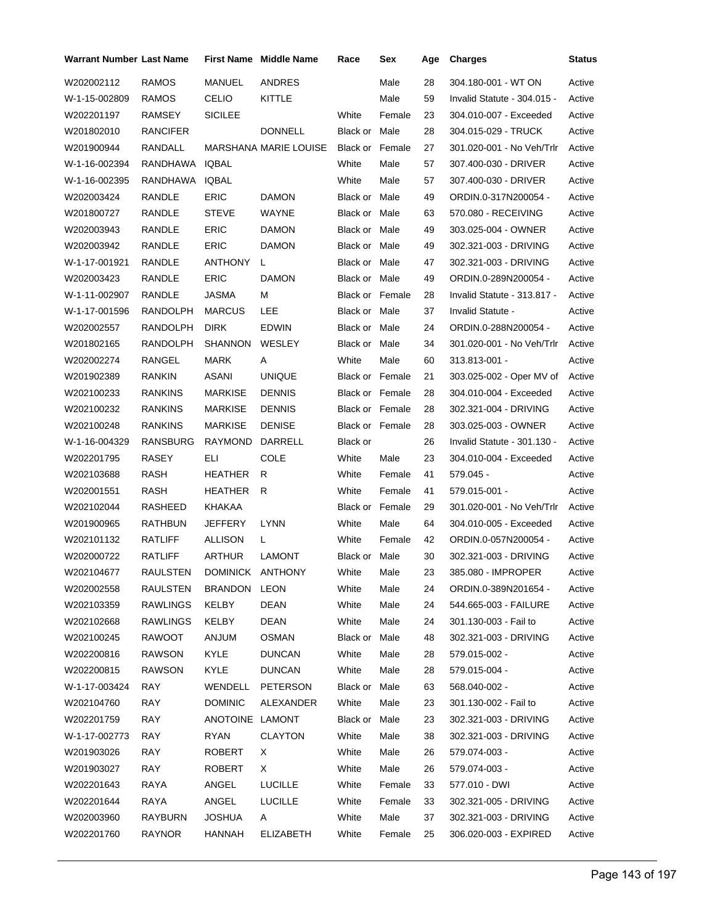| <b>Warrant Number Last Name</b> |                |                  | <b>First Name</b> Middle Name | Race                   | Sex    | Age | <b>Charges</b>              | Status |
|---------------------------------|----------------|------------------|-------------------------------|------------------------|--------|-----|-----------------------------|--------|
| W202002112                      | RAMOS          | <b>MANUEL</b>    | <b>ANDRES</b>                 |                        | Male   | 28  | 304.180-001 - WT ON         | Active |
| W-1-15-002809                   | RAMOS          | <b>CELIO</b>     | KITTLE                        |                        | Male   | 59  | Invalid Statute - 304.015 - | Active |
| W202201197                      | <b>RAMSEY</b>  | <b>SICILEE</b>   |                               | White                  | Female | 23  | 304.010-007 - Exceeded      | Active |
| W201802010                      | RANCIFER       |                  | <b>DONNELL</b>                | Black or Male          |        | 28  | 304.015-029 - TRUCK         | Active |
| W201900944                      | RANDALL        |                  | <b>MARSHANA MARIE LOUISE</b>  | Black or Female        |        | 27  | 301.020-001 - No Veh/Trlr   | Active |
| W-1-16-002394                   | RANDHAWA       | IQBAL            |                               | White                  | Male   | 57  | 307.400-030 - DRIVER        | Active |
| W-1-16-002395                   | RANDHAWA       | IQBAL            |                               | White                  | Male   | 57  | 307.400-030 - DRIVER        | Active |
| W202003424                      | RANDLE         | <b>ERIC</b>      | <b>DAMON</b>                  | Black or Male          |        | 49  | ORDIN.0-317N200054 -        | Active |
| W201800727                      | RANDLE         | <b>STEVE</b>     | WAYNE                         | Black or Male          |        | 63  | 570.080 - RECEIVING         | Active |
| W202003943                      | RANDLE         | <b>ERIC</b>      | <b>DAMON</b>                  | Black or Male          |        | 49  | 303.025-004 - OWNER         | Active |
| W202003942                      | RANDLE         | <b>ERIC</b>      | <b>DAMON</b>                  | Black or Male          |        | 49  | 302.321-003 - DRIVING       | Active |
| W-1-17-001921                   | RANDLE         | ANTHONY          | L.                            | Black or Male          |        | 47  | 302.321-003 - DRIVING       | Active |
| W202003423                      | RANDLE         | <b>ERIC</b>      | <b>DAMON</b>                  | Black or Male          |        | 49  | ORDIN.0-289N200054 -        | Active |
| W-1-11-002907                   | RANDLE         | <b>JASMA</b>     | м                             | <b>Black or Female</b> |        | 28  | Invalid Statute - 313.817 - | Active |
| W-1-17-001596                   | RANDOLPH       | <b>MARCUS</b>    | LEE                           | Black or Male          |        | 37  | Invalid Statute -           | Active |
| W202002557                      | RANDOLPH       | <b>DIRK</b>      | <b>EDWIN</b>                  | Black or Male          |        | 24  | ORDIN.0-288N200054 -        | Active |
| W201802165                      | RANDOLPH       | SHANNON          | WESLEY                        | Black or Male          |        | 34  | 301.020-001 - No Veh/Trlr   | Active |
| W202002274                      | RANGEL         | <b>MARK</b>      | A                             | White                  | Male   | 60  | 313.813-001 -               | Active |
| W201902389                      | RANKIN         | ASANI            | <b>UNIQUE</b>                 | Black or Female        |        | 21  | 303.025-002 - Oper MV of    | Active |
| W202100233                      | <b>RANKINS</b> | <b>MARKISE</b>   | <b>DENNIS</b>                 | <b>Black or Female</b> |        | 28  | 304.010-004 - Exceeded      | Active |
| W202100232                      | RANKINS        | <b>MARKISE</b>   | <b>DENNIS</b>                 | <b>Black or Female</b> |        | 28  | 302.321-004 - DRIVING       | Active |
| W202100248                      | RANKINS        | MARKISE          | <b>DENISE</b>                 | Black or Female        |        | 28  | 303.025-003 - OWNER         | Active |
| W-1-16-004329                   | RANSBURG       | <b>RAYMOND</b>   | DARRELL                       | Black or               |        | 26  | Invalid Statute - 301.130 - | Active |
| W202201795                      | <b>RASEY</b>   | EП               | <b>COLE</b>                   | White                  | Male   | 23  | 304.010-004 - Exceeded      | Active |
| W202103688                      | RASH           | HEATHER          | R                             | White                  | Female | 41  | 579.045 -                   | Active |
| W202001551                      | RASH           | HEATHER          | R                             | White                  | Female | 41  | 579.015-001 -               | Active |
| W202102044                      | RASHEED        | KHAKAA           |                               | Black or Female        |        | 29  | 301.020-001 - No Veh/Trlr   | Active |
| W201900965                      | RATHBUN        | JEFFERY          | <b>LYNN</b>                   | White                  | Male   | 64  | 304.010-005 - Exceeded      | Active |
| W202101132                      | RATLIFF        | ALLISON          | L                             | White                  | Female | 42  | ORDIN.0-057N200054 -        | Active |
| W202000722                      | RATLIFF        | <b>ARTHUR</b>    | <b>LAMONT</b>                 | Black or Male          |        | 30  | 302.321-003 - DRIVING       | Active |
| W202104677                      | RAULSTEN       | DOMINICK ANTHONY |                               | White                  | Male   | 23  | 385.080 - IMPROPER          | Active |
| W202002558                      | RAULSTEN       | BRANDON LEON     |                               | White                  | Male   | 24  | ORDIN.0-389N201654 -        | Active |
| W202103359                      | RAWLINGS       | KELBY            | DEAN                          | White                  | Male   | 24  | 544.665-003 - FAILURE       | Active |
| W202102668                      | RAWLINGS       | KELBY            | DEAN                          | White                  | Male   | 24  | 301.130-003 - Fail to       | Active |
| W202100245                      | RAWOOT         | <b>MULAA</b>     | OSMAN                         | Black or Male          |        | 48  | 302.321-003 - DRIVING       | Active |
| W202200816                      | <b>RAWSON</b>  | <b>KYLE</b>      | <b>DUNCAN</b>                 | White                  | Male   | 28  | 579.015-002 -               | Active |
| W202200815                      | RAWSON         | KYLE             | <b>DUNCAN</b>                 | White                  | Male   | 28  | 579.015-004 -               | Active |
| W-1-17-003424                   | RAY            | WENDELL          | <b>PETERSON</b>               | Black or Male          |        | 63  | 568.040-002 -               | Active |
| W202104760                      | RAY            | <b>DOMINIC</b>   | ALEXANDER                     | White                  | Male   | 23  | 301.130-002 - Fail to       | Active |
| W202201759                      | RAY            | ANOTOINE LAMONT  |                               | Black or Male          |        | 23  | 302.321-003 - DRIVING       | Active |
| W-1-17-002773                   | <b>RAY</b>     | RYAN             | <b>CLAYTON</b>                | White                  | Male   | 38  | 302.321-003 - DRIVING       | Active |
| W201903026                      | RAY            | <b>ROBERT</b>    | X.                            | White                  | Male   | 26  | 579.074-003 -               | Active |
| W201903027                      | RAY            | ROBERT           | X.                            | White                  | Male   | 26  | 579.074-003 -               | Active |
| W202201643                      | RAYA           | ANGEL            | <b>LUCILLE</b>                | White                  | Female | 33  | 577.010 - DWI               | Active |
| W202201644                      | RAYA           | ANGEL            | <b>LUCILLE</b>                | White                  | Female | 33  | 302.321-005 - DRIVING       | Active |
| W202003960                      | RAYBURN        | JOSHUA           | A                             | White                  | Male   | 37  | 302.321-003 - DRIVING       | Active |
| W202201760                      | RAYNOR         | HANNAH           | <b>ELIZABETH</b>              | White                  | Female | 25  | 306.020-003 - EXPIRED       | Active |
|                                 |                |                  |                               |                        |        |     |                             |        |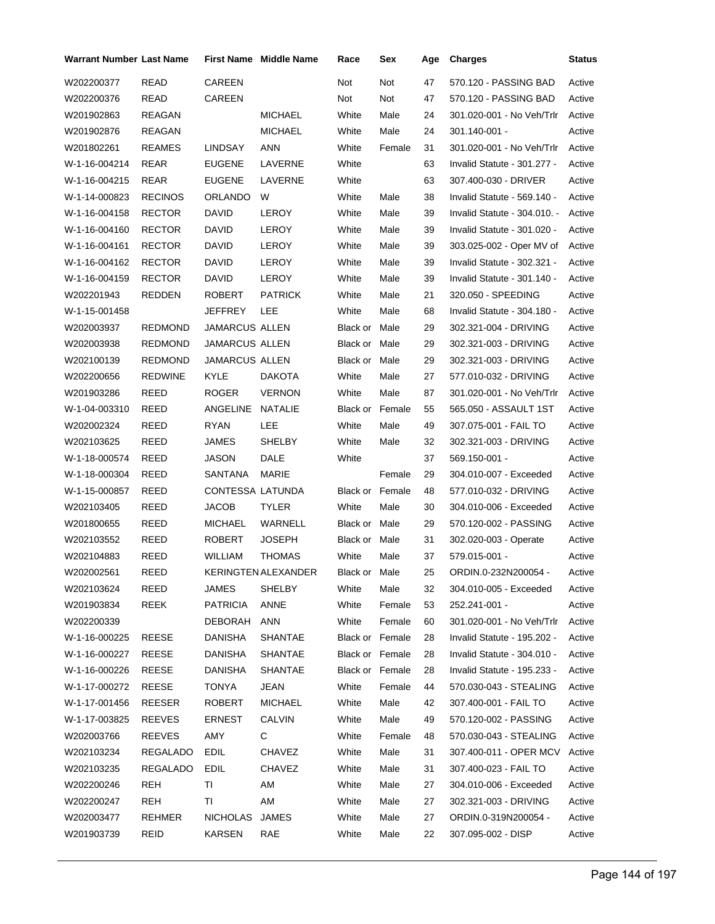| <b>Warrant Number Last Name</b> |                |                       | <b>First Name</b> Middle Name | Race                   | Sex    | Age | <b>Charges</b>               | <b>Status</b> |
|---------------------------------|----------------|-----------------------|-------------------------------|------------------------|--------|-----|------------------------------|---------------|
| W202200377                      | <b>READ</b>    | CAREEN                |                               | Not                    | Not    | 47  | 570.120 - PASSING BAD        | Active        |
| W202200376                      | READ           | CAREEN                |                               | Not                    | Not    | 47  | 570.120 - PASSING BAD        | Active        |
| W201902863                      | REAGAN         |                       | <b>MICHAEL</b>                | White                  | Male   | 24  | 301.020-001 - No Veh/Trlr    | Active        |
| W201902876                      | REAGAN         |                       | <b>MICHAEL</b>                | White                  | Male   | 24  | 301.140-001 -                | Active        |
| W201802261                      | <b>REAMES</b>  | LINDSAY               | ANN                           | White                  | Female | 31  | 301.020-001 - No Veh/Trlr    | Active        |
| W-1-16-004214                   | REAR           | <b>EUGENE</b>         | LAVERNE                       | White                  |        | 63  | Invalid Statute - 301.277 -  | Active        |
| W-1-16-004215                   | REAR           | <b>EUGENE</b>         | LAVERNE                       | White                  |        | 63  | 307.400-030 - DRIVER         | Active        |
| W-1-14-000823                   | <b>RECINOS</b> | <b>ORLANDO</b>        | W                             | White                  | Male   | 38  | Invalid Statute - 569.140 -  | Active        |
| W-1-16-004158                   | <b>RECTOR</b>  | DAVID                 | LEROY                         | White                  | Male   | 39  | Invalid Statute - 304.010. - | Active        |
| W-1-16-004160                   | <b>RECTOR</b>  | DAVID                 | LEROY                         | White                  | Male   | 39  | Invalid Statute - 301.020 -  | Active        |
| W-1-16-004161                   | <b>RECTOR</b>  | DAVID                 | <b>LEROY</b>                  | White                  | Male   | 39  | 303.025-002 - Oper MV of     | Active        |
| W-1-16-004162                   | <b>RECTOR</b>  | DAVID                 | LEROY                         | White                  | Male   | 39  | Invalid Statute - 302.321 -  | Active        |
| W-1-16-004159                   | <b>RECTOR</b>  | <b>DAVID</b>          | LEROY                         | White                  | Male   | 39  | Invalid Statute - 301.140 -  | Active        |
| W202201943                      | REDDEN         | <b>ROBERT</b>         | <b>PATRICK</b>                | White                  | Male   | 21  | 320.050 - SPEEDING           | Active        |
| W-1-15-001458                   |                | JEFFREY               | LEE                           | White                  | Male   | 68  | Invalid Statute - 304.180 -  | Active        |
| W202003937                      | <b>REDMOND</b> | <b>JAMARCUS ALLEN</b> |                               | Black or Male          |        | 29  | 302.321-004 - DRIVING        | Active        |
| W202003938                      | <b>REDMOND</b> | <b>JAMARCUS ALLEN</b> |                               | Black or Male          |        | 29  | 302.321-003 - DRIVING        | Active        |
| W202100139                      | <b>REDMOND</b> | <b>JAMARCUS ALLEN</b> |                               | Black or Male          |        | 29  | 302.321-003 - DRIVING        | Active        |
| W202200656                      | <b>REDWINE</b> | <b>KYLE</b>           | <b>DAKOTA</b>                 | White                  | Male   | 27  | 577.010-032 - DRIVING        | Active        |
| W201903286                      | REED           | <b>ROGER</b>          | <b>VERNON</b>                 | White                  | Male   | 87  | 301.020-001 - No Veh/Trlr    | Active        |
| W-1-04-003310                   | REED           | ANGELINE              | NATALIE                       | Black or Female        |        | 55  | 565.050 - ASSAULT 1ST        | Active        |
| W202002324                      | REED           | RYAN                  | LEE                           | White                  | Male   | 49  | 307.075-001 - FAIL TO        | Active        |
| W202103625                      | REED           | JAMES                 | SHELBY                        | White                  | Male   | 32  | 302.321-003 - DRIVING        | Active        |
| W-1-18-000574                   | REED           | JASON                 | DALE                          | White                  |        | 37  | 569.150-001 -                | Active        |
| W-1-18-000304                   | REED           | SANTANA               | MARIE                         |                        | Female | 29  | 304.010-007 - Exceeded       | Active        |
| W-1-15-000857                   | REED           | CONTESSA LATUNDA      |                               | <b>Black or Female</b> |        | 48  | 577.010-032 - DRIVING        | Active        |
| W202103405                      | REED           | <b>JACOB</b>          | <b>TYLER</b>                  | White                  | Male   | 30  | 304.010-006 - Exceeded       | Active        |
| W201800655                      | <b>REED</b>    | <b>MICHAEL</b>        | WARNELL                       | Black or Male          |        | 29  | 570.120-002 - PASSING        | Active        |
| W202103552                      | REED           | <b>ROBERT</b>         | JOSEPH                        | Black or Male          |        | 31  | 302.020-003 - Operate        | Active        |
| W202104883                      | REED           | WILLIAM               | <b>THOMAS</b>                 | White                  | Male   | 37  | 579.015-001 -                | Active        |
| W202002561                      | <b>REED</b>    |                       | KERINGTEN ALEXANDER           | Black or Male          |        | 25  | ORDIN.0-232N200054 -         | Active        |
| W202103624                      | REED           | JAMES                 | SHELBY                        | White                  | Male   | 32  | 304.010-005 - Exceeded       | Active        |
| W201903834                      | <b>REEK</b>    | <b>PATRICIA</b>       | <b>ANNE</b>                   | White                  | Female | 53  | 252.241-001 -                | Active        |
| W202200339                      |                | DEBORAH               | ANN                           | White                  | Female | 60  | 301.020-001 - No Veh/Trlr    | Active        |
| W-1-16-000225                   | REESE          | DANISHA               | <b>SHANTAE</b>                | <b>Black or Female</b> |        | 28  | Invalid Statute - 195.202 -  | Active        |
| W-1-16-000227                   | REESE          | DANISHA               | SHANTAE                       | Black or Female        |        | 28  | Invalid Statute - 304.010 -  | Active        |
| W-1-16-000226                   | REESE          | <b>DANISHA</b>        | SHANTAE                       | Black or Female        |        | 28  | Invalid Statute - 195.233 -  | Active        |
| W-1-17-000272                   | REESE          | TONYA                 | JEAN                          | White                  | Female | 44  | 570.030-043 - STEALING       | Active        |
| W-1-17-001456                   | <b>REESER</b>  | ROBERT                | <b>MICHAEL</b>                | White                  | Male   | 42  | 307.400-001 - FAIL TO        | Active        |
| W-1-17-003825                   | <b>REEVES</b>  | ERNEST                | <b>CALVIN</b>                 | White                  | Male   | 49  | 570.120-002 - PASSING        | Active        |
| W202003766                      | <b>REEVES</b>  | AMY                   | C                             | White                  | Female | 48  | 570.030-043 - STEALING       | Active        |
| W202103234                      | REGALADO       | <b>EDIL</b>           | <b>CHAVEZ</b>                 | White                  | Male   | 31  | 307.400-011 - OPER MCV       | Active        |
| W202103235                      | REGALADO       | EDIL                  | <b>CHAVEZ</b>                 | White                  | Male   | 31  | 307.400-023 - FAIL TO        | Active        |
| W202200246                      | <b>REH</b>     | ΤL                    | AM                            | White                  | Male   | 27  | 304.010-006 - Exceeded       | Active        |
| W202200247                      | REH            | ΤI                    | AM                            | White                  | Male   | 27  | 302.321-003 - DRIVING        | Active        |
| W202003477                      | <b>REHMER</b>  | NICHOLAS JAMES        |                               | White                  | Male   | 27  | ORDIN.0-319N200054 -         | Active        |
| W201903739                      | REID           | KARSEN                | RAE                           | White                  | Male   | 22  | 307.095-002 - DISP           | Active        |
|                                 |                |                       |                               |                        |        |     |                              |               |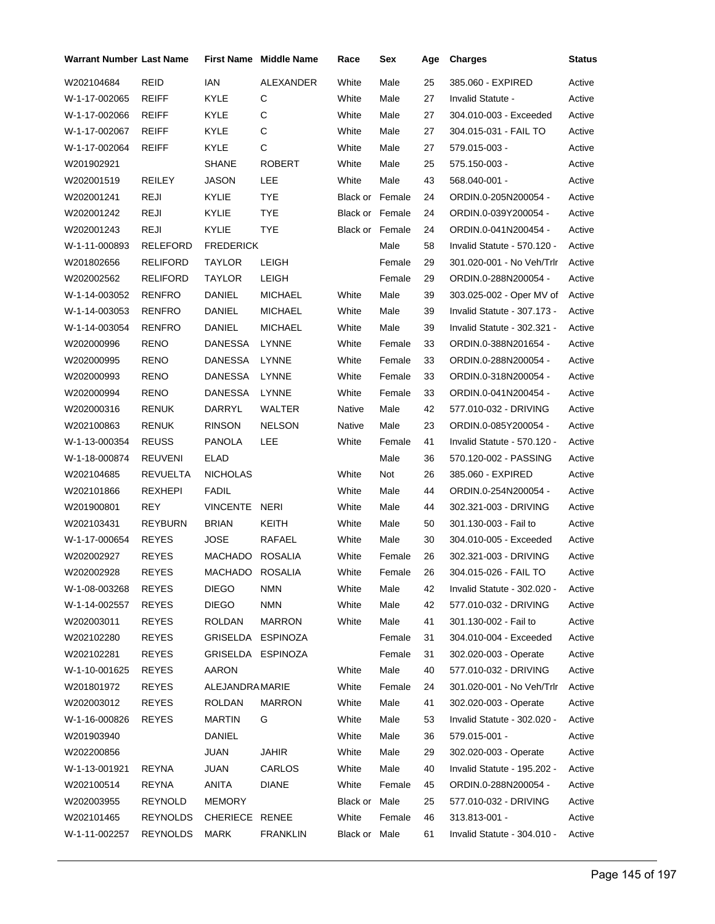| Warrant Number Last Name |                 |                   | <b>First Name</b> Middle Name | Race                   | Sex    | Age | <b>Charges</b>              | Status |
|--------------------------|-----------------|-------------------|-------------------------------|------------------------|--------|-----|-----------------------------|--------|
| W202104684               | REID            | <b>IAN</b>        | ALEXANDER                     | White                  | Male   | 25  | 385.060 - EXPIRED           | Active |
| W-1-17-002065            | REIFF           | KYLE              | С                             | White                  | Male   | 27  | Invalid Statute -           | Active |
| W-1-17-002066            | REIFF           | KYLE              | С                             | White                  | Male   | 27  | 304.010-003 - Exceeded      | Active |
| W-1-17-002067            | REIFF           | <b>KYLE</b>       | C                             | White                  | Male   | 27  | 304.015-031 - FAIL TO       | Active |
| W-1-17-002064            | REIFF           | KYLE              | С                             | White                  | Male   | 27  | 579.015-003 -               | Active |
| W201902921               |                 | <b>SHANE</b>      | <b>ROBERT</b>                 | White                  | Male   | 25  | 575.150-003 -               | Active |
| W202001519               | <b>REILEY</b>   | JASON             | LEE                           | White                  | Male   | 43  | 568.040-001 -               | Active |
| W202001241               | <b>REJI</b>     | KYLIE             | <b>TYE</b>                    | <b>Black or Female</b> |        | 24  | ORDIN.0-205N200054 -        | Active |
| W202001242               | REJI            | KYLIE             | TYE                           | <b>Black or Female</b> |        | 24  | ORDIN.0-039Y200054 -        | Active |
| W202001243               | <b>REJI</b>     | KYLIE             | <b>TYE</b>                    | Black or Female        |        | 24  | ORDIN.0-041N200454 -        | Active |
| W-1-11-000893            | RELEFORD        | <b>FREDERICK</b>  |                               |                        | Male   | 58  | Invalid Statute - 570.120 - | Active |
| W201802656               | <b>RELIFORD</b> | TAYLOR            | LEIGH                         |                        | Female | 29  | 301.020-001 - No Veh/Trlr   | Active |
| W202002562               | RELIFORD        | TAYLOR            | LEIGH                         |                        | Female | 29  | ORDIN.0-288N200054 -        | Active |
| W-1-14-003052            | <b>RENFRO</b>   | DANIEL            | <b>MICHAEL</b>                | White                  | Male   | 39  | 303.025-002 - Oper MV of    | Active |
| W-1-14-003053            | RENFRO          | DANIEL            | <b>MICHAEL</b>                | White                  | Male   | 39  | Invalid Statute - 307.173 - | Active |
| W-1-14-003054            | RENFRO          | DANIEL            | <b>MICHAEL</b>                | White                  | Male   | 39  | Invalid Statute - 302.321 - | Active |
| W202000996               | RENO            | DANESSA           | <b>LYNNE</b>                  | White                  | Female | 33  | ORDIN.0-388N201654 -        | Active |
| W202000995               | RENO            | <b>DANESSA</b>    | LYNNE                         | White                  | Female | 33  | ORDIN.0-288N200054 -        | Active |
| W202000993               | RENO            | <b>DANESSA</b>    | LYNNE                         | White                  | Female | 33  | ORDIN.0-318N200054 -        | Active |
| W202000994               | RENO            | <b>DANESSA</b>    | LYNNE                         | White                  | Female | 33  | ORDIN.0-041N200454 -        | Active |
| W202000316               | RENUK           | DARRYL            | WALTER                        | Native                 | Male   | 42  | 577.010-032 - DRIVING       | Active |
| W202100863               | <b>RENUK</b>    | <b>RINSON</b>     | <b>NELSON</b>                 | Native                 | Male   | 23  | ORDIN.0-085Y200054 -        | Active |
| W-1-13-000354            | <b>REUSS</b>    | PANOLA            | LEE                           | White                  | Female | 41  | Invalid Statute - 570.120 - | Active |
| W-1-18-000874            | REUVENI         | ELAD              |                               |                        | Male   | 36  | 570.120-002 - PASSING       | Active |
| W202104685               | REVUELTA        | <b>NICHOLAS</b>   |                               | White                  | Not    | 26  | 385.060 - EXPIRED           | Active |
| W202101866               | REXHEPI         | FADIL             |                               | White                  | Male   | 44  | ORDIN.0-254N200054 -        | Active |
| W201900801               | <b>REY</b>      | VINCENTE NERI     |                               | White                  | Male   | 44  | 302.321-003 - DRIVING       | Active |
| W202103431               | <b>REYBURN</b>  | <b>BRIAN</b>      | <b>KEITH</b>                  | White                  | Male   | 50  | 301.130-003 - Fail to       | Active |
| W-1-17-000654            | <b>REYES</b>    | JOSE              | RAFAEL                        | White                  | Male   | 30  | 304.010-005 - Exceeded      | Active |
| W202002927               | <b>REYES</b>    | MACHADO           | <b>ROSALIA</b>                | White                  | Female | 26  | 302.321-003 - DRIVING       | Active |
| W202002928               | <b>REYES</b>    | MACHADO ROSALIA   |                               | White                  | Female | 26  | 304.015-026 - FAIL TO       | Active |
| W-1-08-003268            | <b>REYES</b>    | <b>DIEGO</b>      | NMN                           | White                  | Male   | 42  | Invalid Statute - 302.020 - | Active |
| W-1-14-002557            | REYES           | <b>DIEGO</b>      | <b>NMN</b>                    | White                  | Male   | 42  | 577.010-032 - DRIVING       | Active |
| W202003011               | <b>REYES</b>    | ROLDAN            | <b>MARRON</b>                 | White                  | Male   | 41  | 301.130-002 - Fail to       | Active |
| W202102280               | REYES           | GRISELDA ESPINOZA |                               |                        | Female | 31  | 304.010-004 - Exceeded      | Active |
| W202102281               | REYES           | GRISELDA ESPINOZA |                               |                        | Female | 31  | 302.020-003 - Operate       | Active |
| W-1-10-001625            | REYES           | <b>AARON</b>      |                               | White                  | Male   | 40  | 577.010-032 - DRIVING       | Active |
| W201801972               | <b>REYES</b>    | ALEJANDRAMARIE    |                               | White                  | Female | 24  | 301.020-001 - No Veh/Trlr   | Active |
| W202003012               | <b>REYES</b>    | ROLDAN            | <b>MARRON</b>                 | White                  | Male   | 41  | 302.020-003 - Operate       | Active |
| W-1-16-000826            | <b>REYES</b>    | <b>MARTIN</b>     | G                             | White                  | Male   | 53  | Invalid Statute - 302.020 - | Active |
| W201903940               |                 | DANIEL            |                               | White                  | Male   | 36  | 579.015-001 -               | Active |
| W202200856               |                 | <b>JUAN</b>       | <b>JAHIR</b>                  | White                  | Male   | 29  | 302.020-003 - Operate       | Active |
| W-1-13-001921            | REYNA           | <b>JUAN</b>       | CARLOS                        | White                  | Male   | 40  | Invalid Statute - 195.202 - | Active |
| W202100514               | REYNA           | ANITA             | <b>DIANE</b>                  | White                  | Female | 45  | ORDIN.0-288N200054 -        | Active |
| W202003955               | REYNOLD         | <b>MEMORY</b>     |                               | Black or Male          |        | 25  | 577.010-032 - DRIVING       | Active |
| W202101465               | REYNOLDS        | CHERIECE RENEE    |                               | White                  | Female | 46  | 313.813-001 -               | Active |
| W-1-11-002257            | <b>REYNOLDS</b> | MARK              | <b>FRANKLIN</b>               | Black or Male          |        | 61  | Invalid Statute - 304.010 - | Active |
|                          |                 |                   |                               |                        |        |     |                             |        |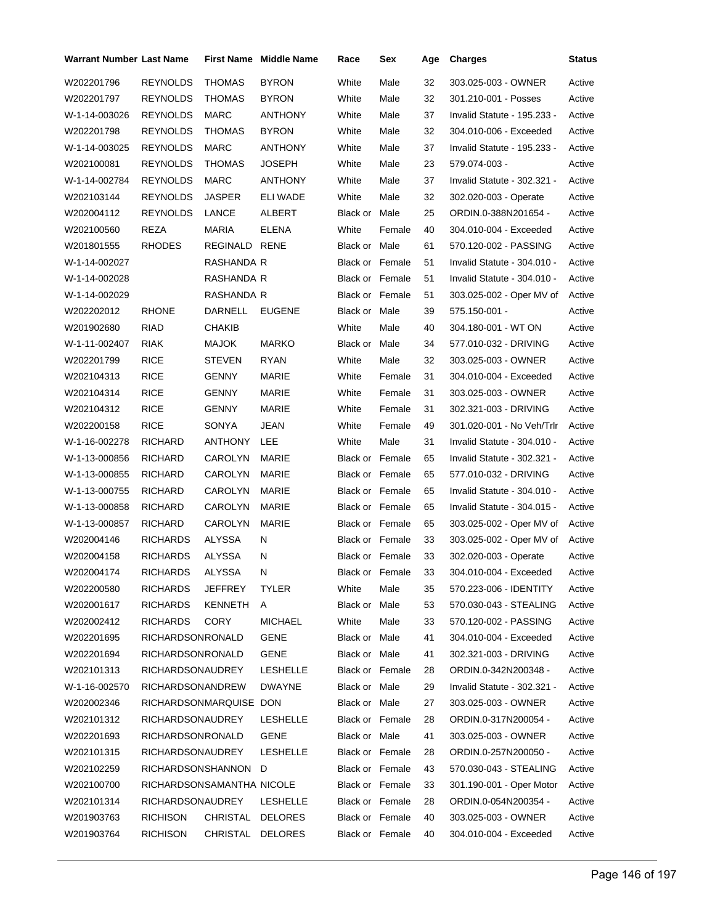| Warrant Number Last Name |                           |                  | <b>First Name</b> Middle Name | Race                   | Sex             | Age | <b>Charges</b>              | Status |
|--------------------------|---------------------------|------------------|-------------------------------|------------------------|-----------------|-----|-----------------------------|--------|
| W202201796               | <b>REYNOLDS</b>           | <b>THOMAS</b>    | <b>BYRON</b>                  | White                  | Male            | 32  | 303.025-003 - OWNER         | Active |
| W202201797               | <b>REYNOLDS</b>           | <b>THOMAS</b>    | <b>BYRON</b>                  | White                  | Male            | 32  | 301.210-001 - Posses        | Active |
| W-1-14-003026            | <b>REYNOLDS</b>           | <b>MARC</b>      | <b>ANTHONY</b>                | White                  | Male            | 37  | Invalid Statute - 195.233 - | Active |
| W202201798               | <b>REYNOLDS</b>           | <b>THOMAS</b>    | <b>BYRON</b>                  | White                  | Male            | 32  | 304.010-006 - Exceeded      | Active |
| W-1-14-003025            | <b>REYNOLDS</b>           | <b>MARC</b>      | <b>ANTHONY</b>                | White                  | Male            | 37  | Invalid Statute - 195.233 - | Active |
| W202100081               | <b>REYNOLDS</b>           | <b>THOMAS</b>    | <b>JOSEPH</b>                 | White                  | Male            | 23  | 579.074-003 -               | Active |
| W-1-14-002784            | <b>REYNOLDS</b>           | <b>MARC</b>      | <b>ANTHONY</b>                | White                  | Male            | 37  | Invalid Statute - 302.321 - | Active |
| W202103144               | <b>REYNOLDS</b>           | <b>JASPER</b>    | ELI WADE                      | White                  | Male            | 32  | 302.020-003 - Operate       | Active |
| W202004112               | <b>REYNOLDS</b>           | LANCE            | ALBERT                        | Black or Male          |                 | 25  | ORDIN.0-388N201654 -        | Active |
| W202100560               | REZA                      | <b>MARIA</b>     | <b>ELENA</b>                  | White                  | Female          | 40  | 304.010-004 - Exceeded      | Active |
| W201801555               | <b>RHODES</b>             | REGINALD RENE    |                               | Black or Male          |                 | 61  | 570.120-002 - PASSING       | Active |
| W-1-14-002027            |                           | RASHANDA R       |                               | Black or Female        |                 | 51  | Invalid Statute - 304.010 - | Active |
| W-1-14-002028            |                           | RASHANDA R       |                               | Black or Female        |                 | 51  | Invalid Statute - 304.010 - | Active |
| W-1-14-002029            |                           | RASHANDA R       |                               | <b>Black or Female</b> |                 | 51  | 303.025-002 - Oper MV of    | Active |
| W202202012               | <b>RHONE</b>              | DARNELL          | <b>EUGENE</b>                 | Black or Male          |                 | 39  | 575.150-001 -               | Active |
| W201902680               | <b>RIAD</b>               | CHAKIB           |                               | White                  | Male            | 40  | 304.180-001 - WT ON         | Active |
| W-1-11-002407            | <b>RIAK</b>               | <b>MAJOK</b>     | <b>MARKO</b>                  | Black or Male          |                 | 34  | 577.010-032 - DRIVING       | Active |
| W202201799               | <b>RICE</b>               | <b>STEVEN</b>    | <b>RYAN</b>                   | White                  | Male            | 32  | 303.025-003 - OWNER         | Active |
| W202104313               | <b>RICE</b>               | GENNY            | <b>MARIE</b>                  | White                  | Female          | 31  | 304.010-004 - Exceeded      | Active |
| W202104314               | <b>RICE</b>               | <b>GENNY</b>     | MARIE                         | White                  | Female          | 31  | 303.025-003 - OWNER         | Active |
| W202104312               | <b>RICE</b>               | GENNY            | MARIE                         | White                  | Female          | 31  | 302.321-003 - DRIVING       | Active |
| W202200158               | <b>RICE</b>               | SONYA            | JEAN                          | White                  | Female          | 49  | 301.020-001 - No Veh/Trlr   | Active |
| W-1-16-002278            | <b>RICHARD</b>            | ANTHONY          | LEE                           | White                  | Male            | 31  | Invalid Statute - 304.010 - | Active |
| W-1-13-000856            | RICHARD                   | CAROLYN          | MARIE                         | <b>Black or Female</b> |                 | 65  | Invalid Statute - 302.321 - | Active |
| W-1-13-000855            | RICHARD                   | CAROLYN          | MARIE                         | <b>Black or Female</b> |                 | 65  | 577.010-032 - DRIVING       | Active |
| W-1-13-000755            | RICHARD                   | CAROLYN          | MARIE                         | <b>Black or Female</b> |                 | 65  | Invalid Statute - 304.010 - | Active |
| W-1-13-000858            | RICHARD                   | CAROLYN          | <b>MARIE</b>                  | Black or Female        |                 | 65  | Invalid Statute - 304.015 - | Active |
| W-1-13-000857            | <b>RICHARD</b>            | CAROLYN          | MARIE                         | Black or Female        |                 | 65  | 303.025-002 - Oper MV of    | Active |
| W202004146               | <b>RICHARDS</b>           | ALYSSA           | N                             | Black or Female        |                 | 33  | 303.025-002 - Oper MV of    | Active |
| W202004158               | <b>RICHARDS</b>           | ALYSSA           | N                             | Black or Female        |                 | 33  | 302.020-003 - Operate       | Active |
| W202004174               | RICHARDS                  | ALYSSA           | N                             |                        | Black or Female | 33  | 304.010-004 - Exceeded      | Active |
| W202200580               | RICHARDS                  | JEFFREY          | <b>TYLER</b>                  | White                  | Male            | 35  | 570.223-006 - IDENTITY      | Active |
| W202001617               | <b>RICHARDS</b>           | <b>KENNETH</b>   | A                             | Black or Male          |                 | 53  | 570.030-043 - STEALING      | Active |
| W202002412               | <b>RICHARDS</b>           | <b>CORY</b>      | <b>MICHAEL</b>                | White                  | Male            | 33  | 570.120-002 - PASSING       | Active |
| W202201695               | RICHARDSONRONALD          |                  | GENE                          | Black or Male          |                 | 41  | 304.010-004 - Exceeded      | Active |
| W202201694               | RICHARDSONRONALD          |                  | <b>GENE</b>                   | Black or Male          |                 | 41  | 302.321-003 - DRIVING       | Active |
| W202101313               | <b>RICHARDSONAUDREY</b>   |                  | <b>LESHELLE</b>               | Black or Female        |                 | 28  | ORDIN.0-342N200348 -        | Active |
| W-1-16-002570            | RICHARDSONANDREW          |                  | <b>DWAYNE</b>                 | Black or Male          |                 | 29  | Invalid Statute - 302.321 - | Active |
| W202002346               | RICHARDSONMARQUISE DON    |                  |                               | Black or Male          |                 | 27  | 303.025-003 - OWNER         | Active |
| W202101312               | <b>RICHARDSONAUDREY</b>   |                  | <b>LESHELLE</b>               | Black or Female        |                 | 28  | ORDIN.0-317N200054 -        | Active |
| W202201693               | RICHARDSONRONALD          |                  | <b>GENE</b>                   | Black or Male          |                 | 41  | 303.025-003 - OWNER         | Active |
| W202101315               | RICHARDSONAUDREY          |                  | <b>LESHELLE</b>               | Black or Female        |                 | 28  | ORDIN.0-257N200050 -        | Active |
| W202102259               | RICHARDSONSHANNON D       |                  |                               | Black or Female        |                 | 43  | 570.030-043 - STEALING      | Active |
| W202100700               | RICHARDSONSAMANTHA NICOLE |                  |                               | Black or Female        |                 | 33  | 301.190-001 - Oper Motor    | Active |
| W202101314               | RICHARDSONAUDREY          |                  | <b>LESHELLE</b>               | Black or Female        |                 | 28  | ORDIN.0-054N200354 -        | Active |
| W201903763               | <b>RICHISON</b>           | CHRISTAL         | <b>DELORES</b>                | Black or Female        |                 | 40  | 303.025-003 - OWNER         | Active |
| W201903764               | <b>RICHISON</b>           | CHRISTAL DELORES |                               | Black or Female        |                 | 40  | 304.010-004 - Exceeded      | Active |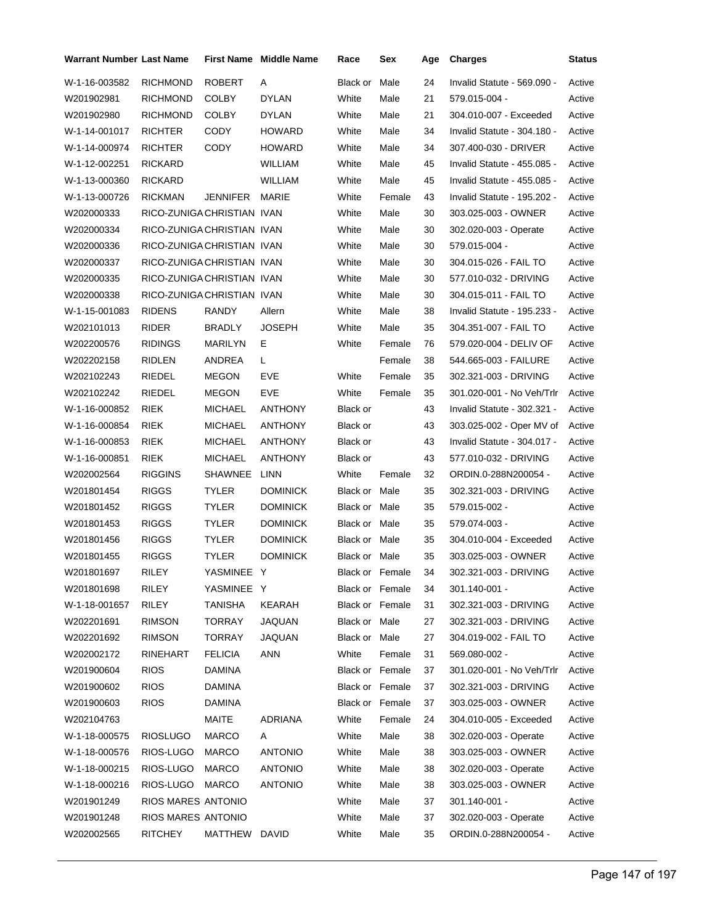| <b>Warrant Number Last Name</b> |                            |                | <b>First Name</b> Middle Name | Race                   | Sex    | Age | <b>Charges</b>              | Status |
|---------------------------------|----------------------------|----------------|-------------------------------|------------------------|--------|-----|-----------------------------|--------|
| W-1-16-003582                   | <b>RICHMOND</b>            | <b>ROBERT</b>  | A                             | Black or               | Male   | 24  | Invalid Statute - 569.090 - | Active |
| W201902981                      | <b>RICHMOND</b>            | <b>COLBY</b>   | <b>DYLAN</b>                  | White                  | Male   | 21  | 579.015-004 -               | Active |
| W201902980                      | <b>RICHMOND</b>            | <b>COLBY</b>   | <b>DYLAN</b>                  | White                  | Male   | 21  | 304.010-007 - Exceeded      | Active |
| W-1-14-001017                   | <b>RICHTER</b>             | CODY           | <b>HOWARD</b>                 | White                  | Male   | 34  | Invalid Statute - 304.180 - | Active |
| W-1-14-000974                   | <b>RICHTER</b>             | <b>CODY</b>    | <b>HOWARD</b>                 | White                  | Male   | 34  | 307.400-030 - DRIVER        | Active |
| W-1-12-002251                   | <b>RICKARD</b>             |                | <b>WILLIAM</b>                | White                  | Male   | 45  | Invalid Statute - 455.085 - | Active |
| W-1-13-000360                   | <b>RICKARD</b>             |                | <b>WILLIAM</b>                | White                  | Male   | 45  | Invalid Statute - 455.085 - | Active |
| W-1-13-000726                   | <b>RICKMAN</b>             | JENNIFER MARIE |                               | White                  | Female | 43  | Invalid Statute - 195.202 - | Active |
| W202000333                      | RICO-ZUNIGA CHRISTIAN IVAN |                |                               | White                  | Male   | 30  | 303.025-003 - OWNER         | Active |
| W202000334                      | RICO-ZUNIGA CHRISTIAN IVAN |                |                               | White                  | Male   | 30  | 302.020-003 - Operate       | Active |
| W202000336                      | RICO-ZUNIGA CHRISTIAN IVAN |                |                               | White                  | Male   | 30  | 579.015-004 -               | Active |
| W202000337                      | RICO-ZUNIGA CHRISTIAN IVAN |                |                               | White                  | Male   | 30  | 304.015-026 - FAIL TO       | Active |
| W202000335                      | RICO-ZUNIGA CHRISTIAN IVAN |                |                               | White                  | Male   | 30  | 577.010-032 - DRIVING       | Active |
| W202000338                      | RICO-ZUNIGA CHRISTIAN IVAN |                |                               | White                  | Male   | 30  | 304.015-011 - FAIL TO       | Active |
| W-1-15-001083                   | <b>RIDENS</b>              | RANDY          | Allern                        | White                  | Male   | 38  | Invalid Statute - 195.233 - | Active |
| W202101013                      | <b>RIDER</b>               | BRADLY         | <b>JOSEPH</b>                 | White                  | Male   | 35  | 304.351-007 - FAIL TO       | Active |
| W202200576                      | <b>RIDINGS</b>             | MARILYN        | E.                            | White                  | Female | 76  | 579.020-004 - DELIV OF      | Active |
| W202202158                      | <b>RIDLEN</b>              | ANDREA         | L                             |                        | Female | 38  | 544.665-003 - FAILURE       | Active |
| W202102243                      | RIEDEL                     | <b>MEGON</b>   | EVE                           | White                  | Female | 35  | 302.321-003 - DRIVING       | Active |
| W202102242                      | RIEDEL                     | <b>MEGON</b>   | EVE                           | White                  | Female | 35  | 301.020-001 - No Veh/Trlr   | Active |
| W-1-16-000852                   | <b>RIEK</b>                | <b>MICHAEL</b> | <b>ANTHONY</b>                | Black or               |        | 43  | Invalid Statute - 302.321 - | Active |
| W-1-16-000854                   | RIEK                       | <b>MICHAEL</b> | <b>ANTHONY</b>                | Black or               |        | 43  | 303.025-002 - Oper MV of    | Active |
| W-1-16-000853                   | <b>RIEK</b>                | <b>MICHAEL</b> | <b>ANTHONY</b>                | Black or               |        | 43  | Invalid Statute - 304.017 - | Active |
| W-1-16-000851                   | RIEK                       | <b>MICHAEL</b> | <b>ANTHONY</b>                | Black or               |        | 43  | 577.010-032 - DRIVING       | Active |
| W202002564                      | <b>RIGGINS</b>             | SHAWNEE        | LINN                          | White                  | Female | 32  | ORDIN.0-288N200054 -        | Active |
| W201801454                      | <b>RIGGS</b>               | TYLER          | <b>DOMINICK</b>               | Black or Male          |        | 35  | 302.321-003 - DRIVING       | Active |
| W201801452                      | <b>RIGGS</b>               | TYLER          | <b>DOMINICK</b>               | Black or Male          |        | 35  | 579.015-002 -               | Active |
| W201801453                      | <b>RIGGS</b>               | <b>TYLER</b>   | <b>DOMINICK</b>               | Black or Male          |        | 35  | 579.074-003 -               | Active |
| W201801456                      | <b>RIGGS</b>               | TYLER          | <b>DOMINICK</b>               | Black or Male          |        | 35  | 304.010-004 - Exceeded      | Active |
| W201801455                      | <b>RIGGS</b>               | <b>TYLER</b>   | <b>DOMINICK</b>               | Black or Male          |        | 35  | 303.025-003 - OWNER         | Active |
| W201801697                      | RILEY                      | YASMINEE Y     |                               | Black or Female        |        | 34  | 302.321-003 - DRIVING       | Active |
| W201801698                      | RILEY                      | YASMINEE Y     |                               | Black or Female        |        | 34  | 301.140-001 -               | Active |
| W-1-18-001657                   | <b>RILEY</b>               | TANISHA        | KEARAH                        | Black or Female        |        | 31  | 302.321-003 - DRIVING       | Active |
| W202201691                      | <b>RIMSON</b>              | TORRAY         | JAQUAN                        | Black or Male          |        | 27  | 302.321-003 - DRIVING       | Active |
| W202201692                      | <b>RIMSON</b>              | TORRAY         | JAQUAN                        | Black or Male          |        | 27  | 304.019-002 - FAIL TO       | Active |
| W202002172                      | RINEHART                   | <b>FELICIA</b> | ANN                           | White                  | Female | 31  | 569.080-002 -               | Active |
| W201900604                      | <b>RIOS</b>                | <b>DAMINA</b>  |                               | Black or Female        |        | 37  | 301.020-001 - No Veh/Trlr   | Active |
| W201900602                      | <b>RIOS</b>                | DAMINA         |                               | <b>Black or Female</b> |        | 37  | 302.321-003 - DRIVING       | Active |
| W201900603                      | <b>RIOS</b>                | <b>DAMINA</b>  |                               | Black or Female        |        | 37  | 303.025-003 - OWNER         | Active |
| W202104763                      |                            | MAITE          | <b>ADRIANA</b>                | White                  | Female | 24  | 304.010-005 - Exceeded      | Active |
| W-1-18-000575                   | <b>RIOSLUGO</b>            | <b>MARCO</b>   | A                             | White                  | Male   | 38  | 302.020-003 - Operate       | Active |
| W-1-18-000576                   | RIOS-LUGO                  | <b>MARCO</b>   | <b>ANTONIO</b>                | White                  | Male   | 38  | 303.025-003 - OWNER         | Active |
| W-1-18-000215                   | RIOS-LUGO                  | <b>MARCO</b>   | <b>ANTONIO</b>                | White                  | Male   | 38  | 302.020-003 - Operate       | Active |
| W-1-18-000216                   | RIOS-LUGO                  | MARCO          | <b>ANTONIO</b>                | White                  | Male   | 38  | 303.025-003 - OWNER         | Active |
| W201901249                      | RIOS MARES ANTONIO         |                |                               | White                  | Male   | 37  | 301.140-001 -               | Active |
| W201901248                      | RIOS MARES ANTONIO         |                |                               | White                  | Male   | 37  | 302.020-003 - Operate       | Active |
| W202002565                      | RITCHEY                    | MATTHEW DAVID  |                               | White                  | Male   | 35  | ORDIN.0-288N200054 -        | Active |
|                                 |                            |                |                               |                        |        |     |                             |        |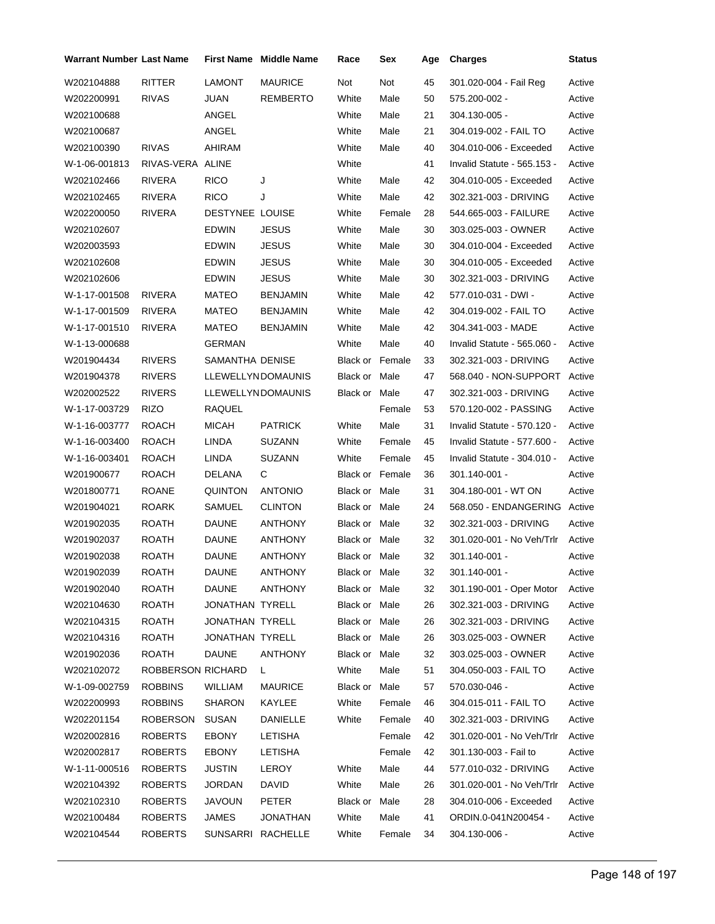| <b>Warrant Number Last Name</b> |                   |                        | <b>First Name</b> Middle Name | Race                   | Sex    | Age | <b>Charges</b>                   | <b>Status</b> |
|---------------------------------|-------------------|------------------------|-------------------------------|------------------------|--------|-----|----------------------------------|---------------|
| W202104888                      | RITTER            | <b>LAMONT</b>          | <b>MAURICE</b>                | Not                    | Not    | 45  | 301.020-004 - Fail Reg           | Active        |
| W202200991                      | <b>RIVAS</b>      | JUAN                   | REMBERTO                      | White                  | Male   | 50  | 575.200-002 -                    | Active        |
| W202100688                      |                   | ANGEL                  |                               | White                  | Male   | 21  | 304.130-005 -                    | Active        |
| W202100687                      |                   | ANGEL                  |                               | White                  | Male   | 21  | 304.019-002 - FAIL TO            | Active        |
| W202100390                      | <b>RIVAS</b>      | AHIRAM                 |                               | White                  | Male   | 40  | 304.010-006 - Exceeded           | Active        |
| W-1-06-001813                   | RIVAS-VERA ALINE  |                        |                               | White                  |        | 41  | Invalid Statute - 565.153 -      | Active        |
| W202102466                      | <b>RIVERA</b>     | <b>RICO</b>            | J                             | White                  | Male   | 42  | 304.010-005 - Exceeded           | Active        |
| W202102465                      | RIVERA            | <b>RICO</b>            | J                             | White                  | Male   | 42  | 302.321-003 - DRIVING            | Active        |
| W202200050                      | RIVERA            | <b>DESTYNEE LOUISE</b> |                               | White                  | Female | 28  | 544.665-003 - FAILURE            | Active        |
| W202102607                      |                   | EDWIN                  | JESUS                         | White                  | Male   | 30  | 303.025-003 - OWNER              | Active        |
| W202003593                      |                   | <b>EDWIN</b>           | JESUS                         | White                  | Male   | 30  | 304.010-004 - Exceeded           | Active        |
| W202102608                      |                   | <b>EDWIN</b>           | <b>JESUS</b>                  | White                  | Male   | 30  | 304.010-005 - Exceeded           | Active        |
| W202102606                      |                   | EDWIN                  | JESUS                         | White                  | Male   | 30  | 302.321-003 - DRIVING            | Active        |
| W-1-17-001508                   | RIVERA            | <b>MATEO</b>           | <b>BENJAMIN</b>               | White                  | Male   | 42  | 577.010-031 - DWI -              | Active        |
| W-1-17-001509                   | RIVERA            | <b>MATEO</b>           | <b>BENJAMIN</b>               | White                  | Male   | 42  | 304.019-002 - FAIL TO            | Active        |
| W-1-17-001510                   | RIVERA            | MATEO                  | <b>BENJAMIN</b>               | White                  | Male   | 42  | 304.341-003 - MADE               | Active        |
| W-1-13-000688                   |                   | <b>GERMAN</b>          |                               | White                  | Male   | 40  | Invalid Statute - 565.060 -      | Active        |
| W201904434                      | <b>RIVERS</b>     | SAMANTHA DENISE        |                               | <b>Black or Female</b> |        | 33  | 302.321-003 - DRIVING            | Active        |
| W201904378                      | <b>RIVERS</b>     |                        | LLEWELLYNDOMAUNIS             | Black or Male          |        | 47  | 568.040 - NON-SUPPORT            | Active        |
| W202002522                      | <b>RIVERS</b>     |                        | <b>LLEWELLYNDOMAUNIS</b>      | Black or Male          |        | 47  | 302.321-003 - DRIVING            | Active        |
| W-1-17-003729                   | <b>RIZO</b>       | RAQUEL                 |                               |                        | Female | 53  | 570.120-002 - PASSING            | Active        |
| W-1-16-003777                   | <b>ROACH</b>      | <b>MICAH</b>           | <b>PATRICK</b>                | White                  | Male   | 31  | Invalid Statute - 570.120 -      | Active        |
| W-1-16-003400                   | <b>ROACH</b>      | LINDA                  | <b>SUZANN</b>                 | White                  | Female | 45  | Invalid Statute - 577.600 -      | Active        |
| W-1-16-003401                   | <b>ROACH</b>      | LINDA                  | <b>SUZANN</b>                 | White                  | Female | 45  | Invalid Statute - 304.010 -      | Active        |
| W201900677                      | <b>ROACH</b>      | DELANA                 | С                             | <b>Black or Female</b> |        | 36  | 301.140-001 -                    | Active        |
| W201800771                      | ROANE             | <b>QUINTON</b>         | <b>ANTONIO</b>                | Black or Male          |        | 31  | 304.180-001 - WT ON              | Active        |
| W201904021                      | <b>ROARK</b>      | <b>SAMUEL</b>          | <b>CLINTON</b>                | Black or Male          |        | 24  | 568.050 - ENDANGERING            | Active        |
| W201902035                      | <b>ROATH</b>      | <b>DAUNE</b>           | ANTHONY                       | <b>Black or Male</b>   |        | 32  | 302.321-003 - DRIVING            | Active        |
| W201902037                      | ROATH             | DAUNE                  | ANTHONY                       | Black or Male          |        | 32  | 301.020-001 - No Veh/Trlr        | Active        |
| W201902038                      | <b>ROATH</b>      | <b>DAUNE</b>           | <b>ANTHONY</b>                | <b>Black or Male</b>   |        | 32  | 301.140-001 -                    | Active        |
| W201902039                      | ROATH             | <b>DAUNE</b>           | ANTHONY                       | Black or Male          |        | 32  | 301.140-001 -                    | Active        |
| W201902040                      | ROATH             | DAUNE                  | ANTHONY                       | Black or Male          |        | 32  | 301.190-001 - Oper Motor         | Active        |
| W202104630                      | ROATH             | JONATHAN TYRELL        |                               | Black or Male          |        | 26  | 302.321-003 - DRIVING            | Active        |
| W202104315                      | ROATH             | JONATHAN TYRELL        |                               | Black or Male          |        | 26  | 302.321-003 - DRIVING            | Active        |
| W202104316                      | ROATH             | JONATHAN TYRELL        |                               | Black or Male          |        | 26  | 303.025-003 - OWNER              | Active        |
| W201902036                      | <b>ROATH</b>      | <b>DAUNE</b>           | ANTHONY                       | Black or Male          |        | 32  | 303.025-003 - OWNER              | Active        |
| W202102072                      | ROBBERSON RICHARD |                        | L.                            | White                  | Male   | 51  | 304.050-003 - FAIL TO            | Active        |
| W-1-09-002759                   | <b>ROBBINS</b>    | WILLIAM                | MAURICE                       | Black or Male          |        | 57  | 570.030-046 -                    | Active        |
| W202200993                      | <b>ROBBINS</b>    | <b>SHARON</b>          | KAYLEE                        | White                  | Female | 46  | 304.015-011 - FAIL TO            | Active        |
| W202201154                      | ROBERSON          | SUSAN                  | DANIELLE                      | White                  | Female | 40  | 302.321-003 - DRIVING            | Active        |
| W202002816                      | <b>ROBERTS</b>    | EBONY                  | LETISHA                       |                        | Female | 42  | 301.020-001 - No Veh/Trlr        | Active        |
| W202002817                      | <b>ROBERTS</b>    | <b>EBONY</b>           | LETISHA                       |                        | Female | 42  | 301.130-003 - Fail to            | Active        |
| W-1-11-000516                   | <b>ROBERTS</b>    | <b>JUSTIN</b>          | LEROY                         | White                  | Male   | 44  | 577.010-032 - DRIVING            | Active        |
| W202104392                      | <b>ROBERTS</b>    | <b>JORDAN</b>          | DAVID                         | White                  | Male   | 26  | 301.020-001 - No Veh/Trlr Active |               |
| W202102310                      | <b>ROBERTS</b>    | <b>JAVOUN</b>          | PETER                         | Black or Male          |        | 28  | 304.010-006 - Exceeded           | Active        |
| W202100484                      | <b>ROBERTS</b>    | JAMES                  | JONATHAN                      | White                  | Male   | 41  | ORDIN.0-041N200454 -             | Active        |
| W202104544                      | <b>ROBERTS</b>    |                        | SUNSARRI RACHELLE             | White                  | Female | 34  | 304.130-006 -                    | Active        |
|                                 |                   |                        |                               |                        |        |     |                                  |               |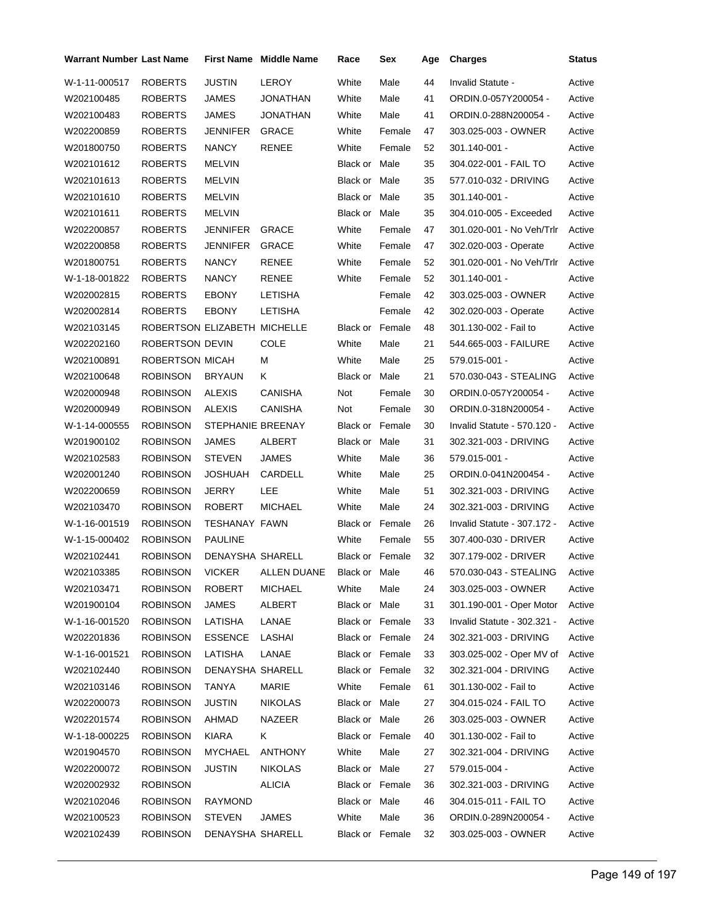| <b>JUSTIN</b><br><b>LEROY</b><br><b>ROBERTS</b><br>White<br>Male<br>44<br>Invalid Statute -<br>Active<br>White<br>Male<br>41<br><b>ROBERTS</b><br>JAMES<br>JONATHAN<br>ORDIN.0-057Y200054 -<br>Active<br>41<br>White<br>Male<br><b>ROBERTS</b><br>JAMES<br>JONATHAN<br>ORDIN.0-288N200054 -<br>Active<br><b>ROBERTS</b><br>JENNIFER<br><b>GRACE</b><br>White<br>Female<br>47<br>303.025-003 - OWNER<br>Active<br><b>RENEE</b><br>White<br>52<br><b>ROBERTS</b><br><b>NANCY</b><br>Female<br>301.140-001 -<br>Active<br><b>ROBERTS</b><br>35<br><b>MELVIN</b><br><b>Black or Male</b><br>304.022-001 - FAIL TO<br>Active<br><b>ROBERTS</b><br><b>MELVIN</b><br>Black or Male<br>35<br>577.010-032 - DRIVING<br>Active<br>35<br>301.140-001 -<br><b>ROBERTS</b><br><b>MELVIN</b><br><b>Black or Male</b><br>Active<br>Black or Male<br>35<br><b>ROBERTS</b><br><b>MELVIN</b><br>304.010-005 - Exceeded<br>Active<br><b>GRACE</b><br><b>ROBERTS</b><br>JENNIFER<br>White<br>Female<br>47<br>301.020-001 - No Veh/Trlr<br>Active<br><b>GRACE</b><br>White<br>47<br><b>ROBERTS</b><br>JENNIFER<br>Female<br>302.020-003 - Operate<br>Active<br><b>NANCY</b><br>White<br>52<br><b>ROBERTS</b><br>RENEE<br>Female<br>301.020-001 - No Veh/Trlr<br>Active<br>52<br><b>ROBERTS</b><br><b>NANCY</b><br><b>RENEE</b><br>White<br>Female<br>$301.140 - 001 -$<br>Active<br><b>LETISHA</b><br>42<br><b>ROBERTS</b><br><b>EBONY</b><br>Female<br>303.025-003 - OWNER<br>Active<br><b>ROBERTS</b><br><b>LETISHA</b><br>42<br><b>EBONY</b><br>Female<br>302.020-003 - Operate<br>Active<br>ROBERTSON ELIZABETH MICHELLE<br><b>Black or Female</b><br>48<br>301.130-002 - Fail to<br>Active<br>ROBERTSON DEVIN<br>COLE<br>Male<br>21<br>White<br>544.665-003 - FAILURE<br>Active<br>ROBERTSON MICAH<br>White<br>25<br>М<br>Male<br>579.015-001 -<br>Active<br><b>ROBINSON</b><br>21<br><b>BRYAUN</b><br>Κ<br>Black or Male<br>570.030-043 - STEALING<br>Active<br><b>ROBINSON</b><br><b>ALEXIS</b><br><b>CANISHA</b><br>Not<br>30<br>Female<br>ORDIN.0-057Y200054 -<br>Active<br><b>ALEXIS</b><br><b>CANISHA</b><br>30<br>ORDIN.0-318N200054 -<br><b>ROBINSON</b><br>Not<br>Female<br>Active<br>STEPHANIE BREENAY<br><b>ROBINSON</b><br><b>Black or Female</b><br>30<br>Invalid Statute - 570.120 -<br>Active<br><b>ROBINSON</b><br><b>JAMES</b><br>Black or Male<br>31<br>ALBERT<br>302.321-003 - DRIVING<br>Active<br><b>JAMES</b><br>36<br><b>ROBINSON</b><br><b>STEVEN</b><br>White<br>Male<br>579.015-001 -<br>Active<br>25<br><b>ROBINSON</b><br>JOSHUAH<br>CARDELL<br>White<br>Male<br>ORDIN.0-041N200454 -<br>Active<br><b>ROBINSON</b><br><b>JERRY</b><br>LEE<br>White<br>Male<br>51<br>302.321-003 - DRIVING<br>Active<br>White<br>Male<br>24<br><b>ROBINSON</b><br><b>ROBERT</b><br><b>MICHAEL</b><br>302.321-003 - DRIVING<br>Active<br><b>ROBINSON</b><br><b>TESHANAY FAWN</b><br><b>Black or Female</b><br>26<br>Invalid Statute - 307.172 -<br>Active<br><b>ROBINSON</b><br><b>PAULINE</b><br>White<br>Female<br>55<br>307.400-030 - DRIVER<br>Active<br><b>ROBINSON</b><br>DENAYSHA SHARELL<br>Black or Female<br>32<br>307.179-002 - DRIVER<br>Active<br>ROBINSON<br>VICKER ALLEN DUANE<br>46<br>Black or Male<br>570.030-043 - STEALING<br>Active<br>ROBERT<br>White<br>303.025-003 - OWNER<br><b>ROBINSON</b><br>MICHAEL<br>Male<br>Active<br>24<br><b>ROBINSON</b><br><b>JAMES</b><br>ALBERT<br>Black or Male<br>31<br>301.190-001 - Oper Motor<br>Active<br><b>ROBINSON</b><br>LATISHA<br>LANAE<br>Black or Female<br>33<br>Invalid Statute - 302.321 -<br>Active<br><b>ESSENCE</b><br>LASHAI<br>Black or Female<br><b>ROBINSON</b><br>24<br>302.321-003 - DRIVING<br>Active<br><b>ROBINSON</b><br>LATISHA<br>LANAE<br>Black or Female<br>303.025-002 - Oper MV of<br>Active<br>33<br><b>ROBINSON</b><br>DENAYSHA SHARELL<br>Black or Female<br>32<br>302.321-004 - DRIVING<br>Active<br>White<br>Female<br><b>ROBINSON</b><br>TANYA<br>MARIE<br>301.130-002 - Fail to<br>Active<br>61<br><b>JUSTIN</b><br><b>NIKOLAS</b><br><b>ROBINSON</b><br>Black or Male<br>27<br>304.015-024 - FAIL TO<br>Active<br><b>ROBINSON</b><br>AHMAD<br>NAZEER<br>Black or Male<br>26<br>303.025-003 - OWNER<br>Active<br><b>KIARA</b><br>Black or Female<br><b>ROBINSON</b><br>K.<br>40<br>301.130-002 - Fail to<br>Active<br>White<br><b>ROBINSON</b><br>MYCHAEL<br>ANTHONY<br>Male<br>27<br>302.321-004 - DRIVING<br>Active<br><b>ROBINSON</b><br><b>JUSTIN</b><br><b>NIKOLAS</b><br>Black or Male<br>27<br>579.015-004 -<br>Active<br><b>ALICIA</b><br><b>ROBINSON</b><br>Black or Female<br>36<br>302.321-003 - DRIVING<br>Active<br>Black or Male | <b>Warrant Number Last Name</b> |                 |         | <b>First Name Middle Name</b> | Race | Sex | Age | <b>Charges</b>        | Status |
|-------------------------------------------------------------------------------------------------------------------------------------------------------------------------------------------------------------------------------------------------------------------------------------------------------------------------------------------------------------------------------------------------------------------------------------------------------------------------------------------------------------------------------------------------------------------------------------------------------------------------------------------------------------------------------------------------------------------------------------------------------------------------------------------------------------------------------------------------------------------------------------------------------------------------------------------------------------------------------------------------------------------------------------------------------------------------------------------------------------------------------------------------------------------------------------------------------------------------------------------------------------------------------------------------------------------------------------------------------------------------------------------------------------------------------------------------------------------------------------------------------------------------------------------------------------------------------------------------------------------------------------------------------------------------------------------------------------------------------------------------------------------------------------------------------------------------------------------------------------------------------------------------------------------------------------------------------------------------------------------------------------------------------------------------------------------------------------------------------------------------------------------------------------------------------------------------------------------------------------------------------------------------------------------------------------------------------------------------------------------------------------------------------------------------------------------------------------------------------------------------------------------------------------------------------------------------------------------------------------------------------------------------------------------------------------------------------------------------------------------------------------------------------------------------------------------------------------------------------------------------------------------------------------------------------------------------------------------------------------------------------------------------------------------------------------------------------------------------------------------------------------------------------------------------------------------------------------------------------------------------------------------------------------------------------------------------------------------------------------------------------------------------------------------------------------------------------------------------------------------------------------------------------------------------------------------------------------------------------------------------------------------------------------------------------------------------------------------------------------------------------------------------------------------------------------------------------------------------------------------------------------------------------------------------------------------------------------------------------------------------------------------------------------------------------------------------------------------------------------------------------------------------------------------------------------------------------------------------------------------------------------------------------------------------------------------------------------------------------------------------------------------------------------------------------------------------------------------------------------------------------------------------------------------------------------------------------------------------------------------------------------------|---------------------------------|-----------------|---------|-------------------------------|------|-----|-----|-----------------------|--------|
|                                                                                                                                                                                                                                                                                                                                                                                                                                                                                                                                                                                                                                                                                                                                                                                                                                                                                                                                                                                                                                                                                                                                                                                                                                                                                                                                                                                                                                                                                                                                                                                                                                                                                                                                                                                                                                                                                                                                                                                                                                                                                                                                                                                                                                                                                                                                                                                                                                                                                                                                                                                                                                                                                                                                                                                                                                                                                                                                                                                                                                                                                                                                                                                                                                                                                                                                                                                                                                                                                                                                                                                                                                                                                                                                                                                                                                                                                                                                                                                                                                                                                                                                                                                                                                                                                                                                                                                                                                                                                                                                                                                                                                           | W-1-11-000517                   |                 |         |                               |      |     |     |                       |        |
|                                                                                                                                                                                                                                                                                                                                                                                                                                                                                                                                                                                                                                                                                                                                                                                                                                                                                                                                                                                                                                                                                                                                                                                                                                                                                                                                                                                                                                                                                                                                                                                                                                                                                                                                                                                                                                                                                                                                                                                                                                                                                                                                                                                                                                                                                                                                                                                                                                                                                                                                                                                                                                                                                                                                                                                                                                                                                                                                                                                                                                                                                                                                                                                                                                                                                                                                                                                                                                                                                                                                                                                                                                                                                                                                                                                                                                                                                                                                                                                                                                                                                                                                                                                                                                                                                                                                                                                                                                                                                                                                                                                                                                           | W202100485                      |                 |         |                               |      |     |     |                       |        |
|                                                                                                                                                                                                                                                                                                                                                                                                                                                                                                                                                                                                                                                                                                                                                                                                                                                                                                                                                                                                                                                                                                                                                                                                                                                                                                                                                                                                                                                                                                                                                                                                                                                                                                                                                                                                                                                                                                                                                                                                                                                                                                                                                                                                                                                                                                                                                                                                                                                                                                                                                                                                                                                                                                                                                                                                                                                                                                                                                                                                                                                                                                                                                                                                                                                                                                                                                                                                                                                                                                                                                                                                                                                                                                                                                                                                                                                                                                                                                                                                                                                                                                                                                                                                                                                                                                                                                                                                                                                                                                                                                                                                                                           | W202100483                      |                 |         |                               |      |     |     |                       |        |
|                                                                                                                                                                                                                                                                                                                                                                                                                                                                                                                                                                                                                                                                                                                                                                                                                                                                                                                                                                                                                                                                                                                                                                                                                                                                                                                                                                                                                                                                                                                                                                                                                                                                                                                                                                                                                                                                                                                                                                                                                                                                                                                                                                                                                                                                                                                                                                                                                                                                                                                                                                                                                                                                                                                                                                                                                                                                                                                                                                                                                                                                                                                                                                                                                                                                                                                                                                                                                                                                                                                                                                                                                                                                                                                                                                                                                                                                                                                                                                                                                                                                                                                                                                                                                                                                                                                                                                                                                                                                                                                                                                                                                                           | W202200859                      |                 |         |                               |      |     |     |                       |        |
|                                                                                                                                                                                                                                                                                                                                                                                                                                                                                                                                                                                                                                                                                                                                                                                                                                                                                                                                                                                                                                                                                                                                                                                                                                                                                                                                                                                                                                                                                                                                                                                                                                                                                                                                                                                                                                                                                                                                                                                                                                                                                                                                                                                                                                                                                                                                                                                                                                                                                                                                                                                                                                                                                                                                                                                                                                                                                                                                                                                                                                                                                                                                                                                                                                                                                                                                                                                                                                                                                                                                                                                                                                                                                                                                                                                                                                                                                                                                                                                                                                                                                                                                                                                                                                                                                                                                                                                                                                                                                                                                                                                                                                           | W201800750                      |                 |         |                               |      |     |     |                       |        |
|                                                                                                                                                                                                                                                                                                                                                                                                                                                                                                                                                                                                                                                                                                                                                                                                                                                                                                                                                                                                                                                                                                                                                                                                                                                                                                                                                                                                                                                                                                                                                                                                                                                                                                                                                                                                                                                                                                                                                                                                                                                                                                                                                                                                                                                                                                                                                                                                                                                                                                                                                                                                                                                                                                                                                                                                                                                                                                                                                                                                                                                                                                                                                                                                                                                                                                                                                                                                                                                                                                                                                                                                                                                                                                                                                                                                                                                                                                                                                                                                                                                                                                                                                                                                                                                                                                                                                                                                                                                                                                                                                                                                                                           | W202101612                      |                 |         |                               |      |     |     |                       |        |
|                                                                                                                                                                                                                                                                                                                                                                                                                                                                                                                                                                                                                                                                                                                                                                                                                                                                                                                                                                                                                                                                                                                                                                                                                                                                                                                                                                                                                                                                                                                                                                                                                                                                                                                                                                                                                                                                                                                                                                                                                                                                                                                                                                                                                                                                                                                                                                                                                                                                                                                                                                                                                                                                                                                                                                                                                                                                                                                                                                                                                                                                                                                                                                                                                                                                                                                                                                                                                                                                                                                                                                                                                                                                                                                                                                                                                                                                                                                                                                                                                                                                                                                                                                                                                                                                                                                                                                                                                                                                                                                                                                                                                                           | W202101613                      |                 |         |                               |      |     |     |                       |        |
|                                                                                                                                                                                                                                                                                                                                                                                                                                                                                                                                                                                                                                                                                                                                                                                                                                                                                                                                                                                                                                                                                                                                                                                                                                                                                                                                                                                                                                                                                                                                                                                                                                                                                                                                                                                                                                                                                                                                                                                                                                                                                                                                                                                                                                                                                                                                                                                                                                                                                                                                                                                                                                                                                                                                                                                                                                                                                                                                                                                                                                                                                                                                                                                                                                                                                                                                                                                                                                                                                                                                                                                                                                                                                                                                                                                                                                                                                                                                                                                                                                                                                                                                                                                                                                                                                                                                                                                                                                                                                                                                                                                                                                           | W202101610                      |                 |         |                               |      |     |     |                       |        |
|                                                                                                                                                                                                                                                                                                                                                                                                                                                                                                                                                                                                                                                                                                                                                                                                                                                                                                                                                                                                                                                                                                                                                                                                                                                                                                                                                                                                                                                                                                                                                                                                                                                                                                                                                                                                                                                                                                                                                                                                                                                                                                                                                                                                                                                                                                                                                                                                                                                                                                                                                                                                                                                                                                                                                                                                                                                                                                                                                                                                                                                                                                                                                                                                                                                                                                                                                                                                                                                                                                                                                                                                                                                                                                                                                                                                                                                                                                                                                                                                                                                                                                                                                                                                                                                                                                                                                                                                                                                                                                                                                                                                                                           | W202101611                      |                 |         |                               |      |     |     |                       |        |
|                                                                                                                                                                                                                                                                                                                                                                                                                                                                                                                                                                                                                                                                                                                                                                                                                                                                                                                                                                                                                                                                                                                                                                                                                                                                                                                                                                                                                                                                                                                                                                                                                                                                                                                                                                                                                                                                                                                                                                                                                                                                                                                                                                                                                                                                                                                                                                                                                                                                                                                                                                                                                                                                                                                                                                                                                                                                                                                                                                                                                                                                                                                                                                                                                                                                                                                                                                                                                                                                                                                                                                                                                                                                                                                                                                                                                                                                                                                                                                                                                                                                                                                                                                                                                                                                                                                                                                                                                                                                                                                                                                                                                                           | W202200857                      |                 |         |                               |      |     |     |                       |        |
|                                                                                                                                                                                                                                                                                                                                                                                                                                                                                                                                                                                                                                                                                                                                                                                                                                                                                                                                                                                                                                                                                                                                                                                                                                                                                                                                                                                                                                                                                                                                                                                                                                                                                                                                                                                                                                                                                                                                                                                                                                                                                                                                                                                                                                                                                                                                                                                                                                                                                                                                                                                                                                                                                                                                                                                                                                                                                                                                                                                                                                                                                                                                                                                                                                                                                                                                                                                                                                                                                                                                                                                                                                                                                                                                                                                                                                                                                                                                                                                                                                                                                                                                                                                                                                                                                                                                                                                                                                                                                                                                                                                                                                           | W202200858                      |                 |         |                               |      |     |     |                       |        |
|                                                                                                                                                                                                                                                                                                                                                                                                                                                                                                                                                                                                                                                                                                                                                                                                                                                                                                                                                                                                                                                                                                                                                                                                                                                                                                                                                                                                                                                                                                                                                                                                                                                                                                                                                                                                                                                                                                                                                                                                                                                                                                                                                                                                                                                                                                                                                                                                                                                                                                                                                                                                                                                                                                                                                                                                                                                                                                                                                                                                                                                                                                                                                                                                                                                                                                                                                                                                                                                                                                                                                                                                                                                                                                                                                                                                                                                                                                                                                                                                                                                                                                                                                                                                                                                                                                                                                                                                                                                                                                                                                                                                                                           | W201800751                      |                 |         |                               |      |     |     |                       |        |
|                                                                                                                                                                                                                                                                                                                                                                                                                                                                                                                                                                                                                                                                                                                                                                                                                                                                                                                                                                                                                                                                                                                                                                                                                                                                                                                                                                                                                                                                                                                                                                                                                                                                                                                                                                                                                                                                                                                                                                                                                                                                                                                                                                                                                                                                                                                                                                                                                                                                                                                                                                                                                                                                                                                                                                                                                                                                                                                                                                                                                                                                                                                                                                                                                                                                                                                                                                                                                                                                                                                                                                                                                                                                                                                                                                                                                                                                                                                                                                                                                                                                                                                                                                                                                                                                                                                                                                                                                                                                                                                                                                                                                                           | W-1-18-001822                   |                 |         |                               |      |     |     |                       |        |
|                                                                                                                                                                                                                                                                                                                                                                                                                                                                                                                                                                                                                                                                                                                                                                                                                                                                                                                                                                                                                                                                                                                                                                                                                                                                                                                                                                                                                                                                                                                                                                                                                                                                                                                                                                                                                                                                                                                                                                                                                                                                                                                                                                                                                                                                                                                                                                                                                                                                                                                                                                                                                                                                                                                                                                                                                                                                                                                                                                                                                                                                                                                                                                                                                                                                                                                                                                                                                                                                                                                                                                                                                                                                                                                                                                                                                                                                                                                                                                                                                                                                                                                                                                                                                                                                                                                                                                                                                                                                                                                                                                                                                                           | W202002815                      |                 |         |                               |      |     |     |                       |        |
|                                                                                                                                                                                                                                                                                                                                                                                                                                                                                                                                                                                                                                                                                                                                                                                                                                                                                                                                                                                                                                                                                                                                                                                                                                                                                                                                                                                                                                                                                                                                                                                                                                                                                                                                                                                                                                                                                                                                                                                                                                                                                                                                                                                                                                                                                                                                                                                                                                                                                                                                                                                                                                                                                                                                                                                                                                                                                                                                                                                                                                                                                                                                                                                                                                                                                                                                                                                                                                                                                                                                                                                                                                                                                                                                                                                                                                                                                                                                                                                                                                                                                                                                                                                                                                                                                                                                                                                                                                                                                                                                                                                                                                           | W202002814                      |                 |         |                               |      |     |     |                       |        |
|                                                                                                                                                                                                                                                                                                                                                                                                                                                                                                                                                                                                                                                                                                                                                                                                                                                                                                                                                                                                                                                                                                                                                                                                                                                                                                                                                                                                                                                                                                                                                                                                                                                                                                                                                                                                                                                                                                                                                                                                                                                                                                                                                                                                                                                                                                                                                                                                                                                                                                                                                                                                                                                                                                                                                                                                                                                                                                                                                                                                                                                                                                                                                                                                                                                                                                                                                                                                                                                                                                                                                                                                                                                                                                                                                                                                                                                                                                                                                                                                                                                                                                                                                                                                                                                                                                                                                                                                                                                                                                                                                                                                                                           | W202103145                      |                 |         |                               |      |     |     |                       |        |
|                                                                                                                                                                                                                                                                                                                                                                                                                                                                                                                                                                                                                                                                                                                                                                                                                                                                                                                                                                                                                                                                                                                                                                                                                                                                                                                                                                                                                                                                                                                                                                                                                                                                                                                                                                                                                                                                                                                                                                                                                                                                                                                                                                                                                                                                                                                                                                                                                                                                                                                                                                                                                                                                                                                                                                                                                                                                                                                                                                                                                                                                                                                                                                                                                                                                                                                                                                                                                                                                                                                                                                                                                                                                                                                                                                                                                                                                                                                                                                                                                                                                                                                                                                                                                                                                                                                                                                                                                                                                                                                                                                                                                                           | W202202160                      |                 |         |                               |      |     |     |                       |        |
|                                                                                                                                                                                                                                                                                                                                                                                                                                                                                                                                                                                                                                                                                                                                                                                                                                                                                                                                                                                                                                                                                                                                                                                                                                                                                                                                                                                                                                                                                                                                                                                                                                                                                                                                                                                                                                                                                                                                                                                                                                                                                                                                                                                                                                                                                                                                                                                                                                                                                                                                                                                                                                                                                                                                                                                                                                                                                                                                                                                                                                                                                                                                                                                                                                                                                                                                                                                                                                                                                                                                                                                                                                                                                                                                                                                                                                                                                                                                                                                                                                                                                                                                                                                                                                                                                                                                                                                                                                                                                                                                                                                                                                           | W202100891                      |                 |         |                               |      |     |     |                       |        |
|                                                                                                                                                                                                                                                                                                                                                                                                                                                                                                                                                                                                                                                                                                                                                                                                                                                                                                                                                                                                                                                                                                                                                                                                                                                                                                                                                                                                                                                                                                                                                                                                                                                                                                                                                                                                                                                                                                                                                                                                                                                                                                                                                                                                                                                                                                                                                                                                                                                                                                                                                                                                                                                                                                                                                                                                                                                                                                                                                                                                                                                                                                                                                                                                                                                                                                                                                                                                                                                                                                                                                                                                                                                                                                                                                                                                                                                                                                                                                                                                                                                                                                                                                                                                                                                                                                                                                                                                                                                                                                                                                                                                                                           | W202100648                      |                 |         |                               |      |     |     |                       |        |
|                                                                                                                                                                                                                                                                                                                                                                                                                                                                                                                                                                                                                                                                                                                                                                                                                                                                                                                                                                                                                                                                                                                                                                                                                                                                                                                                                                                                                                                                                                                                                                                                                                                                                                                                                                                                                                                                                                                                                                                                                                                                                                                                                                                                                                                                                                                                                                                                                                                                                                                                                                                                                                                                                                                                                                                                                                                                                                                                                                                                                                                                                                                                                                                                                                                                                                                                                                                                                                                                                                                                                                                                                                                                                                                                                                                                                                                                                                                                                                                                                                                                                                                                                                                                                                                                                                                                                                                                                                                                                                                                                                                                                                           | W202000948                      |                 |         |                               |      |     |     |                       |        |
|                                                                                                                                                                                                                                                                                                                                                                                                                                                                                                                                                                                                                                                                                                                                                                                                                                                                                                                                                                                                                                                                                                                                                                                                                                                                                                                                                                                                                                                                                                                                                                                                                                                                                                                                                                                                                                                                                                                                                                                                                                                                                                                                                                                                                                                                                                                                                                                                                                                                                                                                                                                                                                                                                                                                                                                                                                                                                                                                                                                                                                                                                                                                                                                                                                                                                                                                                                                                                                                                                                                                                                                                                                                                                                                                                                                                                                                                                                                                                                                                                                                                                                                                                                                                                                                                                                                                                                                                                                                                                                                                                                                                                                           | W202000949                      |                 |         |                               |      |     |     |                       |        |
|                                                                                                                                                                                                                                                                                                                                                                                                                                                                                                                                                                                                                                                                                                                                                                                                                                                                                                                                                                                                                                                                                                                                                                                                                                                                                                                                                                                                                                                                                                                                                                                                                                                                                                                                                                                                                                                                                                                                                                                                                                                                                                                                                                                                                                                                                                                                                                                                                                                                                                                                                                                                                                                                                                                                                                                                                                                                                                                                                                                                                                                                                                                                                                                                                                                                                                                                                                                                                                                                                                                                                                                                                                                                                                                                                                                                                                                                                                                                                                                                                                                                                                                                                                                                                                                                                                                                                                                                                                                                                                                                                                                                                                           | W-1-14-000555                   |                 |         |                               |      |     |     |                       |        |
|                                                                                                                                                                                                                                                                                                                                                                                                                                                                                                                                                                                                                                                                                                                                                                                                                                                                                                                                                                                                                                                                                                                                                                                                                                                                                                                                                                                                                                                                                                                                                                                                                                                                                                                                                                                                                                                                                                                                                                                                                                                                                                                                                                                                                                                                                                                                                                                                                                                                                                                                                                                                                                                                                                                                                                                                                                                                                                                                                                                                                                                                                                                                                                                                                                                                                                                                                                                                                                                                                                                                                                                                                                                                                                                                                                                                                                                                                                                                                                                                                                                                                                                                                                                                                                                                                                                                                                                                                                                                                                                                                                                                                                           | W201900102                      |                 |         |                               |      |     |     |                       |        |
|                                                                                                                                                                                                                                                                                                                                                                                                                                                                                                                                                                                                                                                                                                                                                                                                                                                                                                                                                                                                                                                                                                                                                                                                                                                                                                                                                                                                                                                                                                                                                                                                                                                                                                                                                                                                                                                                                                                                                                                                                                                                                                                                                                                                                                                                                                                                                                                                                                                                                                                                                                                                                                                                                                                                                                                                                                                                                                                                                                                                                                                                                                                                                                                                                                                                                                                                                                                                                                                                                                                                                                                                                                                                                                                                                                                                                                                                                                                                                                                                                                                                                                                                                                                                                                                                                                                                                                                                                                                                                                                                                                                                                                           | W202102583                      |                 |         |                               |      |     |     |                       |        |
|                                                                                                                                                                                                                                                                                                                                                                                                                                                                                                                                                                                                                                                                                                                                                                                                                                                                                                                                                                                                                                                                                                                                                                                                                                                                                                                                                                                                                                                                                                                                                                                                                                                                                                                                                                                                                                                                                                                                                                                                                                                                                                                                                                                                                                                                                                                                                                                                                                                                                                                                                                                                                                                                                                                                                                                                                                                                                                                                                                                                                                                                                                                                                                                                                                                                                                                                                                                                                                                                                                                                                                                                                                                                                                                                                                                                                                                                                                                                                                                                                                                                                                                                                                                                                                                                                                                                                                                                                                                                                                                                                                                                                                           | W202001240                      |                 |         |                               |      |     |     |                       |        |
|                                                                                                                                                                                                                                                                                                                                                                                                                                                                                                                                                                                                                                                                                                                                                                                                                                                                                                                                                                                                                                                                                                                                                                                                                                                                                                                                                                                                                                                                                                                                                                                                                                                                                                                                                                                                                                                                                                                                                                                                                                                                                                                                                                                                                                                                                                                                                                                                                                                                                                                                                                                                                                                                                                                                                                                                                                                                                                                                                                                                                                                                                                                                                                                                                                                                                                                                                                                                                                                                                                                                                                                                                                                                                                                                                                                                                                                                                                                                                                                                                                                                                                                                                                                                                                                                                                                                                                                                                                                                                                                                                                                                                                           | W202200659                      |                 |         |                               |      |     |     |                       |        |
|                                                                                                                                                                                                                                                                                                                                                                                                                                                                                                                                                                                                                                                                                                                                                                                                                                                                                                                                                                                                                                                                                                                                                                                                                                                                                                                                                                                                                                                                                                                                                                                                                                                                                                                                                                                                                                                                                                                                                                                                                                                                                                                                                                                                                                                                                                                                                                                                                                                                                                                                                                                                                                                                                                                                                                                                                                                                                                                                                                                                                                                                                                                                                                                                                                                                                                                                                                                                                                                                                                                                                                                                                                                                                                                                                                                                                                                                                                                                                                                                                                                                                                                                                                                                                                                                                                                                                                                                                                                                                                                                                                                                                                           | W202103470                      |                 |         |                               |      |     |     |                       |        |
|                                                                                                                                                                                                                                                                                                                                                                                                                                                                                                                                                                                                                                                                                                                                                                                                                                                                                                                                                                                                                                                                                                                                                                                                                                                                                                                                                                                                                                                                                                                                                                                                                                                                                                                                                                                                                                                                                                                                                                                                                                                                                                                                                                                                                                                                                                                                                                                                                                                                                                                                                                                                                                                                                                                                                                                                                                                                                                                                                                                                                                                                                                                                                                                                                                                                                                                                                                                                                                                                                                                                                                                                                                                                                                                                                                                                                                                                                                                                                                                                                                                                                                                                                                                                                                                                                                                                                                                                                                                                                                                                                                                                                                           | W-1-16-001519                   |                 |         |                               |      |     |     |                       |        |
|                                                                                                                                                                                                                                                                                                                                                                                                                                                                                                                                                                                                                                                                                                                                                                                                                                                                                                                                                                                                                                                                                                                                                                                                                                                                                                                                                                                                                                                                                                                                                                                                                                                                                                                                                                                                                                                                                                                                                                                                                                                                                                                                                                                                                                                                                                                                                                                                                                                                                                                                                                                                                                                                                                                                                                                                                                                                                                                                                                                                                                                                                                                                                                                                                                                                                                                                                                                                                                                                                                                                                                                                                                                                                                                                                                                                                                                                                                                                                                                                                                                                                                                                                                                                                                                                                                                                                                                                                                                                                                                                                                                                                                           | W-1-15-000402                   |                 |         |                               |      |     |     |                       |        |
|                                                                                                                                                                                                                                                                                                                                                                                                                                                                                                                                                                                                                                                                                                                                                                                                                                                                                                                                                                                                                                                                                                                                                                                                                                                                                                                                                                                                                                                                                                                                                                                                                                                                                                                                                                                                                                                                                                                                                                                                                                                                                                                                                                                                                                                                                                                                                                                                                                                                                                                                                                                                                                                                                                                                                                                                                                                                                                                                                                                                                                                                                                                                                                                                                                                                                                                                                                                                                                                                                                                                                                                                                                                                                                                                                                                                                                                                                                                                                                                                                                                                                                                                                                                                                                                                                                                                                                                                                                                                                                                                                                                                                                           | W202102441                      |                 |         |                               |      |     |     |                       |        |
|                                                                                                                                                                                                                                                                                                                                                                                                                                                                                                                                                                                                                                                                                                                                                                                                                                                                                                                                                                                                                                                                                                                                                                                                                                                                                                                                                                                                                                                                                                                                                                                                                                                                                                                                                                                                                                                                                                                                                                                                                                                                                                                                                                                                                                                                                                                                                                                                                                                                                                                                                                                                                                                                                                                                                                                                                                                                                                                                                                                                                                                                                                                                                                                                                                                                                                                                                                                                                                                                                                                                                                                                                                                                                                                                                                                                                                                                                                                                                                                                                                                                                                                                                                                                                                                                                                                                                                                                                                                                                                                                                                                                                                           | W202103385                      |                 |         |                               |      |     |     |                       |        |
|                                                                                                                                                                                                                                                                                                                                                                                                                                                                                                                                                                                                                                                                                                                                                                                                                                                                                                                                                                                                                                                                                                                                                                                                                                                                                                                                                                                                                                                                                                                                                                                                                                                                                                                                                                                                                                                                                                                                                                                                                                                                                                                                                                                                                                                                                                                                                                                                                                                                                                                                                                                                                                                                                                                                                                                                                                                                                                                                                                                                                                                                                                                                                                                                                                                                                                                                                                                                                                                                                                                                                                                                                                                                                                                                                                                                                                                                                                                                                                                                                                                                                                                                                                                                                                                                                                                                                                                                                                                                                                                                                                                                                                           | W202103471                      |                 |         |                               |      |     |     |                       |        |
|                                                                                                                                                                                                                                                                                                                                                                                                                                                                                                                                                                                                                                                                                                                                                                                                                                                                                                                                                                                                                                                                                                                                                                                                                                                                                                                                                                                                                                                                                                                                                                                                                                                                                                                                                                                                                                                                                                                                                                                                                                                                                                                                                                                                                                                                                                                                                                                                                                                                                                                                                                                                                                                                                                                                                                                                                                                                                                                                                                                                                                                                                                                                                                                                                                                                                                                                                                                                                                                                                                                                                                                                                                                                                                                                                                                                                                                                                                                                                                                                                                                                                                                                                                                                                                                                                                                                                                                                                                                                                                                                                                                                                                           | W201900104                      |                 |         |                               |      |     |     |                       |        |
|                                                                                                                                                                                                                                                                                                                                                                                                                                                                                                                                                                                                                                                                                                                                                                                                                                                                                                                                                                                                                                                                                                                                                                                                                                                                                                                                                                                                                                                                                                                                                                                                                                                                                                                                                                                                                                                                                                                                                                                                                                                                                                                                                                                                                                                                                                                                                                                                                                                                                                                                                                                                                                                                                                                                                                                                                                                                                                                                                                                                                                                                                                                                                                                                                                                                                                                                                                                                                                                                                                                                                                                                                                                                                                                                                                                                                                                                                                                                                                                                                                                                                                                                                                                                                                                                                                                                                                                                                                                                                                                                                                                                                                           | W-1-16-001520                   |                 |         |                               |      |     |     |                       |        |
|                                                                                                                                                                                                                                                                                                                                                                                                                                                                                                                                                                                                                                                                                                                                                                                                                                                                                                                                                                                                                                                                                                                                                                                                                                                                                                                                                                                                                                                                                                                                                                                                                                                                                                                                                                                                                                                                                                                                                                                                                                                                                                                                                                                                                                                                                                                                                                                                                                                                                                                                                                                                                                                                                                                                                                                                                                                                                                                                                                                                                                                                                                                                                                                                                                                                                                                                                                                                                                                                                                                                                                                                                                                                                                                                                                                                                                                                                                                                                                                                                                                                                                                                                                                                                                                                                                                                                                                                                                                                                                                                                                                                                                           | W202201836                      |                 |         |                               |      |     |     |                       |        |
|                                                                                                                                                                                                                                                                                                                                                                                                                                                                                                                                                                                                                                                                                                                                                                                                                                                                                                                                                                                                                                                                                                                                                                                                                                                                                                                                                                                                                                                                                                                                                                                                                                                                                                                                                                                                                                                                                                                                                                                                                                                                                                                                                                                                                                                                                                                                                                                                                                                                                                                                                                                                                                                                                                                                                                                                                                                                                                                                                                                                                                                                                                                                                                                                                                                                                                                                                                                                                                                                                                                                                                                                                                                                                                                                                                                                                                                                                                                                                                                                                                                                                                                                                                                                                                                                                                                                                                                                                                                                                                                                                                                                                                           | W-1-16-001521                   |                 |         |                               |      |     |     |                       |        |
|                                                                                                                                                                                                                                                                                                                                                                                                                                                                                                                                                                                                                                                                                                                                                                                                                                                                                                                                                                                                                                                                                                                                                                                                                                                                                                                                                                                                                                                                                                                                                                                                                                                                                                                                                                                                                                                                                                                                                                                                                                                                                                                                                                                                                                                                                                                                                                                                                                                                                                                                                                                                                                                                                                                                                                                                                                                                                                                                                                                                                                                                                                                                                                                                                                                                                                                                                                                                                                                                                                                                                                                                                                                                                                                                                                                                                                                                                                                                                                                                                                                                                                                                                                                                                                                                                                                                                                                                                                                                                                                                                                                                                                           | W202102440                      |                 |         |                               |      |     |     |                       |        |
|                                                                                                                                                                                                                                                                                                                                                                                                                                                                                                                                                                                                                                                                                                                                                                                                                                                                                                                                                                                                                                                                                                                                                                                                                                                                                                                                                                                                                                                                                                                                                                                                                                                                                                                                                                                                                                                                                                                                                                                                                                                                                                                                                                                                                                                                                                                                                                                                                                                                                                                                                                                                                                                                                                                                                                                                                                                                                                                                                                                                                                                                                                                                                                                                                                                                                                                                                                                                                                                                                                                                                                                                                                                                                                                                                                                                                                                                                                                                                                                                                                                                                                                                                                                                                                                                                                                                                                                                                                                                                                                                                                                                                                           | W202103146                      |                 |         |                               |      |     |     |                       |        |
|                                                                                                                                                                                                                                                                                                                                                                                                                                                                                                                                                                                                                                                                                                                                                                                                                                                                                                                                                                                                                                                                                                                                                                                                                                                                                                                                                                                                                                                                                                                                                                                                                                                                                                                                                                                                                                                                                                                                                                                                                                                                                                                                                                                                                                                                                                                                                                                                                                                                                                                                                                                                                                                                                                                                                                                                                                                                                                                                                                                                                                                                                                                                                                                                                                                                                                                                                                                                                                                                                                                                                                                                                                                                                                                                                                                                                                                                                                                                                                                                                                                                                                                                                                                                                                                                                                                                                                                                                                                                                                                                                                                                                                           | W202200073                      |                 |         |                               |      |     |     |                       |        |
|                                                                                                                                                                                                                                                                                                                                                                                                                                                                                                                                                                                                                                                                                                                                                                                                                                                                                                                                                                                                                                                                                                                                                                                                                                                                                                                                                                                                                                                                                                                                                                                                                                                                                                                                                                                                                                                                                                                                                                                                                                                                                                                                                                                                                                                                                                                                                                                                                                                                                                                                                                                                                                                                                                                                                                                                                                                                                                                                                                                                                                                                                                                                                                                                                                                                                                                                                                                                                                                                                                                                                                                                                                                                                                                                                                                                                                                                                                                                                                                                                                                                                                                                                                                                                                                                                                                                                                                                                                                                                                                                                                                                                                           | W202201574                      |                 |         |                               |      |     |     |                       |        |
|                                                                                                                                                                                                                                                                                                                                                                                                                                                                                                                                                                                                                                                                                                                                                                                                                                                                                                                                                                                                                                                                                                                                                                                                                                                                                                                                                                                                                                                                                                                                                                                                                                                                                                                                                                                                                                                                                                                                                                                                                                                                                                                                                                                                                                                                                                                                                                                                                                                                                                                                                                                                                                                                                                                                                                                                                                                                                                                                                                                                                                                                                                                                                                                                                                                                                                                                                                                                                                                                                                                                                                                                                                                                                                                                                                                                                                                                                                                                                                                                                                                                                                                                                                                                                                                                                                                                                                                                                                                                                                                                                                                                                                           | W-1-18-000225                   |                 |         |                               |      |     |     |                       |        |
|                                                                                                                                                                                                                                                                                                                                                                                                                                                                                                                                                                                                                                                                                                                                                                                                                                                                                                                                                                                                                                                                                                                                                                                                                                                                                                                                                                                                                                                                                                                                                                                                                                                                                                                                                                                                                                                                                                                                                                                                                                                                                                                                                                                                                                                                                                                                                                                                                                                                                                                                                                                                                                                                                                                                                                                                                                                                                                                                                                                                                                                                                                                                                                                                                                                                                                                                                                                                                                                                                                                                                                                                                                                                                                                                                                                                                                                                                                                                                                                                                                                                                                                                                                                                                                                                                                                                                                                                                                                                                                                                                                                                                                           | W201904570                      |                 |         |                               |      |     |     |                       |        |
|                                                                                                                                                                                                                                                                                                                                                                                                                                                                                                                                                                                                                                                                                                                                                                                                                                                                                                                                                                                                                                                                                                                                                                                                                                                                                                                                                                                                                                                                                                                                                                                                                                                                                                                                                                                                                                                                                                                                                                                                                                                                                                                                                                                                                                                                                                                                                                                                                                                                                                                                                                                                                                                                                                                                                                                                                                                                                                                                                                                                                                                                                                                                                                                                                                                                                                                                                                                                                                                                                                                                                                                                                                                                                                                                                                                                                                                                                                                                                                                                                                                                                                                                                                                                                                                                                                                                                                                                                                                                                                                                                                                                                                           | W202200072                      |                 |         |                               |      |     |     |                       |        |
|                                                                                                                                                                                                                                                                                                                                                                                                                                                                                                                                                                                                                                                                                                                                                                                                                                                                                                                                                                                                                                                                                                                                                                                                                                                                                                                                                                                                                                                                                                                                                                                                                                                                                                                                                                                                                                                                                                                                                                                                                                                                                                                                                                                                                                                                                                                                                                                                                                                                                                                                                                                                                                                                                                                                                                                                                                                                                                                                                                                                                                                                                                                                                                                                                                                                                                                                                                                                                                                                                                                                                                                                                                                                                                                                                                                                                                                                                                                                                                                                                                                                                                                                                                                                                                                                                                                                                                                                                                                                                                                                                                                                                                           | W202002932                      |                 |         |                               |      |     |     |                       |        |
|                                                                                                                                                                                                                                                                                                                                                                                                                                                                                                                                                                                                                                                                                                                                                                                                                                                                                                                                                                                                                                                                                                                                                                                                                                                                                                                                                                                                                                                                                                                                                                                                                                                                                                                                                                                                                                                                                                                                                                                                                                                                                                                                                                                                                                                                                                                                                                                                                                                                                                                                                                                                                                                                                                                                                                                                                                                                                                                                                                                                                                                                                                                                                                                                                                                                                                                                                                                                                                                                                                                                                                                                                                                                                                                                                                                                                                                                                                                                                                                                                                                                                                                                                                                                                                                                                                                                                                                                                                                                                                                                                                                                                                           | W202102046                      | <b>ROBINSON</b> | RAYMOND |                               |      |     | 46  | 304.015-011 - FAIL TO | Active |
| White<br>Male<br><b>ROBINSON</b><br><b>STEVEN</b><br>JAMES<br>ORDIN.0-289N200054 -<br>Active<br>36                                                                                                                                                                                                                                                                                                                                                                                                                                                                                                                                                                                                                                                                                                                                                                                                                                                                                                                                                                                                                                                                                                                                                                                                                                                                                                                                                                                                                                                                                                                                                                                                                                                                                                                                                                                                                                                                                                                                                                                                                                                                                                                                                                                                                                                                                                                                                                                                                                                                                                                                                                                                                                                                                                                                                                                                                                                                                                                                                                                                                                                                                                                                                                                                                                                                                                                                                                                                                                                                                                                                                                                                                                                                                                                                                                                                                                                                                                                                                                                                                                                                                                                                                                                                                                                                                                                                                                                                                                                                                                                                        | W202100523                      |                 |         |                               |      |     |     |                       |        |
| DENAYSHA SHARELL                                                                                                                                                                                                                                                                                                                                                                                                                                                                                                                                                                                                                                                                                                                                                                                                                                                                                                                                                                                                                                                                                                                                                                                                                                                                                                                                                                                                                                                                                                                                                                                                                                                                                                                                                                                                                                                                                                                                                                                                                                                                                                                                                                                                                                                                                                                                                                                                                                                                                                                                                                                                                                                                                                                                                                                                                                                                                                                                                                                                                                                                                                                                                                                                                                                                                                                                                                                                                                                                                                                                                                                                                                                                                                                                                                                                                                                                                                                                                                                                                                                                                                                                                                                                                                                                                                                                                                                                                                                                                                                                                                                                                          | W202102439                      | <b>ROBINSON</b> |         |                               |      |     | 32  | 303.025-003 - OWNER   | Active |
| Black or Female                                                                                                                                                                                                                                                                                                                                                                                                                                                                                                                                                                                                                                                                                                                                                                                                                                                                                                                                                                                                                                                                                                                                                                                                                                                                                                                                                                                                                                                                                                                                                                                                                                                                                                                                                                                                                                                                                                                                                                                                                                                                                                                                                                                                                                                                                                                                                                                                                                                                                                                                                                                                                                                                                                                                                                                                                                                                                                                                                                                                                                                                                                                                                                                                                                                                                                                                                                                                                                                                                                                                                                                                                                                                                                                                                                                                                                                                                                                                                                                                                                                                                                                                                                                                                                                                                                                                                                                                                                                                                                                                                                                                                           |                                 |                 |         |                               |      |     |     |                       |        |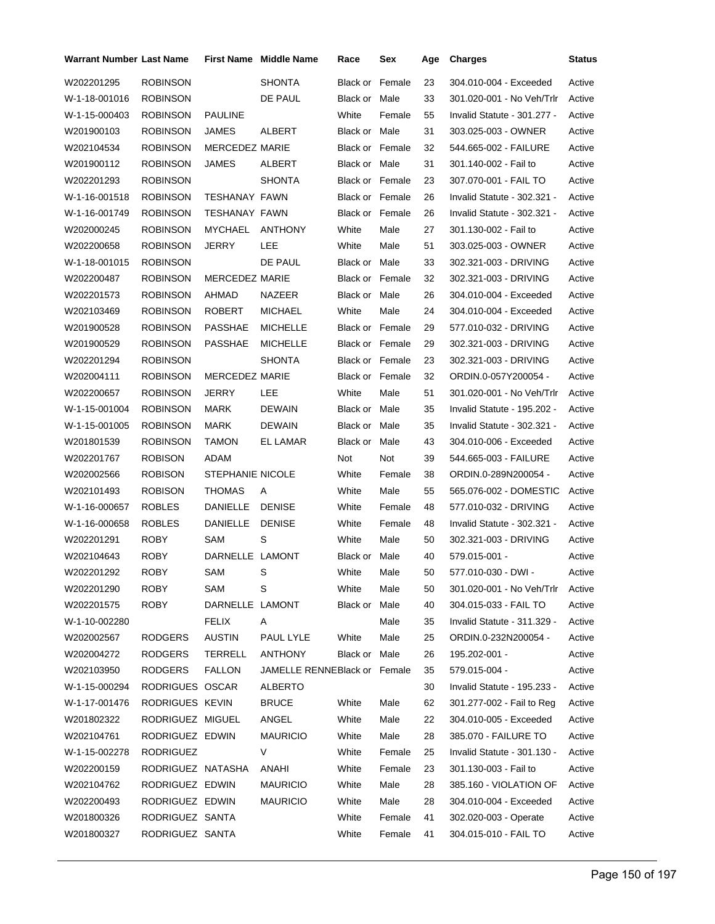| <b>Warrant Number Last Name</b> |                   |                       | <b>First Name</b> Middle Name | Race                   | Sex    | Age | <b>Charges</b>              | <b>Status</b> |
|---------------------------------|-------------------|-----------------------|-------------------------------|------------------------|--------|-----|-----------------------------|---------------|
| W202201295                      | <b>ROBINSON</b>   |                       | <b>SHONTA</b>                 | Black or               | Female | 23  | 304.010-004 - Exceeded      | Active        |
| W-1-18-001016                   | <b>ROBINSON</b>   |                       | DE PAUL                       | Black or Male          |        | 33  | 301.020-001 - No Veh/Trlr   | Active        |
| W-1-15-000403                   | <b>ROBINSON</b>   | <b>PAULINE</b>        |                               | White                  | Female | 55  | Invalid Statute - 301.277 - | Active        |
| W201900103                      | <b>ROBINSON</b>   | JAMES                 | ALBERT                        | Black or Male          |        | 31  | 303.025-003 - OWNER         | Active        |
| W202104534                      | <b>ROBINSON</b>   | <b>MERCEDEZ MARIE</b> |                               | <b>Black or Female</b> |        | 32  | 544.665-002 - FAILURE       | Active        |
| W201900112                      | <b>ROBINSON</b>   | JAMES                 | ALBERT                        | Black or Male          |        | 31  | 301.140-002 - Fail to       | Active        |
| W202201293                      | <b>ROBINSON</b>   |                       | <b>SHONTA</b>                 | <b>Black or Female</b> |        | 23  | 307.070-001 - FAIL TO       | Active        |
| W-1-16-001518                   | <b>ROBINSON</b>   | <b>TESHANAY FAWN</b>  |                               | <b>Black or Female</b> |        | 26  | Invalid Statute - 302.321 - | Active        |
| W-1-16-001749                   | <b>ROBINSON</b>   | TESHANAY FAWN         |                               | <b>Black or Female</b> |        | 26  | Invalid Statute - 302.321 - | Active        |
| W202000245                      | <b>ROBINSON</b>   | MYCHAEL               | <b>ANTHONY</b>                | White                  | Male   | 27  | 301.130-002 - Fail to       | Active        |
| W202200658                      | ROBINSON          | <b>JERRY</b>          | LEE                           | White                  | Male   | 51  | 303.025-003 - OWNER         | Active        |
| W-1-18-001015                   | <b>ROBINSON</b>   |                       | DE PAUL                       | Black or Male          |        | 33  | 302.321-003 - DRIVING       | Active        |
| W202200487                      | <b>ROBINSON</b>   | <b>MERCEDEZ MARIE</b> |                               | <b>Black or Female</b> |        | 32  | 302.321-003 - DRIVING       | Active        |
| W202201573                      | ROBINSON          | AHMAD                 | NAZEER                        | Black or Male          |        | 26  | 304.010-004 - Exceeded      | Active        |
| W202103469                      | <b>ROBINSON</b>   | <b>ROBERT</b>         | <b>MICHAEL</b>                | White                  | Male   | 24  | 304.010-004 - Exceeded      | Active        |
| W201900528                      | <b>ROBINSON</b>   | PASSHAE               | <b>MICHELLE</b>               | <b>Black or Female</b> |        | 29  | 577.010-032 - DRIVING       | Active        |
| W201900529                      | <b>ROBINSON</b>   | <b>PASSHAE</b>        | <b>MICHELLE</b>               | <b>Black or Female</b> |        | 29  | 302.321-003 - DRIVING       | Active        |
| W202201294                      | <b>ROBINSON</b>   |                       | <b>SHONTA</b>                 | <b>Black or Female</b> |        | 23  | 302.321-003 - DRIVING       | Active        |
| W202004111                      | <b>ROBINSON</b>   | <b>MERCEDEZ MARIE</b> |                               | <b>Black or Female</b> |        | 32  | ORDIN.0-057Y200054 -        | Active        |
| W202200657                      | <b>ROBINSON</b>   | JERRY                 | LEE                           | White                  | Male   | 51  | 301.020-001 - No Veh/Trlr   | Active        |
| W-1-15-001004                   | <b>ROBINSON</b>   | MARK                  | <b>DEWAIN</b>                 | Black or Male          |        | 35  | Invalid Statute - 195.202 - | Active        |
| W-1-15-001005                   | <b>ROBINSON</b>   | MARK                  | <b>DEWAIN</b>                 | Black or               | Male   | 35  | Invalid Statute - 302.321 - | Active        |
| W201801539                      | <b>ROBINSON</b>   | TAMON                 | EL LAMAR                      | Black or               | Male   | 43  | 304.010-006 - Exceeded      | Active        |
| W202201767                      | <b>ROBISON</b>    | ADAM                  |                               | Not                    | Not    | 39  | 544.665-003 - FAILURE       | Active        |
| W202002566                      | <b>ROBISON</b>    | STEPHANIE NICOLE      |                               | White                  | Female | 38  | ORDIN.0-289N200054 -        | Active        |
| W202101493                      | <b>ROBISON</b>    | <b>THOMAS</b>         | A                             | White                  | Male   | 55  | 565.076-002 - DOMESTIC      | Active        |
| W-1-16-000657                   | <b>ROBLES</b>     | DANIELLE              | <b>DENISE</b>                 | White                  | Female | 48  | 577.010-032 - DRIVING       | Active        |
| W-1-16-000658                   | <b>ROBLES</b>     | DANIELLE              | <b>DENISE</b>                 | White                  | Female | 48  | Invalid Statute - 302.321 - | Active        |
| W202201291                      | <b>ROBY</b>       | SAM                   | S                             | White                  | Male   | 50  | 302.321-003 - DRIVING       | Active        |
| W202104643                      | ROBY              | DARNELLE LAMONT       |                               | Black or Male          |        | 40  | 579.015-001 -               | Active        |
| W202201292                      | <b>ROBY</b>       | SAM                   | S                             | White                  | Male   | 50  | 577.010-030 - DWI -         | Active        |
| W202201290                      | <b>ROBY</b>       | SAM                   | S                             | White                  | Male   | 50  | 301.020-001 - No Veh/Trlr   | Active        |
| W202201575                      | <b>ROBY</b>       | DARNELLE LAMONT       |                               | Black or Male          |        | 40  | 304.015-033 - FAIL TO       | Active        |
| W-1-10-002280                   |                   | <b>FELIX</b>          | A                             |                        | Male   | 35  | Invalid Statute - 311.329 - | Active        |
| W202002567                      | <b>RODGERS</b>    | <b>AUSTIN</b>         | PAUL LYLE                     | White                  | Male   | 25  | ORDIN.0-232N200054 -        | Active        |
| W202004272                      | <b>RODGERS</b>    | TERRELL               | ANTHONY                       | Black or Male          |        | 26  | 195.202-001 -               | Active        |
| W202103950                      | <b>RODGERS</b>    | <b>FALLON</b>         | JAMELLE RENNEBlack or Female  |                        |        | 35  | 579.015-004 -               | Active        |
| W-1-15-000294                   | RODRIGUES OSCAR   |                       | <b>ALBERTO</b>                |                        |        | 30  | Invalid Statute - 195.233 - | Active        |
| W-1-17-001476                   | RODRIGUES KEVIN   |                       | <b>BRUCE</b>                  | White                  | Male   | 62  | 301.277-002 - Fail to Reg   | Active        |
| W201802322                      | RODRIGUEZ MIGUEL  |                       | ANGEL                         | White                  | Male   | 22  | 304.010-005 - Exceeded      | Active        |
| W202104761                      | RODRIGUEZ EDWIN   |                       | <b>MAURICIO</b>               | White                  | Male   | 28  | 385.070 - FAILURE TO        | Active        |
| W-1-15-002278                   | <b>RODRIGUEZ</b>  |                       | V                             | White                  | Female | 25  | Invalid Statute - 301.130 - | Active        |
| W202200159                      | RODRIGUEZ NATASHA |                       | ANAHI                         | White                  | Female | 23  | 301.130-003 - Fail to       | Active        |
| W202104762                      | RODRIGUEZ EDWIN   |                       | <b>MAURICIO</b>               | White                  | Male   | 28  | 385.160 - VIOLATION OF      | Active        |
| W202200493                      | RODRIGUEZ EDWIN   |                       | <b>MAURICIO</b>               | White                  | Male   | 28  | 304.010-004 - Exceeded      | Active        |
| W201800326                      | RODRIGUEZ SANTA   |                       |                               | White                  | Female | 41  | 302.020-003 - Operate       | Active        |
| W201800327                      | RODRIGUEZ SANTA   |                       |                               | White                  | Female | 41  | 304.015-010 - FAIL TO       | Active        |
|                                 |                   |                       |                               |                        |        |     |                             |               |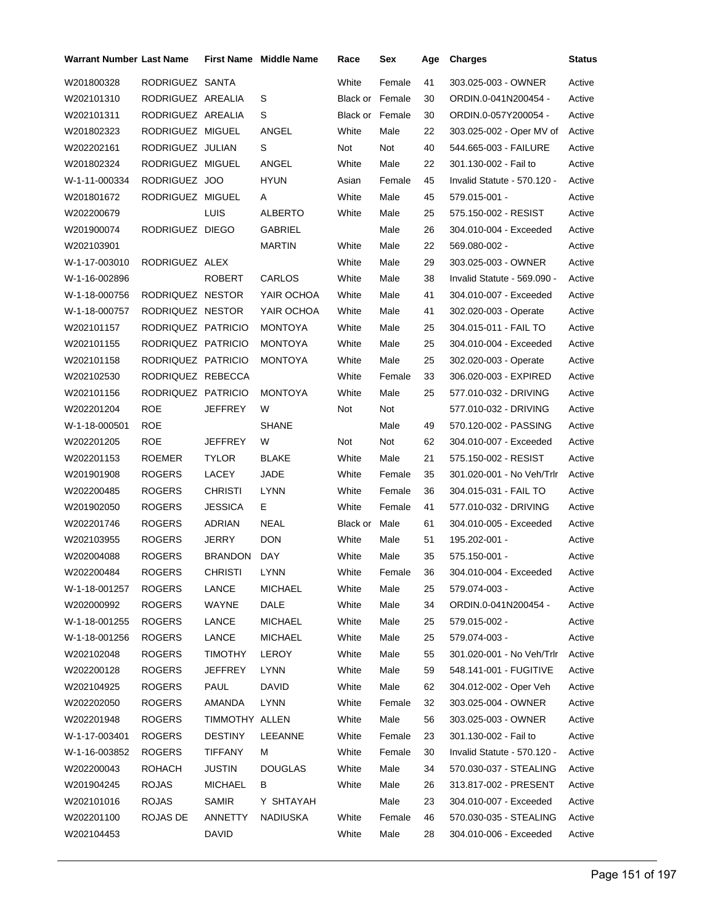| Warrant Number Last Name |                    |                | <b>First Name Middle Name</b> | Race                   | Sex    | Age | <b>Charges</b>              | <b>Status</b> |
|--------------------------|--------------------|----------------|-------------------------------|------------------------|--------|-----|-----------------------------|---------------|
| W201800328               | RODRIGUEZ SANTA    |                |                               | White                  | Female | 41  | 303.025-003 - OWNER         | Active        |
| W202101310               | RODRIGUEZ AREALIA  |                | S                             | <b>Black or Female</b> |        | 30  | ORDIN.0-041N200454 -        | Active        |
| W202101311               | RODRIGUEZ AREALIA  |                | S                             | Black or Female        |        | 30  | ORDIN.0-057Y200054 -        | Active        |
| W201802323               | RODRIGUEZ MIGUEL   |                | ANGEL                         | White                  | Male   | 22  | 303.025-002 - Oper MV of    | Active        |
| W202202161               | RODRIGUEZ JULIAN   |                | S                             | Not                    | Not    | 40  | 544.665-003 - FAILURE       | Active        |
| W201802324               | RODRIGUEZ MIGUEL   |                | ANGEL                         | White                  | Male   | 22  | 301.130-002 - Fail to       | Active        |
| W-1-11-000334            | RODRIGUEZ JOO      |                | <b>HYUN</b>                   | Asian                  | Female | 45  | Invalid Statute - 570.120 - | Active        |
| W201801672               | RODRIGUEZ MIGUEL   |                | A                             | White                  | Male   | 45  | 579.015-001 -               | Active        |
| W202200679               |                    | LUIS           | <b>ALBERTO</b>                | White                  | Male   | 25  | 575.150-002 - RESIST        | Active        |
| W201900074               | RODRIGUEZ DIEGO    |                | GABRIEL                       |                        | Male   | 26  | 304.010-004 - Exceeded      | Active        |
| W202103901               |                    |                | <b>MARTIN</b>                 | White                  | Male   | 22  | 569.080-002 -               | Active        |
| W-1-17-003010            | RODRIGUEZ ALEX     |                |                               | White                  | Male   | 29  | 303.025-003 - OWNER         | Active        |
| W-1-16-002896            |                    | <b>ROBERT</b>  | CARLOS                        | White                  | Male   | 38  | Invalid Statute - 569.090 - | Active        |
| W-1-18-000756            | RODRIQUEZ NESTOR   |                | YAIR OCHOA                    | White                  | Male   | 41  | 304.010-007 - Exceeded      | Active        |
| W-1-18-000757            | RODRIQUEZ NESTOR   |                | YAIR OCHOA                    | White                  | Male   | 41  | 302.020-003 - Operate       | Active        |
| W202101157               | RODRIQUEZ PATRICIO |                | <b>MONTOYA</b>                | White                  | Male   | 25  | 304.015-011 - FAIL TO       | Active        |
| W202101155               | RODRIQUEZ PATRICIO |                | <b>MONTOYA</b>                | White                  | Male   | 25  | 304.010-004 - Exceeded      | Active        |
| W202101158               | RODRIQUEZ PATRICIO |                | <b>MONTOYA</b>                | White                  | Male   | 25  | 302.020-003 - Operate       | Active        |
| W202102530               | RODRIQUEZ REBECCA  |                |                               | White                  | Female | 33  | 306.020-003 - EXPIRED       | Active        |
| W202101156               | RODRIQUEZ PATRICIO |                | <b>MONTOYA</b>                | White                  | Male   | 25  | 577.010-032 - DRIVING       | Active        |
| W202201204               | <b>ROE</b>         | JEFFREY        | W                             | Not                    | Not    |     | 577.010-032 - DRIVING       | Active        |
| W-1-18-000501            | <b>ROE</b>         |                | <b>SHANE</b>                  |                        | Male   | 49  | 570.120-002 - PASSING       | Active        |
| W202201205               | <b>ROE</b>         | JEFFREY        | W                             | Not                    | Not    | 62  | 304.010-007 - Exceeded      | Active        |
| W202201153               | <b>ROEMER</b>      | <b>TYLOR</b>   | <b>BLAKE</b>                  | White                  | Male   | 21  | 575.150-002 - RESIST        | Active        |
| W201901908               | <b>ROGERS</b>      | <b>LACEY</b>   | JADE                          | White                  | Female | 35  | 301.020-001 - No Veh/Trlr   | Active        |
| W202200485               | <b>ROGERS</b>      | <b>CHRISTI</b> | <b>LYNN</b>                   | White                  | Female | 36  | 304.015-031 - FAIL TO       | Active        |
| W201902050               | <b>ROGERS</b>      | <b>JESSICA</b> | Е.                            | White                  | Female | 41  | 577.010-032 - DRIVING       | Active        |
| W202201746               | <b>ROGERS</b>      | ADRIAN         | NEAL                          | Black or               | Male   | 61  | 304.010-005 - Exceeded      | Active        |
| W202103955               | <b>ROGERS</b>      | <b>JERRY</b>   | <b>DON</b>                    | White                  | Male   | 51  | 195.202-001 -               | Active        |
| W202004088               | <b>ROGERS</b>      | BRANDON        | DAY                           | White                  | Male   | 35  | 575.150-001 -               | Active        |
| W202200484               | <b>ROGERS</b>      | CHRISTI LYNN   |                               | White                  | Female | 36  | 304.010-004 - Exceeded      | Active        |
| W-1-18-001257            | <b>ROGERS</b>      | LANCE          | <b>MICHAEL</b>                | White                  | Male   | 25  | 579.074-003 -               | Active        |
| W202000992               | ROGERS             | WAYNE          | <b>DALE</b>                   | White                  | Male   | 34  | ORDIN.0-041N200454 -        | Active        |
| W-1-18-001255            | <b>ROGERS</b>      | LANCE          | <b>MICHAEL</b>                | White                  | Male   | 25  | 579.015-002 -               | Active        |
| W-1-18-001256            | <b>ROGERS</b>      | LANCE          | <b>MICHAEL</b>                | White                  | Male   | 25  | 579.074-003 -               | Active        |
| W202102048               | <b>ROGERS</b>      | <b>TIMOTHY</b> | LEROY                         | White                  | Male   | 55  | 301.020-001 - No Veh/Trlr   | Active        |
| W202200128               | <b>ROGERS</b>      | JEFFREY        | LYNN                          | White                  | Male   | 59  | 548.141-001 - FUGITIVE      | Active        |
| W202104925               | <b>ROGERS</b>      | PAUL           | <b>DAVID</b>                  | White                  | Male   | 62  | 304.012-002 - Oper Veh      | Active        |
| W202202050               | <b>ROGERS</b>      | AMANDA         | LYNN                          | White                  | Female | 32  | 303.025-004 - OWNER         | Active        |
| W202201948               | <b>ROGERS</b>      | TIMMOTHY ALLEN |                               | White                  | Male   | 56  | 303.025-003 - OWNER         | Active        |
| W-1-17-003401            | <b>ROGERS</b>      | <b>DESTINY</b> | LEEANNE                       | White                  | Female | 23  | 301.130-002 - Fail to       | Active        |
| W-1-16-003852            | <b>ROGERS</b>      | TIFFANY        | M                             | White                  | Female | 30  | Invalid Statute - 570.120 - | Active        |
| W202200043               | <b>ROHACH</b>      | JUSTIN         | <b>DOUGLAS</b>                | White                  | Male   | 34  | 570.030-037 - STEALING      | Active        |
| W201904245               | <b>ROJAS</b>       | <b>MICHAEL</b> | B                             | White                  | Male   | 26  | 313.817-002 - PRESENT       | Active        |
| W202101016               | <b>ROJAS</b>       | <b>SAMIR</b>   | Y SHTAYAH                     |                        | Male   | 23  | 304.010-007 - Exceeded      | Active        |
| W202201100               | ROJAS DE           | ANNETTY        | <b>NADIUSKA</b>               | White                  | Female | 46  | 570.030-035 - STEALING      | Active        |
| W202104453               |                    | <b>DAVID</b>   |                               | White                  | Male   | 28  | 304.010-006 - Exceeded      | Active        |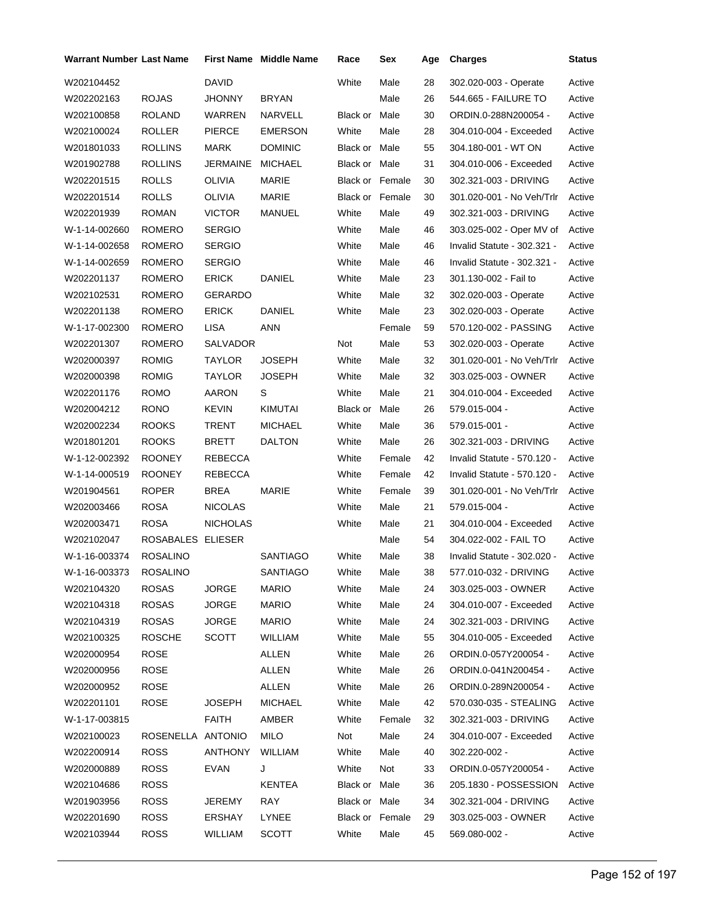| Warrant Number Last Name |                   |                 | <b>First Name</b> Middle Name | Race                   | Sex    | Age | <b>Charges</b>              | Status |
|--------------------------|-------------------|-----------------|-------------------------------|------------------------|--------|-----|-----------------------------|--------|
| W202104452               |                   | DAVID           |                               | White                  | Male   | 28  | 302.020-003 - Operate       | Active |
| W202202163               | <b>ROJAS</b>      | JHONNY          | <b>BRYAN</b>                  |                        | Male   | 26  | 544.665 - FAILURE TO        | Active |
| W202100858               | <b>ROLAND</b>     | <b>WARREN</b>   | NARVELL                       | Black or Male          |        | 30  | ORDIN.0-288N200054 -        | Active |
| W202100024               | <b>ROLLER</b>     | <b>PIERCE</b>   | <b>EMERSON</b>                | White                  | Male   | 28  | 304.010-004 - Exceeded      | Active |
| W201801033               | <b>ROLLINS</b>    | MARK            | <b>DOMINIC</b>                | Black or Male          |        | 55  | 304.180-001 - WT ON         | Active |
| W201902788               | <b>ROLLINS</b>    | JERMAINE        | <b>MICHAEL</b>                | Black or Male          |        | 31  | 304.010-006 - Exceeded      | Active |
| W202201515               | <b>ROLLS</b>      | <b>OLIVIA</b>   | <b>MARIE</b>                  | Black or Female        |        | 30  | 302.321-003 - DRIVING       | Active |
| W202201514               | <b>ROLLS</b>      | OLIVIA          | MARIE                         | <b>Black or Female</b> |        | 30  | 301.020-001 - No Veh/Trlr   | Active |
| W202201939               | <b>ROMAN</b>      | <b>VICTOR</b>   | MANUEL                        | White                  | Male   | 49  | 302.321-003 - DRIVING       | Active |
| W-1-14-002660            | ROMERO            | <b>SERGIO</b>   |                               | White                  | Male   | 46  | 303.025-002 - Oper MV of    | Active |
| W-1-14-002658            | ROMERO            | <b>SERGIO</b>   |                               | White                  | Male   | 46  | Invalid Statute - 302.321 - | Active |
| W-1-14-002659            | ROMERO            | <b>SERGIO</b>   |                               | White                  | Male   | 46  | Invalid Statute - 302.321 - | Active |
| W202201137               | ROMERO            | <b>ERICK</b>    | <b>DANIEL</b>                 | White                  | Male   | 23  | 301.130-002 - Fail to       | Active |
| W202102531               | ROMERO            | GERARDO         |                               | White                  | Male   | 32  | 302.020-003 - Operate       | Active |
| W202201138               | ROMERO            | ERICK           | DANIEL                        | White                  | Male   | 23  | 302.020-003 - Operate       | Active |
| W-1-17-002300            | <b>ROMERO</b>     | <b>LISA</b>     | <b>ANN</b>                    |                        | Female | 59  | 570.120-002 - PASSING       | Active |
| W202201307               | ROMERO            | SALVADOR        |                               | Not                    | Male   | 53  | 302.020-003 - Operate       | Active |
| W202000397               | <b>ROMIG</b>      | TAYLOR          | <b>JOSEPH</b>                 | White                  | Male   | 32  | 301.020-001 - No Veh/Trlr   | Active |
| W202000398               | <b>ROMIG</b>      | TAYLOR          | <b>JOSEPH</b>                 | White                  | Male   | 32  | 303.025-003 - OWNER         | Active |
| W202201176               | <b>ROMO</b>       | AARON           | S                             | White                  | Male   | 21  | 304.010-004 - Exceeded      | Active |
| W202004212               | <b>RONO</b>       | <b>KEVIN</b>    | <b>KIMUTAI</b>                | Black or               | Male   | 26  | 579.015-004 -               | Active |
| W202002234               | <b>ROOKS</b>      | TRENT           | <b>MICHAEL</b>                | White                  | Male   | 36  | 579.015-001 -               | Active |
| W201801201               | <b>ROOKS</b>      | BRETT           | <b>DALTON</b>                 | White                  | Male   | 26  | 302.321-003 - DRIVING       | Active |
| W-1-12-002392            | <b>ROONEY</b>     | REBECCA         |                               | White                  | Female | 42  | Invalid Statute - 570.120 - | Active |
| W-1-14-000519            | <b>ROONEY</b>     | REBECCA         |                               | White                  | Female | 42  | Invalid Statute - 570.120 - | Active |
| W201904561               | <b>ROPER</b>      | BREA            | MARIE                         | White                  | Female | 39  | 301.020-001 - No Veh/Trlr   | Active |
| W202003466               | <b>ROSA</b>       | <b>NICOLAS</b>  |                               | White                  | Male   | 21  | 579.015-004 -               | Active |
| W202003471               | <b>ROSA</b>       | <b>NICHOLAS</b> |                               | White                  | Male   | 21  | 304.010-004 - Exceeded      | Active |
| W202102047               | ROSABALES ELIESER |                 |                               |                        | Male   | 54  | 304.022-002 - FAIL TO       | Active |
| W-1-16-003374            | <b>ROSALINO</b>   |                 | <b>SANTIAGO</b>               | White                  | Male   | 38  | Invalid Statute - 302.020 - | Active |
| W-1-16-003373            | ROSALINO          |                 | SANTIAGO                      | White                  | Male   | 38  | 577.010-032 - DRIVING       | Active |
| W202104320               | <b>ROSAS</b>      | <b>JORGE</b>    | <b>MARIO</b>                  | White                  | Male   | 24  | 303.025-003 - OWNER         | Active |
| W202104318               | <b>ROSAS</b>      | <b>JORGE</b>    | <b>MARIO</b>                  | White                  | Male   | 24  | 304.010-007 - Exceeded      | Active |
| W202104319               | <b>ROSAS</b>      | <b>JORGE</b>    | <b>MARIO</b>                  | White                  | Male   | 24  | 302.321-003 - DRIVING       | Active |
| W202100325               | <b>ROSCHE</b>     | <b>SCOTT</b>    | WILLIAM                       | White                  | Male   | 55  | 304.010-005 - Exceeded      | Active |
| W202000954               | ROSE              |                 | <b>ALLEN</b>                  | White                  | Male   | 26  | ORDIN.0-057Y200054 -        | Active |
| W202000956               | ROSE              |                 | <b>ALLEN</b>                  | White                  | Male   | 26  | ORDIN.0-041N200454 -        | Active |
| W202000952               | <b>ROSE</b>       |                 | <b>ALLEN</b>                  | White                  | Male   | 26  | ORDIN.0-289N200054 -        | Active |
| W202201101               | <b>ROSE</b>       | <b>JOSEPH</b>   | <b>MICHAEL</b>                | White                  | Male   | 42  | 570.030-035 - STEALING      | Active |
| W-1-17-003815            |                   | <b>FAITH</b>    | AMBER                         | White                  | Female | 32  | 302.321-003 - DRIVING       | Active |
| W202100023               | ROSENELLA ANTONIO |                 | MILO                          | Not                    | Male   | 24  | 304.010-007 - Exceeded      | Active |
| W202200914               | ROSS              | ANTHONY         | <b>WILLIAM</b>                | White                  | Male   | 40  | 302.220-002 -               | Active |
| W202000889               | ROSS              | <b>EVAN</b>     | J                             | White                  | Not    | 33  | ORDIN.0-057Y200054 -        | Active |
| W202104686               | <b>ROSS</b>       |                 | KENTEA                        | Black or Male          |        | 36  | 205.1830 - POSSESSION       | Active |
| W201903956               | <b>ROSS</b>       | JEREMY          | RAY                           | Black or Male          |        | 34  | 302.321-004 - DRIVING       | Active |
| W202201690               | <b>ROSS</b>       | ERSHAY          | LYNEE                         | Black or Female        |        | 29  | 303.025-003 - OWNER         | Active |
| W202103944               | <b>ROSS</b>       | WILLIAM         | <b>SCOTT</b>                  | White                  | Male   | 45  | 569.080-002 -               | Active |
|                          |                   |                 |                               |                        |        |     |                             |        |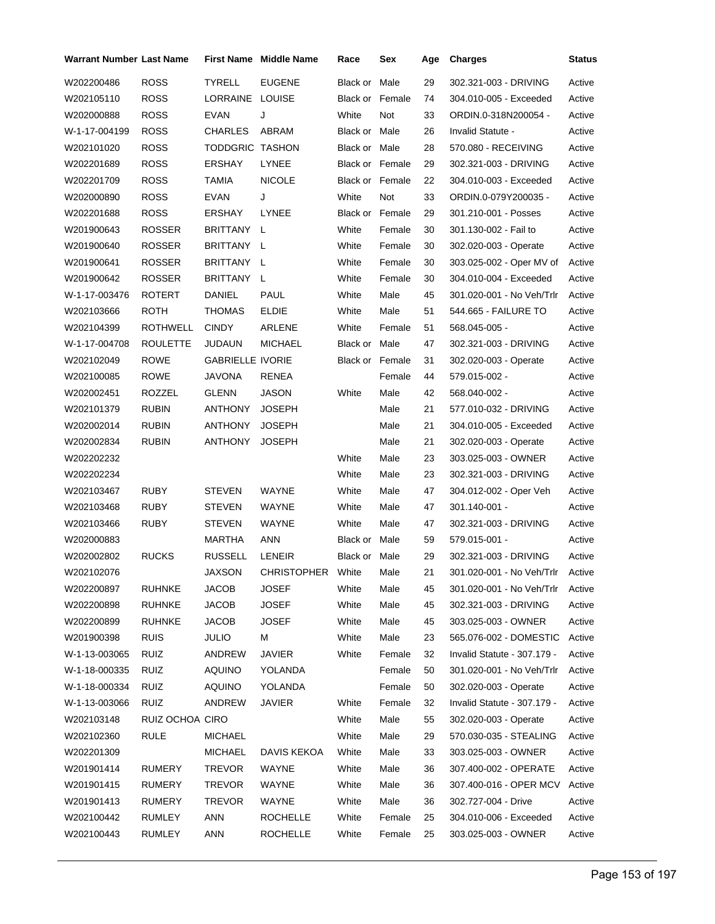| Warrant Number Last Name |                 |                         | <b>First Name Middle Name</b> | Race                   | Sex    | Age | <b>Charges</b>              | <b>Status</b> |
|--------------------------|-----------------|-------------------------|-------------------------------|------------------------|--------|-----|-----------------------------|---------------|
| W202200486               | <b>ROSS</b>     | TYRELL                  | <b>EUGENE</b>                 | Black or Male          |        | 29  | 302.321-003 - DRIVING       | Active        |
| W202105110               | ROSS            | LORRAINE LOUISE         |                               | Black or Female        |        | 74  | 304.010-005 - Exceeded      | Active        |
| W202000888               | <b>ROSS</b>     | <b>EVAN</b>             | J                             | White                  | Not    | 33  | ORDIN.0-318N200054 -        | Active        |
| W-1-17-004199            | <b>ROSS</b>     | <b>CHARLES</b>          | ABRAM                         | Black or Male          |        | 26  | Invalid Statute -           | Active        |
| W202101020               | ROSS            | TODDGRIC TASHON         |                               | Black or Male          |        | 28  | 570.080 - RECEIVING         | Active        |
| W202201689               | <b>ROSS</b>     | ERSHAY                  | <b>LYNEE</b>                  | Black or Female        |        | 29  | 302.321-003 - DRIVING       | Active        |
| W202201709               | <b>ROSS</b>     | TAMIA                   | <b>NICOLE</b>                 | <b>Black or Female</b> |        | 22  | 304.010-003 - Exceeded      | Active        |
| W202000890               | ROSS            | EVAN                    | J                             | White                  | Not    | 33  | ORDIN.0-079Y200035 -        | Active        |
| W202201688               | <b>ROSS</b>     | ERSHAY                  | LYNEE                         | Black or Female        |        | 29  | 301.210-001 - Posses        | Active        |
| W201900643               | <b>ROSSER</b>   | BRITTANY L              |                               | White                  | Female | 30  | 301.130-002 - Fail to       | Active        |
| W201900640               | ROSSER          | BRITTANY L              |                               | White                  | Female | 30  | 302.020-003 - Operate       | Active        |
| W201900641               | ROSSER          | BRITTANY L              |                               | White                  | Female | 30  | 303.025-002 - Oper MV of    | Active        |
| W201900642               | ROSSER          | BRITTANY L              |                               | White                  | Female | 30  | 304.010-004 - Exceeded      | Active        |
| W-1-17-003476            | ROTERT          | DANIEL                  | <b>PAUL</b>                   | White                  | Male   | 45  | 301.020-001 - No Veh/Trlr   | Active        |
| W202103666               | ROTH            | THOMAS                  | <b>ELDIE</b>                  | White                  | Male   | 51  | 544.665 - FAILURE TO        | Active        |
| W202104399               | ROTHWELL        | <b>CINDY</b>            | ARLENE                        | White                  | Female | 51  | 568.045-005 -               | Active        |
| W-1-17-004708            | <b>ROULETTE</b> | JUDAUN                  | <b>MICHAEL</b>                | Black or Male          |        | 47  | 302.321-003 - DRIVING       | Active        |
| W202102049               | <b>ROWE</b>     | <b>GABRIELLE IVORIE</b> |                               | Black or Female        |        | 31  | 302.020-003 - Operate       | Active        |
| W202100085               | <b>ROWE</b>     | JAVONA                  | RENEA                         |                        | Female | 44  | 579.015-002 -               | Active        |
| W202002451               | ROZZEL          | GLENN                   | <b>JASON</b>                  | White                  | Male   | 42  | 568.040-002 -               | Active        |
| W202101379               | <b>RUBIN</b>    | ANTHONY                 | <b>JOSEPH</b>                 |                        | Male   | 21  | 577.010-032 - DRIVING       | Active        |
| W202002014               | <b>RUBIN</b>    | ANTHONY                 | <b>JOSEPH</b>                 |                        | Male   | 21  | 304.010-005 - Exceeded      | Active        |
| W202002834               | <b>RUBIN</b>    | ANTHONY                 | <b>JOSEPH</b>                 |                        | Male   | 21  | 302.020-003 - Operate       | Active        |
| W202202232               |                 |                         |                               | White                  | Male   | 23  | 303.025-003 - OWNER         | Active        |
| W202202234               |                 |                         |                               | White                  | Male   | 23  | 302.321-003 - DRIVING       | Active        |
| W202103467               | <b>RUBY</b>     | STEVEN                  | <b>WAYNE</b>                  | White                  | Male   | 47  | 304.012-002 - Oper Veh      | Active        |
| W202103468               | <b>RUBY</b>     | STEVEN                  | WAYNE                         | White                  | Male   | 47  | 301.140-001 -               | Active        |
| W202103466               | RUBY            | STEVEN                  | WAYNE                         | White                  | Male   | 47  | 302.321-003 - DRIVING       | Active        |
| W202000883               |                 | MARTHA                  | <b>ANN</b>                    | Black or Male          |        | 59  | 579.015-001 -               | Active        |
| W202002802               | <b>RUCKS</b>    | <b>RUSSELL</b>          | <b>LENEIR</b>                 | Black or Male          |        | 29  | 302.321-003 - DRIVING       | Active        |
| W202102076               |                 | <b>JAXSON</b>           | CHRISTOPHER                   | White                  | Male   | 21  | 301.020-001 - No Veh/Trlr   | Active        |
| W202200897               | <b>RUHNKE</b>   | JACOB                   | JOSEF                         | White                  | Male   | 45  | 301.020-001 - No Veh/Trlr   | Active        |
| W202200898               | <b>RUHNKE</b>   | <b>JACOB</b>            | <b>JOSEF</b>                  | White                  | Male   | 45  | 302.321-003 - DRIVING       | Active        |
| W202200899               | <b>RUHNKE</b>   | JACOB                   | JOSEF                         | White                  | Male   | 45  | 303.025-003 - OWNER         | Active        |
| W201900398               | <b>RUIS</b>     | <b>JULIO</b>            | м                             | White                  | Male   | 23  | 565.076-002 - DOMESTIC      | Active        |
| W-1-13-003065            | <b>RUIZ</b>     | <b>ANDREW</b>           | <b>JAVIER</b>                 | White                  | Female | 32  | Invalid Statute - 307.179 - | Active        |
| W-1-18-000335            | RUIZ            | AQUINO                  | YOLANDA                       |                        | Female | 50  | 301.020-001 - No Veh/Trlr   | Active        |
| W-1-18-000334            | <b>RUIZ</b>     | <b>AQUINO</b>           | YOLANDA                       |                        | Female | 50  | 302.020-003 - Operate       | Active        |
| W-1-13-003066            | <b>RUIZ</b>     | ANDREW                  | <b>JAVIER</b>                 | White                  | Female | 32  | Invalid Statute - 307.179 - | Active        |
| W202103148               | RUIZ OCHOA CIRO |                         |                               | White                  | Male   | 55  | 302.020-003 - Operate       | Active        |
| W202102360               | RULE            | <b>MICHAEL</b>          |                               | White                  | Male   | 29  | 570.030-035 - STEALING      | Active        |
| W202201309               |                 | <b>MICHAEL</b>          | DAVIS KEKOA                   | White                  | Male   | 33  | 303.025-003 - OWNER         | Active        |
| W201901414               | RUMERY          | <b>TREVOR</b>           | WAYNE                         | White                  | Male   | 36  | 307.400-002 - OPERATE       | Active        |
| W201901415               | RUMERY          | <b>TREVOR</b>           | WAYNE                         | White                  | Male   | 36  | 307.400-016 - OPER MCV      | Active        |
| W201901413               | <b>RUMERY</b>   | <b>TREVOR</b>           | WAYNE                         | White                  | Male   | 36  | 302.727-004 - Drive         | Active        |
| W202100442               | RUMLEY          | <b>ANN</b>              | <b>ROCHELLE</b>               | White                  | Female | 25  | 304.010-006 - Exceeded      | Active        |
| W202100443               | RUMLEY          | <b>ANN</b>              | <b>ROCHELLE</b>               | White                  | Female | 25  | 303.025-003 - OWNER         | Active        |
|                          |                 |                         |                               |                        |        |     |                             |               |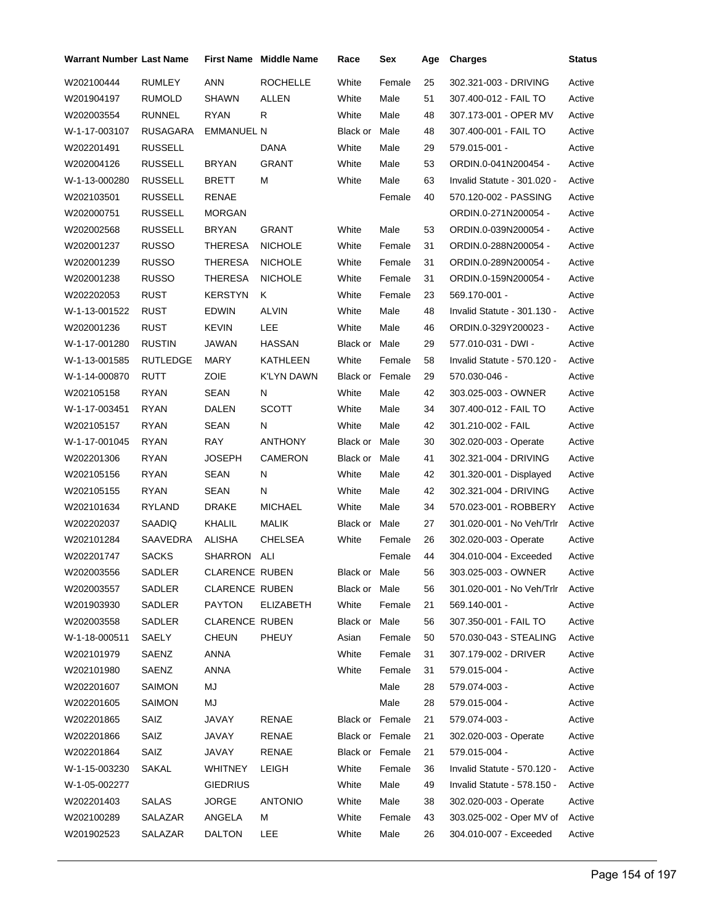| <b>Warrant Number Last Name</b> |                 |                       | <b>First Name Middle Name</b> | Race            | Sex    | Age | <b>Charges</b>              | <b>Status</b> |
|---------------------------------|-----------------|-----------------------|-------------------------------|-----------------|--------|-----|-----------------------------|---------------|
| W202100444                      | <b>RUMLEY</b>   | <b>ANN</b>            | <b>ROCHELLE</b>               | White           | Female | 25  | 302.321-003 - DRIVING       | Active        |
| W201904197                      | <b>RUMOLD</b>   | <b>SHAWN</b>          | ALLEN                         | White           | Male   | 51  | 307.400-012 - FAIL TO       | Active        |
| W202003554                      | <b>RUNNEL</b>   | RYAN                  | R                             | White           | Male   | 48  | 307.173-001 - OPER MV       | Active        |
| W-1-17-003107                   | RUSAGARA        | <b>EMMANUEL N</b>     |                               | Black or Male   |        | 48  | 307.400-001 - FAIL TO       | Active        |
| W202201491                      | <b>RUSSELL</b>  |                       | DANA                          | White           | Male   | 29  | 579.015-001 -               | Active        |
| W202004126                      | <b>RUSSELL</b>  | <b>BRYAN</b>          | GRANT                         | White           | Male   | 53  | ORDIN.0-041N200454 -        | Active        |
| W-1-13-000280                   | <b>RUSSELL</b>  | <b>BRETT</b>          | М                             | White           | Male   | 63  | Invalid Statute - 301.020 - | Active        |
| W202103501                      | <b>RUSSELL</b>  | RENAE                 |                               |                 | Female | 40  | 570.120-002 - PASSING       | Active        |
| W202000751                      | <b>RUSSELL</b>  | <b>MORGAN</b>         |                               |                 |        |     | ORDIN.0-271N200054 -        | Active        |
| W202002568                      | <b>RUSSELL</b>  | <b>BRYAN</b>          | GRANT                         | White           | Male   | 53  | ORDIN.0-039N200054 -        | Active        |
| W202001237                      | <b>RUSSO</b>    | <b>THERESA</b>        | <b>NICHOLE</b>                | White           | Female | 31  | ORDIN.0-288N200054 -        | Active        |
| W202001239                      | <b>RUSSO</b>    | <b>THERESA</b>        | <b>NICHOLE</b>                | White           | Female | 31  | ORDIN.0-289N200054 -        | Active        |
| W202001238                      | <b>RUSSO</b>    | <b>THERESA</b>        | <b>NICHOLE</b>                | White           | Female | 31  | ORDIN.0-159N200054 -        | Active        |
| W202202053                      | <b>RUST</b>     | <b>KERSTYN</b>        | Κ                             | White           | Female | 23  | 569.170-001 -               | Active        |
| W-1-13-001522                   | <b>RUST</b>     | <b>EDWIN</b>          | <b>ALVIN</b>                  | White           | Male   | 48  | Invalid Statute - 301.130 - | Active        |
| W202001236                      | <b>RUST</b>     | <b>KEVIN</b>          | LEE                           | White           | Male   | 46  | ORDIN.0-329Y200023 -        | Active        |
| W-1-17-001280                   | <b>RUSTIN</b>   | JAWAN                 | <b>HASSAN</b>                 | Black or Male   |        | 29  | 577.010-031 - DWI -         | Active        |
| W-1-13-001585                   | <b>RUTLEDGE</b> | <b>MARY</b>           | <b>KATHLEEN</b>               | White           | Female | 58  | Invalid Statute - 570.120 - | Active        |
| W-1-14-000870                   | RUTT            | ZOIE                  | <b>K'LYN DAWN</b>             | Black or Female |        | 29  | 570.030-046 -               | Active        |
| W202105158                      | <b>RYAN</b>     | SEAN                  | Ν                             | White           | Male   | 42  | 303.025-003 - OWNER         | Active        |
| W-1-17-003451                   | <b>RYAN</b>     | DALEN                 | <b>SCOTT</b>                  | White           | Male   | 34  | 307.400-012 - FAIL TO       | Active        |
| W202105157                      | <b>RYAN</b>     | SEAN                  | N                             | White           | Male   | 42  | 301.210-002 - FAIL          | Active        |
| W-1-17-001045                   | <b>RYAN</b>     | RAY                   | ANTHONY                       | Black or Male   |        | 30  | 302.020-003 - Operate       | Active        |
| W202201306                      | <b>RYAN</b>     | JOSEPH                | <b>CAMERON</b>                | Black or Male   |        | 41  | 302.321-004 - DRIVING       | Active        |
| W202105156                      | <b>RYAN</b>     | <b>SEAN</b>           | Ν                             | White           | Male   | 42  | 301.320-001 - Displayed     | Active        |
| W202105155                      | <b>RYAN</b>     | SEAN                  | N                             | White           | Male   | 42  | 302.321-004 - DRIVING       | Active        |
| W202101634                      | RYLAND          | DRAKE                 | <b>MICHAEL</b>                | White           | Male   | 34  | 570.023-001 - ROBBERY       | Active        |
| W202202037                      | SAADIQ          | KHALIL                | <b>MALIK</b>                  | Black or Male   |        | 27  | 301.020-001 - No Veh/Trlr   | Active        |
| W202101284                      | SAAVEDRA        | ALISHA                | CHELSEA                       | White           | Female | 26  | 302.020-003 - Operate       | Active        |
| W202201747                      | <b>SACKS</b>    | SHARRON ALI           |                               |                 | Female | 44  | 304.010-004 - Exceeded      | Active        |
| W202003556                      | SADLER          | <b>CLARENCE RUBEN</b> |                               | Black or Male   |        | 56  | 303.025-003 - OWNER         | Active        |
| W202003557                      | SADLER          | <b>CLARENCE RUBEN</b> |                               | Black or Male   |        | 56  | 301.020-001 - No Veh/Trlr   | Active        |
| W201903930                      | SADLER          | <b>PAYTON</b>         | <b>ELIZABETH</b>              | White           | Female | 21  | 569.140-001 -               | Active        |
| W202003558                      | SADLER          | <b>CLARENCE RUBEN</b> |                               | Black or Male   |        | 56  | 307.350-001 - FAIL TO       | Active        |
| W-1-18-000511                   | SAELY           | <b>CHEUN</b>          | <b>PHEUY</b>                  | Asian           | Female | 50  | 570.030-043 - STEALING      | Active        |
| W202101979                      | SAENZ           | <b>ANNA</b>           |                               | White           | Female | 31  | 307.179-002 - DRIVER        | Active        |
| W202101980                      | SAENZ           | <b>ANNA</b>           |                               | White           | Female | 31  | 579.015-004 -               | Active        |
| W202201607                      | SAIMON          | MJ                    |                               |                 | Male   | 28  | 579.074-003 -               | Active        |
| W202201605                      | <b>SAIMON</b>   | MJ                    |                               |                 | Male   | 28  | 579.015-004 -               | Active        |
| W202201865                      | SAIZ            | JAVAY                 | RENAE                         | Black or Female |        | 21  | 579.074-003 -               | Active        |
| W202201866                      | SAIZ            | JAVAY                 | RENAE                         | Black or Female |        | 21  | 302.020-003 - Operate       | Active        |
| W202201864                      | SAIZ            | JAVAY                 | RENAE                         | Black or Female |        | 21  | 579.015-004 -               | Active        |
| W-1-15-003230                   | SAKAL           | WHITNEY               | <b>LEIGH</b>                  | White           | Female | 36  | Invalid Statute - 570.120 - | Active        |
| W-1-05-002277                   |                 | <b>GIEDRIUS</b>       |                               | White           | Male   | 49  | Invalid Statute - 578.150 - | Active        |
| W202201403                      | <b>SALAS</b>    | <b>JORGE</b>          | <b>ANTONIO</b>                | White           | Male   | 38  | 302.020-003 - Operate       | Active        |
| W202100289                      | SALAZAR         | ANGELA                | М                             | White           | Female | 43  | 303.025-002 - Oper MV of    | Active        |
| W201902523                      | SALAZAR         | <b>DALTON</b>         | LEE                           | White           | Male   | 26  | 304.010-007 - Exceeded      | Active        |
|                                 |                 |                       |                               |                 |        |     |                             |               |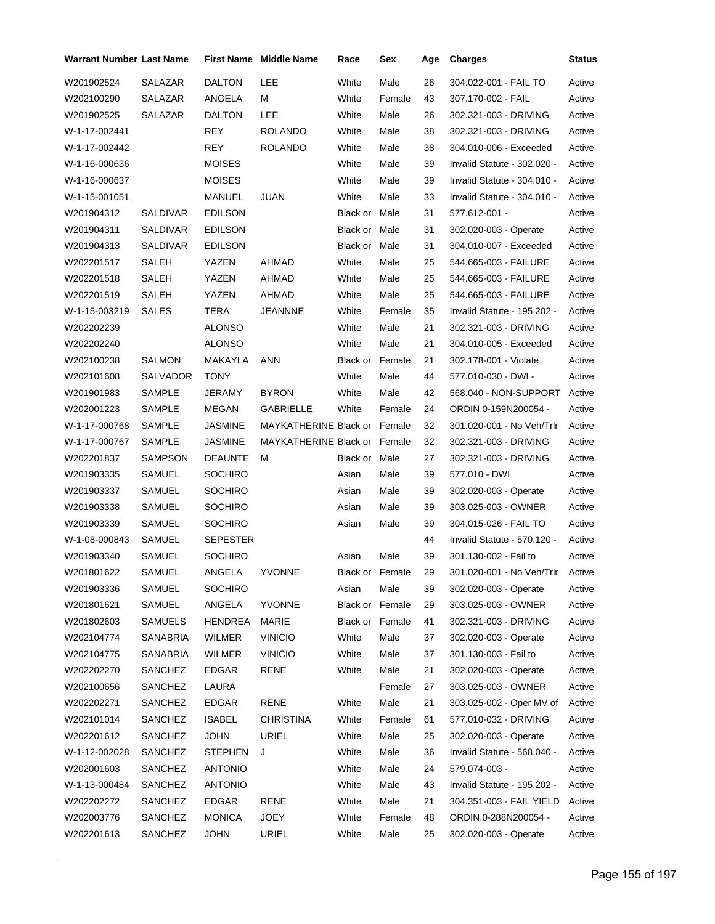| Warrant Number Last Name |                 |                 | <b>First Name</b> Middle Name | Race            | Sex    | Age | <b>Charges</b>              | Status |
|--------------------------|-----------------|-----------------|-------------------------------|-----------------|--------|-----|-----------------------------|--------|
| W201902524               | <b>SALAZAR</b>  | <b>DALTON</b>   | LEE                           | White           | Male   | 26  | 304.022-001 - FAIL TO       | Active |
| W202100290               | SALAZAR         | ANGELA          | М                             | White           | Female | 43  | 307.170-002 - FAIL          | Active |
| W201902525               | SALAZAR         | DALTON          | LEE                           | White           | Male   | 26  | 302.321-003 - DRIVING       | Active |
| W-1-17-002441            |                 | REY             | <b>ROLANDO</b>                | White           | Male   | 38  | 302.321-003 - DRIVING       | Active |
| W-1-17-002442            |                 | REY             | <b>ROLANDO</b>                | White           | Male   | 38  | 304.010-006 - Exceeded      | Active |
| W-1-16-000636            |                 | <b>MOISES</b>   |                               | White           | Male   | 39  | Invalid Statute - 302.020 - | Active |
| W-1-16-000637            |                 | <b>MOISES</b>   |                               | White           | Male   | 39  | Invalid Statute - 304.010 - | Active |
| W-1-15-001051            |                 | MANUEL          | <b>JUAN</b>                   | White           | Male   | 33  | Invalid Statute - 304.010 - | Active |
| W201904312               | SALDIVAR        | <b>EDILSON</b>  |                               | Black or Male   |        | 31  | 577.612-001 -               | Active |
| W201904311               | SALDIVAR        | <b>EDILSON</b>  |                               | Black or Male   |        | 31  | 302.020-003 - Operate       | Active |
| W201904313               | <b>SALDIVAR</b> | <b>EDILSON</b>  |                               | Black or Male   |        | 31  | 304.010-007 - Exceeded      | Active |
| W202201517               | SALEH           | YAZEN           | AHMAD                         | White           | Male   | 25  | 544.665-003 - FAILURE       | Active |
| W202201518               | <b>SALEH</b>    | YAZEN           | <b>AHMAD</b>                  | White           | Male   | 25  | 544.665-003 - FAILURE       | Active |
| W202201519               | <b>SALEH</b>    | YAZEN           | AHMAD                         | White           | Male   | 25  | 544.665-003 - FAILURE       | Active |
| W-1-15-003219            | <b>SALES</b>    | <b>TERA</b>     | JEANNNE                       | White           | Female | 35  | Invalid Statute - 195.202 - | Active |
| W202202239               |                 | <b>ALONSO</b>   |                               | White           | Male   | 21  | 302.321-003 - DRIVING       | Active |
| W202202240               |                 | <b>ALONSO</b>   |                               | White           | Male   | 21  | 304.010-005 - Exceeded      | Active |
| W202100238               | <b>SALMON</b>   | MAKAYLA         | <b>ANN</b>                    | Black or Female |        | 21  | 302.178-001 - Violate       | Active |
| W202101608               | SALVADOR        | <b>TONY</b>     |                               | White           | Male   | 44  | 577.010-030 - DWI -         | Active |
| W201901983               | SAMPLE          | JERAMY          | <b>BYRON</b>                  | White           | Male   | 42  | 568.040 - NON-SUPPORT       | Active |
| W202001223               | SAMPLE          | MEGAN           | <b>GABRIELLE</b>              | White           | Female | 24  | ORDIN.0-159N200054 -        | Active |
| W-1-17-000768            | SAMPLE          | JASMINE         | MAYKATHERINE Black or Female  |                 |        | 32  | 301.020-001 - No Veh/Trlr   | Active |
| W-1-17-000767            | SAMPLE          | JASMINE         | MAYKATHERINE Black or Female  |                 |        | 32  | 302.321-003 - DRIVING       | Active |
| W202201837               | SAMPSON         | <b>DEAUNTE</b>  | м                             | Black or Male   |        | 27  | 302.321-003 - DRIVING       | Active |
| W201903335               | SAMUEL          | SOCHIRO         |                               | Asian           | Male   | 39  | 577.010 - DWI               | Active |
| W201903337               | SAMUEL          | SOCHIRO         |                               | Asian           | Male   | 39  | 302.020-003 - Operate       | Active |
| W201903338               | SAMUEL          | SOCHIRO         |                               | Asian           | Male   | 39  | 303.025-003 - OWNER         | Active |
| W201903339               | SAMUEL          | <b>SOCHIRO</b>  |                               | Asian           | Male   | 39  | 304.015-026 - FAIL TO       | Active |
| W-1-08-000843            | SAMUEL          | <b>SEPESTER</b> |                               |                 |        | 44  | Invalid Statute - 570.120 - | Active |
| W201903340               | SAMUEL          | SOCHIRO         |                               | Asian           | Male   | 39  | 301.130-002 - Fail to       | Active |
| W201801622               | SAMUEL          | ANGELA          | YVONNE                        | Black or Female |        | 29  | 301.020-001 - No Veh/Trlr   | Active |
| W201903336               | SAMUEL          | SOCHIRO         |                               | Asian           | Male   | 39  | 302.020-003 - Operate       | Active |
| W201801621               | SAMUEL          | ANGELA          | <b>YVONNE</b>                 | Black or Female |        | 29  | 303.025-003 - OWNER         | Active |
| W201802603               | SAMUELS         | HENDREA         | <b>MARIE</b>                  | Black or Female |        | 41  | 302.321-003 - DRIVING       | Active |
| W202104774               | SANABRIA        | <b>WILMER</b>   | <b>VINICIO</b>                | White           | Male   | 37  | 302.020-003 - Operate       | Active |
| W202104775               | SANABRIA        | WILMER          | <b>VINICIO</b>                | White           | Male   | 37  | 301.130-003 - Fail to       | Active |
| W202202270               | SANCHEZ         | <b>EDGAR</b>    | <b>RENE</b>                   | White           | Male   | 21  | 302.020-003 - Operate       | Active |
| W202100656               | SANCHEZ         | LAURA           |                               |                 | Female | 27  | 303.025-003 - OWNER         | Active |
| W202202271               | SANCHEZ         | EDGAR           | <b>RENE</b>                   | White           | Male   | 21  | 303.025-002 - Oper MV of    | Active |
| W202101014               | SANCHEZ         | <b>ISABEL</b>   | <b>CHRISTINA</b>              | White           | Female | 61  | 577.010-032 - DRIVING       | Active |
| W202201612               | SANCHEZ         | <b>JOHN</b>     | URIEL                         | White           | Male   | 25  | 302.020-003 - Operate       | Active |
| W-1-12-002028            | SANCHEZ         | <b>STEPHEN</b>  | J                             | White           | Male   | 36  | Invalid Statute - 568.040 - | Active |
| W202001603               | SANCHEZ         | <b>ANTONIO</b>  |                               | White           | Male   | 24  | 579.074-003 -               | Active |
| W-1-13-000484            | SANCHEZ         | <b>ANTONIO</b>  |                               | White           | Male   | 43  | Invalid Statute - 195.202 - | Active |
| W202202272               | SANCHEZ         | <b>EDGAR</b>    | RENE                          | White           | Male   | 21  | 304.351-003 - FAIL YIELD    | Active |
| W202003776               | SANCHEZ         | <b>MONICA</b>   | JOEY                          | White           | Female | 48  | ORDIN.0-288N200054 -        | Active |
| W202201613               | SANCHEZ         | <b>JOHN</b>     | <b>URIEL</b>                  | White           | Male   | 25  | 302.020-003 - Operate       | Active |
|                          |                 |                 |                               |                 |        |     |                             |        |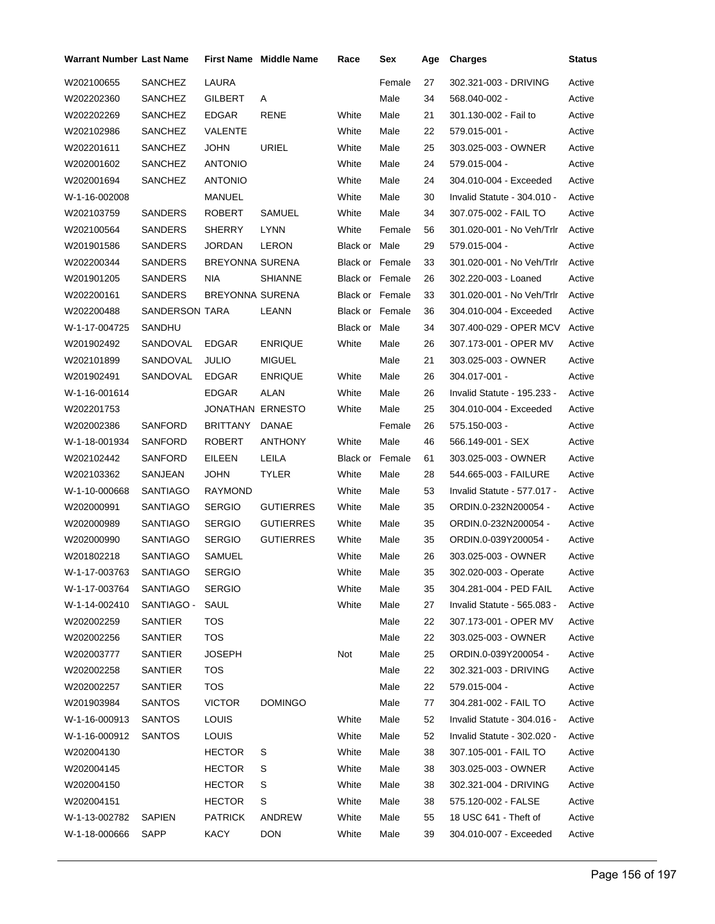| Warrant Number Last Name |                |                         | <b>First Name Middle Name</b> | Race                   | Sex    | Age | <b>Charges</b>              | Status |
|--------------------------|----------------|-------------------------|-------------------------------|------------------------|--------|-----|-----------------------------|--------|
| W202100655               | <b>SANCHEZ</b> | LAURA                   |                               |                        | Female | 27  | 302.321-003 - DRIVING       | Active |
| W202202360               | SANCHEZ        | GILBERT                 | Α                             |                        | Male   | 34  | 568.040-002 -               | Active |
| W202202269               | SANCHEZ        | <b>EDGAR</b>            | <b>RENE</b>                   | White                  | Male   | 21  | 301.130-002 - Fail to       | Active |
| W202102986               | SANCHEZ        | VALENTE                 |                               | White                  | Male   | 22  | 579.015-001 -               | Active |
| W202201611               | SANCHEZ        | <b>JOHN</b>             | <b>URIEL</b>                  | White                  | Male   | 25  | 303.025-003 - OWNER         | Active |
| W202001602               | SANCHEZ        | <b>ANTONIO</b>          |                               | White                  | Male   | 24  | 579.015-004 -               | Active |
| W202001694               | <b>SANCHEZ</b> | <b>ANTONIO</b>          |                               | White                  | Male   | 24  | 304.010-004 - Exceeded      | Active |
| W-1-16-002008            |                | MANUEL                  |                               | White                  | Male   | 30  | Invalid Statute - 304.010 - | Active |
| W202103759               | SANDERS        | <b>ROBERT</b>           | SAMUEL                        | White                  | Male   | 34  | 307.075-002 - FAIL TO       | Active |
| W202100564               | SANDERS        | <b>SHERRY</b>           | <b>LYNN</b>                   | White                  | Female | 56  | 301.020-001 - No Veh/Trlr   | Active |
| W201901586               | SANDERS        | <b>JORDAN</b>           | LERON                         | Black or Male          |        | 29  | 579.015-004 -               | Active |
| W202200344               | SANDERS        | <b>BREYONNA SURENA</b>  |                               | <b>Black or Female</b> |        | 33  | 301.020-001 - No Veh/Trlr   | Active |
| W201901205               | <b>SANDERS</b> | <b>NIA</b>              | <b>SHIANNE</b>                | <b>Black or Female</b> |        | 26  | 302.220-003 - Loaned        | Active |
| W202200161               | SANDERS        | <b>BREYONNA SURENA</b>  |                               | Black or Female        |        | 33  | 301.020-001 - No Veh/Trlr   | Active |
| W202200488               | SANDERSON TARA |                         | LEANN                         | <b>Black or Female</b> |        | 36  | 304.010-004 - Exceeded      | Active |
| W-1-17-004725            | SANDHU         |                         |                               | Black or Male          |        | 34  | 307.400-029 - OPER MCV      | Active |
| W201902492               | SANDOVAL       | <b>EDGAR</b>            | <b>ENRIQUE</b>                | White                  | Male   | 26  | 307.173-001 - OPER MV       | Active |
| W202101899               | SANDOVAL       | <b>JULIO</b>            | <b>MIGUEL</b>                 |                        | Male   | 21  | 303.025-003 - OWNER         | Active |
| W201902491               | SANDOVAL       | <b>EDGAR</b>            | <b>ENRIQUE</b>                | White                  | Male   | 26  | 304.017-001 -               | Active |
| W-1-16-001614            |                | <b>EDGAR</b>            | ALAN                          | White                  | Male   | 26  | Invalid Statute - 195.233 - | Active |
| W202201753               |                | <b>JONATHAN ERNESTO</b> |                               | White                  | Male   | 25  | 304.010-004 - Exceeded      | Active |
| W202002386               | SANFORD        | <b>BRITTANY</b>         | DANAE                         |                        | Female | 26  | 575.150-003 -               | Active |
| W-1-18-001934            | SANFORD        | ROBERT                  | <b>ANTHONY</b>                | White                  | Male   | 46  | 566.149-001 - SEX           | Active |
| W202102442               | SANFORD        | EILEEN                  | LEILA                         | Black or Female        |        | 61  | 303.025-003 - OWNER         | Active |
| W202103362               | SANJEAN        | <b>JOHN</b>             | <b>TYLER</b>                  | White                  | Male   | 28  | 544.665-003 - FAILURE       | Active |
| W-1-10-000668            | SANTIAGO       | <b>RAYMOND</b>          |                               | White                  | Male   | 53  | Invalid Statute - 577.017 - | Active |
| W202000991               | SANTIAGO       | <b>SERGIO</b>           | <b>GUTIERRES</b>              | White                  | Male   | 35  | ORDIN.0-232N200054 -        | Active |
| W202000989               | SANTIAGO       | <b>SERGIO</b>           | <b>GUTIERRES</b>              | White                  | Male   | 35  | ORDIN.0-232N200054 -        | Active |
| W202000990               | SANTIAGO       | <b>SERGIO</b>           | <b>GUTIERRES</b>              | White                  | Male   | 35  | ORDIN.0-039Y200054 -        | Active |
| W201802218               | SANTIAGO       | SAMUEL                  |                               | White                  | Male   | 26  | 303.025-003 - OWNER         | Active |
| W-1-17-003763            | SANTIAGO       | <b>SERGIO</b>           |                               | White                  | Male   | 35  | 302.020-003 - Operate       | Active |
| W-1-17-003764            | SANTIAGO       | <b>SERGIO</b>           |                               | White                  | Male   | 35  | 304.281-004 - PED FAIL      | Active |
| W-1-14-002410            | SANTIAGO -     | SAUL                    |                               | White                  | Male   | 27  | Invalid Statute - 565.083 - | Active |
| W202002259               | SANTIER        | <b>TOS</b>              |                               |                        | Male   | 22  | 307.173-001 - OPER MV       | Active |
| W202002256               | SANTIER        | <b>TOS</b>              |                               |                        | Male   | 22  | 303.025-003 - OWNER         | Active |
| W202003777               | SANTIER        | <b>JOSEPH</b>           |                               | Not                    | Male   | 25  | ORDIN.0-039Y200054 -        | Active |
| W202002258               | SANTIER        | <b>TOS</b>              |                               |                        | Male   | 22  | 302.321-003 - DRIVING       | Active |
| W202002257               | <b>SANTIER</b> | <b>TOS</b>              |                               |                        | Male   | 22  | 579.015-004 -               | Active |
| W201903984               | <b>SANTOS</b>  | <b>VICTOR</b>           | <b>DOMINGO</b>                |                        | Male   | 77  | 304.281-002 - FAIL TO       | Active |
| W-1-16-000913            | SANTOS         | <b>LOUIS</b>            |                               | White                  | Male   | 52  | Invalid Statute - 304.016 - | Active |
| W-1-16-000912            | SANTOS         | <b>LOUIS</b>            |                               | White                  | Male   | 52  | Invalid Statute - 302.020 - | Active |
| W202004130               |                | <b>HECTOR</b>           | S                             | White                  | Male   | 38  | 307.105-001 - FAIL TO       | Active |
| W202004145               |                | <b>HECTOR</b>           | S                             | White                  | Male   | 38  | 303.025-003 - OWNER         | Active |
| W202004150               |                | <b>HECTOR</b>           | S                             | White                  | Male   | 38  | 302.321-004 - DRIVING       | Active |
| W202004151               |                | <b>HECTOR</b>           | S                             | White                  | Male   | 38  | 575.120-002 - FALSE         | Active |
| W-1-13-002782            | <b>SAPIEN</b>  | <b>PATRICK</b>          | ANDREW                        | White                  | Male   | 55  | 18 USC 641 - Theft of       | Active |
| W-1-18-000666            | SAPP           | <b>KACY</b>             | <b>DON</b>                    | White                  | Male   | 39  | 304.010-007 - Exceeded      | Active |
|                          |                |                         |                               |                        |        |     |                             |        |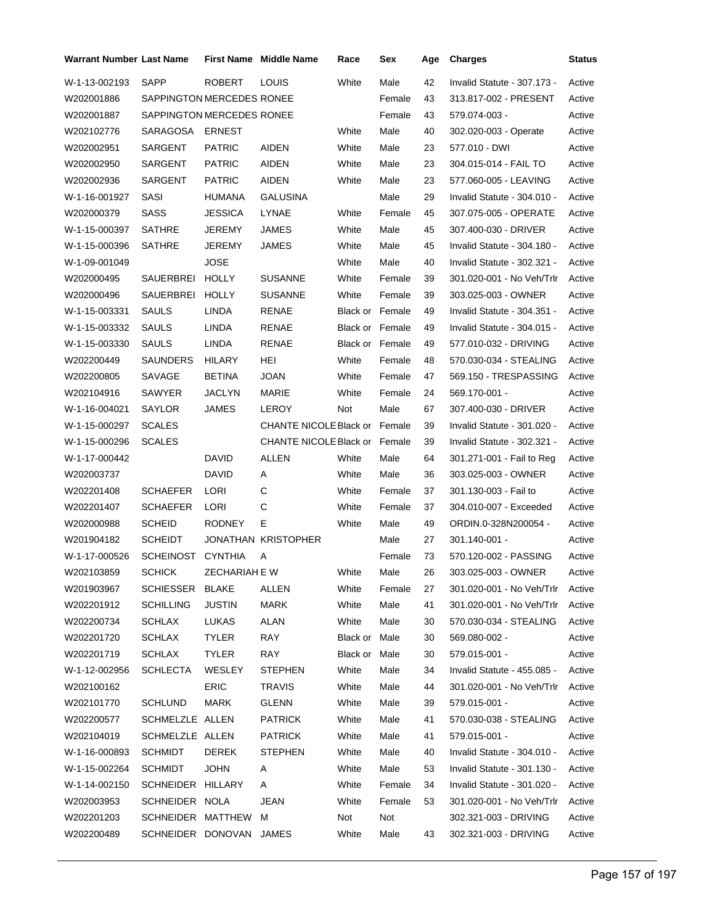| <b>Warrant Number Last Name</b> |                           | <b>First Name</b> | <b>Middle Name</b>            | Race                   | Sex    | Age | <b>Charges</b>                     | Status |
|---------------------------------|---------------------------|-------------------|-------------------------------|------------------------|--------|-----|------------------------------------|--------|
| W-1-13-002193                   | SAPP                      | <b>ROBERT</b>     | <b>LOUIS</b>                  | White                  | Male   | 42  | Invalid Statute - 307.173 -        | Active |
| W202001886                      | SAPPINGTON MERCEDES RONEE |                   |                               |                        | Female | 43  | 313.817-002 - PRESENT              | Active |
| W202001887                      | SAPPINGTON MERCEDES RONEE |                   |                               |                        | Female | 43  | 579.074-003 -                      | Active |
| W202102776                      | SARAGOSA                  | <b>ERNEST</b>     |                               | White                  | Male   | 40  | 302.020-003 - Operate              | Active |
| W202002951                      | SARGENT                   | <b>PATRIC</b>     | AIDEN                         | White                  | Male   | 23  | 577.010 - DWI                      | Active |
| W202002950                      | SARGENT                   | <b>PATRIC</b>     | <b>AIDEN</b>                  | White                  | Male   | 23  | 304.015-014 - FAIL TO              | Active |
| W202002936                      | SARGENT                   | <b>PATRIC</b>     | AIDEN                         | White                  | Male   | 23  | 577.060-005 - LEAVING              | Active |
| W-1-16-001927                   | SASI                      | HUMANA            | <b>GALUSINA</b>               |                        | Male   | 29  | Invalid Statute - 304.010 -        | Active |
| W202000379                      | <b>SASS</b>               | <b>JESSICA</b>    | LYNAE                         | White                  | Female | 45  | 307.075-005 - OPERATE              | Active |
| W-1-15-000397                   | <b>SATHRE</b>             | <b>JEREMY</b>     | JAMES                         | White                  | Male   | 45  | 307.400-030 - DRIVER               | Active |
| W-1-15-000396                   | <b>SATHRE</b>             | <b>JEREMY</b>     | JAMES                         | White                  | Male   | 45  | Invalid Statute - 304.180 -        | Active |
| W-1-09-001049                   |                           | JOSE              |                               | White                  | Male   | 40  | Invalid Statute - 302.321 -        | Active |
| W202000495                      | <b>SAUERBREI</b>          | <b>HOLLY</b>      | <b>SUSANNE</b>                | White                  | Female | 39  | 301.020-001 - No Veh/Trlr          | Active |
| W202000496                      | SAUERBREI                 | <b>HOLLY</b>      | <b>SUSANNE</b>                | White                  | Female | 39  | 303.025-003 - OWNER                | Active |
| W-1-15-003331                   | <b>SAULS</b>              | LINDA             | <b>RENAE</b>                  | <b>Black or Female</b> |        | 49  | Invalid Statute - 304.351 -        | Active |
| W-1-15-003332                   | SAULS                     | LINDA             | RENAE                         | Black or Female        |        | 49  | Invalid Statute - 304.015 -        | Active |
| W-1-15-003330                   | <b>SAULS</b>              | LINDA             | RENAE                         | Black or Female        |        | 49  | 577.010-032 - DRIVING              | Active |
| W202200449                      | <b>SAUNDERS</b>           | HILARY            | HEI                           | White                  | Female | 48  | 570.030-034 - STEALING             | Active |
| W202200805                      | SAVAGE                    | <b>BETINA</b>     | <b>JOAN</b>                   | White                  | Female | 47  | 569.150 - TRESPASSING              | Active |
| W202104916                      | SAWYER                    | <b>JACLYN</b>     | MARIE                         | White                  | Female | 24  | 569.170-001 -                      | Active |
| W-1-16-004021                   | SAYLOR                    | JAMES             | LEROY                         | Not                    | Male   | 67  | 307.400-030 - DRIVER               | Active |
| W-1-15-000297                   | <b>SCALES</b>             |                   | CHANTE NICOLE Black or Female |                        |        | 39  | Invalid Statute - 301.020 -        | Active |
| W-1-15-000296                   | <b>SCALES</b>             |                   | CHANTE NICOLE Black or Female |                        |        | 39  | Invalid Statute - 302.321 -        | Active |
| W-1-17-000442                   |                           | DAVID             | <b>ALLEN</b>                  | White                  | Male   | 64  | 301.271-001 - Fail to Reg          | Active |
| W202003737                      |                           | <b>DAVID</b>      | Α                             | White                  | Male   | 36  | 303.025-003 - OWNER                | Active |
| W202201408                      | <b>SCHAEFER</b>           | LORI              | C                             | White                  | Female | 37  | 301.130-003 - Fail to              | Active |
| W202201407                      | <b>SCHAEFER</b>           | LORI              | C                             | White                  | Female | 37  | 304.010-007 - Exceeded             | Active |
| W202000988                      | <b>SCHEID</b>             | <b>RODNEY</b>     | Е                             | White                  | Male   | 49  | ORDIN.0-328N200054 -               | Active |
| W201904182                      | <b>SCHEIDT</b>            |                   | JONATHAN KRISTOPHER           |                        | Male   | 27  | 301.140-001 -                      | Active |
| W-1-17-000526                   | <b>SCHEINOST</b>          | <b>CYNTHIA</b>    | A                             |                        | Female | 73  | 570.120-002 - PASSING              | Active |
| W202103859                      | <b>SCHICK</b>             | ZECHARIAH E W     |                               | White                  | Male   | 26  | 303.025-003 - OWNER                | Active |
| W201903967                      | SCHIESSER BLAKE           |                   | ALLEN                         | White                  | Female | 27  | 301.020-001 - No Veh/Trlr Active   |        |
| W202201912                      | <b>SCHILLING</b>          | <b>JUSTIN</b>     | MARK                          | White                  | Male   | 41  | 301.020-001 - No Veh/Trlr          | Active |
| W202200734                      | <b>SCHLAX</b>             | LUKAS             | <b>ALAN</b>                   | White                  | Male   | 30  | 570.030-034 - STEALING             | Active |
| W202201720                      | SCHLAX                    | <b>TYLER</b>      | RAY                           | Black or Male          |        | 30  | 569.080-002 -                      | Active |
| W202201719                      | <b>SCHLAX</b>             | <b>TYLER</b>      | RAY                           | Black or Male          |        | 30  | 579.015-001 -                      | Active |
| W-1-12-002956                   | <b>SCHLECTA</b>           | WESLEY            | <b>STEPHEN</b>                | White                  | Male   | 34  | Invalid Statute - 455.085 - Active |        |
| W202100162                      |                           | <b>ERIC</b>       | <b>TRAVIS</b>                 | White                  | Male   | 44  | 301.020-001 - No Veh/Trlr Active   |        |
| W202101770                      | <b>SCHLUND</b>            | <b>MARK</b>       | <b>GLENN</b>                  | White                  | Male   | 39  | 579.015-001 -                      | Active |
| W202200577                      | SCHMELZLE ALLEN           |                   | <b>PATRICK</b>                | White                  | Male   | 41  | 570.030-038 - STEALING             | Active |
| W202104019                      | SCHMELZLE ALLEN           |                   | <b>PATRICK</b>                | White                  | Male   | 41  | 579.015-001 -                      | Active |
| W-1-16-000893                   | SCHMIDT                   | <b>DEREK</b>      | <b>STEPHEN</b>                | White                  | Male   | 40  | Invalid Statute - 304.010 -        | Active |
| W-1-15-002264                   | <b>SCHMIDT</b>            | <b>JOHN</b>       | A                             | White                  | Male   | 53  | Invalid Statute - 301.130 -        | Active |
| W-1-14-002150                   | SCHNEIDER HILLARY         |                   | A                             | White                  | Female | 34  | Invalid Statute - 301.020 -        | Active |
| W202003953                      | SCHNEIDER NOLA            |                   | <b>JEAN</b>                   | White                  | Female | 53  | 301.020-001 - No Veh/Trlr          | Active |
| W202201203                      | SCHNEIDER MATTHEW         |                   | М                             | Not                    | Not    |     | 302.321-003 - DRIVING              | Active |
| W202200489                      | SCHNEIDER DONOVAN JAMES   |                   |                               | White                  | Male   | 43  | 302.321-003 - DRIVING              | Active |
|                                 |                           |                   |                               |                        |        |     |                                    |        |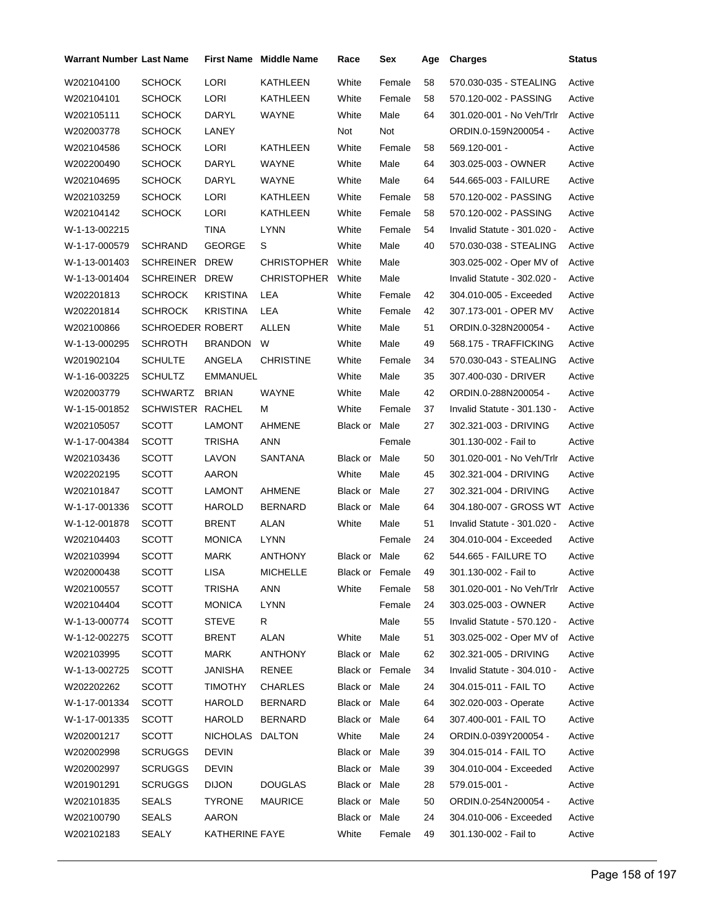| Warrant Number Last Name |                  |                 | First Name Middle Name | Race            | Sex             | Age | <b>Charges</b>                | <b>Status</b> |
|--------------------------|------------------|-----------------|------------------------|-----------------|-----------------|-----|-------------------------------|---------------|
| W202104100               | <b>SCHOCK</b>    | LORI            | KATHLEEN               | White           | Female          | 58  | 570.030-035 - STEALING        | Active        |
| W202104101               | SCHOCK           | LORI            | KATHLEEN               | White           | Female          | 58  | 570.120-002 - PASSING         | Active        |
| W202105111               | SCHOCK           | DARYL           | WAYNE                  | White           | Male            | 64  | 301.020-001 - No Veh/Trlr     | Active        |
| W202003778               | <b>SCHOCK</b>    | LANEY           |                        | Not             | Not             |     | ORDIN.0-159N200054 -          | Active        |
| W202104586               | SCHOCK           | LORI            | KATHLEEN               | White           | Female          | 58  | 569.120-001 -                 | Active        |
| W202200490               | SCHOCK           | DARYL           | WAYNE                  | White           | Male            | 64  | 303.025-003 - OWNER           | Active        |
| W202104695               | <b>SCHOCK</b>    | DARYL           | WAYNE                  | White           | Male            | 64  | 544.665-003 - FAILURE         | Active        |
| W202103259               | SCHOCK           | <b>LORI</b>     | KATHLEEN               | White           | Female          | 58  | 570.120-002 - PASSING         | Active        |
| W202104142               | SCHOCK           | LORI            | KATHLEEN               | White           | Female          | 58  | 570.120-002 - PASSING         | Active        |
| W-1-13-002215            |                  | TINA            | <b>LYNN</b>            | White           | Female          | 54  | Invalid Statute - 301.020 -   | Active        |
| W-1-17-000579            | <b>SCHRAND</b>   | <b>GEORGE</b>   | S                      | White           | Male            | 40  | 570.030-038 - STEALING        | Active        |
| W-1-13-001403            | SCHREINER DREW   |                 | <b>CHRISTOPHER</b>     | White           | Male            |     | 303.025-002 - Oper MV of      | Active        |
| W-1-13-001404            | SCHREINER DREW   |                 | <b>CHRISTOPHER</b>     | White           | Male            |     | Invalid Statute - 302.020 -   | Active        |
| W202201813               | <b>SCHROCK</b>   | KRISTINA        | LEA                    | White           | Female          | 42  | 304.010-005 - Exceeded        | Active        |
| W202201814               | SCHROCK          | KRISTINA        | LEA                    | White           | Female          | 42  | 307.173-001 - OPER MV         | Active        |
| W202100866               | SCHROEDER ROBERT |                 | ALLEN                  | White           | Male            | 51  | ORDIN.0-328N200054 -          | Active        |
| W-1-13-000295            | <b>SCHROTH</b>   | BRANDON         | W                      | White           | Male            | 49  | 568.175 - TRAFFICKING         | Active        |
| W201902104               | <b>SCHULTE</b>   | ANGELA          | <b>CHRISTINE</b>       | White           | Female          | 34  | 570.030-043 - STEALING        | Active        |
| W-1-16-003225            | <b>SCHULTZ</b>   | <b>EMMANUEL</b> |                        | White           | Male            | 35  | 307.400-030 - DRIVER          | Active        |
| W202003779               | SCHWARTZ         | <b>BRIAN</b>    | <b>WAYNE</b>           | White           | Male            | 42  | ORDIN.0-288N200054 -          | Active        |
| W-1-15-001852            | SCHWISTER RACHEL |                 | м                      | White           | Female          | 37  | Invalid Statute - 301.130 -   | Active        |
| W202105057               | SCOTT            | LAMONT          | AHMENE                 | Black or Male   |                 | 27  | 302.321-003 - DRIVING         | Active        |
| W-1-17-004384            | <b>SCOTT</b>     | TRISHA          | ANN                    |                 | Female          |     | 301.130-002 - Fail to         | Active        |
| W202103436               | SCOTT            | LAVON           | SANTANA                | Black or Male   |                 | 50  | 301.020-001 - No Veh/Trlr     | Active        |
| W202202195               | SCOTT            | AARON           |                        | White           | Male            | 45  | 302.321-004 - DRIVING         | Active        |
| W202101847               | SCOTT            | LAMONT          | AHMENE                 | Black or Male   |                 | 27  | 302.321-004 - DRIVING         | Active        |
| W-1-17-001336            | SCOTT            | HAROLD          | <b>BERNARD</b>         | Black or Male   |                 | 64  | 304.180-007 - GROSS WT Active |               |
| W-1-12-001878            | SCOTT            | BRENT           | ALAN                   | White           | Male            | 51  | Invalid Statute - 301.020 -   | Active        |
| W202104403               | SCOTT            | MONICA          | LYNN                   |                 | Female          | 24  | 304.010-004 - Exceeded        | Active        |
| W202103994               | SCOTT            | MARK            | ANTHONY                | Black or Male   |                 | 62  | 544.665 - FAILURE TO          | Active        |
| W202000438               | SCOTT            | LISA            | <b>MICHELLE</b>        |                 | Black or Female | 49  | 301.130-002 - Fail to         | Active        |
| W202100557               | <b>SCOTT</b>     | TRISHA          | ANN                    | White           | Female          | 58  | 301.020-001 - No Veh/Trlr     | Active        |
| W202104404               | <b>SCOTT</b>     | <b>MONICA</b>   | <b>LYNN</b>            |                 | Female          | 24  | 303.025-003 - OWNER           | Active        |
| W-1-13-000774            | SCOTT            | <b>STEVE</b>    | R.                     |                 | Male            | 55  | Invalid Statute - 570.120 -   | Active        |
| W-1-12-002275            | <b>SCOTT</b>     | <b>BRENT</b>    | <b>ALAN</b>            | White           | Male            | 51  | 303.025-002 - Oper MV of      | Active        |
| W202103995               | <b>SCOTT</b>     | <b>MARK</b>     | <b>ANTHONY</b>         | Black or Male   |                 | 62  | 302.321-005 - DRIVING         | Active        |
| W-1-13-002725            | <b>SCOTT</b>     | JANISHA         | RENEE                  | Black or Female |                 | 34  | Invalid Statute - 304.010 -   | Active        |
| W202202262               | <b>SCOTT</b>     | TIMOTHY         | <b>CHARLES</b>         | Black or Male   |                 | 24  | 304.015-011 - FAIL TO         | Active        |
| W-1-17-001334            | <b>SCOTT</b>     | <b>HAROLD</b>   | <b>BERNARD</b>         | Black or Male   |                 | 64  | 302.020-003 - Operate         | Active        |
| W-1-17-001335            | SCOTT            | HAROLD          | <b>BERNARD</b>         | Black or Male   |                 | 64  | 307.400-001 - FAIL TO         | Active        |
| W202001217               | SCOTT            | NICHOLAS DALTON |                        | White           | Male            | 24  | ORDIN.0-039Y200054 -          | Active        |
| W202002998               | <b>SCRUGGS</b>   | DEVIN           |                        | Black or Male   |                 | 39  | 304.015-014 - FAIL TO         | Active        |
| W202002997               | <b>SCRUGGS</b>   | DEVIN           |                        | Black or Male   |                 | 39  | 304.010-004 - Exceeded        | Active        |
| W201901291               | <b>SCRUGGS</b>   | <b>DIJON</b>    | <b>DOUGLAS</b>         | Black or Male   |                 | 28  | 579.015-001 -                 | Active        |
| W202101835               | <b>SEALS</b>     | TYRONE          | <b>MAURICE</b>         | Black or Male   |                 | 50  | ORDIN.0-254N200054 -          | Active        |
| W202100790               | SEALS            | AARON           |                        | Black or Male   |                 | 24  | 304.010-006 - Exceeded        | Active        |
| W202102183               | <b>SEALY</b>     | KATHERINE FAYE  |                        | White           | Female          | 49  | 301.130-002 - Fail to         | Active        |
|                          |                  |                 |                        |                 |                 |     |                               |               |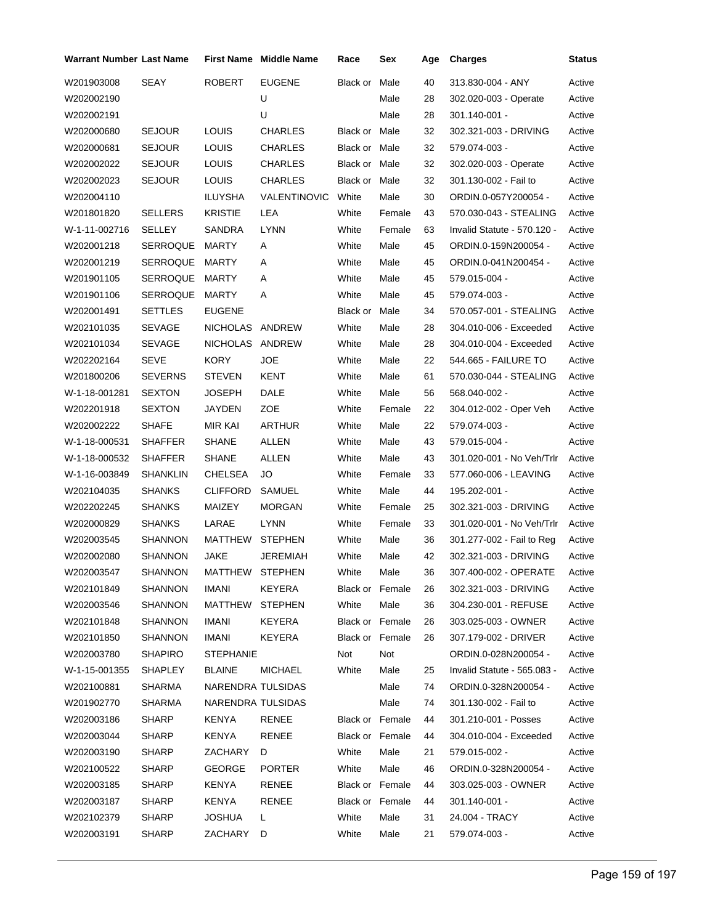| <b>Warrant Number Last Name</b> |                 |                   | <b>First Name Middle Name</b> | Race            | Sex    | Age | <b>Charges</b>              | Status |
|---------------------------------|-----------------|-------------------|-------------------------------|-----------------|--------|-----|-----------------------------|--------|
| W201903008                      | SEAY            | <b>ROBERT</b>     | <b>EUGENE</b>                 | Black or        | Male   | 40  | 313.830-004 - ANY           | Active |
| W202002190                      |                 |                   | U                             |                 | Male   | 28  | 302.020-003 - Operate       | Active |
| W202002191                      |                 |                   | U                             |                 | Male   | 28  | 301.140-001 -               | Active |
| W202000680                      | <b>SEJOUR</b>   | <b>LOUIS</b>      | <b>CHARLES</b>                | Black or Male   |        | 32  | 302.321-003 - DRIVING       | Active |
| W202000681                      | <b>SEJOUR</b>   | LOUIS             | CHARLES                       | Black or Male   |        | 32  | 579.074-003 -               | Active |
| W202002022                      | <b>SEJOUR</b>   | LOUIS             | <b>CHARLES</b>                | Black or Male   |        | 32  | 302.020-003 - Operate       | Active |
| W202002023                      | <b>SEJOUR</b>   | LOUIS             | <b>CHARLES</b>                | Black or Male   |        | 32  | 301.130-002 - Fail to       | Active |
| W202004110                      |                 | ILUYSHA           | <b>VALENTINOVIC</b>           | White           | Male   | 30  | ORDIN.0-057Y200054 -        | Active |
| W201801820                      | <b>SELLERS</b>  | <b>KRISTIE</b>    | LEA                           | White           | Female | 43  | 570.030-043 - STEALING      | Active |
| W-1-11-002716                   | SELLEY          | SANDRA            | <b>LYNN</b>                   | White           | Female | 63  | Invalid Statute - 570.120 - | Active |
| W202001218                      | SERROQUE        | MARTY             | Α                             | White           | Male   | 45  | ORDIN.0-159N200054 -        | Active |
| W202001219                      | <b>SERROQUE</b> | MARTY             | Α                             | White           | Male   | 45  | ORDIN.0-041N200454 -        | Active |
| W201901105                      | SERROQUE        | MARTY             | A                             | White           | Male   | 45  | 579.015-004 -               | Active |
| W201901106                      | SERROQUE        | MARTY             | Α                             | White           | Male   | 45  | 579.074-003 -               | Active |
| W202001491                      | <b>SETTLES</b>  | <b>EUGENE</b>     |                               | Black or        | Male   | 34  | 570.057-001 - STEALING      | Active |
| W202101035                      | <b>SEVAGE</b>   | NICHOLAS ANDREW   |                               | White           | Male   | 28  | 304.010-006 - Exceeded      | Active |
| W202101034                      | SEVAGE          | NICHOLAS ANDREW   |                               | White           | Male   | 28  | 304.010-004 - Exceeded      | Active |
| W202202164                      | <b>SEVE</b>     | <b>KORY</b>       | <b>JOE</b>                    | White           | Male   | 22  | 544.665 - FAILURE TO        | Active |
| W201800206                      | <b>SEVERNS</b>  | <b>STEVEN</b>     | KENT                          | White           | Male   | 61  | 570.030-044 - STEALING      | Active |
| W-1-18-001281                   | <b>SEXTON</b>   | JOSEPH            | DALE                          | White           | Male   | 56  | 568.040-002 -               | Active |
| W202201918                      | <b>SEXTON</b>   | JAYDEN            | ZOE                           | White           | Female | 22  | 304.012-002 - Oper Veh      | Active |
| W202002222                      | <b>SHAFE</b>    | MIR KAI           | <b>ARTHUR</b>                 | White           | Male   | 22  | 579.074-003 -               | Active |
| W-1-18-000531                   | <b>SHAFFER</b>  | SHANE             | <b>ALLEN</b>                  | White           | Male   | 43  | 579.015-004 -               | Active |
| W-1-18-000532                   | <b>SHAFFER</b>  | <b>SHANE</b>      | <b>ALLEN</b>                  | White           | Male   | 43  | 301.020-001 - No Veh/Trlr   | Active |
| W-1-16-003849                   | SHANKLIN        | CHELSEA           | JO                            | White           | Female | 33  | 577.060-006 - LEAVING       | Active |
| W202104035                      | <b>SHANKS</b>   | <b>CLIFFORD</b>   | SAMUEL                        | White           | Male   | 44  | 195.202-001 -               | Active |
| W202202245                      | <b>SHANKS</b>   | MAIZEY            | <b>MORGAN</b>                 | White           | Female | 25  | 302.321-003 - DRIVING       | Active |
| W202000829                      | <b>SHANKS</b>   | LARAE             | <b>LYNN</b>                   | White           | Female | 33  | 301.020-001 - No Veh/Trlr   | Active |
| W202003545                      | SHANNON         | MATTHEW           | <b>STEPHEN</b>                | White           | Male   | 36  | 301.277-002 - Fail to Reg   | Active |
| W202002080                      | <b>SHANNON</b>  | <b>JAKE</b>       | JEREMIAH                      | White           | Male   | 42  | 302.321-003 - DRIVING       | Active |
| W202003547                      | <b>SHANNON</b>  | MATTHEW STEPHEN   |                               | White           | Male   | 36  | 307.400-002 - OPERATE       | Active |
| W202101849                      | <b>SHANNON</b>  | IMANI             | KEYERA                        | Black or Female |        | 26  | 302.321-003 - DRIVING       | Active |
| W202003546                      | SHANNON         | MATTHEW           | <b>STEPHEN</b>                | White           | Male   | 36  | 304.230-001 - REFUSE        | Active |
| W202101848                      | SHANNON         | IMANI             | KEYERA                        | Black or Female |        | 26  | 303.025-003 - OWNER         | Active |
| W202101850                      | SHANNON         | <b>IMANI</b>      | KEYERA                        | Black or Female |        | 26  | 307.179-002 - DRIVER        | Active |
| W202003780                      | <b>SHAPIRO</b>  | <b>STEPHANIE</b>  |                               | Not             | Not    |     | ORDIN.0-028N200054 -        | Active |
| W-1-15-001355                   | SHAPLEY         | <b>BLAINE</b>     | <b>MICHAEL</b>                | White           | Male   | 25  | Invalid Statute - 565.083 - | Active |
| W202100881                      | SHARMA          | NARENDRA TULSIDAS |                               |                 | Male   | 74  | ORDIN.0-328N200054 -        | Active |
| W201902770                      | SHARMA          | NARENDRA TULSIDAS |                               |                 | Male   | 74  | 301.130-002 - Fail to       | Active |
| W202003186                      | <b>SHARP</b>    | KENYA             | RENEE                         | Black or Female |        | 44  | 301.210-001 - Posses        | Active |
| W202003044                      | <b>SHARP</b>    | KENYA             | RENEE                         | Black or Female |        | 44  | 304.010-004 - Exceeded      | Active |
| W202003190                      | SHARP           | ZACHARY           | D                             | White           | Male   | 21  | 579.015-002 -               | Active |
| W202100522                      | <b>SHARP</b>    | <b>GEORGE</b>     | <b>PORTER</b>                 | White           | Male   | 46  | ORDIN.0-328N200054 -        | Active |
| W202003185                      | <b>SHARP</b>    | KENYA             | RENEE                         | Black or Female |        | 44  | 303.025-003 - OWNER         | Active |
| W202003187                      | <b>SHARP</b>    | KENYA             | RENEE                         | Black or Female |        | 44  | $301.140 - 001 -$           | Active |
| W202102379                      | <b>SHARP</b>    | <b>JOSHUA</b>     | L.                            | White           | Male   | 31  | 24.004 - TRACY              | Active |
| W202003191                      | <b>SHARP</b>    | ZACHARY           | D                             | White           | Male   | 21  | 579.074-003 -               | Active |
|                                 |                 |                   |                               |                 |        |     |                             |        |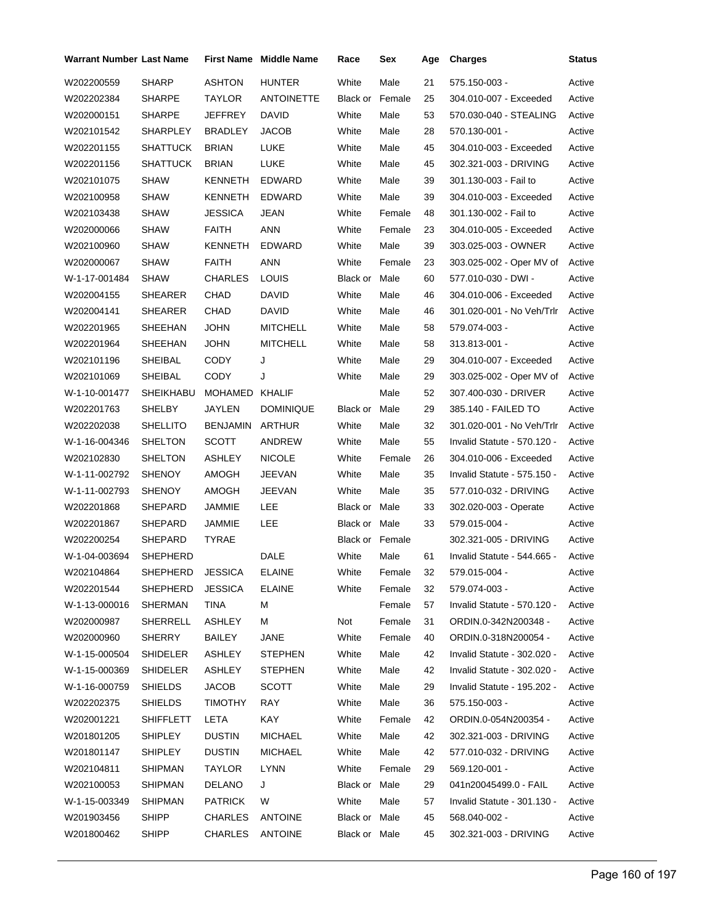| Warrant Number Last Name |                  |                | <b>First Name</b> Middle Name | Race                   | Sex    | Age | <b>Charges</b>              | Status |
|--------------------------|------------------|----------------|-------------------------------|------------------------|--------|-----|-----------------------------|--------|
| W202200559               | <b>SHARP</b>     | <b>ASHTON</b>  | <b>HUNTER</b>                 | White                  | Male   | 21  | 575.150-003 -               | Active |
| W202202384               | <b>SHARPE</b>    | TAYLOR         | <b>ANTOINETTE</b>             | <b>Black or Female</b> |        | 25  | 304.010-007 - Exceeded      | Active |
| W202000151               | <b>SHARPE</b>    | JEFFREY        | DAVID                         | White                  | Male   | 53  | 570.030-040 - STEALING      | Active |
| W202101542               | SHARPLEY         | <b>BRADLEY</b> | <b>JACOB</b>                  | White                  | Male   | 28  | 570.130-001 -               | Active |
| W202201155               | <b>SHATTUCK</b>  | <b>BRIAN</b>   | LUKE                          | White                  | Male   | 45  | 304.010-003 - Exceeded      | Active |
| W202201156               | <b>SHATTUCK</b>  | <b>BRIAN</b>   | <b>LUKE</b>                   | White                  | Male   | 45  | 302.321-003 - DRIVING       | Active |
| W202101075               | <b>SHAW</b>      | <b>KENNETH</b> | EDWARD                        | White                  | Male   | 39  | 301.130-003 - Fail to       | Active |
| W202100958               | <b>SHAW</b>      | KENNETH        | EDWARD                        | White                  | Male   | 39  | 304.010-003 - Exceeded      | Active |
| W202103438               | <b>SHAW</b>      | <b>JESSICA</b> | JEAN                          | White                  | Female | 48  | 301.130-002 - Fail to       | Active |
| W202000066               | SHAW             | FAITH          | <b>ANN</b>                    | White                  | Female | 23  | 304.010-005 - Exceeded      | Active |
| W202100960               | <b>SHAW</b>      | KENNETH        | EDWARD                        | White                  | Male   | 39  | 303.025-003 - OWNER         | Active |
| W202000067               | SHAW             | <b>FAITH</b>   | <b>ANN</b>                    | White                  | Female | 23  | 303.025-002 - Oper MV of    | Active |
| W-1-17-001484            | <b>SHAW</b>      | <b>CHARLES</b> | <b>LOUIS</b>                  | Black or Male          |        | 60  | 577.010-030 - DWI -         | Active |
| W202004155               | <b>SHEARER</b>   | CHAD           | DAVID                         | White                  | Male   | 46  | 304.010-006 - Exceeded      | Active |
| W202004141               | SHEARER          | CHAD           | DAVID                         | White                  | Male   | 46  | 301.020-001 - No Veh/Trlr   | Active |
| W202201965               | SHEEHAN          | <b>JOHN</b>    | <b>MITCHELL</b>               | White                  | Male   | 58  | 579.074-003 -               | Active |
| W202201964               | SHEEHAN          | <b>JOHN</b>    | <b>MITCHELL</b>               | White                  | Male   | 58  | 313.813-001 -               | Active |
| W202101196               | SHEIBAL          | CODY           | J                             | White                  | Male   | 29  | 304.010-007 - Exceeded      | Active |
| W202101069               | SHEIBAL          | <b>CODY</b>    | J                             | White                  | Male   | 29  | 303.025-002 - Oper MV of    | Active |
| W-1-10-001477            | SHEIKHABU        | MOHAMED KHALIF |                               |                        | Male   | 52  | 307.400-030 - DRIVER        | Active |
| W202201763               | SHELBY           | JAYLEN         | <b>DOMINIQUE</b>              | Black or               | Male   | 29  | 385.140 - FAILED TO         | Active |
| W202202038               | SHELLITO         | BENJAMIN       | ARTHUR                        | White                  | Male   | 32  | 301.020-001 - No Veh/Trlr   | Active |
| W-1-16-004346            | <b>SHELTON</b>   | SCOTT          | ANDREW                        | White                  | Male   | 55  | Invalid Statute - 570.120 - | Active |
| W202102830               | SHELTON          | ASHLEY         | <b>NICOLE</b>                 | White                  | Female | 26  | 304.010-006 - Exceeded      | Active |
| W-1-11-002792            | SHENOY           | AMOGH          | JEEVAN                        | White                  | Male   | 35  | Invalid Statute - 575.150 - | Active |
| W-1-11-002793            | <b>SHENOY</b>    | AMOGH          | JEEVAN                        | White                  | Male   | 35  | 577.010-032 - DRIVING       | Active |
| W202201868               | SHEPARD          | JAMMIE         | LEE                           | Black or Male          |        | 33  | 302.020-003 - Operate       | Active |
| W202201867               | SHEPARD          | JAMMIE         | LEE                           | Black or Male          |        | 33  | 579.015-004 -               | Active |
| W202200254               | SHEPARD          | <b>TYRAE</b>   |                               | Black or Female        |        |     | 302.321-005 - DRIVING       | Active |
| W-1-04-003694            | <b>SHEPHERD</b>  |                | DALE                          | White                  | Male   | 61  | Invalid Statute - 544.665 - | Active |
| W202104864               | SHEPHERD JESSICA |                | <b>ELAINE</b>                 | White                  | Female | 32  | 579.015-004 -               | Active |
| W202201544               | SHEPHERD         | <b>JESSICA</b> | <b>ELAINE</b>                 | White                  | Female | 32  | 579.074-003 -               | Active |
| W-1-13-000016            | SHERMAN          | <b>TINA</b>    | M                             |                        | Female | 57  | Invalid Statute - 570.120 - | Active |
| W202000987               | SHERRELL         | <b>ASHLEY</b>  | м                             | Not                    | Female | 31  | ORDIN.0-342N200348 -        | Active |
| W202000960               | <b>SHERRY</b>    | BAILEY         | <b>JANE</b>                   | White                  | Female | 40  | ORDIN.0-318N200054 -        | Active |
| W-1-15-000504            | SHIDELER         | <b>ASHLEY</b>  | <b>STEPHEN</b>                | White                  | Male   | 42  | Invalid Statute - 302.020 - | Active |
| W-1-15-000369            | <b>SHIDELER</b>  | ASHLEY         | <b>STEPHEN</b>                | White                  | Male   | 42  | Invalid Statute - 302.020 - | Active |
| W-1-16-000759            | <b>SHIELDS</b>   | JACOB          | SCOTT                         | White                  | Male   | 29  | Invalid Statute - 195.202 - | Active |
| W202202375               | SHIELDS          | <b>TIMOTHY</b> | RAY                           | White                  | Male   | 36  | 575.150-003 -               | Active |
| W202001221               | SHIFFLETT        | LETA           | KAY                           | White                  | Female | 42  | ORDIN.0-054N200354 -        | Active |
| W201801205               | SHIPLEY          | <b>DUSTIN</b>  | <b>MICHAEL</b>                | White                  | Male   | 42  | 302.321-003 - DRIVING       | Active |
| W201801147               | SHIPLEY          | <b>DUSTIN</b>  | MICHAEL                       | White                  | Male   | 42  | 577.010-032 - DRIVING       | Active |
| W202104811               | <b>SHIPMAN</b>   | TAYLOR         | LYNN                          | White                  | Female | 29  | 569.120-001 -               | Active |
| W202100053               | <b>SHIPMAN</b>   | <b>DELANO</b>  | J                             | Black or Male          |        | 29  | 041n20045499.0 - FAIL       | Active |
| W-1-15-003349            | <b>SHIPMAN</b>   | <b>PATRICK</b> | W                             | White                  | Male   | 57  | Invalid Statute - 301.130 - | Active |
| W201903456               | <b>SHIPP</b>     | CHARLES        | <b>ANTOINE</b>                | Black or Male          |        | 45  | 568.040-002 -               | Active |
| W201800462               | <b>SHIPP</b>     | CHARLES        | <b>ANTOINE</b>                | Black or Male          |        | 45  | 302.321-003 - DRIVING       | Active |
|                          |                  |                |                               |                        |        |     |                             |        |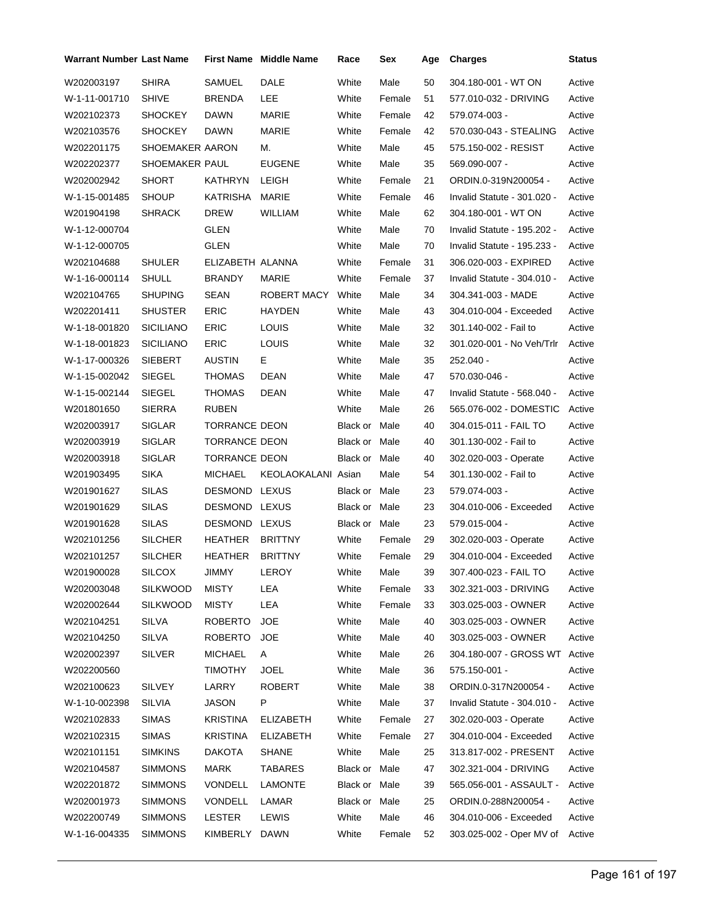| <b>Warrant Number Last Name</b> |                  |                      | <b>First Name Middle Name</b> | Race          | Sex    | Age | <b>Charges</b>                | Status |
|---------------------------------|------------------|----------------------|-------------------------------|---------------|--------|-----|-------------------------------|--------|
| W202003197                      | <b>SHIRA</b>     | SAMUEL               | DALE                          | White         | Male   | 50  | 304.180-001 - WT ON           | Active |
| W-1-11-001710                   | <b>SHIVE</b>     | <b>BRENDA</b>        | LEE                           | White         | Female | 51  | 577.010-032 - DRIVING         | Active |
| W202102373                      | <b>SHOCKEY</b>   | <b>DAWN</b>          | MARIE                         | White         | Female | 42  | 579.074-003 -                 | Active |
| W202103576                      | <b>SHOCKEY</b>   | <b>DAWN</b>          | MARIE                         | White         | Female | 42  | 570.030-043 - STEALING        | Active |
| W202201175                      | SHOEMAKER AARON  |                      | М.                            | White         | Male   | 45  | 575.150-002 - RESIST          | Active |
| W202202377                      | SHOEMAKER PAUL   |                      | <b>EUGENE</b>                 | White         | Male   | 35  | 569.090-007 -                 | Active |
| W202002942                      | <b>SHORT</b>     | <b>KATHRYN</b>       | <b>LEIGH</b>                  | White         | Female | 21  | ORDIN.0-319N200054 -          | Active |
| W-1-15-001485                   | <b>SHOUP</b>     | KATRISHA             | MARIE                         | White         | Female | 46  | Invalid Statute - 301.020 -   | Active |
| W201904198                      | SHRACK           | <b>DREW</b>          | WILLIAM                       | White         | Male   | 62  | 304.180-001 - WT ON           | Active |
| W-1-12-000704                   |                  | GLEN                 |                               | White         | Male   | 70  | Invalid Statute - 195.202 -   | Active |
| W-1-12-000705                   |                  | GLEN                 |                               | White         | Male   | 70  | Invalid Statute - 195.233 -   | Active |
| W202104688                      | <b>SHULER</b>    | ELIZABETH ALANNA     |                               | White         | Female | 31  | 306.020-003 - EXPIRED         | Active |
| W-1-16-000114                   | <b>SHULL</b>     | <b>BRANDY</b>        | MARIE                         | White         | Female | 37  | Invalid Statute - 304.010 -   | Active |
| W202104765                      | <b>SHUPING</b>   | <b>SEAN</b>          | ROBERT MACY                   | White         | Male   | 34  | 304.341-003 - MADE            | Active |
| W202201411                      | <b>SHUSTER</b>   | <b>ERIC</b>          | <b>HAYDEN</b>                 | White         | Male   | 43  | 304.010-004 - Exceeded        | Active |
| W-1-18-001820                   | <b>SICILIANO</b> | <b>ERIC</b>          | LOUIS                         | White         | Male   | 32  | 301.140-002 - Fail to         | Active |
| W-1-18-001823                   | <b>SICILIANO</b> | <b>ERIC</b>          | <b>LOUIS</b>                  | White         | Male   | 32  | 301.020-001 - No Veh/Trlr     | Active |
| W-1-17-000326                   | <b>SIEBERT</b>   | <b>AUSTIN</b>        | Е                             | White         | Male   | 35  | 252.040 -                     | Active |
| W-1-15-002042                   | SIEGEL           | THOMAS               | DEAN                          | White         | Male   | 47  | 570.030-046 -                 | Active |
| W-1-15-002144                   | <b>SIEGEL</b>    | <b>THOMAS</b>        | DEAN                          | White         | Male   | 47  | Invalid Statute - 568.040 -   | Active |
| W201801650                      | <b>SIERRA</b>    | <b>RUBEN</b>         |                               | White         | Male   | 26  | 565.076-002 - DOMESTIC        | Active |
| W202003917                      | <b>SIGLAR</b>    | <b>TORRANCE DEON</b> |                               | Black or Male |        | 40  | 304.015-011 - FAIL TO         | Active |
| W202003919                      | <b>SIGLAR</b>    | <b>TORRANCE DEON</b> |                               | Black or Male |        | 40  | 301.130-002 - Fail to         | Active |
| W202003918                      | <b>SIGLAR</b>    | <b>TORRANCE DEON</b> |                               | Black or Male |        | 40  | 302.020-003 - Operate         | Active |
| W201903495                      | <b>SIKA</b>      | <b>MICHAEL</b>       | KEOLAOKALANI Asian            |               | Male   | 54  | 301.130-002 - Fail to         | Active |
| W201901627                      | SILAS            | DESMOND LEXUS        |                               | Black or Male |        | 23  | 579.074-003 -                 | Active |
| W201901629                      | <b>SILAS</b>     | DESMOND LEXUS        |                               | Black or Male |        | 23  | 304.010-006 - Exceeded        | Active |
| W201901628                      | <b>SILAS</b>     | DESMOND LEXUS        |                               | Black or Male |        | 23  | 579.015-004 -                 | Active |
| W202101256                      | <b>SILCHER</b>   | HEATHER              | <b>BRITTNY</b>                | White         | Female | 29  | 302.020-003 - Operate         | Active |
| W202101257                      | <b>SILCHER</b>   | HEATHER              | <b>BRITTNY</b>                | White         | Female | 29  | 304.010-004 - Exceeded        | Active |
| W201900028                      | <b>SILCOX</b>    | JIMMY                | LEROY                         | White         | Male   | 39  | 307.400-023 - FAIL TO         | Active |
| W202003048                      | <b>SILKWOOD</b>  | <b>MISTY</b>         | LEA                           | White         | Female | 33  | 302.321-003 - DRIVING         | Active |
| W202002644                      | <b>SILKWOOD</b>  | <b>MISTY</b>         | LEA                           | White         | Female | 33  | 303.025-003 - OWNER           | Active |
| W202104251                      | <b>SILVA</b>     | <b>ROBERTO</b>       | <b>JOE</b>                    | White         | Male   | 40  | 303.025-003 - OWNER           | Active |
| W202104250                      | SILVA            | ROBERTO              | <b>JOE</b>                    | White         | Male   | 40  | 303.025-003 - OWNER           | Active |
| W202002397                      | <b>SILVER</b>    | <b>MICHAEL</b>       | A                             | White         | Male   | 26  | 304.180-007 - GROSS WT Active |        |
| W202200560                      |                  | <b>TIMOTHY</b>       | <b>JOEL</b>                   | White         | Male   | 36  | 575.150-001 -                 | Active |
| W202100623                      | <b>SILVEY</b>    | LARRY                | ROBERT                        | White         | Male   | 38  | ORDIN.0-317N200054 -          | Active |
| W-1-10-002398                   | <b>SILVIA</b>    | <b>JASON</b>         | P                             | White         | Male   | 37  | Invalid Statute - 304.010 -   | Active |
| W202102833                      | <b>SIMAS</b>     | <b>KRISTINA</b>      | <b>ELIZABETH</b>              | White         | Female | 27  | 302.020-003 - Operate         | Active |
| W202102315                      | <b>SIMAS</b>     | KRISTINA             | <b>ELIZABETH</b>              | White         | Female | 27  | 304.010-004 - Exceeded        | Active |
| W202101151                      | <b>SIMKINS</b>   | <b>DAKOTA</b>        | <b>SHANE</b>                  | White         | Male   | 25  | 313.817-002 - PRESENT         | Active |
| W202104587                      | <b>SIMMONS</b>   | MARK                 | TABARES                       | Black or Male |        | 47  | 302.321-004 - DRIVING         | Active |
| W202201872                      | <b>SIMMONS</b>   | <b>VONDELL</b>       | LAMONTE                       | Black or Male |        | 39  | 565.056-001 - ASSAULT -       | Active |
| W202001973                      | <b>SIMMONS</b>   | VONDELL              | LAMAR                         | Black or Male |        | 25  | ORDIN.0-288N200054 -          | Active |
| W202200749                      | <b>SIMMONS</b>   | <b>LESTER</b>        | <b>LEWIS</b>                  | White         | Male   | 46  | 304.010-006 - Exceeded        | Active |
| W-1-16-004335                   | <b>SIMMONS</b>   | KIMBERLY DAWN        |                               | White         | Female | 52  | 303.025-002 - Oper MV of      | Active |
|                                 |                  |                      |                               |               |        |     |                               |        |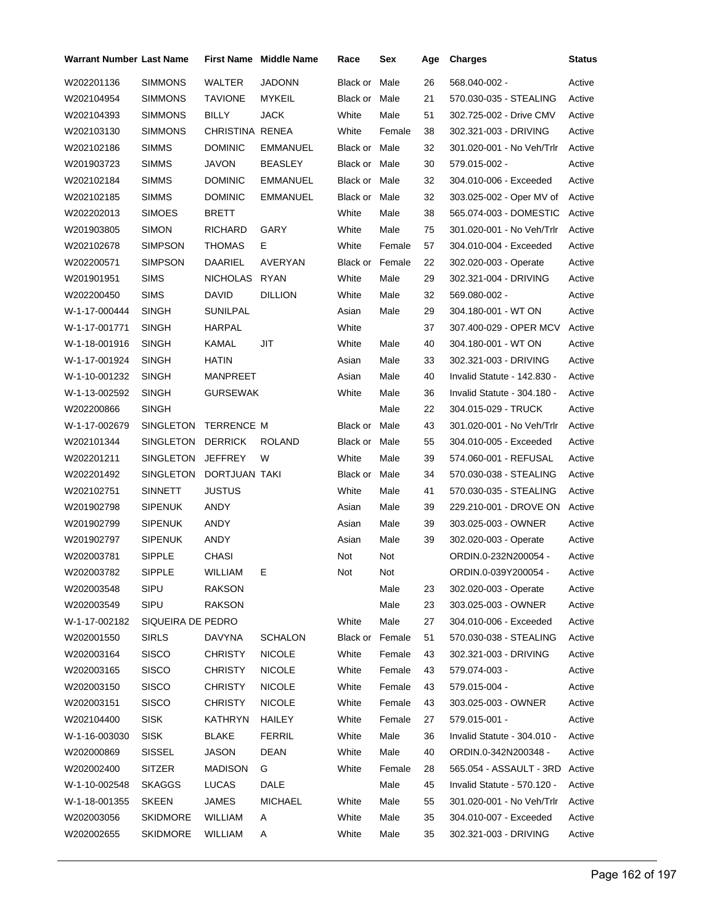| Warrant Number Last Name |                      |                 | <b>First Name Middle Name</b> | Race                   | Sex    | Age | <b>Charges</b>                 | Status |
|--------------------------|----------------------|-----------------|-------------------------------|------------------------|--------|-----|--------------------------------|--------|
| W202201136               | SIMMONS              | WALTER          | <b>JADONN</b>                 | Black or               | Male   | 26  | 568.040-002 -                  | Active |
| W202104954               | SIMMONS              | <b>TAVIONE</b>  | <b>MYKEIL</b>                 | Black or               | Male   | 21  | 570.030-035 - STEALING         | Active |
| W202104393               | SIMMONS              | BILLY           | <b>JACK</b>                   | White                  | Male   | 51  | 302.725-002 - Drive CMV        | Active |
| W202103130               | SIMMONS              | CHRISTINA RENEA |                               | White                  | Female | 38  | 302.321-003 - DRIVING          | Active |
| W202102186               | <b>SIMMS</b>         | <b>DOMINIC</b>  | EMMANUEL                      | Black or Male          |        | 32  | 301.020-001 - No Veh/Trlr      | Active |
| W201903723               | <b>SIMMS</b>         | JAVON           | <b>BEASLEY</b>                | Black or Male          |        | 30  | 579.015-002 -                  | Active |
| W202102184               | SIMMS                | <b>DOMINIC</b>  | <b>EMMANUEL</b>               | Black or Male          |        | 32  | 304.010-006 - Exceeded         | Active |
| W202102185               | <b>SIMMS</b>         | <b>DOMINIC</b>  | EMMANUEL                      | Black or               | Male   | 32  | 303.025-002 - Oper MV of       | Active |
| W202202013               | SIMOES               | BRETT           |                               | White                  | Male   | 38  | 565.074-003 - DOMESTIC         | Active |
| W201903805               | <b>SIMON</b>         | RICHARD         | GARY                          | White                  | Male   | 75  | 301.020-001 - No Veh/Trlr      | Active |
| W202102678               | SIMPSON              | <b>THOMAS</b>   | E.                            | White                  | Female | 57  | 304.010-004 - Exceeded         | Active |
| W202200571               | SIMPSON              | DAARIEL         | AVERYAN                       | <b>Black or Female</b> |        | 22  | 302.020-003 - Operate          | Active |
| W201901951               | <b>SIMS</b>          | NICHOLAS RYAN   |                               | White                  | Male   | 29  | 302.321-004 - DRIVING          | Active |
| W202200450               | <b>SIMS</b>          | DAVID           | <b>DILLION</b>                | White                  | Male   | 32  | 569.080-002 -                  | Active |
| W-1-17-000444            | SINGH                | SUNILPAL        |                               | Asian                  | Male   | 29  | 304.180-001 - WT ON            | Active |
| W-1-17-001771            | <b>SINGH</b>         | HARPAL          |                               | White                  |        | 37  | 307.400-029 - OPER MCV         | Active |
| W-1-18-001916            | <b>SINGH</b>         | KAMAL           | JIT                           | White                  | Male   | 40  | 304.180-001 - WT ON            | Active |
| W-1-17-001924            | SINGH                | HATIN           |                               | Asian                  | Male   | 33  | 302.321-003 - DRIVING          | Active |
| W-1-10-001232            | <b>SINGH</b>         | MANPREET        |                               | Asian                  | Male   | 40  | Invalid Statute - 142.830 -    | Active |
| W-1-13-002592            | SINGH                | <b>GURSEWAK</b> |                               | White                  | Male   | 36  | Invalid Statute - 304.180 -    | Active |
| W202200866               | SINGH                |                 |                               |                        | Male   | 22  | 304.015-029 - TRUCK            | Active |
| W-1-17-002679            | SINGLETON TERRENCE M |                 |                               | Black or               | Male   | 43  | 301.020-001 - No Veh/Trlr      | Active |
| W202101344               | SINGLETON DERRICK    |                 | <b>ROLAND</b>                 | Black or               | Male   | 55  | 304.010-005 - Exceeded         | Active |
| W202201211               | SINGLETON            | <b>JEFFREY</b>  | W                             | White                  | Male   | 39  | 574.060-001 - REFUSAL          | Active |
| W202201492               | SINGLETON            | DORTJUAN TAKI   |                               | Black or               | Male   | 34  | 570.030-038 - STEALING         | Active |
| W202102751               | SINNETT              | <b>JUSTUS</b>   |                               | White                  | Male   | 41  | 570.030-035 - STEALING         | Active |
| W201902798               | SIPENUK              | ANDY            |                               | Asian                  | Male   | 39  | 229.210-001 - DROVE ON         | Active |
| W201902799               | <b>SIPENUK</b>       | ANDY            |                               | Asian                  | Male   | 39  | 303.025-003 - OWNER            | Active |
| W201902797               | <b>SIPENUK</b>       | ANDY            |                               | Asian                  | Male   | 39  | 302.020-003 - Operate          | Active |
| W202003781               | SIPPLE               | CHASI           |                               | Not                    | Not    |     | ORDIN.0-232N200054 -           | Active |
| W202003782               | SIPPLE               | WILLIAM         | E.                            | Not                    | Not    |     | ORDIN.0-039Y200054 -           | Active |
| W202003548               | SIPU                 | <b>RAKSON</b>   |                               |                        | Male   | 23  | 302.020-003 - Operate          | Active |
| W202003549               | <b>SIPU</b>          | <b>RAKSON</b>   |                               |                        | Male   | 23  | 303.025-003 - OWNER            | Active |
| W-1-17-002182            | SIQUEIRA DE PEDRO    |                 |                               | White                  | Male   | 27  | 304.010-006 - Exceeded         | Active |
| W202001550               | <b>SIRLS</b>         | <b>DAVYNA</b>   | <b>SCHALON</b>                | Black or               | Female | 51  | 570.030-038 - STEALING         | Active |
| W202003164               | <b>SISCO</b>         | <b>CHRISTY</b>  | <b>NICOLE</b>                 | White                  | Female | 43  | 302.321-003 - DRIVING          | Active |
| W202003165               | <b>SISCO</b>         | <b>CHRISTY</b>  | <b>NICOLE</b>                 | White                  | Female | 43  | 579.074-003 -                  | Active |
| W202003150               | <b>SISCO</b>         | <b>CHRISTY</b>  | <b>NICOLE</b>                 | White                  | Female | 43  | 579.015-004 -                  | Active |
| W202003151               | <b>SISCO</b>         | <b>CHRISTY</b>  | <b>NICOLE</b>                 | White                  | Female | 43  | 303.025-003 - OWNER            | Active |
| W202104400               | <b>SISK</b>          | KATHRYN         | HAILEY                        | White                  | Female | 27  | 579.015-001 -                  | Active |
| W-1-16-003030            | <b>SISK</b>          | <b>BLAKE</b>    | <b>FERRIL</b>                 | White                  | Male   | 36  | Invalid Statute - 304.010 -    | Active |
| W202000869               | <b>SISSEL</b>        | JASON           | DEAN                          | White                  | Male   | 40  | ORDIN.0-342N200348 -           | Active |
| W202002400               | <b>SITZER</b>        | <b>MADISON</b>  | G                             | White                  | Female | 28  | 565.054 - ASSAULT - 3RD Active |        |
| W-1-10-002548            | <b>SKAGGS</b>        | LUCAS           | DALE                          |                        | Male   | 45  | Invalid Statute - 570.120 -    | Active |
| W-1-18-001355            | <b>SKEEN</b>         | JAMES           | <b>MICHAEL</b>                | White                  | Male   | 55  | 301.020-001 - No Veh/Trlr      | Active |
| W202003056               | <b>SKIDMORE</b>      | WILLIAM         | A                             | White                  | Male   | 35  | 304.010-007 - Exceeded         | Active |
| W202002655               | <b>SKIDMORE</b>      | WILLIAM         | Α                             | White                  | Male   | 35  | 302.321-003 - DRIVING          | Active |
|                          |                      |                 |                               |                        |        |     |                                |        |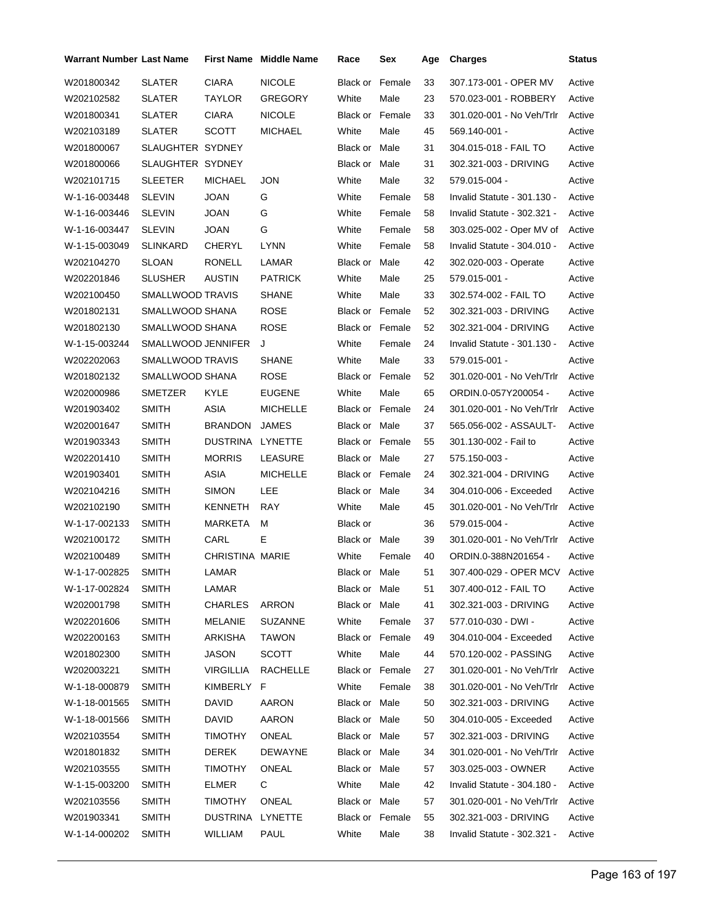| <b>Warrant Number Last Name</b> |                    | <b>First Name</b>      | <b>Middle Name</b> | Race                   | Sex    | Age | <b>Charges</b>                | Status |
|---------------------------------|--------------------|------------------------|--------------------|------------------------|--------|-----|-------------------------------|--------|
| W201800342                      | <b>SLATER</b>      | <b>CIARA</b>           | <b>NICOLE</b>      | Black or Female        |        | 33  | 307.173-001 - OPER MV         | Active |
| W202102582                      | SLATER             | TAYLOR                 | <b>GREGORY</b>     | White                  | Male   | 23  | 570.023-001 - ROBBERY         | Active |
| W201800341                      | SLATER             | <b>CIARA</b>           | <b>NICOLE</b>      | Black or Female        |        | 33  | 301.020-001 - No Veh/Trlr     | Active |
| W202103189                      | <b>SLATER</b>      | <b>SCOTT</b>           | <b>MICHAEL</b>     | White                  | Male   | 45  | 569.140-001 -                 | Active |
| W201800067                      | SLAUGHTER SYDNEY   |                        |                    | Black or Male          |        | 31  | 304.015-018 - FAIL TO         | Active |
| W201800066                      | SLAUGHTER SYDNEY   |                        |                    | Black or Male          |        | 31  | 302.321-003 - DRIVING         | Active |
| W202101715                      | <b>SLEETER</b>     | <b>MICHAEL</b>         | <b>JON</b>         | White                  | Male   | 32  | 579.015-004 -                 | Active |
| W-1-16-003448                   | <b>SLEVIN</b>      | <b>JOAN</b>            | G                  | White                  | Female | 58  | Invalid Statute - 301.130 -   | Active |
| W-1-16-003446                   | <b>SLEVIN</b>      | <b>JOAN</b>            | G                  | White                  | Female | 58  | Invalid Statute - 302.321 -   | Active |
| W-1-16-003447                   | <b>SLEVIN</b>      | <b>JOAN</b>            | G                  | White                  | Female | 58  | 303.025-002 - Oper MV of      | Active |
| W-1-15-003049                   | <b>SLINKARD</b>    | CHERYL                 | <b>LYNN</b>        | White                  | Female | 58  | Invalid Statute - 304.010 -   | Active |
| W202104270                      | SLOAN              | RONELL                 | LAMAR              | Black or               | Male   | 42  | 302.020-003 - Operate         | Active |
| W202201846                      | <b>SLUSHER</b>     | <b>AUSTIN</b>          | <b>PATRICK</b>     | White                  | Male   | 25  | 579.015-001 -                 | Active |
| W202100450                      | SMALLWOOD TRAVIS   |                        | <b>SHANE</b>       | White                  | Male   | 33  | 302.574-002 - FAIL TO         | Active |
| W201802131                      | SMALLWOOD SHANA    |                        | <b>ROSE</b>        | <b>Black or Female</b> |        | 52  | 302.321-003 - DRIVING         | Active |
| W201802130                      | SMALLWOOD SHANA    |                        | <b>ROSE</b>        | Black or Female        |        | 52  | 302.321-004 - DRIVING         | Active |
| W-1-15-003244                   | SMALLWOOD JENNIFER |                        | J                  | White                  | Female | 24  | Invalid Statute - 301.130 -   | Active |
| W202202063                      | SMALLWOOD TRAVIS   |                        | <b>SHANE</b>       | White                  | Male   | 33  | 579.015-001 -                 | Active |
| W201802132                      | SMALLWOOD SHANA    |                        | <b>ROSE</b>        | <b>Black or Female</b> |        | 52  | 301.020-001 - No Veh/Trlr     | Active |
| W202000986                      | SMETZER            | KYLE                   | <b>EUGENE</b>      | White                  | Male   | 65  | ORDIN.0-057Y200054 -          | Active |
| W201903402                      | <b>SMITH</b>       | ASIA                   | <b>MICHELLE</b>    | Black or Female        |        | 24  | 301.020-001 - No Veh/Trlr     | Active |
| W202001647                      | <b>SMITH</b>       | <b>BRANDON</b>         | <b>JAMES</b>       | Black or Male          |        | 37  | 565.056-002 - ASSAULT-        | Active |
| W201903343                      | <b>SMITH</b>       | DUSTRINA               | LYNETTE            | Black or Female        |        | 55  | 301.130-002 - Fail to         | Active |
| W202201410                      | <b>SMITH</b>       | <b>MORRIS</b>          | LEASURE            | Black or Male          |        | 27  | 575.150-003 -                 | Active |
| W201903401                      | <b>SMITH</b>       | ASIA                   | <b>MICHELLE</b>    | Black or Female        |        | 24  | 302.321-004 - DRIVING         | Active |
| W202104216                      | <b>SMITH</b>       | <b>SIMON</b>           | <b>LEE</b>         | Black or Male          |        | 34  | 304.010-006 - Exceeded        | Active |
| W202102190                      | <b>SMITH</b>       | KENNETH                | RAY                | White                  | Male   | 45  | 301.020-001 - No Veh/Trlr     | Active |
| W-1-17-002133                   | <b>SMITH</b>       | MARKETA                | м                  | Black or               |        | 36  | 579.015-004 -                 | Active |
| W202100172                      | <b>SMITH</b>       | CARL                   | E                  | Black or Male          |        | 39  | 301.020-001 - No Veh/Trlr     | Active |
| W202100489                      | <b>SMITH</b>       | <b>CHRISTINA MARIE</b> |                    | White                  | Female | 40  | ORDIN.0-388N201654 -          | Active |
| W-1-17-002825                   | <b>SMITH</b>       | LAMAR                  |                    | Black or Male          |        | 51  | 307.400-029 - OPER MCV Active |        |
| W-1-17-002824                   | <b>SMITH</b>       | LAMAR                  |                    | Black or Male          |        | 51  | 307.400-012 - FAIL TO         | Active |
| W202001798                      | <b>SMITH</b>       | <b>CHARLES</b>         | ARRON              | Black or Male          |        | 41  | 302.321-003 - DRIVING         | Active |
| W202201606                      | <b>SMITH</b>       | MELANIE                | <b>SUZANNE</b>     | White                  | Female | 37  | 577.010-030 - DWI -           | Active |
| W202200163                      | <b>SMITH</b>       | ARKISHA                | <b>TAWON</b>       | Black or Female        |        | 49  | 304.010-004 - Exceeded        | Active |
| W201802300                      | <b>SMITH</b>       | JASON                  | <b>SCOTT</b>       | White                  | Male   | 44  | 570.120-002 - PASSING         | Active |
| W202003221                      | <b>SMITH</b>       | <b>VIRGILLIA</b>       | <b>RACHELLE</b>    | Black or Female        |        | 27  | 301.020-001 - No Veh/Trlr     | Active |
| W-1-18-000879                   | <b>SMITH</b>       | KIMBERLY F             |                    | White                  | Female | 38  | 301.020-001 - No Veh/Trlr     | Active |
| W-1-18-001565                   | <b>SMITH</b>       | <b>DAVID</b>           | <b>AARON</b>       | Black or Male          |        | 50  | 302.321-003 - DRIVING         | Active |
| W-1-18-001566                   | <b>SMITH</b>       | <b>DAVID</b>           | AARON              | Black or Male          |        | 50  | 304.010-005 - Exceeded        | Active |
| W202103554                      | <b>SMITH</b>       | <b>TIMOTHY</b>         | ONEAL              | Black or Male          |        | 57  | 302.321-003 - DRIVING         | Active |
| W201801832                      | <b>SMITH</b>       | DEREK                  | <b>DEWAYNE</b>     | Black or Male          |        | 34  | 301.020-001 - No Veh/Trlr     | Active |
| W202103555                      | <b>SMITH</b>       | <b>TIMOTHY</b>         | ONEAL              | Black or Male          |        | 57  | 303.025-003 - OWNER           | Active |
| W-1-15-003200                   | <b>SMITH</b>       | ELMER                  | C                  | White                  | Male   | 42  | Invalid Statute - 304.180 -   | Active |
| W202103556                      | <b>SMITH</b>       | <b>TIMOTHY</b>         | ONEAL              | Black or Male          |        | 57  | 301.020-001 - No Veh/Trlr     | Active |
| W201903341                      | <b>SMITH</b>       | DUSTRINA               | LYNETTE            | Black or Female        |        | 55  | 302.321-003 - DRIVING         | Active |
| W-1-14-000202                   | <b>SMITH</b>       | WILLIAM                | <b>PAUL</b>        | White                  | Male   | 38  | Invalid Statute - 302.321 -   | Active |
|                                 |                    |                        |                    |                        |        |     |                               |        |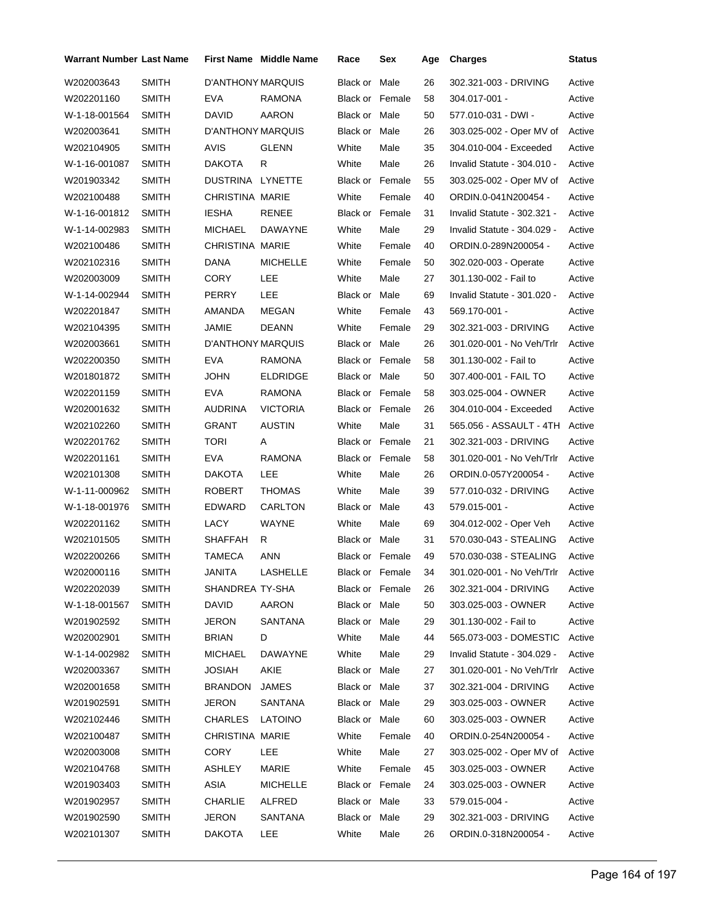| <b>Warrant Number Last Name</b> |              |                          | <b>First Name</b> Middle Name | Race                   | Sex             | Age | <b>Charges</b>                   | <b>Status</b> |
|---------------------------------|--------------|--------------------------|-------------------------------|------------------------|-----------------|-----|----------------------------------|---------------|
| W202003643                      | <b>SMITH</b> | <b>D'ANTHONY MARQUIS</b> |                               | Black or Male          |                 | 26  | 302.321-003 - DRIVING            | Active        |
| W202201160                      | <b>SMITH</b> | EVA                      | RAMONA                        | <b>Black or Female</b> |                 | 58  | 304.017-001 -                    | Active        |
| W-1-18-001564                   | <b>SMITH</b> | <b>DAVID</b>             | AARON                         | Black or Male          |                 | 50  | 577.010-031 - DWI -              | Active        |
| W202003641                      | SMITH        | D'ANTHONY MARQUIS        |                               | Black or Male          |                 | 26  | 303.025-002 - Oper MV of         | Active        |
| W202104905                      | <b>SMITH</b> | AVIS                     | <b>GLENN</b>                  | White                  | Male            | 35  | 304.010-004 - Exceeded           | Active        |
| W-1-16-001087                   | <b>SMITH</b> | <b>DAKOTA</b>            | R                             | White                  | Male            | 26  | Invalid Statute - 304.010 -      | Active        |
| W201903342                      | SMITH        | DUSTRINA LYNETTE         |                               | Black or Female        |                 | 55  | 303.025-002 - Oper MV of         | Active        |
| W202100488                      | <b>SMITH</b> | <b>CHRISTINA MARIE</b>   |                               | White                  | Female          | 40  | ORDIN.0-041N200454 -             | Active        |
| W-1-16-001812                   | <b>SMITH</b> | <b>IESHA</b>             | <b>RENEE</b>                  | Black or Female        |                 | 31  | Invalid Statute - 302.321 -      | Active        |
| W-1-14-002983                   | <b>SMITH</b> | MICHAEL                  | DAWAYNE                       | White                  | Male            | 29  | Invalid Statute - 304.029 -      | Active        |
| W202100486                      | <b>SMITH</b> | <b>CHRISTINA MARIE</b>   |                               | White                  | Female          | 40  | ORDIN.0-289N200054 -             | Active        |
| W202102316                      | <b>SMITH</b> | DANA                     | <b>MICHELLE</b>               | White                  | Female          | 50  | 302.020-003 - Operate            | Active        |
| W202003009                      | SMITH        | <b>CORY</b>              | <b>LEE</b>                    | White                  | Male            | 27  | 301.130-002 - Fail to            | Active        |
| W-1-14-002944                   | <b>SMITH</b> | PERRY                    | <b>LEE</b>                    | Black or Male          |                 | 69  | Invalid Statute - 301.020 -      | Active        |
| W202201847                      | <b>SMITH</b> | AMANDA                   | <b>MEGAN</b>                  | White                  | Female          | 43  | 569.170-001 -                    | Active        |
| W202104395                      | <b>SMITH</b> | JAMIE                    | <b>DEANN</b>                  | White                  | Female          | 29  | 302.321-003 - DRIVING            | Active        |
| W202003661                      | <b>SMITH</b> | D'ANTHONY MARQUIS        |                               | Black or Male          |                 | 26  | 301.020-001 - No Veh/Trlr        | Active        |
| W202200350                      | <b>SMITH</b> | EVA                      | RAMONA                        | <b>Black or Female</b> |                 | 58  | 301.130-002 - Fail to            | Active        |
| W201801872                      | <b>SMITH</b> | JOHN                     | <b>ELDRIDGE</b>               | Black or Male          |                 | 50  | 307.400-001 - FAIL TO            | Active        |
| W202201159                      | SMITH        | EVA                      | RAMONA                        | <b>Black or Female</b> |                 | 58  | 303.025-004 - OWNER              | Active        |
| W202001632                      | <b>SMITH</b> | AUDRINA                  | <b>VICTORIA</b>               | <b>Black or Female</b> |                 | 26  | 304.010-004 - Exceeded           | Active        |
| W202102260                      | <b>SMITH</b> | GRANT                    | <b>AUSTIN</b>                 | White                  | Male            | 31  | 565.056 - ASSAULT - 4TH          | Active        |
| W202201762                      | <b>SMITH</b> | TORI                     | Α                             | <b>Black or Female</b> |                 | 21  | 302.321-003 - DRIVING            | Active        |
| W202201161                      | <b>SMITH</b> | EVA                      | RAMONA                        | <b>Black or Female</b> |                 | 58  | 301.020-001 - No Veh/Trlr        | Active        |
| W202101308                      | SMITH        | <b>DAKOTA</b>            | <b>LEE</b>                    | White                  | Male            | 26  | ORDIN.0-057Y200054 -             | Active        |
| W-1-11-000962                   | <b>SMITH</b> | <b>ROBERT</b>            | <b>THOMAS</b>                 | White                  | Male            | 39  | 577.010-032 - DRIVING            | Active        |
| W-1-18-001976                   | <b>SMITH</b> | <b>EDWARD</b>            | CARLTON                       | Black or Male          |                 | 43  | 579.015-001 -                    | Active        |
| W202201162                      | SMITH        | LACY                     | WAYNE                         | White                  | Male            | 69  | 304.012-002 - Oper Veh           | Active        |
| W202101505                      | <b>SMITH</b> | SHAFFAH                  | R                             | Black or Male          |                 | 31  | 570.030-043 - STEALING           | Active        |
| W202200266                      | <b>SMITH</b> | <b>TAMECA</b>            | <b>ANN</b>                    | Black or Female        |                 | 49  | 570.030-038 - STEALING           | Active        |
| W202000116                      | <b>SMITH</b> | JANITA                   | LASHELLE                      |                        | Black or Female | 34  | 301.020-001 - No Veh/Trlr Active |               |
| W202202039                      | SMITH        | SHANDREA TY-SHA          |                               | Black or Female        |                 | 26  | 302.321-004 - DRIVING            | Active        |
| W-1-18-001567                   | <b>SMITH</b> | DAVID                    | AARON                         | Black or Male          |                 | 50  | 303.025-003 - OWNER              | Active        |
| W201902592                      | <b>SMITH</b> | <b>JERON</b>             | SANTANA                       | Black or Male          |                 | 29  | 301.130-002 - Fail to            | Active        |
| W202002901                      | <b>SMITH</b> | <b>BRIAN</b>             | D                             | White                  | Male            | 44  | 565.073-003 - DOMESTIC           | Active        |
| W-1-14-002982                   | <b>SMITH</b> | <b>MICHAEL</b>           | DAWAYNE                       | White                  | Male            | 29  | Invalid Statute - 304.029 -      | Active        |
| W202003367                      | <b>SMITH</b> | <b>JOSIAH</b>            | AKIE                          | Black or Male          |                 | 27  | 301.020-001 - No Veh/Trlr        | Active        |
| W202001658                      | <b>SMITH</b> | <b>BRANDON</b>           | <b>JAMES</b>                  | Black or Male          |                 | 37  | 302.321-004 - DRIVING            | Active        |
| W201902591                      | <b>SMITH</b> | JERON                    | SANTANA                       | Black or Male          |                 | 29  | 303.025-003 - OWNER              | Active        |
| W202102446                      | <b>SMITH</b> | <b>CHARLES</b>           | <b>LATOINO</b>                | Black or Male          |                 | 60  | 303.025-003 - OWNER              | Active        |
| W202100487                      | <b>SMITH</b> | <b>CHRISTINA MARIE</b>   |                               | White                  | Female          | 40  | ORDIN.0-254N200054 -             | Active        |
| W202003008                      | <b>SMITH</b> | <b>CORY</b>              | LEE                           | White                  | Male            | 27  | 303.025-002 - Oper MV of         | Active        |
| W202104768                      | <b>SMITH</b> | ASHLEY                   | MARIE                         | White                  | Female          | 45  | 303.025-003 - OWNER              | Active        |
| W201903403                      | <b>SMITH</b> | ASIA                     | <b>MICHELLE</b>               | Black or Female        |                 | 24  | 303.025-003 - OWNER              | Active        |
| W201902957                      | <b>SMITH</b> | <b>CHARLIE</b>           | ALFRED                        | Black or Male          |                 | 33  | 579.015-004 -                    | Active        |
| W201902590                      | <b>SMITH</b> | <b>JERON</b>             | SANTANA                       | Black or Male          |                 | 29  | 302.321-003 - DRIVING            | Active        |
| W202101307                      | <b>SMITH</b> | <b>DAKOTA</b>            | LEE                           | White                  | Male            | 26  | ORDIN.0-318N200054 -             | Active        |
|                                 |              |                          |                               |                        |                 |     |                                  |               |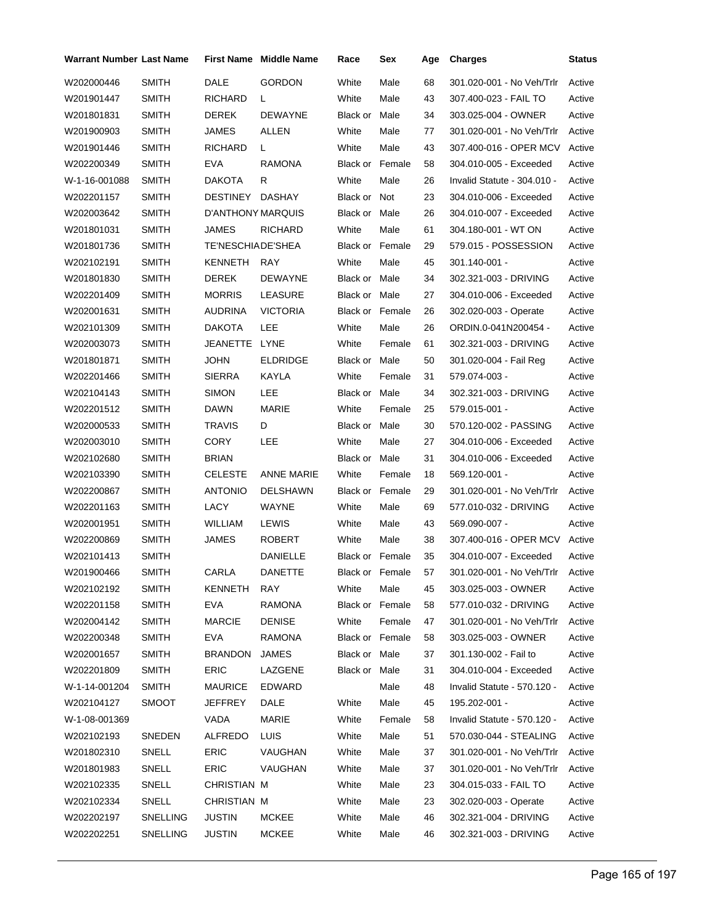| Warrant Number Last Name |              |                          | <b>First Name</b> Middle Name | Race            | Sex             | Age | <b>Charges</b>                   | <b>Status</b> |
|--------------------------|--------------|--------------------------|-------------------------------|-----------------|-----------------|-----|----------------------------------|---------------|
| W202000446               | <b>SMITH</b> | DALE                     | <b>GORDON</b>                 | White           | Male            | 68  | 301.020-001 - No Veh/Trlr        | Active        |
| W201901447               | <b>SMITH</b> | RICHARD                  | L.                            | White           | Male            | 43  | 307.400-023 - FAIL TO            | Active        |
| W201801831               | <b>SMITH</b> | <b>DEREK</b>             | <b>DEWAYNE</b>                | Black or        | Male            | 34  | 303.025-004 - OWNER              | Active        |
| W201900903               | <b>SMITH</b> | JAMES                    | ALLEN                         | White           | Male            | 77  | 301.020-001 - No Veh/Trlr        | Active        |
| W201901446               | <b>SMITH</b> | <b>RICHARD</b>           | L.                            | White           | Male            | 43  | 307.400-016 - OPER MCV           | Active        |
| W202200349               | <b>SMITH</b> | <b>EVA</b>               | <b>RAMONA</b>                 | Black or Female |                 | 58  | 304.010-005 - Exceeded           | Active        |
| W-1-16-001088            | <b>SMITH</b> | <b>DAKOTA</b>            | R                             | White           | Male            | 26  | Invalid Statute - 304.010 -      | Active        |
| W202201157               | <b>SMITH</b> | DESTINEY                 | <b>DASHAY</b>                 | Black or Not    |                 | 23  | 304.010-006 - Exceeded           | Active        |
| W202003642               | <b>SMITH</b> | <b>D'ANTHONY MARQUIS</b> |                               | Black or Male   |                 | 26  | 304.010-007 - Exceeded           | Active        |
| W201801031               | <b>SMITH</b> | <b>JAMES</b>             | <b>RICHARD</b>                | White           | Male            | 61  | 304.180-001 - WT ON              | Active        |
| W201801736               | <b>SMITH</b> | TE'NESCHIADE'SHEA        |                               | Black or Female |                 | 29  | 579.015 - POSSESSION             | Active        |
| W202102191               | <b>SMITH</b> | KENNETH                  | <b>RAY</b>                    | White           | Male            | 45  | 301.140-001 -                    | Active        |
| W201801830               | <b>SMITH</b> | <b>DEREK</b>             | DEWAYNE                       | Black or Male   |                 | 34  | 302.321-003 - DRIVING            | Active        |
| W202201409               | <b>SMITH</b> | <b>MORRIS</b>            | LEASURE                       | Black or Male   |                 | 27  | 304.010-006 - Exceeded           | Active        |
| W202001631               | <b>SMITH</b> | AUDRINA                  | <b>VICTORIA</b>               | Black or Female |                 | 26  | 302.020-003 - Operate            | Active        |
| W202101309               | <b>SMITH</b> | DAKOTA                   | LEE                           | White           | Male            | 26  | ORDIN.0-041N200454 -             | Active        |
| W202003073               | <b>SMITH</b> | JEANETTE LYNE            |                               | White           | Female          | 61  | 302.321-003 - DRIVING            | Active        |
| W201801871               | <b>SMITH</b> | <b>JOHN</b>              | <b>ELDRIDGE</b>               | Black or Male   |                 | 50  | 301.020-004 - Fail Reg           | Active        |
| W202201466               | <b>SMITH</b> | <b>SIERRA</b>            | KAYLA                         | White           | Female          | 31  | 579.074-003 -                    | Active        |
| W202104143               | <b>SMITH</b> | <b>SIMON</b>             | LEE                           | Black or Male   |                 | 34  | 302.321-003 - DRIVING            | Active        |
| W202201512               | <b>SMITH</b> | DAWN                     | <b>MARIE</b>                  | White           | Female          | 25  | 579.015-001 -                    | Active        |
| W202000533               | <b>SMITH</b> | TRAVIS                   | D                             | Black or Male   |                 | 30  | 570.120-002 - PASSING            | Active        |
| W202003010               | <b>SMITH</b> | <b>CORY</b>              | <b>LEE</b>                    | White           | Male            | 27  | 304.010-006 - Exceeded           | Active        |
| W202102680               | <b>SMITH</b> | <b>BRIAN</b>             |                               | Black or Male   |                 | 31  | 304.010-006 - Exceeded           | Active        |
| W202103390               | <b>SMITH</b> | <b>CELESTE</b>           | <b>ANNE MARIE</b>             | White           | Female          | 18  | 569.120-001 -                    | Active        |
| W202200867               | <b>SMITH</b> | <b>ANTONIO</b>           | <b>DELSHAWN</b>               | Black or Female |                 | 29  | 301.020-001 - No Veh/Trlr        | Active        |
| W202201163               | <b>SMITH</b> | LACY                     | WAYNE                         | White           | Male            | 69  | 577.010-032 - DRIVING            | Active        |
| W202001951               | <b>SMITH</b> | WILLIAM                  | LEWIS                         | White           | Male            | 43  | 569.090-007 -                    | Active        |
| W202200869               | <b>SMITH</b> | JAMES                    | <b>ROBERT</b>                 | White           | Male            | 38  | 307.400-016 - OPER MCV           | Active        |
| W202101413               | SMITH        |                          | <b>DANIELLE</b>               | Black or Female |                 | 35  | 304.010-007 - Exceeded           | Active        |
| W201900466               | <b>SMITH</b> | CARLA                    | <b>DANETTE</b>                |                 | Black or Female | 57  | 301.020-001 - No Veh/Trlr Active |               |
| W202102192               | <b>SMITH</b> | KENNETH                  | RAY                           | White           | Male            | 45  | 303.025-003 - OWNER              | Active        |
| W202201158               | <b>SMITH</b> | <b>EVA</b>               | RAMONA                        | Black or Female |                 | 58  | 577.010-032 - DRIVING            | Active        |
| W202004142               | <b>SMITH</b> | <b>MARCIE</b>            | <b>DENISE</b>                 | White           | Female          | 47  | 301.020-001 - No Veh/Trlr        | Active        |
| W202200348               | <b>SMITH</b> | <b>EVA</b>               | RAMONA                        | Black or Female |                 | 58  | 303.025-003 - OWNER              | Active        |
| W202001657               | <b>SMITH</b> | <b>BRANDON</b>           | <b>JAMES</b>                  | Black or Male   |                 | 37  | 301.130-002 - Fail to            | Active        |
| W202201809               | <b>SMITH</b> | <b>ERIC</b>              | LAZGENE                       | Black or Male   |                 | 31  | 304.010-004 - Exceeded           | Active        |
| W-1-14-001204            | <b>SMITH</b> | <b>MAURICE</b>           | EDWARD                        |                 | Male            | 48  | Invalid Statute - 570.120 -      | Active        |
| W202104127               | SMOOT        | JEFFREY                  | <b>DALE</b>                   | White           | Male            | 45  | 195.202-001 -                    | Active        |
| W-1-08-001369            |              | VADA                     | <b>MARIE</b>                  | White           | Female          | 58  | Invalid Statute - 570.120 -      | Active        |
| W202102193               | SNEDEN       | ALFREDO                  | <b>LUIS</b>                   | White           | Male            | 51  | 570.030-044 - STEALING           | Active        |
| W201802310               | SNELL        | <b>ERIC</b>              | VAUGHAN                       | White           | Male            | 37  | 301.020-001 - No Veh/Trlr        | Active        |
| W201801983               | SNELL        | <b>ERIC</b>              | VAUGHAN                       | White           | Male            | 37  | 301.020-001 - No Veh/Trlr        | Active        |
| W202102335               | SNELL        | CHRISTIAN M              |                               | White           | Male            | 23  | 304.015-033 - FAIL TO            | Active        |
| W202102334               | SNELL        | CHRISTIAN M              |                               | White           | Male            | 23  | 302.020-003 - Operate            | Active        |
| W202202197               | SNELLING     | <b>JUSTIN</b>            | <b>MCKEE</b>                  | White           | Male            | 46  | 302.321-004 - DRIVING            | Active        |
| W202202251               | SNELLING     | <b>JUSTIN</b>            | <b>MCKEE</b>                  | White           | Male            | 46  | 302.321-003 - DRIVING            | Active        |
|                          |              |                          |                               |                 |                 |     |                                  |               |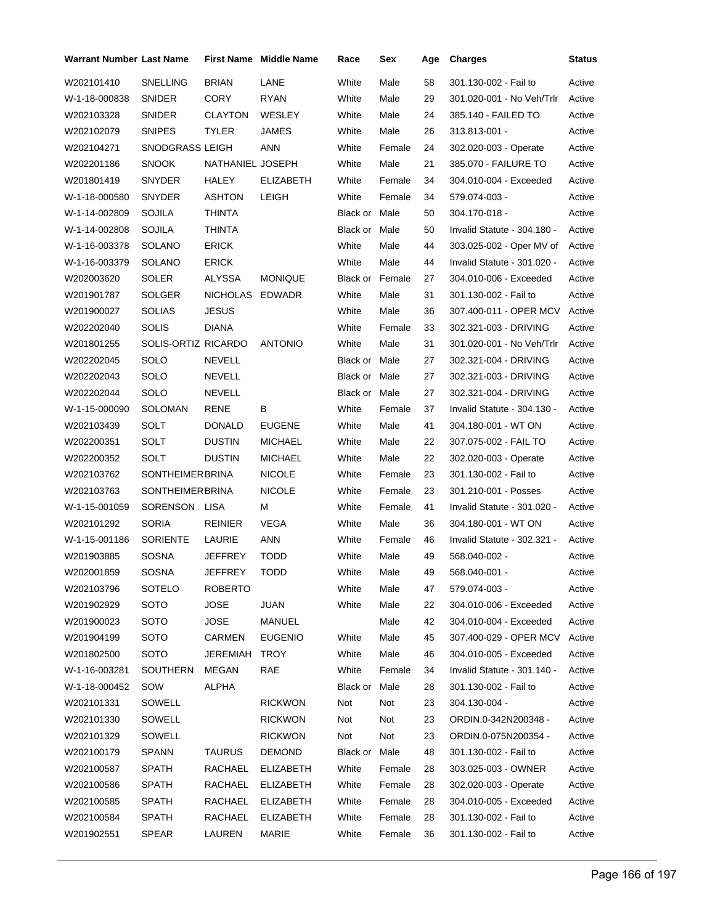| Warrant Number Last Name |                        |                  | <b>First Name</b> Middle Name | Race                   | Sex    | Age | <b>Charges</b>              | Status |
|--------------------------|------------------------|------------------|-------------------------------|------------------------|--------|-----|-----------------------------|--------|
| W202101410               | <b>SNELLING</b>        | <b>BRIAN</b>     | LANE                          | White                  | Male   | 58  | 301.130-002 - Fail to       | Active |
| W-1-18-000838            | SNIDER                 | <b>CORY</b>      | <b>RYAN</b>                   | White                  | Male   | 29  | 301.020-001 - No Veh/Trlr   | Active |
| W202103328               | SNIDER                 | <b>CLAYTON</b>   | <b>WESLEY</b>                 | White                  | Male   | 24  | 385.140 - FAILED TO         | Active |
| W202102079               | <b>SNIPES</b>          | <b>TYLER</b>     | <b>JAMES</b>                  | White                  | Male   | 26  | 313.813-001 -               | Active |
| W202104271               | SNODGRASS LEIGH        |                  | <b>ANN</b>                    | White                  | Female | 24  | 302.020-003 - Operate       | Active |
| W202201186               | <b>SNOOK</b>           | NATHANIEL JOSEPH |                               | White                  | Male   | 21  | 385.070 - FAILURE TO        | Active |
| W201801419               | SNYDER                 | <b>HALEY</b>     | <b>ELIZABETH</b>              | White                  | Female | 34  | 304.010-004 - Exceeded      | Active |
| W-1-18-000580            | <b>SNYDER</b>          | ASHTON           | LEIGH                         | White                  | Female | 34  | 579.074-003 -               | Active |
| W-1-14-002809            | SOJILA                 | <b>THINTA</b>    |                               | <b>Black or Male</b>   |        | 50  | 304.170-018 -               | Active |
| W-1-14-002808            | SOJILA                 | <b>THINTA</b>    |                               | Black or               | Male   | 50  | Invalid Statute - 304.180 - | Active |
| W-1-16-003378            | SOLANO                 | <b>ERICK</b>     |                               | White                  | Male   | 44  | 303.025-002 - Oper MV of    | Active |
| W-1-16-003379            | SOLANO                 | <b>ERICK</b>     |                               | White                  | Male   | 44  | Invalid Statute - 301.020 - | Active |
| W202003620               | SOLER                  | ALYSSA           | <b>MONIQUE</b>                | <b>Black or Female</b> |        | 27  | 304.010-006 - Exceeded      | Active |
| W201901787               | SOLGER                 | <b>NICHOLAS</b>  | <b>EDWADR</b>                 | White                  | Male   | 31  | 301.130-002 - Fail to       | Active |
| W201900027               | <b>SOLIAS</b>          | <b>JESUS</b>     |                               | White                  | Male   | 36  | 307.400-011 - OPER MCV      | Active |
| W202202040               | <b>SOLIS</b>           | <b>DIANA</b>     |                               | White                  | Female | 33  | 302.321-003 - DRIVING       | Active |
| W201801255               | SOLIS-ORTIZ RICARDO    |                  | <b>ANTONIO</b>                | White                  | Male   | 31  | 301.020-001 - No Veh/Trlr   | Active |
| W202202045               | SOLO                   | <b>NEVELL</b>    |                               | Black or Male          |        | 27  | 302.321-004 - DRIVING       | Active |
| W202202043               | SOLO                   | NEVELL           |                               | Black or Male          |        | 27  | 302.321-003 - DRIVING       | Active |
| W202202044               | SOLO                   | NEVELL           |                               | Black or Male          |        | 27  | 302.321-004 - DRIVING       | Active |
| W-1-15-000090            | SOLOMAN                | <b>RENE</b>      | В                             | White                  | Female | 37  | Invalid Statute - 304.130 - | Active |
| W202103439               | SOLT                   | <b>DONALD</b>    | <b>EUGENE</b>                 | White                  | Male   | 41  | 304.180-001 WT ON           | Active |
| W202200351               | SOLT                   | <b>DUSTIN</b>    | <b>MICHAEL</b>                | White                  | Male   | 22  | 307.075-002 - FAIL TO       | Active |
| W202200352               | SOLT                   | <b>DUSTIN</b>    | <b>MICHAEL</b>                | White                  | Male   | 22  | 302.020-003 - Operate       | Active |
| W202103762               | <b>SONTHEIMERBRINA</b> |                  | <b>NICOLE</b>                 | White                  | Female | 23  | 301.130-002 - Fail to       | Active |
| W202103763               | <b>SONTHEIMERBRINA</b> |                  | <b>NICOLE</b>                 | White                  | Female | 23  | 301.210-001 - Posses        | Active |
| W-1-15-001059            | SORENSON LISA          |                  | М                             | White                  | Female | 41  | Invalid Statute - 301.020 - | Active |
| W202101292               | <b>SORIA</b>           | <b>REINIER</b>   | <b>VEGA</b>                   | White                  | Male   | 36  | 304.180-001 - WT ON         | Active |
| W-1-15-001186            | <b>SORIENTE</b>        | LAURIE           | ANN                           | White                  | Female | 46  | Invalid Statute - 302.321 - | Active |
| W201903885               | SOSNA                  | <b>JEFFREY</b>   | TODD                          | White                  | Male   | 49  | 568.040-002 -               | Active |
| W202001859               | SOSNA                  | JEFFREY          | <b>TODD</b>                   | White                  | Male   | 49  | 568.040-001 -               | Active |
| W202103796               | SOTELO                 | <b>ROBERTO</b>   |                               | White                  | Male   | 47  | 579.074-003 -               | Active |
| W201902929               | <b>SOTO</b>            | <b>JOSE</b>      | <b>JUAN</b>                   | White                  | Male   | 22  | 304.010-006 - Exceeded      | Active |
| W201900023               | SOTO                   | <b>JOSE</b>      | MANUEL                        |                        | Male   | 42  | 304.010-004 - Exceeded      | Active |
| W201904199               | <b>SOTO</b>            | <b>CARMEN</b>    | <b>EUGENIO</b>                | White                  | Male   | 45  | 307.400-029 - OPER MCV      | Active |
| W201802500               | SOTO                   | JEREMIAH         | <b>TROY</b>                   | White                  | Male   | 46  | 304.010-005 - Exceeded      | Active |
| W-1-16-003281            | SOUTHERN               | MEGAN            | RAE                           | White                  | Female | 34  | Invalid Statute - 301.140 - | Active |
| W-1-18-000452            | SOW                    | <b>ALPHA</b>     |                               | Black or               | Male   | 28  | 301.130-002 - Fail to       | Active |
| W202101331               | SOWELL                 |                  | <b>RICKWON</b>                | Not                    | Not    | 23  | 304.130-004 -               | Active |
| W202101330               | SOWELL                 |                  | <b>RICKWON</b>                | Not                    | Not    | 23  | ORDIN.0-342N200348 -        | Active |
| W202101329               | SOWELL                 |                  | <b>RICKWON</b>                | Not                    | Not    | 23  | ORDIN.0-075N200354 -        | Active |
| W202100179               | SPANN                  | <b>TAURUS</b>    | <b>DEMOND</b>                 | Black or Male          |        | 48  | 301.130-002 - Fail to       | Active |
| W202100587               | <b>SPATH</b>           | RACHAEL          | <b>ELIZABETH</b>              | White                  | Female | 28  | 303.025-003 - OWNER         | Active |
| W202100586               | SPATH                  | RACHAEL          | <b>ELIZABETH</b>              | White                  | Female | 28  | 302.020-003 - Operate       | Active |
| W202100585               | SPATH                  | RACHAEL          | <b>ELIZABETH</b>              | White                  | Female | 28  | 304.010-005 - Exceeded      | Active |
| W202100584               | SPATH                  | RACHAEL          | <b>ELIZABETH</b>              | White                  | Female | 28  | 301.130-002 - Fail to       | Active |
| W201902551               | <b>SPEAR</b>           | LAUREN           | <b>MARIE</b>                  | White                  | Female | 36  | 301.130-002 - Fail to       | Active |
|                          |                        |                  |                               |                        |        |     |                             |        |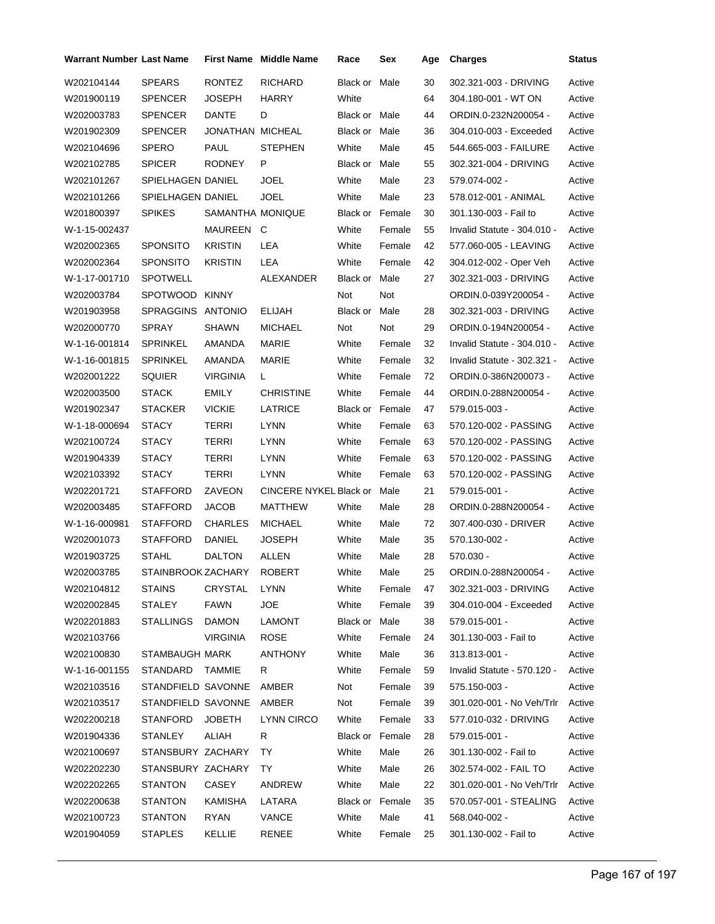| <b>Warrant Number Last Name</b> |                    |                  | First Name Middle Name | Race                   | Sex    | Age | <b>Charges</b>              | <b>Status</b> |
|---------------------------------|--------------------|------------------|------------------------|------------------------|--------|-----|-----------------------------|---------------|
| W202104144                      | <b>SPEARS</b>      | <b>RONTEZ</b>    | <b>RICHARD</b>         | Black or               | Male   | 30  | 302.321-003 - DRIVING       | Active        |
| W201900119                      | SPENCER            | JOSEPH           | <b>HARRY</b>           | White                  |        | 64  | 304.180-001 - WT ON         | Active        |
| W202003783                      | SPENCER            | DANTE            | D                      | Black or Male          |        | 44  | ORDIN.0-232N200054 -        | Active        |
| W201902309                      | <b>SPENCER</b>     | JONATHAN MICHEAL |                        | Black or Male          |        | 36  | 304.010-003 - Exceeded      | Active        |
| W202104696                      | SPERO              | PAUL             | <b>STEPHEN</b>         | White                  | Male   | 45  | 544.665-003 - FAILURE       | Active        |
| W202102785                      | <b>SPICER</b>      | RODNEY           | P                      | Black or Male          |        | 55  | 302.321-004 - DRIVING       | Active        |
| W202101267                      | SPIELHAGEN DANIEL  |                  | JOEL                   | White                  | Male   | 23  | 579.074-002 -               | Active        |
| W202101266                      | SPIELHAGEN DANIEL  |                  | <b>JOEL</b>            | White                  | Male   | 23  | 578.012-001 - ANIMAL        | Active        |
| W201800397                      | <b>SPIKES</b>      | SAMANTHA MONIQUE |                        | <b>Black or Female</b> |        | 30  | 301.130-003 - Fail to       | Active        |
| W-1-15-002437                   |                    | MAUREEN C        |                        | White                  | Female | 55  | Invalid Statute - 304.010 - | Active        |
| W202002365                      | <b>SPONSITO</b>    | <b>KRISTIN</b>   | LEA                    | White                  | Female | 42  | 577.060-005 - LEAVING       | Active        |
| W202002364                      | SPONSITO           | KRISTIN          | LEA                    | White                  | Female | 42  | 304.012-002 - Oper Veh      | Active        |
| W-1-17-001710                   | SPOTWELL           |                  | ALEXANDER              | Black or Male          |        | 27  | 302.321-003 - DRIVING       | Active        |
| W202003784                      | SPOTWOOD           | <b>KINNY</b>     |                        | Not                    | Not    |     | ORDIN.0-039Y200054 -        | Active        |
| W201903958                      | SPRAGGINS ANTONIO  |                  | ELIJAH                 | Black or Male          |        | 28  | 302.321-003 - DRIVING       | Active        |
| W202000770                      | SPRAY              | SHAWN            | <b>MICHAEL</b>         | Not                    | Not    | 29  | ORDIN.0-194N200054 -        | Active        |
| W-1-16-001814                   | SPRINKEL           | AMANDA           | MARIE                  | White                  | Female | 32  | Invalid Statute - 304.010 - | Active        |
| W-1-16-001815                   | <b>SPRINKEL</b>    | AMANDA           | MARIE                  | White                  | Female | 32  | Invalid Statute - 302.321 - | Active        |
| W202001222                      | SQUIER             | <b>VIRGINIA</b>  | L.                     | White                  | Female | 72  | ORDIN.0-386N200073 -        | Active        |
| W202003500                      | <b>STACK</b>       | EMILY            | <b>CHRISTINE</b>       | White                  | Female | 44  | ORDIN.0-288N200054 -        | Active        |
| W201902347                      | STACKER            | <b>VICKIE</b>    | LATRICE                | Black or Female        |        | 47  | 579.015-003 -               | Active        |
| W-1-18-000694                   | <b>STACY</b>       | TERRI            | <b>LYNN</b>            | White                  | Female | 63  | 570.120-002 - PASSING       | Active        |
| W202100724                      | STACY              | <b>TERRI</b>     | LYNN                   | White                  | Female | 63  | 570.120-002 - PASSING       | Active        |
| W201904339                      | <b>STACY</b>       | TERRI            | <b>LYNN</b>            | White                  | Female | 63  | 570.120-002 - PASSING       | Active        |
| W202103392                      | <b>STACY</b>       | TERRI            | <b>LYNN</b>            | White                  | Female | 63  | 570.120-002 - PASSING       | Active        |
| W202201721                      | STAFFORD           | ZAVEON           | CINCERE NYKEL Black or |                        | Male   | 21  | 579.015-001 -               | Active        |
| W202003485                      | STAFFORD           | JACOB            | MATTHEW                | White                  | Male   | 28  | ORDIN.0-288N200054 -        | Active        |
| W-1-16-000981                   | <b>STAFFORD</b>    | <b>CHARLES</b>   | <b>MICHAEL</b>         | White                  | Male   | 72  | 307.400-030 - DRIVER        | Active        |
| W202001073                      | STAFFORD           | DANIEL           | JOSEPH                 | White                  | Male   | 35  | 570.130-002 -               | Active        |
| W201903725                      | <b>STAHL</b>       | <b>DALTON</b>    | ALLEN                  | White                  | Male   | 28  | 570.030 -                   | Active        |
| W202003785                      | STAINBROOK ZACHARY |                  | ROBERT                 | White                  | Male   | 25  | ORDIN.0-288N200054 -        | Active        |
| W202104812                      | STAINS             | <b>CRYSTAL</b>   | LYNN                   | White                  | Female | 47  | 302.321-003 - DRIVING       | Active        |
| W202002845                      | STALEY             | <b>FAWN</b>      | JOE.                   | White                  | Female | 39  | 304.010-004 - Exceeded      | Active        |
| W202201883                      | <b>STALLINGS</b>   | <b>DAMON</b>     | LAMONT                 | Black or Male          |        | 38  | 579.015-001 -               | Active        |
| W202103766                      |                    | <b>VIRGINIA</b>  | <b>ROSE</b>            | White                  | Female | 24  | 301.130-003 - Fail to       | Active        |
| W202100830                      | STAMBAUGH MARK     |                  | <b>ANTHONY</b>         | White                  | Male   | 36  | 313.813-001 -               | Active        |
| W-1-16-001155                   | STANDARD           | TAMMIE           | R                      | White                  | Female | 59  | Invalid Statute - 570.120 - | Active        |
| W202103516                      | STANDFIELD SAVONNE |                  | AMBER                  | Not                    | Female | 39  | 575.150-003 -               | Active        |
| W202103517                      | STANDFIELD SAVONNE |                  | AMBER                  | Not                    | Female | 39  | 301.020-001 - No Veh/Trlr   | Active        |
| W202200218                      | <b>STANFORD</b>    | <b>JOBETH</b>    | LYNN CIRCO             | White                  | Female | 33  | 577.010-032 - DRIVING       | Active        |
| W201904336                      | <b>STANLEY</b>     | <b>ALIAH</b>     | R                      | Black or Female        |        | 28  | 579.015-001 -               | Active        |
| W202100697                      | STANSBURY ZACHARY  |                  | TY                     | White                  | Male   | 26  | 301.130-002 - Fail to       | Active        |
| W202202230                      | STANSBURY ZACHARY  |                  | TY                     | White                  | Male   | 26  | 302.574-002 - FAIL TO       | Active        |
| W202202265                      | STANTON            | CASEY            | ANDREW                 | White                  | Male   | 22  | 301.020-001 - No Veh/Trlr   | Active        |
| W202200638                      | STANTON            | KAMISHA          | LATARA                 | Black or Female        |        | 35  | 570.057-001 - STEALING      | Active        |
| W202100723                      | STANTON            | RYAN             | VANCE                  | White                  | Male   | 41  | 568.040-002 -               | Active        |
| W201904059                      | <b>STAPLES</b>     | KELLIE           | <b>RENEE</b>           | White                  | Female | 25  | 301.130-002 - Fail to       | Active        |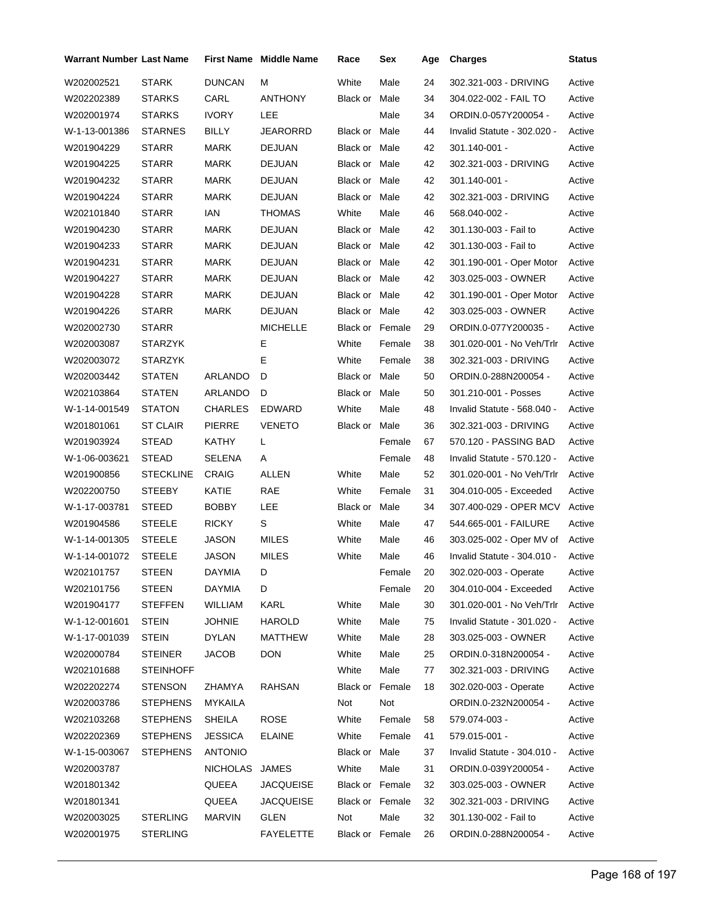| Warrant Number Last Name |                  |                | <b>First Name Middle Name</b> | Race                 | Sex    | Age | <b>Charges</b>              | <b>Status</b> |
|--------------------------|------------------|----------------|-------------------------------|----------------------|--------|-----|-----------------------------|---------------|
| W202002521               | <b>STARK</b>     | <b>DUNCAN</b>  | М                             | White                | Male   | 24  | 302.321-003 - DRIVING       | Active        |
| W202202389               | <b>STARKS</b>    | CARL           | ANTHONY                       | Black or Male        |        | 34  | 304.022-002 - FAIL TO       | Active        |
| W202001974               | <b>STARKS</b>    | <b>IVORY</b>   | LEE                           |                      | Male   | 34  | ORDIN.0-057Y200054 -        | Active        |
| W-1-13-001386            | <b>STARNES</b>   | <b>BILLY</b>   | <b>JEARORRD</b>               | Black or Male        |        | 44  | Invalid Statute - 302.020 - | Active        |
| W201904229               | <b>STARR</b>     | MARK           | <b>DEJUAN</b>                 | Black or Male        |        | 42  | 301.140-001 -               | Active        |
| W201904225               | <b>STARR</b>     | MARK           | <b>DEJUAN</b>                 | Black or Male        |        | 42  | 302.321-003 - DRIVING       | Active        |
| W201904232               | <b>STARR</b>     | <b>MARK</b>    | DEJUAN                        | Black or Male        |        | 42  | 301.140-001 -               | Active        |
| W201904224               | <b>STARR</b>     | MARK           | <b>DEJUAN</b>                 | Black or Male        |        | 42  | 302.321-003 - DRIVING       | Active        |
| W202101840               | <b>STARR</b>     | IAN            | THOMAS                        | White                | Male   | 46  | 568.040-002 -               | Active        |
| W201904230               | <b>STARR</b>     | <b>MARK</b>    | <b>DEJUAN</b>                 | Black or Male        |        | 42  | 301.130-003 - Fail to       | Active        |
| W201904233               | <b>STARR</b>     | MARK           | <b>DEJUAN</b>                 | Black or Male        |        | 42  | 301.130-003 - Fail to       | Active        |
| W201904231               | <b>STARR</b>     | MARK           | <b>DEJUAN</b>                 | Black or Male        |        | 42  | 301.190-001 - Oper Motor    | Active        |
| W201904227               | <b>STARR</b>     | MARK           | <b>DEJUAN</b>                 | Black or Male        |        | 42  | 303.025-003 - OWNER         | Active        |
| W201904228               | <b>STARR</b>     | MARK           | <b>DEJUAN</b>                 | Black or Male        |        | 42  | 301.190-001 - Oper Motor    | Active        |
| W201904226               | <b>STARR</b>     | MARK           | <b>DEJUAN</b>                 | Black or Male        |        | 42  | 303.025-003 - OWNER         | Active        |
| W202002730               | <b>STARR</b>     |                | <b>MICHELLE</b>               | Black or Female      |        | 29  | ORDIN.0-077Y200035 -        | Active        |
| W202003087               | <b>STARZYK</b>   |                | Е                             | White                | Female | 38  | 301.020-001 - No Veh/Trlr   | Active        |
| W202003072               | STARZYK          |                | E                             | White                | Female | 38  | 302.321-003 - DRIVING       | Active        |
| W202003442               | <b>STATEN</b>    | ARLANDO        | D                             | Black or Male        |        | 50  | ORDIN.0-288N200054 -        | Active        |
| W202103864               | STATEN           | ARLANDO        | D                             | Black or Male        |        | 50  | 301.210-001 - Posses        | Active        |
| W-1-14-001549            | <b>STATON</b>    | <b>CHARLES</b> | <b>EDWARD</b>                 | White                | Male   | 48  | Invalid Statute - 568.040 - | Active        |
| W201801061               | ST CLAIR         | <b>PIERRE</b>  | <b>VENETO</b>                 | Black or Male        |        | 36  | 302.321-003 - DRIVING       | Active        |
| W201903924               | STEAD            | KATHY          | L                             |                      | Female | 67  | 570.120 - PASSING BAD       | Active        |
| W-1-06-003621            | <b>STEAD</b>     | SELENA         | A                             |                      | Female | 48  | Invalid Statute - 570.120 - | Active        |
| W201900856               | <b>STECKLINE</b> | CRAIG          | ALLEN                         | White                | Male   | 52  | 301.020-001 - No Veh/Trlr   | Active        |
| W202200750               | STEEBY           | KATIE          | RAE                           | White                | Female | 31  | 304.010-005 - Exceeded      | Active        |
| W-1-17-003781            | <b>STEED</b>     | <b>BOBBY</b>   | <b>LEE</b>                    | <b>Black or Male</b> |        | 34  | 307.400-029 - OPER MCV      | Active        |
| W201904586               | STEELE           | <b>RICKY</b>   | S                             | White                | Male   | 47  | 544.665-001 - FAILURE       | Active        |
| W-1-14-001305            | <b>STEELE</b>    | JASON          | MILES                         | White                | Male   | 46  | 303.025-002 - Oper MV of    | Active        |
| W-1-14-001072            | <b>STEELE</b>    | <b>JASON</b>   | MILES                         | White                | Male   | 46  | Invalid Statute - 304.010 - | Active        |
| W202101757               | STEEN            | DAYMIA         | D                             |                      | Female | 20  | 302.020-003 - Operate       | Active        |
| W202101756               | <b>STEEN</b>     | DAYMIA         | D                             |                      | Female | 20  | 304.010-004 - Exceeded      | Active        |
| W201904177               | <b>STEFFEN</b>   | WILLIAM        | <b>KARL</b>                   | White                | Male   | 30  | 301.020-001 - No Veh/Trlr   | Active        |
| W-1-12-001601            | <b>STEIN</b>     | <b>JOHNIE</b>  | <b>HAROLD</b>                 | White                | Male   | 75  | Invalid Statute - 301.020 - | Active        |
| W-1-17-001039            | <b>STEIN</b>     | <b>DYLAN</b>   | <b>MATTHEW</b>                | White                | Male   | 28  | 303.025-003 - OWNER         | Active        |
| W202000784               | <b>STEINER</b>   | <b>JACOB</b>   | <b>DON</b>                    | White                | Male   | 25  | ORDIN.0-318N200054 -        | Active        |
| W202101688               | <b>STEINHOFF</b> |                |                               | White                | Male   | 77  | 302.321-003 - DRIVING       | Active        |
| W202202274               | <b>STENSON</b>   | ZHAMYA         | RAHSAN                        | Black or Female      |        | 18  | 302.020-003 - Operate       | Active        |
| W202003786               | <b>STEPHENS</b>  | MYKAILA        |                               | Not                  | Not    |     | ORDIN.0-232N200054 -        | Active        |
| W202103268               | <b>STEPHENS</b>  | <b>SHEILA</b>  | <b>ROSE</b>                   | White                | Female | 58  | 579.074-003 -               | Active        |
| W202202369               | <b>STEPHENS</b>  | <b>JESSICA</b> | ELAINE                        | White                | Female | 41  | 579.015-001 -               | Active        |
| W-1-15-003067            | <b>STEPHENS</b>  | <b>ANTONIO</b> |                               | Black or Male        |        | 37  | Invalid Statute - 304.010 - | Active        |
| W202003787               |                  | NICHOLAS       | JAMES                         | White                | Male   | 31  | ORDIN.0-039Y200054 -        | Active        |
| W201801342               |                  | QUEEA          | <b>JACQUEISE</b>              | Black or Female      |        | 32  | 303.025-003 - OWNER         | Active        |
| W201801341               |                  | QUEEA          | <b>JACQUEISE</b>              | Black or Female      |        | 32  | 302.321-003 - DRIVING       | Active        |
| W202003025               | <b>STERLING</b>  | <b>MARVIN</b>  | <b>GLEN</b>                   | Not                  | Male   | 32  | 301.130-002 - Fail to       | Active        |
| W202001975               | <b>STERLING</b>  |                | <b>FAYELETTE</b>              | Black or Female      |        | 26  | ORDIN.0-288N200054 -        | Active        |
|                          |                  |                |                               |                      |        |     |                             |               |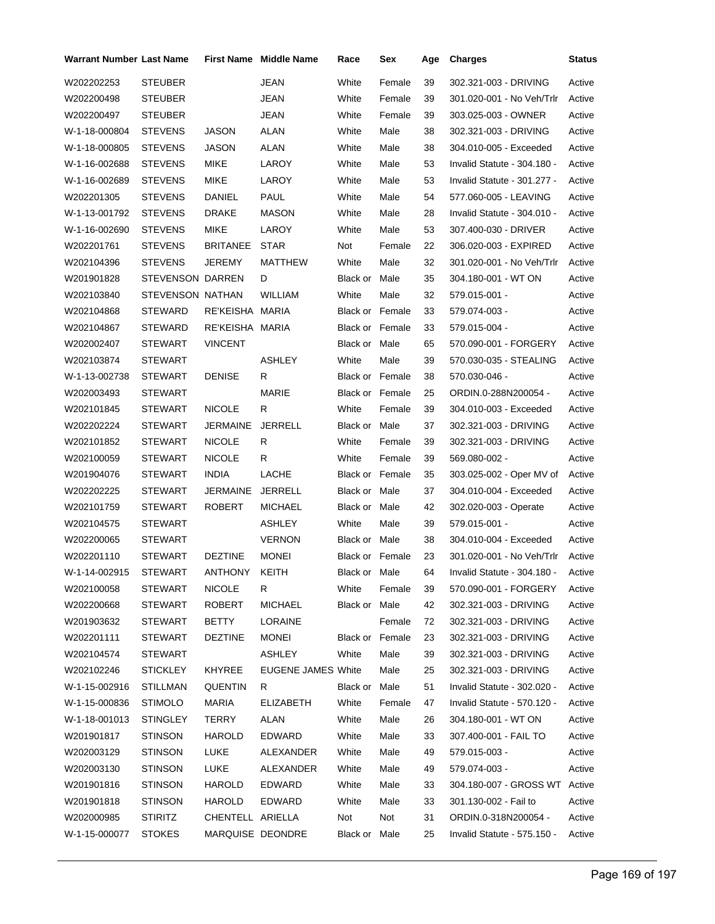| Warrant Number Last Name |                  |                  | <b>First Name Middle Name</b> | Race                   | Sex    | Age | <b>Charges</b>                | <b>Status</b> |
|--------------------------|------------------|------------------|-------------------------------|------------------------|--------|-----|-------------------------------|---------------|
| W202202253               | <b>STEUBER</b>   |                  | <b>JEAN</b>                   | White                  | Female | 39  | 302.321-003 - DRIVING         | Active        |
| W202200498               | STEUBER          |                  | <b>JEAN</b>                   | White                  | Female | 39  | 301.020-001 - No Veh/Trlr     | Active        |
| W202200497               | STEUBER          |                  | JEAN                          | White                  | Female | 39  | 303.025-003 - OWNER           | Active        |
| W-1-18-000804            | <b>STEVENS</b>   | JASON            | ALAN                          | White                  | Male   | 38  | 302.321-003 - DRIVING         | Active        |
| W-1-18-000805            | <b>STEVENS</b>   | JASON            | ALAN                          | White                  | Male   | 38  | 304.010-005 - Exceeded        | Active        |
| W-1-16-002688            | <b>STEVENS</b>   | MIKE             | LAROY                         | White                  | Male   | 53  | Invalid Statute - 304.180 -   | Active        |
| W-1-16-002689            | <b>STEVENS</b>   | MIKE             | LAROY                         | White                  | Male   | 53  | Invalid Statute - 301.277 -   | Active        |
| W202201305               | STEVENS          | DANIEL           | PAUL                          | White                  | Male   | 54  | 577.060-005 - LEAVING         | Active        |
| W-1-13-001792            | STEVENS          | DRAKE            | <b>MASON</b>                  | White                  | Male   | 28  | Invalid Statute - 304.010 -   | Active        |
| W-1-16-002690            | <b>STEVENS</b>   | MIKE             | LAROY                         | White                  | Male   | 53  | 307.400-030 - DRIVER          | Active        |
| W202201761               | STEVENS          | <b>BRITANEE</b>  | <b>STAR</b>                   | Not                    | Female | 22  | 306.020-003 - EXPIRED         | Active        |
| W202104396               | STEVENS          | JEREMY           | MATTHEW                       | White                  | Male   | 32  | 301.020-001 - No Veh/Trlr     | Active        |
| W201901828               | STEVENSON DARREN |                  | D                             | Black or Male          |        | 35  | 304.180-001 - WT ON           | Active        |
| W202103840               | STEVENSON NATHAN |                  | <b>WILLIAM</b>                | White                  | Male   | 32  | 579.015-001 -                 | Active        |
| W202104868               | STEWARD          | RE'KEISHA MARIA  |                               | Black or Female        |        | 33  | 579.074-003 -                 | Active        |
| W202104867               | <b>STEWARD</b>   | RE'KEISHA MARIA  |                               | <b>Black or Female</b> |        | 33  | 579.015-004 -                 | Active        |
| W202002407               | STEWART          | <b>VINCENT</b>   |                               | Black or Male          |        | 65  | 570.090-001 - FORGERY         | Active        |
| W202103874               | STEWART          |                  | ASHLEY                        | White                  | Male   | 39  | 570.030-035 - STEALING        | Active        |
| W-1-13-002738            | STEWART          | <b>DENISE</b>    | R                             | <b>Black or Female</b> |        | 38  | 570.030-046 -                 | Active        |
| W202003493               | STEWART          |                  | <b>MARIE</b>                  | <b>Black or Female</b> |        | 25  | ORDIN.0-288N200054 -          | Active        |
| W202101845               | STEWART          | <b>NICOLE</b>    | R                             | White                  | Female | 39  | 304.010-003 - Exceeded        | Active        |
| W202202224               | STEWART          | JERMAINE         | <b>JERRELL</b>                | Black or Male          |        | 37  | 302.321-003 - DRIVING         | Active        |
| W202101852               | STEWART          | <b>NICOLE</b>    | R                             | White                  | Female | 39  | 302.321-003 - DRIVING         | Active        |
| W202100059               | STEWART          | <b>NICOLE</b>    | R                             | White                  | Female | 39  | 569.080-002 -                 | Active        |
| W201904076               | STEWART          | <b>INDIA</b>     | LACHE                         | <b>Black or Female</b> |        | 35  | 303.025-002 - Oper MV of      | Active        |
| W202202225               | STEWART          | JERMAINE         | <b>JERRELL</b>                | Black or Male          |        | 37  | 304.010-004 - Exceeded        | Active        |
| W202101759               | STEWART          | ROBERT           | <b>MICHAEL</b>                | Black or Male          |        | 42  | 302.020-003 - Operate         | Active        |
| W202104575               | STEWART          |                  | <b>ASHLEY</b>                 | White                  | Male   | 39  | 579.015-001 -                 | Active        |
| W202200065               | <b>STEWART</b>   |                  | <b>VERNON</b>                 | Black or Male          |        | 38  | 304.010-004 - Exceeded        | Active        |
| W202201110               | STEWART          | <b>DEZTINE</b>   | <b>MONEI</b>                  | Black or Female        |        | 23  | 301.020-001 - No Veh/Trlr     | Active        |
| W-1-14-002915            | STEWART          | ANTHONY          | KEITH                         | Black or Male          |        | 64  | Invalid Statute - 304.180 -   | Active        |
| W202100058               | STEWART          | <b>NICOLE</b>    | R.                            | White                  | Female | 39  | 570.090-001 - FORGERY         | Active        |
| W202200668               | STEWART          | ROBERT           | <b>MICHAEL</b>                | Black or Male          |        | 42  | 302.321-003 - DRIVING         | Active        |
| W201903632               | STEWART          | <b>BETTY</b>     | LORAINE                       |                        | Female | 72  | 302.321-003 - DRIVING         | Active        |
| W202201111               | <b>STEWART</b>   | <b>DEZTINE</b>   | <b>MONEI</b>                  | Black or Female        |        | 23  | 302.321-003 - DRIVING         | Active        |
| W202104574               | STEWART          |                  | ASHLEY                        | White                  | Male   | 39  | 302.321-003 - DRIVING         | Active        |
| W202102246               | <b>STICKLEY</b>  | <b>KHYREE</b>    | <b>EUGENE JAMES White</b>     |                        | Male   | 25  | 302.321-003 - DRIVING         | Active        |
| W-1-15-002916            | STILLMAN         | <b>QUENTIN</b>   | R                             | Black or               | Male   | 51  | Invalid Statute - 302.020 -   | Active        |
| W-1-15-000836            | STIMOLO          | MARIA            | <b>ELIZABETH</b>              | White                  | Female | 47  | Invalid Statute - 570.120 -   | Active        |
| W-1-18-001013            | <b>STINGLEY</b>  | TERRY            | ALAN                          | White                  | Male   | 26  | 304.180-001 WT ON             | Active        |
| W201901817               | <b>STINSON</b>   | HAROLD           | <b>EDWARD</b>                 | White                  | Male   | 33  | 307.400-001 - FAIL TO         | Active        |
| W202003129               | STINSON          | LUKE             | ALEXANDER                     | White                  | Male   | 49  | 579.015-003 -                 | Active        |
| W202003130               | <b>STINSON</b>   | LUKE             | ALEXANDER                     | White                  | Male   | 49  | 579.074-003 -                 | Active        |
| W201901816               | <b>STINSON</b>   | HAROLD           | EDWARD                        | White                  | Male   | 33  | 304.180-007 - GROSS WT Active |               |
| W201901818               | STINSON          | HAROLD           | EDWARD                        | White                  | Male   | 33  | 301.130-002 - Fail to         | Active        |
| W202000985               | <b>STIRITZ</b>   | CHENTELL ARIELLA |                               | Not                    | Not    | 31  | ORDIN.0-318N200054 -          | Active        |
| W-1-15-000077            | <b>STOKES</b>    | MARQUISE DEONDRE |                               | Black or Male          |        | 25  | Invalid Statute - 575.150 -   | Active        |
|                          |                  |                  |                               |                        |        |     |                               |               |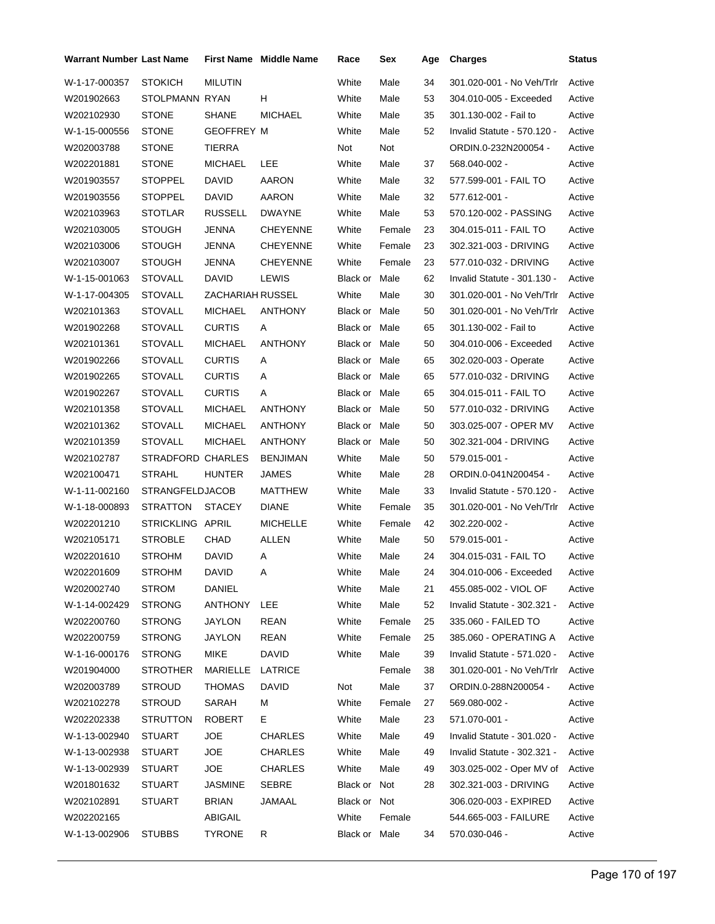| <b>Warrant Number Last Name</b> |                        |                   | <b>First Name Middle Name</b> | Race          | Sex    | Age | <b>Charges</b>                  | <b>Status</b> |
|---------------------------------|------------------------|-------------------|-------------------------------|---------------|--------|-----|---------------------------------|---------------|
| W-1-17-000357                   | <b>STOKICH</b>         | <b>MILUTIN</b>    |                               | White         | Male   | 34  | 301.020-001 - No Veh/Trlr       | Active        |
| W201902663                      | STOLPMANN RYAN         |                   | H                             | White         | Male   | 53  | 304.010-005 - Exceeded          | Active        |
| W202102930                      | STONE                  | <b>SHANE</b>      | <b>MICHAEL</b>                | White         | Male   | 35  | 301.130-002 - Fail to           | Active        |
| W-1-15-000556                   | <b>STONE</b>           | <b>GEOFFREY M</b> |                               | White         | Male   | 52  | Invalid Statute - 570.120 -     | Active        |
| W202003788                      | <b>STONE</b>           | TIERRA            |                               | Not           | Not    |     | ORDIN.0-232N200054 -            | Active        |
| W202201881                      | <b>STONE</b>           | <b>MICHAEL</b>    | LEE                           | White         | Male   | 37  | 568.040-002 -                   | Active        |
| W201903557                      | <b>STOPPEL</b>         | <b>DAVID</b>      | AARON                         | White         | Male   | 32  | 577.599-001 - FAIL TO           | Active        |
| W201903556                      | <b>STOPPEL</b>         | DAVID             | AARON                         | White         | Male   | 32  | 577.612-001 -                   | Active        |
| W202103963                      | <b>STOTLAR</b>         | <b>RUSSELL</b>    | DWAYNE                        | White         | Male   | 53  | 570.120-002 - PASSING           | Active        |
| W202103005                      | <b>STOUGH</b>          | JENNA             | <b>CHEYENNE</b>               | White         | Female | 23  | 304.015-011 - FAIL TO           | Active        |
| W202103006                      | <b>STOUGH</b>          | JENNA             | <b>CHEYENNE</b>               | White         | Female | 23  | 302.321-003 - DRIVING           | Active        |
| W202103007                      | STOUGH                 | JENNA             | <b>CHEYENNE</b>               | White         | Female | 23  | 577.010-032 - DRIVING           | Active        |
| W-1-15-001063                   | <b>STOVALL</b>         | <b>DAVID</b>      | LEWIS                         | Black or Male |        | 62  | Invalid Statute - 301.130 -     | Active        |
| W-1-17-004305                   | <b>STOVALL</b>         | ZACHARIAH RUSSEL  |                               | White         | Male   | 30  | 301.020-001 - No Veh/Trlr       | Active        |
| W202101363                      | STOVALL                | <b>MICHAEL</b>    | ANTHONY                       | Black or Male |        | 50  | 301.020-001 - No Veh/Trlr       | Active        |
| W201902268                      | <b>STOVALL</b>         | <b>CURTIS</b>     | Α                             | Black or Male |        | 65  | 301.130-002 - Fail to           | Active        |
| W202101361                      | <b>STOVALL</b>         | <b>MICHAEL</b>    | <b>ANTHONY</b>                | Black or Male |        | 50  | 304.010-006 - Exceeded          | Active        |
| W201902266                      | <b>STOVALL</b>         | <b>CURTIS</b>     | A                             | Black or Male |        | 65  | 302.020-003 - Operate           | Active        |
| W201902265                      | <b>STOVALL</b>         | <b>CURTIS</b>     | Α                             | Black or Male |        | 65  | 577.010-032 - DRIVING           | Active        |
| W201902267                      | <b>STOVALL</b>         | <b>CURTIS</b>     | A                             | Black or Male |        | 65  | 304.015-011 - FAIL TO           | Active        |
| W202101358                      | <b>STOVALL</b>         | <b>MICHAEL</b>    | ANTHONY                       | Black or Male |        | 50  | 577.010-032 - DRIVING           | Active        |
| W202101362                      | <b>STOVALL</b>         | <b>MICHAEL</b>    | ANTHONY                       | Black or Male |        | 50  | 303.025-007 - OPER MV           | Active        |
| W202101359                      | <b>STOVALL</b>         | <b>MICHAEL</b>    | ANTHONY                       | Black or Male |        | 50  | 302.321-004 - DRIVING           | Active        |
| W202102787                      | STRADFORD CHARLES      |                   | BENJIMAN                      | White         | Male   | 50  | 579.015-001 -                   | Active        |
| W202100471                      | <b>STRAHL</b>          | <b>HUNTER</b>     | JAMES                         | White         | Male   | 28  | ORDIN.0-041N200454 -            | Active        |
| W-1-11-002160                   | <b>STRANGFELDJACOB</b> |                   | MATTHEW                       | White         | Male   | 33  | Invalid Statute - 570.120 -     | Active        |
| W-1-18-000893                   | <b>STRATTON</b>        | <b>STACEY</b>     | DIANE                         | White         | Female | 35  | 301.020-001 - No Veh/Trlr       | Active        |
| W202201210                      | STRICKLING APRIL       |                   | <b>MICHELLE</b>               | White         | Female | 42  | 302.220-002 -                   | Active        |
| W202105171                      | <b>STROBLE</b>         | CHAD              | <b>ALLEN</b>                  | White         | Male   | 50  | 579.015-001 -                   | Active        |
| W202201610                      | STROHM                 | <b>DAVID</b>      | Α                             | White         | Male   | 24  | 304.015-031 - FAIL TO           | Active        |
| W202201609                      | <b>STROHM</b>          | <b>DAVID</b>      | A                             | White         | Male   | 24  | 304.010-006 - Exceeded          | Active        |
| W202002740                      | STROM                  | DANIEL            |                               | White         | Male   | 21  | 455.085-002 - VIOL OF           | Active        |
| W-1-14-002429                   | <b>STRONG</b>          | ANTHONY LEE       |                               | White         | Male   | 52  | Invalid Statute - 302.321 -     | Active        |
| W202200760                      | STRONG                 | <b>JAYLON</b>     | REAN                          | White         | Female | 25  | 335.060 - FAILED TO             | Active        |
| W202200759                      | STRONG                 | <b>JAYLON</b>     | <b>REAN</b>                   | White         | Female | 25  | 385.060 - OPERATING A           | Active        |
| W-1-16-000176                   | <b>STRONG</b>          | MIKE              | DAVID                         | White         | Male   | 39  | Invalid Statute - 571.020 -     | Active        |
| W201904000                      | <b>STROTHER</b>        | MARIELLE          | LATRICE                       |               | Female | 38  | 301.020-001 - No Veh/Trlr       | Active        |
| W202003789                      | <b>STROUD</b>          | THOMAS            | DAVID                         | Not           | Male   | 37  | ORDIN.0-288N200054 -            | Active        |
| W202102278                      | STROUD                 | SARAH             | М                             | White         | Female | 27  | 569.080-002 -                   | Active        |
| W202202338                      | STRUTTON               | ROBERT            | Е.                            | White         | Male   | 23  | 571.070-001 -                   | Active        |
| W-1-13-002940                   | STUART                 | <b>JOE</b>        | CHARLES                       | White         | Male   | 49  | Invalid Statute - 301.020 -     | Active        |
| W-1-13-002938                   | STUART                 | JOE               | CHARLES                       | White         | Male   | 49  | Invalid Statute - 302.321 -     | Active        |
| W-1-13-002939                   | STUART                 | JOE               | CHARLES                       | White         | Male   | 49  | 303.025-002 - Oper MV of Active |               |
| W201801632                      | STUART                 | <b>JASMINE</b>    | SEBRE                         | Black or Not  |        | 28  | 302.321-003 - DRIVING           | Active        |
| W202102891                      | STUART                 | <b>BRIAN</b>      | JAMAAL                        | Black or Not  |        |     | 306.020-003 - EXPIRED           | Active        |
| W202202165                      |                        | ABIGAIL           |                               | White         | Female |     | 544.665-003 - FAILURE           | Active        |
| W-1-13-002906                   | <b>STUBBS</b>          | <b>TYRONE</b>     | R                             | Black or Male |        | 34  | 570.030-046 -                   | Active        |
|                                 |                        |                   |                               |               |        |     |                                 |               |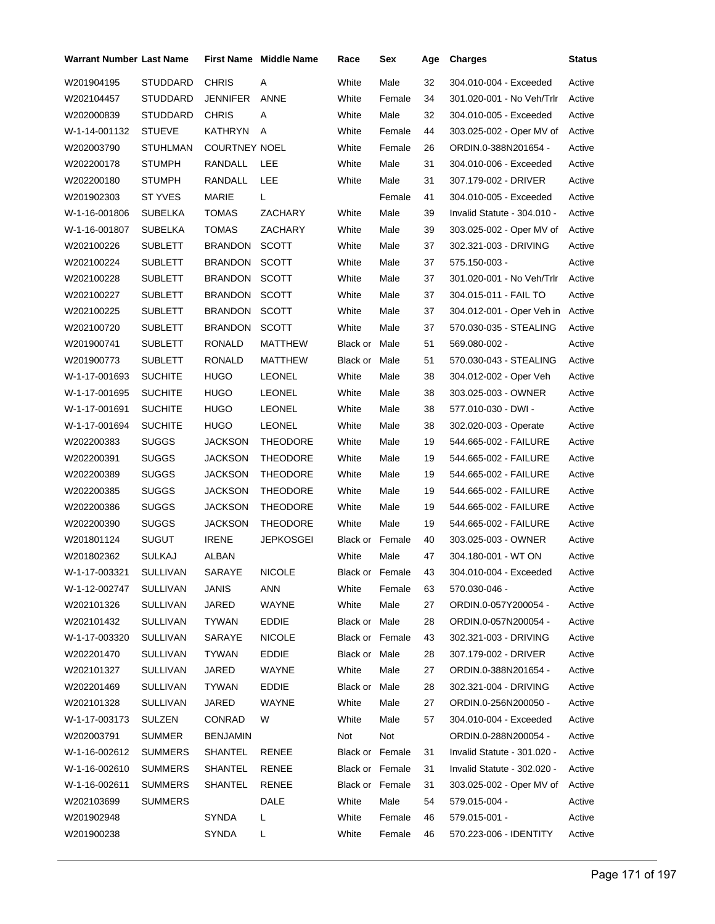| <b>Warrant Number Last Name</b> |                 |                      | First Name Middle Name | Race            | Sex             | Age | <b>Charges</b>              | <b>Status</b> |
|---------------------------------|-----------------|----------------------|------------------------|-----------------|-----------------|-----|-----------------------------|---------------|
| W201904195                      | STUDDARD        | <b>CHRIS</b>         | Α                      | White           | Male            | 32  | 304.010-004 - Exceeded      | Active        |
| W202104457                      | STUDDARD        | JENNIFER             | ANNE                   | White           | Female          | 34  | 301.020-001 - No Veh/Trlr   | Active        |
| W202000839                      | STUDDARD        | <b>CHRIS</b>         | Α                      | White           | Male            | 32  | 304.010-005 - Exceeded      | Active        |
| W-1-14-001132                   | <b>STUEVE</b>   | <b>KATHRYN</b>       | Α                      | White           | Female          | 44  | 303.025-002 - Oper MV of    | Active        |
| W202003790                      | STUHLMAN        | <b>COURTNEY NOEL</b> |                        | White           | Female          | 26  | ORDIN.0-388N201654 -        | Active        |
| W202200178                      | STUMPH          | RANDALL              | <b>LEE</b>             | White           | Male            | 31  | 304.010-006 - Exceeded      | Active        |
| W202200180                      | STUMPH          | RANDALL              | LEE                    | White           | Male            | 31  | 307.179-002 - DRIVER        | Active        |
| W201902303                      | ST YVES         | MARIE                | L.                     |                 | Female          | 41  | 304.010-005 - Exceeded      | Active        |
| W-1-16-001806                   | SUBELKA         | TOMAS                | ZACHARY                | White           | Male            | 39  | Invalid Statute - 304.010 - | Active        |
| W-1-16-001807                   | SUBELKA         | TOMAS                | ZACHARY                | White           | Male            | 39  | 303.025-002 - Oper MV of    | Active        |
| W202100226                      | SUBLETT         | BRANDON              | <b>SCOTT</b>           | White           | Male            | 37  | 302.321-003 - DRIVING       | Active        |
| W202100224                      | SUBLETT         | BRANDON              | <b>SCOTT</b>           | White           | Male            | 37  | 575.150-003 -               | Active        |
| W202100228                      | <b>SUBLETT</b>  | <b>BRANDON</b>       | <b>SCOTT</b>           | White           | Male            | 37  | 301.020-001 - No Veh/Trlr   | Active        |
| W202100227                      | <b>SUBLETT</b>  | BRANDON              | <b>SCOTT</b>           | White           | Male            | 37  | 304.015-011 - FAIL TO       | Active        |
| W202100225                      | SUBLETT         | BRANDON              | <b>SCOTT</b>           | White           | Male            | 37  | 304.012-001 - Oper Veh in   | Active        |
| W202100720                      | <b>SUBLETT</b>  | <b>BRANDON</b>       | <b>SCOTT</b>           | White           | Male            | 37  | 570.030-035 - STEALING      | Active        |
| W201900741                      | <b>SUBLETT</b>  | RONALD               | MATTHEW                | Black or Male   |                 | 51  | 569.080-002 -               | Active        |
| W201900773                      | SUBLETT         | RONALD               | MATTHEW                | Black or Male   |                 | 51  | 570.030-043 - STEALING      | Active        |
| W-1-17-001693                   | <b>SUCHITE</b>  | HUGO                 | <b>LEONEL</b>          | White           | Male            | 38  | 304.012-002 - Oper Veh      | Active        |
| W-1-17-001695                   | <b>SUCHITE</b>  | HUGO                 | <b>LEONEL</b>          | White           | Male            | 38  | 303.025-003 - OWNER         | Active        |
| W-1-17-001691                   | SUCHITE         | <b>HUGO</b>          | <b>LEONEL</b>          | White           | Male            | 38  | 577.010-030 - DWI -         | Active        |
| W-1-17-001694                   | <b>SUCHITE</b>  | HUGO                 | <b>LEONEL</b>          | White           | Male            | 38  | 302.020-003 - Operate       | Active        |
| W202200383                      | SUGGS           | JACKSON              | THEODORE               | White           | Male            | 19  | 544.665-002 - FAILURE       | Active        |
| W202200391                      | <b>SUGGS</b>    | <b>JACKSON</b>       | <b>THEODORE</b>        | White           | Male            | 19  | 544.665-002 - FAILURE       | Active        |
| W202200389                      | <b>SUGGS</b>    | <b>JACKSON</b>       | THEODORE               | White           | Male            | 19  | 544.665-002 - FAILURE       | Active        |
| W202200385                      | <b>SUGGS</b>    | JACKSON              | <b>THEODORE</b>        | White           | Male            | 19  | 544.665-002 - FAILURE       | Active        |
| W202200386                      | <b>SUGGS</b>    | <b>JACKSON</b>       | THEODORE               | White           | Male            | 19  | 544.665-002 - FAILURE       | Active        |
| W202200390                      | <b>SUGGS</b>    | JACKSON              | THEODORE               | White           | Male            | 19  | 544.665-002 - FAILURE       | Active        |
| W201801124                      | SUGUT           | <b>IRENE</b>         | JEPKOSGEI              | Black or Female |                 | 40  | 303.025-003 - OWNER         | Active        |
| W201802362                      | SULKAJ          | ALBAN                |                        | White           | Male            | 47  | 304.180-001 - WT ON         | Active        |
| W-1-17-003321                   | <b>SULLIVAN</b> | SARAYE               | <b>NICOLE</b>          |                 | Black or Female | 43  | 304.010-004 - Exceeded      | Active        |
| W-1-12-002747                   | <b>SULLIVAN</b> | JANIS                | ANN                    | White           | Female          | 63  | 570.030-046 -               | Active        |
| W202101326                      | SULLIVAN        | JARED                | WAYNE                  | White           | Male            | 27  | ORDIN.0-057Y200054 -        | Active        |
| W202101432                      | <b>SULLIVAN</b> | <b>TYWAN</b>         | <b>EDDIE</b>           | Black or Male   |                 | 28  | ORDIN.0-057N200054 -        | Active        |
| W-1-17-003320                   | <b>SULLIVAN</b> | SARAYE               | <b>NICOLE</b>          | Black or Female |                 | 43  | 302.321-003 - DRIVING       | Active        |
| W202201470                      | SULLIVAN        | TYWAN                | <b>EDDIE</b>           | Black or Male   |                 | 28  | 307.179-002 - DRIVER        | Active        |
| W202101327                      | <b>SULLIVAN</b> | JARED                | WAYNE                  | White           | Male            | 27  | ORDIN.0-388N201654 -        | Active        |
| W202201469                      | <b>SULLIVAN</b> | <b>TYWAN</b>         | EDDIE                  | Black or Male   |                 | 28  | 302.321-004 - DRIVING       | Active        |
| W202101328                      | SULLIVAN        | JARED                | WAYNE                  | White           | Male            | 27  | ORDIN.0-256N200050 -        | Active        |
| W-1-17-003173                   | SULZEN          | CONRAD               | W                      | White           | Male            | 57  | 304.010-004 - Exceeded      | Active        |
| W202003791                      | <b>SUMMER</b>   | BENJAMIN             |                        | Not             | Not             |     | ORDIN.0-288N200054 -        | Active        |
| W-1-16-002612                   | SUMMERS         | SHANTEL              | RENEE                  | Black or Female |                 | 31  | Invalid Statute - 301.020 - | Active        |
| W-1-16-002610                   | <b>SUMMERS</b>  | SHANTEL              | <b>RENEE</b>           | Black or Female |                 | 31  | Invalid Statute - 302.020 - | Active        |
| W-1-16-002611                   | <b>SUMMERS</b>  | SHANTEL              | <b>RENEE</b>           | Black or Female |                 | 31  | 303.025-002 - Oper MV of    | Active        |
| W202103699                      | SUMMERS         |                      | DALE                   | White           | Male            | 54  | 579.015-004 -               | Active        |
| W201902948                      |                 | SYNDA                | L.                     | White           | Female          | 46  | 579.015-001 -               | Active        |
| W201900238                      |                 | SYNDA                | L                      | White           | Female          | 46  | 570.223-006 - IDENTITY      | Active        |
|                                 |                 |                      |                        |                 |                 |     |                             |               |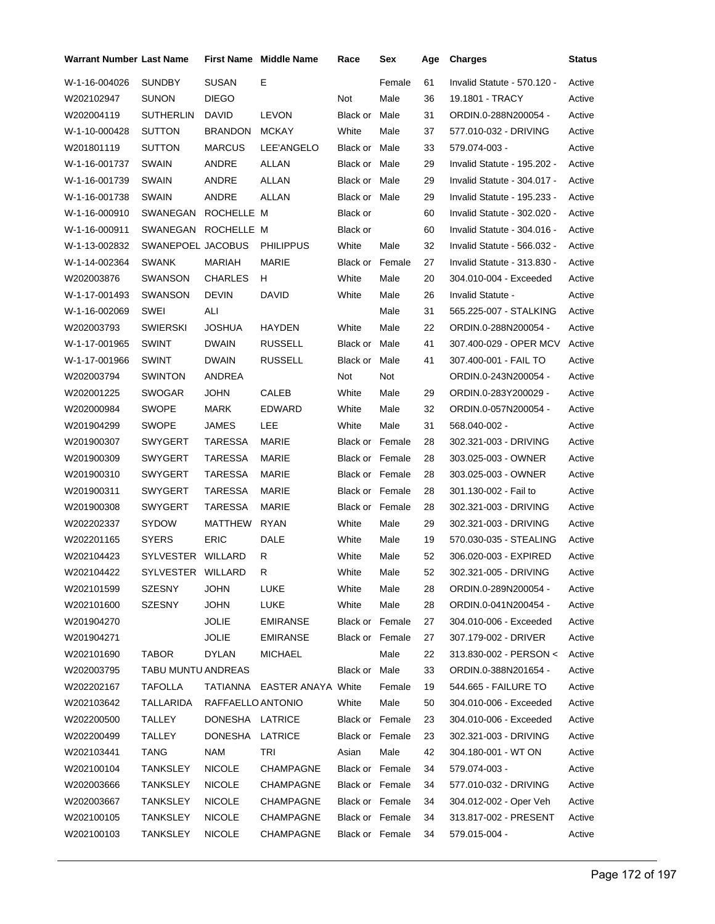| <b>Warrant Number Last Name</b> |                    |                   | <b>First Name Middle Name</b> | Race                   | Sex    | Age | <b>Charges</b>              | Status |
|---------------------------------|--------------------|-------------------|-------------------------------|------------------------|--------|-----|-----------------------------|--------|
| W-1-16-004026                   | <b>SUNDBY</b>      | <b>SUSAN</b>      | Е                             |                        | Female | 61  | Invalid Statute - 570.120 - | Active |
| W202102947                      | <b>SUNON</b>       | <b>DIEGO</b>      |                               | Not                    | Male   | 36  | 19.1801 - TRACY             | Active |
| W202004119                      | <b>SUTHERLIN</b>   | <b>DAVID</b>      | <b>LEVON</b>                  | Black or               | Male   | 31  | ORDIN.0-288N200054 -        | Active |
| W-1-10-000428                   | <b>SUTTON</b>      | <b>BRANDON</b>    | <b>MCKAY</b>                  | White                  | Male   | 37  | 577.010-032 - DRIVING       | Active |
| W201801119                      | <b>SUTTON</b>      | <b>MARCUS</b>     | LEE'ANGELO                    | Black or Male          |        | 33  | 579.074-003 -               | Active |
| W-1-16-001737                   | SWAIN              | ANDRE             | ALLAN                         | Black or Male          |        | 29  | Invalid Statute - 195.202 - | Active |
| W-1-16-001739                   | <b>SWAIN</b>       | ANDRE             | ALLAN                         | Black or Male          |        | 29  | Invalid Statute - 304.017 - | Active |
| W-1-16-001738                   | <b>SWAIN</b>       | ANDRE             | ALLAN                         | Black or Male          |        | 29  | Invalid Statute - 195.233 - | Active |
| W-1-16-000910                   | SWANEGAN           | ROCHELLE M        |                               | Black or               |        | 60  | Invalid Statute - 302.020 - | Active |
| W-1-16-000911                   | SWANEGAN           | ROCHELLE M        |                               | Black or               |        | 60  | Invalid Statute - 304.016 - | Active |
| W-1-13-002832                   | SWANEPOEL JACOBUS  |                   | <b>PHILIPPUS</b>              | White                  | Male   | 32  | Invalid Statute - 566.032 - | Active |
| W-1-14-002364                   | <b>SWANK</b>       | <b>MARIAH</b>     | <b>MARIE</b>                  | <b>Black or Female</b> |        | 27  | Invalid Statute - 313.830 - | Active |
| W202003876                      | SWANSON            | <b>CHARLES</b>    | н                             | White                  | Male   | 20  | 304.010-004 - Exceeded      | Active |
| W-1-17-001493                   | <b>SWANSON</b>     | <b>DEVIN</b>      | <b>DAVID</b>                  | White                  | Male   | 26  | Invalid Statute -           | Active |
| W-1-16-002069                   | SWEI               | ALI               |                               |                        | Male   | 31  | 565.225-007 - STALKING      | Active |
| W202003793                      | <b>SWIERSKI</b>    | <b>JOSHUA</b>     | HAYDEN                        | White                  | Male   | 22  | ORDIN.0-288N200054 -        | Active |
| W-1-17-001965                   | <b>SWINT</b>       | <b>DWAIN</b>      | <b>RUSSELL</b>                | Black or               | Male   | 41  | 307.400-029 - OPER MCV      | Active |
| W-1-17-001966                   | <b>SWINT</b>       | <b>DWAIN</b>      | <b>RUSSELL</b>                | Black or               | Male   | 41  | 307.400-001 - FAIL TO       | Active |
| W202003794                      | <b>SWINTON</b>     | ANDREA            |                               | Not                    | Not    |     | ORDIN.0-243N200054 -        | Active |
| W202001225                      | SWOGAR             | <b>JOHN</b>       | <b>CALEB</b>                  | White                  | Male   | 29  | ORDIN.0-283Y200029 -        | Active |
| W202000984                      | <b>SWOPE</b>       | <b>MARK</b>       | EDWARD                        | White                  | Male   | 32  | ORDIN.0-057N200054 -        | Active |
| W201904299                      | <b>SWOPE</b>       | JAMES             | LEE                           | White                  | Male   | 31  | 568.040-002 -               | Active |
| W201900307                      | SWYGERT            | <b>TARESSA</b>    | MARIE                         | <b>Black or Female</b> |        | 28  | 302.321-003 - DRIVING       | Active |
| W201900309                      | SWYGERT            | TARESSA           | MARIE                         | <b>Black or Female</b> |        | 28  | 303.025-003 - OWNER         | Active |
| W201900310                      | <b>SWYGERT</b>     | <b>TARESSA</b>    | MARIE                         | <b>Black or Female</b> |        | 28  | 303.025-003 - OWNER         | Active |
| W201900311                      | SWYGERT            | <b>TARESSA</b>    | MARIE                         | Black or Female        |        | 28  | 301.130-002 - Fail to       | Active |
| W201900308                      | SWYGERT            | <b>TARESSA</b>    | MARIE                         | Black or Female        |        | 28  | 302.321-003 - DRIVING       | Active |
| W202202337                      | <b>SYDOW</b>       | MATTHEW           | <b>RYAN</b>                   | White                  | Male   | 29  | 302.321-003 - DRIVING       | Active |
| W202201165                      | <b>SYERS</b>       | <b>ERIC</b>       | DALE                          | White                  | Male   | 19  | 570.030-035 - STEALING      | Active |
| W202104423                      | SYLVESTER WILLARD  |                   | R                             | White                  | Male   | 52  | 306.020-003 - EXPIRED       | Active |
| W202104422                      | SYLVESTER WILLARD  |                   | R                             | White                  | Male   | 52  | 302.321-005 - DRIVING       | Active |
| W202101599                      | SZESNY             | <b>JOHN</b>       | LUKE                          | White                  | Male   | 28  | ORDIN.0-289N200054 -        | Active |
| W202101600                      | SZESNY             | <b>JOHN</b>       | LUKE                          | White                  | Male   | 28  | ORDIN.0-041N200454 -        | Active |
| W201904270                      |                    | <b>JOLIE</b>      | <b>EMIRANSE</b>               | Black or Female        |        | 27  | 304.010-006 - Exceeded      | Active |
| W201904271                      |                    | <b>JOLIE</b>      | <b>EMIRANSE</b>               | Black or Female        |        | 27  | 307.179-002 - DRIVER        | Active |
| W202101690                      | <b>TABOR</b>       | <b>DYLAN</b>      | <b>MICHAEL</b>                |                        | Male   | 22  | 313.830-002 - PERSON <      | Active |
| W202003795                      | TABU MUNTU ANDREAS |                   |                               | Black or Male          |        | 33  | ORDIN.0-388N201654 -        | Active |
| W202202167                      | TAFOLLA            |                   | TATIANNA EASTER ANAYA White   |                        | Female | 19  | 544.665 - FAILURE TO        | Active |
| W202103642                      | TALLARIDA          | RAFFAELLO ANTONIO |                               | White                  | Male   | 50  | 304.010-006 - Exceeded      | Active |
| W202200500                      | TALLEY             | DONESHA LATRICE   |                               | Black or Female        |        | 23  | 304.010-006 - Exceeded      | Active |
| W202200499                      | <b>TALLEY</b>      | DONESHA           | LATRICE                       | Black or Female        |        | 23  | 302.321-003 - DRIVING       | Active |
| W202103441                      | <b>TANG</b>        | <b>NAM</b>        | TRI                           | Asian                  | Male   | 42  | 304.180-001 - WT ON         | Active |
| W202100104                      | <b>TANKSLEY</b>    | <b>NICOLE</b>     | CHAMPAGNE                     | Black or Female        |        | 34  | 579.074-003 -               | Active |
| W202003666                      | <b>TANKSLEY</b>    | <b>NICOLE</b>     | CHAMPAGNE                     | Black or Female        |        | 34  | 577.010-032 - DRIVING       | Active |
| W202003667                      | <b>TANKSLEY</b>    | <b>NICOLE</b>     | CHAMPAGNE                     | Black or Female        |        | 34  | 304.012-002 - Oper Veh      | Active |
| W202100105                      | <b>TANKSLEY</b>    | <b>NICOLE</b>     | CHAMPAGNE                     | Black or Female        |        | 34  | 313.817-002 - PRESENT       | Active |
| W202100103                      | <b>TANKSLEY</b>    | <b>NICOLE</b>     | CHAMPAGNE                     | Black or Female        |        | 34  | 579.015-004 -               | Active |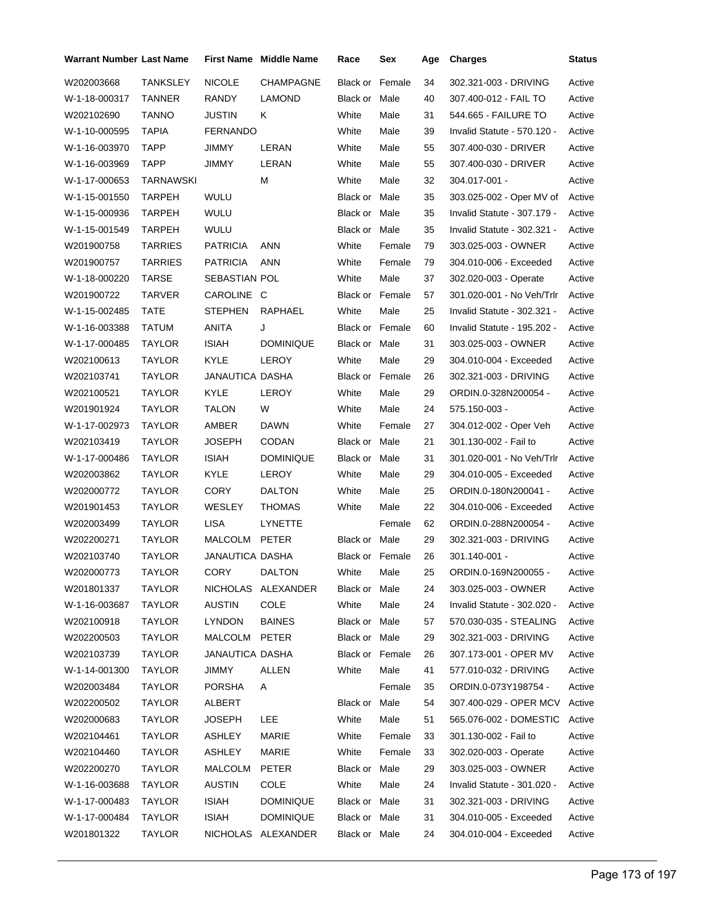| <b>Warrant Number Last Name</b> |                 |                 | First Name Middle Name | Race                   | Sex    | Age | <b>Charges</b>              | <b>Status</b> |
|---------------------------------|-----------------|-----------------|------------------------|------------------------|--------|-----|-----------------------------|---------------|
| W202003668                      | <b>TANKSLEY</b> | <b>NICOLE</b>   | <b>CHAMPAGNE</b>       | Black or               | Female | 34  | 302.321-003 - DRIVING       | Active        |
| W-1-18-000317                   | TANNER          | RANDY           | LAMOND                 | Black or Male          |        | 40  | 307.400-012 - FAIL TO       | Active        |
| W202102690                      | <b>TANNO</b>    | <b>JUSTIN</b>   | Κ                      | White                  | Male   | 31  | 544.665 - FAILURE TO        | Active        |
| W-1-10-000595                   | <b>TAPIA</b>    | <b>FERNANDO</b> |                        | White                  | Male   | 39  | Invalid Statute - 570.120 - | Active        |
| W-1-16-003970                   | TAPP            | JIMMY           | LERAN                  | White                  | Male   | 55  | 307.400-030 - DRIVER        | Active        |
| W-1-16-003969                   | TAPP            | JIMMY           | LERAN                  | White                  | Male   | 55  | 307.400-030 - DRIVER        | Active        |
| W-1-17-000653                   | TARNAWSKI       |                 | М                      | White                  | Male   | 32  | 304.017-001 -               | Active        |
| W-1-15-001550                   | TARPEH          | WULU            |                        | Black or Male          |        | 35  | 303.025-002 - Oper MV of    | Active        |
| W-1-15-000936                   | TARPEH          | WULU            |                        | Black or Male          |        | 35  | Invalid Statute - 307.179 - | Active        |
| W-1-15-001549                   | TARPEH          | WULU            |                        | Black or Male          |        | 35  | Invalid Statute - 302.321 - | Active        |
| W201900758                      | TARRIES         | <b>PATRICIA</b> | ANN                    | White                  | Female | 79  | 303.025-003 - OWNER         | Active        |
| W201900757                      | <b>TARRIES</b>  | <b>PATRICIA</b> | ANN                    | White                  | Female | 79  | 304.010-006 - Exceeded      | Active        |
| W-1-18-000220                   | <b>TARSE</b>    | SEBASTIAN POL   |                        | White                  | Male   | 37  | 302.020-003 - Operate       | Active        |
| W201900722                      | TARVER          | CAROLINE C      |                        | Black or Female        |        | 57  | 301.020-001 - No Veh/Trlr   | Active        |
| W-1-15-002485                   | TATE            | STEPHEN         | <b>RAPHAEL</b>         | White                  | Male   | 25  | Invalid Statute - 302.321 - | Active        |
| W-1-16-003388                   | TATUM           | <b>ANITA</b>    | J                      | Black or Female        |        | 60  | Invalid Statute - 195.202 - | Active        |
| W-1-17-000485                   | <b>TAYLOR</b>   | <b>ISIAH</b>    | <b>DOMINIQUE</b>       | Black or Male          |        | 31  | 303.025-003 - OWNER         | Active        |
| W202100613                      | TAYLOR          | KYLE            | LEROY                  | White                  | Male   | 29  | 304.010-004 - Exceeded      | Active        |
| W202103741                      | TAYLOR          | JANAUTICA DASHA |                        | <b>Black or Female</b> |        | 26  | 302.321-003 - DRIVING       | Active        |
| W202100521                      | TAYLOR          | KYLE            | LEROY                  | White                  | Male   | 29  | ORDIN.0-328N200054 -        | Active        |
| W201901924                      | TAYLOR          | TALON           | W                      | White                  | Male   | 24  | 575.150-003 -               | Active        |
| W-1-17-002973                   | TAYLOR          | AMBER           | <b>DAWN</b>            | White                  | Female | 27  | 304.012-002 - Oper Veh      | Active        |
| W202103419                      | TAYLOR          | JOSEPH          | <b>CODAN</b>           | Black or               | Male   | 21  | 301.130-002 - Fail to       | Active        |
| W-1-17-000486                   | TAYLOR          | <b>ISIAH</b>    | <b>DOMINIQUE</b>       | Black or Male          |        | 31  | 301.020-001 - No Veh/Trlr   | Active        |
| W202003862                      | TAYLOR          | KYLE            | <b>LEROY</b>           | White                  | Male   | 29  | 304.010-005 - Exceeded      | Active        |
| W202000772                      | TAYLOR          | CORY            | <b>DALTON</b>          | White                  | Male   | 25  | ORDIN.0-180N200041 -        | Active        |
| W201901453                      | TAYLOR          | WESLEY          | THOMAS                 | White                  | Male   | 22  | 304.010-006 - Exceeded      | Active        |
| W202003499                      | TAYLOR          | <b>LISA</b>     | <b>LYNETTE</b>         |                        | Female | 62  | ORDIN.0-288N200054 -        | Active        |
| W202200271                      | <b>TAYLOR</b>   | MALCOLM         | <b>PETER</b>           | Black or Male          |        | 29  | 302.321-003 - DRIVING       | Active        |
| W202103740                      | TAYLOR          | JANAUTICA DASHA |                        | Black or Female        |        | 26  | 301.140-001 -               | Active        |
| W202000773                      | <b>TAYLOR</b>   | CORY            | DALTON                 | White Male             |        | 25  | ORDIN.0-169N200055 -        | Active        |
| W201801337                      | <b>TAYLOR</b>   |                 | NICHOLAS ALEXANDER     | Black or Male          |        | 24  | 303.025-003 - OWNER         | Active        |
| W-1-16-003687                   | TAYLOR          | <b>AUSTIN</b>   | <b>COLE</b>            | White                  | Male   | 24  | Invalid Statute - 302.020 - | Active        |
| W202100918                      | TAYLOR          | LYNDON          | <b>BAINES</b>          | Black or Male          |        | 57  | 570.030-035 - STEALING      | Active        |
| W202200503                      | TAYLOR          | MALCOLM         | PETER                  | Black or Male          |        | 29  | 302.321-003 - DRIVING       | Active        |
| W202103739                      | TAYLOR          | JANAUTICA DASHA |                        | Black or Female        |        | 26  | 307.173-001 - OPER MV       | Active        |
| W-1-14-001300                   | <b>TAYLOR</b>   | JIMMY           | <b>ALLEN</b>           | White                  | Male   | 41  | 577.010-032 - DRIVING       | Active        |
| W202003484                      | <b>TAYLOR</b>   | <b>PORSHA</b>   | A                      |                        | Female | 35  | ORDIN.0-073Y198754 -        | Active        |
| W202200502                      | <b>TAYLOR</b>   | ALBERT          |                        | Black or Male          |        | 54  | 307.400-029 - OPER MCV      | Active        |
| W202000683                      | TAYLOR          | JOSEPH          | LEE                    | White                  | Male   | 51  | 565.076-002 - DOMESTIC      | Active        |
| W202104461                      | TAYLOR          | ASHLEY          | <b>MARIE</b>           | White                  | Female | 33  | 301.130-002 - Fail to       | Active        |
| W202104460                      | TAYLOR          | <b>ASHLEY</b>   | <b>MARIE</b>           | White                  | Female | 33  | 302.020-003 - Operate       | Active        |
| W202200270                      | <b>TAYLOR</b>   | <b>MALCOLM</b>  | PETER                  | Black or Male          |        | 29  | 303.025-003 - OWNER         | Active        |
| W-1-16-003688                   | <b>TAYLOR</b>   | AUSTIN          | <b>COLE</b>            | White                  | Male   | 24  | Invalid Statute - 301.020 - | Active        |
| W-1-17-000483                   | TAYLOR          | <b>ISIAH</b>    | <b>DOMINIQUE</b>       | Black or Male          |        | 31  | 302.321-003 - DRIVING       | Active        |
| W-1-17-000484                   | TAYLOR          | <b>ISIAH</b>    | <b>DOMINIQUE</b>       | Black or Male          |        | 31  | 304.010-005 - Exceeded      | Active        |
| W201801322                      | <b>TAYLOR</b>   |                 | NICHOLAS ALEXANDER     | Black or Male          |        | 24  | 304.010-004 - Exceeded      | Active        |
|                                 |                 |                 |                        |                        |        |     |                             |               |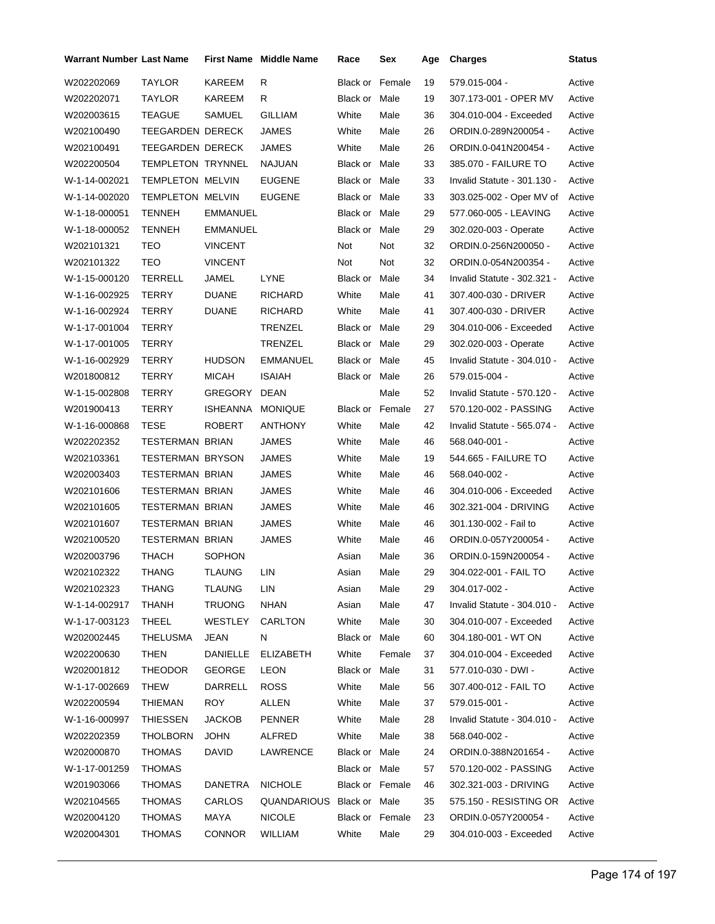| <b>Warrant Number Last Name</b> |                         |                 | <b>First Name</b> Middle Name | Race            | Sex    | Age | <b>Charges</b>              | Status |
|---------------------------------|-------------------------|-----------------|-------------------------------|-----------------|--------|-----|-----------------------------|--------|
| W202202069                      | TAYLOR                  | KAREEM          | R                             | Black or        | Female | 19  | 579.015-004 -               | Active |
| W202202071                      | TAYLOR                  | KAREEM          | R                             | Black or Male   |        | 19  | 307.173-001 - OPER MV       | Active |
| W202003615                      | <b>TEAGUE</b>           | SAMUEL          | <b>GILLIAM</b>                | White           | Male   | 36  | 304.010-004 - Exceeded      | Active |
| W202100490                      | TEEGARDEN DERECK        |                 | <b>JAMES</b>                  | White           | Male   | 26  | ORDIN.0-289N200054 -        | Active |
| W202100491                      | TEEGARDEN DERECK        |                 | JAMES                         | White           | Male   | 26  | ORDIN.0-041N200454 -        | Active |
| W202200504                      | TEMPLETON TRYNNEL       |                 | <b>NAJUAN</b>                 | Black or Male   |        | 33  | 385.070 - FAILURE TO        | Active |
| W-1-14-002021                   | <b>TEMPLETON MELVIN</b> |                 | <b>EUGENE</b>                 | Black or Male   |        | 33  | Invalid Statute - 301.130 - | Active |
| W-1-14-002020                   | <b>TEMPLETON MELVIN</b> |                 | <b>EUGENE</b>                 | Black or Male   |        | 33  | 303.025-002 - Oper MV of    | Active |
| W-1-18-000051                   | TENNEH                  | <b>EMMANUEL</b> |                               | Black or Male   |        | 29  | 577.060-005 - LEAVING       | Active |
| W-1-18-000052                   | <b>TENNEH</b>           | <b>EMMANUEL</b> |                               | Black or Male   |        | 29  | 302.020-003 - Operate       | Active |
| W202101321                      | TEO                     | <b>VINCENT</b>  |                               | Not             | Not    | 32  | ORDIN.0-256N200050 -        | Active |
| W202101322                      | TEO                     | <b>VINCENT</b>  |                               | Not             | Not    | 32  | ORDIN.0-054N200354 -        | Active |
| W-1-15-000120                   | <b>TERRELL</b>          | JAMEL           | LYNE                          | Black or Male   |        | 34  | Invalid Statute - 302.321 - | Active |
| W-1-16-002925                   | TERRY                   | <b>DUANE</b>    | <b>RICHARD</b>                | White           | Male   | 41  | 307.400-030 - DRIVER        | Active |
| W-1-16-002924                   | TERRY                   | <b>DUANE</b>    | <b>RICHARD</b>                | White           | Male   | 41  | 307.400-030 - DRIVER        | Active |
| W-1-17-001004                   | TERRY                   |                 | TRENZEL                       | Black or Male   |        | 29  | 304.010-006 - Exceeded      | Active |
| W-1-17-001005                   | TERRY                   |                 | TRENZEL                       | Black or Male   |        | 29  | 302.020-003 - Operate       | Active |
| W-1-16-002929                   | <b>TERRY</b>            | <b>HUDSON</b>   | <b>EMMANUEL</b>               | Black or Male   |        | 45  | Invalid Statute - 304.010 - | Active |
| W201800812                      | <b>TERRY</b>            | <b>MICAH</b>    | <b>ISAIAH</b>                 | Black or Male   |        | 26  | 579.015-004 -               | Active |
| W-1-15-002808                   | <b>TERRY</b>            | GREGORY         | <b>DEAN</b>                   |                 | Male   | 52  | Invalid Statute - 570.120 - | Active |
| W201900413                      | TERRY                   | ISHEANNA        | <b>MONIQUE</b>                | Black or Female |        | 27  | 570.120-002 - PASSING       | Active |
| W-1-16-000868                   | <b>TESE</b>             | <b>ROBERT</b>   | ANTHONY                       | White           | Male   | 42  | Invalid Statute - 565.074 - | Active |
| W202202352                      | <b>TESTERMAN BRIAN</b>  |                 | JAMES                         | White           | Male   | 46  | 568.040-001 -               | Active |
| W202103361                      | <b>TESTERMAN BRYSON</b> |                 | JAMES                         | White           | Male   | 19  | 544.665 - FAILURE TO        | Active |
| W202003403                      | <b>TESTERMAN BRIAN</b>  |                 | JAMES                         | White           | Male   | 46  | 568.040-002 -               | Active |
| W202101606                      | <b>TESTERMAN BRIAN</b>  |                 | JAMES                         | White           | Male   | 46  | 304.010-006 - Exceeded      | Active |
| W202101605                      | <b>TESTERMAN BRIAN</b>  |                 | JAMES                         | White           | Male   | 46  | 302.321-004 - DRIVING       | Active |
| W202101607                      | <b>TESTERMAN BRIAN</b>  |                 | <b>JAMES</b>                  | White           | Male   | 46  | 301.130-002 - Fail to       | Active |
| W202100520                      | <b>TESTERMAN BRIAN</b>  |                 | JAMES                         | White           | Male   | 46  | ORDIN.0-057Y200054 -        | Active |
| W202003796                      | <b>THACH</b>            | <b>SOPHON</b>   |                               | Asian           | Male   | 36  | ORDIN.0-159N200054 -        | Active |
| W202102322                      | THANG                   | TLAUNG          | LIN                           | Asian           | Male   | 29  | 304.022-001 - FAIL TO       | Active |
| W202102323                      | <b>THANG</b>            | TLAUNG          | LIN                           | Asian           | Male   | 29  | 304.017-002 -               | Active |
| W-1-14-002917                   | <b>THANH</b>            | TRUONG          | <b>NHAN</b>                   | Asian           | Male   | 47  | Invalid Statute - 304.010 - | Active |
| W-1-17-003123                   | <b>THEEL</b>            | WESTLEY         | CARLTON                       | White           | Male   | 30  | 304.010-007 - Exceeded      | Active |
| W202002445                      | <b>THELUSMA</b>         | <b>JEAN</b>     | N                             | Black or Male   |        | 60  | 304.180-001 - WT ON         | Active |
| W202200630                      | <b>THEN</b>             | <b>DANIELLE</b> | <b>ELIZABETH</b>              | White           | Female | 37  | 304.010-004 - Exceeded      | Active |
| W202001812                      | <b>THEODOR</b>          | <b>GEORGE</b>   | <b>LEON</b>                   | Black or Male   |        | 31  | 577.010-030 - DWI -         | Active |
| W-1-17-002669                   | <b>THEW</b>             | DARRELL         | <b>ROSS</b>                   | White           | Male   | 56  | 307.400-012 - FAIL TO       | Active |
| W202200594                      | THIEMAN                 | <b>ROY</b>      | ALLEN                         | White           | Male   | 37  | 579.015-001 -               | Active |
| W-1-16-000997                   | <b>THIESSEN</b>         | JACKOB          | <b>PENNER</b>                 | White           | Male   | 28  | Invalid Statute - 304.010 - | Active |
| W202202359                      | <b>THOLBORN</b>         | <b>JOHN</b>     | ALFRED                        | White           | Male   | 38  | 568.040-002 -               | Active |
| W202000870                      | THOMAS                  | DAVID           | LAWRENCE                      | Black or Male   |        | 24  | ORDIN.0-388N201654 -        | Active |
| W-1-17-001259                   | <b>THOMAS</b>           |                 |                               | Black or Male   |        | 57  | 570.120-002 - PASSING       | Active |
| W201903066                      | THOMAS                  | <b>DANETRA</b>  | <b>NICHOLE</b>                | Black or Female |        | 46  | 302.321-003 - DRIVING       | Active |
| W202104565                      | <b>THOMAS</b>           | CARLOS          | QUANDARIOUS Black or Male     |                 |        | 35  | 575.150 - RESISTING OR      | Active |
| W202004120                      | <b>THOMAS</b>           | MAYA            | <b>NICOLE</b>                 | Black or Female |        | 23  | ORDIN.0-057Y200054 -        | Active |
| W202004301                      | <b>THOMAS</b>           | <b>CONNOR</b>   | WILLIAM                       | White           | Male   | 29  | 304.010-003 - Exceeded      | Active |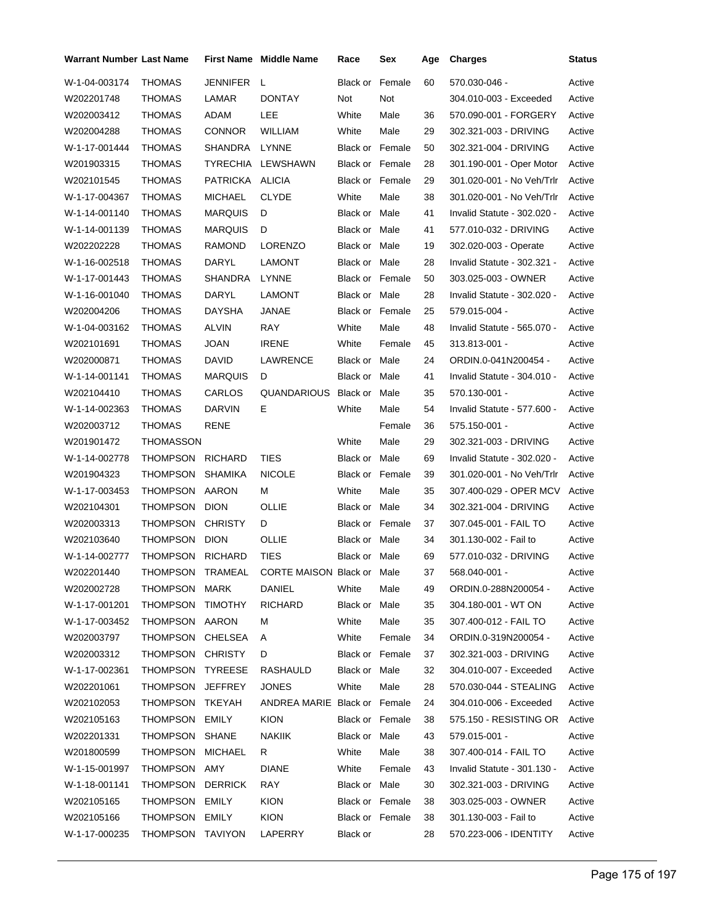| <b>Warrant Number Last Name</b> |                  |                 | <b>First Name</b> Middle Name | Race                   | Sex    | Age | <b>Charges</b>              | <b>Status</b> |
|---------------------------------|------------------|-----------------|-------------------------------|------------------------|--------|-----|-----------------------------|---------------|
| W-1-04-003174                   | <b>THOMAS</b>    | JENNIFER        | $\mathsf{L}$                  | Black or               | Female | 60  | 570.030-046 -               | Active        |
| W202201748                      | THOMAS           | LAMAR           | <b>DONTAY</b>                 | Not                    | Not    |     | 304.010-003 - Exceeded      | Active        |
| W202003412                      | THOMAS           | ADAM            | LEE                           | White                  | Male   | 36  | 570.090-001 - FORGERY       | Active        |
| W202004288                      | THOMAS           | <b>CONNOR</b>   | <b>WILLIAM</b>                | White                  | Male   | 29  | 302.321-003 - DRIVING       | Active        |
| W-1-17-001444                   | THOMAS           | SHANDRA         | LYNNE                         | <b>Black or Female</b> |        | 50  | 302.321-004 - DRIVING       | Active        |
| W201903315                      | THOMAS           |                 | TYRECHIA LEWSHAWN             | Black or Female        |        | 28  | 301.190-001 - Oper Motor    | Active        |
| W202101545                      | THOMAS           | PATRICKA ALICIA |                               | Black or Female        |        | 29  | 301.020-001 - No Veh/Trlr   | Active        |
| W-1-17-004367                   | THOMAS           | <b>MICHAEL</b>  | <b>CLYDE</b>                  | White                  | Male   | 38  | 301.020-001 - No Veh/Trlr   | Active        |
| W-1-14-001140                   | THOMAS           | MARQUIS         | D                             | Black or Male          |        | 41  | Invalid Statute - 302.020 - | Active        |
| W-1-14-001139                   | THOMAS           | <b>MARQUIS</b>  | D                             | Black or Male          |        | 41  | 577.010-032 - DRIVING       | Active        |
| W202202228                      | THOMAS           | RAMOND          | LORENZO                       | Black or Male          |        | 19  | 302.020-003 - Operate       | Active        |
| W-1-16-002518                   | THOMAS           | DARYL           | <b>LAMONT</b>                 | Black or Male          |        | 28  | Invalid Statute - 302.321 - | Active        |
| W-1-17-001443                   | THOMAS           | SHANDRA         | LYNNE                         | <b>Black or Female</b> |        | 50  | 303.025-003 - OWNER         | Active        |
| W-1-16-001040                   | <b>THOMAS</b>    | DARYL           | LAMONT                        | Black or Male          |        | 28  | Invalid Statute - 302.020 - | Active        |
| W202004206                      | THOMAS           | DAYSHA          | JANAE                         | <b>Black or Female</b> |        | 25  | 579.015-004 -               | Active        |
| W-1-04-003162                   | THOMAS           | <b>ALVIN</b>    | RAY                           | White                  | Male   | 48  | Invalid Statute - 565.070 - | Active        |
| W202101691                      | THOMAS           | JOAN            | <b>IRENE</b>                  | White                  | Female | 45  | 313.813-001 -               | Active        |
| W202000871                      | THOMAS           | DAVID           | LAWRENCE                      | Black or Male          |        | 24  | ORDIN.0-041N200454 -        | Active        |
| W-1-14-001141                   | THOMAS           | <b>MARQUIS</b>  | D                             | Black or Male          |        | 41  | Invalid Statute - 304.010 - | Active        |
| W202104410                      | THOMAS           | CARLOS          | QUANDARIOUS Black or Male     |                        |        | 35  | 570.130-001 -               | Active        |
| W-1-14-002363                   | THOMAS           | DARVIN          | Е.                            | White                  | Male   | 54  | Invalid Statute - 577.600 - | Active        |
| W202003712                      | THOMAS           | RENE            |                               |                        | Female | 36  | 575.150-001 -               | Active        |
| W201901472                      | THOMASSON        |                 |                               | White                  | Male   | 29  | 302.321-003 - DRIVING       | Active        |
| W-1-14-002778                   | THOMPSON RICHARD |                 | TIES                          | Black or Male          |        | 69  | Invalid Statute - 302.020 - | Active        |
| W201904323                      | THOMPSON SHAMIKA |                 | <b>NICOLE</b>                 | <b>Black or Female</b> |        | 39  | 301.020-001 - No Veh/Trlr   | Active        |
| W-1-17-003453                   | THOMPSON AARON   |                 | м                             | White                  | Male   | 35  | 307.400-029 - OPER MCV      | Active        |
| W202104301                      | THOMPSON DION    |                 | OLLIE                         | Black or Male          |        | 34  | 302.321-004 - DRIVING       | Active        |
| W202003313                      | THOMPSON CHRISTY |                 | D                             | <b>Black or Female</b> |        | 37  | 307.045-001 - FAIL TO       | Active        |
| W202103640                      | THOMPSON DION    |                 | OLLIE                         | Black or Male          |        | 34  | 301.130-002 - Fail to       | Active        |
| W-1-14-002777                   | THOMPSON RICHARD |                 | TIES                          | Black or Male          |        | 69  | 577.010-032 - DRIVING       | Active        |
| W202201440                      | THOMPSON TRAMEAL |                 | CORTE MAISON Black or Male    |                        |        | 37  | 568.040-001 -               | Active        |
| W202002728                      | THOMPSON MARK    |                 | DANIEL                        | White                  | Male   | 49  | ORDIN.0-288N200054 -        | Active        |
| W-1-17-001201                   | THOMPSON         | TIMOTHY         | RICHARD                       | Black or Male          |        | 35  | 304.180-001 - WT ON         | Active        |
| W-1-17-003452                   | THOMPSON AARON   |                 | м                             | White                  | Male   | 35  | 307.400-012 - FAIL TO       | Active        |
| W202003797                      | THOMPSON         | <b>CHELSEA</b>  | Α                             | White                  | Female | 34  | ORDIN.0-319N200054 -        | Active        |
| W202003312                      | THOMPSON         | <b>CHRISTY</b>  | D                             | Black or Female        |        | 37  | 302.321-003 - DRIVING       | Active        |
| W-1-17-002361                   | THOMPSON         | TYREESE         | RASHAULD                      | Black or Male          |        | 32  | 304.010-007 - Exceeded      | Active        |
| W202201061                      | THOMPSON         | <b>JEFFREY</b>  | <b>JONES</b>                  | White                  | Male   | 28  | 570.030-044 - STEALING      | Active        |
| W202102053                      | THOMPSON         | <b>TKEYAH</b>   | ANDREA MARIE Black or Female  |                        |        | 24  | 304.010-006 - Exceeded      | Active        |
| W202105163                      | THOMPSON         | EMILY           | <b>KION</b>                   | Black or Female        |        | 38  | 575.150 - RESISTING OR      | Active        |
| W202201331                      | THOMPSON         | SHANE           | <b>NAKIIK</b>                 | Black or Male          |        | 43  | 579.015-001 -               | Active        |
| W201800599                      | THOMPSON         | <b>MICHAEL</b>  | R.                            | White                  | Male   | 38  | 307.400-014 - FAIL TO       | Active        |
| W-1-15-001997                   | THOMPSON         | AMY             | <b>DIANE</b>                  | White                  | Female | 43  | Invalid Statute - 301.130 - | Active        |
| W-1-18-001141                   | THOMPSON         | <b>DERRICK</b>  | RAY                           | Black or Male          |        | 30  | 302.321-003 - DRIVING       | Active        |
| W202105165                      | THOMPSON         | EMILY           | <b>KION</b>                   | Black or Female        |        | 38  | 303.025-003 - OWNER         | Active        |
| W202105166                      | THOMPSON         | EMILY           | <b>KION</b>                   | Black or Female        |        | 38  | 301.130-003 - Fail to       | Active        |
| W-1-17-000235                   | THOMPSON TAVIYON |                 | LAPERRY                       | Black or               |        | 28  | 570.223-006 - IDENTITY      | Active        |
|                                 |                  |                 |                               |                        |        |     |                             |               |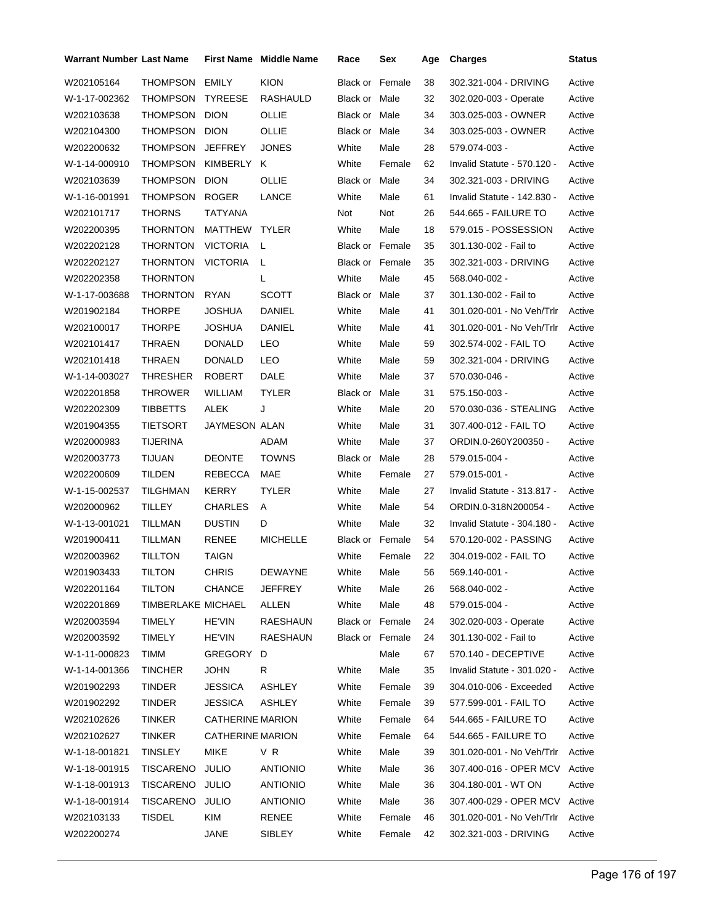| <b>KION</b><br><b>THOMPSON</b><br>EMILY<br>W202105164<br>Black or<br>Female<br>38<br>302.321-004 - DRIVING<br>Active<br><b>THOMPSON</b><br>32<br>W-1-17-002362<br><b>TYREESE</b><br>RASHAULD<br>Black or Male<br>302.020-003 - Operate<br>Active<br>THOMPSON DION<br>OLLIE<br>34<br>W202103638<br>Black or Male<br>303.025-003 - OWNER<br>Active<br><b>THOMPSON</b><br><b>DION</b><br>OLLIE<br>W202104300<br>Black or Male<br>34<br>303.025-003 - OWNER<br>Active<br>THOMPSON<br><b>JEFFREY</b><br>White<br>W202200632<br><b>JONES</b><br>Male<br>28<br>579.074-003 -<br>Active<br>THOMPSON KIMBERLY<br>White<br>62<br>W-1-14-000910<br>ĸ<br>Female<br>Invalid Statute - 570.120 -<br>Active<br>THOMPSON<br><b>DION</b><br>OLLIE<br>W202103639<br>Black or Male<br>34<br>302.321-003 - DRIVING<br>Active<br><b>THOMPSON</b><br><b>ROGER</b><br>W-1-16-001991<br>LANCE<br>White<br>Male<br>61<br>Invalid Statute - 142.830 -<br>Active<br><b>THORNS</b><br>TATYANA<br>Not<br>26<br>W202101717<br>Not<br>544.665 - FAILURE TO<br>Active<br>MATTHEW<br>White<br>18<br>W202200395<br><b>THORNTON</b><br><b>TYLER</b><br>Male<br>579.015 - POSSESSION<br>Active<br>35<br>W202202128<br><b>THORNTON</b><br><b>VICTORIA</b><br>L<br><b>Black or Female</b><br>301.130-002 - Fail to<br>Active<br><b>THORNTON</b><br><b>VICTORIA</b><br>35<br>302.321-003 - DRIVING<br>W202202127<br>L<br><b>Black or Female</b><br>Active<br><b>THORNTON</b><br>White<br>45<br>W202202358<br>L<br>Male<br>568.040-002 -<br>Active<br><b>THORNTON</b><br><b>RYAN</b><br><b>SCOTT</b><br>Male<br>37<br>W-1-17-003688<br>Black or<br>301.130-002 - Fail to<br>Active<br><b>THORPE</b><br>White<br>41<br>W201902184<br>JOSHUA<br><b>DANIEL</b><br>Male<br>301.020-001 - No Veh/Trlr<br>Active<br><b>DANIEL</b><br>41<br>W202100017<br><b>THORPE</b><br>JOSHUA<br>White<br>Male<br>301.020-001 - No Veh/Trlr<br>Active<br>LEO<br>59<br>W202101417<br><b>THRAEN</b><br><b>DONALD</b><br>White<br>Male<br>302.574-002 - FAIL TO<br>Active<br><b>DONALD</b><br>59<br>W202101418<br>THRAEN<br>LEO<br>White<br>Male<br>302.321-004 - DRIVING<br>Active<br>THRESHER<br><b>ROBERT</b><br><b>DALE</b><br>White<br>Male<br>37<br>570.030-046 -<br>W-1-14-003027<br>Active<br>W202201858<br>THROWER<br>WILLIAM<br><b>TYLER</b><br>Black or<br>Male<br>31<br>575.150-003 -<br>Active<br>ALEK<br>20<br><b>TIBBETTS</b><br>J<br>White<br>Male<br>570.030-036 - STEALING<br>Active<br>W202202309<br>W201904355<br><b>TIETSORT</b><br>JAYMESON ALAN<br>White<br>Male<br>31<br>307.400-012 - FAIL TO<br>Active<br>W202000983<br><b>TIJERINA</b><br>ADAM<br>White<br>Male<br>37<br>ORDIN.0-260Y200350 -<br>Active<br><b>TIJUAN</b><br><b>DEONTE</b><br>W202003773<br><b>TOWNS</b><br>Male<br>28<br>579.015-004 -<br>Active<br>Black or<br>MAE<br>W202200609<br><b>TILDEN</b><br>REBECCA<br>White<br>Female<br>27<br>579.015-001 -<br>Active<br>27<br>W-1-15-002537<br>TILGHMAN<br><b>KERRY</b><br><b>TYLER</b><br>White<br>Male<br>Invalid Statute - 313.817 -<br>Active<br><b>TILLEY</b><br>54<br>W202000962<br><b>CHARLES</b><br>White<br>Male<br>ORDIN.0-318N200054 -<br>Active<br>A<br>White<br>32<br>W-1-13-001021<br>TILLMAN<br><b>DUSTIN</b><br>D<br>Male<br>Invalid Statute - 304.180 -<br>Active<br>54<br>W201900411<br>TILLMAN<br>RENEE<br><b>MICHELLE</b><br><b>Black or Female</b><br>570.120-002 - PASSING<br>Active<br><b>TILLTON</b><br><b>TAIGN</b><br>White<br>22<br>304.019-002 - FAIL TO<br>W202003962<br>Female<br>Active<br>W201903433<br><b>CHRIS</b><br><b>DEWAYNE</b><br>56<br>TILTON<br>White<br>Male<br>569.140-001 -<br>Active<br>W202201164<br><b>TILTON</b><br><b>CHANCE</b><br>JEFFREY<br>White<br>568.040-002 -<br>Active<br>Male<br>26<br>TIMBERLAKE MICHAEL<br>White<br>Male<br>Active<br>W202201869<br>ALLEN<br>48<br>579.015-004 -<br><b>TIMELY</b><br><b>HE'VIN</b><br><b>RAESHAUN</b><br>W202003594<br>Black or Female<br>302.020-003 - Operate<br>Active<br>24<br><b>HE'VIN</b><br>301.130-002 - Fail to<br>W202003592<br>TIMELY<br>RAESHAUN<br>Black or Female<br>24<br>Active<br><b>TIMM</b><br>Male<br>Active<br>W-1-11-000823<br>GREGORY<br>67<br>570.140 - DECEPTIVE<br>D<br><b>JOHN</b><br>White<br>Male<br>W-1-14-001366<br><b>TINCHER</b><br>R<br>35<br>Invalid Statute - 301.020 -<br>Active<br>White<br>Female<br>W201902293<br><b>TINDER</b><br><b>JESSICA</b><br>ASHLEY<br>39<br>304.010-006 - Exceeded<br>Active<br>W201902292<br><b>TINDER</b><br><b>JESSICA</b><br><b>ASHLEY</b><br>White<br>Female<br>Active<br>39<br>577.599-001 - FAIL TO<br><b>TINKER</b><br><b>CATHERINE MARION</b><br>White<br>Female<br>W202102626<br>544.665 - FAILURE TO<br>Active<br>64<br><b>CATHERINE MARION</b><br>White<br>Female<br>W202102627<br>TINKER<br>64<br>544.665 - FAILURE TO<br>Active |
|-----------------------------------------------------------------------------------------------------------------------------------------------------------------------------------------------------------------------------------------------------------------------------------------------------------------------------------------------------------------------------------------------------------------------------------------------------------------------------------------------------------------------------------------------------------------------------------------------------------------------------------------------------------------------------------------------------------------------------------------------------------------------------------------------------------------------------------------------------------------------------------------------------------------------------------------------------------------------------------------------------------------------------------------------------------------------------------------------------------------------------------------------------------------------------------------------------------------------------------------------------------------------------------------------------------------------------------------------------------------------------------------------------------------------------------------------------------------------------------------------------------------------------------------------------------------------------------------------------------------------------------------------------------------------------------------------------------------------------------------------------------------------------------------------------------------------------------------------------------------------------------------------------------------------------------------------------------------------------------------------------------------------------------------------------------------------------------------------------------------------------------------------------------------------------------------------------------------------------------------------------------------------------------------------------------------------------------------------------------------------------------------------------------------------------------------------------------------------------------------------------------------------------------------------------------------------------------------------------------------------------------------------------------------------------------------------------------------------------------------------------------------------------------------------------------------------------------------------------------------------------------------------------------------------------------------------------------------------------------------------------------------------------------------------------------------------------------------------------------------------------------------------------------------------------------------------------------------------------------------------------------------------------------------------------------------------------------------------------------------------------------------------------------------------------------------------------------------------------------------------------------------------------------------------------------------------------------------------------------------------------------------------------------------------------------------------------------------------------------------------------------------------------------------------------------------------------------------------------------------------------------------------------------------------------------------------------------------------------------------------------------------------------------------------------------------------------------------------------------------------------------------------------------------------------------------------------------------------------------------------------------------------------------------------------------------------------------------------------------------------------------------------------------------------------------------------------------------------------------------------------------------------------------------------------------------------------------------------------------------------------------------------------------------------------------------------------------------------------------------------------------------------------------------|
|                                                                                                                                                                                                                                                                                                                                                                                                                                                                                                                                                                                                                                                                                                                                                                                                                                                                                                                                                                                                                                                                                                                                                                                                                                                                                                                                                                                                                                                                                                                                                                                                                                                                                                                                                                                                                                                                                                                                                                                                                                                                                                                                                                                                                                                                                                                                                                                                                                                                                                                                                                                                                                                                                                                                                                                                                                                                                                                                                                                                                                                                                                                                                                                                                                                                                                                                                                                                                                                                                                                                                                                                                                                                                                                                                                                                                                                                                                                                                                                                                                                                                                                                                                                                                                                                                                                                                                                                                                                                                                                                                                                                                                                                                                                                                                                         |
|                                                                                                                                                                                                                                                                                                                                                                                                                                                                                                                                                                                                                                                                                                                                                                                                                                                                                                                                                                                                                                                                                                                                                                                                                                                                                                                                                                                                                                                                                                                                                                                                                                                                                                                                                                                                                                                                                                                                                                                                                                                                                                                                                                                                                                                                                                                                                                                                                                                                                                                                                                                                                                                                                                                                                                                                                                                                                                                                                                                                                                                                                                                                                                                                                                                                                                                                                                                                                                                                                                                                                                                                                                                                                                                                                                                                                                                                                                                                                                                                                                                                                                                                                                                                                                                                                                                                                                                                                                                                                                                                                                                                                                                                                                                                                                                         |
|                                                                                                                                                                                                                                                                                                                                                                                                                                                                                                                                                                                                                                                                                                                                                                                                                                                                                                                                                                                                                                                                                                                                                                                                                                                                                                                                                                                                                                                                                                                                                                                                                                                                                                                                                                                                                                                                                                                                                                                                                                                                                                                                                                                                                                                                                                                                                                                                                                                                                                                                                                                                                                                                                                                                                                                                                                                                                                                                                                                                                                                                                                                                                                                                                                                                                                                                                                                                                                                                                                                                                                                                                                                                                                                                                                                                                                                                                                                                                                                                                                                                                                                                                                                                                                                                                                                                                                                                                                                                                                                                                                                                                                                                                                                                                                                         |
|                                                                                                                                                                                                                                                                                                                                                                                                                                                                                                                                                                                                                                                                                                                                                                                                                                                                                                                                                                                                                                                                                                                                                                                                                                                                                                                                                                                                                                                                                                                                                                                                                                                                                                                                                                                                                                                                                                                                                                                                                                                                                                                                                                                                                                                                                                                                                                                                                                                                                                                                                                                                                                                                                                                                                                                                                                                                                                                                                                                                                                                                                                                                                                                                                                                                                                                                                                                                                                                                                                                                                                                                                                                                                                                                                                                                                                                                                                                                                                                                                                                                                                                                                                                                                                                                                                                                                                                                                                                                                                                                                                                                                                                                                                                                                                                         |
|                                                                                                                                                                                                                                                                                                                                                                                                                                                                                                                                                                                                                                                                                                                                                                                                                                                                                                                                                                                                                                                                                                                                                                                                                                                                                                                                                                                                                                                                                                                                                                                                                                                                                                                                                                                                                                                                                                                                                                                                                                                                                                                                                                                                                                                                                                                                                                                                                                                                                                                                                                                                                                                                                                                                                                                                                                                                                                                                                                                                                                                                                                                                                                                                                                                                                                                                                                                                                                                                                                                                                                                                                                                                                                                                                                                                                                                                                                                                                                                                                                                                                                                                                                                                                                                                                                                                                                                                                                                                                                                                                                                                                                                                                                                                                                                         |
|                                                                                                                                                                                                                                                                                                                                                                                                                                                                                                                                                                                                                                                                                                                                                                                                                                                                                                                                                                                                                                                                                                                                                                                                                                                                                                                                                                                                                                                                                                                                                                                                                                                                                                                                                                                                                                                                                                                                                                                                                                                                                                                                                                                                                                                                                                                                                                                                                                                                                                                                                                                                                                                                                                                                                                                                                                                                                                                                                                                                                                                                                                                                                                                                                                                                                                                                                                                                                                                                                                                                                                                                                                                                                                                                                                                                                                                                                                                                                                                                                                                                                                                                                                                                                                                                                                                                                                                                                                                                                                                                                                                                                                                                                                                                                                                         |
|                                                                                                                                                                                                                                                                                                                                                                                                                                                                                                                                                                                                                                                                                                                                                                                                                                                                                                                                                                                                                                                                                                                                                                                                                                                                                                                                                                                                                                                                                                                                                                                                                                                                                                                                                                                                                                                                                                                                                                                                                                                                                                                                                                                                                                                                                                                                                                                                                                                                                                                                                                                                                                                                                                                                                                                                                                                                                                                                                                                                                                                                                                                                                                                                                                                                                                                                                                                                                                                                                                                                                                                                                                                                                                                                                                                                                                                                                                                                                                                                                                                                                                                                                                                                                                                                                                                                                                                                                                                                                                                                                                                                                                                                                                                                                                                         |
|                                                                                                                                                                                                                                                                                                                                                                                                                                                                                                                                                                                                                                                                                                                                                                                                                                                                                                                                                                                                                                                                                                                                                                                                                                                                                                                                                                                                                                                                                                                                                                                                                                                                                                                                                                                                                                                                                                                                                                                                                                                                                                                                                                                                                                                                                                                                                                                                                                                                                                                                                                                                                                                                                                                                                                                                                                                                                                                                                                                                                                                                                                                                                                                                                                                                                                                                                                                                                                                                                                                                                                                                                                                                                                                                                                                                                                                                                                                                                                                                                                                                                                                                                                                                                                                                                                                                                                                                                                                                                                                                                                                                                                                                                                                                                                                         |
|                                                                                                                                                                                                                                                                                                                                                                                                                                                                                                                                                                                                                                                                                                                                                                                                                                                                                                                                                                                                                                                                                                                                                                                                                                                                                                                                                                                                                                                                                                                                                                                                                                                                                                                                                                                                                                                                                                                                                                                                                                                                                                                                                                                                                                                                                                                                                                                                                                                                                                                                                                                                                                                                                                                                                                                                                                                                                                                                                                                                                                                                                                                                                                                                                                                                                                                                                                                                                                                                                                                                                                                                                                                                                                                                                                                                                                                                                                                                                                                                                                                                                                                                                                                                                                                                                                                                                                                                                                                                                                                                                                                                                                                                                                                                                                                         |
|                                                                                                                                                                                                                                                                                                                                                                                                                                                                                                                                                                                                                                                                                                                                                                                                                                                                                                                                                                                                                                                                                                                                                                                                                                                                                                                                                                                                                                                                                                                                                                                                                                                                                                                                                                                                                                                                                                                                                                                                                                                                                                                                                                                                                                                                                                                                                                                                                                                                                                                                                                                                                                                                                                                                                                                                                                                                                                                                                                                                                                                                                                                                                                                                                                                                                                                                                                                                                                                                                                                                                                                                                                                                                                                                                                                                                                                                                                                                                                                                                                                                                                                                                                                                                                                                                                                                                                                                                                                                                                                                                                                                                                                                                                                                                                                         |
|                                                                                                                                                                                                                                                                                                                                                                                                                                                                                                                                                                                                                                                                                                                                                                                                                                                                                                                                                                                                                                                                                                                                                                                                                                                                                                                                                                                                                                                                                                                                                                                                                                                                                                                                                                                                                                                                                                                                                                                                                                                                                                                                                                                                                                                                                                                                                                                                                                                                                                                                                                                                                                                                                                                                                                                                                                                                                                                                                                                                                                                                                                                                                                                                                                                                                                                                                                                                                                                                                                                                                                                                                                                                                                                                                                                                                                                                                                                                                                                                                                                                                                                                                                                                                                                                                                                                                                                                                                                                                                                                                                                                                                                                                                                                                                                         |
|                                                                                                                                                                                                                                                                                                                                                                                                                                                                                                                                                                                                                                                                                                                                                                                                                                                                                                                                                                                                                                                                                                                                                                                                                                                                                                                                                                                                                                                                                                                                                                                                                                                                                                                                                                                                                                                                                                                                                                                                                                                                                                                                                                                                                                                                                                                                                                                                                                                                                                                                                                                                                                                                                                                                                                                                                                                                                                                                                                                                                                                                                                                                                                                                                                                                                                                                                                                                                                                                                                                                                                                                                                                                                                                                                                                                                                                                                                                                                                                                                                                                                                                                                                                                                                                                                                                                                                                                                                                                                                                                                                                                                                                                                                                                                                                         |
|                                                                                                                                                                                                                                                                                                                                                                                                                                                                                                                                                                                                                                                                                                                                                                                                                                                                                                                                                                                                                                                                                                                                                                                                                                                                                                                                                                                                                                                                                                                                                                                                                                                                                                                                                                                                                                                                                                                                                                                                                                                                                                                                                                                                                                                                                                                                                                                                                                                                                                                                                                                                                                                                                                                                                                                                                                                                                                                                                                                                                                                                                                                                                                                                                                                                                                                                                                                                                                                                                                                                                                                                                                                                                                                                                                                                                                                                                                                                                                                                                                                                                                                                                                                                                                                                                                                                                                                                                                                                                                                                                                                                                                                                                                                                                                                         |
|                                                                                                                                                                                                                                                                                                                                                                                                                                                                                                                                                                                                                                                                                                                                                                                                                                                                                                                                                                                                                                                                                                                                                                                                                                                                                                                                                                                                                                                                                                                                                                                                                                                                                                                                                                                                                                                                                                                                                                                                                                                                                                                                                                                                                                                                                                                                                                                                                                                                                                                                                                                                                                                                                                                                                                                                                                                                                                                                                                                                                                                                                                                                                                                                                                                                                                                                                                                                                                                                                                                                                                                                                                                                                                                                                                                                                                                                                                                                                                                                                                                                                                                                                                                                                                                                                                                                                                                                                                                                                                                                                                                                                                                                                                                                                                                         |
|                                                                                                                                                                                                                                                                                                                                                                                                                                                                                                                                                                                                                                                                                                                                                                                                                                                                                                                                                                                                                                                                                                                                                                                                                                                                                                                                                                                                                                                                                                                                                                                                                                                                                                                                                                                                                                                                                                                                                                                                                                                                                                                                                                                                                                                                                                                                                                                                                                                                                                                                                                                                                                                                                                                                                                                                                                                                                                                                                                                                                                                                                                                                                                                                                                                                                                                                                                                                                                                                                                                                                                                                                                                                                                                                                                                                                                                                                                                                                                                                                                                                                                                                                                                                                                                                                                                                                                                                                                                                                                                                                                                                                                                                                                                                                                                         |
|                                                                                                                                                                                                                                                                                                                                                                                                                                                                                                                                                                                                                                                                                                                                                                                                                                                                                                                                                                                                                                                                                                                                                                                                                                                                                                                                                                                                                                                                                                                                                                                                                                                                                                                                                                                                                                                                                                                                                                                                                                                                                                                                                                                                                                                                                                                                                                                                                                                                                                                                                                                                                                                                                                                                                                                                                                                                                                                                                                                                                                                                                                                                                                                                                                                                                                                                                                                                                                                                                                                                                                                                                                                                                                                                                                                                                                                                                                                                                                                                                                                                                                                                                                                                                                                                                                                                                                                                                                                                                                                                                                                                                                                                                                                                                                                         |
|                                                                                                                                                                                                                                                                                                                                                                                                                                                                                                                                                                                                                                                                                                                                                                                                                                                                                                                                                                                                                                                                                                                                                                                                                                                                                                                                                                                                                                                                                                                                                                                                                                                                                                                                                                                                                                                                                                                                                                                                                                                                                                                                                                                                                                                                                                                                                                                                                                                                                                                                                                                                                                                                                                                                                                                                                                                                                                                                                                                                                                                                                                                                                                                                                                                                                                                                                                                                                                                                                                                                                                                                                                                                                                                                                                                                                                                                                                                                                                                                                                                                                                                                                                                                                                                                                                                                                                                                                                                                                                                                                                                                                                                                                                                                                                                         |
|                                                                                                                                                                                                                                                                                                                                                                                                                                                                                                                                                                                                                                                                                                                                                                                                                                                                                                                                                                                                                                                                                                                                                                                                                                                                                                                                                                                                                                                                                                                                                                                                                                                                                                                                                                                                                                                                                                                                                                                                                                                                                                                                                                                                                                                                                                                                                                                                                                                                                                                                                                                                                                                                                                                                                                                                                                                                                                                                                                                                                                                                                                                                                                                                                                                                                                                                                                                                                                                                                                                                                                                                                                                                                                                                                                                                                                                                                                                                                                                                                                                                                                                                                                                                                                                                                                                                                                                                                                                                                                                                                                                                                                                                                                                                                                                         |
|                                                                                                                                                                                                                                                                                                                                                                                                                                                                                                                                                                                                                                                                                                                                                                                                                                                                                                                                                                                                                                                                                                                                                                                                                                                                                                                                                                                                                                                                                                                                                                                                                                                                                                                                                                                                                                                                                                                                                                                                                                                                                                                                                                                                                                                                                                                                                                                                                                                                                                                                                                                                                                                                                                                                                                                                                                                                                                                                                                                                                                                                                                                                                                                                                                                                                                                                                                                                                                                                                                                                                                                                                                                                                                                                                                                                                                                                                                                                                                                                                                                                                                                                                                                                                                                                                                                                                                                                                                                                                                                                                                                                                                                                                                                                                                                         |
|                                                                                                                                                                                                                                                                                                                                                                                                                                                                                                                                                                                                                                                                                                                                                                                                                                                                                                                                                                                                                                                                                                                                                                                                                                                                                                                                                                                                                                                                                                                                                                                                                                                                                                                                                                                                                                                                                                                                                                                                                                                                                                                                                                                                                                                                                                                                                                                                                                                                                                                                                                                                                                                                                                                                                                                                                                                                                                                                                                                                                                                                                                                                                                                                                                                                                                                                                                                                                                                                                                                                                                                                                                                                                                                                                                                                                                                                                                                                                                                                                                                                                                                                                                                                                                                                                                                                                                                                                                                                                                                                                                                                                                                                                                                                                                                         |
|                                                                                                                                                                                                                                                                                                                                                                                                                                                                                                                                                                                                                                                                                                                                                                                                                                                                                                                                                                                                                                                                                                                                                                                                                                                                                                                                                                                                                                                                                                                                                                                                                                                                                                                                                                                                                                                                                                                                                                                                                                                                                                                                                                                                                                                                                                                                                                                                                                                                                                                                                                                                                                                                                                                                                                                                                                                                                                                                                                                                                                                                                                                                                                                                                                                                                                                                                                                                                                                                                                                                                                                                                                                                                                                                                                                                                                                                                                                                                                                                                                                                                                                                                                                                                                                                                                                                                                                                                                                                                                                                                                                                                                                                                                                                                                                         |
|                                                                                                                                                                                                                                                                                                                                                                                                                                                                                                                                                                                                                                                                                                                                                                                                                                                                                                                                                                                                                                                                                                                                                                                                                                                                                                                                                                                                                                                                                                                                                                                                                                                                                                                                                                                                                                                                                                                                                                                                                                                                                                                                                                                                                                                                                                                                                                                                                                                                                                                                                                                                                                                                                                                                                                                                                                                                                                                                                                                                                                                                                                                                                                                                                                                                                                                                                                                                                                                                                                                                                                                                                                                                                                                                                                                                                                                                                                                                                                                                                                                                                                                                                                                                                                                                                                                                                                                                                                                                                                                                                                                                                                                                                                                                                                                         |
|                                                                                                                                                                                                                                                                                                                                                                                                                                                                                                                                                                                                                                                                                                                                                                                                                                                                                                                                                                                                                                                                                                                                                                                                                                                                                                                                                                                                                                                                                                                                                                                                                                                                                                                                                                                                                                                                                                                                                                                                                                                                                                                                                                                                                                                                                                                                                                                                                                                                                                                                                                                                                                                                                                                                                                                                                                                                                                                                                                                                                                                                                                                                                                                                                                                                                                                                                                                                                                                                                                                                                                                                                                                                                                                                                                                                                                                                                                                                                                                                                                                                                                                                                                                                                                                                                                                                                                                                                                                                                                                                                                                                                                                                                                                                                                                         |
|                                                                                                                                                                                                                                                                                                                                                                                                                                                                                                                                                                                                                                                                                                                                                                                                                                                                                                                                                                                                                                                                                                                                                                                                                                                                                                                                                                                                                                                                                                                                                                                                                                                                                                                                                                                                                                                                                                                                                                                                                                                                                                                                                                                                                                                                                                                                                                                                                                                                                                                                                                                                                                                                                                                                                                                                                                                                                                                                                                                                                                                                                                                                                                                                                                                                                                                                                                                                                                                                                                                                                                                                                                                                                                                                                                                                                                                                                                                                                                                                                                                                                                                                                                                                                                                                                                                                                                                                                                                                                                                                                                                                                                                                                                                                                                                         |
|                                                                                                                                                                                                                                                                                                                                                                                                                                                                                                                                                                                                                                                                                                                                                                                                                                                                                                                                                                                                                                                                                                                                                                                                                                                                                                                                                                                                                                                                                                                                                                                                                                                                                                                                                                                                                                                                                                                                                                                                                                                                                                                                                                                                                                                                                                                                                                                                                                                                                                                                                                                                                                                                                                                                                                                                                                                                                                                                                                                                                                                                                                                                                                                                                                                                                                                                                                                                                                                                                                                                                                                                                                                                                                                                                                                                                                                                                                                                                                                                                                                                                                                                                                                                                                                                                                                                                                                                                                                                                                                                                                                                                                                                                                                                                                                         |
|                                                                                                                                                                                                                                                                                                                                                                                                                                                                                                                                                                                                                                                                                                                                                                                                                                                                                                                                                                                                                                                                                                                                                                                                                                                                                                                                                                                                                                                                                                                                                                                                                                                                                                                                                                                                                                                                                                                                                                                                                                                                                                                                                                                                                                                                                                                                                                                                                                                                                                                                                                                                                                                                                                                                                                                                                                                                                                                                                                                                                                                                                                                                                                                                                                                                                                                                                                                                                                                                                                                                                                                                                                                                                                                                                                                                                                                                                                                                                                                                                                                                                                                                                                                                                                                                                                                                                                                                                                                                                                                                                                                                                                                                                                                                                                                         |
|                                                                                                                                                                                                                                                                                                                                                                                                                                                                                                                                                                                                                                                                                                                                                                                                                                                                                                                                                                                                                                                                                                                                                                                                                                                                                                                                                                                                                                                                                                                                                                                                                                                                                                                                                                                                                                                                                                                                                                                                                                                                                                                                                                                                                                                                                                                                                                                                                                                                                                                                                                                                                                                                                                                                                                                                                                                                                                                                                                                                                                                                                                                                                                                                                                                                                                                                                                                                                                                                                                                                                                                                                                                                                                                                                                                                                                                                                                                                                                                                                                                                                                                                                                                                                                                                                                                                                                                                                                                                                                                                                                                                                                                                                                                                                                                         |
|                                                                                                                                                                                                                                                                                                                                                                                                                                                                                                                                                                                                                                                                                                                                                                                                                                                                                                                                                                                                                                                                                                                                                                                                                                                                                                                                                                                                                                                                                                                                                                                                                                                                                                                                                                                                                                                                                                                                                                                                                                                                                                                                                                                                                                                                                                                                                                                                                                                                                                                                                                                                                                                                                                                                                                                                                                                                                                                                                                                                                                                                                                                                                                                                                                                                                                                                                                                                                                                                                                                                                                                                                                                                                                                                                                                                                                                                                                                                                                                                                                                                                                                                                                                                                                                                                                                                                                                                                                                                                                                                                                                                                                                                                                                                                                                         |
|                                                                                                                                                                                                                                                                                                                                                                                                                                                                                                                                                                                                                                                                                                                                                                                                                                                                                                                                                                                                                                                                                                                                                                                                                                                                                                                                                                                                                                                                                                                                                                                                                                                                                                                                                                                                                                                                                                                                                                                                                                                                                                                                                                                                                                                                                                                                                                                                                                                                                                                                                                                                                                                                                                                                                                                                                                                                                                                                                                                                                                                                                                                                                                                                                                                                                                                                                                                                                                                                                                                                                                                                                                                                                                                                                                                                                                                                                                                                                                                                                                                                                                                                                                                                                                                                                                                                                                                                                                                                                                                                                                                                                                                                                                                                                                                         |
|                                                                                                                                                                                                                                                                                                                                                                                                                                                                                                                                                                                                                                                                                                                                                                                                                                                                                                                                                                                                                                                                                                                                                                                                                                                                                                                                                                                                                                                                                                                                                                                                                                                                                                                                                                                                                                                                                                                                                                                                                                                                                                                                                                                                                                                                                                                                                                                                                                                                                                                                                                                                                                                                                                                                                                                                                                                                                                                                                                                                                                                                                                                                                                                                                                                                                                                                                                                                                                                                                                                                                                                                                                                                                                                                                                                                                                                                                                                                                                                                                                                                                                                                                                                                                                                                                                                                                                                                                                                                                                                                                                                                                                                                                                                                                                                         |
|                                                                                                                                                                                                                                                                                                                                                                                                                                                                                                                                                                                                                                                                                                                                                                                                                                                                                                                                                                                                                                                                                                                                                                                                                                                                                                                                                                                                                                                                                                                                                                                                                                                                                                                                                                                                                                                                                                                                                                                                                                                                                                                                                                                                                                                                                                                                                                                                                                                                                                                                                                                                                                                                                                                                                                                                                                                                                                                                                                                                                                                                                                                                                                                                                                                                                                                                                                                                                                                                                                                                                                                                                                                                                                                                                                                                                                                                                                                                                                                                                                                                                                                                                                                                                                                                                                                                                                                                                                                                                                                                                                                                                                                                                                                                                                                         |
|                                                                                                                                                                                                                                                                                                                                                                                                                                                                                                                                                                                                                                                                                                                                                                                                                                                                                                                                                                                                                                                                                                                                                                                                                                                                                                                                                                                                                                                                                                                                                                                                                                                                                                                                                                                                                                                                                                                                                                                                                                                                                                                                                                                                                                                                                                                                                                                                                                                                                                                                                                                                                                                                                                                                                                                                                                                                                                                                                                                                                                                                                                                                                                                                                                                                                                                                                                                                                                                                                                                                                                                                                                                                                                                                                                                                                                                                                                                                                                                                                                                                                                                                                                                                                                                                                                                                                                                                                                                                                                                                                                                                                                                                                                                                                                                         |
|                                                                                                                                                                                                                                                                                                                                                                                                                                                                                                                                                                                                                                                                                                                                                                                                                                                                                                                                                                                                                                                                                                                                                                                                                                                                                                                                                                                                                                                                                                                                                                                                                                                                                                                                                                                                                                                                                                                                                                                                                                                                                                                                                                                                                                                                                                                                                                                                                                                                                                                                                                                                                                                                                                                                                                                                                                                                                                                                                                                                                                                                                                                                                                                                                                                                                                                                                                                                                                                                                                                                                                                                                                                                                                                                                                                                                                                                                                                                                                                                                                                                                                                                                                                                                                                                                                                                                                                                                                                                                                                                                                                                                                                                                                                                                                                         |
|                                                                                                                                                                                                                                                                                                                                                                                                                                                                                                                                                                                                                                                                                                                                                                                                                                                                                                                                                                                                                                                                                                                                                                                                                                                                                                                                                                                                                                                                                                                                                                                                                                                                                                                                                                                                                                                                                                                                                                                                                                                                                                                                                                                                                                                                                                                                                                                                                                                                                                                                                                                                                                                                                                                                                                                                                                                                                                                                                                                                                                                                                                                                                                                                                                                                                                                                                                                                                                                                                                                                                                                                                                                                                                                                                                                                                                                                                                                                                                                                                                                                                                                                                                                                                                                                                                                                                                                                                                                                                                                                                                                                                                                                                                                                                                                         |
|                                                                                                                                                                                                                                                                                                                                                                                                                                                                                                                                                                                                                                                                                                                                                                                                                                                                                                                                                                                                                                                                                                                                                                                                                                                                                                                                                                                                                                                                                                                                                                                                                                                                                                                                                                                                                                                                                                                                                                                                                                                                                                                                                                                                                                                                                                                                                                                                                                                                                                                                                                                                                                                                                                                                                                                                                                                                                                                                                                                                                                                                                                                                                                                                                                                                                                                                                                                                                                                                                                                                                                                                                                                                                                                                                                                                                                                                                                                                                                                                                                                                                                                                                                                                                                                                                                                                                                                                                                                                                                                                                                                                                                                                                                                                                                                         |
|                                                                                                                                                                                                                                                                                                                                                                                                                                                                                                                                                                                                                                                                                                                                                                                                                                                                                                                                                                                                                                                                                                                                                                                                                                                                                                                                                                                                                                                                                                                                                                                                                                                                                                                                                                                                                                                                                                                                                                                                                                                                                                                                                                                                                                                                                                                                                                                                                                                                                                                                                                                                                                                                                                                                                                                                                                                                                                                                                                                                                                                                                                                                                                                                                                                                                                                                                                                                                                                                                                                                                                                                                                                                                                                                                                                                                                                                                                                                                                                                                                                                                                                                                                                                                                                                                                                                                                                                                                                                                                                                                                                                                                                                                                                                                                                         |
|                                                                                                                                                                                                                                                                                                                                                                                                                                                                                                                                                                                                                                                                                                                                                                                                                                                                                                                                                                                                                                                                                                                                                                                                                                                                                                                                                                                                                                                                                                                                                                                                                                                                                                                                                                                                                                                                                                                                                                                                                                                                                                                                                                                                                                                                                                                                                                                                                                                                                                                                                                                                                                                                                                                                                                                                                                                                                                                                                                                                                                                                                                                                                                                                                                                                                                                                                                                                                                                                                                                                                                                                                                                                                                                                                                                                                                                                                                                                                                                                                                                                                                                                                                                                                                                                                                                                                                                                                                                                                                                                                                                                                                                                                                                                                                                         |
|                                                                                                                                                                                                                                                                                                                                                                                                                                                                                                                                                                                                                                                                                                                                                                                                                                                                                                                                                                                                                                                                                                                                                                                                                                                                                                                                                                                                                                                                                                                                                                                                                                                                                                                                                                                                                                                                                                                                                                                                                                                                                                                                                                                                                                                                                                                                                                                                                                                                                                                                                                                                                                                                                                                                                                                                                                                                                                                                                                                                                                                                                                                                                                                                                                                                                                                                                                                                                                                                                                                                                                                                                                                                                                                                                                                                                                                                                                                                                                                                                                                                                                                                                                                                                                                                                                                                                                                                                                                                                                                                                                                                                                                                                                                                                                                         |
|                                                                                                                                                                                                                                                                                                                                                                                                                                                                                                                                                                                                                                                                                                                                                                                                                                                                                                                                                                                                                                                                                                                                                                                                                                                                                                                                                                                                                                                                                                                                                                                                                                                                                                                                                                                                                                                                                                                                                                                                                                                                                                                                                                                                                                                                                                                                                                                                                                                                                                                                                                                                                                                                                                                                                                                                                                                                                                                                                                                                                                                                                                                                                                                                                                                                                                                                                                                                                                                                                                                                                                                                                                                                                                                                                                                                                                                                                                                                                                                                                                                                                                                                                                                                                                                                                                                                                                                                                                                                                                                                                                                                                                                                                                                                                                                         |
|                                                                                                                                                                                                                                                                                                                                                                                                                                                                                                                                                                                                                                                                                                                                                                                                                                                                                                                                                                                                                                                                                                                                                                                                                                                                                                                                                                                                                                                                                                                                                                                                                                                                                                                                                                                                                                                                                                                                                                                                                                                                                                                                                                                                                                                                                                                                                                                                                                                                                                                                                                                                                                                                                                                                                                                                                                                                                                                                                                                                                                                                                                                                                                                                                                                                                                                                                                                                                                                                                                                                                                                                                                                                                                                                                                                                                                                                                                                                                                                                                                                                                                                                                                                                                                                                                                                                                                                                                                                                                                                                                                                                                                                                                                                                                                                         |
|                                                                                                                                                                                                                                                                                                                                                                                                                                                                                                                                                                                                                                                                                                                                                                                                                                                                                                                                                                                                                                                                                                                                                                                                                                                                                                                                                                                                                                                                                                                                                                                                                                                                                                                                                                                                                                                                                                                                                                                                                                                                                                                                                                                                                                                                                                                                                                                                                                                                                                                                                                                                                                                                                                                                                                                                                                                                                                                                                                                                                                                                                                                                                                                                                                                                                                                                                                                                                                                                                                                                                                                                                                                                                                                                                                                                                                                                                                                                                                                                                                                                                                                                                                                                                                                                                                                                                                                                                                                                                                                                                                                                                                                                                                                                                                                         |
| <b>MIKE</b><br>VR<br>White<br>Male<br>W-1-18-001821<br><b>TINSLEY</b><br>39<br>301.020-001 - No Veh/Trlr<br>Active                                                                                                                                                                                                                                                                                                                                                                                                                                                                                                                                                                                                                                                                                                                                                                                                                                                                                                                                                                                                                                                                                                                                                                                                                                                                                                                                                                                                                                                                                                                                                                                                                                                                                                                                                                                                                                                                                                                                                                                                                                                                                                                                                                                                                                                                                                                                                                                                                                                                                                                                                                                                                                                                                                                                                                                                                                                                                                                                                                                                                                                                                                                                                                                                                                                                                                                                                                                                                                                                                                                                                                                                                                                                                                                                                                                                                                                                                                                                                                                                                                                                                                                                                                                                                                                                                                                                                                                                                                                                                                                                                                                                                                                                      |
| <b>JULIO</b><br>White<br>W-1-18-001915<br><b>TISCARENO</b><br><b>ANTIONIO</b><br>Male<br>307.400-016 - OPER MCV<br>Active<br>36                                                                                                                                                                                                                                                                                                                                                                                                                                                                                                                                                                                                                                                                                                                                                                                                                                                                                                                                                                                                                                                                                                                                                                                                                                                                                                                                                                                                                                                                                                                                                                                                                                                                                                                                                                                                                                                                                                                                                                                                                                                                                                                                                                                                                                                                                                                                                                                                                                                                                                                                                                                                                                                                                                                                                                                                                                                                                                                                                                                                                                                                                                                                                                                                                                                                                                                                                                                                                                                                                                                                                                                                                                                                                                                                                                                                                                                                                                                                                                                                                                                                                                                                                                                                                                                                                                                                                                                                                                                                                                                                                                                                                                                         |
| White<br>W-1-18-001913<br>TISCARENO<br>JULIO<br><b>ANTIONIO</b><br>Male<br>36<br>304.180-001 - WT ON<br>Active                                                                                                                                                                                                                                                                                                                                                                                                                                                                                                                                                                                                                                                                                                                                                                                                                                                                                                                                                                                                                                                                                                                                                                                                                                                                                                                                                                                                                                                                                                                                                                                                                                                                                                                                                                                                                                                                                                                                                                                                                                                                                                                                                                                                                                                                                                                                                                                                                                                                                                                                                                                                                                                                                                                                                                                                                                                                                                                                                                                                                                                                                                                                                                                                                                                                                                                                                                                                                                                                                                                                                                                                                                                                                                                                                                                                                                                                                                                                                                                                                                                                                                                                                                                                                                                                                                                                                                                                                                                                                                                                                                                                                                                                          |
| <b>TISCARENO</b><br>White<br>Male<br>W-1-18-001914<br><b>JULIO</b><br><b>ANTIONIO</b><br>36<br>307.400-029 - OPER MCV<br>Active                                                                                                                                                                                                                                                                                                                                                                                                                                                                                                                                                                                                                                                                                                                                                                                                                                                                                                                                                                                                                                                                                                                                                                                                                                                                                                                                                                                                                                                                                                                                                                                                                                                                                                                                                                                                                                                                                                                                                                                                                                                                                                                                                                                                                                                                                                                                                                                                                                                                                                                                                                                                                                                                                                                                                                                                                                                                                                                                                                                                                                                                                                                                                                                                                                                                                                                                                                                                                                                                                                                                                                                                                                                                                                                                                                                                                                                                                                                                                                                                                                                                                                                                                                                                                                                                                                                                                                                                                                                                                                                                                                                                                                                         |
|                                                                                                                                                                                                                                                                                                                                                                                                                                                                                                                                                                                                                                                                                                                                                                                                                                                                                                                                                                                                                                                                                                                                                                                                                                                                                                                                                                                                                                                                                                                                                                                                                                                                                                                                                                                                                                                                                                                                                                                                                                                                                                                                                                                                                                                                                                                                                                                                                                                                                                                                                                                                                                                                                                                                                                                                                                                                                                                                                                                                                                                                                                                                                                                                                                                                                                                                                                                                                                                                                                                                                                                                                                                                                                                                                                                                                                                                                                                                                                                                                                                                                                                                                                                                                                                                                                                                                                                                                                                                                                                                                                                                                                                                                                                                                                                         |
| <b>TISDEL</b><br>KIM<br>White<br>W202103133<br><b>RENEE</b><br>Female<br>301.020-001 - No Veh/Trlr<br>Active<br>46<br>White<br>Female                                                                                                                                                                                                                                                                                                                                                                                                                                                                                                                                                                                                                                                                                                                                                                                                                                                                                                                                                                                                                                                                                                                                                                                                                                                                                                                                                                                                                                                                                                                                                                                                                                                                                                                                                                                                                                                                                                                                                                                                                                                                                                                                                                                                                                                                                                                                                                                                                                                                                                                                                                                                                                                                                                                                                                                                                                                                                                                                                                                                                                                                                                                                                                                                                                                                                                                                                                                                                                                                                                                                                                                                                                                                                                                                                                                                                                                                                                                                                                                                                                                                                                                                                                                                                                                                                                                                                                                                                                                                                                                                                                                                                                                   |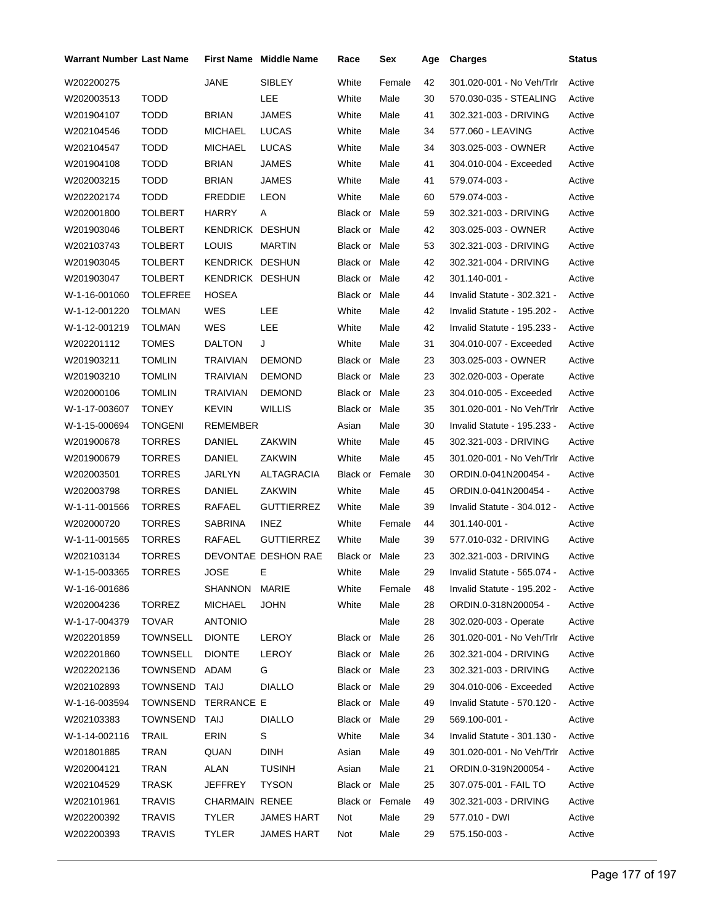| Warrant Number Last Name |                     |                 | <b>First Name</b> Middle Name | Race            | Sex    | Age | <b>Charges</b>              | Status |
|--------------------------|---------------------|-----------------|-------------------------------|-----------------|--------|-----|-----------------------------|--------|
| W202200275               |                     | JANE            | <b>SIBLEY</b>                 | White           | Female | 42  | 301.020-001 - No Veh/Trlr   | Active |
| W202003513               | <b>TODD</b>         |                 | LEE                           | White           | Male   | 30  | 570.030-035 - STEALING      | Active |
| W201904107               | <b>TODD</b>         | <b>BRIAN</b>    | <b>JAMES</b>                  | White           | Male   | 41  | 302.321-003 - DRIVING       | Active |
| W202104546               | <b>TODD</b>         | <b>MICHAEL</b>  | <b>LUCAS</b>                  | White           | Male   | 34  | 577.060 - LEAVING           | Active |
| W202104547               | <b>TODD</b>         | MICHAEL         | <b>LUCAS</b>                  | White           | Male   | 34  | 303.025-003 - OWNER         | Active |
| W201904108               | <b>TODD</b>         | <b>BRIAN</b>    | JAMES                         | White           | Male   | 41  | 304.010-004 - Exceeded      | Active |
| W202003215               | <b>TODD</b>         | <b>BRIAN</b>    | JAMES                         | White           | Male   | 41  | 579.074-003 -               | Active |
| W202202174               | <b>TODD</b>         | <b>FREDDIE</b>  | <b>LEON</b>                   | White           | Male   | 60  | 579.074-003 -               | Active |
| W202001800               | <b>TOLBERT</b>      | <b>HARRY</b>    | Α                             | Black or Male   |        | 59  | 302.321-003 - DRIVING       | Active |
| W201903046               | <b>TOLBERT</b>      | KENDRICK DESHUN |                               | Black or Male   |        | 42  | 303.025-003 - OWNER         | Active |
| W202103743               | <b>TOLBERT</b>      | <b>LOUIS</b>    | <b>MARTIN</b>                 | Black or Male   |        | 53  | 302.321-003 - DRIVING       | Active |
| W201903045               | <b>TOLBERT</b>      | KENDRICK DESHUN |                               | Black or Male   |        | 42  | 302.321-004 - DRIVING       | Active |
| W201903047               | <b>TOLBERT</b>      | KENDRICK DESHUN |                               | Black or Male   |        | 42  | 301.140-001 -               | Active |
| W-1-16-001060            | <b>TOLEFREE</b>     | <b>HOSEA</b>    |                               | Black or Male   |        | 44  | Invalid Statute - 302.321 - | Active |
| W-1-12-001220            | <b>TOLMAN</b>       | WES             | LEE                           | White           | Male   | 42  | Invalid Statute - 195.202 - | Active |
| W-1-12-001219            | <b>TOLMAN</b>       | WES             | LEE                           | White           | Male   | 42  | Invalid Statute - 195.233 - | Active |
| W202201112               | <b>TOMES</b>        | <b>DALTON</b>   | J                             | White           | Male   | 31  | 304.010-007 - Exceeded      | Active |
| W201903211               | <b>TOMLIN</b>       | TRAIVIAN        | <b>DEMOND</b>                 | Black or Male   |        | 23  | 303.025-003 - OWNER         | Active |
| W201903210               | <b>TOMLIN</b>       | TRAIVIAN        | <b>DEMOND</b>                 | Black or Male   |        | 23  | 302.020-003 - Operate       | Active |
| W202000106               | <b>TOMLIN</b>       | <b>TRAIVIAN</b> | <b>DEMOND</b>                 | Black or Male   |        | 23  | 304.010-005 - Exceeded      | Active |
| W-1-17-003607            | <b>TONEY</b>        | <b>KEVIN</b>    | <b>WILLIS</b>                 | Black or Male   |        | 35  | 301.020-001 - No Veh/Trlr   | Active |
| W-1-15-000694            | <b>TONGENI</b>      | REMEMBER        |                               | Asian           | Male   | 30  | Invalid Statute - 195.233 - | Active |
| W201900678               | <b>TORRES</b>       | DANIEL          | ZAKWIN                        | White           | Male   | 45  | 302.321-003 - DRIVING       | Active |
| W201900679               | <b>TORRES</b>       | DANIEL          | ZAKWIN                        | White           | Male   | 45  | 301.020-001 - No Veh/Trlr   | Active |
| W202003501               | <b>TORRES</b>       | JARLYN          | ALTAGRACIA                    | Black or Female |        | 30  | ORDIN.0-041N200454 -        | Active |
| W202003798               | <b>TORRES</b>       | DANIEL          | ZAKWIN                        | White           | Male   | 45  | ORDIN.0-041N200454 -        | Active |
| W-1-11-001566            | <b>TORRES</b>       | RAFAEL          | <b>GUTTIERREZ</b>             | White           | Male   | 39  | Invalid Statute - 304.012 - | Active |
| W202000720               | <b>TORRES</b>       | <b>SABRINA</b>  | <b>INEZ</b>                   | White           | Female | 44  | 301.140-001 -               | Active |
| W-1-11-001565            | <b>TORRES</b>       | RAFAEL          | <b>GUTTIERREZ</b>             | White           | Male   | 39  | 577.010-032 - DRIVING       | Active |
| W202103134               | <b>TORRES</b>       |                 | DEVONTAE DESHON RAE           | Black or Male   |        | 23  | 302.321-003 - DRIVING       | Active |
| W-1-15-003365            | <b>TORRES</b>       | JOSE            | E.                            | White           | Male   | 29  | Invalid Statute - 565.074 - | Active |
| W-1-16-001686            |                     | SHANNON MARIE   |                               | White           | Female | 48  | Invalid Statute - 195.202 - | Active |
| W202004236               | <b>TORREZ</b>       | MICHAEL         | <b>JOHN</b>                   | White           | Male   | 28  | ORDIN.0-318N200054 -        | Active |
| W-1-17-004379            | <b>TOVAR</b>        | <b>ANTONIO</b>  |                               |                 | Male   | 28  | 302.020-003 - Operate       | Active |
| W202201859               | TOWNSELL            | <b>DIONTE</b>   | LEROY                         | Black or Male   |        | 26  | 301.020-001 - No Veh/Trlr   | Active |
| W202201860               | <b>TOWNSELL</b>     | <b>DIONTE</b>   | LEROY                         | Black or Male   |        | 26  | 302.321-004 - DRIVING       | Active |
| W202202136               | TOWNSEND ADAM       |                 | G                             | Black or Male   |        | 23  | 302.321-003 - DRIVING       | Active |
| W202102893               | TOWNSEND TAIJ       |                 | <b>DIALLO</b>                 | Black or Male   |        | 29  | 304.010-006 - Exceeded      | Active |
| W-1-16-003594            | TOWNSEND TERRANCE E |                 |                               | Black or Male   |        | 49  | Invalid Statute - 570.120 - | Active |
| W202103383               | TOWNSEND TAIJ       |                 | <b>DIALLO</b>                 | Black or Male   |        | 29  | 569.100-001 -               | Active |
| W-1-14-002116            | <b>TRAIL</b>        | ERIN            | S                             | White           | Male   | 34  | Invalid Statute - 301.130 - | Active |
| W201801885               | <b>TRAN</b>         | QUAN            | <b>DINH</b>                   | Asian           | Male   | 49  | 301.020-001 - No Veh/Trlr   | Active |
| W202004121               | TRAN                | ALAN            | <b>TUSINH</b>                 | Asian           | Male   | 21  | ORDIN.0-319N200054 -        | Active |
| W202104529               | TRASK               | JEFFREY         | <b>TYSON</b>                  | Black or Male   |        | 25  | 307.075-001 - FAIL TO       | Active |
| W202101961               | <b>TRAVIS</b>       | CHARMAIN RENEE  |                               | Black or Female |        | 49  | 302.321-003 - DRIVING       | Active |
| W202200392               | <b>TRAVIS</b>       | <b>TYLER</b>    | JAMES HART                    | Not             | Male   | 29  | 577.010 - DWI               | Active |
| W202200393               | <b>TRAVIS</b>       | TYLER           | JAMES HART                    | Not             | Male   | 29  | 575.150-003 -               | Active |
|                          |                     |                 |                               |                 |        |     |                             |        |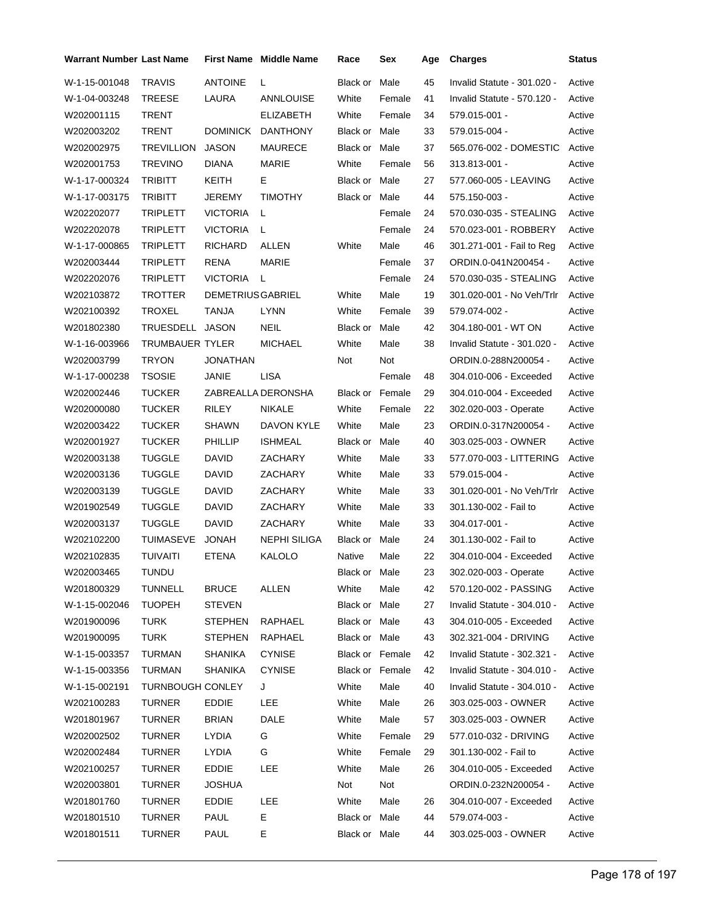| Warrant Number Last Name |                         |                          | <b>First Name Middle Name</b> | Race                   | Sex    | Age | <b>Charges</b>              | Status |
|--------------------------|-------------------------|--------------------------|-------------------------------|------------------------|--------|-----|-----------------------------|--------|
| W-1-15-001048            | <b>TRAVIS</b>           | <b>ANTOINE</b>           | L                             | Black or               | Male   | 45  | Invalid Statute - 301.020 - | Active |
| W-1-04-003248            | <b>TREESE</b>           | LAURA                    | <b>ANNLOUISE</b>              | White                  | Female | 41  | Invalid Statute - 570.120 - | Active |
| W202001115               | <b>TRENT</b>            |                          | <b>ELIZABETH</b>              | White                  | Female | 34  | 579.015-001 -               | Active |
| W202003202               | <b>TRENT</b>            | <b>DOMINICK</b>          | <b>DANTHONY</b>               | Black or Male          |        | 33  | 579.015-004 -               | Active |
| W202002975               | <b>TREVILLION</b>       | <b>JASON</b>             | <b>MAURECE</b>                | Black or Male          |        | 37  | 565.076-002 - DOMESTIC      | Active |
| W202001753               | <b>TREVINO</b>          | DIANA                    | MARIE                         | White                  | Female | 56  | 313.813-001 -               | Active |
| W-1-17-000324            | <b>TRIBITT</b>          | KEITH                    | Е                             | Black or Male          |        | 27  | 577.060-005 - LEAVING       | Active |
| W-1-17-003175            | <b>TRIBITT</b>          | JEREMY                   | <b>TIMOTHY</b>                | Black or Male          |        | 44  | 575.150-003 -               | Active |
| W202202077               | TRIPLETT                | <b>VICTORIA</b>          | L                             |                        | Female | 24  | 570.030-035 - STEALING      | Active |
| W202202078               | <b>TRIPLETT</b>         | <b>VICTORIA</b>          | L                             |                        | Female | 24  | 570.023-001 - ROBBERY       | Active |
| W-1-17-000865            | <b>TRIPLETT</b>         | <b>RICHARD</b>           | ALLEN                         | White                  | Male   | 46  | 301.271-001 - Fail to Reg   | Active |
| W202003444               | TRIPLETT                | <b>RENA</b>              | MARIE                         |                        | Female | 37  | ORDIN.0-041N200454 -        | Active |
| W202202076               | <b>TRIPLETT</b>         | <b>VICTORIA</b>          | L                             |                        | Female | 24  | 570.030-035 - STEALING      | Active |
| W202103872               | <b>TROTTER</b>          | <b>DEMETRIUS GABRIEL</b> |                               | White                  | Male   | 19  | 301.020-001 - No Veh/Trlr   | Active |
| W202100392               | <b>TROXEL</b>           | TANJA                    | <b>LYNN</b>                   | White                  | Female | 39  | 579.074-002 -               | Active |
| W201802380               | TRUESDELL JASON         |                          | <b>NEIL</b>                   | Black or Male          |        | 42  | 304.180-001 - WT ON         | Active |
| W-1-16-003966            | TRUMBAUER TYLER         |                          | <b>MICHAEL</b>                | White                  | Male   | 38  | Invalid Statute - 301.020 - | Active |
| W202003799               | TRYON                   | JONATHAN                 |                               | Not                    | Not    |     | ORDIN.0-288N200054 -        | Active |
| W-1-17-000238            | <b>TSOSIE</b>           | JANIE                    | <b>LISA</b>                   |                        | Female | 48  | 304.010-006 - Exceeded      | Active |
| W202002446               | <b>TUCKER</b>           |                          | ZABREALLA DERONSHA            | <b>Black or Female</b> |        | 29  | 304.010-004 - Exceeded      | Active |
| W202000080               | <b>TUCKER</b>           | RILEY                    | <b>NIKALE</b>                 | White                  | Female | 22  | 302.020-003 - Operate       | Active |
| W202003422               | <b>TUCKER</b>           | <b>SHAWN</b>             | DAVON KYLE                    | White                  | Male   | 23  | ORDIN.0-317N200054 -        | Active |
| W202001927               | <b>TUCKER</b>           | PHILLIP                  | <b>ISHMEAL</b>                | Black or               | Male   | 40  | 303.025-003 - OWNER         | Active |
| W202003138               | <b>TUGGLE</b>           | DAVID                    | ZACHARY                       | White                  | Male   | 33  | 577.070-003 - LITTERING     | Active |
| W202003136               | <b>TUGGLE</b>           | <b>DAVID</b>             | ZACHARY                       | White                  | Male   | 33  | 579.015-004 -               | Active |
| W202003139               | <b>TUGGLE</b>           | DAVID                    | ZACHARY                       | White                  | Male   | 33  | 301.020-001 - No Veh/Trlr   | Active |
| W201902549               | <b>TUGGLE</b>           | <b>DAVID</b>             | ZACHARY                       | White                  | Male   | 33  | 301.130-002 - Fail to       | Active |
| W202003137               | <b>TUGGLE</b>           | <b>DAVID</b>             | ZACHARY                       | White                  | Male   | 33  | 304.017-001 -               | Active |
| W202102200               | TUIMASEVE               | <b>JONAH</b>             | <b>NEPHI SILIGA</b>           | Black or               | Male   | 24  | 301.130-002 - Fail to       | Active |
| W202102835               | <b>TUIVAITI</b>         | ETENA                    | KALOLO                        | Native                 | Male   | 22  | 304.010-004 - Exceeded      | Active |
| W202003465               | TUNDU                   |                          |                               | Black or Male          |        | 23  | 302.020-003 - Operate       | Active |
| W201800329               | TUNNELL                 | <b>BRUCE</b>             | ALLEN                         | White                  | Male   | 42  | 570.120-002 - PASSING       | Active |
| W-1-15-002046            | <b>TUOPEH</b>           | <b>STEVEN</b>            |                               | Black or Male          |        | 27  | Invalid Statute - 304.010 - | Active |
| W201900096               | <b>TURK</b>             | <b>STEPHEN</b>           | RAPHAEL                       | Black or Male          |        | 43  | 304.010-005 - Exceeded      | Active |
| W201900095               | <b>TURK</b>             | <b>STEPHEN</b>           | RAPHAEL                       | Black or Male          |        | 43  | 302.321-004 - DRIVING       | Active |
| W-1-15-003357            | TURMAN                  | <b>SHANIKA</b>           | <b>CYNISE</b>                 | Black or Female        |        | 42  | Invalid Statute - 302.321 - | Active |
| W-1-15-003356            | TURMAN                  | <b>SHANIKA</b>           | <b>CYNISE</b>                 | <b>Black or Female</b> |        | 42  | Invalid Statute - 304.010 - | Active |
| W-1-15-002191            | <b>TURNBOUGH CONLEY</b> |                          | J                             | White                  | Male   | 40  | Invalid Statute - 304.010 - | Active |
| W202100283               | TURNER                  | EDDIE                    | <b>LEE</b>                    | White                  | Male   | 26  | 303.025-003 - OWNER         | Active |
| W201801967               | TURNER                  | <b>BRIAN</b>             | DALE                          | White                  | Male   | 57  | 303.025-003 - OWNER         | Active |
| W202002502               | TURNER                  | <b>LYDIA</b>             | G                             | White                  | Female | 29  | 577.010-032 - DRIVING       | Active |
| W202002484               | TURNER                  | <b>LYDIA</b>             | G                             | White                  | Female | 29  | 301.130-002 - Fail to       | Active |
| W202100257               | TURNER                  | EDDIE                    | LEE                           | White                  | Male   | 26  | 304.010-005 - Exceeded      | Active |
| W202003801               | TURNER                  | <b>JOSHUA</b>            |                               | Not                    | Not    |     | ORDIN.0-232N200054 -        | Active |
| W201801760               | TURNER                  | <b>EDDIE</b>             | <b>LEE</b>                    | White                  | Male   | 26  | 304.010-007 - Exceeded      | Active |
| W201801510               | TURNER                  | <b>PAUL</b>              | E.                            | Black or Male          |        | 44  | 579.074-003 -               | Active |
| W201801511               | <b>TURNER</b>           | PAUL                     | Е                             | Black or Male          |        | 44  | 303.025-003 - OWNER         | Active |
|                          |                         |                          |                               |                        |        |     |                             |        |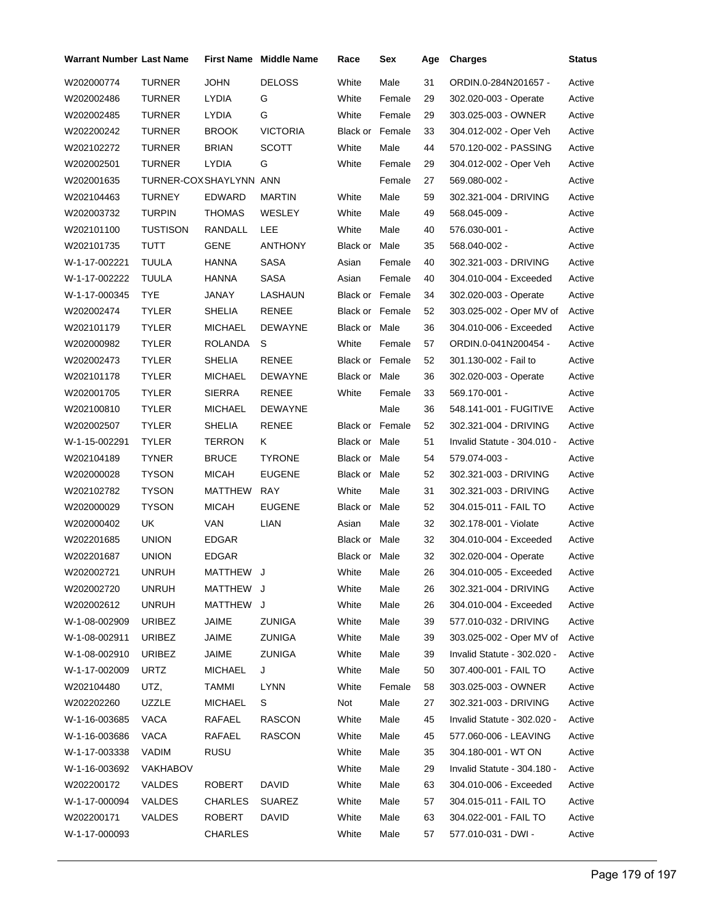| <b>Warrant Number Last Name</b> |                        |                | <b>First Name Middle Name</b> | Race                   | Sex    | Age | <b>Charges</b>              | <b>Status</b> |
|---------------------------------|------------------------|----------------|-------------------------------|------------------------|--------|-----|-----------------------------|---------------|
| W202000774                      | <b>TURNER</b>          | <b>JOHN</b>    | <b>DELOSS</b>                 | White                  | Male   | 31  | ORDIN.0-284N201657 -        | Active        |
| W202002486                      | <b>TURNER</b>          | LYDIA          | G                             | White                  | Female | 29  | 302.020-003 - Operate       | Active        |
| W202002485                      | <b>TURNER</b>          | LYDIA          | G                             | White                  | Female | 29  | 303.025-003 - OWNER         | Active        |
| W202200242                      | <b>TURNER</b>          | <b>BROOK</b>   | <b>VICTORIA</b>               | Black or Female        |        | 33  | 304.012-002 - Oper Veh      | Active        |
| W202102272                      | <b>TURNER</b>          | <b>BRIAN</b>   | <b>SCOTT</b>                  | White                  | Male   | 44  | 570.120-002 - PASSING       | Active        |
| W202002501                      | <b>TURNER</b>          | LYDIA          | G                             | White                  | Female | 29  | 304.012-002 - Oper Veh      | Active        |
| W202001635                      | TURNER-COXSHAYLYNN ANN |                |                               |                        | Female | 27  | 569.080-002 -               | Active        |
| W202104463                      | <b>TURNEY</b>          | <b>EDWARD</b>  | MARTIN                        | White                  | Male   | 59  | 302.321-004 - DRIVING       | Active        |
| W202003732                      | <b>TURPIN</b>          | THOMAS         | WESLEY                        | White                  | Male   | 49  | 568.045-009 -               | Active        |
| W202101100                      | <b>TUSTISON</b>        | RANDALL        | LEE                           | White                  | Male   | 40  | 576.030-001 -               | Active        |
| W202101735                      | <b>TUTT</b>            | GENE           | <b>ANTHONY</b>                | Black or               | Male   | 35  | 568.040-002 -               | Active        |
| W-1-17-002221                   | TUULA                  | HANNA          | <b>SASA</b>                   | Asian                  | Female | 40  | 302.321-003 - DRIVING       | Active        |
| W-1-17-002222                   | <b>TUULA</b>           | HANNA          | <b>SASA</b>                   | Asian                  | Female | 40  | 304.010-004 - Exceeded      | Active        |
| W-1-17-000345                   | <b>TYE</b>             | JANAY          | LASHAUN                       | <b>Black or Female</b> |        | 34  | 302.020-003 - Operate       | Active        |
| W202002474                      | <b>TYLER</b>           | <b>SHELIA</b>  | <b>RENEE</b>                  | <b>Black or Female</b> |        | 52  | 303.025-002 - Oper MV of    | Active        |
| W202101179                      | <b>TYLER</b>           | <b>MICHAEL</b> | <b>DEWAYNE</b>                | Black or Male          |        | 36  | 304.010-006 - Exceeded      | Active        |
| W202000982                      | <b>TYLER</b>           | ROLANDA        | S                             | White                  | Female | 57  | ORDIN.0-041N200454 -        | Active        |
| W202002473                      | <b>TYLER</b>           | <b>SHELIA</b>  | <b>RENEE</b>                  | <b>Black or Female</b> |        | 52  | 301.130-002 - Fail to       | Active        |
| W202101178                      | <b>TYLER</b>           | <b>MICHAEL</b> | <b>DEWAYNE</b>                | Black or Male          |        | 36  | 302.020-003 - Operate       | Active        |
| W202001705                      | <b>TYLER</b>           | <b>SIERRA</b>  | <b>RENEE</b>                  | White                  | Female | 33  | 569.170-001 -               | Active        |
| W202100810                      | TYLER                  | <b>MICHAEL</b> | DEWAYNE                       |                        | Male   | 36  | 548.141-001 - FUGITIVE      | Active        |
| W202002507                      | <b>TYLER</b>           | SHELIA         | <b>RENEE</b>                  | <b>Black or Female</b> |        | 52  | 302.321-004 - DRIVING       | Active        |
| W-1-15-002291                   | <b>TYLER</b>           | TERRON         | Κ                             | Black or Male          |        | 51  | Invalid Statute - 304.010 - | Active        |
| W202104189                      | <b>TYNER</b>           | <b>BRUCE</b>   | <b>TYRONE</b>                 | Black or Male          |        | 54  | 579.074-003 -               | Active        |
| W202000028                      | <b>TYSON</b>           | <b>MICAH</b>   | <b>EUGENE</b>                 | Black or Male          |        | 52  | 302.321-003 - DRIVING       | Active        |
| W202102782                      | <b>TYSON</b>           | MATTHEW        | <b>RAY</b>                    | White                  | Male   | 31  | 302.321-003 - DRIVING       | Active        |
| W202000029                      | <b>TYSON</b>           | <b>MICAH</b>   | <b>EUGENE</b>                 | Black or Male          |        | 52  | 304.015-011 - FAIL TO       | Active        |
| W202000402                      | UK                     | VAN            | LIAN                          | Asian                  | Male   | 32  | 302.178-001 - Violate       | Active        |
| W202201685                      | <b>UNION</b>           | <b>EDGAR</b>   |                               | Black or Male          |        | 32  | 304.010-004 - Exceeded      | Active        |
| W202201687                      | <b>UNION</b>           | <b>EDGAR</b>   |                               | Black or Male          |        | 32  | 302.020-004 - Operate       | Active        |
| W202002721                      | <b>UNRUH</b>           | MATTHEW J      |                               | White                  | Male   | 26  | 304.010-005 - Exceeded      | Active        |
| W202002720                      | <b>UNRUH</b>           | MATTHEW J      |                               | White                  | Male   | 26  | 302.321-004 - DRIVING       | Active        |
| W202002612                      | <b>UNRUH</b>           | MATTHEW J      |                               | White                  | Male   | 26  | 304.010-004 - Exceeded      | Active        |
| W-1-08-002909                   | <b>URIBEZ</b>          | JAIME          | <b>ZUNIGA</b>                 | White                  | Male   | 39  | 577.010-032 - DRIVING       | Active        |
| W-1-08-002911                   | <b>URIBEZ</b>          | JAIME          | <b>ZUNIGA</b>                 | White                  | Male   | 39  | 303.025-002 - Oper MV of    | Active        |
| W-1-08-002910                   | <b>URIBEZ</b>          | JAIME          | ZUNIGA                        | White                  | Male   | 39  | Invalid Statute - 302.020 - | Active        |
| W-1-17-002009                   | URTZ                   | <b>MICHAEL</b> | J                             | White                  | Male   | 50  | 307.400-001 - FAIL TO       | Active        |
| W202104480                      | UTZ,                   | TAMMI          | <b>LYNN</b>                   | White                  | Female | 58  | 303.025-003 - OWNER         | Active        |
| W202202260                      | <b>UZZLE</b>           | <b>MICHAEL</b> | S                             | Not                    | Male   | 27  | 302.321-003 - DRIVING       | Active        |
| W-1-16-003685                   | VACA                   | RAFAEL         | <b>RASCON</b>                 | White                  | Male   | 45  | Invalid Statute - 302.020 - | Active        |
| W-1-16-003686                   | VACA                   | RAFAEL         | <b>RASCON</b>                 | White                  | Male   | 45  | 577.060-006 - LEAVING       | Active        |
| W-1-17-003338                   | VADIM                  | RUSU           |                               | White                  | Male   | 35  | 304.180-001 - WT ON         | Active        |
| W-1-16-003692                   | <b>VAKHABOV</b>        |                |                               | White                  | Male   | 29  | Invalid Statute - 304.180 - | Active        |
| W202200172                      | VALDES                 | ROBERT         | <b>DAVID</b>                  | White                  | Male   | 63  | 304.010-006 - Exceeded      | Active        |
| W-1-17-000094                   | VALDES                 | CHARLES        | <b>SUAREZ</b>                 | White                  | Male   | 57  | 304.015-011 - FAIL TO       | Active        |
| W202200171                      | VALDES                 | ROBERT         | DAVID                         | White                  | Male   | 63  | 304.022-001 - FAIL TO       | Active        |
| W-1-17-000093                   |                        | <b>CHARLES</b> |                               | White                  | Male   | 57  | 577.010-031 - DWI -         | Active        |
|                                 |                        |                |                               |                        |        |     |                             |               |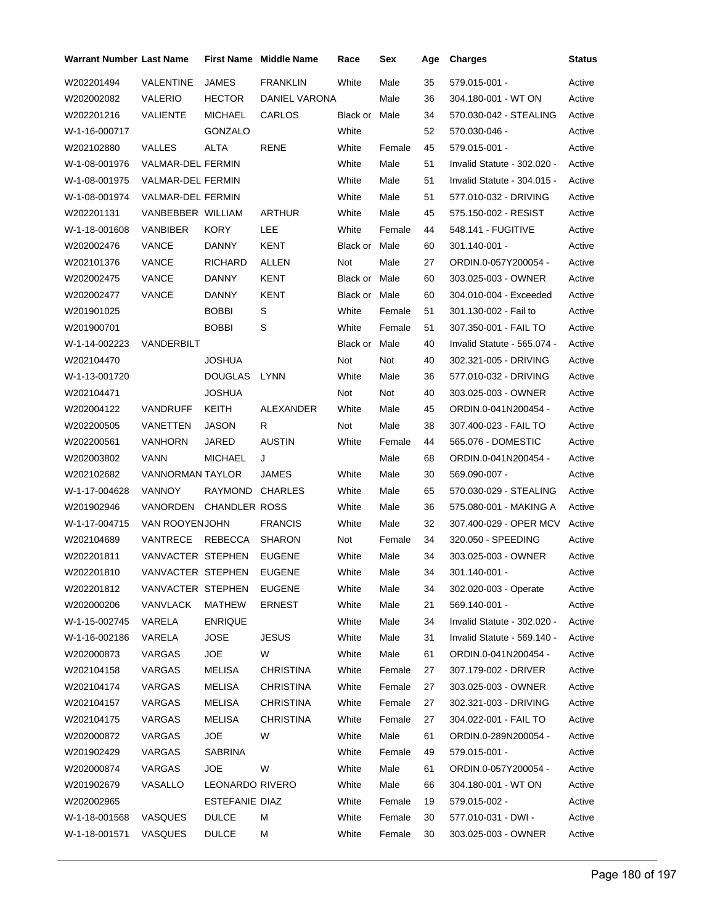| Warrant Number Last Name |                   |                      | <b>First Name Middle Name</b> | Race                 | Sex    | Age | <b>Charges</b>              | <b>Status</b> |
|--------------------------|-------------------|----------------------|-------------------------------|----------------------|--------|-----|-----------------------------|---------------|
| W202201494               | <b>VALENTINE</b>  | <b>JAMES</b>         | <b>FRANKLIN</b>               | White                | Male   | 35  | 579.015-001 -               | Active        |
| W202002082               | <b>VALERIO</b>    | <b>HECTOR</b>        | DANIEL VARONA                 |                      | Male   | 36  | 304.180-001 - WT ON         | Active        |
| W202201216               | VALIENTE          | <b>MICHAEL</b>       | CARLOS                        | <b>Black or Male</b> |        | 34  | 570.030-042 - STEALING      | Active        |
| W-1-16-000717            |                   | GONZALO              |                               | White                |        | 52  | 570.030-046 -               | Active        |
| W202102880               | <b>VALLES</b>     | ALTA                 | <b>RENE</b>                   | White                | Female | 45  | 579.015-001 -               | Active        |
| W-1-08-001976            | VALMAR-DEL FERMIN |                      |                               | White                | Male   | 51  | Invalid Statute - 302.020 - | Active        |
| W-1-08-001975            | VALMAR-DEL FERMIN |                      |                               | White                | Male   | 51  | Invalid Statute - 304.015 - | Active        |
| W-1-08-001974            | VALMAR-DEL FERMIN |                      |                               | White                | Male   | 51  | 577.010-032 - DRIVING       | Active        |
| W202201131               | VANBEBBER WILLIAM |                      | <b>ARTHUR</b>                 | White                | Male   | 45  | 575.150-002 - RESIST        | Active        |
| W-1-18-001608            | VANBIBER          | <b>KORY</b>          | LEE                           | White                | Female | 44  | 548.141 - FUGITIVE          | Active        |
| W202002476               | <b>VANCE</b>      | <b>DANNY</b>         | KENT                          | Black or Male        |        | 60  | 301.140-001 -               | Active        |
| W202101376               | <b>VANCE</b>      | <b>RICHARD</b>       | ALLEN                         | Not                  | Male   | 27  | ORDIN.0-057Y200054 -        | Active        |
| W202002475               | VANCE             | <b>DANNY</b>         | KENT                          | Black or Male        |        | 60  | 303.025-003 - OWNER         | Active        |
| W202002477               | <b>VANCE</b>      | <b>DANNY</b>         | KENT                          | Black or Male        |        | 60  | 304.010-004 - Exceeded      | Active        |
| W201901025               |                   | <b>BOBBI</b>         | S                             | White                | Female | 51  | 301.130-002 - Fail to       | Active        |
| W201900701               |                   | <b>BOBBI</b>         | S                             | White                | Female | 51  | 307.350-001 - FAIL TO       | Active        |
| W-1-14-002223            | VANDERBILT        |                      |                               | Black or             | Male   | 40  | Invalid Statute - 565.074 - | Active        |
| W202104470               |                   | <b>JOSHUA</b>        |                               | Not                  | Not    | 40  | 302.321-005 - DRIVING       | Active        |
| W-1-13-001720            |                   | <b>DOUGLAS</b>       | <b>LYNN</b>                   | White                | Male   | 36  | 577.010-032 - DRIVING       | Active        |
| W202104471               |                   | <b>JOSHUA</b>        |                               | Not                  | Not    | 40  | 303.025-003 - OWNER         | Active        |
| W202004122               | <b>VANDRUFF</b>   | KEITH                | ALEXANDER                     | White                | Male   | 45  | ORDIN.0-041N200454 -        | Active        |
| W202200505               | VANETTEN          | JASON                | R                             | Not                  | Male   | 38  | 307.400-023 - FAIL TO       | Active        |
| W202200561               | <b>VANHORN</b>    | JARED                | <b>AUSTIN</b>                 | White                | Female | 44  | 565.076 - DOMESTIC          | Active        |
| W202003802               | <b>VANN</b>       | <b>MICHAEL</b>       | J                             |                      | Male   | 68  | ORDIN.0-041N200454 -        | Active        |
| W202102682               | VANNORMAN TAYLOR  |                      | JAMES                         | White                | Male   | 30  | 569.090-007 -               | Active        |
| W-1-17-004628            | <b>VANNOY</b>     | RAYMOND              | <b>CHARLES</b>                | White                | Male   | 65  | 570.030-029 - STEALING      | Active        |
| W201902946               | VANORDEN          | <b>CHANDLER ROSS</b> |                               | White                | Male   | 36  | 575.080-001 - MAKING A      | Active        |
| W-1-17-004715            | VAN ROOYENJOHN    |                      | <b>FRANCIS</b>                | White                | Male   | 32  | 307.400-029 - OPER MCV      | Active        |
| W202104689               | VANTRECE          | REBECCA              | <b>SHARON</b>                 | Not                  | Female | 34  | 320.050 - SPEEDING          | Active        |
| W202201811               | VANVACTER STEPHEN |                      | <b>EUGENE</b>                 | White                | Male   | 34  | 303.025-003 - OWNER         | Active        |
| W202201810               | VANVACTER STEPHEN |                      | <b>EUGENE</b>                 | White                | Male   | 34  | 301.140-001 -               | Active        |
| W202201812               | VANVACTER STEPHEN |                      | <b>EUGENE</b>                 | White                | Male   | 34  | 302.020-003 - Operate       | Active        |
| W202000206               | VANVLACK          | <b>MATHEW</b>        | <b>ERNEST</b>                 | White                | Male   | 21  | 569.140-001 -               | Active        |
| W-1-15-002745            | VARELA            | <b>ENRIQUE</b>       |                               | White                | Male   | 34  | Invalid Statute - 302.020 - | Active        |
| W-1-16-002186            | VARELA            | JOSE                 | <b>JESUS</b>                  | White                | Male   | 31  | Invalid Statute - 569.140 - | Active        |
| W202000873               | VARGAS            | <b>JOE</b>           | W                             | White                | Male   | 61  | ORDIN.0-041N200454 -        | Active        |
| W202104158               | VARGAS            | <b>MELISA</b>        | <b>CHRISTINA</b>              | White                | Female | 27  | 307.179-002 - DRIVER        | Active        |
| W202104174               | VARGAS            | MELISA               | CHRISTINA                     | White                | Female | 27  | 303.025-003 - OWNER         | Active        |
| W202104157               | VARGAS            | <b>MELISA</b>        | <b>CHRISTINA</b>              | White                | Female | 27  | 302.321-003 - DRIVING       | Active        |
| W202104175               | VARGAS            | MELISA               | <b>CHRISTINA</b>              | White                | Female | 27  | 304.022-001 - FAIL TO       | Active        |
| W202000872               | VARGAS            | <b>JOE</b>           | W                             | White                | Male   | 61  | ORDIN.0-289N200054 -        | Active        |
| W201902429               | VARGAS            | <b>SABRINA</b>       |                               | White                | Female | 49  | 579.015-001 -               | Active        |
| W202000874               | VARGAS            | JOE                  | W                             | White                | Male   | 61  | ORDIN.0-057Y200054 -        | Active        |
| W201902679               | VASALLO           | LEONARDO RIVERO      |                               | White                | Male   | 66  | 304.180-001 - WT ON         | Active        |
| W202002965               |                   | ESTEFANIE DIAZ       |                               | White                | Female | 19  | 579.015-002 -               | Active        |
| W-1-18-001568            | <b>VASQUES</b>    | <b>DULCE</b>         | М                             | White                | Female | 30  | 577.010-031 - DWI -         | Active        |
| W-1-18-001571            | VASQUES           | <b>DULCE</b>         | М                             | White                | Female | 30  | 303.025-003 - OWNER         | Active        |
|                          |                   |                      |                               |                      |        |     |                             |               |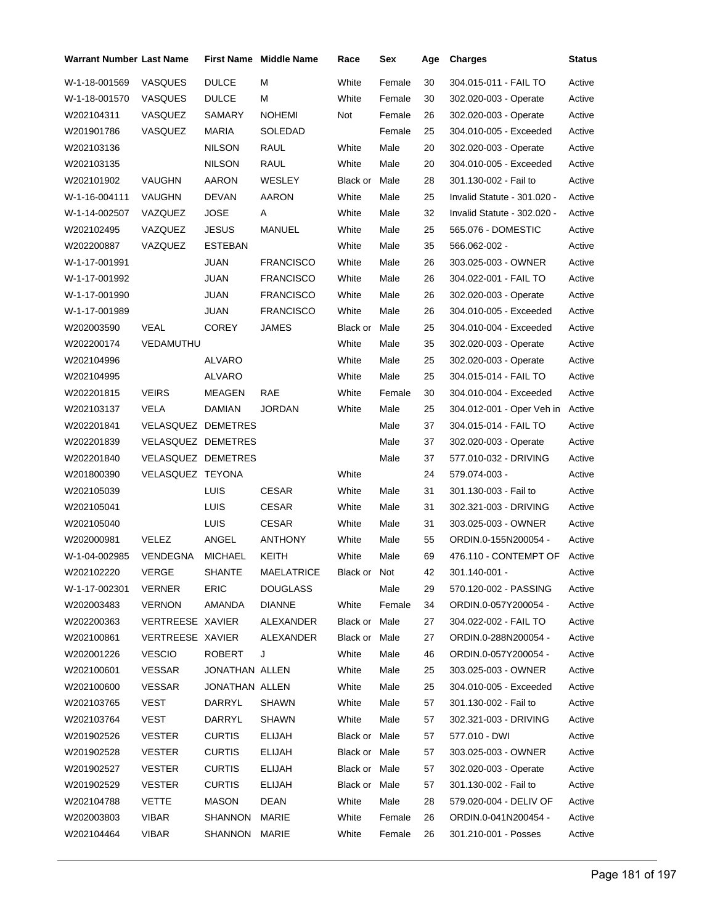| Warrant Number Last Name |                    |                | <b>First Name</b> Middle Name | Race          | Sex    | Age | <b>Charges</b>              | <b>Status</b> |
|--------------------------|--------------------|----------------|-------------------------------|---------------|--------|-----|-----------------------------|---------------|
| W-1-18-001569            | <b>VASQUES</b>     | <b>DULCE</b>   | М                             | White         | Female | 30  | 304.015-011 - FAIL TO       | Active        |
| W-1-18-001570            | VASQUES            | <b>DULCE</b>   | М                             | White         | Female | 30  | 302.020-003 - Operate       | Active        |
| W202104311               | VASQUEZ            | SAMARY         | <b>NOHEMI</b>                 | Not           | Female | 26  | 302.020-003 - Operate       | Active        |
| W201901786               | VASQUEZ            | <b>MARIA</b>   | <b>SOLEDAD</b>                |               | Female | 25  | 304.010-005 - Exceeded      | Active        |
| W202103136               |                    | <b>NILSON</b>  | RAUL                          | White         | Male   | 20  | 302.020-003 - Operate       | Active        |
| W202103135               |                    | <b>NILSON</b>  | <b>RAUL</b>                   | White         | Male   | 20  | 304.010-005 - Exceeded      | Active        |
| W202101902               | VAUGHN             | AARON          | WESLEY                        | Black or      | Male   | 28  | 301.130-002 - Fail to       | Active        |
| W-1-16-004111            | VAUGHN             | <b>DEVAN</b>   | AARON                         | White         | Male   | 25  | Invalid Statute - 301.020 - | Active        |
| W-1-14-002507            | VAZQUEZ            | <b>JOSE</b>    | A                             | White         | Male   | 32  | Invalid Statute - 302.020 - | Active        |
| W202102495               | VAZQUEZ            | <b>JESUS</b>   | <b>MANUEL</b>                 | White         | Male   | 25  | 565.076 - DOMESTIC          | Active        |
| W202200887               | VAZQUEZ            | <b>ESTEBAN</b> |                               | White         | Male   | 35  | 566.062-002 -               | Active        |
| W-1-17-001991            |                    | <b>JUAN</b>    | <b>FRANCISCO</b>              | White         | Male   | 26  | 303.025-003 - OWNER         | Active        |
| W-1-17-001992            |                    | JUAN           | <b>FRANCISCO</b>              | White         | Male   | 26  | 304.022-001 - FAIL TO       | Active        |
| W-1-17-001990            |                    | <b>JUAN</b>    | <b>FRANCISCO</b>              | White         | Male   | 26  | 302.020-003 - Operate       | Active        |
| W-1-17-001989            |                    | JUAN           | <b>FRANCISCO</b>              | White         | Male   | 26  | 304.010-005 - Exceeded      | Active        |
| W202003590               | VEAL               | <b>COREY</b>   | <b>JAMES</b>                  | Black or      | Male   | 25  | 304.010-004 - Exceeded      | Active        |
| W202200174               | VEDAMUTHU          |                |                               | White         | Male   | 35  | 302.020-003 - Operate       | Active        |
| W202104996               |                    | ALVARO         |                               | White         | Male   | 25  | 302.020-003 - Operate       | Active        |
| W202104995               |                    | ALVARO         |                               | White         | Male   | 25  | 304.015-014 - FAIL TO       | Active        |
| W202201815               | <b>VEIRS</b>       | MEAGEN         | RAE                           | White         | Female | 30  | 304.010-004 - Exceeded      | Active        |
| W202103137               | VELA               | DAMIAN         | <b>JORDAN</b>                 | White         | Male   | 25  | 304.012-001 - Oper Veh in   | Active        |
| W202201841               | VELASQUEZ DEMETRES |                |                               |               | Male   | 37  | 304.015-014 - FAIL TO       | Active        |
| W202201839               | VELASQUEZ DEMETRES |                |                               |               | Male   | 37  | 302.020-003 - Operate       | Active        |
| W202201840               | VELASQUEZ DEMETRES |                |                               |               | Male   | 37  | 577.010-032 - DRIVING       | Active        |
| W201800390               | VELASQUEZ TEYONA   |                |                               | White         |        | 24  | 579.074-003 -               | Active        |
| W202105039               |                    | LUIS           | <b>CESAR</b>                  | White         | Male   | 31  | 301.130-003 - Fail to       | Active        |
| W202105041               |                    | <b>LUIS</b>    | <b>CESAR</b>                  | White         | Male   | 31  | 302.321-003 - DRIVING       | Active        |
| W202105040               |                    | <b>LUIS</b>    | <b>CESAR</b>                  | White         | Male   | 31  | 303.025-003 - OWNER         | Active        |
| W202000981               | <b>VELEZ</b>       | ANGEL          | <b>ANTHONY</b>                | White         | Male   | 55  | ORDIN.0-155N200054-         | Active        |
| W-1-04-002985            | VENDEGNA           | <b>MICHAEL</b> | KEITH                         | White         | Male   | 69  | 476.110 - CONTEMPT OF       | Active        |
| W202102220               | VERGE              | SHANTE         | MAELATRICE                    | Black or Not  |        | 42  | 301.140-001 -               | Active        |
| W-1-17-002301            | <b>VERNER</b>      | <b>ERIC</b>    | <b>DOUGLASS</b>               |               | Male   | 29  | 570.120-002 - PASSING       | Active        |
| W202003483               | <b>VERNON</b>      | AMANDA         | DIANNE                        | White         | Female | 34  | ORDIN.0-057Y200054 -        | Active        |
| W202200363               | VERTREESE XAVIER   |                | ALEXANDER                     | Black or Male |        | 27  | 304.022-002 - FAIL TO       | Active        |
| W202100861               | VERTREESE XAVIER   |                | ALEXANDER                     | Black or Male |        | 27  | ORDIN.0-288N200054 -        | Active        |
| W202001226               | <b>VESCIO</b>      | ROBERT         | J                             | White         | Male   | 46  | ORDIN.0-057Y200054 -        | Active        |
| W202100601               | VESSAR             | JONATHAN ALLEN |                               | White         | Male   | 25  | 303.025-003 - OWNER         | Active        |
| W202100600               | <b>VESSAR</b>      | JONATHAN ALLEN |                               | White         | Male   | 25  | 304.010-005 - Exceeded      | Active        |
| W202103765               | VEST               | DARRYL         | SHAWN                         | White         | Male   | 57  | 301.130-002 - Fail to       | Active        |
| W202103764               | VEST               | DARRYL         | SHAWN                         | White         | Male   | 57  | 302.321-003 - DRIVING       | Active        |
| W201902526               | <b>VESTER</b>      | <b>CURTIS</b>  | ELIJAH                        | Black or Male |        | 57  | 577.010 - DWI               | Active        |
| W201902528               | <b>VESTER</b>      | <b>CURTIS</b>  | <b>ELIJAH</b>                 | Black or Male |        | 57  | 303.025-003 - OWNER         | Active        |
| W201902527               | <b>VESTER</b>      | <b>CURTIS</b>  | ELIJAH                        | Black or Male |        | 57  | 302.020-003 - Operate       | Active        |
| W201902529               | <b>VESTER</b>      | <b>CURTIS</b>  | <b>ELIJAH</b>                 | Black or Male |        | 57  | 301.130-002 - Fail to       | Active        |
| W202104788               | <b>VETTE</b>       | MASON          | DEAN                          | White         | Male   | 28  | 579.020-004 - DELIV OF      | Active        |
| W202003803               | VIBAR              | SHANNON        | MARIE                         | White         | Female | 26  | ORDIN.0-041N200454 -        | Active        |
| W202104464               | <b>VIBAR</b>       | SHANNON MARIE  |                               | White         | Female | 26  | 301.210-001 - Posses        | Active        |
|                          |                    |                |                               |               |        |     |                             |               |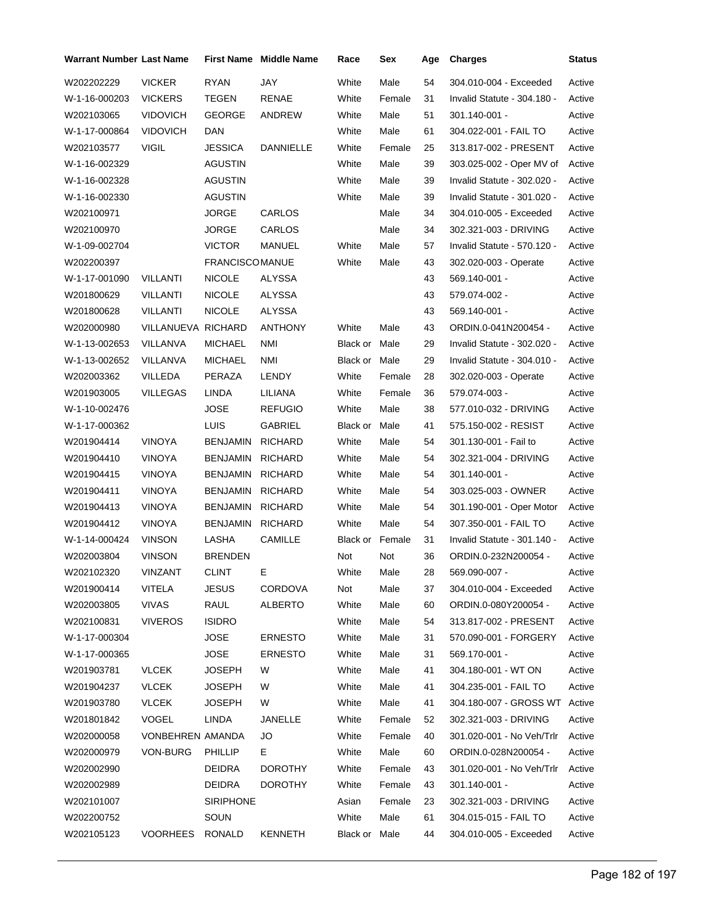| Warrant Number Last Name |                    |                       | <b>First Name Middle Name</b> | Race          | Sex    | Age | <b>Charges</b>                   | <b>Status</b> |
|--------------------------|--------------------|-----------------------|-------------------------------|---------------|--------|-----|----------------------------------|---------------|
| W202202229               | <b>VICKER</b>      | <b>RYAN</b>           | JAY                           | White         | Male   | 54  | 304.010-004 - Exceeded           | Active        |
| W-1-16-000203            | <b>VICKERS</b>     | TEGEN                 | <b>RENAE</b>                  | White         | Female | 31  | Invalid Statute - 304.180 -      | Active        |
| W202103065               | <b>VIDOVICH</b>    | <b>GEORGE</b>         | ANDREW                        | White         | Male   | 51  | 301.140-001 -                    | Active        |
| W-1-17-000864            | <b>VIDOVICH</b>    | DAN                   |                               | White         | Male   | 61  | 304.022-001 - FAIL TO            | Active        |
| W202103577               | <b>VIGIL</b>       | <b>JESSICA</b>        | DANNIELLE                     | White         | Female | 25  | 313.817-002 - PRESENT            | Active        |
| W-1-16-002329            |                    | <b>AGUSTIN</b>        |                               | White         | Male   | 39  | 303.025-002 - Oper MV of         | Active        |
| W-1-16-002328            |                    | AGUSTIN               |                               | White         | Male   | 39  | Invalid Statute - 302.020 -      | Active        |
| W-1-16-002330            |                    | AGUSTIN               |                               | White         | Male   | 39  | Invalid Statute - 301.020 -      | Active        |
| W202100971               |                    | <b>JORGE</b>          | <b>CARLOS</b>                 |               | Male   | 34  | 304.010-005 - Exceeded           | Active        |
| W202100970               |                    | JORGE                 | CARLOS                        |               | Male   | 34  | 302.321-003 - DRIVING            | Active        |
| W-1-09-002704            |                    | <b>VICTOR</b>         | MANUEL                        | White         | Male   | 57  | Invalid Statute - 570.120 -      | Active        |
| W202200397               |                    | <b>FRANCISCOMANUE</b> |                               | White         | Male   | 43  | 302.020-003 - Operate            | Active        |
| W-1-17-001090            | VILLANTI           | <b>NICOLE</b>         | ALYSSA                        |               |        | 43  | 569.140-001 -                    | Active        |
| W201800629               | VILLANTI           | <b>NICOLE</b>         | ALYSSA                        |               |        | 43  | 579.074-002 -                    | Active        |
| W201800628               | <b>VILLANTI</b>    | <b>NICOLE</b>         | <b>ALYSSA</b>                 |               |        | 43  | 569.140-001 -                    | Active        |
| W202000980               | VILLANUEVA RICHARD |                       | ANTHONY                       | White         | Male   | 43  | ORDIN.0-041N200454 -             | Active        |
| W-1-13-002653            | VILLANVA           | <b>MICHAEL</b>        | NMI                           | Black or Male |        | 29  | Invalid Statute - 302.020 -      | Active        |
| W-1-13-002652            | VILLANVA           | <b>MICHAEL</b>        | NMI                           | Black or Male |        | 29  | Invalid Statute - 304.010 -      | Active        |
| W202003362               | VILLEDA            | PERAZA                | <b>LENDY</b>                  | White         | Female | 28  | 302.020-003 - Operate            | Active        |
| W201903005               | <b>VILLEGAS</b>    | LINDA                 | LILIANA                       | White         | Female | 36  | 579.074-003 -                    | Active        |
| W-1-10-002476            |                    | <b>JOSE</b>           | <b>REFUGIO</b>                | White         | Male   | 38  | 577.010-032 - DRIVING            | Active        |
| W-1-17-000362            |                    | <b>LUIS</b>           | <b>GABRIEL</b>                | Black or      | Male   | 41  | 575.150-002 - RESIST             | Active        |
| W201904414               | <b>VINOYA</b>      | BENJAMIN              | <b>RICHARD</b>                | White         | Male   | 54  | 301.130-001 - Fail to            | Active        |
| W201904410               | <b>VINOYA</b>      | BENJAMIN              | <b>RICHARD</b>                | White         | Male   | 54  | 302.321-004 - DRIVING            | Active        |
| W201904415               | <b>VINOYA</b>      | BENJAMIN              | <b>RICHARD</b>                | White         | Male   | 54  | 301.140-001 -                    | Active        |
| W201904411               | <b>VINOYA</b>      | BENJAMIN              | <b>RICHARD</b>                | White         | Male   | 54  | 303.025-003 - OWNER              | Active        |
| W201904413               | <b>VINOYA</b>      | BENJAMIN              | <b>RICHARD</b>                | White         | Male   | 54  | 301.190-001 - Oper Motor         | Active        |
| W201904412               | <b>VINOYA</b>      | <b>BENJAMIN</b>       | <b>RICHARD</b>                | White         | Male   | 54  | 307.350-001 - FAIL TO            | Active        |
| W-1-14-000424            | <b>VINSON</b>      | LASHA                 | <b>CAMILLE</b>                | Black or      | Female | 31  | Invalid Statute - 301.140 -      | Active        |
| W202003804               | <b>VINSON</b>      | <b>BRENDEN</b>        |                               | Not           | Not    | 36  | ORDIN.0-232N200054 -             | Active        |
| W202102320               | VINZANT            | CLINT                 | Е                             | White         | Male   | 28  | 569.090-007 -                    | Active        |
| W201900414               | VITELA             | <b>JESUS</b>          | <b>CORDOVA</b>                | Not           | Male   | 37  | 304.010-004 - Exceeded           | Active        |
| W202003805               | VIVAS              | RAUL                  | <b>ALBERTO</b>                | White         | Male   | 60  | ORDIN.0-080Y200054 -             | Active        |
| W202100831               | <b>VIVEROS</b>     | <b>ISIDRO</b>         |                               | White         | Male   | 54  | 313.817-002 - PRESENT            | Active        |
| W-1-17-000304            |                    | <b>JOSE</b>           | <b>ERNESTO</b>                | White         | Male   | 31  | 570.090-001 - FORGERY            | Active        |
| W-1-17-000365            |                    | <b>JOSE</b>           | <b>ERNESTO</b>                | White         | Male   | 31  | 569.170-001 -                    | Active        |
| W201903781               | <b>VLCEK</b>       | <b>JOSEPH</b>         | W                             | White         | Male   | 41  | 304.180-001 - WT ON              | Active        |
| W201904237               | <b>VLCEK</b>       | <b>JOSEPH</b>         | W                             | White         | Male   | 41  | 304.235-001 - FAIL TO            | Active        |
| W201903780               | <b>VLCEK</b>       | <b>JOSEPH</b>         | W                             | White         | Male   | 41  | 304.180-007 - GROSS WT Active    |               |
| W201801842               | <b>VOGEL</b>       | <b>LINDA</b>          | JANELLE                       | White         | Female | 52  | 302.321-003 - DRIVING            | Active        |
| W202000058               | VONBEHREN AMANDA   |                       | JO                            | White         | Female | 40  | 301.020-001 - No Veh/Trlr        | Active        |
| W202000979               | VON-BURG           | <b>PHILLIP</b>        | Е.                            | White         | Male   | 60  | ORDIN.0-028N200054 -             | Active        |
| W202002990               |                    | DEIDRA                | <b>DOROTHY</b>                | White         | Female | 43  | 301.020-001 - No Veh/Trlr Active |               |
| W202002989               |                    | DEIDRA                | <b>DOROTHY</b>                | White         | Female | 43  | 301.140-001 -                    | Active        |
| W202101007               |                    | <b>SIRIPHONE</b>      |                               | Asian         | Female | 23  | 302.321-003 - DRIVING            | Active        |
| W202200752               |                    | SOUN                  |                               | White         | Male   | 61  | 304.015-015 - FAIL TO            | Active        |
| W202105123               | VOORHEES RONALD    |                       | KENNETH                       | Black or Male |        | 44  | 304.010-005 - Exceeded           | Active        |
|                          |                    |                       |                               |               |        |     |                                  |               |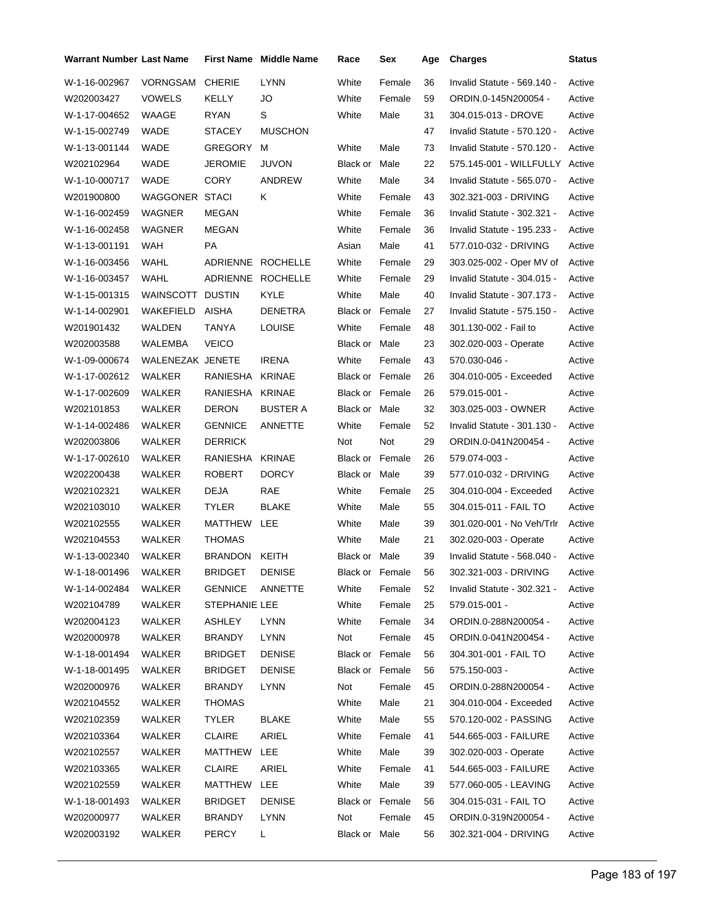| <b>Warrant Number Last Name</b> |                  |                 | First Name Middle Name | Race                   | Sex             | Age | <b>Charges</b>              | <b>Status</b> |
|---------------------------------|------------------|-----------------|------------------------|------------------------|-----------------|-----|-----------------------------|---------------|
| W-1-16-002967                   | <b>VORNGSAM</b>  | <b>CHERIE</b>   | <b>LYNN</b>            | White                  | Female          | 36  | Invalid Statute - 569.140 - | Active        |
| W202003427                      | <b>VOWELS</b>    | <b>KELLY</b>    | JO                     | White                  | Female          | 59  | ORDIN.0-145N200054 -        | Active        |
| W-1-17-004652                   | WAAGE            | RYAN            | S                      | White                  | Male            | 31  | 304.015-013 - DROVE         | Active        |
| W-1-15-002749                   | WADE             | STACEY          | <b>MUSCHON</b>         |                        |                 | 47  | Invalid Statute - 570.120 - | Active        |
| W-1-13-001144                   | WADE             | GREGORY         | м                      | White                  | Male            | 73  | Invalid Statute - 570.120 - | Active        |
| W202102964                      | WADE             | <b>JEROMIE</b>  | <b>JUVON</b>           | Black or               | Male            | 22  | 575.145-001 - WILLFULLY     | Active        |
| W-1-10-000717                   | <b>WADE</b>      | <b>CORY</b>     | ANDREW                 | White                  | Male            | 34  | Invalid Statute - 565.070 - | Active        |
| W201900800                      | WAGGONER STACI   |                 | Κ                      | White                  | Female          | 43  | 302.321-003 - DRIVING       | Active        |
| W-1-16-002459                   | WAGNER           | MEGAN           |                        | White                  | Female          | 36  | Invalid Statute - 302.321 - | Active        |
| W-1-16-002458                   | WAGNER           | MEGAN           |                        | White                  | Female          | 36  | Invalid Statute - 195.233 - | Active        |
| W-1-13-001191                   | WAH              | PA              |                        | Asian                  | Male            | 41  | 577.010-032 - DRIVING       | Active        |
| W-1-16-003456                   | WAHL             |                 | ADRIENNE ROCHELLE      | White                  | Female          | 29  | 303.025-002 - Oper MV of    | Active        |
| W-1-16-003457                   | WAHL             |                 | ADRIENNE ROCHELLE      | White                  | Female          | 29  | Invalid Statute - 304.015 - | Active        |
| W-1-15-001315                   | WAINSCOTT DUSTIN |                 | KYLE                   | White                  | Male            | 40  | Invalid Statute - 307.173 - | Active        |
| W-1-14-002901                   | WAKEFIELD        | AISHA           | <b>DENETRA</b>         | Black or Female        |                 | 27  | Invalid Statute - 575.150 - | Active        |
| W201901432                      | WALDEN           | TANYA           | <b>LOUISE</b>          | White                  | Female          | 48  | 301.130-002 - Fail to       | Active        |
| W202003588                      | WALEMBA          | <b>VEICO</b>    |                        | Black or Male          |                 | 23  | 302.020-003 - Operate       | Active        |
| W-1-09-000674                   | WALENEZAK JENETE |                 | <b>IRENA</b>           | White                  | Female          | 43  | 570.030-046 -               | Active        |
| W-1-17-002612                   | WALKER           | RANIESHA        | <b>KRINAE</b>          | <b>Black or Female</b> |                 | 26  | 304.010-005 - Exceeded      | Active        |
| W-1-17-002609                   | WALKER           | RANIESHA KRINAE |                        | Black or Female        |                 | 26  | 579.015-001 -               | Active        |
| W202101853                      | WALKER           | <b>DERON</b>    | <b>BUSTER A</b>        | Black or Male          |                 | 32  | 303.025-003 - OWNER         | Active        |
| W-1-14-002486                   | WALKER           | <b>GENNICE</b>  | ANNETTE                | White                  | Female          | 52  | Invalid Statute - 301.130 - | Active        |
| W202003806                      | WALKER           | <b>DERRICK</b>  |                        | Not                    | Not             | 29  | ORDIN.0-041N200454 -        | Active        |
| W-1-17-002610                   | WALKER           | RANIESHA        | <b>KRINAE</b>          | <b>Black or Female</b> |                 | 26  | 579.074-003 -               | Active        |
| W202200438                      | WALKER           | <b>ROBERT</b>   | <b>DORCY</b>           | Black or Male          |                 | 39  | 577.010-032 - DRIVING       | Active        |
| W202102321                      | WALKER           | <b>DEJA</b>     | <b>RAE</b>             | White                  | Female          | 25  | 304.010-004 - Exceeded      | Active        |
| W202103010                      | WALKER           | TYLER           | <b>BLAKE</b>           | White                  | Male            | 55  | 304.015-011 - FAIL TO       | Active        |
| W202102555                      | WALKER           | MATTHEW         | LEE                    | White                  | Male            | 39  | 301.020-001 - No Veh/Trlr   | Active        |
| W202104553                      | WALKER           | <b>THOMAS</b>   |                        | White                  | Male            | 21  | 302.020-003 - Operate       | Active        |
| W-1-13-002340                   | WALKER           | BRANDON         | <b>KEITH</b>           | Black or Male          |                 | 39  | Invalid Statute - 568.040 - | Active        |
| W-1-18-001496 WALKER            |                  | <b>BRIDGET</b>  | <b>DENISE</b>          |                        | Black or Female | 56  | 302.321-003 - DRIVING       | Active        |
| W-1-14-002484                   | WALKER           | <b>GENNICE</b>  | ANNETTE                | White                  | Female          | 52  | Invalid Statute - 302.321 - | Active        |
| W202104789                      | WALKER           | STEPHANIE LEE   |                        | White                  | Female          | 25  | 579.015-001 -               | Active        |
| W202004123                      | WALKER           | <b>ASHLEY</b>   | LYNN                   | White                  | Female          | 34  | ORDIN.0-288N200054 -        | Active        |
| W202000978                      | WALKER           | <b>BRANDY</b>   | <b>LYNN</b>            | Not                    | Female          | 45  | ORDIN.0-041N200454 -        | Active        |
| W-1-18-001494                   | <b>WALKER</b>    | <b>BRIDGET</b>  | <b>DENISE</b>          | Black or Female        |                 | 56  | 304.301-001 - FAIL TO       | Active        |
| W-1-18-001495                   | WALKER           | <b>BRIDGET</b>  | <b>DENISE</b>          | Black or Female        |                 | 56  | 575.150-003 -               | Active        |
| W202000976                      | WALKER           | <b>BRANDY</b>   | LYNN                   | Not                    | Female          | 45  | ORDIN.0-288N200054 -        | Active        |
| W202104552                      | WALKER           | <b>THOMAS</b>   |                        | White                  | Male            | 21  | 304.010-004 - Exceeded      | Active        |
| W202102359                      | WALKER           | <b>TYLER</b>    | <b>BLAKE</b>           | White                  | Male            | 55  | 570.120-002 - PASSING       | Active        |
| W202103364                      | WALKER           | CLAIRE          | ARIEL                  | White                  | Female          | 41  | 544.665-003 - FAILURE       | Active        |
| W202102557                      | WALKER           | MATTHEW         | LEE                    | White                  | Male            | 39  | 302.020-003 - Operate       | Active        |
| W202103365                      | WALKER           | CLAIRE          | ARIEL                  | White                  | Female          | 41  | 544.665-003 - FAILURE       | Active        |
| W202102559                      | WALKER           | MATTHEW         | LEE                    | White                  | Male            | 39  | 577.060-005 - LEAVING       | Active        |
| W-1-18-001493                   | WALKER           | <b>BRIDGET</b>  | <b>DENISE</b>          | Black or Female        |                 | 56  | 304.015-031 - FAIL TO       | Active        |
| W202000977                      | WALKER           | <b>BRANDY</b>   | <b>LYNN</b>            | Not                    | Female          | 45  | ORDIN.0-319N200054 -        | Active        |
| W202003192                      | WALKER           | <b>PERCY</b>    | L.                     | Black or Male          |                 | 56  | 302.321-004 - DRIVING       | Active        |
|                                 |                  |                 |                        |                        |                 |     |                             |               |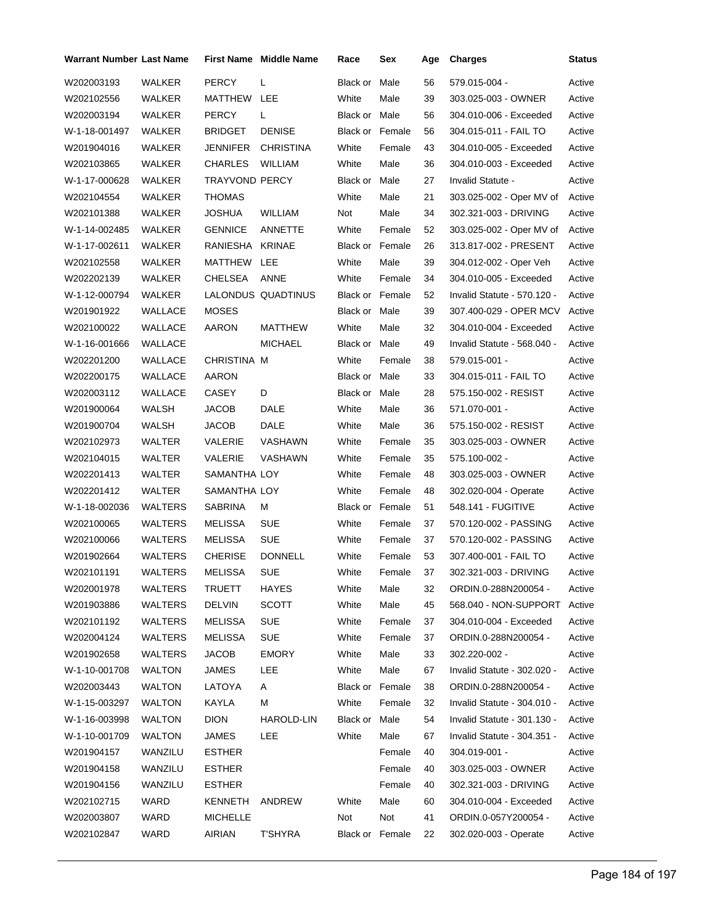| <b>Warrant Number Last Name</b> |                |                 | <b>First Name Middle Name</b> | Race                   | Sex    | Age | <b>Charges</b>              | Status |
|---------------------------------|----------------|-----------------|-------------------------------|------------------------|--------|-----|-----------------------------|--------|
| W202003193                      | WALKER         | <b>PERCY</b>    | Г                             | Black or               | Male   | 56  | 579.015-004 -               | Active |
| W202102556                      | WALKER         | MATTHEW         | LEE                           | White                  | Male   | 39  | 303.025-003 - OWNER         | Active |
| W202003194                      | WALKER         | <b>PERCY</b>    | L                             | <b>Black or Male</b>   |        | 56  | 304.010-006 - Exceeded      | Active |
| W-1-18-001497                   | WALKER         | <b>BRIDGET</b>  | <b>DENISE</b>                 | <b>Black or Female</b> |        | 56  | 304.015-011 - FAIL TO       | Active |
| W201904016                      | WALKER         | JENNIFER        | <b>CHRISTINA</b>              | White                  | Female | 43  | 304.010-005 - Exceeded      | Active |
| W202103865                      | WALKER         | <b>CHARLES</b>  | <b>WILLIAM</b>                | White                  | Male   | 36  | 304.010-003 - Exceeded      | Active |
| W-1-17-000628                   | WALKER         | TRAYVOND PERCY  |                               | Black or               | Male   | 27  | Invalid Statute -           | Active |
| W202104554                      | WALKER         | <b>THOMAS</b>   |                               | White                  | Male   | 21  | 303.025-002 - Oper MV of    | Active |
| W202101388                      | WALKER         | <b>JOSHUA</b>   | <b>WILLIAM</b>                | Not                    | Male   | 34  | 302.321-003 - DRIVING       | Active |
| W-1-14-002485                   | WALKER         | <b>GENNICE</b>  | ANNETTE                       | White                  | Female | 52  | 303.025-002 - Oper MV of    | Active |
| W-1-17-002611                   | WALKER         | RANIESHA KRINAE |                               | <b>Black or Female</b> |        | 26  | 313.817-002 - PRESENT       | Active |
| W202102558                      | WALKER         | MATTHEW LEE     |                               | White                  | Male   | 39  | 304.012-002 - Oper Veh      | Active |
| W202202139                      | WALKER         | <b>CHELSEA</b>  | ANNE                          | White                  | Female | 34  | 304.010-005 - Exceeded      | Active |
| W-1-12-000794                   | WALKER         |                 | LALONDUS QUADTINUS            | Black or Female        |        | 52  | Invalid Statute - 570.120 - | Active |
| W201901922                      | WALLACE        | <b>MOSES</b>    |                               | Black or Male          |        | 39  | 307.400-029 - OPER MCV      | Active |
| W202100022                      | WALLACE        | <b>AARON</b>    | MATTHEW                       | White                  | Male   | 32  | 304.010-004 - Exceeded      | Active |
| W-1-16-001666                   | WALLACE        |                 | <b>MICHAEL</b>                | Black or Male          |        | 49  | Invalid Statute - 568.040 - | Active |
| W202201200                      | WALLACE        | CHRISTINA M     |                               | White                  | Female | 38  | 579.015-001 -               | Active |
| W202200175                      | <b>WALLACE</b> | AARON           |                               | Black or Male          |        | 33  | 304.015-011 - FAIL TO       | Active |
| W202003112                      | WALLACE        | <b>CASEY</b>    | D                             | Black or Male          |        | 28  | 575.150-002 - RESIST        | Active |
| W201900064                      | WALSH          | <b>JACOB</b>    | DALE                          | White                  | Male   | 36  | 571.070-001 -               | Active |
| W201900704                      | WALSH          | JACOB           | DALE                          | White                  | Male   | 36  | 575.150-002 - RESIST        | Active |
| W202102973                      | WALTER         | <b>VALERIE</b>  | VASHAWN                       | White                  | Female | 35  | 303.025-003 - OWNER         | Active |
| W202104015                      | WALTER         | VALERIE         | VASHAWN                       | White                  | Female | 35  | 575.100-002 -               | Active |
| W202201413                      | WALTER         | SAMANTHA LOY    |                               | White                  | Female | 48  | 303.025-003 - OWNER         | Active |
| W202201412                      | WALTER         | SAMANTHA LOY    |                               | White                  | Female | 48  | 302.020-004 - Operate       | Active |
| W-1-18-002036                   | WALTERS        | <b>SABRINA</b>  | М                             | Black or Female        |        | 51  | 548.141 - FUGITIVE          | Active |
| W202100065                      | WALTERS        | MELISSA         | <b>SUE</b>                    | White                  | Female | 37  | 570.120-002 - PASSING       | Active |
| W202100066                      | WALTERS        | MELISSA         | <b>SUE</b>                    | White                  | Female | 37  | 570.120-002 - PASSING       | Active |
| W201902664                      | WALTERS        | <b>CHERISE</b>  | <b>DONNELL</b>                | White                  | Female | 53  | 307.400-001 - FAIL TO       | Active |
| W202101191                      | WALTERS        | <b>MELISSA</b>  | SUE                           | White                  | Female | 37  | 302.321-003 - DRIVING       | Active |
| W202001978                      | WALTERS        | <b>TRUETT</b>   | <b>HAYES</b>                  | White                  | Male   | 32  | ORDIN.0-288N200054 -        | Active |
| W201903886                      | WALTERS        | DELVIN          | <b>SCOTT</b>                  | White                  | Male   | 45  | 568.040 - NON-SUPPORT       | Active |
| W202101192                      | WALTERS        | MELISSA         | <b>SUE</b>                    | White                  | Female | 37  | 304.010-004 - Exceeded      | Active |
| W202004124                      | WALTERS        | <b>MELISSA</b>  | SUE                           | White                  | Female | 37  | ORDIN.0-288N200054 -        | Active |
| W201902658                      | WALTERS        | JACOB           | <b>EMORY</b>                  | White                  | Male   | 33  | 302.220-002 -               | Active |
| W-1-10-001708                   | <b>WALTON</b>  | <b>JAMES</b>    | LEE                           | White                  | Male   | 67  | Invalid Statute - 302.020 - | Active |
| W202003443                      | <b>WALTON</b>  | LATOYA          | A                             | Black or Female        |        | 38  | ORDIN.0-288N200054 -        | Active |
| W-1-15-003297                   | WALTON         | KAYLA           | Μ                             | White                  | Female | 32  | Invalid Statute - 304.010 - | Active |
| W-1-16-003998                   | <b>WALTON</b>  | <b>DION</b>     | HAROLD-LIN                    | Black or Male          |        | 54  | Invalid Statute - 301.130 - | Active |
| W-1-10-001709                   | <b>WALTON</b>  | JAMES           | LEE                           | White                  | Male   | 67  | Invalid Statute - 304.351 - | Active |
| W201904157                      | WANZILU        | <b>ESTHER</b>   |                               |                        | Female | 40  | 304.019-001 -               | Active |
| W201904158                      | WANZILU        | <b>ESTHER</b>   |                               |                        | Female | 40  | 303.025-003 - OWNER         | Active |
| W201904156                      | WANZILU        | <b>ESTHER</b>   |                               |                        | Female | 40  | 302.321-003 - DRIVING       | Active |
| W202102715                      | WARD           | KENNETH         | ANDREW                        | White                  | Male   | 60  | 304.010-004 - Exceeded      | Active |
| W202003807                      | WARD           | <b>MICHELLE</b> |                               | Not                    | Not    | 41  | ORDIN.0-057Y200054 -        | Active |
| W202102847                      | WARD           | AIRIAN          | <b>T'SHYRA</b>                | Black or Female        |        | 22  | 302.020-003 - Operate       | Active |
|                                 |                |                 |                               |                        |        |     |                             |        |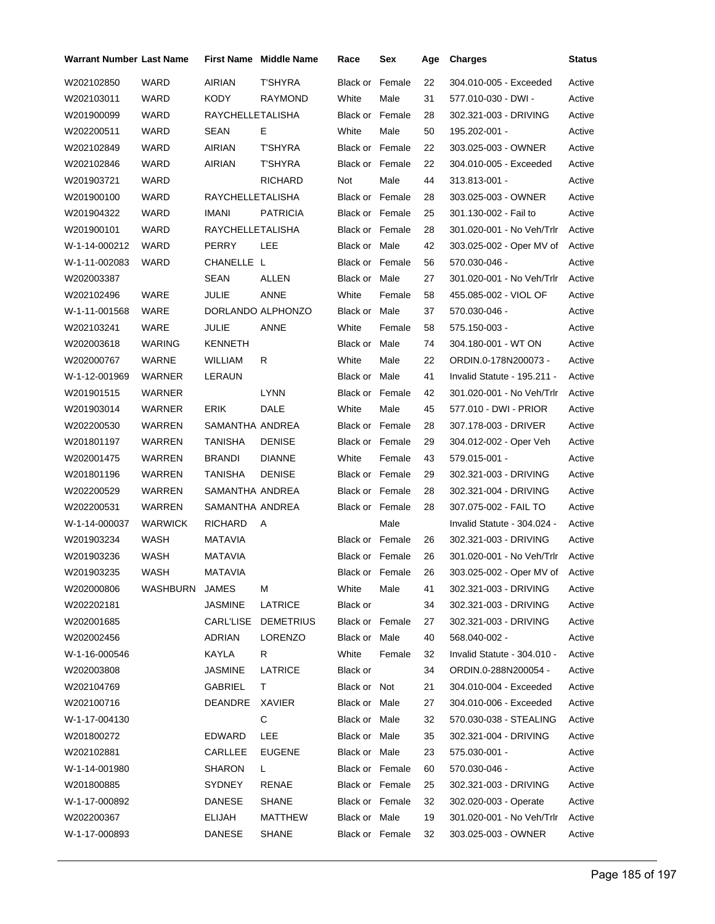| Warrant Number Last Name |                |                  | <b>First Name Middle Name</b> | Race                   | Sex    | Age | <b>Charges</b>                  | <b>Status</b> |
|--------------------------|----------------|------------------|-------------------------------|------------------------|--------|-----|---------------------------------|---------------|
| W202102850               | WARD           | AIRIAN           | <b>T'SHYRA</b>                | Black or               | Female | 22  | 304.010-005 - Exceeded          | Active        |
| W202103011               | WARD           | KODY             | <b>RAYMOND</b>                | White                  | Male   | 31  | 577.010-030 - DWI -             | Active        |
| W201900099               | <b>WARD</b>    | RAYCHELLETALISHA |                               | Black or Female        |        | 28  | 302.321-003 - DRIVING           | Active        |
| W202200511               | WARD           | SEAN             | E                             | White                  | Male   | 50  | 195.202-001 -                   | Active        |
| W202102849               | WARD           | AIRIAN           | <b>T'SHYRA</b>                | <b>Black or Female</b> |        | 22  | 303.025-003 - OWNER             | Active        |
| W202102846               | WARD           | AIRIAN           | <b>T'SHYRA</b>                | <b>Black or Female</b> |        | 22  | 304.010-005 - Exceeded          | Active        |
| W201903721               | WARD           |                  | <b>RICHARD</b>                | Not                    | Male   | 44  | 313.813-001 -                   | Active        |
| W201900100               | WARD           | RAYCHELLETALISHA |                               | <b>Black or Female</b> |        | 28  | 303.025-003 - OWNER             | Active        |
| W201904322               | WARD           | IMANI            | <b>PATRICIA</b>               | <b>Black or Female</b> |        | 25  | 301.130-002 - Fail to           | Active        |
| W201900101               | WARD           | RAYCHELLETALISHA |                               | <b>Black or Female</b> |        | 28  | 301.020-001 - No Veh/Trlr       | Active        |
| W-1-14-000212            | WARD           | PERRY            | <b>LEE</b>                    | Black or Male          |        | 42  | 303.025-002 - Oper MV of        | Active        |
| W-1-11-002083            | WARD           | CHANELLE L       |                               | Black or Female        |        | 56  | 570.030-046 -                   | Active        |
| W202003387               |                | <b>SEAN</b>      | ALLEN                         | Black or Male          |        | 27  | 301.020-001 - No Veh/Trlr       | Active        |
| W202102496               | WARE           | <b>JULIE</b>     | ANNE                          | White                  | Female | 58  | 455.085-002 - VIOL OF           | Active        |
| W-1-11-001568            | WARE           |                  | DORLANDO ALPHONZO             | Black or Male          |        | 37  | 570.030-046 -                   | Active        |
| W202103241               | WARE           | <b>JULIE</b>     | ANNE                          | White                  | Female | 58  | 575.150-003 -                   | Active        |
| W202003618               | WARING         | KENNETH          |                               | Black or Male          |        | 74  | 304.180-001 - WT ON             | Active        |
| W202000767               | WARNE          | WILLIAM          | R                             | White                  | Male   | 22  | ORDIN.0-178N200073 -            | Active        |
| W-1-12-001969            | WARNER         | LERAUN           |                               | Black or Male          |        | 41  | Invalid Statute - 195.211 -     | Active        |
| W201901515               | WARNER         |                  | <b>LYNN</b>                   | Black or Female        |        | 42  | 301.020-001 - No Veh/Trlr       | Active        |
| W201903014               | WARNER         | <b>ERIK</b>      | DALE                          | White                  | Male   | 45  | 577.010 - DWI - PRIOR           | Active        |
| W202200530               | WARREN         | SAMANTHA ANDREA  |                               | <b>Black or Female</b> |        | 28  | 307.178-003 - DRIVER            | Active        |
| W201801197               | WARREN         | TANISHA          | <b>DENISE</b>                 | <b>Black or Female</b> |        | 29  | 304.012-002 - Oper Veh          | Active        |
| W202001475               | WARREN         | <b>BRANDI</b>    | <b>DIANNE</b>                 | White                  | Female | 43  | 579.015-001 -                   | Active        |
| W201801196               | WARREN         | TANISHA          | <b>DENISE</b>                 | Black or Female        |        | 29  | 302.321-003 - DRIVING           | Active        |
| W202200529               | WARREN         | SAMANTHA ANDREA  |                               | Black or Female        |        | 28  | 302.321-004 - DRIVING           | Active        |
| W202200531               | WARREN         | SAMANTHA ANDREA  |                               | Black or Female        |        | 28  | 307.075-002 - FAIL TO           | Active        |
| W-1-14-000037            | <b>WARWICK</b> | <b>RICHARD</b>   | A                             |                        | Male   |     | Invalid Statute - 304.024 -     | Active        |
| W201903234               | <b>WASH</b>    | MATAVIA          |                               | <b>Black or Female</b> |        | 26  | 302.321-003 - DRIVING           | Active        |
| W201903236               | WASH           | MATAVIA          |                               | Black or Female        |        | 26  | 301.020-001 - No Veh/Trlr       | Active        |
| W201903235               | WASH           | <b>MATAVIA</b>   |                               | Black or Female        |        | 26  | 303.025-002 - Oper MV of Active |               |
| W202000806               | WASHBURN       | JAMES            | м                             | White                  | Male   | 41  | 302.321-003 - DRIVING           | Active        |
| W202202181               |                | <b>JASMINE</b>   | LATRICE                       | Black or               |        | 34  | 302.321-003 - DRIVING           | Active        |
| W202001685               |                | CARL'LISE        | <b>DEMETRIUS</b>              | <b>Black or Female</b> |        | 27  | 302.321-003 - DRIVING           | Active        |
| W202002456               |                | <b>ADRIAN</b>    | <b>LORENZO</b>                | Black or Male          |        | 40  | 568.040-002 -                   | Active        |
| W-1-16-000546            |                | KAYLA            | R                             | White                  | Female | 32  | Invalid Statute - 304.010 -     | Active        |
| W202003808               |                | JASMINE          | LATRICE                       | Black or               |        | 34  | ORDIN.0-288N200054 -            | Active        |
| W202104769               |                | GABRIEL          | T.                            | Black or Not           |        | 21  | 304.010-004 - Exceeded          | Active        |
| W202100716               |                | DEANDRE          | XAVIER                        | Black or Male          |        | 27  | 304.010-006 - Exceeded          | Active        |
| W-1-17-004130            |                |                  | C                             | Black or Male          |        | 32  | 570.030-038 - STEALING          | Active        |
| W201800272               |                | <b>EDWARD</b>    | <b>LEE</b>                    | Black or Male          |        | 35  | 302.321-004 - DRIVING           | Active        |
| W202102881               |                | CARLLEE          | <b>EUGENE</b>                 | Black or Male          |        | 23  | 575.030-001 -                   | Active        |
| W-1-14-001980            |                | <b>SHARON</b>    | L.                            | Black or Female        |        | 60  | 570.030-046 -                   | Active        |
| W201800885               |                | SYDNEY           | RENAE                         | Black or Female        |        | 25  | 302.321-003 - DRIVING           | Active        |
| W-1-17-000892            |                | DANESE           | <b>SHANE</b>                  | Black or Female        |        | 32  | 302.020-003 - Operate           | Active        |
| W202200367               |                | <b>ELIJAH</b>    | MATTHEW                       | Black or Male          |        | 19  | 301.020-001 - No Veh/Trlr       | Active        |
| W-1-17-000893            |                | <b>DANESE</b>    | <b>SHANE</b>                  | Black or Female        |        | 32  | 303.025-003 - OWNER             | Active        |
|                          |                |                  |                               |                        |        |     |                                 |               |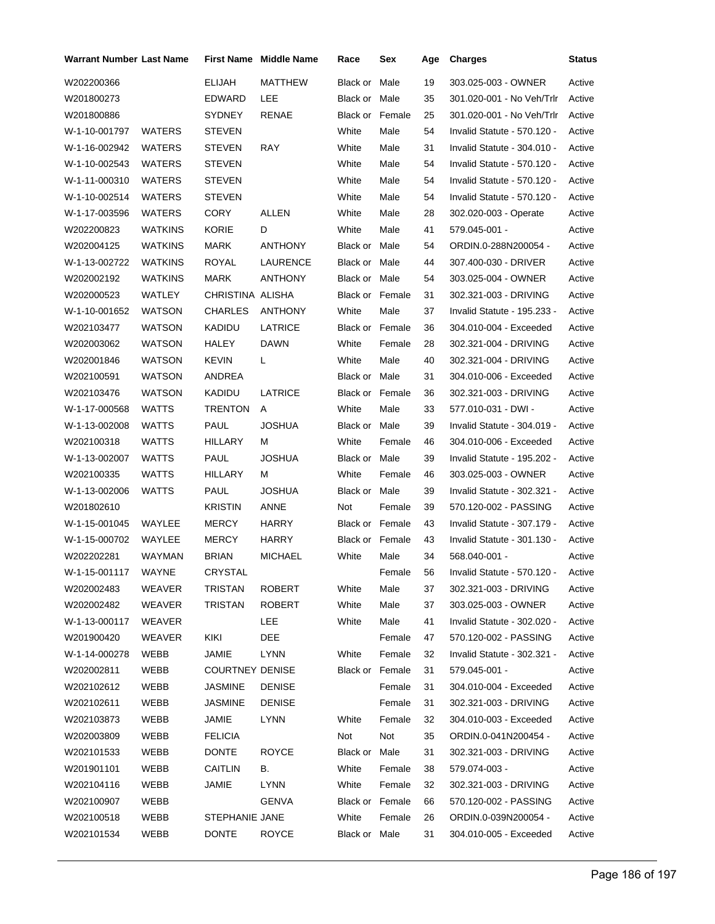| <b>Warrant Number Last Name</b> |                |                        | <b>First Name</b> Middle Name | Race                   | Sex    | Age | <b>Charges</b>              | <b>Status</b> |
|---------------------------------|----------------|------------------------|-------------------------------|------------------------|--------|-----|-----------------------------|---------------|
| W202200366                      |                | <b>ELIJAH</b>          | <b>MATTHEW</b>                | Black or               | Male   | 19  | 303.025-003 - OWNER         | Active        |
| W201800273                      |                | EDWARD                 | LEE                           | Black or Male          |        | 35  | 301.020-001 - No Veh/Trlr   | Active        |
| W201800886                      |                | <b>SYDNEY</b>          | RENAE                         | Black or Female        |        | 25  | 301.020-001 - No Veh/Trlr   | Active        |
| W-1-10-001797                   | WATERS         | <b>STEVEN</b>          |                               | White                  | Male   | 54  | Invalid Statute - 570.120 - | Active        |
| W-1-16-002942                   | WATERS         | <b>STEVEN</b>          | <b>RAY</b>                    | White                  | Male   | 31  | Invalid Statute - 304.010 - | Active        |
| W-1-10-002543                   | WATERS         | <b>STEVEN</b>          |                               | White                  | Male   | 54  | Invalid Statute - 570.120 - | Active        |
| W-1-11-000310                   | WATERS         | <b>STEVEN</b>          |                               | White                  | Male   | 54  | Invalid Statute - 570.120 - | Active        |
| W-1-10-002514                   | WATERS         | <b>STEVEN</b>          |                               | White                  | Male   | 54  | Invalid Statute - 570.120 - | Active        |
| W-1-17-003596                   | WATERS         | <b>CORY</b>            | ALLEN                         | White                  | Male   | 28  | 302.020-003 - Operate       | Active        |
| W202200823                      | WATKINS        | <b>KORIE</b>           | D                             | White                  | Male   | 41  | 579.045-001 -               | Active        |
| W202004125                      | WATKINS        | MARK                   | ANTHONY                       | Black or Male          |        | 54  | ORDIN.0-288N200054 -        | Active        |
| W-1-13-002722                   | WATKINS        | ROYAL                  | LAURENCE                      | Black or Male          |        | 44  | 307.400-030 - DRIVER        | Active        |
| W202002192                      | <b>WATKINS</b> | MARK                   | <b>ANTHONY</b>                | Black or Male          |        | 54  | 303.025-004 - OWNER         | Active        |
| W202000523                      | <b>WATLEY</b>  | CHRISTINA ALISHA       |                               | <b>Black or Female</b> |        | 31  | 302.321-003 - DRIVING       | Active        |
| W-1-10-001652                   | WATSON         | <b>CHARLES</b>         | <b>ANTHONY</b>                | White                  | Male   | 37  | Invalid Statute - 195.233 - | Active        |
| W202103477                      | <b>WATSON</b>  | KADIDU                 | LATRICE                       | Black or Female        |        | 36  | 304.010-004 - Exceeded      | Active        |
| W202003062                      | <b>WATSON</b>  | <b>HALEY</b>           | <b>DAWN</b>                   | White                  | Female | 28  | 302.321-004 - DRIVING       | Active        |
| W202001846                      | WATSON         | <b>KEVIN</b>           | L                             | White                  | Male   | 40  | 302.321-004 - DRIVING       | Active        |
| W202100591                      | WATSON         | ANDREA                 |                               | Black or Male          |        | 31  | 304.010-006 - Exceeded      | Active        |
| W202103476                      | WATSON         | KADIDU                 | LATRICE                       | <b>Black or Female</b> |        | 36  | 302.321-003 - DRIVING       | Active        |
| W-1-17-000568                   | WATTS          | <b>TRENTON</b>         | A                             | White                  | Male   | 33  | 577.010-031 - DWI -         | Active        |
| W-1-13-002008                   | WATTS          | PAUL                   | <b>JOSHUA</b>                 | Black or Male          |        | 39  | Invalid Statute - 304.019 - | Active        |
| W202100318                      | WATTS          | HILLARY                | м                             | White                  | Female | 46  | 304.010-006 - Exceeded      | Active        |
| W-1-13-002007                   | WATTS          | PAUL                   | <b>JOSHUA</b>                 | Black or Male          |        | 39  | Invalid Statute - 195.202 - | Active        |
| W202100335                      | WATTS          | HILLARY                | м                             | White                  | Female | 46  | 303.025-003 - OWNER         | Active        |
| W-1-13-002006                   | <b>WATTS</b>   | PAUL                   | <b>JOSHUA</b>                 | Black or Male          |        | 39  | Invalid Statute - 302.321 - | Active        |
| W201802610                      |                | <b>KRISTIN</b>         | ANNE                          | Not                    | Female | 39  | 570.120-002 - PASSING       | Active        |
| W-1-15-001045                   | WAYLEE         | <b>MERCY</b>           | <b>HARRY</b>                  | Black or Female        |        | 43  | Invalid Statute - 307.179 - | Active        |
| W-1-15-000702                   | WAYLEE         | MERCY                  | HARRY                         | Black or Female        |        | 43  | Invalid Statute - 301.130 - | Active        |
| W202202281                      | WAYMAN         | <b>BRIAN</b>           | <b>MICHAEL</b>                | White                  | Male   | 34  | 568.040-001 -               | Active        |
| W-1-15-001117                   | WAYNE          | <b>CRYSTAL</b>         |                               |                        | Female | 56  | Invalid Statute - 570.120 - | Active        |
| W202002483                      | WEAVER         | TRISTAN                | ROBERT                        | White                  | Male   | 37  | 302.321-003 - DRIVING       | Active        |
| W202002482                      | WEAVER         | <b>TRISTAN</b>         | ROBERT                        | White                  | Male   | 37  | 303.025-003 - OWNER         | Active        |
| W-1-13-000117                   | WEAVER         |                        | LEE                           | White                  | Male   | 41  | Invalid Statute - 302.020 - | Active        |
| W201900420                      | WEAVER         | KIKI                   | DEE                           |                        | Female | 47  | 570.120-002 - PASSING       | Active        |
| W-1-14-000278                   | WEBB           | JAMIE                  | <b>LYNN</b>                   | White                  | Female | 32  | Invalid Statute - 302.321 - | Active        |
| W202002811                      | WEBB           | <b>COURTNEY DENISE</b> |                               | Black or Female        |        | 31  | 579.045-001 -               | Active        |
| W202102612                      | WEBB           | <b>JASMINE</b>         | <b>DENISE</b>                 |                        | Female | 31  | 304.010-004 - Exceeded      | Active        |
| W202102611                      | WEBB           | <b>JASMINE</b>         | <b>DENISE</b>                 |                        | Female | 31  | 302.321-003 - DRIVING       | Active        |
| W202103873                      | WEBB           | JAMIE                  | <b>LYNN</b>                   | White                  | Female | 32  | 304.010-003 - Exceeded      | Active        |
| W202003809                      | WEBB           | <b>FELICIA</b>         |                               | Not                    | Not    | 35  | ORDIN.0-041N200454 -        | Active        |
| W202101533                      | WEBB           | <b>DONTE</b>           | <b>ROYCE</b>                  | Black or Male          |        | 31  | 302.321-003 - DRIVING       | Active        |
| W201901101                      | WEBB           | CAITLIN                | В.                            | White                  | Female | 38  | 579.074-003 -               | Active        |
| W202104116                      | WEBB           | JAMIE                  | <b>LYNN</b>                   | White                  | Female | 32  | 302.321-003 - DRIVING       | Active        |
| W202100907                      | WEBB           |                        | GENVA                         | Black or Female        |        | 66  | 570.120-002 - PASSING       | Active        |
| W202100518                      | WEBB           | STEPHANIE JANE         |                               | White                  | Female | 26  | ORDIN.0-039N200054 -        | Active        |
| W202101534                      | WEBB           | DONTE                  | <b>ROYCE</b>                  | Black or Male          |        | 31  | 304.010-005 - Exceeded      | Active        |
|                                 |                |                        |                               |                        |        |     |                             |               |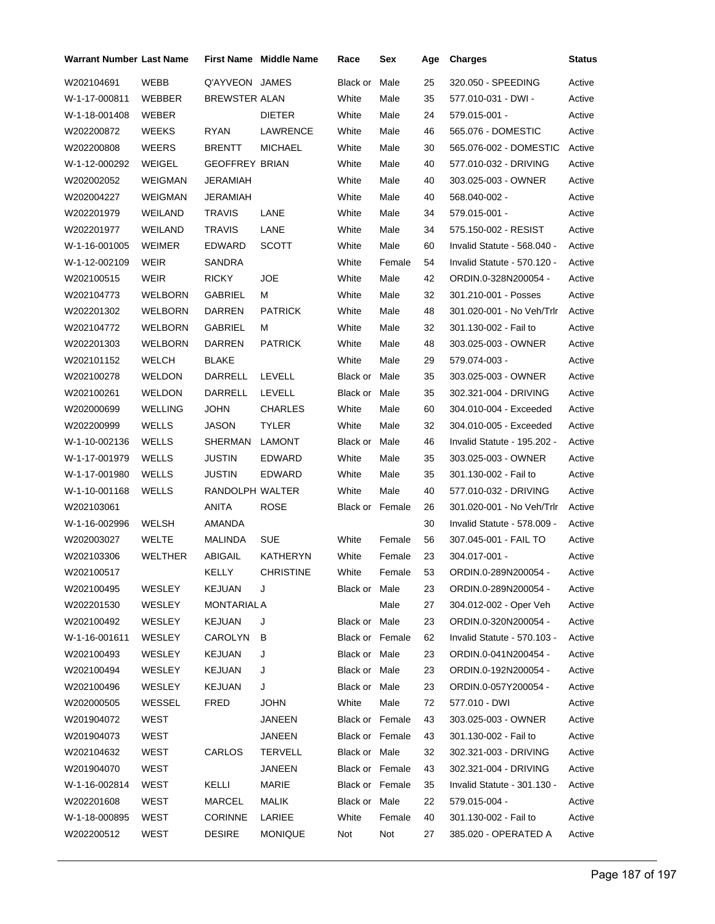| Warrant Number Last Name |                |                       | <b>First Name Middle Name</b> | Race            | Sex    | Age | <b>Charges</b>              | <b>Status</b> |
|--------------------------|----------------|-----------------------|-------------------------------|-----------------|--------|-----|-----------------------------|---------------|
| W202104691               | WEBB           | Q'AYVEON JAMES        |                               | Black or        | Male   | 25  | 320.050 - SPEEDING          | Active        |
| W-1-17-000811            | WEBBER         | <b>BREWSTER ALAN</b>  |                               | White           | Male   | 35  | 577.010-031 - DWI -         | Active        |
| W-1-18-001408            | WEBER          |                       | <b>DIETER</b>                 | White           | Male   | 24  | 579.015-001 -               | Active        |
| W202200872               | <b>WEEKS</b>   | RYAN                  | LAWRENCE                      | White           | Male   | 46  | 565.076 - DOMESTIC          | Active        |
| W202200808               | <b>WEERS</b>   | <b>BRENTT</b>         | <b>MICHAEL</b>                | White           | Male   | 30  | 565.076-002 - DOMESTIC      | Active        |
| W-1-12-000292            | WEIGEL         | <b>GEOFFREY BRIAN</b> |                               | White           | Male   | 40  | 577.010-032 - DRIVING       | Active        |
| W202002052               | <b>WEIGMAN</b> | JERAMIAH              |                               | White           | Male   | 40  | 303.025-003 - OWNER         | Active        |
| W202004227               | WEIGMAN        | JERAMIAH              |                               | White           | Male   | 40  | 568.040-002 -               | Active        |
| W202201979               | WEILAND        | <b>TRAVIS</b>         | LANE                          | White           | Male   | 34  | 579.015-001 -               | Active        |
| W202201977               | WEILAND        | <b>TRAVIS</b>         | LANE                          | White           | Male   | 34  | 575.150-002 - RESIST        | Active        |
| W-1-16-001005            | WEIMER         | EDWARD                | <b>SCOTT</b>                  | White           | Male   | 60  | Invalid Statute - 568.040 - | Active        |
| W-1-12-002109            | <b>WEIR</b>    | SANDRA                |                               | White           | Female | 54  | Invalid Statute - 570.120 - | Active        |
| W202100515               | WEIR           | <b>RICKY</b>          | <b>JOE</b>                    | White           | Male   | 42  | ORDIN.0-328N200054 -        | Active        |
| W202104773               | <b>WELBORN</b> | GABRIEL               | М                             | White           | Male   | 32  | 301.210-001 - Posses        | Active        |
| W202201302               | <b>WELBORN</b> | DARREN                | <b>PATRICK</b>                | White           | Male   | 48  | 301.020-001 - No Veh/Trlr   | Active        |
| W202104772               | <b>WELBORN</b> | GABRIEL               | М                             | White           | Male   | 32  | 301.130-002 - Fail to       | Active        |
| W202201303               | <b>WELBORN</b> | DARREN                | <b>PATRICK</b>                | White           | Male   | 48  | 303.025-003 - OWNER         | Active        |
| W202101152               | <b>WELCH</b>   | BLAKE                 |                               | White           | Male   | 29  | 579.074-003 -               | Active        |
| W202100278               | <b>WELDON</b>  | DARRELL               | <b>LEVELL</b>                 | Black or Male   |        | 35  | 303.025-003 - OWNER         | Active        |
| W202100261               | <b>WELDON</b>  | DARRELL               | LEVELL                        | Black or Male   |        | 35  | 302.321-004 - DRIVING       | Active        |
| W202000699               | <b>WELLING</b> | <b>JOHN</b>           | CHARLES                       | White           | Male   | 60  | 304.010-004 - Exceeded      | Active        |
| W202200999               | <b>WELLS</b>   | JASON                 | <b>TYLER</b>                  | White           | Male   | 32  | 304.010-005 - Exceeded      | Active        |
| W-1-10-002136            | WELLS          | SHERMAN               | <b>LAMONT</b>                 | Black or        | Male   | 46  | Invalid Statute - 195.202 - | Active        |
| W-1-17-001979            | WELLS          | JUSTIN                | EDWARD                        | White           | Male   | 35  | 303.025-003 - OWNER         | Active        |
| W-1-17-001980            | <b>WELLS</b>   | JUSTIN                | <b>EDWARD</b>                 | White           | Male   | 35  | 301.130-002 - Fail to       | Active        |
| W-1-10-001168            | WELLS          | RANDOLPH WALTER       |                               | White           | Male   | 40  | 577.010-032 - DRIVING       | Active        |
| W202103061               |                | <b>ANITA</b>          | ROSE                          | Black or Female |        | 26  | 301.020-001 - No Veh/Trlr   | Active        |
| W-1-16-002996            | WELSH          | AMANDA                |                               |                 |        | 30  | Invalid Statute - 578.009 - | Active        |
| W202003027               | WELTE          | MALINDA               | <b>SUE</b>                    | White           | Female | 56  | 307.045-001 - FAIL TO       | Active        |
| W202103306               | <b>WELTHER</b> | ABIGAIL               | KATHERYN                      | White           | Female | 23  | 304.017-001 -               | Active        |
| W202100517               |                | KELLY                 | <b>CHRISTINE</b>              | White           | Female | 53  | ORDIN.0-289N200054 -        | Active        |
| W202100495               | WESLEY         | <b>KEJUAN</b>         | J                             | Black or Male   |        | 23  | ORDIN.0-289N200054 -        | Active        |
| W202201530               | WESLEY         | MONTARIAL A           |                               |                 | Male   | 27  | 304.012-002 - Oper Veh      | Active        |
| W202100492               | WESLEY         | <b>KEJUAN</b>         | J                             | Black or Male   |        | 23  | ORDIN.0-320N200054 -        | Active        |
| W-1-16-001611            | WESLEY         | CAROLYN               | B                             | Black or Female |        | 62  | Invalid Statute - 570.103 - | Active        |
| W202100493               | WESLEY         | <b>KEJUAN</b>         | J                             | Black or Male   |        | 23  | ORDIN.0-041N200454 -        | Active        |
| W202100494               | WESLEY         | KEJUAN                | J                             | Black or Male   |        | 23  | ORDIN.0-192N200054 -        | Active        |
| W202100496               | WESLEY         | KEJUAN                | J                             | Black or Male   |        | 23  | ORDIN.0-057Y200054 -        | Active        |
| W202000505               | WESSEL         | <b>FRED</b>           | JOHN                          | White           | Male   | 72  | 577.010 - DWI               | Active        |
| W201904072               | WEST           |                       | JANEEN                        | Black or Female |        | 43  | 303.025-003 - OWNER         | Active        |
| W201904073               | WEST           |                       | JANEEN                        | Black or Female |        | 43  | 301.130-002 - Fail to       | Active        |
| W202104632               | WEST           | CARLOS                | TERVELL                       | Black or Male   |        | 32  | 302.321-003 - DRIVING       | Active        |
| W201904070               | WEST           |                       | JANEEN                        | Black or Female |        | 43  | 302.321-004 - DRIVING       | Active        |
| W-1-16-002814            | WEST           | KELLI                 | MARIE                         | Black or Female |        | 35  | Invalid Statute - 301.130 - | Active        |
| W202201608               | WEST           | MARCEL                | MALIK                         | Black or Male   |        | 22  | 579.015-004 -               | Active        |
| W-1-18-000895            | WEST           | <b>CORINNE</b>        | LARIEE                        | White           | Female | 40  | 301.130-002 - Fail to       | Active        |
| W202200512               | WEST           | <b>DESIRE</b>         | <b>MONIQUE</b>                | Not             | Not    | 27  | 385.020 - OPERATED A        | Active        |
|                          |                |                       |                               |                 |        |     |                             |               |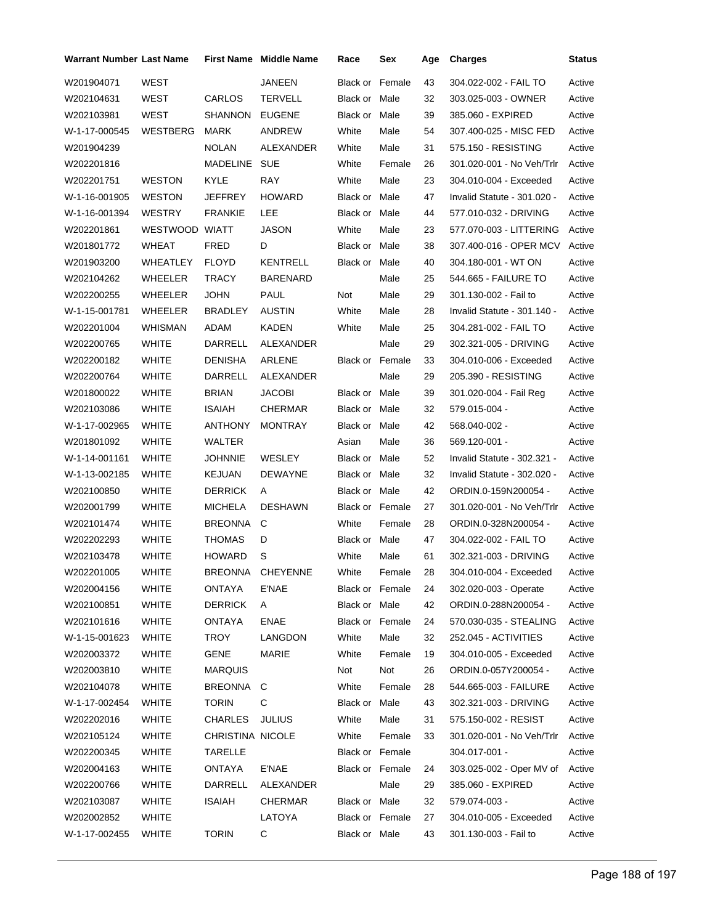| Warrant Number Last Name |                |                  | <b>First Name Middle Name</b> | Race                   | Sex    | Age | <b>Charges</b>                  | <b>Status</b> |
|--------------------------|----------------|------------------|-------------------------------|------------------------|--------|-----|---------------------------------|---------------|
| W201904071               | WEST           |                  | <b>JANEEN</b>                 | Black or               | Female | 43  | 304.022-002 - FAIL TO           | Active        |
| W202104631               | WEST           | CARLOS           | <b>TERVELL</b>                | Black or Male          |        | 32  | 303.025-003 - OWNER             | Active        |
| W202103981               | WEST           | SHANNON          | <b>EUGENE</b>                 | Black or Male          |        | 39  | 385.060 - EXPIRED               | Active        |
| W-1-17-000545            | WESTBERG       | <b>MARK</b>      | ANDREW                        | White                  | Male   | 54  | 307.400-025 - MISC FED          | Active        |
| W201904239               |                | <b>NOLAN</b>     | ALEXANDER                     | White                  | Male   | 31  | 575.150 - RESISTING             | Active        |
| W202201816               |                | MADELINE         | SUE                           | White                  | Female | 26  | 301.020-001 - No Veh/Trlr       | Active        |
| W202201751               | <b>WESTON</b>  | KYLE             | <b>RAY</b>                    | White                  | Male   | 23  | 304.010-004 - Exceeded          | Active        |
| W-1-16-001905            | <b>WESTON</b>  | <b>JEFFREY</b>   | <b>HOWARD</b>                 | Black or Male          |        | 47  | Invalid Statute - 301.020 -     | Active        |
| W-1-16-001394            | <b>WESTRY</b>  | <b>FRANKIE</b>   | LEE                           | Black or Male          |        | 44  | 577.010-032 - DRIVING           | Active        |
| W202201861               | WESTWOOD WIATT |                  | <b>JASON</b>                  | White                  | Male   | 23  | 577.070-003 - LITTERING         | Active        |
| W201801772               | <b>WHEAT</b>   | FRED             | D                             | Black or Male          |        | 38  | 307.400-016 - OPER MCV          | Active        |
| W201903200               | WHEATLEY       | <b>FLOYD</b>     | KENTRELL                      | Black or Male          |        | 40  | 304.180-001 - WT ON             | Active        |
| W202104262               | WHEELER        | <b>TRACY</b>     | <b>BARENARD</b>               |                        | Male   | 25  | 544.665 - FAILURE TO            | Active        |
| W202200255               | WHEELER        | <b>JOHN</b>      | PAUL                          | Not                    | Male   | 29  | 301.130-002 - Fail to           | Active        |
| W-1-15-001781            | WHEELER        | <b>BRADLEY</b>   | <b>AUSTIN</b>                 | White                  | Male   | 28  | Invalid Statute - 301.140 -     | Active        |
| W202201004               | WHISMAN        | ADAM             | KADEN                         | White                  | Male   | 25  | 304.281-002 - FAIL TO           | Active        |
| W202200765               | <b>WHITE</b>   | DARRELL          | ALEXANDER                     |                        | Male   | 29  | 302.321-005 - DRIVING           | Active        |
| W202200182               | <b>WHITE</b>   | <b>DENISHA</b>   | ARLENE                        | <b>Black or Female</b> |        | 33  | 304.010-006 - Exceeded          | Active        |
| W202200764               | <b>WHITE</b>   | DARRELL          | ALEXANDER                     |                        | Male   | 29  | 205.390 - RESISTING             | Active        |
| W201800022               | <b>WHITE</b>   | <b>BRIAN</b>     | <b>JACOBI</b>                 | Black or Male          |        | 39  | 301.020-004 - Fail Reg          | Active        |
| W202103086               | WHITE          | ISAIAH           | CHERMAR                       | Black or Male          |        | 32  | 579.015-004 -                   | Active        |
| W-1-17-002965            | <b>WHITE</b>   | ANTHONY          | <b>MONTRAY</b>                | Black or Male          |        | 42  | 568.040-002 -                   | Active        |
| W201801092               | <b>WHITE</b>   | WALTER           |                               | Asian                  | Male   | 36  | 569.120-001 -                   | Active        |
| W-1-14-001161            | <b>WHITE</b>   | JOHNNIE          | WESLEY                        | Black or Male          |        | 52  | Invalid Statute - 302.321 -     | Active        |
| W-1-13-002185            | <b>WHITE</b>   | <b>KEJUAN</b>    | <b>DEWAYNE</b>                | Black or Male          |        | 32  | Invalid Statute - 302.020 -     | Active        |
| W202100850               | <b>WHITE</b>   | <b>DERRICK</b>   | A                             | Black or Male          |        | 42  | ORDIN.0-159N200054 -            | Active        |
| W202001799               | WHITE          | MICHELA          | <b>DESHAWN</b>                | <b>Black or Female</b> |        | 27  | 301.020-001 - No Veh/Trlr       | Active        |
| W202101474               | <b>WHITE</b>   | BREONNA          | C                             | White                  | Female | 28  | ORDIN.0-328N200054 -            | Active        |
| W202202293               | <b>WHITE</b>   | THOMAS           | D                             | Black or Male          |        | 47  | 304.022-002 - FAIL TO           | Active        |
| W202103478               | <b>WHITE</b>   | <b>HOWARD</b>    | S                             | White                  | Male   | 61  | 302.321-003 - DRIVING           | Active        |
| W202201005               | <b>WHITE</b>   |                  | BREONNA CHEYENNE              | White                  | Female | 28  | 304.010-004 - Exceeded          | Active        |
| W202004156               | WHITE          | ONTAYA           | E'NAE                         | Black or Female        |        | 24  | 302.020-003 - Operate           | Active        |
| W202100851               | <b>WHITE</b>   | <b>DERRICK</b>   | A                             | Black or Male          |        | 42  | ORDIN.0-288N200054 -            | Active        |
| W202101616               | <b>WHITE</b>   | ONTAYA           | <b>ENAE</b>                   | Black or Female        |        | 24  | 570.030-035 - STEALING          | Active        |
| W-1-15-001623            | <b>WHITE</b>   | <b>TROY</b>      | LANGDON                       | White                  | Male   | 32  | 252.045 - ACTIVITIES            | Active        |
| W202003372               | <b>WHITE</b>   | <b>GENE</b>      | MARIE                         | White                  | Female | 19  | 304.010-005 - Exceeded          | Active        |
| W202003810               | WHITE          | <b>MARQUIS</b>   |                               | Not                    | Not    | 26  | ORDIN.0-057Y200054 -            | Active        |
| W202104078               | <b>WHITE</b>   | BREONNA C        |                               | White                  | Female | 28  | 544.665-003 - FAILURE           | Active        |
| W-1-17-002454            | <b>WHITE</b>   | <b>TORIN</b>     | С                             | Black or Male          |        | 43  | 302.321-003 - DRIVING           | Active        |
| W202202016               | WHITE          | <b>CHARLES</b>   | <b>JULIUS</b>                 | White                  | Male   | 31  | 575.150-002 - RESIST            | Active        |
| W202105124               | <b>WHITE</b>   | CHRISTINA NICOLE |                               | White                  | Female | 33  | 301.020-001 - No Veh/Trlr       | Active        |
| W202200345               | <b>WHITE</b>   | TARELLE          |                               | Black or Female        |        |     | 304.017-001 -                   | Active        |
| W202004163               | WHITE          | ONTAYA           | E'NAE                         | Black or Female        |        | 24  | 303.025-002 - Oper MV of Active |               |
| W202200766               | WHITE          | DARRELL          | ALEXANDER                     |                        | Male   | 29  | 385.060 - EXPIRED               | Active        |
| W202103087               | <b>WHITE</b>   | ISAIAH           | CHERMAR                       | Black or Male          |        | 32  | 579.074-003 -                   | Active        |
| W202002852               | WHITE          |                  | LATOYA                        | Black or Female        |        | 27  | 304.010-005 - Exceeded          | Active        |
| W-1-17-002455            | WHITE          | <b>TORIN</b>     | С                             | Black or Male          |        | 43  | 301.130-003 - Fail to           | Active        |
|                          |                |                  |                               |                        |        |     |                                 |               |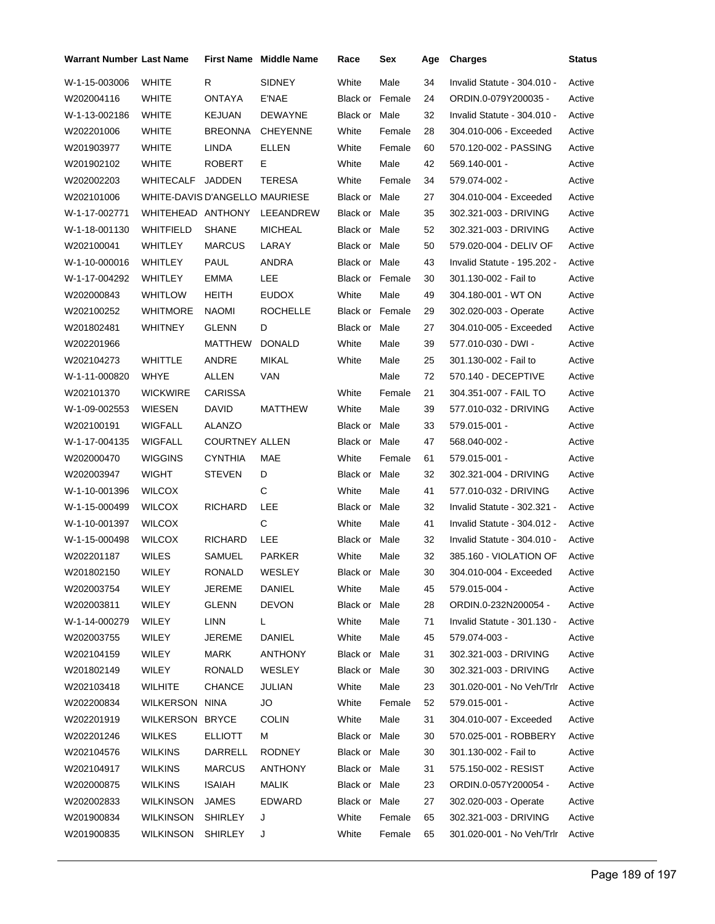| Warrant Number Last Name |                                |                       | <b>First Name Middle Name</b> | Race                   | Sex    | Age | <b>Charges</b>              | <b>Status</b> |
|--------------------------|--------------------------------|-----------------------|-------------------------------|------------------------|--------|-----|-----------------------------|---------------|
| W-1-15-003006            | <b>WHITE</b>                   | R.                    | <b>SIDNEY</b>                 | White                  | Male   | 34  | Invalid Statute - 304.010 - | Active        |
| W202004116               | WHITE                          | ONTAYA                | E'NAE                         | <b>Black or Female</b> |        | 24  | ORDIN.0-079Y200035 -        | Active        |
| W-1-13-002186            | WHITE                          | <b>KEJUAN</b>         | <b>DEWAYNE</b>                | Black or Male          |        | 32  | Invalid Statute - 304.010 - | Active        |
| W202201006               | <b>WHITE</b>                   | <b>BREONNA</b>        | <b>CHEYENNE</b>               | White                  | Female | 28  | 304.010-006 - Exceeded      | Active        |
| W201903977               | WHITE                          | LINDA                 | ELLEN                         | White                  | Female | 60  | 570.120-002 - PASSING       | Active        |
| W201902102               | WHITE                          | <b>ROBERT</b>         | Е                             | White                  | Male   | 42  | 569.140-001 -               | Active        |
| W202002203               | WHITECALF                      | JADDEN                | TERESA                        | White                  | Female | 34  | 579.074-002 -               | Active        |
| W202101006               | WHITE-DAVIS D'ANGELLO MAURIESE |                       |                               | Black or Male          |        | 27  | 304.010-004 - Exceeded      | Active        |
| W-1-17-002771            | WHITEHEAD ANTHONY              |                       | LEEANDREW                     | Black or Male          |        | 35  | 302.321-003 - DRIVING       | Active        |
| W-1-18-001130            | WHITFIELD                      | SHANE                 | <b>MICHEAL</b>                | Black or Male          |        | 52  | 302.321-003 - DRIVING       | Active        |
| W202100041               | WHITLEY                        | <b>MARCUS</b>         | LARAY                         | Black or Male          |        | 50  | 579.020-004 - DELIV OF      | Active        |
| W-1-10-000016            | WHITLEY                        | PAUL                  | ANDRA                         | Black or Male          |        | 43  | Invalid Statute - 195.202 - | Active        |
| W-1-17-004292            | <b>WHITLEY</b>                 | <b>EMMA</b>           | LEE                           | Black or Female        |        | 30  | 301.130-002 - Fail to       | Active        |
| W202000843               | <b>WHITLOW</b>                 | HEITH                 | <b>EUDOX</b>                  | White                  | Male   | 49  | 304.180-001 - WT ON         | Active        |
| W202100252               | WHITMORE                       | NAOMI                 | <b>ROCHELLE</b>               | Black or Female        |        | 29  | 302.020-003 - Operate       | Active        |
| W201802481               | <b>WHITNEY</b>                 | <b>GLENN</b>          | D                             | Black or Male          |        | 27  | 304.010-005 - Exceeded      | Active        |
| W202201966               |                                | MATTHEW               | <b>DONALD</b>                 | White                  | Male   | 39  | 577.010-030 - DWI -         | Active        |
| W202104273               | <b>WHITTLE</b>                 | ANDRE                 | <b>MIKAL</b>                  | White                  | Male   | 25  | 301.130-002 - Fail to       | Active        |
| W-1-11-000820            | WHYE                           | ALLEN                 | <b>VAN</b>                    |                        | Male   | 72  | 570.140 - DECEPTIVE         | Active        |
| W202101370               | <b>WICKWIRE</b>                | CARISSA               |                               | White                  | Female | 21  | 304.351-007 - FAIL TO       | Active        |
| W-1-09-002553            | WIESEN                         | DAVID                 | MATTHEW                       | White                  | Male   | 39  | 577.010-032 - DRIVING       | Active        |
| W202100191               | WIGFALL                        | ALANZO                |                               | Black or Male          |        | 33  | 579.015-001 -               | Active        |
| W-1-17-004135            | <b>WIGFALL</b>                 | <b>COURTNEY ALLEN</b> |                               | Black or Male          |        | 47  | 568.040-002 -               | Active        |
| W202000470               | WIGGINS                        | <b>CYNTHIA</b>        | MAE                           | White                  | Female | 61  | 579.015-001 -               | Active        |
| W202003947               | <b>WIGHT</b>                   | <b>STEVEN</b>         | D                             | Black or Male          |        | 32  | 302.321-004 - DRIVING       | Active        |
| W-1-10-001396            | <b>WILCOX</b>                  |                       | С                             | White                  | Male   | 41  | 577.010-032 - DRIVING       | Active        |
| W-1-15-000499            | <b>WILCOX</b>                  | <b>RICHARD</b>        | LEE                           | Black or Male          |        | 32  | Invalid Statute - 302.321 - | Active        |
| W-1-10-001397            | <b>WILCOX</b>                  |                       | C                             | White                  | Male   | 41  | Invalid Statute - 304.012 - | Active        |
| W-1-15-000498            | <b>WILCOX</b>                  | <b>RICHARD</b>        | LEE                           | Black or Male          |        | 32  | Invalid Statute - 304.010 - | Active        |
| W202201187               | <b>WILES</b>                   | SAMUEL                | <b>PARKER</b>                 | White                  | Male   | 32  | 385.160 - VIOLATION OF      | Active        |
| W201802150               | WILEY                          | RONALD                | WESLEY                        | Black or Male          |        | 30  | 304.010-004 - Exceeded      | Active        |
| W202003754               | <b>WILEY</b>                   | JEREME                | DANIEL                        | White                  | Male   | 45  | 579.015-004 -               | Active        |
| W202003811               | WILEY                          | <b>GLENN</b>          | <b>DEVON</b>                  | Black or Male          |        | 28  | ORDIN.0-232N200054 -        | Active        |
| W-1-14-000279            | WILEY                          | LINN                  | L.                            | White                  | Male   | 71  | Invalid Statute - 301.130 - | Active        |
| W202003755               | <b>WILEY</b>                   | JEREME                | DANIEL                        | White                  | Male   | 45  | 579.074-003 -               | Active        |
| W202104159               | WILEY                          | <b>MARK</b>           | <b>ANTHONY</b>                | Black or Male          |        | 31  | 302.321-003 - DRIVING       | Active        |
| W201802149               | WILEY                          | <b>RONALD</b>         | WESLEY                        | Black or Male          |        | 30  | 302.321-003 - DRIVING       | Active        |
| W202103418               | <b>WILHITE</b>                 | <b>CHANCE</b>         | JULIAN                        | White                  | Male   | 23  | 301.020-001 - No Veh/Trlr   | Active        |
| W202200834               | WILKERSON NINA                 |                       | JO                            | White                  | Female | 52  | 579.015-001 -               | Active        |
| W202201919               | <b>WILKERSON</b>               | <b>BRYCE</b>          | <b>COLIN</b>                  | White                  | Male   | 31  | 304.010-007 - Exceeded      | Active        |
| W202201246               | WILKES                         | <b>ELLIOTT</b>        | м                             | Black or Male          |        | 30  | 570.025-001 - ROBBERY       | Active        |
| W202104576               | <b>WILKINS</b>                 | <b>DARRELL</b>        | <b>RODNEY</b>                 | Black or Male          |        | 30  | 301.130-002 - Fail to       | Active        |
| W202104917               | WILKINS                        | <b>MARCUS</b>         | <b>ANTHONY</b>                | Black or Male          |        | 31  | 575.150-002 - RESIST        | Active        |
| W202000875               | WILKINS                        | ISAIAH                | <b>MALIK</b>                  | Black or Male          |        | 23  | ORDIN.0-057Y200054 -        | Active        |
| W202002833               | <b>WILKINSON</b>               | <b>JAMES</b>          | EDWARD                        | Black or Male          |        | 27  | 302.020-003 - Operate       | Active        |
| W201900834               | <b>WILKINSON</b>               | <b>SHIRLEY</b>        | J                             | White                  | Female | 65  | 302.321-003 - DRIVING       | Active        |
| W201900835               | WILKINSON                      | <b>SHIRLEY</b>        | J                             | White                  | Female | 65  | 301.020-001 - No Veh/Trlr   | Active        |
|                          |                                |                       |                               |                        |        |     |                             |               |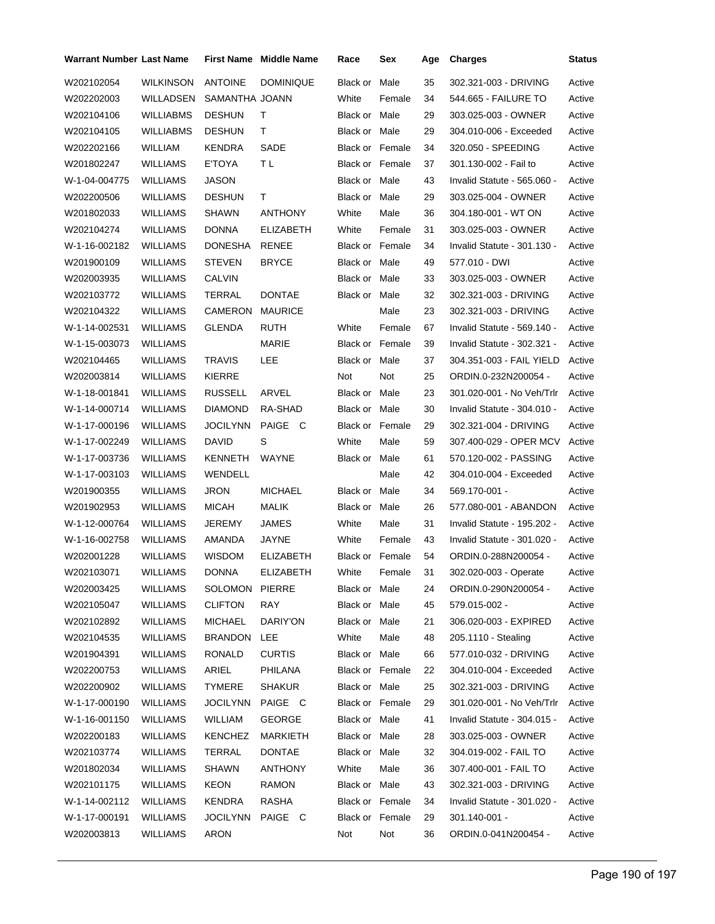| <b>Warrant Number Last Name</b> |                  |                 | <b>First Name</b> Middle Name | Race                   | Sex          | Age | <b>Charges</b>              | <b>Status</b> |
|---------------------------------|------------------|-----------------|-------------------------------|------------------------|--------------|-----|-----------------------------|---------------|
| W202102054                      | WILKINSON        | <b>ANTOINE</b>  | <b>DOMINIQUE</b>              | Black or               | Male         | 35  | 302.321-003 - DRIVING       | Active        |
| W202202003                      | WILLADSEN        | SAMANTHA JOANN  |                               | White                  | Female       | 34  | 544.665 - FAILURE TO        | Active        |
| W202104106                      | <b>WILLIABMS</b> | <b>DESHUN</b>   | т                             | Black or Male          |              | 29  | 303.025-003 - OWNER         | Active        |
| W202104105                      | WILLIABMS        | <b>DESHUN</b>   | т                             | Black or Male          |              | 29  | 304.010-006 - Exceeded      | Active        |
| W202202166                      | WILLIAM          | <b>KENDRA</b>   | SADE                          | <b>Black or Female</b> |              | 34  | 320.050 - SPEEDING          | Active        |
| W201802247                      | WILLIAMS         | E'TOYA          | ΤL                            | Black or Female        |              | 37  | 301.130-002 - Fail to       | Active        |
| W-1-04-004775                   | WILLIAMS         | JASON           |                               | Black or Male          |              | 43  | Invalid Statute - 565.060 - | Active        |
| W202200506                      | WILLIAMS         | <b>DESHUN</b>   | Τ                             | Black or Male          |              | 29  | 303.025-004 - OWNER         | Active        |
| W201802033                      | WILLIAMS         | SHAWN           | <b>ANTHONY</b>                | White                  | Male         | 36  | 304.180-001 - WT ON         | Active        |
| W202104274                      | WILLIAMS         | <b>DONNA</b>    | <b>ELIZABETH</b>              | White                  | Female       | 31  | 303.025-003 - OWNER         | Active        |
| W-1-16-002182                   | WILLIAMS         | DONESHA         | RENEE                         | <b>Black or Female</b> |              | 34  | Invalid Statute - 301.130 - | Active        |
| W201900109                      | WILLIAMS         | <b>STEVEN</b>   | <b>BRYCE</b>                  | Black or Male          |              | 49  | 577.010 - DWI               | Active        |
| W202003935                      | WILLIAMS         | CALVIN          |                               | Black or Male          |              | 33  | 303.025-003 - OWNER         | Active        |
| W202103772                      | WILLIAMS         | TERRAL          | <b>DONTAE</b>                 | Black or Male          |              | 32  | 302.321-003 - DRIVING       | Active        |
| W202104322                      | WILLIAMS         | CAMERON         | <b>MAURICE</b>                |                        | Male         | 23  | 302.321-003 - DRIVING       | Active        |
| W-1-14-002531                   | <b>WILLIAMS</b>  | <b>GLENDA</b>   | RUTH                          | White                  | Female       | 67  | Invalid Statute - 569.140 - | Active        |
| W-1-15-003073                   | WILLIAMS         |                 | MARIE                         | <b>Black or Female</b> |              | 39  | Invalid Statute - 302.321 - | Active        |
| W202104465                      | WILLIAMS         | <b>TRAVIS</b>   | LEE                           | Black or Male          |              | 37  | 304.351-003 - FAIL YIELD    | Active        |
| W202003814                      | WILLIAMS         | KIERRE          |                               | Not                    | Not          | 25  | ORDIN.0-232N200054 -        | Active        |
| W-1-18-001841                   | WILLIAMS         | <b>RUSSELL</b>  | ARVEL                         | Black or Male          |              | 23  | 301.020-001 - No Veh/Trlr   | Active        |
| W-1-14-000714                   | WILLIAMS         | DIAMOND         | RA-SHAD                       | Black or Male          |              | 30  | Invalid Statute - 304.010 - | Active        |
| W-1-17-000196                   | WILLIAMS         | <b>JOCILYNN</b> | PAIGE C                       | Black or Female        |              | 29  | 302.321-004 - DRIVING       | Active        |
| W-1-17-002249                   | WILLIAMS         | <b>DAVID</b>    | S                             | White                  | Male         | 59  | 307.400-029 - OPER MCV      | Active        |
| W-1-17-003736                   | WILLIAMS         | KENNETH         | WAYNE                         | Black or Male          |              | 61  | 570.120-002 - PASSING       | Active        |
| W-1-17-003103                   | WILLIAMS         | WENDELL         |                               |                        | Male         | 42  | 304.010-004 - Exceeded      | Active        |
| W201900355                      | WILLIAMS         | JRON            | <b>MICHAEL</b>                | Black or Male          |              | 34  | 569.170-001 -               | Active        |
| W201902953                      | WILLIAMS         | <b>MICAH</b>    | MALIK                         | Black or Male          |              | 26  | 577.080-001 - ABANDON       | Active        |
| W-1-12-000764                   | WILLIAMS         | JEREMY          | JAMES                         | White                  | Male         | 31  | Invalid Statute - 195.202 - | Active        |
| W-1-16-002758                   | WILLIAMS         | <b>AMANDA</b>   | JAYNE                         | White                  | Female       | 43  | Invalid Statute - 301.020 - | Active        |
| W202001228                      | WILLIAMS         | <b>WISDOM</b>   | <b>ELIZABETH</b>              | <b>Black or Female</b> |              | 54  | ORDIN.0-288N200054 -        | Active        |
| W202103071                      | WILLIAMS         | DONNA           | <b>ELIZABETH</b>              |                        | White Female | 31  | 302.020-003 - Operate       | Active        |
| W202003425                      | <b>WILLIAMS</b>  | SOLOMON PIERRE  |                               | Black or Male          |              | 24  | ORDIN.0-290N200054 -        | Active        |
| W202105047                      | WILLIAMS         | <b>CLIFTON</b>  | <b>RAY</b>                    | Black or Male          |              | 45  | 579.015-002 -               | Active        |
| W202102892                      | <b>WILLIAMS</b>  | <b>MICHAEL</b>  | DARIY'ON                      | Black or Male          |              | 21  | 306.020-003 - EXPIRED       | Active        |
| W202104535                      | WILLIAMS         | <b>BRANDON</b>  | <b>LEE</b>                    | White                  | Male         | 48  | 205.1110 - Stealing         | Active        |
| W201904391                      | WILLIAMS         | RONALD          | <b>CURTIS</b>                 | Black or Male          |              | 66  | 577.010-032 - DRIVING       | Active        |
| W202200753                      | WILLIAMS         | ARIEL           | PHILANA                       | <b>Black or Female</b> |              | 22  | 304.010-004 - Exceeded      | Active        |
| W202200902                      | WILLIAMS         | TYMERE          | <b>SHAKUR</b>                 | Black or Male          |              | 25  | 302.321-003 - DRIVING       | Active        |
| W-1-17-000190                   | WILLIAMS         | <b>JOCILYNN</b> | PAIGE C                       | Black or Female        |              | 29  | 301.020-001 - No Veh/Trlr   | Active        |
| W-1-16-001150                   | WILLIAMS         | <b>WILLIAM</b>  | <b>GEORGE</b>                 | Black or Male          |              | 41  | Invalid Statute - 304.015 - | Active        |
| W202200183                      | WILLIAMS         | KENCHEZ         | MARKIETH                      | Black or Male          |              | 28  | 303.025-003 - OWNER         | Active        |
| W202103774                      | WILLIAMS         | TERRAL          | <b>DONTAE</b>                 | Black or Male          |              | 32  | 304.019-002 - FAIL TO       | Active        |
| W201802034                      | WILLIAMS         | SHAWN           | <b>ANTHONY</b>                | White                  | Male         | 36  | 307.400-001 - FAIL TO       | Active        |
| W202101175                      | WILLIAMS         | KEON            | <b>RAMON</b>                  | Black or Male          |              | 43  | 302.321-003 - DRIVING       | Active        |
| W-1-14-002112                   | WILLIAMS         | KENDRA          | RASHA                         | Black or Female        |              | 34  | Invalid Statute - 301.020 - | Active        |
| W-1-17-000191                   | WILLIAMS         | <b>JOCILYNN</b> | PAIGE C                       | Black or Female        |              | 29  | $301.140 - 001 -$           | Active        |
| W202003813                      | WILLIAMS         | ARON            |                               | Not                    | Not          | 36  | ORDIN.0-041N200454 -        | Active        |
|                                 |                  |                 |                               |                        |              |     |                             |               |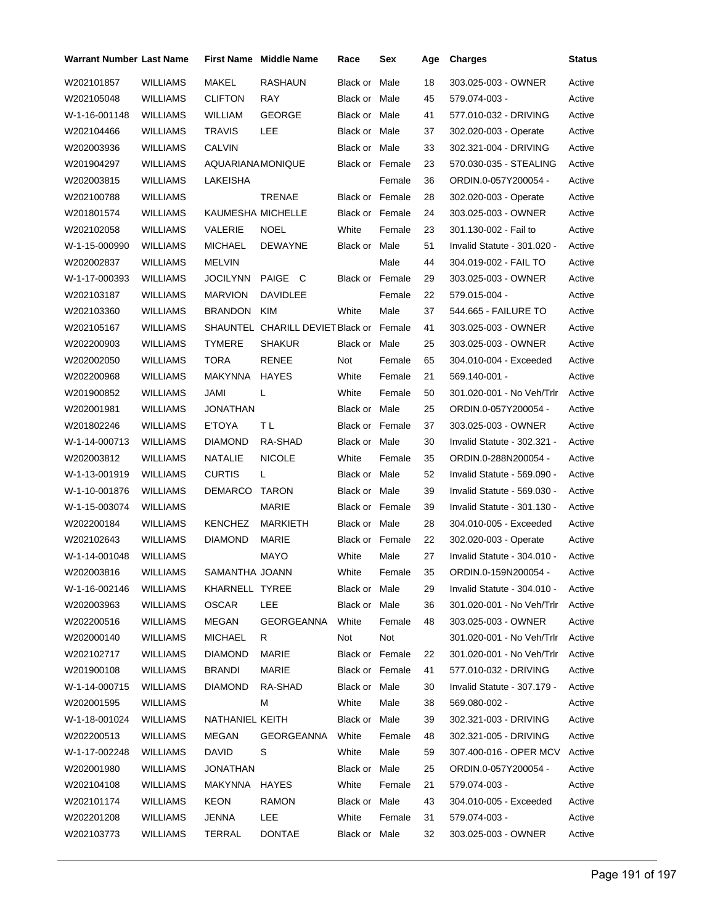| <b>Warrant Number Last Name</b> |                 |                   | First Name Middle Name                  | Race                   | Sex    | Age | <b>Charges</b>              | <b>Status</b> |
|---------------------------------|-----------------|-------------------|-----------------------------------------|------------------------|--------|-----|-----------------------------|---------------|
| W202101857                      | <b>WILLIAMS</b> | MAKEL             | <b>RASHAUN</b>                          | Black or               | Male   | 18  | 303.025-003 - OWNER         | Active        |
| W202105048                      | WILLIAMS        | <b>CLIFTON</b>    | RAY                                     | Black or Male          |        | 45  | 579.074-003 -               | Active        |
| W-1-16-001148                   | WILLIAMS        | WILLIAM           | <b>GEORGE</b>                           | Black or Male          |        | 41  | 577.010-032 - DRIVING       | Active        |
| W202104466                      | WILLIAMS        | <b>TRAVIS</b>     | LEE                                     | Black or Male          |        | 37  | 302.020-003 - Operate       | Active        |
| W202003936                      | WILLIAMS        | <b>CALVIN</b>     |                                         | Black or Male          |        | 33  | 302.321-004 - DRIVING       | Active        |
| W201904297                      | WILLIAMS        | AQUARIANA MONIQUE |                                         | Black or Female        |        | 23  | 570.030-035 - STEALING      | Active        |
| W202003815                      | WILLIAMS        | LAKEISHA          |                                         |                        | Female | 36  | ORDIN.0-057Y200054 -        | Active        |
| W202100788                      | WILLIAMS        |                   | TRENAE                                  | <b>Black or Female</b> |        | 28  | 302.020-003 - Operate       | Active        |
| W201801574                      | WILLIAMS        | KAUMESHA MICHELLE |                                         | Black or Female        |        | 24  | 303.025-003 - OWNER         | Active        |
| W202102058                      | WILLIAMS        | VALERIE           | <b>NOEL</b>                             | White                  | Female | 23  | 301.130-002 - Fail to       | Active        |
| W-1-15-000990                   | WILLIAMS        | <b>MICHAEL</b>    | <b>DEWAYNE</b>                          | Black or Male          |        | 51  | Invalid Statute - 301.020 - | Active        |
| W202002837                      | WILLIAMS        | MELVIN            |                                         |                        | Male   | 44  | 304.019-002 - FAIL TO       | Active        |
| W-1-17-000393                   | WILLIAMS        | JOCILYNN          | PAIGE C                                 | <b>Black or Female</b> |        | 29  | 303.025-003 - OWNER         | Active        |
| W202103187                      | WILLIAMS        | <b>MARVION</b>    | <b>DAVIDLEE</b>                         |                        | Female | 22  | 579.015-004 -               | Active        |
| W202103360                      | WILLIAMS        | BRANDON           | KIM                                     | White                  | Male   | 37  | 544.665 - FAILURE TO        | Active        |
| W202105167                      | WILLIAMS        |                   | SHAUNTEL CHARILL DEVIET Black or Female |                        |        | 41  | 303.025-003 - OWNER         | Active        |
| W202200903                      | <b>WILLIAMS</b> | TYMERE            | <b>SHAKUR</b>                           | Black or Male          |        | 25  | 303.025-003 - OWNER         | Active        |
| W202002050                      | WILLIAMS        | TORA              | RENEE                                   | Not                    | Female | 65  | 304.010-004 - Exceeded      | Active        |
| W202200968                      | WILLIAMS        | MAKYNNA           | <b>HAYES</b>                            | White                  | Female | 21  | 569.140-001 -               | Active        |
| W201900852                      | WILLIAMS        | JAMI              | L                                       | White                  | Female | 50  | 301.020-001 - No Veh/Trlr   | Active        |
| W202001981                      | WILLIAMS        | JONATHAN          |                                         | Black or Male          |        | 25  | ORDIN.0-057Y200054 -        | Active        |
| W201802246                      | WILLIAMS        | E'TOYA            | ΤL                                      | Black or Female        |        | 37  | 303.025-003 - OWNER         | Active        |
| W-1-14-000713                   | WILLIAMS        | DIAMOND           | RA-SHAD                                 | Black or Male          |        | 30  | Invalid Statute - 302.321 - | Active        |
| W202003812                      | WILLIAMS        | NATALIE           | <b>NICOLE</b>                           | White                  | Female | 35  | ORDIN.0-288N200054 -        | Active        |
| W-1-13-001919                   | WILLIAMS        | <b>CURTIS</b>     | L                                       | Black or Male          |        | 52  | Invalid Statute - 569.090 - | Active        |
| W-1-10-001876                   | WILLIAMS        | DEMARCO           | TARON                                   | Black or Male          |        | 39  | Invalid Statute - 569.030 - | Active        |
| W-1-15-003074                   | WILLIAMS        |                   | MARIE                                   | Black or Female        |        | 39  | Invalid Statute - 301.130 - | Active        |
| W202200184                      | WILLIAMS        | KENCHEZ           | <b>MARKIETH</b>                         | Black or Male          |        | 28  | 304.010-005 - Exceeded      | Active        |
| W202102643                      | WILLIAMS        | DIAMOND           | <b>MARIE</b>                            | <b>Black or Female</b> |        | 22  | 302.020-003 - Operate       | Active        |
| W-1-14-001048                   | WILLIAMS        |                   | <b>MAYO</b>                             | White                  | Male   | 27  | Invalid Statute - 304.010 - | Active        |
| W202003816                      | WILLIAMS        | SAMANTHA JOANN    |                                         | White                  | Female | 35  | ORDIN.0-159N200054 -        | Active        |
| W-1-16-002146                   | WILLIAMS        | KHARNELL TYREE    |                                         | Black or Male          |        | 29  | Invalid Statute - 304.010 - | Active        |
| W202003963                      | WILLIAMS        | OSCAR             | LEE                                     | Black or Male          |        | 36  | 301.020-001 - No Veh/Trlr   | Active        |
| W202200516                      | <b>WILLIAMS</b> | MEGAN             | GEORGEANNA                              | White                  | Female | 48  | 303.025-003 - OWNER         | Active        |
| W202000140                      | <b>WILLIAMS</b> | MICHAEL           | R                                       | Not                    | Not    |     | 301.020-001 - No Veh/Trlr   | Active        |
| W202102717                      | WILLIAMS        | <b>DIAMOND</b>    | <b>MARIE</b>                            | Black or Female        |        | 22  | 301.020-001 - No Veh/Trlr   | Active        |
| W201900108                      | <b>WILLIAMS</b> | <b>BRANDI</b>     | MARIE                                   | Black or Female        |        | 41  | 577.010-032 - DRIVING       | Active        |
| W-1-14-000715                   | <b>WILLIAMS</b> | <b>DIAMOND</b>    | RA-SHAD                                 | Black or Male          |        | 30  | Invalid Statute - 307.179 - | Active        |
| W202001595                      | <b>WILLIAMS</b> |                   | м                                       | White                  | Male   | 38  | 569.080-002 -               | Active        |
| W-1-18-001024                   | <b>WILLIAMS</b> | NATHANIEL KEITH   |                                         | Black or Male          |        | 39  | 302.321-003 - DRIVING       | Active        |
| W202200513                      | WILLIAMS        | MEGAN             | GEORGEANNA                              | White                  | Female | 48  | 302.321-005 - DRIVING       | Active        |
| W-1-17-002248                   | WILLIAMS        | DAVID             | S                                       | White                  | Male   | 59  | 307.400-016 - OPER MCV      | Active        |
| W202001980                      | WILLIAMS        | JONATHAN          |                                         | Black or Male          |        | 25  | ORDIN.0-057Y200054 -        | Active        |
| W202104108                      | <b>WILLIAMS</b> | MAKYNNA HAYES     |                                         | White                  | Female | 21  | 579.074-003 -               | Active        |
| W202101174                      | <b>WILLIAMS</b> | KEON              | <b>RAMON</b>                            | Black or Male          |        | 43  | 304.010-005 - Exceeded      | Active        |
| W202201208                      | WILLIAMS        | JENNA             | LEE                                     | White                  | Female | 31  | 579.074-003 -               | Active        |
| W202103773                      | <b>WILLIAMS</b> | TERRAL            | <b>DONTAE</b>                           | Black or Male          |        | 32  | 303.025-003 - OWNER         | Active        |
|                                 |                 |                   |                                         |                        |        |     |                             |               |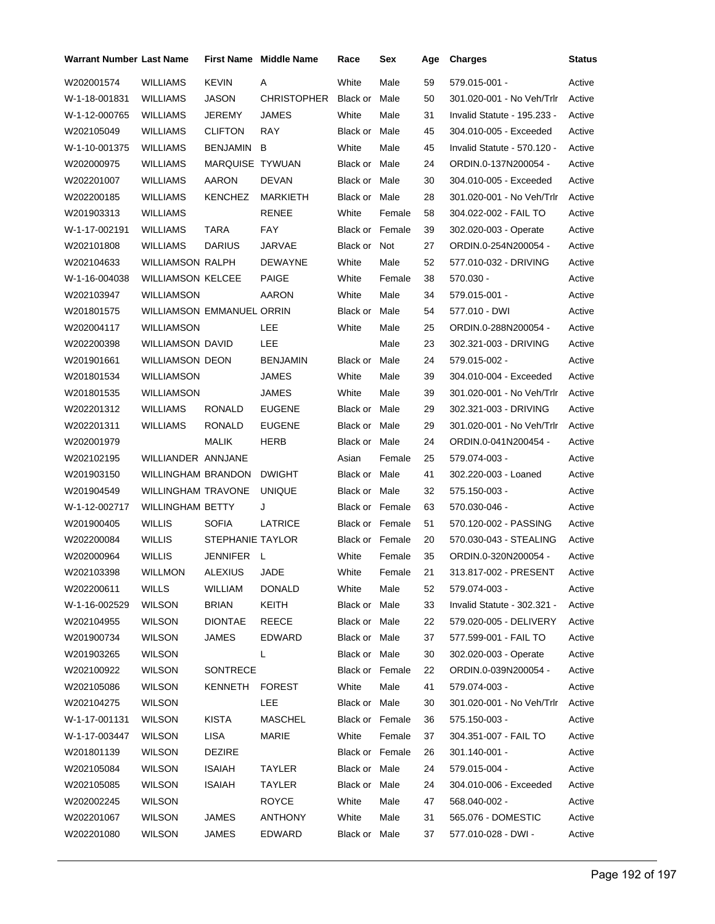| <b>Warrant Number Last Name</b> |                                  |                  | <b>First Name</b> Middle Name | Race                   | Sex    | Age | <b>Charges</b>              | <b>Status</b> |
|---------------------------------|----------------------------------|------------------|-------------------------------|------------------------|--------|-----|-----------------------------|---------------|
| W202001574                      | <b>WILLIAMS</b>                  | <b>KEVIN</b>     | Α                             | White                  | Male   | 59  | 579.015-001 -               | Active        |
| W-1-18-001831                   | WILLIAMS                         | JASON            | <b>CHRISTOPHER</b>            | Black or               | Male   | 50  | 301.020-001 - No Veh/Trlr   | Active        |
| W-1-12-000765                   | WILLIAMS                         | JEREMY           | <b>JAMES</b>                  | White                  | Male   | 31  | Invalid Statute - 195.233 - | Active        |
| W202105049                      | WILLIAMS                         | <b>CLIFTON</b>   | <b>RAY</b>                    | Black or Male          |        | 45  | 304.010-005 - Exceeded      | Active        |
| W-1-10-001375                   | WILLIAMS                         | BENJAMIN         | B                             | White                  | Male   | 45  | Invalid Statute - 570.120 - | Active        |
| W202000975                      | WILLIAMS                         | MARQUISE TYWUAN  |                               | Black or Male          |        | 24  | ORDIN.0-137N200054 -        | Active        |
| W202201007                      | WILLIAMS                         | AARON            | <b>DEVAN</b>                  | Black or Male          |        | 30  | 304.010-005 - Exceeded      | Active        |
| W202200185                      | WILLIAMS                         | <b>KENCHEZ</b>   | MARKIETH                      | Black or Male          |        | 28  | 301.020-001 - No Veh/Trlr   | Active        |
| W201903313                      | WILLIAMS                         |                  | <b>RENEE</b>                  | White                  | Female | 58  | 304.022-002 - FAIL TO       | Active        |
| W-1-17-002191                   | <b>WILLIAMS</b>                  | <b>TARA</b>      | FAY                           | <b>Black or Female</b> |        | 39  | 302.020-003 - Operate       | Active        |
| W202101808                      | WILLIAMS                         | <b>DARIUS</b>    | JARVAE                        | Black or Not           |        | 27  | ORDIN.0-254N200054 -        | Active        |
| W202104633                      | WILLIAMSON RALPH                 |                  | <b>DEWAYNE</b>                | White                  | Male   | 52  | 577.010-032 - DRIVING       | Active        |
| W-1-16-004038                   | <b>WILLIAMSON KELCEE</b>         |                  | <b>PAIGE</b>                  | White                  | Female | 38  | 570.030 -                   | Active        |
| W202103947                      | WILLIAMSON                       |                  | AARON                         | White                  | Male   | 34  | 579.015-001 -               | Active        |
| W201801575                      | <b>WILLIAMSON EMMANUEL ORRIN</b> |                  |                               | Black or Male          |        | 54  | 577.010 - DWI               | Active        |
| W202004117                      | WILLIAMSON                       |                  | LEE                           | White                  | Male   | 25  | ORDIN.0-288N200054 -        | Active        |
| W202200398                      | WILLIAMSON DAVID                 |                  | LEE.                          |                        | Male   | 23  | 302.321-003 - DRIVING       | Active        |
| W201901661                      | WILLIAMSON DEON                  |                  | <b>BENJAMIN</b>               | Black or Male          |        | 24  | 579.015-002 -               | Active        |
| W201801534                      | WILLIAMSON                       |                  | JAMES                         | White                  | Male   | 39  | 304.010-004 - Exceeded      | Active        |
| W201801535                      | WILLIAMSON                       |                  | JAMES                         | White                  | Male   | 39  | 301.020-001 - No Veh/Trlr   | Active        |
| W202201312                      | WILLIAMS                         | RONALD           | <b>EUGENE</b>                 | Black or Male          |        | 29  | 302.321-003 - DRIVING       | Active        |
| W202201311                      | <b>WILLIAMS</b>                  | RONALD           | <b>EUGENE</b>                 | Black or Male          |        | 29  | 301.020-001 - No Veh/Trlr   | Active        |
| W202001979                      |                                  | <b>MALIK</b>     | HERB                          | Black or Male          |        | 24  | ORDIN.0-041N200454 -        | Active        |
| W202102195                      | WILLIANDER ANNJANE               |                  |                               | Asian                  | Female | 25  | 579.074-003 -               | Active        |
| W201903150                      | WILLINGHAM BRANDON               |                  | <b>DWIGHT</b>                 | Black or Male          |        | 41  | 302.220-003 - Loaned        | Active        |
| W201904549                      | WILLINGHAM TRAVONE               |                  | <b>UNIQUE</b>                 | Black or Male          |        | 32  | 575.150-003 -               | Active        |
| W-1-12-002717                   | WILLINGHAM BETTY                 |                  | J                             | Black or Female        |        | 63  | 570.030-046 -               | Active        |
| W201900405                      | <b>WILLIS</b>                    | <b>SOFIA</b>     | <b>LATRICE</b>                | Black or Female        |        | 51  | 570.120-002 - PASSING       | Active        |
| W202200084                      | <b>WILLIS</b>                    | STEPHANIE TAYLOR |                               | <b>Black or Female</b> |        | 20  | 570.030-043 - STEALING      | Active        |
| W202000964                      | <b>WILLIS</b>                    | JENNIFER L       |                               | White                  | Female | 35  | ORDIN.0-320N200054 -        | Active        |
| W202103398                      | WILLMON                          | ALEXIUS JADE     |                               | White                  | Female | 21  | 313.817-002 - PRESENT       | Active        |
| W202200611                      | <b>WILLS</b>                     | WILLIAM          | <b>DONALD</b>                 | White                  | Male   | 52  | 579.074-003 -               | Active        |
| W-1-16-002529                   | <b>WILSON</b>                    | <b>BRIAN</b>     | KEITH                         | Black or Male          |        | 33  | Invalid Statute - 302.321 - | Active        |
| W202104955                      | <b>WILSON</b>                    | <b>DIONTAE</b>   | REECE                         | Black or Male          |        | 22  | 579.020-005 - DELIVERY      | Active        |
| W201900734                      | WILSON                           | JAMES            | <b>EDWARD</b>                 | Black or Male          |        | 37  | 577.599-001 - FAIL TO       | Active        |
| W201903265                      | <b>WILSON</b>                    |                  | L.                            | Black or Male          |        | 30  | 302.020-003 - Operate       | Active        |
| W202100922                      | WILSON                           | SONTRECE         |                               | Black or Female        |        | 22  | ORDIN.0-039N200054 -        | Active        |
| W202105086                      | <b>WILSON</b>                    | KENNETH FOREST   |                               | White                  | Male   | 41  | 579.074-003 -               | Active        |
| W202104275                      | <b>WILSON</b>                    |                  | LEE                           | Black or Male          |        | 30  | 301.020-001 - No Veh/Trlr   | Active        |
| W-1-17-001131                   | WILSON                           | <b>KISTA</b>     | <b>MASCHEL</b>                | Black or Female        |        | 36  | 575.150-003 -               | Active        |
| W-1-17-003447                   | <b>WILSON</b>                    | LISA             | MARIE                         | White                  | Female | 37  | 304.351-007 - FAIL TO       | Active        |
| W201801139                      | WILSON                           | <b>DEZIRE</b>    |                               | Black or Female        |        | 26  | 301.140-001 -               | Active        |
| W202105084                      | <b>WILSON</b>                    | <b>ISAIAH</b>    | TAYLER                        | Black or Male          |        | 24  | 579.015-004 -               | Active        |
| W202105085                      | <b>WILSON</b>                    | <b>ISAIAH</b>    | TAYLER                        | Black or Male          |        | 24  | 304.010-006 - Exceeded      | Active        |
| W202002245                      | <b>WILSON</b>                    |                  | ROYCE                         | White                  | Male   | 47  | 568.040-002 -               | Active        |
| W202201067                      | <b>WILSON</b>                    | <b>JAMES</b>     | <b>ANTHONY</b>                | White                  | Male   | 31  | 565.076 - DOMESTIC          | Active        |
| W202201080                      | <b>WILSON</b>                    | <b>JAMES</b>     | EDWARD                        | Black or Male          |        | 37  | 577.010-028 - DWI -         | Active        |
|                                 |                                  |                  |                               |                        |        |     |                             |               |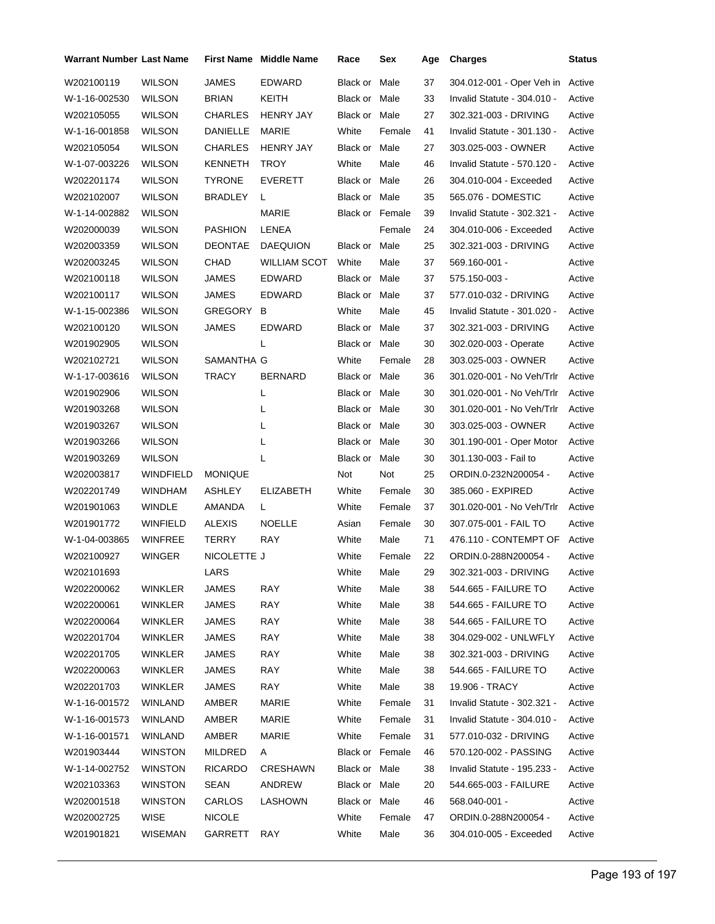| Warrant Number Last Name |                 |                 | <b>First Name</b> Middle Name | Race                 | Sex    | Age | <b>Charges</b>              | <b>Status</b> |
|--------------------------|-----------------|-----------------|-------------------------------|----------------------|--------|-----|-----------------------------|---------------|
| W202100119               | <b>WILSON</b>   | <b>JAMES</b>    | <b>EDWARD</b>                 | Black or Male        |        | 37  | 304.012-001 - Oper Veh in   | Active        |
| W-1-16-002530            | <b>WILSON</b>   | <b>BRIAN</b>    | KEITH                         | Black or Male        |        | 33  | Invalid Statute - 304.010 - | Active        |
| W202105055               | <b>WILSON</b>   | <b>CHARLES</b>  | <b>HENRY JAY</b>              | <b>Black or Male</b> |        | 27  | 302.321-003 - DRIVING       | Active        |
| W-1-16-001858            | <b>WILSON</b>   | <b>DANIELLE</b> | MARIE                         | White                | Female | 41  | Invalid Statute - 301.130 - | Active        |
| W202105054               | <b>WILSON</b>   | <b>CHARLES</b>  | <b>HENRY JAY</b>              | Black or Male        |        | 27  | 303.025-003 - OWNER         | Active        |
| W-1-07-003226            | <b>WILSON</b>   | KENNETH         | <b>TROY</b>                   | White                | Male   | 46  | Invalid Statute - 570.120 - | Active        |
| W202201174               | <b>WILSON</b>   | <b>TYRONE</b>   | <b>EVERETT</b>                | Black or Male        |        | 26  | 304.010-004 - Exceeded      | Active        |
| W202102007               | <b>WILSON</b>   | <b>BRADLEY</b>  | L                             | Black or Male        |        | 35  | 565.076 - DOMESTIC          | Active        |
| W-1-14-002882            | <b>WILSON</b>   |                 | <b>MARIE</b>                  | Black or Female      |        | 39  | Invalid Statute - 302.321 - | Active        |
| W202000039               | <b>WILSON</b>   | <b>PASHION</b>  | LENEA                         |                      | Female | 24  | 304.010-006 - Exceeded      | Active        |
| W202003359               | <b>WILSON</b>   | <b>DEONTAE</b>  | <b>DAEQUION</b>               | Black or Male        |        | 25  | 302.321-003 - DRIVING       | Active        |
| W202003245               | <b>WILSON</b>   | CHAD            | <b>WILLIAM SCOT</b>           | White                | Male   | 37  | 569.160-001 -               | Active        |
| W202100118               | <b>WILSON</b>   | <b>JAMES</b>    | <b>EDWARD</b>                 | Black or Male        |        | 37  | 575.150-003 -               | Active        |
| W202100117               | <b>WILSON</b>   | JAMES           | EDWARD                        | Black or Male        |        | 37  | 577.010-032 - DRIVING       | Active        |
| W-1-15-002386            | <b>WILSON</b>   | GREGORY         | B                             | White                | Male   | 45  | Invalid Statute - 301.020 - | Active        |
| W202100120               | <b>WILSON</b>   | JAMES           | <b>EDWARD</b>                 | Black or Male        |        | 37  | 302.321-003 - DRIVING       | Active        |
| W201902905               | <b>WILSON</b>   |                 | L                             | Black or Male        |        | 30  | 302.020-003 - Operate       | Active        |
| W202102721               | <b>WILSON</b>   | SAMANTHA G      |                               | White                | Female | 28  | 303.025-003 - OWNER         | Active        |
| W-1-17-003616            | <b>WILSON</b>   | TRACY           | <b>BERNARD</b>                | Black or Male        |        | 36  | 301.020-001 - No Veh/Trlr   | Active        |
| W201902906               | <b>WILSON</b>   |                 | L                             | Black or Male        |        | 30  | 301.020-001 - No Veh/Trlr   | Active        |
| W201903268               | <b>WILSON</b>   |                 | L                             | Black or Male        |        | 30  | 301.020-001 - No Veh/Trlr   | Active        |
| W201903267               | <b>WILSON</b>   |                 | L                             | Black or Male        |        | 30  | 303.025-003 - OWNER         | Active        |
| W201903266               | <b>WILSON</b>   |                 | L                             | Black or Male        |        | 30  | 301.190-001 - Oper Motor    | Active        |
| W201903269               | <b>WILSON</b>   |                 | L                             | Black or Male        |        | 30  | 301.130-003 - Fail to       | Active        |
| W202003817               | WINDFIELD       | <b>MONIQUE</b>  |                               | Not                  | Not    | 25  | ORDIN.0-232N200054 -        | Active        |
| W202201749               | WINDHAM         | ASHLEY          | ELIZABETH                     | White                | Female | 30  | 385.060 - EXPIRED           | Active        |
| W201901063               | <b>WINDLE</b>   | AMANDA          | L                             | White                | Female | 37  | 301.020-001 - No Veh/Trlr   | Active        |
| W201901772               | <b>WINFIELD</b> | <b>ALEXIS</b>   | <b>NOELLE</b>                 | Asian                | Female | 30  | 307.075-001 - FAIL TO       | Active        |
| W-1-04-003865            | WINFREE         | TERRY           | RAY                           | White                | Male   | 71  | 476.110 - CONTEMPT OF       | Active        |
| W202100927               | <b>WINGER</b>   | NICOLETTE J     |                               | White                | Female | 22  | ORDIN.0-288N200054 -        | Active        |
| W202101693               |                 | LARS            |                               | White                | Male   | 29  | 302.321-003 - DRIVING       | Active        |
| W202200062               | WINKLER         | JAMES           | RAY                           | White                | Male   | 38  | 544.665 - FAILURE TO        | Active        |
| W202200061               | WINKLER         | <b>JAMES</b>    | RAY                           | White                | Male   | 38  | 544.665 - FAILURE TO        | Active        |
| W202200064               | <b>WINKLER</b>  | <b>JAMES</b>    | RAY                           | White                | Male   | 38  | 544.665 - FAILURE TO        | Active        |
| W202201704               | WINKLER         | JAMES           | <b>RAY</b>                    | White                | Male   | 38  | 304.029-002 - UNLWFLY       | Active        |
| W202201705               | WINKLER         | JAMES           | RAY                           | White                | Male   | 38  | 302.321-003 - DRIVING       | Active        |
| W202200063               | <b>WINKLER</b>  | JAMES           | RAY                           | White                | Male   | 38  | 544.665 - FAILURE TO        | Active        |
| W202201703               | <b>WINKLER</b>  | JAMES           | RAY                           | White                | Male   | 38  | 19.906 - TRACY              | Active        |
| W-1-16-001572            | <b>WINLAND</b>  | AMBER           | MARIE                         | White                | Female | 31  | Invalid Statute - 302.321 - | Active        |
| W-1-16-001573            | <b>WINLAND</b>  | AMBER           | MARIE                         | White                | Female | 31  | Invalid Statute - 304.010 - | Active        |
| W-1-16-001571            | <b>WINLAND</b>  | AMBER           | MARIE                         | White                | Female | 31  | 577.010-032 - DRIVING       | Active        |
| W201903444               | <b>WINSTON</b>  | <b>MILDRED</b>  | A                             | Black or Female      |        | 46  | 570.120-002 - PASSING       | Active        |
| W-1-14-002752            | <b>WINSTON</b>  | <b>RICARDO</b>  | CRESHAWN                      | Black or Male        |        | 38  | Invalid Statute - 195.233 - | Active        |
| W202103363               | <b>WINSTON</b>  | SEAN            | ANDREW                        | Black or Male        |        | 20  | 544.665-003 - FAILURE       | Active        |
| W202001518               | <b>WINSTON</b>  | CARLOS          | LASHOWN                       | Black or Male        |        | 46  | 568.040-001 -               | Active        |
| W202002725               | <b>WISE</b>     | <b>NICOLE</b>   |                               | White                | Female | 47  | ORDIN.0-288N200054 -        | Active        |
| W201901821               | WISEMAN         | GARRETT         | RAY                           | White                | Male   | 36  | 304.010-005 - Exceeded      | Active        |
|                          |                 |                 |                               |                      |        |     |                             |               |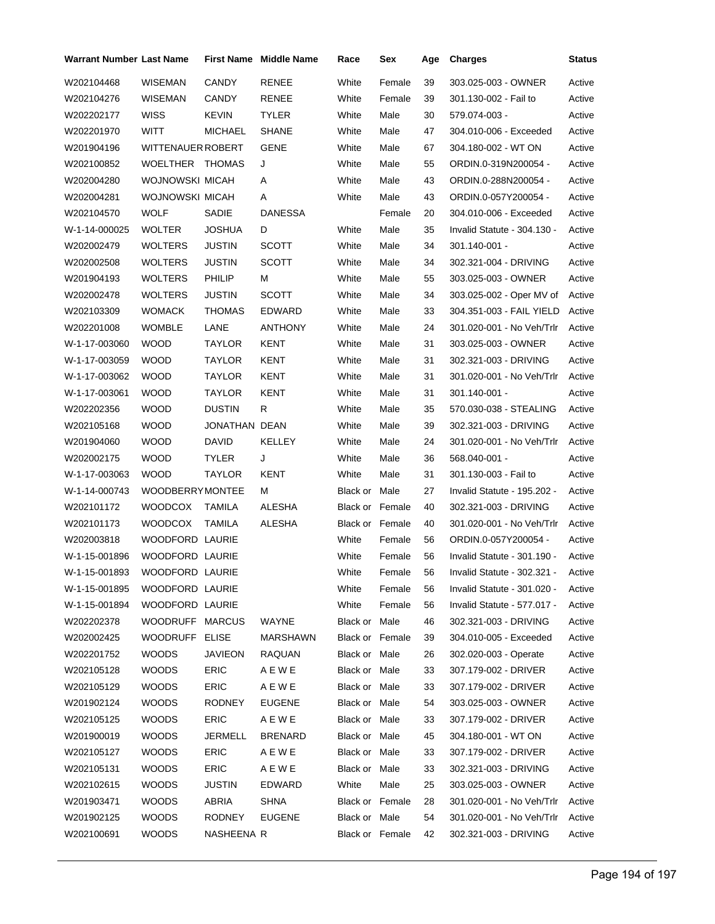| <b>Warrant Number Last Name</b> |                        |                | <b>First Name</b> Middle Name | Race                   | Sex    | Age | <b>Charges</b>              | Status |
|---------------------------------|------------------------|----------------|-------------------------------|------------------------|--------|-----|-----------------------------|--------|
| W202104468                      | <b>WISEMAN</b>         | <b>CANDY</b>   | <b>RENEE</b>                  | White                  | Female | 39  | 303.025-003 - OWNER         | Active |
| W202104276                      | <b>WISEMAN</b>         | CANDY          | RENEE                         | White                  | Female | 39  | 301.130-002 - Fail to       | Active |
| W202202177                      | <b>WISS</b>            | <b>KEVIN</b>   | <b>TYLER</b>                  | White                  | Male   | 30  | 579.074-003 -               | Active |
| W202201970                      | <b>WITT</b>            | <b>MICHAEL</b> | <b>SHANE</b>                  | White                  | Male   | 47  | 304.010-006 - Exceeded      | Active |
| W201904196                      | WITTENAUER ROBERT      |                | GENE                          | White                  | Male   | 67  | 304.180-002 - WT ON         | Active |
| W202100852                      | WOELTHER THOMAS        |                | J                             | White                  | Male   | 55  | ORDIN.0-319N200054 -        | Active |
| W202004280                      | WOJNOWSKI MICAH        |                | Α                             | White                  | Male   | 43  | ORDIN.0-288N200054 -        | Active |
| W202004281                      | WOJNOWSKI MICAH        |                | Α                             | White                  | Male   | 43  | ORDIN.0-057Y200054 -        | Active |
| W202104570                      | WOLF                   | SADIE          | <b>DANESSA</b>                |                        | Female | 20  | 304.010-006 - Exceeded      | Active |
| W-1-14-000025                   | WOLTER                 | JOSHUA         | D                             | White                  | Male   | 35  | Invalid Statute - 304.130 - | Active |
| W202002479                      | <b>WOLTERS</b>         | <b>JUSTIN</b>  | <b>SCOTT</b>                  | White                  | Male   | 34  | 301.140-001 -               | Active |
| W202002508                      | WOLTERS                | JUSTIN         | <b>SCOTT</b>                  | White                  | Male   | 34  | 302.321-004 - DRIVING       | Active |
| W201904193                      | <b>WOLTERS</b>         | <b>PHILIP</b>  | М                             | White                  | Male   | 55  | 303.025-003 - OWNER         | Active |
| W202002478                      | <b>WOLTERS</b>         | <b>JUSTIN</b>  | <b>SCOTT</b>                  | White                  | Male   | 34  | 303.025-002 - Oper MV of    | Active |
| W202103309                      | WOMACK                 | THOMAS         | EDWARD                        | White                  | Male   | 33  | 304.351-003 - FAIL YIELD    | Active |
| W202201008                      | <b>WOMBLE</b>          | LANE           | ANTHONY                       | White                  | Male   | 24  | 301.020-001 - No Veh/Trlr   | Active |
| W-1-17-003060                   | <b>WOOD</b>            | TAYLOR         | KENT                          | White                  | Male   | 31  | 303.025-003 - OWNER         | Active |
| W-1-17-003059                   | <b>WOOD</b>            | TAYLOR         | KENT                          | White                  | Male   | 31  | 302.321-003 - DRIVING       | Active |
| W-1-17-003062                   | <b>WOOD</b>            | TAYLOR         | KENT                          | White                  | Male   | 31  | 301.020-001 - No Veh/Trlr   | Active |
| W-1-17-003061                   | <b>WOOD</b>            | TAYLOR         | KENT                          | White                  | Male   | 31  | $301.140 - 001 -$           | Active |
| W202202356                      | WOOD                   | <b>DUSTIN</b>  | R                             | White                  | Male   | 35  | 570.030-038 - STEALING      | Active |
| W202105168                      | <b>WOOD</b>            | JONATHAN DEAN  |                               | White                  | Male   | 39  | 302.321-003 - DRIVING       | Active |
| W201904060                      | <b>WOOD</b>            | DAVID          | KELLEY                        | White                  | Male   | 24  | 301.020-001 - No Veh/Trlr   | Active |
| W202002175                      | WOOD                   | <b>TYLER</b>   | J                             | White                  | Male   | 36  | 568.040-001 -               | Active |
| W-1-17-003063                   | <b>WOOD</b>            | TAYLOR         | <b>KENT</b>                   | White                  | Male   | 31  | 301.130-003 - Fail to       | Active |
| W-1-14-000743                   | <b>WOODBERRYMONTEE</b> |                | М                             | Black or Male          |        | 27  | Invalid Statute - 195.202 - | Active |
| W202101172                      | <b>WOODCOX</b>         | TAMILA         | ALESHA                        | Black or Female        |        | 40  | 302.321-003 - DRIVING       | Active |
| W202101173                      | <b>WOODCOX</b>         | TAMILA         | <b>ALESHA</b>                 | Black or Female        |        | 40  | 301.020-001 - No Veh/Trlr   | Active |
| W202003818                      | WOODFORD LAURIE        |                |                               | White                  | Female | 56  | ORDIN.0-057Y200054 -        | Active |
| W-1-15-001896                   | <b>WOODFORD LAURIE</b> |                |                               | White                  | Female | 56  | Invalid Statute - 301.190 - | Active |
| W-1-15-001893                   | WOODFORD LAURIE        |                |                               | White                  | Female | 56  | Invalid Statute - 302.321 - | Active |
| W-1-15-001895                   | WOODFORD LAURIE        |                |                               | White                  | Female | 56  | Invalid Statute - 301.020 - | Active |
| W-1-15-001894                   | WOODFORD LAURIE        |                |                               | White                  | Female | 56  | Invalid Statute - 577.017 - | Active |
| W202202378                      | WOODRUFF MARCUS        |                | WAYNE                         | Black or Male          |        | 46  | 302.321-003 - DRIVING       | Active |
| W202002425                      | WOODRUFF ELISE         |                | <b>MARSHAWN</b>               | Black or Female        |        | 39  | 304.010-005 - Exceeded      | Active |
| W202201752                      | <b>WOODS</b>           | JAVIEON        | RAQUAN                        | Black or Male          |        | 26  | 302.020-003 - Operate       | Active |
| W202105128                      | <b>WOODS</b>           | <b>ERIC</b>    | A E W E                       | Black or Male          |        | 33  | 307.179-002 - DRIVER        | Active |
| W202105129                      | <b>WOODS</b>           | <b>ERIC</b>    | A E W E                       | Black or Male          |        | 33  | 307.179-002 - DRIVER        | Active |
| W201902124                      | <b>WOODS</b>           | <b>RODNEY</b>  | <b>EUGENE</b>                 | Black or Male          |        | 54  | 303.025-003 - OWNER         | Active |
| W202105125                      | <b>WOODS</b>           | <b>ERIC</b>    | AEWE                          | Black or Male          |        | 33  | 307.179-002 - DRIVER        | Active |
| W201900019                      | <b>WOODS</b>           | JERMELL        | <b>BRENARD</b>                | Black or Male          |        | 45  | 304.180-001 - WT ON         | Active |
| W202105127                      | WOODS                  | <b>ERIC</b>    | AEWE                          | Black or Male          |        | 33  | 307.179-002 - DRIVER        | Active |
| W202105131                      | <b>WOODS</b>           | ERIC           | A E W E                       | Black or Male          |        | 33  | 302.321-003 - DRIVING       | Active |
| W202102615                      | <b>WOODS</b>           | JUSTIN         | EDWARD                        | White                  | Male   | 25  | 303.025-003 - OWNER         | Active |
| W201903471                      | <b>WOODS</b>           | ABRIA          | <b>SHNA</b>                   | <b>Black or Female</b> |        | 28  | 301.020-001 - No Veh/Trlr   | Active |
| W201902125                      | <b>WOODS</b>           | <b>RODNEY</b>  | <b>EUGENE</b>                 | Black or Male          |        | 54  | 301.020-001 - No Veh/Trlr   | Active |
| W202100691                      | <b>WOODS</b>           | NASHEENA R     |                               | Black or Female        |        | 42  | 302.321-003 - DRIVING       | Active |
|                                 |                        |                |                               |                        |        |     |                             |        |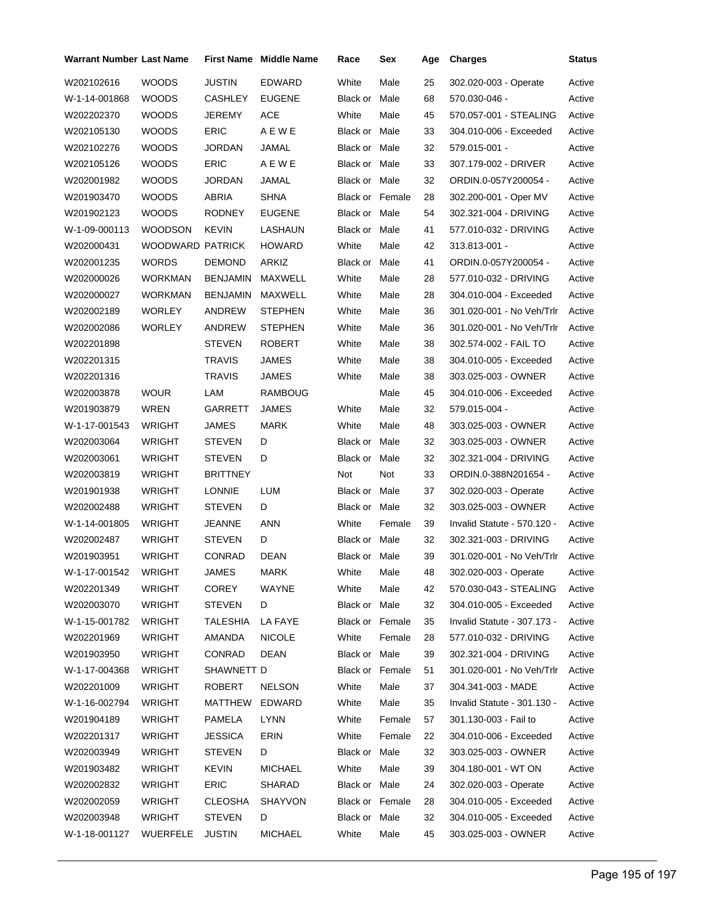| Warrant Number Last Name |                  |                 | <b>First Name Middle Name</b> | Race                   | Sex    | Age | <b>Charges</b>              | <b>Status</b> |
|--------------------------|------------------|-----------------|-------------------------------|------------------------|--------|-----|-----------------------------|---------------|
| W202102616               | <b>WOODS</b>     | <b>JUSTIN</b>   | EDWARD                        | White                  | Male   | 25  | 302.020-003 - Operate       | Active        |
| W-1-14-001868            | <b>WOODS</b>     | <b>CASHLEY</b>  | <b>EUGENE</b>                 | Black or               | Male   | 68  | 570.030-046 -               | Active        |
| W202202370               | <b>WOODS</b>     | <b>JEREMY</b>   | ACE                           | White                  | Male   | 45  | 570.057-001 - STEALING      | Active        |
| W202105130               | <b>WOODS</b>     | <b>ERIC</b>     | A E W E                       | Black or Male          |        | 33  | 304.010-006 - Exceeded      | Active        |
| W202102276               | <b>WOODS</b>     | <b>JORDAN</b>   | JAMAL                         | Black or Male          |        | 32  | 579.015-001 -               | Active        |
| W202105126               | <b>WOODS</b>     | <b>ERIC</b>     | A E W E                       | Black or Male          |        | 33  | 307.179-002 - DRIVER        | Active        |
| W202001982               | <b>WOODS</b>     | <b>JORDAN</b>   | JAMAL                         | Black or Male          |        | 32  | ORDIN.0-057Y200054 -        | Active        |
| W201903470               | <b>WOODS</b>     | ABRIA           | <b>SHNA</b>                   | <b>Black or Female</b> |        | 28  | 302.200-001 - Oper MV       | Active        |
| W201902123               | <b>WOODS</b>     | <b>RODNEY</b>   | <b>EUGENE</b>                 | Black or Male          |        | 54  | 302.321-004 - DRIVING       | Active        |
| W-1-09-000113            | <b>WOODSON</b>   | <b>KEVIN</b>    | LASHAUN                       | Black or Male          |        | 41  | 577.010-032 - DRIVING       | Active        |
| W202000431               | WOODWARD PATRICK |                 | <b>HOWARD</b>                 | White                  | Male   | 42  | 313.813-001 -               | Active        |
| W202001235               | <b>WORDS</b>     | <b>DEMOND</b>   | ARKIZ                         | Black or Male          |        | 41  | ORDIN.0-057Y200054 -        | Active        |
| W202000026               | <b>WORKMAN</b>   | <b>BENJAMIN</b> | MAXWELL                       | White                  | Male   | 28  | 577.010-032 - DRIVING       | Active        |
| W202000027               | <b>WORKMAN</b>   | <b>BENJAMIN</b> | MAXWELL                       | White                  | Male   | 28  | 304.010-004 - Exceeded      | Active        |
| W202002189               | <b>WORLEY</b>    | <b>ANDREW</b>   | <b>STEPHEN</b>                | White                  | Male   | 36  | 301.020-001 - No Veh/Trlr   | Active        |
| W202002086               | <b>WORLEY</b>    | ANDREW          | <b>STEPHEN</b>                | White                  | Male   | 36  | 301.020-001 - No Veh/Trlr   | Active        |
| W202201898               |                  | <b>STEVEN</b>   | <b>ROBERT</b>                 | White                  | Male   | 38  | 302.574-002 - FAIL TO       | Active        |
| W202201315               |                  | <b>TRAVIS</b>   | JAMES                         | White                  | Male   | 38  | 304.010-005 - Exceeded      | Active        |
| W202201316               |                  | TRAVIS          | JAMES                         | White                  | Male   | 38  | 303.025-003 - OWNER         | Active        |
| W202003878               | <b>WOUR</b>      | LAM             | RAMBOUG                       |                        | Male   | 45  | 304.010-006 - Exceeded      | Active        |
| W201903879               | WREN             | GARRETT         | JAMES                         | White                  | Male   | 32  | 579.015-004 -               | Active        |
| W-1-17-001543            | WRIGHT           | JAMES           | <b>MARK</b>                   | White                  | Male   | 48  | 303.025-003 - OWNER         | Active        |
| W202003064               | WRIGHT           | <b>STEVEN</b>   | D                             | Black or Male          |        | 32  | 303.025-003 - OWNER         | Active        |
| W202003061               | WRIGHT           | <b>STEVEN</b>   | D                             | Black or Male          |        | 32  | 302.321-004 - DRIVING       | Active        |
| W202003819               | <b>WRIGHT</b>    | <b>BRITTNEY</b> |                               | Not                    | Not    | 33  | ORDIN.0-388N201654 -        | Active        |
| W201901938               | WRIGHT           | <b>LONNIE</b>   | LUM                           | Black or Male          |        | 37  | 302.020-003 - Operate       | Active        |
| W202002488               | WRIGHT           | <b>STEVEN</b>   | D                             | Black or Male          |        | 32  | 303.025-003 - OWNER         | Active        |
| W-1-14-001805            | <b>WRIGHT</b>    | JEANNE          | <b>ANN</b>                    | White                  | Female | 39  | Invalid Statute - 570.120 - | Active        |
| W202002487               | WRIGHT           | <b>STEVEN</b>   | D                             | Black or Male          |        | 32  | 302.321-003 - DRIVING       | Active        |
| W201903951               | <b>WRIGHT</b>    | CONRAD          | <b>DEAN</b>                   | Black or Male          |        | 39  | 301.020-001 - No Veh/Trlr   | Active        |
| W-1-17-001542            | WRIGHT           | JAMES           | <b>MARK</b>                   | White                  | Male   | 48  | 302.020-003 - Operate       | Active        |
| W202201349               | WRIGHT           | COREY           | WAYNE                         | White                  | Male   | 42  | 570.030-043 - STEALING      | Active        |
| W202003070               | <b>WRIGHT</b>    | <b>STEVEN</b>   | D                             | Black or Male          |        | 32  | 304.010-005 - Exceeded      | Active        |
| W-1-15-001782            | WRIGHT           | TALESHIA        | LA FAYE                       | Black or Female        |        | 35  | Invalid Statute - 307.173 - | Active        |
| W202201969               | WRIGHT           | AMANDA          | <b>NICOLE</b>                 | White                  | Female | 28  | 577.010-032 - DRIVING       | Active        |
| W201903950               | WRIGHT           | CONRAD          | DEAN                          | Black or Male          |        | 39  | 302.321-004 - DRIVING       | Active        |
| W-1-17-004368            | WRIGHT           | SHAWNETT D      |                               | Black or Female        |        | 51  | 301.020-001 - No Veh/Trlr   | Active        |
| W202201009               | WRIGHT           | ROBERT          | <b>NELSON</b>                 | White                  | Male   | 37  | 304.341-003 - MADE          | Active        |
| W-1-16-002794            | <b>WRIGHT</b>    | MATTHEW         | EDWARD                        | White                  | Male   | 35  | Invalid Statute - 301.130 - | Active        |
| W201904189               | WRIGHT           | <b>PAMELA</b>   | LYNN                          | White                  | Female | 57  | 301.130-003 - Fail to       | Active        |
| W202201317               | WRIGHT           | JESSICA         | ERIN                          | White                  | Female | 22  | 304.010-006 - Exceeded      | Active        |
| W202003949               | WRIGHT           | <b>STEVEN</b>   | D                             | Black or Male          |        | 32  | 303.025-003 - OWNER         | Active        |
| W201903482               | WRIGHT           | KEVIN           | <b>MICHAEL</b>                | White                  | Male   | 39  | 304.180-001 - WT ON         | Active        |
| W202002832               | WRIGHT           | <b>ERIC</b>     | SHARAD                        | Black or Male          |        | 24  | 302.020-003 - Operate       | Active        |
| W202002059               | <b>WRIGHT</b>    | CLEOSHA         | SHAYVON                       | Black or Female        |        | 28  | 304.010-005 - Exceeded      | Active        |
| W202003948               | WRIGHT           | <b>STEVEN</b>   | D                             | Black or Male          |        | 32  | 304.010-005 - Exceeded      | Active        |
| W-1-18-001127            | WUERFELE         | <b>JUSTIN</b>   | MICHAEL                       | White                  | Male   | 45  | 303.025-003 - OWNER         | Active        |
|                          |                  |                 |                               |                        |        |     |                             |               |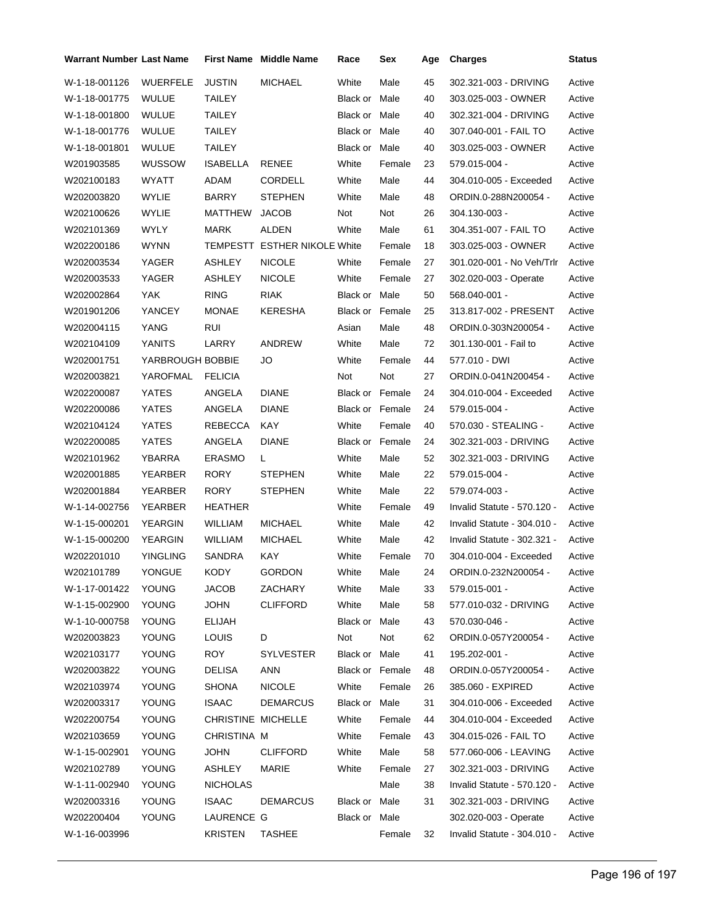| <b>Warrant Number Last Name</b> |                  |                    | <b>First Name</b> Middle Name | Race                   | Sex    | Age | <b>Charges</b>              | Status |
|---------------------------------|------------------|--------------------|-------------------------------|------------------------|--------|-----|-----------------------------|--------|
| W-1-18-001126                   | <b>WUERFELE</b>  | <b>JUSTIN</b>      | <b>MICHAEL</b>                | White                  | Male   | 45  | 302.321-003 - DRIVING       | Active |
| W-1-18-001775                   | <b>WULUE</b>     | TAILEY             |                               | Black or Male          |        | 40  | 303.025-003 - OWNER         | Active |
| W-1-18-001800                   | <b>WULUE</b>     | TAILEY             |                               | Black or Male          |        | 40  | 302.321-004 - DRIVING       | Active |
| W-1-18-001776                   | <b>WULUE</b>     | <b>TAILEY</b>      |                               | Black or Male          |        | 40  | 307.040-001 - FAIL TO       | Active |
| W-1-18-001801                   | <b>WULUE</b>     | <b>TAILEY</b>      |                               | Black or Male          |        | 40  | 303.025-003 - OWNER         | Active |
| W201903585                      | <b>WUSSOW</b>    | ISABELLA           | RENEE                         | White                  | Female | 23  | 579.015-004 -               | Active |
| W202100183                      | <b>WYATT</b>     | ADAM               | CORDELL                       | White                  | Male   | 44  | 304.010-005 - Exceeded      | Active |
| W202003820                      | WYLIE            | <b>BARRY</b>       | <b>STEPHEN</b>                | White                  | Male   | 48  | ORDIN.0-288N200054 -        | Active |
| W202100626                      | <b>WYLIE</b>     | MATTHEW            | <b>JACOB</b>                  | Not                    | Not    | 26  | 304.130-003 -               | Active |
| W202101369                      | <b>WYLY</b>      | <b>MARK</b>        | ALDEN                         | White                  | Male   | 61  | 304.351-007 - FAIL TO       | Active |
| W202200186                      | <b>WYNN</b>      |                    | TEMPESTT ESTHER NIKOLE White  |                        | Female | 18  | 303.025-003 - OWNER         | Active |
| W202003534                      | YAGER            | ASHLEY             | <b>NICOLE</b>                 | White                  | Female | 27  | 301.020-001 - No Veh/Trlr   | Active |
| W202003533                      | YAGER            | ASHLEY             | <b>NICOLE</b>                 | White                  | Female | 27  | 302.020-003 - Operate       | Active |
| W202002864                      | YAK              | <b>RING</b>        | <b>RIAK</b>                   | Black or Male          |        | 50  | 568.040-001 -               | Active |
| W201901206                      | YANCEY           | <b>MONAE</b>       | <b>KERESHA</b>                | Black or Female        |        | 25  | 313.817-002 - PRESENT       | Active |
| W202004115                      | YANG             | RUI                |                               | Asian                  | Male   | 48  | ORDIN.0-303N200054 -        | Active |
| W202104109                      | YANITS           | LARRY              | ANDREW                        | White                  | Male   | 72  | 301.130-001 - Fail to       | Active |
| W202001751                      | YARBROUGH BOBBIE |                    | JO                            | White                  | Female | 44  | 577.010 - DWI               | Active |
| W202003821                      | YAROFMAL         | <b>FELICIA</b>     |                               | Not                    | Not    | 27  | ORDIN.0-041N200454 -        | Active |
| W202200087                      | <b>YATES</b>     | ANGELA             | <b>DIANE</b>                  | <b>Black or Female</b> |        | 24  | 304.010-004 - Exceeded      | Active |
| W202200086                      | <b>YATES</b>     | ANGELA             | <b>DIANE</b>                  | Black or Female        |        | 24  | 579.015-004 -               | Active |
| W202104124                      | <b>YATES</b>     | <b>REBECCA</b>     | KAY                           | White                  | Female | 40  | 570.030 - STEALING -        | Active |
| W202200085                      | YATES            | ANGELA             | <b>DIANE</b>                  | <b>Black or Female</b> |        | 24  | 302.321-003 - DRIVING       | Active |
| W202101962                      | YBARRA           | <b>ERASMO</b>      | L.                            | White                  | Male   | 52  | 302.321-003 - DRIVING       | Active |
| W202001885                      | <b>YEARBER</b>   | <b>RORY</b>        | <b>STEPHEN</b>                | White                  | Male   | 22  | 579.015-004 -               | Active |
| W202001884                      | YEARBER          | <b>RORY</b>        | <b>STEPHEN</b>                | White                  | Male   | 22  | 579.074-003 -               | Active |
| W-1-14-002756                   | YEARBER          | HEATHER            |                               | White                  | Female | 49  | Invalid Statute - 570.120 - | Active |
| W-1-15-000201                   | <b>YEARGIN</b>   | <b>WILLIAM</b>     | <b>MICHAEL</b>                | White                  | Male   | 42  | Invalid Statute - 304.010 - | Active |
| W-1-15-000200                   | <b>YEARGIN</b>   | WILLIAM            | <b>MICHAEL</b>                | White                  | Male   | 42  | Invalid Statute - 302.321 - | Active |
| W202201010                      | <b>YINGLING</b>  | <b>SANDRA</b>      | KAY                           | White                  | Female | 70  | 304.010-004 - Exceeded      | Active |
| W202101789                      | YONGUE           | KODY               | <b>GORDON</b>                 | White                  | Male   | 24  | ORDIN.0-232N200054 -        | Active |
| W-1-17-001422                   | YOUNG            | JACOB              | ZACHARY                       | White                  | Male   | 33  | 579.015-001 -               | Active |
| W-1-15-002900                   | <b>YOUNG</b>     | <b>JOHN</b>        | <b>CLIFFORD</b>               | White                  | Male   | 58  | 577.010-032 - DRIVING       | Active |
| W-1-10-000758                   | <b>YOUNG</b>     | <b>ELIJAH</b>      |                               | Black or Male          |        | 43  | 570.030-046 -               | Active |
| W202003823                      | <b>YOUNG</b>     | <b>LOUIS</b>       | D                             | Not                    | Not    | 62  | ORDIN.0-057Y200054 -        | Active |
| W202103177                      | YOUNG            | <b>ROY</b>         | SYLVESTER                     | Black or Male          |        | 41  | 195.202-001 -               | Active |
| W202003822                      | <b>YOUNG</b>     | <b>DELISA</b>      | ANN                           | Black or Female        |        | 48  | ORDIN.0-057Y200054 -        | Active |
| W202103974                      | YOUNG            | <b>SHONA</b>       | <b>NICOLE</b>                 | White                  | Female | 26  | 385.060 - EXPIRED           | Active |
| W202003317                      | YOUNG            | <b>ISAAC</b>       | <b>DEMARCUS</b>               | Black or Male          |        | 31  | 304.010-006 - Exceeded      | Active |
| W202200754                      | <b>YOUNG</b>     | CHRISTINE MICHELLE |                               | White                  | Female | 44  | 304.010-004 - Exceeded      | Active |
| W202103659                      | <b>YOUNG</b>     | CHRISTINA M        |                               | White                  | Female | 43  | 304.015-026 - FAIL TO       | Active |
| W-1-15-002901                   | YOUNG            | <b>JOHN</b>        | <b>CLIFFORD</b>               | White                  | Male   | 58  | 577.060-006 - LEAVING       | Active |
| W202102789                      | <b>YOUNG</b>     | ASHLEY             | MARIE                         | White                  | Female | 27  | 302.321-003 - DRIVING       | Active |
| W-1-11-002940                   | YOUNG            | <b>NICHOLAS</b>    |                               |                        | Male   | 38  | Invalid Statute - 570.120 - | Active |
| W202003316                      | YOUNG            | <b>ISAAC</b>       | <b>DEMARCUS</b>               | Black or Male          |        | 31  | 302.321-003 - DRIVING       | Active |
| W202200404                      | <b>YOUNG</b>     | LAURENCE G         |                               | Black or Male          |        |     | 302.020-003 - Operate       | Active |
| W-1-16-003996                   |                  | <b>KRISTEN</b>     | <b>TASHEE</b>                 |                        | Female | 32  | Invalid Statute - 304.010 - | Active |
|                                 |                  |                    |                               |                        |        |     |                             |        |